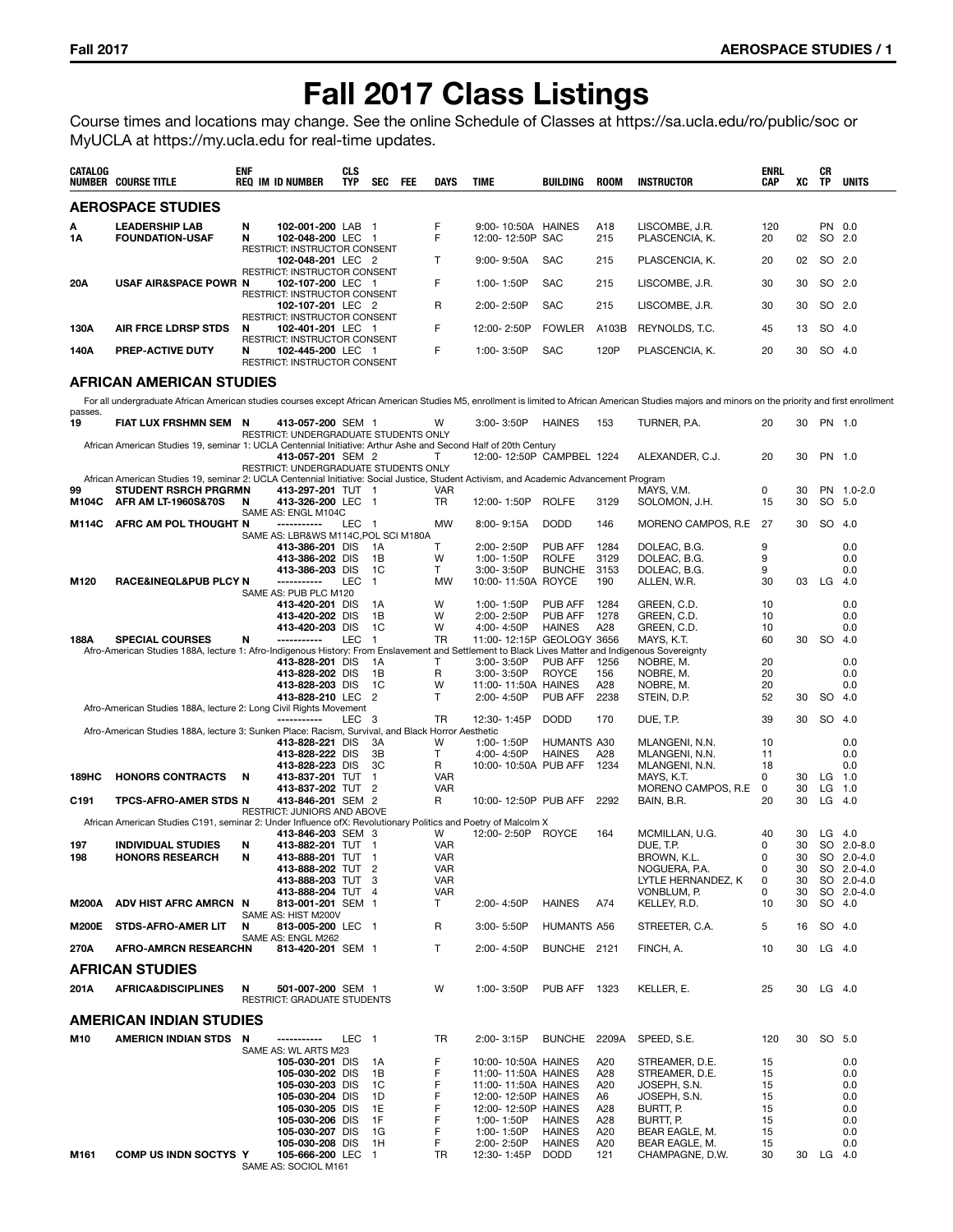# **Fall 2017 Class Listings**

Course times and locations may change. See the online Schedule of Classes at https://sa.ucla.edu/ro/public/soc or MyUCLA at https://my.ucla.edu for real-time updates.

| CATALOG          | <b>NUMBER COURSE TITLE</b>                                                                                                                                                                          | <b>ENF</b> | <b>REQ IM ID NUMBER</b>                                                                  | <b>CLS</b><br><b>TYP</b> | SEC                      | <b>FEE</b> | DAYS                     | <b>TIME</b>                                | BUILDING                       | <b>ROOM</b>  | <b>INSTRUCTOR</b>                 | <b>ENRL</b><br>CAP | XC       | СR<br>TP       | <b>UNITS</b>             |
|------------------|-----------------------------------------------------------------------------------------------------------------------------------------------------------------------------------------------------|------------|------------------------------------------------------------------------------------------|--------------------------|--------------------------|------------|--------------------------|--------------------------------------------|--------------------------------|--------------|-----------------------------------|--------------------|----------|----------------|--------------------------|
|                  | <b>AEROSPACE STUDIES</b>                                                                                                                                                                            |            |                                                                                          |                          |                          |            |                          |                                            |                                |              |                                   |                    |          |                |                          |
| A<br>1A          | <b>LEADERSHIP LAB</b><br><b>FOUNDATION-USAF</b>                                                                                                                                                     | N<br>N     | 102-001-200 LAB 1<br>102-048-200 LEC 1                                                   |                          |                          |            | F<br>F                   | 9:00-10:50A HAINES<br>12:00-12:50P SAC     |                                | A18<br>215   | LISCOMBE, J.R.<br>PLASCENCIA, K.  | 120<br>20          | 02       | SO.            | PN 0.0<br>2.0            |
|                  |                                                                                                                                                                                                     |            | RESTRICT: INSTRUCTOR CONSENT<br>102-048-201 LEC 2                                        |                          |                          |            | т                        | $9:00 - 9:50A$                             | <b>SAC</b>                     | 215          | PLASCENCIA, K.                    | 20                 | 02       |                | SO 2.0                   |
| 20A              | <b>USAF AIR&amp;SPACE POWR N</b>                                                                                                                                                                    |            | RESTRICT: INSTRUCTOR CONSENT<br>102-107-200 LEC 1                                        |                          |                          |            | F                        | 1:00-1:50P                                 | <b>SAC</b>                     | 215          | LISCOMBE, J.R.                    | 30                 | 30       |                | SO 2.0                   |
|                  |                                                                                                                                                                                                     |            | RESTRICT: INSTRUCTOR CONSENT<br>102-107-201 LEC 2                                        |                          |                          |            | R                        | 2:00-2:50P                                 | <b>SAC</b>                     | 215          | LISCOMBE, J.R.                    | 30                 | 30       | SO 2.0         |                          |
| 130A             | <b>AIR FRCE LDRSP STDS</b>                                                                                                                                                                          | N          | RESTRICT: INSTRUCTOR CONSENT<br>102-401-201 LEC 1                                        |                          |                          |            | F                        | 12:00-2:50P                                | <b>FOWLER</b>                  | A103B        | REYNOLDS, T.C.                    | 45                 | 13       |                | SO 4.0                   |
| 140A             | PREP-ACTIVE DUTY                                                                                                                                                                                    | N          | RESTRICT: INSTRUCTOR CONSENT<br>102-445-200 LEC 1<br><b>RESTRICT: INSTRUCTOR CONSENT</b> |                          |                          |            | F                        | 1:00-3:50P                                 | <b>SAC</b>                     | 120P         | PLASCENCIA, K.                    | 20                 | 30       |                | SO 4.0                   |
|                  | AFRICAN AMERICAN STUDIES                                                                                                                                                                            |            |                                                                                          |                          |                          |            |                          |                                            |                                |              |                                   |                    |          |                |                          |
|                  | For all undergraduate African American studies courses except African American Studies M5, enrollment is limited to African American Studies majors and minors on the priority and first enrollment |            |                                                                                          |                          |                          |            |                          |                                            |                                |              |                                   |                    |          |                |                          |
| passes.<br>19    | FIAT LUX FRSHMN SEM N                                                                                                                                                                               |            | 413-057-200 SEM 1                                                                        |                          |                          |            | W                        | 3:00-3:50P                                 | HAINES                         | 153          | TURNER, P.A.                      | 20                 | 30       | PN 1.0         |                          |
|                  | African American Studies 19, seminar 1: UCLA Centennial Initiative: Arthur Ashe and Second Half of 20th Century                                                                                     |            | RESTRICT: UNDERGRADUATE STUDENTS ONLY                                                    |                          |                          |            |                          |                                            |                                |              |                                   |                    |          |                |                          |
|                  |                                                                                                                                                                                                     |            | 413-057-201 SEM 2<br>RESTRICT: UNDERGRADUATE STUDENTS ONLY                               |                          |                          |            | т                        | 12:00-12:50P CAMPBEL 1224                  |                                |              | ALEXANDER, C.J.                   | 20                 | 30       | PN 1.0         |                          |
| 99               | African American Studies 19, seminar 2: UCLA Centennial Initiative: Social Justice, Student Activism, and Academic Advancement Program<br><b>STUDENT RSRCH PRGRMN</b>                               |            | 413-297-201 TUT 1                                                                        |                          |                          |            | <b>VAR</b>               |                                            |                                |              | MAYS. V.M.                        | 0                  | 30       |                | PN 1.0-2.0               |
| M104C            | AFR AM LT-1960S&70S                                                                                                                                                                                 | N          | 413-326-200 LEC 1<br>SAME AS: ENGL M104C                                                 |                          |                          |            | <b>TR</b>                | 12:00-1:50P                                | <b>ROLFE</b>                   | 3129         | SOLOMON, J.H.                     | 15                 | 30       |                | SO 5.0                   |
| M114C            | AFRC AM POL THOUGHT N                                                                                                                                                                               |            | -----------<br>SAME AS: LBR&WS M114C, POL SCI M180A                                      | LEC                      | $\overline{\phantom{1}}$ |            | <b>MW</b>                | 8:00-9:15A                                 | <b>DODD</b>                    | 146          | MORENO CAMPOS, R.E.               | 27                 | 30       | SO 4.0         |                          |
|                  |                                                                                                                                                                                                     |            | 413-386-201 DIS<br>413-386-202 DIS                                                       |                          | - 1A<br>1B               |            | т<br>W                   | 2:00-2:50P<br>1:00-1:50P                   | PUB AFF<br><b>ROLFE</b>        | 1284<br>3129 | DOLEAC, B.G.<br>DOLEAC, B.G.      | 9<br>9             |          |                | 0.0<br>0.0               |
|                  |                                                                                                                                                                                                     |            | 413-386-203 DIS                                                                          |                          | 1C                       |            | T                        | 3:00-3:50P                                 | <b>BUNCHE</b>                  | 3153         | DOLEAC, B.G.                      | 9                  |          |                | 0.0                      |
| M120             | <b>RACE&amp;INEQL&amp;PUB PLCY N</b>                                                                                                                                                                |            | -----------<br>SAME AS: PUB PLC M120                                                     | <b>LEC</b>               | $\overline{1}$           |            | <b>MW</b>                | 10:00-11:50A ROYCE                         |                                | 190          | ALLEN, W.R.                       | 30                 | 03       | LG             | 4.0                      |
|                  |                                                                                                                                                                                                     |            | 413-420-201 DIS<br>413-420-202 DIS                                                       |                          | 1A<br>1B                 |            | W<br>W                   | 1:00-1:50P<br>2:00-2:50P                   | PUB AFF<br>PUB AFF             | 1284<br>1278 | GREEN, C.D.<br>GREEN, C.D.        | 10<br>10           |          |                | 0.0<br>0.0               |
|                  |                                                                                                                                                                                                     |            | 413-420-203 DIS                                                                          |                          | 1C                       |            | W                        | 4:00-4:50P                                 | <b>HAINES</b>                  | A28          | GREEN, C.D.                       | 10                 |          |                | 0.0                      |
| 188A             | <b>SPECIAL COURSES</b><br>Afro-American Studies 188A, lecture 1: Afro-Indigenous History: From Enslavement and Settlement to Black Lives Matter and Indigenous Sovereignty                          | N          | -----------                                                                              | <b>LEC</b>               | $\overline{1}$           |            | <b>TR</b>                | 11:00-12:15P GEOLOGY 3656                  |                                |              | MAYS, K.T.                        | 60                 | 30       | <b>SO</b>      | - 4.0                    |
|                  |                                                                                                                                                                                                     |            | 413-828-201 DIS                                                                          |                          | - 1A                     |            | Т                        | 3:00-3:50P                                 | PUB AFF                        | 1256         | NOBRE, M.                         | 20                 |          |                | 0.0                      |
|                  |                                                                                                                                                                                                     |            | 413-828-202 DIS<br>413-828-203 DIS                                                       |                          | 1B<br>1C                 |            | R<br>W                   | 3:00-3:50P<br>11:00-11:50A HAINES          | <b>ROYCE</b>                   | 156<br>A28   | NOBRE, M.<br>NOBRE, M.            | 20<br>20           |          |                | 0.0<br>0.0               |
|                  | Afro-American Studies 188A, lecture 2: Long Civil Rights Movement                                                                                                                                   |            | 413-828-210 LEC 2                                                                        |                          |                          |            | Т                        | 2:00-4:50P                                 | PUB AFF                        | 2238         | STEIN, D.P.                       | 52                 | 30       | <b>SO</b>      | 4.0                      |
|                  | Afro-American Studies 188A, lecture 3: Sunken Place: Racism, Survival, and Black Horror Aesthetic                                                                                                   |            | ------------                                                                             | LEC 3                    |                          |            | TR                       | 12:30-1:45P                                | <b>DODD</b>                    | 170          | DUE, T.P.                         | 39                 | 30       | SO.            | 4.0                      |
|                  |                                                                                                                                                                                                     |            | 413-828-221 DIS                                                                          |                          | 3A                       |            | W                        | 1:00-1:50P                                 | HUMANTS A30                    |              | MLANGENI, N.N.                    | 10                 |          |                | 0.0                      |
|                  |                                                                                                                                                                                                     |            | 413-828-222 DIS<br>413-828-223 DIS                                                       |                          | 3В<br>3C                 |            | T<br>R                   | 4:00-4:50P<br>10:00-10:50A PUB AFF         | <b>HAINES</b>                  | A28<br>1234  | MLANGENI, N.N.<br>MLANGENI, N.N.  | 11<br>18           |          |                | 0.0<br>0.0               |
| 189HC            | <b>HONORS CONTRACTS</b>                                                                                                                                                                             | N          | 413-837-201 TUT                                                                          |                          | $\mathbf{1}$             |            | <b>VAR</b>               |                                            |                                |              | MAYS, K.T.                        | 0                  | 30       | $LG$ 1.0       |                          |
| C <sub>191</sub> | TPCS-AFRO-AMER STDS N                                                                                                                                                                               |            | 413-837-202 TUT 2<br>413-846-201 SEM 2                                                   |                          |                          |            | <b>VAR</b><br>R          | 10:00-12:50P PUB AFF                       |                                | 2292         | MORENO CAMPOS, R.E<br>BAIN, B.R.  | 0<br>20            | 30<br>30 | LG<br>$LG$ 4.0 | 1.0                      |
|                  | African American Studies C191, seminar 2: Under Influence of X: Revolutionary Politics and Poetry of Malcolm X                                                                                      |            | <b>RESTRICT: JUNIORS AND ABOVE</b>                                                       |                          |                          |            |                          |                                            |                                |              |                                   |                    |          |                |                          |
|                  |                                                                                                                                                                                                     |            | 413-846-203 SEM 3                                                                        |                          |                          |            | w                        | 12:00-2:50P                                | <b>ROYCE</b>                   | 164          | MCMILLAN, U.G.                    | 40                 | 30       | $LG$ 4.0       |                          |
| 197<br>198       | <b>INDIVIDUAL STUDIES</b><br><b>HONORS RESEARCH</b>                                                                                                                                                 | N<br>N     | 413-882-201 TUT 1<br>413-888-201 TUT 1                                                   |                          |                          |            | VAR<br>VAR               |                                            |                                |              | DUE, T.P.<br>BROWN, K.L.          | 0<br>0             | 30<br>30 |                | SO 2.0-8.0<br>SO 2.0-4.0 |
|                  |                                                                                                                                                                                                     |            | 413-888-202 TUT 2                                                                        |                          |                          |            | <b>VAR</b>               |                                            |                                |              | NOGUERA, P.A.                     | 0                  | 30       |                | SO 2.0-4.0               |
|                  |                                                                                                                                                                                                     |            | 413-888-203 TUT 3<br>413-888-204 TUT 4                                                   |                          |                          |            | <b>VAR</b><br><b>VAR</b> |                                            |                                |              | LYTLE HERNANDEZ, K<br>VONBLUM, P. | 0<br>0             | 30<br>30 |                | SO 2.0-4.0<br>SO 2.0-4.0 |
| <b>M200A</b>     | ADV HIST AFRC AMRCN N                                                                                                                                                                               |            | 813-001-201 SEM 1<br>SAME AS: HIST M200V                                                 |                          |                          |            | т                        | 2:00-4:50P                                 | <b>HAINES</b>                  | A74          | KELLEY, R.D.                      | 10                 | 30       |                | SO 4.0                   |
| <b>M200E</b>     | STDS-AFRO-AMER LIT                                                                                                                                                                                  | N          | 813-005-200 LEC 1                                                                        |                          |                          |            | R                        | 3:00-5:50P                                 | HUMANTS A56                    |              | STREETER, C.A.                    | 5                  | 16       | SO 4.0         |                          |
| 270A             | <b>AFRO-AMRCN RESEARCHN</b>                                                                                                                                                                         |            | SAME AS: ENGL M262<br>813-420-201 SEM 1                                                  |                          |                          |            | Т                        | 2:00-4:50P                                 | BUNCHE 2121                    |              | FINCH, A.                         | 10                 | 30       | $LG$ 4.0       |                          |
|                  | <b>AFRICAN STUDIES</b>                                                                                                                                                                              |            |                                                                                          |                          |                          |            |                          |                                            |                                |              |                                   |                    |          |                |                          |
| 201A             | <b>AFRICA&amp;DISCIPLINES</b>                                                                                                                                                                       | N          | 501-007-200 SEM 1<br>RESTRICT: GRADUATE STUDENTS                                         |                          |                          |            | W                        | 1:00-3:50P                                 | PUB AFF 1323                   |              | KELLER, E.                        | 25                 | 30       | $LG$ 4.0       |                          |
|                  | AMERICAN INDIAN STUDIES                                                                                                                                                                             |            |                                                                                          |                          |                          |            |                          |                                            |                                |              |                                   |                    |          |                |                          |
| M10              | AMERICN INDIAN STDS                                                                                                                                                                                 | -N         | ------------<br>SAME AS: WL ARTS M23                                                     | LEC <sub>1</sub>         |                          |            | TR                       | 2:00-3:15P                                 | BUNCHE 2209A                   |              | SPEED, S.E.                       | 120                | 30       | SO 5.0         |                          |
|                  |                                                                                                                                                                                                     |            | 105-030-201 DIS                                                                          |                          | 1A                       |            | F                        | 10:00-10:50A HAINES                        |                                | A20          | STREAMER, D.E.                    | 15                 |          |                | 0.0                      |
|                  |                                                                                                                                                                                                     |            | 105-030-202 DIS<br>105-030-203 DIS                                                       |                          | 1B<br>1C                 |            | F<br>F                   | 11:00-11:50A HAINES<br>11:00-11:50A HAINES |                                | A28<br>A20   | STREAMER, D.E.                    | 15<br>15           |          |                | 0.0<br>0.0               |
|                  |                                                                                                                                                                                                     |            | 105-030-204 DIS                                                                          |                          | 1D                       |            | F                        | 12:00-12:50P HAINES                        |                                | A6           | JOSEPH, S.N.<br>JOSEPH, S.N.      | 15                 |          |                | 0.0                      |
|                  |                                                                                                                                                                                                     |            | 105-030-205 DIS                                                                          |                          | 1E                       |            | F<br>F                   | 12:00-12:50P HAINES                        |                                | A28          | BURTT, P.                         | 15                 |          |                | 0.0                      |
|                  |                                                                                                                                                                                                     |            | 105-030-206 DIS<br>105-030-207 DIS                                                       |                          | 1F<br>1G                 |            | F                        | 1:00-1:50P<br>1:00-1:50P                   | <b>HAINES</b><br><b>HAINES</b> | A28<br>A20   | BURTT, P.<br>BEAR EAGLE, M.       | 15<br>15           |          |                | 0.0<br>0.0               |
| M161             | <b>COMP US INDN SOCTYS Y</b>                                                                                                                                                                        |            | 105-030-208 DIS<br>105-666-200 LEC 1<br>SAME AS: SOCIOL M161                             |                          | 1H                       |            | F<br>TR                  | 2:00-2:50P<br>12:30-1:45P                  | <b>HAINES</b><br><b>DODD</b>   | A20<br>121   | BEAR EAGLE, M.<br>CHAMPAGNE, D.W. | 15<br>30           |          | 30 LG 4.0      | 0.0                      |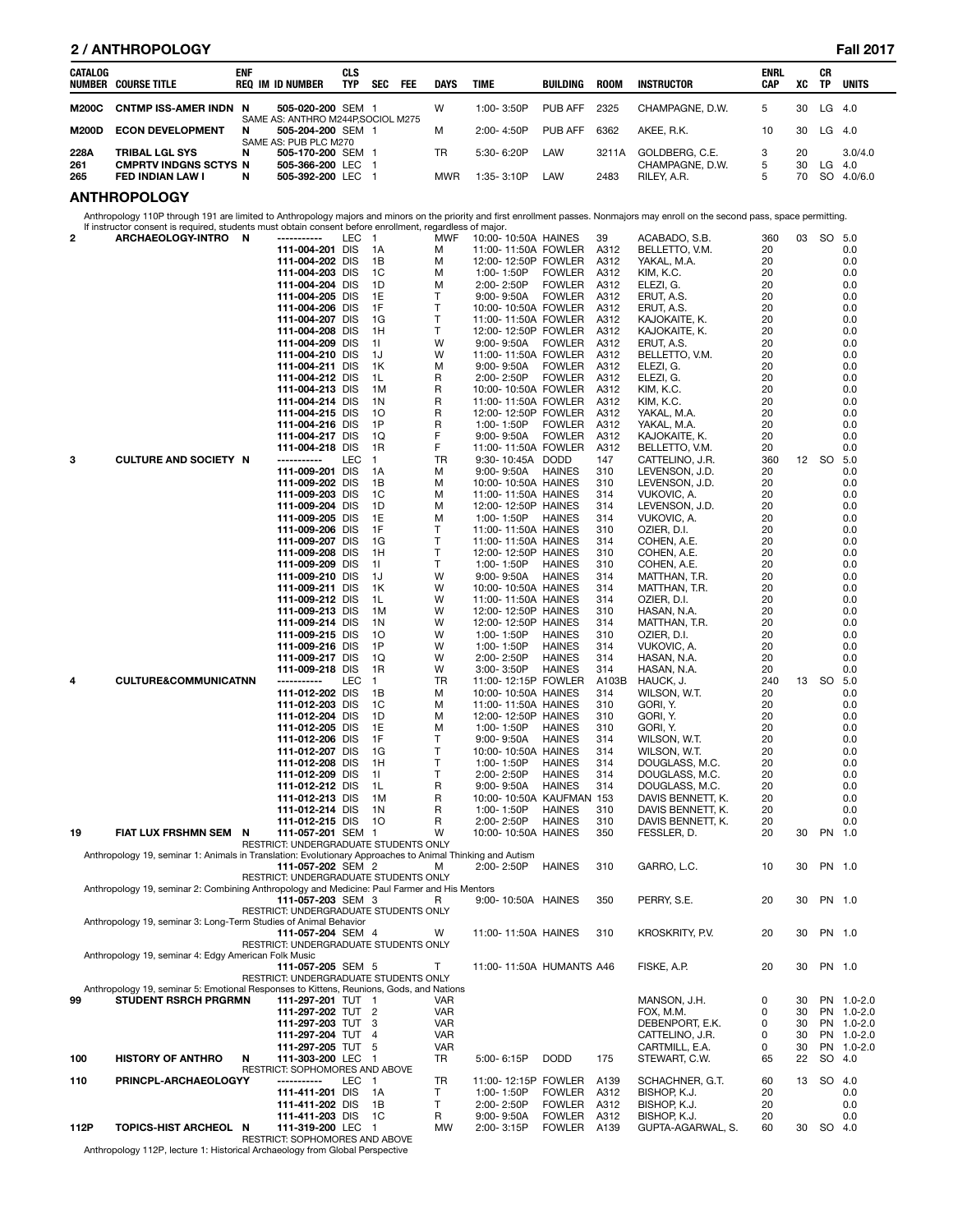| CATALOG    | NUMBER COURSE TITLE                              | <b>ENF</b> | <b>REQ IM ID NUMBER</b>                                | CLS<br><b>TYP</b> | <b>SEC</b> | <b>FEE</b> | <b>DAYS</b> | <b>TIME</b>    | BUILDING | <b>ROOM</b> | INSTRUCTOR                     | <b>ENRL</b><br>CAP | XC       | СR<br>TP  | <b>UNITS</b>   |
|------------|--------------------------------------------------|------------|--------------------------------------------------------|-------------------|------------|------------|-------------|----------------|----------|-------------|--------------------------------|--------------------|----------|-----------|----------------|
| M200C      | <b>CNTMP ISS-AMER INDN N</b>                     |            | 505-020-200 SEM 1                                      |                   |            |            | W           | $1:00 - 3:50P$ | PUB AFF  | 2325        | CHAMPAGNE, D.W.                | 5.                 | 30       | LG.       | -4.0           |
| M200D      | <b>ECON DEVELOPMENT</b>                          | N          | SAME AS: ANTHRO M244P.SOCIOL M275<br>505-204-200 SEM 1 |                   |            |            | м           | $2:00 - 4:50P$ | PUB AFF  | 6362        | AKEE, R.K.                     | 10                 | 30       | LG        | -4.0           |
| 228A       | <b>TRIBAL LGL SYS</b>                            | N          | SAME AS: PUB PLC M270<br>505-170-200 SEM 1             |                   |            |            | TR          | $5:30 - 6:20P$ | LAW      | 3211A       | GOLDBERG, C.E.                 |                    | 20       |           | 3.0/4.0        |
| 261<br>265 | <b>CMPRTV INDGNS SCTYS N</b><br>FED INDIAN LAW I | N          | 505-366-200 LEC 1<br>505-392-200 LEC                   |                   |            |            | <b>MWR</b>  | 1:35-3:10P     | LAW      | 2483        | CHAMPAGNE, D.W.<br>RILEY, A.R. | 5<br>5             | 30<br>70 | LG<br>SO. | 4.0<br>4.0/6.0 |

# **ANTHROPOLOGY**

Anthropology 110P through 191 are limited to Anthropology majors and minors on the priority and first enrollment passes. Nonmajors may enroll on the second pass, space permitting.<br>If instructor consent is required, student

| 2   | n instructor consent is required, students must obtain consent before enrollment, regardiess of major.<br>ARCHAEOLOGY-INTRO N | -----------                                                | LEC.       | $\overline{1}$ | MWF        | 10:00-10:50A HAINES                        |               | 39         | ACABADO, S.B.              | 360      | 03 | SO 5.0    |             |
|-----|-------------------------------------------------------------------------------------------------------------------------------|------------------------------------------------------------|------------|----------------|------------|--------------------------------------------|---------------|------------|----------------------------|----------|----|-----------|-------------|
|     |                                                                                                                               | 111-004-201 DIS                                            |            | 1A             | м          | 11:00-11:50A FOWLER                        |               | A312       | BELLETTO, V.M.             | 20       |    |           | 0.0         |
|     |                                                                                                                               | 111-004-202 DIS                                            |            | 1В             | м          | 12:00-12:50P FOWLER                        |               | A312       | YAKAL, M.A.                | 20       |    |           | 0.0         |
|     |                                                                                                                               | 111-004-203 DIS                                            |            | 1C             | м          | 1:00-1:50P                                 | <b>FOWLER</b> | A312       | KIM, K.C.                  | 20       |    |           | 0.0         |
|     |                                                                                                                               | 111-004-204 DIS                                            |            | 1D             | м          | 2:00-2:50P                                 | <b>FOWLER</b> | A312       | ELEZI, G.                  | 20       |    |           | 0.0         |
|     |                                                                                                                               | 111-004-205 DIS                                            |            | 1E             | т          | $9:00 - 9:50A$                             | <b>FOWLER</b> | A312       | ERUT, A.S.                 | 20       |    |           | 0.0         |
|     |                                                                                                                               | 111-004-206 DIS                                            |            | 1F             | T          | 10:00-10:50A FOWLER                        |               | A312       | ERUT, A.S.                 | 20       |    |           | 0.0         |
|     |                                                                                                                               | 111-004-207 DIS                                            |            | 1G             | T          | 11:00-11:50A FOWLER                        |               | A312       | KAJOKAITE, K.              | 20       |    |           | 0.0         |
|     |                                                                                                                               | 111-004-208 DIS                                            |            | 1H             | T          | 12:00-12:50P FOWLER                        |               | A312       | KAJOKAITE, K.              | 20       |    |           | 0.0         |
|     |                                                                                                                               | 111-004-209 DIS                                            |            | 11             | W          | $9:00 - 9:50A$                             | <b>FOWLER</b> | A312       | ERUT, A.S.                 | 20       |    |           | 0.0         |
|     |                                                                                                                               | 111-004-210 DIS                                            |            | 1J             | W          | 11:00-11:50A FOWLER                        |               | A312       | BELLETTO, V.M.             | 20       |    |           | 0.0         |
|     |                                                                                                                               | 111-004-211 DIS                                            |            | 1K             | м          | $9:00 - 9:50A$                             | <b>FOWLER</b> | A312       | ELEZI, G.                  | 20       |    |           | 0.0         |
|     |                                                                                                                               | 111-004-212 DIS                                            |            | 1L             | R          | 2:00-2:50P                                 | <b>FOWLER</b> | A312       | ELEZI, G.                  | 20       |    |           | 0.0         |
|     |                                                                                                                               | 111-004-213 DIS                                            |            | 1M             | R          | 10:00-10:50A FOWLER                        |               | A312       | KIM, K.C.                  | 20       |    |           | 0.0         |
|     |                                                                                                                               | 111-004-214 DIS                                            |            | 1N             | R          | 11:00-11:50A FOWLER                        |               | A312       | KIM, K.C.                  | 20       |    |           | 0.0         |
|     |                                                                                                                               | 111-004-215 DIS                                            |            | 10             | R          | 12:00-12:50P FOWLER                        |               | A312       | YAKAL, M.A.                | 20       |    |           | 0.0         |
|     |                                                                                                                               | 111-004-216 DIS                                            |            | 1P             | R          | 1:00-1:50P                                 | <b>FOWLER</b> | A312       | YAKAL, M.A.                | 20       |    |           | 0.0         |
|     |                                                                                                                               | 111-004-217 DIS                                            |            | 1Q             | F          | $9:00 - 9:50A$                             | <b>FOWLER</b> | A312       | KAJOKAITE, K.              | 20       |    |           | 0.0         |
|     |                                                                                                                               | 111-004-218 DIS                                            |            | 1R             | F          | 11:00-11:50A FOWLER                        |               | A312       | BELLETTO, V.M.             | 20       |    |           | 0.0         |
| 3   | <b>CULTURE AND SOCIETY N</b>                                                                                                  | -----------                                                | <b>LEC</b> | $\mathbf{1}$   | TR         | 9:30-10:45A DODD                           |               | 147        | CATTELINO, J.R.            | 360      |    | 12 SO 5.0 |             |
|     |                                                                                                                               | 111-009-201 DIS                                            |            | 1A             | м          | $9:00 - 9:50A$                             | <b>HAINES</b> | 310        | LEVENSON, J.D.             | 20       |    |           | 0.0         |
|     |                                                                                                                               | 111-009-202 DIS                                            |            | 1В             | м          | 10:00-10:50A HAINES                        |               | 310        | LEVENSON, J.D.             | 20       |    |           | 0.0         |
|     |                                                                                                                               | 111-009-203 DIS                                            |            | 1C             | м          | 11:00-11:50A HAINES                        |               | 314        | VUKOVIC, A.                | 20       |    |           | 0.0         |
|     |                                                                                                                               | 111-009-204 DIS                                            |            | 1D             | м          | 12:00-12:50P HAINES                        |               | 314        | LEVENSON, J.D.             | 20       |    |           | 0.0         |
|     |                                                                                                                               | 111-009-205 DIS                                            |            | 1E<br>1F       | м          | 1:00-1:50P<br>11:00-11:50A HAINES          | HAINES        | 314        | VUKOVIC, A.                | 20       |    |           | 0.0         |
|     |                                                                                                                               | 111-009-206 DIS                                            |            |                | т<br>T     |                                            |               | 310        | OZIER, D.I.                | 20       |    |           | 0.0         |
|     |                                                                                                                               | 111-009-207 DIS<br>111-009-208 DIS                         |            | 1G<br>1H       | T          | 11:00-11:50A HAINES<br>12:00-12:50P HAINES |               | 314<br>310 | COHEN, A.E.<br>COHEN, A.E. | 20<br>20 |    |           | 0.0<br>0.0  |
|     |                                                                                                                               | 111-009-209 DIS                                            |            | 11             | T          | 1:00-1:50P                                 | <b>HAINES</b> | 310        | COHEN, A.E.                | 20       |    |           | 0.0         |
|     |                                                                                                                               | 111-009-210 DIS                                            |            | 1J             | W          | 9:00-9:50A                                 | <b>HAINES</b> | 314        | MATTHAN, T.R.              | 20       |    |           | 0.0         |
|     |                                                                                                                               | 111-009-211 DIS                                            |            | 1K             | W          | 10:00-10:50A HAINES                        |               | 314        | MATTHAN, T.R.              | 20       |    |           | 0.0         |
|     |                                                                                                                               | 111-009-212 DIS                                            |            | 1L             | W          | 11:00-11:50A HAINES                        |               | 314        | OZIER, D.I.                | 20       |    |           | 0.0         |
|     |                                                                                                                               | 111-009-213 DIS                                            |            | 1M             | W          | 12:00-12:50P HAINES                        |               | 310        | HASAN, N.A.                | 20       |    |           | 0.0         |
|     |                                                                                                                               | 111-009-214 DIS                                            |            | 1N             | W          | 12:00-12:50P HAINES                        |               | 314        | MATTHAN, T.R.              | 20       |    |           | 0.0         |
|     |                                                                                                                               | 111-009-215 DIS                                            |            | 10             | W          | 1:00-1:50P                                 | <b>HAINES</b> | 310        | OZIER, D.I.                | 20       |    |           | 0.0         |
|     |                                                                                                                               | 111-009-216 DIS                                            |            | 1P             | W          | 1:00-1:50P                                 | <b>HAINES</b> | 314        | VUKOVIC, A.                | 20       |    |           | 0.0         |
|     |                                                                                                                               | 111-009-217 DIS                                            |            | 1Q             | W          | 2:00-2:50P                                 | <b>HAINES</b> | 314        | HASAN, N.A.                | 20       |    |           | 0.0         |
|     |                                                                                                                               | 111-009-218 DIS                                            |            | 1R             | W          | 3:00-3:50P                                 | <b>HAINES</b> | 314        | HASAN, N.A.                | 20       |    |           | 0.0         |
| 4   | <b>CULTURE&amp;COMMUNICATNN</b>                                                                                               | -----------                                                | LEC        | $\mathbf{1}$   | TR         | 11:00-12:15P FOWLER                        |               | A103B      | HAUCK, J.                  | 240      | 13 | SO        | 5.0         |
|     |                                                                                                                               | 111-012-202 DIS                                            |            | 1В             | м          | 10:00-10:50A HAINES                        |               | 314        | WILSON, W.T.               | 20       |    |           | 0.0         |
|     |                                                                                                                               | 111-012-203 DIS                                            |            | 1C             | м          | 11:00-11:50A HAINES                        |               | 310        | GORI, Y.                   | 20       |    |           | 0.0         |
|     |                                                                                                                               | 111-012-204 DIS                                            |            | 1D             | м          | 12:00-12:50P HAINES                        |               | 310        | GORI, Y.                   | 20       |    |           | 0.0         |
|     |                                                                                                                               | 111-012-205 DIS                                            |            | 1E             | м          | 1:00-1:50P                                 | <b>HAINES</b> | 310        | GORI, Y.                   | 20       |    |           | 0.0         |
|     |                                                                                                                               | 111-012-206 DIS                                            |            | 1F             | T          | $9:00 - 9:50A$                             | <b>HAINES</b> | 314        | WILSON, W.T.               | 20       |    |           | 0.0         |
|     |                                                                                                                               | 111-012-207 DIS                                            |            | 1G             | T          | 10:00-10:50A HAINES                        |               | 314        | WILSON, W.T.               | 20       |    |           | 0.0         |
|     |                                                                                                                               | 111-012-208 DIS                                            |            | 1H             | T          | 1:00-1:50P                                 | <b>HAINES</b> | 314        | DOUGLASS, M.C.             | 20       |    |           | 0.0         |
|     |                                                                                                                               | 111-012-209 DIS                                            |            | 11             | T          | 2:00-2:50P                                 | <b>HAINES</b> | 314        | DOUGLASS, M.C.             | 20       |    |           | 0.0         |
|     |                                                                                                                               | 111-012-212 DIS                                            |            | 1L             | R          | $9:00 - 9:50A$                             | <b>HAINES</b> | 314        | DOUGLASS, M.C.             | 20       |    |           | 0.0         |
|     |                                                                                                                               | 111-012-213 DIS                                            |            | 1M             | R          | 10:00-10:50A KAUFMAN 153                   |               |            | DAVIS BENNETT, K.          | 20       |    |           | 0.0         |
|     |                                                                                                                               | 111-012-214 DIS                                            |            | 1N             | R          | 1:00-1:50P                                 | <b>HAINES</b> | 310        | DAVIS BENNETT, K.          | 20       |    |           | 0.0         |
|     |                                                                                                                               | 111-012-215 DIS                                            |            | 10             | R          | 2:00-2:50P                                 | <b>HAINES</b> | 310        | DAVIS BENNETT, K.          | 20       |    |           | 0.0         |
| 19  | FIAT LUX FRSHMN SEM<br>N                                                                                                      | 111-057-201 SEM 1                                          |            |                | W          | 10:00-10:50A HAINES                        |               | 350        | FESSLER, D.                | 20       | 30 | PN 1.0    |             |
|     | Anthropology 19, seminar 1: Animals in Translation: Evolutionary Approaches to Animal Thinking and Autism                     | RESTRICT: UNDERGRADUATE STUDENTS ONLY                      |            |                |            |                                            |               |            |                            |          |    |           |             |
|     |                                                                                                                               | 111-057-202 SEM 2                                          |            |                | м          | 2:00-2:50P                                 | <b>HAINES</b> | 310        | GARRO, L.C.                | 10       | 30 | PN 1.0    |             |
|     |                                                                                                                               | RESTRICT: UNDERGRADUATE STUDENTS ONLY                      |            |                |            |                                            |               |            |                            |          |    |           |             |
|     | Anthropology 19, seminar 2: Combining Anthropology and Medicine: Paul Farmer and His Mentors                                  |                                                            |            |                |            |                                            |               |            |                            |          |    |           |             |
|     |                                                                                                                               | 111-057-203 SEM 3                                          |            |                | R          | 9:00-10:50A HAINES                         |               | 350        | PERRY, S.E.                | 20       | 30 | PN 1.0    |             |
|     |                                                                                                                               | RESTRICT: UNDERGRADUATE STUDENTS ONLY                      |            |                |            |                                            |               |            |                            |          |    |           |             |
|     | Anthropology 19, seminar 3: Long-Term Studies of Animal Behavior                                                              |                                                            |            |                |            |                                            |               |            |                            |          |    |           |             |
|     |                                                                                                                               | 111-057-204 SEM 4                                          |            |                | W          | 11:00-11:50A HAINES                        |               | 310        | KROSKRITY, P.V.            | 20       | 30 | PN 1.0    |             |
|     |                                                                                                                               | RESTRICT: UNDERGRADUATE STUDENTS ONLY                      |            |                |            |                                            |               |            |                            |          |    |           |             |
|     | Anthropology 19, seminar 4: Edgy American Folk Music                                                                          |                                                            |            |                |            |                                            |               |            |                            |          |    |           |             |
|     |                                                                                                                               | 111-057-205 SEM 5<br>RESTRICT: UNDERGRADUATE STUDENTS ONLY |            |                | T          | 11:00-11:50A HUMANTS A46                   |               |            | FISKE, A.P.                | 20       | 30 | PN 1.0    |             |
|     | Anthropology 19, seminar 5: Emotional Responses to Kittens, Reunions, Gods, and Nations                                       |                                                            |            |                |            |                                            |               |            |                            |          |    |           |             |
| 99  | <b>STUDENT RSRCH PRGRMN</b>                                                                                                   | 111-297-201 TUT 1                                          |            |                | VAR        |                                            |               |            | MANSON, J.H.               | 0        | 30 |           | PN 1.0-2.0  |
|     |                                                                                                                               | 111-297-202 TUT 2                                          |            |                | <b>VAR</b> |                                            |               |            | FOX, M.M.                  | 0        | 30 |           | PN 1.0-2.0  |
|     |                                                                                                                               | 111-297-203 TUT 3                                          |            |                | <b>VAR</b> |                                            |               |            | DEBENPORT, E.K.            | 0        | 30 | PN        | $1.0 - 2.0$ |
|     |                                                                                                                               | 111-297-204 TUT                                            |            | 4              | VAR        |                                            |               |            | CATTELINO, J.R.            | 0        | 30 |           | PN 1.0-2.0  |
|     |                                                                                                                               | 111-297-205 TUT                                            |            | 5              | VAR        |                                            |               |            | CARTMILL, E.A.             | 0        | 30 |           | PN 1.0-2.0  |
| 100 | <b>HISTORY OF ANTHRO</b><br>N                                                                                                 | 111-303-200 LEC                                            |            | -1             | TR         | 5:00-6:15P                                 | <b>DODD</b>   | 175        | STEWART, C.W.              | 65       | 22 | SO 4.0    |             |
|     |                                                                                                                               | RESTRICT: SOPHOMORES AND ABOVE                             |            |                |            |                                            |               |            |                            |          |    |           |             |
| 110 | PRINCPL-ARCHAEOLOGYY                                                                                                          | -----------                                                | LEC        | $\overline{1}$ | TR         | 11:00-12:15P FOWLER                        |               | A139       | SCHACHNER, G.T.            | 60       | 13 | SO 4.0    |             |
|     |                                                                                                                               | 111-411-201 DIS                                            |            | 1A             | Τ          | 1:00-1:50P                                 | <b>FOWLER</b> | A312       | BISHOP, K.J.               | 20       |    |           | 0.0         |
|     |                                                                                                                               | 111-411-202 DIS                                            |            | 1B             | T          | 2:00-2:50P                                 | <b>FOWLER</b> | A312       | BISHOP, K.J.               | 20       |    |           | 0.0         |
|     |                                                                                                                               | 111-411-203 DIS                                            |            | 1C             | R          | 9:00-9:50A                                 | <b>FOWLER</b> | A312       | BISHOP, K.J.               | 20       |    |           | 0.0         |
|     | 112P<br>TOPICS-HIST ARCHEOL N                                                                                                 | 111-319-200 LEC 1                                          |            |                | MW         | 2:00-3:15P                                 | FOWLER        | A139       | GUPTA-AGARWAL, S.          | 60       | 30 | SO 4.0    |             |
|     |                                                                                                                               | RESTRICT: SOPHOMORES AND ABOVE                             |            |                |            |                                            |               |            |                            |          |    |           |             |

RESTRICT: SOPHOMORES AND ABOVE Anthropology 112P, lecture 1: Historical Archaeology from Global Perspective

# **2 / ANTHROPOLOGY Fall 2017**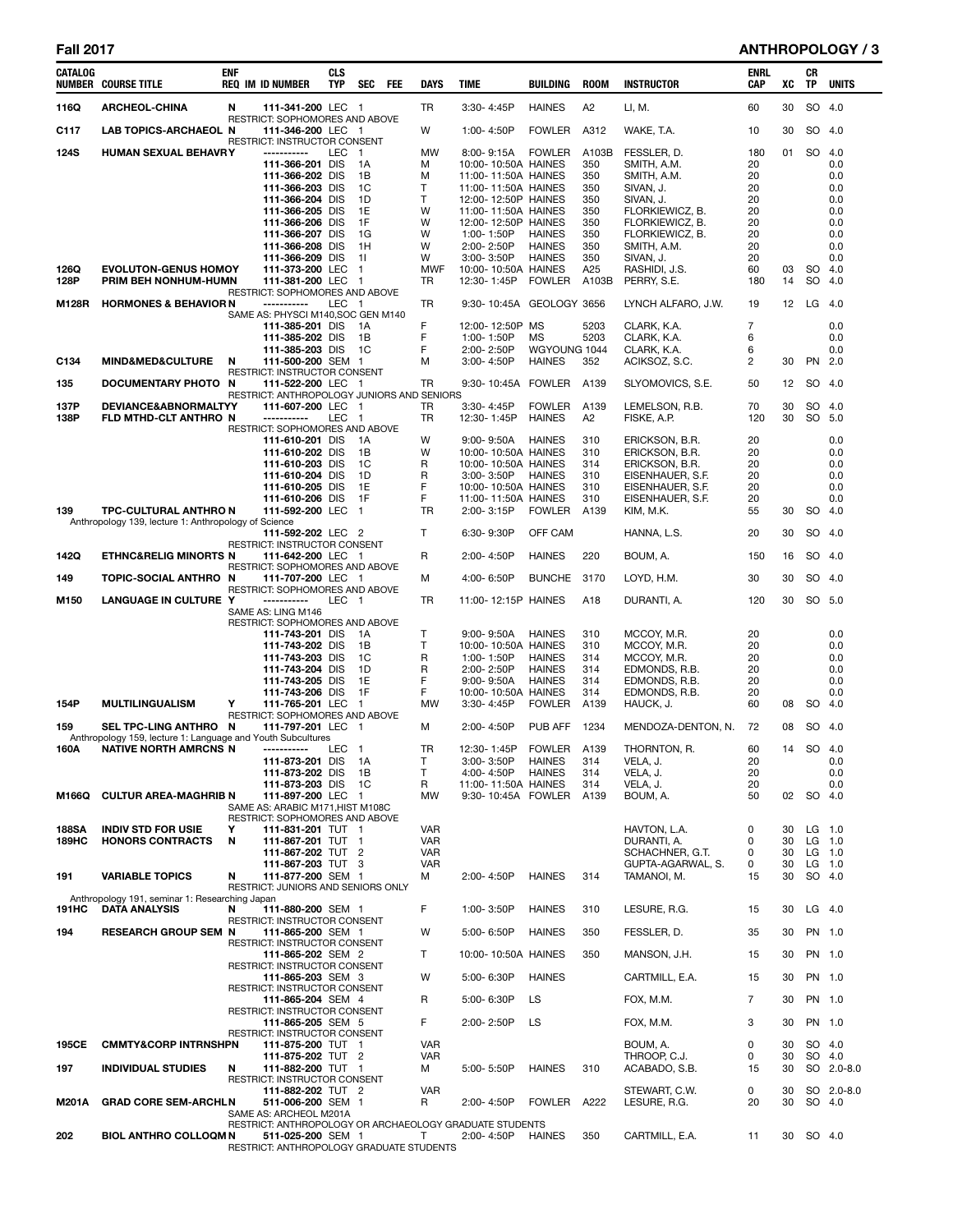# **Fall 2017 ANTHROPOLOGY / 3**

| CATALOG     | <b>NUMBER COURSE TITLE</b>                                             | enf | <b>REQ IM ID NUMBER</b>                                         | <b>CLS</b><br>TYP | <b>SEC</b>         | FEE | <b>DAYS</b>       | <b>TIME</b>                                             | BUILDING                      | <b>ROOM</b> | <b>INSTRUCTOR</b>                  | ENRL<br>CAP | XC       | CR<br>TP           | <b>UNITS</b> |
|-------------|------------------------------------------------------------------------|-----|-----------------------------------------------------------------|-------------------|--------------------|-----|-------------------|---------------------------------------------------------|-------------------------------|-------------|------------------------------------|-------------|----------|--------------------|--------------|
| 116Q        | <b>ARCHEOL-CHINA</b>                                                   | N   | 111-341-200 LEC 1                                               |                   |                    |     | TR                | 3:30-4:45P                                              | <b>HAINES</b>                 | A2          | LI, M.                             | 60          | 30       | SO 4.0             |              |
| C117        | <b>LAB TOPICS-ARCHAEOL N</b>                                           |     | RESTRICT: SOPHOMORES AND ABOVE<br>111-346-200 LEC 1             |                   |                    |     | W                 | 1:00-4:50P                                              | <b>FOWLER</b>                 | A312        | WAKE, T.A.                         | 10          | 30       | SO 4.0             |              |
| <b>124S</b> | HUMAN SEXUAL BEHAVRY                                                   |     | RESTRICT: INSTRUCTOR CONSENT<br>-----------                     | LEC               | $\overline{1}$     |     | MW                | 8:00-9:15A                                              | <b>FOWLER</b>                 | A103B       | FESSLER, D.                        | 180         | 01       | SO 4.0             |              |
|             |                                                                        |     | 111-366-201 DIS                                                 |                   | 1A                 |     | м                 | 10:00-10:50A HAINES                                     |                               | 350         | SMITH, A.M.                        | 20          |          |                    | 0.0          |
|             |                                                                        |     | 111-366-202 DIS<br>111-366-203 DIS                              |                   | 1B<br>1C           |     | М<br>т            | 11:00-11:50A HAINES<br>11:00-11:50A HAINES              |                               | 350<br>350  | SMITH, A.M.<br>SIVAN, J.           | 20<br>20    |          |                    | 0.0<br>0.0   |
|             |                                                                        |     | 111-366-204 DIS                                                 |                   | 1D                 |     | T                 | 12:00-12:50P HAINES                                     |                               | 350         | SIVAN, J.                          | 20          |          |                    | 0.0          |
|             |                                                                        |     | 111-366-205 DIS<br>111-366-206 DIS                              |                   | 1E<br>1F           |     | W<br>W            | 11:00-11:50A HAINES<br>12:00-12:50P HAINES              |                               | 350<br>350  | FLORKIEWICZ, B.<br>FLORKIEWICZ, B. | 20<br>20    |          |                    | 0.0<br>0.0   |
|             |                                                                        |     | 111-366-207 DIS                                                 |                   | 1G                 |     | W                 | 1:00-1:50P                                              | <b>HAINES</b>                 | 350         | FLORKIEWICZ, B.                    | 20          |          |                    | 0.0          |
|             |                                                                        |     | 111-366-208 DIS                                                 |                   | 1H                 |     | W                 | 2:00-2:50P                                              | <b>HAINES</b>                 | 350         | SMITH, A.M.                        | 20          |          |                    | 0.0          |
| 126Q        | <b>EVOLUTON-GENUS HOMOY</b>                                            |     | 111-366-209 DIS<br>111-373-200 LEC                              |                   | 11<br>$\mathbf{1}$ |     | W<br><b>MWF</b>   | 3:00-3:50P<br>10:00-10:50A HAINES                       | <b>HAINES</b>                 | 350<br>A25  | SIVAN, J.<br>RASHIDI, J.S.         | 20<br>60    | 03       | SO 4.0             | 0.0          |
| 128P        | PRIM BEH NONHUM-HUMN                                                   |     | 111-381-200 LEC                                                 |                   | $\overline{1}$     |     | TR                | 12:30-1:45P FOWLER                                      |                               | A103B       | PERRY, S.E.                        | 180         | 14       | SO                 | 4.0          |
| M128R       | <b>HORMONES &amp; BEHAVIOR N</b>                                       |     | RESTRICT: SOPHOMORES AND ABOVE<br>-----------                   | LEC 1             |                    |     | TR                | 9:30-10:45A GEOLOGY 3656                                |                               |             | LYNCH ALFARO, J.W.                 | 19          | 12       | $LG$ 4.0           |              |
|             |                                                                        |     | SAME AS: PHYSCI M140, SOC GEN M140<br>111-385-201 DIS           |                   | 1A                 |     | F                 | 12:00-12:50P MS                                         |                               | 5203        | CLARK, K.A.                        | 7           |          |                    | 0.0          |
|             |                                                                        |     | 111-385-202 DIS                                                 |                   | 1B                 |     | F                 | 1:00-1:50P                                              | МS                            | 5203        | CLARK, K.A.                        | 6           |          |                    | 0.0          |
| C134        | <b>MIND&amp;MED&amp;CULTURE</b>                                        | N   | 111-385-203 DIS<br>111-500-200 SEM 1                            |                   | 1C                 |     | F<br>м            | 2:00-2:50P<br>3:00-4:50P                                | WGYOUNG 1044<br><b>HAINES</b> | 352         | CLARK, K.A.<br>ACIKSOZ, S.C.       | 6<br>2      | 30       | PN 2.0             | 0.0          |
|             |                                                                        |     | RESTRICT: INSTRUCTOR CONSENT                                    |                   |                    |     |                   |                                                         |                               |             |                                    |             |          |                    |              |
| 135         | DOCUMENTARY PHOTO N                                                    |     | 111-522-200 LEC 1<br>RESTRICT: ANTHROPOLOGY JUNIORS AND SENIORS |                   |                    |     | TR                | 9:30-10:45A FOWLER                                      |                               | A139        | SLYOMOVICS, S.E.                   | 50          | 12       | SO 4.0             |              |
| 137P        | DEVIANCE&ABNORMALTYY                                                   |     | 111-607-200 LEC 1                                               |                   |                    |     | TR                | 3:30-4:45P                                              | <b>FOWLER</b>                 | A139        | LEMELSON, R.B.                     | 70          | 30       | SO 4.0             |              |
| 138P        | FLD MTHD-CLT ANTHRO N                                                  |     | -----------<br><b>RESTRICT: SOPHOMORES AND ABOVE</b>            | LEC               | - 1                |     | TR                | 12:30-1:45P                                             | <b>HAINES</b>                 | A2          | FISKE, A.P.                        | 120         | 30       | SO 5.0             |              |
|             |                                                                        |     | 111-610-201 DIS                                                 |                   | 1A                 |     | W                 | $9:00 - 9:50A$                                          | HAINES                        | 310         | ERICKSON, B.R.                     | 20          |          |                    | 0.0          |
|             |                                                                        |     | 111-610-202 DIS                                                 |                   | 1B                 |     | W                 | 10:00-10:50A HAINES                                     |                               | 310         | ERICKSON, B.R.                     | 20          |          |                    | 0.0          |
|             |                                                                        |     | 111-610-203 DIS<br>111-610-204 DIS                              |                   | 1C<br>1D           |     | R<br>R            | 10:00-10:50A HAINES<br>3:00-3:50P                       | HAINES                        | 314<br>310  | ERICKSON, B.R.<br>EISENHAUER, S.F. | 20<br>20    |          |                    | 0.0<br>0.0   |
|             |                                                                        |     | 111-610-205 DIS                                                 |                   | 1E                 |     | F                 | 10:00-10:50A HAINES                                     |                               | 310         | EISENHAUER, S.F.                   | 20          |          |                    | 0.0          |
| 139         | <b>TPC-CULTURAL ANTHRO N</b>                                           |     | 111-610-206 DIS<br>111-592-200 LEC                              |                   | 1F<br>$\mathbf{1}$ |     | F<br><b>TR</b>    | 11:00-11:50A HAINES<br>2:00-3:15P                       | <b>FOWLER</b>                 | 310<br>A139 | EISENHAUER, S.F.<br>KIM, M.K.      | 20<br>55    | 30       | SO 4.0             | 0.0          |
|             | Anthropology 139, lecture 1: Anthropology of Science                   |     | 111-592-202 LEC 2                                               |                   |                    |     | Τ                 | 6:30-9:30P                                              | OFF CAM                       |             | HANNA, L.S.                        | 20          | 30       | SO 4.0             |              |
|             |                                                                        |     | RESTRICT: INSTRUCTOR CONSENT                                    |                   |                    |     |                   |                                                         |                               |             |                                    |             |          |                    |              |
| 142Q        | <b>ETHNC&amp;RELIG MINORTS N</b>                                       |     | 111-642-200 LEC 1<br>RESTRICT: SOPHOMORES AND ABOVE             |                   |                    |     | R                 | 2:00-4:50P                                              | <b>HAINES</b>                 | 220         | BOUM, A.                           | 150         | 16       | SO 4.0             |              |
| 149         | TOPIC-SOCIAL ANTHRO N                                                  |     | 111-707-200 LEC 1<br>RESTRICT: SOPHOMORES AND ABOVE             |                   |                    |     | м                 | 4:00-6:50P                                              | <b>BUNCHE</b>                 | 3170        | LOYD, H.M.                         | 30          | 30       | SO 4.0             |              |
| M150        | LANGUAGE IN CULTURE Y                                                  |     | -----------<br>SAME AS: LING M146                               | LEC 1             |                    |     | TR                | 11:00-12:15P HAINES                                     |                               | A18         | DURANTI, A.                        | 120         | 30       | SO 5.0             |              |
|             |                                                                        |     | RESTRICT: SOPHOMORES AND ABOVE                                  |                   |                    |     |                   |                                                         |                               |             |                                    |             |          |                    |              |
|             |                                                                        |     | 111-743-201 DIS<br>111-743-202 DIS                              |                   | 1A<br>1B           |     | т<br>T            | $9:00 - 9:50A$<br>10:00-10:50A HAINES                   | <b>HAINES</b>                 | 310<br>310  | MCCOY, M.R.<br>MCCOY, M.R.         | 20<br>20    |          |                    | 0.0<br>0.0   |
|             |                                                                        |     | 111-743-203 DIS                                                 |                   | 1C                 |     | R                 | 1:00-1:50P                                              | <b>HAINES</b>                 | 314         | MCCOY, M.R.                        | 20          |          |                    | 0.0          |
|             |                                                                        |     | 111-743-204 DIS                                                 |                   | 1D                 |     | R                 | 2:00-2:50P                                              | <b>HAINES</b>                 | 314         | EDMONDS, R.B.                      | 20          |          |                    | 0.0          |
|             |                                                                        |     | 111-743-205 DIS<br>111-743-206 DIS                              |                   | 1E<br>1F           |     | F<br>F            | $9:00 - 9:50A$<br>10:00-10:50A HAINES                   | <b>HAINES</b>                 | 314<br>314  | EDMONDS, R.B.<br>EDMONDS, R.B.     | 20<br>20    |          |                    | 0.0<br>0.0   |
| 154P        | <b>MULTILINGUALISM</b>                                                 | Y   | 111-765-201 LEC                                                 |                   | $\overline{1}$     |     | <b>MW</b>         | 3:30-4:45P                                              | <b>FOWLER</b>                 | A139        | HAUCK, J.                          | 60          | 08       | SO 4.0             |              |
| 159         | SEL TPC-LING ANTHRO N                                                  |     | RESTRICT: SOPHOMORES AND ABOVE<br>111-797-201 LEC 1             |                   |                    |     | М                 | 2:00-4:50P                                              | PUB AFF                       | 1234        | MENDOZA-DENTON, N.                 | 72          | 08       | SO 4.0             |              |
|             | Anthropology 159, lecture 1: Language and Youth Subcultures            |     |                                                                 |                   |                    |     |                   |                                                         |                               |             |                                    |             |          |                    |              |
| 160A        | <b>NATIVE NORTH AMRCNS N</b>                                           |     | -----------<br>111-873-201 DIS 1A                               | LEC 1             |                    |     | TR<br>Τ           | 12:30-1:45P<br>3:00-3:50P                               | FOWLER<br>HAINES              | A139<br>314 | THORNTON, R.<br>VELA, J.           | 60<br>20    | 14       | SO 4.0             | 0.0          |
|             |                                                                        |     | 111-873-202 DIS                                                 |                   | - 1 B              |     | Т                 | 4:00-4:50P HAINES                                       |                               | 314         | VELA, J.                           | 20          |          |                    | 0.0          |
| M166Q       | <b>CULTUR AREA-MAGHRIB N</b>                                           |     | 111-873-203 DIS<br>111-897-200 LEC 1                            |                   | - 1C               |     | R<br><b>MW</b>    | 11:00-11:50A HAINES<br>9:30-10:45A FOWLER               |                               | 314<br>A139 | VELA, J.<br>BOUM, A.               | 20<br>50    | 02       | SO 4.0             | 0.0          |
|             |                                                                        |     | SAME AS: ARABIC M171, HIST M108C                                |                   |                    |     |                   |                                                         |                               |             |                                    |             |          |                    |              |
| 188SA       | <b>INDIV STD FOR USIE</b>                                              | Y   | RESTRICT: SOPHOMORES AND ABOVE<br>111-831-201 TUT 1             |                   |                    |     | VAR               |                                                         |                               |             | HAVTON, L.A.                       | 0           | 30       | $LG$ 1.0           |              |
| 189HC       | <b>HONORS CONTRACTS</b>                                                | N   | 111-867-201 TUT 1                                               |                   |                    |     | VAR               |                                                         |                               |             | DURANTI, A.                        | 0           | 30       | $LG$ 1.0           |              |
|             |                                                                        |     | 111-867-202 TUT 2                                               |                   |                    |     | VAR               |                                                         |                               |             | SCHACHNER, G.T.                    | 0           | 30       |                    | $LG$ 1.0     |
| 191         | <b>VARIABLE TOPICS</b>                                                 | N   | 111-867-203 TUT 3<br>111-877-200 SEM 1                          |                   |                    |     | <b>VAR</b><br>м   | 2:00-4:50P                                              | <b>HAINES</b>                 | 314         | GUPTA-AGARWAL, S.<br>TAMANOI, M.   | 0<br>15     | 30<br>30 | $LG$ 1.0<br>SO 4.0 |              |
|             |                                                                        |     | RESTRICT: JUNIORS AND SENIORS ONLY                              |                   |                    |     |                   |                                                         |                               |             |                                    |             |          |                    |              |
| 191HC       | Anthropology 191, seminar 1: Researching Japan<br><b>DATA ANALYSIS</b> | N   | 111-880-200 SEM 1                                               |                   |                    |     | F                 | 1:00-3:50P                                              | <b>HAINES</b>                 | 310         | LESURE, R.G.                       | 15          | 30       | $LG$ 4.0           |              |
| 194         | <b>RESEARCH GROUP SEM N</b>                                            |     | RESTRICT: INSTRUCTOR CONSENT<br>111-865-200 SEM 1               |                   |                    |     | W                 | 5:00-6:50P                                              | <b>HAINES</b>                 | 350         | FESSLER, D.                        | 35          | 30       |                    | PN 1.0       |
|             |                                                                        |     | RESTRICT: INSTRUCTOR CONSENT<br>111-865-202 SEM 2               |                   |                    |     | T                 | 10:00-10:50A HAINES                                     |                               | 350         | MANSON, J.H.                       | 15          | 30       | PN 1.0             |              |
|             |                                                                        |     | RESTRICT: INSTRUCTOR CONSENT<br>111-865-203 SEM 3               |                   |                    |     | W                 | 5:00-6:30P                                              | <b>HAINES</b>                 |             | CARTMILL, E.A.                     | 15          | 30       | PN 1.0             |              |
|             |                                                                        |     | RESTRICT: INSTRUCTOR CONSENT<br>111-865-204 SEM 4               |                   |                    |     | R                 | 5:00-6:30P                                              | LS                            |             | FOX, M.M.                          | 7           | 30       | PN 1.0             |              |
|             |                                                                        |     | RESTRICT: INSTRUCTOR CONSENT                                    |                   |                    |     |                   |                                                         |                               |             |                                    |             |          |                    |              |
|             |                                                                        |     | 111-865-205 SEM 5<br>RESTRICT: INSTRUCTOR CONSENT               |                   |                    |     | F                 | 2:00-2:50P                                              | LS                            |             | FOX, M.M.                          | 3           | 30       | PN 1.0             |              |
| 195CE       | <b>CMMTY&amp;CORP INTRNSHPN</b>                                        |     | 111-875-200 TUT 1<br>111-875-202 TUT 2                          |                   |                    |     | <b>VAR</b><br>VAR |                                                         |                               |             | BOUM, A.<br>THROOP, C.J.           | 0<br>0      | 30<br>30 | SO 4.0<br>SO 4.0   |              |
| 197         | <b>INDIVIDUAL STUDIES</b>                                              | N   | 111-882-200 TUT 1                                               |                   |                    |     | м                 | 5:00-5:50P                                              | <b>HAINES</b>                 | 310         | ACABADO, S.B.                      | 15          | 30       |                    | SO 2.0-8.0   |
|             |                                                                        |     | RESTRICT: INSTRUCTOR CONSENT<br>111-882-202 TUT 2               |                   |                    |     | <b>VAR</b>        |                                                         |                               |             | STEWART, C.W.                      | 0           | 30       |                    | SO 2.0-8.0   |
| M201A       | <b>GRAD CORE SEM-ARCHLN</b>                                            |     | 511-006-200 SEM 1                                               |                   |                    |     | R                 | 2:00-4:50P                                              | FOWLER                        | A222        | LESURE, R.G.                       | 20          | 30       | SO 4.0             |              |
|             |                                                                        |     | SAME AS: ARCHEOL M201A                                          |                   |                    |     |                   | RESTRICT: ANTHROPOLOGY OR ARCHAEOLOGY GRADUATE STUDENTS |                               |             |                                    |             |          |                    |              |
| 202         | <b>BIOL ANTHRO COLLOOM N</b>                                           |     | 511-025-200 SEM 1                                               |                   |                    |     | T.                | 2:00-4:50P                                              | <b>HAINES</b>                 | 350         | CARTMILL, E.A.                     | 11          | 30       | SO 4.0             |              |
|             |                                                                        |     | RESTRICT: ANTHROPOLOGY GRADUATE STUDENTS                        |                   |                    |     |                   |                                                         |                               |             |                                    |             |          |                    |              |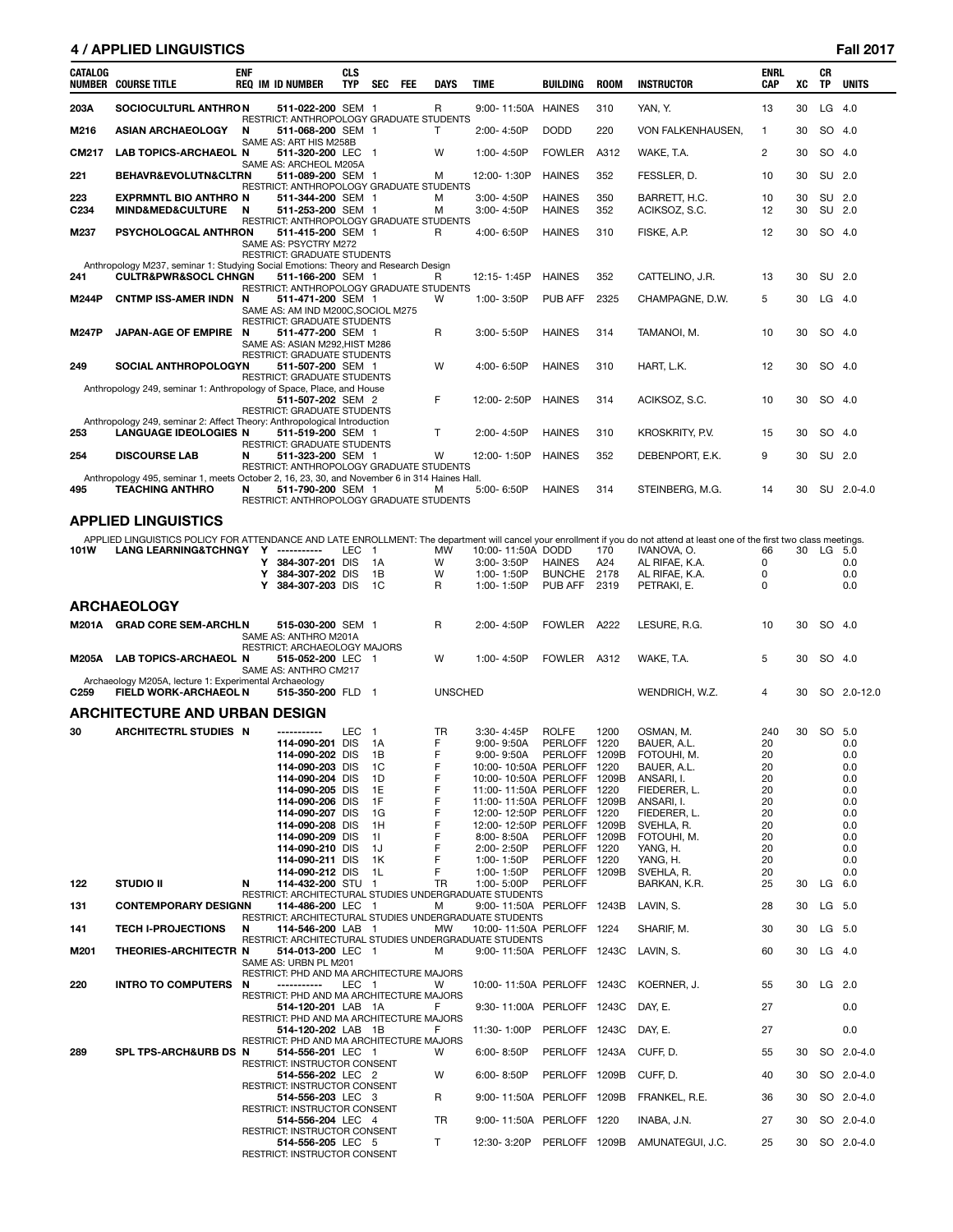# **4 / APPLIED LINGUISTICS Fall 2017**

| CATALOG      | <b>NUMBER COURSE TITLE</b>                                                                               | <b>ENF</b> | <b>REQ IM ID NUMBER</b>                                                     | <b>CLS</b><br><b>TYP</b> | <b>SEC</b>           | <b>FEE</b> | <b>DAYS</b>    | TIME                                                    | <b>BUILDING</b>               | <b>ROOM</b> | <b>INSTRUCTOR</b>                                                                                                                                                            | <b>ENRL</b><br>CAP | XC | CR<br><b>TP</b> | <b>UNITS</b>  |
|--------------|----------------------------------------------------------------------------------------------------------|------------|-----------------------------------------------------------------------------|--------------------------|----------------------|------------|----------------|---------------------------------------------------------|-------------------------------|-------------|------------------------------------------------------------------------------------------------------------------------------------------------------------------------------|--------------------|----|-----------------|---------------|
| 203A         | <b>SOCIOCULTURL ANTHRON</b>                                                                              |            | 511-022-200 SEM 1                                                           |                          |                      |            | R              | 9:00-11:50A                                             | <b>HAINES</b>                 | 310         | YAN, Y.                                                                                                                                                                      | 13                 | 30 | LG              | - 4.0         |
| M216         | <b>ASIAN ARCHAEOLOGY</b>                                                                                 | N          | RESTRICT: ANTHROPOLOGY GRADUATE STUDENTS<br>511-068-200 SEM 1               |                          |                      |            | Т              | 2:00-4:50P                                              | <b>DODD</b>                   | 220         | VON FALKENHAUSEN,                                                                                                                                                            | $\mathbf{1}$       | 30 | SO 4.0          |               |
| CM217        | LAB TOPICS-ARCHAEOL N                                                                                    |            | SAME AS: ART HIS M258B<br>511-320-200 LEC 1                                 |                          |                      |            | W              | 1:00-4:50P                                              | <b>FOWLER</b>                 | A312        | WAKE, T.A.                                                                                                                                                                   | $\overline{c}$     | 30 | SO 4.0          |               |
| 221          | BEHAVR&EVOLUTN&CLTRN                                                                                     |            | SAME AS: ARCHEOL M205A<br>511-089-200 SEM 1                                 |                          |                      |            | м              | 12:00-1:30P                                             | <b>HAINES</b>                 | 352         | FESSLER, D.                                                                                                                                                                  | 10                 | 30 | SU 2.0          |               |
| 223          | <b>EXPRMNTL BIO ANTHRO N</b>                                                                             |            | RESTRICT: ANTHROPOLOGY GRADUATE STUDENTS<br>511-344-200 SEM 1               |                          |                      |            | м              | $3:00 - 4:50P$                                          | <b>HAINES</b>                 | 350         | BARRETT, H.C.                                                                                                                                                                | 10                 | 30 | SU 2.0          |               |
| C234         | MIND&MED&CULTURE N                                                                                       |            | 511-253-200 SEM 1<br>RESTRICT: ANTHROPOLOGY GRADUATE STUDENTS               |                          |                      |            | м              | 3:00-4:50P                                              | <b>HAINES</b>                 | 352         | ACIKSOZ, S.C.                                                                                                                                                                | 12                 | 30 | SU 2.0          |               |
| M237         | PSYCHOLOGCAL ANTHRON                                                                                     |            | 511-415-200 SEM 1<br>SAME AS: PSYCTRY M272                                  |                          |                      |            | R              | 4:00-6:50P                                              | <b>HAINES</b>                 | 310         | FISKE, A.P.                                                                                                                                                                  | 12                 | 30 | SO 4.0          |               |
|              | Anthropology M237, seminar 1: Studying Social Emotions: Theory and Research Design                       |            | <b>RESTRICT: GRADUATE STUDENTS</b>                                          |                          |                      |            |                |                                                         |                               |             |                                                                                                                                                                              |                    |    |                 |               |
| 241          | <b>CULTR&amp;PWR&amp;SOCL CHNGN</b>                                                                      |            | 511-166-200 SEM 1<br>RESTRICT: ANTHROPOLOGY GRADUATE STUDENTS               |                          |                      |            | R              | 12:15-1:45P                                             | <b>HAINES</b>                 | 352         | CATTELINO, J.R.                                                                                                                                                              | 13                 | 30 | SU 2.0          |               |
| <b>M244P</b> | CNTMP ISS-AMER INDN N                                                                                    |            | 511-471-200 SEM 1<br>SAME AS: AM IND M200C, SOCIOL M275                     |                          |                      |            | W              | 1:00-3:50P                                              | <b>PUB AFF</b>                | 2325        | CHAMPAGNE, D.W.                                                                                                                                                              | 5                  | 30 | $LG$ 4.0        |               |
|              |                                                                                                          |            | RESTRICT: GRADUATE STUDENTS                                                 |                          |                      |            | R              |                                                         | <b>HAINES</b>                 | 314         |                                                                                                                                                                              |                    | 30 | SO 4.0          |               |
| M247P        | JAPAN-AGE OF EMPIRE N                                                                                    |            | 511-477-200 SEM 1<br>SAME AS: ASIAN M292, HIST M286                         |                          |                      |            |                | $3:00 - 5:50P$                                          |                               |             | TAMANOI, M.                                                                                                                                                                  | 10                 |    |                 |               |
| 249          | <b>SOCIAL ANTHROPOLOGYN</b>                                                                              |            | RESTRICT: GRADUATE STUDENTS<br>511-507-200 SEM 1                            |                          |                      |            | W              | 4:00-6:50P                                              | <b>HAINES</b>                 | 310         | HART, L.K.                                                                                                                                                                   | 12                 | 30 | SO 4.0          |               |
|              | Anthropology 249, seminar 1: Anthropology of Space, Place, and House                                     |            | <b>RESTRICT: GRADUATE STUDENTS</b>                                          |                          |                      |            |                |                                                         |                               |             |                                                                                                                                                                              |                    |    |                 |               |
|              |                                                                                                          |            | 511-507-202 SEM 2<br>RESTRICT: GRADUATE STUDENTS                            |                          |                      |            | F              | 12:00-2:50P                                             | <b>HAINES</b>                 | 314         | ACIKSOZ, S.C.                                                                                                                                                                | 10                 | 30 | SO 4.0          |               |
| 253          | Anthropology 249, seminar 2: Affect Theory: Anthropological Introduction<br><b>LANGUAGE IDEOLOGIES N</b> |            | 511-519-200 SEM 1                                                           |                          |                      |            | $\mathsf{T}$   | 2:00-4:50P                                              | <b>HAINES</b>                 | 310         | KROSKRITY, P.V.                                                                                                                                                              | 15                 | 30 | SO 4.0          |               |
| 254          | <b>DISCOURSE LAB</b>                                                                                     | N          | <b>RESTRICT: GRADUATE STUDENTS</b><br>511-323-200 SEM 1                     |                          |                      |            | W              | 12:00-1:50P                                             | <b>HAINES</b>                 | 352         | DEBENPORT, E.K.                                                                                                                                                              | 9                  | 30 | SU 2.0          |               |
|              | Anthropology 495, seminar 1, meets October 2, 16, 23, 30, and November 6 in 314 Haines Hall.             |            | RESTRICT: ANTHROPOLOGY GRADUATE STUDENTS                                    |                          |                      |            |                |                                                         |                               |             |                                                                                                                                                                              |                    |    |                 |               |
| 495          | <b>TEACHING ANTHRO</b>                                                                                   | N          | 511-790-200 SEM 1<br>RESTRICT: ANTHROPOLOGY GRADUATE STUDENTS               |                          |                      |            | м              | 5:00-6:50P                                              | <b>HAINES</b>                 | 314         | STEINBERG, M.G.                                                                                                                                                              | 14                 | 30 |                 | SU 2.0-4.0    |
|              | <b>APPLIED LINGUISTICS</b>                                                                               |            |                                                                             |                          |                      |            |                |                                                         |                               |             |                                                                                                                                                                              |                    |    |                 |               |
|              |                                                                                                          |            |                                                                             |                          |                      |            |                |                                                         |                               |             | APPLIED LINGUISTICS POLICY FOR ATTENDANCE AND LATE ENROLLMENT: The department will cancel your enrollment if you do not attend at least one of the first two class meetings. |                    |    |                 |               |
| 101W         | <b>LANG LEARNING&amp;TCHNGY</b>                                                                          |            | Y<br>384-307-201 DIS<br>Y                                                   | <b>LEC</b>               | $\overline{1}$<br>1A |            | <b>MW</b><br>W | 10:00-11:50A DODD<br>3:00-3:50P                         | <b>HAINES</b>                 | 170<br>A24  | IVANOVA, O.<br>AL RIFAE, K.A.                                                                                                                                                | 66<br>0            |    | 30 LG 5.0       | 0.0           |
|              |                                                                                                          |            | 384-307-202 DIS<br>Y<br>Y                                                   |                          | 1B<br>1C             |            | W<br>R         | 1:00-1:50P                                              | BUNCHE 2178                   |             | AL RIFAE, K.A.                                                                                                                                                               | 0<br>0             |    |                 | 0.0           |
|              |                                                                                                          |            | 384-307-203 DIS                                                             |                          |                      |            |                | 1:00-1:50P                                              | PUB AFF                       | 2319        | PETRAKI, E.                                                                                                                                                                  |                    |    |                 | 0.0           |
| M201A        | <b>ARCHAEOLOGY</b><br><b>GRAD CORE SEM-ARCHLN</b>                                                        |            | 515-030-200 SEM 1                                                           |                          |                      |            | R              | 2:00-4:50P                                              | <b>FOWLER</b>                 | A222        | LESURE, R.G.                                                                                                                                                                 | 10                 | 30 | SO 4.0          |               |
|              |                                                                                                          |            | SAME AS: ANTHRO M201A                                                       |                          |                      |            |                |                                                         |                               |             |                                                                                                                                                                              |                    |    |                 |               |
| M205A        | <b>LAB TOPICS-ARCHAEOL N</b>                                                                             |            | RESTRICT: ARCHAEOLOGY MAJORS<br>515-052-200 LEC 1                           |                          |                      |            | W              | 1:00-4:50P                                              | FOWLER A312                   |             | WAKE, T.A.                                                                                                                                                                   | 5                  | 30 | SO 4.0          |               |
|              | Archaeology M205A, lecture 1: Experimental Archaeology                                                   |            | SAME AS: ANTHRO CM217                                                       |                          |                      |            |                |                                                         |                               |             |                                                                                                                                                                              |                    |    |                 |               |
| C259         | <b>FIELD WORK-ARCHAEOL N</b>                                                                             |            | 515-350-200 FLD 1                                                           |                          |                      |            | <b>UNSCHED</b> |                                                         |                               |             | WENDRICH, W.Z.                                                                                                                                                               | 4                  | 30 |                 | SO 2.0-12.0   |
| 30           | ARCHITECTURE AND URBAN DESIGN<br><b>ARCHITECTRL STUDIES N</b>                                            |            | -----------                                                                 | LEC                      | -1                   |            | <b>TR</b>      | $3:30 - 4:45P$                                          | <b>ROLFE</b>                  | 1200        |                                                                                                                                                                              | 240                | 30 | SO 5.0          |               |
|              |                                                                                                          |            | 114-090-201 DIS                                                             |                          | 1A                   |            | F              | 9:00-9:50A                                              | PERLOFF                       | 1220        | OSMAN, M.<br>BAUER, A.L.                                                                                                                                                     | 20                 |    |                 | 0.0           |
|              |                                                                                                          |            | 114-090-202 DIS<br>114-090-203 DIS                                          |                          | 1B<br>-1C            |            | F<br>F         | $9:00 - 9:50A$<br>10:00-10:50A PERLOFF 1220             | PERLOFF                       | 1209B       | FOTOUHI, M.<br>BAUER, A.L.                                                                                                                                                   | 20<br>20           |    |                 | 0.0<br>0.0    |
|              |                                                                                                          |            | 114-090-204 DIS                                                             |                          | -1D                  |            | F              | 10:00-10:50A PERLOFF 1209B                              |                               |             | ANSARI, I.                                                                                                                                                                   | 20                 |    |                 | 0.0           |
|              |                                                                                                          |            | 114-090-205 DIS<br>114-090-206 DIS                                          |                          | 1E<br>1F             |            | F<br>F         | 11:00-11:50A PERLOFF 1220<br>11:00-11:50A PERLOFF 1209B |                               |             | FIEDERER, L.<br>ANSARI, I.                                                                                                                                                   | 20<br>20           |    |                 | 0.0<br>0.0    |
|              |                                                                                                          |            | 114-090-207 DIS                                                             |                          | 1G                   |            | F              | 12:00-12:50P PERLOFF 1220                               |                               |             | FIEDERER, L.                                                                                                                                                                 | 20                 |    |                 | 0.0           |
|              |                                                                                                          |            | 114-090-208 DIS                                                             |                          | 1H                   |            | F              | 12:00-12:50P PERLOFF 1209B                              |                               |             | SVEHLA, R.                                                                                                                                                                   | 20                 |    |                 | 0.0           |
|              |                                                                                                          |            | 114-090-209 DIS<br>114-090-210 DIS                                          |                          | 11<br>-1J            |            | F<br>F         | $8:00 - 8:50A$<br>2:00-2:50P                            | PERLOFF 1209B<br>PERLOFF 1220 |             | FOTOUHI, M.<br>YANG, H.                                                                                                                                                      | 20<br>20           |    |                 | 0.0<br>0.0    |
|              |                                                                                                          |            | 114-090-211 DIS                                                             |                          | -1K                  |            | F              | 1:00-1:50P                                              | PERLOFF 1220                  |             | YANG. H.                                                                                                                                                                     | 20                 |    |                 | 0.0           |
|              |                                                                                                          |            | 114-090-212 DIS                                                             |                          | - 1L                 |            | F              | 1:00-1:50P                                              | PERLOFF 1209B                 |             | SVEHLA, R.                                                                                                                                                                   | 20                 |    |                 | 0.0           |
| 122          | <b>STUDIO II</b>                                                                                         | N          | 114-432-200 STU 1<br>RESTRICT: ARCHITECTURAL STUDIES UNDERGRADUATE STUDENTS |                          |                      |            | TR             | 1:00-5:00P                                              | PERLOFF                       |             | BARKAN, K.R.                                                                                                                                                                 | 25                 | 30 | $LG$ 6.0        |               |
| 131          | <b>CONTEMPORARY DESIGNN</b>                                                                              |            | 114-486-200 LEC 1<br>RESTRICT: ARCHITECTURAL STUDIES UNDERGRADUATE STUDENTS |                          |                      |            | м              | 9:00-11:50A PERLOFF 1243B                               |                               |             | LAVIN, S.                                                                                                                                                                    | 28                 | 30 | LG 5.0          |               |
| 141          | <b>TECH I-PROJECTIONS</b>                                                                                | N          | 114-546-200 LAB 1<br>RESTRICT: ARCHITECTURAL STUDIES UNDERGRADUATE STUDENTS |                          |                      |            | MW             | 10:00-11:50A PERLOFF 1224                               |                               |             | SHARIF, M.                                                                                                                                                                   | 30                 | 30 | LG 5.0          |               |
| M201         | THEORIES-ARCHITECTR N                                                                                    |            | 514-013-200 LEC 1<br>SAME AS: URBN PL M201                                  |                          |                      |            | м              | 9:00-11:50A PERLOFF 1243C                               |                               |             | LAVIN. S.                                                                                                                                                                    | 60                 | 30 | $LG$ 4.0        |               |
|              |                                                                                                          |            | RESTRICT: PHD AND MA ARCHITECTURE MAJORS                                    |                          |                      |            |                |                                                         |                               |             |                                                                                                                                                                              |                    |    |                 |               |
| 220          | <b>INTRO TO COMPUTERS</b>                                                                                | N          | -----------<br>RESTRICT: PHD AND MA ARCHITECTURE MAJORS                     | LEC 1                    |                      |            | W              | 10:00-11:50A PERLOFF 1243C                              |                               |             | KOERNER, J.                                                                                                                                                                  | 55                 |    | 30 LG 2.0       |               |
|              |                                                                                                          |            | 514-120-201 LAB 1A<br>RESTRICT: PHD AND MA ARCHITECTURE MAJORS              |                          |                      |            | F              | 9:30-11:00A PERLOFF 1243C                               |                               |             | DAY, E.                                                                                                                                                                      | 27                 |    |                 | 0.0           |
|              |                                                                                                          |            | 514-120-202 LAB 1B<br>RESTRICT: PHD AND MA ARCHITECTURE MAJORS              |                          |                      |            | F              | 11:30-1:00P                                             | PERLOFF 1243C                 |             | DAY, E.                                                                                                                                                                      | 27                 |    |                 | 0.0           |
| 289          | SPL TPS-ARCH&URB DS N                                                                                    |            | 514-556-201 LEC 1<br>RESTRICT: INSTRUCTOR CONSENT                           |                          |                      |            | W              | $6:00 - 8:50P$                                          | PERLOFF 1243A                 |             | CUFF, D.                                                                                                                                                                     | 55                 | 30 |                 | SO 2.0-4.0    |
|              |                                                                                                          |            | 514-556-202 LEC 2<br>RESTRICT: INSTRUCTOR CONSENT                           |                          |                      |            | W              | $6:00 - 8:50P$                                          | PERLOFF 1209B                 |             | CUFF, D.                                                                                                                                                                     | 40                 | 30 |                 | SO 2.0-4.0    |
|              |                                                                                                          |            | 514-556-203 LEC 3                                                           |                          |                      |            | R              | 9:00-11:50A PERLOFF 1209B                               |                               |             | FRANKEL, R.E.                                                                                                                                                                | 36                 | 30 |                 | SO 2.0-4.0    |
|              |                                                                                                          |            | RESTRICT: INSTRUCTOR CONSENT<br>514-556-204 LEC 4                           |                          |                      |            | <b>TR</b>      | 9:00-11:50A PERLOFF 1220                                |                               |             | INABA, J.N.                                                                                                                                                                  | 27                 | 30 |                 | SO 2.0-4.0    |
|              |                                                                                                          |            | RESTRICT: INSTRUCTOR CONSENT<br><b>514-556-205 LEC 5</b>                    |                          |                      |            | T              |                                                         |                               |             | 12:30-3:20P PERLOFF 1209B AMUNATEGUI, J.C.                                                                                                                                   | 25                 |    |                 | 30 SO 2.0-4.0 |
|              |                                                                                                          |            | DECTDICT: INICTDI ICTOR CONCENT                                             |                          |                      |            |                |                                                         |                               |             |                                                                                                                                                                              |                    |    |                 |               |

RESTRICT: INSTRUCTOR CONSENT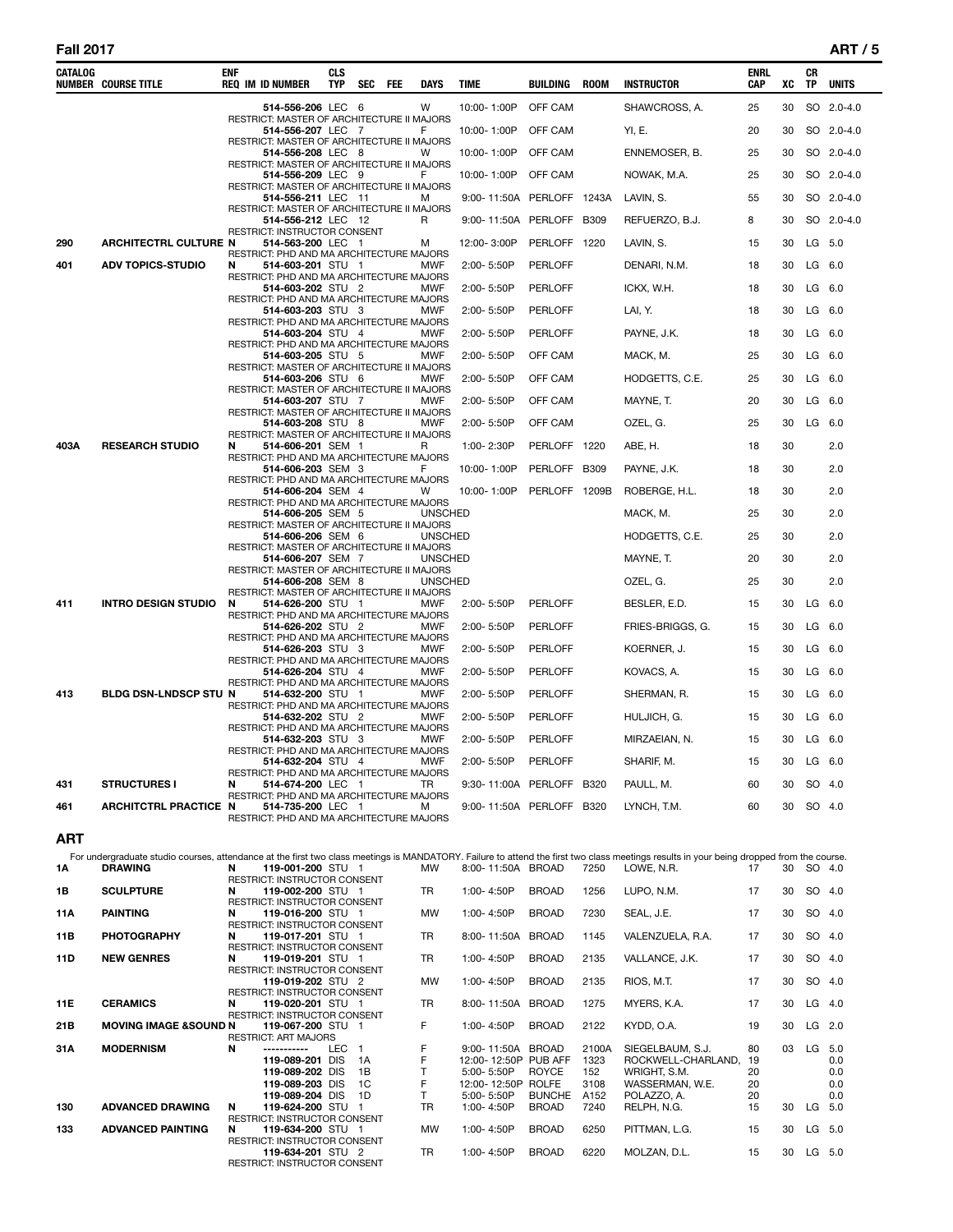#### **Fall 2017 ART / 5**

| CATALOG | <b>NUMBER COURSE TITLE</b>   | ENF | <b>REQ IM ID NUMBER</b>                                                                                   | CLS<br><b>TYP</b> | SEC | FEE | <b>DAYS</b>    | <b>TIME</b>               | <b>BUILDING</b> | <b>ROOM</b> | <b>INSTRUCTOR</b> | <b>ENRL</b><br>CAP | XC | СR<br>TP | <b>UNITS</b> |
|---------|------------------------------|-----|-----------------------------------------------------------------------------------------------------------|-------------------|-----|-----|----------------|---------------------------|-----------------|-------------|-------------------|--------------------|----|----------|--------------|
|         |                              |     | 514-556-206 LEC 6<br>RESTRICT: MASTER OF ARCHITECTURE II MAJORS                                           |                   |     |     | w              | 10:00-1:00P               | OFF CAM         |             | SHAWCROSS, A.     | 25                 | 30 |          | SO 2.0-4.0   |
|         |                              |     | 514-556-207 LEC 7<br>RESTRICT: MASTER OF ARCHITECTURE II MAJORS                                           |                   |     |     | F              | 10:00-1:00P               | OFF CAM         |             | YI, E.            | 20                 | 30 |          | SO 2.0-4.0   |
|         |                              |     | 514-556-208 LEC 8<br>RESTRICT: MASTER OF ARCHITECTURE II MAJORS                                           |                   |     |     | W              | 10:00-1:00P               | OFF CAM         |             | ENNEMOSER, B.     | 25                 | 30 |          | SO 2.0-4.0   |
|         |                              |     | 514-556-209 LEC 9<br>RESTRICT: MASTER OF ARCHITECTURE II MAJORS                                           |                   |     |     | F              | 10:00-1:00P               | OFF CAM         |             | NOWAK, M.A.       | 25                 | 30 |          | SO 2.0-4.0   |
|         |                              |     | 514-556-211 LEC 11<br>RESTRICT: MASTER OF ARCHITECTURE II MAJORS                                          |                   |     |     | м              | 9:00-11:50A PERLOFF 1243A |                 |             | LAVIN, S.         | 55                 | 30 |          | SO 2.0-4.0   |
|         |                              |     | 514-556-212 LEC 12                                                                                        |                   |     |     | R              | 9:00-11:50A PERLOFF       |                 | <b>B309</b> | REFUERZO, B.J.    | 8                  | 30 |          | SO 2.0-4.0   |
| 290     | <b>ARCHITECTRL CULTURE N</b> |     | RESTRICT: INSTRUCTOR CONSENT<br>514-563-200 LEC 1                                                         |                   |     |     | м              | 12:00-3:00P               | PERLOFF 1220    |             | LAVIN, S.         | 15                 | 30 |          | LG 5.0       |
| 401     | <b>ADV TOPICS-STUDIO</b>     | N   | RESTRICT: PHD AND MA ARCHITECTURE MAJORS<br>514-603-201 STU 1                                             |                   |     |     | <b>MWF</b>     | 2:00-5:50P                | <b>PERLOFF</b>  |             | DENARI, N.M.      | 18                 | 30 |          | LG 6.0       |
|         |                              |     | RESTRICT: PHD AND MA ARCHITECTURE MAJORS<br>514-603-202 STU 2<br>RESTRICT: PHD AND MA ARCHITECTURE MAJORS |                   |     |     | <b>MWF</b>     | 2:00-5:50P                | <b>PERLOFF</b>  |             | ICKX, W.H.        | 18                 | 30 |          | $LG$ 6.0     |
|         |                              |     | 514-603-203 STU 3                                                                                         |                   |     |     | <b>MWF</b>     | 2:00-5:50P                | <b>PERLOFF</b>  |             | LAI, Y.           | 18                 | 30 |          | $LG$ 6.0     |
|         |                              |     | RESTRICT: PHD AND MA ARCHITECTURE MAJORS<br>514-603-204 STU 4                                             |                   |     |     | <b>MWF</b>     | 2:00-5:50P                | <b>PERLOFF</b>  |             | PAYNE, J.K.       | 18                 | 30 |          | $LG$ 6.0     |
|         |                              |     | RESTRICT: PHD AND MA ARCHITECTURE MAJORS<br>514-603-205 STU 5                                             |                   |     |     | MWF            | 2:00-5:50P                | OFF CAM         |             | MACK, M.          | 25                 | 30 |          | $LG$ 6.0     |
|         |                              |     | RESTRICT: MASTER OF ARCHITECTURE II MAJORS<br>514-603-206 STU 6                                           |                   |     |     | <b>MWF</b>     | 2:00-5:50P                | OFF CAM         |             | HODGETTS, C.E.    | 25                 | 30 |          | $LG$ 6.0     |
|         |                              |     | RESTRICT: MASTER OF ARCHITECTURE II MAJORS<br>514-603-207 STU 7                                           |                   |     |     | <b>MWF</b>     | 2:00-5:50P                | OFF CAM         |             | MAYNE, T.         | 20                 | 30 |          | $LG$ 6.0     |
|         |                              |     | RESTRICT: MASTER OF ARCHITECTURE II MAJORS<br>514-603-208 STU 8                                           |                   |     |     | MWF            | 2:00-5:50P                | OFF CAM         |             | OZEL, G.          | 25                 | 30 |          | $LG$ 6.0     |
| 403A    | <b>RESEARCH STUDIO</b>       | N   | RESTRICT: MASTER OF ARCHITECTURE II MAJORS<br>514-606-201 SEM 1                                           |                   |     |     | R              | 1:00-2:30P                | PERLOFF 1220    |             | ABE, H.           | 18                 | 30 |          | 2.0          |
|         |                              |     | RESTRICT: PHD AND MA ARCHITECTURE MAJORS<br>514-606-203 SEM 3                                             |                   |     |     | F              | 10:00-1:00P               | PERLOFF B309    |             | PAYNE, J.K.       | 18                 | 30 |          | 2.0          |
|         |                              |     | RESTRICT: PHD AND MA ARCHITECTURE MAJORS<br>514-606-204 SEM 4                                             |                   |     |     | w              | 10:00-1:00P               | PERLOFF 1209B   |             | ROBERGE, H.L.     | 18                 | 30 |          | 2.0          |
|         |                              |     | RESTRICT: PHD AND MA ARCHITECTURE MAJORS<br>514-606-205 SEM 5                                             |                   |     |     | <b>UNSCHED</b> |                           |                 |             | MACK, M.          | 25                 | 30 |          | 2.0          |
|         |                              |     | RESTRICT: MASTER OF ARCHITECTURE II MAJORS<br>514-606-206 SEM 6                                           |                   |     |     | <b>UNSCHED</b> |                           |                 |             | HODGETTS, C.E.    | 25                 | 30 |          | 2.0          |
|         |                              |     | RESTRICT: MASTER OF ARCHITECTURE II MAJORS<br>514-606-207 SEM 7                                           |                   |     |     | <b>UNSCHED</b> |                           |                 |             | MAYNE, T.         | 20                 | 30 |          | 2.0          |
|         |                              |     | RESTRICT: MASTER OF ARCHITECTURE II MAJORS<br>514-606-208 SEM 8                                           |                   |     |     | <b>UNSCHED</b> |                           |                 |             | OZEL, G.          | 25                 | 30 |          | 2.0          |
| 411     | <b>INTRO DESIGN STUDIO</b>   | N   | RESTRICT: MASTER OF ARCHITECTURE II MAJORS<br>514-626-200 STU 1                                           |                   |     |     | <b>MWF</b>     | 2:00-5:50P                | <b>PERLOFF</b>  |             | BESLER, E.D.      | 15                 | 30 |          | $LG$ 6.0     |
|         |                              |     | RESTRICT: PHD AND MA ARCHITECTURE MAJORS<br>514-626-202 STU 2                                             |                   |     |     | <b>MWF</b>     | 2:00-5:50P                | <b>PERLOFF</b>  |             | FRIES-BRIGGS, G.  | 15                 | 30 |          | $LG$ 6.0     |
|         |                              |     | RESTRICT: PHD AND MA ARCHITECTURE MAJORS<br>514-626-203 STU 3                                             |                   |     |     | <b>MWF</b>     | 2:00-5:50P                | <b>PERLOFF</b>  |             | KOERNER, J.       | 15                 | 30 |          | $LG$ 6.0     |
|         |                              |     | RESTRICT: PHD AND MA ARCHITECTURE MAJORS<br>514-626-204 STU 4                                             |                   |     |     | <b>MWF</b>     | 2:00-5:50P                | <b>PERLOFF</b>  |             | KOVACS, A.        | 15                 | 30 |          | $LG$ 6.0     |
| 413     | BLDG DSN-LNDSCP STU N        |     | RESTRICT: PHD AND MA ARCHITECTURE MAJORS<br>514-632-200 STU 1                                             |                   |     |     | <b>MWF</b>     | 2:00-5:50P                | <b>PERLOFF</b>  |             | SHERMAN, R.       | 15                 | 30 |          | $LG$ 6.0     |
|         |                              |     | RESTRICT: PHD AND MA ARCHITECTURE MAJORS<br>514-632-202 STU 2                                             |                   |     |     | MWF            | 2:00-5:50P                | <b>PERLOFF</b>  |             | HULJICH, G.       | 15                 | 30 |          | $LG$ 6.0     |
|         |                              |     | RESTRICT: PHD AND MA ARCHITECTURE MAJORS<br>514-632-203 STU 3                                             |                   |     |     | <b>MWF</b>     | 2:00-5:50P                | <b>PERLOFF</b>  |             | MIRZAEIAN, N.     | 15                 | 30 |          | $LG$ 6.0     |
|         |                              |     | RESTRICT: PHD AND MA ARCHITECTURE MAJORS<br>514-632-204 STU 4                                             |                   |     |     | MWF            | 2:00-5:50P                | <b>PERLOFF</b>  |             | SHARIF, M.        | 15                 | 30 |          | $LG$ 6.0     |
|         |                              |     | RESTRICT: PHD AND MA ARCHITECTURE MAJORS                                                                  |                   |     |     |                |                           |                 |             |                   |                    | 30 |          |              |
| 431     | <b>STRUCTURES I</b>          | N   | 514-674-200 LEC 1<br>RESTRICT: PHD AND MA ARCHITECTURE MAJORS                                             |                   |     |     | TR             | 9:30-11:00A PERLOFF       |                 | <b>B320</b> | PAULL, M.         | 60                 |    |          | SO 4.0       |
| 461     | <b>ARCHITCTRL PRACTICE N</b> |     | 514-735-200 LEC 1<br>RESTRICT: PHD AND MA ARCHITECTURE MAJORS                                             |                   |     |     | м              | 9:00-11:50A PERLOFF B320  |                 |             | LYNCH, T.M.       | 60                 | 30 |          | SO 4.0       |

# **ART**

|           | For undergraduate studio courses, attendance at the first two class meetings is MANDATORY. Failure to attend the first two class meetings results in your being dropped from the course. |   |                                     |            |    |           |                |                      |       |                    |    |    |          |     |
|-----------|------------------------------------------------------------------------------------------------------------------------------------------------------------------------------------------|---|-------------------------------------|------------|----|-----------|----------------|----------------------|-------|--------------------|----|----|----------|-----|
| <b>1A</b> | <b>DRAWING</b>                                                                                                                                                                           | N | 119-001-200 STU 1                   |            |    | MW        |                | 8:00-11:50A BROAD    | 7250  | LOWE, N.R.         | 17 | 30 | SO 4.0   |     |
|           |                                                                                                                                                                                          |   | <b>RESTRICT: INSTRUCTOR CONSENT</b> |            |    |           |                |                      |       |                    |    |    |          |     |
| 1В        | <b>SCULPTURE</b>                                                                                                                                                                         | N | 119-002-200 STU 1                   |            |    | <b>TR</b> | 1:00-4:50P     | <b>BROAD</b>         | 1256  | LUPO, N.M.         | 17 | 30 | SO 4.0   |     |
|           |                                                                                                                                                                                          |   | <b>RESTRICT: INSTRUCTOR CONSENT</b> |            |    |           |                |                      |       |                    |    |    |          |     |
| 11A       | <b>PAINTING</b>                                                                                                                                                                          | N | 119-016-200 STU 1                   |            |    | <b>MW</b> | 1:00-4:50P     | <b>BROAD</b>         | 7230  | SEAL, J.E.         | 17 | 30 | SO 4.0   |     |
|           |                                                                                                                                                                                          |   | <b>RESTRICT: INSTRUCTOR CONSENT</b> |            |    |           |                |                      |       |                    |    |    |          |     |
| 11B       | <b>PHOTOGRAPHY</b>                                                                                                                                                                       | N | 119-017-201 STU 1                   |            |    | <b>TR</b> | 8:00-11:50A    | <b>BROAD</b>         | 1145  | VALENZUELA, R.A.   | 17 | 30 | SO 4.0   |     |
|           |                                                                                                                                                                                          |   | <b>RESTRICT: INSTRUCTOR CONSENT</b> |            |    |           |                |                      |       |                    |    |    |          |     |
| 11D       | <b>NEW GENRES</b>                                                                                                                                                                        | N | 119-019-201 STU 1                   |            |    | <b>TR</b> | 1:00-4:50P     | <b>BROAD</b>         | 2135  | VALLANCE, J.K.     | 17 | 30 | SO 4.0   |     |
|           |                                                                                                                                                                                          |   | <b>RESTRICT: INSTRUCTOR CONSENT</b> |            |    |           |                |                      |       |                    |    |    |          |     |
|           |                                                                                                                                                                                          |   | 119-019-202 STU 2                   |            |    | <b>MW</b> | 1:00-4:50P     | <b>BROAD</b>         | 2135  | RIOS, M.T.         | 17 | 30 | SO 4.0   |     |
|           |                                                                                                                                                                                          |   | <b>RESTRICT: INSTRUCTOR CONSENT</b> |            |    |           |                |                      |       |                    |    |    |          |     |
| 11E       | <b>CERAMICS</b>                                                                                                                                                                          | N | 119-020-201 STU 1                   |            |    | <b>TR</b> | 8:00-11:50A    | <b>BROAD</b>         | 1275  | MYERS, K.A.        | 17 | 30 | LG 4.0   |     |
|           |                                                                                                                                                                                          |   | <b>RESTRICT: INSTRUCTOR CONSENT</b> |            |    |           |                |                      |       |                    |    |    |          |     |
| 21B       | <b>MOVING IMAGE &amp;SOUND N</b>                                                                                                                                                         |   | 119-067-200 STU 1                   |            |    | F.        | 1:00-4:50P     | <b>BROAD</b>         | 2122  | KYDD, O.A.         | 19 | 30 | LG       | 2.0 |
|           |                                                                                                                                                                                          |   | <b>RESTRICT: ART MAJORS</b>         |            |    |           |                |                      |       |                    |    |    |          |     |
| 31A       | <b>MODERNISM</b>                                                                                                                                                                         | N | -----------                         | LEC.       |    | F         | 9:00-11:50A    | <b>BROAD</b>         | 2100A | SIEGELBAUM, S.J.   | 80 | 03 | LG       | 5.0 |
|           |                                                                                                                                                                                          |   | 119-089-201                         | <b>DIS</b> | 1A |           |                | 12:00-12:50P PUB AFF | 1323  | ROCKWELL-CHARLAND. | 19 |    |          | 0.0 |
|           |                                                                                                                                                                                          |   | 119-089-202 DIS                     |            | 1B |           | 5:00-5:50P     | <b>ROYCE</b>         | 152   | WRIGHT, S.M.       | 20 |    |          | 0.0 |
|           |                                                                                                                                                                                          |   | 119-089-203 DIS                     |            | 1C |           |                | 12:00-12:50P ROLFE   | 3108  | WASSERMAN, W.E.    | 20 |    |          | 0.0 |
|           |                                                                                                                                                                                          |   | 119-089-204 DIS                     |            | 1D |           | 5:00-5:50P     | <b>BUNCHE</b>        | A152  | POLAZZO, A.        | 20 |    |          | 0.0 |
| 130       | <b>ADVANCED DRAWING</b>                                                                                                                                                                  | N | 119-624-200 STU                     |            |    | TR        | $1:00 - 4:50P$ | <b>BROAD</b>         | 7240  | RELPH, N.G.        | 15 | 30 | LG       | 5.0 |
|           |                                                                                                                                                                                          |   | <b>RESTRICT: INSTRUCTOR CONSENT</b> |            |    |           |                |                      |       |                    |    |    |          |     |
| 133       | <b>ADVANCED PAINTING</b>                                                                                                                                                                 | N | 119-634-200 STU 1                   |            |    | MW        | 1:00-4:50P     | <b>BROAD</b>         | 6250  | PITTMAN, L.G.      | 15 | 30 | $LG$ 5.0 |     |
|           |                                                                                                                                                                                          |   | <b>RESTRICT: INSTRUCTOR CONSENT</b> |            |    |           |                |                      |       |                    |    |    |          |     |
|           |                                                                                                                                                                                          |   | 119-634-201 STU 2                   |            |    | <b>TR</b> | 1:00-4:50P     | <b>BROAD</b>         | 6220  | MOLZAN, D.L.       | 15 | 30 | $LG$ 5.0 |     |
|           |                                                                                                                                                                                          |   | <b>RESTRICT: INSTRUCTOR CONSENT</b> |            |    |           |                |                      |       |                    |    |    |          |     |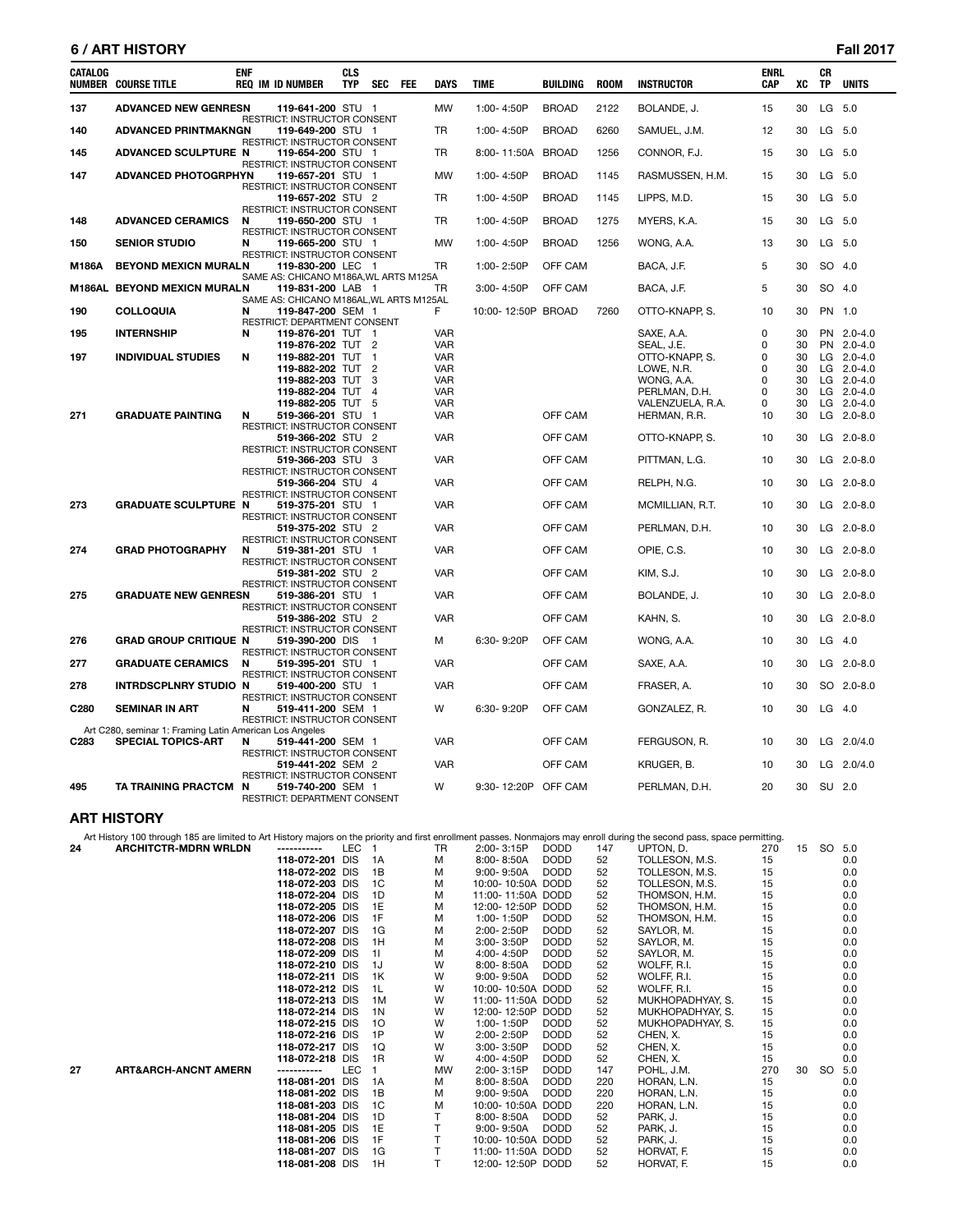# **6 / ART HISTORY Fall 2017**

| CATALOG | <b>NUMBER COURSE TITLE</b>                                                           | <b>ENF</b> | <b>REQ IM ID NUMBER</b>                                                           | <b>CLS</b><br><b>TYP</b> | <b>SEC</b>                     | <b>FEE</b> | <b>DAYS</b>       | <b>TIME</b>         | BUILDING     | <b>ROOM</b> | <b>INSTRUCTOR</b>            | <b>ENRL</b><br>CAP | XC       | CR<br><b>TP</b> | <b>UNITS</b>               |
|---------|--------------------------------------------------------------------------------------|------------|-----------------------------------------------------------------------------------|--------------------------|--------------------------------|------------|-------------------|---------------------|--------------|-------------|------------------------------|--------------------|----------|-----------------|----------------------------|
| 137     | <b>ADVANCED NEW GENRESN</b>                                                          |            | 119-641-200 STU 1<br>RESTRICT: INSTRUCTOR CONSENT                                 |                          |                                |            | <b>MW</b>         | 1:00-4:50P          | <b>BROAD</b> | 2122        | BOLANDE, J.                  | 15                 | 30       |                 | LG 5.0                     |
| 140     | <b>ADVANCED PRINTMAKNGN</b>                                                          |            | 119-649-200 STU 1<br>RESTRICT: INSTRUCTOR CONSENT                                 |                          |                                |            | TR                | 1:00-4:50P          | <b>BROAD</b> | 6260        | SAMUEL, J.M.                 | 12                 | 30       |                 | LG 5.0                     |
| 145     | ADVANCED SCULPTURE N                                                                 |            | 119-654-200 STU 1<br>RESTRICT: INSTRUCTOR CONSENT                                 |                          |                                |            | TR                | 8:00-11:50A         | <b>BROAD</b> | 1256        | CONNOR, F.J.                 | 15                 | 30       |                 | LG 5.0                     |
| 147     | <b>ADVANCED PHOTOGRPHYN</b>                                                          |            | 119-657-201 STU 1<br>RESTRICT: INSTRUCTOR CONSENT                                 |                          |                                |            | <b>MW</b>         | 1:00-4:50P          | <b>BROAD</b> | 1145        | RASMUSSEN, H.M.              | 15                 | 30       |                 | LG 5.0                     |
|         |                                                                                      |            | 119-657-202 STU 2<br>RESTRICT: INSTRUCTOR CONSENT                                 |                          |                                |            | <b>TR</b>         | 1:00-4:50P          | <b>BROAD</b> | 1145        | LIPPS, M.D.                  | 15                 | 30       |                 | LG 5.0                     |
| 148     | <b>ADVANCED CERAMICS</b>                                                             | N          | 119-650-200 STU 1<br>RESTRICT: INSTRUCTOR CONSENT                                 |                          |                                |            | TR                | 1:00-4:50P          | <b>BROAD</b> | 1275        | MYERS, K.A.                  | 15                 | 30       |                 | LG 5.0                     |
| 150     | <b>SENIOR STUDIO</b>                                                                 | N          | 119-665-200 STU 1<br>RESTRICT: INSTRUCTOR CONSENT                                 |                          |                                |            | MW                | 1:00-4:50P          | <b>BROAD</b> | 1256        | WONG, A.A.                   | 13                 | 30       |                 | LG 5.0                     |
| M186A   | <b>BEYOND MEXICN MURALN</b>                                                          |            | 119-830-200 LEC 1<br>SAME AS: CHICANO M186A, WL ARTS M125A                        |                          |                                |            | TR                | 1:00-2:50P          | OFF CAM      |             | BACA, J.F.                   | 5                  | 30       |                 | SO 4.0                     |
|         | M186AL BEYOND MEXICN MURALN                                                          |            | 119-831-200 LAB 1<br>SAME AS: CHICANO M186AL, WL ARTS M125AL                      |                          |                                |            | TR                | 3:00-4:50P          | OFF CAM      |             | BACA, J.F.                   | 5                  | 30       |                 | SO 4.0                     |
| 190     | <b>COLLOQUIA</b>                                                                     | N          | 119-847-200 SEM 1<br>RESTRICT: DEPARTMENT CONSENT                                 |                          |                                |            | F                 | 10:00-12:50P BROAD  |              | 7260        | OTTO-KNAPP, S.               | 10                 | 30       |                 | PN 1.0                     |
| 195     | <b>INTERNSHIP</b>                                                                    | N          | 119-876-201 TUT 1                                                                 |                          |                                |            | VAR               |                     |              |             | SAXE, A.A.                   | 0                  | 30       |                 | PN 2.0-4.0                 |
| 197     | <b>INDIVIDUAL STUDIES</b>                                                            | N          | 119-876-202 TUT<br>119-882-201 TUT                                                |                          | $\overline{2}$<br>$\mathbf{1}$ |            | <b>VAR</b><br>VAR |                     |              |             | SEAL, J.E.<br>OTTO-KNAPP, S. | 0<br>0             | 30<br>30 |                 | PN 2.0-4.0<br>$LG$ 2.0-4.0 |
|         |                                                                                      |            | 119-882-202 TUT                                                                   |                          | $\overline{2}$                 |            | <b>VAR</b>        |                     |              |             | LOWE, N.R.                   | 0                  | 30       |                 | $LG$ 2.0-4.0               |
|         |                                                                                      |            | 119-882-203 TUT                                                                   |                          | 3                              |            | <b>VAR</b>        |                     |              |             | WONG, A.A.                   | 0                  | 30       |                 | $LG$ 2.0-4.0               |
|         |                                                                                      |            | 119-882-204 TUT                                                                   |                          | $\overline{4}$                 |            | <b>VAR</b>        |                     |              |             | PERLMAN, D.H.                | 0                  | 30       |                 | LG 2.0-4.0                 |
|         |                                                                                      |            | 119-882-205 TUT                                                                   |                          | -5                             |            | <b>VAR</b>        |                     |              |             | VALENZUELA, R.A.             | $\Omega$           | 30       |                 | LG 2.0-4.0                 |
| 271     | <b>GRADUATE PAINTING</b>                                                             | N          | 519-366-201 STU                                                                   |                          | - 1                            |            | <b>VAR</b>        |                     | OFF CAM      |             | HERMAN, R.R.                 | 10                 | 30       |                 | LG 2.0-8.0                 |
|         |                                                                                      |            | RESTRICT: INSTRUCTOR CONSENT                                                      |                          |                                |            |                   |                     |              |             |                              |                    |          |                 |                            |
|         |                                                                                      |            | 519-366-202 STU 2                                                                 |                          |                                |            | <b>VAR</b>        |                     | OFF CAM      |             | OTTO-KNAPP, S.               | 10                 | 30       |                 | $LG$ 2.0-8.0               |
|         |                                                                                      |            | RESTRICT: INSTRUCTOR CONSENT<br>519-366-203 STU 3                                 |                          |                                |            | <b>VAR</b>        |                     | OFF CAM      |             | PITTMAN, L.G.                | 10                 | 30       |                 | LG $2.0 - 8.0$             |
|         |                                                                                      |            | RESTRICT: INSTRUCTOR CONSENT                                                      |                          |                                |            |                   |                     |              |             |                              |                    |          |                 |                            |
|         |                                                                                      |            | 519-366-204 STU 4                                                                 |                          |                                |            | <b>VAR</b>        |                     | OFF CAM      |             | RELPH, N.G.                  | 10                 | 30       |                 | LG 2.0-8.0                 |
|         |                                                                                      |            | RESTRICT: INSTRUCTOR CONSENT                                                      |                          |                                |            |                   |                     |              |             |                              |                    |          |                 |                            |
| 273     | <b>GRADUATE SCULPTURE N</b>                                                          |            | 519-375-201 STU 1                                                                 |                          |                                |            | <b>VAR</b>        |                     | OFF CAM      |             | MCMILLIAN, R.T.              | 10                 | 30       |                 | LG 2.0-8.0                 |
|         |                                                                                      |            | RESTRICT: INSTRUCTOR CONSENT                                                      |                          |                                |            | <b>VAR</b>        |                     | OFF CAM      |             |                              | 10                 | 30       |                 | LG 2.0-8.0                 |
|         |                                                                                      |            | 519-375-202 STU 2<br>RESTRICT: INSTRUCTOR CONSENT                                 |                          |                                |            |                   |                     |              |             | PERLMAN, D.H.                |                    |          |                 |                            |
| 274     | <b>GRAD PHOTOGRAPHY</b>                                                              | N          | 519-381-201 STU 1                                                                 |                          |                                |            | <b>VAR</b>        |                     | OFF CAM      |             | OPIE, C.S.                   | 10                 | 30       |                 | $LG$ 2.0-8.0               |
|         |                                                                                      |            | RESTRICT: INSTRUCTOR CONSENT                                                      |                          |                                |            |                   |                     |              |             |                              |                    |          |                 |                            |
|         |                                                                                      |            | 519-381-202 STU 2                                                                 |                          |                                |            | <b>VAR</b>        |                     | OFF CAM      |             | KIM, S.J.                    | 10                 | 30       |                 | LG 2.0-8.0                 |
|         |                                                                                      |            | RESTRICT: INSTRUCTOR CONSENT                                                      |                          |                                |            |                   |                     |              |             |                              |                    |          |                 |                            |
| 275     | <b>GRADUATE NEW GENRESN</b>                                                          |            | 519-386-201 STU 1                                                                 |                          |                                |            | <b>VAR</b>        |                     | OFF CAM      |             | BOLANDE, J.                  | 10                 | 30       |                 | LG 2.0-8.0                 |
|         |                                                                                      |            | RESTRICT: INSTRUCTOR CONSENT<br>519-386-202 STU 2<br>RESTRICT: INSTRUCTOR CONSENT |                          |                                |            | <b>VAR</b>        |                     | OFF CAM      |             | KAHN, S.                     | 10                 | 30       |                 | LG 2.0-8.0                 |
| 276     | <b>GRAD GROUP CRITIQUE N</b>                                                         |            | 519-390-200 DIS 1                                                                 |                          |                                |            | м                 | 6:30-9:20P          | OFF CAM      |             | WONG, A.A.                   | 10                 | 30       |                 | $LG$ 4.0                   |
| 277     | <b>GRADUATE CERAMICS</b>                                                             | N          | RESTRICT: INSTRUCTOR CONSENT<br>519-395-201 STU 1                                 |                          |                                |            | <b>VAR</b>        |                     | OFF CAM      |             | SAXE, A.A.                   | 10                 | 30       |                 | $LG$ 2.0-8.0               |
| 278     | INTRDSCPLNRY STUDIO N                                                                |            | <b>RESTRICT: INSTRUCTOR CONSENT</b><br>519-400-200 STU 1                          |                          |                                |            | <b>VAR</b>        |                     | OFF CAM      |             | FRASER, A.                   | 10                 | 30       |                 | SO 2.0-8.0                 |
|         |                                                                                      |            | RESTRICT: INSTRUCTOR CONSENT                                                      |                          |                                |            |                   |                     |              |             |                              |                    |          |                 |                            |
| C280    | <b>SEMINAR IN ART</b>                                                                | N          | 519-411-200 SEM 1<br>RESTRICT: INSTRUCTOR CONSENT                                 |                          |                                |            | W                 | 6:30-9:20P          | OFF CAM      |             | GONZALEZ, R.                 | 10                 | 30       |                 | $LG$ 4.0                   |
| C283    | Art C280, seminar 1: Framing Latin American Los Angeles<br><b>SPECIAL TOPICS-ART</b> | N          | 519-441-200 SEM 1                                                                 |                          |                                |            | <b>VAR</b>        |                     | OFF CAM      |             | FERGUSON, R.                 | 10                 | 30       |                 | LG 2.0/4.0                 |
|         |                                                                                      |            | RESTRICT: INSTRUCTOR CONSENT                                                      |                          |                                |            |                   |                     |              |             |                              |                    |          |                 |                            |
|         |                                                                                      |            | 519-441-202 SEM 2                                                                 |                          |                                |            | <b>VAR</b>        |                     | OFF CAM      |             | KRUGER, B.                   | 10                 | 30       |                 | LG 2.0/4.0                 |
| 495     | TA TRAINING PRACTCM N                                                                |            | RESTRICT: INSTRUCTOR CONSENT<br>519-740-200 SEM 1                                 |                          |                                |            | W                 | 9:30-12:20P OFF CAM |              |             | PERLMAN, D.H.                | 20                 | 30       |                 | SU 2.0                     |
|         |                                                                                      |            | RESTRICT: DEPARTMENT CONSENT                                                      |                          |                                |            |                   |                     |              |             |                              |                    |          |                 |                            |

# **ART HISTORY**

|    | Art History 100 through 185 are limited to Art History majors on the priority and first enrollment passes. Nonmajors may enroll during the second pass, space permitting. |                 |            |                |     |                   |             |     |                  |     |    |        |     |
|----|---------------------------------------------------------------------------------------------------------------------------------------------------------------------------|-----------------|------------|----------------|-----|-------------------|-------------|-----|------------------|-----|----|--------|-----|
| 24 | <b>ARCHITCTR-MDRN WRLDN</b>                                                                                                                                               | -----------     | LEC        |                | TR. | 2:00-3:15P        | <b>DODD</b> | 147 | UPTON, D.        | 270 | 15 | SO 5.0 |     |
|    |                                                                                                                                                                           | 118-072-201 DIS |            | 1A             | Μ   | 8:00-8:50A        | <b>DODD</b> | 52  | TOLLESON, M.S.   | 15  |    |        | 0.0 |
|    |                                                                                                                                                                           | 118-072-202 DIS |            | 1B             | M   | $9:00 - 9:50A$    | <b>DODD</b> | 52  | TOLLESON, M.S.   | 15  |    |        | 0.0 |
|    |                                                                                                                                                                           | 118-072-203 DIS |            | 1C             | м   | 10:00-10:50A DODD |             | 52  | TOLLESON, M.S.   | 15  |    |        | 0.0 |
|    |                                                                                                                                                                           | 118-072-204 DIS |            | 1D             | м   | 11:00-11:50A DODD |             | 52  | THOMSON, H.M.    | 15  |    |        | 0.0 |
|    |                                                                                                                                                                           | 118-072-205 DIS |            | 1E             | м   | 12:00-12:50P      | <b>DODD</b> | 52  | THOMSON, H.M.    | 15  |    |        | 0.0 |
|    |                                                                                                                                                                           | 118-072-206 DIS |            | 1F             | м   | 1:00-1:50P        | <b>DODD</b> | 52  | THOMSON, H.M.    | 15  |    |        | 0.0 |
|    |                                                                                                                                                                           | 118-072-207 DIS |            | 1G             | М   | 2:00-2:50P        | <b>DODD</b> | 52  | SAYLOR, M.       | 15  |    |        | 0.0 |
|    |                                                                                                                                                                           | 118-072-208 DIS |            | 1H             | м   | 3:00-3:50P        | <b>DODD</b> | 52  | SAYLOR, M.       | 15  |    |        | 0.0 |
|    |                                                                                                                                                                           | 118-072-209 DIS |            | 11             | М   | 4:00-4:50P        | <b>DODD</b> | 52  | SAYLOR, M.       | 15  |    |        | 0.0 |
|    |                                                                                                                                                                           | 118-072-210 DIS |            | 1J             | W   | 8:00-8:50A        | <b>DODD</b> | 52  | WOLFF, R.I.      | 15  |    |        | 0.0 |
|    |                                                                                                                                                                           | 118-072-211 DIS |            | 1K             | W   | $9:00 - 9:50A$    | <b>DODD</b> | 52  | WOLFF. R.I.      | 15  |    |        | 0.0 |
|    |                                                                                                                                                                           | 118-072-212 DIS |            | 1L             | W   | 10:00-10:50A DODD |             | 52  | WOLFF, R.I.      | 15  |    |        | 0.0 |
|    |                                                                                                                                                                           | 118-072-213 DIS |            | 1M             | W   | 11:00-11:50A DODD |             | 52  | MUKHOPADHYAY, S. | 15  |    |        | 0.0 |
|    |                                                                                                                                                                           | 118-072-214 DIS |            | 1 <sup>N</sup> | W   | 12:00-12:50P      | <b>DODD</b> | 52  | MUKHOPADHYAY, S. | 15  |    |        | 0.0 |
|    |                                                                                                                                                                           | 118-072-215 DIS |            | 10             | W   | 1:00-1:50P        | <b>DODD</b> | 52  | MUKHOPADHYAY, S. | 15  |    |        | 0.0 |
|    |                                                                                                                                                                           | 118-072-216 DIS |            | 1P             | W   | 2:00-2:50P        | <b>DODD</b> | 52  | CHEN. X.         | 15  |    |        | 0.0 |
|    |                                                                                                                                                                           | 118-072-217 DIS |            | 1Q             | W   | 3:00-3:50P        | <b>DODD</b> | 52  | CHEN, X.         | 15  |    |        | 0.0 |
|    |                                                                                                                                                                           | 118-072-218 DIS |            | 1R             | W   | 4:00-4:50P        | <b>DODD</b> | 52  | CHEN. X.         | 15  |    |        | 0.0 |
| 27 | <b>ART&amp;ARCH-ANCNT AMERN</b>                                                                                                                                           | -----------     | <b>LEC</b> |                | MW  | 2:00-3:15P        | <b>DODD</b> | 147 | POHL, J.M.       | 270 | 30 | SO     | 5.0 |
|    |                                                                                                                                                                           | 118-081-201 DIS |            | 1A             | м   | 8:00-8:50A        | <b>DODD</b> | 220 | HORAN, L.N.      | 15  |    |        | 0.0 |
|    |                                                                                                                                                                           | 118-081-202 DIS |            | 1B             | м   | $9:00 - 9:50A$    | <b>DODD</b> | 220 | HORAN, L.N.      | 15  |    |        | 0.0 |
|    |                                                                                                                                                                           | 118-081-203 DIS |            | 1C             | м   | 10:00-10:50A      | <b>DODD</b> | 220 | HORAN, L.N.      | 15  |    |        | 0.0 |
|    |                                                                                                                                                                           | 118-081-204 DIS |            | 1D             |     | 8:00-8:50A        | <b>DODD</b> | 52  | PARK. J.         | 15  |    |        | 0.0 |
|    |                                                                                                                                                                           | 118-081-205 DIS |            | 1E             |     | $9:00 - 9:50A$    | <b>DODD</b> | 52  | PARK. J.         | 15  |    |        | 0.0 |
|    |                                                                                                                                                                           | 118-081-206 DIS |            | 1F             |     | 10:00-10:50A DODD |             | 52  | PARK, J.         | 15  |    |        | 0.0 |
|    |                                                                                                                                                                           | 118-081-207 DIS |            | 1G             |     | 11:00-11:50A DODD |             | 52  | HORVAT. F.       | 15  |    |        | 0.0 |
|    |                                                                                                                                                                           | 118-081-208 DIS |            | 1H             |     | 12:00-12:50P DODD |             | 52  | HORVAT, F.       | 15  |    |        | 0.0 |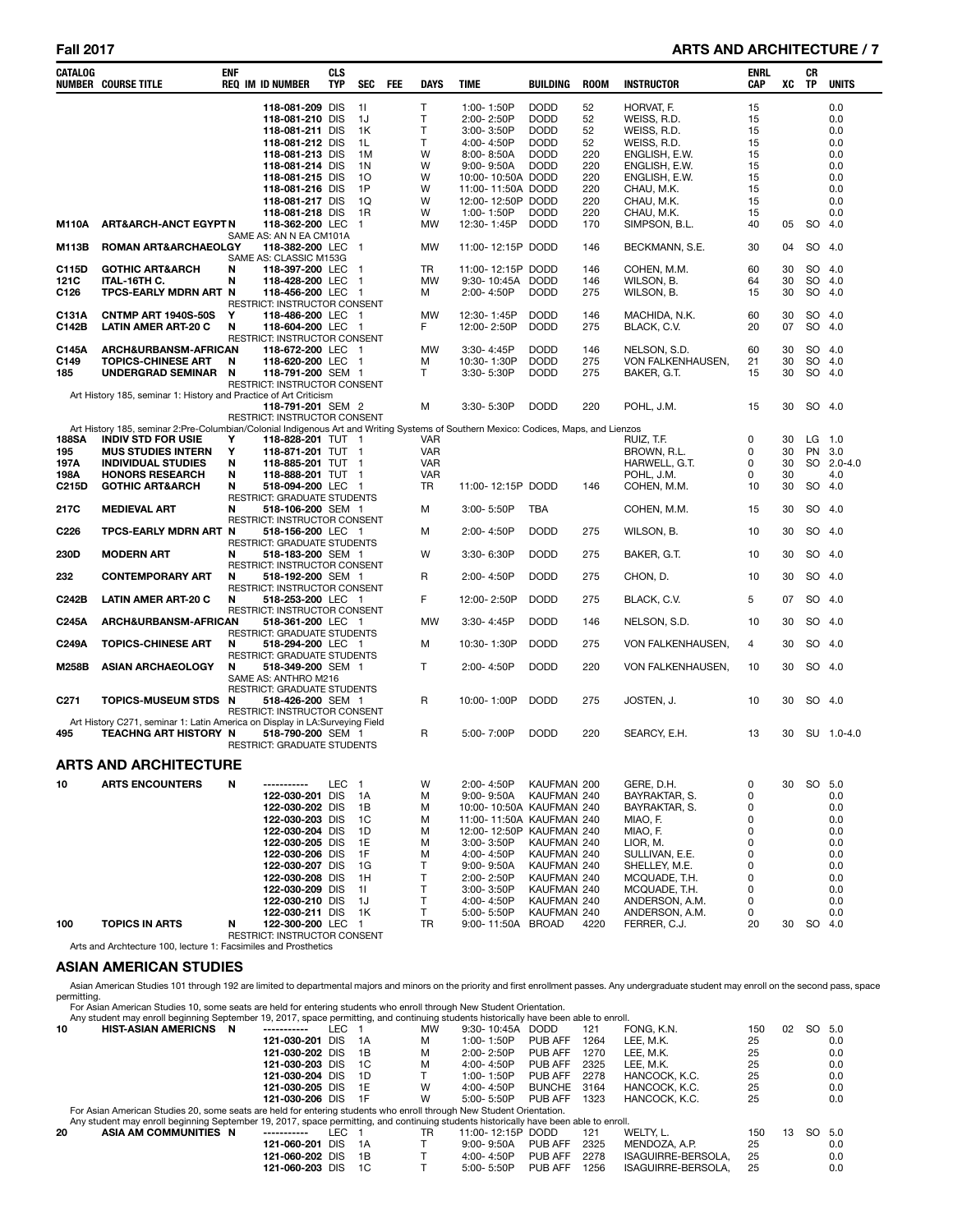# **Fall 2017 ARTS AND ARCHITECTURE / 7**

| <b>CATALOG</b>   | <b>NUMBER COURSE TITLE</b>                                                                                                          | <b>ENF</b> | <b>REQ IM ID NUMBER</b>                                 | <b>CLS</b><br><b>TYP</b> | SEC            | <b>FEE</b> | DAYS              | TIME                                  | <b>BUILDING</b>            | <b>ROOM</b> | <b>INSTRUCTOR</b>               | ENRL<br>CAP | XC       | CR<br><b>TP</b>  | <b>UNITS</b> |
|------------------|-------------------------------------------------------------------------------------------------------------------------------------|------------|---------------------------------------------------------|--------------------------|----------------|------------|-------------------|---------------------------------------|----------------------------|-------------|---------------------------------|-------------|----------|------------------|--------------|
|                  |                                                                                                                                     |            | 118-081-209 DIS                                         |                          | 11             |            | T                 | 1:00-1:50P                            | <b>DODD</b>                | 52          | HORVAT, F.                      | 15          |          |                  | 0.0          |
|                  |                                                                                                                                     |            | 118-081-210 DIS                                         |                          | 1J             |            | Т                 | 2:00-2:50P                            | <b>DODD</b>                | 52          | WEISS, R.D.                     | 15          |          |                  | 0.0          |
|                  |                                                                                                                                     |            | 118-081-211 DIS                                         |                          | 1K             |            | T                 | 3:00-3:50P                            | <b>DODD</b>                | 52          | WEISS, R.D.                     | 15          |          |                  | 0.0          |
|                  |                                                                                                                                     |            | 118-081-212 DIS                                         |                          | 1L             |            | т                 | 4:00-4:50P                            | <b>DODD</b>                | 52          | WEISS, R.D.                     | 15          |          |                  | 0.0          |
|                  |                                                                                                                                     |            | 118-081-213 DIS                                         |                          | 1M             |            | W                 | 8:00-8:50A                            | <b>DODD</b>                | 220         | ENGLISH, E.W.                   | 15          |          |                  | 0.0          |
|                  |                                                                                                                                     |            | 118-081-214 DIS                                         |                          | 1N             |            | W                 | $9:00 - 9:50A$                        | <b>DODD</b>                | 220         | ENGLISH, E.W.                   | 15          |          |                  | 0.0          |
|                  |                                                                                                                                     |            | 118-081-215 DIS                                         |                          | 10             |            | W                 | 10:00-10:50A DODD                     |                            | 220         | ENGLISH, E.W.                   | 15          |          |                  | 0.0          |
|                  |                                                                                                                                     |            | 118-081-216 DIS                                         |                          | 1P             |            | W                 | 11:00-11:50A DODD                     |                            | 220         | CHAU, M.K.                      | 15          |          |                  | 0.0          |
|                  |                                                                                                                                     |            | 118-081-217 DIS<br>118-081-218 DIS                      |                          | 1Q<br>1R       |            | W<br>w            | 12:00-12:50P DODD<br>1:00-1:50P       | <b>DODD</b>                | 220<br>220  | CHAU, M.K.<br>CHAU, M.K.        | 15<br>15    |          |                  | 0.0<br>0.0   |
| <b>M110A</b>     | <b>ART&amp;ARCH-ANCT EGYPTN</b>                                                                                                     |            | 118-362-200 LEC                                         |                          | $\mathbf{1}$   |            | MW                | 12:30-1:45P                           | <b>DODD</b>                | 170         | SIMPSON, B.L.                   | 40          | 05       | SO 4.0           |              |
|                  |                                                                                                                                     |            | SAME AS: AN N EA CM101A                                 |                          |                |            |                   |                                       |                            |             |                                 |             |          |                  |              |
| M113B            | ROMAN ART&ARCHAEOLGY                                                                                                                |            | 118-382-200 LEC 1                                       |                          |                |            | <b>MW</b>         | 11:00-12:15P DODD                     |                            | 146         | BECKMANN, S.E.                  | 30          | 04       | SO 4.0           |              |
|                  | <b>GOTHIC ART&amp;ARCH</b>                                                                                                          | N          | SAME AS: CLASSIC M153G<br>118-397-200 LEC               |                          |                |            | TR                |                                       |                            |             | COHEN, M.M.                     |             | 30       | SO               | 4.0          |
| C115D<br>121C    | ITAL-16TH C.                                                                                                                        | N          | 118-428-200 LEC                                         |                          | -1<br>-1       |            | MW                | 11:00-12:15P DODD<br>9:30-10:45A DODD |                            | 146<br>146  | WILSON, B.                      | 60<br>64    | 30       | SO               | 4.0          |
| C126             | TPCS-EARLY MDRN ART N                                                                                                               |            | 118-456-200 LEC 1                                       |                          |                |            | м                 | 2:00-4:50P                            | <b>DODD</b>                | 275         | WILSON, B.                      | 15          | 30       | SO               | 4.0          |
|                  |                                                                                                                                     |            | RESTRICT: INSTRUCTOR CONSENT                            |                          |                |            |                   |                                       |                            |             |                                 |             |          |                  |              |
| C131A            | <b>CNTMP ART 1940S-50S</b>                                                                                                          | Y          | 118-486-200 LEC 1                                       |                          |                |            | MW                | 12:30-1:45P                           | <b>DODD</b>                | 146         | MACHIDA, N.K.                   | 60          | 30       | SO 4.0           |              |
| C142B            | <b>LATIN AMER ART-20 C</b>                                                                                                          | N          | 118-604-200 LEC 1                                       |                          |                |            | F                 | 12:00-2:50P                           | <b>DODD</b>                | 275         | BLACK, C.V.                     | 20          | 07       | SO 4.0           |              |
|                  |                                                                                                                                     |            | RESTRICT: INSTRUCTOR CONSENT                            |                          |                |            |                   |                                       |                            |             |                                 |             |          |                  |              |
| C145A            | ARCH&URBANSM-AFRICAN                                                                                                                |            | 118-672-200 LEC 1                                       |                          |                |            | MW                | 3:30-4:45P                            | <b>DODD</b>                | 146         | NELSON, S.D.                    | 60          | 30       | SO 4.0           |              |
| C149             | <b>TOPICS-CHINESE ART</b>                                                                                                           | N          | 118-620-200 LEC 1                                       |                          |                |            | M                 | 10:30-1:30P                           | <b>DODD</b>                | 275         | VON FALKENHAUSEN,               | 21          | 30       | SO 4.0           |              |
| 185              | <b>UNDERGRAD SEMINAR</b>                                                                                                            | N          | 118-791-200 SEM 1<br>RESTRICT: INSTRUCTOR CONSENT       |                          |                |            | т                 | 3:30-5:30P                            | <b>DODD</b>                | 275         | BAKER, G.T.                     | 15          | 30       | SO 4.0           |              |
|                  | Art History 185, seminar 1: History and Practice of Art Criticism                                                                   |            |                                                         |                          |                |            |                   |                                       |                            |             |                                 |             |          |                  |              |
|                  |                                                                                                                                     |            | 118-791-201 SEM 2                                       |                          |                |            | M                 | 3:30-5:30P                            | <b>DODD</b>                | 220         | POHL, J.M.                      | 15          | 30       | SO 4.0           |              |
|                  |                                                                                                                                     |            | RESTRICT: INSTRUCTOR CONSENT                            |                          |                |            |                   |                                       |                            |             |                                 |             |          |                  |              |
|                  | Art History 185, seminar 2:Pre-Columbian/Colonial Indigenous Art and Writing Systems of Southern Mexico: Codices, Maps, and Lienzos |            |                                                         |                          |                |            |                   |                                       |                            |             |                                 |             |          |                  |              |
| 188SA<br>195     | <b>INDIV STD FOR USIE</b><br><b>MUS STUDIES INTERN</b>                                                                              | Υ<br>Υ     | 118-828-201 TUT 1<br>118-871-201 TUT 1                  |                          |                |            | VAR<br><b>VAR</b> |                                       |                            |             | RUIZ, T.F.<br>BROWN, R.L.       | 0<br>0      | 30<br>30 | LG 1.0<br>PN 3.0 |              |
| 197A             | <b>INDIVIDUAL STUDIES</b>                                                                                                           | N          | 118-885-201 TUT 1                                       |                          |                |            | <b>VAR</b>        |                                       |                            |             | HARWELL, G.T.                   | 0           | 30       |                  | SO 2.0-4.0   |
| 198A             | <b>HONORS RESEARCH</b>                                                                                                              | N          | 118-888-201 TUT 1                                       |                          |                |            | <b>VAR</b>        |                                       |                            |             | POHL, J.M.                      | 0           | 30       |                  | 4.0          |
| C215D            | <b>GOTHIC ART&amp;ARCH</b>                                                                                                          | N          | 518-094-200 LEC 1                                       |                          |                |            | TR                | 11:00-12:15P DODD                     |                            | 146         | COHEN, M.M.                     | 10          | 30       | SO               | 4.0          |
|                  |                                                                                                                                     |            | RESTRICT: GRADUATE STUDENTS                             |                          |                |            |                   |                                       |                            |             |                                 |             |          |                  |              |
| 217C             | <b>MEDIEVAL ART</b>                                                                                                                 | N          | 518-106-200 SEM 1<br>RESTRICT: INSTRUCTOR CONSENT       |                          |                |            | М                 | 3:00-5:50P                            | TBA                        |             | COHEN, M.M.                     | 15          | 30       | SO 4.0           |              |
| C <sub>226</sub> | TPCS-EARLY MDRN ART N                                                                                                               |            | 518-156-200 LEC 1                                       |                          |                |            | М                 | 2:00-4:50P                            | <b>DODD</b>                | 275         | WILSON, B.                      | 10          | 30       | SO 4.0           |              |
| 230D             | <b>MODERN ART</b>                                                                                                                   | N          | <b>RESTRICT: GRADUATE STUDENTS</b><br>518-183-200 SEM 1 |                          |                |            | W                 | 3:30-6:30P                            | <b>DODD</b>                | 275         | BAKER, G.T.                     | 10          | 30       | SO 4.0           |              |
|                  |                                                                                                                                     |            | <b>RESTRICT: INSTRUCTOR CONSENT</b>                     |                          |                |            |                   |                                       |                            |             |                                 |             |          |                  |              |
| 232              | <b>CONTEMPORARY ART</b>                                                                                                             | N          | 518-192-200 SEM 1<br>RESTRICT: INSTRUCTOR CONSENT       |                          |                |            | R                 | 2:00-4:50P                            | <b>DODD</b>                | 275         | CHON, D.                        | 10          | 30       | SO 4.0           |              |
| C242B            | <b>LATIN AMER ART-20 C</b>                                                                                                          | N          | 518-253-200 LEC 1                                       |                          |                |            | F                 | 12:00-2:50P                           | <b>DODD</b>                | 275         | BLACK, C.V.                     | 5           | 07       | SO 4.0           |              |
| C245A            | ARCH&URBANSM-AFRICAN                                                                                                                |            | RESTRICT: INSTRUCTOR CONSENT<br>518-361-200 LEC 1       |                          |                |            | MW                | 3:30-4:45P                            | <b>DODD</b>                | 146         | NELSON, S.D.                    | 10          | 30       | SO 4.0           |              |
| C249A            | <b>TOPICS-CHINESE ART</b>                                                                                                           | N          | RESTRICT: GRADUATE STUDENTS<br>518-294-200 LEC 1        |                          |                |            | M                 | 10:30-1:30P                           | <b>DODD</b>                | 275         | VON FALKENHAUSEN,               | 4           | 30       | SO 4.0           |              |
|                  |                                                                                                                                     |            | RESTRICT: GRADUATE STUDENTS                             |                          |                |            |                   |                                       |                            |             |                                 |             |          |                  |              |
| <b>M258B</b>     | <b>ASIAN ARCHAEOLOGY</b>                                                                                                            | N          | 518-349-200 SEM 1                                       |                          |                |            | Τ                 | 2:00-4:50P                            | <b>DODD</b>                | 220         | VON FALKENHAUSEN,               | 10          | 30       | SO 4.0           |              |
|                  |                                                                                                                                     |            | SAME AS: ANTHRO M216<br>RESTRICT: GRADUATE STUDENTS     |                          |                |            |                   |                                       |                            |             |                                 |             |          |                  |              |
| C <sub>271</sub> | TOPICS-MUSEUM STDS N                                                                                                                |            | 518-426-200 SEM 1                                       |                          |                |            | R                 | 10:00-1:00P                           | <b>DODD</b>                | 275         | JOSTEN, J.                      | 10          | 30       | SO 4.0           |              |
|                  |                                                                                                                                     |            | RESTRICT: INSTRUCTOR CONSENT                            |                          |                |            |                   |                                       |                            |             |                                 |             |          |                  |              |
|                  | Art History C271, seminar 1: Latin America on Display in LA:Surveying Field                                                         |            |                                                         |                          |                |            |                   |                                       |                            |             |                                 |             |          |                  |              |
| 495              | TEACHNG ART HISTORY N                                                                                                               |            | 518-790-200 SEM 1<br>RESTRICT: GRADUATE STUDENTS        |                          |                |            | R                 | 5:00-7:00P                            | <b>DODD</b>                | 220         | SEARCY, E.H.                    | 13          | 30       |                  | SU 1.0-4.0   |
|                  |                                                                                                                                     |            |                                                         |                          |                |            |                   |                                       |                            |             |                                 |             |          |                  |              |
|                  | <b>ARTS AND ARCHITECTURE</b>                                                                                                        |            |                                                         |                          |                |            |                   |                                       |                            |             |                                 |             |          |                  |              |
| 10               | <b>ARTS ENCOUNTERS</b>                                                                                                              | Ν          | -----------                                             | LEC                      | $\overline{1}$ |            | W                 | 2:00-4:50P                            | KAUFMAN 200                |             | GERE, D.H.                      | 0           | 30       | SO 5.0           |              |
|                  |                                                                                                                                     |            | 122-030-201 DIS                                         |                          | 1A             |            | М                 | 9:00-9:50A                            | KAUFMAN 240                |             | BAYRAKTAR, S.                   | 0           |          |                  | 0.0          |
|                  |                                                                                                                                     |            | 122-030-202 DIS                                         |                          | 1B             |            | М                 |                                       | 10:00-10:50A KAUFMAN 240   |             | BAYRAKTAR, S.                   | 0           |          |                  | 0.0          |
|                  |                                                                                                                                     |            | 122-030-203 DIS                                         |                          | 1C             |            | М                 |                                       | 11:00-11:50A KAUFMAN 240   |             | MIAO, F.                        | 0           |          |                  | 0.0          |
|                  |                                                                                                                                     |            | 122-030-204 DIS                                         |                          | 1D             |            | M                 | 12:00-12:50P                          | KAUFMAN 240                |             | MIAO, F.                        | 0           |          |                  | 0.0          |
|                  |                                                                                                                                     |            | 122-030-205 DIS                                         |                          | 1E             |            | М                 | 3:00-3:50P                            | KAUFMAN 240                |             | LIOR, M.                        | 0           |          |                  | 0.0          |
|                  |                                                                                                                                     |            | 122-030-206 DIS<br>122-030-207 DIS                      |                          | 1F<br>1G       |            | М<br>т            | 4:00-4:50P<br>9:00-9:50A              | KAUFMAN 240<br>KAUFMAN 240 |             | SULLIVAN, E.E.<br>SHELLEY, M.E. | 0<br>0      |          |                  | 0.0<br>0.0   |
|                  |                                                                                                                                     |            | 122-030-208 DIS                                         |                          | 1H             |            | Т                 | 2:00-2:50P                            | KAUFMAN 240                |             | MCQUADE, T.H.                   | 0           |          |                  | 0.0          |
|                  |                                                                                                                                     |            | 122-030-209 DIS                                         |                          | 11             |            | т                 | 3:00-3:50P                            | KAUFMAN 240                |             | MCQUADE, T.H.                   | 0           |          |                  | 0.0          |
|                  |                                                                                                                                     |            | 122-030-210 DIS                                         |                          | 1J             |            | Т                 | 4:00-4:50P                            | KAUFMAN 240                |             | ANDERSON, A.M.                  | 0           |          |                  | 0.0          |
|                  |                                                                                                                                     |            | 122-030-211 DIS                                         |                          | 1K             |            | Τ                 | 5:00-5:50P                            | KAUFMAN 240                |             | ANDERSON, A.M.                  | 0           |          |                  | 0.0          |
| 100              | <b>TOPICS IN ARTS</b>                                                                                                               | N          | 122-300-200 LEC                                         |                          | $\overline{1}$ |            | TR                | 9:00-11:50A BROAD                     |                            | 4220        | FERRER, C.J.                    | 20          | 30       | SO 4.0           |              |
|                  |                                                                                                                                     |            | RESTRICT: INSTRUCTOR CONSENT                            |                          |                |            |                   |                                       |                            |             |                                 |             |          |                  |              |
|                  | Arts and Archtecture 100, lecture 1: Facsimiles and Prosthetics                                                                     |            |                                                         |                          |                |            |                   |                                       |                            |             |                                 |             |          |                  |              |

# **ASIAN AMERICAN STUDIES**

Asian American Studies 101 through 192 are limited to departmental majors and minors on the priority and first enrollment passes. Any undergraduate student may enroll on the second pass, space<br>permitting.<br>For Asian America

|    | Any student may enroll beginning September 19, 2017, space permitting, and continuing students historically have been able to enroll. |                 |            |       |           |                   |               |      |                    |     |    |           |     |
|----|---------------------------------------------------------------------------------------------------------------------------------------|-----------------|------------|-------|-----------|-------------------|---------------|------|--------------------|-----|----|-----------|-----|
| 10 | <b>HIST-ASIAN AMERICNS N</b>                                                                                                          | ------------    | LEC        |       | <b>MW</b> | $9:30 - 10:45A$   | DODD.         | 121  | FONG, K.N.         | 150 | 02 | <b>SO</b> | 5.0 |
|    |                                                                                                                                       | 121-030-201     | <b>DIS</b> | 1A    | м         | $1:00 - 1:50P$    | PUB AFF       | 1264 | LEE. M.K.          | 25  |    |           | 0.0 |
|    |                                                                                                                                       | 121-030-202 DIS |            | 1B    | М         | $2:00 - 2:50P$    | PUB AFF       | 1270 | LEE. M.K.          | 25  |    |           | 0.0 |
|    |                                                                                                                                       | 121-030-203 DIS |            | 1C    | м         | $4:00 - 4:50P$    | PUB AFF       | 2325 | LEE. M.K.          | 25  |    |           | 0.0 |
|    |                                                                                                                                       | 121-030-204 DIS |            | 1D    |           | $1:00 - 1:50P$    | PUB AFF       | 2278 | HANCOCK, K.C.      | 25  |    |           | 0.0 |
|    |                                                                                                                                       | 121-030-205 DIS |            | 1F    | W         | $4:00 - 4:50P$    | <b>BUNCHE</b> | 3164 | HANCOCK, K.C.      | 25  |    |           | 0.0 |
|    |                                                                                                                                       | 121-030-206 DIS |            | - 1F  | W         | $5:00 - 5:50P$    | PUB AFF       | 1323 | HANCOCK, K.C.      | 25  |    |           | 0.0 |
|    | For Asian American Studies 20, some seats are held for entering students who enroll through New Student Orientation.                  |                 |            |       |           |                   |               |      |                    |     |    |           |     |
|    | Any student may enroll beginning September 19, 2017, space permitting, and continuing students historically have been able to enroll. |                 |            |       |           |                   |               |      |                    |     |    |           |     |
| 20 | ASIA AM COMMUNITIES N                                                                                                                 | -----------     | LEC        |       | TR        | 11:00-12:15P DODD |               | 121  | WELTY, L.          | 150 | 13 | <b>SO</b> | 5.0 |
|    |                                                                                                                                       | 121-060-201     | DIS.       | - 1 A |           | $9:00 - 9:50A$    | PUB AFF       | 2325 | MENDOZA, A.P.      | 25  |    |           | 0.0 |
|    |                                                                                                                                       | 121-060-202 DIS |            | 1B    |           | $4:00 - 4:50P$    | PUB AFF       | 2278 | ISAGUIRRE-BERSOLA. | 25  |    |           | 0.0 |
|    |                                                                                                                                       | 121-060-203 DIS |            | 1C    |           | $5:00 - 5:50P$    | PUB AFF       | 1256 | ISAGUIRRE-BERSOLA. | 25  |    |           | 0.0 |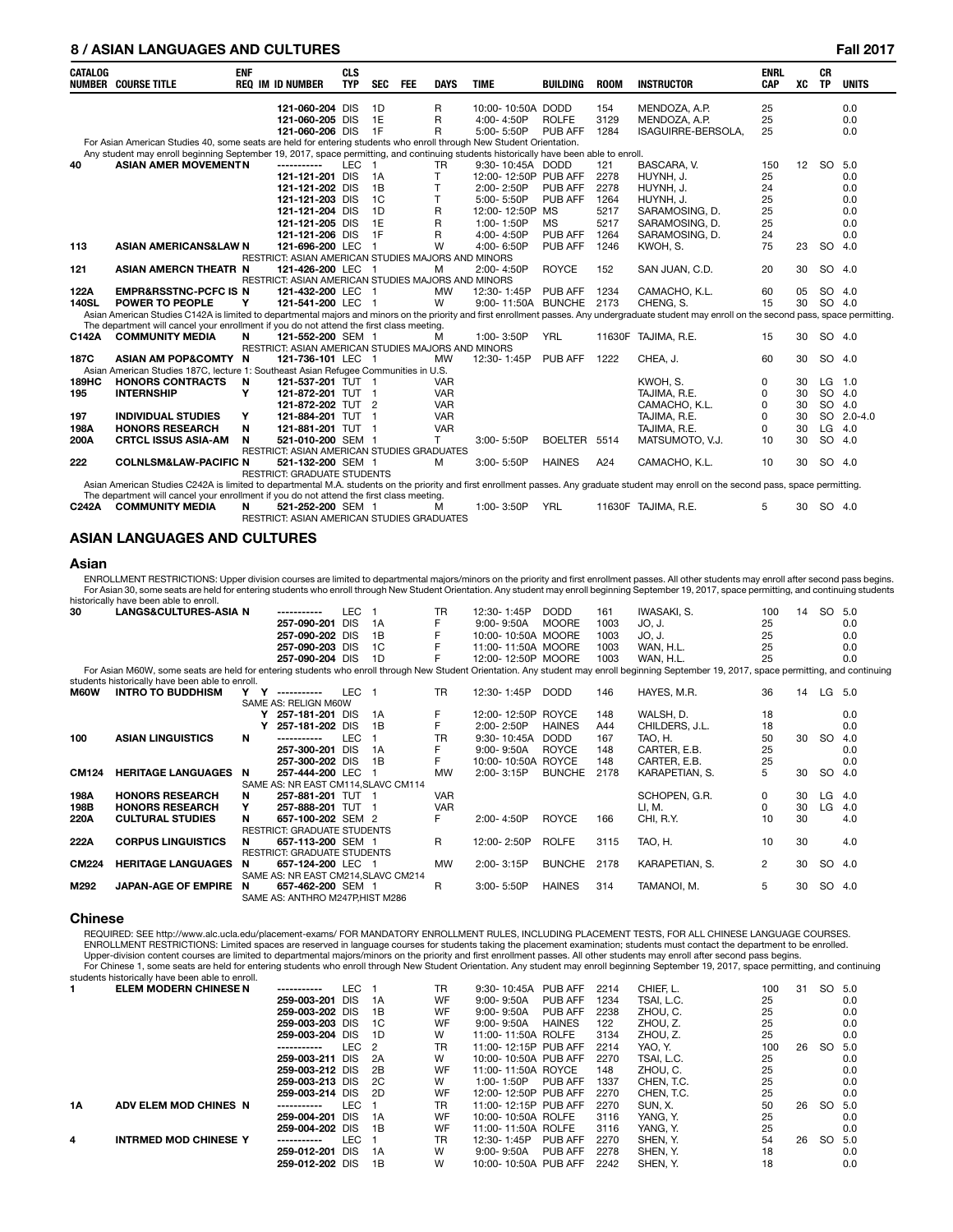# **8 / ASIAN LANGUAGES AND CULTURES Fall 2017**

|                | 07 ASIAN LANGUAGES AND CULTURES                                                                                                       |            |                                                    |                          |            |            |             |                      |                 |             |                                                                                                                                                                                                   |                    |    |                        | <b>Fall ZUTT</b> |
|----------------|---------------------------------------------------------------------------------------------------------------------------------------|------------|----------------------------------------------------|--------------------------|------------|------------|-------------|----------------------|-----------------|-------------|---------------------------------------------------------------------------------------------------------------------------------------------------------------------------------------------------|--------------------|----|------------------------|------------------|
| <b>CATALOG</b> | <b>NUMBER COURSE TITLE</b>                                                                                                            | <b>ENF</b> | <b>REQ IM ID NUMBER</b>                            | <b>CLS</b><br><b>TYP</b> | <b>SEC</b> | <b>FEE</b> | <b>DAYS</b> | <b>TIME</b>          | <b>BUILDING</b> | <b>ROOM</b> | <b>INSTRUCTOR</b>                                                                                                                                                                                 | <b>ENRL</b><br>CAP | XC | <b>CR</b><br><b>TP</b> | <b>UNITS</b>     |
|                |                                                                                                                                       |            | 121-060-204 DIS                                    |                          | 1D         |            | R           | 10:00-10:50A DODD    |                 | 154         | MENDOZA, A.P.                                                                                                                                                                                     | 25                 |    |                        | 0.0              |
|                |                                                                                                                                       |            | 121-060-205 DIS                                    |                          | 1E         |            | R           | 4:00-4:50P           | <b>ROLFE</b>    | 3129        | MENDOZA, A.P.                                                                                                                                                                                     | 25                 |    |                        | 0.0              |
|                |                                                                                                                                       |            | 121-060-206 DIS                                    |                          | 1F         |            | R           | 5:00-5:50P           | PUB AFF         | 1284        | ISAGUIRRE-BERSOLA,                                                                                                                                                                                | 25                 |    |                        | 0.0              |
|                | For Asian American Studies 40, some seats are held for entering students who enroll through New Student Orientation.                  |            |                                                    |                          |            |            |             |                      |                 |             |                                                                                                                                                                                                   |                    |    |                        |                  |
|                | Any student may enroll beginning September 19, 2017, space permitting, and continuing students historically have been able to enroll. |            |                                                    |                          |            |            |             |                      |                 |             |                                                                                                                                                                                                   |                    |    |                        |                  |
| 40             | <b>ASIAN AMER MOVEMENTN</b>                                                                                                           |            | -----------                                        | LEC <sub>1</sub>         |            |            | TR          | 9:30-10:45A DODD     |                 | 121         | BASCARA. V.                                                                                                                                                                                       | 150                | 12 | <b>SO</b>              | 5.0              |
|                |                                                                                                                                       |            | 121-121-201 DIS                                    |                          | 1A         |            | T.          | 12:00-12:50P PUB AFF |                 | 2278        | HUYNH. J.                                                                                                                                                                                         | 25                 |    |                        | 0.0              |
|                |                                                                                                                                       |            | 121-121-202 DIS                                    |                          | 1B         |            | T           | 2:00-2:50P           | PUB AFF         | 2278        | HUYNH. J.                                                                                                                                                                                         | 24                 |    |                        | 0.0              |
|                |                                                                                                                                       |            | 121-121-203 DIS                                    |                          | 1C         |            | T           | 5:00-5:50P           | PUB AFF         | 1264        | HUYNH. J.                                                                                                                                                                                         | 25                 |    |                        | 0.0              |
|                |                                                                                                                                       |            | 121-121-204 DIS                                    |                          | 1D         |            | R           | 12:00-12:50P         | <b>MS</b>       | 5217        | SARAMOSING, D.                                                                                                                                                                                    | 25                 |    |                        | 0.0              |
|                |                                                                                                                                       |            | 121-121-205 DIS                                    |                          | 1E         |            | R           | 1:00-1:50P           | <b>MS</b>       | 5217        | SARAMOSING, D.                                                                                                                                                                                    | 25                 |    |                        | 0.0              |
|                |                                                                                                                                       |            | 121-121-206 DIS                                    |                          | 1F         |            | R           | 4:00-4:50P           | <b>PUB AFF</b>  | 1264        | SARAMOSING, D.                                                                                                                                                                                    | 24                 |    |                        | 0.0              |
| 113            | <b>ASIAN AMERICANS&amp;LAW N</b>                                                                                                      |            | 121-696-200 LEC 1                                  |                          |            |            | W           | 4:00-6:50P           | PUB AFF         | 1246        | KWOH, S.                                                                                                                                                                                          | 75                 | 23 | SO.                    | 4.0              |
|                |                                                                                                                                       |            | RESTRICT: ASIAN AMERICAN STUDIES MAJORS AND MINORS |                          |            |            |             |                      |                 |             |                                                                                                                                                                                                   |                    |    |                        |                  |
| 121            | <b>ASIAN AMERCN THEATR N</b>                                                                                                          |            | 121-426-200 LEC 1                                  |                          |            |            | M           | 2:00-4:50P           | <b>ROYCE</b>    | 152         | SAN JUAN, C.D.                                                                                                                                                                                    | 20                 | 30 | SO 4.0                 |                  |
|                |                                                                                                                                       |            | RESTRICT: ASIAN AMERICAN STUDIES MAJORS AND MINORS |                          |            |            |             |                      |                 |             |                                                                                                                                                                                                   |                    |    |                        |                  |
| 122A           | <b>EMPR&amp;RSSTNC-PCFC IS N</b>                                                                                                      |            | 121-432-200 LEC 1                                  |                          |            |            | <b>MW</b>   | 12:30-1:45P          | PUB AFF         | 1234        | CAMACHO, K.L.                                                                                                                                                                                     | 60                 | 05 | SO 4.0                 |                  |
| <b>140SL</b>   | <b>POWER TO PEOPLE</b>                                                                                                                | Y          | 121-541-200 LEC 1                                  |                          |            |            | W           | 9:00-11:50A BUNCHE   |                 | 2173        | CHENG, S.                                                                                                                                                                                         | 15                 | 30 | SO 4.0                 |                  |
|                |                                                                                                                                       |            |                                                    |                          |            |            |             |                      |                 |             | Asian American Studies C142A is limited to departmental majors and minors on the priority and first enrollment passes. Any undergraduate student may enroll on the second pass, space permitting. |                    |    |                        |                  |
|                | The department will cancel your enrollment if you do not attend the first class meeting.                                              |            |                                                    |                          |            |            |             |                      |                 |             |                                                                                                                                                                                                   |                    |    |                        |                  |
| C142A          | <b>COMMUNITY MEDIA</b>                                                                                                                | N          | 121-552-200 SEM 1                                  |                          |            |            | м           | 1:00-3:50P           | <b>YRL</b>      |             | 11630F TAJIMA, R.E.                                                                                                                                                                               | 15                 | 30 | SO 4.0                 |                  |
|                |                                                                                                                                       |            | RESTRICT: ASIAN AMERICAN STUDIES MAJORS AND MINORS |                          |            |            |             |                      |                 |             |                                                                                                                                                                                                   |                    |    |                        |                  |
| 187C           | ASIAN AM POP&COMTY N                                                                                                                  |            | 121-736-101 LEC 1                                  |                          |            |            | <b>MW</b>   | 12:30-1:45P PUB AFF  |                 | 1222        | CHEA. J.                                                                                                                                                                                          | 60                 | 30 | SO 4.0                 |                  |
|                | Asian American Studies 187C, lecture 1: Southeast Asian Refugee Communities in U.S.                                                   |            |                                                    |                          |            |            |             |                      |                 |             |                                                                                                                                                                                                   |                    |    |                        |                  |
| 189HC          | <b>HONORS CONTRACTS</b>                                                                                                               | <b>N</b>   | 121-537-201 TUT 1                                  |                          |            |            | <b>VAR</b>  |                      |                 |             | KWOH, S.                                                                                                                                                                                          | 0                  | 30 | LG                     | 1.0              |
| 195            | <b>INTERNSHIP</b>                                                                                                                     | Υ          | 121-872-201 TUT 1                                  |                          |            |            | <b>VAR</b>  |                      |                 |             | TAJIMA, R.E.                                                                                                                                                                                      | $\Omega$           | 30 | SO 4.0                 |                  |
|                |                                                                                                                                       |            | 121-872-202 TUT 2                                  |                          |            |            | <b>VAR</b>  |                      |                 |             | CAMACHO, K.L.                                                                                                                                                                                     | $\Omega$           | 30 | SO 4.0                 |                  |
| 197            | <b>INDIVIDUAL STUDIES</b>                                                                                                             | Υ          | 121-884-201 TUT 1                                  |                          |            |            | <b>VAR</b>  |                      |                 |             | TAJIMA, R.E.                                                                                                                                                                                      | 0                  | 30 |                        | SO 2.0-4.0       |
| 198A           | <b>HONORS RESEARCH</b>                                                                                                                | N          | 121-881-201 TUT 1                                  |                          |            |            | <b>VAR</b>  |                      |                 |             | TAJIMA, R.E.                                                                                                                                                                                      | 0                  | 30 | LG                     | 4.0              |
| 200A           | <b>CRTCL ISSUS ASIA-AM</b>                                                                                                            | N          | 521-010-200 SEM 1                                  |                          |            |            | T.          | 3:00-5:50P           | BOELTER 5514    |             | MATSUMOTO, V.J.                                                                                                                                                                                   | 10                 | 30 | SO 4.0                 |                  |
|                |                                                                                                                                       |            | RESTRICT: ASIAN AMERICAN STUDIES GRADUATES         |                          |            |            |             |                      |                 |             |                                                                                                                                                                                                   |                    |    |                        |                  |
| 222            | <b>COLNLSM&amp;LAW-PACIFIC N</b>                                                                                                      |            | 521-132-200 SEM 1                                  |                          |            |            | м           | 3:00-5:50P           | <b>HAINES</b>   | A24         | CAMACHO, K.L.                                                                                                                                                                                     | 10 <sup>1</sup>    | 30 | SO 4.0                 |                  |
|                |                                                                                                                                       |            | <b>RESTRICT: GRADUATE STUDENTS</b>                 |                          |            |            |             |                      |                 |             |                                                                                                                                                                                                   |                    |    |                        |                  |
|                |                                                                                                                                       |            |                                                    |                          |            |            |             |                      |                 |             | Asian American Studies C242A is limited to departmental M.A. students on the priority and first enrollment passes. Any graduate student may enroll on the second pass, space permitting.          |                    |    |                        |                  |
|                | The department will cancel your enrollment if you do not attend the first class meeting.                                              |            |                                                    |                          |            |            |             |                      |                 |             |                                                                                                                                                                                                   |                    |    |                        |                  |
| C242A          | <b>COMMUNITY MEDIA</b>                                                                                                                | N          | 521-252-200 SEM 1                                  |                          |            |            | м           | 1:00-3:50P           | <b>YRL</b>      |             | 11630F TAJIMA, R.E.                                                                                                                                                                               | 5                  | 30 | SO 4.0                 |                  |
|                |                                                                                                                                       |            | RESTRICT: ASIAN AMERICAN STUDIES GRADUATES         |                          |            |            |             |                      |                 |             |                                                                                                                                                                                                   |                    |    |                        |                  |

#### **ASIAN LANGUAGES AND CULTURES**

#### **Asian**

ENROLLMENT RESTRICTIONS: Upper division courses are limited to departmental majors/minors on the priority and first enrollment passes. All other students may enroll after second pass begins. For Asian 30, some seats are held for entering students who enroll through New Student Orientation. Any student may enroll beginning September 19, 2017, space permitting, and continuing students<br>historically have been able

| 30           | LANGS&CULTURES-ASIA N                                                                                                                                                                       |     | -----------                         | LEC        |                | TR         | 12:30-1:45P        | <b>DODD</b>   | 161  | <b>IWASAKI, S.</b> | 100            | 14 | SO 5.0    |     |
|--------------|---------------------------------------------------------------------------------------------------------------------------------------------------------------------------------------------|-----|-------------------------------------|------------|----------------|------------|--------------------|---------------|------|--------------------|----------------|----|-----------|-----|
|              |                                                                                                                                                                                             |     | 257-090-201                         | <b>DIS</b> | 1A             | F          | $9:00 - 9:50A$     | <b>MOORE</b>  | 1003 | JO, J.             | 25             |    |           | 0.0 |
|              |                                                                                                                                                                                             |     | 257-090-202 DIS                     |            | 1B             |            | 10:00-10:50A MOORE |               | 1003 | JO, J.             | 25             |    |           | 0.0 |
|              |                                                                                                                                                                                             |     | 257-090-203 DIS                     |            | 1C             |            | 11:00-11:50A MOORE |               | 1003 | WAN. H.L.          | 25             |    |           | 0.0 |
|              |                                                                                                                                                                                             |     | 257-090-204 DIS                     |            | 1D             |            | 12:00-12:50P MOORE |               | 1003 | WAN. H.L.          | 25             |    |           | 0.0 |
|              | For Asian M60W, some seats are held for entering students who enroll through New Student Orientation. Any student may enroll beginning September 19, 2017, space permitting, and continuing |     |                                     |            |                |            |                    |               |      |                    |                |    |           |     |
|              | students historically have been able to enroll.                                                                                                                                             |     |                                     |            |                |            |                    |               |      |                    |                |    |           |     |
| <b>M60W</b>  | <b>INTRO TO BUDDHISM</b>                                                                                                                                                                    | Y Y | -----------                         | LEC 1      |                | <b>TR</b>  | 12:30-1:45P        | <b>DODD</b>   | 146  | HAYES, M.R.        | 36             | 14 | LG 5.0    |     |
|              |                                                                                                                                                                                             |     | SAME AS: RELIGN M60W                |            |                |            |                    |               |      |                    |                |    |           |     |
|              |                                                                                                                                                                                             |     | Y 257-181-201 DIS                   |            | 1A             | F          | 12:00-12:50P ROYCE |               | 148  | WALSH, D.          | 18             |    |           | 0.0 |
|              |                                                                                                                                                                                             |     | 257-181-202 DIS                     |            | 1B             |            | 2:00-2:50P         | <b>HAINES</b> | A44  | CHILDERS, J.L.     | 18             |    |           | 0.0 |
| 100          | <b>ASIAN LINGUISTICS</b>                                                                                                                                                                    | N   | -----------                         | <b>LEC</b> |                | TR         | 9:30-10:45A        | <b>DODD</b>   | 167  | TAO, H.            | 50             | 30 | <b>SO</b> | 4.0 |
|              |                                                                                                                                                                                             |     | 257-300-201                         | <b>DIS</b> | 1A             |            | $9:00 - 9:50A$     | <b>ROYCE</b>  | 148  | CARTER, E.B.       | 25             |    |           | 0.0 |
|              |                                                                                                                                                                                             |     | 257-300-202 DIS                     |            | 1 <sub>B</sub> | F          | 10:00-10:50A ROYCE |               | 148  | CARTER, E.B.       | 25             |    |           | 0.0 |
| <b>CM124</b> | <b>HERITAGE LANGUAGES</b>                                                                                                                                                                   | N   | 257-444-200 LEC                     |            |                | <b>MW</b>  | 2:00-3:15P         | <b>BUNCHE</b> | 2178 | KARAPETIAN, S.     | 5              | 30 | <b>SO</b> | 4.0 |
|              |                                                                                                                                                                                             |     | SAME AS: NR EAST CM114, SLAVC CM114 |            |                |            |                    |               |      |                    |                |    |           |     |
| 198A         | <b>HONORS RESEARCH</b>                                                                                                                                                                      | N   | 257-881-201 TUT 1                   |            |                | <b>VAR</b> |                    |               |      | SCHOPEN, G.R.      | 0              | 30 | LG        | 4.0 |
| 198B         | <b>HONORS RESEARCH</b>                                                                                                                                                                      | Y   | 257-888-201 TUT 1                   |            |                | <b>VAR</b> |                    |               |      | LI, M.             | 0              | 30 | LG        | 4.0 |
| 220A         | <b>CULTURAL STUDIES</b>                                                                                                                                                                     | N   | 657-100-202 SEM 2                   |            |                | F.         | 2:00-4:50P         | <b>ROYCE</b>  | 166  | CHI, R.Y.          | 10             | 30 |           | 4.0 |
|              |                                                                                                                                                                                             |     | <b>RESTRICT: GRADUATE STUDENTS</b>  |            |                |            |                    |               |      |                    |                |    |           |     |
| 222A         | <b>CORPUS LINGUISTICS</b>                                                                                                                                                                   | N   | 657-113-200 SEM 1                   |            |                | R          | 12:00-2:50P        | <b>ROLFE</b>  | 3115 | TAO, H.            | 10             | 30 |           | 4.0 |
|              |                                                                                                                                                                                             |     | <b>RESTRICT: GRADUATE STUDENTS</b>  |            |                |            |                    |               |      |                    |                |    |           |     |
| <b>CM224</b> | <b>HERITAGE LANGUAGES</b>                                                                                                                                                                   | N   | 657-124-200 LEC 1                   |            |                | <b>MW</b>  | 2:00-3:15P         | <b>BUNCHE</b> | 2178 | KARAPETIAN, S.     | $\overline{2}$ | 30 | SO        | 4.0 |
|              |                                                                                                                                                                                             |     | SAME AS: NR EAST CM214, SLAVC CM214 |            |                |            |                    |               |      |                    |                |    |           |     |
| M292         | <b>JAPAN-AGE OF EMPIRE</b>                                                                                                                                                                  | N   | 657-462-200 SEM 1                   |            |                | R          | $3:00 - 5:50P$     | <b>HAINES</b> | 314  | TAMANOI. M.        | 5              | 30 | SO.       | 4.0 |
|              |                                                                                                                                                                                             |     | SAME AS: ANTHRO M247P.HIST M286     |            |                |            |                    |               |      |                    |                |    |           |     |

#### **Chinese**

REQUIRED: SEE http://www.alc.ucla.edu/placement-exams/ FOR MANDATORY ENROLLMENT RULES, INCLUDING PLACEMENT TESTS, FOR ALL CHINESE LANGUAGE COURSES. ENROLLMENT RESTRICTIONS: Limited spaces are reserved in language courses for students taking the placement examination; students must contact the department to be enrolled. Upper-division content courses are limited to departmental majors/minors on the priority and first enrollment passes. All other students may enroll after second pass begins.<br>For Chinese 1, some seats are held for entering students historically have been able to enroll.

|    | 0.000.000.000.000.000.000.000.000.000.000.000.00 |                 |                  |       |           |                      |               |      |            |     |    |        |     |
|----|--------------------------------------------------|-----------------|------------------|-------|-----------|----------------------|---------------|------|------------|-----|----|--------|-----|
|    | <b>ELEM MODERN CHINESE N</b>                     | -----------     | LEC              |       | TR        | 9:30-10:45A          | PUB AFF       | 2214 | CHIEF, L.  | 100 | 31 | SO 5.0 |     |
|    |                                                  | 259-003-201 DIS |                  | 1A    | WF        | $9:00 - 9:50A$       | PUB AFF       | 1234 | TSAI. L.C. | 25  |    |        | 0.0 |
|    |                                                  | 259-003-202 DIS |                  | 1B    | <b>WF</b> | $9:00 - 9:50A$       | PUB AFF       | 2238 | ZHOU, C.   | 25  |    |        | 0.0 |
|    |                                                  | 259-003-203 DIS |                  | 1C    | WF        | $9:00 - 9:50A$       | <b>HAINES</b> | 122  | ZHOU. Z.   | 25  |    |        | 0.0 |
|    |                                                  | 259-003-204 DIS |                  | - 1 D | w         | 11:00-11:50A ROLFE   |               | 3134 | ZHOU. Z.   | 25  |    |        | 0.0 |
|    |                                                  | -----------     | LEC <sub>2</sub> |       | TR        | 11:00-12:15P PUB AFF |               | 2214 | YAO. Y.    | 100 | 26 | SO.    | 5.0 |
|    |                                                  | 259-003-211 DIS |                  | 2A    | w         | 10:00-10:50A PUB AFF |               | 2270 | TSAI. L.C. | 25  |    |        | 0.0 |
|    |                                                  | 259-003-212 DIS |                  | - 2B  | <b>WF</b> | 11:00-11:50A ROYCE   |               | 148  | ZHOU, C.   | 25  |    |        | 0.0 |
|    |                                                  | 259-003-213 DIS |                  | - 2C  | W         | $1:00 - 1:50P$       | PUB AFF       | 1337 | CHEN. T.C. | 25  |    |        | 0.0 |
|    |                                                  | 259-003-214 DIS |                  | - 2D  | <b>WF</b> | 12:00-12:50P PUB AFF |               | 2270 | CHEN. T.C. | 25  |    |        | 0.0 |
| 1А | ADV ELEM MOD CHINES N                            | -----------     | LEC              |       | TR        | 11:00-12:15P PUB AFF |               | 2270 | SUN.X.     | 50  | 26 | SO 5.0 |     |
|    |                                                  | 259-004-201 DIS |                  | 1A    | <b>WF</b> | 10:00-10:50A ROLFE   |               | 3116 | YANG. Y.   | 25  |    |        | 0.0 |
|    |                                                  | 259-004-202 DIS |                  | 1B    | <b>WF</b> | 11:00-11:50A ROLFE   |               | 3116 | YANG. Y.   | 25  |    |        | 0.0 |
| 4  | <b>INTRMED MOD CHINESE Y</b>                     | -----------     | LEC.             |       | TR        | 12:30-1:45P          | PUB AFF       | 2270 | SHEN, Y.   | 54  | 26 | SO 5.0 |     |
|    |                                                  | 259-012-201 DIS |                  | 1A    | w         | $9:00 - 9:50A$       | PUB AFF       | 2278 | SHEN. Y.   | 18  |    |        | 0.0 |
|    |                                                  | 259-012-202 DIS |                  | 1B    | W         | 10:00-10:50A PUB AFF |               | 2242 | SHEN. Y.   | 18  |    |        | 0.0 |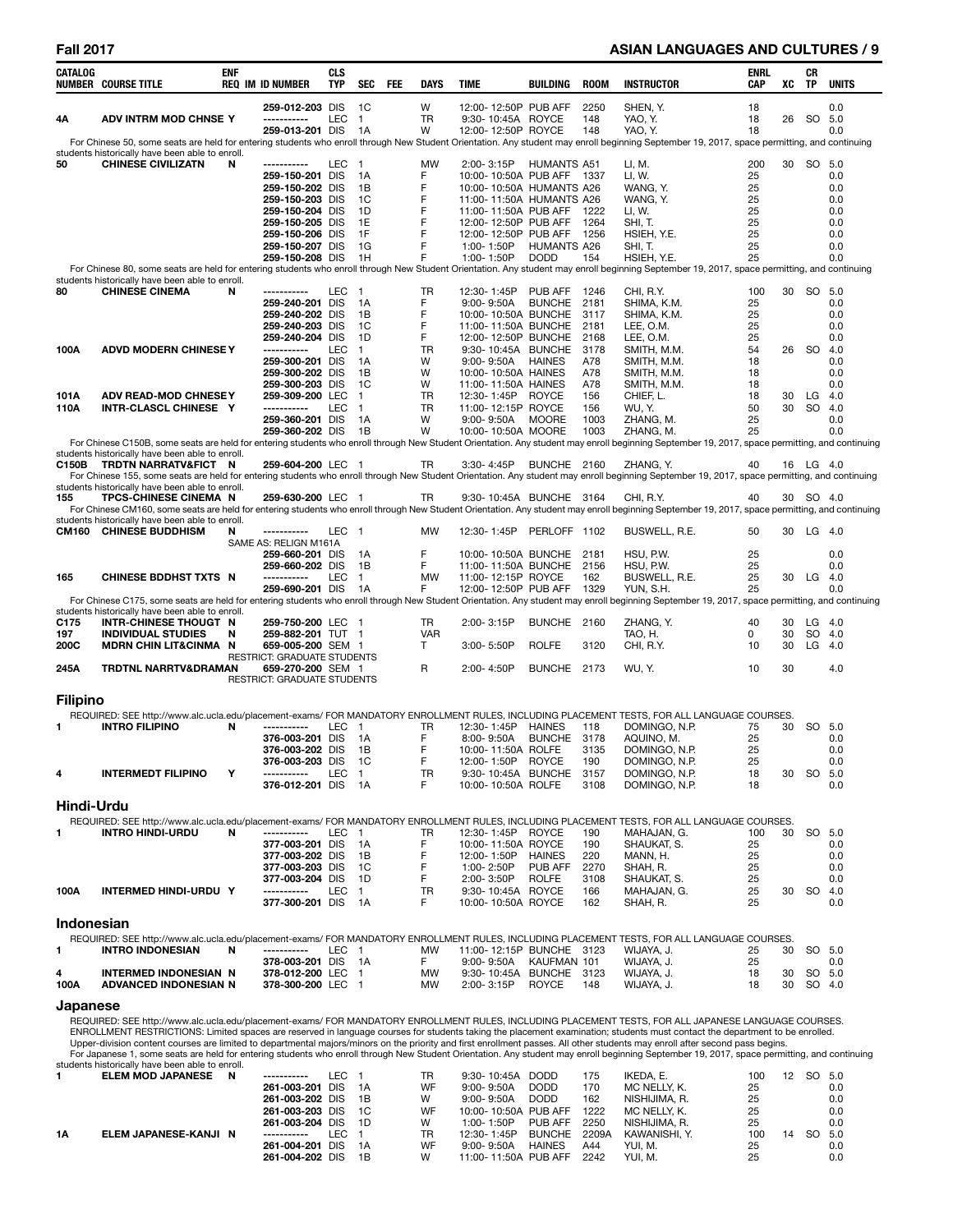### **Fall 2017 ASIAN LANGUAGES AND CULTURES / 9**

| CATALOG         | <b>NUMBER COURSE TITLE</b>                                               | <b>ENF</b> | <b>REQ IM ID NUMBER</b>                                 | <b>CLS</b><br>TYP |                                  | SEC FEE | DAYS           | TIME |                                  | <b>BUILDING</b>                                       | <b>ROOM</b>  | <b>INSTRUCTOR</b>                                                                                                                                                                                                                                                                                                                    | ENRL<br>CAP | XC       | CR<br>TP  | <b>UNITS</b>     |
|-----------------|--------------------------------------------------------------------------|------------|---------------------------------------------------------|-------------------|----------------------------------|---------|----------------|------|----------------------------------|-------------------------------------------------------|--------------|--------------------------------------------------------------------------------------------------------------------------------------------------------------------------------------------------------------------------------------------------------------------------------------------------------------------------------------|-------------|----------|-----------|------------------|
|                 |                                                                          |            | 259-012-203 DIS                                         |                   | 1C                               |         | W              |      |                                  | 12:00-12:50P PUB AFF                                  | 2250         | SHEN, Y.                                                                                                                                                                                                                                                                                                                             | 18          |          |           | 0.0              |
| 4Α              | ADV INTRM MOD CHNSE Y                                                    |            | ------------                                            | LEC               | $\overline{1}$                   |         | <b>TR</b>      |      |                                  | 9:30-10:45A ROYCE                                     | 148          | YAO, Y.                                                                                                                                                                                                                                                                                                                              | 18          | 26       | SO 5.0    |                  |
|                 |                                                                          |            | 259-013-201 DIS                                         |                   | 1A                               |         | W              |      |                                  | 12:00-12:50P ROYCE                                    | 148          | YAO, Y.                                                                                                                                                                                                                                                                                                                              | 18          |          |           | 0.0              |
|                 | students historically have been able to enroll.                          |            |                                                         |                   |                                  |         |                |      |                                  |                                                       |              | For Chinese 50, some seats are held for entering students who enroll through New Student Orientation. Any student may enroll beginning September 19, 2017, space permitting, and continuing                                                                                                                                          |             |          |           |                  |
| 50              | <b>CHINESE CIVILIZATN</b>                                                | N          | -----------                                             | LEC               | - 1                              |         | MW             |      | 2:00-3:15P                       | <b>HUMANTS A51</b>                                    |              | LI, M.                                                                                                                                                                                                                                                                                                                               | 200         |          | 30 SO 5.0 |                  |
|                 |                                                                          |            | 259-150-201 DIS<br>259-150-202 DIS                      |                   | 1A<br>1B                         |         | F<br>F         |      |                                  | 10:00-10:50A PUB AFF 1337<br>10:00-10:50A HUMANTS A26 |              | LI, W.<br>WANG, Y.                                                                                                                                                                                                                                                                                                                   | 25<br>25    |          |           | 0.0<br>0.0       |
|                 |                                                                          |            | 259-150-203 DIS                                         |                   | 1C                               |         | F              |      |                                  | 11:00-11:50A HUMANTS A26                              |              | WANG, Y.                                                                                                                                                                                                                                                                                                                             | 25          |          |           | 0.0              |
|                 |                                                                          |            | 259-150-204 DIS                                         |                   | 1D                               |         | F              |      |                                  | 11:00-11:50A PUB AFF                                  | 1222         | LI, W.                                                                                                                                                                                                                                                                                                                               | 25          |          |           | 0.0              |
|                 |                                                                          |            | 259-150-205 DIS<br>259-150-206 DIS                      |                   | 1E<br>1F                         |         | F<br>F         |      |                                  | 12:00-12:50P PUB AFF<br>12:00-12:50P PUB AFF          | 1264<br>1256 | SHI, T.<br>HSIEH, Y.E.                                                                                                                                                                                                                                                                                                               | 25<br>25    |          |           | 0.0<br>0.0       |
|                 |                                                                          |            | 259-150-207 DIS                                         |                   | 1G                               |         | F              |      | 1:00-1:50P                       | <b>HUMANTS A26</b>                                    |              | SHI, T.                                                                                                                                                                                                                                                                                                                              | 25          |          |           | 0.0              |
|                 |                                                                          |            | 259-150-208 DIS                                         |                   | 1H                               |         | F              |      | 1:00-1:50P                       | <b>DODD</b>                                           | 154          | HSIEH, Y.E.                                                                                                                                                                                                                                                                                                                          | 25          |          |           | 0.0              |
|                 | students historically have been able to enroll.                          |            |                                                         |                   |                                  |         |                |      |                                  |                                                       |              | For Chinese 80, some seats are held for entering students who enroll through New Student Orientation. Any student may enroll beginning September 19, 2017, space permitting, and continuing                                                                                                                                          |             |          |           |                  |
| 80              | <b>CHINESE CINEMA</b>                                                    | N          | -----------                                             | LEC               | $\blacksquare$                   |         | TR             |      | 12:30-1:45P                      | PUB AFF                                               | 1246         | CHI, R.Y.                                                                                                                                                                                                                                                                                                                            | 100         |          | 30 SO 5.0 |                  |
|                 |                                                                          |            | 259-240-201 DIS<br>259-240-202 DIS                      |                   | 1A<br>- 1 B                      |         | F<br>F         |      | $9:00 - 9:50A$                   | <b>BUNCHE</b><br>10:00-10:50A BUNCHE                  | 2181<br>3117 | SHIMA, K.M.<br>SHIMA, K.M.                                                                                                                                                                                                                                                                                                           | 25<br>25    |          |           | 0.0<br>0.0       |
|                 |                                                                          |            | 259-240-203 DIS                                         |                   | 1C                               |         | F              |      |                                  | 11:00-11:50A BUNCHE                                   | 2181         | LEE, O.M.                                                                                                                                                                                                                                                                                                                            | 25          |          |           | 0.0              |
|                 |                                                                          |            | 259-240-204 DIS                                         |                   | 1D                               |         | F              |      |                                  | 12:00-12:50P BUNCHE                                   | 2168         | LEE, O.M.                                                                                                                                                                                                                                                                                                                            | 25          |          |           | 0.0              |
| 100A            | <b>ADVD MODERN CHINESE Y</b>                                             |            | -----------<br>259-300-201 DIS                          | <b>LEC</b>        | $\overline{1}$<br>1A             |         | <b>TR</b><br>W |      |                                  | 9:30-10:45A BUNCHE<br>9:00-9:50A HAINES               | 3178<br>A78  | SMITH, M.M.<br>SMITH, M.M.                                                                                                                                                                                                                                                                                                           | 54<br>18    | 26       | -SO       | 4.0<br>0.0       |
|                 |                                                                          |            | 259-300-202 DIS                                         |                   | 1B                               |         | W              |      |                                  | 10:00-10:50A HAINES                                   | A78          | SMITH, M.M.                                                                                                                                                                                                                                                                                                                          | 18          |          |           | 0.0              |
|                 |                                                                          |            | 259-300-203 DIS<br>259-309-200 LEC                      |                   | 1C                               |         | W<br><b>TR</b> |      |                                  | 11:00-11:50A HAINES                                   | A78          | SMITH, M.M.                                                                                                                                                                                                                                                                                                                          | 18          | 30       | LG        | 0.0<br>4.0       |
| 101A<br>110A    | <b>ADV READ-MOD CHNESEY</b><br>INTR-CLASCL CHINESE Y                     |            | -----------                                             | <b>LEC</b>        | $\mathbf{1}$<br>$\overline{1}$   |         | <b>TR</b>      |      | 12:30- 1:45P                     | <b>ROYCE</b><br>11:00-12:15P ROYCE                    | 156<br>156   | CHIEF, L.<br>WU, Y.                                                                                                                                                                                                                                                                                                                  | 18<br>50    | 30       | <b>SO</b> | 4.0              |
|                 |                                                                          |            | 259-360-201 DIS                                         |                   | - 1 A                            |         | W              |      | $9:00 - 9:50A$                   | <b>MOORE</b>                                          | 1003         | ZHANG, M.                                                                                                                                                                                                                                                                                                                            | 25          |          |           | 0.0              |
|                 |                                                                          |            | 259-360-202 DIS                                         |                   | - 1B                             |         | W              |      |                                  | 10:00-10:50A MOORE                                    | 1003         | ZHANG. M.<br>For Chinese C150B, some seats are held for entering students who enroll through New Student Orientation. Any student may enroll beginning September 19, 2017, space permitting, and continuing                                                                                                                          | 25          |          |           | 0.0              |
|                 | students historically have been able to enroll.                          |            |                                                         |                   |                                  |         |                |      |                                  |                                                       |              |                                                                                                                                                                                                                                                                                                                                      |             |          |           |                  |
| C150B           | TRDTN NARRATV&FICT N                                                     |            | 259-604-200 LEC 1                                       |                   |                                  |         | TR             |      | 3:30-4:45P                       | BUNCHE 2160                                           |              | ZHANG, Y.<br>For Chinese 155, some seats are held for entering students who enroll through New Student Orientation. Any student may enroll beginning September 19, 2017, space permitting, and continuing                                                                                                                            | 40          |          | 16 LG 4.0 |                  |
|                 | students historically have been able to enroll.                          |            |                                                         |                   |                                  |         |                |      |                                  |                                                       |              |                                                                                                                                                                                                                                                                                                                                      |             |          |           |                  |
| 155             | TPCS-CHINESE CINEMA N                                                    |            | 259-630-200 LEC 1                                       |                   |                                  |         | TR             |      |                                  | 9:30-10:45A BUNCHE 3164                               |              | CHI, R.Y.                                                                                                                                                                                                                                                                                                                            | 40          |          | 30 SO 4.0 |                  |
|                 | students historically have been able to enroll.                          |            |                                                         |                   |                                  |         |                |      |                                  |                                                       |              | For Chinese CM160, some seats are held for entering students who enroll through New Student Orientation. Any student may enroll beginning September 19, 2017, space permitting, and continuing                                                                                                                                       |             |          |           |                  |
| <b>CM160</b>    | <b>CHINESE BUDDHISM</b>                                                  | N          | -----------                                             | LEC <sub>1</sub>  |                                  |         | <b>MW</b>      |      | 12:30-1:45P                      | PERLOFF 1102                                          |              | BUSWELL, R.E.                                                                                                                                                                                                                                                                                                                        | 50          |          | 30 LG 4.0 |                  |
|                 |                                                                          |            | SAME AS: RELIGN M161A<br>259-660-201 DIS                |                   | 1A                               |         | F              |      |                                  | 10:00-10:50A BUNCHE                                   | 2181         | HSU, P.W.                                                                                                                                                                                                                                                                                                                            | 25          |          |           | 0.0              |
|                 |                                                                          |            | 259-660-202 DIS                                         |                   | 1B                               |         | F              |      |                                  | 11:00-11:50A BUNCHE                                   | 2156         | HSU, P.W.                                                                                                                                                                                                                                                                                                                            | 25          |          |           | 0.0              |
| 165             | <b>CHINESE BDDHST TXTS N</b>                                             |            | -----------<br>259-690-201 DIS                          | LEC               | $\overline{1}$<br>- 1A           |         | <b>MW</b><br>F |      |                                  | 11:00-12:15P ROYCE<br>12:00-12:50P PUB AFF            | 162<br>1329  | BUSWELL, R.E.<br>YUN, S.H.                                                                                                                                                                                                                                                                                                           | 25<br>25    | 30       | $LG$ 4.0  | 0.0              |
|                 |                                                                          |            |                                                         |                   |                                  |         |                |      |                                  |                                                       |              | For Chinese C175, some seats are held for entering students who enroll through New Student Orientation. Any student may enroll beginning September 19, 2017, space permitting, and continuing                                                                                                                                        |             |          |           |                  |
| C175            | students historically have been able to enroll.<br>INTR-CHINESE THOUGT N |            | 259-750-200 LEC 1                                       |                   |                                  |         | TR             |      | $2:00 - 3:15P$                   | BUNCHE 2160                                           |              | ZHANG, Y.                                                                                                                                                                                                                                                                                                                            | 40          | 30       |           | $LG$ 4.0         |
| 197             | <b>INDIVIDUAL STUDIES</b>                                                | N          | 259-882-201 TUT 1                                       |                   |                                  |         | <b>VAR</b>     |      |                                  |                                                       |              | TAO, H.                                                                                                                                                                                                                                                                                                                              | 0           | 30       | SO        | 4.0              |
| 200C            | <b>MDRN CHIN LIT&amp;CINMA N</b>                                         |            | 659-005-200 SEM 1                                       |                   |                                  |         | T              |      | $3:00 - 5:50P$                   | <b>ROLFE</b>                                          | 3120         | CHI, R.Y.                                                                                                                                                                                                                                                                                                                            | 10          | 30       |           | $LG$ 4.0         |
| 245A            | TRDTNL NARRTV&DRAMAN                                                     |            | <b>RESTRICT: GRADUATE STUDENTS</b><br>659-270-200 SEM 1 |                   |                                  |         | R              |      | 2:00-4:50P                       | BUNCHE 2173                                           |              | WU, Y.                                                                                                                                                                                                                                                                                                                               | 10          | 30       |           | 4.0              |
|                 |                                                                          |            | RESTRICT: GRADUATE STUDENTS                             |                   |                                  |         |                |      |                                  |                                                       |              |                                                                                                                                                                                                                                                                                                                                      |             |          |           |                  |
| <b>Filipino</b> |                                                                          |            |                                                         |                   |                                  |         |                |      |                                  |                                                       |              |                                                                                                                                                                                                                                                                                                                                      |             |          |           |                  |
|                 |                                                                          |            |                                                         |                   |                                  |         |                |      |                                  |                                                       |              | REQUIRED: SEE http://www.alc.ucla.edu/placement-exams/ FOR MANDATORY ENROLLMENT RULES, INCLUDING PLACEMENT TESTS, FOR ALL LANGUAGE COURSES.                                                                                                                                                                                          |             |          |           |                  |
| 1.              | <b>INTRO FILIPINO</b>                                                    | N          | -----------<br>376-003-201 DIS                          | LEC               | $\overline{\phantom{1}}$<br>- 1A |         | TR<br>F        |      | 12:30-1:45P<br>8:00-9:50A        | <b>HAINES</b><br><b>BUNCHE</b>                        | 118<br>3178  | DOMINGO, N.P.<br>aquino, m.                                                                                                                                                                                                                                                                                                          | 75<br>25    | 30       |           | SO 5.0<br>0.0    |
|                 |                                                                          |            | 376-003-202 DIS                                         |                   | - 1 B                            |         | F              |      |                                  | 10:00-11:50A ROLFE                                    | 3135         | DOMINGO, N.P.                                                                                                                                                                                                                                                                                                                        | 25          |          |           | 0.0              |
|                 |                                                                          |            | 376-003-203 DIS                                         |                   | 1C                               |         |                |      |                                  | 12:00-1:50P ROYCE                                     | 190          | DOMINGO, N.P.                                                                                                                                                                                                                                                                                                                        | 25          |          |           | 0.0              |
| 4               | <b>INTERMEDT FILIPINO</b>                                                | Υ          | -----------<br>376-012-201 DIS                          | LEC               | $\mathbf{1}$<br>- 1A             |         | TR<br>F        |      |                                  | 9:30-10:45A BUNCHE<br>10:00-10:50A ROLFE              | 3157<br>3108 | DOMINGO, N.P.<br>DOMINGO, N.P.                                                                                                                                                                                                                                                                                                       | 18<br>18    | 30       | SO        | 5.0<br>0.0       |
|                 |                                                                          |            |                                                         |                   |                                  |         |                |      |                                  |                                                       |              |                                                                                                                                                                                                                                                                                                                                      |             |          |           |                  |
| Hindi-Urdu      |                                                                          |            |                                                         |                   |                                  |         |                |      |                                  |                                                       |              | REQUIRED: SEE http://www.alc.ucla.edu/placement-exams/ FOR MANDATORY ENROLLMENT RULES, INCLUDING PLACEMENT TESTS, FOR ALL LANGUAGE COURSES.                                                                                                                                                                                          |             |          |           |                  |
| 1               | <b>INTRO HINDI-URDU</b>                                                  | N          | -----------                                             | LEC               | $\blacksquare$                   |         | TR             |      | 12:30-1:45P                      | <b>ROYCE</b>                                          | 190          | MAHAJAN, G.                                                                                                                                                                                                                                                                                                                          | 100         | 30       | SO        | 5.0              |
|                 |                                                                          |            | 377-003-201 DIS                                         |                   | - 1A                             |         | F              |      |                                  | 10:00-11:50A ROYCE                                    | 190          | SHAUKAT, S.                                                                                                                                                                                                                                                                                                                          | 25          |          |           | 0.0              |
|                 |                                                                          |            | 377-003-202 DIS<br>377-003-203 DIS                      |                   | 1B<br>1C                         |         | F<br>F         |      | 12:00-1:50P<br>1:00-2:50P        | <b>HAINES</b><br>PUB AFF                              | 220<br>2270  | MANN, H.<br>SHAH, R.                                                                                                                                                                                                                                                                                                                 | 25<br>25    |          |           | 0.0<br>0.0       |
|                 |                                                                          |            | 377-003-204 DIS                                         |                   | 1D                               |         | F              |      | 2:00-3:50P                       | <b>ROLFE</b>                                          | 3108         | SHAUKAT, S.                                                                                                                                                                                                                                                                                                                          | 25          |          |           | 0.0              |
| 100A            | INTERMED HINDI-URDU Y                                                    |            | -----------<br>377-300-201 DIS                          | <b>LEC</b>        | $\overline{1}$<br>- 1A           |         | <b>TR</b><br>F |      |                                  | 9:30-10:45A ROYCE<br>10:00-10:50A ROYCE               | 166<br>162   | MAHAJAN, G.<br>SHAH, R.                                                                                                                                                                                                                                                                                                              | 25<br>25    | 30       | SO.       | 4.0<br>0.0       |
|                 |                                                                          |            |                                                         |                   |                                  |         |                |      |                                  |                                                       |              |                                                                                                                                                                                                                                                                                                                                      |             |          |           |                  |
| Indonesian      |                                                                          |            |                                                         |                   |                                  |         |                |      |                                  |                                                       |              |                                                                                                                                                                                                                                                                                                                                      |             |          |           |                  |
| 1               | <b>INTRO INDONESIAN</b>                                                  | N          | -----------                                             | LEC 1             |                                  |         | MW             |      |                                  | 11:00-12:15P BUNCHE 3123                              |              | REQUIRED: SEE http://www.alc.ucla.edu/placement-exams/ FOR MANDATORY ENROLLMENT RULES, INCLUDING PLACEMENT TESTS, FOR ALL LANGUAGE COURSES.<br>WIJAYA, J.                                                                                                                                                                            | 25          | 30       |           | SO 5.0           |
|                 |                                                                          |            | 378-003-201 DIS                                         |                   | $\overline{A}$                   |         | F.             |      | $9:00 - 9:50A$                   | KAUFMAN 101                                           |              | WIJAYA, J.                                                                                                                                                                                                                                                                                                                           | 25          |          |           | 0.0              |
| 4<br>100A       | <b>INTERMED INDONESIAN N</b><br>ADVANCED INDONESIAN N                    |            | 378-012-200 LEC 1<br>378-300-200 LEC 1                  |                   |                                  |         | MW<br>MW       |      | 2:00-3:15P                       | 9:30-10:45A BUNCHE 3123<br><b>ROYCE</b>               | 148          | WIJAYA, J.<br>WIJAYA, J.                                                                                                                                                                                                                                                                                                             | 18<br>18    | 30<br>30 |           | SO 5.0<br>SO 4.0 |
|                 |                                                                          |            |                                                         |                   |                                  |         |                |      |                                  |                                                       |              |                                                                                                                                                                                                                                                                                                                                      |             |          |           |                  |
| Japanese        |                                                                          |            |                                                         |                   |                                  |         |                |      |                                  |                                                       |              |                                                                                                                                                                                                                                                                                                                                      |             |          |           |                  |
|                 |                                                                          |            |                                                         |                   |                                  |         |                |      |                                  |                                                       |              | REQUIRED: SEE http://www.alc.ucla.edu/placement-exams/ FOR MANDATORY ENROLLMENT RULES, INCLUDING PLACEMENT TESTS, FOR ALL JAPANESE LANGUAGE COURSES.<br>ENROLLMENT RESTRICTIONS: Limited spaces are reserved in language courses for students taking the placement examination; students must contact the department to be enrolled. |             |          |           |                  |
|                 |                                                                          |            |                                                         |                   |                                  |         |                |      |                                  |                                                       |              | Upper-division content courses are limited to departmental majors/minors on the priority and first enrollment passes. All other students may enroll after second pass begins.                                                                                                                                                        |             |          |           |                  |
|                 | students historically have been able to enroll.                          |            |                                                         |                   |                                  |         |                |      |                                  |                                                       |              | For Japanese 1, some seats are held for entering students who enroll through New Student Orientation. Any student may enroll beginning September 19, 2017, space permitting, and continuing                                                                                                                                          |             |          |           |                  |
| 1               | ELEM MOD JAPANESE N                                                      |            | ------------                                            | LEC 1             |                                  |         | TR             |      | 9:30-10:45A DODD                 |                                                       | 175          | IKEDA, E.                                                                                                                                                                                                                                                                                                                            | 100         | 12       | SO 5.0    |                  |
|                 |                                                                          |            | 261-003-201 DIS<br>261-003-202 DIS                      |                   | 1A<br>1B                         |         | WF<br>w        |      | $9:00 - 9:50A$<br>$9:00 - 9:50A$ | <b>DODD</b><br><b>DODD</b>                            | 170<br>162   | MC NELLY, K.<br>NISHIJIMA, R.                                                                                                                                                                                                                                                                                                        | 25<br>25    |          |           | 0.0<br>0.0       |
|                 |                                                                          |            | 261-003-203 DIS                                         |                   | 1C                               |         | WF             |      |                                  | 10:00-10:50A PUB AFF                                  | 1222         | MC NELLY, K.                                                                                                                                                                                                                                                                                                                         | 25          |          |           | 0.0              |
|                 |                                                                          |            | 261-003-204 DIS                                         |                   | 1D                               |         | W              |      | 1:00-1:50P                       | PUB AFF                                               | 2250         | NISHIJIMA, R.                                                                                                                                                                                                                                                                                                                        | 25          |          |           | 0.0              |
| 1Α              | ELEM JAPANESE-KANJI N                                                    |            | -----------<br>261-004-201 DIS                          | LEC               | $\blacksquare$<br>1A             |         | TR<br>WF       |      | 12:30-1:45P<br>$9:00 - 9:50A$    | <b>BUNCHE</b><br><b>HAINES</b>                        | 2209A<br>A44 | KAWANISHI, Y.<br>YUI, M.                                                                                                                                                                                                                                                                                                             | 100<br>25   | 14       | SO 5.0    | 0.0              |
|                 |                                                                          |            | 261-004-202 DIS                                         |                   | 1B                               |         | w              |      |                                  | 11:00-11:50A PUB AFF                                  | 2242         | YUI, M.                                                                                                                                                                                                                                                                                                                              | 25          |          |           | 0.0              |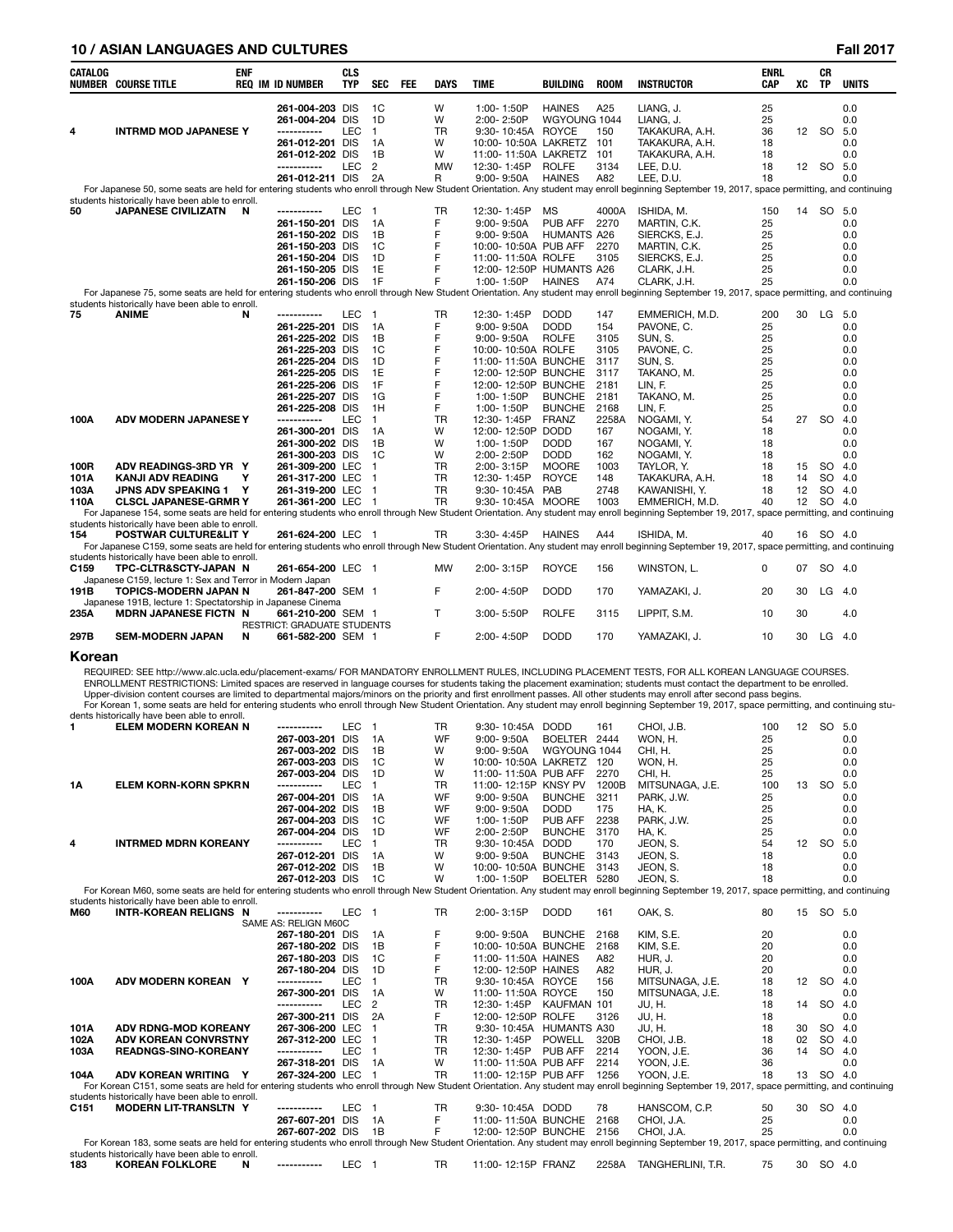### **10 / ASIAN LANGUAGES AND CULTURES Fall 2017**

| <b>CATALOG</b>   |                                                                                            | <b>ENF</b> |                                    | <b>CLS</b> |                      |            |                |                                               |                                |               |                                                                                                                                                                                                                                                                                                                                                               | <b>ENRL</b> |                 | CR        |              |
|------------------|--------------------------------------------------------------------------------------------|------------|------------------------------------|------------|----------------------|------------|----------------|-----------------------------------------------|--------------------------------|---------------|---------------------------------------------------------------------------------------------------------------------------------------------------------------------------------------------------------------------------------------------------------------------------------------------------------------------------------------------------------------|-------------|-----------------|-----------|--------------|
|                  | <b>NUMBER COURSE TITLE</b>                                                                 |            | <b>REQ IM ID NUMBER</b>            | TYP.       | <b>SEC</b>           | <b>FEE</b> | DAYS           | <b>TIME</b>                                   | <b>BUILDING</b>                | <b>ROOM</b>   | <b>INSTRUCTOR</b>                                                                                                                                                                                                                                                                                                                                             | CAP         | XC              | TP        | <b>UNITS</b> |
|                  |                                                                                            |            | 261-004-203 DIS                    |            | 1C                   |            | W              | 1:00-1:50P                                    | <b>HAINES</b>                  | A25           | LIANG, J.                                                                                                                                                                                                                                                                                                                                                     | 25          |                 |           | 0.0          |
| 4                | <b>INTRMD MOD JAPANESE Y</b>                                                               |            | 261-004-204 DIS<br>-----------     | LEC        | 1D<br>$\mathbf{1}$   |            | W<br>TR        | 2:00-2:50P<br>9:30-10:45A ROYCE               | WGYOUNG 1044                   | 150           | LIANG, J.<br>TAKAKURA, A.H.                                                                                                                                                                                                                                                                                                                                   | 25<br>36    | 12              | <b>SO</b> | 0.0<br>5.0   |
|                  |                                                                                            |            | 261-012-201 DIS                    |            | 1A                   |            | W              | 10:00-10:50A LAKRETZ 101                      |                                |               | TAKAKURA, A.H.                                                                                                                                                                                                                                                                                                                                                | 18          |                 |           | 0.0          |
|                  |                                                                                            |            | 261-012-202 DIS                    |            | 1B                   |            | W              | 11:00-11:50A LAKRETZ                          |                                | 101           | TAKAKURA, A.H.                                                                                                                                                                                                                                                                                                                                                | 18          |                 |           | 0.0          |
|                  |                                                                                            |            | -----------                        | <b>LEC</b> | 2                    |            | <b>MW</b>      | 12:30-1:45P                                   | <b>ROLFE</b>                   | 3134          | LEE. D.U.                                                                                                                                                                                                                                                                                                                                                     | 18          | 12              | SO        | 5.0          |
|                  |                                                                                            |            | 261-012-211 DIS                    |            | 2A                   |            | R              | $9:00 - 9:50A$                                | <b>HAINES</b>                  | A82           | LEE, D.U.<br>For Japanese 50, some seats are held for entering students who enroll through New Student Orientation. Any student may enroll beginning September 19, 2017, space permitting, and continuing                                                                                                                                                     | 18          |                 |           | 0.0          |
|                  | students historically have been able to enroll.                                            |            |                                    |            |                      |            |                |                                               |                                |               |                                                                                                                                                                                                                                                                                                                                                               |             |                 |           |              |
| 50               | <b>JAPANESE CIVILIZATN</b>                                                                 | N          | -----------                        | LEC        | $\overline{1}$       |            | TR             | 12:30-1:45P                                   | <b>MS</b>                      | 4000A         | ISHIDA, M.                                                                                                                                                                                                                                                                                                                                                    | 150         |                 | 14 SO     | 5.0          |
|                  |                                                                                            |            | 261-150-201 DIS                    |            | 1A                   |            | F              | $9:00 - 9:50A$                                | PUB AFF                        | 2270          | MARTIN, C.K.                                                                                                                                                                                                                                                                                                                                                  | 25          |                 |           | 0.0          |
|                  |                                                                                            |            | 261-150-202 DIS<br>261-150-203 DIS |            | 1B<br>1C             |            | F<br>F         | $9:00 - 9:50A$<br>10:00-10:50A PUB AFF        | <b>HUMANTS A26</b>             | 2270          | SIERCKS, E.J.<br>MARTIN, C.K.                                                                                                                                                                                                                                                                                                                                 | 25<br>25    |                 |           | 0.0<br>0.0   |
|                  |                                                                                            |            | 261-150-204 DIS                    |            | 1D                   |            | F              | 11:00-11:50A ROLFE                            |                                | 3105          | SIERCKS, E.J.                                                                                                                                                                                                                                                                                                                                                 | 25          |                 |           | 0.0          |
|                  |                                                                                            |            | 261-150-205 DIS                    |            | 1E                   |            | F              | 12:00-12:50P HUMANTS A26                      |                                |               | CLARK, J.H.                                                                                                                                                                                                                                                                                                                                                   | 25          |                 |           | 0.0          |
|                  |                                                                                            |            | 261-150-206 DIS                    |            | 1F                   |            | F              | 1:00-1:50P                                    | <b>HAINES</b>                  | A74           | CLARK, J.H.                                                                                                                                                                                                                                                                                                                                                   | 25          |                 |           | 0.0          |
|                  | students historically have been able to enroll.                                            |            |                                    |            |                      |            |                |                                               |                                |               | For Japanese 75, some seats are held for entering students who enroll through New Student Orientation. Any student may enroll beginning September 19, 2017, space permitting, and continuing                                                                                                                                                                  |             |                 |           |              |
| 75               | <b>ANIME</b>                                                                               | N          | -----------                        | <b>LEC</b> | $\overline{1}$       |            | TR             | 12:30-1:45P                                   | <b>DODD</b>                    | 147           | EMMERICH, M.D.                                                                                                                                                                                                                                                                                                                                                | 200         |                 | 30 LG 5.0 |              |
|                  |                                                                                            |            | 261-225-201 DIS                    |            | 1A                   |            | F              | $9:00 - 9:50A$                                | <b>DODD</b>                    | 154           | PAVONE, C.                                                                                                                                                                                                                                                                                                                                                    | 25          |                 |           | 0.0          |
|                  |                                                                                            |            | 261-225-202 DIS<br>261-225-203 DIS |            | 1B<br>1C             |            | F<br>F         | $9:00 - 9:50A$<br>10:00-10:50A ROLFE          | <b>ROLFE</b>                   | 3105<br>3105  | SUN, S.<br>PAVONE, C.                                                                                                                                                                                                                                                                                                                                         | 25<br>25    |                 |           | 0.0<br>0.0   |
|                  |                                                                                            |            | 261-225-204 DIS                    |            | 1D                   |            | F              | 11:00-11:50A BUNCHE                           |                                | 3117          | SUN, S.                                                                                                                                                                                                                                                                                                                                                       | 25          |                 |           | 0.0          |
|                  |                                                                                            |            | 261-225-205 DIS                    |            | 1E                   |            | F              | 12:00-12:50P BUNCHE                           |                                | 3117          | TAKANO, M.                                                                                                                                                                                                                                                                                                                                                    | 25          |                 |           | 0.0          |
|                  |                                                                                            |            | 261-225-206 DIS                    |            | 1F                   |            | F              | 12:00-12:50P BUNCHE                           |                                | 2181          | LIN, F.                                                                                                                                                                                                                                                                                                                                                       | 25          |                 |           | 0.0          |
|                  |                                                                                            |            | 261-225-207 DIS<br>261-225-208 DIS |            | 1G<br>1H             |            | F<br>F         | 1:00-1:50P<br>1:00-1:50P                      | <b>BUNCHE</b><br><b>BUNCHE</b> | 2181<br>2168  | TAKANO. M.<br>LIN, F.                                                                                                                                                                                                                                                                                                                                         | 25<br>25    |                 |           | 0.0<br>0.0   |
| 100A             | ADV MODERN JAPANESE Y                                                                      |            | -----------                        | LEC        | $\overline{1}$       |            | <b>TR</b>      | 12:30-1:45P                                   | <b>FRANZ</b>                   | 2258A         | NOGAMI, Y.                                                                                                                                                                                                                                                                                                                                                    | 54          | 27              | <b>SO</b> | 4.0          |
|                  |                                                                                            |            | 261-300-201 DIS                    |            | 1A                   |            | W              | 12:00-12:50P                                  | <b>DODD</b>                    | 167           | NOGAMI, Y.                                                                                                                                                                                                                                                                                                                                                    | 18          |                 |           | 0.0          |
|                  |                                                                                            |            | 261-300-202 DIS                    |            | 1B                   |            | W              | 1:00-1:50P                                    | <b>DODD</b>                    | 167           | NOGAMI. Y.                                                                                                                                                                                                                                                                                                                                                    | 18          |                 |           | 0.0          |
| 100R             | ADV READINGS-3RD YR Y                                                                      |            | 261-300-203 DIS<br>261-309-200 LEC |            | 1C<br>$\overline{1}$ |            | W<br><b>TR</b> | 2:00-2:50P<br>2:00-3:15P                      | <b>DODD</b><br><b>MOORE</b>    | 162<br>1003   | NOGAMI. Y.<br>TAYLOR, Y.                                                                                                                                                                                                                                                                                                                                      | 18<br>18    | 15              | <b>SO</b> | 0.0<br>4.0   |
| 101A             | <b>KANJI ADV READING</b>                                                                   | Υ          | 261-317-200 LEC                    |            | $\overline{1}$       |            | <b>TR</b>      | 12:30-1:45P                                   | <b>ROYCE</b>                   | 148           | TAKAKURA, A.H.                                                                                                                                                                                                                                                                                                                                                | 18          | 14              | <b>SO</b> | 4.0          |
| 103A             | JPNS ADV SPEAKING 1 Y                                                                      |            | 261-319-200 LEC                    |            | $\overline{1}$       |            | <b>TR</b>      | 9:30-10:45A PAB                               |                                | 2748          | KAWANISHI, Y.                                                                                                                                                                                                                                                                                                                                                 | 18          | 12              | <b>SO</b> | 4.0          |
| 110A             | <b>CLSCL JAPANESE-GRMR Y</b>                                                               |            | 261-361-200 LEC                    |            | $\overline{1}$       |            | <b>TR</b>      | 9:30-10:45A MOORE                             |                                | 1003          | EMMERICH, M.D.                                                                                                                                                                                                                                                                                                                                                | 40          | 12 <sup>2</sup> | SO 4.0    |              |
|                  | students historically have been able to enroll.                                            |            |                                    |            |                      |            |                |                                               |                                |               | For Japanese 154, some seats are held for entering students who enroll through New Student Orientation. Any student may enroll beginning September 19, 2017, space permitting, and continuing                                                                                                                                                                 |             |                 |           |              |
| 154              | POSTWAR CULTURE&LIT Y                                                                      |            | 261-624-200 LEC 1                  |            |                      |            | <b>TR</b>      | 3:30-4:45P                                    | <b>HAINES</b>                  | A44           | ISHIDA, M.                                                                                                                                                                                                                                                                                                                                                    | 40          |                 | 16 SO 4.0 |              |
|                  | students historically have been able to enroll.                                            |            |                                    |            |                      |            |                |                                               |                                |               | For Japanese C159, some seats are held for entering students who enroll through New Student Orientation. Any student may enroll beginning September 19, 2017, space permitting, and continuing                                                                                                                                                                |             |                 |           |              |
| C <sub>159</sub> | TPC-CLTR&SCTY-JAPAN N                                                                      |            | 261-654-200 LEC 1                  |            |                      |            | <b>MW</b>      | 2:00-3:15P                                    | <b>ROYCE</b>                   | 156           | WINSTON, L.                                                                                                                                                                                                                                                                                                                                                   | 0           | 07              | SO 4.0    |              |
|                  | Japanese C159, lecture 1: Sex and Terror in Modern Japan                                   |            |                                    |            |                      |            |                |                                               |                                |               |                                                                                                                                                                                                                                                                                                                                                               |             |                 |           |              |
| 191B             | <b>TOPICS-MODERN JAPAN N</b><br>Japanese 191B, lecture 1: Spectatorship in Japanese Cinema |            | 261-847-200 SEM 1                  |            |                      |            | F              | 2:00-4:50P                                    | <b>DODD</b>                    | 170           | YAMAZAKI, J.                                                                                                                                                                                                                                                                                                                                                  | 20          | 30              | LG        | 4.0          |
| 235A             | <b>MDRN JAPANESE FICTN N</b>                                                               |            | 661-210-200 SEM 1                  |            |                      |            | T.             | $3:00 - 5:50P$                                | <b>ROLFE</b>                   | 3115          | LIPPIT, S.M.                                                                                                                                                                                                                                                                                                                                                  | 10          | 30              |           | 4.0          |
|                  |                                                                                            |            | <b>RESTRICT: GRADUATE STUDENTS</b> |            |                      |            |                |                                               |                                |               |                                                                                                                                                                                                                                                                                                                                                               |             |                 |           |              |
| 297B             | <b>SEM-MODERN JAPAN</b>                                                                    | N          | 661-582-200 SEM 1                  |            |                      |            | F              | 2:00-4:50P                                    | <b>DODD</b>                    | 170           | YAMAZAKI, J.                                                                                                                                                                                                                                                                                                                                                  | 10          | 30              | LG        | 4.0          |
| Korean           |                                                                                            |            |                                    |            |                      |            |                |                                               |                                |               |                                                                                                                                                                                                                                                                                                                                                               |             |                 |           |              |
|                  |                                                                                            |            |                                    |            |                      |            |                |                                               |                                |               | REQUIRED: SEE http://www.alc.ucla.edu/placement-exams/ FOR MANDATORY ENROLLMENT RULES, INCLUDING PLACEMENT TESTS, FOR ALL KOREAN LANGUAGE COURSES.                                                                                                                                                                                                            |             |                 |           |              |
|                  |                                                                                            |            |                                    |            |                      |            |                |                                               |                                |               | ENROLLMENT RESTRICTIONS: Limited spaces are reserved in language courses for students taking the placement examination; students must contact the department to be enrolled.<br>Upper-division content courses are limited to departmental majors/minors on the priority and first enrollment passes. All other students may enroll after second pass begins. |             |                 |           |              |
|                  |                                                                                            |            |                                    |            |                      |            |                |                                               |                                |               | For Korean 1, some seats are held for entering students who enroll through New Student Orientation. Any student may enroll beginning September 19, 2017, space permitting, and continuing stu-                                                                                                                                                                |             |                 |           |              |
|                  | dents historically have been able to enroll.                                               |            |                                    |            |                      |            |                |                                               |                                |               |                                                                                                                                                                                                                                                                                                                                                               |             |                 |           |              |
| 1.               | ELEM MODERN KOREAN N                                                                       |            | -----------<br>267-003-201 DIS     | <b>LEC</b> | - 1<br>- 1 A         |            | TR<br>WF       | 9:30-10:45A DODD<br>$9:00 - 9:50A$            | BOELTER 2444                   | 161           | CHOI, J.B.<br>WON, H.                                                                                                                                                                                                                                                                                                                                         | 100<br>25   | 12              | SO        | 5.0<br>0.0   |
|                  |                                                                                            |            | 267-003-202 DIS                    |            | 1B                   |            | W              | $9:00 - 9:50A$                                | WGYOUNG 1044                   |               | CHI, H.                                                                                                                                                                                                                                                                                                                                                       | 25          |                 |           | 0.0          |
|                  |                                                                                            |            | 267-003-203 DIS                    |            | 1C                   |            | W              | 10:00-10:50A LAKRETZ 120                      |                                |               | WON, H.                                                                                                                                                                                                                                                                                                                                                       | 25          |                 |           | 0.0          |
|                  |                                                                                            |            | 267-003-204 DIS                    |            | 1D                   |            | W              | 11:00-11:50A PUB AFF                          |                                | 2270          | CHI, H.                                                                                                                                                                                                                                                                                                                                                       | 25          |                 |           | 0.0          |
| 1Α               | <b>ELEM KORN-KORN SPKRN</b>                                                                |            | -----------<br>267-004-201 DIS     | LEC        | 1.<br>1A             |            | TR<br>WF       | 11:00-12:15P KNSY PV<br>$9:00 - 9:50A$        | <b>BUNCHE</b>                  | 1200B<br>3211 | MITSUNAGA, J.E.<br>PARK, J.W.                                                                                                                                                                                                                                                                                                                                 | 100<br>25   | 13              | <b>SO</b> | 5.0<br>0.0   |
|                  |                                                                                            |            | 267-004-202 DIS                    |            | 1В                   |            | WF             | $9:00 - 9:50A$                                | <b>DODD</b>                    | 175           | HA, K.                                                                                                                                                                                                                                                                                                                                                        | 25          |                 |           | 0.0          |
|                  |                                                                                            |            | 267-004-203 DIS                    |            | 1C                   |            | WF             | 1:00-1:50P                                    | PUB AFF                        | 2238          | PARK, J.W.                                                                                                                                                                                                                                                                                                                                                    | 25          |                 |           | 0.0          |
| 4                | <b>INTRMED MDRN KOREANY</b>                                                                |            | 267-004-204 DIS                    |            | 1D                   |            | WF             | 2:00-2:50P<br>9:30-10:45A                     | <b>BUNCHE</b><br><b>DODD</b>   | 3170<br>170   | <b>HA. K.</b><br>JEON, S.                                                                                                                                                                                                                                                                                                                                     | 25          |                 | 12 SO     | 0.0          |
|                  |                                                                                            |            | -----------<br>267-012-201 DIS     | LEC        | $\overline{1}$<br>1A |            | TR<br>W        | $9:00 - 9:50A$                                | <b>BUNCHE</b>                  | 3143          | JEON, S.                                                                                                                                                                                                                                                                                                                                                      | 54<br>18    |                 |           | 5.0<br>0.0   |
|                  |                                                                                            |            | 267-012-202 DIS                    |            | 1В                   |            | W              | 10:00-10:50A BUNCHE                           |                                | 3143          | JEON, S.                                                                                                                                                                                                                                                                                                                                                      | 18          |                 |           | 0.0          |
|                  |                                                                                            |            | 267-012-203 DIS                    |            | 1C                   |            | W              | 1:00-1:50P                                    | BOELTER 5280                   |               | JEON. S.                                                                                                                                                                                                                                                                                                                                                      | 18          |                 |           | 0.0          |
|                  | students historically have been able to enroll.                                            |            |                                    |            |                      |            |                |                                               |                                |               | For Korean M60, some seats are held for entering students who enroll through New Student Orientation. Any student may enroll beginning September 19, 2017, space permitting, and continuing                                                                                                                                                                   |             |                 |           |              |
| M60              | <b>INTR-KOREAN RELIGNS N</b>                                                               |            | -----------                        | LEC 1      |                      |            | TR             | 2:00-3:15P                                    | <b>DODD</b>                    | 161           | OAK, S.                                                                                                                                                                                                                                                                                                                                                       | 80          |                 | 15 SO 5.0 |              |
|                  |                                                                                            |            | SAME AS: RELIGN M60C               |            |                      |            |                |                                               |                                |               |                                                                                                                                                                                                                                                                                                                                                               |             |                 |           |              |
|                  |                                                                                            |            | 267-180-201 DIS                    |            | 1A                   |            | F<br>F         | $9:00 - 9:50A$                                | <b>BUNCHE</b>                  | 2168          | KIM. S.E.                                                                                                                                                                                                                                                                                                                                                     | 20          |                 |           | 0.0          |
|                  |                                                                                            |            | 267-180-202 DIS<br>267-180-203 DIS |            | 1В<br>1C             |            | F              | 10:00-10:50A BUNCHE<br>11:00-11:50A HAINES    |                                | 2168<br>A82   | KIM, S.E.<br>HUR, J.                                                                                                                                                                                                                                                                                                                                          | 20<br>20    |                 |           | 0.0<br>0.0   |
|                  |                                                                                            |            | 267-180-204 DIS                    |            | 1D                   |            | F              | 12:00-12:50P HAINES                           |                                | A82           | HUR, J.                                                                                                                                                                                                                                                                                                                                                       | 20          |                 |           | 0.0          |
| 100A             | ADV MODERN KOREAN Y                                                                        |            | -----------                        | LEC        | 1.                   |            | TR             | 9:30-10:45A ROYCE                             |                                | 156           | MITSUNAGA, J.E.                                                                                                                                                                                                                                                                                                                                               | 18          | 12              | <b>SO</b> | 4.0          |
|                  |                                                                                            |            | 267-300-201 DIS                    |            | 1A                   |            | W              | 11:00-11:50A ROYCE                            |                                | 150           | MITSUNAGA, J.E.                                                                                                                                                                                                                                                                                                                                               | 18          |                 |           | 0.0          |
|                  |                                                                                            |            | -----------<br>267-300-211 DIS     | LEC        | 2<br>2A              |            | TR<br>F        | 12:30-1:45P KAUFMAN 101<br>12:00-12:50P ROLFE |                                | 3126          | JU, H.<br>JU, H.                                                                                                                                                                                                                                                                                                                                              | 18<br>18    |                 | 14 SO     | -4.0<br>0.0  |

**101A ADV RDNG-MOD KOREANY 267-306-200** LEC 1 TR 9:30- 10:45A HUMANTS A30 JU, H. 18 30 SO 4.0 **102A ADV KOREAN CONVRSTNY 267-312-200** LEC 1 TR 12:30- 1:45P POWELL 320B CHOI, J.B. 18 02 SO 4.0 **103A READNGS-SINO-KOREANY -----------** LEC 1 TR 12:30- 1:45P PUB AFF 2214 YOON, J.E. 36 14 SO 4.0 0.0 267-3**18-201** DIS 1A W 11:00-11:50A PUB AFF 2214 YOON, J.E. 36 0.0<br>19 104A ADV KOREAN WRITING Y 267-324-200 LEC 1 TR 11:00-12:15P PUB AFF 1256 YOON, J.E. 18 13 SO 4.0 104A ADV KOREAN WRITING Y 267-324-200 LEC 1 TR 11:00-12:15P PUB AFF 1256 YOON, J.E. 18 18 13 SO 4.0<br>For Korean C151, some seats are held for entering students who enroll through New Student Orientation. Any student may enr **C151 MODERN LIT-TRANSLTN Y -----------** LEC 1 TR 9:30-10:45A DODD 78 HANSCOM, C.P. 50 30 SO 4.0<br>267-607-201 DIS 1A F 11:00-11:50A BUNCHE 2168 CHOI, J.A. 25 25 0.0<br>267-607-202 DIS 1B F 12:00-12:50P BUNCHE 2156 CHOI, J.A. 2 1.00-11:50A BUNCHE 2168 CHOI, J.A. 25 0.0<br>12:00-12:50P BUNCHE 2156 CHOI, J.A. 25 0.0

0.0 25 267-607-202 DIS 1B F 12:00-12:50P BUNCHE 2156 CHOI, J.A. 250-719, some seats are held for entering students who enroll through New Student Orientation. Any student may enroll beginning September 19, 2017, space perm students historically have been able to enroll.<br>183 **KOREAN FOLKLORE** N **183 KOREAN FOLKLORE N -----------** LEC 1 TR 11:00- 12:15P FRANZ 2258A TANGHERLINI, T.R. 75 30 SO 4.0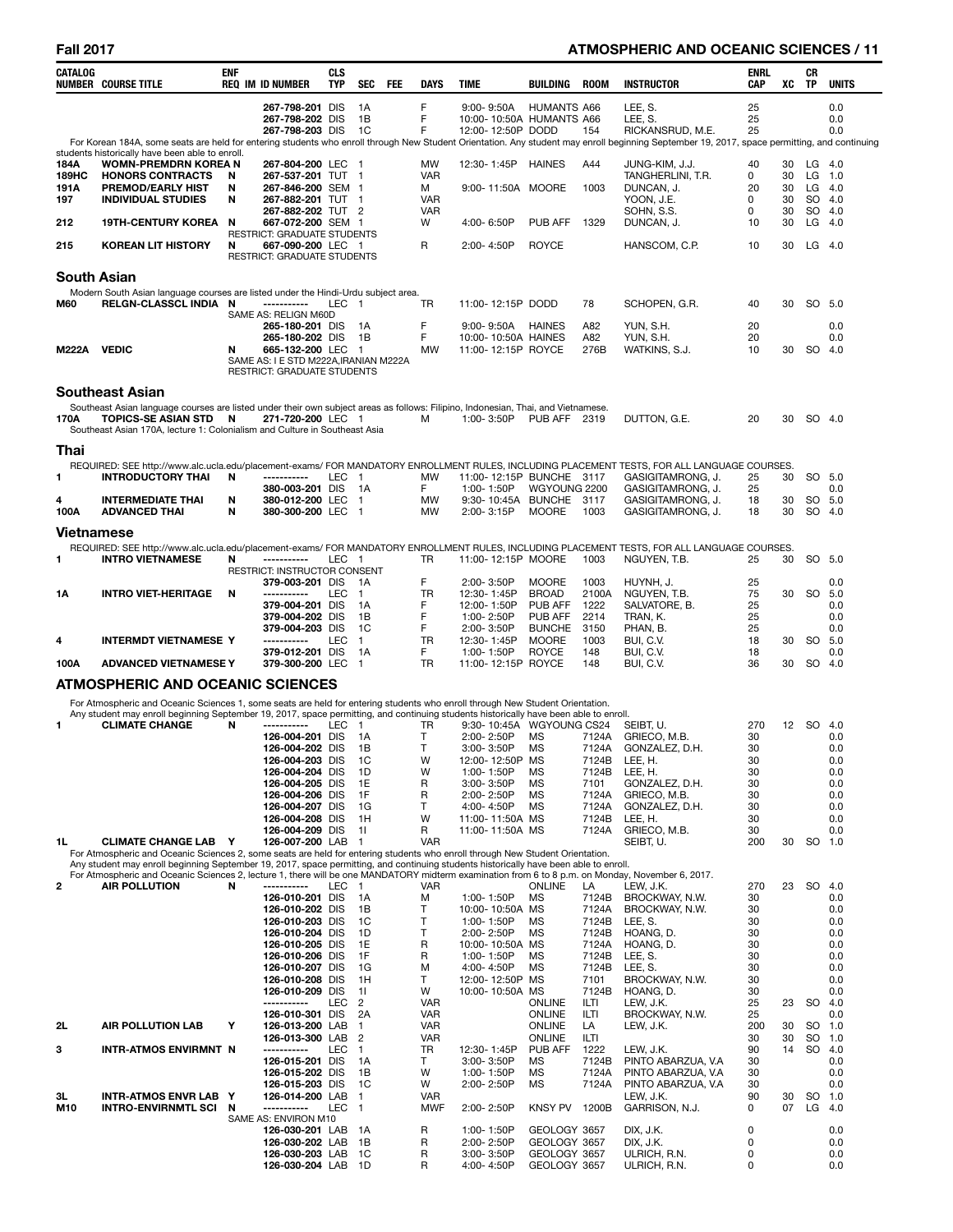# **Fall 2017 ATMOSPHERIC AND OCEANIC SCIENCES / 11**

| <b>CATALOG</b>     | <b>NUMBER COURSE TITLE</b>                                                                                                                                                                                                                                                                | <b>ENF</b> | <b>REQ IM ID NUMBER</b>                                    | <b>CLS</b><br><b>TYP</b> | <b>SEC</b><br><b>FEE</b>         | <b>DAYS</b>              | <b>TIME</b>                                                     | <b>BUILDING</b>              | <b>ROOM</b>         | <b>INSTRUCTOR</b>                                                                                                                                                                            | <b>ENRL</b><br>CAP | XC       | CR<br><b>TP</b>  | <b>UNITS</b>      |
|--------------------|-------------------------------------------------------------------------------------------------------------------------------------------------------------------------------------------------------------------------------------------------------------------------------------------|------------|------------------------------------------------------------|--------------------------|----------------------------------|--------------------------|-----------------------------------------------------------------|------------------------------|---------------------|----------------------------------------------------------------------------------------------------------------------------------------------------------------------------------------------|--------------------|----------|------------------|-------------------|
|                    |                                                                                                                                                                                                                                                                                           |            | 267-798-201 DIS<br>267-798-202 DIS<br>267-798-203 DIS      |                          | 1A<br>1B<br>1C                   | F<br>F<br>F              | $9:00 - 9:50A$<br>10:00-10:50A HUMANTS A66<br>12:00-12:50P DODD | <b>HUMANTS A66</b>           | 154                 | LEE, S.<br>LEE, S.<br>RICKANSRUD, M.E.                                                                                                                                                       | 25<br>25<br>25     |          |                  | 0.0<br>0.0<br>0.0 |
|                    | students historically have been able to enroll.                                                                                                                                                                                                                                           |            |                                                            |                          |                                  |                          |                                                                 |                              |                     | For Korean 184A, some seats are held for entering students who enroll through New Student Orientation. Any student may enroll beginning September 19, 2017, space permitting, and continuing |                    |          |                  |                   |
| 184A               | <b>WOMN-PREMDRN KOREA N</b>                                                                                                                                                                                                                                                               |            | 267-804-200 LEC                                            |                          | $\blacksquare$                   | <b>MW</b>                | 12:30-1:45P                                                     | <b>HAINES</b>                | A44                 | JUNG-KIM, J.J.                                                                                                                                                                               | 40                 | 30       | LG               | - 4.0             |
| 189HC<br>191A      | <b>HONORS CONTRACTS</b><br><b>PREMOD/EARLY HIST</b>                                                                                                                                                                                                                                       | N<br>N     | 267-537-201 TUT 1<br>267-846-200 SEM 1                     |                          |                                  | <b>VAR</b><br>м          | 9:00-11:50A MOORE                                               |                              | 1003                | TANGHERLINI, T.R.<br>DUNCAN, J.                                                                                                                                                              | 0<br>20            | 30<br>30 | LG<br>LG.        | 1.0<br>- 4.0      |
| 197                | <b>INDIVIDUAL STUDIES</b>                                                                                                                                                                                                                                                                 | N          | 267-882-201 TUT 1                                          |                          |                                  | <b>VAR</b>               |                                                                 |                              |                     | YOON, J.E.                                                                                                                                                                                   | $\Omega$           | 30       | SO 4.0           |                   |
| 212                | 19TH-CENTURY KOREA N                                                                                                                                                                                                                                                                      |            | 267-882-202 TUT 2<br>667-072-200 SEM 1                     |                          |                                  | <b>VAR</b><br>W          | 4:00-6:50P                                                      | <b>PUB AFF</b>               | 1329                | SOHN, S.S.<br>DUNCAN, J.                                                                                                                                                                     | 0<br>10            | 30<br>30 | SO 4.0<br>LG     | 4.0               |
| 215                | KOREAN LIT HISTORY                                                                                                                                                                                                                                                                        | N          | <b>RESTRICT: GRADUATE STUDENTS</b><br>667-090-200 LEC 1    |                          |                                  | R                        | 2:00-4:50P                                                      | <b>ROYCE</b>                 |                     | HANSCOM, C.P.                                                                                                                                                                                | 10                 | 30       | $LG$ 4.0         |                   |
| <b>South Asian</b> |                                                                                                                                                                                                                                                                                           |            | <b>RESTRICT: GRADUATE STUDENTS</b>                         |                          |                                  |                          |                                                                 |                              |                     |                                                                                                                                                                                              |                    |          |                  |                   |
|                    | Modern South Asian language courses are listed under the Hindi-Urdu subject area.                                                                                                                                                                                                         |            |                                                            |                          |                                  |                          |                                                                 |                              |                     |                                                                                                                                                                                              |                    |          |                  |                   |
| <b>M60</b>         | RELGN-CLASSCL INDIA N                                                                                                                                                                                                                                                                     |            | -----------                                                | LEC 1                    |                                  | <b>TR</b>                | 11:00-12:15P DODD                                               |                              | 78                  | SCHOPEN, G.R.                                                                                                                                                                                | 40                 | 30       | SO 5.0           |                   |
|                    |                                                                                                                                                                                                                                                                                           |            | SAME AS: RELIGN M60D<br>265-180-201 DIS                    |                          | - 1A                             | F                        | 9:00-9:50A HAINES                                               |                              | A82                 | YUN, S.H.                                                                                                                                                                                    | 20                 |          |                  | 0.0               |
|                    |                                                                                                                                                                                                                                                                                           |            | 265-180-202 DIS                                            |                          | 1B                               | F                        | 10:00-10:50A HAINES                                             |                              | A82                 | YUN, S.H.                                                                                                                                                                                    | 20                 |          |                  | 0.0               |
| M222A VEDIC        |                                                                                                                                                                                                                                                                                           | N          | 665-132-200 LEC 1<br>SAME AS: I E STD M222A, IRANIAN M222A |                          |                                  | <b>MW</b>                | 11:00-12:15P ROYCE                                              |                              | 276B                | WATKINS, S.J.                                                                                                                                                                                | 10                 | 30       | SO 4.0           |                   |
|                    |                                                                                                                                                                                                                                                                                           |            | <b>RESTRICT: GRADUATE STUDENTS</b>                         |                          |                                  |                          |                                                                 |                              |                     |                                                                                                                                                                                              |                    |          |                  |                   |
|                    | <b>Southeast Asian</b>                                                                                                                                                                                                                                                                    |            |                                                            |                          |                                  |                          |                                                                 |                              |                     |                                                                                                                                                                                              |                    |          |                  |                   |
| 170A               | Southeast Asian language courses are listed under their own subject areas as follows: Filipino, Indonesian, Thai, and Vietnamese.<br>TOPICS-SE ASIAN STD N<br>Southeast Asian 170A, lecture 1: Colonialism and Culture in Southeast Asia                                                  |            | 271-720-200 LEC 1                                          |                          |                                  | м                        | 1:00-3:50P                                                      | <b>PUB AFF 2319</b>          |                     | DUTTON, G.E.                                                                                                                                                                                 | 20                 | 30       | SO 4.0           |                   |
| Thai               |                                                                                                                                                                                                                                                                                           |            |                                                            |                          |                                  |                          |                                                                 |                              |                     |                                                                                                                                                                                              |                    |          |                  |                   |
| 1                  | <b>INTRODUCTORY THAI</b>                                                                                                                                                                                                                                                                  | N          | -----------                                                | <b>LEC</b>               | $\overline{1}$                   | <b>MW</b>                | 11:00-12:15P BUNCHE 3117                                        |                              |                     | REQUIRED: SEE http://www.alc.ucla.edu/placement-exams/ FOR MANDATORY ENROLLMENT RULES, INCLUDING PLACEMENT TESTS, FOR ALL LANGUAGE COURSES.<br>GASIGITAMRONG, J.                             | 25                 | 30       | SO 5.0           |                   |
|                    |                                                                                                                                                                                                                                                                                           |            | 380-003-201 DIS                                            |                          | 1A                               | F.                       | 1:00-1:50P                                                      | WGYOUNG 2200                 |                     | GASIGITAMRONG, J.                                                                                                                                                                            | 25                 |          |                  | 0.0               |
| 4<br>100A          | <b>INTERMEDIATE THAI</b><br><b>ADVANCED THAI</b>                                                                                                                                                                                                                                          | N<br>N     | 380-012-200 LEC<br>380-300-200 LEC                         |                          | $\blacksquare$<br>$\overline{1}$ | <b>MW</b><br><b>MW</b>   | 9:30-10:45A BUNCHE 3117<br>2:00-3:15P                           | <b>MOORE</b>                 | 1003                | GASIGITAMRONG, J.<br>GASIGITAMRONG, J.                                                                                                                                                       | 18<br>18           | 30<br>30 | SO 5.0<br>SO 4.0 |                   |
|                    |                                                                                                                                                                                                                                                                                           |            |                                                            |                          |                                  |                          |                                                                 |                              |                     |                                                                                                                                                                                              |                    |          |                  |                   |
| <b>Vietnamese</b>  |                                                                                                                                                                                                                                                                                           |            |                                                            |                          |                                  |                          |                                                                 |                              |                     |                                                                                                                                                                                              |                    |          |                  |                   |
| 1                  | <b>INTRO VIETNAMESE</b>                                                                                                                                                                                                                                                                   | N          | -----------                                                | LEC 1                    |                                  | <b>TR</b>                | 11:00-12:15P MOORE                                              |                              | 1003                | REQUIRED: SEE http://www.alc.ucla.edu/placement-exams/ FOR MANDATORY ENROLLMENT RULES, INCLUDING PLACEMENT TESTS, FOR ALL LANGUAGE COURSES.<br>NGUYEN, T.B.                                  | 25                 | 30       | SO 5.0           |                   |
|                    |                                                                                                                                                                                                                                                                                           |            | RESTRICT: INSTRUCTOR CONSENT                               |                          |                                  | F                        |                                                                 |                              |                     |                                                                                                                                                                                              |                    |          |                  |                   |
| 1Α                 | <b>INTRO VIET-HERITAGE</b>                                                                                                                                                                                                                                                                | N          | 379-003-201 DIS<br>-----------                             | <b>LEC</b>               | - 1A<br>$\overline{1}$           | TR                       | 2:00-3:50P<br>12:30-1:45P                                       | <b>MOORE</b><br><b>BROAD</b> | 1003<br>2100A       | HUYNH, J.<br>NGUYEN, T.B.                                                                                                                                                                    | 25<br>75           | 30       | <b>SO</b>        | 0.0<br>5.0        |
|                    |                                                                                                                                                                                                                                                                                           |            | 379-004-201 DIS                                            |                          | 1A                               | F<br>F                   | 12:00-1:50P                                                     | PUB AFF                      | 1222                | SALVATORE, B.                                                                                                                                                                                | 25                 |          |                  | 0.0               |
|                    |                                                                                                                                                                                                                                                                                           |            | 379-004-202 DIS<br>379-004-203 DIS                         |                          | 1B<br>1C                         | F                        | 1:00-2:50P<br>2:00-3:50P                                        | PUB AFF<br><b>BUNCHE</b>     | 2214<br>3150        | TRAN, K.<br>PHAN, B.                                                                                                                                                                         | 25<br>25           |          |                  | 0.0<br>0.0        |
| 4                  | <b>INTERMDT VIETNAMESE Y</b>                                                                                                                                                                                                                                                              |            | -----------                                                | <b>LEC</b>               | $\blacksquare$                   | TR                       | 12:30-1:45P                                                     | <b>MOORE</b>                 | 1003                | BUI, C.V.                                                                                                                                                                                    | 18                 | 30       | <b>SO</b>        | 5.0               |
| 100A               | <b>ADVANCED VIETNAMESE Y</b>                                                                                                                                                                                                                                                              |            | 379-012-201 DIS<br>379-300-200 LEC                         |                          | 1A<br>$\overline{1}$             | F<br><b>TR</b>           | 1:00-1:50P<br>11:00-12:15P ROYCE                                | ROYCE                        | 148<br>148          | BUI, C.V.<br>BUI, C.V.                                                                                                                                                                       | 18<br>36           | 30       | SO 4.0           | 0.0               |
|                    | <b>ATMOSPHERIC AND OCEANIC SCIENCES</b>                                                                                                                                                                                                                                                   |            |                                                            |                          |                                  |                          |                                                                 |                              |                     |                                                                                                                                                                                              |                    |          |                  |                   |
|                    | For Atmospheric and Oceanic Sciences 1, some seats are held for entering students who enroll through New Student Orientation.                                                                                                                                                             |            |                                                            |                          |                                  |                          |                                                                 |                              |                     |                                                                                                                                                                                              |                    |          |                  |                   |
| $\mathbf{1}$       | Any student may enroll beginning September 19, 2017, space permitting, and continuing students historically have been able to enroll.<br><b>CLIMATE CHANGE</b>                                                                                                                            | N          | -----------                                                | LEC                      | $\overline{1}$                   | TR                       | 9:30-10:45A WGYOUNG CS24                                        |                              |                     | SEIBT. U.                                                                                                                                                                                    | 270                | 12       | SO.              | -4.0              |
|                    |                                                                                                                                                                                                                                                                                           |            | 126-004-201 DIS                                            |                          | 1A                               | $\mathsf{T}$             | 2:00-2:50P                                                      | MS                           | 7124A               | GRIECO, M.B.                                                                                                                                                                                 | 30                 |          |                  | 0.0               |
|                    |                                                                                                                                                                                                                                                                                           |            | 126-004-202 DIS<br>126-004-203 DIS                         |                          | 1B                               | $\mathsf{T}$             | 3:00-3:50P                                                      | <b>MS</b>                    |                     | 7124A GONZALEZ, D.H.<br>7124B LEE, H.                                                                                                                                                        | 30                 |          |                  | 0.0               |
|                    |                                                                                                                                                                                                                                                                                           |            | 126-004-204 DIS                                            |                          | 1C<br>1D                         | W<br>W                   | 12:00-12:50P MS<br>1:00-1:50P                                   | MS                           | 7124B               | LEE, H.                                                                                                                                                                                      | 30<br>30           |          |                  | 0.0<br>0.0        |
|                    |                                                                                                                                                                                                                                                                                           |            | 126-004-205 DIS                                            |                          | 1E                               | R                        | 3:00-3:50P                                                      | <b>MS</b>                    | 7101                | GONZALEZ, D.H.                                                                                                                                                                               | 30                 |          |                  | 0.0               |
|                    |                                                                                                                                                                                                                                                                                           |            | 126-004-206 DIS<br>126-004-207 DIS                         |                          | 1F<br>1G                         | R<br>т                   | 2:00-2:50P<br>4:00-4:50P                                        | MS<br>MS                     | 7124A<br>7124A      | GRIECO, M.B.<br>GONZALEZ, D.H.                                                                                                                                                               | 30<br>30           |          |                  | 0.0<br>0.0        |
|                    |                                                                                                                                                                                                                                                                                           |            | 126-004-208 DIS                                            |                          | 1H                               | W                        | 11:00-11:50A MS                                                 |                              | 7124B               | LEE, H.                                                                                                                                                                                      | 30                 |          |                  | 0.0               |
| 1L                 | <b>CLIMATE CHANGE LAB Y</b>                                                                                                                                                                                                                                                               |            | 126-004-209 DIS<br>126-007-200 LAB                         |                          | 11<br>$\overline{1}$             | R<br><b>VAR</b>          | 11:00-11:50A MS                                                 |                              | 7124A               | GRIECO, M.B.<br>SEIBT, U.                                                                                                                                                                    | 30<br>200          | 30       | <b>SO</b>        | 0.0<br>1.0        |
|                    | For Atmospheric and Oceanic Sciences 2, some seats are held for entering students who enroll through New Student Orientation.                                                                                                                                                             |            |                                                            |                          |                                  |                          |                                                                 |                              |                     |                                                                                                                                                                                              |                    |          |                  |                   |
|                    | Any student may enroll beginning September 19, 2017, space permitting, and continuing students historically have been able to enroll.<br>For Atmospheric and Oceanic Sciences 2, lecture 1, there will be one MANDATORY midterm examination from 6 to 8 p.m. on Monday, November 6, 2017. |            |                                                            |                          |                                  |                          |                                                                 |                              |                     |                                                                                                                                                                                              |                    |          |                  |                   |
| $\mathbf{2}$       | <b>AIR POLLUTION</b>                                                                                                                                                                                                                                                                      | N          | ------------<br>126-010-201 DIS                            | <b>LEC</b>               | $\overline{1}$<br>1A             | <b>VAR</b><br>M          | 1:00-1:50P                                                      | <b>ONLINE</b><br>MS          | LA<br>7124B         | LEW, J.K.<br>BROCKWAY, N.W.                                                                                                                                                                  | 270<br>30          | 23       | <b>SO</b>        | 4.0<br>0.0        |
|                    |                                                                                                                                                                                                                                                                                           |            | 126-010-202 DIS                                            |                          | 1B                               | Т                        | 10:00-10:50A MS                                                 |                              | 7124A               | BROCKWAY, N.W.                                                                                                                                                                               | 30                 |          |                  | 0.0               |
|                    |                                                                                                                                                                                                                                                                                           |            | 126-010-203 DIS                                            |                          | 1C<br>1D                         | т<br>T                   | 1:00-1:50P                                                      | MS<br><b>MS</b>              | 7124B               | LEE, S.                                                                                                                                                                                      | 30                 |          |                  | 0.0               |
|                    |                                                                                                                                                                                                                                                                                           |            | 126-010-204 DIS<br>126-010-205 DIS                         |                          | 1E                               | R                        | 2:00-2:50P<br>10:00-10:50A MS                                   |                              | 7124B<br>7124A      | HOANG, D.<br>HOANG, D.                                                                                                                                                                       | 30<br>30           |          |                  | 0.0<br>0.0        |
|                    |                                                                                                                                                                                                                                                                                           |            | 126-010-206 DIS                                            |                          | 1F                               | R                        | 1:00-1:50P                                                      | MS                           | 7124B               | LEE, S.                                                                                                                                                                                      | 30                 |          |                  | 0.0               |
|                    |                                                                                                                                                                                                                                                                                           |            | 126-010-207 DIS<br>126-010-208 DIS                         |                          | 1G<br>1H                         | M<br>т                   | 4:00-4:50P<br>12:00-12:50P MS                                   | MS                           | 7124B<br>7101       | LEE, S.<br>BROCKWAY, N.W.                                                                                                                                                                    | 30<br>30           |          |                  | 0.0<br>0.0        |
|                    |                                                                                                                                                                                                                                                                                           |            | 126-010-209 DIS                                            |                          | 11                               | W                        | 10:00-10:50A MS                                                 |                              | 7124B               | HOANG, D.                                                                                                                                                                                    | 30                 |          |                  | 0.0               |
|                    |                                                                                                                                                                                                                                                                                           |            | -----------<br>126-010-301 DIS                             | <b>LEC</b>               | $\overline{c}$<br>2A             | <b>VAR</b><br><b>VAR</b> |                                                                 | <b>ONLINE</b><br>ONLINE      | ILTI<br>ILTI        | LEW, J.K.<br>BROCKWAY, N.W.                                                                                                                                                                  | 25<br>25           | 23       | <b>SO</b>        | 4.0<br>0.0        |
| 2L                 | <b>AIR POLLUTION LAB</b>                                                                                                                                                                                                                                                                  | Y          | 126-013-200 LAB                                            |                          | $\mathbf{1}$                     | <b>VAR</b>               |                                                                 | <b>ONLINE</b>                | LA                  | LEW, J.K.                                                                                                                                                                                    | 200                | 30       | <b>SO</b>        | 1.0               |
| з                  | INTR-ATMOS ENVIRMNT N                                                                                                                                                                                                                                                                     |            | 126-013-300 LAB<br>-----------                             | <b>LEC</b>               | $\overline{2}$<br>$\mathbf{1}$   | <b>VAR</b><br>TR         | 12:30-1:45P                                                     | <b>ONLINE</b><br>PUB AFF     | <b>ILTI</b><br>1222 | LEW, J.K.                                                                                                                                                                                    | 30<br>90           | 30<br>14 | SO<br><b>SO</b>  | 1.0<br>4.0        |
|                    |                                                                                                                                                                                                                                                                                           |            | 126-015-201 DIS                                            |                          | 1A                               | Τ                        | 3:00-3:50P                                                      | MS                           | 7124B               | PINTO ABARZUA, V.A                                                                                                                                                                           | 30                 |          |                  | 0.0               |
|                    |                                                                                                                                                                                                                                                                                           |            | 126-015-202 DIS<br>126-015-203 DIS                         |                          | 1B<br>1C                         | W<br>w                   | 1:00-1:50P<br>2:00-2:50P                                        | <b>MS</b><br>MS              | 7124A<br>7124A      | PINTO ABARZUA, V.A<br>PINTO ABARZUA, V.A                                                                                                                                                     | 30<br>30           |          |                  | 0.0<br>0.0        |
| 3L                 | <b>INTR-ATMOS ENVR LAB Y</b>                                                                                                                                                                                                                                                              |            | 126-014-200 LAB                                            |                          | $\mathbf{1}$                     | <b>VAR</b>               |                                                                 |                              |                     | LEW, J.K.                                                                                                                                                                                    | 90                 | 30       | <b>SO</b>        | 1.0               |
| M10                | INTRO-ENVIRNMTL SCI N                                                                                                                                                                                                                                                                     |            | -----------<br>SAME AS: ENVIRON M10                        | <b>LEC</b>               | $\mathbf{1}$                     | <b>MWF</b>               | 2:00-2:50P                                                      | <b>KNSY PV</b>               | 1200B               | GARRISON, N.J.                                                                                                                                                                               | 0                  | 07       | LG               | 4.0               |
|                    |                                                                                                                                                                                                                                                                                           |            | 126-030-201 LAB                                            |                          | - 1A                             | R                        | 1:00-1:50P                                                      | GEOLOGY 3657                 |                     | DIX, J.K.                                                                                                                                                                                    | 0<br>$\Omega$      |          |                  | 0.0               |
|                    |                                                                                                                                                                                                                                                                                           |            | 126-030-202 LAB<br>126-030-203 LAB                         |                          | 1B<br>1C                         | R<br>R                   | 2:00-2:50P<br>3:00-3:50P                                        | GEOLOGY 3657<br>GEOLOGY 3657 |                     | DIX, J.K.<br>ULRICH, R.N.                                                                                                                                                                    | 0                  |          |                  | 0.0<br>0.0        |
|                    |                                                                                                                                                                                                                                                                                           |            | 126-030-204 LAB 1D                                         |                          |                                  | R                        | 4:00-4:50P                                                      | GEOLOGY 3657                 |                     | ULRICH, R.N.                                                                                                                                                                                 | 0                  |          |                  | 0.0               |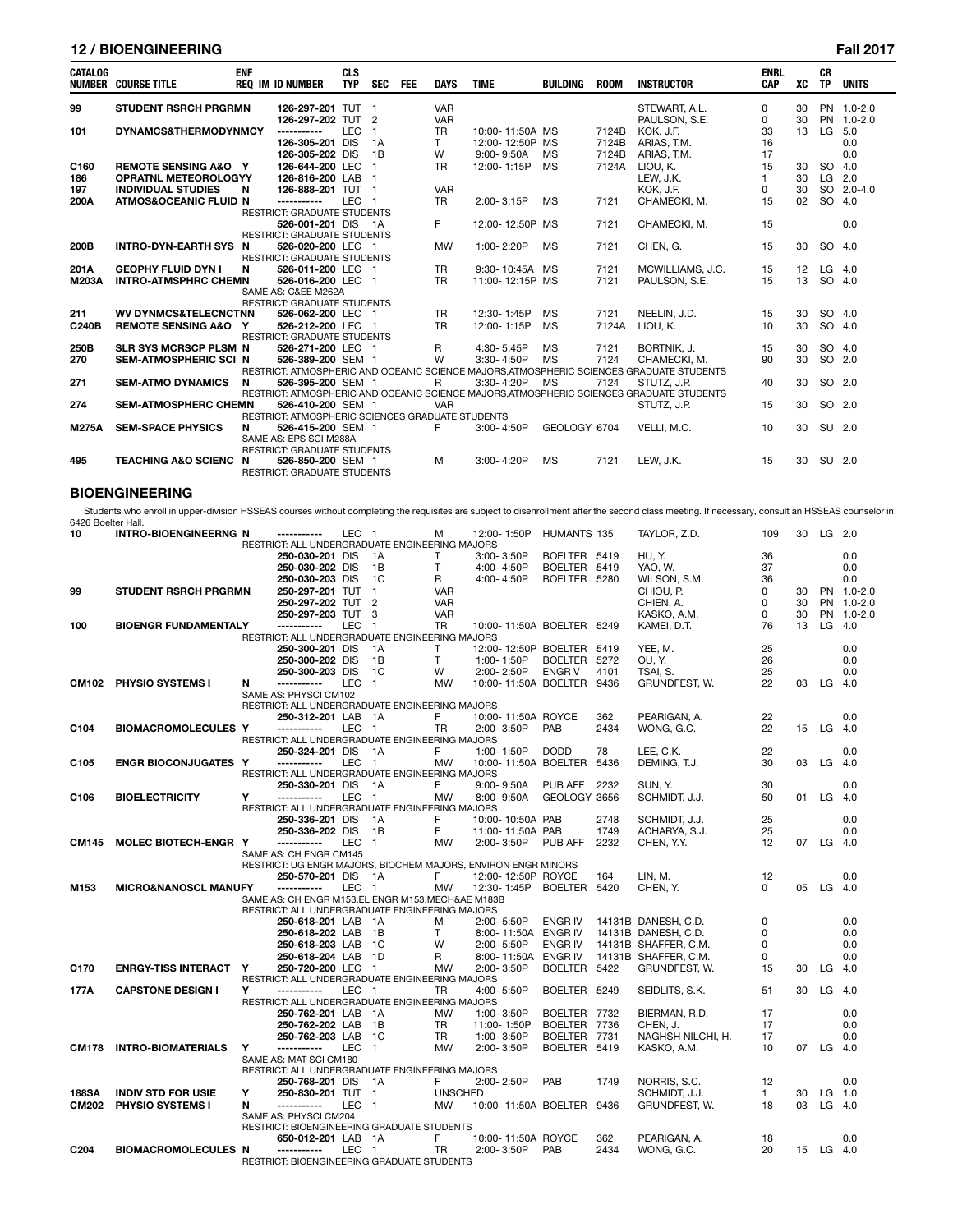# **12 / BIOENGINEERING Fall 2017**

| <b>CATALOG</b>        | <b>NUMBER COURSE TITLE</b>                                                                                                                                                                       | <b>ENF</b> | <b>REQ IM ID NUMBER</b>                                              | <b>CLS</b><br><b>TYP</b> | <b>SEC</b>                   | <b>FEE</b> | <b>DAYS</b>             | <b>TIME</b>                                                   | BUILDING                            | <b>ROOM</b>    | <b>INSTRUCTOR</b>                                                                                       | <b>ENRL</b><br><b>CAP</b> | XC       | <b>CR</b><br><b>TP</b> | <b>UNITS</b> |
|-----------------------|--------------------------------------------------------------------------------------------------------------------------------------------------------------------------------------------------|------------|----------------------------------------------------------------------|--------------------------|------------------------------|------------|-------------------------|---------------------------------------------------------------|-------------------------------------|----------------|---------------------------------------------------------------------------------------------------------|---------------------------|----------|------------------------|--------------|
| 99                    | <b>STUDENT RSRCH PRGRMN</b>                                                                                                                                                                      |            | 126-297-201 TUT 1                                                    |                          |                              |            | <b>VAR</b>              |                                                               |                                     |                | STEWART, A.L.                                                                                           | 0                         | 30       |                        | PN 1.0-2.0   |
|                       |                                                                                                                                                                                                  |            | 126-297-202 TUT                                                      |                          | $\overline{2}$               |            | <b>VAR</b>              |                                                               |                                     |                | PAULSON, S.E.                                                                                           | 0                         | 30       | <b>PN</b>              | $1.0 - 2.0$  |
| 101                   | DYNAMCS&THERMODYNMCY                                                                                                                                                                             |            | 126-305-201 DIS                                                      | <b>LEC</b>               | $\mathbf{1}$<br>1A           |            | <b>TR</b><br>T          | 10:00-11:50A MS<br>12:00-12:50P MS                            |                                     | 7124B<br>7124B | KOK, J.F.<br>ARIAS, T.M.                                                                                | 33<br>16                  | 13       | LG                     | 5.0<br>0.0   |
|                       |                                                                                                                                                                                                  |            | 126-305-202 DIS                                                      |                          | 1B                           |            | W                       | $9:00 - 9:50A$                                                | <b>MS</b>                           | 7124B          | ARIAS, T.M.                                                                                             | 17                        |          |                        | 0.0          |
| C160                  | <b>REMOTE SENSING A&amp;O Y</b>                                                                                                                                                                  |            | 126-644-200 LEC                                                      |                          | -1                           |            | TR.                     | 12:00-1:15P                                                   | MS                                  | 7124A          | LIOU, K.                                                                                                | 15                        | 30       | SO 4.0                 |              |
| 186<br>197            | <b>OPRATNL METEOROLOGYY</b><br><b>INDIVIDUAL STUDIES</b>                                                                                                                                         | N          | 126-816-200 LAB<br>126-888-201 TUT 1                                 |                          | $\overline{1}$               |            | <b>VAR</b>              |                                                               |                                     |                | LEW, J.K.<br>KOK, J.F.                                                                                  | 1<br>0                    | 30<br>30 | $LG$ 2.0               | SO 2.0-4.0   |
| 200A                  | <b>ATMOS&amp;OCEANIC FLUID N</b>                                                                                                                                                                 |            | -----------                                                          | LEC 1                    |                              |            | <b>TR</b>               | $2:00 - 3:15P$                                                | <b>MS</b>                           | 7121           | CHAMECKI, M.                                                                                            | 15                        | 02       | SO 4.0                 |              |
|                       |                                                                                                                                                                                                  |            | <b>RESTRICT: GRADUATE STUDENTS</b>                                   |                          |                              |            | F                       |                                                               |                                     |                |                                                                                                         |                           |          |                        |              |
|                       |                                                                                                                                                                                                  |            | 526-001-201 DIS 1A<br>RESTRICT: GRADUATE STUDENTS                    |                          |                              |            |                         | 12:00-12:50P                                                  | MS                                  | 7121           | CHAMECKI, M.                                                                                            | 15                        |          |                        | 0.0          |
| 200B                  | INTRO-DYN-EARTH SYS N                                                                                                                                                                            |            | 526-020-200 LEC 1                                                    |                          |                              |            | <b>MW</b>               | 1:00-2:20P                                                    | <b>MS</b>                           | 7121           | CHEN, G.                                                                                                | 15                        | 30       | SO 4.0                 |              |
| 201A                  | <b>GEOPHY FLUID DYN I</b>                                                                                                                                                                        | N          | RESTRICT: GRADUATE STUDENTS<br>526-011-200 LEC 1                     |                          |                              |            | <b>TR</b>               | 9:30-10:45A                                                   | МS                                  | 7121           | MCWILLIAMS, J.C.                                                                                        | 15                        | 12       | $LG$ 4.0               |              |
| M203A                 | <b>INTRO-ATMSPHRC CHEMN</b>                                                                                                                                                                      |            | 526-016-200 LEC 1                                                    |                          |                              |            | <b>TR</b>               | 11:00-12:15P MS                                               |                                     | 7121           | PAULSON, S.E.                                                                                           | 15                        | 13       | SO 4.0                 |              |
|                       |                                                                                                                                                                                                  |            | SAME AS: C&EE M262A                                                  |                          |                              |            |                         |                                                               |                                     |                |                                                                                                         |                           |          |                        |              |
| 211                   | <b>WV DYNMCS&amp;TELECNCTNN</b>                                                                                                                                                                  |            | RESTRICT: GRADUATE STUDENTS<br>526-062-200 LEC 1                     |                          |                              |            | TR                      | 12:30-1:45P                                                   | <b>MS</b>                           | 7121           | NEELIN, J.D.                                                                                            | 15                        | 30       | SO 4.0                 |              |
| C240B                 | <b>REMOTE SENSING A&amp;O Y</b>                                                                                                                                                                  |            | 526-212-200 LEC 1                                                    |                          |                              |            | <b>TR</b>               | 12:00-1:15P                                                   | <b>MS</b>                           | 7124A          | LIOU, K.                                                                                                | 10                        | 30       | SO 4.0                 |              |
|                       |                                                                                                                                                                                                  |            | RESTRICT: GRADUATE STUDENTS                                          |                          |                              |            |                         |                                                               |                                     |                |                                                                                                         |                           |          |                        |              |
| 250B<br>270           | SLR SYS MCRSCP PLSM_N<br>SEM-ATMOSPHERIC SCI N                                                                                                                                                   |            | 526-271-200 LEC 1<br>526-389-200 SEM 1                               |                          |                              |            | R<br>W                  | 4:30-5:45P<br>3:30-4:50P                                      | <b>MS</b><br><b>MS</b>              | 7121<br>7124   | BORTNIK, J.<br>CHAMECKI, M.                                                                             | 15<br>90                  | 30<br>30 | SO 4.0<br>SO 2.0       |              |
|                       |                                                                                                                                                                                                  |            |                                                                      |                          |                              |            |                         |                                                               |                                     |                | RESTRICT: ATMOSPHERIC AND OCEANIC SCIENCE MAJORS, ATMOSPHERIC SCIENCES GRADUATE STUDENTS                |                           |          |                        |              |
| 271                   | <b>SEM-ATMO DYNAMICS</b>                                                                                                                                                                         | N          | 526-395-200 SEM 1                                                    |                          |                              |            | R                       | 3:30-4:20P                                                    | МS                                  | 7124           | STUTZ, J.P.<br>RESTRICT: ATMOSPHERIC AND OCEANIC SCIENCE MAJORS, ATMOSPHERIC SCIENCES GRADUATE STUDENTS | 40                        | 30       | SO 2.0                 |              |
| 274                   | <b>SEM-ATMOSPHERC CHEMN</b>                                                                                                                                                                      |            | 526-410-200 SEM 1                                                    |                          |                              |            | <b>VAR</b>              |                                                               |                                     |                | STUTZ, J.P.                                                                                             | 15                        | 30       | SO 2.0                 |              |
|                       |                                                                                                                                                                                                  |            | RESTRICT: ATMOSPHERIC SCIENCES GRADUATE STUDENTS                     |                          |                              |            |                         |                                                               |                                     |                |                                                                                                         |                           |          |                        |              |
| M275A                 | <b>SEM-SPACE PHYSICS</b>                                                                                                                                                                         | N          | 526-415-200 SEM 1<br>SAME AS: EPS SCI M288A                          |                          |                              |            | F                       | $3:00 - 4:50P$                                                | GEOLOGY 6704                        |                | VELLI, M.C.                                                                                             | 10                        | 30       | SU 2.0                 |              |
|                       |                                                                                                                                                                                                  |            | RESTRICT: GRADUATE STUDENTS                                          |                          |                              |            |                         |                                                               |                                     |                |                                                                                                         |                           |          |                        |              |
| 495                   | TEACHING A&O SCIENC N                                                                                                                                                                            |            | 526-850-200 SEM 1                                                    |                          |                              |            | м                       | 3:00-4:20P                                                    | <b>MS</b>                           | 7121           | LEW, J.K.                                                                                               | 15                        | 30       | SU 2.0                 |              |
|                       |                                                                                                                                                                                                  |            | <b>RESTRICT: GRADUATE STUDENTS</b>                                   |                          |                              |            |                         |                                                               |                                     |                |                                                                                                         |                           |          |                        |              |
|                       | <b>BIOENGINEERING</b>                                                                                                                                                                            |            |                                                                      |                          |                              |            |                         |                                                               |                                     |                |                                                                                                         |                           |          |                        |              |
|                       | Students who enroll in upper-division HSSEAS courses without completing the requisites are subject to disenrollment after the second class meeting. If necessary, consult an HSSEAS counselor in |            |                                                                      |                          |                              |            |                         |                                                               |                                     |                |                                                                                                         |                           |          |                        |              |
| 6426 Boelter Hall.    | INTRO-BIOENGINEERNG N                                                                                                                                                                            |            | -----------                                                          | LEC 1                    |                              |            |                         | 12:00-1:50P                                                   |                                     |                |                                                                                                         |                           |          | $LG$ 2.0               |              |
| 10                    |                                                                                                                                                                                                  |            | RESTRICT: ALL UNDERGRADUATE ENGINEERING MAJORS                       |                          |                              |            | м                       |                                                               | HUMANTS 135                         |                | TAYLOR, Z.D.                                                                                            | 109                       | 30       |                        |              |
|                       |                                                                                                                                                                                                  |            | 250-030-201 DIS                                                      |                          | 1A                           |            | т                       | 3:00-3:50P                                                    | BOELTER 5419                        |                | HU, Y.                                                                                                  | 36                        |          |                        | 0.0          |
|                       |                                                                                                                                                                                                  |            | 250-030-202 DIS<br>250-030-203 DIS                                   |                          | 1В<br>1C                     |            | T<br>R.                 | 4:00-4:50P<br>4:00-4:50P                                      | BOELTER 5419<br>BOELTER 5280        |                | YAO, W.                                                                                                 | 37<br>36                  |          |                        | 0.0<br>0.0   |
| 99                    | <b>STUDENT RSRCH PRGRMN</b>                                                                                                                                                                      |            | 250-297-201 TUT                                                      |                          | $\mathbf{1}$                 |            | <b>VAR</b>              |                                                               |                                     |                | WILSON, S.M.<br>CHIOU, P.                                                                               | 0                         | 30       |                        | PN 1.0-2.0   |
|                       |                                                                                                                                                                                                  |            | 250-297-202 TUT                                                      |                          | $\overline{2}$               |            | <b>VAR</b>              |                                                               |                                     |                | CHIEN, A.                                                                                               | 0                         | 30       | <b>PN</b>              | $1.0 - 2.0$  |
| 100                   | <b>BIOENGR FUNDAMENTALY</b>                                                                                                                                                                      |            | 250-297-203 TUT                                                      | <b>LEC</b>               | 3<br>$\overline{\mathbf{1}}$ |            | <b>VAR</b><br><b>TR</b> | 10:00-11:50A BOELTER 5249                                     |                                     |                | KASKO, A.M.<br>KAMEI, D.T.                                                                              | 0<br>76                   | 30<br>13 | <b>PN</b><br>$LG$ 4.0  | $1.0 - 2.0$  |
|                       |                                                                                                                                                                                                  |            | RESTRICT: ALL UNDERGRADUATE ENGINEERING MAJORS                       |                          |                              |            |                         |                                                               |                                     |                |                                                                                                         |                           |          |                        |              |
|                       |                                                                                                                                                                                                  |            | 250-300-201 DIS                                                      |                          | 1A                           |            | Т                       | 12:00-12:50P BOELTER 5419                                     |                                     |                | YEE, M.                                                                                                 | 25                        |          |                        | 0.0          |
|                       |                                                                                                                                                                                                  |            | 250-300-202 DIS<br>250-300-203 DIS                                   |                          | 1B<br>1C                     |            | т<br>W                  | 1:00-1:50P<br>2:00-2:50P                                      | BOELTER 5272<br><b>ENGRV</b>        | 4101           | OU, Y.<br>TSAI, S.                                                                                      | 26<br>25                  |          |                        | 0.0<br>0.0   |
| CM102                 | PHYSIO SYSTEMS I                                                                                                                                                                                 | N          | ------------                                                         | LEC                      | $\overline{1}$               |            | MW                      | 10:00-11:50A BOELTER 9436                                     |                                     |                | GRUNDFEST, W.                                                                                           | 22                        | 03       | $LG$ 4.0               |              |
|                       |                                                                                                                                                                                                  |            | SAME AS: PHYSCI CM102                                                |                          |                              |            |                         |                                                               |                                     |                |                                                                                                         |                           |          |                        |              |
|                       |                                                                                                                                                                                                  |            | RESTRICT: ALL UNDERGRADUATE ENGINEERING MAJORS<br>250-312-201 LAB    |                          | - 1A                         |            | F                       | 10:00-11:50A ROYCE                                            |                                     | 362            | PEARIGAN, A.                                                                                            | 22                        |          |                        | 0.0          |
| C <sub>104</sub>      | <b>BIOMACROMOLECULES Y</b>                                                                                                                                                                       |            |                                                                      | <b>LEC</b>               | $\overline{1}$               |            | <b>TR</b>               | 2:00-3:50P                                                    | PAB                                 | 2434           | WONG, G.C.                                                                                              | 22                        | 15       | $LG$ 4.0               |              |
|                       |                                                                                                                                                                                                  |            | RESTRICT: ALL UNDERGRADUATE ENGINEERING MAJORS<br>250-324-201 DIS    |                          |                              |            | F                       |                                                               | <b>DODD</b>                         | 78             | LEE, C.K.                                                                                               | 22                        |          |                        | 0.0          |
| C105                  | <b>ENGR BIOCONJUGATES Y</b>                                                                                                                                                                      |            |                                                                      | LEC                      | - 1A<br>$\overline{1}$       |            | MW                      | 1:00-1:50P<br>10:00-11:50A BOELTER 5436                       |                                     |                | DEMING, T.J.                                                                                            | 30                        |          | 03 LG 4.0              |              |
|                       |                                                                                                                                                                                                  |            | RESTRICT: ALL UNDERGRADUATE ENGINEERING MAJORS                       |                          |                              |            |                         |                                                               |                                     |                |                                                                                                         |                           |          |                        |              |
| C106                  | <b>BIOELECTRICITY</b>                                                                                                                                                                            | Y          | 250-330-201 DIS 1A<br>-----------                                    | LEC 1                    |                              |            | F.<br>MW                | $9:00 - 9:50A$<br>8:00-9:50A                                  | <b>PUB AFF 2232</b><br>GEOLOGY 3656 |                | SUN. Y.<br>SCHMIDT, J.J.                                                                                | 30<br>50                  |          | 01 LG 4.0              | 0.0          |
|                       |                                                                                                                                                                                                  |            | RESTRICT: ALL UNDERGRADUATE ENGINEERING MAJORS                       |                          |                              |            |                         |                                                               |                                     |                |                                                                                                         |                           |          |                        |              |
|                       |                                                                                                                                                                                                  |            | 250-336-201 DIS                                                      |                          | 1A                           |            | F                       | 10:00-10:50A PAB                                              |                                     | 2748           | SCHMIDT, J.J.                                                                                           | 25                        |          |                        | 0.0          |
| <b>CM145</b>          | MOLEC BIOTECH-ENGR Y                                                                                                                                                                             |            | 250-336-202 DIS<br>-----------                                       | LEC 1                    | - 1B                         |            | F<br>MW                 | 11:00-11:50A PAB<br>2:00-3:50P                                | PUB AFF                             | 1749<br>2232   | ACHARYA, S.J.<br>CHEN, Y.Y.                                                                             | 25<br>12                  |          | 07 LG 4.0              | 0.0          |
|                       |                                                                                                                                                                                                  |            | SAME AS: CH ENGR CM145                                               |                          |                              |            |                         |                                                               |                                     |                |                                                                                                         |                           |          |                        |              |
|                       |                                                                                                                                                                                                  |            | 250-570-201 DIS 1A                                                   |                          |                              |            |                         | RESTRICT: UG ENGR MAJORS, BIOCHEM MAJORS, ENVIRON ENGR MINORS |                                     |                |                                                                                                         |                           |          |                        |              |
| M153                  | <b>MICRO&amp;NANOSCL MANUFY</b>                                                                                                                                                                  |            | -----------                                                          | LEC 1                    |                              |            | F<br>MW                 | 12:00-12:50P ROYCE<br>12:30-1:45P BOELTER 5420                |                                     | 164            | LIN, M.<br>CHEN, Y.                                                                                     | 12<br>0                   |          | 05 LG 4.0              | 0.0          |
|                       |                                                                                                                                                                                                  |            | SAME AS: CH ENGR M153,EL ENGR M153, MECH&AE M183B                    |                          |                              |            |                         |                                                               |                                     |                |                                                                                                         |                           |          |                        |              |
|                       |                                                                                                                                                                                                  |            | RESTRICT: ALL UNDERGRADUATE ENGINEERING MAJORS<br>250-618-201 LAB 1A |                          |                              |            | м                       | 2:00- 5:50P                                                   | ENGR IV                             |                | 14131B DANESH, C.D.                                                                                     | 0                         |          |                        | 0.0          |
|                       |                                                                                                                                                                                                  |            | 250-618-202 LAB 1B                                                   |                          |                              |            | T                       | 8:00-11:50A ENGR IV                                           |                                     |                | 14131B DANESH, C.D.                                                                                     | 0                         |          |                        | 0.0          |
|                       |                                                                                                                                                                                                  |            | 250-618-203 LAB 1C                                                   |                          |                              |            | W                       | 2:00-5:50P                                                    | ENGR IV                             |                | 14131B SHAFFER, C.M.                                                                                    | 0                         |          |                        | 0.0          |
| C170                  | <b>ENRGY-TISS INTERACT Y</b>                                                                                                                                                                     |            | 250-618-204 LAB 1D<br>250-720-200 LEC 1                              |                          |                              |            | R<br>MW                 | 8:00-11:50A<br>2:00-3:50P                                     | ENGR IV<br>BOELTER 5422             |                | 14131B SHAFFER, C.M.<br>GRUNDFEST, W.                                                                   | 0<br>15                   | 30       | $LG$ 4.0               | 0.0          |
|                       |                                                                                                                                                                                                  |            | RESTRICT: ALL UNDERGRADUATE ENGINEERING MAJORS                       |                          |                              |            |                         |                                                               |                                     |                |                                                                                                         |                           |          |                        |              |
| 177A                  | <b>CAPSTONE DESIGN I</b>                                                                                                                                                                         | Y          | -----------                                                          | LEC 1                    |                              |            | TR                      | 4:00-5:50P                                                    | BOELTER 5249                        |                | SEIDLITS, S.K.                                                                                          | 51                        | 30       | LG $4.0$               |              |
|                       |                                                                                                                                                                                                  |            | RESTRICT: ALL UNDERGRADUATE ENGINEERING MAJORS<br>250-762-201 LAB 1A |                          |                              |            | MW                      | 1:00-3:50P                                                    | BOELTER 7732                        |                | BIERMAN, R.D.                                                                                           | 17                        |          |                        | 0.0          |
|                       |                                                                                                                                                                                                  |            | 250-762-202 LAB 1B                                                   |                          |                              |            | TR                      | 11:00-1:50P                                                   | BOELTER 7736                        |                | CHEN, J.                                                                                                | 17                        |          |                        | 0.0          |
|                       |                                                                                                                                                                                                  |            | 250-762-203 LAB 1C                                                   |                          |                              |            | TR                      | 1:00-3:50P                                                    | BOELTER 7731                        |                | NAGHSH NILCHI, H.                                                                                       | 17                        |          |                        | 0.0          |
|                       | CM178 INTRO-BIOMATERIALS                                                                                                                                                                         | Υ          | -----------<br>SAME AS: MAT SCI CM180                                | LEC 1                    |                              |            | MW                      | 2:00-3:50P                                                    | BOELTER 5419                        |                | KASKO, A.M.                                                                                             | 10                        |          | 07 LG 4.0              |              |
|                       |                                                                                                                                                                                                  |            | RESTRICT: ALL UNDERGRADUATE ENGINEERING MAJORS                       |                          |                              |            |                         |                                                               |                                     |                |                                                                                                         |                           |          |                        |              |
|                       | <b>INDIV STD FOR USIE</b>                                                                                                                                                                        |            | 250-768-201 DIS 1A<br>250-830-201 TUT 1                              |                          |                              |            | F<br><b>UNSCHED</b>     | 2:00-2:50P                                                    | PAB                                 | 1749           | NORRIS, S.C.                                                                                            | 12                        |          | $LG$ 1.0               | 0.0          |
| 188SA<br><b>CM202</b> | <b>PHYSIO SYSTEMS I</b>                                                                                                                                                                          | Y<br>N     | -----------                                                          | LEC 1                    |                              |            | MW                      | 10:00-11:50A BOELTER 9436                                     |                                     |                | SCHMIDT, J.J.<br>GRUNDFEST, W.                                                                          | $\mathbf{1}$<br>18        | 30       | 03 LG 4.0              |              |
|                       |                                                                                                                                                                                                  |            | SAME AS: PHYSCI CM204                                                |                          |                              |            |                         |                                                               |                                     |                |                                                                                                         |                           |          |                        |              |
|                       |                                                                                                                                                                                                  |            | RESTRICT: BIOENGINEERING GRADUATE STUDENTS<br>650-012-201 LAB 1A     |                          |                              |            | F                       | 10:00-11:50A ROYCE                                            |                                     | 362            | PEARIGAN, A.                                                                                            | 18                        |          |                        | 0.0          |
| C <sub>204</sub>      | <b>BIOMACROMOLECULES N</b>                                                                                                                                                                       |            | -----------                                                          | LEC 1                    |                              |            | TR                      | 2:00-3:50P                                                    | PAB                                 | 2434           | WONG, G.C.                                                                                              | 20                        |          | 15 LG 4.0              |              |
|                       |                                                                                                                                                                                                  |            | RESTRICT: BIOENGINEERING GRADUATE STUDENTS                           |                          |                              |            |                         |                                                               |                                     |                |                                                                                                         |                           |          |                        |              |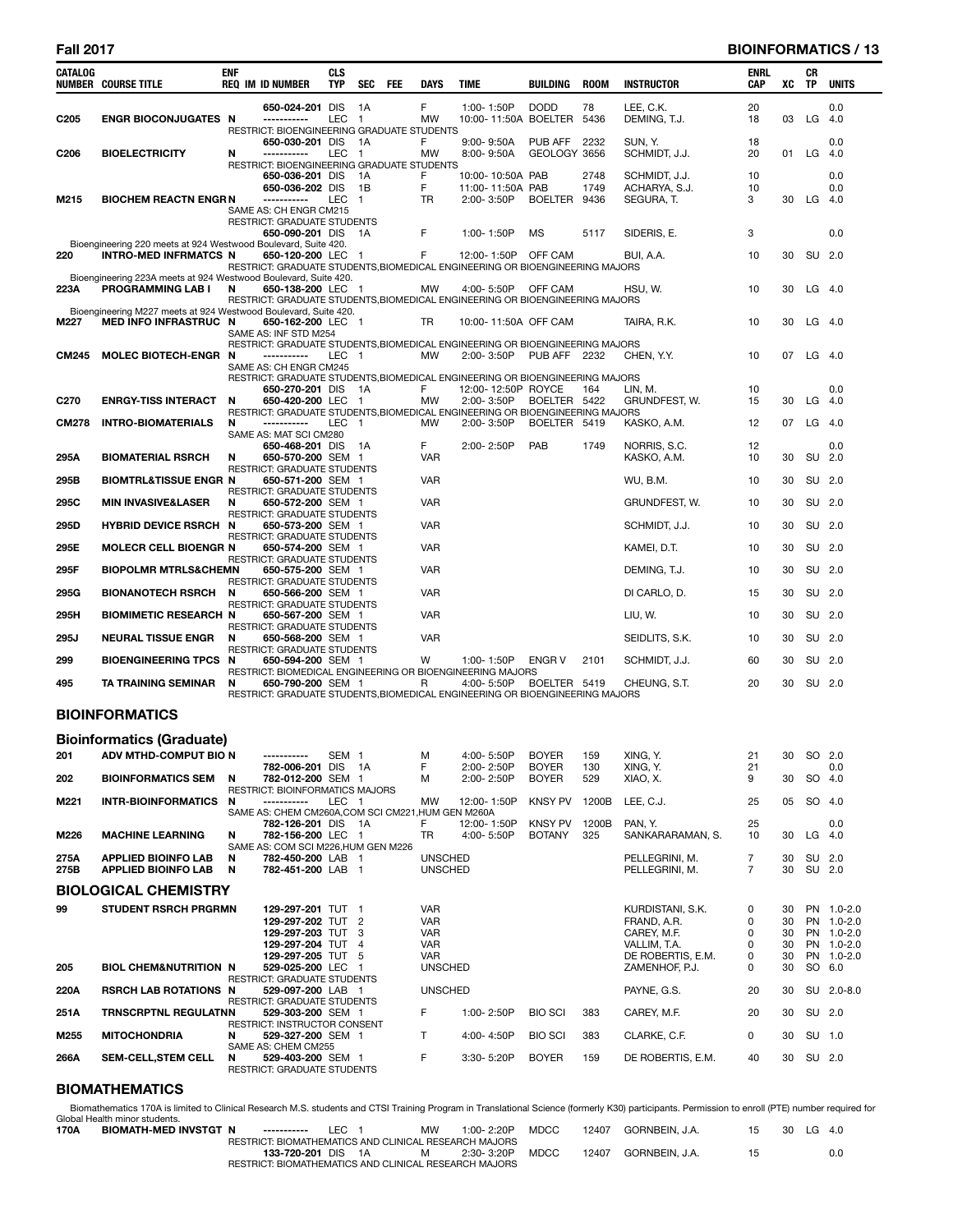# **Fall 2017 BIOINFORMATICS / 13**

| CATALOG          | <b>NUMBER COURSE TITLE</b>                                                                      | ENF    | <b>REQ IM ID NUMBER</b>                                                                                                                                                                            | CLS<br>TYP       | SEC                     | FEE | DAYS                                                               | TIME                                               | BUILDING                         | <b>ROOM</b>          | <b>INSTRUCTOR</b>                                                                   | ENRL<br>CAP           | xс                         | CR<br>ΤP | UNITS                                                              |
|------------------|-------------------------------------------------------------------------------------------------|--------|----------------------------------------------------------------------------------------------------------------------------------------------------------------------------------------------------|------------------|-------------------------|-----|--------------------------------------------------------------------|----------------------------------------------------|----------------------------------|----------------------|-------------------------------------------------------------------------------------|-----------------------|----------------------------|----------|--------------------------------------------------------------------|
| C <sub>205</sub> | <b>ENGR BIOCONJUGATES N</b>                                                                     |        | 650-024-201 DIS<br>-----------                                                                                                                                                                     | LEC              | 1A<br>$\overline{1}$    |     | F.<br><b>MW</b>                                                    | 1:00-1:50P<br>10:00-11:50A BOELTER                 | <b>DODD</b>                      | 78<br>5436           | LEE, C.K.<br>DEMING, T.J.                                                           | 20<br>18              | 03                         | LG       | 0.0<br>4.0                                                         |
| C <sub>206</sub> | <b>BIOELECTRICITY</b>                                                                           | N      | RESTRICT: BIOENGINEERING GRADUATE STUDENTS<br>650-030-201 DIS<br>------------<br>RESTRICT: BIOENGINEERING GRADUATE STUDENTS                                                                        | LEC              | 1A<br>$\mathbf{1}$      |     | F.<br>MW                                                           | 9:00-9:50A<br>8:00-9:50A                           | PUB AFF<br>GEOLOGY 3656          | 2232                 | SUN, Y.<br>SCHMIDT, J.J.                                                            | 18<br>20              | 01                         | LG       | 0.0<br>-4.0                                                        |
| M215             | <b>BIOCHEM REACTN ENGR N</b>                                                                    |        | 650-036-201 DIS<br>650-036-202 DIS<br>-----------                                                                                                                                                  | LEC              | 1A<br>1B<br>$\mathbf 1$ |     | F.<br>F<br>TR                                                      | 10:00-10:50A PAB<br>11:00-11:50A PAB<br>2:00-3:50P | <b>BOELTER</b>                   | 2748<br>1749<br>9436 | SCHMIDT, J.J.<br>ACHARYA, S.J.<br>SEGURA, T.                                        | 10<br>10<br>3         | 30                         |          | 0.0<br>0.0<br>$LG$ 4.0                                             |
|                  |                                                                                                 |        | SAME AS: CH ENGR CM215<br>RESTRICT: GRADUATE STUDENTS<br>650-090-201 DIS                                                                                                                           |                  | - 1 A                   |     | F                                                                  | 1:00-1:50P                                         | <b>MS</b>                        | 5117                 | SIDERIS, E.                                                                         | 3                     |                            |          | 0.0                                                                |
| 220              | Bioengineering 220 meets at 924 Westwood Boulevard, Suite 420.<br>INTRO-MED INFRMATCS N         |        | 650-120-200 LEC 1<br>RESTRICT: GRADUATE STUDENTS, BIOMEDICAL ENGINEERING OR BIOENGINEERING MAJORS                                                                                                  |                  |                         |     | F                                                                  | 12:00-1:50P                                        | OFF CAM                          |                      | BUI. A.A.                                                                           | 10                    | 30                         |          | SU 2.0                                                             |
| 223A             | Bioengineering 223A meets at 924 Westwood Boulevard, Suite 420.<br><b>PROGRAMMING LAB I</b>     | N      | 650-138-200 LEC 1<br>RESTRICT: GRADUATE STUDENTS, BIOMEDICAL ENGINEERING OR BIOENGINEERING MAJORS                                                                                                  |                  |                         |     | MW                                                                 | 4:00- 5:50P                                        | OFF CAM                          |                      | HSU, W.                                                                             | 10                    | 30                         |          | $LG$ 4.0                                                           |
| M227             | Bioengineering M227 meets at 924 Westwood Boulevard, Suite 420.<br><b>MED INFO INFRASTRUC N</b> |        | 650-162-200 LEC 1<br>SAME AS: INF STD M254                                                                                                                                                         |                  |                         |     | TR                                                                 | 10:00-11:50A OFF CAM                               |                                  |                      | TAIRA, R.K.                                                                         | 10                    | 30                         |          | $LG$ 4.0                                                           |
| <b>CM245</b>     | <b>MOLEC BIOTECH-ENGR N</b>                                                                     |        | RESTRICT: GRADUATE STUDENTS, BIOMEDICAL ENGINEERING OR BIOENGINEERING MAJORS<br>-----------<br>SAME AS: CH ENGR CM245                                                                              | LEC 1            |                         |     | <b>MW</b>                                                          | 2:00-3:50P                                         | <b>PUB AFF</b> 2232              |                      | CHEN, Y.Y.                                                                          | 10                    | 07                         | $LG$ 4.0 |                                                                    |
| C <sub>270</sub> | <b>ENRGY-TISS INTERACT</b>                                                                      | N      | RESTRICT: GRADUATE STUDENTS, BIOMEDICAL ENGINEERING OR BIOENGINEERING MAJORS<br>650-270-201 DIS<br>650-420-200 LEC<br>RESTRICT: GRADUATE STUDENTS, BIOMEDICAL ENGINEERING OR BIOENGINEERING MAJORS |                  | - 1A<br>$\overline{1}$  |     | F.<br>MW                                                           | 12:00-12:50P ROYCE<br>2:00-3:50P                   | BOELTER 5422                     | 164                  | LIN, M.<br>grundfest, W.                                                            | 10<br>15              | 30                         | LG       | 0.0<br>-4.0                                                        |
| <b>CM278</b>     | <b>INTRO-BIOMATERIALS</b>                                                                       | N      | -----------<br>SAME AS: MAT SCI CM280                                                                                                                                                              | LEC.             | $\mathbf{1}$            |     | <b>MW</b>                                                          | 2:00-3:50P                                         | BOELTER 5419                     |                      | KASKO, A.M.                                                                         | 12                    | 07                         | LG       | 4.0                                                                |
| 295A             | <b>BIOMATERIAL RSRCH</b>                                                                        | N      | 650-468-201 DIS<br>650-570-200 SEM 1<br>RESTRICT: GRADUATE STUDENTS                                                                                                                                |                  | - 1A                    |     | F.<br><b>VAR</b>                                                   | 2:00-2:50P                                         | PAB                              | 1749                 | NORRIS, S.C.<br>KASKO, A.M.                                                         | 12<br>10              | 30                         |          | 0.0<br>SU 2.0                                                      |
| 295B             | BIOMTRL&TISSUE ENGR N                                                                           |        | 650-571-200 SEM 1<br>RESTRICT: GRADUATE STUDENTS                                                                                                                                                   |                  |                         |     | <b>VAR</b>                                                         |                                                    |                                  |                      | WU, B.M.                                                                            | 10                    | 30                         |          | SU 2.0                                                             |
| 295C             | <b>MIN INVASIVE&amp;LASER</b>                                                                   | N      | 650-572-200 SEM 1<br><b>RESTRICT: GRADUATE STUDENTS</b>                                                                                                                                            |                  |                         |     | VAR                                                                |                                                    |                                  |                      | GRUNDFEST, W.                                                                       | 10                    | 30                         |          | SU 2.0                                                             |
| 295D             | <b>HYBRID DEVICE RSRCH N</b>                                                                    |        | 650-573-200 SEM 1<br>RESTRICT: GRADUATE STUDENTS                                                                                                                                                   |                  |                         |     | <b>VAR</b>                                                         |                                                    |                                  |                      | SCHMIDT, J.J.                                                                       | 10                    | 30                         |          | SU 2.0                                                             |
| 295E             | <b>MOLECR CELL BIOENGR N</b>                                                                    |        | 650-574-200 SEM 1<br>RESTRICT: GRADUATE STUDENTS                                                                                                                                                   |                  |                         |     | VAR                                                                |                                                    |                                  |                      | KAMEI, D.T.                                                                         | 10                    | 30                         |          | SU 2.0                                                             |
| 295F             | <b>BIOPOLMR MTRLS&amp;CHEMN</b>                                                                 |        | 650-575-200 SEM 1<br><b>RESTRICT: GRADUATE STUDENTS</b>                                                                                                                                            |                  |                         |     | VAR                                                                |                                                    |                                  |                      | DEMING, T.J.                                                                        | 10                    | 30                         |          | SU 2.0                                                             |
| 295G             | <b>BIONANOTECH RSRCH</b>                                                                        | N      | 650-566-200 SEM 1<br>RESTRICT: GRADUATE STUDENTS                                                                                                                                                   |                  |                         |     | VAR                                                                |                                                    |                                  |                      | DI CARLO, D.                                                                        | 15                    | 30                         |          | SU 2.0                                                             |
| 295H             | <b>BIOMIMETIC RESEARCH N</b>                                                                    |        | 650-567-200 SEM 1<br>RESTRICT: GRADUATE STUDENTS                                                                                                                                                   |                  |                         |     | VAR                                                                |                                                    |                                  |                      | LIU, W.                                                                             | 10                    | 30                         |          | SU 2.0                                                             |
| 295J             | <b>NEURAL TISSUE ENGR</b>                                                                       | N      | 650-568-200 SEM 1<br>RESTRICT: GRADUATE STUDENTS                                                                                                                                                   |                  |                         |     | VAR                                                                |                                                    |                                  |                      | SEIDLITS, S.K.                                                                      | 10                    | 30                         |          | SU 2.0                                                             |
| 299              | <b>BIOENGINEERING TPCS N</b>                                                                    |        | 650-594-200 SEM 1<br>RESTRICT: BIOMEDICAL ENGINEERING OR BIOENGINEERING MAJORS                                                                                                                     |                  |                         |     | w                                                                  | 1:00-1:50P                                         | <b>ENGR V</b>                    | 2101                 | SCHMIDT, J.J.                                                                       | 60                    | 30                         |          | SU 2.0                                                             |
| 495              | TA TRAINING SEMINAR                                                                             | N      | 650-790-200 SEM 1<br>RESTRICT: GRADUATE STUDENTS, BIOMEDICAL ENGINEERING OR BIOENGINEERING MAJORS                                                                                                  |                  |                         |     | R                                                                  | 4:00- 5:50P                                        | BOELTER 5419                     |                      | CHEUNG, S.T.                                                                        | 20                    | 30                         |          | SU 2.0                                                             |
|                  | <b>BIOINFORMATICS</b>                                                                           |        |                                                                                                                                                                                                    |                  |                         |     |                                                                    |                                                    |                                  |                      |                                                                                     |                       |                            |          |                                                                    |
|                  | <b>Bioinformatics (Graduate)</b>                                                                |        |                                                                                                                                                                                                    |                  |                         |     |                                                                    |                                                    |                                  |                      |                                                                                     |                       |                            |          |                                                                    |
| 201              | ADV MTHD-COMPUT BIO N                                                                           |        | -----------<br>782-006-201 DIS 1A                                                                                                                                                                  | SEM <sub>1</sub> |                         |     | м<br>F                                                             | 4:00-5:50P<br>2:00-2:50P                           | <b>BOYER</b><br><b>BOYER</b>     | 159<br>130           | XING, Y.<br>XING, Y.                                                                | 21<br>21              | 30                         |          | SO 2.0<br>0.0                                                      |
| 202              | <b>BIOINFORMATICS SEM</b>                                                                       | N      | 782-012-200 SEM 1<br><b>RESTRICT: BIOINFORMATICS MAJORS</b>                                                                                                                                        |                  |                         |     | M                                                                  | 2:00-2:50P                                         | <b>BOYER</b>                     | 529                  | XIAO, X.                                                                            | 9                     | 30                         | SO       | -4.0                                                               |
| M221             | <b>INTR-BIOINFORMATICS</b>                                                                      | N      | -----------<br>SAME AS: CHEM CM260A, COM SCI CM221, HUM GEN M260A<br>782-126-201 DIS 1A                                                                                                            | LEC 1            |                         |     | MW<br>F.                                                           | 12:00-1:50P<br>12:00-1:50P                         | <b>KNSY PV</b><br><b>KNSY PV</b> | 1200B<br>1200B       | LEE, C.J.<br>PAN. Y.                                                                | 25<br>25              | 05                         | SO       | -4.0<br>0.0                                                        |
| M226             | <b>MACHINE LEARNING</b>                                                                         | N      | 782-156-200 LEC 1<br>SAME AS: COM SCI M226, HUM GEN M226                                                                                                                                           |                  |                         |     | TR                                                                 | 4:00-5:50P                                         | <b>BOTANY</b>                    | 325                  | SANKARARAMAN, S.                                                                    | 10                    | 30                         | LG       | 4.0                                                                |
| 275A<br>275B     | <b>APPLIED BIOINFO LAB</b><br><b>APPLIED BIOINFO LAB</b>                                        | N<br>N | 782-450-200 LAB 1<br>782-451-200 LAB 1                                                                                                                                                             |                  |                         |     | <b>UNSCHED</b><br><b>UNSCHED</b>                                   |                                                    |                                  |                      | PELLEGRINI, M.<br>PELLEGRINI, M.                                                    | 7<br>7                | 30<br>30                   |          | SU 2.0<br>SU 2.0                                                   |
|                  | <b>BIOLOGICAL CHEMISTRY</b>                                                                     |        |                                                                                                                                                                                                    |                  |                         |     |                                                                    |                                                    |                                  |                      |                                                                                     |                       |                            |          |                                                                    |
| 99               | <b>STUDENT RSRCH PRGRMN</b>                                                                     |        | 129-297-201 TUT 1<br>129-297-202 TUT 2<br>129-297-203 TUT 3<br>129-297-204 TUT 4<br>129-297-205 TUT 5                                                                                              |                  |                         |     | <b>VAR</b><br><b>VAR</b><br><b>VAR</b><br><b>VAR</b><br><b>VAR</b> |                                                    |                                  |                      | KURDISTANI, S.K.<br>FRAND, A.R.<br>CAREY, M.F.<br>VALLIM, T.A.<br>DE ROBERTIS, E.M. | 0<br>0<br>0<br>0<br>0 | 30<br>30<br>30<br>30<br>30 |          | PN 1.0-2.0<br>PN 1.0-2.0<br>PN 1.0-2.0<br>PN 1.0-2.0<br>PN 1.0-2.0 |
| 205              | <b>BIOL CHEM&amp;NUTRITION N</b>                                                                |        | 529-025-200 LEC 1<br>RESTRICT: GRADUATE STUDENTS                                                                                                                                                   |                  |                         |     | <b>UNSCHED</b>                                                     |                                                    |                                  |                      | ZAMENHOF, P.J.                                                                      | 0                     | 30                         |          | SO 6.0                                                             |
| 220A             | <b>RSRCH LAB ROTATIONS N</b>                                                                    |        | 529-097-200 LAB 1<br>RESTRICT: GRADUATE STUDENTS                                                                                                                                                   |                  |                         |     | <b>UNSCHED</b>                                                     |                                                    |                                  |                      | PAYNE, G.S.                                                                         | 20                    | 30                         |          | SU 2.0-8.0                                                         |
| 251A             | <b>TRNSCRPTNL REGULATNN</b>                                                                     |        | 529-303-200 SEM 1                                                                                                                                                                                  |                  |                         |     | F                                                                  | 1:00-2:50P                                         | <b>BIO SCI</b>                   | 383                  | CAREY, M.F.                                                                         | 20                    | 30                         |          | SU 2.0                                                             |
| M255             | <b>MITOCHONDRIA</b>                                                                             | N      | RESTRICT: INSTRUCTOR CONSENT<br>529-327-200 SEM 1                                                                                                                                                  |                  |                         |     | Τ                                                                  | 4:00-4:50P                                         | <b>BIO SCI</b>                   | 383                  | CLARKE, C.F.                                                                        | 0                     | 30                         |          | SU 1.0                                                             |
| 266A             | <b>SEM-CELL,STEM CELL</b>                                                                       | N      | SAME AS: CHEM CM255<br>529-403-200 SEM 1<br>RESTRICT: GRADUATE STUDENTS                                                                                                                            |                  |                         |     | F                                                                  | 3:30-5:20P                                         | <b>BOYER</b>                     | 159                  | DE ROBERTIS, E.M.                                                                   | 40                    | 30                         |          | SU 2.0                                                             |
|                  | <b>DIOMATUEMATICS</b>                                                                           |        |                                                                                                                                                                                                    |                  |                         |     |                                                                    |                                                    |                                  |                      |                                                                                     |                       |                            |          |                                                                    |

#### **BIOMATHEMATICS**

Biomathematics 170A is limited to Clinical Research M.S. students and CTSI Training Program in Translational Science (formerly K30) participants. Permission to enroll (PTE) number required for<br>Global Health minor students.

| 170A | BIOMATH-MED INVSTGT N | ------------                                          | IEC.1 | <b>MW</b> | $1:00 - 2:20P$ | <b>MDCC</b> |       | 12407 GORNBEIN, J.A. | 30 | LG | - 4.0 |
|------|-----------------------|-------------------------------------------------------|-------|-----------|----------------|-------------|-------|----------------------|----|----|-------|
|      |                       | RESTRICT: BIOMATHEMATICS AND CLINICAL RESEARCH MAJORS |       |           |                |             |       |                      |    |    |       |
|      |                       | 133-720-201 DIS 1A                                    |       | M         | $2:30 - 3:20P$ | MDCC        | 12407 | GORNBEIN. J.A.       |    |    | 0.0   |
|      |                       | RESTRICT: BIOMATHEMATICS AND CLINICAL RESEARCH MAJORS |       |           |                |             |       |                      |    |    |       |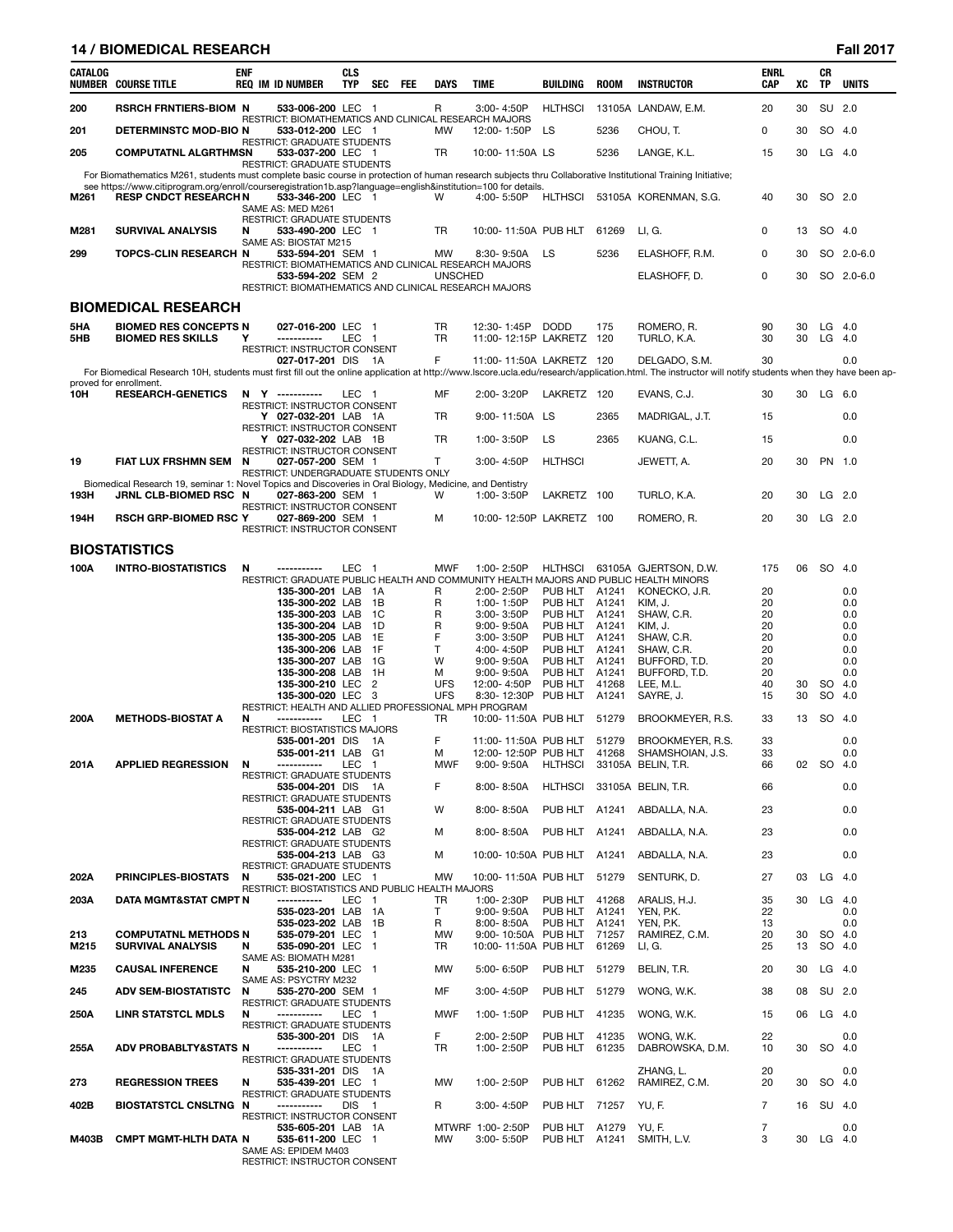# **14 / BIOMEDICAL RESEARCH Fall 2017**

| CATALOG    | <b>NUMBER COURSE TITLE</b>                                                                                                                                                                                                      | <b>ENF</b> | <b>REQ IM ID NUMBER</b>                                                    | <b>CLS</b><br><b>TYP</b> | SEC            | <b>FEE</b> | <b>DAYS</b>            | <b>TIME</b>                                  | BUILDING                 | <b>ROOM</b>    | <b>INSTRUCTOR</b>                                                                                              | <b>ENRL</b><br>CAP | XC       | CR<br>TP             | <b>UNITS</b> |
|------------|---------------------------------------------------------------------------------------------------------------------------------------------------------------------------------------------------------------------------------|------------|----------------------------------------------------------------------------|--------------------------|----------------|------------|------------------------|----------------------------------------------|--------------------------|----------------|----------------------------------------------------------------------------------------------------------------|--------------------|----------|----------------------|--------------|
| 200        | <b>RSRCH FRNTIERS-BIOM N</b>                                                                                                                                                                                                    |            | 533-006-200 LEC 1<br>RESTRICT: BIOMATHEMATICS AND CLINICAL RESEARCH MAJORS |                          |                |            | R                      | 3:00-4:50P                                   | <b>HLTHSCI</b>           |                | 13105A LANDAW, E.M.                                                                                            | 20                 | 30       | SU 2.0               |              |
| 201        | DETERMINSTC MOD-BIO N                                                                                                                                                                                                           |            | 533-012-200 LEC 1<br><b>RESTRICT: GRADUATE STUDENTS</b>                    |                          |                |            | MW                     | 12:00-1:50P                                  | LS                       | 5236           | CHOU, T.                                                                                                       | 0                  | 30       | SO 4.0               |              |
| 205        | <b>COMPUTATNL ALGRTHMSN</b>                                                                                                                                                                                                     |            | 533-037-200 LEC 1<br>RESTRICT: GRADUATE STUDENTS                           |                          |                |            | TR                     | 10:00-11:50A LS                              |                          | 5236           | LANGE, K.L.                                                                                                    | 15                 | 30       | $LG$ 4.0             |              |
|            | For Biomathematics M261, students must complete basic course in protection of human research subjects thru Collaborative Institutional Training Initiative;                                                                     |            |                                                                            |                          |                |            |                        |                                              |                          |                |                                                                                                                |                    |          |                      |              |
| M261       | see https://www.citiprogram.org/enroll/courseregistration1b.asp?language=english&institution=100 for details.<br><b>RESP CNDCT RESEARCH N</b>                                                                                   |            | 533-346-200 LEC 1<br>SAME AS: MED M261<br>RESTRICT: GRADUATE STUDENTS      |                          |                |            | W                      | 4:00-5:50P                                   | <b>HLTHSCI</b>           |                | 53105A KORENMAN, S.G.                                                                                          | 40                 | 30       | SO 2.0               |              |
| M281       | <b>SURVIVAL ANALYSIS</b>                                                                                                                                                                                                        | N          | 533-490-200 LEC 1<br>SAME AS: BIOSTAT M215                                 |                          |                |            | <b>TR</b>              | 10:00-11:50A PUB HLT                         |                          | 61269          | LI, G.                                                                                                         | 0                  | 13       | SO 4.0               |              |
| 299        | <b>TOPCS-CLIN RESEARCH N</b>                                                                                                                                                                                                    |            | 533-594-201 SEM 1<br>RESTRICT: BIOMATHEMATICS AND CLINICAL RESEARCH MAJORS |                          |                |            | MW                     | 8:30-9:50A                                   | LS                       | 5236           | ELASHOFF, R.M.                                                                                                 | 0                  | 30       |                      | SO 2.0-6.0   |
|            |                                                                                                                                                                                                                                 |            | 533-594-202 SEM 2<br>RESTRICT: BIOMATHEMATICS AND CLINICAL RESEARCH MAJORS |                          |                |            | <b>UNSCHED</b>         |                                              |                          |                | ELASHOFF, D.                                                                                                   | 0                  | 30       |                      | SO 2.0-6.0   |
|            | <b>BIOMEDICAL RESEARCH</b>                                                                                                                                                                                                      |            |                                                                            |                          |                |            |                        |                                              |                          |                |                                                                                                                |                    |          |                      |              |
| 5HA<br>5HB | <b>BIOMED RES CONCEPTS N</b><br><b>BIOMED RES SKILLS</b>                                                                                                                                                                        | Υ          | 027-016-200 LEC 1<br>-----------                                           | LEC <sub>1</sub>         |                |            | <b>TR</b><br><b>TR</b> | 12:30-1:45P<br>11:00-12:15P LAKRETZ 120      | <b>DODD</b>              | 175            | ROMERO, R.<br>TURLO, K.A.                                                                                      | 90<br>30           | 30<br>30 | $LG$ 4.0<br>$LG$ 4.0 |              |
|            |                                                                                                                                                                                                                                 |            | RESTRICT: INSTRUCTOR CONSENT<br>027-017-201 DIS 1A                         |                          |                |            | F                      | 11:00-11:50A LAKRETZ 120                     |                          |                | DELGADO, S.M.                                                                                                  | 30                 |          |                      | 0.0          |
|            | For Biomedical Research 10H, students must first fill out the online application at http://www.lscore.ucla.edu/research/application.html. The instructor will notify students when they have been ap-<br>proved for enrollment. |            |                                                                            |                          |                |            |                        |                                              |                          |                |                                                                                                                |                    |          |                      |              |
| 10H        | <b>RESEARCH-GENETICS</b>                                                                                                                                                                                                        |            | N Y -----------<br>RESTRICT: INSTRUCTOR CONSENT                            | LEC <sub>1</sub>         |                |            | MF                     | 2:00-3:20P                                   | LAKRETZ 120              |                | EVANS, C.J.                                                                                                    | 30                 |          | 30 LG 6.0            |              |
|            |                                                                                                                                                                                                                                 |            | Y 027-032-201 LAB 1A<br>RESTRICT: INSTRUCTOR CONSENT                       |                          |                |            | <b>TR</b>              | 9:00-11:50A LS                               |                          | 2365           | MADRIGAL, J.T.                                                                                                 | 15                 |          |                      | 0.0          |
|            |                                                                                                                                                                                                                                 |            | Y 027-032-202 LAB 1B                                                       |                          |                |            | <b>TR</b>              | 1:00-3:50P                                   | LS                       | 2365           | KUANG, C.L.                                                                                                    | 15                 |          |                      | 0.0          |
| 19         | FIAT LUX FRSHMN SEM                                                                                                                                                                                                             | N          | RESTRICT: INSTRUCTOR CONSENT<br>027-057-200 SEM 1                          |                          |                |            | T.                     | 3:00-4:50P                                   | <b>HLTHSCI</b>           |                | JEWETT, A.                                                                                                     | 20                 | 30       | PN 1.0               |              |
|            | Biomedical Research 19, seminar 1: Novel Topics and Discoveries in Oral Biology, Medicine, and Dentistry                                                                                                                        |            | RESTRICT: UNDERGRADUATE STUDENTS ONLY                                      |                          |                |            |                        |                                              |                          |                |                                                                                                                |                    |          |                      |              |
| 193H       | JRNL CLB-BIOMED RSC N                                                                                                                                                                                                           |            | 027-863-200 SEM 1<br>RESTRICT: INSTRUCTOR CONSENT                          |                          |                |            | W                      | 1:00-3:50P                                   | LAKRETZ 100              |                | TURLO, K.A.                                                                                                    | 20                 | 30       | $LG$ 2.0             |              |
| 194H       | <b>RSCH GRP-BIOMED RSC Y</b>                                                                                                                                                                                                    |            | 027-869-200 SEM 1<br>RESTRICT: INSTRUCTOR CONSENT                          |                          |                |            | м                      | 10:00-12:50P LAKRETZ 100                     |                          |                | ROMERO, R.                                                                                                     | 20                 | 30       | $LG$ 2.0             |              |
|            | <b>BIOSTATISTICS</b>                                                                                                                                                                                                            |            |                                                                            |                          |                |            |                        |                                              |                          |                |                                                                                                                |                    |          |                      |              |
| 100A       | <b>INTRO-BIOSTATISTICS</b>                                                                                                                                                                                                      | N          | -----------                                                                | LEC                      | - 1            |            | MWF                    | 1:00-2:50P                                   | HLTHSCI                  |                | 63105A GJERTSON, D.W.<br>RESTRICT: GRADUATE PUBLIC HEALTH AND COMMUNITY HEALTH MAJORS AND PUBLIC HEALTH MINORS | 175                | 06       | SO 4.0               |              |
|            |                                                                                                                                                                                                                                 |            | 135-300-201 LAB                                                            |                          | - 1A           |            | R                      | 2:00-2:50P                                   | PUB HLT A1241            |                | KONECKO, J.R.                                                                                                  | 20                 |          |                      | 0.0          |
|            |                                                                                                                                                                                                                                 |            | 135-300-202 LAB<br>135-300-203 LAB 1C                                      |                          | 1B             |            | R<br>R                 | 1:00-1:50P<br>3:00-3:50P                     | PUB HLT A1241<br>PUB HLT | A1241          | KIM, J.<br>SHAW, C.R.                                                                                          | 20<br>20           |          |                      | 0.0<br>0.0   |
|            |                                                                                                                                                                                                                                 |            | 135-300-204 LAB 1D                                                         |                          |                |            | R                      | $9:00 - 9:50A$                               | PUB HLT                  | A1241          | KIM, J.                                                                                                        | 20                 |          |                      | 0.0          |
|            |                                                                                                                                                                                                                                 |            | 135-300-205 LAB 1E                                                         |                          |                |            | F                      | 3:00-3:50P                                   | PUB HLT A1241            |                | SHAW, C.R.                                                                                                     | 20                 |          |                      | 0.0          |
|            |                                                                                                                                                                                                                                 |            | 135-300-206 LAB<br>135-300-207 LAB 1G                                      |                          | 1F             |            | T<br>W                 | 4:00-4:50P<br>$9:00 - 9:50A$                 | PUB HLT A1241<br>PUB HLT | A1241          | SHAW, C.R.<br>BUFFORD, T.D.                                                                                    | 20<br>20           |          |                      | 0.0<br>0.0   |
|            |                                                                                                                                                                                                                                 |            | 135-300-208 LAB                                                            |                          | 1H             |            | м                      | $9:00 - 9:50A$                               | PUB HLT                  | A1241          | BUFFORD, T.D.                                                                                                  | 20                 |          |                      | 0.0          |
|            |                                                                                                                                                                                                                                 |            | 135-300-210 LEC                                                            |                          | $\overline{2}$ |            | <b>UFS</b>             | 12:00-4:50P                                  | PUB HLT                  | 41268          | LEE, M.L.                                                                                                      | 40                 | 30       | SO                   | 4.0          |
|            |                                                                                                                                                                                                                                 |            | 135-300-020 LEC 3<br>RESTRICT: HEALTH AND ALLIED PROFESSIONAL MPH PROGRAM  |                          |                |            | <b>UFS</b>             | 8:30-12:30P                                  | PUB HLT                  | A1241          | SAYRE, J.                                                                                                      | 15                 | 30       | <b>SO</b>            | 4.0          |
| 200A       | <b>METHODS-BIOSTAT A</b>                                                                                                                                                                                                        | N          | -----------                                                                | LEC                      | $\overline{1}$ |            | TR                     | 10:00-11:50A PUB HLT                         |                          | 51279          | BROOKMEYER, R.S.                                                                                               | 33                 | 13       | SO.                  | - 4.0        |
|            |                                                                                                                                                                                                                                 |            | <b>RESTRICT: BIOSTATISTICS MAJORS</b><br>535-001-201 DIS                   |                          | 1A             |            | F                      |                                              |                          |                |                                                                                                                | 33                 |          |                      | 0.0          |
|            |                                                                                                                                                                                                                                 |            | 535-001-211 LAB G1                                                         |                          |                |            | м                      | 11:00-11:50A PUB HLT<br>12:00-12:50P PUB HLT |                          | 51279<br>41268 | BROOKMEYER, R.S.<br>SHAMSHOIAN, J.S.                                                                           | 33                 |          |                      | 0.0          |
| 201A       | <b>APPLIED REGRESSION</b>                                                                                                                                                                                                       | N          | -----------<br><b>RESTRICT: GRADUATE STUDENTS</b>                          | LEC 1                    |                |            | <b>MWF</b>             | 9:00-9:50A HLTHSCI 33105A BELIN, T.R.        |                          |                |                                                                                                                | 66                 |          | 02 SO 4.0            |              |
|            |                                                                                                                                                                                                                                 |            | 535-004-201 DIS 1A<br>RESTRICT: GRADUATE STUDENTS                          |                          |                |            | F                      | $8:00 - 8:50A$                               |                          |                | HLTHSCI 33105A BELIN, T.R.                                                                                     | 66                 |          |                      | 0.0          |
|            |                                                                                                                                                                                                                                 |            | 535-004-211 LAB G1                                                         |                          |                |            | W                      | $8:00 - 8:50A$                               | PUB HLT A1241            |                | ABDALLA, N.A.                                                                                                  | 23                 |          |                      | 0.0          |
|            |                                                                                                                                                                                                                                 |            | RESTRICT: GRADUATE STUDENTS<br>535-004-212 LAB G2                          |                          |                |            | м                      | 8:00-8:50A                                   | PUB HLT A1241            |                | ABDALLA, N.A.                                                                                                  | 23                 |          |                      | 0.0          |
|            |                                                                                                                                                                                                                                 |            | <b>RESTRICT: GRADUATE STUDENTS</b><br>535-004-213 LAB G3                   |                          |                |            | м                      | 10:00-10:50A PUB HLT A1241                   |                          |                | ABDALLA, N.A.                                                                                                  | 23                 |          |                      | 0.0          |
| 202A       | PRINCIPLES-BIOSTATS                                                                                                                                                                                                             | N          | RESTRICT: GRADUATE STUDENTS<br>535-021-200 LEC 1                           |                          |                |            | <b>MW</b>              | 10:00-11:50A PUB HLT 51279                   |                          |                | SENTURK, D.                                                                                                    | 27                 | 03       | $LG$ 4.0             |              |
|            |                                                                                                                                                                                                                                 |            | RESTRICT: BIOSTATISTICS AND PUBLIC HEALTH MAJORS                           |                          |                |            |                        |                                              |                          |                |                                                                                                                |                    |          |                      |              |
| 203A       | DATA MGMT&STAT CMPT N                                                                                                                                                                                                           |            | -----------<br>535-023-201 LAB 1A                                          | LEC 1                    |                |            | TR<br>T.               | 1:00-2:30P<br>$9:00 - 9:50A$                 | PUB HLT 41268<br>PUB HLT | A1241          | ARALIS, H.J.<br>YEN, P.K.                                                                                      | 35<br>22           | 30       | LG 4.0               | 0.0          |
|            |                                                                                                                                                                                                                                 |            | 535-023-202 LAB 1B                                                         |                          |                |            | R                      | 8:00-8:50A                                   | PUB HLT                  | A1241          | YEN, P.K.                                                                                                      | 13                 |          |                      | 0.0          |
| 213        | <b>COMPUTATNL METHODS N</b>                                                                                                                                                                                                     |            | 535-079-201 LEC                                                            |                          | $\overline{1}$ |            | MW                     | 9:00-10:50A PUB HLT                          |                          | 71257          | RAMIREZ, C.M.                                                                                                  | 20                 | 30       | SO 4.0               |              |
| M215       | <b>SURVIVAL ANALYSIS</b>                                                                                                                                                                                                        | N          | 535-090-201 LEC 1<br>SAME AS: BIOMATH M281                                 |                          |                |            | TR                     | 10:00-11:50A PUB HLT                         |                          | 61269          | LI, G.                                                                                                         | 25                 | 13       | SO 4.0               |              |
| M235       | <b>CAUSAL INFERENCE</b>                                                                                                                                                                                                         | N          | 535-210-200 LEC 1<br>SAME AS: PSYCTRY M232                                 |                          |                |            | MW                     | 5:00-6:50P                                   | PUB HLT 51279            |                | BELIN, T.R.                                                                                                    | 20                 | 30       | $LG$ 4.0             |              |
| 245        | <b>ADV SEM-BIOSTATISTC</b>                                                                                                                                                                                                      | N          | 535-270-200 SEM 1<br><b>RESTRICT: GRADUATE STUDENTS</b>                    |                          |                |            | MF                     | $3:00 - 4:50P$                               | PUB HLT 51279            |                | WONG, W.K.                                                                                                     | 38                 | 08       | SU 2.0               |              |
| 250A       | LINR STATSTCL MDLS                                                                                                                                                                                                              | N          | -----------<br>RESTRICT: GRADUATE STUDENTS                                 | LEC 1                    |                |            | <b>MWF</b>             | 1:00-1:50P                                   | PUB HLT 41235            |                | WONG, W.K.                                                                                                     | 15                 | 06       | $LG$ 4.0             |              |
|            |                                                                                                                                                                                                                                 |            | 535-300-201 DIS<br>-----------                                             |                          | 1A             |            | F.                     | 2:00-2:50P                                   | PUB HLT 41235            |                | WONG, W.K.                                                                                                     | 22<br>10           |          |                      | 0.0          |
| 255A       | ADV PROBABLTY&STATS N                                                                                                                                                                                                           |            | RESTRICT: GRADUATE STUDENTS<br>535-331-201 DIS                             | LEC 1                    | - 1A           |            | TR                     | 1:00-2:50P                                   | PUB HLT 61235            |                | DABROWSKA, D.M.<br>ZHANG, L.                                                                                   | 20                 | 30       | SO 4.0               | 0.0          |
| 273        | <b>REGRESSION TREES</b>                                                                                                                                                                                                         | N          | 535-439-201 LEC 1<br><b>RESTRICT: GRADUATE STUDENTS</b>                    |                          |                |            | <b>MW</b>              | 1:00-2:50P                                   | PUB HLT 61262            |                | RAMIREZ, C.M.                                                                                                  | 20                 | 30       | SO 4.0               |              |
| 402B       | <b>BIOSTATSTCL CNSLTNG N</b>                                                                                                                                                                                                    |            | -----------                                                                | DIS <sub>1</sub>         |                |            | R                      | $3:00 - 4:50P$                               | PUB HLT 71257            |                | YU, F.                                                                                                         | 7                  | 16       | SU 4.0               |              |
|            |                                                                                                                                                                                                                                 |            | RESTRICT: INSTRUCTOR CONSENT<br>535-605-201 LAB 1A                         |                          |                |            |                        | MTWRF 1:00-2:50P                             | PUB HLT A1279            |                | YU, F.                                                                                                         | 7                  |          |                      | 0.0          |
| M403B      | <b>CMPT MGMT-HLTH DATA N</b>                                                                                                                                                                                                    |            | 535-611-200 LEC 1<br>SAME AS: EPIDEM M403<br>RESTRICT: INSTRUCTOR CONSENT  |                          |                |            | МW                     | 3:00-5:50P                                   |                          |                | PUB HLT A1241 SMITH, L.V.                                                                                      | 3                  |          | 30 LG 4.0            |              |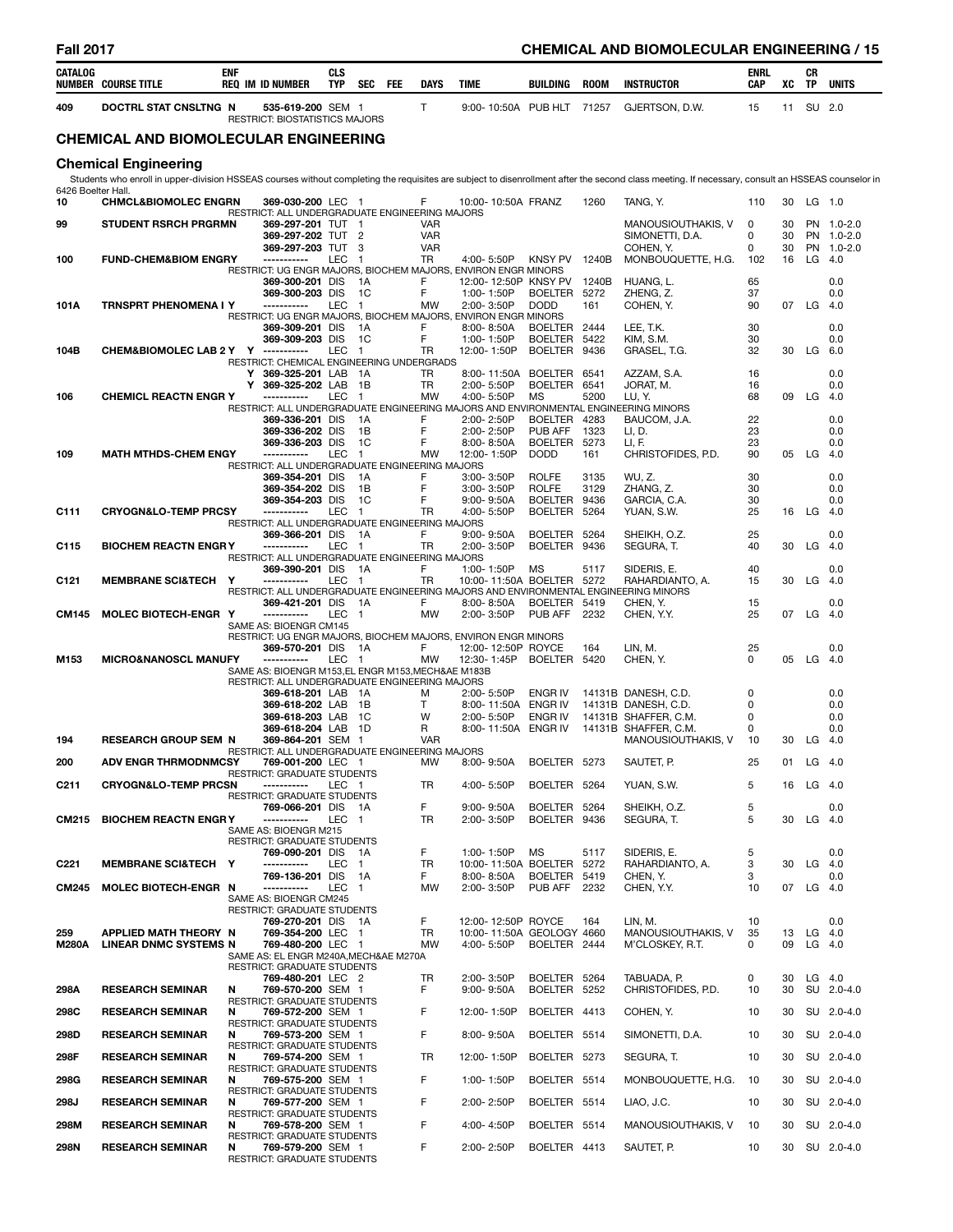| CATALOG             | <b>NUMBER COURSE TITLE</b>                            | <b>ENF</b> |         | <b>REQ IM ID NUMBER</b>                                                                 | <b>CLS</b><br>TYP | <b>SEC</b>             | FEE | <b>DAYS</b>              | TIME                             |             | <b>BUILDING</b>                           | <b>ROOM</b>  | <b>INSTRUCTOR</b>                                                                                                                                                                                | <b>ENRL</b><br>CAP | XC       | СR<br>TP  | <b>UNITS</b>             |
|---------------------|-------------------------------------------------------|------------|---------|-----------------------------------------------------------------------------------------|-------------------|------------------------|-----|--------------------------|----------------------------------|-------------|-------------------------------------------|--------------|--------------------------------------------------------------------------------------------------------------------------------------------------------------------------------------------------|--------------------|----------|-----------|--------------------------|
| 409                 | DOCTRL STAT CNSLTNG N                                 |            |         | 535-619-200 SEM 1<br>RESTRICT: BIOSTATISTICS MAJORS                                     |                   |                        |     | T.                       |                                  |             | 9:00-10:50A PUB HLT                       | 71257        | GJERTSON, D.W.                                                                                                                                                                                   | 15                 | 11       |           | SU 2.0                   |
|                     | <b>CHEMICAL AND BIOMOLECULAR ENGINEERING</b>          |            |         |                                                                                         |                   |                        |     |                          |                                  |             |                                           |              |                                                                                                                                                                                                  |                    |          |           |                          |
|                     | <b>Chemical Engineering</b>                           |            |         |                                                                                         |                   |                        |     |                          |                                  |             |                                           |              |                                                                                                                                                                                                  |                    |          |           |                          |
| 6426 Boelter Hall.  |                                                       |            |         |                                                                                         |                   |                        |     |                          |                                  |             |                                           |              | Students who enroll in upper-division HSSEAS courses without completing the requisites are subject to disenrollment after the second class meeting. If necessary, consult an HSSEAS counselor in |                    |          |           |                          |
| 10                  | <b>CHMCL&amp;BIOMOLEC ENGRN</b>                       |            |         | 369-030-200 LEC 1<br>RESTRICT: ALL UNDERGRADUATE ENGINEERING MAJORS                     |                   |                        |     | F                        |                                  |             | 10:00-10:50A FRANZ                        | 1260         | TANG, Y.                                                                                                                                                                                         | 110                | 30       |           | $LG$ 1.0                 |
| 99                  | <b>STUDENT RSRCH PRGRMN</b>                           |            |         | 369-297-201 TUT 1<br>369-297-202 TUT                                                    |                   | $\overline{2}$         |     | <b>VAR</b><br><b>VAR</b> |                                  |             |                                           |              | MANOUSIOUTHAKIS, V<br>SIMONETTI, D.A.                                                                                                                                                            | 0<br>0             | 30<br>30 |           | PN 1.0-2.0<br>PN 1.0-2.0 |
| 100                 | <b>FUND-CHEM&amp;BIOM ENGRY</b>                       |            |         | 369-297-203 TUT<br>-----------                                                          | LEC               | -3<br>$\blacksquare$   |     | <b>VAR</b><br>TR         | 4:00-5:50P                       |             | <b>KNSY PV</b>                            | 1240B        | COHEN, Y.<br>MONBOUQUETTE, H.G.                                                                                                                                                                  | 0<br>102           | 30<br>16 |           | PN 1.0-2.0<br>$LG$ 4.0   |
|                     |                                                       |            |         | RESTRICT: UG ENGR MAJORS, BIOCHEM MAJORS, ENVIRON ENGR MINORS<br>369-300-201 DIS        |                   | - 1A                   |     | F                        |                                  |             | 12:00-12:50P KNSY PV 1240B                |              | HUANG, L.                                                                                                                                                                                        | 65                 |          |           | 0.0                      |
|                     |                                                       |            |         | 369-300-203 DIS<br>-----------                                                          |                   | 1C                     |     | F                        | 1:00-1:50P                       |             | BOELTER 5272                              |              | ZHENG, Z.                                                                                                                                                                                        | 37                 |          |           | 0.0                      |
| 101A                | <b>TRNSPRT PHENOMENA I Y</b>                          |            |         | RESTRICT: UG ENGR MAJORS, BIOCHEM MAJORS, ENVIRON ENGR MINORS                           | LEC               | $\overline{1}$         |     | MW                       | 2:00-3:50P                       |             | <b>DODD</b>                               | 161          | COHEN, Y.                                                                                                                                                                                        | 90                 |          | 07 LG 4.0 |                          |
|                     |                                                       |            |         | 369-309-201 DIS<br>369-309-203 DIS                                                      |                   | - 1 A<br>1C            |     | F<br>F                   | $8:00 - 8:50A$<br>1:00-1:50P     |             | BOELTER 2444<br><b>BOELTER</b>            | 5422         | LEE, T.K.<br>KIM, S.M.                                                                                                                                                                           | 30<br>30           |          |           | 0.0<br>0.0               |
| 104B                | CHEM&BIOMOLEC LAB 2 Y Y                               |            |         | -----------<br>RESTRICT: CHEMICAL ENGINEERING UNDERGRADS                                | <b>LEC</b>        | $\mathbf{1}$           |     | <b>TR</b>                | 12:00-1:50P                      |             | <b>BOELTER</b>                            | 9436         | GRASEL, T.G.                                                                                                                                                                                     | 32                 | 30       | LG 6.0    |                          |
|                     |                                                       |            | Y.<br>Y | 369-325-201 LAB<br>369-325-202 LAB                                                      |                   | - 1A<br>1B             |     | TR<br>TR                 | 2:00-5:50P                       | 8:00-11:50A | BOELTER 6541<br><b>BOELTER</b>            | 6541         | AZZAM, S.A.<br>Jorat, M.                                                                                                                                                                         | 16<br>16           |          |           | 0.0<br>0.0               |
| 106                 | <b>CHEMICL REACTN ENGR Y</b>                          |            |         |                                                                                         | LEC               | $\mathbf{1}$           |     | <b>MW</b>                | 4:00-5:50P                       |             | MS                                        | 5200         | LU, Y.<br>RESTRICT: ALL UNDERGRADUATE ENGINEERING MAJORS AND ENVIRONMENTAL ENGINEERING MINORS                                                                                                    | 68                 | 09       | LG        | 4.0                      |
|                     |                                                       |            |         | 369-336-201 DIS                                                                         |                   | 1A                     |     | F                        | 2:00-2:50P                       |             | BOELTER 4283                              |              | BAUCOM, J.A.                                                                                                                                                                                     | 22                 |          |           | 0.0                      |
|                     |                                                       |            |         | 369-336-202 DIS<br>369-336-203 DIS                                                      |                   | 1B<br>1C               |     | F<br>F                   | 2:00-2:50P<br>8:00-8:50A         |             | <b>PUB AFF</b><br><b>BOELTER</b>          | 1323<br>5273 | LI, D.<br>LI, F.                                                                                                                                                                                 | 23<br>23           |          |           | 0.0<br>0.0               |
| 109                 | <b>MATH MTHDS-CHEM ENGY</b>                           |            |         | -----------<br>RESTRICT: ALL UNDERGRADUATE ENGINEERING MAJORS                           | LEC               | $\overline{1}$         |     | MW                       | 12:00-1:50P                      |             | <b>DODD</b>                               | 161          | CHRISTOFIDES, P.D.                                                                                                                                                                               | 90                 | 05       | LG        | - 4.0                    |
|                     |                                                       |            |         | 369-354-201 DIS                                                                         |                   | - 1 A                  |     | F                        | $3:00 - 3:50P$                   |             | <b>ROLFE</b>                              | 3135         | WU, Z.                                                                                                                                                                                           | 30                 |          |           | 0.0                      |
|                     |                                                       |            |         | 369-354-202 DIS<br>369-354-203 DIS                                                      |                   | 1B<br>1C               |     | F<br>F                   | $3:00 - 3:50P$<br>$9:00 - 9:50A$ |             | <b>ROLFE</b><br>BOELTER 9436              | 3129         | ZHANG. Z.<br>GARCIA, C.A.                                                                                                                                                                        | 30<br>30           |          |           | 0.0<br>0.0               |
| C111                | <b>CRYOGN&amp;LO-TEMP PRCSY</b>                       |            |         | RESTRICT: ALL UNDERGRADUATE ENGINEERING MAJORS                                          | <b>LEC</b>        | $\overline{1}$         |     | TR                       | 4:00-5:50P                       |             | <b>BOELTER</b>                            | 5264         | YUAN, S.W.                                                                                                                                                                                       | 25                 | 16       | LG        | - 4.0                    |
|                     |                                                       |            |         | 369-366-201 DIS                                                                         |                   | 1A                     |     | F                        | $9:00 - 9:50A$                   |             | <b>BOELTER</b>                            | 5264         | SHEIKH, O.Z.                                                                                                                                                                                     | 25                 |          |           | 0.0                      |
| C115                | <b>BIOCHEM REACTN ENGRY</b>                           |            |         | -----------<br>RESTRICT: ALL UNDERGRADUATE ENGINEERING MAJORS                           | LEC               | $\mathbf{1}$           |     | TR                       | 2:00-3:50P                       |             | <b>BOELTER</b>                            | 9436         | SEGURA, T.                                                                                                                                                                                       | 40                 | 30       | LG        | 4.0                      |
| C <sub>121</sub>    | <b>MEMBRANE SCI&amp;TECH</b>                          | Y          |         | 369-390-201 DIS<br>-----------                                                          | LEC               | - 1A<br>$\blacksquare$ |     | F<br>TR                  | 1:00-1:50P                       |             | MS<br>10:00-11:50A BOELTER 5272           | 5117         | SIDERIS, E.<br>RAHARDIANTO, A.                                                                                                                                                                   | 40<br>15           | 30       | LG        | 0.0<br>- 4.0             |
|                     |                                                       |            |         | 369-421-201 DIS                                                                         |                   | - 1A                   |     | F                        | $8:00 - 8:50A$                   |             | BOELTER 5419                              |              | RESTRICT: ALL UNDERGRADUATE ENGINEERING MAJORS AND ENVIRONMENTAL ENGINEERING MINORS<br>CHEN, Y.                                                                                                  | 15                 |          |           | 0.0                      |
| <b>CM145</b>        | MOLEC BIOTECH-ENGR Y                                  |            |         | -----------                                                                             | LEC               | $\blacksquare$         |     | <b>MW</b>                | 2:00-3:50P                       |             | PUB AFF                                   | 2232         | CHEN, Y.Y.                                                                                                                                                                                       | 25                 |          | 07 LG 4.0 |                          |
|                     |                                                       |            |         | SAME AS: BIOENGR CM145<br>RESTRICT: UG ENGR MAJORS, BIOCHEM MAJORS, ENVIRON ENGR MINORS |                   |                        |     |                          |                                  |             |                                           |              |                                                                                                                                                                                                  |                    |          |           |                          |
| M153                | <b>MICRO&amp;NANOSCL MANUFY</b>                       |            |         | 369-570-201 DIS<br>-----------                                                          | LEC               | - 1A<br>$\overline{1}$ |     | F<br>MW                  | 12:30-1:45P                      |             | 12:00-12:50P ROYCE<br><b>BOELTER</b>      | 164<br>5420  | LIN, M.<br>CHEN, Y.                                                                                                                                                                              | 25<br>0            | 05       | LG 4.0    | 0.0                      |
|                     |                                                       |            |         | SAME AS: BIOENGR M153,EL ENGR M153,MECH&AE M183B                                        |                   |                        |     |                          |                                  |             |                                           |              |                                                                                                                                                                                                  |                    |          |           |                          |
|                     |                                                       |            |         | RESTRICT: ALL UNDERGRADUATE ENGINEERING MAJORS<br>369-618-201 LAB 1A                    |                   |                        |     | м                        | 2:00- 5:50P                      |             | ENGR IV                                   |              | 14131B DANESH, C.D.                                                                                                                                                                              | 0                  |          |           | 0.0                      |
|                     |                                                       |            |         | 369-618-202 LAB<br>369-618-203 LAB                                                      |                   | 1B<br>- 1C             |     | Τ<br>w                   | 2:00-5:50P                       | 8:00-11:50A | ENGR IV<br><b>ENGR IV</b>                 |              | 14131B DANESH, C.D.<br>14131B SHAFFER, C.M.                                                                                                                                                      | 0<br>0             |          |           | 0.0<br>0.0               |
|                     |                                                       |            |         | 369-618-204 LAB                                                                         |                   | - 1D                   |     | R                        |                                  |             | 8:00-11:50A ENGR IV                       |              | 14131B SHAFFER, C.M.                                                                                                                                                                             | 0                  |          |           | 0.0                      |
| 194                 | <b>RESEARCH GROUP SEM N</b>                           |            |         | 369-864-201 SEM 1<br>RESTRICT: ALL UNDERGRADUATE ENGINEERING MAJORS                     |                   |                        |     | <b>VAR</b>               |                                  |             |                                           |              | MANOUSIOUTHAKIS, V                                                                                                                                                                               | 10                 |          | 30 LG 4.0 |                          |
| 200                 | <b>ADV ENGR THRMODNMCSY</b>                           |            |         | 769-001-200 LEC 1<br>RESTRICT: GRADUATE STUDENTS                                        |                   |                        |     | <b>MW</b>                | $8:00 - 9:50A$                   |             | BOELTER 5273                              |              | SAUTET, P.                                                                                                                                                                                       | 25                 |          | 01 LG 4.0 |                          |
| C <sub>211</sub>    | <b>CRYOGN&amp;LO-TEMP PRCSN</b>                       |            |         | -----------                                                                             | LEC 1             |                        |     | TR.                      | 4:00-5:50P                       |             | BOELTER 5264                              |              | YUAN, S.W.                                                                                                                                                                                       | 5                  |          | 16 LG 4.0 |                          |
|                     |                                                       |            |         | <b>RESTRICT: GRADUATE STUDENTS</b><br>769-066-201 DIS 1A                                |                   |                        |     | F.                       | $9:00 - 9:50A$                   |             | BOELTER 5264                              |              | SHEIKH, O.Z.                                                                                                                                                                                     | 5                  |          |           | 0.0                      |
| CM215               | <b>BIOCHEM REACTN ENGRY</b>                           |            |         | -----------<br>SAME AS: BIOENGR M215                                                    | LEC 1             |                        |     | TR                       | 2:00-3:50P                       |             | BOELTER 9436                              |              | SEGURA, T.                                                                                                                                                                                       | 5                  | 30       | LG 4.0    |                          |
|                     |                                                       |            |         | RESTRICT: GRADUATE STUDENTS                                                             |                   |                        |     |                          |                                  |             |                                           |              |                                                                                                                                                                                                  |                    |          |           |                          |
| C <sub>221</sub>    | <b>MEMBRANE SCI&amp;TECH Y</b>                        |            |         | 769-090-201 DIS 1A<br>-----------                                                       | LEC               | $\overline{1}$         |     | F.<br><b>TR</b>          | 1:00-1:50P                       |             | MS<br>10:00-11:50A BOELTER 5272           | 5117         | SIDERIS, E.<br>RAHARDIANTO, A.                                                                                                                                                                   | 5<br>3             | 30       |           | 0.0<br>LG 4.0            |
| <b>CM245</b>        | <b>MOLEC BIOTECH-ENGR N</b>                           |            |         | 769-136-201 DIS 1A<br>-----------                                                       | LEC 1             |                        |     | F.<br><b>MW</b>          | $8:00 - 8:50A$<br>2:00-3:50P     |             | BOELTER 5419<br><b>PUB AFF 2232</b>       |              | CHEN, Y.<br>CHEN, Y.Y.                                                                                                                                                                           | 3<br>10            |          | 07 LG 4.0 | 0.0                      |
|                     |                                                       |            |         | SAME AS: BIOENGR CM245                                                                  |                   |                        |     |                          |                                  |             |                                           |              |                                                                                                                                                                                                  |                    |          |           |                          |
|                     |                                                       |            |         | RESTRICT: GRADUATE STUDENTS<br>769-270-201 DIS 1A                                       |                   |                        |     | F                        |                                  |             | 12:00-12:50P ROYCE                        | 164          | LIN, M.                                                                                                                                                                                          | 10                 |          |           | 0.0                      |
| 259<br><b>M280A</b> | APPLIED MATH THEORY N<br><b>LINEAR DNMC SYSTEMS N</b> |            |         | 769-354-200 LEC 1<br>769-480-200 LEC 1                                                  |                   |                        |     | TR<br><b>MW</b>          | 4:00-5:50P                       |             | 10:00-11:50A GEOLOGY 4660<br>BOELTER 2444 |              | MANOUSIOUTHAKIS, V<br>M'CLOSKEY, R.T.                                                                                                                                                            | 35<br>0            | 13<br>09 |           | $LG$ 4.0<br>LG $4.0$     |
|                     |                                                       |            |         | SAME AS: EL ENGR M240A, MECH&AE M270A                                                   |                   |                        |     |                          |                                  |             |                                           |              |                                                                                                                                                                                                  |                    |          |           |                          |
|                     |                                                       |            |         | RESTRICT: GRADUATE STUDENTS<br>769-480-201 LEC 2                                        |                   |                        |     | TR                       | 2:00-3:50P                       |             | BOELTER 5264                              |              | TABUADA, P.                                                                                                                                                                                      | 0                  | 30       |           | $LG$ 4.0                 |
| 298A                | <b>RESEARCH SEMINAR</b>                               | N          |         | 769-570-200 SEM 1<br>RESTRICT: GRADUATE STUDENTS                                        |                   |                        |     | F.                       | $9:00 - 9:50A$                   |             | BOELTER 5252                              |              | CHRISTOFIDES, P.D.                                                                                                                                                                               | 10                 | 30       |           | SU 2.0-4.0               |
| 298C                | <b>RESEARCH SEMINAR</b>                               | N          |         | 769-572-200 SEM 1                                                                       |                   |                        |     | F                        | 12:00-1:50P                      |             | BOELTER 4413                              |              | COHEN, Y.                                                                                                                                                                                        | 10                 | 30       |           | SU 2.0-4.0               |
| 298D                | <b>RESEARCH SEMINAR</b>                               | N          |         | RESTRICT: GRADUATE STUDENTS<br>769-573-200 SEM 1                                        |                   |                        |     | F                        | $8:00 - 9:50A$                   |             | BOELTER 5514                              |              | SIMONETTI, D.A.                                                                                                                                                                                  | 10                 | 30       |           | SU 2.0-4.0               |
| 298F                | <b>RESEARCH SEMINAR</b>                               | N          |         | RESTRICT: GRADUATE STUDENTS<br>769-574-200 SEM 1                                        |                   |                        |     | TR                       | 12:00-1:50P                      |             | BOELTER 5273                              |              | SEGURA, T.                                                                                                                                                                                       | 10                 | 30       |           | SU 2.0-4.0               |
| 298G                | <b>RESEARCH SEMINAR</b>                               | N          |         | RESTRICT: GRADUATE STUDENTS<br>769-575-200 SEM 1                                        |                   |                        |     | F                        | 1:00-1:50P                       |             | BOELTER 5514                              |              | MONBOUQUETTE, H.G.                                                                                                                                                                               | 10                 | 30       |           | SU 2.0-4.0               |
|                     |                                                       |            |         | RESTRICT: GRADUATE STUDENTS                                                             |                   |                        |     |                          |                                  |             |                                           |              |                                                                                                                                                                                                  |                    |          |           |                          |
| 298J                | <b>RESEARCH SEMINAR</b>                               | N          |         | 769-577-200 SEM 1<br>RESTRICT: GRADUATE STUDENTS                                        |                   |                        |     | F                        | 2:00-2:50P                       |             | BOELTER 5514                              |              | LIAO, J.C.                                                                                                                                                                                       | 10                 | 30       |           | SU 2.0-4.0               |
| 298M                | <b>RESEARCH SEMINAR</b>                               | N          |         | 769-578-200 SEM 1<br>RESTRICT: GRADUATE STUDENTS                                        |                   |                        |     | F                        | 4:00-4:50P                       |             | BOELTER 5514                              |              | MANOUSIOUTHAKIS, V                                                                                                                                                                               | 10                 | 30       |           | SU 2.0-4.0               |
| 298N                | <b>RESEARCH SEMINAR</b>                               | N          |         | 769-579-200 SEM 1<br>DECTDICT: CDADLIATE CTLIDENTS                                      |                   |                        |     | F                        | 2:00-2:50P                       |             | BOELTER 4413                              |              | SAUTET, P.                                                                                                                                                                                       | 10                 | 30       |           | SU 2.0-4.0               |

RESTRICT: GRADUATE STUDENTS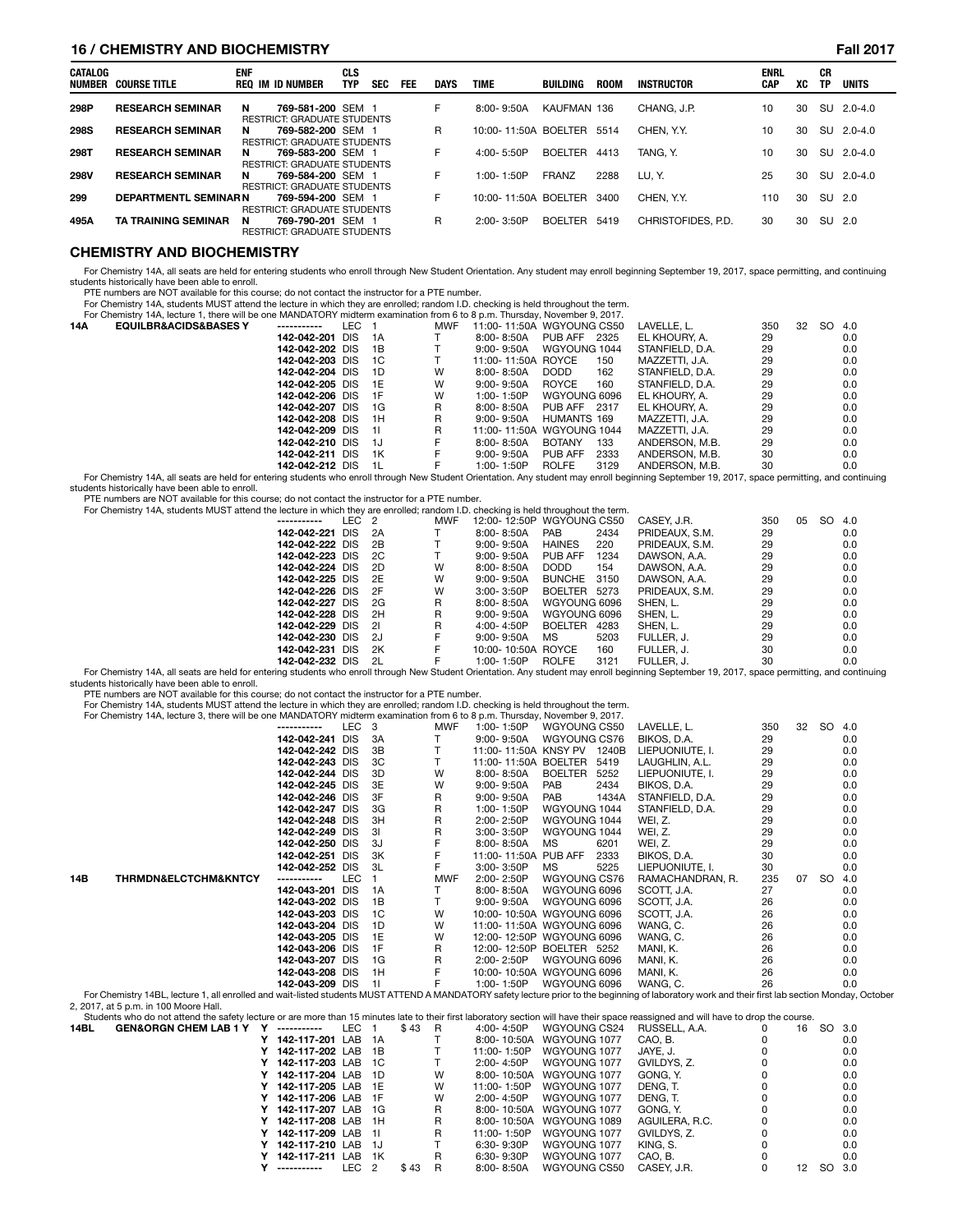### **16 / CHEMISTRY AND BIOCHEMISTRY Fall 2017**

| CATALOG<br>NUMBER | <b>COURSE TITLE</b>         | <b>ENF</b> | REO IM ID NUMBER                                        | <b>CLS</b><br><b>TYP</b> | <b>SEC</b> | FEE | <b>DAYS</b> | <b>TIME</b>          | BUILDING       | <b>ROOM</b> | <b>INSTRUCTOR</b>  | <b>ENRL</b><br><b>CAP</b> | XC | СR<br>TP | <b>UNITS</b> |
|-------------------|-----------------------------|------------|---------------------------------------------------------|--------------------------|------------|-----|-------------|----------------------|----------------|-------------|--------------------|---------------------------|----|----------|--------------|
| 298P              | <b>RESEARCH SEMINAR</b>     | N          | 769-581-200 SEM 1<br><b>RESTRICT: GRADUATE STUDENTS</b> |                          |            |     | F.          | $8:00 - 9:50A$       | KAUFMAN 136    |             | CHANG, J.P.        | 10                        | 30 |          | SU 2.0-4.0   |
| <b>298S</b>       | <b>RESEARCH SEMINAR</b>     | N          | 769-582-200 SEM 1<br><b>RESTRICT: GRADUATE STUDENTS</b> |                          |            |     | R.          | 10:00-11:50A BOELTER |                | 5514        | CHEN. Y.Y.         | 10                        | 30 |          | SU 2.0-4.0   |
| 298T              | <b>RESEARCH SEMINAR</b>     | N          | 769-583-200 SEM 1<br><b>RESTRICT: GRADUATE STUDENTS</b> |                          |            |     | F.          | $4:00 - 5:50P$       | <b>BOELTER</b> | 4413        | TANG. Y.           | 10                        | 30 |          | SU 2.0-4.0   |
| <b>298V</b>       | <b>RESEARCH SEMINAR</b>     | N          | 769-584-200 SEM 1<br><b>RESTRICT: GRADUATE STUDENTS</b> |                          |            |     | F.          | $1:00 - 1:50P$       | <b>FRANZ</b>   | 2288        | LU. Y.             | 25                        | 30 |          | SU 2.0-4.0   |
| 299               | <b>DEPARTMENTL SEMINARN</b> |            | 769-594-200 SEM 1<br><b>RESTRICT: GRADUATE STUDENTS</b> |                          |            |     | F           | 10:00-11:50A BOELTER |                | 3400        | CHEN, Y.Y.         | 110                       | 30 | SU       | - 2.0        |
| 495A              | <b>TA TRAINING SEMINAR</b>  | N          | 769-790-201 SEM 1<br><b>RESTRICT: GRADUATE STUDENTS</b> |                          |            |     | R           | $2:00 - 3:50P$       | BOELTER        | 5419        | CHRISTOFIDES, P.D. | 30                        | 30 | SU 2.0   |              |

### **CHEMISTRY AND BIOCHEMISTRY**

For Chemistry 14A, all seats are held for entering students who enroll through New Student Orientation. Any student may enroll beginning September 19, 2017, space permitting, and continuing students historically have been able to enroll. PTE numbers are NOT available for this course; do not contact the instructor for a PTE number.

For Chemistry 14A, students MUST attend the lecture in which they are enrolled; random I.D. checking is held throughout the term.

| For Chemistry 14A, lecture 1, there will be one MANDATORY midterm examination from 6 to 8 p.m. Thursday, November 9, 2017. |     |      |            |                    |                           |                 |     |    |     |     |
|----------------------------------------------------------------------------------------------------------------------------|-----|------|------------|--------------------|---------------------------|-----------------|-----|----|-----|-----|
| 14A<br><b>EQUILBR&amp;ACIDS&amp;BASES Y</b><br>------------                                                                | LEC |      | <b>MWF</b> |                    | 11:00-11:50A WGYOUNG CS50 | LAVELLE. L.     | 350 | 32 | SO. | 4.0 |
| 142-042-201 DIS                                                                                                            |     | 1A   |            | $8:00 - 8:50A$     | PUB AFF<br>2325           | EL KHOURY. A.   | 29  |    |     | 0.0 |
| 142-042-202 DIS                                                                                                            |     | 1B   |            | $9:00 - 9:50A$     | WGYOUNG 1044              | STANFIELD, D.A. | 29  |    |     | 0.0 |
| 142-042-203 DIS                                                                                                            |     | -1C  |            | 11:00-11:50A ROYCE | 150                       | MAZZETTI. J.A.  | 29  |    |     | 0.0 |
| 142-042-204 DIS                                                                                                            |     | 1D   | w          | $8:00 - 8:50A$     | DODD.<br>162              | STANFIELD, D.A. | 29  |    |     | 0.0 |
| 142-042-205 DIS                                                                                                            |     | 1E   | W          | $9:00 - 9:50A$     | <b>ROYCE</b><br>160       | STANFIELD, D.A. | 29  |    |     | 0.0 |
| 142-042-206 DIS 1F                                                                                                         |     |      | W          | $1:00 - 1:50P$     | WGYOUNG 6096              | EL KHOURY, A.   | 29  |    |     | 0.0 |
| 142-042-207 DIS                                                                                                            |     | 1G   | R          | $8:00 - 8:50A$     | PUB AFF 2317              | EL KHOURY. A.   | 29  |    |     | 0.0 |
| 142-042-208 DIS                                                                                                            |     | 1H   | R          | $9:00 - 9:50A$     | HUMANTS 169               | MAZZETTI. J.A.  | 29  |    |     | 0.0 |
| 142-042-209 DIS 11                                                                                                         |     |      | R          |                    | 11:00-11:50A WGYOUNG 1044 | MAZZETTI. J.A.  | 29  |    |     | 0.0 |
| 142-042-210 DIS                                                                                                            |     | - 1J | F          | $8:00 - 8:50A$     | <b>BOTANY</b><br>133      | ANDERSON, M.B.  | 29  |    |     | 0.0 |
| 142-042-211 DIS                                                                                                            |     | 1K   | F          | $9:00 - 9:50A$     | 2333<br>PUB AFF           | ANDERSON, M.B.  | 30  |    |     | 0.0 |
| 142-042-212 DIS                                                                                                            |     | 1L   |            | $1:00 - 1:50P$     | <b>ROLFE</b><br>3129      | ANDERSON, M.B.  | 30  |    |     | 0.0 |

0.0 142-042-212 DIS 1L F 1:00-1:50P ROLFE 3129 ANDERSON, M.B. 30<br>For Chemistry 14A, all seats are held for entering students who enroll through New Student Orientation. Any student may enroll beginning September 19, 2017, students historically have been able to enroll.

PTE numbers are NOT available for this course; do not contact the instructor for a PTE number.<br>For Chemistry 14A, students MUST attend the lecture in which they are enrolled; random I.D. checking is held throughout the ter

| For Griefflistry 14A, students MOST attend the lecture in Which they are enrolled, random I.D. checking is held throughout the term. |       |            |                           |               |      |                |     |    |        |     |
|--------------------------------------------------------------------------------------------------------------------------------------|-------|------------|---------------------------|---------------|------|----------------|-----|----|--------|-----|
| -----------                                                                                                                          | LEC 2 | <b>MWF</b> | 12:00-12:50P WGYOUNG CS50 |               |      | CASEY. J.R.    | 350 | 05 | SO 4.0 |     |
| 142-042-221 DIS 2A                                                                                                                   |       |            | 8:00-8:50A                | <b>PAB</b>    | 2434 | PRIDEAUX, S.M. | 29  |    |        | 0.0 |
| 142-042-222 DIS 2B                                                                                                                   |       |            | $9:00 - 9:50A$            | <b>HAINES</b> | 220  | PRIDEAUX, S.M. | 29  |    |        | 0.0 |
| 142-042-223 DIS 2C                                                                                                                   |       |            | $9:00 - 9:50A$            | PUB AFF       | 1234 | DAWSON, A.A.   | 29  |    |        | 0.0 |
| 142-042-224 DIS 2D                                                                                                                   |       | W          | $8:00 - 8:50A$            | <b>DODD</b>   | 154  | DAWSON, A.A.   | 29  |    |        | 0.0 |
| 142-042-225 DIS 2E                                                                                                                   |       | W          | $9:00 - 9:50A$            | BUNCHE 3150   |      | DAWSON, A.A.   | 29  |    |        | 0.0 |
| 142-042-226 DIS 2F                                                                                                                   |       | w          | $3:00 - 3:50P$            | BOELTER 5273  |      | PRIDEAUX, S.M. | 29  |    |        | 0.0 |
| 142-042-227 DIS 2G                                                                                                                   |       | R          | $8:00 - 8:50A$            | WGYOUNG 6096  |      | SHEN. L.       | 29  |    |        | 0.0 |
| 142-042-228 DIS 2H                                                                                                                   |       | R          | $9:00 - 9:50A$            | WGYOUNG 6096  |      | SHEN. L.       | 29  |    |        | 0.0 |
| 142-042-229 DIS 21                                                                                                                   |       | R          | $4:00 - 4:50P$            | BOELTER 4283  |      | SHEN. L.       | 29  |    |        | 0.0 |
| 142-042-230 DIS 2J                                                                                                                   |       |            | $9:00 - 9:50A$            | MS            | 5203 | FULLER. J.     | 29  |    |        | 0.0 |
| 142-042-231 DIS 2K                                                                                                                   |       |            | 10:00-10:50A ROYCE        |               | 160  | FULLER. J.     | 30  |    |        | 0.0 |
| 142-042-232 DIS 2L                                                                                                                   |       |            | 1:00-1:50P                | <b>ROLFE</b>  | 3121 | FULLER. J.     | 30  |    |        | 0.0 |
|                                                                                                                                      |       |            |                           |               |      |                |     |    |        |     |

For Chemistry 14A, all seats are held for entering students who enroll through New Student Orientation. Any student may enroll beginning September 19, 2017, space permitting, and continuing

students historically have been able to enroll.<br>PTE numbers are NOT available for this course; do not contact the instructor for a PTE number.<br>For Chemistry 14A, students MUST attend the lecture in which they are enrolled;

|      | For Chemistry 14A, lecture 3, there will be one MANDATORY midterm examination from 6 to 8 p.m. Thursday, November 9, 2017.                                                                        |                                    |                  |      |                |                                         |                |       |                        |     |    |           |            |
|------|---------------------------------------------------------------------------------------------------------------------------------------------------------------------------------------------------|------------------------------------|------------------|------|----------------|-----------------------------------------|----------------|-------|------------------------|-----|----|-----------|------------|
|      |                                                                                                                                                                                                   | -----------                        | LEC <sub>3</sub> |      | <b>MWF</b>     | 1:00-1:50P                              | WGYOUNG CS50   |       | LAVELLE. L.            | 350 | 32 | SO        | 4.0        |
|      |                                                                                                                                                                                                   | 142-042-241 DIS                    |                  | 3A   | T              | $9:00 - 9:50A$                          | WGYOUNG CS76   |       | BIKOS, D.A.            | 29  |    |           | 0.0        |
|      |                                                                                                                                                                                                   | 142-042-242 DIS                    |                  | 3B   | T              | 11:00-11:50A KNSY PV 1240B              |                |       | LIEPUONIUTE. I.        | 29  |    |           | 0.0        |
|      |                                                                                                                                                                                                   | 142-042-243 DIS                    |                  | 3C   |                | 11:00-11:50A BOELTER 5419               |                |       | LAUGHLIN, A.L.         | 29  |    |           | 0.0        |
|      |                                                                                                                                                                                                   | 142-042-244 DIS                    |                  | 3D   | W              | 8:00-8:50A                              | <b>BOELTER</b> | 5252  | LIEPUONIUTE, I.        | 29  |    |           | 0.0        |
|      |                                                                                                                                                                                                   | 142-042-245 DIS                    |                  | 3E   | W              | $9:00 - 9:50A$                          | <b>PAB</b>     | 2434  | BIKOS, D.A.            | 29  |    |           | 0.0        |
|      |                                                                                                                                                                                                   | 142-042-246 DIS                    |                  | 3F   | R              | $9:00 - 9:50A$                          | PAB            | 1434A | STANFIELD, D.A.        | 29  |    |           | 0.0        |
|      |                                                                                                                                                                                                   | 142-042-247 DIS                    |                  | 3G   | R              | 1:00-1:50P                              | WGYOUNG 1044   |       | STANFIELD, D.A.        | 29  |    |           | 0.0        |
|      |                                                                                                                                                                                                   | 142-042-248 DIS                    |                  | 3H   | R              | 2:00-2:50P                              | WGYOUNG 1044   |       | WEI. Z.                | 29  |    |           | 0.0        |
|      |                                                                                                                                                                                                   | 142-042-249 DIS                    |                  | 3I   | R              | 3:00-3:50P                              | WGYOUNG 1044   |       | WEI, Z.                | 29  |    |           | 0.0        |
|      |                                                                                                                                                                                                   | 142-042-250 DIS                    |                  | 3J   | F              | 8:00-8:50A                              | <b>MS</b>      | 6201  | WEI, Z.                | 29  |    |           | 0.0        |
|      |                                                                                                                                                                                                   | 142-042-251 DIS                    |                  | 3K   | F              | 11:00-11:50A PUB AFF                    |                | 2333  | BIKOS, D.A.            | 30  |    |           | 0.0        |
|      |                                                                                                                                                                                                   | 142-042-252 DIS                    |                  | - 3L | F              | 3:00-3:50P                              | MS             | 5225  | LIEPUONIUTE, I.        | 30  |    |           | 0.0        |
| 14B  | <b>THRMDN&amp;ELCTCHM&amp;KNTCY</b>                                                                                                                                                               | -----------                        | LEC.             |      | <b>MWF</b>     | 2:00-2:50P                              | WGYOUNG CS76   |       | RAMACHANDRAN, R.       | 235 | 07 | <b>SO</b> | 4.0        |
|      |                                                                                                                                                                                                   | 142-043-201 DIS                    |                  | 1A   |                | 8:00-8:50A                              | WGYOUNG 6096   |       | SCOTT, J.A.            | 27  |    |           | 0.0        |
|      |                                                                                                                                                                                                   | 142-043-202 DIS                    |                  | 1B   |                | 9:00- 9:50A                             | WGYOUNG 6096   |       | SCOTT, J.A.            | 26  |    |           | 0.0        |
|      |                                                                                                                                                                                                   | 142-043-203 DIS                    |                  | 1C   | W              | 10:00-10:50A WGYOUNG 6096               |                |       | SCOTT. J.A.            | 26  |    |           | 0.0        |
|      |                                                                                                                                                                                                   | 142-043-204 DIS                    |                  | 1D   | W              | 11:00-11:50A WGYOUNG 6096               |                |       | WANG, C.               | 26  |    |           | 0.0        |
|      |                                                                                                                                                                                                   | 142-043-205 DIS                    |                  | 1E   | W              | 12:00-12:50P WGYOUNG 6096               |                |       | WANG, C.               | 26  |    |           | 0.0        |
|      |                                                                                                                                                                                                   | 142-043-206 DIS                    |                  | 1F   | R              | 12:00-12:50P BOELTER 5252               |                |       | MANI. K.               | 26  |    |           | 0.0        |
|      |                                                                                                                                                                                                   | 142-043-207 DIS                    |                  | 1G   | R              | 2:00-2:50P                              | WGYOUNG 6096   |       | MANI. K.               | 26  |    |           | 0.0        |
|      |                                                                                                                                                                                                   | 142-043-208 DIS                    |                  | 1H   | F              | 10:00-10:50A WGYOUNG 6096               |                |       | MANI. K.               | 26  |    |           | 0.0        |
|      |                                                                                                                                                                                                   | 142-043-209 DIS                    |                  | 11   | F              | 1:00-1:50P                              | WGYOUNG 6096   |       | WANG, C.               | 26  |    |           | 0.0        |
|      | For Chemistry 14BL, lecture 1, all enrolled and wait-listed students MUST ATTEND A MANDATORY safety lecture prior to the beginning of laboratory work and their first lab section Monday, October |                                    |                  |      |                |                                         |                |       |                        |     |    |           |            |
|      | 2, 2017, at 5 p.m. in 100 Moore Hall.                                                                                                                                                             |                                    |                  |      |                |                                         |                |       |                        |     |    |           |            |
|      | Students who do not attend the safety lecture or are more than 15 minutes late to their first laboratory section will have their space reassigned and will have to drop the course.               |                                    |                  |      |                |                                         |                |       |                        |     |    |           |            |
| 14BL | <b>GEN&amp;ORGN CHEM LAB 1 Y Y</b>                                                                                                                                                                | ------------<br>149-117-201 LAR 1A | LEC <sub>1</sub> | \$43 | $\overline{R}$ | 4:00-4:50P<br>8:00-10:50A MGYOLING 1077 | WGYOUNG CS24   |       | RUSSELL, A.A.<br>CAO R |     | 16 | SO.       | 3.0<br>n n |
|      |                                                                                                                                                                                                   |                                    |                  |      |                |                                         |                |       |                        |     |    |           |            |

| . |  |                    |       | ັັ   | . | ו טער שטוד     |                          |                | $\sim$ | טיס המ |     |
|---|--|--------------------|-------|------|---|----------------|--------------------------|----------------|--------|--------|-----|
|   |  | 142-117-201 LAB 1A |       |      |   |                | 8:00-10:50A WGYOUNG 1077 | CAO. B.        |        |        | 0.0 |
|   |  | 142-117-202 LAB 1B |       |      |   | 11:00-1:50P    | WGYOUNG 1077             | JAYE, J.       |        |        | 0.0 |
|   |  | 142-117-203 LAB 1C |       |      |   | $2:00 - 4:50P$ | WGYOUNG 1077             | GVILDYS, Z.    |        |        | 0.0 |
|   |  | 142-117-204 LAB 1D |       |      | W |                | 8:00-10:50A WGYOUNG 1077 | GONG, Y.       |        |        | 0.0 |
|   |  | 142-117-205 LAB 1E |       |      | W | 11:00-1:50P    | WGYOUNG 1077             | DENG. T.       |        |        | 0.0 |
|   |  | 142-117-206 LAB 1F |       |      | W | $2:00 - 4:50P$ | WGYOUNG 1077             | DENG. T.       |        |        | 0.0 |
|   |  | 142-117-207 LAB 1G |       |      | R |                | 8:00-10:50A WGYOUNG 1077 | GONG, Y.       |        |        | 0.0 |
|   |  | 142-117-208 LAB 1H |       |      | R |                | 8:00-10:50A WGYOUNG 1089 | AGUILERA, R.C. |        |        | 0.0 |
|   |  | 142-117-209 LAB 1L |       |      | R | 11:00-1:50P    | WGYOUNG 1077             | GVILDYS, Z.    |        |        | 0.0 |
|   |  | 142-117-210 LAB 1J |       |      |   | 6:30-9:30P     | WGYOUNG 1077             | KING, S.       |        |        | 0.0 |
|   |  | 142-117-211 LAB 1K |       |      | R | 6:30-9:30P     | WGYOUNG 1077             | CAO. B.        |        |        | 0.0 |
|   |  | -----------        | LEC 2 | \$43 | R | 8:00-8:50A     | WGYOUNG CS50             | CASEY, J.R.    | 12     | SO 3.0 |     |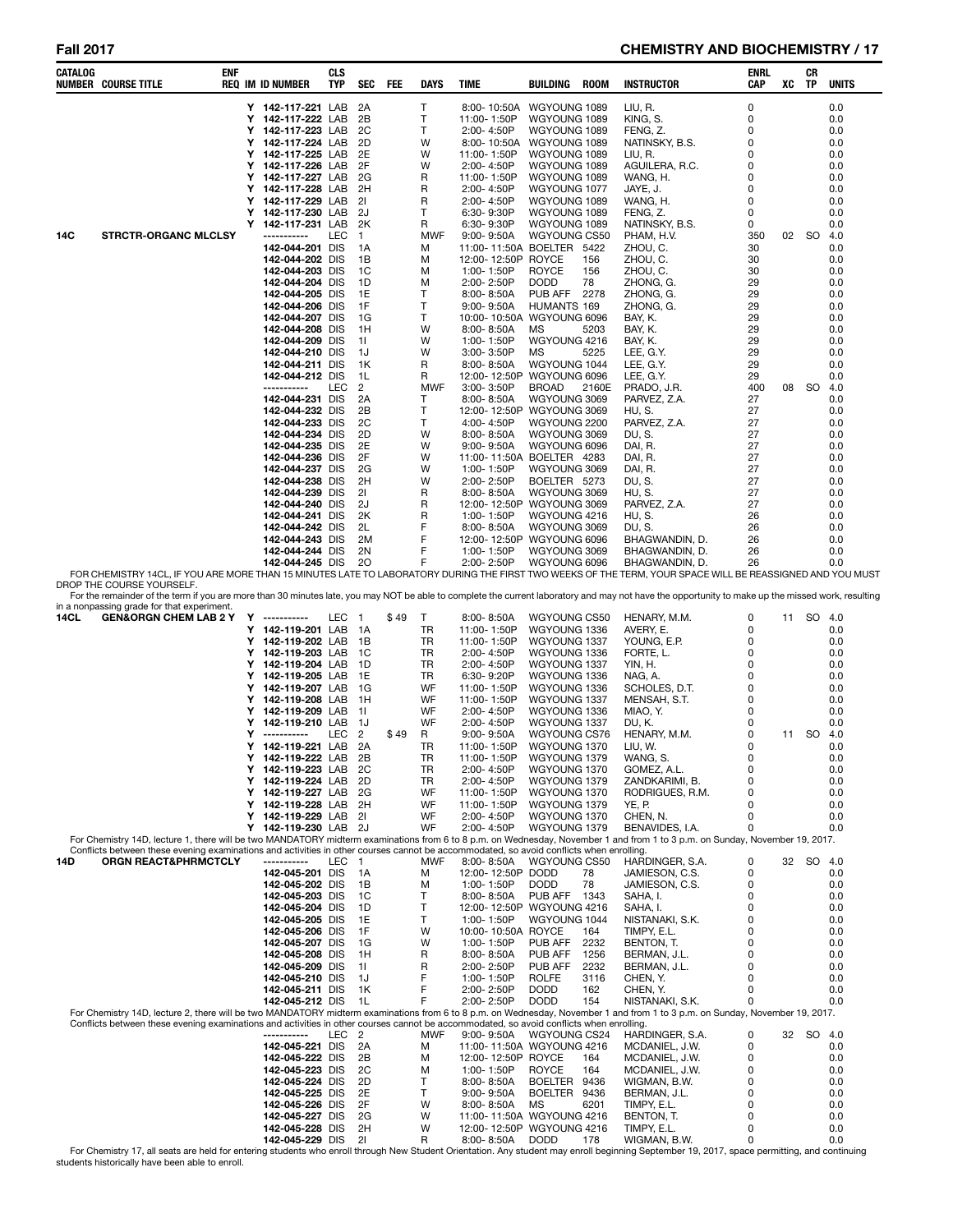# Fall 2017 **CHEMISTRY AND BIOCHEMISTRY / 17**

| T<br>8:00-10:50A WGYOUNG 1089<br>LIU, R.<br>0<br>0.0<br>Y 142-117-221 LAB<br>2A<br>Y 142-117-222 LAB<br>2B<br>T<br>11:00-1:50P<br>WGYOUNG 1089<br>KING, S.<br>0<br>0.0<br>142-117-223 LAB 2C<br>T<br>Y<br>2:00-4:50P<br>WGYOUNG 1089<br>FENG, Z.<br>0<br>0.0<br>Y 142-117-224 LAB<br>2D<br>W<br>8:00-10:50A<br>WGYOUNG 1089<br>NATINSKY, B.S.<br>0<br>0.0<br>2E<br>Y 142-117-225 LAB<br>W<br>11:00-1:50P<br>WGYOUNG 1089<br>LIU, R.<br>0<br>0.0<br>142-117-226 LAB<br>2F<br>W<br>2:00-4:50P<br>WGYOUNG 1089<br>Y<br>AGUILERA, R.C.<br>0<br>0.0<br>142-117-227 LAB<br>2G<br>R<br>WGYOUNG 1089<br>Y<br>11:00-1:50P<br>WANG, H.<br>0<br>0.0<br>Y 142-117-228 LAB 2H<br>R<br>2:00-4:50P<br>WGYOUNG 1077<br>JAYE, J.<br>0<br>0.0<br>R<br>2:00-4:50P<br>WGYOUNG 1089<br>Y 142-117-229 LAB<br>-21<br>WANG, H.<br>0<br>0.0<br>142-117-230 LAB<br>6:30-9:30P<br>WGYOUNG 1089<br>Y<br>- 2J<br>Τ<br>FENG, Z.<br>0<br>0.0<br>Y 142-117-231 LAB 2K<br>R<br>WGYOUNG 1089<br>6:30-9:30P<br>NATINSKY, B.S.<br>0<br>0.0<br><b>STRCTR-ORGANC MLCLSY</b><br>LEC<br><b>MWF</b><br>$9:00 - 9:50A$<br>WGYOUNG CS50<br>PHAM, H.V.<br>02 SO<br>-----------<br>$\overline{1}$<br>350<br>4.0<br>30<br>142-044-201 DIS<br>1A<br>м<br>11:00-11:50A BOELTER 5422<br>ZHOU, C.<br>0.0<br>142-044-202 DIS<br>12:00-12:50P<br>ROYCE<br>ZHOU, C.<br>1B<br>м<br>156<br>30<br>0.0<br>1C<br><b>ROYCE</b><br>156<br>ZHOU, C.<br>30<br>142-044-203 DIS<br>м<br>1:00-1:50P<br>0.0<br>142-044-204 DIS<br>2:00-2:50P<br><b>DODD</b><br>78<br>ZHONG, G.<br>29<br>1D<br>м<br>0.0<br>1E<br>Т<br>PUB AFF<br>ZHONG, G.<br>29<br>142-044-205 DIS<br>$8:00 - 8:50A$<br>2278<br>0.0<br>142-044-206 DIS<br>1F<br>Т<br>$9:00 - 9:50A$<br>HUMANTS 169<br>ZHONG, G.<br>29<br>0.0<br>1G<br>T<br>10:00-10:50A WGYOUNG 6096<br>29<br>142-044-207 DIS<br>BAY, K.<br>0.0<br>142-044-208 DIS<br>W<br>8:00-8:50A<br>MS<br>5203<br>BAY, K.<br>29<br>1H<br>0.0<br>WGYOUNG 4216<br>W<br>29<br>142-044-209 DIS<br>11<br>1:00-1:50P<br>BAY, K.<br>0.0<br>W<br>5225<br>29<br>142-044-210 DIS<br>1J<br>$3:00 - 3:50P$<br>ΜS<br>LEE, G.Y.<br>0.0<br>R<br>29<br>142-044-211 DIS<br>1K<br>$8:00 - 8:50A$<br>WGYOUNG 1044<br>LEE, G.Y.<br>0.0<br>142-044-212 DIS<br>R<br>12:00-12:50P WGYOUNG 6096<br>LEE, G.Y.<br>29<br>1L<br>0.0<br>LEC<br>2<br>MWF<br>3:00-3:50P<br>400<br><b>SO</b><br>-----------<br><b>BROAD</b><br>2160E<br>PRADO, J.R.<br>08<br>4.0<br>142-044-231 DIS<br>8:00-8:50A<br>WGYOUNG 3069<br>PARVEZ, Z.A.<br>2A<br>Τ<br>27<br>0.0<br>T.<br>2B<br>12:00-12:50P WGYOUNG 3069<br>142-044-232 DIS<br>HU, S.<br>27<br>0.0<br>T<br>2C<br>4:00-4:50P<br>WGYOUNG 2200<br>PARVEZ, Z.A.<br>142-044-233 DIS<br>27<br>0.0<br>2D<br>W<br>142-044-234 DIS<br>$8:00 - 8:50A$<br>WGYOUNG 3069<br>DU, S.<br>27<br>0.0<br>2E<br>W<br>9:00-9:50A<br>WGYOUNG 6096<br>27<br>142-044-235 DIS<br>DAI, R.<br>0.0<br>2F<br>W<br>27<br>142-044-236 DIS<br>11:00-11:50A BOELTER 4283<br>DAI, R.<br>0.0<br>2G<br>W<br>1:00-1:50P<br>WGYOUNG 3069<br>DAI, R.<br>27<br>142-044-237 DIS<br>0.0<br>2H<br>W<br>2:00-2:50P<br>DU, S.<br>27<br>142-044-238 DIS<br>BOELTER 5273<br>0.0<br>21<br>R<br>8:00-8:50A<br>WGYOUNG 3069<br><b>HU, S.</b><br>27<br>142-044-239 DIS<br>0.0<br>2J<br>R<br>12:00-12:50P WGYOUNG 3069<br>27<br>142-044-240 DIS<br>PARVEZ, Z.A.<br>0.0<br>R<br>1:00-1:50P<br>WGYOUNG 4216<br>HU, S.<br>142-044-241 DIS<br>2K<br>26<br>0.0<br>F<br>WGYOUNG 3069<br>DU, S.<br>26<br>142-044-242 DIS<br>2L<br>$8:00 - 8:50A$<br>0.0<br>F<br>12:00-12:50P WGYOUNG 6096<br>BHAGWANDIN, D.<br>142-044-243 DIS<br>2M<br>26<br>0.0<br>F<br>2N<br>1:00-1:50P<br>WGYOUNG 3069<br>26<br>142-044-244 DIS<br>BHAGWANDIN, D.<br>0.0<br>142-044-245 DIS<br>20<br>F<br>2:00-2:50P<br>WGYOUNG 6096<br>BHAGWANDIN, D.<br>26<br>0.0<br>FOR CHEMISTRY 14CL, IF YOU ARE MORE THAN 15 MINUTES LATE TO LABORATORY DURING THE FIRST TWO WEEKS OF THE TERM, YOUR SPACE WILL BE REASSIGNED AND YOU MUST<br>DROP THE COURSE YOURSELF.<br>For the remainder of the term if you are more than 30 minutes late, you may NOT be able to complete the current laboratory and may not have the opportunity to make up the missed work, resulting<br>in a nonpassing grade for that experiment.<br>GEN&ORGN CHEM LAB 2 Y Y -----------<br>LEC 1<br>\$49<br>Т<br>$8:00 - 8:50A$<br>WGYOUNG CS50<br>HENARY, M.M.<br>11 SO 4.0<br>0<br>Y 142-119-201 LAB<br>TR<br>11:00-1:50P<br>WGYOUNG 1336<br>AVERY, E.<br>0<br>0.0<br>- 1A<br>Y 142-119-202 LAB<br>TR<br>11:00-1:50P<br>WGYOUNG 1337<br>- 1B<br>YOUNG, E.P.<br>0<br>0.0<br>TR<br>2:00-4:50P<br>Υ<br>142-119-203 LAB<br>- 1C<br>WGYOUNG 1336<br>FORTE, L.<br>0<br>0.0<br>142-119-204 LAB<br>TR<br>2:00-4:50P<br>WGYOUNG 1337<br>YIN, H.<br>Y<br>- 1D<br>0<br>0.0<br>TR<br>6:30-9:20P<br>WGYOUNG 1336<br>Y<br>142-119-205 LAB<br>- 1E<br>NAG, A.<br>0<br>0.0<br>142-119-207 LAB<br>WF<br>11:00-1:50P<br>WGYOUNG 1336<br>Y<br>- 1G<br>SCHOLES, D.T.<br>0<br>0.0<br>WF<br>WGYOUNG 1337<br>0<br>Υ<br>142-119-208 LAB<br>- 1H<br>11:00-1:50P<br>MENSAH, S.T.<br>0.0<br>142-119-209 LAB<br>WF<br>2:00-4:50P<br>WGYOUNG 1336<br>MIAO, Y.<br>0.0<br>Y<br>- 11<br>0<br>WF<br>2:00-4:50P<br>WGYOUNG 1337<br>Y<br>142-119-210 LAB<br>- 1J<br>DU, K.<br>0<br>0.0<br>LEC<br>$\overline{2}$<br>WGYOUNG CS76<br>HENARY, M.M.<br>0<br><b>SO</b><br>Y<br>\$49<br>R<br>$9:00 - 9:50A$<br>4.0<br>-----------<br>11<br>142-119-221 LAB<br>2A<br>TR<br>WGYOUNG 1370<br>Y<br>11:00-1:50P<br>LIU, W.<br>0<br>0.0<br>142-119-222 LAB<br>Y<br>2B<br>TR<br>11:00-1:50P<br>WGYOUNG 1379<br>WANG, S.<br>$\Omega$<br>0.0<br>0<br>2C<br>TR<br>WGYOUNG 1370<br>GOMEZ, A.L.<br>0.0<br>Y 142-119-223 LAB<br>2:00-4:50P<br>142-119-224 LAB<br>2D<br>TR<br>2:00-4:50P<br>WGYOUNG 1379<br>ZANDKARIMI, B.<br>0<br>0.0<br>Y<br>2G<br>WF<br>WGYOUNG 1370<br>RODRIGUES, R.M.<br>0<br>Y<br>142-119-227 LAB<br>11:00-1:50P<br>0.0<br>142-119-228 LAB<br>2H<br>WF<br>WGYOUNG 1379<br>YE, P.<br>0<br>0.0<br>Y<br>11:00-1:50P<br>21<br>WF<br>WGYOUNG 1370<br>CHEN, N.<br>0<br>Y<br>142-119-229 LAB<br>2:00-4:50P<br>0.0<br>Y<br>142-119-230 LAB<br>WF<br>2:00-4:50P<br>WGYOUNG 1379<br>BENAVIDES, I.A.<br>0<br>0.0<br>2J<br>For Chemistry 14D, lecture 1, there will be two MANDATORY midterm examinations from 6 to 8 p.m. on Wednesday, November 1 and from 1 to 3 p.m. on Sunday, November 19, 2017.<br>Conflicts between these evening examinations and activities in other courses cannot be accommodated, so avoid conflicts when enrolling.<br><b>ORGN REACT&amp;PHRMCTCLY</b><br>LEC<br><b>MWF</b><br>WGYOUNG CS50<br>HARDINGER, S.A.<br>-----------<br>$\overline{1}$<br>$8:00 - 8:50A$<br>0<br>32 SO 4.0<br>12:00-12:50P<br>0<br>142-045-201 DIS<br>1A<br>м<br><b>DODD</b><br>78<br>JAMIESON, C.S.<br>0.0<br>142-045-202 DIS<br>1:00-1:50P<br><b>DODD</b><br>78<br>0<br>0.0<br>1B<br>М<br>JAMIESON, C.S.<br>0<br>T<br><b>PUB AFF 1343</b><br>142-045-203 DIS<br>1C<br>$8:00 - 8:50A$<br>SAHA, I.<br>0.0<br>T<br>142-045-204 DIS<br>12:00-12:50P WGYOUNG 4216<br>SAHA, I.<br>0<br>1D<br>0.0<br>T.<br>1E<br>WGYOUNG 1044<br>$\Omega$<br>142-045-205 DIS<br>1:00-1:50P<br>NISTANAKI, S.K.<br>0.0<br>142-045-206 DIS<br>1F<br>W<br>10:00-10:50A ROYCE<br>TIMPY, E.L.<br>0<br>164<br>0.0<br>W<br>2232<br>$\Omega$<br>142-045-207 DIS<br>1G<br>1:00-1:50P<br>PUB AFF<br>BENTON, T.<br>0.0<br>142-045-208 DIS<br>R<br>PUB AFF<br>$\Omega$<br>1H<br>$8:00 - 8:50A$<br>1256<br>BERMAN, J.L.<br>0.0<br>R<br>PUB AFF<br>2232<br>$\Omega$<br>142-045-209 DIS<br>11<br>2:00-2:50P<br>BERMAN, J.L.<br>0.0<br>F<br><b>ROLFE</b><br>CHEN, Y.<br>0<br>142-045-210 DIS<br>1J<br>1:00-1:50P<br>3116<br>0.0<br>F<br>1K<br><b>DODD</b><br>162<br>0<br>142-045-211 DIS<br>2:00-2:50P<br>CHEN, Y.<br>0.0<br>142-045-212 DIS<br>1L<br>F<br>2:00-2:50P<br><b>DODD</b><br>154<br>NISTANAKI, S.K.<br>ŋ<br>0.0<br>For Chemistry 14D, lecture 2, there will be two MANDATORY midterm examinations from 6 to 8 p.m. on Wednesday, November 1 and from 1 to 3 p.m. on Sunday, November 19, 2017.<br>Conflicts between these evening examinations and activities in other courses cannot be accommodated, so avoid conflicts when enrolling.<br>LEC<br>MWF<br>9:00-9:50A<br>WGYOUNG CS24<br>SO 4.0<br>$\overline{c}$<br>HARDINGER, S.A.<br>0<br>32<br>-----------<br>142-045-221 DIS<br>2A<br>11:00-11:50A WGYOUNG 4216<br>0<br>0.0<br>М<br>MCDANIEL, J.W.<br>142-045-222 DIS<br>2B<br>12:00-12:50P ROYCE<br>0<br>0.0<br>м<br>164<br>MCDANIEL, J.W.<br>142-045-223 DIS<br>2C<br>1:00-1:50P<br>ROYCE<br>164<br>0<br>0.0<br>М<br>MCDANIEL, J.W.<br>142-045-224 DIS<br>2D<br>Т<br><b>BOELTER</b><br>9436<br>WIGMAN, B.W.<br>0<br>0.0<br>$8:00 - 8:50A$<br>T<br>142-045-225 DIS<br>2E<br>BOELTER 9436<br>BERMAN, J.L.<br>0<br>$9:00 - 9:50A$<br>0.0<br>142-045-226 DIS<br>2F<br>W<br>MS<br>6201<br>TIMPY, E.L.<br>0<br>0.0<br>$8:00 - 8:50A$<br>142-045-227 DIS<br>2G<br>W<br>11:00-11:50A WGYOUNG 4216<br>BENTON, T.<br>0<br>0.0<br>142-045-228 DIS<br>2H<br>W<br>12:00-12:50P<br>WGYOUNG 4216<br>TIMPY, E.L.<br>0<br>0.0 | CATALOG     | ENF<br><b>NUMBER COURSE TITLE</b> | <b>REQ IM ID NUMBER</b> | <b>CLS</b><br>TYP | <b>SEC</b> | FEE | <b>DAYS</b> | TIME       | BUILDING    | <b>ROOM</b> | <b>INSTRUCTOR</b> | <b>ENRL</b><br>CAP | XC | CR<br><b>TP</b> | <b>UNITS</b> |
|--------------------------------------------------------------------------------------------------------------------------------------------------------------------------------------------------------------------------------------------------------------------------------------------------------------------------------------------------------------------------------------------------------------------------------------------------------------------------------------------------------------------------------------------------------------------------------------------------------------------------------------------------------------------------------------------------------------------------------------------------------------------------------------------------------------------------------------------------------------------------------------------------------------------------------------------------------------------------------------------------------------------------------------------------------------------------------------------------------------------------------------------------------------------------------------------------------------------------------------------------------------------------------------------------------------------------------------------------------------------------------------------------------------------------------------------------------------------------------------------------------------------------------------------------------------------------------------------------------------------------------------------------------------------------------------------------------------------------------------------------------------------------------------------------------------------------------------------------------------------------------------------------------------------------------------------------------------------------------------------------------------------------------------------------------------------------------------------------------------------------------------------------------------------------------------------------------------------------------------------------------------------------------------------------------------------------------------------------------------------------------------------------------------------------------------------------------------------------------------------------------------------------------------------------------------------------------------------------------------------------------------------------------------------------------------------------------------------------------------------------------------------------------------------------------------------------------------------------------------------------------------------------------------------------------------------------------------------------------------------------------------------------------------------------------------------------------------------------------------------------------------------------------------------------------------------------------------------------------------------------------------------------------------------------------------------------------------------------------------------------------------------------------------------------------------------------------------------------------------------------------------------------------------------------------------------------------------------------------------------------------------------------------------------------------------------------------------------------------------------------------------------------------------------------------------------------------------------------------------------------------------------------------------------------------------------------------------------------------------------------------------------------------------------------------------------------------------------------------------------------------------------------------------------------------------------------------------------------------------------------------------------------------------------------------------------------------------------------------------------------------------------------------------------------------------------------------------------------------------------------------------------------------------------------------------------------------------------------------------------------------------------------------------------------------------------------------------------------------------------------------------------------------------------------------------------------------------------------------------------------------------------------------------------------------------------------------------------------------------------------------------------------------------------------------------------------------------------------------------------------------------------------------------------------------------------------------------------------------------------------------------------------------------------------------------------------------------------------------------------------------------------------------------------------------------------------------------------------------------------------------------------------------------------------------------------------------------------------------------------------------------------------------------------------------------------------------------------------------------------------------------------------------------------------------------------------------------------------------------------------------------------------------------------------------------------------------------------------------------------------------------------------------------------------------------------------------------------------------------------------------------------------------------------------------------------------------------------------------------------------------------------------------------------------------------------------------------------------------------------------------------------------------------------------------------------------------------------------------------------------------------------------------------------------------------------------------------------------------------------------------------------------------------------------------------------------------------------------------------------------------------------------------------------------------------------------------------------------------------------------------------------------------------------------------------------------------------------------------------------------------------------------------------------------------------------------------------------------------------------------------------------------------------------------------------------------------------------------------------------------------------------------------------------------------------------------------------------------------------------------------------------------------------------------------------------------------------------------------------------------------------------------------------------------------------------------------------------------------------------------------------------------------------------------------------------------------------------------------------------------------------------------------------------------------------------------------------------------------------------------------------------------------------------------------------------------------------------------------------------------------------------------------------------------------------------------------------------------------------------------------------------------------------------------------------------------------------------------------------------------------------------------------------------------------------------------------------------------------------------------------------------------------------------------------------------------------------------------------------------------------------------------------------------------------------------------------------------------------------------------------------------------------------------------------------------------------------------------------------------------------------------------------------------------------------------------------------------------------------------------------------------------------------------------------------------------------------------------------------------|-------------|-----------------------------------|-------------------------|-------------------|------------|-----|-------------|------------|-------------|-------------|-------------------|--------------------|----|-----------------|--------------|
|                                                                                                                                                                                                                                                                                                                                                                                                                                                                                                                                                                                                                                                                                                                                                                                                                                                                                                                                                                                                                                                                                                                                                                                                                                                                                                                                                                                                                                                                                                                                                                                                                                                                                                                                                                                                                                                                                                                                                                                                                                                                                                                                                                                                                                                                                                                                                                                                                                                                                                                                                                                                                                                                                                                                                                                                                                                                                                                                                                                                                                                                                                                                                                                                                                                                                                                                                                                                                                                                                                                                                                                                                                                                                                                                                                                                                                                                                                                                                                                                                                                                                                                                                                                                                                                                                                                                                                                                                                                                                                                                                                                                                                                                                                                                                                                                                                                                                                                                                                                                                                                                                                                                                                                                                                                                                                                                                                                                                                                                                                                                                                                                                                                                                                                                                                                                                                                                                                                                                                                                                                                                                                                                                                                                                                                                                                                                                                                                                                                                                                                                                                                                                                                                                                                                                                                                                                                                                                                                                                                                                                                                                                                                                                                                                                                                                                                                                                                                                                                                                                                                                                                                                                                                                                                                                                                                                                                                                                                                                                                                                                                                                                                                                                                                                                                                                                                                                                                                                                                                                                                                                                                                                                                                                                                                                                                                                                                                                                                                                                                            |             |                                   |                         |                   |            |     |             |            |             |             |                   |                    |    |                 |              |
|                                                                                                                                                                                                                                                                                                                                                                                                                                                                                                                                                                                                                                                                                                                                                                                                                                                                                                                                                                                                                                                                                                                                                                                                                                                                                                                                                                                                                                                                                                                                                                                                                                                                                                                                                                                                                                                                                                                                                                                                                                                                                                                                                                                                                                                                                                                                                                                                                                                                                                                                                                                                                                                                                                                                                                                                                                                                                                                                                                                                                                                                                                                                                                                                                                                                                                                                                                                                                                                                                                                                                                                                                                                                                                                                                                                                                                                                                                                                                                                                                                                                                                                                                                                                                                                                                                                                                                                                                                                                                                                                                                                                                                                                                                                                                                                                                                                                                                                                                                                                                                                                                                                                                                                                                                                                                                                                                                                                                                                                                                                                                                                                                                                                                                                                                                                                                                                                                                                                                                                                                                                                                                                                                                                                                                                                                                                                                                                                                                                                                                                                                                                                                                                                                                                                                                                                                                                                                                                                                                                                                                                                                                                                                                                                                                                                                                                                                                                                                                                                                                                                                                                                                                                                                                                                                                                                                                                                                                                                                                                                                                                                                                                                                                                                                                                                                                                                                                                                                                                                                                                                                                                                                                                                                                                                                                                                                                                                                                                                                                                            |             |                                   |                         |                   |            |     |             |            |             |             |                   |                    |    |                 |              |
|                                                                                                                                                                                                                                                                                                                                                                                                                                                                                                                                                                                                                                                                                                                                                                                                                                                                                                                                                                                                                                                                                                                                                                                                                                                                                                                                                                                                                                                                                                                                                                                                                                                                                                                                                                                                                                                                                                                                                                                                                                                                                                                                                                                                                                                                                                                                                                                                                                                                                                                                                                                                                                                                                                                                                                                                                                                                                                                                                                                                                                                                                                                                                                                                                                                                                                                                                                                                                                                                                                                                                                                                                                                                                                                                                                                                                                                                                                                                                                                                                                                                                                                                                                                                                                                                                                                                                                                                                                                                                                                                                                                                                                                                                                                                                                                                                                                                                                                                                                                                                                                                                                                                                                                                                                                                                                                                                                                                                                                                                                                                                                                                                                                                                                                                                                                                                                                                                                                                                                                                                                                                                                                                                                                                                                                                                                                                                                                                                                                                                                                                                                                                                                                                                                                                                                                                                                                                                                                                                                                                                                                                                                                                                                                                                                                                                                                                                                                                                                                                                                                                                                                                                                                                                                                                                                                                                                                                                                                                                                                                                                                                                                                                                                                                                                                                                                                                                                                                                                                                                                                                                                                                                                                                                                                                                                                                                                                                                                                                                                                            |             |                                   |                         |                   |            |     |             |            |             |             |                   |                    |    |                 |              |
|                                                                                                                                                                                                                                                                                                                                                                                                                                                                                                                                                                                                                                                                                                                                                                                                                                                                                                                                                                                                                                                                                                                                                                                                                                                                                                                                                                                                                                                                                                                                                                                                                                                                                                                                                                                                                                                                                                                                                                                                                                                                                                                                                                                                                                                                                                                                                                                                                                                                                                                                                                                                                                                                                                                                                                                                                                                                                                                                                                                                                                                                                                                                                                                                                                                                                                                                                                                                                                                                                                                                                                                                                                                                                                                                                                                                                                                                                                                                                                                                                                                                                                                                                                                                                                                                                                                                                                                                                                                                                                                                                                                                                                                                                                                                                                                                                                                                                                                                                                                                                                                                                                                                                                                                                                                                                                                                                                                                                                                                                                                                                                                                                                                                                                                                                                                                                                                                                                                                                                                                                                                                                                                                                                                                                                                                                                                                                                                                                                                                                                                                                                                                                                                                                                                                                                                                                                                                                                                                                                                                                                                                                                                                                                                                                                                                                                                                                                                                                                                                                                                                                                                                                                                                                                                                                                                                                                                                                                                                                                                                                                                                                                                                                                                                                                                                                                                                                                                                                                                                                                                                                                                                                                                                                                                                                                                                                                                                                                                                                                                            |             |                                   |                         |                   |            |     |             |            |             |             |                   |                    |    |                 |              |
|                                                                                                                                                                                                                                                                                                                                                                                                                                                                                                                                                                                                                                                                                                                                                                                                                                                                                                                                                                                                                                                                                                                                                                                                                                                                                                                                                                                                                                                                                                                                                                                                                                                                                                                                                                                                                                                                                                                                                                                                                                                                                                                                                                                                                                                                                                                                                                                                                                                                                                                                                                                                                                                                                                                                                                                                                                                                                                                                                                                                                                                                                                                                                                                                                                                                                                                                                                                                                                                                                                                                                                                                                                                                                                                                                                                                                                                                                                                                                                                                                                                                                                                                                                                                                                                                                                                                                                                                                                                                                                                                                                                                                                                                                                                                                                                                                                                                                                                                                                                                                                                                                                                                                                                                                                                                                                                                                                                                                                                                                                                                                                                                                                                                                                                                                                                                                                                                                                                                                                                                                                                                                                                                                                                                                                                                                                                                                                                                                                                                                                                                                                                                                                                                                                                                                                                                                                                                                                                                                                                                                                                                                                                                                                                                                                                                                                                                                                                                                                                                                                                                                                                                                                                                                                                                                                                                                                                                                                                                                                                                                                                                                                                                                                                                                                                                                                                                                                                                                                                                                                                                                                                                                                                                                                                                                                                                                                                                                                                                                                                            |             |                                   |                         |                   |            |     |             |            |             |             |                   |                    |    |                 |              |
|                                                                                                                                                                                                                                                                                                                                                                                                                                                                                                                                                                                                                                                                                                                                                                                                                                                                                                                                                                                                                                                                                                                                                                                                                                                                                                                                                                                                                                                                                                                                                                                                                                                                                                                                                                                                                                                                                                                                                                                                                                                                                                                                                                                                                                                                                                                                                                                                                                                                                                                                                                                                                                                                                                                                                                                                                                                                                                                                                                                                                                                                                                                                                                                                                                                                                                                                                                                                                                                                                                                                                                                                                                                                                                                                                                                                                                                                                                                                                                                                                                                                                                                                                                                                                                                                                                                                                                                                                                                                                                                                                                                                                                                                                                                                                                                                                                                                                                                                                                                                                                                                                                                                                                                                                                                                                                                                                                                                                                                                                                                                                                                                                                                                                                                                                                                                                                                                                                                                                                                                                                                                                                                                                                                                                                                                                                                                                                                                                                                                                                                                                                                                                                                                                                                                                                                                                                                                                                                                                                                                                                                                                                                                                                                                                                                                                                                                                                                                                                                                                                                                                                                                                                                                                                                                                                                                                                                                                                                                                                                                                                                                                                                                                                                                                                                                                                                                                                                                                                                                                                                                                                                                                                                                                                                                                                                                                                                                                                                                                                                            |             |                                   |                         |                   |            |     |             |            |             |             |                   |                    |    |                 |              |
|                                                                                                                                                                                                                                                                                                                                                                                                                                                                                                                                                                                                                                                                                                                                                                                                                                                                                                                                                                                                                                                                                                                                                                                                                                                                                                                                                                                                                                                                                                                                                                                                                                                                                                                                                                                                                                                                                                                                                                                                                                                                                                                                                                                                                                                                                                                                                                                                                                                                                                                                                                                                                                                                                                                                                                                                                                                                                                                                                                                                                                                                                                                                                                                                                                                                                                                                                                                                                                                                                                                                                                                                                                                                                                                                                                                                                                                                                                                                                                                                                                                                                                                                                                                                                                                                                                                                                                                                                                                                                                                                                                                                                                                                                                                                                                                                                                                                                                                                                                                                                                                                                                                                                                                                                                                                                                                                                                                                                                                                                                                                                                                                                                                                                                                                                                                                                                                                                                                                                                                                                                                                                                                                                                                                                                                                                                                                                                                                                                                                                                                                                                                                                                                                                                                                                                                                                                                                                                                                                                                                                                                                                                                                                                                                                                                                                                                                                                                                                                                                                                                                                                                                                                                                                                                                                                                                                                                                                                                                                                                                                                                                                                                                                                                                                                                                                                                                                                                                                                                                                                                                                                                                                                                                                                                                                                                                                                                                                                                                                                                            |             |                                   |                         |                   |            |     |             |            |             |             |                   |                    |    |                 |              |
|                                                                                                                                                                                                                                                                                                                                                                                                                                                                                                                                                                                                                                                                                                                                                                                                                                                                                                                                                                                                                                                                                                                                                                                                                                                                                                                                                                                                                                                                                                                                                                                                                                                                                                                                                                                                                                                                                                                                                                                                                                                                                                                                                                                                                                                                                                                                                                                                                                                                                                                                                                                                                                                                                                                                                                                                                                                                                                                                                                                                                                                                                                                                                                                                                                                                                                                                                                                                                                                                                                                                                                                                                                                                                                                                                                                                                                                                                                                                                                                                                                                                                                                                                                                                                                                                                                                                                                                                                                                                                                                                                                                                                                                                                                                                                                                                                                                                                                                                                                                                                                                                                                                                                                                                                                                                                                                                                                                                                                                                                                                                                                                                                                                                                                                                                                                                                                                                                                                                                                                                                                                                                                                                                                                                                                                                                                                                                                                                                                                                                                                                                                                                                                                                                                                                                                                                                                                                                                                                                                                                                                                                                                                                                                                                                                                                                                                                                                                                                                                                                                                                                                                                                                                                                                                                                                                                                                                                                                                                                                                                                                                                                                                                                                                                                                                                                                                                                                                                                                                                                                                                                                                                                                                                                                                                                                                                                                                                                                                                                                                            |             |                                   |                         |                   |            |     |             |            |             |             |                   |                    |    |                 |              |
|                                                                                                                                                                                                                                                                                                                                                                                                                                                                                                                                                                                                                                                                                                                                                                                                                                                                                                                                                                                                                                                                                                                                                                                                                                                                                                                                                                                                                                                                                                                                                                                                                                                                                                                                                                                                                                                                                                                                                                                                                                                                                                                                                                                                                                                                                                                                                                                                                                                                                                                                                                                                                                                                                                                                                                                                                                                                                                                                                                                                                                                                                                                                                                                                                                                                                                                                                                                                                                                                                                                                                                                                                                                                                                                                                                                                                                                                                                                                                                                                                                                                                                                                                                                                                                                                                                                                                                                                                                                                                                                                                                                                                                                                                                                                                                                                                                                                                                                                                                                                                                                                                                                                                                                                                                                                                                                                                                                                                                                                                                                                                                                                                                                                                                                                                                                                                                                                                                                                                                                                                                                                                                                                                                                                                                                                                                                                                                                                                                                                                                                                                                                                                                                                                                                                                                                                                                                                                                                                                                                                                                                                                                                                                                                                                                                                                                                                                                                                                                                                                                                                                                                                                                                                                                                                                                                                                                                                                                                                                                                                                                                                                                                                                                                                                                                                                                                                                                                                                                                                                                                                                                                                                                                                                                                                                                                                                                                                                                                                                                                            | 14C         |                                   |                         |                   |            |     |             |            |             |             |                   |                    |    |                 |              |
|                                                                                                                                                                                                                                                                                                                                                                                                                                                                                                                                                                                                                                                                                                                                                                                                                                                                                                                                                                                                                                                                                                                                                                                                                                                                                                                                                                                                                                                                                                                                                                                                                                                                                                                                                                                                                                                                                                                                                                                                                                                                                                                                                                                                                                                                                                                                                                                                                                                                                                                                                                                                                                                                                                                                                                                                                                                                                                                                                                                                                                                                                                                                                                                                                                                                                                                                                                                                                                                                                                                                                                                                                                                                                                                                                                                                                                                                                                                                                                                                                                                                                                                                                                                                                                                                                                                                                                                                                                                                                                                                                                                                                                                                                                                                                                                                                                                                                                                                                                                                                                                                                                                                                                                                                                                                                                                                                                                                                                                                                                                                                                                                                                                                                                                                                                                                                                                                                                                                                                                                                                                                                                                                                                                                                                                                                                                                                                                                                                                                                                                                                                                                                                                                                                                                                                                                                                                                                                                                                                                                                                                                                                                                                                                                                                                                                                                                                                                                                                                                                                                                                                                                                                                                                                                                                                                                                                                                                                                                                                                                                                                                                                                                                                                                                                                                                                                                                                                                                                                                                                                                                                                                                                                                                                                                                                                                                                                                                                                                                                                            |             |                                   |                         |                   |            |     |             |            |             |             |                   |                    |    |                 |              |
|                                                                                                                                                                                                                                                                                                                                                                                                                                                                                                                                                                                                                                                                                                                                                                                                                                                                                                                                                                                                                                                                                                                                                                                                                                                                                                                                                                                                                                                                                                                                                                                                                                                                                                                                                                                                                                                                                                                                                                                                                                                                                                                                                                                                                                                                                                                                                                                                                                                                                                                                                                                                                                                                                                                                                                                                                                                                                                                                                                                                                                                                                                                                                                                                                                                                                                                                                                                                                                                                                                                                                                                                                                                                                                                                                                                                                                                                                                                                                                                                                                                                                                                                                                                                                                                                                                                                                                                                                                                                                                                                                                                                                                                                                                                                                                                                                                                                                                                                                                                                                                                                                                                                                                                                                                                                                                                                                                                                                                                                                                                                                                                                                                                                                                                                                                                                                                                                                                                                                                                                                                                                                                                                                                                                                                                                                                                                                                                                                                                                                                                                                                                                                                                                                                                                                                                                                                                                                                                                                                                                                                                                                                                                                                                                                                                                                                                                                                                                                                                                                                                                                                                                                                                                                                                                                                                                                                                                                                                                                                                                                                                                                                                                                                                                                                                                                                                                                                                                                                                                                                                                                                                                                                                                                                                                                                                                                                                                                                                                                                                            |             |                                   |                         |                   |            |     |             |            |             |             |                   |                    |    |                 |              |
|                                                                                                                                                                                                                                                                                                                                                                                                                                                                                                                                                                                                                                                                                                                                                                                                                                                                                                                                                                                                                                                                                                                                                                                                                                                                                                                                                                                                                                                                                                                                                                                                                                                                                                                                                                                                                                                                                                                                                                                                                                                                                                                                                                                                                                                                                                                                                                                                                                                                                                                                                                                                                                                                                                                                                                                                                                                                                                                                                                                                                                                                                                                                                                                                                                                                                                                                                                                                                                                                                                                                                                                                                                                                                                                                                                                                                                                                                                                                                                                                                                                                                                                                                                                                                                                                                                                                                                                                                                                                                                                                                                                                                                                                                                                                                                                                                                                                                                                                                                                                                                                                                                                                                                                                                                                                                                                                                                                                                                                                                                                                                                                                                                                                                                                                                                                                                                                                                                                                                                                                                                                                                                                                                                                                                                                                                                                                                                                                                                                                                                                                                                                                                                                                                                                                                                                                                                                                                                                                                                                                                                                                                                                                                                                                                                                                                                                                                                                                                                                                                                                                                                                                                                                                                                                                                                                                                                                                                                                                                                                                                                                                                                                                                                                                                                                                                                                                                                                                                                                                                                                                                                                                                                                                                                                                                                                                                                                                                                                                                                                            |             |                                   |                         |                   |            |     |             |            |             |             |                   |                    |    |                 |              |
|                                                                                                                                                                                                                                                                                                                                                                                                                                                                                                                                                                                                                                                                                                                                                                                                                                                                                                                                                                                                                                                                                                                                                                                                                                                                                                                                                                                                                                                                                                                                                                                                                                                                                                                                                                                                                                                                                                                                                                                                                                                                                                                                                                                                                                                                                                                                                                                                                                                                                                                                                                                                                                                                                                                                                                                                                                                                                                                                                                                                                                                                                                                                                                                                                                                                                                                                                                                                                                                                                                                                                                                                                                                                                                                                                                                                                                                                                                                                                                                                                                                                                                                                                                                                                                                                                                                                                                                                                                                                                                                                                                                                                                                                                                                                                                                                                                                                                                                                                                                                                                                                                                                                                                                                                                                                                                                                                                                                                                                                                                                                                                                                                                                                                                                                                                                                                                                                                                                                                                                                                                                                                                                                                                                                                                                                                                                                                                                                                                                                                                                                                                                                                                                                                                                                                                                                                                                                                                                                                                                                                                                                                                                                                                                                                                                                                                                                                                                                                                                                                                                                                                                                                                                                                                                                                                                                                                                                                                                                                                                                                                                                                                                                                                                                                                                                                                                                                                                                                                                                                                                                                                                                                                                                                                                                                                                                                                                                                                                                                                                            |             |                                   |                         |                   |            |     |             |            |             |             |                   |                    |    |                 |              |
|                                                                                                                                                                                                                                                                                                                                                                                                                                                                                                                                                                                                                                                                                                                                                                                                                                                                                                                                                                                                                                                                                                                                                                                                                                                                                                                                                                                                                                                                                                                                                                                                                                                                                                                                                                                                                                                                                                                                                                                                                                                                                                                                                                                                                                                                                                                                                                                                                                                                                                                                                                                                                                                                                                                                                                                                                                                                                                                                                                                                                                                                                                                                                                                                                                                                                                                                                                                                                                                                                                                                                                                                                                                                                                                                                                                                                                                                                                                                                                                                                                                                                                                                                                                                                                                                                                                                                                                                                                                                                                                                                                                                                                                                                                                                                                                                                                                                                                                                                                                                                                                                                                                                                                                                                                                                                                                                                                                                                                                                                                                                                                                                                                                                                                                                                                                                                                                                                                                                                                                                                                                                                                                                                                                                                                                                                                                                                                                                                                                                                                                                                                                                                                                                                                                                                                                                                                                                                                                                                                                                                                                                                                                                                                                                                                                                                                                                                                                                                                                                                                                                                                                                                                                                                                                                                                                                                                                                                                                                                                                                                                                                                                                                                                                                                                                                                                                                                                                                                                                                                                                                                                                                                                                                                                                                                                                                                                                                                                                                                                                            |             |                                   |                         |                   |            |     |             |            |             |             |                   |                    |    |                 |              |
|                                                                                                                                                                                                                                                                                                                                                                                                                                                                                                                                                                                                                                                                                                                                                                                                                                                                                                                                                                                                                                                                                                                                                                                                                                                                                                                                                                                                                                                                                                                                                                                                                                                                                                                                                                                                                                                                                                                                                                                                                                                                                                                                                                                                                                                                                                                                                                                                                                                                                                                                                                                                                                                                                                                                                                                                                                                                                                                                                                                                                                                                                                                                                                                                                                                                                                                                                                                                                                                                                                                                                                                                                                                                                                                                                                                                                                                                                                                                                                                                                                                                                                                                                                                                                                                                                                                                                                                                                                                                                                                                                                                                                                                                                                                                                                                                                                                                                                                                                                                                                                                                                                                                                                                                                                                                                                                                                                                                                                                                                                                                                                                                                                                                                                                                                                                                                                                                                                                                                                                                                                                                                                                                                                                                                                                                                                                                                                                                                                                                                                                                                                                                                                                                                                                                                                                                                                                                                                                                                                                                                                                                                                                                                                                                                                                                                                                                                                                                                                                                                                                                                                                                                                                                                                                                                                                                                                                                                                                                                                                                                                                                                                                                                                                                                                                                                                                                                                                                                                                                                                                                                                                                                                                                                                                                                                                                                                                                                                                                                                                            |             |                                   |                         |                   |            |     |             |            |             |             |                   |                    |    |                 |              |
|                                                                                                                                                                                                                                                                                                                                                                                                                                                                                                                                                                                                                                                                                                                                                                                                                                                                                                                                                                                                                                                                                                                                                                                                                                                                                                                                                                                                                                                                                                                                                                                                                                                                                                                                                                                                                                                                                                                                                                                                                                                                                                                                                                                                                                                                                                                                                                                                                                                                                                                                                                                                                                                                                                                                                                                                                                                                                                                                                                                                                                                                                                                                                                                                                                                                                                                                                                                                                                                                                                                                                                                                                                                                                                                                                                                                                                                                                                                                                                                                                                                                                                                                                                                                                                                                                                                                                                                                                                                                                                                                                                                                                                                                                                                                                                                                                                                                                                                                                                                                                                                                                                                                                                                                                                                                                                                                                                                                                                                                                                                                                                                                                                                                                                                                                                                                                                                                                                                                                                                                                                                                                                                                                                                                                                                                                                                                                                                                                                                                                                                                                                                                                                                                                                                                                                                                                                                                                                                                                                                                                                                                                                                                                                                                                                                                                                                                                                                                                                                                                                                                                                                                                                                                                                                                                                                                                                                                                                                                                                                                                                                                                                                                                                                                                                                                                                                                                                                                                                                                                                                                                                                                                                                                                                                                                                                                                                                                                                                                                                                            |             |                                   |                         |                   |            |     |             |            |             |             |                   |                    |    |                 |              |
|                                                                                                                                                                                                                                                                                                                                                                                                                                                                                                                                                                                                                                                                                                                                                                                                                                                                                                                                                                                                                                                                                                                                                                                                                                                                                                                                                                                                                                                                                                                                                                                                                                                                                                                                                                                                                                                                                                                                                                                                                                                                                                                                                                                                                                                                                                                                                                                                                                                                                                                                                                                                                                                                                                                                                                                                                                                                                                                                                                                                                                                                                                                                                                                                                                                                                                                                                                                                                                                                                                                                                                                                                                                                                                                                                                                                                                                                                                                                                                                                                                                                                                                                                                                                                                                                                                                                                                                                                                                                                                                                                                                                                                                                                                                                                                                                                                                                                                                                                                                                                                                                                                                                                                                                                                                                                                                                                                                                                                                                                                                                                                                                                                                                                                                                                                                                                                                                                                                                                                                                                                                                                                                                                                                                                                                                                                                                                                                                                                                                                                                                                                                                                                                                                                                                                                                                                                                                                                                                                                                                                                                                                                                                                                                                                                                                                                                                                                                                                                                                                                                                                                                                                                                                                                                                                                                                                                                                                                                                                                                                                                                                                                                                                                                                                                                                                                                                                                                                                                                                                                                                                                                                                                                                                                                                                                                                                                                                                                                                                                                            |             |                                   |                         |                   |            |     |             |            |             |             |                   |                    |    |                 |              |
|                                                                                                                                                                                                                                                                                                                                                                                                                                                                                                                                                                                                                                                                                                                                                                                                                                                                                                                                                                                                                                                                                                                                                                                                                                                                                                                                                                                                                                                                                                                                                                                                                                                                                                                                                                                                                                                                                                                                                                                                                                                                                                                                                                                                                                                                                                                                                                                                                                                                                                                                                                                                                                                                                                                                                                                                                                                                                                                                                                                                                                                                                                                                                                                                                                                                                                                                                                                                                                                                                                                                                                                                                                                                                                                                                                                                                                                                                                                                                                                                                                                                                                                                                                                                                                                                                                                                                                                                                                                                                                                                                                                                                                                                                                                                                                                                                                                                                                                                                                                                                                                                                                                                                                                                                                                                                                                                                                                                                                                                                                                                                                                                                                                                                                                                                                                                                                                                                                                                                                                                                                                                                                                                                                                                                                                                                                                                                                                                                                                                                                                                                                                                                                                                                                                                                                                                                                                                                                                                                                                                                                                                                                                                                                                                                                                                                                                                                                                                                                                                                                                                                                                                                                                                                                                                                                                                                                                                                                                                                                                                                                                                                                                                                                                                                                                                                                                                                                                                                                                                                                                                                                                                                                                                                                                                                                                                                                                                                                                                                                                            |             |                                   |                         |                   |            |     |             |            |             |             |                   |                    |    |                 |              |
|                                                                                                                                                                                                                                                                                                                                                                                                                                                                                                                                                                                                                                                                                                                                                                                                                                                                                                                                                                                                                                                                                                                                                                                                                                                                                                                                                                                                                                                                                                                                                                                                                                                                                                                                                                                                                                                                                                                                                                                                                                                                                                                                                                                                                                                                                                                                                                                                                                                                                                                                                                                                                                                                                                                                                                                                                                                                                                                                                                                                                                                                                                                                                                                                                                                                                                                                                                                                                                                                                                                                                                                                                                                                                                                                                                                                                                                                                                                                                                                                                                                                                                                                                                                                                                                                                                                                                                                                                                                                                                                                                                                                                                                                                                                                                                                                                                                                                                                                                                                                                                                                                                                                                                                                                                                                                                                                                                                                                                                                                                                                                                                                                                                                                                                                                                                                                                                                                                                                                                                                                                                                                                                                                                                                                                                                                                                                                                                                                                                                                                                                                                                                                                                                                                                                                                                                                                                                                                                                                                                                                                                                                                                                                                                                                                                                                                                                                                                                                                                                                                                                                                                                                                                                                                                                                                                                                                                                                                                                                                                                                                                                                                                                                                                                                                                                                                                                                                                                                                                                                                                                                                                                                                                                                                                                                                                                                                                                                                                                                                                            |             |                                   |                         |                   |            |     |             |            |             |             |                   |                    |    |                 |              |
|                                                                                                                                                                                                                                                                                                                                                                                                                                                                                                                                                                                                                                                                                                                                                                                                                                                                                                                                                                                                                                                                                                                                                                                                                                                                                                                                                                                                                                                                                                                                                                                                                                                                                                                                                                                                                                                                                                                                                                                                                                                                                                                                                                                                                                                                                                                                                                                                                                                                                                                                                                                                                                                                                                                                                                                                                                                                                                                                                                                                                                                                                                                                                                                                                                                                                                                                                                                                                                                                                                                                                                                                                                                                                                                                                                                                                                                                                                                                                                                                                                                                                                                                                                                                                                                                                                                                                                                                                                                                                                                                                                                                                                                                                                                                                                                                                                                                                                                                                                                                                                                                                                                                                                                                                                                                                                                                                                                                                                                                                                                                                                                                                                                                                                                                                                                                                                                                                                                                                                                                                                                                                                                                                                                                                                                                                                                                                                                                                                                                                                                                                                                                                                                                                                                                                                                                                                                                                                                                                                                                                                                                                                                                                                                                                                                                                                                                                                                                                                                                                                                                                                                                                                                                                                                                                                                                                                                                                                                                                                                                                                                                                                                                                                                                                                                                                                                                                                                                                                                                                                                                                                                                                                                                                                                                                                                                                                                                                                                                                                                            |             |                                   |                         |                   |            |     |             |            |             |             |                   |                    |    |                 |              |
|                                                                                                                                                                                                                                                                                                                                                                                                                                                                                                                                                                                                                                                                                                                                                                                                                                                                                                                                                                                                                                                                                                                                                                                                                                                                                                                                                                                                                                                                                                                                                                                                                                                                                                                                                                                                                                                                                                                                                                                                                                                                                                                                                                                                                                                                                                                                                                                                                                                                                                                                                                                                                                                                                                                                                                                                                                                                                                                                                                                                                                                                                                                                                                                                                                                                                                                                                                                                                                                                                                                                                                                                                                                                                                                                                                                                                                                                                                                                                                                                                                                                                                                                                                                                                                                                                                                                                                                                                                                                                                                                                                                                                                                                                                                                                                                                                                                                                                                                                                                                                                                                                                                                                                                                                                                                                                                                                                                                                                                                                                                                                                                                                                                                                                                                                                                                                                                                                                                                                                                                                                                                                                                                                                                                                                                                                                                                                                                                                                                                                                                                                                                                                                                                                                                                                                                                                                                                                                                                                                                                                                                                                                                                                                                                                                                                                                                                                                                                                                                                                                                                                                                                                                                                                                                                                                                                                                                                                                                                                                                                                                                                                                                                                                                                                                                                                                                                                                                                                                                                                                                                                                                                                                                                                                                                                                                                                                                                                                                                                                                            |             |                                   |                         |                   |            |     |             |            |             |             |                   |                    |    |                 |              |
|                                                                                                                                                                                                                                                                                                                                                                                                                                                                                                                                                                                                                                                                                                                                                                                                                                                                                                                                                                                                                                                                                                                                                                                                                                                                                                                                                                                                                                                                                                                                                                                                                                                                                                                                                                                                                                                                                                                                                                                                                                                                                                                                                                                                                                                                                                                                                                                                                                                                                                                                                                                                                                                                                                                                                                                                                                                                                                                                                                                                                                                                                                                                                                                                                                                                                                                                                                                                                                                                                                                                                                                                                                                                                                                                                                                                                                                                                                                                                                                                                                                                                                                                                                                                                                                                                                                                                                                                                                                                                                                                                                                                                                                                                                                                                                                                                                                                                                                                                                                                                                                                                                                                                                                                                                                                                                                                                                                                                                                                                                                                                                                                                                                                                                                                                                                                                                                                                                                                                                                                                                                                                                                                                                                                                                                                                                                                                                                                                                                                                                                                                                                                                                                                                                                                                                                                                                                                                                                                                                                                                                                                                                                                                                                                                                                                                                                                                                                                                                                                                                                                                                                                                                                                                                                                                                                                                                                                                                                                                                                                                                                                                                                                                                                                                                                                                                                                                                                                                                                                                                                                                                                                                                                                                                                                                                                                                                                                                                                                                                                            |             |                                   |                         |                   |            |     |             |            |             |             |                   |                    |    |                 |              |
|                                                                                                                                                                                                                                                                                                                                                                                                                                                                                                                                                                                                                                                                                                                                                                                                                                                                                                                                                                                                                                                                                                                                                                                                                                                                                                                                                                                                                                                                                                                                                                                                                                                                                                                                                                                                                                                                                                                                                                                                                                                                                                                                                                                                                                                                                                                                                                                                                                                                                                                                                                                                                                                                                                                                                                                                                                                                                                                                                                                                                                                                                                                                                                                                                                                                                                                                                                                                                                                                                                                                                                                                                                                                                                                                                                                                                                                                                                                                                                                                                                                                                                                                                                                                                                                                                                                                                                                                                                                                                                                                                                                                                                                                                                                                                                                                                                                                                                                                                                                                                                                                                                                                                                                                                                                                                                                                                                                                                                                                                                                                                                                                                                                                                                                                                                                                                                                                                                                                                                                                                                                                                                                                                                                                                                                                                                                                                                                                                                                                                                                                                                                                                                                                                                                                                                                                                                                                                                                                                                                                                                                                                                                                                                                                                                                                                                                                                                                                                                                                                                                                                                                                                                                                                                                                                                                                                                                                                                                                                                                                                                                                                                                                                                                                                                                                                                                                                                                                                                                                                                                                                                                                                                                                                                                                                                                                                                                                                                                                                                                            |             |                                   |                         |                   |            |     |             |            |             |             |                   |                    |    |                 |              |
|                                                                                                                                                                                                                                                                                                                                                                                                                                                                                                                                                                                                                                                                                                                                                                                                                                                                                                                                                                                                                                                                                                                                                                                                                                                                                                                                                                                                                                                                                                                                                                                                                                                                                                                                                                                                                                                                                                                                                                                                                                                                                                                                                                                                                                                                                                                                                                                                                                                                                                                                                                                                                                                                                                                                                                                                                                                                                                                                                                                                                                                                                                                                                                                                                                                                                                                                                                                                                                                                                                                                                                                                                                                                                                                                                                                                                                                                                                                                                                                                                                                                                                                                                                                                                                                                                                                                                                                                                                                                                                                                                                                                                                                                                                                                                                                                                                                                                                                                                                                                                                                                                                                                                                                                                                                                                                                                                                                                                                                                                                                                                                                                                                                                                                                                                                                                                                                                                                                                                                                                                                                                                                                                                                                                                                                                                                                                                                                                                                                                                                                                                                                                                                                                                                                                                                                                                                                                                                                                                                                                                                                                                                                                                                                                                                                                                                                                                                                                                                                                                                                                                                                                                                                                                                                                                                                                                                                                                                                                                                                                                                                                                                                                                                                                                                                                                                                                                                                                                                                                                                                                                                                                                                                                                                                                                                                                                                                                                                                                                                                            |             |                                   |                         |                   |            |     |             |            |             |             |                   |                    |    |                 |              |
|                                                                                                                                                                                                                                                                                                                                                                                                                                                                                                                                                                                                                                                                                                                                                                                                                                                                                                                                                                                                                                                                                                                                                                                                                                                                                                                                                                                                                                                                                                                                                                                                                                                                                                                                                                                                                                                                                                                                                                                                                                                                                                                                                                                                                                                                                                                                                                                                                                                                                                                                                                                                                                                                                                                                                                                                                                                                                                                                                                                                                                                                                                                                                                                                                                                                                                                                                                                                                                                                                                                                                                                                                                                                                                                                                                                                                                                                                                                                                                                                                                                                                                                                                                                                                                                                                                                                                                                                                                                                                                                                                                                                                                                                                                                                                                                                                                                                                                                                                                                                                                                                                                                                                                                                                                                                                                                                                                                                                                                                                                                                                                                                                                                                                                                                                                                                                                                                                                                                                                                                                                                                                                                                                                                                                                                                                                                                                                                                                                                                                                                                                                                                                                                                                                                                                                                                                                                                                                                                                                                                                                                                                                                                                                                                                                                                                                                                                                                                                                                                                                                                                                                                                                                                                                                                                                                                                                                                                                                                                                                                                                                                                                                                                                                                                                                                                                                                                                                                                                                                                                                                                                                                                                                                                                                                                                                                                                                                                                                                                                                            |             |                                   |                         |                   |            |     |             |            |             |             |                   |                    |    |                 |              |
|                                                                                                                                                                                                                                                                                                                                                                                                                                                                                                                                                                                                                                                                                                                                                                                                                                                                                                                                                                                                                                                                                                                                                                                                                                                                                                                                                                                                                                                                                                                                                                                                                                                                                                                                                                                                                                                                                                                                                                                                                                                                                                                                                                                                                                                                                                                                                                                                                                                                                                                                                                                                                                                                                                                                                                                                                                                                                                                                                                                                                                                                                                                                                                                                                                                                                                                                                                                                                                                                                                                                                                                                                                                                                                                                                                                                                                                                                                                                                                                                                                                                                                                                                                                                                                                                                                                                                                                                                                                                                                                                                                                                                                                                                                                                                                                                                                                                                                                                                                                                                                                                                                                                                                                                                                                                                                                                                                                                                                                                                                                                                                                                                                                                                                                                                                                                                                                                                                                                                                                                                                                                                                                                                                                                                                                                                                                                                                                                                                                                                                                                                                                                                                                                                                                                                                                                                                                                                                                                                                                                                                                                                                                                                                                                                                                                                                                                                                                                                                                                                                                                                                                                                                                                                                                                                                                                                                                                                                                                                                                                                                                                                                                                                                                                                                                                                                                                                                                                                                                                                                                                                                                                                                                                                                                                                                                                                                                                                                                                                                                            |             |                                   |                         |                   |            |     |             |            |             |             |                   |                    |    |                 |              |
|                                                                                                                                                                                                                                                                                                                                                                                                                                                                                                                                                                                                                                                                                                                                                                                                                                                                                                                                                                                                                                                                                                                                                                                                                                                                                                                                                                                                                                                                                                                                                                                                                                                                                                                                                                                                                                                                                                                                                                                                                                                                                                                                                                                                                                                                                                                                                                                                                                                                                                                                                                                                                                                                                                                                                                                                                                                                                                                                                                                                                                                                                                                                                                                                                                                                                                                                                                                                                                                                                                                                                                                                                                                                                                                                                                                                                                                                                                                                                                                                                                                                                                                                                                                                                                                                                                                                                                                                                                                                                                                                                                                                                                                                                                                                                                                                                                                                                                                                                                                                                                                                                                                                                                                                                                                                                                                                                                                                                                                                                                                                                                                                                                                                                                                                                                                                                                                                                                                                                                                                                                                                                                                                                                                                                                                                                                                                                                                                                                                                                                                                                                                                                                                                                                                                                                                                                                                                                                                                                                                                                                                                                                                                                                                                                                                                                                                                                                                                                                                                                                                                                                                                                                                                                                                                                                                                                                                                                                                                                                                                                                                                                                                                                                                                                                                                                                                                                                                                                                                                                                                                                                                                                                                                                                                                                                                                                                                                                                                                                                                            |             |                                   |                         |                   |            |     |             |            |             |             |                   |                    |    |                 |              |
|                                                                                                                                                                                                                                                                                                                                                                                                                                                                                                                                                                                                                                                                                                                                                                                                                                                                                                                                                                                                                                                                                                                                                                                                                                                                                                                                                                                                                                                                                                                                                                                                                                                                                                                                                                                                                                                                                                                                                                                                                                                                                                                                                                                                                                                                                                                                                                                                                                                                                                                                                                                                                                                                                                                                                                                                                                                                                                                                                                                                                                                                                                                                                                                                                                                                                                                                                                                                                                                                                                                                                                                                                                                                                                                                                                                                                                                                                                                                                                                                                                                                                                                                                                                                                                                                                                                                                                                                                                                                                                                                                                                                                                                                                                                                                                                                                                                                                                                                                                                                                                                                                                                                                                                                                                                                                                                                                                                                                                                                                                                                                                                                                                                                                                                                                                                                                                                                                                                                                                                                                                                                                                                                                                                                                                                                                                                                                                                                                                                                                                                                                                                                                                                                                                                                                                                                                                                                                                                                                                                                                                                                                                                                                                                                                                                                                                                                                                                                                                                                                                                                                                                                                                                                                                                                                                                                                                                                                                                                                                                                                                                                                                                                                                                                                                                                                                                                                                                                                                                                                                                                                                                                                                                                                                                                                                                                                                                                                                                                                                                            |             |                                   |                         |                   |            |     |             |            |             |             |                   |                    |    |                 |              |
|                                                                                                                                                                                                                                                                                                                                                                                                                                                                                                                                                                                                                                                                                                                                                                                                                                                                                                                                                                                                                                                                                                                                                                                                                                                                                                                                                                                                                                                                                                                                                                                                                                                                                                                                                                                                                                                                                                                                                                                                                                                                                                                                                                                                                                                                                                                                                                                                                                                                                                                                                                                                                                                                                                                                                                                                                                                                                                                                                                                                                                                                                                                                                                                                                                                                                                                                                                                                                                                                                                                                                                                                                                                                                                                                                                                                                                                                                                                                                                                                                                                                                                                                                                                                                                                                                                                                                                                                                                                                                                                                                                                                                                                                                                                                                                                                                                                                                                                                                                                                                                                                                                                                                                                                                                                                                                                                                                                                                                                                                                                                                                                                                                                                                                                                                                                                                                                                                                                                                                                                                                                                                                                                                                                                                                                                                                                                                                                                                                                                                                                                                                                                                                                                                                                                                                                                                                                                                                                                                                                                                                                                                                                                                                                                                                                                                                                                                                                                                                                                                                                                                                                                                                                                                                                                                                                                                                                                                                                                                                                                                                                                                                                                                                                                                                                                                                                                                                                                                                                                                                                                                                                                                                                                                                                                                                                                                                                                                                                                                                                            |             |                                   |                         |                   |            |     |             |            |             |             |                   |                    |    |                 |              |
|                                                                                                                                                                                                                                                                                                                                                                                                                                                                                                                                                                                                                                                                                                                                                                                                                                                                                                                                                                                                                                                                                                                                                                                                                                                                                                                                                                                                                                                                                                                                                                                                                                                                                                                                                                                                                                                                                                                                                                                                                                                                                                                                                                                                                                                                                                                                                                                                                                                                                                                                                                                                                                                                                                                                                                                                                                                                                                                                                                                                                                                                                                                                                                                                                                                                                                                                                                                                                                                                                                                                                                                                                                                                                                                                                                                                                                                                                                                                                                                                                                                                                                                                                                                                                                                                                                                                                                                                                                                                                                                                                                                                                                                                                                                                                                                                                                                                                                                                                                                                                                                                                                                                                                                                                                                                                                                                                                                                                                                                                                                                                                                                                                                                                                                                                                                                                                                                                                                                                                                                                                                                                                                                                                                                                                                                                                                                                                                                                                                                                                                                                                                                                                                                                                                                                                                                                                                                                                                                                                                                                                                                                                                                                                                                                                                                                                                                                                                                                                                                                                                                                                                                                                                                                                                                                                                                                                                                                                                                                                                                                                                                                                                                                                                                                                                                                                                                                                                                                                                                                                                                                                                                                                                                                                                                                                                                                                                                                                                                                                                            |             |                                   |                         |                   |            |     |             |            |             |             |                   |                    |    |                 |              |
|                                                                                                                                                                                                                                                                                                                                                                                                                                                                                                                                                                                                                                                                                                                                                                                                                                                                                                                                                                                                                                                                                                                                                                                                                                                                                                                                                                                                                                                                                                                                                                                                                                                                                                                                                                                                                                                                                                                                                                                                                                                                                                                                                                                                                                                                                                                                                                                                                                                                                                                                                                                                                                                                                                                                                                                                                                                                                                                                                                                                                                                                                                                                                                                                                                                                                                                                                                                                                                                                                                                                                                                                                                                                                                                                                                                                                                                                                                                                                                                                                                                                                                                                                                                                                                                                                                                                                                                                                                                                                                                                                                                                                                                                                                                                                                                                                                                                                                                                                                                                                                                                                                                                                                                                                                                                                                                                                                                                                                                                                                                                                                                                                                                                                                                                                                                                                                                                                                                                                                                                                                                                                                                                                                                                                                                                                                                                                                                                                                                                                                                                                                                                                                                                                                                                                                                                                                                                                                                                                                                                                                                                                                                                                                                                                                                                                                                                                                                                                                                                                                                                                                                                                                                                                                                                                                                                                                                                                                                                                                                                                                                                                                                                                                                                                                                                                                                                                                                                                                                                                                                                                                                                                                                                                                                                                                                                                                                                                                                                                                                            |             |                                   |                         |                   |            |     |             |            |             |             |                   |                    |    |                 |              |
|                                                                                                                                                                                                                                                                                                                                                                                                                                                                                                                                                                                                                                                                                                                                                                                                                                                                                                                                                                                                                                                                                                                                                                                                                                                                                                                                                                                                                                                                                                                                                                                                                                                                                                                                                                                                                                                                                                                                                                                                                                                                                                                                                                                                                                                                                                                                                                                                                                                                                                                                                                                                                                                                                                                                                                                                                                                                                                                                                                                                                                                                                                                                                                                                                                                                                                                                                                                                                                                                                                                                                                                                                                                                                                                                                                                                                                                                                                                                                                                                                                                                                                                                                                                                                                                                                                                                                                                                                                                                                                                                                                                                                                                                                                                                                                                                                                                                                                                                                                                                                                                                                                                                                                                                                                                                                                                                                                                                                                                                                                                                                                                                                                                                                                                                                                                                                                                                                                                                                                                                                                                                                                                                                                                                                                                                                                                                                                                                                                                                                                                                                                                                                                                                                                                                                                                                                                                                                                                                                                                                                                                                                                                                                                                                                                                                                                                                                                                                                                                                                                                                                                                                                                                                                                                                                                                                                                                                                                                                                                                                                                                                                                                                                                                                                                                                                                                                                                                                                                                                                                                                                                                                                                                                                                                                                                                                                                                                                                                                                                                            | <b>14CL</b> |                                   |                         |                   |            |     |             |            |             |             |                   |                    |    |                 |              |
|                                                                                                                                                                                                                                                                                                                                                                                                                                                                                                                                                                                                                                                                                                                                                                                                                                                                                                                                                                                                                                                                                                                                                                                                                                                                                                                                                                                                                                                                                                                                                                                                                                                                                                                                                                                                                                                                                                                                                                                                                                                                                                                                                                                                                                                                                                                                                                                                                                                                                                                                                                                                                                                                                                                                                                                                                                                                                                                                                                                                                                                                                                                                                                                                                                                                                                                                                                                                                                                                                                                                                                                                                                                                                                                                                                                                                                                                                                                                                                                                                                                                                                                                                                                                                                                                                                                                                                                                                                                                                                                                                                                                                                                                                                                                                                                                                                                                                                                                                                                                                                                                                                                                                                                                                                                                                                                                                                                                                                                                                                                                                                                                                                                                                                                                                                                                                                                                                                                                                                                                                                                                                                                                                                                                                                                                                                                                                                                                                                                                                                                                                                                                                                                                                                                                                                                                                                                                                                                                                                                                                                                                                                                                                                                                                                                                                                                                                                                                                                                                                                                                                                                                                                                                                                                                                                                                                                                                                                                                                                                                                                                                                                                                                                                                                                                                                                                                                                                                                                                                                                                                                                                                                                                                                                                                                                                                                                                                                                                                                                                            |             |                                   |                         |                   |            |     |             |            |             |             |                   |                    |    |                 |              |
|                                                                                                                                                                                                                                                                                                                                                                                                                                                                                                                                                                                                                                                                                                                                                                                                                                                                                                                                                                                                                                                                                                                                                                                                                                                                                                                                                                                                                                                                                                                                                                                                                                                                                                                                                                                                                                                                                                                                                                                                                                                                                                                                                                                                                                                                                                                                                                                                                                                                                                                                                                                                                                                                                                                                                                                                                                                                                                                                                                                                                                                                                                                                                                                                                                                                                                                                                                                                                                                                                                                                                                                                                                                                                                                                                                                                                                                                                                                                                                                                                                                                                                                                                                                                                                                                                                                                                                                                                                                                                                                                                                                                                                                                                                                                                                                                                                                                                                                                                                                                                                                                                                                                                                                                                                                                                                                                                                                                                                                                                                                                                                                                                                                                                                                                                                                                                                                                                                                                                                                                                                                                                                                                                                                                                                                                                                                                                                                                                                                                                                                                                                                                                                                                                                                                                                                                                                                                                                                                                                                                                                                                                                                                                                                                                                                                                                                                                                                                                                                                                                                                                                                                                                                                                                                                                                                                                                                                                                                                                                                                                                                                                                                                                                                                                                                                                                                                                                                                                                                                                                                                                                                                                                                                                                                                                                                                                                                                                                                                                                                            |             |                                   |                         |                   |            |     |             |            |             |             |                   |                    |    |                 |              |
|                                                                                                                                                                                                                                                                                                                                                                                                                                                                                                                                                                                                                                                                                                                                                                                                                                                                                                                                                                                                                                                                                                                                                                                                                                                                                                                                                                                                                                                                                                                                                                                                                                                                                                                                                                                                                                                                                                                                                                                                                                                                                                                                                                                                                                                                                                                                                                                                                                                                                                                                                                                                                                                                                                                                                                                                                                                                                                                                                                                                                                                                                                                                                                                                                                                                                                                                                                                                                                                                                                                                                                                                                                                                                                                                                                                                                                                                                                                                                                                                                                                                                                                                                                                                                                                                                                                                                                                                                                                                                                                                                                                                                                                                                                                                                                                                                                                                                                                                                                                                                                                                                                                                                                                                                                                                                                                                                                                                                                                                                                                                                                                                                                                                                                                                                                                                                                                                                                                                                                                                                                                                                                                                                                                                                                                                                                                                                                                                                                                                                                                                                                                                                                                                                                                                                                                                                                                                                                                                                                                                                                                                                                                                                                                                                                                                                                                                                                                                                                                                                                                                                                                                                                                                                                                                                                                                                                                                                                                                                                                                                                                                                                                                                                                                                                                                                                                                                                                                                                                                                                                                                                                                                                                                                                                                                                                                                                                                                                                                                                                            |             |                                   |                         |                   |            |     |             |            |             |             |                   |                    |    |                 |              |
|                                                                                                                                                                                                                                                                                                                                                                                                                                                                                                                                                                                                                                                                                                                                                                                                                                                                                                                                                                                                                                                                                                                                                                                                                                                                                                                                                                                                                                                                                                                                                                                                                                                                                                                                                                                                                                                                                                                                                                                                                                                                                                                                                                                                                                                                                                                                                                                                                                                                                                                                                                                                                                                                                                                                                                                                                                                                                                                                                                                                                                                                                                                                                                                                                                                                                                                                                                                                                                                                                                                                                                                                                                                                                                                                                                                                                                                                                                                                                                                                                                                                                                                                                                                                                                                                                                                                                                                                                                                                                                                                                                                                                                                                                                                                                                                                                                                                                                                                                                                                                                                                                                                                                                                                                                                                                                                                                                                                                                                                                                                                                                                                                                                                                                                                                                                                                                                                                                                                                                                                                                                                                                                                                                                                                                                                                                                                                                                                                                                                                                                                                                                                                                                                                                                                                                                                                                                                                                                                                                                                                                                                                                                                                                                                                                                                                                                                                                                                                                                                                                                                                                                                                                                                                                                                                                                                                                                                                                                                                                                                                                                                                                                                                                                                                                                                                                                                                                                                                                                                                                                                                                                                                                                                                                                                                                                                                                                                                                                                                                                            |             |                                   |                         |                   |            |     |             |            |             |             |                   |                    |    |                 |              |
|                                                                                                                                                                                                                                                                                                                                                                                                                                                                                                                                                                                                                                                                                                                                                                                                                                                                                                                                                                                                                                                                                                                                                                                                                                                                                                                                                                                                                                                                                                                                                                                                                                                                                                                                                                                                                                                                                                                                                                                                                                                                                                                                                                                                                                                                                                                                                                                                                                                                                                                                                                                                                                                                                                                                                                                                                                                                                                                                                                                                                                                                                                                                                                                                                                                                                                                                                                                                                                                                                                                                                                                                                                                                                                                                                                                                                                                                                                                                                                                                                                                                                                                                                                                                                                                                                                                                                                                                                                                                                                                                                                                                                                                                                                                                                                                                                                                                                                                                                                                                                                                                                                                                                                                                                                                                                                                                                                                                                                                                                                                                                                                                                                                                                                                                                                                                                                                                                                                                                                                                                                                                                                                                                                                                                                                                                                                                                                                                                                                                                                                                                                                                                                                                                                                                                                                                                                                                                                                                                                                                                                                                                                                                                                                                                                                                                                                                                                                                                                                                                                                                                                                                                                                                                                                                                                                                                                                                                                                                                                                                                                                                                                                                                                                                                                                                                                                                                                                                                                                                                                                                                                                                                                                                                                                                                                                                                                                                                                                                                                                            |             |                                   |                         |                   |            |     |             |            |             |             |                   |                    |    |                 |              |
|                                                                                                                                                                                                                                                                                                                                                                                                                                                                                                                                                                                                                                                                                                                                                                                                                                                                                                                                                                                                                                                                                                                                                                                                                                                                                                                                                                                                                                                                                                                                                                                                                                                                                                                                                                                                                                                                                                                                                                                                                                                                                                                                                                                                                                                                                                                                                                                                                                                                                                                                                                                                                                                                                                                                                                                                                                                                                                                                                                                                                                                                                                                                                                                                                                                                                                                                                                                                                                                                                                                                                                                                                                                                                                                                                                                                                                                                                                                                                                                                                                                                                                                                                                                                                                                                                                                                                                                                                                                                                                                                                                                                                                                                                                                                                                                                                                                                                                                                                                                                                                                                                                                                                                                                                                                                                                                                                                                                                                                                                                                                                                                                                                                                                                                                                                                                                                                                                                                                                                                                                                                                                                                                                                                                                                                                                                                                                                                                                                                                                                                                                                                                                                                                                                                                                                                                                                                                                                                                                                                                                                                                                                                                                                                                                                                                                                                                                                                                                                                                                                                                                                                                                                                                                                                                                                                                                                                                                                                                                                                                                                                                                                                                                                                                                                                                                                                                                                                                                                                                                                                                                                                                                                                                                                                                                                                                                                                                                                                                                                                            |             |                                   |                         |                   |            |     |             |            |             |             |                   |                    |    |                 |              |
|                                                                                                                                                                                                                                                                                                                                                                                                                                                                                                                                                                                                                                                                                                                                                                                                                                                                                                                                                                                                                                                                                                                                                                                                                                                                                                                                                                                                                                                                                                                                                                                                                                                                                                                                                                                                                                                                                                                                                                                                                                                                                                                                                                                                                                                                                                                                                                                                                                                                                                                                                                                                                                                                                                                                                                                                                                                                                                                                                                                                                                                                                                                                                                                                                                                                                                                                                                                                                                                                                                                                                                                                                                                                                                                                                                                                                                                                                                                                                                                                                                                                                                                                                                                                                                                                                                                                                                                                                                                                                                                                                                                                                                                                                                                                                                                                                                                                                                                                                                                                                                                                                                                                                                                                                                                                                                                                                                                                                                                                                                                                                                                                                                                                                                                                                                                                                                                                                                                                                                                                                                                                                                                                                                                                                                                                                                                                                                                                                                                                                                                                                                                                                                                                                                                                                                                                                                                                                                                                                                                                                                                                                                                                                                                                                                                                                                                                                                                                                                                                                                                                                                                                                                                                                                                                                                                                                                                                                                                                                                                                                                                                                                                                                                                                                                                                                                                                                                                                                                                                                                                                                                                                                                                                                                                                                                                                                                                                                                                                                                                            |             |                                   |                         |                   |            |     |             |            |             |             |                   |                    |    |                 |              |
|                                                                                                                                                                                                                                                                                                                                                                                                                                                                                                                                                                                                                                                                                                                                                                                                                                                                                                                                                                                                                                                                                                                                                                                                                                                                                                                                                                                                                                                                                                                                                                                                                                                                                                                                                                                                                                                                                                                                                                                                                                                                                                                                                                                                                                                                                                                                                                                                                                                                                                                                                                                                                                                                                                                                                                                                                                                                                                                                                                                                                                                                                                                                                                                                                                                                                                                                                                                                                                                                                                                                                                                                                                                                                                                                                                                                                                                                                                                                                                                                                                                                                                                                                                                                                                                                                                                                                                                                                                                                                                                                                                                                                                                                                                                                                                                                                                                                                                                                                                                                                                                                                                                                                                                                                                                                                                                                                                                                                                                                                                                                                                                                                                                                                                                                                                                                                                                                                                                                                                                                                                                                                                                                                                                                                                                                                                                                                                                                                                                                                                                                                                                                                                                                                                                                                                                                                                                                                                                                                                                                                                                                                                                                                                                                                                                                                                                                                                                                                                                                                                                                                                                                                                                                                                                                                                                                                                                                                                                                                                                                                                                                                                                                                                                                                                                                                                                                                                                                                                                                                                                                                                                                                                                                                                                                                                                                                                                                                                                                                                                            |             |                                   |                         |                   |            |     |             |            |             |             |                   |                    |    |                 |              |
|                                                                                                                                                                                                                                                                                                                                                                                                                                                                                                                                                                                                                                                                                                                                                                                                                                                                                                                                                                                                                                                                                                                                                                                                                                                                                                                                                                                                                                                                                                                                                                                                                                                                                                                                                                                                                                                                                                                                                                                                                                                                                                                                                                                                                                                                                                                                                                                                                                                                                                                                                                                                                                                                                                                                                                                                                                                                                                                                                                                                                                                                                                                                                                                                                                                                                                                                                                                                                                                                                                                                                                                                                                                                                                                                                                                                                                                                                                                                                                                                                                                                                                                                                                                                                                                                                                                                                                                                                                                                                                                                                                                                                                                                                                                                                                                                                                                                                                                                                                                                                                                                                                                                                                                                                                                                                                                                                                                                                                                                                                                                                                                                                                                                                                                                                                                                                                                                                                                                                                                                                                                                                                                                                                                                                                                                                                                                                                                                                                                                                                                                                                                                                                                                                                                                                                                                                                                                                                                                                                                                                                                                                                                                                                                                                                                                                                                                                                                                                                                                                                                                                                                                                                                                                                                                                                                                                                                                                                                                                                                                                                                                                                                                                                                                                                                                                                                                                                                                                                                                                                                                                                                                                                                                                                                                                                                                                                                                                                                                                                                            |             |                                   |                         |                   |            |     |             |            |             |             |                   |                    |    |                 |              |
|                                                                                                                                                                                                                                                                                                                                                                                                                                                                                                                                                                                                                                                                                                                                                                                                                                                                                                                                                                                                                                                                                                                                                                                                                                                                                                                                                                                                                                                                                                                                                                                                                                                                                                                                                                                                                                                                                                                                                                                                                                                                                                                                                                                                                                                                                                                                                                                                                                                                                                                                                                                                                                                                                                                                                                                                                                                                                                                                                                                                                                                                                                                                                                                                                                                                                                                                                                                                                                                                                                                                                                                                                                                                                                                                                                                                                                                                                                                                                                                                                                                                                                                                                                                                                                                                                                                                                                                                                                                                                                                                                                                                                                                                                                                                                                                                                                                                                                                                                                                                                                                                                                                                                                                                                                                                                                                                                                                                                                                                                                                                                                                                                                                                                                                                                                                                                                                                                                                                                                                                                                                                                                                                                                                                                                                                                                                                                                                                                                                                                                                                                                                                                                                                                                                                                                                                                                                                                                                                                                                                                                                                                                                                                                                                                                                                                                                                                                                                                                                                                                                                                                                                                                                                                                                                                                                                                                                                                                                                                                                                                                                                                                                                                                                                                                                                                                                                                                                                                                                                                                                                                                                                                                                                                                                                                                                                                                                                                                                                                                                            |             |                                   |                         |                   |            |     |             |            |             |             |                   |                    |    |                 |              |
|                                                                                                                                                                                                                                                                                                                                                                                                                                                                                                                                                                                                                                                                                                                                                                                                                                                                                                                                                                                                                                                                                                                                                                                                                                                                                                                                                                                                                                                                                                                                                                                                                                                                                                                                                                                                                                                                                                                                                                                                                                                                                                                                                                                                                                                                                                                                                                                                                                                                                                                                                                                                                                                                                                                                                                                                                                                                                                                                                                                                                                                                                                                                                                                                                                                                                                                                                                                                                                                                                                                                                                                                                                                                                                                                                                                                                                                                                                                                                                                                                                                                                                                                                                                                                                                                                                                                                                                                                                                                                                                                                                                                                                                                                                                                                                                                                                                                                                                                                                                                                                                                                                                                                                                                                                                                                                                                                                                                                                                                                                                                                                                                                                                                                                                                                                                                                                                                                                                                                                                                                                                                                                                                                                                                                                                                                                                                                                                                                                                                                                                                                                                                                                                                                                                                                                                                                                                                                                                                                                                                                                                                                                                                                                                                                                                                                                                                                                                                                                                                                                                                                                                                                                                                                                                                                                                                                                                                                                                                                                                                                                                                                                                                                                                                                                                                                                                                                                                                                                                                                                                                                                                                                                                                                                                                                                                                                                                                                                                                                                                            |             |                                   |                         |                   |            |     |             |            |             |             |                   |                    |    |                 |              |
|                                                                                                                                                                                                                                                                                                                                                                                                                                                                                                                                                                                                                                                                                                                                                                                                                                                                                                                                                                                                                                                                                                                                                                                                                                                                                                                                                                                                                                                                                                                                                                                                                                                                                                                                                                                                                                                                                                                                                                                                                                                                                                                                                                                                                                                                                                                                                                                                                                                                                                                                                                                                                                                                                                                                                                                                                                                                                                                                                                                                                                                                                                                                                                                                                                                                                                                                                                                                                                                                                                                                                                                                                                                                                                                                                                                                                                                                                                                                                                                                                                                                                                                                                                                                                                                                                                                                                                                                                                                                                                                                                                                                                                                                                                                                                                                                                                                                                                                                                                                                                                                                                                                                                                                                                                                                                                                                                                                                                                                                                                                                                                                                                                                                                                                                                                                                                                                                                                                                                                                                                                                                                                                                                                                                                                                                                                                                                                                                                                                                                                                                                                                                                                                                                                                                                                                                                                                                                                                                                                                                                                                                                                                                                                                                                                                                                                                                                                                                                                                                                                                                                                                                                                                                                                                                                                                                                                                                                                                                                                                                                                                                                                                                                                                                                                                                                                                                                                                                                                                                                                                                                                                                                                                                                                                                                                                                                                                                                                                                                                                            |             |                                   |                         |                   |            |     |             |            |             |             |                   |                    |    |                 |              |
|                                                                                                                                                                                                                                                                                                                                                                                                                                                                                                                                                                                                                                                                                                                                                                                                                                                                                                                                                                                                                                                                                                                                                                                                                                                                                                                                                                                                                                                                                                                                                                                                                                                                                                                                                                                                                                                                                                                                                                                                                                                                                                                                                                                                                                                                                                                                                                                                                                                                                                                                                                                                                                                                                                                                                                                                                                                                                                                                                                                                                                                                                                                                                                                                                                                                                                                                                                                                                                                                                                                                                                                                                                                                                                                                                                                                                                                                                                                                                                                                                                                                                                                                                                                                                                                                                                                                                                                                                                                                                                                                                                                                                                                                                                                                                                                                                                                                                                                                                                                                                                                                                                                                                                                                                                                                                                                                                                                                                                                                                                                                                                                                                                                                                                                                                                                                                                                                                                                                                                                                                                                                                                                                                                                                                                                                                                                                                                                                                                                                                                                                                                                                                                                                                                                                                                                                                                                                                                                                                                                                                                                                                                                                                                                                                                                                                                                                                                                                                                                                                                                                                                                                                                                                                                                                                                                                                                                                                                                                                                                                                                                                                                                                                                                                                                                                                                                                                                                                                                                                                                                                                                                                                                                                                                                                                                                                                                                                                                                                                                                            |             |                                   |                         |                   |            |     |             |            |             |             |                   |                    |    |                 |              |
|                                                                                                                                                                                                                                                                                                                                                                                                                                                                                                                                                                                                                                                                                                                                                                                                                                                                                                                                                                                                                                                                                                                                                                                                                                                                                                                                                                                                                                                                                                                                                                                                                                                                                                                                                                                                                                                                                                                                                                                                                                                                                                                                                                                                                                                                                                                                                                                                                                                                                                                                                                                                                                                                                                                                                                                                                                                                                                                                                                                                                                                                                                                                                                                                                                                                                                                                                                                                                                                                                                                                                                                                                                                                                                                                                                                                                                                                                                                                                                                                                                                                                                                                                                                                                                                                                                                                                                                                                                                                                                                                                                                                                                                                                                                                                                                                                                                                                                                                                                                                                                                                                                                                                                                                                                                                                                                                                                                                                                                                                                                                                                                                                                                                                                                                                                                                                                                                                                                                                                                                                                                                                                                                                                                                                                                                                                                                                                                                                                                                                                                                                                                                                                                                                                                                                                                                                                                                                                                                                                                                                                                                                                                                                                                                                                                                                                                                                                                                                                                                                                                                                                                                                                                                                                                                                                                                                                                                                                                                                                                                                                                                                                                                                                                                                                                                                                                                                                                                                                                                                                                                                                                                                                                                                                                                                                                                                                                                                                                                                                                            |             |                                   |                         |                   |            |     |             |            |             |             |                   |                    |    |                 |              |
|                                                                                                                                                                                                                                                                                                                                                                                                                                                                                                                                                                                                                                                                                                                                                                                                                                                                                                                                                                                                                                                                                                                                                                                                                                                                                                                                                                                                                                                                                                                                                                                                                                                                                                                                                                                                                                                                                                                                                                                                                                                                                                                                                                                                                                                                                                                                                                                                                                                                                                                                                                                                                                                                                                                                                                                                                                                                                                                                                                                                                                                                                                                                                                                                                                                                                                                                                                                                                                                                                                                                                                                                                                                                                                                                                                                                                                                                                                                                                                                                                                                                                                                                                                                                                                                                                                                                                                                                                                                                                                                                                                                                                                                                                                                                                                                                                                                                                                                                                                                                                                                                                                                                                                                                                                                                                                                                                                                                                                                                                                                                                                                                                                                                                                                                                                                                                                                                                                                                                                                                                                                                                                                                                                                                                                                                                                                                                                                                                                                                                                                                                                                                                                                                                                                                                                                                                                                                                                                                                                                                                                                                                                                                                                                                                                                                                                                                                                                                                                                                                                                                                                                                                                                                                                                                                                                                                                                                                                                                                                                                                                                                                                                                                                                                                                                                                                                                                                                                                                                                                                                                                                                                                                                                                                                                                                                                                                                                                                                                                                                            | 14D         |                                   |                         |                   |            |     |             |            |             |             |                   |                    |    |                 |              |
|                                                                                                                                                                                                                                                                                                                                                                                                                                                                                                                                                                                                                                                                                                                                                                                                                                                                                                                                                                                                                                                                                                                                                                                                                                                                                                                                                                                                                                                                                                                                                                                                                                                                                                                                                                                                                                                                                                                                                                                                                                                                                                                                                                                                                                                                                                                                                                                                                                                                                                                                                                                                                                                                                                                                                                                                                                                                                                                                                                                                                                                                                                                                                                                                                                                                                                                                                                                                                                                                                                                                                                                                                                                                                                                                                                                                                                                                                                                                                                                                                                                                                                                                                                                                                                                                                                                                                                                                                                                                                                                                                                                                                                                                                                                                                                                                                                                                                                                                                                                                                                                                                                                                                                                                                                                                                                                                                                                                                                                                                                                                                                                                                                                                                                                                                                                                                                                                                                                                                                                                                                                                                                                                                                                                                                                                                                                                                                                                                                                                                                                                                                                                                                                                                                                                                                                                                                                                                                                                                                                                                                                                                                                                                                                                                                                                                                                                                                                                                                                                                                                                                                                                                                                                                                                                                                                                                                                                                                                                                                                                                                                                                                                                                                                                                                                                                                                                                                                                                                                                                                                                                                                                                                                                                                                                                                                                                                                                                                                                                                                            |             |                                   |                         |                   |            |     |             |            |             |             |                   |                    |    |                 |              |
|                                                                                                                                                                                                                                                                                                                                                                                                                                                                                                                                                                                                                                                                                                                                                                                                                                                                                                                                                                                                                                                                                                                                                                                                                                                                                                                                                                                                                                                                                                                                                                                                                                                                                                                                                                                                                                                                                                                                                                                                                                                                                                                                                                                                                                                                                                                                                                                                                                                                                                                                                                                                                                                                                                                                                                                                                                                                                                                                                                                                                                                                                                                                                                                                                                                                                                                                                                                                                                                                                                                                                                                                                                                                                                                                                                                                                                                                                                                                                                                                                                                                                                                                                                                                                                                                                                                                                                                                                                                                                                                                                                                                                                                                                                                                                                                                                                                                                                                                                                                                                                                                                                                                                                                                                                                                                                                                                                                                                                                                                                                                                                                                                                                                                                                                                                                                                                                                                                                                                                                                                                                                                                                                                                                                                                                                                                                                                                                                                                                                                                                                                                                                                                                                                                                                                                                                                                                                                                                                                                                                                                                                                                                                                                                                                                                                                                                                                                                                                                                                                                                                                                                                                                                                                                                                                                                                                                                                                                                                                                                                                                                                                                                                                                                                                                                                                                                                                                                                                                                                                                                                                                                                                                                                                                                                                                                                                                                                                                                                                                                            |             |                                   |                         |                   |            |     |             |            |             |             |                   |                    |    |                 |              |
|                                                                                                                                                                                                                                                                                                                                                                                                                                                                                                                                                                                                                                                                                                                                                                                                                                                                                                                                                                                                                                                                                                                                                                                                                                                                                                                                                                                                                                                                                                                                                                                                                                                                                                                                                                                                                                                                                                                                                                                                                                                                                                                                                                                                                                                                                                                                                                                                                                                                                                                                                                                                                                                                                                                                                                                                                                                                                                                                                                                                                                                                                                                                                                                                                                                                                                                                                                                                                                                                                                                                                                                                                                                                                                                                                                                                                                                                                                                                                                                                                                                                                                                                                                                                                                                                                                                                                                                                                                                                                                                                                                                                                                                                                                                                                                                                                                                                                                                                                                                                                                                                                                                                                                                                                                                                                                                                                                                                                                                                                                                                                                                                                                                                                                                                                                                                                                                                                                                                                                                                                                                                                                                                                                                                                                                                                                                                                                                                                                                                                                                                                                                                                                                                                                                                                                                                                                                                                                                                                                                                                                                                                                                                                                                                                                                                                                                                                                                                                                                                                                                                                                                                                                                                                                                                                                                                                                                                                                                                                                                                                                                                                                                                                                                                                                                                                                                                                                                                                                                                                                                                                                                                                                                                                                                                                                                                                                                                                                                                                                                            |             |                                   |                         |                   |            |     |             |            |             |             |                   |                    |    |                 |              |
|                                                                                                                                                                                                                                                                                                                                                                                                                                                                                                                                                                                                                                                                                                                                                                                                                                                                                                                                                                                                                                                                                                                                                                                                                                                                                                                                                                                                                                                                                                                                                                                                                                                                                                                                                                                                                                                                                                                                                                                                                                                                                                                                                                                                                                                                                                                                                                                                                                                                                                                                                                                                                                                                                                                                                                                                                                                                                                                                                                                                                                                                                                                                                                                                                                                                                                                                                                                                                                                                                                                                                                                                                                                                                                                                                                                                                                                                                                                                                                                                                                                                                                                                                                                                                                                                                                                                                                                                                                                                                                                                                                                                                                                                                                                                                                                                                                                                                                                                                                                                                                                                                                                                                                                                                                                                                                                                                                                                                                                                                                                                                                                                                                                                                                                                                                                                                                                                                                                                                                                                                                                                                                                                                                                                                                                                                                                                                                                                                                                                                                                                                                                                                                                                                                                                                                                                                                                                                                                                                                                                                                                                                                                                                                                                                                                                                                                                                                                                                                                                                                                                                                                                                                                                                                                                                                                                                                                                                                                                                                                                                                                                                                                                                                                                                                                                                                                                                                                                                                                                                                                                                                                                                                                                                                                                                                                                                                                                                                                                                                                            |             |                                   |                         |                   |            |     |             |            |             |             |                   |                    |    |                 |              |
|                                                                                                                                                                                                                                                                                                                                                                                                                                                                                                                                                                                                                                                                                                                                                                                                                                                                                                                                                                                                                                                                                                                                                                                                                                                                                                                                                                                                                                                                                                                                                                                                                                                                                                                                                                                                                                                                                                                                                                                                                                                                                                                                                                                                                                                                                                                                                                                                                                                                                                                                                                                                                                                                                                                                                                                                                                                                                                                                                                                                                                                                                                                                                                                                                                                                                                                                                                                                                                                                                                                                                                                                                                                                                                                                                                                                                                                                                                                                                                                                                                                                                                                                                                                                                                                                                                                                                                                                                                                                                                                                                                                                                                                                                                                                                                                                                                                                                                                                                                                                                                                                                                                                                                                                                                                                                                                                                                                                                                                                                                                                                                                                                                                                                                                                                                                                                                                                                                                                                                                                                                                                                                                                                                                                                                                                                                                                                                                                                                                                                                                                                                                                                                                                                                                                                                                                                                                                                                                                                                                                                                                                                                                                                                                                                                                                                                                                                                                                                                                                                                                                                                                                                                                                                                                                                                                                                                                                                                                                                                                                                                                                                                                                                                                                                                                                                                                                                                                                                                                                                                                                                                                                                                                                                                                                                                                                                                                                                                                                                                                            |             |                                   |                         |                   |            |     |             |            |             |             |                   |                    |    |                 |              |
|                                                                                                                                                                                                                                                                                                                                                                                                                                                                                                                                                                                                                                                                                                                                                                                                                                                                                                                                                                                                                                                                                                                                                                                                                                                                                                                                                                                                                                                                                                                                                                                                                                                                                                                                                                                                                                                                                                                                                                                                                                                                                                                                                                                                                                                                                                                                                                                                                                                                                                                                                                                                                                                                                                                                                                                                                                                                                                                                                                                                                                                                                                                                                                                                                                                                                                                                                                                                                                                                                                                                                                                                                                                                                                                                                                                                                                                                                                                                                                                                                                                                                                                                                                                                                                                                                                                                                                                                                                                                                                                                                                                                                                                                                                                                                                                                                                                                                                                                                                                                                                                                                                                                                                                                                                                                                                                                                                                                                                                                                                                                                                                                                                                                                                                                                                                                                                                                                                                                                                                                                                                                                                                                                                                                                                                                                                                                                                                                                                                                                                                                                                                                                                                                                                                                                                                                                                                                                                                                                                                                                                                                                                                                                                                                                                                                                                                                                                                                                                                                                                                                                                                                                                                                                                                                                                                                                                                                                                                                                                                                                                                                                                                                                                                                                                                                                                                                                                                                                                                                                                                                                                                                                                                                                                                                                                                                                                                                                                                                                                                            |             |                                   |                         |                   |            |     |             |            |             |             |                   |                    |    |                 |              |
|                                                                                                                                                                                                                                                                                                                                                                                                                                                                                                                                                                                                                                                                                                                                                                                                                                                                                                                                                                                                                                                                                                                                                                                                                                                                                                                                                                                                                                                                                                                                                                                                                                                                                                                                                                                                                                                                                                                                                                                                                                                                                                                                                                                                                                                                                                                                                                                                                                                                                                                                                                                                                                                                                                                                                                                                                                                                                                                                                                                                                                                                                                                                                                                                                                                                                                                                                                                                                                                                                                                                                                                                                                                                                                                                                                                                                                                                                                                                                                                                                                                                                                                                                                                                                                                                                                                                                                                                                                                                                                                                                                                                                                                                                                                                                                                                                                                                                                                                                                                                                                                                                                                                                                                                                                                                                                                                                                                                                                                                                                                                                                                                                                                                                                                                                                                                                                                                                                                                                                                                                                                                                                                                                                                                                                                                                                                                                                                                                                                                                                                                                                                                                                                                                                                                                                                                                                                                                                                                                                                                                                                                                                                                                                                                                                                                                                                                                                                                                                                                                                                                                                                                                                                                                                                                                                                                                                                                                                                                                                                                                                                                                                                                                                                                                                                                                                                                                                                                                                                                                                                                                                                                                                                                                                                                                                                                                                                                                                                                                                                            |             |                                   |                         |                   |            |     |             |            |             |             |                   |                    |    |                 |              |
|                                                                                                                                                                                                                                                                                                                                                                                                                                                                                                                                                                                                                                                                                                                                                                                                                                                                                                                                                                                                                                                                                                                                                                                                                                                                                                                                                                                                                                                                                                                                                                                                                                                                                                                                                                                                                                                                                                                                                                                                                                                                                                                                                                                                                                                                                                                                                                                                                                                                                                                                                                                                                                                                                                                                                                                                                                                                                                                                                                                                                                                                                                                                                                                                                                                                                                                                                                                                                                                                                                                                                                                                                                                                                                                                                                                                                                                                                                                                                                                                                                                                                                                                                                                                                                                                                                                                                                                                                                                                                                                                                                                                                                                                                                                                                                                                                                                                                                                                                                                                                                                                                                                                                                                                                                                                                                                                                                                                                                                                                                                                                                                                                                                                                                                                                                                                                                                                                                                                                                                                                                                                                                                                                                                                                                                                                                                                                                                                                                                                                                                                                                                                                                                                                                                                                                                                                                                                                                                                                                                                                                                                                                                                                                                                                                                                                                                                                                                                                                                                                                                                                                                                                                                                                                                                                                                                                                                                                                                                                                                                                                                                                                                                                                                                                                                                                                                                                                                                                                                                                                                                                                                                                                                                                                                                                                                                                                                                                                                                                                                            |             |                                   |                         |                   |            |     |             |            |             |             |                   |                    |    |                 |              |
|                                                                                                                                                                                                                                                                                                                                                                                                                                                                                                                                                                                                                                                                                                                                                                                                                                                                                                                                                                                                                                                                                                                                                                                                                                                                                                                                                                                                                                                                                                                                                                                                                                                                                                                                                                                                                                                                                                                                                                                                                                                                                                                                                                                                                                                                                                                                                                                                                                                                                                                                                                                                                                                                                                                                                                                                                                                                                                                                                                                                                                                                                                                                                                                                                                                                                                                                                                                                                                                                                                                                                                                                                                                                                                                                                                                                                                                                                                                                                                                                                                                                                                                                                                                                                                                                                                                                                                                                                                                                                                                                                                                                                                                                                                                                                                                                                                                                                                                                                                                                                                                                                                                                                                                                                                                                                                                                                                                                                                                                                                                                                                                                                                                                                                                                                                                                                                                                                                                                                                                                                                                                                                                                                                                                                                                                                                                                                                                                                                                                                                                                                                                                                                                                                                                                                                                                                                                                                                                                                                                                                                                                                                                                                                                                                                                                                                                                                                                                                                                                                                                                                                                                                                                                                                                                                                                                                                                                                                                                                                                                                                                                                                                                                                                                                                                                                                                                                                                                                                                                                                                                                                                                                                                                                                                                                                                                                                                                                                                                                                                            |             |                                   |                         |                   |            |     |             |            |             |             |                   |                    |    |                 |              |
|                                                                                                                                                                                                                                                                                                                                                                                                                                                                                                                                                                                                                                                                                                                                                                                                                                                                                                                                                                                                                                                                                                                                                                                                                                                                                                                                                                                                                                                                                                                                                                                                                                                                                                                                                                                                                                                                                                                                                                                                                                                                                                                                                                                                                                                                                                                                                                                                                                                                                                                                                                                                                                                                                                                                                                                                                                                                                                                                                                                                                                                                                                                                                                                                                                                                                                                                                                                                                                                                                                                                                                                                                                                                                                                                                                                                                                                                                                                                                                                                                                                                                                                                                                                                                                                                                                                                                                                                                                                                                                                                                                                                                                                                                                                                                                                                                                                                                                                                                                                                                                                                                                                                                                                                                                                                                                                                                                                                                                                                                                                                                                                                                                                                                                                                                                                                                                                                                                                                                                                                                                                                                                                                                                                                                                                                                                                                                                                                                                                                                                                                                                                                                                                                                                                                                                                                                                                                                                                                                                                                                                                                                                                                                                                                                                                                                                                                                                                                                                                                                                                                                                                                                                                                                                                                                                                                                                                                                                                                                                                                                                                                                                                                                                                                                                                                                                                                                                                                                                                                                                                                                                                                                                                                                                                                                                                                                                                                                                                                                                                            |             |                                   |                         |                   |            |     |             |            |             |             |                   |                    |    |                 |              |
|                                                                                                                                                                                                                                                                                                                                                                                                                                                                                                                                                                                                                                                                                                                                                                                                                                                                                                                                                                                                                                                                                                                                                                                                                                                                                                                                                                                                                                                                                                                                                                                                                                                                                                                                                                                                                                                                                                                                                                                                                                                                                                                                                                                                                                                                                                                                                                                                                                                                                                                                                                                                                                                                                                                                                                                                                                                                                                                                                                                                                                                                                                                                                                                                                                                                                                                                                                                                                                                                                                                                                                                                                                                                                                                                                                                                                                                                                                                                                                                                                                                                                                                                                                                                                                                                                                                                                                                                                                                                                                                                                                                                                                                                                                                                                                                                                                                                                                                                                                                                                                                                                                                                                                                                                                                                                                                                                                                                                                                                                                                                                                                                                                                                                                                                                                                                                                                                                                                                                                                                                                                                                                                                                                                                                                                                                                                                                                                                                                                                                                                                                                                                                                                                                                                                                                                                                                                                                                                                                                                                                                                                                                                                                                                                                                                                                                                                                                                                                                                                                                                                                                                                                                                                                                                                                                                                                                                                                                                                                                                                                                                                                                                                                                                                                                                                                                                                                                                                                                                                                                                                                                                                                                                                                                                                                                                                                                                                                                                                                                                            |             |                                   |                         |                   |            |     |             |            |             |             |                   |                    |    |                 |              |
|                                                                                                                                                                                                                                                                                                                                                                                                                                                                                                                                                                                                                                                                                                                                                                                                                                                                                                                                                                                                                                                                                                                                                                                                                                                                                                                                                                                                                                                                                                                                                                                                                                                                                                                                                                                                                                                                                                                                                                                                                                                                                                                                                                                                                                                                                                                                                                                                                                                                                                                                                                                                                                                                                                                                                                                                                                                                                                                                                                                                                                                                                                                                                                                                                                                                                                                                                                                                                                                                                                                                                                                                                                                                                                                                                                                                                                                                                                                                                                                                                                                                                                                                                                                                                                                                                                                                                                                                                                                                                                                                                                                                                                                                                                                                                                                                                                                                                                                                                                                                                                                                                                                                                                                                                                                                                                                                                                                                                                                                                                                                                                                                                                                                                                                                                                                                                                                                                                                                                                                                                                                                                                                                                                                                                                                                                                                                                                                                                                                                                                                                                                                                                                                                                                                                                                                                                                                                                                                                                                                                                                                                                                                                                                                                                                                                                                                                                                                                                                                                                                                                                                                                                                                                                                                                                                                                                                                                                                                                                                                                                                                                                                                                                                                                                                                                                                                                                                                                                                                                                                                                                                                                                                                                                                                                                                                                                                                                                                                                                                                            |             |                                   |                         |                   |            |     |             |            |             |             |                   |                    |    |                 |              |
|                                                                                                                                                                                                                                                                                                                                                                                                                                                                                                                                                                                                                                                                                                                                                                                                                                                                                                                                                                                                                                                                                                                                                                                                                                                                                                                                                                                                                                                                                                                                                                                                                                                                                                                                                                                                                                                                                                                                                                                                                                                                                                                                                                                                                                                                                                                                                                                                                                                                                                                                                                                                                                                                                                                                                                                                                                                                                                                                                                                                                                                                                                                                                                                                                                                                                                                                                                                                                                                                                                                                                                                                                                                                                                                                                                                                                                                                                                                                                                                                                                                                                                                                                                                                                                                                                                                                                                                                                                                                                                                                                                                                                                                                                                                                                                                                                                                                                                                                                                                                                                                                                                                                                                                                                                                                                                                                                                                                                                                                                                                                                                                                                                                                                                                                                                                                                                                                                                                                                                                                                                                                                                                                                                                                                                                                                                                                                                                                                                                                                                                                                                                                                                                                                                                                                                                                                                                                                                                                                                                                                                                                                                                                                                                                                                                                                                                                                                                                                                                                                                                                                                                                                                                                                                                                                                                                                                                                                                                                                                                                                                                                                                                                                                                                                                                                                                                                                                                                                                                                                                                                                                                                                                                                                                                                                                                                                                                                                                                                                                                            |             |                                   |                         |                   |            |     |             |            |             |             |                   |                    |    |                 |              |
|                                                                                                                                                                                                                                                                                                                                                                                                                                                                                                                                                                                                                                                                                                                                                                                                                                                                                                                                                                                                                                                                                                                                                                                                                                                                                                                                                                                                                                                                                                                                                                                                                                                                                                                                                                                                                                                                                                                                                                                                                                                                                                                                                                                                                                                                                                                                                                                                                                                                                                                                                                                                                                                                                                                                                                                                                                                                                                                                                                                                                                                                                                                                                                                                                                                                                                                                                                                                                                                                                                                                                                                                                                                                                                                                                                                                                                                                                                                                                                                                                                                                                                                                                                                                                                                                                                                                                                                                                                                                                                                                                                                                                                                                                                                                                                                                                                                                                                                                                                                                                                                                                                                                                                                                                                                                                                                                                                                                                                                                                                                                                                                                                                                                                                                                                                                                                                                                                                                                                                                                                                                                                                                                                                                                                                                                                                                                                                                                                                                                                                                                                                                                                                                                                                                                                                                                                                                                                                                                                                                                                                                                                                                                                                                                                                                                                                                                                                                                                                                                                                                                                                                                                                                                                                                                                                                                                                                                                                                                                                                                                                                                                                                                                                                                                                                                                                                                                                                                                                                                                                                                                                                                                                                                                                                                                                                                                                                                                                                                                                                            |             |                                   |                         |                   |            |     |             |            |             |             |                   |                    |    |                 |              |
|                                                                                                                                                                                                                                                                                                                                                                                                                                                                                                                                                                                                                                                                                                                                                                                                                                                                                                                                                                                                                                                                                                                                                                                                                                                                                                                                                                                                                                                                                                                                                                                                                                                                                                                                                                                                                                                                                                                                                                                                                                                                                                                                                                                                                                                                                                                                                                                                                                                                                                                                                                                                                                                                                                                                                                                                                                                                                                                                                                                                                                                                                                                                                                                                                                                                                                                                                                                                                                                                                                                                                                                                                                                                                                                                                                                                                                                                                                                                                                                                                                                                                                                                                                                                                                                                                                                                                                                                                                                                                                                                                                                                                                                                                                                                                                                                                                                                                                                                                                                                                                                                                                                                                                                                                                                                                                                                                                                                                                                                                                                                                                                                                                                                                                                                                                                                                                                                                                                                                                                                                                                                                                                                                                                                                                                                                                                                                                                                                                                                                                                                                                                                                                                                                                                                                                                                                                                                                                                                                                                                                                                                                                                                                                                                                                                                                                                                                                                                                                                                                                                                                                                                                                                                                                                                                                                                                                                                                                                                                                                                                                                                                                                                                                                                                                                                                                                                                                                                                                                                                                                                                                                                                                                                                                                                                                                                                                                                                                                                                                                            |             |                                   |                         |                   |            |     |             |            |             |             |                   |                    |    |                 |              |
|                                                                                                                                                                                                                                                                                                                                                                                                                                                                                                                                                                                                                                                                                                                                                                                                                                                                                                                                                                                                                                                                                                                                                                                                                                                                                                                                                                                                                                                                                                                                                                                                                                                                                                                                                                                                                                                                                                                                                                                                                                                                                                                                                                                                                                                                                                                                                                                                                                                                                                                                                                                                                                                                                                                                                                                                                                                                                                                                                                                                                                                                                                                                                                                                                                                                                                                                                                                                                                                                                                                                                                                                                                                                                                                                                                                                                                                                                                                                                                                                                                                                                                                                                                                                                                                                                                                                                                                                                                                                                                                                                                                                                                                                                                                                                                                                                                                                                                                                                                                                                                                                                                                                                                                                                                                                                                                                                                                                                                                                                                                                                                                                                                                                                                                                                                                                                                                                                                                                                                                                                                                                                                                                                                                                                                                                                                                                                                                                                                                                                                                                                                                                                                                                                                                                                                                                                                                                                                                                                                                                                                                                                                                                                                                                                                                                                                                                                                                                                                                                                                                                                                                                                                                                                                                                                                                                                                                                                                                                                                                                                                                                                                                                                                                                                                                                                                                                                                                                                                                                                                                                                                                                                                                                                                                                                                                                                                                                                                                                                                                            |             |                                   |                         |                   |            |     |             |            |             |             |                   |                    |    |                 |              |
|                                                                                                                                                                                                                                                                                                                                                                                                                                                                                                                                                                                                                                                                                                                                                                                                                                                                                                                                                                                                                                                                                                                                                                                                                                                                                                                                                                                                                                                                                                                                                                                                                                                                                                                                                                                                                                                                                                                                                                                                                                                                                                                                                                                                                                                                                                                                                                                                                                                                                                                                                                                                                                                                                                                                                                                                                                                                                                                                                                                                                                                                                                                                                                                                                                                                                                                                                                                                                                                                                                                                                                                                                                                                                                                                                                                                                                                                                                                                                                                                                                                                                                                                                                                                                                                                                                                                                                                                                                                                                                                                                                                                                                                                                                                                                                                                                                                                                                                                                                                                                                                                                                                                                                                                                                                                                                                                                                                                                                                                                                                                                                                                                                                                                                                                                                                                                                                                                                                                                                                                                                                                                                                                                                                                                                                                                                                                                                                                                                                                                                                                                                                                                                                                                                                                                                                                                                                                                                                                                                                                                                                                                                                                                                                                                                                                                                                                                                                                                                                                                                                                                                                                                                                                                                                                                                                                                                                                                                                                                                                                                                                                                                                                                                                                                                                                                                                                                                                                                                                                                                                                                                                                                                                                                                                                                                                                                                                                                                                                                                                            |             |                                   | 142-045-229 DIS         |                   | 21         |     | R           | 8:00-8:50A | <b>DODD</b> | 178         | WIGMAN, B.W.      | 0                  |    |                 | 0.0          |

10.0 142-045-229 DIS 2I<br>For Chemistry 17, all seats are held for entering students who enroll through New Student Orientation. Any student may enroll beginning September 19, 2017, space permitting, and continuing<br>Students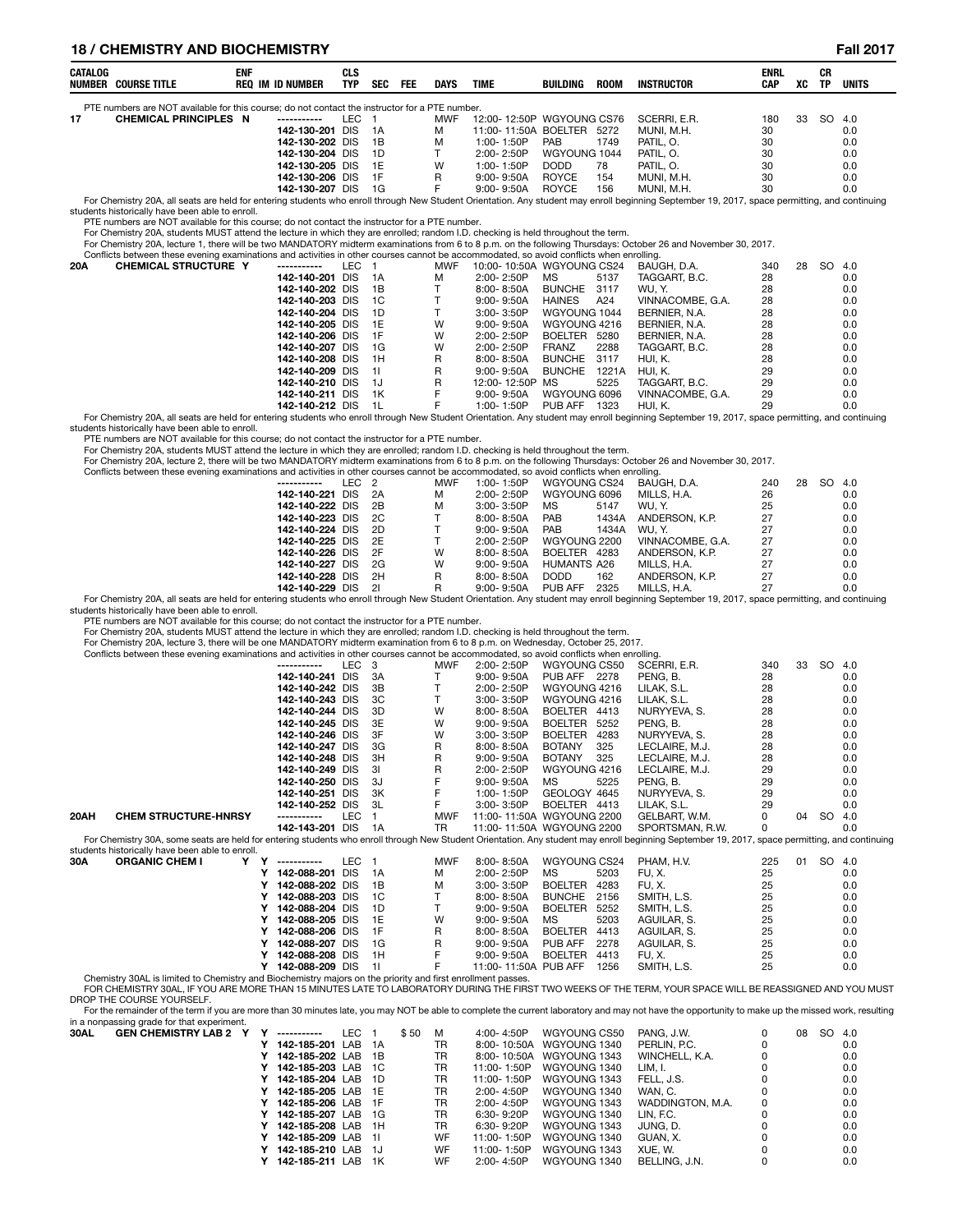# **18 / CHEMISTRY AND BIOCHEMISTRY Fall 2017**

| CATALOG | NUMBER COURSE TITLE                                                                            | <b>ENF</b> | REQ IM ID NUMBER | CLS<br><b>TYP</b> | <b>SEC</b> | <b>FEE</b> | DAYS       | TIME                      | BUILDING     | <b>ROOM</b> | INSTRUCTOR                                                                                                                                                                                    | ENRL<br>CAP | xс | СR<br>ТΡ | <b>UNITS</b> |
|---------|------------------------------------------------------------------------------------------------|------------|------------------|-------------------|------------|------------|------------|---------------------------|--------------|-------------|-----------------------------------------------------------------------------------------------------------------------------------------------------------------------------------------------|-------------|----|----------|--------------|
|         | PTE numbers are NOT available for this course; do not contact the instructor for a PTE number. |            |                  |                   |            |            |            |                           |              |             |                                                                                                                                                                                               |             |    |          |              |
| 17      | <b>CHEMICAL PRINCIPLES N</b>                                                                   |            |                  | LEC.              |            |            | <b>MWF</b> | 12:00-12:50P WGYOUNG CS76 |              |             | SCERRI, E.R.                                                                                                                                                                                  | 180         | 33 | SO 4.0   |              |
|         |                                                                                                |            | 142-130-201 DIS  |                   | - 1A       |            | м          | 11:00-11:50A BOELTER      |              | 5272        | MUNI. M.H.                                                                                                                                                                                    | 30          |    |          | 0.0          |
|         |                                                                                                |            | 142-130-202 DIS  |                   | - 1B       |            | м          | $1:00 - 1:50P$            | <b>PAB</b>   | 1749        | PATIL. O.                                                                                                                                                                                     | 30          |    |          | 0.0          |
|         |                                                                                                |            | 142-130-204 DIS  |                   | - 1D       |            |            | $2:00 - 2:50P$            | WGYOUNG 1044 |             | PATIL, O.                                                                                                                                                                                     | 30          |    |          | 0.0          |
|         |                                                                                                |            | 142-130-205 DIS  |                   | - 1F       |            | W          | $1:00 - 1:50P$            | DODD.        | 78          | PATIL, O.                                                                                                                                                                                     | 30          |    |          | 0.0          |
|         |                                                                                                |            | 142-130-206 DIS  |                   | - 1F       |            | R          | $9:00 - 9:50A$            | <b>ROYCE</b> | 154         | MUNI. M.H.                                                                                                                                                                                    | 30          |    |          | 0.0          |
|         |                                                                                                |            | 142-130-207 DIS  |                   | - 1 G      |            |            | $9:00 - 9:50A$            | <b>ROYCE</b> | 156         | MUNI. M.H.                                                                                                                                                                                    | 30          |    |          | 0.0          |
|         |                                                                                                |            |                  |                   |            |            |            |                           |              |             | For Chemistry 20A, all seats are held for entering students who enroll through New Student Orientation. Any student may enroll beginning September 19, 2017, space permitting, and continuing |             |    |          |              |

students historically have been able to enroll.

PTE numbers are NOT available for this course; do not contact the instructor for a PTE number.

For Chemistry 20A, students MUST attend the lecture in which they are enrolled; random I.D. checking is held throughout the term.<br>For Chemistry 20A, lecture 1, there will be two MANDATORY midterm examinations from 6 to 8 p

|     | Conflicts between these evening examinations and activities in other courses cannot be accommodated, so avoid conflicts when enrolling. |                    |       |       |     |                            |                |       |                  |     |    |        |     |  |
|-----|-----------------------------------------------------------------------------------------------------------------------------------------|--------------------|-------|-------|-----|----------------------------|----------------|-------|------------------|-----|----|--------|-----|--|
| 20A | <b>CHEMICAL STRUCTURE Y</b>                                                                                                             | ------------       | LEC 1 |       | MWF | 10:00- 10:50A WGYOUNG CS24 |                |       | BAUGH. D.A.      | 340 | 28 | SO 4.0 |     |  |
|     |                                                                                                                                         | 142-140-201 DIS 1A |       |       | м   | 2:00-2:50P                 | MS             | 5137  | TAGGART. B.C.    | 28  |    |        | 0.0 |  |
|     |                                                                                                                                         | 142-140-202 DIS    |       | - 1B  |     | 8:00- 8:50A                | <b>BUNCHE</b>  | 3117  | WU. Y.           | 28  |    |        | 0.0 |  |
|     |                                                                                                                                         | 142-140-203 DIS    |       | - 1 C |     | 9:00- 9:50A                | HAINES         | A24   | VINNACOMBE, G.A. | 28  |    |        | 0.0 |  |
|     |                                                                                                                                         | 142-140-204 DIS    |       | 1D    |     | $3:00 - 3:50P$             | WGYOUNG 1044   |       | BERNIER, N.A.    | 28  |    |        | 0.0 |  |
|     |                                                                                                                                         | 142-140-205 DIS    |       | - 1E  | W   | 9:00- 9:50A                | WGYOUNG 4216   |       | BERNIER. N.A.    | 28  |    |        | 0.0 |  |
|     |                                                                                                                                         | 142-140-206 DIS 1F |       |       | W   | $2:00 - 2:50P$             | <b>BOELTER</b> | 5280  | BERNIER, N.A.    | 28  |    |        | 0.0 |  |
|     |                                                                                                                                         | 142-140-207 DIS    |       | 1G    | W   | 2:00-2:50P                 | <b>FRANZ</b>   | 2288  | TAGGART, B.C.    | 28  |    |        | 0.0 |  |
|     |                                                                                                                                         | 142-140-208 DIS    |       | - 1H  | R.  | 8:00- 8:50A                | <b>BUNCHE</b>  | 3117  | HUI. K.          | 28  |    |        | 0.0 |  |
|     |                                                                                                                                         | 142-140-209 DIS    |       | - 11  | R   | 9:00- 9:50A                | <b>BUNCHE</b>  | 1221A | HUI. K.          | 29  |    |        | 0.0 |  |
|     |                                                                                                                                         | 142-140-210 DIS    |       | - 1.J | R   | 12:00-12:50P MS            |                | 5225  | TAGGART, B.C.    | 29  |    |        | 0.0 |  |
|     |                                                                                                                                         | 142-140-211 DIS    |       | 1K    | F.  | $9:00 - 9:50A$             | WGYOUNG 6096   |       | VINNACOMBE, G.A. | 29  |    |        | 0.0 |  |
|     |                                                                                                                                         | 142-140-212 DIS    |       | - 1 L |     | 1:00-1:50P                 | PUB AFF        | 1323  | HUI. K.          | 29  |    |        | 0.0 |  |

0.0 142-140-212 DIS 1L F 1:00-1:50P PUB AFF 1323 HUI, K. 29 PUS all seats are held for entering students who enroll through New Student Orientation. Any student may enroll beginning September 19, 2017, space permitting, an students historically have been able to enroll.

PTE numbers are NOT available for this course; do not contact the instructor for a PTE number.

For Chemistry 20A, students MUST attend the lecture in which they are enrolled; random I.D. checking is held throughout the term.<br>For Chemistry 20A, lecture 2, there will be two MANDATORY midterm examinations from 6 to 8 p

Conflicts between these evening examinations

| Conflicts between these evening examinations and activities in other courses cannot be accommodated, so avoid conflicts when enrolling.                                                       |       |      |            |                |              |       |                  |     |    |     |     |
|-----------------------------------------------------------------------------------------------------------------------------------------------------------------------------------------------|-------|------|------------|----------------|--------------|-------|------------------|-----|----|-----|-----|
| -----------                                                                                                                                                                                   | LEC 2 |      | <b>MWF</b> | 1:00-1:50P     | WGYOUNG CS24 |       | BAUGH. D.A.      | 240 | 28 | SO. | 4.0 |
| 142-140-221 DIS 2A                                                                                                                                                                            |       |      | м          | 2:00-2:50P     | WGYOUNG 6096 |       | MILLS. H.A.      | 26  |    |     | 0.0 |
| 142-140-222 DIS 2B                                                                                                                                                                            |       |      | м          | 3:00-3:50P     | MS.          | 5147  | WU. Y.           | 25  |    |     | 0.0 |
| 142-140-223 DIS 2C                                                                                                                                                                            |       |      |            | $8:00 - 8:50A$ | <b>PAB</b>   | 1434A | ANDERSON, K.P.   | 27  |    |     | 0.0 |
| 142-140-224 DIS 2D                                                                                                                                                                            |       |      |            | $9:00 - 9:50A$ | <b>PAB</b>   | 1434A | WU. Y.           | 27  |    |     | 0.0 |
| 142-140-225 DIS 2E                                                                                                                                                                            |       |      |            | $2:00 - 2:50P$ | WGYOUNG 2200 |       | VINNACOMBE, G.A. | 27  |    |     | 0.0 |
| 142-140-226 DIS 2F                                                                                                                                                                            |       |      | w          | $8.00 - 8.50A$ | BOELTER      | 4283  | ANDERSON, K.P.   | 27  |    |     | 0.0 |
| 142-140-227 DIS                                                                                                                                                                               |       | - 2G | w          | $9:00 - 9:50A$ | HUMANTS A26  |       | MILLS. H.A.      | 27  |    |     | 0.0 |
| 142-140-228 DIS                                                                                                                                                                               |       | 2H   | R          | $8.00 - 8.50A$ | DODD.        | 162   | ANDERSON, K.P.   | 27  |    |     | 0.0 |
| 142-140-229 DIS 21                                                                                                                                                                            |       |      | R          | $9:00 - 9:50A$ | PUB AFF      | 2325  | MILLS. H.A.      | 27  |    |     | 0.0 |
| For Chemistry 20A, all seats are held for entering students who enroll through New Student Orientation. Any student may enroll beginning September 19, 2017, space permitting, and continuing |       |      |            |                |              |       |                  |     |    |     |     |

students historically have been able to enroll. PTE numbers are NOT available for this course; do not contact the instructor for a PTE number.

For Chemistry 20A, students MUST attend the lecture in which they are enrolled; random I.D. checking is held throughout the term.

For Chemistry 20A, lecture 3, there will be one MANDATORY midterm examination from 6 to 8 p.m. on Wednesday, October 25, 2017.

|      | Conflicts between these evening examinations and activities in other courses cannot be accommodated, so avoid conflicts when enrolling.                                                                                                                |   |                 |            |     |              |                      |                |      |                                                                                                                                                                                                |     |    |     |     |  |
|------|--------------------------------------------------------------------------------------------------------------------------------------------------------------------------------------------------------------------------------------------------------|---|-----------------|------------|-----|--------------|----------------------|----------------|------|------------------------------------------------------------------------------------------------------------------------------------------------------------------------------------------------|-----|----|-----|-----|--|
|      |                                                                                                                                                                                                                                                        |   | -----------     | LEC.       | - 3 | MWF          | 2:00-2:50P           | WGYOUNG CS50   |      | SCERRI, E.R.                                                                                                                                                                                   | 340 | 33 | SO. | 4.0 |  |
|      |                                                                                                                                                                                                                                                        |   | 142-140-241 DIS |            | 3A  |              | $9:00 - 9:50A$       | PUB AFF 2278   |      | PENG, B.                                                                                                                                                                                       | 28  |    |     | 0.0 |  |
|      |                                                                                                                                                                                                                                                        |   | 142-140-242 DIS |            | 3B  |              | 2:00-2:50P           | WGYOUNG 4216   |      | LILAK. S.L.                                                                                                                                                                                    | 28  |    |     | 0.0 |  |
|      |                                                                                                                                                                                                                                                        |   | 142-140-243 DIS |            | 3C  |              | 3:00-3:50P           | WGYOUNG 4216   |      | LILAK, S.L.                                                                                                                                                                                    | 28  |    |     | 0.0 |  |
|      |                                                                                                                                                                                                                                                        |   | 142-140-244 DIS |            | 3D  | W            | 8:00-8:50A           | BOELTER 4413   |      | NURYYEVA, S.                                                                                                                                                                                   | 28  |    |     | 0.0 |  |
|      |                                                                                                                                                                                                                                                        |   | 142-140-245 DIS |            | 3E  | W            | $9:00 - 9:50A$       | <b>BOELTER</b> | 5252 | PENG. B.                                                                                                                                                                                       | 28  |    |     | 0.0 |  |
|      |                                                                                                                                                                                                                                                        |   | 142-140-246 DIS |            | 3F  | W            | 3:00-3:50P           | <b>BOELTER</b> | 4283 | NURYYEVA, S.                                                                                                                                                                                   | 28  |    |     | 0.0 |  |
|      |                                                                                                                                                                                                                                                        |   | 142-140-247 DIS |            | 3G  | R            | $8:00 - 8:50A$       | <b>BOTANY</b>  | 325  | LECLAIRE, M.J.                                                                                                                                                                                 | 28  |    |     | 0.0 |  |
|      |                                                                                                                                                                                                                                                        |   | 142-140-248 DIS |            | 3H  | $\mathsf{R}$ | $9:00 - 9:50A$       | <b>BOTANY</b>  | 325  | LECLAIRE, M.J.                                                                                                                                                                                 | 28  |    |     | 0.0 |  |
|      |                                                                                                                                                                                                                                                        |   | 142-140-249 DIS |            | 31  | R            | 2:00-2:50P           | WGYOUNG 4216   |      | LECLAIRE, M.J.                                                                                                                                                                                 | 29  |    |     | 0.0 |  |
|      | 29<br>142-140-250 DIS<br>PENG, B.<br>3J<br>$9:00 - 9:50A$<br>МS<br>5225<br>0.0<br>29<br>142-140-251 DIS<br>3K<br>GEOLOGY 4645<br>0.0<br>1:00-1:50P<br>NURYYEVA, S.<br>29<br>BOELTER 4413<br>142-140-252 DIS<br>-3L<br>3:00-3:50P<br>LILAK. S.L.<br>0.0 |   |                 |            |     |              |                      |                |      |                                                                                                                                                                                                |     |    |     |     |  |
|      |                                                                                                                                                                                                                                                        |   |                 |            |     |              |                      |                |      |                                                                                                                                                                                                |     |    |     |     |  |
|      | <b>LEC</b><br><b>SO</b><br><b>CHEM STRUCTURE-HNRSY</b><br><b>MWF</b><br>11:00-11:50A WGYOUNG 2200<br>0<br>GELBART, W.M.<br>04<br>4.0<br>-----------<br>11:00-11:50A WGYOUNG 2200                                                                       |   |                 |            |     |              |                      |                |      |                                                                                                                                                                                                |     |    |     |     |  |
| 20AH |                                                                                                                                                                                                                                                        |   |                 |            |     |              |                      |                |      |                                                                                                                                                                                                |     |    |     |     |  |
|      |                                                                                                                                                                                                                                                        |   | 142-143-201 DIS |            | 1A  | <b>TR</b>    |                      |                |      | SPORTSMAN, R.W.                                                                                                                                                                                | 0   |    |     | 0.0 |  |
|      |                                                                                                                                                                                                                                                        |   |                 |            |     |              |                      |                |      | For Chemistry 30A, some seats are held for entering students who enroll through New Student Orientation. Any student may enroll beginning September 19, 2017, space permitting, and continuing |     |    |     |     |  |
|      | students historically have been able to enroll.                                                                                                                                                                                                        |   |                 |            |     |              |                      |                |      |                                                                                                                                                                                                |     |    |     |     |  |
| 30A  | <b>ORGANIC CHEM I</b>                                                                                                                                                                                                                                  | Y | -----------     | LEC.       | - 1 | <b>MWF</b>   | 8:00-8:50A           | WGYOUNG CS24   |      | PHAM, H.V.                                                                                                                                                                                     | 225 | 01 | SO  | 4.0 |  |
|      |                                                                                                                                                                                                                                                        |   | 142-088-201     | <b>DIS</b> | 1A  | м            | 2:00-2:50P           | <b>MS</b>      | 5203 | FU.X.                                                                                                                                                                                          | 25  |    |     | 0.0 |  |
|      |                                                                                                                                                                                                                                                        |   | 142-088-202 DIS |            | 1B  | M            | $3:00 - 3:50P$       | <b>BOELTER</b> | 4283 | FU, X.                                                                                                                                                                                         | 25  |    |     | 0.0 |  |
|      |                                                                                                                                                                                                                                                        |   | 142-088-203 DIS |            | 1C  |              | $8:00 - 8:50A$       | <b>BUNCHE</b>  | 2156 | SMITH, L.S.                                                                                                                                                                                    | 25  |    |     | 0.0 |  |
|      |                                                                                                                                                                                                                                                        |   | 142-088-204 DIS |            | 1D  |              | $9:00 - 9:50A$       | <b>BOELTER</b> | 5252 | SMITH, L.S.                                                                                                                                                                                    | 25  |    |     | 0.0 |  |
|      |                                                                                                                                                                                                                                                        |   | 142-088-205 DIS |            | 1E  | W            | $9:00 - 9:50A$       | <b>MS</b>      | 5203 | AGUILAR, S.                                                                                                                                                                                    | 25  |    |     | 0.0 |  |
|      |                                                                                                                                                                                                                                                        |   | 142-088-206 DIS |            | 1F  | R            | 8:00-8:50A           | <b>BOELTER</b> | 4413 | AGUILAR. S.                                                                                                                                                                                    | 25  |    |     | 0.0 |  |
|      |                                                                                                                                                                                                                                                        |   | 142-088-207 DIS |            | 1G  | R            | $9:00 - 9:50A$       | PUB AFF        | 2278 | AGUILAR, S.                                                                                                                                                                                    | 25  |    |     | 0.0 |  |
|      |                                                                                                                                                                                                                                                        |   | 142-088-208 DIS |            | 1H  |              | $9:00 - 9:50A$       | <b>BOELTER</b> | 4413 | FU, X.                                                                                                                                                                                         | 25  |    |     | 0.0 |  |
|      |                                                                                                                                                                                                                                                        |   | 142-088-209 DIS |            | 11  | F            | 11:00-11:50A PUB AFF |                | 1256 | SMITH, L.S.                                                                                                                                                                                    | 25  |    |     | 0.0 |  |
|      | Chemistry 30AL is limited to Chemistry and Biochemistry majors on the priority and first enrollment passes.                                                                                                                                            |   |                 |            |     |              |                      |                |      |                                                                                                                                                                                                |     |    |     |     |  |

FOR CHEMISTRY 30AL, IF YOU ARE MORE THAN 15 MINUTES LATE TO LABORATORY DURING THE FIRST TWO WEEKS OF THE TERM, YOUR SPACE WILL BE REASSIGNED AND YOU MUST DROP THE COURSE YOURSELF.

or the remainder of the term if you are more than 30 minutes late, you may NOT be able to complete the current laboratory and may not have the opportunity to make up the missed work, resulting

|  | ------------                                                               | LEC | \$50                                                                                                                                                                                                                                           | M  | 4:00-4:50P     | WGYOUNG CS50 | PANG, J.W.                                           | 08 |        |
|--|----------------------------------------------------------------------------|-----|------------------------------------------------------------------------------------------------------------------------------------------------------------------------------------------------------------------------------------------------|----|----------------|--------------|------------------------------------------------------|----|--------|
|  |                                                                            |     |                                                                                                                                                                                                                                                | TR |                |              | PERLIN, P.C.                                         |    | 0.0    |
|  |                                                                            |     |                                                                                                                                                                                                                                                | TR |                |              | WINCHELL, K.A.                                       |    | 0.0    |
|  |                                                                            |     |                                                                                                                                                                                                                                                | TR | 11:00-1:50P    | WGYOUNG 1340 | LIM. I.                                              |    | 0.0    |
|  |                                                                            |     |                                                                                                                                                                                                                                                | TR | 11:00-1:50P    | WGYOUNG 1343 | FELL, J.S.                                           |    | 0.0    |
|  |                                                                            |     |                                                                                                                                                                                                                                                | TR | 2:00-4:50P     | WGYOUNG 1340 | WAN. C.                                              |    | 0.0    |
|  |                                                                            |     |                                                                                                                                                                                                                                                | TR | 2:00-4:50P     | WGYOUNG 1343 | WADDINGTON, M.A.                                     |    | 0.0    |
|  |                                                                            |     |                                                                                                                                                                                                                                                | TR | 6:30-9:20P     | WGYOUNG 1340 | LIN. F.C.                                            |    | 0.0    |
|  |                                                                            |     |                                                                                                                                                                                                                                                | TR | 6:30-9:20P     | WGYOUNG 1343 | JUNG. D.                                             |    | 0.0    |
|  |                                                                            |     |                                                                                                                                                                                                                                                | WF | 11:00-1:50P    | WGYOUNG 1340 | GUAN, X.                                             |    | 0.0    |
|  |                                                                            |     |                                                                                                                                                                                                                                                | WF | 11:00-1:50P    | WGYOUNG 1343 | XUE. W.                                              |    | 0.0    |
|  |                                                                            |     |                                                                                                                                                                                                                                                | WF | $2:00 - 4:50P$ | WGYOUNG 1340 | BELLING. J.N.                                        |    | 0.0    |
|  | in a nonpassing grade for that experiment.<br><b>GEN CHEMISTRY LAB 2 Y</b> |     | 142-185-201 LAB 1A<br>142-185-202 LAB 1B<br>142-185-203 LAB 1C<br>142-185-204 LAB 1D<br>142-185-205 LAB 1E<br>142-185-206 LAB 1F<br>142-185-207 LAB 1G<br>142-185-208 LAB 1H<br>142-185-209 LAB 1I<br>142-185-210 LAB 1J<br>142-185-211 LAB 1K |    |                |              | 8:00-10:50A WGYOUNG 1340<br>8:00-10:50A WGYOUNG 1343 |    | SO 4.0 |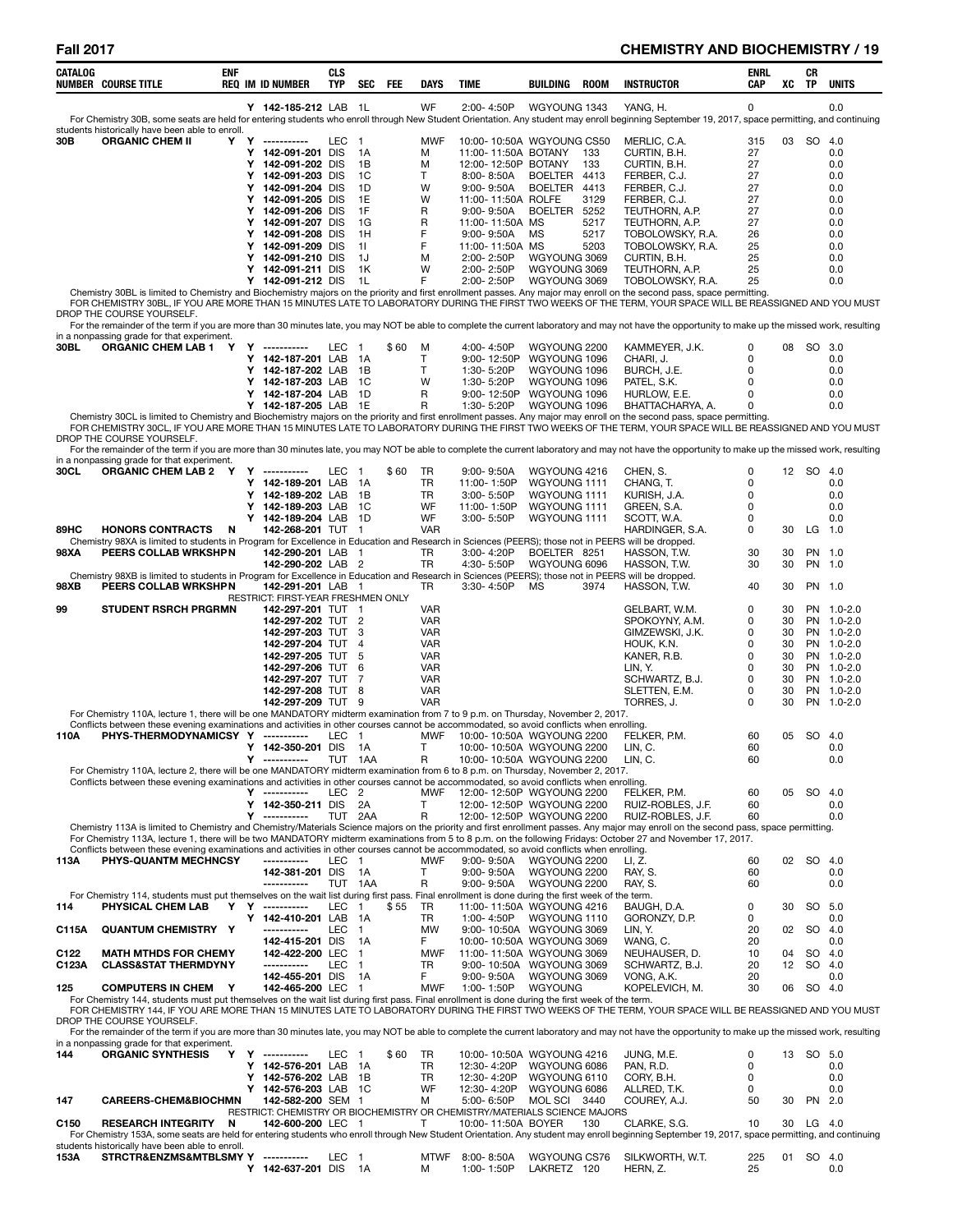# **Fall 2017 CHEMISTRY AND BIOCHEMISTRY / 19**

| CATALOG          | <b>NUMBER COURSE TITLE</b>                                                                                                                                                                                                                                                | ENF | <b>REQ IM ID NUMBER</b>                                 | <b>CLS</b><br><b>TYP</b> | <b>SEC</b>           | FEE  | DAYS                     | TIME                                                                      | BUILDING                       | <b>ROOM</b>  | <b>INSTRUCTOR</b>                                                                                                                                                                                               | ENRL<br><b>CAP</b>         | xс       | CR<br><b>TP</b> | <b>UNITS</b>             |
|------------------|---------------------------------------------------------------------------------------------------------------------------------------------------------------------------------------------------------------------------------------------------------------------------|-----|---------------------------------------------------------|--------------------------|----------------------|------|--------------------------|---------------------------------------------------------------------------|--------------------------------|--------------|-----------------------------------------------------------------------------------------------------------------------------------------------------------------------------------------------------------------|----------------------------|----------|-----------------|--------------------------|
|                  |                                                                                                                                                                                                                                                                           |     | Y 142-185-212 LAB 1L                                    |                          |                      |      | WF                       | 2:00-4:50P                                                                | WGYOUNG 1343                   |              | YANG, H.<br>For Chemistry 30B, some seats are held for entering students who enroll through New Student Orientation. Any student may enroll beginning September 19, 2017, space permitting, and continuing      | $\mathbf 0$                |          |                 | 0.0                      |
| 30B              | students historically have been able to enroll.<br><b>ORGANIC CHEM II</b>                                                                                                                                                                                                 |     | Y Y ----------                                          | LEC 1                    |                      |      | <b>MWF</b>               |                                                                           |                                |              |                                                                                                                                                                                                                 | 315                        |          | 03 SO 4.0       |                          |
|                  |                                                                                                                                                                                                                                                                           |     | Y 142-091-201 DIS                                       |                          | 1A                   |      | M                        | 10:00-10:50A WGYOUNG CS50<br>11:00-11:50A BOTANY                          |                                | 133          | MERLIC, C.A.<br>CURTIN, B.H.                                                                                                                                                                                    | 27                         |          |                 | 0.0                      |
|                  |                                                                                                                                                                                                                                                                           |     | Y 142-091-202 DIS                                       |                          | 1B                   |      | M                        | 12:00-12:50P BOTANY                                                       |                                | 133          | CURTIN, B.H.                                                                                                                                                                                                    | 27                         |          |                 | 0.0                      |
|                  |                                                                                                                                                                                                                                                                           |     | Y 142-091-203 DIS<br>Y 142-091-204 DIS                  |                          | 1C<br>1D             |      | т<br>W                   | 8:00-8:50A<br>$9:00 - 9:50A$                                              | <b>BOELTER</b><br>BOELTER 4413 | 4413         | FERBER, C.J.<br>FERBER, C.J.                                                                                                                                                                                    | 27<br>27                   |          |                 | 0.0<br>0.0               |
|                  |                                                                                                                                                                                                                                                                           |     | Y 142-091-205 DIS                                       |                          | 1E                   |      | W                        | 11:00-11:50A ROLFE                                                        |                                | 3129         | FERBER, C.J.                                                                                                                                                                                                    | 27                         |          |                 | 0.0                      |
|                  |                                                                                                                                                                                                                                                                           |     | Y 142-091-206 DIS                                       |                          | 1F                   |      | R                        | 9:00-9:50A                                                                | <b>BOELTER</b>                 | 5252         | TEUTHORN, A.P.                                                                                                                                                                                                  | 27                         |          |                 | 0.0                      |
|                  |                                                                                                                                                                                                                                                                           |     | Y 142-091-207 DIS<br>Y 142-091-208 DIS                  |                          | 1G<br>1H             |      | R<br>F                   | 11:00-11:50A MS<br>9:00-9:50A                                             | МS                             | 5217<br>5217 | TEUTHORN, A.P.<br>TOBOLOWSKY, R.A.                                                                                                                                                                              | 27<br>26                   |          |                 | 0.0<br>0.0               |
|                  |                                                                                                                                                                                                                                                                           |     | Y 142-091-209 DIS                                       |                          | 11                   |      | F                        | 11:00-11:50A MS                                                           |                                | 5203         | TOBOLOWSKY, R.A.                                                                                                                                                                                                | 25                         |          |                 | 0.0                      |
|                  |                                                                                                                                                                                                                                                                           |     | Y 142-091-210 DIS                                       |                          | 1J<br>1K             |      | M<br>W                   | 2:00-2:50P                                                                | WGYOUNG 3069<br>WGYOUNG 3069   |              | CURTIN, B.H.<br>TEUTHORN, A.P.                                                                                                                                                                                  | 25<br>25                   |          |                 | 0.0<br>0.0               |
|                  |                                                                                                                                                                                                                                                                           |     | Y 142-091-211 DIS<br>Y 142-091-212 DIS                  |                          | - 1L                 |      | F                        | 2:00-2:50P<br>2:00-2:50P                                                  | WGYOUNG 3069                   |              | TOBOLOWSKY, R.A.                                                                                                                                                                                                | 25                         |          |                 | 0.0                      |
|                  |                                                                                                                                                                                                                                                                           |     |                                                         |                          |                      |      |                          |                                                                           |                                |              | Chemistry 30BL is limited to Chemistry and Biochemistry majors on the priority and first enrollment passes. Any major may enroll on the second pass, space permitting                                           |                            |          |                 |                          |
|                  | DROP THE COURSE YOURSELF.                                                                                                                                                                                                                                                 |     |                                                         |                          |                      |      |                          |                                                                           |                                |              | FOR CHEMISTRY 30BL, IF YOU ARE MORE THAN 15 MINUTES LATE TO LABORATORY DURING THE FIRST TWO WEEKS OF THE TERM, YOUR SPACE WILL BE REASSIGNED AND YOU MUST                                                       |                            |          |                 |                          |
|                  |                                                                                                                                                                                                                                                                           |     |                                                         |                          |                      |      |                          |                                                                           |                                |              | For the remainder of the term if you are more than 30 minutes late, you may NOT be able to complete the current laboratory and may not have the opportunity to make up the missed work, resulting               |                            |          |                 |                          |
| 30BL             | in a nonpassing grade for that experiment.<br>ORGANIC CHEM LAB 1 Y Y -----------                                                                                                                                                                                          |     |                                                         | LEC 1                    |                      | \$60 | м                        | 4:00-4:50P                                                                | WGYOUNG 2200                   |              | KAMMEYER, J.K.                                                                                                                                                                                                  | 0                          |          | 08 SO 3.0       |                          |
|                  |                                                                                                                                                                                                                                                                           |     | Y 142-187-201 LAB                                       |                          | 1A                   |      | T.                       | 9:00-12:50P                                                               | WGYOUNG 1096                   |              | CHARI, J.                                                                                                                                                                                                       | $\mathbf 0$                |          |                 | 0.0                      |
|                  |                                                                                                                                                                                                                                                                           |     | Y 142-187-202 LAB<br>Y 142-187-203 LAB                  |                          | 1B<br>1C             |      | T.<br>W                  | 1:30-5:20P<br>1:30- 5:20P                                                 | WGYOUNG 1096<br>WGYOUNG 1096   |              | BURCH, J.E.<br>PATEL, S.K.                                                                                                                                                                                      | $\mathbf 0$<br>$\mathbf 0$ |          |                 | 0.0<br>0.0               |
|                  |                                                                                                                                                                                                                                                                           |     | Y 142-187-204 LAB                                       |                          | 1D                   |      | R                        | 9:00-12:50P                                                               | WGYOUNG 1096                   |              | HURLOW. E.E.                                                                                                                                                                                                    | 0                          |          |                 | 0.0                      |
|                  |                                                                                                                                                                                                                                                                           |     | Y 142-187-205 LAB 1E                                    |                          |                      |      | R                        | 1:30-5:20P                                                                | WGYOUNG 1096                   |              | BHATTACHARYA, A.<br>Chemistry 30CL is limited to Chemistry and Biochemistry majors on the priority and first enrollment passes. Any major may enroll on the second pass, space permitting.                      | 0                          |          |                 | 0.0                      |
|                  |                                                                                                                                                                                                                                                                           |     |                                                         |                          |                      |      |                          |                                                                           |                                |              | FOR CHEMISTRY 30CL, IF YOU ARE MORE THAN 15 MINUTES LATE TO LABORATORY DURING THE FIRST TWO WEEKS OF THE TERM, YOUR SPACE WILL BE REASSIGNED AND YOU MUST                                                       |                            |          |                 |                          |
|                  | DROP THE COURSE YOURSELF.                                                                                                                                                                                                                                                 |     |                                                         |                          |                      |      |                          |                                                                           |                                |              | For the remainder of the term if you are more than 30 minutes late, you may NOT be able to complete the current laboratory and may not have the opportunity to make up the missed work, resulting               |                            |          |                 |                          |
|                  | in a nonpassing grade for that experiment.                                                                                                                                                                                                                                |     |                                                         |                          |                      |      |                          |                                                                           |                                |              |                                                                                                                                                                                                                 |                            |          |                 |                          |
| 30CL             | <b>ORGANIC CHEM LAB 2</b>                                                                                                                                                                                                                                                 | Y   | Y -----------<br>Y 142-189-201 LAB                      | LEC 1                    | 1A                   | \$60 | TR<br>TR                 | $9:00 - 9:50A$<br>11:00-1:50P                                             | WGYOUNG 4216<br>WGYOUNG 1111   |              | CHEN, S.<br>CHANG, T.                                                                                                                                                                                           | 0<br>0                     | 12       | SO 4.0          | 0.0                      |
|                  |                                                                                                                                                                                                                                                                           |     | Y 142-189-202 LAB                                       |                          | 1B                   |      | TR                       | 3:00-5:50P                                                                | WGYOUNG 1111                   |              | KURISH, J.A.                                                                                                                                                                                                    | $\mathbf 0$                |          |                 | 0.0                      |
|                  |                                                                                                                                                                                                                                                                           |     | Y 142-189-203 LAB                                       |                          | 1C                   |      | WF                       | 11:00-1:50P                                                               | WGYOUNG 1111                   |              | GREEN, S.A.                                                                                                                                                                                                     | $\Omega$                   |          |                 | 0.0                      |
| 89HC             | <b>HONORS CONTRACTS</b>                                                                                                                                                                                                                                                   | N   | Y 142-189-204 LAB<br>142-268-201 TUT 1                  |                          | 1D                   |      | WF<br><b>VAR</b>         | 3:00-5:50P                                                                | WGYOUNG 1111                   |              | SCOTT, W.A.<br>HARDINGER, S.A.                                                                                                                                                                                  | 0<br>0                     | 30       | LG              | 0.0<br>1.0               |
|                  | Chemistry 98XA is limited to students in Program for Excellence in Education and Research in Sciences (PEERS); those not in PEERS will be dropped.                                                                                                                        |     |                                                         |                          |                      |      |                          |                                                                           |                                |              |                                                                                                                                                                                                                 |                            |          |                 |                          |
| 98XA             | PEERS COLLAB WRKSHPN                                                                                                                                                                                                                                                      |     | 142-290-201 LAB 1<br>142-290-202 LAB 2                  |                          |                      |      | TR<br><b>TR</b>          | 3:00-4:20P<br>4:30-5:50P                                                  | BOELTER 8251<br>WGYOUNG 6096   |              | HASSON, T.W.<br>HASSON, T.W.                                                                                                                                                                                    | 30<br>30                   | 30<br>30 |                 | PN 1.0<br>PN 1.0         |
|                  | Chemistry 98XB is limited to students in Program for Excellence in Education and Research in Sciences (PEERS); those not in PEERS will be dropped.                                                                                                                        |     |                                                         |                          |                      |      |                          |                                                                           |                                |              |                                                                                                                                                                                                                 |                            |          |                 |                          |
| 98XB             | PEERS COLLAB WRKSHPN                                                                                                                                                                                                                                                      |     | 142-291-201 LAB 1<br>RESTRICT: FIRST-YEAR FRESHMEN ONLY |                          |                      |      | TR                       | 3:30-4:50P                                                                | MS                             | 3974         | HASSON, T.W.                                                                                                                                                                                                    | 40                         | 30       |                 | PN 1.0                   |
| 99               | <b>STUDENT RSRCH PRGRMN</b>                                                                                                                                                                                                                                               |     | 142-297-201 TUT 1                                       |                          |                      |      | <b>VAR</b>               |                                                                           |                                |              | GELBART, W.M.                                                                                                                                                                                                   | $\mathbf 0$                | 30       |                 | PN 1.0-2.0               |
|                  |                                                                                                                                                                                                                                                                           |     | 142-297-202 TUT 2<br>142-297-203 TUT                    |                          | 3                    |      | <b>VAR</b><br><b>VAR</b> |                                                                           |                                |              | SPOKOYNY, A.M.<br>GIMZEWSKI, J.K.                                                                                                                                                                               | 0<br>0                     | 30<br>30 |                 | PN 1.0-2.0<br>PN 1.0-2.0 |
|                  |                                                                                                                                                                                                                                                                           |     | 142-297-204 TUT                                         |                          | $\overline{4}$       |      | <b>VAR</b>               |                                                                           |                                |              | HOUK, K.N.                                                                                                                                                                                                      | 0                          | 30       |                 | PN 1.0-2.0               |
|                  |                                                                                                                                                                                                                                                                           |     | 142-297-205 TUT<br>142-297-206 TUT                      |                          | 5<br>6               |      | <b>VAR</b><br><b>VAR</b> |                                                                           |                                |              | KANER, R.B.                                                                                                                                                                                                     | 0<br>0                     | 30<br>30 |                 | PN 1.0-2.0<br>PN 1.0-2.0 |
|                  |                                                                                                                                                                                                                                                                           |     | 142-297-207 TUT 7                                       |                          |                      |      | <b>VAR</b>               |                                                                           |                                |              | LIN, Y.<br>SCHWARTZ, B.J.                                                                                                                                                                                       | 0                          | 30       |                 | PN 1.0-2.0               |
|                  |                                                                                                                                                                                                                                                                           |     | 142-297-208 TUT 8                                       |                          |                      |      | <b>VAR</b>               |                                                                           |                                |              | SLETTEN, E.M.                                                                                                                                                                                                   | 0                          | 30       |                 | PN 1.0-2.0               |
|                  | For Chemistry 110A, lecture 1, there will be one MANDATORY midterm examination from 7 to 9 p.m. on Thursday, November 2, 2017.                                                                                                                                            |     | 142-297-209 TUT 9                                       |                          |                      |      | <b>VAR</b>               |                                                                           |                                |              | TORRES, J.                                                                                                                                                                                                      | $\Omega$                   | 30       |                 | PN 1.0-2.0               |
|                  | Conflicts between these evening examinations and activities in other courses cannot be accommodated, so avoid conflicts when enrolling.<br>PHYS-THERMODYNAMICSY Y                                                                                                         |     | -----------                                             |                          |                      |      |                          |                                                                           |                                |              | FELKER, P.M.                                                                                                                                                                                                    |                            | 05       |                 |                          |
| 110A             |                                                                                                                                                                                                                                                                           |     | Y 142-350-201 DIS 1A                                    | LEC 1                    |                      |      | MWF<br>Τ                 | 10:00-10:50A WGYOUNG 2200<br>10:00-10:50A WGYOUNG 2200                    |                                |              | LIN, C.                                                                                                                                                                                                         | 60<br>60                   |          |                 | SO 4.0<br>0.0            |
|                  |                                                                                                                                                                                                                                                                           |     | Y ----------- TUT 1AA                                   |                          |                      |      | R                        | 10:00-10:50A WGYOUNG 2200                                                 |                                |              | LIN. C.                                                                                                                                                                                                         | 60                         |          |                 | 0.0                      |
|                  | For Chemistry 110A, lecture 2, there will be one MANDATORY midterm examination from 6 to 8 p.m. on Thursday, November 2, 2017.<br>Conflicts between these evening examinations and activities in other courses cannot be accommodated, so avoid conflicts when enrolling. |     |                                                         |                          |                      |      |                          |                                                                           |                                |              |                                                                                                                                                                                                                 |                            |          |                 |                          |
|                  |                                                                                                                                                                                                                                                                           |     | Y -----------                                           | LEC <sub>2</sub>         |                      |      |                          | MWF 12:00-12:50P WGYOUNG 2200                                             |                                |              | FELKER, P.M.                                                                                                                                                                                                    | 60                         | 05       |                 | SO 4.0                   |
|                  |                                                                                                                                                                                                                                                                           |     | Y 142-350-211 DIS 2A<br>Y -----------                   |                          | TUT 2AA              |      | т<br>R                   | 12:00-12:50P WGYOUNG 2200<br>12:00-12:50P WGYOUNG 2200                    |                                |              | RUIZ-ROBLES, J.F.<br>RUIZ-ROBLES, J.F.                                                                                                                                                                          | 60<br>60                   |          |                 | 0.0<br>0.0               |
|                  |                                                                                                                                                                                                                                                                           |     |                                                         |                          |                      |      |                          |                                                                           |                                |              | Chemistry 113A is limited to Chemistry and Chemistry/Materials Science majors on the priority and first enrollment passes. Any major may enroll on the second pass, space permitting.                           |                            |          |                 |                          |
|                  | Conflicts between these evening examinations and activities in other courses cannot be accommodated, so avoid conflicts when enrolling.                                                                                                                                   |     |                                                         |                          |                      |      |                          |                                                                           |                                |              | For Chemistry 113A, lecture 1, there will be two MANDATORY midterm examinations from 5 to 8 p.m. on the following Fridays: October 27 and November 17, 2017.                                                    |                            |          |                 |                          |
| 113A             | PHYS-QUANTM MECHNCSY                                                                                                                                                                                                                                                      |     | -----------                                             | LEC 1                    |                      |      | <b>MWF</b>               | $9:00 - 9:50A$                                                            | WGYOUNG 2200                   |              | LI, Z.                                                                                                                                                                                                          | 60                         |          | 02 SO 4.0       |                          |
|                  |                                                                                                                                                                                                                                                                           |     | 142-381-201 DIS<br>-----------                          | TUT                      | 1A<br>1AA            |      | т<br>R                   | $9:00 - 9:50A$<br>$9:00 - 9:50A$                                          | WGYOUNG 2200<br>WGYOUNG 2200   |              | RAY, S.<br>RAY, S.                                                                                                                                                                                              | 60<br>60                   |          |                 | 0.0<br>0.0               |
|                  | For Chemistry 114, students must put themselves on the wait list during first pass. Final enrollment is done during the first week of the term.                                                                                                                           |     |                                                         |                          |                      |      |                          |                                                                           |                                |              |                                                                                                                                                                                                                 |                            |          |                 |                          |
| 114              | PHYSICAL CHEM LAB                                                                                                                                                                                                                                                         |     | Y Y ----------<br>Y 142-410-201 LAB                     | LEC                      | $\overline{1}$<br>1A | \$55 | TR<br>TR                 | 11:00-11:50A WGYOUNG 4216<br>1:00-4:50P                                   | WGYOUNG 1110                   |              | BAUGH, D.A.<br>GORONZY, D.P.                                                                                                                                                                                    | 0<br>0                     | 30       |                 | SO 5.0<br>0.0            |
| C115A            | <b>QUANTUM CHEMISTRY Y</b>                                                                                                                                                                                                                                                |     | -----------                                             | LEC                      | $\mathbf{1}$         |      | <b>MW</b>                | 9:00-10:50A WGYOUNG 3069                                                  |                                |              | LIN, Y.                                                                                                                                                                                                         | 20                         | 02       | <b>SO</b>       | 4.0                      |
| C122             | <b>MATH MTHDS FOR CHEMY</b>                                                                                                                                                                                                                                               |     | 142-415-201 DIS<br>142-422-200 LEC                      |                          | 1A<br>$\mathbf{1}$   |      | F<br><b>MWF</b>          | 10:00-10:50A WGYOUNG 3069<br>11:00-11:50A WGYOUNG 3069                    |                                |              | WANG, C.<br>NEUHAUSER, D.                                                                                                                                                                                       | 20<br>10                   | 04       | <b>SO</b>       | 0.0<br>4.0               |
| C123A            | <b>CLASS&amp;STAT THERMDYNY</b>                                                                                                                                                                                                                                           |     | -----------                                             | <b>LEC</b>               | $\overline{1}$       |      | TR                       | 9:00-10:50A WGYOUNG 3069                                                  |                                |              | SCHWARTZ, B.J.                                                                                                                                                                                                  | 20                         | 12       | SO              | 4.0                      |
| 125              | <b>COMPUTERS IN CHEM Y</b>                                                                                                                                                                                                                                                |     | 142-455-201 DIS<br>142-465-200 LEC 1                    |                          | 1A                   |      | F<br><b>MWF</b>          | $9:00 - 9:50A$<br>1:00-1:50P                                              | WGYOUNG 3069<br>WGYOUNG        |              | VONG, A.K.<br>KOPELEVICH, M.                                                                                                                                                                                    | 20<br>30                   | 06       |                 | 0.0<br>SO 4.0            |
|                  | For Chemistry 144, students must put themselves on the wait list during first pass. Final enrollment is done during the first week of the term.                                                                                                                           |     |                                                         |                          |                      |      |                          |                                                                           |                                |              |                                                                                                                                                                                                                 |                            |          |                 |                          |
|                  | DROP THE COURSE YOURSELF.                                                                                                                                                                                                                                                 |     |                                                         |                          |                      |      |                          |                                                                           |                                |              | FOR CHEMISTRY 144, IF YOU ARE MORE THAN 15 MINUTES LATE TO LABORATORY DURING THE FIRST TWO WEEKS OF THE TERM, YOUR SPACE WILL BE REASSIGNED AND YOU MUST                                                        |                            |          |                 |                          |
|                  |                                                                                                                                                                                                                                                                           |     |                                                         |                          |                      |      |                          |                                                                           |                                |              | For the remainder of the term if you are more than 30 minutes late, you may NOT be able to complete the current laboratory and may not have the opportunity to make up the missed work, resulting               |                            |          |                 |                          |
| 144              | in a nonpassing grade for that experiment.<br><b>ORGANIC SYNTHESIS</b>                                                                                                                                                                                                    | Y   | Y -----------                                           | LEC 1                    |                      | \$60 | TR                       | 10:00-10:50A WGYOUNG 4216                                                 |                                |              | JUNG, M.E.                                                                                                                                                                                                      | 0                          |          | 13 SO 5.0       |                          |
|                  |                                                                                                                                                                                                                                                                           |     | Y 142-576-201 LAB                                       |                          | - 1A                 |      | TR                       | 12:30-4:20P                                                               | WGYOUNG 6086                   |              | PAN, R.D.                                                                                                                                                                                                       | 0                          |          |                 | 0.0                      |
|                  |                                                                                                                                                                                                                                                                           |     | Y 142-576-202 LAB                                       |                          | 1В<br>1C             |      | TR<br>WF                 | 12:30-4:20P                                                               | WGYOUNG 6110                   |              | CORY, B.H.                                                                                                                                                                                                      | 0<br>0                     |          |                 | 0.0<br>0.0               |
| 147              | <b>CAREERS-CHEM&amp;BIOCHMN</b>                                                                                                                                                                                                                                           |     | Y 142-576-203 LAB<br>142-582-200 SEM 1                  |                          |                      |      | M                        | 12:30-4:20P<br>5:00-6:50P                                                 | WGYOUNG 6086<br>MOL SCI 3440   |              | ALLRED, T.K.<br>COUREY, A.J.                                                                                                                                                                                    | 50                         | 30       |                 | PN 2.0                   |
|                  |                                                                                                                                                                                                                                                                           |     |                                                         |                          |                      |      |                          | RESTRICT: CHEMISTRY OR BIOCHEMISTRY OR CHEMISTRY/MATERIALS SCIENCE MAJORS |                                |              |                                                                                                                                                                                                                 |                            |          |                 |                          |
| C <sub>150</sub> | <b>RESEARCH INTEGRITY</b>                                                                                                                                                                                                                                                 | N   | 142-600-200 LEC 1                                       |                          |                      |      | т                        | 10:00-11:50A BOYER                                                        |                                | 130          | CLARKE, S.G.<br>For Chemistry 153A, some seats are held for entering students who enroll through New Student Orientation. Any student may enroll beginning September 19, 2017, space permitting, and continuing | 10                         |          | 30 LG 4.0       |                          |
|                  | students historically have been able to enroll.                                                                                                                                                                                                                           |     |                                                         |                          |                      |      |                          |                                                                           |                                |              |                                                                                                                                                                                                                 |                            |          |                 |                          |
| 153A             | STRCTR&ENZMS&MTBLSMY Y                                                                                                                                                                                                                                                    |     | -----------<br>Y 142-637-201 DIS 1A                     | LEC 1                    |                      |      | <b>MTWF</b><br>М         | 8:00- 8:50A<br>1:00-1:50P                                                 | WGYOUNG CS76<br>LAKRETZ 120    |              | SILKWORTH, W.T.<br>HERN, Z.                                                                                                                                                                                     | 225<br>25                  | 01       |                 | SO 4.0<br>0.0            |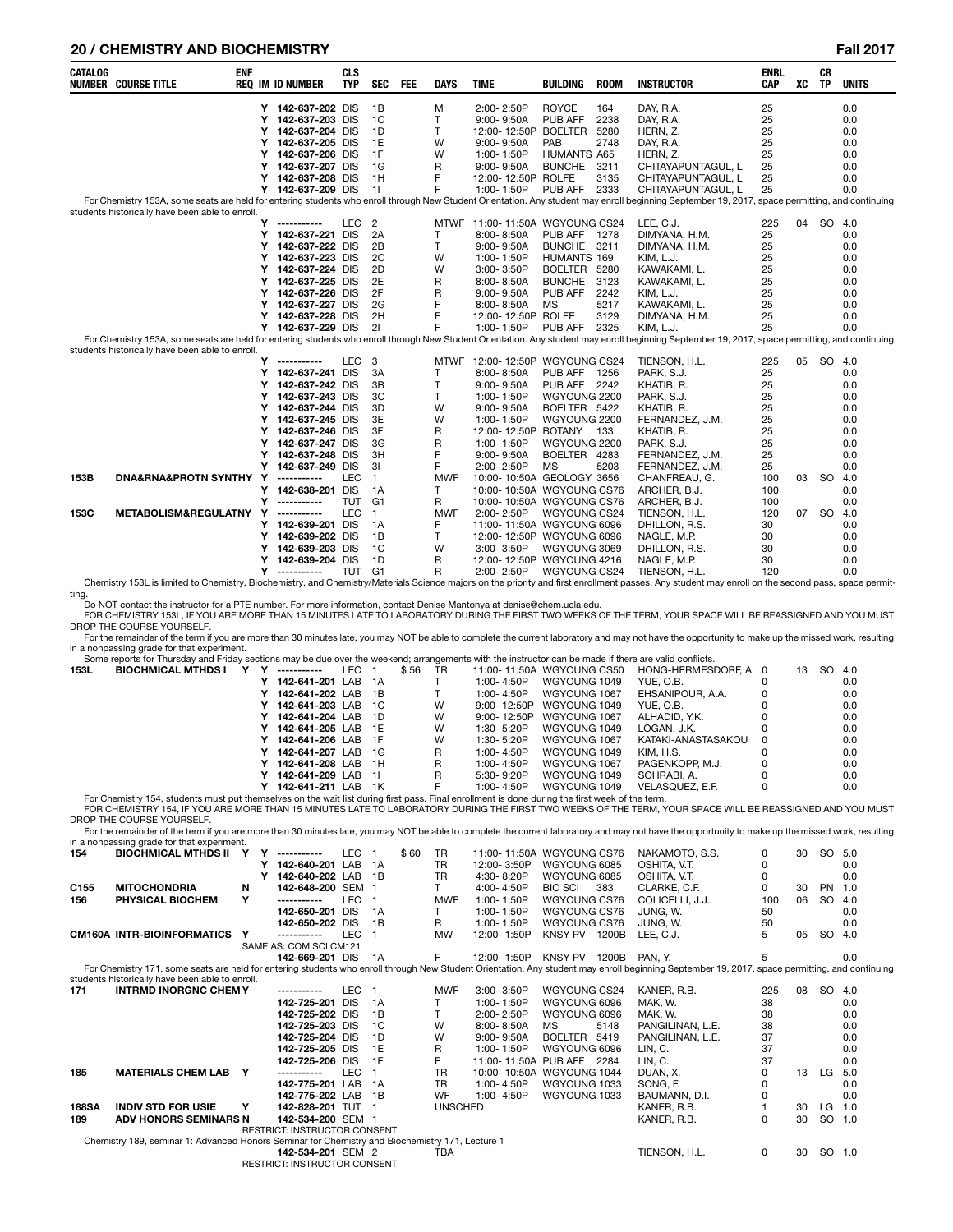# **20 / CHEMISTRY AND BIOCHEMISTRY Fall 2017**

| <b>CATALOG</b> | <b>NUMBER COURSE TITLE</b>                      | <b>ENF</b> |        | <b>REQ IM ID NUMBER</b>         | <b>CLS</b><br><b>TYP</b> | <b>SEC</b>     | <b>FEE</b> | <b>DAYS</b> | <b>TIME</b>                             | <b>BUILDING</b>     | <b>ROOM</b> | <b>INSTRUCTOR</b>                                                                                                                                                                                                   | <b>ENRL</b><br><b>CAP</b> | XC | <b>CR</b><br><b>TP</b> | <b>UNITS</b> |
|----------------|-------------------------------------------------|------------|--------|---------------------------------|--------------------------|----------------|------------|-------------|-----------------------------------------|---------------------|-------------|---------------------------------------------------------------------------------------------------------------------------------------------------------------------------------------------------------------------|---------------------------|----|------------------------|--------------|
|                |                                                 |            |        | Y 142-637-202 DIS               |                          | 1B             |            | M           | 2:00-2:50P                              | <b>ROYCE</b>        | 164         | DAY, R.A.                                                                                                                                                                                                           | 25                        |    |                        | 0.0          |
|                |                                                 |            | Y      | 142-637-203 DIS                 |                          | 1 <sup>C</sup> |            | T           | $9:00 - 9:50A$                          | <b>PUB AFF</b>      | 2238        | DAY, R.A.                                                                                                                                                                                                           | 25                        |    |                        | 0.0          |
|                |                                                 |            |        | Y 142-637-204 DIS               |                          | 1D             |            | T.          | 12:00-12:50P BOELTER                    |                     | 5280        | HERN, Z.                                                                                                                                                                                                            | 25                        |    |                        | 0.0          |
|                |                                                 |            | Y      | 142-637-205 DIS                 |                          | 1E             |            | W           | 9:00-9:50A                              | PAB                 | 2748        | DAY, R.A.                                                                                                                                                                                                           | 25                        |    |                        | 0.0          |
|                |                                                 |            | Y      | 142-637-206 DIS                 |                          | 1F             |            | W           | 1:00-1:50P                              | <b>HUMANTS A65</b>  |             | HERN, Z.                                                                                                                                                                                                            | 25                        |    |                        | 0.0          |
|                |                                                 |            |        | Y 142-637-207 DIS               |                          | 1G             |            | R           | $9:00 - 9:50A$                          | <b>BUNCHE</b>       | 3211        | CHITAYAPUNTAGUL, L                                                                                                                                                                                                  | 25                        |    |                        | 0.0          |
|                |                                                 |            |        | Y 142-637-208 DIS               |                          | 1H             |            | F           | 12:00-12:50P ROLFE                      |                     | 3135        | CHITAYAPUNTAGUL, L                                                                                                                                                                                                  | 25                        |    |                        | 0.0          |
|                |                                                 |            |        | Y 142-637-209 DIS               |                          | 11             |            | F           | 1:00-1:50P                              | PUB AFF             | 2333        | CHITAYAPUNTAGUL. L                                                                                                                                                                                                  | 25                        |    |                        | 0.0          |
|                | students historically have been able to enroll. |            |        |                                 |                          |                |            |             |                                         |                     |             | For Chemistry 153A, some seats are held for entering students who enroll through New Student Orientation. Any student may enroll beginning September 19, 2017, space permitting, and continuing                     |                           |    |                        |              |
|                |                                                 |            |        | Y -----------                   | <b>LEC</b>               | $\overline{2}$ |            |             | MTWF 11:00-11:50A WGYOUNG CS24          |                     |             | LEE, C.J.                                                                                                                                                                                                           | 225                       | 04 | SO 4.0                 |              |
|                |                                                 |            |        | Y 142-637-221 DIS               |                          | 2A             |            | T           | 8:00-8:50A                              | PUB AFF 1278        |             | DIMYANA, H.M.                                                                                                                                                                                                       | 25                        |    |                        | 0.0          |
|                |                                                 |            | Y      | 142-637-222 DIS                 |                          | 2B             |            | T.          | $9:00 - 9:50A$                          | BUNCHE 3211         |             | DIMYANA, H.M.                                                                                                                                                                                                       | 25                        |    |                        | 0.0          |
|                |                                                 |            |        | Y 142-637-223 DIS               |                          | 2C             |            | W           | 1:00-1:50P                              | HUMANTS 169         |             | KIM, L.J.                                                                                                                                                                                                           | 25                        |    |                        | 0.0          |
|                |                                                 |            | Y      | 142-637-224 DIS                 |                          | 2D             |            | W           | 3:00-3:50P                              | BOELTER 5280        |             | KAWAKAMI, L.                                                                                                                                                                                                        | 25                        |    |                        | 0.0          |
|                |                                                 |            |        | Y 142-637-225 DIS               |                          | 2E             |            | R           | 8:00-8:50A                              | <b>BUNCHE</b>       | 3123        | KAWAKAMI, L.                                                                                                                                                                                                        | 25                        |    |                        | 0.0          |
|                |                                                 |            |        | Y 142-637-226 DIS               |                          | 2F             |            | R           | $9:00 - 9:50A$                          | PUB AFF             | 2242        | KIM, L.J.                                                                                                                                                                                                           | 25                        |    |                        | 0.0          |
|                |                                                 |            | Υ      | 142-637-227 DIS                 |                          | 2G             |            | F           | 8:00-8:50A                              | <b>MS</b>           | 5217        | KAWAKAMI, L.                                                                                                                                                                                                        | 25                        |    |                        | 0.0          |
|                |                                                 |            |        | Y 142-637-228 DIS               |                          | 2H             |            | F           | 12:00-12:50P ROLFE                      |                     | 3129        | DIMYANA, H.M.                                                                                                                                                                                                       | 25                        |    |                        | 0.0          |
|                |                                                 |            |        | Y 142-637-229 DIS               |                          | 21             |            | F           | 1:00-1:50P                              | PUB AFF             | 2325        | KIM, L.J.                                                                                                                                                                                                           | 25                        |    |                        | 0.0          |
|                |                                                 |            |        |                                 |                          |                |            |             |                                         |                     |             | For Chemistry 153A, some seats are held for entering students who enroll through New Student Orientation. Any student may enroll beginning September 19, 2017, space permitting, and continuing                     |                           |    |                        |              |
|                | students historically have been able to enroll. |            |        |                                 |                          |                |            |             |                                         |                     |             |                                                                                                                                                                                                                     |                           |    |                        |              |
|                |                                                 |            | Y      | ------------                    | LEC                      | 3              |            |             | MTWF 12:00-12:50P WGYOUNG CS24          |                     |             | TIENSON, H.L.                                                                                                                                                                                                       | 225                       | 05 | SO 4.0                 |              |
|                |                                                 |            |        | Y 142-637-241 DIS               |                          | 3A             |            | T.          | 8:00-8:50A                              | PUB AFF 1256        |             | PARK, S.J.                                                                                                                                                                                                          | 25                        |    |                        | 0.0          |
|                |                                                 |            | Y      | 142-637-242 DIS                 |                          | 3B             |            | T           | $9:00 - 9:50A$                          | <b>PUB AFF 2242</b> |             | KHATIB, R.                                                                                                                                                                                                          | 25                        |    |                        | 0.0          |
|                |                                                 |            | Y      | 142-637-243 DIS                 |                          | 3C             |            | T.          | 1:00-1:50P                              | WGYOUNG 2200        |             | PARK, S.J.                                                                                                                                                                                                          | 25                        |    |                        | 0.0          |
|                |                                                 |            |        | Y 142-637-244 DIS               |                          | 3D             |            | W           | $9:00 - 9:50A$                          | BOELTER 5422        |             | KHATIB, R.                                                                                                                                                                                                          | 25                        |    |                        | 0.0          |
|                |                                                 |            | Y      | 142-637-245 DIS                 |                          | 3E             |            | W           | 1:00-1:50P                              | WGYOUNG 2200        |             | FERNANDEZ, J.M.                                                                                                                                                                                                     | 25                        |    |                        | 0.0          |
|                |                                                 |            | Y      | 142-637-246 DIS                 |                          | 3F             |            | R           | 12:00-12:50P                            | BOTANY 133          |             | KHATIB, R.                                                                                                                                                                                                          | 25                        |    |                        | 0.0          |
|                |                                                 |            | Y      | 142-637-247 DIS                 |                          | 3G             |            | R           | 1:00-1:50P                              | WGYOUNG 2200        |             | PARK, S.J.                                                                                                                                                                                                          | 25                        |    |                        | 0.0          |
|                |                                                 |            | Y      | 142-637-248 DIS                 |                          | 3H             |            | F           | $9:00 - 9:50A$                          | BOELTER 4283        |             | FERNANDEZ, J.M.                                                                                                                                                                                                     | 25                        |    |                        | 0.0          |
|                |                                                 |            | Y      | 142-637-249 DIS                 |                          | 31             |            | F           | 2:00-2:50P                              | <b>MS</b>           | 5203        | FERNANDEZ, J.M.                                                                                                                                                                                                     | 25                        |    |                        | 0.0          |
| 153B           | DNA&RNA&PROTN SYNTHY Y                          |            |        | -----------                     | <b>LEC</b>               | $\overline{1}$ |            | <b>MWF</b>  | 10:00-10:50A GEOLOGY 3656               |                     |             | CHANFREAU, G.                                                                                                                                                                                                       | 100                       | 03 | <b>SO</b>              | 4.0          |
|                |                                                 |            | Y      | 142-638-201 DIS                 |                          | 1A             |            | T.          | 10:00-10:50A WGYOUNG CS76               |                     |             | ARCHER, B.J.                                                                                                                                                                                                        | 100                       |    |                        | 0.0          |
|                |                                                 |            | Y      | ------------                    | TUT                      | G <sub>1</sub> |            | R           | 10:00-10:50A WGYOUNG CS76               |                     |             | ARCHER, B.J.                                                                                                                                                                                                        | 100                       |    |                        | 0.0          |
| 153C           | METABOLISM&REGULATNY Y                          |            |        | -----------                     | LEC                      | $\mathbf{1}$   |            | <b>MWF</b>  | 2:00-2:50P                              | WGYOUNG CS24        |             | TIENSON, H.L.                                                                                                                                                                                                       | 120                       | 07 | <sub>SO</sub>          | 4.0          |
|                |                                                 |            | Y      | 142-639-201 DIS                 |                          | 1A             |            | F           | 11:00-11:50A WGYOUNG 6096               |                     |             | DHILLON, R.S.                                                                                                                                                                                                       | 30                        |    |                        | 0.0          |
|                |                                                 |            |        | Y 142-639-202 DIS               |                          | 1B             |            | T.          | 12:00-12:50P WGYOUNG 6096               |                     |             | NAGLE, M.P.                                                                                                                                                                                                         | 30                        |    |                        | 0.0          |
|                |                                                 |            | Y      | 142-639-203 DIS                 |                          | 1 <sup>C</sup> |            | W           | 3:00-3:50P                              | WGYOUNG 3069        |             | DHILLON, R.S.                                                                                                                                                                                                       | 30                        |    |                        | 0.0          |
|                |                                                 |            | Y<br>Y | 142-639-204 DIS<br>------------ | TUT G1                   | 1D             |            | R           | 12:00-12:50P WGYOUNG 4216<br>2:00-2:50P |                     |             | NAGLE, M.P.                                                                                                                                                                                                         | 30                        |    |                        | 0.0          |
|                |                                                 |            |        |                                 |                          |                |            | R           |                                         | WGYOUNG CS24        |             | TIENSON, H.L.<br>Chemistry 153L is limited to Chemistry, Biochemistry, and Chemistry/Materials Science majors on the priority and first enrollment passes. Any student may enroll on the second pass, space permit- | 120                       |    |                        | 0.0          |

ting. Do NOT contact the instructor for a PTE number. For more information, contact Denise Mantonya at denise@chem.ucla.edu.

FOR CHEMISTRY 153L, IF YOU ARE MORE THAN 15 MINUTES LATE TO LABORATORY DURING THE FIRST TWO WEEKS OF THE TERM, YOUR SPACE WILL BE REASSIGNED AND YOU MUST DROP THE COURSE YOURSELF.<br>For the remainder of the term if you are more than 30 minutes late, you may NOT be able to complete the current laboratory and may not have the opportunity to make up the missed work, resulting

in a nonpassing grade for that experiment.<br>Some reports for Thursday and Friday sections may be due over the weekend; arrangements with the instructor can be made if there are valid conflicts.

|      | Some reports for Thursday and Friday sections may be due over the weekend; arrangements with the instructor can be made if there are valid conflicts. |  |                    |      |            |                |                           |                     |   |    |        |     |
|------|-------------------------------------------------------------------------------------------------------------------------------------------------------|--|--------------------|------|------------|----------------|---------------------------|---------------------|---|----|--------|-----|
| 153L | <b>BIOCHMICAL MTHDS I</b>                                                                                                                             |  | -----------        | LEC. | \$56<br>TR |                | 11:00-11:50A WGYOUNG CS50 | HONG-HERMESDORF A 0 |   | 13 | SO 4.0 |     |
|      |                                                                                                                                                       |  | 142-641-201 LAB 1A |      |            | $1:00 - 4:50P$ | WGYOUNG 1049              | YUE, O.B.           |   |    |        | 0.0 |
|      |                                                                                                                                                       |  | 142-641-202 LAB 1B |      |            | $1:00 - 4:50P$ | WGYOUNG 1067              | EHSANIPOUR. A.A.    |   |    |        | 0.0 |
|      |                                                                                                                                                       |  | 142-641-203 LAB 1C |      | W          |                | 9:00-12:50P WGYOUNG 1049  | YUE. O.B.           |   |    |        | 0.0 |
|      |                                                                                                                                                       |  | 142-641-204 LAB 1D |      | W          |                | 9:00-12:50P WGYOUNG 1067  | ALHADID. Y.K.       |   |    |        | 0.0 |
|      |                                                                                                                                                       |  | 142-641-205 LAB 1E |      | W          | 1:30- 5:20P    | WGYOUNG 1049              | LOGAN, J.K.         |   |    |        | 0.0 |
|      |                                                                                                                                                       |  | 142-641-206 LAB 1F |      | W          | 1:30-5:20P     | WGYOUNG 1067              | KATAKI-ANASTASAKOU  | 0 |    |        | 0.0 |
|      |                                                                                                                                                       |  | 142-641-207 LAB 1G |      | R          | $1:00 - 4:50P$ | WGYOUNG 1049              | KIM. H.S.           |   |    |        | 0.0 |
|      |                                                                                                                                                       |  | 142-641-208 LAB 1H |      | R          | $1:00 - 4:50P$ | WGYOUNG 1067              | PAGENKOPP. M.J.     |   |    |        | 0.0 |
|      |                                                                                                                                                       |  | 142-641-209 LAB 1L |      | R          | 5:30-9:20P     | WGYOUNG 1049              | SOHRABI. A.         |   |    |        | 0.0 |
|      |                                                                                                                                                       |  | 142-641-211 LAB 1K |      | F          | 1:00-4:50P     | WGYOUNG 1049              | VELASQUEZ, E.F.     | 0 |    |        | 0.0 |
|      | For Chamietry 154, etudente must put themselves on the wait list during first pass. Final enrollment is done during the first week of the term        |  |                    |      |            |                |                           |                     |   |    |        |     |

For Chemistry 154, students must put themselves on the wait list during first pass. Final enrollment is done during the first week of the term.<br>FOR CHEMISTRY 154, IF YOU ARE MORE THAN 15 MINUTES LATE TO LABORATORY DURING T

DROP THE COURSE YOURSELF.<br>For the remainder of the term if you are more than 30 minutes late, you may NOT be able to complete the current laboratory and may not have the opportunity to make up the missed work, resulting in a nonpassing grade for that experiment.

| 154              | <b>BIOCHMICAL MTHDS II</b>                                                                                                                                                                                                                        |   | -----------                         | <b>LEC</b> |    | \$60 | <b>TR</b>      | 11:00-11:50A WGYOUNG CS76 |                |      | NAKAMOTO, S.S.   | 0   | 30 | SO        | 5.0 |
|------------------|---------------------------------------------------------------------------------------------------------------------------------------------------------------------------------------------------------------------------------------------------|---|-------------------------------------|------------|----|------|----------------|---------------------------|----------------|------|------------------|-----|----|-----------|-----|
|                  |                                                                                                                                                                                                                                                   |   | 142-640-201                         | LAB        | 1A |      | TR             | 12:00-3:50P               | WGYOUNG 6085   |      | OSHITA, V.T.     | 0   |    |           | 0.0 |
|                  |                                                                                                                                                                                                                                                   |   | 142-640-202 LAB                     |            | 1B |      | <b>TR</b>      | 4:30-8:20P                | WGYOUNG 6085   |      | OSHITA, V.T.     | 0   |    |           | 0.0 |
| C <sub>155</sub> | <b>MITOCHONDRIA</b>                                                                                                                                                                                                                               | N | 142-648-200 SEM 1                   |            |    |      |                | 4:00-4:50P                | <b>BIO SCI</b> | 383  | CLARKE, C.F.     | 0   | 30 | PN        | 1.0 |
| 156              | PHYSICAL BIOCHEM                                                                                                                                                                                                                                  | Y | -----------                         | <b>LEC</b> |    |      | <b>MWF</b>     | 1:00-1:50P                | WGYOUNG CS76   |      | COLICELLI, J.J.  | 100 | 06 | <b>SO</b> | 4.0 |
|                  |                                                                                                                                                                                                                                                   |   | 142-650-201                         | <b>DIS</b> | 1A |      |                | 1:00-1:50P                | WGYOUNG CS76   |      | JUNG, W.         | 50  |    |           | 0.0 |
|                  |                                                                                                                                                                                                                                                   |   | 142-650-202 DIS                     |            | 1B |      | R              | 1:00-1:50P                | WGYOUNG CS76   |      | JUNG, W.         | 50  |    |           | 0.0 |
|                  | <b>CM160A INTR-BIOINFORMATICS</b>                                                                                                                                                                                                                 | Υ | -----------                         | <b>LEC</b> |    |      | <b>MW</b>      | 12:00-1:50P               | KNSY PV 1200B  |      | LEE, C.J.        | 5   | 05 | <b>SO</b> | 4.0 |
|                  |                                                                                                                                                                                                                                                   |   | SAME AS: COM SCI CM121              |            |    |      |                |                           |                |      |                  |     |    |           |     |
|                  |                                                                                                                                                                                                                                                   |   | 142-669-201 DIS                     |            | 1A |      | F              | 12:00-1:50P               | KNSY PV 1200B  |      | PAN. Y.          |     |    |           | 0.0 |
|                  | For Chemistry 171, some seats are held for entering students who enroll through New Student Orientation. Any student may enroll beginning September 19, 2017, space permitting, and continuing<br>students historically have been able to enroll. |   |                                     |            |    |      |                |                           |                |      |                  |     |    |           |     |
| 171              | <b>INTRMD INORGNC CHEMY</b>                                                                                                                                                                                                                       |   | -----------                         | <b>LEC</b> |    |      | <b>MWF</b>     | 3:00-3:50P                | WGYOUNG CS24   |      | KANER, R.B.      | 225 | 08 | <b>SO</b> | 4.0 |
|                  |                                                                                                                                                                                                                                                   |   | 142-725-201                         | <b>DIS</b> | 1A |      |                | 1:00-1:50P                | WGYOUNG 6096   |      | MAK, W.          | 38  |    |           | 0.0 |
|                  |                                                                                                                                                                                                                                                   |   | 142-725-202 DIS                     |            | 1B |      |                | 2:00-2:50P                | WGYOUNG 6096   |      | MAK. W.          | 38  |    |           | 0.0 |
|                  |                                                                                                                                                                                                                                                   |   | 142-725-203 DIS                     |            | 1C |      | W              | 8:00-8:50A                | MS             | 5148 | PANGILINAN, L.E. | 38  |    |           | 0.0 |
|                  |                                                                                                                                                                                                                                                   |   | 142-725-204 DIS                     |            | 1D |      | W              | $9:00 - 9:50A$            | BOELTER 5419   |      | PANGILINAN, L.E. | 37  |    |           | 0.0 |
|                  |                                                                                                                                                                                                                                                   |   | 142-725-205 DIS                     |            | 1E |      | R              | 1:00-1:50P                | WGYOUNG 6096   |      | LIN, C.          | 37  |    |           | 0.0 |
|                  |                                                                                                                                                                                                                                                   |   | 142-725-206 DIS                     |            | 1F |      | F              | 11:00-11:50A PUB AFF 2284 |                |      | LIN, C.          | 37  |    |           | 0.0 |
| 185              | <b>MATERIALS CHEM LAB</b>                                                                                                                                                                                                                         | Y | -----------                         | <b>LEC</b> |    |      | <b>TR</b>      | 10:00-10:50A WGYOUNG 1044 |                |      | DUAN. X.         |     | 13 | LG        | 5.0 |
|                  |                                                                                                                                                                                                                                                   |   | 142-775-201 LAB                     |            | 1A |      | TR             | 1:00-4:50P                | WGYOUNG 1033   |      | SONG, F.         | 0   |    |           | 0.0 |
|                  |                                                                                                                                                                                                                                                   |   | 142-775-202 LAB                     |            | 1B |      | WF             | $1:00 - 4:50P$            | WGYOUNG 1033   |      | BAUMANN, D.I.    | 0   |    |           | 0.0 |
| <b>188SA</b>     | <b>INDIV STD FOR USIE</b>                                                                                                                                                                                                                         | Y | 142-828-201 TUT 1                   |            |    |      | <b>UNSCHED</b> |                           |                |      | KANER, R.B.      |     | 30 | LG        | 1.0 |
| 189              | ADV HONORS SEMINARS N                                                                                                                                                                                                                             |   | 142-534-200 SEM 1                   |            |    |      |                |                           |                |      | KANER, R.B.      | 0   | 30 | <b>SO</b> | 1.0 |
|                  |                                                                                                                                                                                                                                                   |   | <b>RESTRICT: INSTRUCTOR CONSENT</b> |            |    |      |                |                           |                |      |                  |     |    |           |     |
|                  | Chemistry 189, seminar 1: Advanced Honors Seminar for Chemistry and Biochemistry 171, Lecture 1                                                                                                                                                   |   |                                     |            |    |      |                |                           |                |      |                  |     |    |           |     |
|                  |                                                                                                                                                                                                                                                   |   | 142-534-201 SEM 2                   |            |    |      | TBA            |                           |                |      | TIENSON, H.L.    | 0   | 30 | SO        | 1.0 |
|                  |                                                                                                                                                                                                                                                   |   | RESTRICT: INSTRUCTOR CONSENT        |            |    |      |                |                           |                |      |                  |     |    |           |     |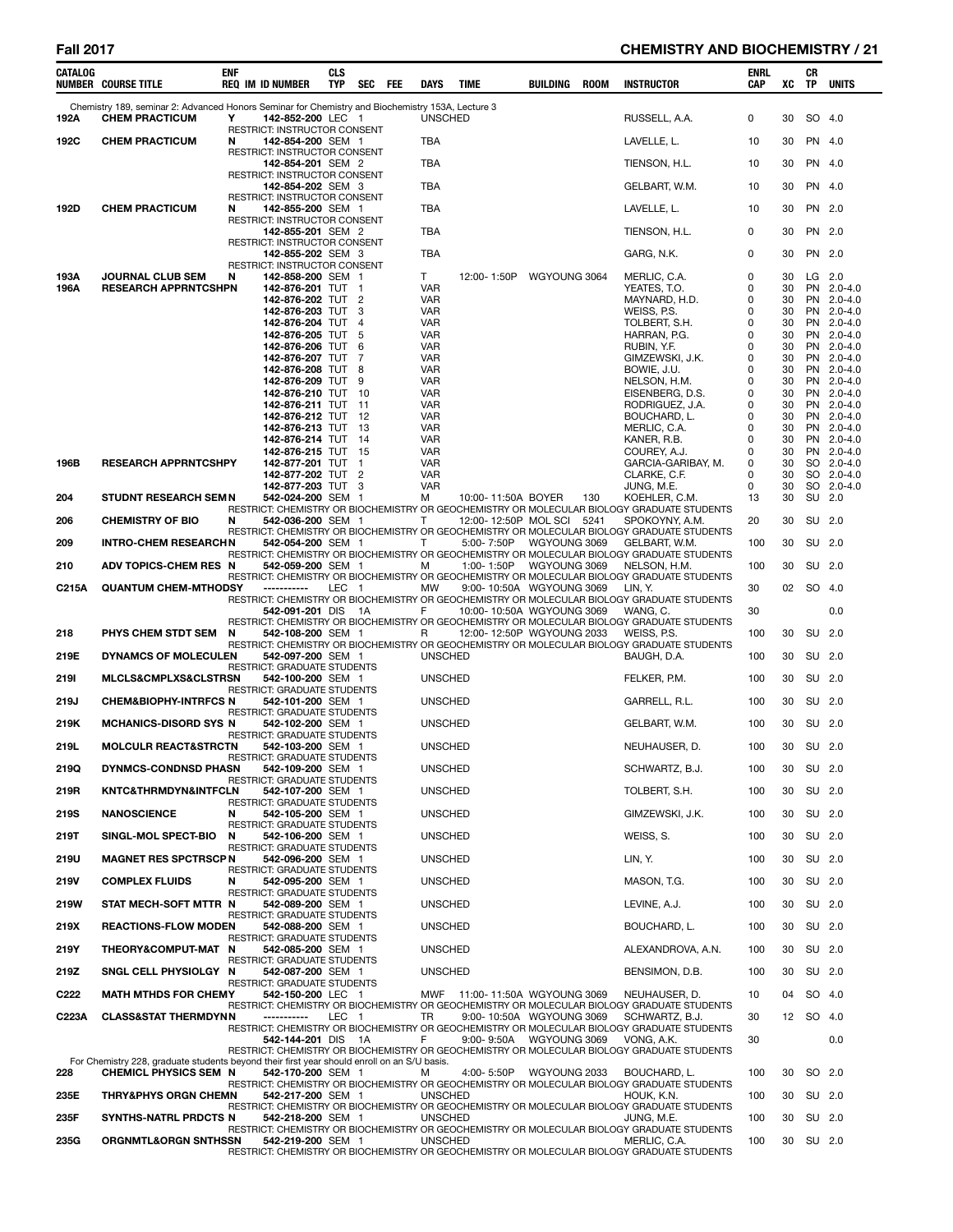# **Fall 2017 CHEMISTRY AND BIOCHEMISTRY / 21**

| CATALOG          | <b>NUMBER COURSE TITLE</b>                                                                                                  | <b>ENF</b> | <b>REQ IM ID NUMBER</b>                                  | <b>CLS</b><br><b>TYP</b> | <b>SEC</b>          | FEE | DAYS                     | <b>TIME</b>               | BUILDING     | <b>ROOM</b> | <b>INSTRUCTOR</b>                                                                                            | ENRL<br><b>CAP</b> | XC       | CR<br>TP  | <b>UNITS</b>             |
|------------------|-----------------------------------------------------------------------------------------------------------------------------|------------|----------------------------------------------------------|--------------------------|---------------------|-----|--------------------------|---------------------------|--------------|-------------|--------------------------------------------------------------------------------------------------------------|--------------------|----------|-----------|--------------------------|
| 192A             | Chemistry 189, seminar 2: Advanced Honors Seminar for Chemistry and Biochemistry 153A, Lecture 3<br><b>CHEM PRACTICUM</b>   | Υ          | 142-852-200 LEC 1                                        |                          |                     |     | <b>UNSCHED</b>           |                           |              |             | RUSSELL, A.A.                                                                                                | 0                  | 30       |           | SO 4.0                   |
| 192C             | <b>CHEM PRACTICUM</b>                                                                                                       | N          | RESTRICT: INSTRUCTOR CONSENT<br>142-854-200 SEM 1        |                          |                     |     | TBA                      |                           |              |             | LAVELLE, L.                                                                                                  | 10                 | 30       | PN 4.0    |                          |
|                  |                                                                                                                             |            | RESTRICT: INSTRUCTOR CONSENT<br>142-854-201 SEM 2        |                          |                     |     | <b>TBA</b>               |                           |              |             | TIENSON, H.L.                                                                                                | 10                 | 30       | PN 4.0    |                          |
|                  |                                                                                                                             |            | RESTRICT: INSTRUCTOR CONSENT                             |                          |                     |     |                          |                           |              |             |                                                                                                              |                    |          |           |                          |
|                  |                                                                                                                             |            | 142-854-202 SEM 3<br>RESTRICT: INSTRUCTOR CONSENT        |                          |                     |     | <b>TBA</b>               |                           |              |             | GELBART, W.M.                                                                                                | 10                 | 30       | PN 4.0    |                          |
| 192D             | <b>CHEM PRACTICUM</b>                                                                                                       | N          | 142-855-200 SEM 1<br><b>RESTRICT: INSTRUCTOR CONSENT</b> |                          |                     |     | <b>TBA</b>               |                           |              |             | LAVELLE, L.                                                                                                  | 10                 | 30       | PN 2.0    |                          |
|                  |                                                                                                                             |            | 142-855-201 SEM 2<br>RESTRICT: INSTRUCTOR CONSENT        |                          |                     |     | <b>TBA</b>               |                           |              |             | TIENSON, H.L.                                                                                                | 0                  | 30       |           | PN 2.0                   |
|                  |                                                                                                                             |            | 142-855-202 SEM 3                                        |                          |                     |     | <b>TBA</b>               |                           |              |             | GARG, N.K.                                                                                                   | 0                  | 30       |           | PN 2.0                   |
| 193A             | <b>JOURNAL CLUB SEM</b>                                                                                                     | N          | RESTRICT: INSTRUCTOR CONSENT<br>142-858-200 SEM 1        |                          |                     |     | T                        | 12:00-1:50P               | WGYOUNG 3064 |             | MERLIC, C.A.                                                                                                 | 0                  | 30       | $LG$ 2.0  |                          |
| 196A             | <b>RESEARCH APPRNTCSHPN</b>                                                                                                 |            | 142-876-201 TUT 1<br>142-876-202 TUT 2                   |                          |                     |     | <b>VAR</b><br>VAR        |                           |              |             | YEATES, T.O.<br>MAYNARD, H.D.                                                                                | 0<br>0             | 30<br>30 |           | PN 2.0-4.0<br>PN 2.0-4.0 |
|                  |                                                                                                                             |            | 142-876-203 TUT                                          |                          | 3                   |     | VAR                      |                           |              |             | WEISS, P.S.                                                                                                  | 0                  | 30       |           | PN 2.0-4.0               |
|                  |                                                                                                                             |            | 142-876-204 TUT<br>142-876-205 TUT                       |                          | $\overline{4}$<br>5 |     | <b>VAR</b><br><b>VAR</b> |                           |              |             | TOLBERT, S.H.<br>HARRAN, P.G.                                                                                | 0<br>0             | 30<br>30 |           | PN 2.0-4.0<br>PN 2.0-4.0 |
|                  |                                                                                                                             |            | 142-876-206 TUT 6                                        |                          |                     |     | <b>VAR</b>               |                           |              |             | RUBIN, Y.F.                                                                                                  | 0                  | 30       |           | PN 2.0-4.0               |
|                  |                                                                                                                             |            | 142-876-207 TUT<br>142-876-208 TUT 8                     |                          | 7                   |     | <b>VAR</b><br><b>VAR</b> |                           |              |             | GIMZEWSKI, J.K.<br>BOWIE, J.U.                                                                               | 0<br>0             | 30<br>30 |           | PN 2.0-4.0<br>PN 2.0-4.0 |
|                  |                                                                                                                             |            | 142-876-209 TUT                                          |                          | 9                   |     | <b>VAR</b>               |                           |              |             | NELSON, H.M.                                                                                                 | 0                  | 30       |           | PN 2.0-4.0               |
|                  |                                                                                                                             |            | 142-876-210 TUT 10                                       |                          |                     |     | <b>VAR</b>               |                           |              |             | EISENBERG, D.S.                                                                                              | 0<br>0             | 30<br>30 |           | PN 2.0-4.0<br>PN 2.0-4.0 |
|                  |                                                                                                                             |            | 142-876-211 TUT<br>142-876-212 TUT 12                    |                          | $-11$               |     | <b>VAR</b><br><b>VAR</b> |                           |              |             | RODRIGUEZ, J.A.<br>BOUCHARD, L.                                                                              | 0                  | 30       |           | PN 2.0-4.0               |
|                  |                                                                                                                             |            | 142-876-213 TUT                                          |                          | - 13                |     | <b>VAR</b>               |                           |              |             | MERLIC, C.A.                                                                                                 | 0                  | 30       |           | PN 2.0-4.0               |
|                  |                                                                                                                             |            | 142-876-214 TUT 14<br>142-876-215 TUT 15                 |                          |                     |     | <b>VAR</b><br><b>VAR</b> |                           |              |             | KANER, R.B.<br>COUREY, A.J.                                                                                  | 0<br>0             | 30<br>30 |           | PN 2.0-4.0<br>PN 2.0-4.0 |
| 196B             | <b>RESEARCH APPRNTCSHPY</b>                                                                                                 |            | 142-877-201 TUT                                          |                          | -1                  |     | <b>VAR</b>               |                           |              |             | GARCIA-GARIBAY, M.                                                                                           | 0                  | 30       |           | SO 2.0-4.0               |
|                  |                                                                                                                             |            | 142-877-202 TUT<br>142-877-203 TUT 3                     |                          | $\overline{2}$      |     | <b>VAR</b><br><b>VAR</b> |                           |              |             | CLARKE, C.F.<br>JUNG, M.E.                                                                                   | 0<br>0             | 30<br>30 |           | SO 2.0-4.0<br>SO 2.0-4.0 |
| 204              | <b>STUDNT RESEARCH SEM N</b>                                                                                                |            | 542-024-200 SEM 1                                        |                          |                     |     | M                        | 10:00-11:50A BOYER        |              | 130         | KOEHLER, C.M.                                                                                                | 13                 | 30       |           | SU 2.0                   |
| 206              | <b>CHEMISTRY OF BIO</b>                                                                                                     | N          | 542-036-200 SEM 1                                        |                          |                     |     | т                        | 12:00-12:50P MOL SCI 5241 |              |             | RESTRICT: CHEMISTRY OR BIOCHEMISTRY OR GEOCHEMISTRY OR MOLECULAR BIOLOGY GRADUATE STUDENTS<br>SPOKOYNY, A.M. | 20                 | 30       | SU 2.0    |                          |
|                  |                                                                                                                             |            |                                                          |                          |                     |     |                          |                           |              |             | RESTRICT: CHEMISTRY OR BIOCHEMISTRY OR GEOCHEMISTRY OR MOLECULAR BIOLOGY GRADUATE STUDENTS                   |                    |          |           |                          |
| 209              | <b>INTRO-CHEM RESEARCHN</b>                                                                                                 |            | 542-054-200 SEM 1                                        |                          |                     |     | т                        | 5:00-7:50P                | WGYOUNG 3069 |             | GELBART, W.M.<br>RESTRICT: CHEMISTRY OR BIOCHEMISTRY OR GEOCHEMISTRY OR MOLECULAR BIOLOGY GRADUATE STUDENTS  | 100                | 30       | SU 2.0    |                          |
| 210              | ADV TOPICS-CHEM RES N                                                                                                       |            | 542-059-200 SEM 1                                        |                          |                     |     | М                        | 1:00-1:50P WGYOUNG 3069   |              |             | NELSON, H.M.<br>RESTRICT: CHEMISTRY OR BIOCHEMISTRY OR GEOCHEMISTRY OR MOLECULAR BIOLOGY GRADUATE STUDENTS   | 100                | 30       |           | SU 2.0                   |
| C215A            | <b>QUANTUM CHEM-MTHODSY</b>                                                                                                 |            | -----------                                              | LEC                      | - 1                 |     | <b>MW</b>                | 9:00-10:50A WGYOUNG 3069  |              |             | LIN, Y.                                                                                                      | 30                 | 02       | SO 4.0    |                          |
|                  |                                                                                                                             |            | 542-091-201 DIS                                          |                          | - 1A                |     | F                        | 10:00-10:50A WGYOUNG 3069 |              |             | RESTRICT: CHEMISTRY OR BIOCHEMISTRY OR GEOCHEMISTRY OR MOLECULAR BIOLOGY GRADUATE STUDENTS<br>WANG, C.       | 30                 |          |           | 0.0                      |
|                  |                                                                                                                             |            |                                                          |                          |                     |     |                          |                           |              |             | RESTRICT: CHEMISTRY OR BIOCHEMISTRY OR GEOCHEMISTRY OR MOLECULAR BIOLOGY GRADUATE STUDENTS                   |                    |          |           |                          |
| 218              | PHYS CHEM STDT SEM                                                                                                          | N          | 542-108-200 SEM 1                                        |                          |                     |     | R                        | 12:00-12:50P WGYOUNG 2033 |              |             | WEISS, P.S.<br>RESTRICT: CHEMISTRY OR BIOCHEMISTRY OR GEOCHEMISTRY OR MOLECULAR BIOLOGY GRADUATE STUDENTS    | 100                | 30       | SU 2.0    |                          |
| 219E             | <b>DYNAMCS OF MOLECULEN</b>                                                                                                 |            | 542-097-200 SEM 1<br>RESTRICT: GRADUATE STUDENTS         |                          |                     |     | <b>UNSCHED</b>           |                           |              |             | BAUGH, D.A.                                                                                                  | 100                | 30       | SU 2.0    |                          |
| 2191             | <b>MLCLS&amp;CMPLXS&amp;CLSTRSN</b>                                                                                         |            | 542-100-200 SEM 1                                        |                          |                     |     | <b>UNSCHED</b>           |                           |              |             | FELKER, P.M.                                                                                                 | 100                | 30       |           | SU 2.0                   |
| 219J             | <b>CHEM&amp;BIOPHY-INTRFCS N</b>                                                                                            |            | RESTRICT: GRADUATE STUDENTS<br>542-101-200 SEM 1         |                          |                     |     | <b>UNSCHED</b>           |                           |              |             | GARRELL, R.L.                                                                                                | 100                | 30       | SU 2.0    |                          |
| 219K             | <b>MCHANICS-DISORD SYS N</b>                                                                                                |            | <b>RESTRICT: GRADUATE STUDENTS</b><br>542-102-200 SEM 1  |                          |                     |     | <b>UNSCHED</b>           |                           |              |             | GELBART, W.M.                                                                                                | 100                | 30       | SU 2.0    |                          |
|                  |                                                                                                                             |            | RESTRICT: GRADUATE STUDENTS                              |                          |                     |     |                          |                           |              |             |                                                                                                              |                    |          |           |                          |
| 219L             | <b>MOLCULR REACT&amp;STRCTN</b>                                                                                             |            | 542-103-200 SEM 1<br>RESTRICT: GRADUATE STUDENTS         |                          |                     |     | <b>UNSCHED</b>           |                           |              |             | NEUHAUSER, D.                                                                                                | 100                | 30       | SU 2.0    |                          |
| 219Q             | DYNMCS-CONDNSD PHASN                                                                                                        |            | 542-109-200 SEM 1<br>RESTRICT: GRADUATE STUDENTS         |                          |                     |     | <b>UNSCHED</b>           |                           |              |             | SCHWARTZ, B.J.                                                                                               | 100                | 30       | SU 2.0    |                          |
| 219R             | <b>KNTC&amp;THRMDYN&amp;INTFCLN</b>                                                                                         |            | 542-107-200 SEM 1                                        |                          |                     |     | <b>UNSCHED</b>           |                           |              |             | TOLBERT, S.H.                                                                                                | 100                | 30       | SU 2.0    |                          |
| 219S             | <b>NANOSCIENCE</b>                                                                                                          | N          | RESTRICT: GRADUATE STUDENTS<br>542-105-200 SEM 1         |                          |                     |     | <b>UNSCHED</b>           |                           |              |             | GIMZEWSKI, J.K.                                                                                              | 100                | 30       | SU 2.0    |                          |
| 219T             | <b>SINGL-MOL SPECT-BIO</b>                                                                                                  | N          | RESTRICT: GRADUATE STUDENTS<br>542-106-200 SEM 1         |                          |                     |     | <b>UNSCHED</b>           |                           |              |             | WEISS, S.                                                                                                    | 100                | 30       | SU 2.0    |                          |
|                  |                                                                                                                             |            | RESTRICT: GRADUATE STUDENTS                              |                          |                     |     |                          |                           |              |             |                                                                                                              |                    |          |           |                          |
| 219U             | <b>MAGNET RES SPCTRSCP N</b>                                                                                                |            | 542-096-200 SEM 1<br>RESTRICT: GRADUATE STUDENTS         |                          |                     |     | <b>UNSCHED</b>           |                           |              |             | LIN, Y.                                                                                                      | 100                | 30       | SU 2.0    |                          |
| 219V             | <b>COMPLEX FLUIDS</b>                                                                                                       | N          | 542-095-200 SEM 1<br>RESTRICT: GRADUATE STUDENTS         |                          |                     |     | <b>UNSCHED</b>           |                           |              |             | MASON, T.G.                                                                                                  | 100                | 30       | SU 2.0    |                          |
| 219W             | STAT MECH-SOFT MTTR N                                                                                                       |            | 542-089-200 SEM 1                                        |                          |                     |     | <b>UNSCHED</b>           |                           |              |             | LEVINE, A.J.                                                                                                 | 100                | 30       | SU 2.0    |                          |
| 219X             | <b>REACTIONS-FLOW MODEN</b>                                                                                                 |            | RESTRICT: GRADUATE STUDENTS<br>542-088-200 SEM 1         |                          |                     |     | <b>UNSCHED</b>           |                           |              |             | BOUCHARD, L.                                                                                                 | 100                | 30       | SU 2.0    |                          |
| 219Y             | THEORY&COMPUT-MAT N                                                                                                         |            | <b>RESTRICT: GRADUATE STUDENTS</b><br>542-085-200 SEM 1  |                          |                     |     | <b>UNSCHED</b>           |                           |              |             | ALEXANDROVA, A.N.                                                                                            | 100                | 30       | SU 2.0    |                          |
|                  |                                                                                                                             |            | <b>RESTRICT: GRADUATE STUDENTS</b>                       |                          |                     |     |                          |                           |              |             |                                                                                                              |                    |          |           |                          |
| 219Z             | SNGL CELL PHYSIOLGY N                                                                                                       |            | 542-087-200 SEM 1<br>RESTRICT: GRADUATE STUDENTS         |                          |                     |     | <b>UNSCHED</b>           |                           |              |             | BENSIMON, D.B.                                                                                               | 100                | 30       | SU 2.0    |                          |
| C <sub>222</sub> | <b>MATH MTHDS FOR CHEMY</b>                                                                                                 |            | 542-150-200 LEC 1                                        |                          |                     |     | MWF                      | 11:00-11:50A WGYOUNG 3069 |              |             | NEUHAUSER, D.<br>RESTRICT: CHEMISTRY OR BIOCHEMISTRY OR GEOCHEMISTRY OR MOLECULAR BIOLOGY GRADUATE STUDENTS  | 10                 | 04       |           | SO 4.0                   |
| C223A            | <b>CLASS&amp;STAT THERMDYNN</b>                                                                                             |            | -----------                                              | LEC 1                    |                     |     | <b>TR</b>                | 9:00-10:50A WGYOUNG 3069  |              |             | SCHWARTZ, B.J.                                                                                               | 30                 |          | 12 SO 4.0 |                          |
|                  |                                                                                                                             |            | 542-144-201 DIS 1A                                       |                          |                     |     | F                        | 9:00-9:50A WGYOUNG 3069   |              |             | RESTRICT: CHEMISTRY OR BIOCHEMISTRY OR GEOCHEMISTRY OR MOLECULAR BIOLOGY GRADUATE STUDENTS<br>VONG, A.K.     | 30                 |          |           | 0.0                      |
|                  |                                                                                                                             |            |                                                          |                          |                     |     |                          |                           |              |             | RESTRICT: CHEMISTRY OR BIOCHEMISTRY OR GEOCHEMISTRY OR MOLECULAR BIOLOGY GRADUATE STUDENTS                   |                    |          |           |                          |
| 228              | For Chemistry 228, graduate students beyond their first year should enroll on an S/U basis.<br><b>CHEMICL PHYSICS SEM N</b> |            | 542-170-200 SEM 1                                        |                          |                     |     | м                        | 4:00-5:50P WGYOUNG 2033   |              |             | BOUCHARD, L.                                                                                                 | 100                | 30       | SO 2.0    |                          |
|                  |                                                                                                                             |            |                                                          |                          |                     |     |                          |                           |              |             | RESTRICT: CHEMISTRY OR BIOCHEMISTRY OR GEOCHEMISTRY OR MOLECULAR BIOLOGY GRADUATE STUDENTS                   |                    |          |           |                          |
| 235E             | <b>THRY&amp;PHYS ORGN CHEMN</b>                                                                                             |            | 542-217-200 SEM 1                                        |                          |                     |     | <b>UNSCHED</b>           |                           |              |             | HOUK, K.N.<br>RESTRICT: CHEMISTRY OR BIOCHEMISTRY OR GEOCHEMISTRY OR MOLECULAR BIOLOGY GRADUATE STUDENTS     | 100                | 30       | SU 2.0    |                          |
| 235F             | SYNTHS-NATRL PRDCTS N                                                                                                       |            | 542-218-200 SEM 1                                        |                          |                     |     | <b>UNSCHED</b>           |                           |              |             | JUNG. M.E.                                                                                                   | 100                | 30       | SU 2.0    |                          |
| 235G             | <b>ORGNMTL&amp;ORGN SNTHSSN</b>                                                                                             |            | 542-219-200 SEM 1                                        |                          |                     |     | <b>UNSCHED</b>           |                           |              |             | RESTRICT: CHEMISTRY OR BIOCHEMISTRY OR GEOCHEMISTRY OR MOLECULAR BIOLOGY GRADUATE STUDENTS<br>MERLIC, C.A.   | 100                | 30       | SU 2.0    |                          |
|                  |                                                                                                                             |            |                                                          |                          |                     |     |                          |                           |              |             | RESTRICT: CHEMISTRY OR BIOCHEMISTRY OR GEOCHEMISTRY OR MOLECULAR BIOLOGY GRADUATE STUDENTS                   |                    |          |           |                          |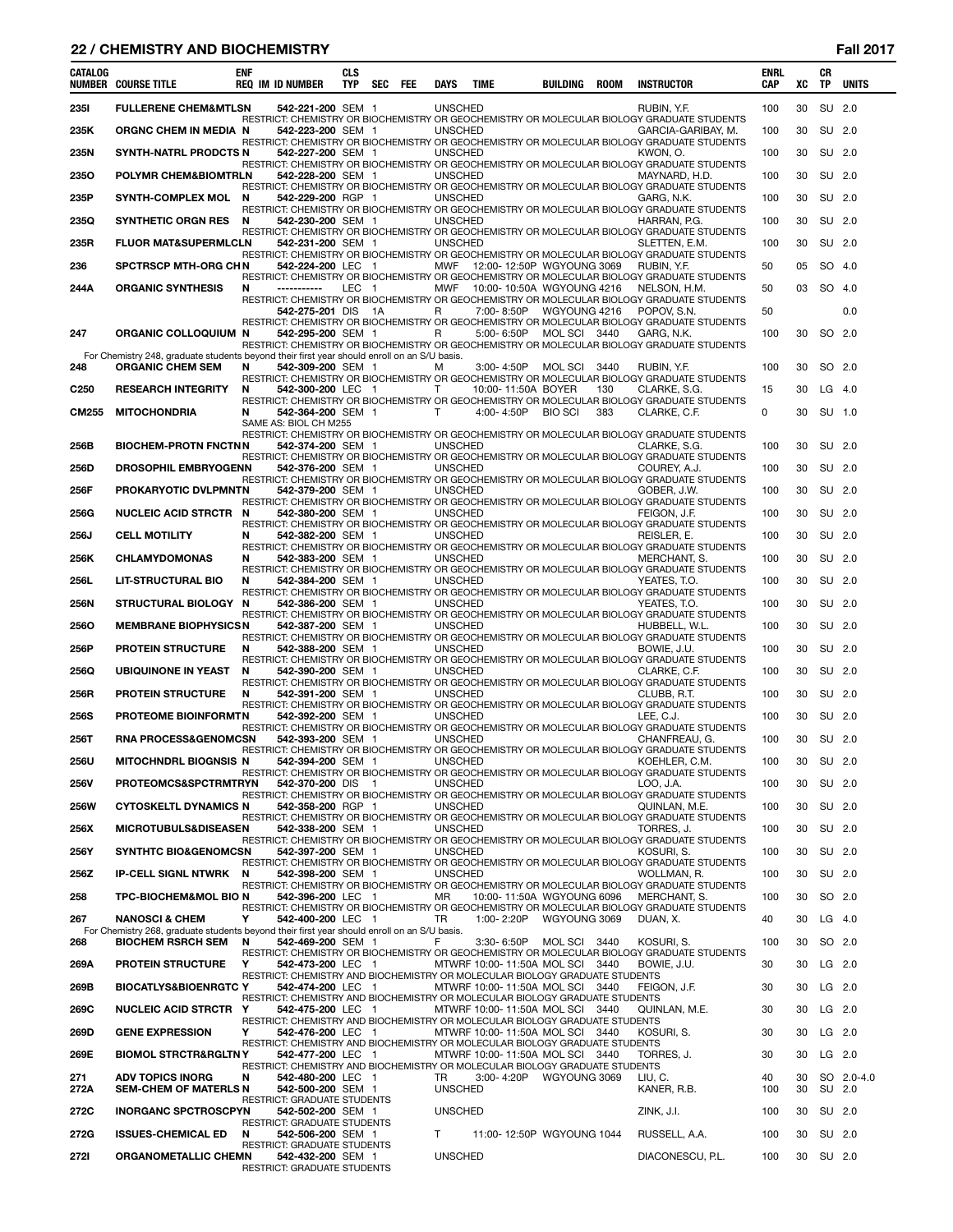# **22 / CHEMISTRY AND BIOCHEMISTRY Fall 2017**

| <b>CATALOG</b>   | <b>NUMBER COURSE TITLE</b>                                                                                               | <b>ENF</b> | <b>REQ IM ID NUMBER</b>                                 | <b>CLS</b><br><b>TYP</b> | SEC | FEE | DAYS                 | <b>TIME</b>                                                                                                    | BUILDING       | <b>ROOM</b> | <b>INSTRUCTOR</b>                                                                                                | <b>ENRL</b><br><b>CAP</b> | XC        | <b>CR</b><br><b>TP</b> | <b>UNITS</b> |
|------------------|--------------------------------------------------------------------------------------------------------------------------|------------|---------------------------------------------------------|--------------------------|-----|-----|----------------------|----------------------------------------------------------------------------------------------------------------|----------------|-------------|------------------------------------------------------------------------------------------------------------------|---------------------------|-----------|------------------------|--------------|
| <b>2351</b>      | <b>FULLERENE CHEM&amp;MTLSN</b>                                                                                          |            | 542-221-200 SEM 1                                       |                          |     |     | <b>UNSCHED</b>       |                                                                                                                |                |             | RUBIN, Y.F.                                                                                                      | 100                       | 30        | <b>SU</b>              | 2.0          |
| 235K             | ORGNC CHEM IN MEDIA N                                                                                                    |            | 542-223-200 SEM 1                                       |                          |     |     | <b>UNSCHED</b>       |                                                                                                                |                |             | RESTRICT: CHEMISTRY OR BIOCHEMISTRY OR GEOCHEMISTRY OR MOLECULAR BIOLOGY GRADUATE STUDENTS<br>GARCIA-GARIBAY, M. | 100                       | 30        | SU 2.0                 |              |
|                  |                                                                                                                          |            |                                                         |                          |     |     |                      |                                                                                                                |                |             | RESTRICT: CHEMISTRY OR BIOCHEMISTRY OR GEOCHEMISTRY OR MOLECULAR BIOLOGY GRADUATE STUDENTS                       |                           |           |                        |              |
| 235N             | SYNTH-NATRL PRODCTS N                                                                                                    |            | 542-227-200 SEM 1                                       |                          |     |     | <b>UNSCHED</b>       |                                                                                                                |                |             | KWON, O.<br>RESTRICT: CHEMISTRY OR BIOCHEMISTRY OR GEOCHEMISTRY OR MOLECULAR BIOLOGY GRADUATE STUDENTS           | 100                       | 30        | SU                     | 2.0          |
| 2350             | <b>POLYMR CHEM&amp;BIOMTRLN</b>                                                                                          |            | 542-228-200 SEM 1                                       |                          |     |     | <b>UNSCHED</b>       |                                                                                                                |                |             | MAYNARD, H.D.<br>RESTRICT: CHEMISTRY OR BIOCHEMISTRY OR GEOCHEMISTRY OR MOLECULAR BIOLOGY GRADUATE STUDENTS      | 100                       | 30        | <b>SU</b>              | 2.0          |
| 235P             | <b>SYNTH-COMPLEX MOL</b>                                                                                                 | N          | 542-229-200 RGP 1                                       |                          |     |     | <b>UNSCHED</b>       |                                                                                                                |                |             | GARG, N.K.                                                                                                       | 100                       | 30        | SU 2.0                 |              |
| 235Q             | <b>SYNTHETIC ORGN RES</b>                                                                                                | N          | 542-230-200 SEM 1                                       |                          |     |     | <b>UNSCHED</b>       |                                                                                                                |                |             | RESTRICT: CHEMISTRY OR BIOCHEMISTRY OR GEOCHEMISTRY OR MOLECULAR BIOLOGY GRADUATE STUDENTS<br>HARRAN, P.G.       | 100                       | 30        | SU                     | 2.0          |
| 235R             | <b>FLUOR MAT&amp;SUPERMLCLN</b>                                                                                          |            | 542-231-200 SEM 1                                       |                          |     |     | <b>UNSCHED</b>       |                                                                                                                |                |             | RESTRICT: CHEMISTRY OR BIOCHEMISTRY OR GEOCHEMISTRY OR MOLECULAR BIOLOGY GRADUATE STUDENTS<br>SLETTEN, E.M.      | 100                       | 30        | SU                     | 2.0          |
| 236              | <b>SPCTRSCP MTH-ORG CHN</b>                                                                                              |            | 542-224-200 LEC 1                                       |                          |     |     |                      | MWF 12:00-12:50P WGYOUNG 3069                                                                                  |                |             | RESTRICT: CHEMISTRY OR BIOCHEMISTRY OR GEOCHEMISTRY OR MOLECULAR BIOLOGY GRADUATE STUDENTS<br>RUBIN, Y.F.        | 50                        | 05        | SO.                    | -4.0         |
|                  |                                                                                                                          |            |                                                         |                          |     |     |                      |                                                                                                                |                |             | RESTRICT: CHEMISTRY OR BIOCHEMISTRY OR GEOCHEMISTRY OR MOLECULAR BIOLOGY GRADUATE STUDENTS                       |                           |           |                        |              |
| 244A             | <b>ORGANIC SYNTHESIS</b>                                                                                                 | N          | -----------                                             | LEC <sub>1</sub>         |     |     |                      | MWF 10:00-10:50A WGYOUNG 4216                                                                                  |                |             | NELSON, H.M.<br>RESTRICT: CHEMISTRY OR BIOCHEMISTRY OR GEOCHEMISTRY OR MOLECULAR BIOLOGY GRADUATE STUDENTS       | 50                        | 03        | <b>SO</b>              | -4.0         |
|                  |                                                                                                                          |            | 542-275-201 DIS                                         |                          | 1A  |     | R                    | 7:00-8:50P                                                                                                     | WGYOUNG 4216   |             | POPOV. S.N.<br>RESTRICT: CHEMISTRY OR BIOCHEMISTRY OR GEOCHEMISTRY OR MOLECULAR BIOLOGY GRADUATE STUDENTS        | 50                        |           |                        | 0.0          |
| 247              | ORGANIC COLLOQUIUM N                                                                                                     |            | 542-295-200 SEM 1                                       |                          |     |     | R                    | 5:00-6:50P                                                                                                     | MOLSCI 3440    |             | GARG, N.K.                                                                                                       | 100                       | 30        | SO.                    | 2.0          |
|                  | For Chemistry 248, graduate students beyond their first year should enroll on an S/U basis.                              |            |                                                         |                          |     |     |                      |                                                                                                                |                |             | RESTRICT: CHEMISTRY OR BIOCHEMISTRY OR GEOCHEMISTRY OR MOLECULAR BIOLOGY GRADUATE STUDENTS                       |                           |           |                        |              |
| 248              | <b>ORGANIC CHEM SEM</b>                                                                                                  | N          | 542-309-200 SEM 1                                       |                          |     |     | м                    | 3:00-4:50P MOLSCI                                                                                              |                | 3440        | RUBIN, Y.F.<br>RESTRICT: CHEMISTRY OR BIOCHEMISTRY OR GEOCHEMISTRY OR MOLECULAR BIOLOGY GRADUATE STUDENTS        | 100                       | 30        | SO 2.0                 |              |
| C <sub>250</sub> | <b>RESEARCH INTEGRITY</b>                                                                                                | N          | 542-300-200 LEC 1                                       |                          |     |     | т                    | 10:00-11:50A BOYER                                                                                             |                | 130         | CLARKE, S.G.<br>RESTRICT: CHEMISTRY OR BIOCHEMISTRY OR GEOCHEMISTRY OR MOLECULAR BIOLOGY GRADUATE STUDENTS       | 15                        | 30        | LG                     | -4.0         |
| <b>CM255</b>     | <b>MITOCHONDRIA</b>                                                                                                      | N          | 542-364-200 SEM 1<br>SAME AS: BIOL CH M255              |                          |     |     | $\mathsf{T}$         | 4:00-4:50P                                                                                                     | <b>BIO SCI</b> | 383         | CLARKE, C.F.                                                                                                     | 0                         | 30        | SU 1.0                 |              |
|                  |                                                                                                                          |            |                                                         |                          |     |     |                      |                                                                                                                |                |             | RESTRICT: CHEMISTRY OR BIOCHEMISTRY OR GEOCHEMISTRY OR MOLECULAR BIOLOGY GRADUATE STUDENTS                       |                           |           |                        |              |
| 256B             | <b>BIOCHEM-PROTN FNCTNN</b>                                                                                              |            | 542-374-200 SEM 1                                       |                          |     |     | <b>UNSCHED</b>       |                                                                                                                |                |             | CLARKE, S.G.<br>RESTRICT: CHEMISTRY OR BIOCHEMISTRY OR GEOCHEMISTRY OR MOLECULAR BIOLOGY GRADUATE STUDENTS       | 100                       | 30        | SU 2.0                 |              |
| 256D             | <b>DROSOPHIL EMBRYOGENN</b>                                                                                              |            | 542-376-200 SEM 1                                       |                          |     |     | <b>UNSCHED</b>       |                                                                                                                |                |             | COUREY, A.J.<br>RESTRICT: CHEMISTRY OR BIOCHEMISTRY OR GEOCHEMISTRY OR MOLECULAR BIOLOGY GRADUATE STUDENTS       | 100                       | 30        | SU 2.0                 |              |
| 256F             | PROKARYOTIC DVLPMNTN                                                                                                     |            | 542-379-200 SEM 1                                       |                          |     |     | <b>UNSCHED</b>       |                                                                                                                |                |             | GOBER. J.W.                                                                                                      | 100                       | 30        | <b>SU</b>              | 2.0          |
| <b>256G</b>      | <b>NUCLEIC ACID STRCTR</b>                                                                                               | N          | 542-380-200 SEM 1                                       |                          |     |     | <b>UNSCHED</b>       |                                                                                                                |                |             | RESTRICT: CHEMISTRY OR BIOCHEMISTRY OR GEOCHEMISTRY OR MOLECULAR BIOLOGY GRADUATE STUDENTS<br>FEIGON, J.F.       | 100                       | 30        | SU 2.0                 |              |
| 256J             | <b>CELL MOTILITY</b>                                                                                                     | N          | 542-382-200 SEM 1                                       |                          |     |     | <b>UNSCHED</b>       |                                                                                                                |                |             | RESTRICT: CHEMISTRY OR BIOCHEMISTRY OR GEOCHEMISTRY OR MOLECULAR BIOLOGY GRADUATE STUDENTS<br>REISLER, E.        | 100                       | 30        | SU                     | 2.0          |
| 256K             | <b>CHLAMYDOMONAS</b>                                                                                                     | N          | 542-383-200 SEM 1                                       |                          |     |     | <b>UNSCHED</b>       |                                                                                                                |                |             | RESTRICT: CHEMISTRY OR BIOCHEMISTRY OR GEOCHEMISTRY OR MOLECULAR BIOLOGY GRADUATE STUDENTS<br>MERCHANT, S.       | 100                       | 30        | SU                     | 2.0          |
| 256L             | <b>LIT-STRUCTURAL BIO</b>                                                                                                | N          | 542-384-200 SEM 1                                       |                          |     |     | <b>UNSCHED</b>       |                                                                                                                |                |             | RESTRICT: CHEMISTRY OR BIOCHEMISTRY OR GEOCHEMISTRY OR MOLECULAR BIOLOGY GRADUATE STUDENTS<br>YEATES, T.O.       | 100                       | 30        | SU 2.0                 |              |
| 256N             | <b>STRUCTURAL BIOLOGY</b>                                                                                                | N          | 542-386-200 SEM 1                                       |                          |     |     | <b>UNSCHED</b>       |                                                                                                                |                |             | RESTRICT: CHEMISTRY OR BIOCHEMISTRY OR GEOCHEMISTRY OR MOLECULAR BIOLOGY GRADUATE STUDENTS<br>YEATES, T.O.       | 100                       | 30        | SU                     | 2.0          |
|                  |                                                                                                                          |            |                                                         |                          |     |     |                      |                                                                                                                |                |             | RESTRICT: CHEMISTRY OR BIOCHEMISTRY OR GEOCHEMISTRY OR MOLECULAR BIOLOGY GRADUATE STUDENTS                       |                           |           |                        |              |
| 2560             | <b>MEMBRANE BIOPHYSICSN</b>                                                                                              |            | 542-387-200 SEM 1                                       |                          |     |     | <b>UNSCHED</b>       |                                                                                                                |                |             | HUBBELL, W.L.<br>RESTRICT: CHEMISTRY OR BIOCHEMISTRY OR GEOCHEMISTRY OR MOLECULAR BIOLOGY GRADUATE STUDENTS      | 100                       | 30        | SU 2.0                 |              |
| 256P             | <b>PROTEIN STRUCTURE</b>                                                                                                 | N          | 542-388-200 SEM 1                                       |                          |     |     | <b>UNSCHED</b>       |                                                                                                                |                |             | BOWIE, J.U.<br>RESTRICT: CHEMISTRY OR BIOCHEMISTRY OR GEOCHEMISTRY OR MOLECULAR BIOLOGY GRADUATE STUDENTS        | 100                       | 30        | SU                     | 2.0          |
| 256Q             | <b>UBIQUINONE IN YEAST</b>                                                                                               | N          | 542-390-200 SEM 1                                       |                          |     |     | <b>UNSCHED</b>       |                                                                                                                |                |             | CLARKE, C.F.<br>RESTRICT: CHEMISTRY OR BIOCHEMISTRY OR GEOCHEMISTRY OR MOLECULAR BIOLOGY GRADUATE STUDENTS       | 100                       | 30        | SU 2.0                 |              |
| 256R             | <b>PROTEIN STRUCTURE</b>                                                                                                 | N          | 542-391-200 SEM 1                                       |                          |     |     | <b>UNSCHED</b>       |                                                                                                                |                |             | CLUBB, R.T.<br>RESTRICT: CHEMISTRY OR BIOCHEMISTRY OR GEOCHEMISTRY OR MOLECULAR BIOLOGY GRADUATE STUDENTS        | 100                       | 30        | <b>SU</b>              | 2.0          |
| 256S             | PROTEOME BIOINFORMTN                                                                                                     |            | 542-392-200 SEM 1                                       |                          |     |     | <b>UNSCHED</b>       |                                                                                                                |                |             | LEE. C.J.<br>RESTRICT: CHEMISTRY OR BIOCHEMISTRY OR GEOCHEMISTRY OR MOLECULAR BIOLOGY GRADUATE STUDENTS          | 100                       | 30        | SU                     | 2.0          |
| 256T             | <b>RNA PROCESS&amp;GENOMCSN</b>                                                                                          |            | 542-393-200 SEM 1                                       |                          |     |     | <b>UNSCHED</b>       |                                                                                                                |                |             | CHANFREAU, G.                                                                                                    | 100                       | 30        | SU 2.0                 |              |
| 256U             | MITOCHNDRL BIOGNSIS N                                                                                                    |            | 542-394-200 SEM 1                                       |                          |     |     | <b>UNSCHED</b>       |                                                                                                                |                |             | RESTRICT: CHEMISTRY OR BIOCHEMISTRY OR GEOCHEMISTRY OR MOLECULAR BIOLOGY GRADUATE STUDENTS<br>KOEHLER. C.M.      | 100                       | 30 SU 2.0 |                        |              |
| 256V             | PROTEOMCS&SPCTRMTRYN                                                                                                     |            | 542-370-200 DIS 1                                       |                          |     |     | <b>UNSCHED</b>       |                                                                                                                |                |             | RESTRICT: CHEMISTRY OR BIOCHEMISTRY OR GEOCHEMISTRY OR MOLECULAR BIOLOGY GRADUATE STUDENTS<br>LOO, J.A.          | 100                       | 30        | SU 2.0                 |              |
| <b>256W</b>      | <b>CYTOSKELTL DYNAMICS N</b>                                                                                             |            | 542-358-200 RGP 1                                       |                          |     |     | <b>UNSCHED</b>       |                                                                                                                |                |             | RESTRICT: CHEMISTRY OR BIOCHEMISTRY OR GEOCHEMISTRY OR MOLECULAR BIOLOGY GRADUATE STUDENTS<br>QUINLAN, M.E.      | 100                       | 30        | SU 2.0                 |              |
| 256X             | <b>MICROTUBULS&amp;DISEASEN</b>                                                                                          |            | 542-338-200 SEM 1                                       |                          |     |     | <b>UNSCHED</b>       |                                                                                                                |                |             | RESTRICT: CHEMISTRY OR BIOCHEMISTRY OR GEOCHEMISTRY OR MOLECULAR BIOLOGY GRADUATE STUDENTS<br>TORRES. J.         | 100                       | 30        | SU 2.0                 |              |
|                  |                                                                                                                          |            |                                                         |                          |     |     |                      |                                                                                                                |                |             | RESTRICT: CHEMISTRY OR BIOCHEMISTRY OR GEOCHEMISTRY OR MOLECULAR BIOLOGY GRADUATE STUDENTS                       |                           |           |                        |              |
| 256Y             | <b>SYNTHTC BIO&amp;GENOMCSN</b>                                                                                          |            | 542-397-200 SEM 1                                       |                          |     |     | <b>UNSCHED</b>       |                                                                                                                |                |             | KOSURI, S.<br>RESTRICT: CHEMISTRY OR BIOCHEMISTRY OR GEOCHEMISTRY OR MOLECULAR BIOLOGY GRADUATE STUDENTS         | 100                       | 30        | SU 2.0                 |              |
| 256Z             | <b>IP-CELL SIGNL NTWRK N</b>                                                                                             |            | 542-398-200 SEM 1                                       |                          |     |     | <b>UNSCHED</b>       |                                                                                                                |                |             | WOLLMAN, R.<br>RESTRICT: CHEMISTRY OR BIOCHEMISTRY OR GEOCHEMISTRY OR MOLECULAR BIOLOGY GRADUATE STUDENTS        | 100                       | 30        | SU 2.0                 |              |
| 258              | <b>TPC-BIOCHEM&amp;MOL BIO N</b>                                                                                         |            | 542-396-200 LEC 1                                       |                          |     |     | MR                   | 10:00-11:50A WGYOUNG 6096                                                                                      |                |             | MERCHANT, S.<br>RESTRICT: CHEMISTRY OR BIOCHEMISTRY OR GEOCHEMISTRY OR MOLECULAR BIOLOGY GRADUATE STUDENTS       | 100                       | 30        | SO 2.0                 |              |
| 267              | <b>NANOSCI &amp; CHEM</b><br>For Chemistry 268, graduate students beyond their first year should enroll on an S/U basis. | Y          | 542-400-200 LEC 1                                       |                          |     |     | TR                   |                                                                                                                |                |             | DUAN, X.                                                                                                         | 40                        | 30        | $LG$ 4.0               |              |
| 268              | <b>BIOCHEM RSRCH SEM</b>                                                                                                 | N          | 542-469-200 SEM 1                                       |                          |     |     | F                    | 3:30-6:50P MOLSCI 3440                                                                                         |                |             | KOSURI, S.                                                                                                       | 100                       | 30        | SO 2.0                 |              |
| 269A             | <b>PROTEIN STRUCTURE</b>                                                                                                 | Y          | 542-473-200 LEC 1                                       |                          |     |     |                      | MTWRF 10:00-11:50A MOLSCI 3440                                                                                 |                |             | RESTRICT: CHEMISTRY OR BIOCHEMISTRY OR GEOCHEMISTRY OR MOLECULAR BIOLOGY GRADUATE STUDENTS<br>BOWIE, J.U.        | 30                        | 30        | LG 2.0                 |              |
| 269B             | <b>BIOCATLYS&amp;BIOENRGTC Y</b>                                                                                         |            | 542-474-200 LEC 1                                       |                          |     |     |                      | RESTRICT: CHEMISTRY AND BIOCHEMISTRY OR MOLECULAR BIOLOGY GRADUATE STUDENTS<br>MTWRF 10:00-11:50A MOL SCI 3440 |                |             | FEIGON, J.F.                                                                                                     | 30                        | 30        | LG 2.0                 |              |
| 269C             | NUCLEIC ACID STRCTR Y                                                                                                    |            | 542-475-200 LEC 1                                       |                          |     |     |                      | RESTRICT: CHEMISTRY AND BIOCHEMISTRY OR MOLECULAR BIOLOGY GRADUATE STUDENTS<br>MTWRF 10:00-11:50A MOL SCI 3440 |                |             | QUINLAN, M.E.                                                                                                    | 30                        | 30        | $LG$ 2.0               |              |
| 269D             | <b>GENE EXPRESSION</b>                                                                                                   | Y          | 542-476-200 LEC 1                                       |                          |     |     |                      | RESTRICT: CHEMISTRY AND BIOCHEMISTRY OR MOLECULAR BIOLOGY GRADUATE STUDENTS<br>MTWRF 10:00-11:50A MOL SCI 3440 |                |             | KOSURI, S.                                                                                                       | 30                        | 30        | $LG$ 2.0               |              |
|                  |                                                                                                                          |            |                                                         |                          |     |     |                      | RESTRICT: CHEMISTRY AND BIOCHEMISTRY OR MOLECULAR BIOLOGY GRADUATE STUDENTS                                    |                |             |                                                                                                                  |                           |           |                        |              |
| 269E             | <b>BIOMOL STRCTR&amp;RGLTNY</b>                                                                                          |            | 542-477-200 LEC 1                                       |                          |     |     |                      | MTWRF 10:00-11:50A MOL SCI 3440<br>RESTRICT: CHEMISTRY AND BIOCHEMISTRY OR MOLECULAR BIOLOGY GRADUATE STUDENTS |                |             | TORRES, J.                                                                                                       | 30                        | 30        | LG 2.0                 |              |
| 271<br>272A      | <b>ADV TOPICS INORG</b><br><b>SEM-CHEM OF MATERLS N</b>                                                                  | N          | 542-480-200 LEC 1<br>542-500-200 SEM 1                  |                          |     |     | TR<br><b>UNSCHED</b> | 3:00-4:20P WGYOUNG 3069                                                                                        |                |             | LIU, C.<br>KANER, R.B.                                                                                           | 40<br>100                 | 30<br>30  | SU 2.0                 | SO 2.0-4.0   |
| 272C             | <b>INORGANC SPCTROSCPYN</b>                                                                                              |            | RESTRICT: GRADUATE STUDENTS<br>542-502-200 SEM 1        |                          |     |     | <b>UNSCHED</b>       |                                                                                                                |                |             | ZINK, J.I.                                                                                                       | 100                       | 30        | SU 2.0                 |              |
| 272G             | <b>ISSUES-CHEMICAL ED</b>                                                                                                | N          | <b>RESTRICT: GRADUATE STUDENTS</b><br>542-506-200 SEM 1 |                          |     |     | T.                   | 11:00-12:50P WGYOUNG 1044                                                                                      |                |             | RUSSELL, A.A.                                                                                                    | 100                       | 30        | SU 2.0                 |              |
|                  |                                                                                                                          |            | RESTRICT: GRADUATE STUDENTS                             |                          |     |     |                      |                                                                                                                |                |             |                                                                                                                  |                           |           |                        |              |
| 272I             | ORGANOMETALLIC CHEMN                                                                                                     |            | 542-432-200 SEM 1<br><b>RESTRICT: GRADUATE STUDENTS</b> |                          |     |     | <b>UNSCHED</b>       |                                                                                                                |                |             | DIACONESCU, P.L.                                                                                                 | 100                       | 30        | SU 2.0                 |              |

÷.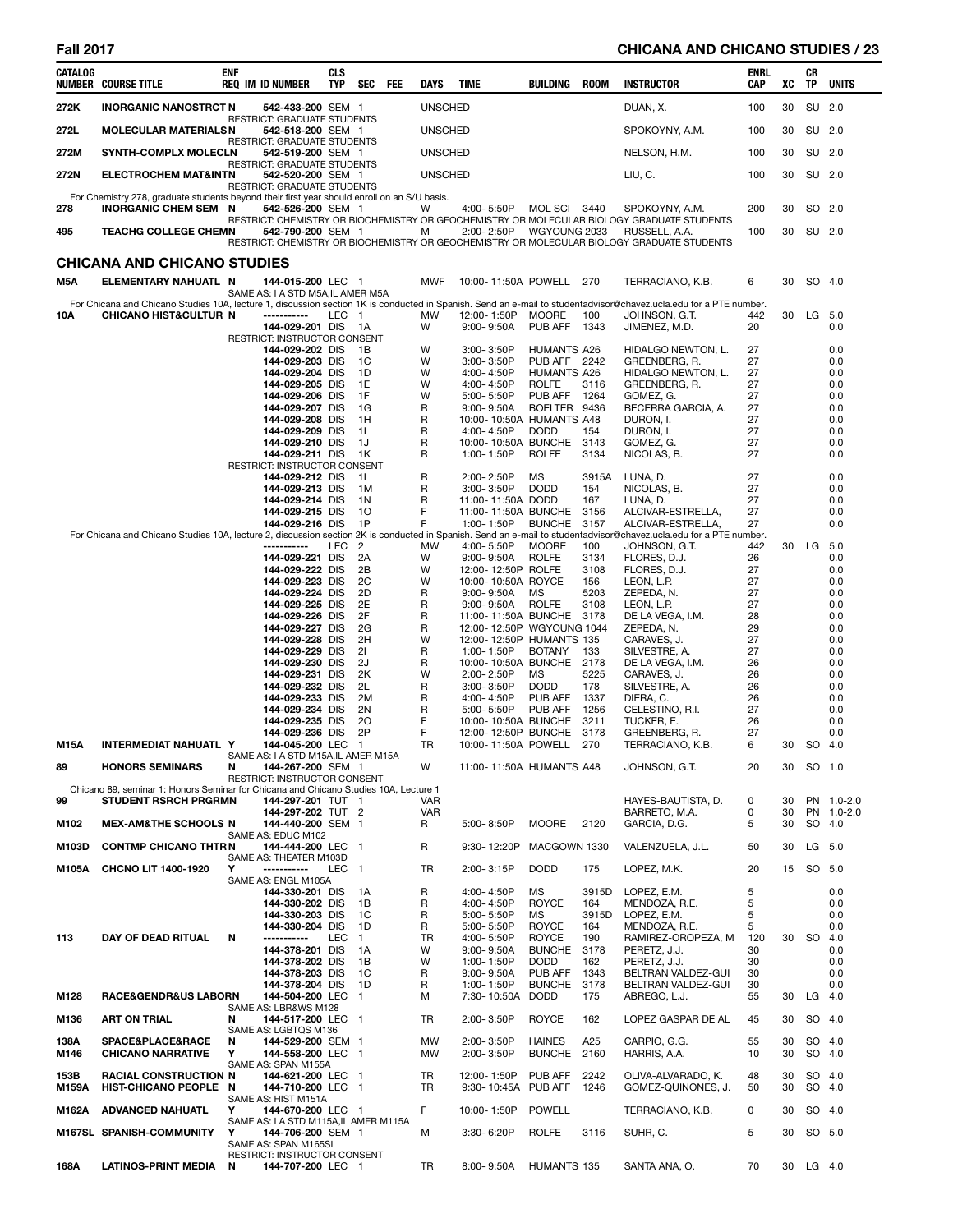# **Fall 2017 CHICANA AND CHICANO STUDIES / 23**

| CATALOG       | <b>NUMBER COURSE TITLE</b>                                                                                                 | <b>ENF</b> | <b>REQ IM ID NUMBER</b>                                                         | <b>CLS</b><br><b>TYP</b> | <b>SEC</b>              | FEE | DAYS           | TIME                                             | BUILDING                           | <b>ROOM</b>  | <b>INSTRUCTOR</b>                                                                                                                                                                                         | ENRL<br>CAP | xс       | CR<br>ΤP  | <b>UNITS</b>     |
|---------------|----------------------------------------------------------------------------------------------------------------------------|------------|---------------------------------------------------------------------------------|--------------------------|-------------------------|-----|----------------|--------------------------------------------------|------------------------------------|--------------|-----------------------------------------------------------------------------------------------------------------------------------------------------------------------------------------------------------|-------------|----------|-----------|------------------|
| 272K          | <b>INORGANIC NANOSTRCT N</b>                                                                                               |            | 542-433-200 SEM 1                                                               |                          |                         |     | <b>UNSCHED</b> |                                                  |                                    |              | DUAN, X.                                                                                                                                                                                                  | 100         | 30       |           | SU 2.0           |
| 272L          | <b>MOLECULAR MATERIALSN</b>                                                                                                |            | RESTRICT: GRADUATE STUDENTS<br>542-518-200 SEM 1                                |                          |                         |     | <b>UNSCHED</b> |                                                  |                                    |              | SPOKOYNY, A.M.                                                                                                                                                                                            | 100         | 30       |           | SU 2.0           |
| 272M          | <b>SYNTH-COMPLX MOLECLN</b>                                                                                                |            | <b>RESTRICT: GRADUATE STUDENTS</b><br>542-519-200 SEM 1                         |                          |                         |     | <b>UNSCHED</b> |                                                  |                                    |              | NELSON, H.M.                                                                                                                                                                                              | 100         | 30       |           | SU 2.0           |
| 272N          | <b>ELECTROCHEM MAT&amp;INTN</b>                                                                                            |            | RESTRICT: GRADUATE STUDENTS<br>542-520-200 SEM 1<br>RESTRICT: GRADUATE STUDENTS |                          |                         |     | <b>UNSCHED</b> |                                                  |                                    |              | LIU, C.                                                                                                                                                                                                   | 100         | 30       |           | SU 2.0           |
| 278           | For Chemistry 278, graduate students beyond their first year should enroll on an S/U basis.<br><b>INORGANIC CHEM SEM N</b> |            | 542-526-200 SEM 1                                                               |                          |                         |     | w              | 4:00-5:50P                                       | MOL SCI 3440                       |              | SPOKOYNY, A.M.                                                                                                                                                                                            | 200         | 30       |           | SO 2.0           |
| 495           | <b>TEACHG COLLEGE CHEMN</b>                                                                                                |            | 542-790-200 SEM 1                                                               |                          |                         |     | м              | 2:00-2:50P                                       | WGYOUNG 2033                       |              | RESTRICT: CHEMISTRY OR BIOCHEMISTRY OR GEOCHEMISTRY OR MOLECULAR BIOLOGY GRADUATE STUDENTS<br>RUSSELL, A.A.<br>RESTRICT: CHEMISTRY OR BIOCHEMISTRY OR GEOCHEMISTRY OR MOLECULAR BIOLOGY GRADUATE STUDENTS | 100         | 30       |           | SU 2.0           |
|               | <b>CHICANA AND CHICANO STUDIES</b>                                                                                         |            |                                                                                 |                          |                         |     |                |                                                  |                                    |              |                                                                                                                                                                                                           |             |          |           |                  |
| M5A           | ELEMENTARY NAHUATL N                                                                                                       |            | 144-015-200 LEC 1                                                               |                          |                         |     | <b>MWF</b>     | 10:00-11:50A POWELL 270                          |                                    |              | TERRACIANO, K.B.                                                                                                                                                                                          | 6           | 30       |           | SO 4.0           |
|               |                                                                                                                            |            | SAME AS: I A STD M5A, IL AMER M5A                                               |                          |                         |     |                |                                                  |                                    |              | For Chicana and Chicano Studies 10A, lecture 1, discussion section 1K is conducted in Spanish. Send an e-mail to studentadvisor@chavez.ucla.edu for a PTE number.                                         |             |          |           |                  |
| 10A           | <b>CHICANO HIST&amp;CULTUR N</b>                                                                                           |            | -----------<br>144-029-201 DIS                                                  | LEC 1                    | - 1A                    |     | MW<br>W        | 12:00-1:50P<br>$9:00 - 9:50A$                    | <b>MOORE</b><br>PUB AFF            | 100<br>1343  | JOHNSON, G.T.<br>JIMENEZ, M.D.                                                                                                                                                                            | 442<br>20   | 30       | LG        | 5.0<br>0.0       |
|               |                                                                                                                            |            | RESTRICT: INSTRUCTOR CONSENT<br>144-029-202 DIS                                 |                          | 1B                      |     | W              | 3:00-3:50P                                       | <b>HUMANTS A26</b>                 |              | HIDALGO NEWTON, L.                                                                                                                                                                                        | 27          |          |           | 0.0              |
|               |                                                                                                                            |            | 144-029-203 DIS                                                                 |                          | 1C                      |     | W              | 3:00-3:50P                                       | PUB AFF 2242                       |              | GREENBERG, R.                                                                                                                                                                                             | 27          |          |           | 0.0              |
|               |                                                                                                                            |            | 144-029-204 DIS<br>144-029-205 DIS                                              |                          | 1D<br>1E                |     | W<br>W         | 4:00-4:50P<br>4:00-4:50P                         | <b>HUMANTS A26</b><br><b>ROLFE</b> | 3116         | HIDALGO NEWTON, L.<br>GREENBERG, R.                                                                                                                                                                       | 27<br>27    |          |           | 0.0<br>0.0       |
|               |                                                                                                                            |            | 144-029-206 DIS                                                                 |                          | 1F                      |     | W              | 5:00-5:50P                                       | PUB AFF                            | 1264         | GOMEZ. G.                                                                                                                                                                                                 | 27          |          |           | 0.0              |
|               |                                                                                                                            |            | 144-029-207 DIS<br>144-029-208 DIS                                              |                          | 1G<br>1H                |     | R<br>R         | $9:00 - 9:50A$<br>10:00-10:50A HUMANTS A48       | BOELTER 9436                       |              | BECERRA GARCIA, A.<br>DURON, I.                                                                                                                                                                           | 27<br>27    |          |           | 0.0<br>0.0       |
|               |                                                                                                                            |            | 144-029-209 DIS                                                                 |                          | -11                     |     | R              | 4:00-4:50P                                       | <b>DODD</b>                        | 154          | DURON, I.                                                                                                                                                                                                 | 27          |          |           | 0.0              |
|               |                                                                                                                            |            | 144-029-210 DIS<br>144-029-211 DIS                                              |                          | 1J<br>1K                |     | R<br>R         | 10:00-10:50A BUNCHE<br>1:00-1:50P                | <b>ROLFE</b>                       | 3143<br>3134 | GOMEZ, G.<br>NICOLAS, B.                                                                                                                                                                                  | 27<br>27    |          |           | 0.0<br>0.0       |
|               |                                                                                                                            |            | RESTRICT: INSTRUCTOR CONSENT                                                    |                          |                         |     |                |                                                  |                                    |              |                                                                                                                                                                                                           |             |          |           |                  |
|               |                                                                                                                            |            | 144-029-212 DIS<br>144-029-213 DIS                                              |                          | 1 L<br>1M               |     | R<br>R         | $2:00 - 2:50P$<br>3:00-3:50P                     | MS<br><b>DODD</b>                  | 3915A<br>154 | LUNA, D.<br>NICOLAS, B.                                                                                                                                                                                   | 27<br>27    |          |           | 0.0<br>0.0       |
|               |                                                                                                                            |            | 144-029-214 DIS                                                                 |                          | 1 <sup>N</sup>          |     | R              | 11:00-11:50A DODD                                |                                    | 167          | LUNA. D.                                                                                                                                                                                                  | 27          |          |           | 0.0              |
|               |                                                                                                                            |            | 144-029-215 DIS<br>144-029-216 DIS                                              |                          | 10<br>1P                |     | F<br>F         | 11:00-11:50A BUNCHE<br>1:00-1:50P                | <b>BUNCHE</b>                      | 3156<br>3157 | ALCIVAR-ESTRELLA,<br>ALCIVAR-ESTRELLA,                                                                                                                                                                    | 27<br>27    |          |           | 0.0<br>0.0       |
|               |                                                                                                                            |            |                                                                                 |                          |                         |     |                |                                                  |                                    |              | For Chicana and Chicano Studies 10A, lecture 2, discussion section 2K is conducted in Spanish. Send an e-mail to studentadvisor@chavez.ucla.edu for a PTE number.                                         |             |          |           |                  |
|               |                                                                                                                            |            | -----------<br>144-029-221 DIS                                                  | LEC                      | $\overline{2}$<br>2A    |     | <b>MW</b><br>W | 4:00-5:50P<br>9:00-9:50A                         | <b>MOORE</b><br><b>ROLFE</b>       | 100<br>3134  | JOHNSON, G.T.<br>FLORES, D.J.                                                                                                                                                                             | 442<br>26   | 30       | LG 5.0    | 0.0              |
|               |                                                                                                                            |            | 144-029-222 DIS                                                                 |                          | 2B                      |     | W              | 12:00-12:50P ROLFE                               |                                    | 3108         | FLORES, D.J.                                                                                                                                                                                              | 27          |          |           | 0.0              |
|               |                                                                                                                            |            | 144-029-223 DIS<br>144-029-224 DIS                                              |                          | 2C<br>2D                |     | W<br>R         | 10:00-10:50A ROYCE<br>$9:00 - 9:50A$             | MS                                 | 156<br>5203  | LEON, L.P.<br>ZEPEDA, N.                                                                                                                                                                                  | 27<br>27    |          |           | 0.0<br>0.0       |
|               |                                                                                                                            |            | 144-029-225 DIS                                                                 |                          | 2E                      |     | R              | $9:00 - 9:50A$                                   | <b>ROLFE</b>                       | 3108         | LEON, L.P.                                                                                                                                                                                                | 27          |          |           | 0.0              |
|               |                                                                                                                            |            | 144-029-226 DIS<br>144-029-227 DIS                                              |                          | 2F<br>2G                |     | R<br>R         | 11:00-11:50A BUNCHE<br>12:00-12:50P WGYOUNG 1044 |                                    | 3178         | DE LA VEGA, I.M.<br>ZEPEDA, N.                                                                                                                                                                            | 28<br>29    |          |           | 0.0<br>0.0       |
|               |                                                                                                                            |            | 144-029-228 DIS                                                                 |                          | 2H                      |     | W              | 12:00-12:50P HUMANTS 135                         |                                    |              | CARAVES, J.                                                                                                                                                                                               | 27          |          |           | 0.0              |
|               |                                                                                                                            |            | 144-029-229 DIS<br>144-029-230 DIS                                              |                          | 21<br>2J                |     | R<br>R         | 1:00-1:50P<br>10:00-10:50A BUNCHE                | <b>BOTANY</b>                      | 133<br>2178  | SILVESTRE, A.<br>DE LA VEGA, I.M.                                                                                                                                                                         | 27<br>26    |          |           | 0.0<br>0.0       |
|               |                                                                                                                            |            | 144-029-231 DIS                                                                 |                          | 2K                      |     | W              | 2:00-2:50P                                       | MS                                 | 5225         | CARAVES, J.                                                                                                                                                                                               | 26          |          |           | 0.0              |
|               |                                                                                                                            |            | 144-029-232 DIS<br>144-029-233 DIS                                              |                          | 2L<br>2M                |     | R<br>R         | 3:00-3:50P<br>4:00-4:50P                         | <b>DODD</b><br>PUB AFF             | 178<br>1337  | SILVESTRE, A.<br>DIERA, C.                                                                                                                                                                                | 26<br>26    |          |           | 0.0<br>0.0       |
|               |                                                                                                                            |            | 144-029-234 DIS                                                                 |                          | 2N                      |     | R              | 5:00-5:50P                                       | PUB AFF                            | 1256         | CELESTINO, R.I.                                                                                                                                                                                           | 27          |          |           | 0.0              |
|               |                                                                                                                            |            | 144-029-235 DIS<br>144-029-236 DIS                                              |                          | 20<br>2P                |     | F<br>F         | 10:00-10:50A BUNCHE<br>12:00-12:50P BUNCHE       |                                    | 3211<br>3178 | TUCKER, E.<br>GREENBERG, R.                                                                                                                                                                               | 26<br>27    |          |           | 0.0<br>0.0       |
| M15A          | INTERMEDIAT NAHUATL Y                                                                                                      |            | 144-045-200 LEC                                                                 |                          | $\overline{\mathbf{1}}$ |     | TR             | 10:00-11:50A POWELL                              |                                    | 270          | TERRACIANO, K.B.                                                                                                                                                                                          | 6           | 30       | SO 4.0    |                  |
| 89            | <b>HONORS SEMINARS</b>                                                                                                     | N          | SAME AS: I A STD M15A, IL AMER M15A<br>144-267-200 SEM 1                        |                          |                         |     | W              | 11:00-11:50A HUMANTS A48                         |                                    |              | JOHNSON, G.T.                                                                                                                                                                                             | 20          | 30       |           | SO 1.0           |
|               |                                                                                                                            |            | RESTRICT: INSTRUCTOR CONSENT                                                    |                          |                         |     |                |                                                  |                                    |              |                                                                                                                                                                                                           |             |          |           |                  |
| 99            | Chicano 89, seminar 1: Honors Seminar for Chicana and Chicano Studies 10A, Lecture 1<br><b>STUDENT RSRCH PRGRMN</b>        |            | 144-297-201 TUT 1                                                               |                          |                         |     | <b>VAR</b>     |                                                  |                                    |              | HAYES-BAUTISTA, D.                                                                                                                                                                                        | 0           | 30       |           | PN 1.0-2.0       |
|               |                                                                                                                            |            | 144-297-202 TUT 2                                                               |                          |                         |     | <b>VAR</b>     |                                                  |                                    |              | BARRETO, M.A.                                                                                                                                                                                             | 0           | 30       |           | PN 1.0-2.0       |
| M102          | <b>MEX-AM&amp;THE SCHOOLS N</b>                                                                                            |            | 144-440-200 SEM 1<br>SAME AS: EDUC M102                                         |                          |                         |     | R              | 5:00-8:50P                                       | <b>MOORE</b>                       | 2120         | GARCIA, D.G.                                                                                                                                                                                              | 5           | 30       |           | SO 4.0           |
| M103D         | <b>CONTMP CHICANO THTRN</b>                                                                                                |            | 144-444-200 LEC 1<br>SAME AS: THEATER M103D                                     |                          |                         |     | R              | 9:30-12:20P                                      | MACGOWN 1330                       |              | VALENZUELA, J.L.                                                                                                                                                                                          | 50          | 30       |           | LG 5.0           |
| M105A         | <b>CHCNO LIT 1400-1920</b>                                                                                                 | Υ          | -----------                                                                     | LEC <sub>1</sub>         |                         |     | TR             | 2:00-3:15P                                       | <b>DODD</b>                        | 175          | LOPEZ, M.K.                                                                                                                                                                                               | 20          | 15       |           | SO 5.0           |
|               |                                                                                                                            |            | SAME AS: ENGL M105A<br>144-330-201 DIS                                          |                          | 1A                      |     | R              | 4:00-4:50P                                       | MS                                 | 3915D        | LOPEZ, E.M.                                                                                                                                                                                               | 5           |          |           | 0.0              |
|               |                                                                                                                            |            | 144-330-202 DIS                                                                 |                          | 1B                      |     | R              | 4:00-4:50P                                       | <b>ROYCE</b>                       | 164          | MENDOZA, R.E.                                                                                                                                                                                             | 5           |          |           | 0.0              |
|               |                                                                                                                            |            | 144-330-203 DIS<br>144-330-204 DIS                                              |                          | 1C<br>1D                |     | R<br>R         | 5:00-5:50P<br>5:00-5:50P                         | MS<br><b>ROYCE</b>                 | 3915D<br>164 | LOPEZ, E.M.<br>MENDOZA, R.E.                                                                                                                                                                              | 5<br>5      |          |           | 0.0<br>0.0       |
| 113           | <b>DAY OF DEAD RITUAL</b>                                                                                                  | N          | -----------                                                                     | LEC                      | $\overline{1}$          |     | TR             | 4:00-5:50P                                       | <b>ROYCE</b>                       | 190          | RAMIREZ-OROPEZA, M                                                                                                                                                                                        | 120         | 30       | <b>SO</b> | 4.0              |
|               |                                                                                                                            |            | 144-378-201 DIS<br>144-378-202 DIS                                              |                          | 1A<br>1B                |     | W<br>W         | 9:00-9:50A<br>1:00-1:50P                         | <b>BUNCHE</b><br><b>DODD</b>       | 3178<br>162  | PERETZ, J.J.<br>PERETZ, J.J.                                                                                                                                                                              | 30<br>30    |          |           | 0.0<br>0.0       |
|               |                                                                                                                            |            | 144-378-203 DIS                                                                 |                          | 1C                      |     | R              | 9:00-9:50A                                       | PUB AFF                            | 1343         | BELTRAN VALDEZ-GUI                                                                                                                                                                                        | 30          |          |           | 0.0              |
| M128          | <b>RACE&amp;GENDR&amp;US LABORN</b>                                                                                        |            | 144-378-204 DIS<br>144-504-200 LEC 1                                            |                          | 1D                      |     | R<br>М         | 1:00-1:50P<br>7:30-10:50A                        | <b>BUNCHE</b><br><b>DODD</b>       | 3178<br>175  | BELTRAN VALDEZ-GUI<br>ABREGO, L.J.                                                                                                                                                                        | 30<br>55    | 30       |           | 0.0<br>$LG$ 4.0  |
| M136          | <b>ART ON TRIAL</b>                                                                                                        | N          | SAME AS: LBR&WS M128<br>144-517-200 LEC 1                                       |                          |                         |     | TR             | 2:00-3:50P                                       | <b>ROYCE</b>                       | 162          | LOPEZ GASPAR DE AL                                                                                                                                                                                        | 45          | 30       |           | SO 4.0           |
|               |                                                                                                                            |            | SAME AS: LGBTQS M136                                                            |                          |                         |     |                |                                                  |                                    |              |                                                                                                                                                                                                           |             |          |           |                  |
| 138A<br>M146  | SPACE&PLACE&RACE<br><b>CHICANO NARRATIVE</b>                                                                               | N<br>Υ     | 144-529-200 SEM 1<br>144-558-200 LEC 1                                          |                          |                         |     | MW<br>MW       | 2:00-3:50P<br>2:00-3:50P                         | <b>HAINES</b><br><b>BUNCHE</b>     | A25<br>2160  | CARPIO, G.G.<br>HARRIS, A.A.                                                                                                                                                                              | 55<br>10    | 30<br>30 |           | SO 4.0<br>SO 4.0 |
|               |                                                                                                                            |            | SAME AS: SPAN M155A                                                             |                          |                         |     |                |                                                  |                                    |              |                                                                                                                                                                                                           |             |          |           |                  |
| 153B<br>M159A | <b>RACIAL CONSTRUCTION N</b><br>HIST-CHICANO PEOPLE N                                                                      |            | 144-621-200 LEC 1<br>144-710-200 LEC 1                                          |                          |                         |     | TR<br>TR       | 12:00-1:50P<br>9:30-10:45A PUB AFF               | PUB AFF                            | 2242<br>1246 | OLIVA-ALVARADO, K.<br>GOMEZ-QUINONES, J.                                                                                                                                                                  | 48<br>50    | 30<br>30 |           | SO 4.0<br>SO 4.0 |
|               |                                                                                                                            |            | SAME AS: HIST M151A                                                             |                          |                         |     |                |                                                  |                                    |              |                                                                                                                                                                                                           |             |          |           |                  |
| M162A         | <b>ADVANCED NAHUATL</b>                                                                                                    | Υ          | 144-670-200 LEC 1<br>SAME AS: I A STD M115A, IL AMER M115A                      |                          |                         |     | F              | 10:00-1:50P                                      | <b>POWELL</b>                      |              | TERRACIANO, K.B.                                                                                                                                                                                          | 0           | 30       |           | SO 4.0           |
|               | M167SL SPANISH-COMMUNITY                                                                                                   | Y          | 144-706-200 SEM 1                                                               |                          |                         |     | м              | 3:30-6:20P                                       | <b>ROLFE</b>                       | 3116         | SUHR, C.                                                                                                                                                                                                  | 5           | 30       |           | SO 5.0           |
|               |                                                                                                                            |            | SAME AS: SPAN M165SL<br>RESTRICT: INSTRUCTOR CONSENT                            |                          |                         |     |                |                                                  |                                    |              |                                                                                                                                                                                                           |             |          |           |                  |
| 168A          | LATINOS-PRINT MEDIA                                                                                                        | N          | 144-707-200 LEC 1                                                               |                          |                         |     | TR             | 8:00-9:50A                                       | HUMANTS 135                        |              | SANTA ANA, O.                                                                                                                                                                                             | 70          |          | 30 LG 4.0 |                  |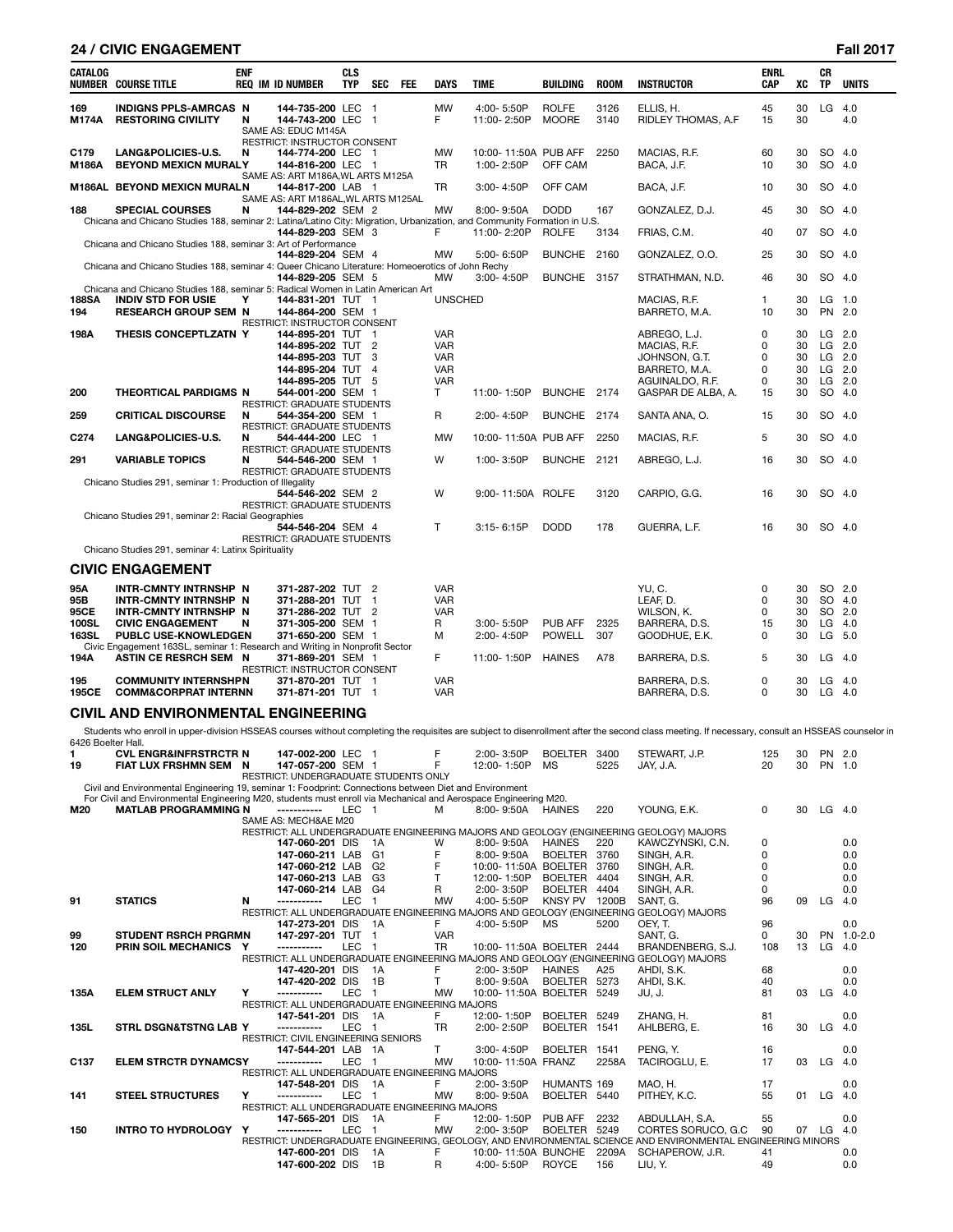# **24 / CIVIC ENGAGEMENT Fall 2017**

| CATALOG                                     | <b>NUMBER COURSE TITLE</b>                                                                                                                                                                                                                                                                    | <b>ENF</b> | <b>REQ IM ID NUMBER</b>                                                                           | <b>CLS</b><br><b>TYP</b> | <b>SEC</b>                                         | FEE | <b>DAYS</b>                                                        | <b>TIME</b>                        | <b>BUILDING</b>              | <b>ROOM</b>  | INSTRUCTOR                                                                                                                                                                                       | <b>ENRL</b><br><b>CAP</b> | xс                         | CR<br><b>TP</b>                                        | <b>UNITS</b> |
|---------------------------------------------|-----------------------------------------------------------------------------------------------------------------------------------------------------------------------------------------------------------------------------------------------------------------------------------------------|------------|---------------------------------------------------------------------------------------------------|--------------------------|----------------------------------------------------|-----|--------------------------------------------------------------------|------------------------------------|------------------------------|--------------|--------------------------------------------------------------------------------------------------------------------------------------------------------------------------------------------------|---------------------------|----------------------------|--------------------------------------------------------|--------------|
| 169<br>M174A                                | <b>INDIGNS PPLS-AMRCAS N</b><br><b>RESTORING CIVILITY</b>                                                                                                                                                                                                                                     | N          | 144-735-200 LEC 1<br>144-743-200 LEC 1<br>SAME AS: EDUC M145A<br>RESTRICT: INSTRUCTOR CONSENT     |                          |                                                    |     | <b>MW</b><br>F                                                     | 4:00-5:50P<br>11:00-2:50P          | <b>ROLFE</b><br><b>MOORE</b> | 3126<br>3140 | ELLIS. H.<br>RIDLEY THOMAS, A.F.                                                                                                                                                                 | 45<br>15                  | 30<br>30                   | LG                                                     | 4.0<br>4.0   |
| C179<br>M186A                               | LANG&POLICIES-U.S.<br><b>BEYOND MEXICN MURALY</b>                                                                                                                                                                                                                                             | N          | 144-774-200 LEC 1<br>144-816-200 LEC 1                                                            |                          |                                                    |     | <b>MW</b><br>TR                                                    | 10:00-11:50A PUB AFF<br>1:00-2:50P | OFF CAM                      | 2250         | MACIAS, R.F.<br>BACA, J.F.                                                                                                                                                                       | 60<br>10                  | 30<br>30                   | SO 4.0<br>SO 4.0                                       |              |
|                                             | M186AL BEYOND MEXICN MURALN                                                                                                                                                                                                                                                                   |            | SAME AS: ART M186A, WL ARTS M125A<br>144-817-200 LAB 1<br>SAME AS: ART M186AL, WL ARTS M125AL     |                          |                                                    |     | <b>TR</b>                                                          | 3:00-4:50P                         | OFF CAM                      |              | BACA, J.F.                                                                                                                                                                                       | 10                        | 30                         | SO 4.0                                                 |              |
| 188                                         | <b>SPECIAL COURSES</b><br>Chicana and Chicano Studies 188, seminar 2: Latina/Latino City: Migration, Urbanization, and Community Formation in U.S.                                                                                                                                            | N          | 144-829-202 SEM 2                                                                                 |                          |                                                    |     | <b>MW</b>                                                          | 8:00-9:50A                         | <b>DODD</b>                  | 167          | GONZALEZ, D.J.                                                                                                                                                                                   | 45                        | 30                         | SO 4.0                                                 |              |
|                                             | Chicana and Chicano Studies 188, seminar 3: Art of Performance                                                                                                                                                                                                                                |            | 144-829-203 SEM 3                                                                                 |                          |                                                    |     | F                                                                  | 11:00-2:20P                        | <b>ROLFE</b>                 | 3134         | FRIAS, C.M.                                                                                                                                                                                      | 40                        | 07                         | SO 4.0                                                 |              |
|                                             | Chicana and Chicano Studies 188, seminar 4: Queer Chicano Literature: Homeoerotics of John Rechy                                                                                                                                                                                              |            | 144-829-204 SEM 4                                                                                 |                          |                                                    |     | <b>MW</b>                                                          | 5:00-6:50P                         | BUNCHE 2160                  |              | GONZALEZ, O.O.                                                                                                                                                                                   | 25                        | 30                         | SO 4.0                                                 |              |
|                                             | Chicana and Chicano Studies 188, seminar 5: Radical Women in Latin American Art                                                                                                                                                                                                               |            | 144-829-205 SEM 5                                                                                 |                          |                                                    |     | MW                                                                 | 3:00-4:50P                         | BUNCHE 3157                  |              | STRATHMAN, N.D.                                                                                                                                                                                  | 46                        | 30                         | SO 4.0                                                 |              |
| <b>188SA</b><br>194                         | <b>INDIV STD FOR USIE</b><br><b>RESEARCH GROUP SEM N</b>                                                                                                                                                                                                                                      | Υ          | 144-831-201 TUT 1<br>144-864-200 SEM 1<br>RESTRICT: INSTRUCTOR CONSENT                            |                          |                                                    |     | <b>UNSCHED</b>                                                     |                                    |                              |              | MACIAS, R.F.<br>BARRETO, M.A.                                                                                                                                                                    | 1<br>10                   | 30<br>30                   | LG<br>PN 2.0                                           | 1.0          |
| 198A                                        | THESIS CONCEPTLZATN Y                                                                                                                                                                                                                                                                         |            | 144-895-201 TUT<br>144-895-202 TUT<br>144-895-203 TUT<br>144-895-204 TUT<br>144-895-205 TUT       |                          | - 1<br>$\overline{2}$<br>3<br>$\overline{4}$<br>-5 |     | <b>VAR</b><br><b>VAR</b><br><b>VAR</b><br><b>VAR</b><br><b>VAR</b> |                                    |                              |              | ABREGO, L.J.<br>MACIAS, R.F.<br>JOHNSON, G.T.<br>BARRETO, M.A.<br>AGUINALDO, R.F.                                                                                                                | 0<br>0<br>0<br>0<br>0     | 30<br>30<br>30<br>30<br>30 | $LG$ 2.0<br>$LG$ 2.0<br>$LG$ 2.0<br>LG 2.0<br>$LG$ 2.0 |              |
| 200                                         | THEORTICAL PARDIGMS N                                                                                                                                                                                                                                                                         |            | 544-001-200 SEM 1<br><b>RESTRICT: GRADUATE STUDENTS</b>                                           |                          |                                                    |     | T                                                                  | 11:00-1:50P                        | BUNCHE 2174                  |              | GASPAR DE ALBA, A.                                                                                                                                                                               | 15                        | 30                         | SO.                                                    | 4.0          |
| 259                                         | <b>CRITICAL DISCOURSE</b>                                                                                                                                                                                                                                                                     | N          | 544-354-200 SEM 1<br>RESTRICT: GRADUATE STUDENTS                                                  |                          |                                                    |     | $\mathsf{R}$                                                       | 2:00-4:50P                         | BUNCHE 2174                  |              | SANTA ANA, O.                                                                                                                                                                                    | 15                        | 30                         | SO 4.0                                                 |              |
| C <sub>274</sub>                            | LANG&POLICIES-U.S.                                                                                                                                                                                                                                                                            | N          | 544-444-200 LEC 1<br><b>RESTRICT: GRADUATE STUDENTS</b>                                           |                          |                                                    |     | <b>MW</b>                                                          | 10:00-11:50A PUB AFF               |                              | 2250         | MACIAS, R.F.                                                                                                                                                                                     | 5                         | 30                         | SO 4.0                                                 |              |
| 291                                         | <b>VARIABLE TOPICS</b>                                                                                                                                                                                                                                                                        | N          | 544-546-200 SEM 1<br><b>RESTRICT: GRADUATE STUDENTS</b>                                           |                          |                                                    |     | W                                                                  | 1:00-3:50P                         | <b>BUNCHE</b>                | 2121         | ABREGO, L.J.                                                                                                                                                                                     | 16                        | 30                         | SO 4.0                                                 |              |
|                                             | Chicano Studies 291, seminar 1: Production of Illegality                                                                                                                                                                                                                                      |            | 544-546-202 SEM 2<br><b>RESTRICT: GRADUATE STUDENTS</b>                                           |                          |                                                    |     | W                                                                  | 9:00-11:50A ROLFE                  |                              | 3120         | CARPIO, G.G.                                                                                                                                                                                     | 16                        | 30                         | SO 4.0                                                 |              |
|                                             | Chicano Studies 291, seminar 2: Racial Geographies                                                                                                                                                                                                                                            |            | 544-546-204 SEM 4<br><b>RESTRICT: GRADUATE STUDENTS</b>                                           |                          |                                                    |     | T                                                                  | $3:15 - 6:15P$                     | <b>DODD</b>                  | 178          | GUERRA, L.F.                                                                                                                                                                                     | 16                        | 30                         | SO 4.0                                                 |              |
|                                             | Chicano Studies 291, seminar 4: Latinx Spirituality                                                                                                                                                                                                                                           |            |                                                                                                   |                          |                                                    |     |                                                                    |                                    |                              |              |                                                                                                                                                                                                  |                           |                            |                                                        |              |
|                                             | <b>CIVIC ENGAGEMENT</b>                                                                                                                                                                                                                                                                       |            |                                                                                                   |                          |                                                    |     |                                                                    |                                    |                              |              |                                                                                                                                                                                                  |                           |                            |                                                        |              |
| 95A<br>95B<br>95CE<br>100SL<br><b>163SL</b> | INTR-CMNTY INTRNSHP N<br>INTR-CMNTY INTRNSHP N<br>INTR-CMNTY INTRNSHP N<br><b>CIVIC ENGAGEMENT</b><br><b>PUBLC USE-KNOWLEDGEN</b><br>Civic Engagement 163SL, seminar 1: Research and Writing in Nonprofit Sector                                                                              | N          | 371-287-202 TUT 2<br>371-288-201 TUT<br>371-286-202 TUT<br>371-305-200 SEM 1<br>371-650-200 SEM 1 |                          | -1<br>$\overline{2}$                               |     | <b>VAR</b><br><b>VAR</b><br><b>VAR</b><br>R<br>м                   | 3:00-5:50P<br>2:00-4:50P           | PUB AFF<br><b>POWELL</b>     | 2325<br>307  | YU, C.<br>LEAF, D.<br>WILSON, K.<br>BARRERA, D.S.<br>GOODHUE, E.K.                                                                                                                               | 0<br>0<br>0<br>15<br>0    | 30<br>30<br>30<br>30<br>30 | SO 2.0<br>SO 4.0<br>SO 2.0<br>LG<br>LG 5.0             | 4.0          |
| 194A                                        | ASTIN CE RESRCH SEM N                                                                                                                                                                                                                                                                         |            | 371-869-201 SEM 1<br>RESTRICT: INSTRUCTOR CONSENT                                                 |                          |                                                    |     | E                                                                  | 11:00-1:50P                        | <b>HAINES</b>                | A78          | BARRERA, D.S.                                                                                                                                                                                    | 5                         | 30                         | $LG$ 4.0                                               |              |
| 195<br>195CE                                | <b>COMMUNITY INTERNSHPN</b><br><b>COMM&amp;CORPRAT INTERNN</b>                                                                                                                                                                                                                                |            | 371-870-201 TUT 1<br>371-871-201 TUT 1                                                            |                          |                                                    |     | <b>VAR</b><br><b>VAR</b>                                           |                                    |                              |              | BARRERA, D.S.<br>BARRERA, D.S.                                                                                                                                                                   | 0<br>0                    | 30<br>30                   | LG<br>$LG$ 4.0                                         | 4.0          |
|                                             | CIVIL AND ENVIRONMENTAL ENGINEERING                                                                                                                                                                                                                                                           |            |                                                                                                   |                          |                                                    |     |                                                                    |                                    |                              |              |                                                                                                                                                                                                  |                           |                            |                                                        |              |
|                                             |                                                                                                                                                                                                                                                                                               |            |                                                                                                   |                          |                                                    |     |                                                                    |                                    |                              |              | Students who enroll in upper-division HSSEAS courses without completing the requisites are subject to disenrollment after the second class meeting. If necessary, consult an HSSEAS counselor in |                           |                            |                                                        |              |
| 6426 Boelter Hall.<br>1<br>19               | <b>CVL ENGR&amp;INFRSTRCTR N</b><br>FIAT LUX FRSHMN SEM N                                                                                                                                                                                                                                     |            | 147-002-200 LEC 1<br>147-057-200 SEM 1<br>RESTRICT: UNDERGRADUATE STUDENTS ONLY                   |                          |                                                    |     | F<br>F                                                             | 2:00-3:50P<br>12:00-1:50P          | BOELTER 3400<br>MS           | 5225         | STEWART, J.P.<br>JAY. J.A.                                                                                                                                                                       | 125<br>20                 | 30<br>30                   | PN 2.0<br>PN 1.0                                       |              |
| M20.                                        | Civil and Environmental Engineering 19, seminar 1: Foodprint: Connections between Diet and Environment<br>For Civil and Environmental Engineering M20, students must enroll via Mechanical and Aerospace Engineering M20.<br><b>MATLAB PROGRAMMING N ---------- IFC 1 M 8:00-9:50A HAINES</b> |            |                                                                                                   |                          |                                                    |     |                                                                    |                                    |                              | 220          | YOUNG FK                                                                                                                                                                                         | <sup>0</sup>              |                            | $30 \quad \text{IG} \quad 40$                          |              |

|                  | For Civil and Environmental Engineering M20, students must enroll via Mechanical and Aerospace Engineering M20. |   |                                                |            |                |            |                           |                |       |                                                                                                              |              |    |           |             |
|------------------|-----------------------------------------------------------------------------------------------------------------|---|------------------------------------------------|------------|----------------|------------|---------------------------|----------------|-------|--------------------------------------------------------------------------------------------------------------|--------------|----|-----------|-------------|
| M20              | <b>MATLAB PROGRAMMING N</b>                                                                                     |   |                                                | LEC 1      |                | м          | $8:00 - 9:50A$            | <b>HAINES</b>  | 220   | YOUNG, E.K.                                                                                                  | 0            | 30 | $LG$ 4.0  |             |
|                  |                                                                                                                 |   | SAME AS: MECH&AE M20                           |            |                |            |                           |                |       |                                                                                                              |              |    |           |             |
|                  |                                                                                                                 |   |                                                |            |                |            |                           |                |       | RESTRICT: ALL UNDERGRADUATE ENGINEERING MAJORS AND GEOLOGY (ENGINEERING GEOLOGY) MAJORS                      |              |    |           |             |
|                  |                                                                                                                 |   | 147-060-201 DIS                                |            | 1A             | W          | 8:00-9:50A                | <b>HAINES</b>  | 220   | KAWCZYNSKI, C.N.                                                                                             | 0            |    |           | 0.0         |
|                  |                                                                                                                 |   | 147-060-211 LAB                                |            | G <sub>1</sub> |            | 8:00-9:50A                | <b>BOELTER</b> | 3760  | SINGH, A.R.                                                                                                  | 0            |    |           | 0.0         |
|                  |                                                                                                                 |   | 147-060-212 LAB                                |            | G <sub>2</sub> |            | 10:00-11:50A BOELTER 3760 |                |       | SINGH, A.R.                                                                                                  |              |    |           | 0.0         |
|                  |                                                                                                                 |   | 147-060-213 LAB                                |            | G <sub>3</sub> |            | 12:00-1:50P               | <b>BOELTER</b> | 4404  | SINGH, A.R.                                                                                                  | <sup>0</sup> |    |           | 0.0         |
|                  |                                                                                                                 |   | 147-060-214 LAB                                |            | G4             | R          | 2:00-3:50P                | <b>BOELTER</b> | 4404  | SINGH, A.R.                                                                                                  | 0            |    |           | 0.0         |
| 91               | <b>STATICS</b>                                                                                                  | N | ------------                                   | <b>LEC</b> |                | <b>MW</b>  | 4:00-5:50P                | <b>KNSY PV</b> | 1200B | SANT, G.                                                                                                     | 96           | 09 | LG.       | 4.0         |
|                  |                                                                                                                 |   |                                                |            |                |            |                           |                |       | RESTRICT: ALL UNDERGRADUATE ENGINEERING MAJORS AND GEOLOGY (ENGINEERING GEOLOGY) MAJORS                      |              |    |           |             |
|                  |                                                                                                                 |   | 147-273-201 DIS                                |            | - 1 A          | F.         | 4:00-5:50P                | <b>MS</b>      | 5200  | OEY. T.                                                                                                      | 96           |    |           | 0.0         |
| 99               | <b>STUDENT RSRCH PRGRMN</b>                                                                                     |   | 147-297-201 TUT                                |            | $\overline{1}$ | <b>VAR</b> |                           |                |       | SANT, G.                                                                                                     | 0            | 30 | <b>PN</b> | $1.0 - 2.0$ |
| 120              | <b>PRIN SOIL MECHANICS</b>                                                                                      | Y | -----------                                    | <b>LEC</b> | -1             | <b>TR</b>  | 10:00-11:50A BOELTER 2444 |                |       | BRANDENBERG, S.J.                                                                                            | 108          | 13 | LG.       | 4.0         |
|                  |                                                                                                                 |   |                                                |            |                |            |                           |                |       | RESTRICT: ALL UNDERGRADUATE ENGINEERING MAJORS AND GEOLOGY (ENGINEERING GEOLOGY) MAJORS                      |              |    |           |             |
|                  |                                                                                                                 |   | 147-420-201 DIS                                |            | 1A             | F          | 2:00-3:50P                | <b>HAINES</b>  | A25   | AHDI, S.K.                                                                                                   | 68           |    |           | 0.0         |
|                  |                                                                                                                 |   | 147-420-202 DIS                                |            | 1B             |            | 8:00-9:50A                | <b>BOELTER</b> | 5273  | AHDI, S.K.                                                                                                   | 40           |    |           | 0.0         |
| 135A             | <b>ELEM STRUCT ANLY</b>                                                                                         | Υ | -----------                                    | <b>LEC</b> |                | <b>MW</b>  | 10:00-11:50A BOELTER 5249 |                |       | JU.J.                                                                                                        | 81           | 03 | LG.       | 4.0         |
|                  |                                                                                                                 |   | RESTRICT: ALL UNDERGRADUATE ENGINEERING MAJORS |            |                |            |                           |                |       |                                                                                                              |              |    |           |             |
|                  |                                                                                                                 |   | 147-541-201 DIS                                |            | 1A             | F          | 12:00-1:50P               | BOELTER 5249   |       | ZHANG. H.                                                                                                    | 81           |    |           | 0.0         |
| 135L             | <b>STRL DSGN&amp;TSTNG LAB Y</b>                                                                                |   |                                                | <b>LEC</b> |                | <b>TR</b>  | 2:00-2:50P                | <b>BOELTER</b> | 1541  | AHLBERG. E.                                                                                                  | 16           | 30 | LG        | 4.0         |
|                  |                                                                                                                 |   | RESTRICT: CIVIL ENGINEERING SENIORS            |            |                |            |                           |                |       |                                                                                                              |              |    |           |             |
|                  |                                                                                                                 |   | 147-544-201 LAB 1A                             |            |                | T.         | 3:00-4:50P                | BOELTER 1541   |       | PENG. Y.                                                                                                     | 16           |    |           | 0.0         |
| C <sub>137</sub> | <b>ELEM STRCTR DYNAMCSY</b>                                                                                     |   | ------------                                   | <b>LEC</b> |                | <b>MW</b>  | 10:00-11:50A FRANZ        |                | 2258A | TACIROGLU, E.                                                                                                | 17           | 03 | LG.       | 4.0         |
|                  |                                                                                                                 |   | RESTRICT: ALL UNDERGRADUATE ENGINEERING MAJORS |            |                |            |                           |                |       |                                                                                                              |              |    |           |             |
|                  |                                                                                                                 |   | 147-548-201 DIS                                |            | 1A             | F          | 2:00-3:50P                | HUMANTS 169    |       | MAO, H.                                                                                                      | 17           |    |           | 0.0         |
| 141              | <b>STEEL STRUCTURES</b>                                                                                         | Υ | -----------                                    | LEC        |                | <b>MW</b>  | 8:00-9:50A                | BOELTER 5440   |       | PITHEY, K.C.                                                                                                 | 55           | 01 | LG        | 4.0         |
|                  |                                                                                                                 |   | RESTRICT: ALL UNDERGRADUATE ENGINEERING MAJORS |            |                |            |                           |                |       |                                                                                                              |              |    |           |             |
|                  |                                                                                                                 |   | 147-565-201 DIS                                |            | - 1A           | F          | 12:00-1:50P               | PUB AFF        | 2232  | ABDULLAH. S.A.                                                                                               | 55           |    |           | 0.0         |
| 150              | <b>INTRO TO HYDROLOGY</b>                                                                                       | Y | ------------                                   | <b>LEC</b> |                | <b>MW</b>  | 2:00-3:50P                | <b>BOELTER</b> | 5249  | CORTES SORUCO, G.C.                                                                                          | 90           | 07 | LG.       | 4.0         |
|                  |                                                                                                                 |   |                                                |            |                |            |                           |                |       | RESTRICT: UNDERGRADUATE ENGINEERING. GEOLOGY. AND ENVIRONMENTAL SCIENCE AND ENVIRONMENTAL ENGINEERING MINORS |              |    |           |             |
|                  |                                                                                                                 |   | 147-600-201 DIS                                |            | 1A             | F          | 10:00-11:50A BUNCHE       |                | 2209A | SCHAPEROW, J.R.                                                                                              | 41           |    |           | 0.0         |
|                  |                                                                                                                 |   | 147-600-202 DIS                                |            | 1B             | R          | 4:00-5:50P                | <b>ROYCE</b>   | 156   | LIU. Y.                                                                                                      | 49           |    |           | 0.0         |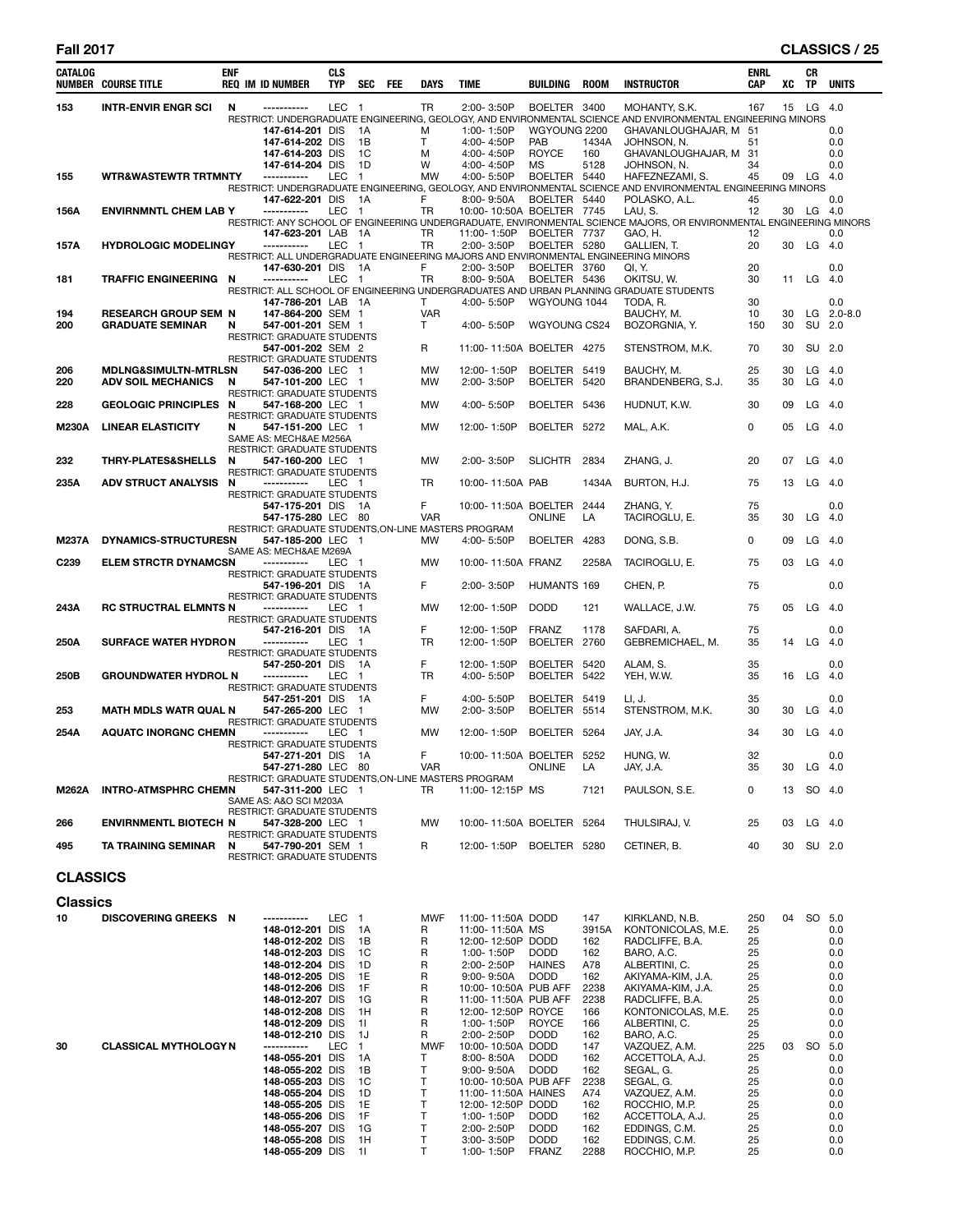### **Fall 2017 CLASSICS / 25**

| CATALOG         | <b>NUMBER COURSE TITLE</b>      | <b>ENF</b> | <b>REQ IM ID NUMBER</b>                                                                                | <b>CLS</b><br><b>TYP</b> | <b>SEC</b><br>FEE    | <b>DAYS</b>     | <b>TIME</b>                                 | <b>BUILDING</b>            | ROOM        | <b>INSTRUCTOR</b>                                                                                                                     | <b>ENRL</b><br><b>CAP</b> | xс | CR<br><b>TP</b> | <b>UNITS</b> |
|-----------------|---------------------------------|------------|--------------------------------------------------------------------------------------------------------|--------------------------|----------------------|-----------------|---------------------------------------------|----------------------------|-------------|---------------------------------------------------------------------------------------------------------------------------------------|---------------------------|----|-----------------|--------------|
| 153             | <b>INTR-ENVIR ENGR SCI</b>      | N          | ------------                                                                                           | <b>LEC</b>               | - 1                  | TR              | 2:00-3:50P                                  | BOELTER 3400               |             | MOHANTY, S.K.                                                                                                                         | 167                       | 15 | LG              | 4.0          |
|                 |                                 |            | 147-614-201 DIS                                                                                        |                          | 1A                   | м               | 1:00-1:50P                                  | WGYOUNG 2200               |             | RESTRICT: UNDERGRADUATE ENGINEERING, GEOLOGY, AND ENVIRONMENTAL SCIENCE AND ENVIRONMENTAL ENGINEERING MINORS<br>GHAVANLOUGHAJAR, M 51 |                           |    |                 | 0.0          |
|                 |                                 |            | 147-614-202 DIS                                                                                        |                          | 1B                   | Т               | 4:00-4:50P                                  | PAB                        | 1434A       | JOHNSON, N.                                                                                                                           | 51                        |    |                 | 0.0          |
|                 |                                 |            | 147-614-203 DIS<br>147-614-204 DIS                                                                     |                          | 1C<br>1D             | M<br>W          | 4:00-4:50P<br>4:00-4:50P                    | ROYCE<br>MS                | 160<br>5128 | GHAVANLOUGHAJAR, M<br>JOHNSON, N.                                                                                                     | 31<br>34                  |    |                 | 0.0<br>0.0   |
| 155             | <b>WTR&amp;WASTEWTR TRTMNTY</b> |            | ------------                                                                                           | LEC                      | $\blacksquare$       | <b>MW</b>       | 4:00-5:50P                                  | BOELTER 5440               |             | HAFEZNEZAMI, S.                                                                                                                       | 45                        |    | 09 LG 4.0       |              |
|                 |                                 |            | 147-622-201 DIS                                                                                        |                          | - 1A                 | F               | 8:00-9:50A                                  | BOELTER 5440               |             | RESTRICT: UNDERGRADUATE ENGINEERING, GEOLOGY, AND ENVIRONMENTAL SCIENCE AND ENVIRONMENTAL ENGINEERING MINORS<br>POLASKO, A.L.         | 45                        |    |                 | 0.0          |
| 156A            | <b>ENVIRNMNTL CHEM LAB Y</b>    |            | -----------                                                                                            | <b>LEC</b>               | $\overline{1}$       | <b>TR</b>       | 10:00-10:50A BOELTER 7745                   |                            |             | LAU, S.                                                                                                                               | 12                        |    | 30 LG 4.0       |              |
|                 |                                 |            | 147-623-201 LAB                                                                                        |                          | - 1A                 | <b>TR</b>       | 11:00-1:50P                                 | BOELTER 7737               |             | RESTRICT: ANY SCHOOL OF ENGINEERING UNDERGRADUATE, ENVIRONMENTAL SCIENCE MAJORS, OR ENVIRONMENTAL ENGINEERING MINORS<br>GAO, H.       | 12                        |    |                 | 0.0          |
| 157A            | <b>HYDROLOGIC MODELINGY</b>     |            | -----------                                                                                            | LEC                      | $\overline{1}$       | TR              | 2:00-3:50P                                  | BOELTER 5280               |             | GALLIEN, T.                                                                                                                           | 20                        | 30 | LG              | 4.0          |
|                 |                                 |            | RESTRICT: ALL UNDERGRADUATE ENGINEERING MAJORS AND ENVIRONMENTAL ENGINEERING MINORS<br>147-630-201 DIS |                          | 1A                   | F               | 2:00-3:50P                                  | BOELTER 3760               |             | QI, Y.                                                                                                                                | 20                        |    |                 | 0.0          |
| 181             | <b>TRAFFIC ENGINEERING N</b>    |            | -----------                                                                                            | LEC                      | $\overline{1}$       | TR              | 8:00-9:50A                                  | BOELTER 5436               |             | OKITSU, W.                                                                                                                            | 30                        | 11 | LG              | 4.0          |
|                 |                                 |            | 147-786-201 LAB 1A                                                                                     |                          |                      | T.              | 4:00-5:50P                                  | WGYOUNG 1044               |             | RESTRICT: ALL SCHOOL OF ENGINEERING UNDERGRADUATES AND URBAN PLANNING GRADUATE STUDENTS<br>TODA, R.                                   | 30                        |    |                 | 0.0          |
| 194             | <b>RESEARCH GROUP SEM N</b>     |            | 147-864-200 SEM 1                                                                                      |                          |                      | <b>VAR</b>      |                                             |                            |             | BAUCHY, M.                                                                                                                            | 10                        | 30 |                 | $LG$ 2.0-8.0 |
| 200             | <b>GRADUATE SEMINAR</b>         | N          | 547-001-201 SEM 1<br><b>RESTRICT: GRADUATE STUDENTS</b>                                                |                          |                      | T               | 4:00-5:50P                                  | WGYOUNG CS24               |             | BOZORGNIA, Y.                                                                                                                         | 150                       | 30 | SU              | 2.0          |
|                 |                                 |            | 547-001-202 SEM 2                                                                                      |                          |                      | R               | 11:00-11:50A BOELTER 4275                   |                            |             | STENSTROM, M.K.                                                                                                                       | 70                        | 30 | SU 2.0          |              |
| 206             | <b>MDLNG&amp;SIMULTN-MTRLSN</b> |            | <b>RESTRICT: GRADUATE STUDENTS</b><br>547-036-200 LEC                                                  |                          | $\blacksquare$       | <b>MW</b>       | 12:00-1:50P                                 | BOELTER 5419               |             | BAUCHY, M.                                                                                                                            | 25                        | 30 | LG              | 4.0          |
| 220             | <b>ADV SOIL MECHANICS</b>       | N          | 547-101-200 LEC                                                                                        |                          | - 1                  | <b>MW</b>       | 2:00-3:50P                                  | BOELTER 5420               |             | BRANDENBERG, S.J.                                                                                                                     | 35                        | 30 | LG              | 4.0          |
| 228             | <b>GEOLOGIC PRINCIPLES N</b>    |            | <b>RESTRICT: GRADUATE STUDENTS</b><br>547-168-200 LEC 1                                                |                          |                      | MW              | 4:00-5:50P                                  | BOELTER 5436               |             | HUDNUT, K.W.                                                                                                                          | 30                        | 09 | LG              | 4.0          |
|                 |                                 |            | <b>RESTRICT: GRADUATE STUDENTS</b>                                                                     |                          |                      |                 |                                             |                            |             |                                                                                                                                       |                           |    |                 |              |
| <b>M230A</b>    | <b>LINEAR ELASTICITY</b>        | N          | 547-151-200 LEC 1<br>SAME AS: MECH&AE M256A                                                            |                          |                      | MW              | 12:00-1:50P                                 | BOELTER 5272               |             | MAL. A.K.                                                                                                                             | 0                         | 05 | LG              | -4.0         |
|                 |                                 |            | RESTRICT: GRADUATE STUDENTS                                                                            |                          |                      |                 |                                             |                            |             |                                                                                                                                       |                           |    |                 |              |
| 232             | <b>THRY-PLATES&amp;SHELLS</b>   | N          | 547-160-200 LEC 1<br><b>RESTRICT: GRADUATE STUDENTS</b>                                                |                          |                      | MW              | 2:00-3:50P                                  | <b>SLICHTR</b>             | 2834        | ZHANG, J.                                                                                                                             | 20                        | 07 | $LG$ 4.0        |              |
| 235A            | <b>ADV STRUCT ANALYSIS</b>      | N          | -----------<br>RESTRICT: GRADUATE STUDENTS                                                             | LEC                      | $\blacksquare$       | TR              | 10:00-11:50A PAB                            |                            | 1434A       | BURTON, H.J.                                                                                                                          | 75                        | 13 | LG              | -4.0         |
|                 |                                 |            | 547-175-201 DIS                                                                                        |                          | - 1A                 | F               | 10:00-11:50A BOELTER                        |                            | 2444        | ZHANG, Y.                                                                                                                             | 75                        |    |                 | 0.0          |
|                 |                                 |            | 547-175-280 LEC 80<br>RESTRICT: GRADUATE STUDENTS, ON-LINE MASTERS PROGRAM                             |                          |                      | VAR             |                                             | <b>ONLINE</b>              | LA          | TACIROGLU, E.                                                                                                                         | 35                        | 30 | LG              | 4.0          |
| <b>M237A</b>    | DYNAMICS-STRUCTURESN            |            | 547-185-200 LEC                                                                                        |                          | - 1                  | MW              | 4:00-5:50P                                  | <b>BOELTER</b>             | 4283        | DONG, S.B.                                                                                                                            | 0                         | 09 | LG              | 4.0          |
| C239            | <b>ELEM STRCTR DYNAMCSN</b>     |            | SAME AS: MECH&AE M269A<br>-----------                                                                  | LEC 1                    |                      | <b>MW</b>       | 10:00-11:50A FRANZ                          |                            | 2258A       | TACIROGLU, E.                                                                                                                         | 75                        | 03 | LG              | 4.0          |
|                 |                                 |            | RESTRICT: GRADUATE STUDENTS                                                                            |                          |                      |                 |                                             |                            |             |                                                                                                                                       |                           |    |                 |              |
|                 |                                 |            | 547-196-201 DIS 1A<br><b>RESTRICT: GRADUATE STUDENTS</b>                                               |                          |                      | F               | 2:00-3:50P                                  | HUMANTS 169                |             | CHEN, P.                                                                                                                              | 75                        |    |                 | 0.0          |
| 243A            | RC STRUCTRAL ELMNTS N           |            | -----------                                                                                            | LEC                      | - 1                  | MW              | 12:00-1:50P                                 | <b>DODD</b>                | 121         | WALLACE, J.W.                                                                                                                         | 75                        | 05 | LG              | 4.0          |
|                 |                                 |            | <b>RESTRICT: GRADUATE STUDENTS</b><br>547-216-201 DIS                                                  |                          | 1A                   | F               | 12:00-1:50P                                 | <b>FRANZ</b>               | 1178        | SAFDARI, A.                                                                                                                           | 75                        |    |                 | 0.0          |
| 250A            | <b>SURFACE WATER HYDRON</b>     |            | -----------<br><b>RESTRICT: GRADUATE STUDENTS</b>                                                      | LEC                      | - 1                  | TR              | 12:00-1:50P                                 | <b>BOELTER</b>             | 2760        | GEBREMICHAEL, M.                                                                                                                      | 35                        | 14 | LG              | 4.0          |
|                 |                                 |            | 547-250-201 DIS                                                                                        |                          | - 1A                 | F               | 12:00-1:50P                                 | BOELTER 5420               |             | ALAM, S.                                                                                                                              | 35                        |    |                 | 0.0          |
| 250B            | <b>GROUNDWATER HYDROL N</b>     |            | -----------<br>RESTRICT: GRADUATE STUDENTS                                                             | <b>LEC</b>               | $\overline{1}$       | TR              | 4:00-5:50P                                  | BOELTER 5422               |             | YEH, W.W.                                                                                                                             | 35                        | 16 | LG              | -4.0         |
|                 |                                 |            | 547-251-201 DIS                                                                                        |                          | - 1A                 | F               | 4:00-5:50P                                  | BOELTER 5419               |             | LI, J.                                                                                                                                | 35                        |    |                 | 0.0          |
| 253             | <b>MATH MDLS WATR QUAL N</b>    |            | 547-265-200 LEC<br><b>RESTRICT: GRADUATE STUDENTS</b>                                                  |                          | - 1                  | MW              | 2:00-3:50P                                  | BOELTER 5514               |             | STENSTROM, M.K.                                                                                                                       | 30                        | 30 | LG              | - 4.0        |
| 254A            | <b>AQUATC INORGNC CHEMN</b>     |            | -----------                                                                                            | LEC                      | - 1                  | MW              | 12:00-1:50P                                 | BOELTER 5264               |             | JAY, J.A.                                                                                                                             | 34                        | 30 | LG              | 4.0          |
|                 |                                 |            | <b>RESTRICT: GRADUATE STUDENTS</b><br>547-271-201 DIS                                                  |                          | - 1A                 | F               | 10:00-11:50A BOELTER 5252                   |                            |             | HUNG, W.                                                                                                                              | 32                        |    |                 | 0.0          |
|                 |                                 |            | 547-271-280 LEC 80                                                                                     |                          |                      | VAR             |                                             | <b>ONLINE</b>              | LA          | JAY, J.A.                                                                                                                             | 35                        | 30 | $LG$ 4.0        |              |
| M262A           | <b>INTRO-ATMSPHRC CHEMN</b>     |            | RESTRICT: GRADUATE STUDENTS, ON-LINE MASTERS PROGRAM<br>547-311-200 LEC                                |                          | - 1                  | TR              | 11:00-12:15P MS                             |                            | 7121        | PAULSON, S.E.                                                                                                                         | 0                         | 13 | SO 4.0          |              |
|                 |                                 |            | SAME AS: A&O SCI M203A<br>RESTRICT: GRADUATE STUDENTS                                                  |                          |                      |                 |                                             |                            |             |                                                                                                                                       |                           |    |                 |              |
| 266             | <b>ENVIRNMENTL BIOTECH N</b>    |            | 547-328-200 LEC 1                                                                                      |                          |                      | <b>MW</b>       | 10:00-11:50A BOELTER 5264                   |                            |             | THULSIRAJ, V.                                                                                                                         | 25                        | 03 | $LG$ 4.0        |              |
| 495             | TA TRAINING SEMINAR             | N          | RESTRICT: GRADUATE STUDENTS<br>547-790-201 SEM 1                                                       |                          |                      | R               | 12:00-1:50P BOELTER 5280                    |                            |             | CETINER, B.                                                                                                                           | 40                        | 30 | SU 2.0          |              |
|                 |                                 |            | <b>RESTRICT: GRADUATE STUDENTS</b>                                                                     |                          |                      |                 |                                             |                            |             |                                                                                                                                       |                           |    |                 |              |
| <b>CLASSICS</b> |                                 |            |                                                                                                        |                          |                      |                 |                                             |                            |             |                                                                                                                                       |                           |    |                 |              |
| <b>Classics</b> |                                 |            |                                                                                                        |                          |                      |                 |                                             |                            |             |                                                                                                                                       |                           |    |                 |              |
| 10              | <b>DISCOVERING GREEKS N</b>     |            | -----------                                                                                            | <b>LEC</b>               | $\overline{1}$       | <b>MWF</b>      | 11:00-11:50A DODD                           |                            | 147         | KIRKLAND. N.B.                                                                                                                        | 250                       | 04 | SO 5.0          |              |
|                 |                                 |            | 148-012-201 DIS                                                                                        |                          | 1A                   | R               | 11:00-11:50A MS                             |                            | 3915A       | KONTONICOLAS, M.E.                                                                                                                    | 25                        |    |                 | 0.0          |
|                 |                                 |            | 148-012-202 DIS<br>148-012-203 DIS                                                                     |                          | 1B<br>1C             | R<br>R          | 12:00-12:50P DODD<br>1:00-1:50P             | <b>DODD</b>                | 162<br>162  | RADCLIFFE, B.A.<br>BARO, A.C.                                                                                                         | 25<br>25                  |    |                 | 0.0<br>0.0   |
|                 |                                 |            | 148-012-204 DIS                                                                                        |                          | 1D                   | R               | 2:00-2:50P                                  | <b>HAINES</b>              | A78         | ALBERTINI, C.                                                                                                                         | 25                        |    |                 | 0.0          |
|                 |                                 |            | 148-012-205 DIS<br>148-012-206 DIS                                                                     |                          | 1E<br>1F             | R<br>R          | $9:00 - 9:50A$<br>10:00-10:50A PUB AFF      | <b>DODD</b>                | 162<br>2238 | AKIYAMA-KIM, J.A.<br>AKIYAMA-KIM, J.A.                                                                                                | 25<br>25                  |    |                 | 0.0<br>0.0   |
|                 |                                 |            | 148-012-207 DIS                                                                                        |                          | 1G                   | R               | 11:00-11:50A PUB AFF                        |                            | 2238        | RADCLIFFE, B.A.                                                                                                                       | 25                        |    |                 | 0.0          |
|                 |                                 |            | 148-012-208 DIS<br>148-012-209 DIS                                                                     |                          | 1H<br>11             | R<br>R          | 12:00-12:50P ROYCE<br>1:00-1:50P            | <b>ROYCE</b>               | 166<br>166  | KONTONICOLAS, M.E.<br>ALBERTINI, C.                                                                                                   | 25<br>25                  |    |                 | 0.0<br>0.0   |
|                 |                                 |            | 148-012-210 DIS                                                                                        |                          | 1J                   | R               | 2:00-2:50P                                  | <b>DODD</b>                | 162         | BARO, A.C.                                                                                                                            | 25                        |    |                 | 0.0          |
| 30              | <b>CLASSICAL MYTHOLOGY N</b>    |            | -----------<br>148-055-201                                                                             | LEC<br><b>DIS</b>        | $\overline{1}$<br>1A | <b>MWF</b><br>Т | 10:00-10:50A DODD<br>8:00-8:50A             | <b>DODD</b>                | 147<br>162  | VAZQUEZ, A.M.<br>ACCETTOLA, A.J.                                                                                                      | 225<br>25                 |    | 03 SO           | 5.0<br>0.0   |
|                 |                                 |            | 148-055-202 DIS                                                                                        |                          | 1B                   | T               | $9:00 - 9:50A$                              | <b>DODD</b>                | 162         | SEGAL, G.                                                                                                                             | 25                        |    |                 | 0.0          |
|                 |                                 |            | 148-055-203<br>148-055-204 DIS                                                                         | <b>DIS</b>               | 1C<br>1D             | T<br>T          | 10:00-10:50A PUB AFF<br>11:00-11:50A HAINES |                            | 2238<br>A74 | SEGAL, G.<br>VAZQUEZ, A.M.                                                                                                            | 25<br>25                  |    |                 | 0.0<br>0.0   |
|                 |                                 |            | 148-055-205 DIS                                                                                        |                          | 1E                   | Τ               | 12:00-12:50P DODD                           |                            | 162         | ROCCHIO, M.P.                                                                                                                         | 25                        |    |                 | 0.0          |
|                 |                                 |            | 148-055-206 DIS<br>148-055-207 DIS                                                                     |                          | 1F<br>1G             | T<br>Т          | 1:00-1:50P<br>2:00-2:50P                    | <b>DODD</b><br><b>DODD</b> | 162<br>162  | ACCETTOLA, A.J.<br>EDDINGS, C.M.                                                                                                      | 25<br>25                  |    |                 | 0.0<br>0.0   |
|                 |                                 |            | 148-055-208 DIS                                                                                        |                          | 1H                   | T               | $3:00 - 3:50P$                              | <b>DODD</b>                | 162         | EDDINGS, C.M.                                                                                                                         | 25                        |    |                 | 0.0          |
|                 |                                 |            | 148-055-209 DIS                                                                                        |                          | 11                   | $\mathsf{T}$    | 1:00-1:50P                                  | <b>FRANZ</b>               | 2288        | ROCCHIO, M.P.                                                                                                                         | 25                        |    |                 | 0.0          |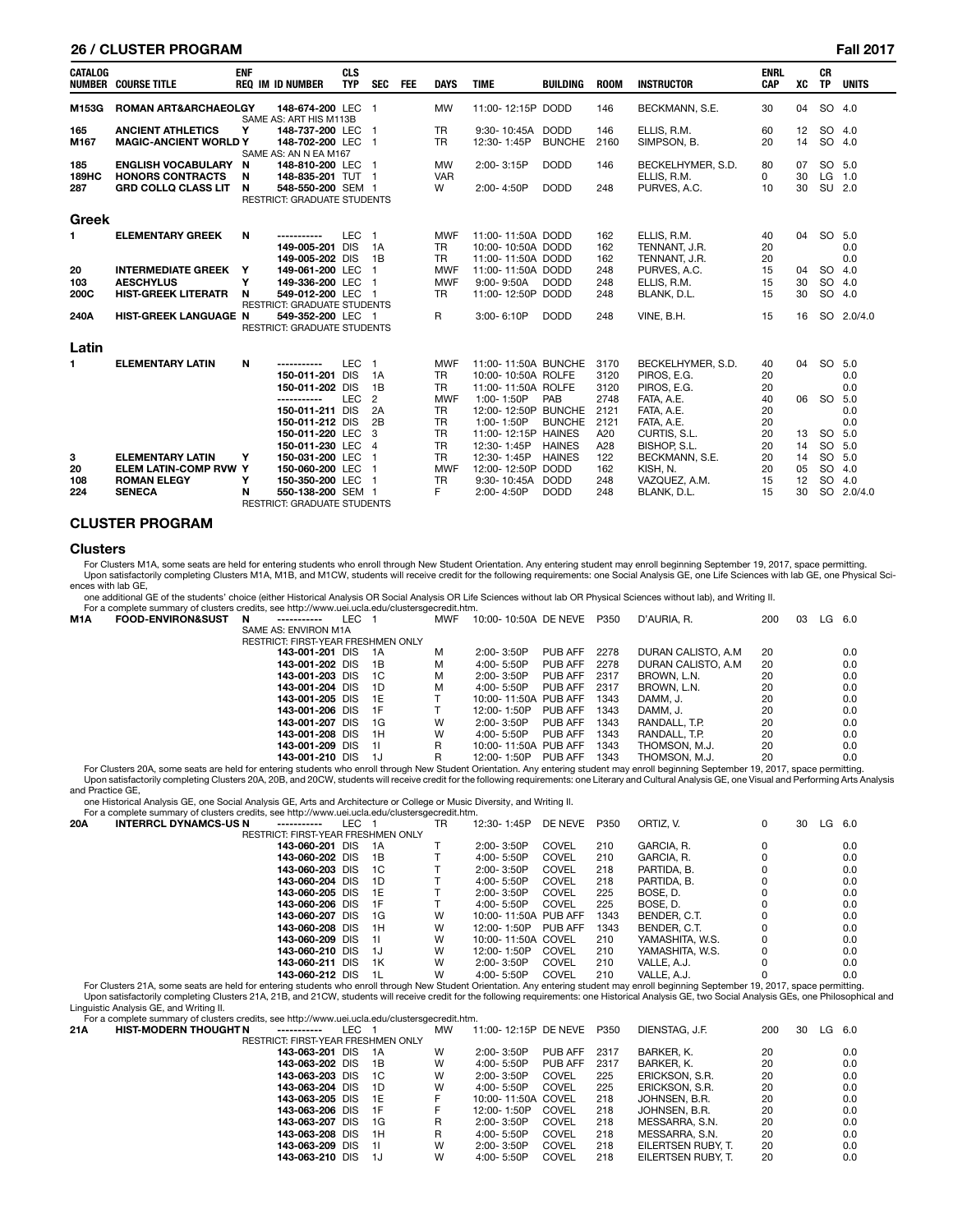### **26 / CLUSTER PROGRAM Fall 2017**

| <b>CATALOG</b> | <b>NUMBER COURSE TITLE</b>      | <b>ENF</b> | <b>REQ IM ID NUMBER</b>                     | <b>CLS</b><br><b>TYP</b> | <b>SEC</b>     | <b>FEE</b> | <b>DAYS</b> | <b>TIME</b>         | <b>BUILDING</b> | <b>ROOM</b> | <b>INSTRUCTOR</b> | <b>ENRL</b><br><b>CAP</b> | XC                | <b>CR</b><br><b>TP</b> | <b>UNITS</b> |
|----------------|---------------------------------|------------|---------------------------------------------|--------------------------|----------------|------------|-------------|---------------------|-----------------|-------------|-------------------|---------------------------|-------------------|------------------------|--------------|
| M153G          | <b>ROMAN ART&amp;ARCHAEOLGY</b> |            | 148-674-200 LEC 1<br>SAME AS: ART HIS M113B |                          |                |            | <b>MW</b>   | 11:00-12:15P DODD   |                 | 146         | BECKMANN, S.E.    | 30                        | 04                | SO 4.0                 |              |
| 165            | <b>ANCIENT ATHLETICS</b>        | Υ          | 148-737-200 LEC 1                           |                          |                |            | <b>TR</b>   | 9:30-10:45A         | <b>DODD</b>     | 146         | ELLIS, R.M.       | 60                        | $12 \overline{ }$ | SO 4.0                 |              |
| M167           | <b>MAGIC-ANCIENT WORLD Y</b>    |            | 148-702-200 LEC 1                           |                          |                |            | <b>TR</b>   | 12:30-1:45P         | <b>BUNCHE</b>   | 2160        | SIMPSON, B.       | 20                        | 14                | <b>SO</b>              | 4.0          |
|                |                                 |            | SAME AS: AN N EA M167                       |                          |                |            |             |                     |                 |             |                   |                           |                   |                        |              |
| 185            | <b>ENGLISH VOCABULARY</b>       | N          | 148-810-200 LEC 1                           |                          |                |            | <b>MW</b>   | 2:00-3:15P          | <b>DODD</b>     | 146         | BECKELHYMER, S.D. | 80                        | 07                | SO.                    | 5.0          |
| <b>189HC</b>   | <b>HONORS CONTRACTS</b>         | N          | 148-835-201 TUT 1                           |                          |                |            | <b>VAR</b>  |                     |                 |             | ELLIS. R.M.       | 0                         | 30                | LG                     | 1.0          |
| 287            | <b>GRD COLLO CLASS LIT</b>      | N          | 548-550-200 SEM 1                           |                          |                |            | W           | 2:00-4:50P          | <b>DODD</b>     | 248         | PURVES, A.C.      | 10                        | 30                | SU 2.0                 |              |
|                |                                 |            | <b>RESTRICT: GRADUATE STUDENTS</b>          |                          |                |            |             |                     |                 |             |                   |                           |                   |                        |              |
| <b>Greek</b>   |                                 |            |                                             |                          |                |            |             |                     |                 |             |                   |                           |                   |                        |              |
| 1.             | <b>ELEMENTARY GREEK</b>         | N          | -----------                                 | LEC <sub>1</sub>         |                |            | <b>MWF</b>  | 11:00-11:50A DODD   |                 | 162         | ELLIS. R.M.       | 40                        | 04                | <b>SO</b>              | 5.0          |
|                |                                 |            | 149-005-201 DIS                             |                          | 1A             |            | <b>TR</b>   | 10:00-10:50A DODD   |                 | 162         | TENNANT, J.R.     | 20                        |                   |                        | 0.0          |
|                |                                 |            | 149-005-202 DIS                             |                          | 1B             |            | <b>TR</b>   | 11:00-11:50A DODD   |                 | 162         | TENNANT, J.R.     | 20                        |                   |                        | 0.0          |
| 20             | <b>INTERMEDIATE GREEK</b>       | Y          | 149-061-200 LEC                             |                          |                |            | <b>MWF</b>  | 11:00-11:50A DODD   |                 | 248         | PURVES, A.C.      | 15                        | 04                | <b>SO</b>              | 4.0          |
| 103            | <b>AESCHYLUS</b>                | Y          | 149-336-200 LEC                             |                          |                |            | <b>MWF</b>  | 9:00-9:50A          | <b>DODD</b>     | 248         | ELLIS. R.M.       | 15                        | 30                | <b>SO</b>              | 4.0          |
| 200C           | <b>HIST-GREEK LITERATR</b>      | N          | 549-012-200 LEC 1                           |                          |                |            | <b>TR</b>   | 11:00-12:50P        | <b>DODD</b>     | 248         | BLANK, D.L.       | 15                        | 30                | SO                     | 4.0          |
|                |                                 |            | <b>RESTRICT: GRADUATE STUDENTS</b>          |                          |                |            |             |                     |                 |             |                   |                           |                   |                        |              |
| 240A           | <b>HIST-GREEK LANGUAGE N</b>    |            | 549-352-200 LEC 1                           |                          |                |            | R           | 3:00-6:10P          | <b>DODD</b>     | 248         | VINE, B.H.        | 15                        | 16                |                        | SO 2.0/4.0   |
|                |                                 |            | <b>RESTRICT: GRADUATE STUDENTS</b>          |                          |                |            |             |                     |                 |             |                   |                           |                   |                        |              |
| Latin          |                                 |            |                                             |                          |                |            |             |                     |                 |             |                   |                           |                   |                        |              |
| 1.             | <b>ELEMENTARY LATIN</b>         | N          | -----------                                 | <b>LEC</b>               | $\overline{1}$ |            | <b>MWF</b>  | 11:00-11:50A BUNCHE |                 | 3170        | BECKELHYMER, S.D. | 40                        | 04                | <b>SO</b>              | 5.0          |
|                |                                 |            | 150-011-201 DIS                             |                          | 1A             |            | <b>TR</b>   | 10:00-10:50A ROLFE  |                 | 3120        | PIROS. E.G.       | 20                        |                   |                        | 0.0          |
|                |                                 |            | 150-011-202 DIS                             |                          | 1B             |            | <b>TR</b>   | 11:00-11:50A ROLFE  |                 | 3120        | PIROS, E.G.       | 20                        |                   |                        | 0.0          |
|                |                                 |            | -----------                                 | <b>LEC</b>               | $\overline{2}$ |            | <b>MWF</b>  | 1:00-1:50P          | <b>PAB</b>      | 2748        | FATA, A.E.        | 40                        | 06                | <b>SO</b>              | 5.0          |
|                |                                 |            | 150-011-211 DIS                             |                          | 2A             |            | <b>TR</b>   | 12:00-12:50P BUNCHE |                 | 2121        | FATA, A.E.        | 20                        |                   |                        | 0.0          |
|                |                                 |            | 150-011-212 DIS                             |                          | 2B             |            | <b>TR</b>   | $1:00 - 1:50P$      | <b>BUNCHE</b>   | 2121        | FATA, A.E.        | 20                        |                   |                        | 0.0          |
|                |                                 |            | 150-011-220 LEC                             |                          | - 3            |            | <b>TR</b>   | 11:00-12:15P HAINES |                 | A20         | CURTIS, S.L.      | 20                        | 13                | <b>SO</b>              | 5.0          |
|                |                                 |            | 150-011-230 LEC                             |                          | $\overline{4}$ |            | <b>TR</b>   | 12:30-1:45P         | <b>HAINES</b>   | A28         | BISHOP, S.L.      | 20                        | 14                | <b>SO</b>              | 5.0          |
| 3              | <b>ELEMENTARY LATIN</b>         | Y          | 150-031-200 LEC                             |                          |                |            | <b>TR</b>   | 12:30-1:45P         | <b>HAINES</b>   | 122         | BECKMANN, S.E.    | 20                        | 14                | <b>SO</b>              | 5.0          |
| 20             | <b>ELEM LATIN-COMP RVW Y</b>    |            | 150-060-200 LEC                             |                          |                |            | <b>MWF</b>  | 12:00-12:50P        | <b>DODD</b>     | 162         | KISH. N.          | 20                        | 05                | <b>SO</b>              | 4.0          |
| 108            | <b>ROMAN ELEGY</b>              | Y          | 150-350-200 LEC                             |                          |                |            | <b>TR</b>   | 9:30-10:45A         | <b>DODD</b>     | 248         | VAZQUEZ. A.M.     | 15                        | 12                | <b>SO</b>              | 4.0          |
| 224            | <b>SENECA</b>                   | N          | 550-138-200 SEM 1                           |                          |                |            | F           | 2:00-4:50P          | <b>DODD</b>     | 248         | BLANK. D.L.       | 15                        | 30                | <b>SO</b>              | 2.0/4.0      |
|                |                                 |            | <b>RESTRICT: GRADUATE STUDENTS</b>          |                          |                |            |             |                     |                 |             |                   |                           |                   |                        |              |

# **CLUSTER PROGRAM**

#### **Clusters**

For Clusters M1A, some seats are held for entering students who enroll through New Student Orientation. Any entering student may enroll beginning September 19, 2017, space permitting.<br>Upon satisfactorily completing Cluster ences with lab GE,

one additional GE of the students' choice (either Historical Analysis OR Social Analysis OR Life Sciences without lab OR Physical Sciences without lab), and Writing II.

|     | For a complete summary of clusters credits, see http://www.uei.ucla.edu/clustersgecredit.htm.                                                                                                                                  |   |                      |       |                                    |     |                      |                |      |                     |     |    |          |     |
|-----|--------------------------------------------------------------------------------------------------------------------------------------------------------------------------------------------------------------------------------|---|----------------------|-------|------------------------------------|-----|----------------------|----------------|------|---------------------|-----|----|----------|-----|
| M1A | <b>FOOD-ENVIRON&amp;SUST</b>                                                                                                                                                                                                   | N | -----------          | LEC 1 |                                    | MWF | 10:00-10:50A DE NEVE |                | P350 | D'AURIA. R.         | 200 | 03 | $LG$ 6.0 |     |
|     |                                                                                                                                                                                                                                |   | SAME AS: ENVIRON M1A |       |                                    |     |                      |                |      |                     |     |    |          |     |
|     |                                                                                                                                                                                                                                |   |                      |       | RESTRICT: FIRST-YEAR FRESHMEN ONLY |     |                      |                |      |                     |     |    |          |     |
|     |                                                                                                                                                                                                                                |   | 143-001-201 DIS      |       | - 1A                               | м   | $2:00 - 3:50P$       | <b>PUB AFF</b> | 2278 | DURAN CALISTO, A.M. | 20  |    |          | 0.0 |
|     |                                                                                                                                                                                                                                |   | 143-001-202 DIS      |       | - 1B                               | М   | $4:00 - 5:50P$       | PUB AFF        | 2278 | DURAN CALISTO, A.M. | 20  |    |          | 0.0 |
|     |                                                                                                                                                                                                                                |   | 143-001-203 DIS      |       | - 1C                               | М   | 2:00-3:50P           | <b>PUB AFF</b> | 2317 | BROWN, L.N.         | 20  |    |          | 0.0 |
|     |                                                                                                                                                                                                                                |   | 143-001-204 DIS      |       | 1D                                 | м   | $4:00 - 5:50P$       | PUB AFF        | 2317 | BROWN, L.N.         | 20  |    |          | 0.0 |
|     |                                                                                                                                                                                                                                |   | 143-001-205 DIS      |       | - 1E                               |     | 10:00-11:50A PUB AFF |                | 1343 | DAMM. J.            | 20  |    |          | 0.0 |
|     |                                                                                                                                                                                                                                |   | 143-001-206 DIS      |       | - 1 F                              |     | 12:00-1:50P          | <b>PUB AFF</b> | 1343 | DAMM. J.            | 20  |    |          | 0.0 |
|     |                                                                                                                                                                                                                                |   | 143-001-207 DIS      |       | - 1G                               | W   | $2:00 - 3:50P$       | PUB AFF        | 1343 | RANDALL, T.P.       | 20  |    |          | 0.0 |
|     |                                                                                                                                                                                                                                |   | 143-001-208 DIS      |       | - 1H                               | W   | $4:00 - 5:50P$       | <b>PUB AFF</b> | 1343 | RANDALL, T.P.       | 20  |    |          | 0.0 |
|     |                                                                                                                                                                                                                                |   | 143-001-209 DIS      |       | - 11                               | R   | 10:00-11:50A PUB AFF |                | 1343 | THOMSON, M.J.       | 20  |    |          | 0.0 |
|     |                                                                                                                                                                                                                                |   | 143-001-210 DIS      |       | - 1.J                              | R   | 12:00-1:50P          | PUB AFF        | 1343 | THOMSON, M.J.       | 20  |    |          | 0.0 |
|     | For Objective OAA (1996) 1994) and the formal contribution of the College Contribution Association of the contribution of the Contract of AAA (AAAA) is a constitution of the Contract of COAA (2007) is a constitution of the |   |                      |       |                                    |     |                      |                |      |                     |     |    |          |     |

For Clusters 20A, some seats are held for entering students who enroll through New Student Orientation. Any entering student may enroll beginning September 19, 2017, space permitting.<br>Upon satisfactorily completing Cluster and Practice GE,

one Historical Analysis GE, one Social Analysis GE, Arts and Architecture or College or Music Diversity, and Writing II.

For a complete summary of clusters credits, see http://www.uei.ucla.edu/clustersgecredit.htm.<br>20A INTERRCL DYNAMCS-US N ------------ LEC 1 TR 1 **20A INTERRCL DYNAMCS-US N -----------** LEC 1 TR 12:30- 1:45P DE NEVE P350 ORTIZ, V. 0 30 LG 6.0 RESTRICT: FIRST-YEAR FRESHMEN ONLY<br>143-060-201 DIS 1A **143-060-201** DIS 1A T 2:00-3:50P COVEL 210 GARCIA, R. 0 0.0 0.0<br>**143-060-202** DIS 1B T 4:00-5:50P COVEL 210 GARCIA, R. 0 0.0 0.0 **143-060-202** DIS 1B T 4:00-5:50P COVEL 210 GARCIA, R. 0 0.0 0.0<br>**143-060-203** DIS 1C T 2:00-3:50P COVEL 218 PARTIDA.B. 0 0.0 0.0  **143-060-203** DIS 1C T 2:00- 3:50P COVEL 218 PARTIDA, B. 0 0.0 **143-060-204** DIS 1D T 4:00-5:50P COVEL 218 PARTIDA, B. 0 0.0 0.0<br>**143-060-204** DIS 1D T 4:00-5:50P COVEL 218 PARTIDA, B. 0 0.0 0.0  **143-060-205** DIS 1E T 2:00- 3:50P COVEL 225 BOSE, D. 0 0.0 **143-060-206** DIS 1F T 4:00-5:50P COVEL 225 BOSE, D. 0 0.0 0.0  **143-060-207** DIS 1G W 10:00- 11:50A PUB AFF 1343 BENDER, C.T. 0 0.0  **143-060-208** DIS 1H W 12:00- 1:50P PUB AFF 1343 BENDER, C.T. 0 0.0  **143-060-209** DIS 1I W 10:00- 11:50A COVEL 210 YAMASHITA, W.S. 0 0.0  **143-060-210** DIS 1J W 12:00- 1:50P COVEL 210 YAMASHITA, W.S. 0 0.0 **143-060-211** DIS 1K W 2:00- 3:50P COVEL 210 VALLE, A.J. 0 0.0  **143-060-212** DIS 1L W 4:00- 5:50P COVEL 210 VALLE, A.J. 0 0.0 For Clusters 21A, some seats are held for entering students who enroll through New Student Orientation. Any entering student may enroll beginning September 19, 2017, space permitting.

Upon satisfactorily completing Clusters 21A, 21B, and 21CW, students will receive credit for the following requirements: one Historical Analysis GE, two Social Analysis GEs, one Philosophical and Linguistic Analysis GE, and Writing II.

For a complete summary of clusters credits, see http://www.uei.ucla.edu/clustersgecredit.htm.

| 21A | <b>HIST-MODERN THOUGHT N</b><br>----------- | LEC 1 | МW | 11:00-12:15P DE NEVE P350 |              |      | DIENSTAG, J.F.     | 200 | 30 | $LG$ 6.0 |     |
|-----|---------------------------------------------|-------|----|---------------------------|--------------|------|--------------------|-----|----|----------|-----|
|     | <b>RESTRICT: FIRST-YEAR FRESHMEN ONLY</b>   |       |    |                           |              |      |                    |     |    |          |     |
|     | 143-063-201 DIS 1A                          |       | W  | $2:00 - 3:50P$            | PUB AFF      | 2317 | BARKER. K.         | 20  |    |          | 0.0 |
|     | 143-063-202 DIS                             | - 1B  | W  | 4:00- 5:50P               | PUB AFF      | 2317 | BARKER. K.         | 20  |    |          | 0.0 |
|     | 143-063-203 DIS 1C                          |       | W  | 2:00-3:50P                | <b>COVEL</b> | 225  | ERICKSON, S.R.     | 20  |    |          | 0.0 |
|     | 143-063-204 DIS                             | - 1D  | W  | 4:00-5:50P                | <b>COVEL</b> | 225  | ERICKSON, S.R.     | 20  |    |          | 0.0 |
|     | 143-063-205 DIS 1E                          |       | F  | 10:00-11:50A COVEL        |              | 218  | JOHNSEN, B.R.      | 20  |    |          | 0.0 |
|     | 143-063-206 DIS 1F                          |       | F. | 12:00-1:50P               | COVEL        | 218  | JOHNSEN, B.R.      | 20  |    |          | 0.0 |
|     | 143-063-207 DIS                             | - 1G  | R  | 2:00-3:50P                | <b>COVEL</b> | 218  | MESSARRA, S.N.     | 20  |    |          | 0.0 |
|     | 143-063-208 DIS                             | - 1H  | R  | 4:00- 5:50P               | <b>COVEL</b> | 218  | MESSARRA. S.N.     | 20  |    |          | 0.0 |
|     | 143-063-209 DIS                             | $-11$ | W  | 2:00-3:50P                | <b>COVEL</b> | 218  | EILERTSEN RUBY. T. | 20  |    |          | 0.0 |
|     | 143-063-210 DIS                             | - 1J  | W  | 4:00- 5:50P               | <b>COVEL</b> | 218  | EILERTSEN RUBY. T. | 20  |    |          | 0.0 |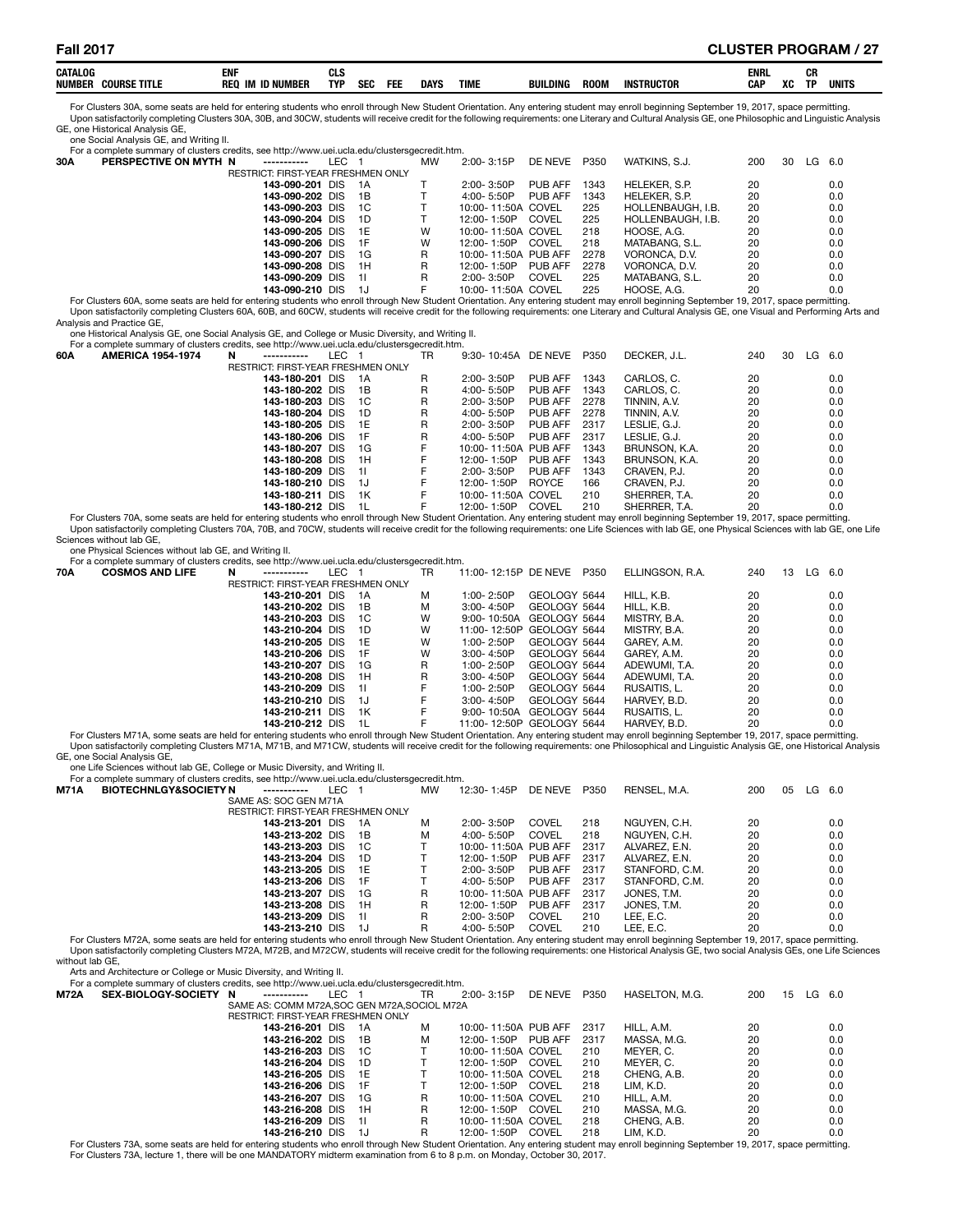For Clusters 30A, some seats are held for entering students who enroll through New Student Orientation. Any entering student may enroll beginning September 19, 2017, space permitting. Upon satisfactorily completing Clusters 30A, 30B, and 30CW, students will receive credit for the following requirements: one Literary and Cultural Analysis GE, one Philosophic and Linguistic Analysis GE, one Historical Analysis GE,

#### one Social Analysis GE, and Writing II.

For a complete summary of clusters credits, see http://www.uei.ucla.edu/clustersgecredit.htm<br>30A PERSPECTIVE ON MYTH N ----------- IFC 1 MW

| 30A | PERSPECTIVE ON MYTH N | -----------                               | LEC 1 |       | МW | 2:00-3:15P           | DE NEVE | P350 | WATKINS, S.J.     | 200 | 30 | LG | 6.0 |
|-----|-----------------------|-------------------------------------------|-------|-------|----|----------------------|---------|------|-------------------|-----|----|----|-----|
|     |                       | <b>RESTRICT: FIRST-YEAR FRESHMEN ONLY</b> |       |       |    |                      |         |      |                   |     |    |    |     |
|     |                       | 143-090-201 DIS                           |       | 1A    |    | 2:00-3:50P           | PUB AFF | 1343 | HELEKER, S.P.     | 20  |    |    | 0.0 |
|     |                       | 143-090-202 DIS 1B                        |       |       |    | $4:00 - 5:50P$       | PUB AFF | 1343 | HELEKER, S.P.     | 20  |    |    | 0.0 |
|     |                       | 143-090-203 DIS                           |       | $-1C$ |    | 10:00-11:50A COVEL   |         | 225  | HOLLENBAUGH. I.B. | 20  |    |    | 0.0 |
|     |                       | 143-090-204 DIS                           |       | - 1D  |    | 12:00-1:50P COVEL    |         | 225  | HOLLENBAUGH, I.B. | 20  |    |    | 0.0 |
|     |                       | 143-090-205 DIS 1E                        |       |       | W  | 10:00-11:50A COVEL   |         | 218  | HOOSE, A.G.       | 20  |    |    | 0.0 |
|     |                       | 143-090-206 DIS 1F                        |       |       | W  | 12:00-1:50P          | COVEL   | 218  | MATABANG, S.L.    | 20  |    |    | 0.0 |
|     |                       | 143-090-207 DIS                           |       | - 1G  | R  | 10:00-11:50A PUB AFF |         | 2278 | VORONCA, D.V.     | 20  |    |    | 0.0 |
|     |                       | 143-090-208 DIS                           |       | - 1H  | R  | 12:00-1:50P          | PUB AFF | 2278 | VORONCA, D.V.     | 20  |    |    | 0.0 |
|     |                       | 143-090-209 DIS                           |       | - 11  | R  | 2:00-3:50P           | COVEL   | 225  | MATABANG, S.L.    | 20  |    |    | 0.0 |
|     |                       | 143-090-210 DIS                           |       | - 1J  | F  | 10:00-11:50A COVEL   |         | 225  | HOOSE, A.G.       | 20  |    |    | 0.0 |
|     |                       |                                           |       |       |    |                      |         |      |                   |     |    |    |     |

143-090-210 DIS 1J F 10:00-11:50A COVEL 225 HOOSE, A.G. 20 20 20 20 10.00-11:50A COVEL FOR FOOSE, A.G. 226 HOOSE, A.G. 2017, space permitting. Upon satisfactorily completing Clusters 60A, 60B, and 60CW, students will receive credit for the following requirements: one Literary and Cultural Analysis GE, one Visual and Performing Arts and Analysis and Practice GE,

one Historical Analysis GE, one Social Analysis GE, and College or Music Diversity, and Writing II.

|     | For a complete summary of clusters credits, see http://www.uei.ucla.edu/clustersgecredit.htm.                                                                                       |                                           |     |      |    |                      |              |      |               |     |    |      |       |
|-----|-------------------------------------------------------------------------------------------------------------------------------------------------------------------------------------|-------------------------------------------|-----|------|----|----------------------|--------------|------|---------------|-----|----|------|-------|
| 60A | <b>AMERICA 1954-1974</b>                                                                                                                                                            | N<br>-----------                          | LEC |      | TR | 9:30-10:45A DE NEVE  |              | P350 | DECKER. J.L.  | 240 | 30 | LG . | - 6.0 |
|     |                                                                                                                                                                                     | <b>RESTRICT: FIRST-YEAR FRESHMEN ONLY</b> |     |      |    |                      |              |      |               |     |    |      |       |
|     |                                                                                                                                                                                     | 143-180-201 DIS                           |     | -1A  | R  | $2:00 - 3:50P$       | PUB AFF      | 1343 | CARLOS, C.    | 20  |    |      | 0.0   |
|     |                                                                                                                                                                                     | 143-180-202 DIS                           |     | 1B   | R  | 4:00-5:50P           | PUB AFF      | 1343 | CARLOS, C.    | 20  |    |      | 0.0   |
|     |                                                                                                                                                                                     | 143-180-203 DIS                           |     | 1C   | R  | $2:00 - 3:50P$       | PUB AFF      | 2278 | TINNIN, A.V.  | 20  |    |      | 0.0   |
|     |                                                                                                                                                                                     | 143-180-204 DIS                           |     | 1D   | R  | 4:00-5:50P           | PUB AFF      | 2278 | TINNIN, A.V.  | 20  |    |      | 0.0   |
|     |                                                                                                                                                                                     | 143-180-205 DIS                           |     | -1 F | R  | $2:00 - 3:50P$       | PUB AFF      | 2317 | LESLIE. G.J.  | 20  |    |      | 0.0   |
|     |                                                                                                                                                                                     | 143-180-206 DIS                           |     | 1F   | R  | 4:00- 5:50P          | PUB AFF      | 2317 | LESLIE. G.J.  | 20  |    |      | 0.0   |
|     |                                                                                                                                                                                     | 143-180-207 DIS                           |     | 1G   |    | 10:00-11:50A PUB AFF |              | 1343 | BRUNSON, K.A. | 20  |    |      | 0.0   |
|     |                                                                                                                                                                                     | 143-180-208 DIS                           |     | 1H   |    | 12:00-1:50P          | PUB AFF      | 1343 | BRUNSON, K.A. | 20  |    |      | 0.0   |
|     |                                                                                                                                                                                     | 143-180-209 DIS                           |     | -11  |    | $2:00 - 3:50P$       | PUB AFF      | 1343 | CRAVEN, P.J.  | 20  |    |      | 0.0   |
|     |                                                                                                                                                                                     | 143-180-210 DIS                           |     | 1.1  |    | 12:00-1:50P          | <b>ROYCE</b> | 166  | CRAVEN, P.J.  | 20  |    |      | 0.0   |
|     |                                                                                                                                                                                     | 143-180-211 DIS                           |     | 1K   |    | 10:00-11:50A COVEL   |              | 210  | SHERRER, T.A. | 20  |    |      | 0.0   |
|     |                                                                                                                                                                                     | 143-180-212 DIS                           |     | -11  |    | 12:00-1:50P          | COVEL        | 210  | SHERRER, T.A. | 20  |    |      | 0.0   |
|     | Fee Olimberg 70A agama agaba ara bald far antaring abidanta iiba agaal thugink Nair Obidant Originata Agricular shidagtan isan canal baginging Cantambay 40, 0047, angan mampilihan |                                           |     |      |    |                      |              |      |               |     |    |      |       |

For Clusters 70A, some seats are held for entering students who enroll through New Student Orientation. Any entering student may enroll beginning September 19, 2017, space permitting.<br>Upon satisfactorily completing Cluster Sciences without lab GE,

one Physical Sciences without lab GE, and Writing II.

|     | For a complete summary of clusters credits, see http://www.uei.ucla.edu/clustersgecredit.htm. |                                           |     |       |     |                           |              |      |                 |     |    |    |       |
|-----|-----------------------------------------------------------------------------------------------|-------------------------------------------|-----|-------|-----|---------------------------|--------------|------|-----------------|-----|----|----|-------|
| 70A | <b>COSMOS AND LIFE</b>                                                                        | N                                         | LEC |       | TR. | 11:00-12:15P DE NEVE      |              | P350 | ELLINGSON, R.A. | 240 | 13 | LG | - 6.0 |
|     |                                                                                               | <b>RESTRICT: FIRST-YEAR FRESHMEN ONLY</b> |     |       |     |                           |              |      |                 |     |    |    |       |
|     |                                                                                               | 143-210-201 DIS                           |     | - 1 A | м   | 1:00-2:50P                | GEOLOGY 5644 |      | HILL, K.B.      | 20  |    |    | 0.0   |
|     |                                                                                               | 143-210-202 DIS                           |     | 1B    | м   | $3:00 - 4:50P$            | GEOLOGY 5644 |      | HILL, K.B.      | 20  |    |    | 0.0   |
|     |                                                                                               | 143-210-203 DIS                           |     | - 1 C | W   | 9:00-10:50A GEOLOGY 5644  |              |      | MISTRY, B.A.    | 20  |    |    | 0.0   |
|     |                                                                                               | 143-210-204 DIS                           |     | 1D    | W   | 11:00-12:50P GEOLOGY 5644 |              |      | MISTRY, B.A.    | 20  |    |    | 0.0   |
|     |                                                                                               | 143-210-205 DIS                           |     | - 1 E | W   | $1:00 - 2:50P$            | GEOLOGY 5644 |      | GAREY, A.M.     | 20  |    |    | 0.0   |
|     |                                                                                               | 143-210-206 DIS                           |     | -1F   | W   | $3:00 - 4:50P$            | GEOLOGY 5644 |      | GAREY, A.M.     | 20  |    |    | 0.0   |
|     |                                                                                               | 143-210-207 DIS                           |     | - 1G  | R   | $1:00 - 2:50P$            | GEOLOGY 5644 |      | ADEWUMI. T.A.   | 20  |    |    | 0.0   |
|     |                                                                                               | 143-210-208 DIS                           |     | 1H    | R   | $3:00 - 4:50P$            | GEOLOGY 5644 |      | ADEWUMI. T.A.   | 20  |    |    | 0.0   |
|     |                                                                                               | 143-210-209 DIS                           |     | -11   | F   | $1:00 - 2:50P$            | GEOLOGY 5644 |      | RUSAITIS, L.    | 20  |    |    | 0.0   |
|     |                                                                                               | 143-210-210 DIS                           |     | -1J   | F   | $3:00 - 4:50P$            | GEOLOGY 5644 |      | HARVEY, B.D.    | 20  |    |    | 0.0   |
|     |                                                                                               | 143-210-211 DIS                           |     | 1K    | F   | 9:00-10:50A               | GEOLOGY 5644 |      | RUSAITIS. L.    | 20  |    |    | 0.0   |
|     |                                                                                               | 143-210-212 DIS                           |     | -11   |     | 11:00-12:50P GFOLOGY 5644 |              |      | HARVEY BD       | 20  |    |    | n n   |

0.0 0 ـ 143-**210-212** DIS 1L F 11:00- 12:50P GEOLOGY 5644 HARVEY, B.D. 20 20<br>- For Clusters M71A, some seats are held for entering students who enroll through New Student Orientation. Any entering student may enroll beginn GE, one Social Analysis GE,

one Life Sciences without lab GE, College or Music Diversity, and Writing II.

|      | For a complete summary of clusters credits, see http://www.uei.ucla.edu/clustersgecredit.htm.                                                                                            |                                           |      |       |           |                      |         |      |                |     |    |          |     |
|------|------------------------------------------------------------------------------------------------------------------------------------------------------------------------------------------|-------------------------------------------|------|-------|-----------|----------------------|---------|------|----------------|-----|----|----------|-----|
| M71A | <b>BIOTECHNLGY&amp;SOCIETY N</b>                                                                                                                                                         | -----------                               | LEC. |       | <b>MW</b> | 12:30-1:45P          | DE NEVE | P350 | RENSEL, M.A.   | 200 | 05 | $LG$ 6.0 |     |
|      |                                                                                                                                                                                          | SAME AS: SOC GEN M71A                     |      |       |           |                      |         |      |                |     |    |          |     |
|      |                                                                                                                                                                                          | <b>RESTRICT: FIRST-YEAR FRESHMEN ONLY</b> |      |       |           |                      |         |      |                |     |    |          |     |
|      |                                                                                                                                                                                          | 143-213-201 DIS                           |      | - 1 A | м         | $2:00 - 3:50P$       | COVEL   | 218  | NGUYEN, C.H.   | 20  |    |          | 0.0 |
|      |                                                                                                                                                                                          | 143-213-202 DIS                           |      | 1B    | м         | $4:00 - 5:50P$       | COVEL   | 218  | NGUYEN, C.H.   | 20  |    |          | 0.0 |
|      |                                                                                                                                                                                          | 143-213-203 DIS                           |      | - 1 C |           | 10:00-11:50A PUB AFF |         | 2317 | ALVAREZ. E.N.  | 20  |    |          | 0.0 |
|      |                                                                                                                                                                                          | 143-213-204 DIS                           |      | -1D   |           | 12:00-1:50P          | PUB AFF | 2317 | ALVAREZ. E.N.  | 20  |    |          | 0.0 |
|      |                                                                                                                                                                                          | 143-213-205 DIS                           |      | 1F    |           | $2:00 - 3:50P$       | PUB AFF | 2317 | STANFORD, C.M. | 20  |    |          | 0.0 |
|      |                                                                                                                                                                                          | 143-213-206 DIS                           |      | 1F    |           | $4:00 - 5:50P$       | PUB AFF | 2317 | STANFORD, C.M. | 20  |    |          | 0.0 |
|      |                                                                                                                                                                                          | 143-213-207 DIS                           |      | 1G    | R         | 10:00-11:50A PUB AFF |         | 2317 | JONES. T.M.    | 20  |    |          | 0.0 |
|      |                                                                                                                                                                                          | 143-213-208 DIS                           |      | 1H    | R         | 12:00-1:50P          | PUB AFF | 2317 | JONES. T.M.    | 20  |    |          | 0.0 |
|      |                                                                                                                                                                                          | 143-213-209 DIS                           |      | -11   | R         | $2:00 - 3:50P$       | COVEL   | 210  | LEE. E.C.      | 20  |    |          | 0.0 |
|      |                                                                                                                                                                                          | 143-213-210 DIS                           |      | -1.I  | R         | $4:00 - 5:50P$       | COVEL   | 210  | LEE. E.C.      | 20  |    |          | 0.0 |
|      | For Clusters M72A, some seats are held for entering students who enroll through New Student Orientation. Any entering student may enroll beginning September 19, 2017, space permitting. |                                           |      |       |           |                      |         |      |                |     |    |          |     |

Upon satisfactorily completing Clusters M72A, M72B, and M72CW, students will receive credit for the following requirements: one Historical Analysis GE, two social Analysis GEs, one Life Sciences without lab GE,

Arts and Architecture or College or Music Diversity, and Writing II. For a complete summary of complete summary of complete summary of complete summary  $\overline{\text{ME}}$ 

|      | For a complete summary of clusters credits, see http://www.uei.ucla.edu/clustersgecredit.htm. |                                             |      |      |    |                      |         |      |                |           |          |     |
|------|-----------------------------------------------------------------------------------------------|---------------------------------------------|------|------|----|----------------------|---------|------|----------------|-----------|----------|-----|
| M72A | SEX-BIOLOGY-SOCIETY N                                                                         | ------------                                | LEC. |      | TR | 2:00-3:15P           | DE NEVE | P350 | HASELTON, M.G. | 200<br>15 | $LG$ 6.0 |     |
|      |                                                                                               | SAME AS: COMM M72A.SOC GEN M72A.SOCIOL M72A |      |      |    |                      |         |      |                |           |          |     |
|      |                                                                                               | <b>RESTRICT: FIRST-YEAR FRESHMEN ONLY</b>   |      |      |    |                      |         |      |                |           |          |     |
|      |                                                                                               | 143-216-201 DIS                             |      | 1A   | м  | 10:00-11:50A PUB AFF |         | 2317 | HILL, A.M.     | 20        |          | 0.0 |
|      |                                                                                               | 143-216-202 DIS                             |      | -1 B | М  | 12:00-1:50P PUB AFF  |         | 2317 | MASSA, M.G.    | 20        |          | 0.0 |
|      |                                                                                               | 143-216-203 DIS                             |      | 1C   |    | 10:00-11:50A COVEL   |         | 210  | MEYER. C.      | 20        |          | 0.0 |
|      |                                                                                               | 143-216-204 DIS                             |      | -1D  |    | 12:00-1:50P          | COVEL   | 210  | MEYER. C.      | 20        |          | 0.0 |
|      |                                                                                               | 143-216-205 DIS                             |      | 1F   |    | 10:00-11:50A COVEL   |         | 218  | CHENG, A.B.    | 20        |          | 0.0 |
|      |                                                                                               | 143-216-206 DIS                             |      | 1F   |    | 12:00-1:50P          | COVEL   | 218  | LIM. K.D.      | 20        |          | 0.0 |
|      |                                                                                               | 143-216-207 DIS                             |      | 1G   | R  | 10:00-11:50A COVEL   |         | 210  | HILL, A.M.     | 20        |          | 0.0 |
|      |                                                                                               | 143-216-208 DIS                             |      | 1H   | R  | 12:00-1:50P          | COVEL   | 210  | MASSA, M.G.    | 20        |          | 0.0 |
|      |                                                                                               | 143-216-209 DIS                             |      | 11   | R  | 10:00-11:50A COVEL   |         | 218  | CHENG, A.B.    | 20        |          | 0.0 |
|      |                                                                                               | 143-216-210 DIS                             |      | 1J   | R  | 12:00-1:50P          | COVEL   | 218  | LIM. K.D.      | 20        |          | 0.0 |
|      |                                                                                               |                                             |      |      |    |                      |         |      |                |           |          |     |

143-216-210 DIS 1J 12:00-1:50P COVEL 218 LIM, K.D. 20 20 20<br>For Clusters 73A, some seats are held for entering students who enroll through New Student Orientation. Any entering student may enroll beginning September 19, 20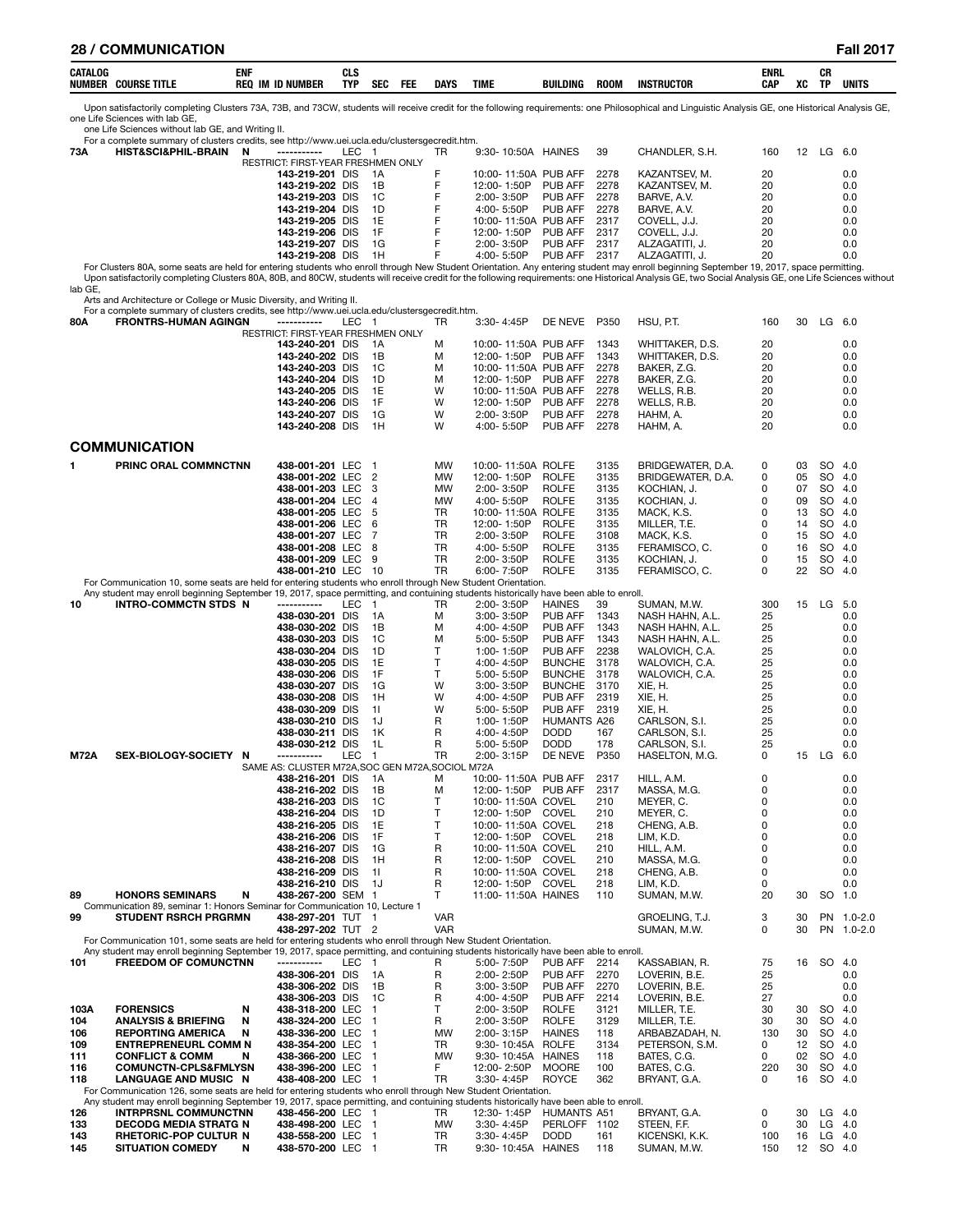| CATALOG<br><b>NUMBEH</b><br><b>COURSE TITLI</b> | ENI<br>RE <sub>0</sub><br><b>ID NUMBER</b><br>IM | י יה<br>บเฉ<br>- -<br>TYP | <b>SEC</b> | <b>FEL</b> | <b>DAYS</b> | <b>TIME</b> | <b>BUILDING</b> | <b>ROOM</b> | <b>INSTRUCTOR</b> | <b>ENRL</b><br>CAP<br>$\sim$ | XC<br>__ | CR<br>ть. | UNITS |
|-------------------------------------------------|--------------------------------------------------|---------------------------|------------|------------|-------------|-------------|-----------------|-------------|-------------------|------------------------------|----------|-----------|-------|

Upon satisfactorily completing Clusters 73A, 73B, and 73CW, students will receive credit for the following requirements: one Philosophical and Linguistic Analysis GE, one Historical Analysis GE, one Life Sciences with lab GE,

one Life Sciences without lab GE, and Writing II. For a complete summary of clusters credits, see http://www.uei.ucla.edu/clustersgecredit.htm. **73A HIST&SCI&PHIL-BRAIN N -----------** LEC 1 TR 9:30- 10:50A HAINES 39 CHANDLER, S.H. 160 12 LG 6.0 RESTRICT: FIRST-YEAR FRESHMEN ONLY<br>143-219-201 DIS 1A  **143-219-201** DIS 1A F 10:00- 11:50A PUB AFF 2278 KAZANTSEV, M. 20 0.0 **143-219-202** DIS 1B F 12:00-1:50P PUB AFF 2278 KAZANTSEV, M. 20 0.0<br>**143-219-203** DIS 1C F 2:00-3:50P PUB AFF 2278 BARVE, A.V. 20 0.0 **143-219-203** DIS 1C F 2:00- 3:50P PUB AFF 2278 BARVE, A.V. 20 0.0 **143-219-204** DIS 1D F 4:00- 5:50P PUB AFF 2278 BARVE, A.V. 20 0.0  **143-219-205** DIS 1E F 10:00-11:50A PUB AFF 2317 COVELL, J.J. 20 0.0<br>**143-219-205** DIS 1E F 12:00-1:50P PUB AFF 2317 COVELL J.J. 20 0.0  **143-219-206** DIS 1F F 12:00- 1:50P PUB AFF 2317 COVELL, J.J. 20 0.0  **143-219-207** DIS 1G F 2:00- 3:50P PUB AFF 2317 ALZAGATITI, J. 20 0.0 1.0 143-219-208 DIS 1H F 4:00-5:50P PUB AFF 2317 ALZAGATITI, J. 20 20 2016.<br>For Clusters 80A, some seats are held for entering students who enroll through New Student Orientation. Any entering student may enroll beginning Upon satisfactorily completing Clusters 80A, 80B, and 80CW, students will receive credit for the following requirements: one Historical Analysis GE, two Social Analysis GE, one Life Sciences without lab GE, Arts and Architecture or College or Music Diversity, and Writing II. For a complete summary of clusters credits, see http://www.uei.ucla.edu/clustersgecredit.htm.<br>80A FRONTRS-HUMAN AGINGN ----------- LEC 1 **80A FRONTRS-HUMAN AGINGN -----------** LEC 1 TR 3:30- 4:45P DE NEVE P350 HSU, P.T. 160 30 LG 6.0 RESTRICT: FIRST-YEAR FRESHMEN ONLY<br>143-240-201 DIS 1A **143-240-201** DIS 1A M 10:00-11:50A PUB AFF 1343 WHITTAKER, D.S. 20 0.0<br>**143-240-202** DIS 1B M 12:00-1:50P PUB AFF 1343 WHITTAKER D.S. 20 0.0 **143-240-202** DIS 1B M 12:00-1:50P PUB AFF 1343 WHITTAKER, D.S. 20 0.0<br>**143-240-203** DIS 1C M 10:00-11:50A PUB AFF 2278 BAKER Z.G. 20 0.0.0.0.0.0 **143-240-203** DIS 1C M 10:00- 11:50A PUB AFF 2278 BAKER, Z.G. 20 0.0<br>**143-240-204** DIS 1D M 12:00-11:50P PUB AFF 2278 BAKER, Z.G. 20 0.0 **143-240-204** DIS 1D M 12:00- 1:50P PUB AFF 2278 BAKER, Z.G. 20 0.0  **143-240-205** DIS 1E W 10:00- 11:50A PUB AFF 2278 WELLS, R.B. 20 0.0 **143-240-206** DIS 1F W 12:00- 1:50P PUB AFF 2278 WELLS, R.B. 20 0.0 **143-240-207** DIS 1G W 2:00- 3:50P PUB AFF 2278 HAHM, A. 20 0.0 **143-240-208** DIS 1H W 4:00- 5:50P PUB AFF 2278 HAHM, A. 20 0.0 **COMMUNICATION 1 PRINC ORAL COMMNCTNN 438-001-201** LEC 1 MW 10:00- 11:50A ROLFE 3135 BRIDGEWATER, D.A. 0 03 SO 4.0  **438-001-202** LEC 2 MW 12:00- 1:50P ROLFE 3135 BRIDGEWATER, D.A. 0 05 SO 4.0  **438-001-203** LEC 3 MW 2:00- 3:50P ROLFE 3135 KOCHIAN, J. 0 07 SO 4.0  **438-001-204** LEC 4 MW 4:00- 5:50P ROLFE 3135 KOCHIAN, J. 0 09 SO 4.0  **438-001-205** LEC 5 TR 10:00- 11:50A ROLFE 3135 MACK, K.S. 0 13 SO 4.0  **438-001-206** LEC 6 TR 12:00- 1:50P ROLFE 3135 MILLER, T.E. 0 14 SO 4.0  **438-001-207** LEC 7 TR 2:00- 3:50P ROLFE 3108 MACK, K.S. 0 15 SO 4.0  **438-001-208** LEC 8 TR 4:00- 5:50P ROLFE 3135 FERAMISCO, C. 0 16 SO 4.0  **438-001-209** LEC 9 TR 2:00- 3:50P ROLFE 3135 KOCHIAN, J. 0 15 SO 4.0  **438-001-210** LEC 10 TR 6:00- 7:50P ROLFE 3135 FERAMISCO, C. 0 22 SO 4.0 For Communication 10, some seats are held for entering students who enroll through New Student Orientation. Any student may enroll beginning September 19, 2017, space permitting, and contuining students historically have been able to enroll.<br>**INTRO-COMMCTN STDS N** ----------- LEC 1 TR 2:00-3:50P HAINES 39 SUMAN, M.W. **10 INTRO-COMMCTN STDS N -----------** LEC 1 TR 2:00- 3:50P HAINES 39 SUMAN, M.W. 300 15 LG 5.0 **438-030-201** DIS 1A M 3:00- 3:50P PUB AFF 1343 NASH HAHN, A.L. 25 0.0  **438-030-202** DIS 1B M 4:00- 4:50P PUB AFF 1343 NASH HAHN, A.L. 25 0.0 **438-030-203** DIS 1C M 5:00- 5:50P PUB AFF 1343 NASH HAHN, A.L. 25 0.0 **438-030-204** DIS 1D T 1:00-1:50P PUB AFF 2238 WALOVICH, C.A. 25 0.0 **438-030-205** DIS 1E T 4:00- 4:50P BUNCHE 3178 WALOVICH, C.A. 25 0.0 **438-030-206** DIS 1F T 5:00- 5:50P BUNCHE 3178 WALOVICH, C.A. 25 0.0 **438-030-207** DIS 1G W 3:00-3:50P BUNCHE 3170 XIE, H. 25 25 0.0 **438-030-208** DIS 1H W 4:00- 4:50P PUB AFF 2319 XIE, H. 25 25 0.0 **438-030-209** DIS 1I W 5:00-5:50P PUB AFF 2319 XIE, H. 25 25 0.0 **438-030-210** DIS 1J R 1:00-1:50P HUMANTS A26 CARLSON, S.I. 25 0.0 **438-030-211** DIS 1K R 4:00- 4:50P DODD 167 CARLSON, S.I. 25 0.0 **438-030-212** DIS 1L R 5:00- 5:50P DODD 178 CARLSON, S.I. 25 0.0 **M72A SEX-BIOLOGY-SOCIETY N -----------** LEC 1 TR 2:00-3:15P DE NEVE P350 HASELTON, M.G. 0 15 LG 6.0<br>SAME AS: CLUSTER M72A,SOC GEN M72A,SOCIOL M72A SAME AS: CLUSTER M72A, SOC GEN M72A, SOC 438-216-201 DIS 1.4  **438-216-201** DIS 1A M 10:00- 11:50A PUB AFF 2317 HILL, A.M. 0 0.0  **438-216-202** DIS 1B M 12:00- 1:50P PUB AFF 2317 MASSA, M.G. 0 0.0  **438-216-203** DIS 1C T 10:00-11:50A COVEL 210 MEYER, C. 0 0.0 0.0<br>**438-216-204** DIS 1D T 12:00-1:50P COVEL 210 MEYER.C. 0 0.0 0.0 **438-216-204** DIS 1D T 12:00- 1:50P COVEL 210 MEYER, C. 0 0.0 0.0  **438-216-205** DIS 1E T 10:00-11:50A COVEL 218 CHENG, A.B. 0 0.0 0.0<br>**438-216-206** DIS 1F T 12:00-1:50P COVEL 218 LIM. K.D. 0 0.0 0.0 **438-216-206** DIS 1F T 12:00- 1:50P COVEL 218 LIM, K.D. 0 0.0 0.0 **438-216-207** DIS 1G R 10:00- 11:50A COVEL 210 HILL, A.M. 0 0.0 **438-216-208** DIS 1H R 12:00- 1:50P COVEL 210 MASSA, M.G. 0 0.0 **438-216-209** DIS 11 R 10:00-11:50A COVEL 218 CHENG, A.B. 0 0.0<br>**438-216-210** DIS 1J R 12:00-1:50P COVEL 218 LIM. K.D. 0 0.0 0.0 **438-216-210** DIS 1J R 12:00- 1:50P COVEL 218 LIM, K.D. 0 0.0 0.0 **89 HONORS SEMINARS N 438-267-200** SEM 1 T 11:00- 11:50A HAINES 110 SUMAN, M.W. 20 30 SO 1.0 Communication 89, seminar 1: Honors Seminar for Communication 10, Lecture 1 **99 STUDENT RSRCH PRGRMN 438-297-201** TUT 1 VAR GROELING, T.J. 3 30 PN 1.0-2.0 438-297-202 TUT 2 VAR VAR SUMAN, M.W. 0 30 PN 1.0-2.0<br>For Communication 101, some seats are held for entering students who enroll through New Student Orientation. Any student may enroll beginning September 19, 2017, space permitting, and contuining students historically have been able to enroll.<br>101 **FREEDOM OF COMUNCTNN** ------------ LEC 1 R 5:00-7:50P PUB AFF 2214 KASSABIAN, R. 75 **438-306-201** DIS 1A R 2:00- 2:50P PUB AFF 2270 LOVERIN, B.E. 25 25 0.0 **438-306-202** DIS 1B R 3:00- 3:50P PUB AFF 2270 LOVERIN, B.E. 25 0.0<br>**438-306-203** DIS 1C R 4:00- 4:50P PUB AFF 2214 LOVERIN, B.E. 27 0.0  **438-306-203** DIS 1C R 4:00- 4:50P PUB AFF 2214 LOVERIN, B.E. 27 0.0 **103A FORENSICS N 438-318-200** LEC 1 T 2:00- 3:50P ROLFE 3121 MILLER, T.E. 30 30 SO 4.0 **104 ANALYSIS & BRIEFING N 438-324-200** LEC 1 R 2:00- 3:50P ROLFE 3129 MILLER, T.E. 30 30 SO 4.0 **106 REPORTING AMERICA N 438-336-200** LEC 1 MW 2:00-3:15P HAINES 118 ARBABZADAH, N. 130 30 SO 4.0<br>**109 ENTREPRENEURL COMM N 438-354-200** LEC 1 TR 9:30-10:45A ROLFE 3134 PETERSON, S.M. 0 12 SO 4.0 **109 ENTREPRENEURL COMM N 438-354-200** LEC 1 TR 9:30- 10:45A ROLFE 3134 PETERSON, S.M. 0 12 SO 4.0 **111 CONFLICT & COMM N 438-366-200** LEC 1 MW 9:30- 10:45A HAINES 118 BATES, C.G. 0 02 SO 4.0 **116 COMUNCTN-CPLS&FMLYSN 438-396-200** LEC 1 F 12:00- 2:50P MOORE 100 BATES, C.G. 220 30 SO 4.0 **118 LANGUAGE AND MUSIC N** For Communication 126, some seats are held for entering students who enroll through New Student Orientation. Any student may enroll beginning September 19, 2017, space permitting, and contuining students historically have been able to enroll.<br>196 **Any students historically have been able to enroll.**<br>196 **INTRPRSNL COMMUNCTNN** 438 **126 INTRPRSNL COMMUNCTNN 438-456-200** LEC 1 TR 12:30- 1:45P HUMANTS A51 BRYANT, G.A. 0 30 LG 4.0 **133 DECODG MEDIA STRATG N 438-498-200** LEC 1 MW 3:30- 4:45P PERLOFF 1102 STEEN, F.F. 0 30 LG 4.0 **143 RHETORIC-POP CULTUR N 438-558-200** LEC 1 TR 3:30- 4:45P DODD 161 KICENSKI, K.K. 100 16 LG 4.0 9:30- 10:45A HAINES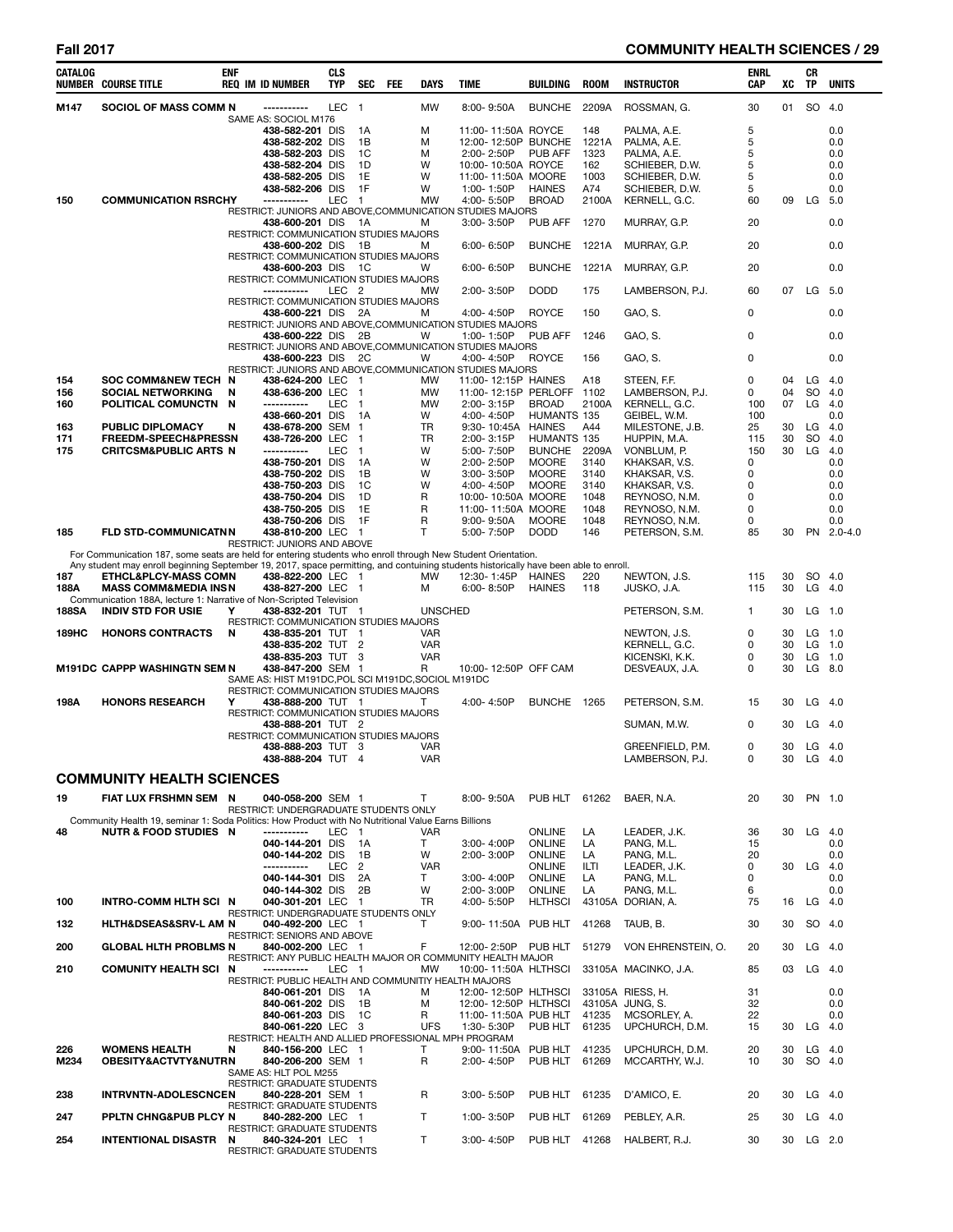# **Fall 2017 COMMUNITY HEALTH SCIENCES / 29**

| <b>CATALOG</b> | <b>NUMBER COURSE TITLE</b>                                                                                                                                               | <b>ENF</b> | <b>REQ IM ID NUMBER</b>                                                   | <b>CLS</b><br><b>TYP</b> | <b>SEC</b>           | FEE | DAYS            | TIME                                                                    | <b>BUILDING</b>                     | <b>ROOM</b>  | <b>INSTRUCTOR</b>               | ENRL<br>CAP  | XC | CR<br>TP  | <b>UNITS</b>      |
|----------------|--------------------------------------------------------------------------------------------------------------------------------------------------------------------------|------------|---------------------------------------------------------------------------|--------------------------|----------------------|-----|-----------------|-------------------------------------------------------------------------|-------------------------------------|--------------|---------------------------------|--------------|----|-----------|-------------------|
| M147           | SOCIOL OF MASS COMM N                                                                                                                                                    |            | ------------<br>SAME AS: SOCIOL M176                                      | <b>LEC</b>               | $\blacksquare$       |     | <b>MW</b>       | $8:00 - 9:50A$                                                          | <b>BUNCHE</b>                       | 2209A        | ROSSMAN, G.                     | 30           | 01 | SO        | 4.0               |
|                |                                                                                                                                                                          |            | 438-582-201 DIS                                                           |                          | 1A                   |     | м               | 11:00-11:50A ROYCE                                                      |                                     | 148          | PALMA, A.E.                     | 5            |    |           | 0.0               |
|                |                                                                                                                                                                          |            | 438-582-202 DIS                                                           |                          | 1B                   |     | м               | 12:00-12:50P BUNCHE                                                     |                                     | 1221A        | PALMA, A.E.                     | 5            |    |           | 0.0               |
|                |                                                                                                                                                                          |            | 438-582-203 DIS<br>438-582-204 DIS                                        |                          | 1C<br>1D             |     | м<br>W          | $2:00 - 2:50P$<br>10:00-10:50A ROYCE                                    | <b>PUB AFF</b>                      | 1323<br>162  | PALMA, A.E.<br>SCHIEBER, D.W.   | 5<br>5       |    |           | 0.0<br>0.0        |
|                |                                                                                                                                                                          |            | 438-582-205 DIS                                                           |                          | 1E                   |     | W               | 11:00-11:50A MOORE                                                      |                                     | 1003         | SCHIEBER, D.W.                  | 5            |    |           | 0.0               |
|                |                                                                                                                                                                          |            | 438-582-206 DIS                                                           |                          | 1F                   |     | W               | 1:00-1:50P                                                              | <b>HAINES</b>                       | A74          | SCHIEBER, D.W.                  | 5            |    |           | 0.0               |
| 150            | <b>COMMUNICATION RSRCHY</b>                                                                                                                                              |            | -----------                                                               | <b>LEC</b>               | $\overline{1}$       |     | <b>MW</b>       | 4:00-5:50P                                                              | <b>BROAD</b>                        | 2100A        | KERNELL, G.C.                   | 60           | 09 | LG        | 5.0               |
|                |                                                                                                                                                                          |            | 438-600-201 DIS                                                           |                          |                      |     | м               | RESTRICT: JUNIORS AND ABOVE, COMMUNICATION STUDIES MAJORS<br>3:00-3:50P | <b>PUB AFF</b>                      | 1270         | MURRAY, G.P.                    | 20           |    |           | 0.0               |
|                |                                                                                                                                                                          |            | RESTRICT: COMMUNICATION STUDIES MAJORS                                    |                          | - 1A                 |     |                 |                                                                         |                                     |              |                                 |              |    |           |                   |
|                |                                                                                                                                                                          |            | 438-600-202 DIS 1B                                                        |                          |                      |     | м               | 6:00-6:50P                                                              | BUNCHE 1221A                        |              | MURRAY, G.P.                    | 20           |    |           | 0.0               |
|                |                                                                                                                                                                          |            | RESTRICT: COMMUNICATION STUDIES MAJORS                                    |                          |                      |     |                 |                                                                         |                                     |              |                                 |              |    |           |                   |
|                |                                                                                                                                                                          |            | 438-600-203 DIS<br>RESTRICT: COMMUNICATION STUDIES MAJORS                 |                          | - 1C                 |     | W               | 6:00-6:50P                                                              | BUNCHE 1221A                        |              | MURRAY, G.P.                    | 20           |    |           | 0.0               |
|                |                                                                                                                                                                          |            | -----------                                                               | LEC <sub>2</sub>         |                      |     | MW              | 2:00-3:50P                                                              | <b>DODD</b>                         | 175          | LAMBERSON, P.J.                 | 60           | 07 | LG        | 5.0               |
|                |                                                                                                                                                                          |            | RESTRICT: COMMUNICATION STUDIES MAJORS                                    |                          |                      |     |                 |                                                                         |                                     |              |                                 |              |    |           |                   |
|                |                                                                                                                                                                          |            | 438-600-221 DIS 2A                                                        |                          |                      |     | м               | 4:00-4:50P<br>RESTRICT: JUNIORS AND ABOVE, COMMUNICATION STUDIES MAJORS | <b>ROYCE</b>                        | 150          | GAO, S.                         | 0            |    |           | 0.0               |
|                |                                                                                                                                                                          |            | 438-600-222 DIS 2B                                                        |                          |                      |     | w               | 1:00-1:50P                                                              | <b>PUB AFF</b>                      | 1246         | GAO, S.                         | 0            |    |           | 0.0               |
|                |                                                                                                                                                                          |            |                                                                           |                          |                      |     |                 | RESTRICT: JUNIORS AND ABOVE, COMMUNICATION STUDIES MAJORS               |                                     |              |                                 |              |    |           |                   |
|                |                                                                                                                                                                          |            | 438-600-223 DIS 2C                                                        |                          |                      |     | W               | 4:00-4:50P<br>RESTRICT: JUNIORS AND ABOVE, COMMUNICATION STUDIES MAJORS | ROYCE                               | 156          | GAO, S.                         | 0            |    |           | 0.0               |
| 154            | SOC COMM&NEW TECH N                                                                                                                                                      |            | 438-624-200 LEC                                                           |                          | - 1                  |     | MW              | 11:00-12:15P HAINES                                                     |                                     | A18          | STEEN, F.F.                     | 0            | 04 | LG        | 4.0               |
| 156            | <b>SOCIAL NETWORKING</b>                                                                                                                                                 | N          | 438-636-200 LEC                                                           |                          | $\blacksquare$       |     | MW              | 11:00-12:15P PERLOFF                                                    |                                     | 1102         | LAMBERSON, P.J.                 | 0            | 04 | SO        | 4.0               |
| 160            | POLITICAL COMUNCTN N                                                                                                                                                     |            | -----------<br>438-660-201 DIS                                            | LEC                      | $\overline{1}$       |     | MW              | 2:00-3:15P                                                              | <b>BROAD</b>                        | 2100A        | KERNELL, G.C.                   | 100          | 07 | LG.       | 4.0               |
| 163            | PUBLIC DIPLOMACY                                                                                                                                                         | N          | 438-678-200 SEM 1                                                         |                          | 1A                   |     | w<br>TR         | 4:00-4:50P<br>9:30-10:45A                                               | <b>HUMANTS 135</b><br><b>HAINES</b> | A44          | GEIBEL, W.M.<br>MILESTONE, J.B. | 100<br>25    | 30 | LG        | 0.0<br>4.0        |
| 171            | FREEDM-SPEECH&PRESSN                                                                                                                                                     |            | 438-726-200 LEC                                                           |                          | $\overline{1}$       |     | TR              | 2:00-3:15P                                                              | HUMANTS 135                         |              | HUPPIN, M.A.                    | 115          | 30 | <b>SO</b> | 4.0               |
| 175            | CRITCSM&PUBLIC ARTS N                                                                                                                                                    |            | -----------                                                               | LEC                      | $\blacksquare$       |     | W               | 5:00-7:50P                                                              | <b>BUNCHE</b>                       | 2209A        | VONBLUM, P.                     | 150          | 30 | LG        | 4.0               |
|                |                                                                                                                                                                          |            | 438-750-201 DIS<br>438-750-202 DIS                                        |                          | 1A<br>1B             |     | W<br>W          | 2:00-2:50P<br>3:00-3:50P                                                | <b>MOORE</b><br><b>MOORE</b>        | 3140<br>3140 | KHAKSAR, V.S.                   | 0<br>0       |    |           | 0.0<br>0.0        |
|                |                                                                                                                                                                          |            | 438-750-203 DIS                                                           |                          | 1C                   |     | W               | 4:00-4:50P                                                              | <b>MOORE</b>                        | 3140         | KHAKSAR, V.S.<br>KHAKSAR, V.S.  | 0            |    |           | 0.0               |
|                |                                                                                                                                                                          |            | 438-750-204 DIS                                                           |                          | 1D                   |     | R               | 10:00-10:50A MOORE                                                      |                                     | 1048         | REYNOSO, N.M.                   | $\Omega$     |    |           | 0.0               |
|                |                                                                                                                                                                          |            | 438-750-205 DIS                                                           |                          | 1E                   |     | R               | 11:00-11:50A MOORE                                                      |                                     | 1048         | REYNOSO, N.M.                   | 0            |    |           | 0.0               |
| 185            | <b>FLD STD-COMMUNICATNN</b>                                                                                                                                              |            | 438-750-206 DIS<br>438-810-200 LEC                                        |                          | 1F<br>$\overline{1}$ |     | R<br>T          | 9:00-9:50A<br>5:00-7:50P                                                | <b>MOORE</b><br><b>DODD</b>         | 1048<br>146  | REYNOSO, N.M.<br>PETERSON, S.M. | 0<br>85      | 30 |           | 0.0<br>PN 2.0-4.0 |
|                |                                                                                                                                                                          |            | RESTRICT: JUNIORS AND ABOVE                                               |                          |                      |     |                 |                                                                         |                                     |              |                                 |              |    |           |                   |
|                | For Communication 187, some seats are held for entering students who enroll through New Student Orientation.                                                             |            |                                                                           |                          |                      |     |                 |                                                                         |                                     |              |                                 |              |    |           |                   |
| 187            | Any student may enroll beginning September 19, 2017, space permitting, and contuining students historically have been able to enroll.<br><b>ETHCL&amp;PLCY-MASS COMN</b> |            | 438-822-200 LEC 1                                                         |                          |                      |     | MW              | 12:30-1:45P                                                             | HAINES                              | 220          | NEWTON, J.S.                    | 115          | 30 |           | SO 4.0            |
| 188A           | <b>MASS COMM&amp;MEDIA INSN</b>                                                                                                                                          |            | 438-827-200 LEC 1                                                         |                          |                      |     | м               | 6:00-8:50P                                                              | <b>HAINES</b>                       | 118          | JUSKO, J.A.                     | 115          | 30 |           | $LG$ 4.0          |
|                | Communication 188A, lecture 1: Narrative of Non-Scripted Television                                                                                                      |            |                                                                           |                          |                      |     |                 |                                                                         |                                     |              |                                 |              |    |           |                   |
| <b>188SA</b>   | <b>INDIV STD FOR USIE</b>                                                                                                                                                | Y          | 438-832-201 TUT 1                                                         |                          |                      |     | <b>UNSCHED</b>  |                                                                         |                                     |              | PETERSON, S.M.                  | $\mathbf{1}$ | 30 | $LG$ 1.0  |                   |
| 189HC          | <b>HONORS CONTRACTS</b>                                                                                                                                                  | N          | RESTRICT: COMMUNICATION STUDIES MAJORS<br>438-835-201 TUT 1               |                          |                      |     | <b>VAR</b>      |                                                                         |                                     |              | NEWTON, J.S.                    | 0            | 30 | $LG$ 1.0  |                   |
|                |                                                                                                                                                                          |            | 438-835-202 TUT 2                                                         |                          |                      |     | <b>VAR</b>      |                                                                         |                                     |              | KERNELL, G.C.                   | 0            | 30 | LG        | 1.0               |
|                |                                                                                                                                                                          |            | 438-835-203 TUT 3                                                         |                          |                      |     | <b>VAR</b>      |                                                                         |                                     |              | KICENSKI, K.K.                  | 0            | 30 | LG        | 1.0               |
|                | <b>M191DC CAPPP WASHINGTN SEM N</b>                                                                                                                                      |            | 438-847-200 SEM 1<br>SAME AS: HIST M191DC, POL SCI M191DC, SOCIOL M191DC  |                          |                      |     | R               | 10:00-12:50P OFF CAM                                                    |                                     |              | DESVEAUX, J.A.                  | 0            | 30 | LG 8.0    |                   |
|                |                                                                                                                                                                          |            | RESTRICT: COMMUNICATION STUDIES MAJORS                                    |                          |                      |     |                 |                                                                         |                                     |              |                                 |              |    |           |                   |
| 198A           | <b>HONORS RESEARCH</b>                                                                                                                                                   | Υ          | 438-888-200 TUT 1                                                         |                          |                      |     | т               | 4:00-4:50P                                                              | BUNCHE 1265                         |              | PETERSON, S.M.                  | 15           | 30 | $LG$ 4.0  |                   |
|                |                                                                                                                                                                          |            | RESTRICT: COMMUNICATION STUDIES MAJORS<br>438-888-201 TUT 2               |                          |                      |     |                 |                                                                         |                                     |              | SUMAN, M.W.                     | 0            | 30 | $LG$ 4.0  |                   |
|                |                                                                                                                                                                          |            | RESTRICT: COMMUNICATION STUDIES MAJORS                                    |                          |                      |     |                 |                                                                         |                                     |              |                                 |              |    |           |                   |
|                |                                                                                                                                                                          |            | 438-888-203 TUT 3                                                         |                          |                      |     | VAR             |                                                                         |                                     |              | GREENFIELD, P.M.                | 0            | 30 | $LG$ 4.0  |                   |
|                |                                                                                                                                                                          |            | 438-888-204 TUT 4                                                         |                          |                      |     | VAR             |                                                                         |                                     |              | LAMBERSON, P.J.                 | 0            | 30 | LG 4.0    |                   |
|                | <b>COMMUNITY HEALTH SCIENCES</b>                                                                                                                                         |            |                                                                           |                          |                      |     |                 |                                                                         |                                     |              |                                 |              |    |           |                   |
| 19             | FIAT LUX FRSHMN SEM N                                                                                                                                                    |            | 040-058-200 SEM 1                                                         |                          |                      |     | T.              | 8:00-9:50A                                                              | PUB HLT 61262                       |              | BAER, N.A.                      | 20           | 30 | PN 1.0    |                   |
|                |                                                                                                                                                                          |            | RESTRICT: UNDERGRADUATE STUDENTS ONLY                                     |                          |                      |     |                 |                                                                         |                                     |              |                                 |              |    |           |                   |
|                | Community Health 19, seminar 1: Soda Politics: How Product with No Nutritional Value Earns Billions                                                                      |            |                                                                           |                          |                      |     |                 |                                                                         |                                     |              |                                 |              |    |           |                   |
| 48             | <b>NUTR &amp; FOOD STUDIES N</b>                                                                                                                                         |            | -----------<br>040-144-201 DIS                                            | LEC 1                    | 1A                   |     | <b>VAR</b><br>Τ | 3:00-4:00P                                                              | ONLINE<br><b>ONLINE</b>             | LA<br>LA     | LEADER, J.K.<br>PANG, M.L.      | 36<br>15     | 30 | $LG$ 4.0  | 0.0               |
|                |                                                                                                                                                                          |            | 040-144-202 DIS                                                           |                          | 1B                   |     | W               | 2:00-3:00P                                                              | <b>ONLINE</b>                       | LA           | PANG, M.L.                      | 20           |    |           | 0.0               |
|                |                                                                                                                                                                          |            | -----------                                                               | LEC                      | $\overline{2}$       |     | <b>VAR</b>      |                                                                         | <b>ONLINE</b>                       | ILTI         | LEADER, J.K.                    | 0            | 30 | LG        | 4.0               |
|                |                                                                                                                                                                          |            | 040-144-301 DIS<br>040-144-302 DIS                                        |                          | 2A<br>2B             |     | Τ<br>W          | 3:00-4:00P<br>2:00-3:00P                                                | <b>ONLINE</b><br><b>ONLINE</b>      | LA<br>LA     | PANG, M.L.<br>PANG, M.L.        | 0<br>6       |    |           | 0.0<br>0.0        |
| 100            | <b>INTRO-COMM HLTH SCI N</b>                                                                                                                                             |            | 040-301-201 LEC 1                                                         |                          |                      |     | TR              | 4:00-5:50P                                                              | <b>HLTHSCI</b>                      |              | 43105A DORIAN, A.               | 75           | 16 | LG        | 4.0               |
|                |                                                                                                                                                                          |            | RESTRICT: UNDERGRADUATE STUDENTS ONLY                                     |                          |                      |     |                 |                                                                         |                                     |              |                                 |              |    |           |                   |
| 132            | HLTH&DSEAS&SRV-L AM N                                                                                                                                                    |            | 040-492-200 LEC 1                                                         |                          |                      |     | Τ               | 9:00-11:50A PUB HLT                                                     |                                     | 41268        | TAUB, B.                        | 30           | 30 | SO 4.0    |                   |
| 200            | <b>GLOBAL HLTH PROBLMS N</b>                                                                                                                                             |            | <b>RESTRICT: SENIORS AND ABOVE</b><br>840-002-200 LEC 1                   |                          |                      |     | F               | 12:00-2:50P PUB HLT                                                     |                                     | 51279        | VON EHRENSTEIN, O.              | 20           | 30 | $LG$ 4.0  |                   |
|                |                                                                                                                                                                          |            |                                                                           |                          |                      |     |                 | RESTRICT: ANY PUBLIC HEALTH MAJOR OR COMMUNITY HEALTH MAJOR             |                                     |              |                                 |              |    |           |                   |
| 210            | <b>COMUNITY HEALTH SCI N</b>                                                                                                                                             |            | ------------                                                              | LEC 1                    |                      |     | MW              | 10:00-11:50A HLTHSCI                                                    |                                     |              | 33105A MACINKO, J.A.            | 85           | 03 | $LG$ 4.0  |                   |
|                |                                                                                                                                                                          |            | RESTRICT: PUBLIC HEALTH AND COMMUNITIY HEALTH MAJORS<br>840-061-201 DIS   |                          | - 1A                 |     | м               | 12:00-12:50P HLTHSCI                                                    |                                     |              | 33105A RIESS, H.                | 31           |    |           | 0.0               |
|                |                                                                                                                                                                          |            | 840-061-202 DIS                                                           |                          | 1B                   |     | М               | 12:00-12:50P HLTHSCI                                                    |                                     |              | 43105A JUNG, S.                 | 32           |    |           | 0.0               |
|                |                                                                                                                                                                          |            | 840-061-203 DIS                                                           |                          | 1C                   |     | R               | 11:00-11:50A PUB HLT                                                    |                                     | 41235        | MCSORLEY, A.                    | 22           |    |           | 0.0               |
|                |                                                                                                                                                                          |            | 840-061-220 LEC 3<br>RESTRICT: HEALTH AND ALLIED PROFESSIONAL MPH PROGRAM |                          |                      |     | <b>UFS</b>      | 1:30-5:30P                                                              | PUB HLT                             | 61235        | UPCHURCH, D.M.                  | 15           | 30 | $LG$ 4.0  |                   |
| 226            | <b>WOMENS HEALTH</b>                                                                                                                                                     | N          | 840-156-200 LEC 1                                                         |                          |                      |     | T               | 9:00-11:50A PUB HLT                                                     |                                     | 41235        | UPCHURCH, D.M.                  | 20           | 30 | $LG$ 4.0  |                   |
| M234           | <b>OBESITY&amp;ACTVTY&amp;NUTRN</b>                                                                                                                                      |            | 840-206-200 SEM 1                                                         |                          |                      |     | R               | 2:00-4:50P                                                              | PUB HLT                             | 61269        | MCCARTHY, W.J.                  | 10           | 30 |           | SO 4.0            |
|                |                                                                                                                                                                          |            | SAME AS: HLT POL M255<br>RESTRICT: GRADUATE STUDENTS                      |                          |                      |     |                 |                                                                         |                                     |              |                                 |              |    |           |                   |
| 238            | <b>INTRVNTN-ADOLESCNCEN</b>                                                                                                                                              |            | 840-228-201 SEM 1                                                         |                          |                      |     | R               | 3:00-5:50P                                                              | PUB HLT 61235                       |              | D'AMICO, E.                     | 20           | 30 | $LG$ 4.0  |                   |
|                |                                                                                                                                                                          |            | RESTRICT: GRADUATE STUDENTS                                               |                          |                      |     |                 |                                                                         |                                     |              |                                 |              |    |           |                   |
| 247            | PPLTN CHNG&PUB PLCY N                                                                                                                                                    |            | 840-282-200 LEC 1<br><b>RESTRICT: GRADUATE STUDENTS</b>                   |                          |                      |     | T.              | 1:00-3:50P                                                              | PUB HLT                             | 61269        | PEBLEY, A.R.                    | 25           | 30 | $LG$ 4.0  |                   |
| 254            | <b>INTENTIONAL DISASTR</b>                                                                                                                                               | N          | 840-324-201 LEC 1                                                         |                          |                      |     | Τ               | 3:00-4:50P                                                              | PUB HLT 41268                       |              | HALBERT, R.J.                   | 30           | 30 | $LG$ 2.0  |                   |
|                |                                                                                                                                                                          |            | RESTRICT: GRADUATE STUDENTS                                               |                          |                      |     |                 |                                                                         |                                     |              |                                 |              |    |           |                   |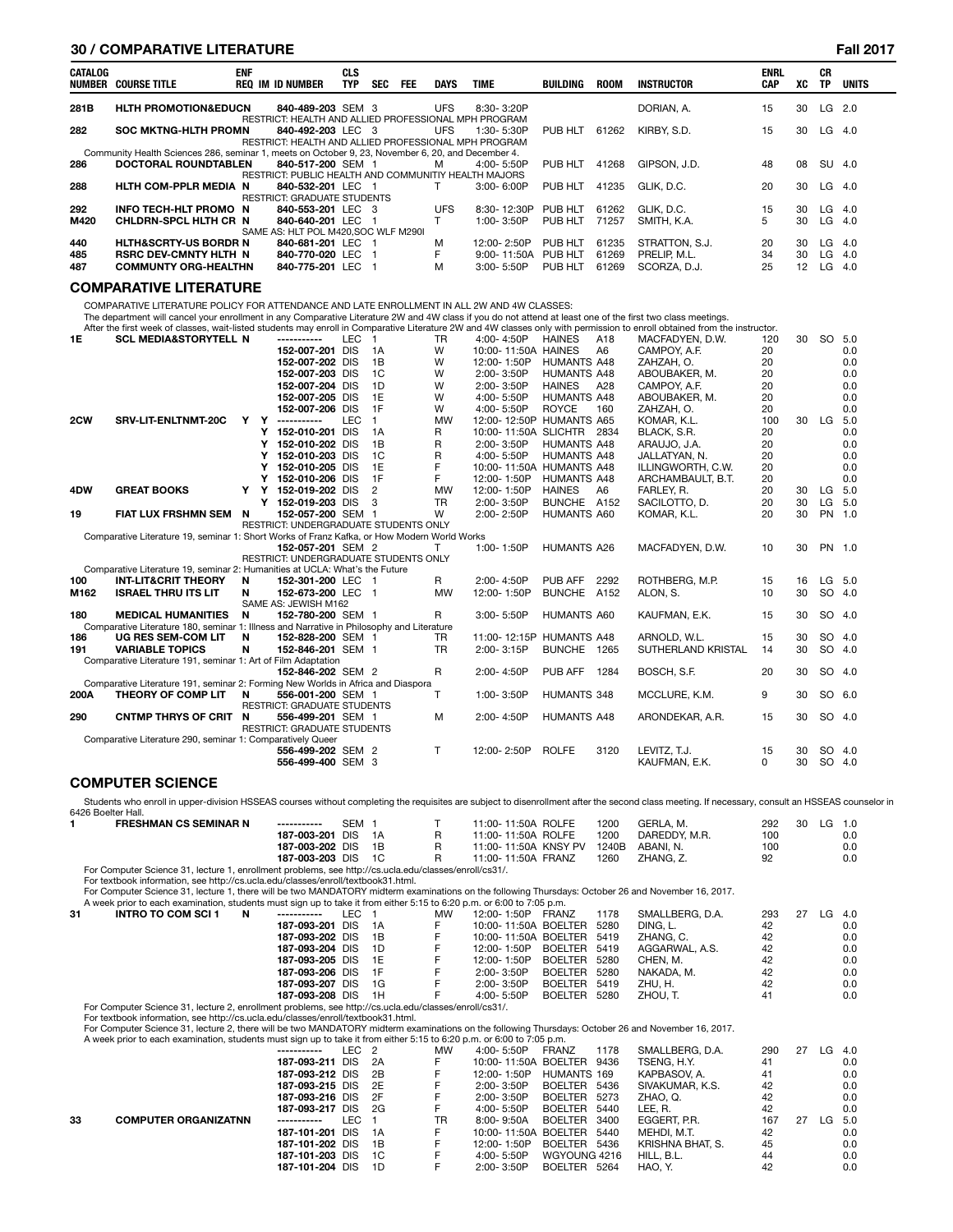|         | <b>30 / COMPARATIVE LITERATURE</b>                                                                                                                          |            |        |                                                                           |                          |                          |            |                |                                   |                                     |                                   |                                                                                                                                                                           |                    |    |                        | <b>Fall 2017</b> |
|---------|-------------------------------------------------------------------------------------------------------------------------------------------------------------|------------|--------|---------------------------------------------------------------------------|--------------------------|--------------------------|------------|----------------|-----------------------------------|-------------------------------------|-----------------------------------|---------------------------------------------------------------------------------------------------------------------------------------------------------------------------|--------------------|----|------------------------|------------------|
| CATALOG | <b>NUMBER COURSE TITLE</b>                                                                                                                                  | <b>ENF</b> |        | <b>REQ IM ID NUMBER</b>                                                   | <b>CLS</b><br><b>TYP</b> | <b>SEC</b>               | <b>FEE</b> | <b>DAYS</b>    | <b>TIME</b>                       | <b>BUILDING</b>                     | <b>ROOM</b>                       | <b>INSTRUCTOR</b>                                                                                                                                                         | <b>ENRL</b><br>CAP | xс | <b>CR</b><br><b>TP</b> | <b>UNITS</b>     |
| 281B    | <b>HLTH PROMOTION&amp;EDUCN</b>                                                                                                                             |            |        | 840-489-203 SEM 3                                                         |                          |                          |            | <b>UFS</b>     | 8:30-3:20P                        |                                     |                                   | DORIAN, A.                                                                                                                                                                | 15                 | 30 |                        | $LG$ 2.0         |
| 282     | <b>SOC MKTNG-HLTH PROMN</b>                                                                                                                                 |            |        | RESTRICT: HEALTH AND ALLIED PROFESSIONAL MPH PROGRAM<br>840-492-203 LEC 3 |                          |                          |            | <b>UFS</b>     | 1:30-5:30P                        | PUB HLT                             | 61262                             | KIRBY, S.D.                                                                                                                                                               | 15                 | 30 | LG                     | -4.0             |
|         |                                                                                                                                                             |            |        | RESTRICT: HEALTH AND ALLIED PROFESSIONAL MPH PROGRAM                      |                          |                          |            |                |                                   |                                     |                                   |                                                                                                                                                                           |                    |    |                        |                  |
| 286     | Community Health Sciences 286, seminar 1, meets on October 9, 23, November 6, 20, and December 4.<br><b>DOCTORAL ROUNDTABLEN</b>                            |            |        | 840-517-200 SEM 1                                                         |                          |                          |            | м              | 4:00-5:50P                        | PUB HLT                             | 41268                             | GIPSON, J.D.                                                                                                                                                              | 48                 | 08 | <b>SU</b>              | 4.0              |
|         |                                                                                                                                                             |            |        | RESTRICT: PUBLIC HEALTH AND COMMUNITIY HEALTH MAJORS                      |                          |                          |            |                |                                   |                                     |                                   |                                                                                                                                                                           |                    |    |                        |                  |
| 288     | <b>HLTH COM-PPLR MEDIA N</b>                                                                                                                                |            |        | 840-532-201 LEC 1                                                         |                          |                          |            | T              | $3:00 - 6:00P$                    | PUB HLT                             | 41235                             | GLIK, D.C.                                                                                                                                                                | 20                 | 30 |                        | $LG$ 4.0         |
| 292     | <b>INFO TECH-HLT PROMO N</b>                                                                                                                                |            |        | <b>RESTRICT: GRADUATE STUDENTS</b><br>840-553-201 LEC                     |                          | - 3                      |            | <b>UFS</b>     | 8:30-12:30P                       | PUB HLT                             | 61262                             | GLIK, D.C.                                                                                                                                                                | 15                 | 30 | LG                     | 4.0              |
| M420    | CHLDRN-SPCL HLTH CR N                                                                                                                                       |            |        | 840-640-201 LEC                                                           |                          | -1                       |            | T.             | 1:00-3:50P                        | PUB HLT                             | 71257                             | SMITH, K.A.                                                                                                                                                               | 5                  | 30 | LG                     | 4.0              |
|         |                                                                                                                                                             |            |        | SAME AS: HLT POL M420, SOC WLF M290I                                      |                          |                          |            |                |                                   |                                     |                                   |                                                                                                                                                                           |                    |    |                        |                  |
| 440     | <b>HLTH&amp;SCRTY-US BORDR N</b>                                                                                                                            |            |        | 840-681-201 LEC                                                           |                          | - 1                      |            | M              | 12:00-2:50P                       | PUB HLT                             | 61235                             | STRATTON, S.J.                                                                                                                                                            | 20                 | 30 | LG                     | 4.0              |
| 485     | <b>RSRC DEV-CMNTY HLTH N</b>                                                                                                                                |            |        | 840-770-020 LEC                                                           |                          | $\mathbf{1}$             |            | F              | 9:00-11:50A                       | PUB HLT                             | 61269                             | PRELIP, M.L.                                                                                                                                                              | 34                 | 30 | LG                     | 4.0              |
| 487     | <b>COMMUNTY ORG-HEALTHN</b>                                                                                                                                 |            |        | 840-775-201 LEC                                                           |                          | -1                       |            | M              | 3:00-5:50P                        | PUB HLT                             | 61269                             | SCORZA, D.J.                                                                                                                                                              | 25                 | 12 | LG                     | 4.0              |
|         | <b>COMPARATIVE LITERATURE</b>                                                                                                                               |            |        |                                                                           |                          |                          |            |                |                                   |                                     |                                   |                                                                                                                                                                           |                    |    |                        |                  |
|         | COMPARATIVE LITERATURE POLICY FOR ATTENDANCE AND LATE ENROLLMENT IN ALL 2W AND 4W CLASSES:                                                                  |            |        |                                                                           |                          |                          |            |                |                                   |                                     |                                   |                                                                                                                                                                           |                    |    |                        |                  |
|         | The department will cancel your enrollment in any Comparative Literature 2W and 4W class if you do not attend at least one of the first two class meetings. |            |        |                                                                           |                          |                          |            |                |                                   |                                     |                                   |                                                                                                                                                                           |                    |    |                        |                  |
|         |                                                                                                                                                             |            |        | ------------                                                              |                          |                          |            |                |                                   |                                     |                                   | After the first week of classes, wait-listed students may enroll in Comparative Literature 2W and 4W classes only with permission to enroll obtained from the instructor. |                    |    |                        |                  |
| 1E      | <b>SCL MEDIA&amp;STORYTELL N</b>                                                                                                                            |            |        | 152-007-201 DIS                                                           | <b>LEC</b>               | $\overline{1}$<br>1A     |            | <b>TR</b><br>W | 4:00-4:50P<br>10:00-11:50A HAINES | <b>HAINES</b>                       | A <sub>18</sub><br>A <sub>6</sub> | MACFADYEN, D.W.<br>CAMPOY, A.F.                                                                                                                                           | 120<br>20          | 30 |                        | SO 5.0<br>0.0    |
|         |                                                                                                                                                             |            |        | 152-007-202 DIS                                                           |                          | 1B                       |            | W              | 12:00-1:50P                       | <b>HUMANTS A48</b>                  |                                   | ZAHZAH, O.                                                                                                                                                                | 20                 |    |                        | 0.0              |
|         |                                                                                                                                                             |            |        | 152-007-203 DIS                                                           |                          | 1C                       |            | W              | 2:00-3:50P                        | <b>HUMANTS A48</b>                  |                                   | ABOUBAKER, M.                                                                                                                                                             | 20                 |    |                        | 0.0              |
|         |                                                                                                                                                             |            |        | 152-007-204 DIS                                                           |                          | 1D                       |            | W              | 2:00-3:50P                        | <b>HAINES</b>                       | A28                               | CAMPOY, A.F.                                                                                                                                                              | 20                 |    |                        | 0.0              |
|         |                                                                                                                                                             |            |        | 152-007-205 DIS                                                           |                          | 1E                       |            | W              | 4:00-5:50P                        | <b>HUMANTS A48</b>                  |                                   | ABOUBAKER, M.                                                                                                                                                             | 20                 |    |                        | 0.0              |
|         |                                                                                                                                                             |            |        | 152-007-206 DIS                                                           |                          | 1F                       |            | W              | 4:00-5:50P                        | <b>ROYCE</b>                        | 160                               | ZAHZAH. O.                                                                                                                                                                | 20                 |    |                        | 0.0              |
| 2CW     | SRV-LIT-ENLTNMT-20C                                                                                                                                         | Y          | Y      | -----------                                                               | <b>LEC</b>               | $\mathbf{1}$             |            | <b>MW</b>      | 12:00-12:50P HUMANTS A65          |                                     |                                   | KOMAR, K.L.                                                                                                                                                               | 100                | 30 | LG                     | 5.0              |
|         |                                                                                                                                                             |            | Υ      | 152-010-201 DIS                                                           |                          | 1A                       |            | R              | 10:00-11:50A SLICHTR 2834         |                                     |                                   | BLACK, S.R.                                                                                                                                                               | 20                 |    |                        | 0.0              |
|         |                                                                                                                                                             |            | Y      | 152-010-202 DIS                                                           |                          | 1B                       |            | R              | 2:00-3:50P                        | <b>HUMANTS A48</b>                  |                                   | ARAUJO, J.A.                                                                                                                                                              | 20                 |    |                        | 0.0              |
|         |                                                                                                                                                             |            | Υ      | 152-010-203                                                               | <b>DIS</b>               | 1C                       |            | R              | 4:00-5:50P                        | <b>HUMANTS A48</b>                  |                                   | JALLATYAN. N.                                                                                                                                                             | 20                 |    |                        | 0.0              |
|         |                                                                                                                                                             |            | Y      | 152-010-205 DIS                                                           |                          | 1E                       |            | F<br>F         | 10:00-11:50A HUMANTS A48          |                                     |                                   | ILLINGWORTH, C.W.                                                                                                                                                         | 20                 |    |                        | 0.0              |
| 4DW     | <b>GREAT BOOKS</b>                                                                                                                                          | Y          | Y<br>Y | 152-010-206 DIS<br>152-019-202 DIS                                        |                          | 1F<br>$\overline{2}$     |            | <b>MW</b>      | 12:00-1:50P<br>12:00-1:50P        | <b>HUMANTS A48</b><br><b>HAINES</b> | A <sub>6</sub>                    | ARCHAMBAULT, B.T.<br>FARLEY, R.                                                                                                                                           | 20<br>20           | 30 | LG                     | 0.0<br>5.0       |
|         |                                                                                                                                                             |            |        | Y 152-019-203 DIS                                                         |                          | 3                        |            | TR             | 2:00-3:50P                        | BUNCHE A152                         |                                   | SACILOTTO, D.                                                                                                                                                             | 20                 | 30 | LG                     | 5.0              |
| 19      | FIAT LUX FRSHMN SEM                                                                                                                                         | N          |        | 152-057-200 SEM 1                                                         |                          |                          |            | W              | 2:00-2:50P                        | <b>HUMANTS A60</b>                  |                                   | KOMAR, K.L.                                                                                                                                                               | 20                 | 30 | <b>PN</b>              | 1.0              |
|         |                                                                                                                                                             |            |        | RESTRICT: UNDERGRADUATE STUDENTS ONLY                                     |                          |                          |            |                |                                   |                                     |                                   |                                                                                                                                                                           |                    |    |                        |                  |
|         | Comparative Literature 19, seminar 1: Short Works of Franz Kafka, or How Modern World Works                                                                 |            |        |                                                                           |                          |                          |            |                |                                   |                                     |                                   |                                                                                                                                                                           |                    |    |                        |                  |
|         |                                                                                                                                                             |            |        | 152-057-201 SEM 2                                                         |                          |                          |            | т              | 1:00-1:50P                        | <b>HUMANTS A26</b>                  |                                   | MACFADYEN, D.W.                                                                                                                                                           | 10                 | 30 |                        | PN 1.0           |
|         |                                                                                                                                                             |            |        | RESTRICT: UNDERGRADUATE STUDENTS ONLY                                     |                          |                          |            |                |                                   |                                     |                                   |                                                                                                                                                                           |                    |    |                        |                  |
| 100     | Comparative Literature 19, seminar 2: Humanities at UCLA: What's the Future<br><b>INT-LIT&amp;CRIT THEORY</b>                                               | N          |        | 152-301-200 LEC                                                           |                          | - 1                      |            | R              | 2:00-4:50P                        | PUB AFF                             | 2292                              | ROTHBERG, M.P.                                                                                                                                                            | 15                 | 16 | LG                     | 5.0              |
| M162    | <b>ISRAEL THRU ITS LIT</b>                                                                                                                                  | N          |        | 152-673-200 LEC                                                           |                          | $\overline{\phantom{0}}$ |            | <b>MW</b>      | 12:00-1:50P                       | <b>BUNCHE</b>                       | A152                              | ALON, S.                                                                                                                                                                  | 10                 | 30 | <b>SO</b>              | 4.0              |
|         |                                                                                                                                                             |            |        | SAME AS: JEWISH M162                                                      |                          |                          |            |                |                                   |                                     |                                   |                                                                                                                                                                           |                    |    |                        |                  |
| 180     | <b>MEDICAL HUMANITIES</b>                                                                                                                                   | N          |        | 152-780-200 SEM 1                                                         |                          |                          |            | R              | $3:00 - 5:50P$                    | HUMANTS A60                         |                                   | KAUFMAN, E.K.                                                                                                                                                             | 15                 | 30 |                        | SO 4.0           |
|         | Comparative Literature 180, seminar 1: Illness and Narrative in Philosophy and Literature                                                                   |            |        |                                                                           |                          |                          |            |                |                                   |                                     |                                   |                                                                                                                                                                           |                    |    |                        |                  |
| 186     | UG RES SEM-COM LIT                                                                                                                                          | N          |        | 152-828-200 SEM 1                                                         |                          |                          |            | <b>TR</b>      | 11:00-12:15P HUMANTS A48          |                                     |                                   | ARNOLD, W.L.                                                                                                                                                              | 15                 | 30 |                        | SO 4.0           |
| 191     | <b>VARIABLE TOPICS</b>                                                                                                                                      | N          |        | 152-846-201 SEM 1                                                         |                          |                          |            | <b>TR</b>      | 2:00-3:15P                        | BUNCHE 1265                         |                                   | SUTHERLAND KRISTAL                                                                                                                                                        | 14                 | 30 | <b>SO</b>              | 4.0              |
|         | Comparative Literature 191, seminar 1: Art of Film Adaptation                                                                                               |            |        | 152-846-202 SEM 2                                                         |                          |                          |            | R              | 2:00-4:50P                        | PUB AFF                             | 1284                              | BOSCH, S.F.                                                                                                                                                               | 20                 | 30 |                        | SO 4.0           |
|         | Comparative Literature 191, seminar 2: Forming New Worlds in Africa and Diaspora                                                                            |            |        |                                                                           |                          |                          |            |                |                                   |                                     |                                   |                                                                                                                                                                           |                    |    |                        |                  |
| 200A    | THEORY OF COMP LIT                                                                                                                                          | N          |        | 556-001-200 SEM 1                                                         |                          |                          |            | T.             | 1:00-3:50P                        | HUMANTS 348                         |                                   | MCCLURE, K.M.                                                                                                                                                             | 9                  | 30 |                        | SO 6.0           |
|         |                                                                                                                                                             |            |        | <b>RESTRICT: GRADUATE STUDENTS</b>                                        |                          |                          |            |                |                                   |                                     |                                   |                                                                                                                                                                           |                    |    |                        |                  |
| 290     | CNTMP THRYS OF CRIT N                                                                                                                                       |            |        | 556-499-201 SEM 1                                                         |                          |                          |            | M              | 2:00-4:50P                        | <b>HUMANTS A48</b>                  |                                   | ARONDEKAR, A.R.                                                                                                                                                           | 15                 | 30 |                        | SO 4.0           |
|         |                                                                                                                                                             |            |        | <b>RESTRICT: GRADUATE STUDENTS</b>                                        |                          |                          |            |                |                                   |                                     |                                   |                                                                                                                                                                           |                    |    |                        |                  |
|         | Comparative Literature 290, seminar 1: Comparatively Queer                                                                                                  |            |        |                                                                           |                          |                          |            | T.             | 12:00-2:50P                       | <b>ROLFE</b>                        | 3120                              | LEVITZ. T.J.                                                                                                                                                              | 15                 | 30 |                        | SO 4.0           |
|         |                                                                                                                                                             |            |        | 556-499-202 SEM 2<br>556-499-400 SEM 3                                    |                          |                          |            |                |                                   |                                     |                                   | KAUFMAN, E.K.                                                                                                                                                             | $\Omega$           | 30 |                        | SO 4.0           |
|         |                                                                                                                                                             |            |        |                                                                           |                          |                          |            |                |                                   |                                     |                                   |                                                                                                                                                                           |                    |    |                        |                  |

# **COMPUTER SCIENCE**

Students who enroll in upper-division HSSEAS courses without completing the requisites are subject to disenrollment after the second class meeting. If necessary, consult an HSSEAS counselor in 6426 Boelter Hall.

| <b>FRESHMAN CS SEMINAR N</b>                                                                          | -----------        | SEM |  | 11:00-11:50A ROLFE   | 1200  | GERLA, M.     | 292<br>30 | LG 1.0 |
|-------------------------------------------------------------------------------------------------------|--------------------|-----|--|----------------------|-------|---------------|-----------|--------|
|                                                                                                       | 187-003-201 DIS 1A |     |  | 11:00-11:50A ROLFE   | 1200  | DAREDDY, M.R. | 100       | 0.0    |
|                                                                                                       | 187-003-202 DIS 1B |     |  | 11:00-11:50A KNSY PV | 1240B | ABANI, N.     | 100       | 0.0    |
|                                                                                                       | 187-003-203 DIS 1C |     |  | 11:00-11:50A FRANZ   | 1260  | ZHANG, Z.     | 92        | 0.0    |
| For Computer Science 31, lecture 1, enrollment problems, see http://cs.ucla.edu/classes/enroll/cs31/. |                    |     |  |                      |       |               |           |        |

For Computer Science 31, lecture 1, enrollment problems, see http://cs.ucla.edu/classes/enroll/cs31/.<br>For textbook information, see http://cs.ucla.edu/classes/enroll/textbook31.html.<br>For Computer Science 31, lecture 1, the

|    | A week prior to each examination, students must sign up to take it from either 5:15 to 6:20 p.m. or 6:00 to 7:05 p.m. |                 |      |      |    |                           |                |      |                 |     |    |    |      |
|----|-----------------------------------------------------------------------------------------------------------------------|-----------------|------|------|----|---------------------------|----------------|------|-----------------|-----|----|----|------|
| 31 | <b>INTRO TO COM SCI 1</b><br>N                                                                                        | -----------     | ∟EC. |      | MW | 12:00-1:50P               | FRANZ          | 1178 | SMALLBERG, D.A. | 293 | 27 | LG | -4.0 |
|    |                                                                                                                       | 187-093-201 DIS |      | - 1A | F  | 10:00-11:50A BOELTER      |                | 5280 | DING. L.        | 42  |    |    | 0.0  |
|    |                                                                                                                       | 187-093-202 DIS |      | - 1B |    | 10:00-11:50A BOELTER 5419 |                |      | ZHANG, C.       | 42  |    |    | 0.0  |
|    |                                                                                                                       | 187-093-204 DIS |      | - 1D |    | 12:00-1:50P               | <b>BOELTER</b> | 5419 | AGGARWAL, A.S.  | 42  |    |    | 0.0  |
|    |                                                                                                                       | 187-093-205 DIS |      | - 1F |    | 12:00-1:50P               | <b>BOELTER</b> | 5280 | CHEN. M.        | 42  |    |    | 0.0  |
|    |                                                                                                                       | 187-093-206 DIS |      | - 1F | F  | 2:00-3:50P                | <b>BOELTER</b> | 5280 | NAKADA. M.      | 42  |    |    | 0.0  |
|    |                                                                                                                       | 187-093-207 DIS |      | - 1G | ь. | $2:00 - 3:50P$            | <b>BOELTER</b> | 5419 | ZHU, H.         | 42  |    |    | 0.0  |
|    |                                                                                                                       | 187-093-208 DIS |      | 1H   | F  | 4:00- 5:50P               | <b>BOELTER</b> | 5280 | ZHOU. T.        | 41  |    |    | 0.0  |
|    | For Computer Science 31, lecture 2, enrollment problems, see http://cs.ucla.edu/classes/enroll/cs31/.                 |                 |      |      |    |                           |                |      |                 |     |    |    |      |
|    | For textbook information, see http://cs.ucla.edu/classes/enroll/textbook31.html.                                      |                 |      |      |    |                           |                |      |                 |     |    |    |      |

For Computer Science 31, lecture 2, there will be two MANDATORY midterm examinations on the following Thursdays: October 26 and November 16, 2017.<br>A week prior to each examination, students must sign up to take it from eit

|                             | ------------ |     |                                                                                                                                                                         | МW                                                                | 4:00-5:50P     | 1178                                                                                                                                                        | SMALLBERG. D.A.                                                                                                                                                       | 290 | 27 | LG  | 4.0 |
|-----------------------------|--------------|-----|-------------------------------------------------------------------------------------------------------------------------------------------------------------------------|-------------------------------------------------------------------|----------------|-------------------------------------------------------------------------------------------------------------------------------------------------------------|-----------------------------------------------------------------------------------------------------------------------------------------------------------------------|-----|----|-----|-----|
|                             |              |     |                                                                                                                                                                         |                                                                   |                |                                                                                                                                                             | TSENG. H.Y.                                                                                                                                                           | 41  |    |     | 0.0 |
|                             |              |     |                                                                                                                                                                         |                                                                   | 12:00-1:50P    |                                                                                                                                                             | KAPBASOV. A.                                                                                                                                                          | 41  |    |     | 0.0 |
|                             |              |     |                                                                                                                                                                         |                                                                   | 2:00-3:50P     |                                                                                                                                                             | SIVAKUMAR, K.S.                                                                                                                                                       | 42  |    |     | 0.0 |
|                             |              |     |                                                                                                                                                                         |                                                                   | 2:00-3:50P     |                                                                                                                                                             | ZHAO. Q.                                                                                                                                                              | 42  |    |     | 0.0 |
|                             |              |     |                                                                                                                                                                         |                                                                   | 4:00-5:50P     |                                                                                                                                                             | LEE. R.                                                                                                                                                               | 42  |    |     | 0.0 |
| <b>COMPUTER ORGANIZATNN</b> | -----------  | LEC |                                                                                                                                                                         | TR                                                                | $8:00 - 9:50A$ |                                                                                                                                                             | EGGERT. P.R.                                                                                                                                                          | 167 | 27 | LG. | 5.0 |
|                             |              |     |                                                                                                                                                                         |                                                                   |                |                                                                                                                                                             | MEHDI. M.T.                                                                                                                                                           | 42  |    |     | 0.0 |
|                             |              |     |                                                                                                                                                                         |                                                                   | 12:00-1:50P    |                                                                                                                                                             | KRISHNA BHAT, S.                                                                                                                                                      | 45  |    |     | 0.0 |
|                             |              |     |                                                                                                                                                                         |                                                                   | $4:00 - 5:50P$ |                                                                                                                                                             | HILL, B.L.                                                                                                                                                            | 44  |    |     | 0.0 |
|                             |              |     | 1D                                                                                                                                                                      |                                                                   | 2:00-3:50P     |                                                                                                                                                             | HAO. Y.                                                                                                                                                               | 42  |    |     | 0.0 |
|                             |              |     | 187-093-211 DIS<br>187-093-212 DIS<br>187-093-215 DIS<br>187-093-216 DIS<br>187-093-217 DIS<br>187-101-201 DIS<br>187-101-202 DIS<br>187-101-203 DIS<br>187-101-204 DIS | LEC 2<br>2A<br>- 2B<br>- 2E<br>- 2F<br>2G<br>- 1A<br>- 1B<br>- 1C |                | A week prior to each examination, students must sign up to take it from either 5:15 to 6:20 p.m. or 6:00 to 7:05 p.m.<br><b>FRANZ</b><br>BOELTER<br>BOELTER | 10:00-11:50A BOELTER 9436<br>HUMANTS 169<br>BOELTER 5436<br>5273<br>BOELTER 5440<br>3400<br>10:00-11:50A BOELTER 5440<br>BOELTER 5436<br>WGYOUNG 4216<br>BOELTER 5264 |     |    |     |     |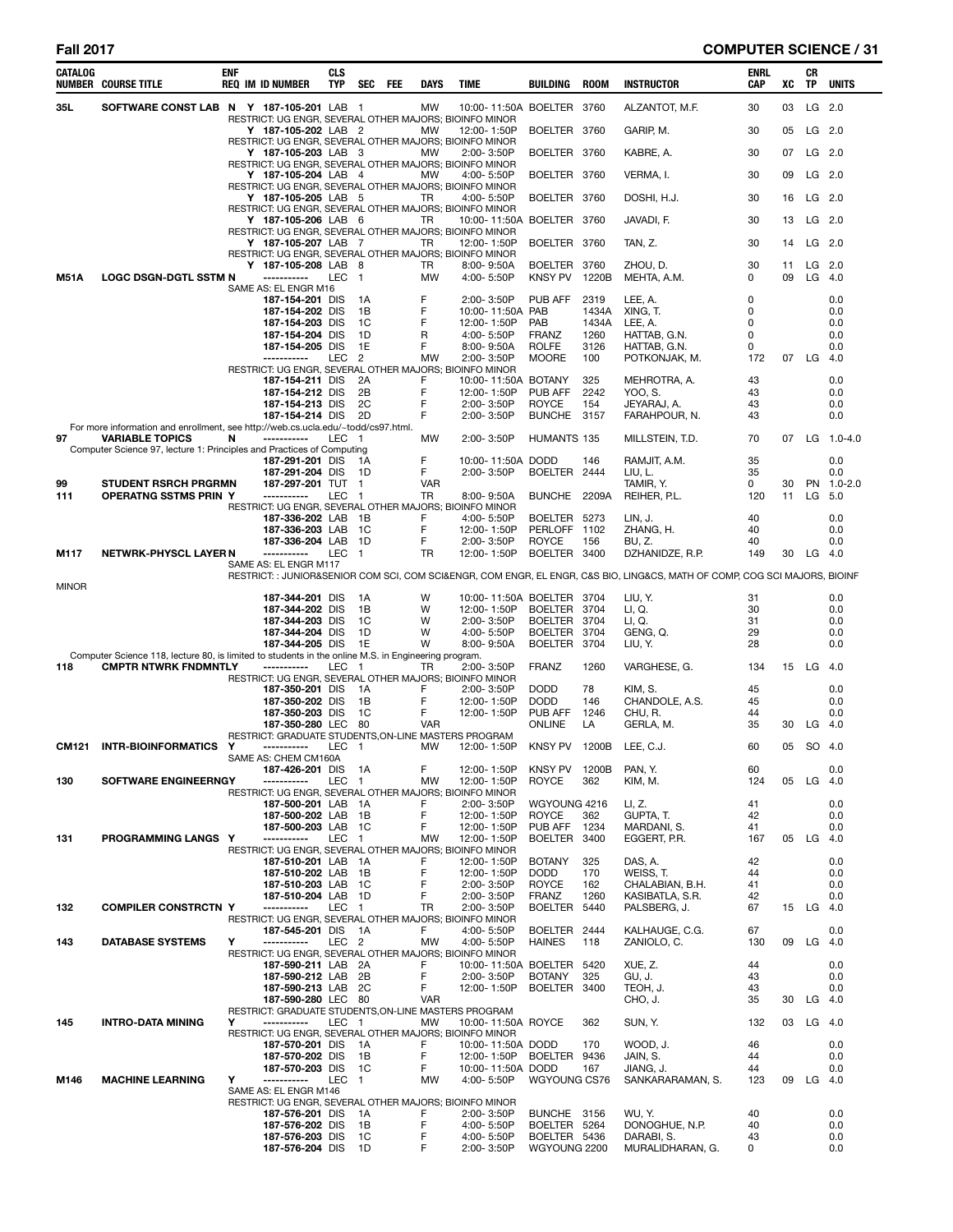# **Fall 2017 COMPUTER SCIENCE / 31**

| CATALOG      | <b>NUMBER COURSE TITLE</b>                                                                                                         | <b>ENF</b> | <b>REQ IM ID NUMBER</b>                                                    | <b>CLS</b><br>TYP | <b>SEC</b>           | FEE | DAYS             | <b>TIME</b>                                                                         | <b>BUILDING</b>                  | <b>ROOM</b>    | <b>INSTRUCTOR</b>                                                                                                          | ENRL<br>CAP   | XC       | CR<br>TP             | <b>UNITS</b> |
|--------------|------------------------------------------------------------------------------------------------------------------------------------|------------|----------------------------------------------------------------------------|-------------------|----------------------|-----|------------------|-------------------------------------------------------------------------------------|----------------------------------|----------------|----------------------------------------------------------------------------------------------------------------------------|---------------|----------|----------------------|--------------|
| 35L          | SOFTWARE CONST LAB N Y 187-105-201 LAB 1                                                                                           |            |                                                                            |                   |                      |     | <b>MW</b>        | 10:00-11:50A BOELTER 3760<br>RESTRICT: UG ENGR, SEVERAL OTHER MAJORS; BIOINFO MINOR |                                  |                | ALZANTOT, M.F.                                                                                                             | 30            | 03       | LG 2.0               |              |
|              |                                                                                                                                    |            | Y 187-105-202 LAB 2                                                        |                   |                      |     | MW               | 12:00-1:50P<br>RESTRICT: UG ENGR, SEVERAL OTHER MAJORS; BIOINFO MINOR               | BOELTER 3760                     |                | GARIP, M.                                                                                                                  | 30            | 05       | $LG$ 2.0             |              |
|              |                                                                                                                                    |            | Y 187-105-203 LAB 3                                                        |                   |                      |     | <b>MW</b>        | 2:00-3:50P<br>RESTRICT: UG ENGR, SEVERAL OTHER MAJORS; BIOINFO MINOR                | BOELTER 3760                     |                | KABRE, A.                                                                                                                  | 30            | 07       | $LG$ 2.0             |              |
|              |                                                                                                                                    |            | Y 187-105-204 LAB 4                                                        |                   |                      |     | MW               | 4:00-5:50P<br>RESTRICT: UG ENGR, SEVERAL OTHER MAJORS; BIOINFO MINOR                | BOELTER 3760                     |                | VERMA, I.                                                                                                                  | 30            | 09       | $LG$ 2.0             |              |
|              |                                                                                                                                    |            | Y 187-105-205 LAB 5                                                        |                   |                      |     | TR               | 4:00-5:50P<br>RESTRICT: UG ENGR, SEVERAL OTHER MAJORS; BIOINFO MINOR                | BOELTER 3760                     |                | DOSHI, H.J.                                                                                                                | 30            | 16       | $LG$ 2.0             |              |
|              |                                                                                                                                    |            | Y 187-105-206 LAB 6                                                        |                   |                      |     | TR               | 10:00-11:50A BOELTER 3760<br>RESTRICT: UG ENGR, SEVERAL OTHER MAJORS; BIOINFO MINOR |                                  |                | JAVADI, F.                                                                                                                 | 30            | 13       | $LG$ 2.0             |              |
|              |                                                                                                                                    |            | Y 187-105-207 LAB 7                                                        |                   |                      |     | TR.              | 12:00-1:50P<br>RESTRICT: UG ENGR, SEVERAL OTHER MAJORS; BIOINFO MINOR               | BOELTER                          | 3760           | TAN, Z.                                                                                                                    | 30            | 14       |                      | LG 2.0       |
| <b>M51A</b>  | <b>LOGC DSGN-DGTL SSTM N</b>                                                                                                       |            | Y 187-105-208 LAB 8<br>-----------                                         | LEC 1             |                      |     | TR<br>MW         | $8:00 - 9:50A$<br>4:00-5:50P                                                        | BOELTER<br><b>KNSY PV</b>        | 3760<br>1220B  | ZHOU, D.<br>MEHTA, A.M.                                                                                                    | 30<br>0       | 11<br>09 | $LG$ 2.0<br>LG $4.0$ |              |
|              |                                                                                                                                    |            | SAME AS: EL ENGR M16<br>187-154-201 DIS                                    |                   | 1A                   |     | F                | 2:00-3:50P                                                                          | PUB AFF                          | 2319           | LEE, A.                                                                                                                    | 0             |          |                      | 0.0          |
|              |                                                                                                                                    |            | 187-154-202 DIS<br>187-154-203 DIS                                         |                   | 1В<br>1C             |     | F<br>F           | 10:00-11:50A PAB<br>12:00-1:50P                                                     | PAB                              | 1434A<br>1434A | XING, T.<br>LEE, A.                                                                                                        | $\Omega$<br>0 |          |                      | 0.0<br>0.0   |
|              |                                                                                                                                    |            | 187-154-204 DIS<br>187-154-205 DIS                                         |                   | 1D<br>1E             |     | R<br>F           | 4:00-5:50P<br>8:00-9:50A                                                            | <b>FRANZ</b><br><b>ROLFE</b>     | 1260<br>3126   | HATTAB, G.N.<br>HATTAB, G.N.                                                                                               | 0<br>0        |          |                      | 0.0<br>0.0   |
|              |                                                                                                                                    |            | -----------                                                                | LEC               | $\overline{2}$       |     | <b>MW</b>        | 2:00-3:50P<br>RESTRICT: UG ENGR, SEVERAL OTHER MAJORS; BIOINFO MINOR                | <b>MOORE</b>                     | 100            | POTKONJAK, M.                                                                                                              | 172           |          | 07 LG 4.0            |              |
|              |                                                                                                                                    |            | 187-154-211 DIS<br>187-154-212 DIS                                         |                   | 2A<br>2B             |     | F<br>F           | 10:00-11:50A BOTANY<br>12:00-1:50P                                                  | PUB AFF                          | 325<br>2242    | MEHROTRA, A.<br>YOO, S.                                                                                                    | 43<br>43      |          |                      | 0.0<br>0.0   |
|              |                                                                                                                                    |            | 187-154-213 DIS                                                            |                   | 2C                   |     | F                | 2:00-3:50P                                                                          | <b>ROYCE</b>                     | 154            | JEYARAJ, A.                                                                                                                | 43            |          |                      | 0.0          |
|              | For more information and enrollment, see http://web.cs.ucla.edu/~todd/cs97.html.                                                   |            | 187-154-214 DIS                                                            |                   | 2D                   |     | F                | 2:00-3:50P                                                                          | <b>BUNCHE</b>                    | 3157           | FARAHPOUR, N.                                                                                                              | 43            |          |                      | 0.0          |
| 97           | <b>VARIABLE TOPICS</b><br>Computer Science 97, lecture 1: Principles and Practices of Computing                                    | N          | -----------                                                                | LEC 1             |                      |     | <b>MW</b>        | 2:00-3:50P                                                                          | <b>HUMANTS 135</b>               |                | MILLSTEIN, T.D.                                                                                                            | 70            | 07       |                      | LG 1.0-4.0   |
|              |                                                                                                                                    |            | 187-291-201 DIS<br>187-291-204 DIS                                         |                   | - 1A<br>1D           |     | F<br>F           | 10:00-11:50A DODD<br>2:00-3:50P                                                     | BOELTER 2444                     | 146            | RAMJIT, A.M.<br>LIU, L.                                                                                                    | 35<br>35      |          |                      | 0.0<br>0.0   |
| 99<br>111    | <b>STUDENT RSRCH PRGRMN</b><br><b>OPERATNG SSTMS PRIN Y</b>                                                                        |            | 187-297-201 TUT 1<br>-----------                                           | LEC 1             |                      |     | <b>VAR</b><br>TR | $8:00 - 9:50A$                                                                      | <b>BUNCHE</b>                    | 2209A          | TAMIR, Y.<br>REIHER, P.L.                                                                                                  | 0<br>120      | 30<br>11 | LG 5.0               | PN 1.0-2.0   |
|              |                                                                                                                                    |            | 187-336-202 LAB                                                            |                   | 1B                   |     | F                | RESTRICT: UG ENGR, SEVERAL OTHER MAJORS; BIOINFO MINOR<br>4:00-5:50P                | BOELTER                          | 5273           | LIN, J.                                                                                                                    | 40            |          |                      | 0.0          |
|              |                                                                                                                                    |            | 187-336-203 LAB                                                            |                   | -1C                  |     | F                | 12:00-1:50P                                                                         | PERLOFF                          | 1102           | ZHANG, H.                                                                                                                  | 40            |          |                      | 0.0          |
| M117         | <b>NETWRK-PHYSCL LAYER N</b>                                                                                                       |            | 187-336-204 LAB<br>-----------                                             | LEC               | 1D<br>$\mathbf{1}$   |     | F<br>TR          | 2:00-3:50P<br>12:00-1:50P                                                           | <b>ROYCE</b><br>BOELTER          | 156<br>3400    | BU, Z.<br>DZHANIDZE, R.P.                                                                                                  | 40<br>149     |          | 30 LG 4.0            | 0.0          |
|              |                                                                                                                                    |            | SAME AS: EL ENGR M117                                                      |                   |                      |     |                  |                                                                                     |                                  |                | RESTRICT: : JUNIOR&SENIOR COM SCI, COM SCI&ENGR, COM ENGR, EL ENGR, C&S BIO, LING&CS, MATH OF COMP, COG SCI MAJORS, BIOINF |               |          |                      |              |
| <b>MINOR</b> |                                                                                                                                    |            | 187-344-201 DIS                                                            |                   | 1A                   |     | W                |                                                                                     |                                  |                | LIU, Y.                                                                                                                    | 31            |          |                      | 0.0          |
|              |                                                                                                                                    |            | 187-344-202 DIS                                                            |                   | 1B                   |     | W                | 10:00-11:50A BOELTER 3704<br>12:00-1:50P                                            | BOELTER                          | 3704           | LI, Q.                                                                                                                     | 30            |          |                      | 0.0          |
|              |                                                                                                                                    |            | 187-344-203 DIS<br>187-344-204 DIS                                         |                   | 1C<br>1D             |     | W<br>W           | $2:00 - 3:50P$<br>4:00-5:50P                                                        | <b>BOELTER</b><br><b>BOELTER</b> | 3704<br>3704   | LI, Q.<br>GENG, Q.                                                                                                         | 31<br>29      |          |                      | 0.0<br>0.0   |
|              |                                                                                                                                    |            | 187-344-205 DIS                                                            |                   | 1E                   |     | W                | $8:00 - 9:50A$                                                                      | BOELTER                          | 3704           | LIU, Y.                                                                                                                    | 28            |          |                      | 0.0          |
| 118          | Computer Science 118, lecture 80, is limited to students in the online M.S. in Engineering program.<br><b>CMPTR NTWRK FNDMNTLY</b> |            | -----------                                                                | LEC 1             |                      |     | TR               | 2:00-3:50P                                                                          | <b>FRANZ</b>                     | 1260           | VARGHESE, G.                                                                                                               | 134           |          | 15 LG 4.0            |              |
|              |                                                                                                                                    |            | 187-350-201 DIS                                                            |                   | 1A                   |     | F                | RESTRICT: UG ENGR, SEVERAL OTHER MAJORS; BIOINFO MINOR<br>2:00-3:50P                | <b>DODD</b>                      | 78             | KIM, S.                                                                                                                    | 45            |          |                      | 0.0          |
|              |                                                                                                                                    |            | 187-350-202 DIS<br>187-350-203 DIS                                         |                   | 1B<br>1C             |     | F<br>F           | 12:00-1:50P<br>12:00-1:50P                                                          | <b>DODD</b><br>PUB AFF           | 146<br>1246    | CHANDOLE, A.S.<br>CHU, R.                                                                                                  | 45<br>44      |          |                      | 0.0<br>0.0   |
|              |                                                                                                                                    |            | 187-350-280 LEC 80<br>RESTRICT: GRADUATE STUDENTS.ON-LINE MASTERS PROGRAM  |                   |                      |     | VAR              |                                                                                     | ONLINE                           | LA             | GERLA, M.                                                                                                                  | 35            | 30       | LG                   | -4.0         |
|              | CM121 INTR-BIOINFORMATICS Y                                                                                                        |            | -----------<br>SAME AS: CHEM CM160A                                        | LEC 1             |                      |     | <b>MW</b>        | 12:00-1:50P                                                                         | KNSY PV 1200B                    |                | LEE, C.J.                                                                                                                  | 60            | 05       | SO 4.0               |              |
|              |                                                                                                                                    |            | 187-426-201 DIS                                                            |                   | 1A                   |     | F                | 12:00-1:50P                                                                         | <b>KNSY PV</b>                   | 1200B          | PAN, Y.                                                                                                                    | 60            |          |                      | 0.0          |
| 130          | <b>SOFTWARE ENGINEERNGY</b>                                                                                                        |            | -----------                                                                | LEC 1             |                      |     | <b>MW</b>        | 12:00-1:50P<br>RESTRICT: UG ENGR, SEVERAL OTHER MAJORS; BIOINFO MINOR               | ROYCE                            | 362            | KIM, M.                                                                                                                    | 124           | 05       | LG                   | -4.0         |
|              |                                                                                                                                    |            | 187-500-201 LAB<br>187-500-202 LAB                                         |                   | 1A<br>1B             |     | F<br>F           | 2:00-3:50P<br>12:00-1:50P                                                           | WGYOUNG 4216<br>ROYCE            | 362            | LI, Z.<br>GUPTA, T.                                                                                                        | 41<br>42      |          |                      | 0.0<br>0.0   |
|              | PROGRAMMING LANGS Y                                                                                                                |            | 187-500-203 LAB<br>-----------                                             | LEC 1             | 1C                   |     | F<br><b>MW</b>   | 12:00-1:50P<br>12:00-1:50P                                                          | PUB AFF<br><b>BOELTER</b>        | 1234<br>3400   | MARDANI, S.<br>EGGERT, P.R.                                                                                                | 41<br>167     |          | 05 LG 4.0            | 0.0          |
| 131          |                                                                                                                                    |            |                                                                            |                   |                      |     |                  | RESTRICT: UG ENGR, SEVERAL OTHER MAJORS; BIOINFO MINOR                              |                                  |                |                                                                                                                            |               |          |                      |              |
|              |                                                                                                                                    |            | 187-510-201 LAB<br>187-510-202 LAB                                         |                   | 1A<br>1B             |     | F<br>F           | 12:00-1:50P<br>12:00-1:50P                                                          | <b>BOTANY</b><br><b>DODD</b>     | 325<br>170     | DAS, A.<br>WEISS, T.                                                                                                       | 42<br>44      |          |                      | 0.0<br>0.0   |
|              |                                                                                                                                    |            | 187-510-203 LAB                                                            |                   | 1C                   |     | F<br>F           | 2:00-3:50P                                                                          | ROYCE                            | 162            | CHALABIAN, B.H.                                                                                                            | 41            |          |                      | 0.0          |
| 132          | <b>COMPILER CONSTRCTN Y</b>                                                                                                        |            | 187-510-204 LAB<br>-----------                                             | LEC               | 1D<br>$\blacksquare$ |     | TR               | 2:00-3:50P<br>2:00-3:50P                                                            | FRANZ<br>BOELTER 5440            | 1260           | KASIBATLA, S.R.<br>PALSBERG, J.                                                                                            | 42<br>67      | 15       | LG 4.0               | 0.0          |
|              |                                                                                                                                    |            | 187-545-201 DIS                                                            |                   | - 1A                 |     | F.               | RESTRICT: UG ENGR, SEVERAL OTHER MAJORS; BIOINFO MINOR<br>4:00-5:50P                | BOELTER                          | 2444           | KALHAUGE, C.G.                                                                                                             | 67            |          |                      | 0.0          |
| 143          | <b>DATABASE SYSTEMS</b>                                                                                                            | Y          | -----------                                                                | LEC <sub>2</sub>  |                      |     | <b>MW</b>        | 4:00-5:50P<br>RESTRICT: UG ENGR, SEVERAL OTHER MAJORS; BIOINFO MINOR                | <b>HAINES</b>                    | 118            | ZANIOLO, C.                                                                                                                | 130           | 09       | $LG$ 4.0             |              |
|              |                                                                                                                                    |            | 187-590-211 LAB                                                            |                   | - 2A                 |     | F                | 10:00-11:50A BOELTER                                                                |                                  | 5420           | XUE, Z.                                                                                                                    | 44            |          |                      | 0.0          |
|              |                                                                                                                                    |            | 187-590-212 LAB<br>187-590-213 LAB                                         |                   | 2B<br>2C             |     | F<br>F           | 2:00-3:50P<br>12:00-1:50P                                                           | <b>BOTANY</b><br>BOELTER         | 325<br>3400    | GU, J.<br>TEOH, J.                                                                                                         | 43<br>43      |          |                      | 0.0<br>0.0   |
|              |                                                                                                                                    |            | 187-590-280 LEC 80<br>RESTRICT: GRADUATE STUDENTS, ON-LINE MASTERS PROGRAM |                   |                      |     | <b>VAR</b>       |                                                                                     |                                  |                | CHO, J.                                                                                                                    | 35            | 30       | $LG$ 4.0             |              |
| 145          | <b>INTRO-DATA MINING</b>                                                                                                           | Y          | -----------                                                                | LEC 1             |                      |     | MW               | 10:00-11:50A ROYCE<br>RESTRICT: UG ENGR, SEVERAL OTHER MAJORS; BIOINFO MINOR        |                                  | 362            | SUN, Y.                                                                                                                    | 132           | 03       | $LG$ 4.0             |              |
|              |                                                                                                                                    |            | 187-570-201 DIS                                                            |                   | 1A                   |     | F                | 10:00-11:50A DODD                                                                   |                                  | 170            | WOOD, J.                                                                                                                   | 46            |          |                      | 0.0          |
|              |                                                                                                                                    |            | 187-570-202 DIS<br>187-570-203 DIS                                         |                   | 1B<br>1C             |     | F<br>F           | 12:00-1:50P<br>10:00-11:50A DODD                                                    | BOELTER 9436                     | 167            | JAIN, S.<br>JIANG, J.                                                                                                      | 44<br>44      |          |                      | 0.0<br>0.0   |
| M146         | <b>MACHINE LEARNING</b>                                                                                                            | Υ          | -----------                                                                | LEC               | $\overline{1}$       |     | <b>MW</b>        | 4:00-5:50P                                                                          | WGYOUNG CS76                     |                | SANKARARAMAN, S.                                                                                                           | 123           | 09       | $LG$ 4.0             |              |
|              |                                                                                                                                    |            | SAME AS: EL ENGR M146                                                      |                   |                      |     |                  | RESTRICT: UG ENGR, SEVERAL OTHER MAJORS; BIOINFO MINOR                              |                                  |                |                                                                                                                            |               |          |                      |              |
|              |                                                                                                                                    |            | 187-576-201 DIS<br>187-576-202 DIS                                         |                   | 1A<br>1B             |     | F<br>F           | 2:00-3:50P<br>4:00-5:50P                                                            | BUNCHE 3156<br>BOELTER 5264      |                | WU, Y.<br>DONOGHUE, N.P.                                                                                                   | 40<br>40      |          |                      | 0.0<br>0.0   |
|              |                                                                                                                                    |            | 187-576-203 DIS<br>187-576-204 DIS                                         |                   | 1C<br>1D             |     | F<br>F           | 4:00- 5:50P<br>2:00-3:50P                                                           | BOELTER 5436<br>WGYOUNG 2200     |                | DARABI, S.<br>MURALIDHARAN, G.                                                                                             | 43<br>0       |          |                      | 0.0<br>0.0   |
|              |                                                                                                                                    |            |                                                                            |                   |                      |     |                  |                                                                                     |                                  |                |                                                                                                                            |               |          |                      |              |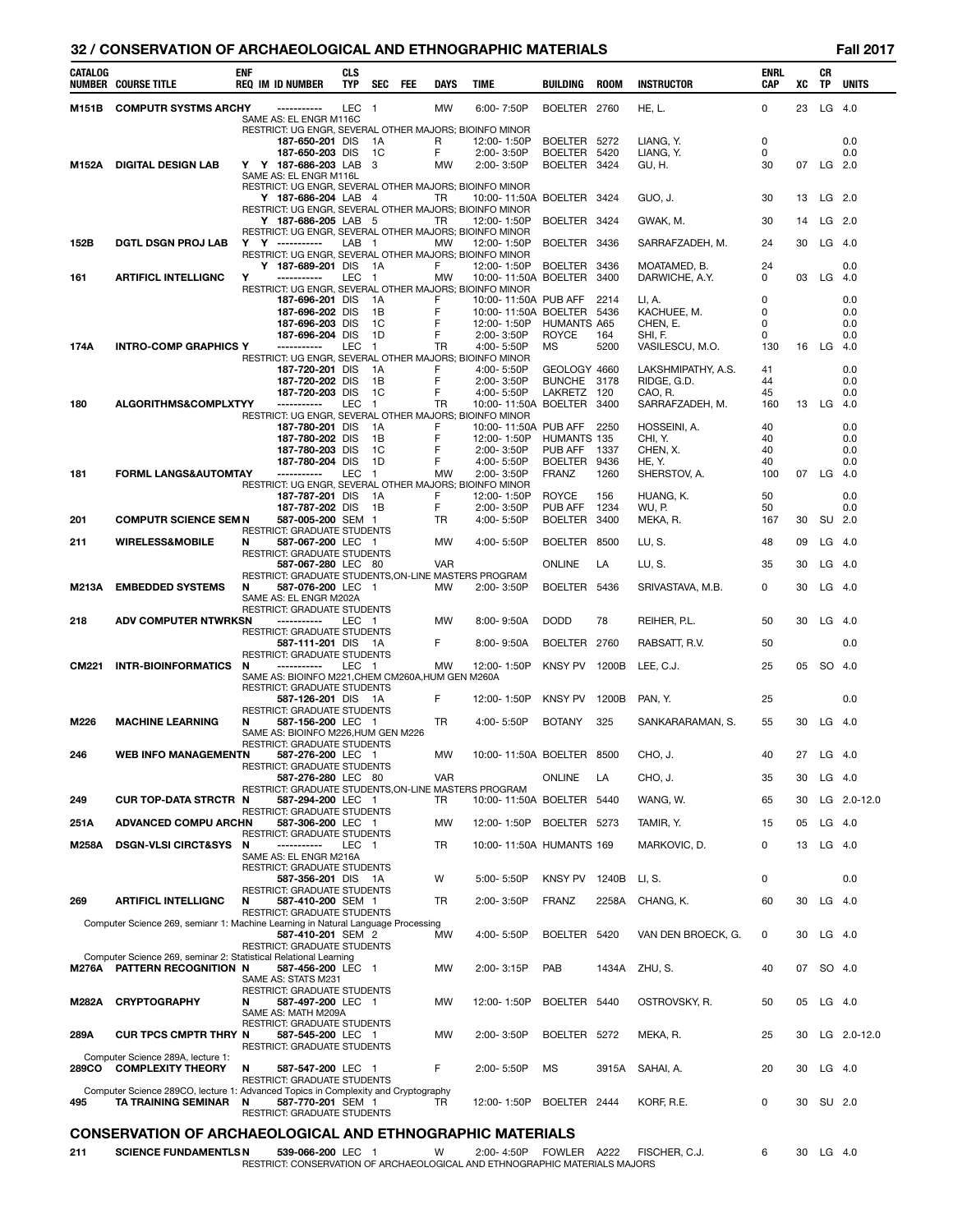# **32 / CONSERVATION OF ARCHAEOLOGICAL AND ETHNOGRAPHIC MATERIALS Fall 2017**

| CATALOG      | <b>NUMBER COURSE TITLE</b>                                                        | <b>ENF</b> | <b>REQ IM ID NUMBER</b>                                  | <b>CLS</b><br><b>TYP</b> | SEC                      | <b>FEE</b> | <b>DAYS</b>     | <b>TIME</b>                                                                       | <b>BUILDING</b>              | <b>ROOM</b>  | <b>INSTRUCTOR</b>          | <b>ENRL</b><br><b>CAP</b> | XC | CR<br>TP  | <b>UNITS</b> |
|--------------|-----------------------------------------------------------------------------------|------------|----------------------------------------------------------|--------------------------|--------------------------|------------|-----------------|-----------------------------------------------------------------------------------|------------------------------|--------------|----------------------------|---------------------------|----|-----------|--------------|
|              |                                                                                   |            |                                                          |                          |                          |            |                 |                                                                                   |                              |              |                            |                           |    |           |              |
| M151B        | <b>COMPUTR SYSTMS ARCHY</b>                                                       |            | -----------<br>SAME AS: EL ENGR M116C                    | LEC                      | $\overline{\phantom{0}}$ |            | <b>MW</b>       | 6:00-7:50P                                                                        | BOELTER 2760                 |              | HE, L.                     | 0                         | 23 | $LG$ 4.0  |              |
|              |                                                                                   |            |                                                          |                          |                          |            |                 | RESTRICT: UG ENGR, SEVERAL OTHER MAJORS; BIOINFO MINOR                            |                              |              |                            |                           |    |           |              |
|              |                                                                                   |            | 187-650-201 DIS<br>187-650-203 DIS                       |                          | 1A<br>1 <sup>C</sup>     |            | R<br>F.         | 12:00-1:50P<br>2:00-3:50P                                                         | BOELTER 5272<br>BOELTER 5420 |              | LIANG. Y.<br>LIANG, Y.     | 0<br>0                    |    |           | 0.0<br>0.0   |
| M152A        | <b>DIGITAL DESIGN LAB</b>                                                         |            | Y Y 187-686-203 LAB                                      |                          | - 3                      |            | MW              | 2:00-3:50P                                                                        | BOELTER 3424                 |              | GU, H.                     | 30                        | 07 | $LG$ 2.0  |              |
|              |                                                                                   |            | SAME AS: EL ENGR M116L                                   |                          |                          |            |                 | RESTRICT: UG ENGR, SEVERAL OTHER MAJORS; BIOINFO MINOR                            |                              |              |                            |                           |    |           |              |
|              |                                                                                   |            | Y 187-686-204 LAB 4                                      |                          |                          |            | TR              | 10:00-11:50A BOELTER 3424                                                         |                              |              | GUO, J.                    | 30                        | 13 | $LG$ 2.0  |              |
|              |                                                                                   |            |                                                          |                          |                          |            |                 | RESTRICT: UG ENGR, SEVERAL OTHER MAJORS; BIOINFO MINOR                            |                              |              |                            |                           |    |           | $LG$ 2.0     |
|              |                                                                                   |            | Y 187-686-205 LAB 5                                      |                          |                          |            | TR              | 12:00-1:50P<br>RESTRICT: UG ENGR, SEVERAL OTHER MAJORS; BIOINFO MINOR             | BOELTER 3424                 |              | GWAK, M.                   | 30                        | 14 |           |              |
| 152B         | <b>DGTL DSGN PROJ LAB</b>                                                         |            | Y Y -----------                                          | LAB                      | $\overline{1}$           |            | MW              | 12:00-1:50P                                                                       | BOELTER 3436                 |              | SARRAFZADEH, M.            | 24                        | 30 | $LG$ 4.0  |              |
|              |                                                                                   |            | Y 187-689-201 DIS                                        |                          | 1A                       |            | F.              | RESTRICT: UG ENGR, SEVERAL OTHER MAJORS; BIOINFO MINOR<br>12:00-1:50P             | BOELTER 3436                 |              | MOATAMED, B.               | 24                        |    |           | 0.0          |
| 161          | <b>ARTIFICL INTELLIGNC</b>                                                        | Υ          | -----------                                              | LEC                      | - 1                      |            | MW              | 10:00-11:50A BOELTER 3400                                                         |                              |              | DARWICHE, A.Y.             | 0                         |    | 03 LG     | -4.0         |
|              |                                                                                   |            | 187-696-201 DIS                                          |                          | 1A                       |            | F               | RESTRICT: UG ENGR, SEVERAL OTHER MAJORS; BIOINFO MINOR<br>10:00-11:50A PUB AFF    |                              | 2214         | LI, A.                     | 0                         |    |           | 0.0          |
|              |                                                                                   |            | 187-696-202 DIS                                          |                          | 1B                       |            | F               | 10:00-11:50A BOELTER 5436                                                         |                              |              | KACHUEE, M.                | 0                         |    |           | 0.0          |
|              |                                                                                   |            | 187-696-203 DIS                                          |                          | - 1C                     |            | F               | 12:00-1:50P                                                                       | <b>HUMANTS A65</b>           |              | CHEN, E.                   | 0                         |    |           | 0.0          |
| 174A         | <b>INTRO-COMP GRAPHICS Y</b>                                                      |            | 187-696-204 DIS<br>-----------                           | LEC                      | 1D<br>$\overline{1}$     |            | F<br>TR         | 2:00-3:50P<br>4:00-5:50P                                                          | ROYCE<br>МS                  | 164<br>5200  | SHI, F.<br>VASILESCU, M.O. | 0<br>130                  |    | 16 LG     | 0.0<br>4.0   |
|              |                                                                                   |            |                                                          |                          |                          |            |                 | RESTRICT: UG ENGR, SEVERAL OTHER MAJORS; BIOINFO MINOR                            |                              |              |                            |                           |    |           |              |
|              |                                                                                   |            | 187-720-201 DIS                                          |                          | 1A                       |            | F               | 4:00-5:50P                                                                        | GEOLOGY 4660                 |              | LAKSHMIPATHY, A.S.         | 41                        |    |           | 0.0          |
|              |                                                                                   |            | 187-720-202 DIS<br>187-720-203 DIS                       |                          | 1B<br>- 1C               |            | F<br>F          | 2:00-3:50P<br>4:00-5:50P                                                          | BUNCHE 3178<br>LAKRETZ 120   |              | RIDGE, G.D.<br>CAO, R.     | 44<br>45                  |    |           | 0.0<br>0.0   |
| 180          | ALGORITHMS&COMPLXTYY                                                              |            | -----------                                              | <b>LEC</b>               | $\overline{1}$           |            | TR              | 10:00-11:50A BOELTER 3400                                                         |                              |              | SARRAFZADEH, M.            | 160                       |    | 13 LG     | -4.0         |
|              |                                                                                   |            | 187-780-201 DIS                                          |                          |                          |            | F               | RESTRICT: UG ENGR, SEVERAL OTHER MAJORS; BIOINFO MINOR<br>10:00-11:50A PUB AFF    |                              | 2250         | HOSSEINI, A.               | 40                        |    |           | 0.0          |
|              |                                                                                   |            | 187-780-202 DIS                                          |                          | - 1 A<br>1B              |            | F               | 12:00-1:50P                                                                       | HUMANTS 135                  |              | CHI, Y.                    | 40                        |    |           | 0.0          |
|              |                                                                                   |            | 187-780-203 DIS                                          |                          | 1C                       |            | F               | 2:00-3:50P                                                                        | PUB AFF 1337                 |              | CHEN. X.                   | 40                        |    |           | 0.0          |
|              | <b>FORML LANGS&amp;AUTOMTAY</b>                                                   |            | 187-780-204 DIS<br>-----------                           | LEC                      | 1D<br>$\overline{1}$     |            | F               | 4:00-5:50P                                                                        | BOELTER<br>FRANZ             | 9436<br>1260 | HE, Y.<br>SHERSTOV, A.     | 40                        |    | 07 LG     | 0.0          |
| 181          |                                                                                   |            |                                                          |                          |                          |            | MW              | 2:00-3:50P<br>RESTRICT: UG ENGR, SEVERAL OTHER MAJORS; BIOINFO MINOR              |                              |              |                            | 100                       |    |           | -4.0         |
|              |                                                                                   |            | 187-787-201 DIS                                          |                          | - 1 A                    |            | F               | 12:00-1:50P                                                                       | <b>ROYCE</b>                 | 156          | HUANG, K.                  | 50                        |    |           | 0.0          |
| 201          | <b>COMPUTR SCIENCE SEM N</b>                                                      |            | 187-787-202 DIS<br>587-005-200 SEM 1                     |                          | 1B                       |            | F.<br><b>TR</b> | 2:00-3:50P<br>4:00-5:50P                                                          | PUB AFF<br>BOELTER           | 1234<br>3400 | WU, P.<br>MEKA, R.         | 50<br>167                 | 30 | SU 2.0    | 0.0          |
|              |                                                                                   |            | RESTRICT: GRADUATE STUDENTS                              |                          |                          |            |                 |                                                                                   |                              |              |                            |                           |    |           |              |
| 211          | <b>WIRELESS&amp;MOBILE</b>                                                        | N          | 587-067-200 LEC 1                                        |                          |                          |            | <b>MW</b>       | 4:00-5:50P                                                                        | BOELTER 8500                 |              | LU, S.                     | 48                        | 09 | $LG$ 4.0  |              |
|              |                                                                                   |            | <b>RESTRICT: GRADUATE STUDENTS</b><br>587-067-280 LEC 80 |                          |                          |            | <b>VAR</b>      |                                                                                   | <b>ONLINE</b>                | LA           | LU, S.                     | 35                        | 30 | $LG$ 4.0  |              |
|              | <b>EMBEDDED SYSTEMS</b>                                                           | N          |                                                          |                          |                          |            |                 | RESTRICT: GRADUATE STUDENTS, ON-LINE MASTERS PROGRAM                              | BOELTER 5436                 |              |                            | 0                         | 30 | $LG$ 4.0  |              |
| M213A        |                                                                                   |            | 587-076-200 LEC 1<br>SAME AS: EL ENGR M202A              |                          |                          |            | MW              | $2:00 - 3:50P$                                                                    |                              |              | SRIVASTAVA, M.B.           |                           |    |           |              |
|              |                                                                                   |            | <b>RESTRICT: GRADUATE STUDENTS</b>                       |                          |                          |            |                 |                                                                                   |                              |              |                            |                           |    |           |              |
| 218          | <b>ADV COMPUTER NTWRKSN</b>                                                       |            | -----------<br>RESTRICT: GRADUATE STUDENTS               | LEC 1                    |                          |            | MW              | $8:00 - 9:50A$                                                                    | <b>DODD</b>                  | 78           | REIHER, P.L.               | 50                        | 30 | $LG$ 4.0  |              |
|              |                                                                                   |            | 587-111-201 DIS 1A                                       |                          |                          |            | F               | $8:00 - 9:50A$                                                                    | BOELTER 2760                 |              | RABSATT, R.V.              | 50                        |    |           | 0.0          |
| <b>CM221</b> | <b>INTR-BIOINFORMATICS</b>                                                        | N          | RESTRICT: GRADUATE STUDENTS<br>-----------               | LEC 1                    |                          |            | MW              | 12:00-1:50P                                                                       | KNSY PV 1200B                |              | LEE, C.J.                  | 25                        | 05 | SO 4.0    |              |
|              |                                                                                   |            | SAME AS: BIOINFO M221, CHEM CM260A, HUM GEN M260A        |                          |                          |            |                 |                                                                                   |                              |              |                            |                           |    |           |              |
|              |                                                                                   |            | RESTRICT: GRADUATE STUDENTS<br>587-126-201 DIS 1A        |                          |                          |            | F               | 12:00-1:50P                                                                       | <b>KNSY PV</b>               | 1200B        | PAN. Y.                    | 25                        |    |           | 0.0          |
|              |                                                                                   |            | RESTRICT: GRADUATE STUDENTS                              |                          |                          |            |                 |                                                                                   |                              |              |                            |                           |    |           |              |
| M226         | <b>MACHINE LEARNING</b>                                                           | N          | 587-156-200 LEC 1<br>SAME AS: BIOINFO M226.HUM GEN M226  |                          |                          |            | TR              | 4:00-5:50P                                                                        | <b>BOTANY</b>                | 325          | SANKARARAMAN, S.           | 55                        |    | 30 LG 4.0 |              |
|              |                                                                                   |            | RESTRICT: GRADUATE STUDENTS                              |                          |                          |            |                 |                                                                                   |                              |              |                            |                           |    |           |              |
| 246          | WEB INFO MANAGEMENTN                                                              |            | 587-276-200 LEC 1<br>RESTRICT: GRADUATE STUDENTS         |                          |                          |            | MW              | 10:00-11:50A BOELTER 8500                                                         |                              |              | CHO, J.                    | 40                        |    | 27 LG     | 4.0          |
|              |                                                                                   |            | 587-276-280 LEC 80                                       |                          |                          |            | VAR             |                                                                                   | ONLINE                       | LA           | CHO, J.                    | 35                        | 30 | $LG$ 4.0  |              |
| 249          | <b>CUR TOP-DATA STRCTR</b>                                                        | N          | 587-294-200 LEC 1                                        |                          |                          |            | TR              | RESTRICT: GRADUATE STUDENTS, ON-LINE MASTERS PROGRAM<br>10:00-11:50A BOELTER 5440 |                              |              | WANG, W.                   | 65                        | 30 |           | LG 2.0-12.0  |
|              |                                                                                   |            | RESTRICT: GRADUATE STUDENTS                              |                          |                          |            |                 |                                                                                   |                              |              |                            |                           |    |           |              |
| 251A         | <b>ADVANCED COMPU ARCHN</b>                                                       |            | 587-306-200 LEC 1                                        |                          |                          |            | <b>MW</b>       | 12:00-1:50P BOELTER 5273                                                          |                              |              | TAMIR, Y.                  | 15                        | 05 | $LG$ 4.0  |              |
| M258A        | <b>DSGN-VLSI CIRCT&amp;SYS</b>                                                    | N          | RESTRICT: GRADUATE STUDENTS<br>-----------               | LEC                      | - 1                      |            | TR              | 10:00-11:50A HUMANTS 169                                                          |                              |              | MARKOVIC, D.               | 0                         | 13 | $LG$ 4.0  |              |
|              |                                                                                   |            | SAME AS: EL ENGR M216A                                   |                          |                          |            |                 |                                                                                   |                              |              |                            |                           |    |           |              |
|              |                                                                                   |            | RESTRICT: GRADUATE STUDENTS<br>587-356-201 DIS 1A        |                          |                          |            | W               | 5:00-5:50P                                                                        | KNSY PV 1240B                |              | LI, S.                     | 0                         |    |           | 0.0          |
|              |                                                                                   |            | RESTRICT: GRADUATE STUDENTS                              |                          |                          |            |                 |                                                                                   |                              |              |                            |                           |    |           |              |
| 269          | <b>ARTIFICL INTELLIGNC</b>                                                        | N          | 587-410-200 SEM 1<br><b>RESTRICT: GRADUATE STUDENTS</b>  |                          |                          |            | TR              | 2:00-3:50P                                                                        | <b>FRANZ</b>                 | 2258A        | CHANG, K.                  | 60                        | 30 | $LG$ 4.0  |              |
|              | Computer Science 269, semianr 1: Machine Learning in Natural Language Processing  |            |                                                          |                          |                          |            |                 |                                                                                   |                              |              |                            |                           |    |           |              |
|              |                                                                                   |            | 587-410-201 SEM 2<br>RESTRICT: GRADUATE STUDENTS         |                          |                          |            | MW              | 4:00-5:50P                                                                        | BOELTER 5420                 |              | VAN DEN BROECK, G.         | 0                         | 30 | $LG$ 4.0  |              |
|              | Computer Science 269, seminar 2: Statistical Relational Learning                  |            |                                                          |                          |                          |            |                 |                                                                                   |                              |              |                            |                           |    |           |              |
|              | <b>M276A PATTERN RECOGNITION N</b>                                                |            | 587-456-200 LEC<br>SAME AS: STATS M231                   |                          | - 1                      |            | МW              | 2:00-3:15P                                                                        | PAB                          | 1434A        | ZHU, S.                    | 40                        | 07 | SO 4.0    |              |
|              |                                                                                   |            | RESTRICT: GRADUATE STUDENTS                              |                          |                          |            |                 |                                                                                   |                              |              |                            |                           |    |           |              |
| M282A        | <b>CRYPTOGRAPHY</b>                                                               | N          | 587-497-200 LEC 1                                        |                          |                          |            | MW              | 12:00-1:50P                                                                       | BOELTER 5440                 |              | OSTROVSKY, R.              | 50                        |    | 05 LG 4.0 |              |
|              |                                                                                   |            | SAME AS: MATH M209A<br>RESTRICT: GRADUATE STUDENTS       |                          |                          |            |                 |                                                                                   |                              |              |                            |                           |    |           |              |
| 289A         | <b>CUR TPCS CMPTR THRY N</b>                                                      |            | 587-545-200 LEC 1                                        |                          |                          |            | <b>MW</b>       | 2:00-3:50P                                                                        | BOELTER 5272                 |              | MEKA, R.                   | 25                        | 30 |           | LG 2.0-12.0  |
|              | Computer Science 289A, lecture 1:                                                 |            | RESTRICT: GRADUATE STUDENTS                              |                          |                          |            |                 |                                                                                   |                              |              |                            |                           |    |           |              |
| 289CO        | <b>COMPLEXITY THEORY</b>                                                          | N          | 587-547-200 LEC 1                                        |                          |                          |            | F               | 2:00-5:50P                                                                        | ΜS                           | 3915A        | SAHAI, A.                  | 20                        | 30 | $LG$ 4.0  |              |
|              | Computer Science 289CO, lecture 1: Advanced Topics in Complexity and Cryptography |            | RESTRICT: GRADUATE STUDENTS                              |                          |                          |            |                 |                                                                                   |                              |              |                            |                           |    |           |              |
| 495          | TA TRAINING SEMINAR N                                                             |            | 587-770-201 SEM 1                                        |                          |                          |            | TR              | 12:00-1:50P                                                                       | BOELTER 2444                 |              | KORF, R.E.                 | 0                         | 30 | SU 2.0    |              |
|              |                                                                                   |            | <b>RESTRICT: GRADUATE STUDENTS</b>                       |                          |                          |            |                 |                                                                                   |                              |              |                            |                           |    |           |              |
|              | <b>CONSERVATION OF ARCHAEOLOGICAL AND ETHNOGRAPHIC MATERIALS</b>                  |            |                                                          |                          |                          |            |                 |                                                                                   |                              |              |                            |                           |    |           |              |

| 211 | <b>SCIENCE FUNDAMENTLS N</b> | 539-066-200 LEC | W | 2:00-4:50P |  | FOWLER A222 FISCHER.C.J. |  |
|-----|------------------------------|-----------------|---|------------|--|--------------------------|--|

| <b>SCIENCE FUNDAMENTLS N</b> | 539-066-200 LEC                                                            | 2:00-4:50P | TOWLER | A222 | FISCHER. C. |  | 30 | G | 4.0 |
|------------------------------|----------------------------------------------------------------------------|------------|--------|------|-------------|--|----|---|-----|
|                              | RESTRICT: CONSERVATION OF ARCHAEOLOGICAL AND ETHNOGRAPHIC MATERIALS MAJORS |            |        |      |             |  |    |   |     |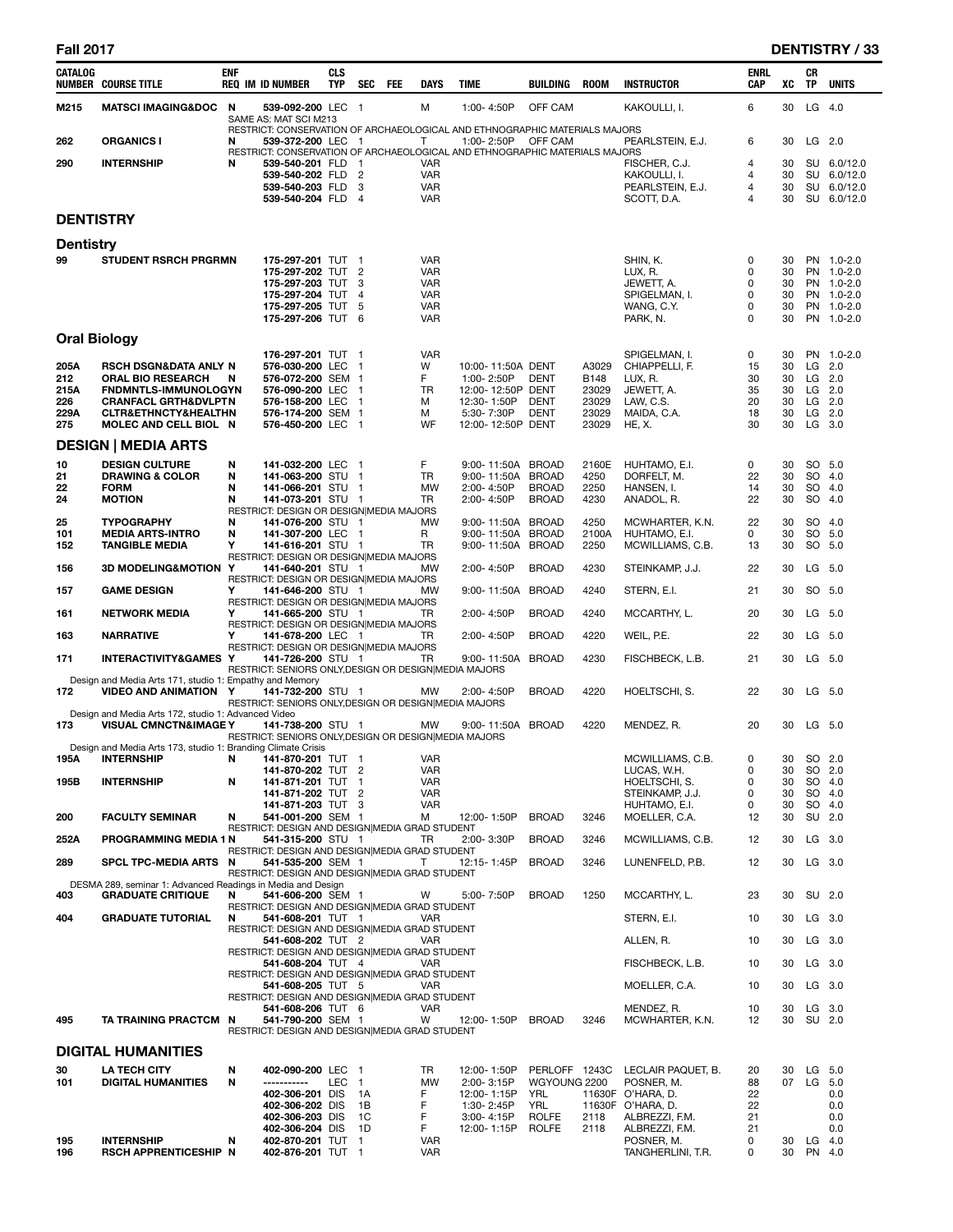# **Fall 2017 DENTISTRY / 33**

| CATALOG             | <b>NUMBER COURSE TITLE</b>                                             | <b>ENF</b> | <b>REQ IM ID NUMBER</b>                                                    | <b>CLS</b><br>TYP | SEC            | FEE | <b>DAYS</b>              | TIME                                                                                     | BUILDING                      | <b>ROOM</b>          | <b>INSTRUCTOR</b>                   | ENRL<br><b>CAP</b> | xс       | CR<br><b>TP</b> | <b>UNITS</b>               |
|---------------------|------------------------------------------------------------------------|------------|----------------------------------------------------------------------------|-------------------|----------------|-----|--------------------------|------------------------------------------------------------------------------------------|-------------------------------|----------------------|-------------------------------------|--------------------|----------|-----------------|----------------------------|
| M215                | <b>MATSCI IMAGING&amp;DOC</b>                                          | N          | 539-092-200 LEC 1<br>SAME AS: MAT SCI M213                                 |                   |                |     | м                        | 1:00-4:50P                                                                               | OFF CAM                       |                      | KAKOULLI, I.                        | 6                  | 30       | LG              | 4.0                        |
| 262                 | <b>ORGANICS I</b>                                                      | N          | 539-372-200 LEC 1                                                          |                   |                |     | Т                        | RESTRICT: CONSERVATION OF ARCHAEOLOGICAL AND ETHNOGRAPHIC MATERIALS MAJORS<br>1:00-2:50P | OFF CAM                       |                      | PEARLSTEIN, E.J.                    | 6                  | 30       |                 | LG 2.0                     |
| 290                 | <b>INTERNSHIP</b>                                                      | N          | 539-540-201 FLD 1                                                          |                   |                |     | VAR                      | RESTRICT: CONSERVATION OF ARCHAEOLOGICAL AND ETHNOGRAPHIC MATERIALS MAJORS               |                               |                      |                                     | $\overline{4}$     | 30       |                 | SU 6.0/12.0                |
|                     |                                                                        |            | 539-540-202 FLD 2                                                          |                   |                |     | <b>VAR</b>               |                                                                                          |                               |                      | FISCHER, C.J.<br>KAKOULLI, I.       | $\overline{4}$     | 30       |                 | SU 6.0/12.0                |
|                     |                                                                        |            | 539-540-203 FLD 3<br>539-540-204 FLD 4                                     |                   |                |     | <b>VAR</b><br><b>VAR</b> |                                                                                          |                               |                      | PEARLSTEIN, E.J.                    | 4<br>4             | 30<br>30 |                 | SU 6.0/12.0<br>SU 6.0/12.0 |
| <b>DENTISTRY</b>    |                                                                        |            |                                                                            |                   |                |     |                          |                                                                                          |                               |                      | SCOTT, D.A.                         |                    |          |                 |                            |
| <b>Dentistry</b>    |                                                                        |            |                                                                            |                   |                |     |                          |                                                                                          |                               |                      |                                     |                    |          |                 |                            |
| 99                  | <b>STUDENT RSRCH PRGRMN</b>                                            |            | 175-297-201 TUT 1                                                          |                   |                |     | <b>VAR</b>               |                                                                                          |                               |                      | SHIN. K.                            | 0                  | 30       |                 | PN 1.0-2.0                 |
|                     |                                                                        |            | 175-297-202 TUT 2                                                          |                   |                |     | <b>VAR</b>               |                                                                                          |                               |                      | LUX, R.                             | 0                  | 30       |                 | PN 1.0-2.0                 |
|                     |                                                                        |            | 175-297-203 TUT 3<br>175-297-204 TUT 4                                     |                   |                |     | <b>VAR</b><br><b>VAR</b> |                                                                                          |                               |                      | JEWETT, A.<br>SPIGELMAN, I.         | 0<br>0             | 30<br>30 |                 | PN 1.0-2.0<br>PN 1.0-2.0   |
|                     |                                                                        |            | 175-297-205 TUT 5                                                          |                   |                |     | <b>VAR</b>               |                                                                                          |                               |                      | WANG, C.Y.                          | 0                  | 30       |                 | PN 1.0-2.0                 |
|                     |                                                                        |            | 175-297-206 TUT 6                                                          |                   |                |     | <b>VAR</b>               |                                                                                          |                               |                      | PARK, N.                            | 0                  | 30       |                 | PN 1.0-2.0                 |
| <b>Oral Biology</b> |                                                                        |            |                                                                            |                   |                |     |                          |                                                                                          |                               |                      |                                     |                    |          |                 |                            |
|                     |                                                                        |            | 176-297-201 TUT 1<br>576-030-200 LEC 1                                     |                   |                |     | <b>VAR</b>               |                                                                                          |                               |                      | SPIGELMAN, I.                       | 0                  | 30       |                 | PN 1.0-2.0                 |
| 205A<br>212         | RSCH DSGN&DATA ANLY N<br><b>ORAL BIO RESEARCH</b>                      | N          | 576-072-200 SEM 1                                                          |                   |                |     | W<br>F                   | 10:00-11:50A DENT<br>1:00-2:50P                                                          | <b>DENT</b>                   | A3029<br><b>B148</b> | CHIAPPELLI, F.<br>LUX, R.           | 15<br>30           | 30<br>30 |                 | $LG$ 2.0<br>$LG$ 2.0       |
| 215A                | FNDMNTLS-IMMUNOLOGYN                                                   |            | 576-090-200 LEC 1                                                          |                   |                |     | TR                       | 12:00-12:50P DENT                                                                        |                               | 23029                | JEWETT, A.                          | 35                 | 30       |                 | $LG$ 2.0                   |
| 226<br>229A         | <b>CRANFACL GRTH&amp;DVLPTN</b><br><b>CLTR&amp;ETHNCTY&amp;HEALTHN</b> |            | 576-158-200 LEC 1<br>576-174-200 SEM 1                                     |                   |                |     | м<br>М                   | 12:30-1:50P<br>5:30-7:30P                                                                | <b>DENT</b><br><b>DENT</b>    | 23029<br>23029       | LAW, C.S.<br>MAIDA, C.A.            | 20<br>18           | 30<br>30 |                 | LG 2.0<br>$LG$ 2.0         |
| 275                 | MOLEC AND CELL BIOL N                                                  |            | 576-450-200 LEC 1                                                          |                   |                |     | WF                       | 12:00-12:50P DENT                                                                        |                               | 23029                | <b>HE, X.</b>                       | 30                 | 30       |                 | $LG$ 3.0                   |
|                     | <b>DESIGN   MEDIA ARTS</b>                                             |            |                                                                            |                   |                |     |                          |                                                                                          |                               |                      |                                     |                    |          |                 |                            |
| 10                  | <b>DESIGN CULTURE</b>                                                  | N          | 141-032-200 LEC 1                                                          |                   |                |     | F                        | 9:00-11:50A BROAD                                                                        |                               | 2160E                | HUHTAMO, E.I.                       | 0                  | 30       |                 | SO 5.0                     |
| 21                  | <b>DRAWING &amp; COLOR</b>                                             | N          | 141-063-200 STU 1                                                          |                   |                |     | TR                       | 9:00-11:50A BROAD                                                                        |                               | 4250                 | DORFELT, M.                         | 22                 | 30       |                 | SO 4.0                     |
| 22<br>24            | <b>FORM</b><br><b>MOTION</b>                                           | N<br>N     | 141-066-201 STU 1<br>141-073-201 STU 1                                     |                   |                |     | <b>MW</b><br>TR          | 2:00-4:50P<br>2:00-4:50P                                                                 | <b>BROAD</b><br><b>BROAD</b>  | 2250<br>4230         | HANSEN, I.<br>ANADOL, R.            | 14<br>22           | 30<br>30 |                 | SO 4.0<br>SO 4.0           |
|                     |                                                                        |            | RESTRICT: DESIGN OR DESIGN MEDIA MAJORS                                    |                   |                |     |                          |                                                                                          |                               |                      |                                     |                    |          |                 |                            |
| 25<br>101           | <b>TYPOGRAPHY</b><br><b>MEDIA ARTS-INTRO</b>                           | N<br>N     | 141-076-200 STU 1<br>141-307-200 LEC 1                                     |                   |                |     | MW<br>R                  | 9:00-11:50A BROAD<br>9:00-11:50A BROAD                                                   |                               | 4250<br>2100A        | MCWHARTER, K.N.<br>HUHTAMO, E.I.    | 22<br>0            | 30<br>30 |                 | SO 4.0<br>SO 5.0           |
| 152                 | <b>TANGIBLE MEDIA</b>                                                  | Υ          | 141-616-201 STU 1                                                          |                   |                |     | TR                       | 9:00-11:50A BROAD                                                                        |                               | 2250                 | MCWILLIAMS, C.B.                    | 13                 | 30       |                 | SO 5.0                     |
| 156                 | <b>3D MODELING&amp;MOTION</b>                                          | Y          | RESTRICT: DESIGN OR DESIGN MEDIA MAJORS<br>141-640-201 STU 1               |                   |                |     | <b>MW</b>                | 2:00-4:50P                                                                               | <b>BROAD</b>                  | 4230                 | STEINKAMP, J.J.                     | 22                 | 30       | LG              | 5.0                        |
| 157                 | <b>GAME DESIGN</b>                                                     | Y          | RESTRICT: DESIGN OR DESIGN MEDIA MAJORS<br>141-646-200 STU 1               |                   |                |     | MW                       | 9:00-11:50A BROAD                                                                        |                               | 4240                 | STERN, E.I.                         | 21                 | 30       |                 | SO 5.0                     |
|                     |                                                                        |            | RESTRICT: DESIGN OR DESIGN MEDIA MAJORS                                    |                   |                |     |                          |                                                                                          |                               |                      |                                     |                    |          |                 |                            |
| 161                 | <b>NETWORK MEDIA</b>                                                   | Υ          | 141-665-200 STU 1<br>RESTRICT: DESIGN OR DESIGN MEDIA MAJORS               |                   |                |     | TR                       | 2:00-4:50P                                                                               | <b>BROAD</b>                  | 4240                 | MCCARTHY, L.                        | 20                 | 30       |                 | $LG$ 5.0                   |
| 163                 | <b>NARRATIVE</b>                                                       | Υ          | 141-678-200 LEC 1<br>RESTRICT: DESIGN OR DESIGN MEDIA MAJORS               |                   |                |     | TR                       | 2:00-4:50P                                                                               | <b>BROAD</b>                  | 4220                 | WEIL, P.E.                          | 22                 | 30       |                 | LG 5.0                     |
| 171                 | <b>INTERACTIVITY&amp;GAMES Y</b>                                       |            | 141-726-200 STU 1                                                          |                   |                |     | TR                       | 9:00-11:50A BROAD                                                                        |                               | 4230                 | FISCHBECK, L.B.                     | 21                 | 30       |                 | $LG$ 5.0                   |
|                     | Design and Media Arts 171, studio 1: Empathy and Memory                |            | RESTRICT: SENIORS ONLY, DESIGN OR DESIGN MEDIA MAJORS                      |                   |                |     |                          |                                                                                          |                               |                      |                                     |                    |          |                 |                            |
| 172                 | <b>VIDEO AND ANIMATION Y</b>                                           |            | 141-732-200 STU 1<br>RESTRICT: SENIORS ONLY, DESIGN OR DESIGN MEDIA MAJORS |                   |                |     | MW                       | 2:00-4:50P                                                                               | <b>BROAD</b>                  | 4220                 | HOELTSCHI, S.                       | 22                 | 30       |                 | LG 5.0                     |
|                     | Design and Media Arts 172, studio 1: Advanced Video                    |            |                                                                            |                   |                |     |                          |                                                                                          |                               |                      |                                     |                    |          |                 |                            |
| 173                 | <b>VISUAL CMNCTN&amp;IMAGE Y</b>                                       |            | 141-738-200 STU 1<br>RESTRICT: SENIORS ONLY, DESIGN OR DESIGN MEDIA MAJORS |                   |                |     | MW                       | 9:00-11:50A BROAD                                                                        |                               | 4220                 | MENDEZ, R.                          | 20                 | 30       |                 | LG 5.0                     |
|                     | Design and Media Arts 173, studio 1: Branding Climate Crisis           |            |                                                                            |                   |                |     |                          |                                                                                          |                               |                      |                                     |                    |          |                 |                            |
| 195A                | <b>INTERNSHIP</b>                                                      |            | N 141-870-201 TUT 1<br>141-870-202 TUT 2                                   |                   |                |     | VAR<br><b>VAR</b>        |                                                                                          |                               |                      | MCWILLIAMS, C.B.<br>LUCAS, W.H.     | 0<br>0             | 30<br>30 |                 | SO 2.0<br>SO 2.0           |
| 195B                | <b>INTERNSHIP</b>                                                      | N          | 141-871-201 TUT 1                                                          |                   |                |     | <b>VAR</b>               |                                                                                          |                               |                      | HOELTSCHI, S.                       | 0                  | 30       |                 | SO 4.0                     |
|                     |                                                                        |            | 141-871-202 TUT 2<br>141-871-203 TUT 3                                     |                   |                |     | <b>VAR</b>               |                                                                                          |                               |                      | STEINKAMP, J.J.                     | 0                  | 30       |                 | SO 4.0<br>SO 4.0           |
| 200                 | <b>FACULTY SEMINAR</b>                                                 | N          | 541-001-200 SEM 1                                                          |                   |                |     | <b>VAR</b><br>М          | 12:00-1:50P                                                                              | <b>BROAD</b>                  | 3246                 | HUHTAMO, E.I.<br>MOELLER, C.A.      | 0<br>12            | 30<br>30 |                 | SU 2.0                     |
| 252A                | PROGRAMMING MEDIA 1 N                                                  |            | RESTRICT: DESIGN AND DESIGN MEDIA GRAD STUDENT                             |                   |                |     |                          |                                                                                          | <b>BROAD</b>                  | 3246                 |                                     | 12                 | 30       |                 |                            |
|                     |                                                                        |            | 541-315-200 STU 1<br>RESTRICT: DESIGN AND DESIGN MEDIA GRAD STUDENT        |                   |                |     | TR                       | 2:00-3:30P                                                                               |                               |                      | MCWILLIAMS, C.B.                    |                    |          |                 | $LG$ 3.0                   |
| 289                 | SPCL TPC-MEDIA ARTS N                                                  |            | 541-535-200 SEM 1<br>RESTRICT: DESIGN AND DESIGN MEDIA GRAD STUDENT        |                   |                |     | Τ                        | 12:15-1:45P                                                                              | <b>BROAD</b>                  | 3246                 | LUNENFELD, P.B.                     | 12                 | 30       |                 | LG 3.0                     |
|                     | DESMA 289, seminar 1: Advanced Readings in Media and Design            |            |                                                                            |                   |                |     |                          |                                                                                          |                               |                      |                                     |                    |          |                 |                            |
| 403                 | <b>GRADUATE CRITIQUE</b>                                               | N          | 541-606-200 SEM 1<br>RESTRICT: DESIGN AND DESIGN MEDIA GRAD STUDENT        |                   |                |     | W                        | 5:00-7:50P                                                                               | <b>BROAD</b>                  | 1250                 | MCCARTHY, L.                        | 23                 | 30       |                 | SU 2.0                     |
| 404                 | <b>GRADUATE TUTORIAL</b>                                               | N          | 541-608-201 TUT 1<br>RESTRICT: DESIGN AND DESIGN MEDIA GRAD STUDENT        |                   |                |     | VAR                      |                                                                                          |                               |                      | STERN, E.I.                         | 10                 | 30       |                 | LG 3.0                     |
|                     |                                                                        |            | 541-608-202 TUT 2<br>RESTRICT: DESIGN AND DESIGN MEDIA GRAD STUDENT        |                   |                |     | VAR                      |                                                                                          |                               |                      | ALLEN, R.                           | 10                 | 30       |                 | $LG$ 3.0                   |
|                     |                                                                        |            | 541-608-204 TUT 4                                                          |                   |                |     | VAR                      |                                                                                          |                               |                      | FISCHBECK, L.B.                     | 10                 | 30       |                 | $LG$ 3.0                   |
|                     |                                                                        |            | RESTRICT: DESIGN AND DESIGN MEDIA GRAD STUDENT<br>541-608-205 TUT 5        |                   |                |     | <b>VAR</b>               |                                                                                          |                               |                      | MOELLER, C.A.                       | 10                 | 30       |                 | LG 3.0                     |
|                     |                                                                        |            | RESTRICT: DESIGN AND DESIGN MEDIA GRAD STUDENT<br>541-608-206 TUT 6        |                   |                |     | <b>VAR</b>               |                                                                                          |                               |                      | MENDEZ, R.                          | 10                 | 30       |                 | $LG$ 3.0                   |
| 495                 | TA TRAINING PRACTCM                                                    | N          | 541-790-200 SEM 1<br>RESTRICT: DESIGN AND DESIGN MEDIA GRAD STUDENT        |                   |                |     | W                        | 12:00-1:50P                                                                              | <b>BROAD</b>                  | 3246                 | MCWHARTER, K.N.                     | 12                 | 30       |                 | SU 2.0                     |
|                     | <b>DIGITAL HUMANITIES</b>                                              |            |                                                                            |                   |                |     |                          |                                                                                          |                               |                      |                                     |                    |          |                 |                            |
|                     |                                                                        |            |                                                                            |                   |                |     |                          |                                                                                          |                               |                      |                                     |                    |          |                 |                            |
| 30<br>101           | <b>LA TECH CITY</b><br><b>DIGITAL HUMANITIES</b>                       | N<br>N     | 402-090-200 LEC 1<br>-----------                                           | LEC               | $\overline{1}$ |     | TR<br><b>MW</b>          | 12:00-1:50P<br>2:00-3:15P                                                                | PERLOFF 1243C<br>WGYOUNG 2200 |                      | LECLAIR PAQUET, B.<br>POSNER, M.    | 20<br>88           | 30<br>07 |                 | LG 5.0<br>LG 5.0           |
|                     |                                                                        |            | 402-306-201 DIS                                                            |                   | -1A            |     | F                        | 12:00-1:15P                                                                              | YRL                           |                      | 11630F O'HARA, D.                   | 22                 |          |                 | 0.0                        |
|                     |                                                                        |            | 402-306-202 DIS<br>402-306-203 DIS                                         |                   | 1B<br>1C       |     | F<br>F                   | 1:30-2:45P<br>3:00-4:15P                                                                 | YRL<br><b>ROLFE</b>           | 2118                 | 11630F O'HARA, D.<br>ALBREZZI, F.M. | 22<br>21           |          |                 | 0.0<br>0.0                 |
|                     |                                                                        |            | 402-306-204 DIS 1D                                                         |                   |                |     | F                        | 12:00-1:15P                                                                              | <b>ROLFE</b>                  | 2118                 | ALBREZZI, F.M.                      | 21                 |          |                 | 0.0                        |
| 195<br>196          | <b>INTERNSHIP</b><br><b>RSCH APPRENTICESHIP N</b>                      | N          | 402-870-201 TUT 1<br>402-876-201 TUT 1                                     |                   |                |     | VAR<br>VAR               |                                                                                          |                               |                      | POSNER, M.<br>TANGHERLINI, T.R.     | 0<br>0             | 30<br>30 | LG 4.0          | PN 4.0                     |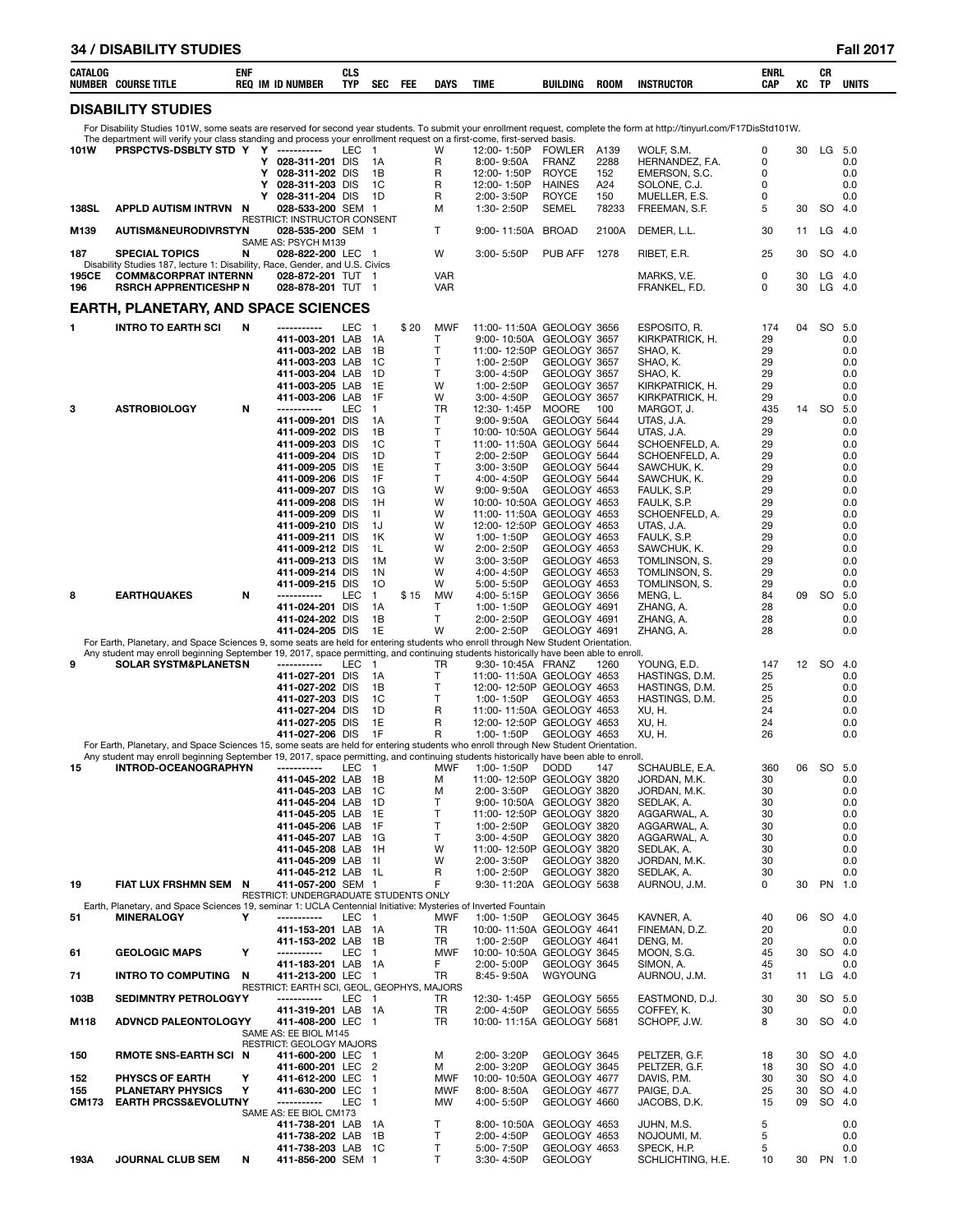| CATALOG<br>E TITLE<br><b>COURSE</b><br>NUMBER | EMI<br>CNI<br><b>REO</b><br>IM<br><b>ID NUMBER</b> | $\sim$<br>ula<br><b>TYP</b> | <b>SEC</b> | <b>FEE</b> | <b>DAYS</b> | <b>TIME</b> | <b>BUILDING</b> | <b>ROON</b> | <b>INSTRUCTOR</b> | <b>ENRL</b><br>CAP | XC | υn<br>ТP | UNITS |  |
|-----------------------------------------------|----------------------------------------------------|-----------------------------|------------|------------|-------------|-------------|-----------------|-------------|-------------------|--------------------|----|----------|-------|--|
|                                               |                                                    |                             |            |            |             |             |                 |             |                   |                    |    |          |       |  |

# **DISABILITY STUDIES**

For Disability Studies 101W, some seats are reserved for second year students. To submit your enrollment request, complete the form at http://tinyurl.com/F17DisStd101W.

|       | The department will verify your class standing and process your enrollment request on a first-come, first-served basis.                                              |   |                                                            |       |                |      |                    |                                                       |                               |             |                                  |          |          |                  |             |
|-------|----------------------------------------------------------------------------------------------------------------------------------------------------------------------|---|------------------------------------------------------------|-------|----------------|------|--------------------|-------------------------------------------------------|-------------------------------|-------------|----------------------------------|----------|----------|------------------|-------------|
| 101W  | PRSPCTVS-DSBLTY STD Y Y -----------                                                                                                                                  |   |                                                            | LEC 1 |                |      | W                  | 12:00-1:50P                                           | <b>FOWLER</b><br><b>FRANZ</b> | A139        | WOLF, S.M.                       | 0        | 30       | LG               | -5.0        |
|       |                                                                                                                                                                      |   | Y 028-311-201 DIS<br>Y 028-311-202 DIS                     |       | 1A<br>1B       |      | R<br>R             | 8:00-9:50A<br>12:00-1:50P                             | <b>ROYCE</b>                  | 2288<br>152 | HERNANDEZ, F.A.<br>EMERSON, S.C. | 0<br>0   |          |                  | 0.0<br>0.0  |
|       |                                                                                                                                                                      | Y | 028-311-203 DIS                                            |       | 1C             |      | R                  | 12:00-1:50P                                           | <b>HAINES</b>                 | A24         | SOLONE, C.J.                     | 0        |          |                  | 0.0         |
|       |                                                                                                                                                                      | Y | 028-311-204 DIS                                            |       | 1D             |      | R                  | 2:00-3:50P                                            | <b>ROYCE</b>                  | 150         | MUELLER, E.S.                    | 0        |          |                  | 0.0         |
| 138SL | APPLD AUTISM INTRVN N                                                                                                                                                |   | 028-533-200 SEM 1                                          |       |                |      | м                  | 1:30-2:50P                                            | <b>SEMEL</b>                  | 78233       | FREEMAN, S.F.                    | 5        | 30       | SO.              | 4.0         |
| M139  | <b>AUTISM&amp;NEURODIVRSTYN</b>                                                                                                                                      |   | RESTRICT: INSTRUCTOR CONSENT<br>028-535-200 SEM 1          |       |                |      | T                  | 9:00-11:50A BROAD                                     |                               | 2100A       | DEMER, L.L.                      | 30       | 11       | $LG$ 4.0         |             |
| 187   | <b>SPECIAL TOPICS</b>                                                                                                                                                | N | SAME AS: PSYCH M139<br>028-822-200 LEC 1                   |       |                |      | W                  | 3:00-5:50P                                            | PUB AFF                       | 1278        | RIBET, E.R.                      | 25       | 30       | SO 4.0           |             |
| 195CE | Disability Studies 187, lecture 1: Disability, Race, Gender, and U.S. Civics<br><b>COMM&amp;CORPRAT INTERNN</b>                                                      |   | 028-872-201 TUT 1                                          |       |                |      | <b>VAR</b>         |                                                       |                               |             | MARKS, V.E.                      | 0        | 30       | LG               | 4.0         |
| 196   | <b>RSRCH APPRENTICESHP N</b>                                                                                                                                         |   | 028-878-201 TUT 1                                          |       |                |      | VAR                |                                                       |                               |             | FRANKEL, F.D.                    | 0        | 30       | LG               | 4.0         |
|       |                                                                                                                                                                      |   |                                                            |       |                |      |                    |                                                       |                               |             |                                  |          |          |                  |             |
|       | <b>EARTH, PLANETARY, AND SPACE SCIENCES</b>                                                                                                                          |   |                                                            |       |                |      |                    |                                                       |                               |             |                                  |          |          |                  |             |
| 1     | <b>INTRO TO EARTH SCI</b>                                                                                                                                            | N | -----------                                                | LEC   | $\overline{1}$ | \$20 | <b>MWF</b>         | 11:00-11:50A GEOLOGY 3656                             |                               |             | ESPOSITO, R.                     | 174      | 04       | SO 5.0           |             |
|       |                                                                                                                                                                      |   | 411-003-201 LAB<br>411-003-202 LAB                         |       | - 1A           |      | Т<br>т             | 9:00-10:50A GEOLOGY 3657<br>11:00-12:50P GEOLOGY 3657 |                               |             | KIRKPATRICK, H.                  | 29<br>29 |          |                  | 0.0<br>0.0  |
|       |                                                                                                                                                                      |   | 411-003-203 LAB                                            |       | 1B<br>1C       |      | T.                 | 1:00-2:50P                                            | GEOLOGY 3657                  |             | SHAO, K.<br>SHAO, K.             | 29       |          |                  | 0.0         |
|       |                                                                                                                                                                      |   | 411-003-204 LAB                                            |       | 1D             |      | T                  | 3:00-4:50P                                            | GEOLOGY 3657                  |             | SHAO, K.                         | 29       |          |                  | 0.0         |
|       |                                                                                                                                                                      |   | 411-003-205 LAB                                            |       | 1E             |      | W                  | 1:00-2:50P                                            | GEOLOGY 3657                  |             | KIRKPATRICK, H.                  | 29       |          |                  | 0.0         |
|       |                                                                                                                                                                      |   | 411-003-206 LAB                                            |       | 1F             |      | W                  | 3:00-4:50P                                            | GEOLOGY 3657                  |             | KIRKPATRICK, H.                  | 29       |          |                  | 0.0         |
| 3     | <b>ASTROBIOLOGY</b>                                                                                                                                                  | N | -----------                                                | LEC   | $\overline{1}$ |      | TR                 | 12:30-1:45P                                           | <b>MOORE</b>                  | 100         | MARGOT, J.                       | 435      | 14       | SO 5.0           |             |
|       |                                                                                                                                                                      |   | 411-009-201 DIS<br>411-009-202 DIS                         |       | 1А<br>1B       |      | T<br>T             | $9:00 - 9:50A$<br>10:00-10:50A GEOLOGY 5644           | GEOLOGY 5644                  |             | UTAS, J.A.<br>UTAS, J.A.         | 29<br>29 |          |                  | 0.0<br>0.0  |
|       |                                                                                                                                                                      |   | 411-009-203 DIS                                            |       | 1C             |      | T                  | 11:00-11:50A GEOLOGY 5644                             |                               |             | SCHOENFELD, A.                   | 29       |          |                  | 0.0         |
|       |                                                                                                                                                                      |   | 411-009-204 DIS                                            |       | 1D             |      | $\mathsf{T}$       | 2:00-2:50P                                            | GEOLOGY 5644                  |             | SCHOENFELD, A.                   | 29       |          |                  | 0.0         |
|       |                                                                                                                                                                      |   | 411-009-205 DIS                                            |       | 1E             |      | T                  | 3:00-3:50P                                            | GEOLOGY 5644                  |             | SAWCHUK, K.                      | 29       |          |                  | 0.0         |
|       |                                                                                                                                                                      |   | 411-009-206 DIS                                            |       | 1F             |      | T                  | 4:00-4:50P                                            | GEOLOGY 5644                  |             | SAWCHUK, K.                      | 29       |          |                  | 0.0         |
|       |                                                                                                                                                                      |   | 411-009-207 DIS<br>411-009-208 DIS                         |       | 1G<br>1H       |      | W<br>W             | $9:00 - 9:50A$<br>10:00-10:50A GEOLOGY 4653           | GEOLOGY 4653                  |             | FAULK, S.P.<br>FAULK, S.P.       | 29<br>29 |          |                  | 0.0<br>0.0  |
|       |                                                                                                                                                                      |   | 411-009-209 DIS                                            |       | 11             |      | W                  | 11:00-11:50A GEOLOGY 4653                             |                               |             | SCHOENFELD, A.                   | 29       |          |                  | 0.0         |
|       |                                                                                                                                                                      |   | 411-009-210 DIS                                            |       | 1J             |      | W                  | 12:00-12:50P GEOLOGY 4653                             |                               |             | UTAS, J.A.                       | 29       |          |                  | 0.0         |
|       |                                                                                                                                                                      |   | 411-009-211 DIS                                            |       | 1K             |      | W                  | 1:00-1:50P                                            | GEOLOGY 4653                  |             | FAULK, S.P.                      | 29       |          |                  | 0.0         |
|       |                                                                                                                                                                      |   | 411-009-212 DIS                                            |       | 1L             |      | W                  | 2:00-2:50P                                            | GEOLOGY 4653                  |             | SAWCHUK, K.                      | 29       |          |                  | 0.0         |
|       |                                                                                                                                                                      |   | 411-009-213 DIS<br>411-009-214 DIS                         |       | 1M<br>1N       |      | W<br>W             | 3:00-3:50P<br>4:00-4:50P                              | GEOLOGY 4653<br>GEOLOGY 4653  |             | TOMLINSON, S.<br>TOMLINSON, S.   | 29<br>29 |          |                  | 0.0<br>0.0  |
|       |                                                                                                                                                                      |   | 411-009-215 DIS                                            |       | 10             |      | W                  | 5:00-5:50P                                            | GEOLOGY 4653                  |             | TOMLINSON, S.                    | 29       |          |                  | 0.0         |
| 8     | <b>EARTHQUAKES</b>                                                                                                                                                   | N | -----------                                                | LEC   | $\mathbf{1}$   | \$15 | <b>MW</b>          | 4:00-5:15P                                            | GEOLOGY 3656                  |             | MENG, L.                         | 84       | 09       | SO               | 5.0         |
|       |                                                                                                                                                                      |   | 411-024-201 DIS                                            |       | 1A             |      | Τ                  | 1:00-1:50P                                            | GEOLOGY 4691                  |             | ZHANG, A.                        | 28       |          |                  | 0.0         |
|       |                                                                                                                                                                      |   | 411-024-202 DIS                                            |       | 1B             |      | T                  | 2:00-2:50P                                            | GEOLOGY 4691                  |             | ZHANG, A.                        | 28       |          |                  | 0.0         |
|       | For Earth, Planetary, and Space Sciences 9, some seats are held for entering students who enroll through New Student Orientation.                                    |   | 411-024-205 DIS                                            |       | 1E             |      | W                  | 2:00-2:50P                                            | GEOLOGY 4691                  |             | ZHANG, A.                        | 28       |          |                  | 0.0         |
|       | Any student may enroll beginning September 19, 2017, space permitting, and continuing students historically have been able to enroll.                                |   |                                                            |       |                |      |                    |                                                       |                               |             |                                  |          |          |                  |             |
| 9     | <b>SOLAR SYSTM&amp;PLANETSN</b>                                                                                                                                      |   | -----------                                                | LEC   | $\overline{1}$ |      | TR                 | 9:30-10:45A FRANZ                                     |                               | 1260        | YOUNG, E.D.                      | 147      | 12       | <b>SO</b>        | 4.0         |
|       |                                                                                                                                                                      |   | 411-027-201 DIS                                            |       | 1A             |      | $\mathsf{T}$       | 11:00-11:50A GEOLOGY 4653                             |                               |             | HASTINGS, D.M.                   | 25       |          |                  | 0.0         |
|       |                                                                                                                                                                      |   | 411-027-202 DIS<br>411-027-203 DIS                         |       | 1В<br>1C       |      | т<br>$\mathsf{T}$  | 12:00-12:50P GEOLOGY 4653<br>1:00-1:50P               | GEOLOGY 4653                  |             | HASTINGS, D.M.<br>HASTINGS, D.M. | 25<br>25 |          |                  | 0.0<br>0.0  |
|       |                                                                                                                                                                      |   | 411-027-204 DIS                                            |       | 1D             |      | R                  | 11:00-11:50A GEOLOGY 4653                             |                               |             | XU, H.                           | 24       |          |                  | 0.0         |
|       |                                                                                                                                                                      |   | 411-027-205 DIS                                            |       |                |      |                    |                                                       |                               |             |                                  |          |          |                  | 0.0         |
|       |                                                                                                                                                                      |   |                                                            |       | 1E             |      | R                  | 12:00-12:50P GEOLOGY 4653                             |                               |             | XU, H.                           | 24       |          |                  |             |
|       |                                                                                                                                                                      |   | 411-027-206 DIS                                            |       | 1F             |      | R                  | 1:00-1:50P                                            | GEOLOGY 4653                  |             | XU, H.                           | 26       |          |                  | 0.0         |
|       | For Earth, Planetary, and Space Sciences 15, some seats are held for entering students who enroll through New Student Orientation.                                   |   |                                                            |       |                |      |                    |                                                       |                               |             |                                  |          |          |                  |             |
| 15    | Any student may enroll beginning September 19, 2017, space permitting, and continuing students historically have been able to enroll.<br><b>INTROD-OCEANOGRAPHYN</b> |   | -----------                                                | LEC   | - 1            |      | <b>MWF</b>         | 1:00-1:50P                                            | <b>DODD</b>                   | 147         | SCHAUBLE, E.A.                   | 360      | 06       | SO 5.0           |             |
|       |                                                                                                                                                                      |   | 411-045-202 LAB 1B                                         |       |                |      | м                  | 11:00-12:50P GEOLOGY 3820                             |                               |             | JORDAN, M.K.                     | 30       |          |                  | 0.0         |
|       |                                                                                                                                                                      |   | 411-045-203 LAB                                            |       | - 1C           |      | м                  | 2:00-3:50P                                            | GEOLOGY 3820                  |             | JORDAN, M.K.                     | 30       |          |                  | 0.0         |
|       |                                                                                                                                                                      |   | 411-045-204 LAB                                            |       | - 1D           |      | T                  | 9:00-10:50A GEOLOGY 3820                              |                               |             | SEDLAK, A.                       | 30       |          |                  | 0.0         |
|       |                                                                                                                                                                      |   | 411-045-205 LAB                                            |       | - 1E           |      | T.<br>$\mathsf{T}$ | 11:00-12:50P GEOLOGY 3820<br>1:00-2:50P               |                               |             | AGGARWAL, A.                     | 30<br>30 |          |                  | 0.0<br>0.0  |
|       |                                                                                                                                                                      |   | 411-045-206 LAB 1F<br>411-045-207 LAB 1G                   |       |                |      | T                  | 3:00-4:50P                                            | GEOLOGY 3820<br>GEOLOGY 3820  |             | AGGARWAL, A.<br>AGGARWAL, A.     | 30       |          |                  | 0.0         |
|       |                                                                                                                                                                      |   | 411-045-208 LAB 1H                                         |       |                |      | W                  | 11:00-12:50P GEOLOGY 3820                             |                               |             | SEDLAK, A.                       | 30       |          |                  | 0.0         |
|       |                                                                                                                                                                      |   | 411-045-209 LAB 1I                                         |       |                |      | W                  | 2:00-3:50P                                            | GEOLOGY 3820                  |             | JORDAN, M.K.                     | 30       |          |                  | 0.0         |
|       |                                                                                                                                                                      |   | 411-045-212 LAB 1L                                         |       |                |      | R                  | 1:00-2:50P                                            | GEOLOGY 3820                  |             | SEDLAK, A.                       | 30       |          |                  | 0.0         |
| 19    | FIAT LUX FRSHMN SEM N                                                                                                                                                |   | 411-057-200 SEM 1<br>RESTRICT: UNDERGRADUATE STUDENTS ONLY |       |                |      | F                  | 9:30-11:20A GEOLOGY 5638                              |                               |             | AURNOU, J.M.                     | 0        | 30       | PN 1.0           |             |
|       | Earth, Planetary, and Space Sciences 19, seminar 1: UCLA Centennial Initiative: Mysteries of Inverted Fountain                                                       |   |                                                            |       |                |      |                    |                                                       |                               |             |                                  |          |          |                  |             |
| 51    | <b>MINERALOGY</b>                                                                                                                                                    | Υ | -----------                                                | LEC 1 |                |      | <b>MWF</b>         | 1:00-1:50P                                            | GEOLOGY 3645                  |             | KAVNER, A.                       | 40       | 06       | SO 4.0           |             |
|       |                                                                                                                                                                      |   | 411-153-201 LAB 1A                                         |       |                |      | TR                 | 10:00-11:50A GEOLOGY 4641                             |                               |             | FINEMAN, D.Z.                    | 20       |          |                  | 0.0         |
| 61    | <b>GEOLOGIC MAPS</b>                                                                                                                                                 | Υ | 411-153-202 LAB 1B<br>-----------                          | LEC 1 |                |      | TR<br><b>MWF</b>   | 1:00-2:50P<br>10:00-10:50A GEOLOGY 3645               | GEOLOGY 4641                  |             | DENG, M.<br>MOON, S.G.           | 20<br>45 | 30       | SO 4.0           | 0.0         |
|       |                                                                                                                                                                      |   | 411-183-201 LAB 1A                                         |       |                |      | F                  | 2:00-5:00P                                            | GEOLOGY 3645                  |             | SIMON, A.                        | 45       |          |                  | 0.0         |
| 71    | <b>INTRO TO COMPUTING N</b>                                                                                                                                          |   | 411-213-200 LEC 1                                          |       |                |      | TR                 | 8:45-9:50A                                            | WGYOUNG                       |             | AURNOU, J.M.                     | 31       | 11       | $LG$ 4.0         |             |
|       |                                                                                                                                                                      |   | RESTRICT: EARTH SCI, GEOL, GEOPHYS, MAJORS                 |       |                |      |                    |                                                       |                               |             |                                  |          |          |                  |             |
| 103B  | <b>SEDIMNTRY PETROLOGYY</b>                                                                                                                                          |   | -----------<br>411-319-201 LAB 1A                          | LEC 1 |                |      | TR.<br>TR          | 12:30-1:45P<br>2:00-4:50P                             | GEOLOGY 5655<br>GEOLOGY 5655  |             | EASTMOND, D.J.<br>COFFEY, K.     | 30<br>30 | 30       | SO               | -5.0<br>0.0 |
| M118  | <b>ADVNCD PALEONTOLOGYY</b>                                                                                                                                          |   | 411-408-200 LEC 1                                          |       |                |      | <b>TR</b>          | 10:00-11:15A GEOLOGY 5681                             |                               |             | SCHOPF, J.W.                     | 8        | 30       | SO 4.0           |             |
|       |                                                                                                                                                                      |   | SAME AS: EE BIOL M145                                      |       |                |      |                    |                                                       |                               |             |                                  |          |          |                  |             |
|       |                                                                                                                                                                      |   | RESTRICT: GEOLOGY MAJORS                                   |       |                |      |                    |                                                       |                               |             |                                  |          |          |                  |             |
| 150   | <b>RMOTE SNS-EARTH SCI N</b>                                                                                                                                         |   | 411-600-200 LEC 1                                          |       |                |      | м                  | 2:00-3:20P                                            | GEOLOGY 3645                  |             | PELTZER, G.F.                    | 18       | 30       | SO 4.0           |             |
| 152   | <b>PHYSCS OF EARTH</b>                                                                                                                                               | Υ | 411-600-201 LEC 2<br>411-612-200 LEC 1                     |       |                |      | м<br>MWF           | 2:00-3:20P<br>10:00-10:50A GEOLOGY 4677               | GEOLOGY 3645                  |             | PELTZER, G.F.<br>DAVIS, P.M.     | 18<br>30 | 30<br>30 | SO 4.0<br>SO 4.0 |             |
| 155   | <b>PLANETARY PHYSICS</b>                                                                                                                                             | Y | 411-630-200 LEC 1                                          |       |                |      | <b>MWF</b>         | 8:00-8:50A                                            | GEOLOGY 4677                  |             | PAIGE, D.A.                      | 25       | 30       | SO 4.0           |             |
| CM173 | <b>EARTH PRCSS&amp;EVOLUTNY</b>                                                                                                                                      |   | -----------                                                | LEC 1 |                |      | MW                 | 4:00-5:50P                                            | GEOLOGY 4660                  |             | JACOBS, D.K.                     | 15       | 09       | SO 4.0           |             |
|       |                                                                                                                                                                      |   | SAME AS: EE BIOL CM173                                     |       |                |      |                    |                                                       |                               |             |                                  |          |          |                  |             |
|       |                                                                                                                                                                      |   | 411-738-201 LAB 1A                                         |       |                |      | $\mathsf{T}$<br>T  | 8:00-10:50A GEOLOGY 4653                              | GEOLOGY 4653                  |             | JUHN, M.S.                       | 5<br>5   |          |                  | 0.0<br>0.0  |
|       |                                                                                                                                                                      |   | 411-738-202 LAB 1B<br>411-738-203 LAB 1C                   |       |                |      | T                  | 2:00-4:50P<br>5:00-7:50P                              | GEOLOGY 4653                  |             | NOJOUMI, M.<br>SPECK, H.P.       | 5        |          |                  | 0.0         |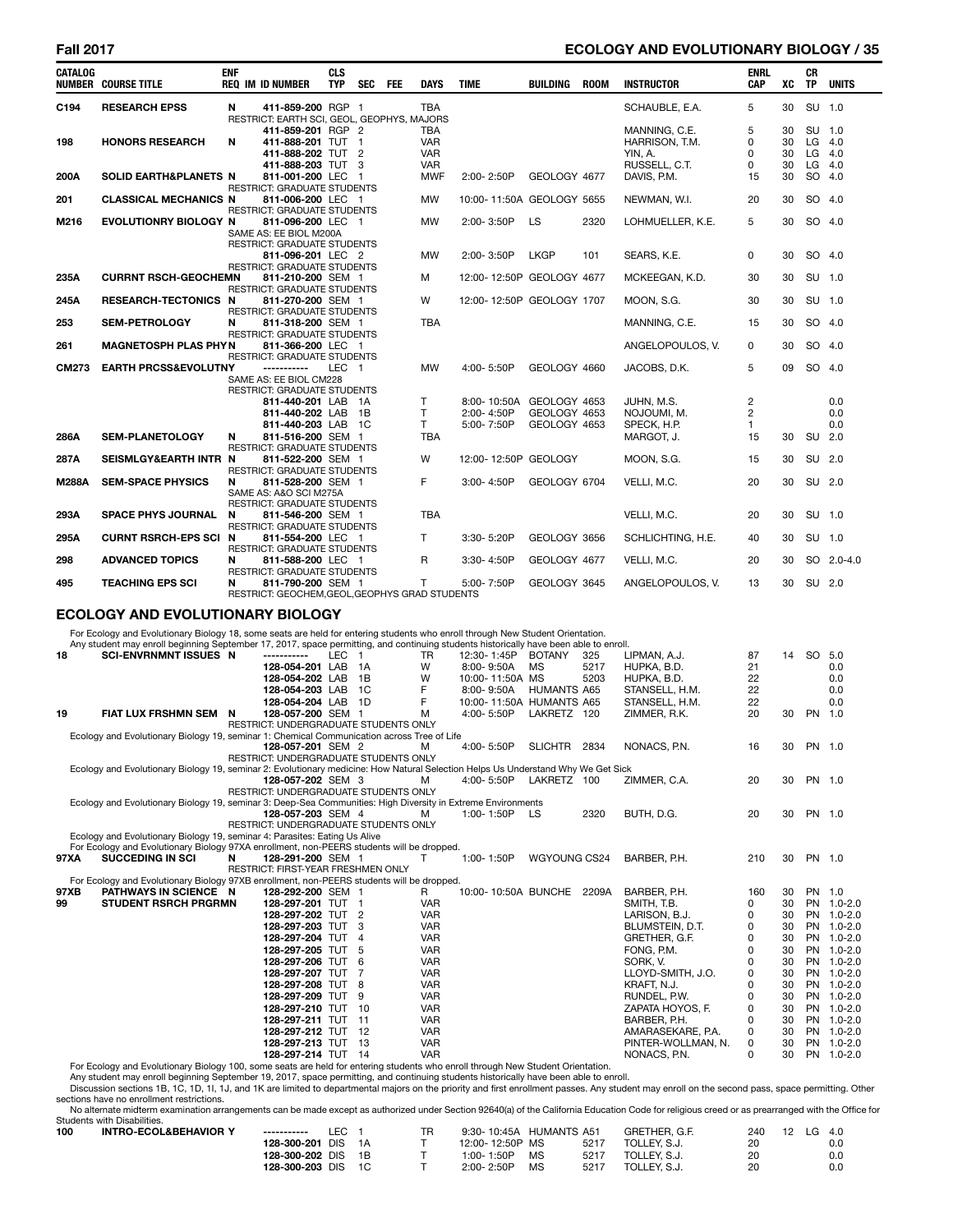# **Fall 2017 ECOLOGY AND EVOLUTIONARY BIOLOGY / 35**

| <b>CATALOG</b> | <b>NUMBER COURSE TITLE</b>                                                                                                    | <b>ENF</b> | <b>REQ IM ID NUMBER</b>                                                                       | <b>CLS</b><br>TYP. | <b>SEC</b> | <b>FEE</b> | DAYS                                          | <b>TIME</b>                             | <b>BUILDING</b>                              | <b>ROOM</b> | <b>INSTRUCTOR</b>                                           | <b>ENRL</b><br>CAP                               | XC                   | CR<br><b>TP</b>                      | <b>UNITS</b>      |
|----------------|-------------------------------------------------------------------------------------------------------------------------------|------------|-----------------------------------------------------------------------------------------------|--------------------|------------|------------|-----------------------------------------------|-----------------------------------------|----------------------------------------------|-------------|-------------------------------------------------------------|--------------------------------------------------|----------------------|--------------------------------------|-------------------|
| C194           | <b>RESEARCH EPSS</b>                                                                                                          | N          | 411-859-200 RGP 1<br>RESTRICT: EARTH SCI, GEOL, GEOPHYS, MAJORS                               |                    |            |            | <b>TBA</b>                                    |                                         |                                              |             | SCHAUBLE, E.A.                                              | 5                                                | 30                   | SU 1.0                               |                   |
| 198            | <b>HONORS RESEARCH</b>                                                                                                        | N          | 411-859-201 RGP 2<br>411-888-201 TUT 1<br>411-888-202 TUT 2<br>411-888-203 TUT 3              |                    |            |            | TBA<br><b>VAR</b><br><b>VAR</b><br><b>VAR</b> |                                         |                                              |             | MANNING, C.E.<br>HARRISON, T.M.<br>YIN. A.<br>RUSSELL, C.T. | 5<br>0<br>0<br>0                                 | 30<br>30<br>30<br>30 | SU 1.0<br>$LG$ 4.0<br>LG<br>$LG$ 4.0 | -4.0              |
| 200A           | SOLID EARTH&PLANETS N                                                                                                         |            | 811-001-200 LEC 1<br><b>RESTRICT: GRADUATE STUDENTS</b>                                       |                    |            |            | <b>MWF</b>                                    | 2:00-2:50P                              | GEOLOGY 4677                                 |             | DAVIS, P.M.                                                 | 15                                               | 30                   | SO 4.0                               |                   |
| 201            | <b>CLASSICAL MECHANICS N</b>                                                                                                  |            | 811-006-200 LEC 1<br><b>RESTRICT: GRADUATE STUDENTS</b>                                       |                    |            |            | <b>MW</b>                                     | 10:00-11:50A GEOLOGY 5655               |                                              |             | NEWMAN, W.I.                                                | 20                                               | 30                   | SO 4.0                               |                   |
| M216           | EVOLUTIONRY BIOLOGY N                                                                                                         |            | 811-096-200 LEC 1<br>SAME AS: EE BIOL M200A                                                   |                    |            |            | <b>MW</b>                                     | 2:00-3:50P                              | LS                                           | 2320        | LOHMUELLER, K.E.                                            | 5                                                | 30                   | SO 4.0                               |                   |
|                |                                                                                                                               |            | <b>RESTRICT: GRADUATE STUDENTS</b><br>811-096-201 LEC 2<br><b>RESTRICT: GRADUATE STUDENTS</b> |                    |            |            | <b>MW</b>                                     | 2:00-3:50P                              | <b>LKGP</b>                                  | 101         | SEARS, K.E.                                                 | 0                                                | 30                   | SO 4.0                               |                   |
| 235A           | <b>CURRNT RSCH-GEOCHEMN</b>                                                                                                   |            | 811-210-200 SEM 1<br><b>RESTRICT: GRADUATE STUDENTS</b>                                       |                    |            |            | м                                             | 12:00-12:50P GEOLOGY 4677               |                                              |             | MCKEEGAN, K.D.                                              | 30                                               | 30                   | SU 1.0                               |                   |
| 245A           | <b>RESEARCH-TECTONICS N</b>                                                                                                   |            | 811-270-200 SEM 1<br><b>RESTRICT: GRADUATE STUDENTS</b>                                       |                    |            |            | W                                             | 12:00-12:50P GEOLOGY 1707               |                                              |             | MOON, S.G.                                                  | 30                                               | 30                   | SU 1.0                               |                   |
| 253            | <b>SEM-PETROLOGY</b>                                                                                                          | N          | 811-318-200 SEM 1<br><b>RESTRICT: GRADUATE STUDENTS</b>                                       |                    |            |            | <b>TBA</b>                                    |                                         |                                              |             | MANNING, C.E.                                               | 15                                               | 30                   | SO 4.0                               |                   |
| 261            | <b>MAGNETOSPH PLAS PHYN</b>                                                                                                   |            | 811-366-200 LEC 1<br>RESTRICT: GRADUATE STUDENTS                                              |                    |            |            |                                               |                                         |                                              |             | ANGELOPOULOS, V.                                            | 0                                                | 30                   | SO 4.0                               |                   |
| <b>CM273</b>   | <b>EARTH PRCSS&amp;EVOLUTNY</b>                                                                                               |            | -----------<br>SAME AS: EE BIOL CM228<br><b>RESTRICT: GRADUATE STUDENTS</b>                   | LEC 1              |            |            | <b>MW</b>                                     | 4:00-5:50P                              | GEOLOGY 4660                                 |             | JACOBS, D.K.                                                | 5                                                | 09                   | SO 4.0                               |                   |
|                |                                                                                                                               |            | 811-440-201 LAB 1A<br>811-440-202 LAB 1B<br>811-440-203 LAB 1C                                |                    |            |            | т<br>T<br>T.                                  | 8:00-10:50A<br>2:00-4:50P<br>5:00-7:50P | GEOLOGY 4653<br>GEOLOGY 4653<br>GEOLOGY 4653 |             | JUHN, M.S.<br>NOJOUMI, M.<br>SPECK, H.P.                    | $\overline{c}$<br>$\overline{c}$<br>$\mathbf{1}$ |                      |                                      | 0.0<br>0.0<br>0.0 |
| 286A           | <b>SEM-PLANETOLOGY</b>                                                                                                        | N          | 811-516-200 SEM 1<br><b>RESTRICT: GRADUATE STUDENTS</b>                                       |                    |            |            | <b>TBA</b>                                    |                                         |                                              |             | MARGOT, J.                                                  | 15                                               | 30                   | SU 2.0                               |                   |
| 287A           | SEISMLGY&EARTH INTR N                                                                                                         |            | 811-522-200 SEM 1<br><b>RESTRICT: GRADUATE STUDENTS</b>                                       |                    |            |            | W                                             | 12:00-12:50P GEOLOGY                    |                                              |             | MOON, S.G.                                                  | 15                                               | 30                   | <b>SU</b>                            | 2.0               |
| <b>M288A</b>   | <b>SEM-SPACE PHYSICS</b>                                                                                                      | N          | 811-528-200 SEM 1<br>SAME AS: A&O SCI M275A<br><b>RESTRICT: GRADUATE STUDENTS</b>             |                    |            |            | F                                             | 3:00-4:50P                              | GEOLOGY 6704                                 |             | VELLI, M.C.                                                 | 20                                               | 30                   | SU 2.0                               |                   |
| 293A           | <b>SPACE PHYS JOURNAL</b>                                                                                                     | N          | 811-546-200 SEM 1<br><b>RESTRICT: GRADUATE STUDENTS</b>                                       |                    |            |            | <b>TBA</b>                                    |                                         |                                              |             | VELLI, M.C.                                                 | 20                                               | 30                   | SU 1.0                               |                   |
| 295A           | <b>CURNT RSRCH-EPS SCI N</b>                                                                                                  |            | 811-554-200 LEC 1<br><b>RESTRICT: GRADUATE STUDENTS</b>                                       |                    |            |            | T.                                            | 3:30-5:20P                              | GEOLOGY 3656                                 |             | SCHLICHTING, H.E.                                           | 40                                               | 30                   | SU 1.0                               |                   |
| 298            | <b>ADVANCED TOPICS</b>                                                                                                        | N          | 811-588-200 LEC 1<br><b>RESTRICT: GRADUATE STUDENTS</b>                                       |                    |            |            | R                                             | 3:30-4:50P                              | GEOLOGY 4677                                 |             | VELLI, M.C.                                                 | 20                                               | 30                   |                                      | SO 2.0-4.0        |
| 495            | <b>TEACHING EPS SCI</b>                                                                                                       | N          | 811-790-200 SEM 1<br>RESTRICT: GEOCHEM, GEOL, GEOPHYS GRAD STUDENTS                           |                    |            |            | Τ                                             | 5:00-7:50P                              | GEOLOGY 3645                                 |             | ANGELOPOULOS, V.                                            | 13                                               | 30                   | SU 2.0                               |                   |
|                | <b>ECOLOGY AND EVOLUTIONARY BIOLOGY</b>                                                                                       |            |                                                                                               |                    |            |            |                                               |                                         |                                              |             |                                                             |                                                  |                      |                                      |                   |
|                | For Ecology and Evolutionary Biology 18, some seats are held for entering students who enroll through New Student Orientation |            |                                                                                               |                    |            |            |                                               |                                         |                                              |             |                                                             |                                                  |                      |                                      |                   |

For Ecology and Evolutionary Biology 18, some seats are held for entering students who enroll through New Student Orientation.<br>Any student may enroll beginning September 17, 2017, space permitting, and continuing students

|      | Any student may enron beginning September 17, 2017, Space permitting, and community students mstoncally nave been able to emon.                                                                   |   |                                       |                  |    |            |                 |                           |      |                    |              |    |           |            |
|------|---------------------------------------------------------------------------------------------------------------------------------------------------------------------------------------------------|---|---------------------------------------|------------------|----|------------|-----------------|---------------------------|------|--------------------|--------------|----|-----------|------------|
| 18   | <b>SCI-ENVRNMNT ISSUES N</b>                                                                                                                                                                      |   | -----------                           | LEC <sub>1</sub> |    | <b>TR</b>  |                 | 12:30-1:45P BOTANY        | 325  | LIPMAN, A.J.       | 87           | 14 | SO 5.0    |            |
|      |                                                                                                                                                                                                   |   | 128-054-201 LAB                       |                  | 1A | W          | 8:00-9:50A      | <b>MS</b>                 | 5217 | HUPKA, B.D.        | 21           |    |           | 0.0        |
|      |                                                                                                                                                                                                   |   | 128-054-202 LAB                       |                  | 1B | W          | 10:00-11:50A MS |                           | 5203 | HUPKA, B.D.        | 22           |    |           | 0.0        |
|      |                                                                                                                                                                                                   |   | 128-054-203 LAB                       |                  | 1C | F          | 8:00-9:50A      | <b>HUMANTS A65</b>        |      | STANSELL, H.M.     | 22           |    |           | 0.0        |
|      |                                                                                                                                                                                                   |   | 128-054-204 LAB                       |                  | 1D | F          |                 | 10:00-11:50A HUMANTS A65  |      | STANSELL, H.M.     | 22           |    |           | 0.0        |
| 19   | FIAT LUX FRSHMN SEM                                                                                                                                                                               | N | 128-057-200 SEM 1                     |                  |    | м          | 4:00-5:50P      | LAKRETZ 120               |      | ZIMMER, R.K.       | 20           |    | 30 PN 1.0 |            |
|      |                                                                                                                                                                                                   |   | RESTRICT: UNDERGRADUATE STUDENTS ONLY |                  |    |            |                 |                           |      |                    |              |    |           |            |
|      | Ecology and Evolutionary Biology 19, seminar 1: Chemical Communication across Tree of Life                                                                                                        |   |                                       |                  |    |            |                 |                           |      |                    |              |    |           |            |
|      |                                                                                                                                                                                                   |   | 128-057-201 SEM 2                     |                  |    | м          | 4:00-5:50P      | SLICHTR 2834              |      | NONACS, P.N.       | 16           | 30 | PN 1.0    |            |
|      |                                                                                                                                                                                                   |   | RESTRICT: UNDERGRADUATE STUDENTS ONLY |                  |    |            |                 |                           |      |                    |              |    |           |            |
|      | Ecology and Evolutionary Biology 19, seminar 2: Evolutionary medicine: How Natural Selection Helps Us Understand Why We Get Sick                                                                  |   |                                       |                  |    |            |                 |                           |      |                    |              |    |           |            |
|      |                                                                                                                                                                                                   |   | 128-057-202 SEM 3                     |                  |    | м          | 4:00-5:50P      | LAKRETZ 100               |      | ZIMMER, C.A.       | 20           | 30 | PN 1.0    |            |
|      |                                                                                                                                                                                                   |   | RESTRICT: UNDERGRADUATE STUDENTS ONLY |                  |    |            |                 |                           |      |                    |              |    |           |            |
|      | Ecology and Evolutionary Biology 19, seminar 3: Deep-Sea Communities: High Diversity in Extreme Environments                                                                                      |   |                                       |                  |    |            |                 |                           |      |                    |              |    |           |            |
|      |                                                                                                                                                                                                   |   | 128-057-203 SEM 4                     |                  |    | м          | 1:00-1:50P      | LS                        | 2320 | BUTH, D.G.         | 20           | 30 | PN 1.0    |            |
|      |                                                                                                                                                                                                   |   | RESTRICT: UNDERGRADUATE STUDENTS ONLY |                  |    |            |                 |                           |      |                    |              |    |           |            |
|      | Ecology and Evolutionary Biology 19, seminar 4: Parasites: Eating Us Alive<br>For Ecology and Evolutionary Biology 97XA enrollment, non-PEERS students will be dropped.                           |   |                                       |                  |    |            |                 |                           |      |                    |              |    |           |            |
| 97XA | <b>SUCCEDING IN SCI</b>                                                                                                                                                                           | N | 128-291-200 SEM 1                     |                  |    | т          | $1:00 - 1:50P$  | WGYOUNG CS24              |      | BARBER, P.H.       | 210          | 30 | PN 1.0    |            |
|      |                                                                                                                                                                                                   |   | RESTRICT: FIRST-YEAR FRESHMEN ONLY    |                  |    |            |                 |                           |      |                    |              |    |           |            |
|      | For Ecology and Evolutionary Biology 97XB enrollment, non-PEERS students will be dropped.                                                                                                         |   |                                       |                  |    |            |                 |                           |      |                    |              |    |           |            |
| 97XB | PATHWAYS IN SCIENCE N                                                                                                                                                                             |   | 128-292-200 SEM 1                     |                  |    | R          |                 | 10:00-10:50A BUNCHE 2209A |      | BARBER, P.H.       | 160          | 30 | PN 1.0    |            |
| 99   | <b>STUDENT RSRCH PRGRMN</b>                                                                                                                                                                       |   | 128-297-201 TUT 1                     |                  |    | <b>VAR</b> |                 |                           |      | SMITH, T.B.        | 0            | 30 |           | PN 1.0-2.0 |
|      |                                                                                                                                                                                                   |   | 128-297-202 TUT 2                     |                  |    | <b>VAR</b> |                 |                           |      | LARISON, B.J.      | 0            | 30 |           | PN 1.0-2.0 |
|      |                                                                                                                                                                                                   |   | 128-297-203 TUT 3                     |                  |    | <b>VAR</b> |                 |                           |      | BLUMSTEIN, D.T.    | 0            | 30 |           | PN 1.0-2.0 |
|      |                                                                                                                                                                                                   |   | 128-297-204 TUT 4                     |                  |    | <b>VAR</b> |                 |                           |      | GRETHER, G.F.      | 0            | 30 |           | PN 1.0-2.0 |
|      |                                                                                                                                                                                                   |   | 128-297-205 TUT 5                     |                  |    | <b>VAR</b> |                 |                           |      | FONG. P.M.         | 0            | 30 |           | PN 1.0-2.0 |
|      |                                                                                                                                                                                                   |   | 128-297-206 TUT 6                     |                  |    | <b>VAR</b> |                 |                           |      | SORK. V.           | 0            | 30 |           | PN 1.0-2.0 |
|      |                                                                                                                                                                                                   |   | 128-297-207 TUT 7                     |                  |    | <b>VAR</b> |                 |                           |      | LLOYD-SMITH, J.O.  | 0            | 30 |           | PN 1.0-2.0 |
|      |                                                                                                                                                                                                   |   | 128-297-208 TUT 8                     |                  |    | <b>VAR</b> |                 |                           |      | KRAFT, N.J.        | 0            | 30 |           | PN 1.0-2.0 |
|      |                                                                                                                                                                                                   |   | 128-297-209 TUT 9                     |                  |    | <b>VAR</b> |                 |                           |      | RUNDEL, P.W.       | 0            | 30 |           | PN 1.0-2.0 |
|      |                                                                                                                                                                                                   |   | 128-297-210 TUT 10                    |                  |    | <b>VAR</b> |                 |                           |      | ZAPATA HOYOS, F.   | 0            | 30 |           | PN 1.0-2.0 |
|      |                                                                                                                                                                                                   |   | 128-297-211 TUT 11                    |                  |    | <b>VAR</b> |                 |                           |      | BARBER, P.H.       | 0            | 30 |           | PN 1.0-2.0 |
|      |                                                                                                                                                                                                   |   | 128-297-212 TUT 12                    |                  |    | <b>VAR</b> |                 |                           |      | AMARASEKARE, P.A.  | 0            | 30 |           | PN 1.0-2.0 |
|      |                                                                                                                                                                                                   |   | 128-297-213 TUT 13                    |                  |    | <b>VAR</b> |                 |                           |      | PINTER-WOLLMAN, N. | 0            | 30 |           | PN 1.0-2.0 |
|      |                                                                                                                                                                                                   |   | 128-297-214 TUT 14                    |                  |    | <b>VAR</b> |                 |                           |      | NONACS, P.N.       | <sup>0</sup> | 30 |           | PN 1.0-2.0 |
|      | For Ecology and Evolutionary Biology 100, some seats are held for entering students who enroll through New Student Orientation.                                                                   |   |                                       |                  |    |            |                 |                           |      |                    |              |    |           |            |
|      | Any student may enroll beginning September 19, 2017, space permitting, and continuing students historically have been able to enroll.                                                             |   |                                       |                  |    |            |                 |                           |      |                    |              |    |           |            |
|      | Discussion sections 1B, 1C, 1D, 1l, 1J, and 1K are limited to departmental majors on the priority and first enrollment passes. Any student may enroll on the second pass, space permitting. Other |   |                                       |                  |    |            |                 |                           |      |                    |              |    |           |            |

sections have no enrollment restrictions.<br>No alternate midterm examination arrangements can be made except as authorized under Section 92640(a) of the California Education Code for religious creed or as prearranged with th

|     | Students with Disabilities.      |                 |      |      |                 |                         |      |               |     |    |     |     |
|-----|----------------------------------|-----------------|------|------|-----------------|-------------------------|------|---------------|-----|----|-----|-----|
| 100 | <b>INTRO-ECOL&amp;BEHAVIOR Y</b> | ------------    | - FC |      |                 | 9:30-10:45A HUMANTS A51 |      | GRETHER, G.F. | 240 | 12 | LG. | 4.0 |
|     |                                  | 128-300-201 DIS |      | 1A   | 12:00-12:50P MS |                         | 5217 | TOLLEY, S.J.  | 20  |    |     | 0.0 |
|     |                                  | 128-300-202 DIS |      | - 1B | $1:00 - 1:50P$  | <b>MS</b>               | 5217 | TOLLEY, S.J.  | 20  |    |     | 0.0 |
|     |                                  | 128-300-203 DIS |      | - 1C | 2:00-2:50P      | MS                      | 5217 | TOLLEY, S.J.  | 20  |    |     | 0.0 |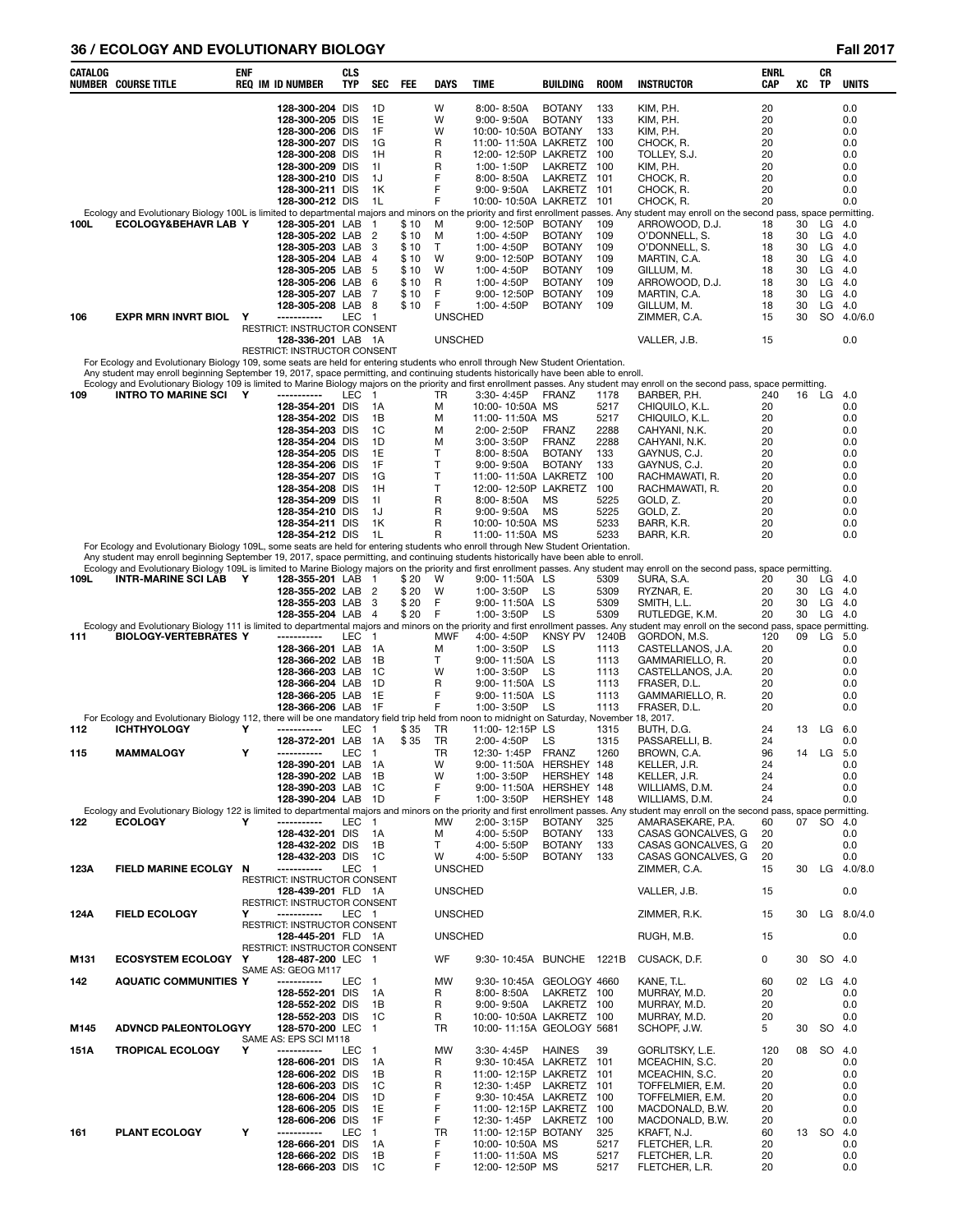# **36 / ECOLOGY AND EVOLUTIONARY BIOLOGY Fall 2017**

| CATALOG     | <b>NUMBER COURSE TITLE</b>                                                                                                                                                  | ENF    | <b>REQ IM ID NUMBER</b>                                                                                                                                                                                                                         | <b>CLS</b><br><b>TYP</b> | SEC                                                                                    | <b>FEE</b>                                                      | <b>DAYS</b>                                                    | <b>TIME</b>                                                                                                                                                                                                                        | BUILDING                                                                                                                             | <b>ROOM</b>                                                                                      | <b>INSTRUCTOR</b>                                                                                                                                                                                                                                                                                                                                                                                | ENRL<br><b>CAP</b>                                                          | XC                                           | CR<br>TP                                     | <b>UNITS</b>                                                                             |
|-------------|-----------------------------------------------------------------------------------------------------------------------------------------------------------------------------|--------|-------------------------------------------------------------------------------------------------------------------------------------------------------------------------------------------------------------------------------------------------|--------------------------|----------------------------------------------------------------------------------------|-----------------------------------------------------------------|----------------------------------------------------------------|------------------------------------------------------------------------------------------------------------------------------------------------------------------------------------------------------------------------------------|--------------------------------------------------------------------------------------------------------------------------------------|--------------------------------------------------------------------------------------------------|--------------------------------------------------------------------------------------------------------------------------------------------------------------------------------------------------------------------------------------------------------------------------------------------------------------------------------------------------------------------------------------------------|-----------------------------------------------------------------------------|----------------------------------------------|----------------------------------------------|------------------------------------------------------------------------------------------|
|             |                                                                                                                                                                             |        | 128-300-204 DIS<br>128-300-205 DIS<br>128-300-206 DIS<br>128-300-207 DIS<br>128-300-208 DIS<br>128-300-209 DIS<br>128-300-210 DIS<br>128-300-211 DIS<br>128-300-212 DIS                                                                         |                          | 1D<br>1E<br>1F<br>1G<br>1H<br>11<br>1J<br>1K<br>1L                                     |                                                                 | W<br>W<br>W<br>R<br>R<br>R<br>F<br>F<br>F                      | $8:00 - 8:50A$<br>9:00-9:50A<br>10:00-10:50A BOTANY<br>11:00-11:50A LAKRETZ<br>12:00-12:50P LAKRETZ<br>1:00-1:50P<br>8:00-8:50A<br>9:00-9:50A<br>10:00-10:50A LAKRETZ 101                                                          | <b>BOTANY</b><br><b>BOTANY</b><br>LAKRETZ<br>LAKRETZ<br>LAKRETZ 101                                                                  | 133<br>133<br>133<br>100<br>100<br>100<br>101                                                    | KIM, P.H.<br>KIM, P.H.<br>KIM, P.H.<br>CHOCK, R.<br>TOLLEY, S.J.<br>KIM, P.H.<br>CHOCK, R.<br>CHOCK, R.<br>CHOCK, R.                                                                                                                                                                                                                                                                             | 20<br>20<br>20<br>20<br>20<br>20<br>20<br>20<br>20                          |                                              |                                              | 0.0<br>0.0<br>0.0<br>0.0<br>0.0<br>0.0<br>0.0<br>0.0<br>0.0                              |
| 100L        | ECOLOGY&BEHAVR LAB Y                                                                                                                                                        |        | 128-305-201 LAB<br>128-305-202 LAB<br>128-305-203 LAB<br>128-305-204 LAB<br>128-305-205 LAB<br>128-305-206 LAB<br>128-305-207 LAB<br>128-305-208 LAB                                                                                            |                          | 1<br>2<br>3<br>4<br>5<br>6<br>7<br>8                                                   | \$ 10<br>\$ 10<br>\$10<br>\$10<br>\$10<br>\$ 10<br>\$10<br>\$10 | M<br>M<br>т<br>W<br>W<br>R<br>F<br>F                           | 9:00-12:50P<br>1:00-4:50P<br>1:00-4:50P<br>9:00-12:50P<br>1:00-4:50P<br>1:00-4:50P<br>9:00-12:50P<br>1:00-4:50P                                                                                                                    | <b>BOTANY</b><br><b>BOTANY</b><br><b>BOTANY</b><br><b>BOTANY</b><br><b>BOTANY</b><br><b>BOTANY</b><br><b>BOTANY</b><br><b>BOTANY</b> | 109<br>109<br>109<br>109<br>109<br>109<br>109<br>109                                             | Ecology and Evolutionary Biology 100L is limited to departmental majors and minors on the priority and first enrollment passes. Any student may enroll on the second pass, space permitting.<br>ARROWOOD, D.J.<br>O'DONNELL, S.<br>O'DONNELL, S.<br>MARTIN, C.A.<br>GILLUM, M.<br>ARROWOOD, D.J.<br>MARTIN, C.A.<br>GILLUM, M.                                                                   | 18<br>18<br>18<br>18<br>18<br>18<br>18<br>18                                | 30<br>30<br>30<br>30<br>30<br>30<br>30<br>30 | LG<br>LG<br>LG<br>LG<br>LG<br>LG<br>LG<br>LG | 4.0<br>4.0<br>4.0<br>4.0<br>-4.0<br>-4.0<br>4.0<br>-4.0                                  |
| 106         | <b>EXPR MRN INVRT BIOL</b>                                                                                                                                                  | Υ      | -----------<br>RESTRICT: INSTRUCTOR CONSENT<br>128-336-201 LAB 1A                                                                                                                                                                               | LEC                      | $\overline{1}$                                                                         |                                                                 | <b>UNSCHED</b><br><b>UNSCHED</b>                               |                                                                                                                                                                                                                                    |                                                                                                                                      |                                                                                                  | ZIMMER, C.A.<br>VALLER, J.B.                                                                                                                                                                                                                                                                                                                                                                     | 15<br>15                                                                    | 30                                           | <b>SO</b>                                    | 4.0/6.0<br>0.0                                                                           |
|             | For Ecology and Evolutionary Biology 109, some seats are held for entering students who enroll through New Student Orientation.                                             |        | RESTRICT: INSTRUCTOR CONSENT                                                                                                                                                                                                                    |                          |                                                                                        |                                                                 |                                                                |                                                                                                                                                                                                                                    |                                                                                                                                      |                                                                                                  |                                                                                                                                                                                                                                                                                                                                                                                                  |                                                                             |                                              |                                              |                                                                                          |
|             | Any student may enroll beginning September 19, 2017, space permitting, and continuing students historically have been able to enroll.                                       |        |                                                                                                                                                                                                                                                 |                          |                                                                                        |                                                                 |                                                                |                                                                                                                                                                                                                                    |                                                                                                                                      |                                                                                                  |                                                                                                                                                                                                                                                                                                                                                                                                  |                                                                             |                                              |                                              |                                                                                          |
| 109         | <b>INTRO TO MARINE SCI Y</b><br>For Ecology and Evolutionary Biology 109L, some seats are held for entering students who enroll through New Student Orientation.            |        | -----------<br>128-354-201 DIS<br>128-354-202 DIS<br>128-354-203 DIS<br>128-354-204 DIS<br>128-354-205 DIS<br>128-354-206 DIS<br>128-354-207 DIS<br>128-354-208 DIS<br>128-354-209 DIS<br>128-354-210 DIS<br>128-354-211 DIS<br>128-354-212 DIS | LEC                      | $\overline{1}$<br>1A<br>1B<br>1C<br>1D<br>1E<br>1F<br>1G<br>1H<br>11<br>1J<br>1K<br>1L |                                                                 | TR<br>M<br>М<br>м<br>М<br>т<br>T<br>T<br>Т<br>R<br>R<br>R<br>R | 3:30-4:45P<br>10:00-10:50A MS<br>11:00-11:50A MS<br>2:00-2:50P<br>3:00-3:50P<br>$8:00 - 8:50A$<br>9:00-9:50A<br>11:00-11:50A LAKRETZ<br>12:00-12:50P LAKRETZ<br>8:00-8:50A<br>$9:00 - 9:50A$<br>10:00-10:50A MS<br>11:00-11:50A MS | <b>FRANZ</b><br><b>FRANZ</b><br><b>FRANZ</b><br><b>BOTANY</b><br><b>BOTANY</b><br>MS<br>МS                                           | 1178<br>5217<br>5217<br>2288<br>2288<br>133<br>133<br>100<br>100<br>5225<br>5225<br>5233<br>5233 | Ecology and Evolutionary Biology 109 is limited to Marine Biology majors on the priority and first enrollment passes. Any student may enroll on the second pass, space permitting.<br>BARBER, P.H.<br>CHIQUILO, K.L.<br>CHIQUILO, K.L.<br>CAHYANI, N.K.<br>CAHYANI, N.K.<br>GAYNUS, C.J.<br>GAYNUS, C.J.<br>RACHMAWATI, R.<br>RACHMAWATI, R.<br>GOLD, Z.<br>GOLD, Z.<br>BARR, K.R.<br>BARR, K.R. | 240<br>20<br>20<br>20<br>20<br>20<br>20<br>20<br>20<br>20<br>20<br>20<br>20 | 16                                           | LG                                           | -4.0<br>0.0<br>0.0<br>0.0<br>0.0<br>0.0<br>0.0<br>0.0<br>0.0<br>0.0<br>0.0<br>0.0<br>0.0 |
|             | Any student may enroll beginning September 19, 2017, space permitting, and continuing students historically have been able to enroll.                                       |        |                                                                                                                                                                                                                                                 |                          |                                                                                        |                                                                 |                                                                |                                                                                                                                                                                                                                    |                                                                                                                                      |                                                                                                  |                                                                                                                                                                                                                                                                                                                                                                                                  |                                                                             |                                              |                                              |                                                                                          |
| 109L        | <b>INTR-MARINE SCI LAB</b><br>Ecology and Evolutionary Biology 111 is limited to departmental majors and minors on the priority and first enrollment passes. Any            | Y      | 128-355-201 LAB<br>128-355-202 LAB<br>128-355-203 LAB<br>128-355-204 LAB                                                                                                                                                                        |                          | - 1<br>2<br>3<br>$\overline{4}$                                                        | \$20<br>\$20<br>\$20<br>\$20                                    | W<br>W<br>F<br>F                                               | 9:00-11:50A LS<br>1:00-3:50P<br>9:00-11:50A LS<br>1:00-3:50P                                                                                                                                                                       | LS<br>LS                                                                                                                             | 5309<br>5309<br>5309<br>5309                                                                     | Ecology and Evolutionary Biology 109L is limited to Marine Biology majors on the priority and first enrollment passes. Any student may enroll on the second pass, space permitting.<br>SURA, S.A.<br>RYZNAR, E.<br>SMITH, L.L.<br>RUTLEDGE, K.M.<br>student may enroll on the second pass, space permitting.                                                                                     | 20<br>20<br>20<br>20                                                        | 30<br>30<br>30<br>30                         | LG<br>LG<br>LG<br>LG                         | 4.0<br>-4.0<br>-4.0<br>4.0                                                               |
| 111         | <b>BIOLOGY-VERTEBRATES Y</b><br>For Ecology and Evolutionary Biology 112, there will be one mandatory field trip held from noon to midnight on Saturday, November 18, 2017. |        | -----------<br>128-366-201 LAB<br>128-366-202 LAB<br>128-366-203 LAB<br>128-366-204 LAB<br>128-366-205 LAB<br>128-366-206 LAB                                                                                                                   | LEC                      | $\mathbf{1}$<br>1A<br>1В<br>1C<br>1D<br>1E<br>-1F                                      |                                                                 | MWF<br>М<br>т<br>W<br>R<br>F<br>F                              | 4:00-4:50P<br>1:00-3:50P<br>9:00-11:50A LS<br>1:00-3:50P<br>9:00-11:50A LS<br>9:00-11:50A LS<br>1:00-3:50P                                                                                                                         | KNSY PV<br>LS<br>LS<br>LS                                                                                                            | 1240B<br>1113<br>1113<br>1113<br>1113<br>1113<br>1113                                            | GORDON, M.S.<br>CASTELLANOS, J.A.<br>GAMMARIELLO, R.<br>CASTELLANOS, J.A.<br>FRASER, D.L.<br>GAMMARIELLO, R.<br>FRASER. D.L.                                                                                                                                                                                                                                                                     | 120<br>20<br>20<br>20<br>20<br>20<br>20                                     | 09                                           | LG                                           | -5.0<br>0.0<br>0.0<br>0.0<br>0.0<br>0.0<br>0.0                                           |
| 112         | <b>ICHTHYOLOGY</b>                                                                                                                                                          | Y      | -----------                                                                                                                                                                                                                                     | LEC                      | -1                                                                                     | \$35                                                            | TR                                                             | 11:00-12:15P LS                                                                                                                                                                                                                    |                                                                                                                                      | 1315                                                                                             | BUTH, D.G.                                                                                                                                                                                                                                                                                                                                                                                       | 24                                                                          | 13                                           | LG                                           | -6.0                                                                                     |
| 115         | <b>MAMMALOGY</b><br>Ecology and Evolutionary Biology 122 is limited to departmental majors and minors on the priority and first enrollment passes. Any                      | Υ      | 128-372-201 LAB<br>-----------<br>128-390-201 LAB 1A<br>128-390-202 LAB<br>128-390-203 LAB<br>128-390-204 LAB                                                                                                                                   | LEC                      | 1A<br>$\overline{\mathbf{1}}$<br>1B<br>- 1 C<br>1D                                     | \$35                                                            | TR<br>TR<br>W<br>W<br>F<br>F                                   | 2:00-4:50P<br>12:30-1:45P FRANZ<br>9:00-11:50A HERSHEY 148<br>1:00-3:50P<br>9:00-11:50A HERSHEY 148<br>1:00-3:50P                                                                                                                  | LS<br>HERSHEY 148<br>HERSHEY 148                                                                                                     | 1315<br>1260                                                                                     | PASSARELLI, B.<br>BROWN, C.A.<br>KELLER, J.R.<br>KELLER, J.R.<br>WILLIAMS, D.M.<br>WILLIAMS, D.M.<br>student may enroll on the second pass, space permitting.                                                                                                                                                                                                                                    | 24<br>96<br>24<br>24<br>24<br>24                                            |                                              | 14 LG 5.0                                    | 0.0<br>0.0<br>0.0<br>0.0<br>0.0                                                          |
| 122         | <b>ECOLOGY</b>                                                                                                                                                              | Υ      | -----------<br>128-432-201 DIS<br>128-432-202 DIS<br>128-432-203 DIS                                                                                                                                                                            | LEC <sub>1</sub>         | 1A<br>1В<br>1C                                                                         |                                                                 | MW<br>м<br>т<br>w                                              | 2:00-3:15P<br>4:00-5:50P<br>4:00-5:50P<br>4:00-5:50P                                                                                                                                                                               | <b>BOTANY</b><br><b>BOTANY</b><br><b>BOTANY</b><br><b>BOTANY</b>                                                                     | 325<br>133<br>133<br>133                                                                         | AMARASEKARE, P.A.<br>CASAS GONCALVES, G<br>CASAS GONCALVES, G<br>CASAS GONCALVES, G                                                                                                                                                                                                                                                                                                              | 60<br>20<br>20<br>20                                                        |                                              | 07 SO 4.0                                    | 0.0<br>0.0<br>0.0                                                                        |
| 123A        | FIELD MARINE ECOLGY N                                                                                                                                                       |        | -----------<br>RESTRICT: INSTRUCTOR CONSENT<br>128-439-201 FLD 1A                                                                                                                                                                               | LEC 1                    |                                                                                        |                                                                 | <b>UNSCHED</b><br><b>UNSCHED</b>                               |                                                                                                                                                                                                                                    |                                                                                                                                      |                                                                                                  | ZIMMER, C.A.<br>VALLER, J.B.                                                                                                                                                                                                                                                                                                                                                                     | 15<br>15                                                                    |                                              |                                              | 30 LG 4.0/8.0<br>0.0                                                                     |
| 124A        | <b>FIELD ECOLOGY</b>                                                                                                                                                        | Υ      | RESTRICT: INSTRUCTOR CONSENT<br>-----------<br>RESTRICT: INSTRUCTOR CONSENT                                                                                                                                                                     | LEC 1                    |                                                                                        |                                                                 | <b>UNSCHED</b>                                                 |                                                                                                                                                                                                                                    |                                                                                                                                      |                                                                                                  | ZIMMER, R.K.                                                                                                                                                                                                                                                                                                                                                                                     | 15                                                                          | 30                                           | LG                                           | 8.0/4.0                                                                                  |
|             |                                                                                                                                                                             |        | 128-445-201 FLD 1A<br>RESTRICT: INSTRUCTOR CONSENT                                                                                                                                                                                              |                          |                                                                                        |                                                                 | <b>UNSCHED</b>                                                 |                                                                                                                                                                                                                                    |                                                                                                                                      |                                                                                                  | RUGH, M.B.                                                                                                                                                                                                                                                                                                                                                                                       | 15                                                                          |                                              |                                              | 0.0                                                                                      |
| M131        | <b>ECOSYSTEM ECOLOGY Y</b>                                                                                                                                                  |        | 128-487-200 LEC 1<br>SAME AS: GEOG M117                                                                                                                                                                                                         |                          |                                                                                        |                                                                 | WF                                                             | 9:30-10:45A BUNCHE 1221B                                                                                                                                                                                                           |                                                                                                                                      |                                                                                                  | CUSACK, D.F.                                                                                                                                                                                                                                                                                                                                                                                     | 0                                                                           | 30                                           | SO.                                          | -4.0                                                                                     |
| 142<br>M145 | <b>AQUATIC COMMUNITIES Y</b><br>ADVNCD PALEONTOLOGYY                                                                                                                        |        | -----------<br>128-552-201 DIS<br>128-552-202 DIS<br>128-552-203 DIS<br>128-570-200 LEC                                                                                                                                                         | LEC                      | $\overline{1}$<br>1A<br>1В<br>1C<br>$\overline{1}$                                     |                                                                 | MW<br>R<br>R<br>R<br>TR                                        | 9:30-10:45A GEOLOGY 4660<br>8:00-8:50A<br>$9:00 - 9:50A$<br>10:00-10:50A LAKRETZ<br>10:00-11:15A GEOLOGY 5681                                                                                                                      | LAKRETZ 100<br>LAKRETZ 100                                                                                                           | 100                                                                                              | KANE, T.L.<br>MURRAY, M.D.<br>MURRAY, M.D.<br>MURRAY, M.D.<br>SCHOPF, J.W.                                                                                                                                                                                                                                                                                                                       | 60<br>20<br>20<br>20<br>5                                                   | 02<br>30                                     | LG<br>SO 4.0                                 | 4.0<br>0.0<br>0.0<br>0.0                                                                 |
|             |                                                                                                                                                                             |        | SAME AS: EPS SCI M118                                                                                                                                                                                                                           |                          |                                                                                        |                                                                 |                                                                |                                                                                                                                                                                                                                    |                                                                                                                                      |                                                                                                  |                                                                                                                                                                                                                                                                                                                                                                                                  |                                                                             |                                              |                                              |                                                                                          |
| 151A<br>161 | <b>TROPICAL ECOLOGY</b><br>PLANT ECOLOGY                                                                                                                                    | Υ<br>Υ | -----------<br>128-606-201 DIS<br>128-606-202 DIS<br>128-606-203 DIS<br>128-606-204 DIS<br>128-606-205 DIS<br>128-606-206 DIS<br>-----------<br>128-666-201 DIS                                                                                 | LEC<br>LEC               | $\overline{1}$<br>1A<br>1В<br>1C<br>1D<br>1E<br>1F<br>1<br>1A                          |                                                                 | MW<br>R<br>R<br>R<br>F<br>F<br>F<br>TR<br>F                    | 3:30-4:45P<br>9:30-10:45A LAKRETZ 101<br>11:00-12:15P LAKRETZ 101<br>12:30-1:45P LAKRETZ 101<br>9:30-10:45A LAKRETZ 100<br>11:00-12:15P LAKRETZ<br>12:30-1:45P LAKRETZ<br>11:00-12:15P BOTANY<br>10:00-10:50A MS                   | <b>HAINES</b>                                                                                                                        | 39<br>100<br>100<br>325<br>5217                                                                  | GORLITSKY, L.E.<br>MCEACHIN, S.C.<br>MCEACHIN, S.C.<br>TOFFELMIER, E.M.<br>TOFFELMIER, E.M.<br>MACDONALD, B.W.<br>MACDONALD, B.W.<br>KRAFT, N.J.<br>FLETCHER, L.R.                                                                                                                                                                                                                               | 120<br>20<br>20<br>20<br>20<br>20<br>20<br>60<br>20                         | 08                                           | 13 SO                                        | SO 4.0<br>0.0<br>0.0<br>0.0<br>0.0<br>0.0<br>0.0<br>4.0<br>0.0                           |
|             |                                                                                                                                                                             |        | 128-666-202 DIS<br>128-666-203 DIS                                                                                                                                                                                                              |                          | 1В<br>1C                                                                               |                                                                 | F<br>F                                                         | 11:00-11:50A MS<br>12:00-12:50P MS                                                                                                                                                                                                 |                                                                                                                                      | 5217<br>5217                                                                                     | FLETCHER, L.R.<br>FLETCHER, L.R.                                                                                                                                                                                                                                                                                                                                                                 | 20<br>20                                                                    |                                              |                                              | 0.0<br>0.0                                                                               |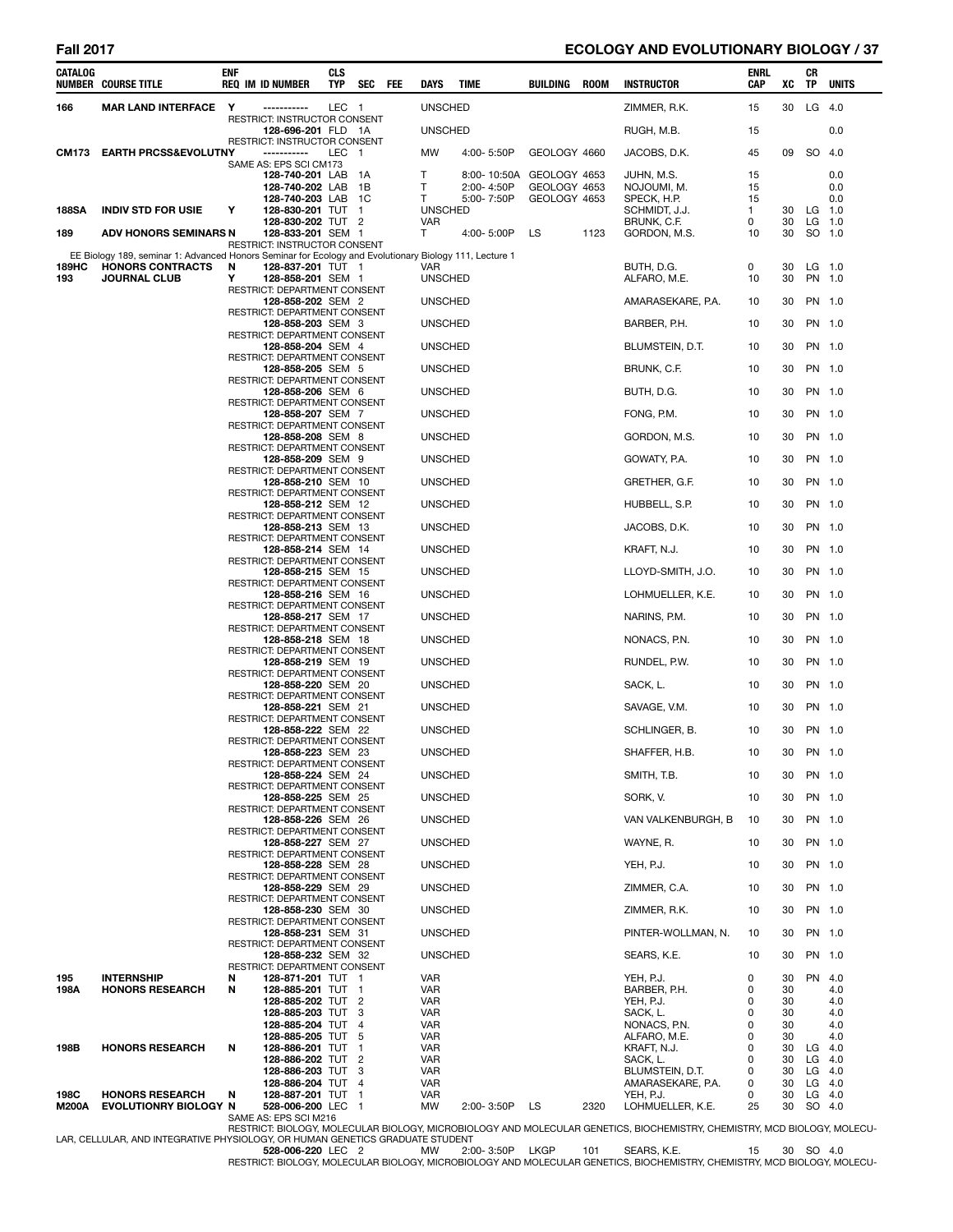### **Fall 2017 ECOLOGY AND EVOLUTIONARY BIOLOGY / 37**

| CATALOG       | <b>NUMBER COURSE TITLE</b>                                                                             | ENF    | <b>REQ IM ID NUMBER</b>                                   | CLS<br>TYP | <b>SEC</b>          | FEE | DAYS                         | TIME                     | BUILDING                     | ROOM | <b>INSTRUCTOR</b>                    | ENRL<br>CAP | XC       | CR<br>TP           | <b>UNITS</b>       |
|---------------|--------------------------------------------------------------------------------------------------------|--------|-----------------------------------------------------------|------------|---------------------|-----|------------------------------|--------------------------|------------------------------|------|--------------------------------------|-------------|----------|--------------------|--------------------|
| 166           | MAR LAND INTERFACE Y                                                                                   |        | -----------                                               | LEC 1      |                     |     | <b>UNSCHED</b>               |                          |                              |      | ZIMMER, R.K.                         | 15          | 30       | $LG$ 4.0           |                    |
|               |                                                                                                        |        | RESTRICT: INSTRUCTOR CONSENT<br>128-696-201 FLD 1A        |            |                     |     | <b>UNSCHED</b>               |                          |                              |      | RUGH, M.B.                           | 15          |          |                    | 0.0                |
|               | CM173 EARTH PRCSS&EVOLUTNY                                                                             |        | RESTRICT: INSTRUCTOR CONSENT<br>-----------               | LEC 1      |                     |     | MW                           | 4:00-5:50P               | GEOLOGY 4660                 |      | JACOBS, D.K.                         | 45          | 09       | SO 4.0             |                    |
|               |                                                                                                        |        | SAME AS: EPS SCI CM173<br>128-740-201 LAB                 |            | - 1A                |     | т                            | 8:00-10:50A              | GEOLOGY 4653                 |      | JUHN, M.S.                           | 15          |          |                    | 0.0                |
|               |                                                                                                        |        | 128-740-202 LAB<br>128-740-203 LAB 1C                     |            | - 1B                |     | T<br>T                       | 2:00-4:50P<br>5:00-7:50P | GEOLOGY 4653<br>GEOLOGY 4653 |      | NOJOUMI, M.<br>SPECK, H.P.           | 15<br>15    |          |                    | 0.0<br>0.0         |
| <b>188SA</b>  | <b>INDIV STD FOR USIE</b>                                                                              | Υ      | 128-830-201 TUT 1<br>128-830-202 TUT 2                    |            |                     |     | <b>UNSCHED</b><br><b>VAR</b> |                          |                              |      | SCHMIDT, J.J.<br>BRUNK, C.F.         | 1<br>0      | 30<br>30 | LG 1.0<br>$LG$ 1.0 |                    |
| 189           | ADV HONORS SEMINARS N                                                                                  |        | 128-833-201 SEM 1                                         |            |                     |     | T                            | 4:00-5:00P               | LS                           | 1123 | GORDON, M.S.                         | 10          | 30       | SO 1.0             |                    |
|               | EE Biology 189, seminar 1: Advanced Honors Seminar for Ecology and Evolutionary Biology 111, Lecture 1 |        | RESTRICT: INSTRUCTOR CONSENT                              |            |                     |     |                              |                          |                              |      |                                      |             |          |                    |                    |
| 189HC<br>193  | <b>HONORS CONTRACTS</b><br><b>JOURNAL CLUB</b>                                                         | N<br>Y | 128-837-201 TUT 1<br>128-858-201 SEM 1                    |            |                     |     | VAR<br><b>UNSCHED</b>        |                          |                              |      | BUTH, D.G.<br>ALFARO, M.E.           | 0<br>10     | 30<br>30 | $LG$ 1.0           | PN 1.0             |
|               |                                                                                                        |        | RESTRICT: DEPARTMENT CONSENT<br>128-858-202 SEM 2         |            |                     |     | <b>UNSCHED</b>               |                          |                              |      | AMARASEKARE, P.A.                    | 10          | 30       | PN 1.0             |                    |
|               |                                                                                                        |        | RESTRICT: DEPARTMENT CONSENT<br>128-858-203 SEM 3         |            |                     |     | <b>UNSCHED</b>               |                          |                              |      | BARBER, P.H.                         | 10          | 30       |                    | PN 1.0             |
|               |                                                                                                        |        | RESTRICT: DEPARTMENT CONSENT<br>128-858-204 SEM 4         |            |                     |     | <b>UNSCHED</b>               |                          |                              |      | BLUMSTEIN, D.T.                      | 10          | 30       | PN 1.0             |                    |
|               |                                                                                                        |        | RESTRICT: DEPARTMENT CONSENT<br>128-858-205 SEM 5         |            |                     |     | <b>UNSCHED</b>               |                          |                              |      | BRUNK, C.F.                          | 10          | 30       | PN 1.0             |                    |
|               |                                                                                                        |        | RESTRICT: DEPARTMENT CONSENT<br>128-858-206 SEM 6         |            |                     |     | <b>UNSCHED</b>               |                          |                              |      | BUTH, D.G.                           | 10          | 30       | PN 1.0             |                    |
|               |                                                                                                        |        | <b>RESTRICT: DEPARTMENT CONSENT</b><br>128-858-207 SEM 7  |            |                     |     | <b>UNSCHED</b>               |                          |                              |      | FONG, P.M.                           | 10          | 30       | PN 1.0             |                    |
|               |                                                                                                        |        | RESTRICT: DEPARTMENT CONSENT<br>128-858-208 SEM 8         |            |                     |     | <b>UNSCHED</b>               |                          |                              |      | GORDON, M.S.                         | 10          | 30       | PN 1.0             |                    |
|               |                                                                                                        |        | RESTRICT: DEPARTMENT CONSENT<br>128-858-209 SEM 9         |            |                     |     | <b>UNSCHED</b>               |                          |                              |      | GOWATY, P.A.                         | 10          | 30       |                    | PN 1.0             |
|               |                                                                                                        |        | <b>RESTRICT: DEPARTMENT CONSENT</b>                       |            |                     |     | <b>UNSCHED</b>               |                          |                              |      |                                      | 10          | 30       |                    | PN 1.0             |
|               |                                                                                                        |        | 128-858-210 SEM 10<br>RESTRICT: DEPARTMENT CONSENT        |            |                     |     |                              |                          |                              |      | GRETHER, G.F.                        |             |          |                    |                    |
|               |                                                                                                        |        | 128-858-212 SEM 12<br>RESTRICT: DEPARTMENT CONSENT        |            |                     |     | <b>UNSCHED</b>               |                          |                              |      | HUBBELL, S.P.                        | 10          | 30       | PN 1.0             |                    |
|               |                                                                                                        |        | 128-858-213 SEM 13<br>RESTRICT: DEPARTMENT CONSENT        |            |                     |     | <b>UNSCHED</b>               |                          |                              |      | JACOBS, D.K.                         | 10          | 30       |                    | PN 1.0             |
|               |                                                                                                        |        | 128-858-214 SEM 14<br>RESTRICT: DEPARTMENT CONSENT        |            |                     |     | <b>UNSCHED</b>               |                          |                              |      | KRAFT, N.J.                          | 10          | 30       |                    | PN 1.0             |
|               |                                                                                                        |        | 128-858-215 SEM 15<br>RESTRICT: DEPARTMENT CONSENT        |            |                     |     | <b>UNSCHED</b>               |                          |                              |      | LLOYD-SMITH, J.O.                    | 10          | 30       | PN 1.0             |                    |
|               |                                                                                                        |        | 128-858-216 SEM 16<br><b>RESTRICT: DEPARTMENT CONSENT</b> |            |                     |     | <b>UNSCHED</b>               |                          |                              |      | LOHMUELLER, K.E.                     | 10          | 30       |                    | PN 1.0             |
|               |                                                                                                        |        | 128-858-217 SEM 17<br>RESTRICT: DEPARTMENT CONSENT        |            |                     |     | <b>UNSCHED</b>               |                          |                              |      | NARINS, P.M.                         | 10          | 30       |                    | PN 1.0             |
|               |                                                                                                        |        | 128-858-218 SEM 18<br>RESTRICT: DEPARTMENT CONSENT        |            |                     |     | <b>UNSCHED</b>               |                          |                              |      | NONACS, P.N.                         | 10          | 30       | PN 1.0             |                    |
|               |                                                                                                        |        | 128-858-219 SEM 19<br>RESTRICT: DEPARTMENT CONSENT        |            |                     |     | <b>UNSCHED</b>               |                          |                              |      | RUNDEL, P.W.                         | 10          | 30       |                    | PN 1.0             |
|               |                                                                                                        |        | 128-858-220 SEM 20<br>RESTRICT: DEPARTMENT CONSENT        |            |                     |     | <b>UNSCHED</b>               |                          |                              |      | SACK, L.                             | 10          | 30       | PN 1.0             |                    |
|               |                                                                                                        |        | 128-858-221 SEM 21<br>RESTRICT: DEPARTMENT CONSENT        |            |                     |     | <b>UNSCHED</b>               |                          |                              |      | SAVAGE, V.M.                         | 10          | 30       | PN 1.0             |                    |
|               |                                                                                                        |        | 128-858-222 SEM 22<br><b>RESTRICT: DEPARTMENT CONSENT</b> |            |                     |     | <b>UNSCHED</b>               |                          |                              |      | SCHLINGER, B.                        | 10          | 30       |                    | PN 1.0             |
|               |                                                                                                        |        | 128-858-223 SEM 23<br>RESTRICT: DEPARTMENT CONSENT        |            |                     |     | <b>UNSCHED</b>               |                          |                              |      | SHAFFER, H.B.                        | 10          | 30       | PN 1.0             |                    |
|               |                                                                                                        |        | 128-858-224 SEM 24<br>RESTRICT: DEPARTMENT CONSENT        |            |                     |     | <b>UNSCHED</b>               |                          |                              |      | SMITH, T.B.                          | 10          | 30       |                    | PN 1.0             |
|               |                                                                                                        |        | 128-858-225 SEM 25                                        |            |                     |     | <b>UNSCHED</b>               |                          |                              |      | SORK, V.                             | 10          | 30       |                    | PN 1.0             |
|               |                                                                                                        |        | RESTRICT: DEPARTMENT CONSENT<br>128-858-226 SEM 26        |            |                     |     | <b>UNSCHED</b>               |                          |                              |      | VAN VALKENBURGH, B                   | 10          | 30       |                    | PN 1.0             |
|               |                                                                                                        |        | RESTRICT: DEPARTMENT CONSENT<br>128-858-227 SEM 27        |            |                     |     | <b>UNSCHED</b>               |                          |                              |      | WAYNE, R.                            | 10          | 30       |                    | PN 1.0             |
|               |                                                                                                        |        | RESTRICT: DEPARTMENT CONSENT<br>128-858-228 SEM 28        |            |                     |     | <b>UNSCHED</b>               |                          |                              |      | YEH, P.J.                            | 10          | 30       |                    | PN 1.0             |
|               |                                                                                                        |        | <b>RESTRICT: DEPARTMENT CONSENT</b><br>128-858-229 SEM 29 |            |                     |     | <b>UNSCHED</b>               |                          |                              |      | ZIMMER, C.A.                         | 10          | 30       |                    | PN 1.0             |
|               |                                                                                                        |        | RESTRICT: DEPARTMENT CONSENT<br>128-858-230 SEM 30        |            |                     |     | <b>UNSCHED</b>               |                          |                              |      | ZIMMER, R.K.                         | 10          | 30       |                    | PN 1.0             |
|               |                                                                                                        |        | RESTRICT: DEPARTMENT CONSENT<br>128-858-231 SEM 31        |            |                     |     | <b>UNSCHED</b>               |                          |                              |      | PINTER-WOLLMAN, N.                   | 10          | 30       |                    | PN 1.0             |
|               |                                                                                                        |        | RESTRICT: DEPARTMENT CONSENT<br>128-858-232 SEM 32        |            |                     |     | <b>UNSCHED</b>               |                          |                              |      | SEARS, K.E.                          | 10          | 30       | PN 1.0             |                    |
| 195           | <b>INTERNSHIP</b>                                                                                      | N      | RESTRICT: DEPARTMENT CONSENT<br>128-871-201 TUT 1         |            |                     |     | <b>VAR</b>                   |                          |                              |      | YEH, P.J.                            | 0           | 30       |                    | PN 4.0             |
| 198A          | <b>HONORS RESEARCH</b>                                                                                 | N      | 128-885-201 TUT 1<br>128-885-202 TUT 2                    |            |                     |     | VAR<br>VAR                   |                          |                              |      | BARBER, P.H.<br>YEH, P.J.            | 0<br>0      | 30<br>30 |                    | 4.0<br>4.0         |
|               |                                                                                                        |        | 128-885-203 TUT<br>128-885-204 TUT                        |            | 3<br>$\overline{4}$ |     | <b>VAR</b><br><b>VAR</b>     |                          |                              |      | SACK, L.                             | 0<br>0      | 30<br>30 |                    | 4.0<br>4.0         |
|               |                                                                                                        |        | 128-885-205 TUT 5                                         |            |                     |     | VAR                          |                          |                              |      | NONACS, P.N.<br>ALFARO, M.E.         | 0           | 30       |                    | 4.0                |
| 198B          | <b>HONORS RESEARCH</b>                                                                                 | N      | 128-886-201 TUT 1<br>128-886-202 TUT 2                    |            |                     |     | VAR<br><b>VAR</b>            |                          |                              |      | KRAFT, N.J.<br>SACK, L.              | 0<br>0      | 30<br>30 | $LG$ 4.0           | LG 4.0             |
|               |                                                                                                        |        | 128-886-203 TUT<br>128-886-204 TUT 4                      |            | 3                   |     | <b>VAR</b><br>VAR            |                          |                              |      | BLUMSTEIN, D.T.<br>AMARASEKARE, P.A. | 0<br>0      | 30<br>30 | $LG$ 4.0           | $LG$ 4.0           |
| 198C<br>M200A | <b>HONORS RESEARCH</b><br><b>EVOLUTIONRY BIOLOGY N</b>                                                 | N      | 128-887-201 TUT 1<br>528-006-200 LEC 1                    |            |                     |     | <b>VAR</b><br>МW             | 2:00-3:50P               | LS                           | 2320 | YEH, P.J.<br>LOHMUELLER, K.E.        | 0<br>25     | 30<br>30 |                    | $LG$ 4.0<br>SO 4.0 |
|               |                                                                                                        |        | SAME AS: EPS SCI M216                                     |            |                     |     |                              |                          |                              |      |                                      |             |          |                    |                    |

SAME AS: EPS SCI M216<br>FRESTRICT: BIOLOGY, MICLECULAR BIOLOGY, MICROBIOLOGY AND MOLECULAR GENETICS, BIOCHEMISTRY, CHEMISTRY, MCD BIOLOGY, MOLECU-<br>LAR, CELLULAR, AND INTEGRATIVE PHYSIOLOGY, OR HUMAN GENETICS GRADUATE STUDENT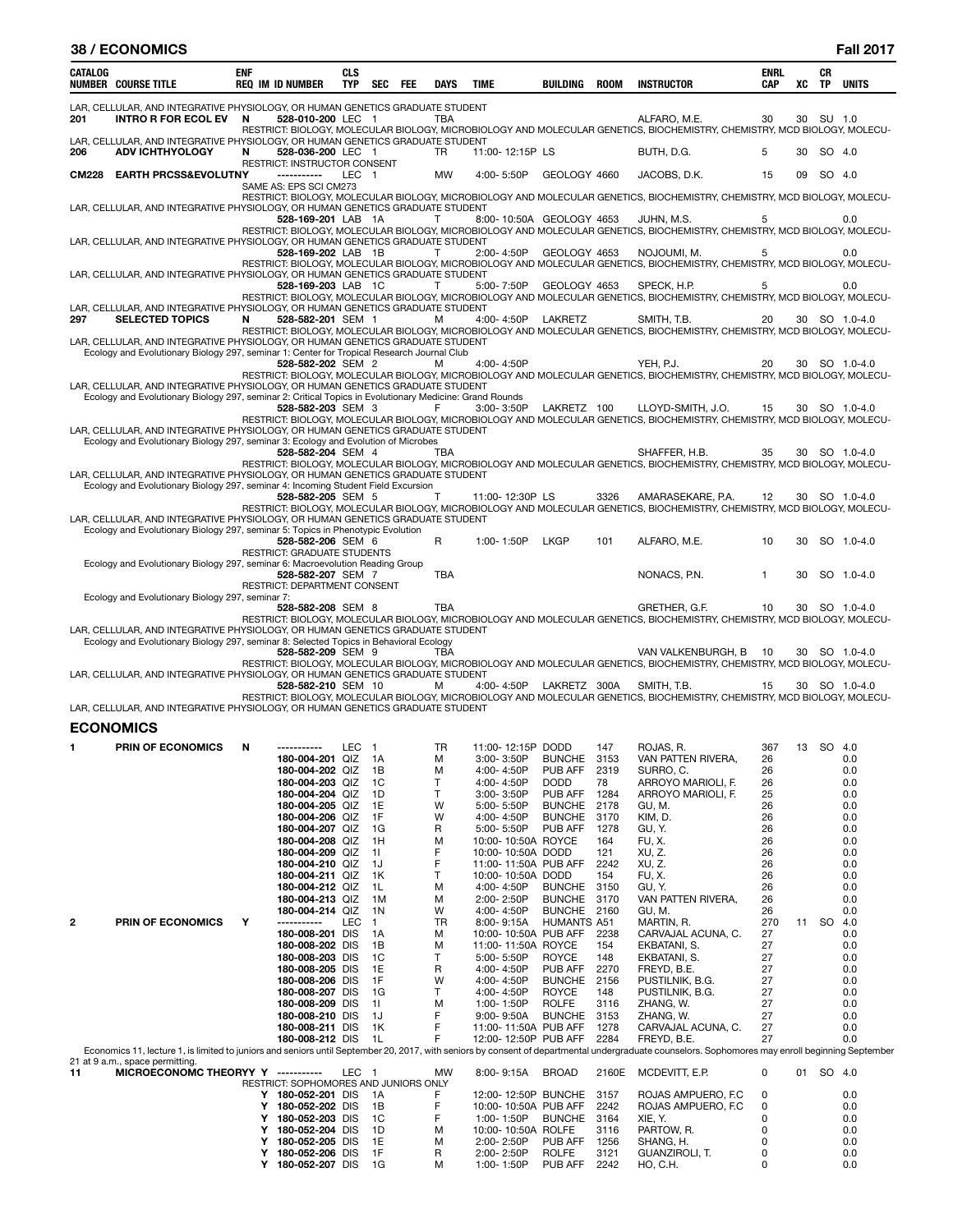|              | <b>38 / ECONOMICS</b>                                                                                                                                                                    |            |                                                         |                          |                |     |              |                                              |                                |              |                                                                                                                                                                                                  |                           |    |                 | <b>Fall 2017</b> |
|--------------|------------------------------------------------------------------------------------------------------------------------------------------------------------------------------------------|------------|---------------------------------------------------------|--------------------------|----------------|-----|--------------|----------------------------------------------|--------------------------------|--------------|--------------------------------------------------------------------------------------------------------------------------------------------------------------------------------------------------|---------------------------|----|-----------------|------------------|
| CATALOG      | <b>NUMBER COURSE TITLE</b>                                                                                                                                                               | <b>ENF</b> | <b>REQ IM ID NUMBER</b>                                 | <b>CLS</b><br><b>TYP</b> | SEC            | FEE | DAYS         | TIME                                         | BUILDING                       | <b>ROOM</b>  | <b>INSTRUCTOR</b>                                                                                                                                                                                | <b>ENRL</b><br><b>CAP</b> | XC | CR<br><b>TP</b> | <b>UNITS</b>     |
| 201          | LAR, CELLULAR, AND INTEGRATIVE PHYSIOLOGY, OR HUMAN GENETICS GRADUATE STUDENT<br><b>INTRO R FOR ECOL EV</b>                                                                              | N          | 528-010-200 LEC 1                                       |                          |                |     | TBA          |                                              |                                |              | ALFARO, M.E.<br>RESTRICT: BIOLOGY, MOLECULAR BIOLOGY, MICROBIOLOGY AND MOLECULAR GENETICS, BIOCHEMISTRY, CHEMISTRY, MCD BIOLOGY, MOLECU-                                                         | 30                        | 30 | SU 1.0          |                  |
| 206          | LAR, CELLULAR, AND INTEGRATIVE PHYSIOLOGY, OR HUMAN GENETICS GRADUATE STUDENT<br><b>ADV ICHTHYOLOGY</b>                                                                                  | N          | 528-036-200 LEC 1                                       |                          |                |     | TR           | 11:00-12:15P LS                              |                                |              | BUTH, D.G.                                                                                                                                                                                       | 5                         | 30 | SO 4.0          |                  |
| <b>CM228</b> | <b>EARTH PRCSS&amp;EVOLUTNY</b>                                                                                                                                                          |            | RESTRICT: INSTRUCTOR CONSENT<br>-----------             | LEC 1                    |                |     | <b>MW</b>    | 4:00-5:50P                                   | GEOLOGY 4660                   |              | JACOBS, D.K.                                                                                                                                                                                     | 15                        | 09 | SO 4.0          |                  |
|              |                                                                                                                                                                                          |            | SAME AS: EPS SCI CM273                                  |                          |                |     |              |                                              |                                |              | RESTRICT: BIOLOGY, MOLECULAR BIOLOGY, MICROBIOLOGY AND MOLECULAR GENETICS, BIOCHEMISTRY, CHEMISTRY, MCD BIOLOGY, MOLECU-                                                                         |                           |    |                 |                  |
|              | LAR, CELLULAR, AND INTEGRATIVE PHYSIOLOGY, OR HUMAN GENETICS GRADUATE STUDENT                                                                                                            |            | 528-169-201 LAB 1A                                      |                          |                |     | $\mathsf{T}$ | 8:00-10:50A GEOLOGY 4653                     |                                |              | JUHN, M.S.                                                                                                                                                                                       | 5                         |    |                 | 0.0              |
|              | LAR, CELLULAR, AND INTEGRATIVE PHYSIOLOGY, OR HUMAN GENETICS GRADUATE STUDENT                                                                                                            |            | 528-169-202 LAB 1B                                      |                          |                |     | T            | 2:00-4:50P                                   | GEOLOGY 4653                   |              | RESTRICT: BIOLOGY, MOLECULAR BIOLOGY, MICROBIOLOGY AND MOLECULAR GENETICS, BIOCHEMISTRY, CHEMISTRY, MCD BIOLOGY, MOLECU-<br>NOJOUMI, M.                                                          | 5                         |    |                 | 0.0              |
|              | LAR, CELLULAR, AND INTEGRATIVE PHYSIOLOGY, OR HUMAN GENETICS GRADUATE STUDENT                                                                                                            |            | 528-169-203 LAB 1C                                      |                          |                |     | T            | 5:00-7:50P                                   | GEOLOGY 4653                   |              | RESTRICT: BIOLOGY, MOLECULAR BIOLOGY, MICROBIOLOGY AND MOLECULAR GENETICS, BIOCHEMISTRY, CHEMISTRY, MCD BIOLOGY, MOLECU-<br>SPECK, H.P.                                                          | 5                         |    |                 | 0.0              |
|              | LAR, CELLULAR, AND INTEGRATIVE PHYSIOLOGY, OR HUMAN GENETICS GRADUATE STUDENT                                                                                                            |            |                                                         |                          |                |     |              |                                              |                                |              | RESTRICT: BIOLOGY, MOLECULAR BIOLOGY, MICROBIOLOGY AND MOLECULAR GENETICS, BIOCHEMISTRY, CHEMISTRY, MCD BIOLOGY, MOLECU-                                                                         |                           |    |                 |                  |
| 297          | <b>SELECTED TOPICS</b><br>LAR, CELLULAR, AND INTEGRATIVE PHYSIOLOGY, OR HUMAN GENETICS GRADUATE STUDENT                                                                                  | N          | 528-582-201 SEM 1                                       |                          |                |     | м            | 4:00-4:50P LAKRETZ                           |                                |              | SMITH, T.B.<br>RESTRICT: BIOLOGY, MOLECULAR BIOLOGY, MICROBIOLOGY AND MOLECULAR GENETICS, BIOCHEMISTRY, CHEMISTRY, MCD BIOLOGY, MOLECU-                                                          | 20                        |    |                 | 30 SO 1.0-4.0    |
|              | Ecology and Evolutionary Biology 297, seminar 1: Center for Tropical Research Journal Club                                                                                               |            | 528-582-202 SEM 2                                       |                          |                |     | м            | 4:00-4:50P                                   |                                |              | YEH, P.J.                                                                                                                                                                                        | 20                        | 30 |                 | SO 1.0-4.0       |
|              | LAR, CELLULAR, AND INTEGRATIVE PHYSIOLOGY, OR HUMAN GENETICS GRADUATE STUDENT<br>Ecology and Evolutionary Biology 297, seminar 2: Critical Topics in Evolutionary Medicine: Grand Rounds |            |                                                         |                          |                |     |              |                                              |                                |              | RESTRICT: BIOLOGY, MOLECULAR BIOLOGY, MICROBIOLOGY AND MOLECULAR GENETICS, BIOCHEMISTRY, CHEMISTRY, MCD BIOLOGY, MOLECU-                                                                         |                           |    |                 |                  |
|              |                                                                                                                                                                                          |            | 528-582-203 SEM 3                                       |                          |                |     | F.           | 3:00-3:50P LAKRETZ 100                       |                                |              | LLOYD-SMITH, J.O.<br>RESTRICT: BIOLOGY, MOLECULAR BIOLOGY, MICROBIOLOGY AND MOLECULAR GENETICS, BIOCHEMISTRY, CHEMISTRY, MCD BIOLOGY, MOLECU-                                                    | 15                        |    |                 | 30 SO 1.0-4.0    |
|              | LAR, CELLULAR, AND INTEGRATIVE PHYSIOLOGY, OR HUMAN GENETICS GRADUATE STUDENT<br>Ecology and Evolutionary Biology 297, seminar 3: Ecology and Evolution of Microbes                      |            |                                                         |                          |                |     |              |                                              |                                |              |                                                                                                                                                                                                  |                           |    |                 |                  |
|              | LAR, CELLULAR, AND INTEGRATIVE PHYSIOLOGY, OR HUMAN GENETICS GRADUATE STUDENT                                                                                                            |            | 528-582-204 SEM 4                                       |                          |                |     | TBA          |                                              |                                |              | SHAFFER, H.B.<br>RESTRICT: BIOLOGY, MOLECULAR BIOLOGY, MICROBIOLOGY AND MOLECULAR GENETICS, BIOCHEMISTRY, CHEMISTRY, MCD BIOLOGY, MOLECU-                                                        | 35                        |    |                 | 30 SO 1.0-4.0    |
|              | Ecology and Evolutionary Biology 297, seminar 4: Incoming Student Field Excursion                                                                                                        |            | 528-582-205 SEM 5                                       |                          |                |     | T            | 11:00-12:30P LS                              |                                | 3326         | AMARASEKARE, P.A.                                                                                                                                                                                | 12                        | 30 |                 | SO 1.0-4.0       |
|              | LAR, CELLULAR, AND INTEGRATIVE PHYSIOLOGY, OR HUMAN GENETICS GRADUATE STUDENT                                                                                                            |            |                                                         |                          |                |     |              |                                              |                                |              | RESTRICT: BIOLOGY, MOLECULAR BIOLOGY, MICROBIOLOGY AND MOLECULAR GENETICS, BIOCHEMISTRY, CHEMISTRY, MCD BIOLOGY, MOLECU-                                                                         |                           |    |                 |                  |
|              | Ecology and Evolutionary Biology 297, seminar 5: Topics in Phenotypic Evolution                                                                                                          |            | 528-582-206 SEM 6<br><b>RESTRICT: GRADUATE STUDENTS</b> |                          |                |     | R            | 1:00-1:50P                                   | <b>LKGP</b>                    | 101          | ALFARO, M.E.                                                                                                                                                                                     | 10                        | 30 |                 | SO 1.0-4.0       |
|              | Ecology and Evolutionary Biology 297, seminar 6: Macroevolution Reading Group                                                                                                            |            | 528-582-207 SEM 7                                       |                          |                |     | TBA          |                                              |                                |              | NONACS, P.N.                                                                                                                                                                                     | $\mathbf{1}$              | 30 |                 | SO 1.0-4.0       |
|              | Ecology and Evolutionary Biology 297, seminar 7:                                                                                                                                         |            | RESTRICT: DEPARTMENT CONSENT                            |                          |                |     |              |                                              |                                |              |                                                                                                                                                                                                  |                           |    |                 |                  |
|              | LAR, CELLULAR, AND INTEGRATIVE PHYSIOLOGY, OR HUMAN GENETICS GRADUATE STUDENT<br>Ecology and Evolutionary Biology 297, seminar 8: Selected Topics in Behavioral Ecology                  |            | 528-582-208 SEM 8                                       |                          |                |     | TBA          |                                              |                                |              | GRETHER, G.F.<br>RESTRICT: BIOLOGY, MOLECULAR BIOLOGY, MICROBIOLOGY AND MOLECULAR GENETICS, BIOCHEMISTRY, CHEMISTRY, MCD BIOLOGY, MOLECU-                                                        | 10                        | 30 |                 | SO 1.0-4.0       |
|              |                                                                                                                                                                                          |            | 528-582-209 SEM 9                                       |                          |                |     | TBA          |                                              |                                |              | VAN VALKENBURGH, B<br>RESTRICT: BIOLOGY, MOLECULAR BIOLOGY, MICROBIOLOGY AND MOLECULAR GENETICS, BIOCHEMISTRY, CHEMISTRY, MCD BIOLOGY, MOLECU-                                                   | 10                        |    |                 | 30 SO 1.0-4.0    |
|              | LAR, CELLULAR, AND INTEGRATIVE PHYSIOLOGY, OR HUMAN GENETICS GRADUATE STUDENT                                                                                                            |            | 528-582-210 SEM 10                                      |                          |                |     | м            | 4:00-4:50P LAKRETZ 300A                      |                                |              | SMITH, T.B.                                                                                                                                                                                      | 15                        | 30 |                 | SO 1.0-4.0       |
|              | LAR, CELLULAR, AND INTEGRATIVE PHYSIOLOGY, OR HUMAN GENETICS GRADUATE STUDENT                                                                                                            |            |                                                         |                          |                |     |              |                                              |                                |              | RESTRICT: BIOLOGY, MOLECULAR BIOLOGY, MICROBIOLOGY AND MOLECULAR GENETICS, BIOCHEMISTRY, CHEMISTRY, MCD BIOLOGY, MOLECU-                                                                         |                           |    |                 |                  |
|              | <b>ECONOMICS</b>                                                                                                                                                                         |            |                                                         |                          |                |     |              |                                              |                                |              |                                                                                                                                                                                                  |                           |    |                 |                  |
| 1            | PRIN OF ECONOMICS                                                                                                                                                                        | N          | -----------                                             | LEC                      | $\mathbf{1}$   |     | TR           | 11:00-12:15P DODD                            |                                | 147          | ROJAS, R.                                                                                                                                                                                        | 367                       | 13 | <b>SO</b>       | 4.0              |
|              |                                                                                                                                                                                          |            | 180-004-201 QIZ<br>180-004-202 QIZ                      |                          | 1A<br>1B       |     | М<br>М       | $3:00 - 3:50P$<br>4:00-4:50P                 | <b>BUNCHE</b><br>PUB AFF       | 3153<br>2319 | VAN PATTEN RIVERA,<br>SURRO, C.                                                                                                                                                                  | 26<br>26                  |    |                 | 0.0<br>0.0       |
|              |                                                                                                                                                                                          |            | 180-004-203 QIZ<br>180-004-204 QIZ                      |                          | 1C<br>1D       |     | т<br>T       | 4:00-4:50P<br>3:00-3:50P                     | <b>DODD</b><br>PUB AFF         | 78<br>1284   | ARROYO MARIOLI, F.<br>ARROYO MARIOLI, F.                                                                                                                                                         | 26<br>25                  |    |                 | 0.0<br>0.0       |
|              |                                                                                                                                                                                          |            | 180-004-205 QIZ                                         |                          | 1E             |     | W            | 5:00-5:50P                                   | <b>BUNCHE</b>                  | 2178         | GU, M.                                                                                                                                                                                           | 26                        |    |                 | 0.0              |
|              |                                                                                                                                                                                          |            | 180-004-206 QIZ                                         |                          | 1F             |     | W            | 4:00-4:50P                                   | <b>BUNCHE</b>                  | 3170         | KIM, D.                                                                                                                                                                                          | 26                        |    |                 | 0.0              |
|              |                                                                                                                                                                                          |            | 180-004-207 QIZ<br>180-004-208 QIZ                      |                          | 1G<br>1H       |     | R<br>М       | 5:00-5:50P<br>10:00-10:50A ROYCE             | PUB AFF                        | 1278<br>164  | GU, Y.<br>FU, X.                                                                                                                                                                                 | 26<br>26                  |    |                 | 0.0<br>0.0       |
|              |                                                                                                                                                                                          |            | 180-004-209 QIZ                                         |                          | 11             |     | F            | 10:00-10:50A DODD                            |                                | 121          | XU, Z.                                                                                                                                                                                           | 26                        |    |                 | 0.0              |
|              |                                                                                                                                                                                          |            | 180-004-210 QIZ<br>180-004-211 QIZ                      |                          | 1J<br>1K       |     | F<br>Т       | 11:00-11:50A PUB AFF<br>10:00-10:50A DODD    |                                | 2242<br>154  | XU, Z.<br>FU, X.                                                                                                                                                                                 | 26<br>26                  |    |                 | 0.0<br>0.0       |
|              |                                                                                                                                                                                          |            | 180-004-212 QIZ                                         |                          | 1L             |     | М            | 4:00-4:50P                                   | <b>BUNCHE</b>                  | 3150         | GU, Y.                                                                                                                                                                                           | 26                        |    |                 | 0.0              |
|              |                                                                                                                                                                                          |            | 180-004-213 QIZ<br>180-004-214 QIZ                      |                          | 1M<br>1N       |     | М<br>W       | 2:00-2:50P<br>4:00-4:50P                     | <b>BUNCHE</b><br><b>BUNCHE</b> | 3170<br>2160 | VAN PATTEN RIVERA,<br>GU, M.                                                                                                                                                                     | 26<br>26                  |    |                 | 0.0<br>0.0       |
| $\mathbf{2}$ | <b>PRIN OF ECONOMICS</b>                                                                                                                                                                 | Υ          | -----------                                             | LEC                      | $\overline{1}$ |     | TR           | $8:00 - 9:15A$                               | <b>HUMANTS A51</b>             |              | MARTIN, R.                                                                                                                                                                                       | 270                       | 11 | SO              | 4.0              |
|              |                                                                                                                                                                                          |            | 180-008-201 DIS<br>180-008-202 DIS                      |                          | 1A             |     | М            | 10:00-10:50A PUB AFF<br>11:00-11:50A ROYCE   |                                | 2238<br>154  | CARVAJAL ACUNA, C.<br>EKBATANI, S.                                                                                                                                                               | 27<br>27                  |    |                 | 0.0<br>0.0       |
|              |                                                                                                                                                                                          |            | 180-008-203 DIS                                         |                          | 1B<br>1C       |     | М<br>т       | 5:00-5:50P                                   | <b>ROYCE</b>                   | 148          | EKBATANI, S.                                                                                                                                                                                     | 27                        |    |                 | 0.0              |
|              |                                                                                                                                                                                          |            | 180-008-205 DIS                                         |                          | 1E             |     | R            | 4:00-4:50P                                   | PUB AFF                        | 2270         | FREYD, B.E.                                                                                                                                                                                      | 27                        |    |                 | 0.0              |
|              |                                                                                                                                                                                          |            | 180-008-206 DIS<br>180-008-207 DIS                      |                          | 1F<br>1G       |     | W<br>т       | 4:00-4:50P<br>4:00-4:50P                     | <b>BUNCHE</b><br><b>ROYCE</b>  | 2156<br>148  | PUSTILNIK, B.G.<br>PUSTILNIK, B.G.                                                                                                                                                               | 27<br>27                  |    |                 | 0.0<br>0.0       |
|              |                                                                                                                                                                                          |            | 180-008-209 DIS                                         |                          | 11             |     | М            | 1:00-1:50P                                   | <b>ROLFE</b>                   | 3116         | ZHANG, W.                                                                                                                                                                                        | 27                        |    |                 | 0.0              |
|              |                                                                                                                                                                                          |            | 180-008-210 DIS                                         |                          | 1J             |     | F            | $9:00 - 9:50A$                               | <b>BUNCHE</b>                  | 3153         | ZHANG, W.                                                                                                                                                                                        | 27                        |    |                 | 0.0              |
|              |                                                                                                                                                                                          |            | 180-008-211 DIS<br>180-008-212 DIS                      |                          | 1K<br>1L       |     | F<br>F       | 11:00-11:50A PUB AFF<br>12:00-12:50P PUB AFF |                                | 1278<br>2284 | CARVAJAL ACUNA, C.<br>FREYD, B.E.                                                                                                                                                                | 27<br>27                  |    |                 | 0.0<br>0.0       |
|              |                                                                                                                                                                                          |            |                                                         |                          |                |     |              |                                              |                                |              | Economics 11, lecture 1, is limited to juniors and seniors until September 20, 2017, with seniors by consent of departmental undergraduate counselors. Sophomores may enroll beginning September |                           |    |                 |                  |
| 11           | 21 at 9 a.m., space permitting.<br>MICROECONOMC THEORYY Y -----------                                                                                                                    |            |                                                         | LEC <sub>1</sub>         |                |     | MW           | 8:00-9:15A                                   | <b>BROAD</b>                   | 2160E        | MCDEVITT, E.P.                                                                                                                                                                                   | 0                         |    | 01 SO 4.0       |                  |
|              |                                                                                                                                                                                          |            | RESTRICT: SOPHOMORES AND JUNIORS ONLY                   |                          |                |     |              |                                              |                                |              |                                                                                                                                                                                                  |                           |    |                 |                  |
|              |                                                                                                                                                                                          | Y          | Y 180-052-201 DIS<br>180-052-202 DIS                    |                          | 1A<br>1B       |     | F<br>F       | 12:00-12:50P BUNCHE<br>10:00-10:50A PUB AFF  |                                | 3157<br>2242 | ROJAS AMPUERO, F.C.<br>ROJAS AMPUERO, F.C.                                                                                                                                                       | 0<br>0                    |    |                 | 0.0<br>0.0       |
|              |                                                                                                                                                                                          | Y          | 180-052-203 DIS                                         |                          | 1C             |     | F            | 1:00-1:50P                                   | <b>BUNCHE</b>                  | 3164         | XIE, Y.                                                                                                                                                                                          | 0                         |    |                 | 0.0              |
|              |                                                                                                                                                                                          | Y<br>Y     | 180-052-204 DIS<br>180-052-205 DIS                      |                          | 1D<br>1E       |     | М<br>М       | 10:00-10:50A ROLFE<br>2:00-2:50P             | PUB AFF                        | 3116<br>1256 | PARTOW, R.<br>SHANG, H.                                                                                                                                                                          | 0<br>0                    |    |                 | 0.0<br>0.0       |
|              |                                                                                                                                                                                          | Y          | 180-052-206 DIS<br>Y 180-052-207 DIS                    |                          | 1F<br>1G       |     | R<br>М       | 2:00-2:50P<br>1:00-1:50P                     | <b>ROLFE</b><br>PUB AFF        | 3121<br>2242 | GUANZIROLI, T.<br>HO, C.H.                                                                                                                                                                       | 0<br>0                    |    |                 | 0.0<br>0.0       |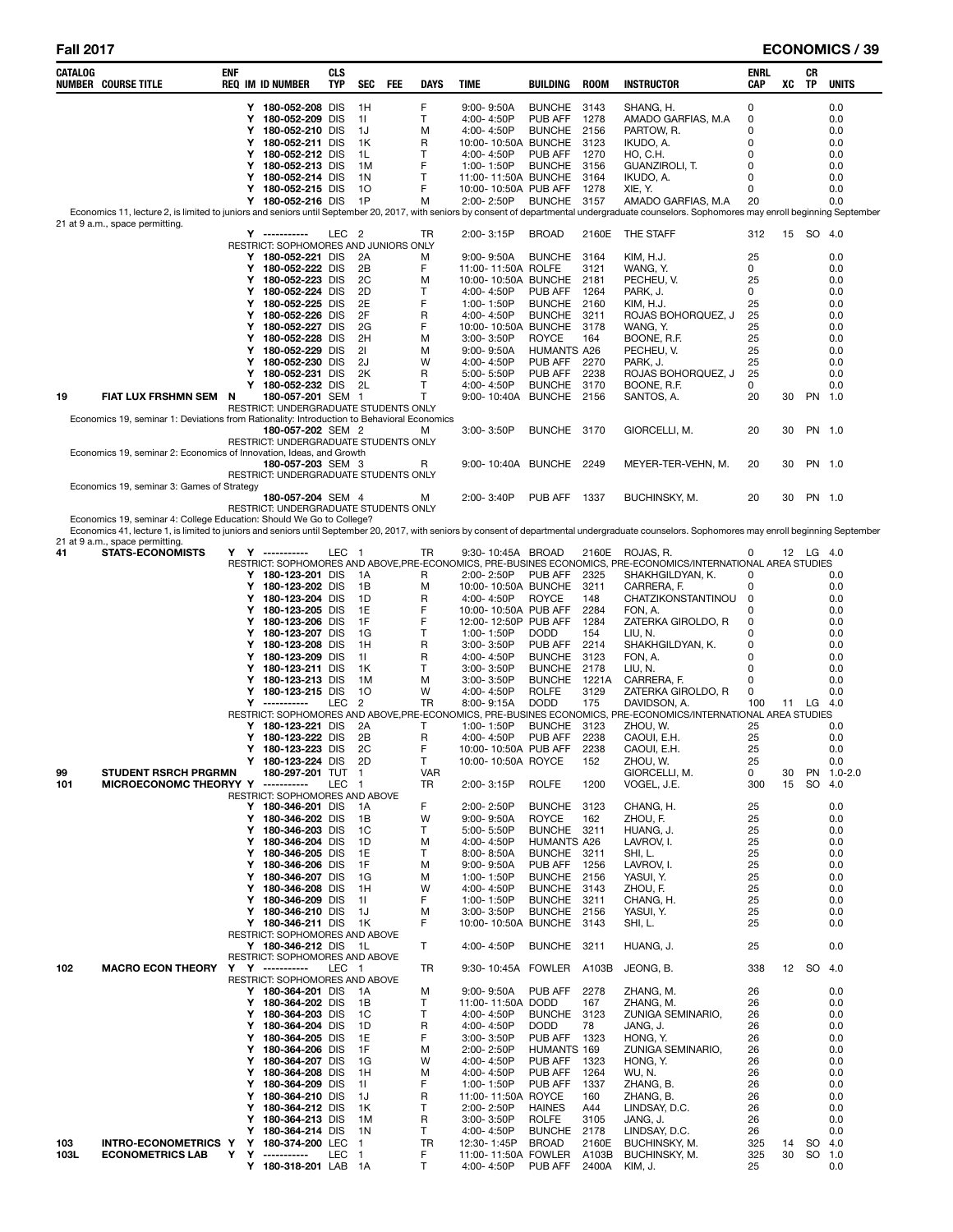| CATALOG   | <b>NUMBER COURSE TITLE</b>                                                                                                                                                                       | enf    | <b>REQ IM ID NUMBER</b>                                | <b>CLS</b><br>TYP | SEC            | FEE | DAYS             | TIME                                         | BUILDING                            | ROOM           | <b>INSTRUCTOR</b>                                                                                                           | ENRL<br>CAP | XC       | CR<br>TP  | <b>UNITS</b>         |
|-----------|--------------------------------------------------------------------------------------------------------------------------------------------------------------------------------------------------|--------|--------------------------------------------------------|-------------------|----------------|-----|------------------|----------------------------------------------|-------------------------------------|----------------|-----------------------------------------------------------------------------------------------------------------------------|-------------|----------|-----------|----------------------|
|           |                                                                                                                                                                                                  |        | Y 180-052-208 DIS                                      |                   | 1H             |     | F                | $9:00 - 9:50A$                               | <b>BUNCHE</b>                       | 3143           | SHANG, H.                                                                                                                   | 0           |          |           | 0.0                  |
|           |                                                                                                                                                                                                  |        | Y 180-052-209 DIS                                      |                   | 11             |     | T                | 4:00-4:50P                                   | PUB AFF                             | 1278           | AMADO GARFIAS, M.A.                                                                                                         | 0           |          |           | 0.0                  |
|           |                                                                                                                                                                                                  | Y<br>Y | 180-052-210 DIS                                        |                   | 1J             |     | M                | 4:00-4:50P                                   | <b>BUNCHE</b>                       | 2156           | PARTOW, R.                                                                                                                  | 0<br>0      |          |           | 0.0                  |
|           |                                                                                                                                                                                                  | Y      | 180-052-211 DIS<br>180-052-212 DIS                     |                   | 1K<br>1L       |     | R<br>Т           | 10:00-10:50A BUNCHE<br>4:00-4:50P            | PUB AFF                             | 3123<br>1270   | IKUDO, A.<br>HO, C.H.                                                                                                       | $\Omega$    |          |           | 0.0<br>0.0           |
|           |                                                                                                                                                                                                  | Y      | 180-052-213 DIS                                        |                   | 1M             |     | F                | 1:00-1:50P                                   | <b>BUNCHE</b>                       | 3156           | GUANZIROLI, T.                                                                                                              | 0           |          |           | 0.0                  |
|           |                                                                                                                                                                                                  | Y      | 180-052-214 DIS                                        |                   | 1N             |     | т                | 11:00-11:50A BUNCHE                          |                                     | 3164           | IKUDO, A.                                                                                                                   | 0           |          |           | 0.0                  |
|           |                                                                                                                                                                                                  | Y      | 180-052-215 DIS                                        |                   | 10             |     | F                | 10:00-10:50A PUB AFF                         |                                     | 1278           | XIE, Y.                                                                                                                     | $\Omega$    |          |           | 0.0                  |
|           | Economics 11, lecture 2, is limited to juniors and seniors until September 20, 2017, with seniors by consent of departmental undergraduate counselors. Sophomores may enroll beginning September | Y.     | 180-052-216 DIS                                        |                   | -1P            |     | M                | 2:00-2:50P                                   | <b>BUNCHE</b>                       | 3157           | AMADO GARFIAS, M.A.                                                                                                         | 20          |          |           | 0.0                  |
|           | 21 at 9 a.m., space permitting.                                                                                                                                                                  |        |                                                        |                   |                |     |                  |                                              |                                     |                |                                                                                                                             |             |          |           |                      |
|           |                                                                                                                                                                                                  |        | Y -----------<br>RESTRICT: SOPHOMORES AND JUNIORS ONLY | LEC <sub>2</sub>  |                |     | TR               | 2:00-3:15P                                   | <b>BROAD</b>                        | 2160E          | THE STAFF                                                                                                                   | 312         |          | 15 SO 4.0 |                      |
|           |                                                                                                                                                                                                  |        | Y 180-052-221 DIS                                      |                   | 2A             |     | M                | $9:00 - 9:50A$                               | <b>BUNCHE</b>                       | 3164           | KIM, H.J.                                                                                                                   | 25          |          |           | 0.0                  |
|           |                                                                                                                                                                                                  |        | Y 180-052-222 DIS                                      |                   | 2Β             |     | F                | 11:00-11:50A ROLFE                           |                                     | 3121           | WANG, Y.                                                                                                                    | 0           |          |           | 0.0                  |
|           |                                                                                                                                                                                                  | Y      | 180-052-223 DIS                                        |                   | 2C             |     | M                | 10:00-10:50A BUNCHE                          |                                     | 2181           | PECHEU, V.                                                                                                                  | 25          |          |           | 0.0                  |
|           |                                                                                                                                                                                                  | Y<br>Y | 180-052-224 DIS<br>180-052-225 DIS                     |                   | 2D<br>2E       |     | т<br>F           | 4:00-4:50P<br>1:00-1:50P                     | PUB AFF<br><b>BUNCHE</b>            | 1264<br>2160   | PARK, J.<br>KIM, H.J.                                                                                                       | 0<br>25     |          |           | 0.0<br>0.0           |
|           |                                                                                                                                                                                                  | Y      | 180-052-226 DIS                                        |                   | 2F             |     | R                | 4:00-4:50P                                   | <b>BUNCHE</b>                       | 3211           | ROJAS BOHORQUEZ, J                                                                                                          | 25          |          |           | 0.0                  |
|           |                                                                                                                                                                                                  | Y      | 180-052-227 DIS                                        |                   | 2G             |     | F                | 10:00-10:50A BUNCHE                          |                                     | 3178           | WANG, Y.                                                                                                                    | 25          |          |           | 0.0                  |
|           |                                                                                                                                                                                                  | Y      | 180-052-228 DIS                                        |                   | 2H             |     | M                | 3:00-3:50P                                   | <b>ROYCE</b>                        | 164            | BOONE, R.F.                                                                                                                 | 25          |          |           | 0.0                  |
|           |                                                                                                                                                                                                  | Y<br>Y | 180-052-229 DIS<br>180-052-230 DIS                     |                   | 21<br>2J       |     | M<br>W           | $9:00 - 9:50A$<br>4:00-4:50P                 | <b>HUMANTS A26</b><br>PUB AFF       | 2270           | PECHEU, V.<br>PARK, J.                                                                                                      | 25<br>25    |          |           | 0.0<br>0.0           |
|           |                                                                                                                                                                                                  | Y      | 180-052-231 DIS                                        |                   | 2K             |     | R                | 5:00-5:50P                                   | PUB AFF                             | 2238           | ROJAS BOHORQUEZ, J                                                                                                          | 25          |          |           | 0.0                  |
|           |                                                                                                                                                                                                  | Y      | 180-052-232 DIS                                        |                   | 2L             |     | т                | 4:00-4:50P                                   | <b>BUNCHE</b>                       | 3170           | BOONE, R.F.                                                                                                                 | 0           |          |           | 0.0                  |
| 19        | FIAT LUX FRSHMN SEM N                                                                                                                                                                            |        | 180-057-201 SEM 1                                      |                   |                |     | T                | 9:00-10:40A BUNCHE 2156                      |                                     |                | SANTOS, A.                                                                                                                  | 20          | 30       | PN 1.0    |                      |
|           | Economics 19, seminar 1: Deviations from Rationality: Introduction to Behavioral Economics                                                                                                       |        | RESTRICT: UNDERGRADUATE STUDENTS ONLY                  |                   |                |     |                  |                                              |                                     |                |                                                                                                                             |             |          |           |                      |
|           |                                                                                                                                                                                                  |        | 180-057-202 SEM 2                                      |                   |                |     | м                | 3:00-3:50P                                   | BUNCHE 3170                         |                | GIORCELLI, M.                                                                                                               | 20          | 30       |           | PN 1.0               |
|           |                                                                                                                                                                                                  |        | RESTRICT: UNDERGRADUATE STUDENTS ONLY                  |                   |                |     |                  |                                              |                                     |                |                                                                                                                             |             |          |           |                      |
|           | Economics 19, seminar 2: Economics of Innovation, Ideas, and Growth                                                                                                                              |        | 180-057-203 SEM 3                                      |                   |                |     |                  | 9:00-10:40A BUNCHE 2249                      |                                     |                |                                                                                                                             |             |          |           | PN 1.0               |
|           |                                                                                                                                                                                                  |        | RESTRICT: UNDERGRADUATE STUDENTS ONLY                  |                   |                |     | R                |                                              |                                     |                | MEYER-TER-VEHN, M.                                                                                                          | 20          | 30       |           |                      |
|           | Economics 19, seminar 3: Games of Strategy                                                                                                                                                       |        |                                                        |                   |                |     |                  |                                              |                                     |                |                                                                                                                             |             |          |           |                      |
|           |                                                                                                                                                                                                  |        | 180-057-204 SEM 4                                      |                   |                |     | м                | 2:00-3:40P                                   | PUB AFF                             | - 1337         | BUCHINSKY, M.                                                                                                               | 20          | 30       |           | PN 1.0               |
|           | Economics 19, seminar 4: College Education: Should We Go to College?                                                                                                                             |        | RESTRICT: UNDERGRADUATE STUDENTS ONLY                  |                   |                |     |                  |                                              |                                     |                |                                                                                                                             |             |          |           |                      |
|           | Economics 41, lecture 1, is limited to juniors and seniors until September 20, 2017, with seniors by consent of departmental undergraduate counselors. Sophomores may enroll beginning September |        |                                                        |                   |                |     |                  |                                              |                                     |                |                                                                                                                             |             |          |           |                      |
|           | 21 at 9 a.m., space permitting.                                                                                                                                                                  |        |                                                        |                   |                |     |                  |                                              |                                     |                |                                                                                                                             |             |          |           |                      |
| 41        | <b>STATS-ECONOMISTS</b>                                                                                                                                                                          |        | Y Y ----------                                         | LEC 1             |                |     | TR               | 9:30-10:45A BROAD                            |                                     | 2160E          | ROJAS, R.<br>RESTRICT: SOPHOMORES AND ABOVE, PRE-ECONOMICS, PRE-BUSINES ECONOMICS, PRE-ECONOMICS/INTERNATIONAL AREA STUDIES | 0           |          | 12 LG 4.0 |                      |
|           |                                                                                                                                                                                                  |        | Y 180-123-201 DIS                                      |                   | - 1 A          |     | R                | $2:00 - 2:50P$                               | PUB AFF                             | 2325           | SHAKHGILDYAN, K.                                                                                                            | 0           |          |           | 0.0                  |
|           |                                                                                                                                                                                                  |        | Y 180-123-202 DIS                                      |                   | 1B             |     | M                | 10:00-10:50A BUNCHE                          |                                     | 3211           | CARRERA, F.                                                                                                                 | 0           |          |           | 0.0                  |
|           |                                                                                                                                                                                                  | Υ      | 180-123-204 DIS                                        |                   | 1D             |     | R                | 4:00-4:50P                                   | <b>ROYCE</b>                        | 148            | CHATZIKONSTANTINOU                                                                                                          | 0           |          |           | 0.0                  |
|           |                                                                                                                                                                                                  | Y<br>Y | 180-123-205 DIS<br>180-123-206 DIS                     |                   | 1E<br>1F       |     | F<br>F           | 10:00-10:50A PUB AFF<br>12:00-12:50P PUB AFF |                                     | 2284<br>1284   | FON, A.<br>ZATERKA GIROLDO, R                                                                                               | 0<br>0      |          |           | 0.0<br>0.0           |
|           |                                                                                                                                                                                                  | Y      | 180-123-207 DIS                                        |                   | 1G             |     | Т                | 1:00-1:50P                                   | <b>DODD</b>                         | 154            | LIU, N.                                                                                                                     | 0           |          |           | 0.0                  |
|           |                                                                                                                                                                                                  | Y      | 180-123-208 DIS                                        |                   | 1H             |     | R                | $3:00 - 3:50P$                               | PUB AFF                             | 2214           | SHAKHGILDYAN, K.                                                                                                            | 0           |          |           | 0.0                  |
|           |                                                                                                                                                                                                  | Υ      | 180-123-209 DIS<br>180-123-211 DIS                     |                   | 11             |     | R<br>T           | 4:00-4:50P                                   | <b>BUNCHE</b>                       | 3123           | FON, A.<br>LIU. N.                                                                                                          | 0<br>0      |          |           | 0.0                  |
|           |                                                                                                                                                                                                  | Y<br>Y | 180-123-213 DIS                                        |                   | 1K<br>1M       |     | M                | 3:00-3:50P<br>3:00-3:50P                     | <b>BUNCHE</b><br><b>BUNCHE</b>      | 2178<br>1221A  | CARRERA, F.                                                                                                                 | 0           |          |           | 0.0<br>0.0           |
|           |                                                                                                                                                                                                  | Y      | 180-123-215 DIS                                        |                   | 10             |     | W                | 4:00-4:50P                                   | <b>ROLFE</b>                        | 3129           | ZATERKA GIROLDO, R                                                                                                          | 0           |          |           | 0.0                  |
|           |                                                                                                                                                                                                  | Y      | ------------                                           | LEC               | $\overline{2}$ |     | TR               | 8:00-9:15A                                   | <b>DODD</b>                         | 175            | DAVIDSON, A.                                                                                                                | 100         |          | 11 LG     | - 4.0                |
|           |                                                                                                                                                                                                  |        | Y 180-123-221 DIS                                      |                   | 2A             |     | Т                | 1:00-1:50P                                   | <b>BUNCHE</b>                       | 3123           | RESTRICT: SOPHOMORES AND ABOVE, PRE-ECONOMICS, PRE-BUSINES ECONOMICS, PRE-ECONOMICS/INTERNATIONAL AREA STUDIES<br>ZHOU, W.  | 25          |          |           | 0.0                  |
|           |                                                                                                                                                                                                  | Y      | 180-123-222 DIS                                        |                   | 2Β             |     | R                | 4:00-4:50P                                   | PUB AFF                             | 2238           | CAOUI, E.H.                                                                                                                 | 25          |          |           | 0.0                  |
|           |                                                                                                                                                                                                  | Y      | 180-123-223 DIS                                        |                   | 2C             |     | F                | 10:00-10:50A PUB AFF                         |                                     | 2238           | CAOUI, E.H.                                                                                                                 | 25          |          |           | 0.0                  |
|           |                                                                                                                                                                                                  |        | Y 180-123-224 DIS                                      |                   | 2D             |     | Т                | 10:00-10:50A ROYCE                           |                                     | 152            | ZHOU, W.                                                                                                                    | 25          |          |           | 0.0                  |
| 99<br>101 | <b>STUDENT RSRCH PRGRMN</b><br>MICROECONOMC THEORYY Y -----------                                                                                                                                |        | 180-297-201 TUT 1                                      | LEC 1             |                |     | <b>VAR</b><br>TR | 2:00-3:15P                                   | <b>ROLFE</b>                        | 1200           | GIORCELLI, M.<br>VOGEL, J.E.                                                                                                | 0<br>300    | 30<br>15 |           | PN 1.0-2.0<br>SO 4.0 |
|           |                                                                                                                                                                                                  |        | RESTRICT: SOPHOMORES AND ABOVE                         |                   |                |     |                  |                                              |                                     |                |                                                                                                                             |             |          |           |                      |
|           |                                                                                                                                                                                                  |        | Y 180-346-201 DIS                                      |                   | - 1 A          |     | F                | 2:00-2:50P                                   | <b>BUNCHE</b>                       | 3123           | CHANG, H.                                                                                                                   | 25          |          |           | 0.0                  |
|           |                                                                                                                                                                                                  |        | Y 180-346-202 DIS                                      |                   | 1B             |     | W                | $9:00 - 9:50A$                               | <b>ROYCE</b>                        | 162            | ZHOU, F.                                                                                                                    | 25          |          |           | 0.0                  |
|           |                                                                                                                                                                                                  | Y      | 180-346-203 DIS<br>Y 180-346-204 DIS                   |                   | - 1 C<br>1D    |     | T<br>M           | 5:00-5:50P<br>4:00-4:50P                     | <b>BUNCHE</b><br><b>HUMANTS A26</b> | 3211           | HUANG, J.<br>LAVROV. I.                                                                                                     | 25<br>25    |          |           | 0.0<br>0.0           |
|           |                                                                                                                                                                                                  |        | Y 180-346-205 DIS                                      |                   | 1E             |     | Τ                | 8:00-8:50A                                   | <b>BUNCHE</b>                       | 3211           | SHI, L.                                                                                                                     | 25          |          |           | 0.0                  |
|           |                                                                                                                                                                                                  |        | Y 180-346-206 DIS                                      |                   | 1F             |     | M                | $9:00 - 9:50A$                               | PUB AFF                             | 1256           | LAVROV, I.                                                                                                                  | 25          |          |           | 0.0                  |
|           |                                                                                                                                                                                                  | Y      | 180-346-207 DIS                                        |                   | 1G             |     | м                | 1:00-1:50P                                   | <b>BUNCHE</b>                       | 2156           | YASUI. Y.                                                                                                                   | 25          |          |           | 0.0                  |
|           |                                                                                                                                                                                                  |        | Y 180-346-208 DIS<br>Y 180-346-209 DIS                 |                   | - 1H<br>11     |     | W<br>F           | 4:00-4:50P<br>1:00-1:50P                     | <b>BUNCHE</b><br><b>BUNCHE</b>      | 3143<br>3211   | ZHOU, F.<br>CHANG. H.                                                                                                       | 25<br>25    |          |           | 0.0<br>0.0           |
|           |                                                                                                                                                                                                  |        | Y 180-346-210 DIS                                      |                   | - 1J           |     | M                | $3:00 - 3:50P$                               | <b>BUNCHE</b>                       | 2156           | YASUI, Y.                                                                                                                   | 25          |          |           | 0.0                  |
|           |                                                                                                                                                                                                  |        | Y 180-346-211 DIS                                      |                   | - 1K           |     | F                | 10:00-10:50A BUNCHE                          |                                     | 3143           | SHI, L.                                                                                                                     | 25          |          |           | 0.0                  |
|           |                                                                                                                                                                                                  |        | RESTRICT: SOPHOMORES AND ABOVE<br>Y 180-346-212 DIS 1L |                   |                |     | T                | 4:00-4:50P                                   | BUNCHE 3211                         |                | HUANG, J.                                                                                                                   | 25          |          |           | 0.0                  |
|           |                                                                                                                                                                                                  |        | RESTRICT: SOPHOMORES AND ABOVE                         |                   |                |     |                  |                                              |                                     |                |                                                                                                                             |             |          |           |                      |
| 102       | <b>MACRO ECON THEORY</b>                                                                                                                                                                         |        | Y Y ----------                                         | LEC 1             |                |     | TR               | 9:30-10:45A FOWLER A103B                     |                                     |                | JEONG, B.                                                                                                                   | 338         |          | 12 SO 4.0 |                      |
|           |                                                                                                                                                                                                  |        | RESTRICT: SOPHOMORES AND ABOVE                         |                   |                |     |                  |                                              |                                     |                |                                                                                                                             |             |          |           |                      |
|           |                                                                                                                                                                                                  |        | Y 180-364-201 DIS<br>Y 180-364-202 DIS                 |                   | - 1A<br>- 1 B  |     | M<br>т           | $9:00 - 9:50A$<br>11:00-11:50A DODD          | PUB AFF                             | 2278<br>167    | ZHANG, M.<br>ZHANG, M.                                                                                                      | 26<br>26    |          |           | 0.0<br>0.0           |
|           |                                                                                                                                                                                                  |        | Y 180-364-203 DIS                                      |                   | 1C             |     | Τ                | 4:00-4:50P                                   | <b>BUNCHE</b>                       | 3123           | ZUNIGA SEMINARIO,                                                                                                           | 26          |          |           | 0.0                  |
|           |                                                                                                                                                                                                  | Y      | 180-364-204 DIS                                        |                   | 1D             |     | R                | 4:00-4:50P                                   | <b>DODD</b>                         | 78             | JANG, J.                                                                                                                    | 26          |          |           | 0.0                  |
|           |                                                                                                                                                                                                  |        | Y 180-364-205 DIS<br>Y 180-364-206 DIS                 |                   | 1E<br>1F       |     | F<br>M           | $3:00 - 3:50P$                               | PUB AFF<br>HUMANTS 169              | 1323           | HONG, Y.                                                                                                                    | 26<br>26    |          |           | 0.0<br>0.0           |
|           |                                                                                                                                                                                                  |        | Y 180-364-207 DIS                                      |                   | 1G             |     | W                | 2:00-2:50P<br>4:00-4:50P                     | PUB AFF                             | 1323           | ZUNIGA SEMINARIO,<br>HONG, Y.                                                                                               | 26          |          |           | 0.0                  |
|           |                                                                                                                                                                                                  | Y      | 180-364-208 DIS                                        |                   | 1H             |     | м                | 4:00-4:50P                                   | PUB AFF                             | 1264           | WU, N.                                                                                                                      | 26          |          |           | 0.0                  |
|           |                                                                                                                                                                                                  | Y      | 180-364-209 DIS                                        |                   | 11             |     | F                | 1:00-1:50P                                   | PUB AFF                             | 1337           | ZHANG, B.                                                                                                                   | 26          |          |           | 0.0                  |
|           |                                                                                                                                                                                                  | Y<br>Y | 180-364-210 DIS<br>180-364-212 DIS                     |                   | 1J<br>1K       |     | R<br>Τ           | 11:00-11:50A ROYCE<br>2:00-2:50P             | <b>HAINES</b>                       | 160<br>A44     | ZHANG, B.<br>LINDSAY, D.C.                                                                                                  | 26<br>26    |          |           | 0.0<br>0.0           |
|           |                                                                                                                                                                                                  | Y      | 180-364-213 DIS                                        |                   | 1M             |     | R                | $3:00 - 3:50P$                               | <b>ROLFE</b>                        | 3105           | JANG, J.                                                                                                                    | 26          |          |           | 0.0                  |
|           |                                                                                                                                                                                                  | Y      | 180-364-214 DIS                                        |                   | 1N             |     | T                | 4:00-4:50P                                   | <b>BUNCHE</b>                       | 2178           | LINDSAY, D.C.                                                                                                               | 26          |          |           | 0.0                  |
| 103       | INTRO-ECONOMETRICS Y                                                                                                                                                                             | Y      | 180-374-200 LEC                                        |                   | $\overline{1}$ |     | TR               | 12:30-1:45P                                  | <b>BROAD</b>                        | 2160E          | BUCHINSKY, M.                                                                                                               | 325         | 14       | SO.       | 4.0                  |
| 103L      | <b>ECONOMETRICS LAB</b>                                                                                                                                                                          | Y<br>Y | -----------<br>Y 180-318-201 LAB 1A                    | LEC 1             |                |     | F<br>T           | 11:00-11:50A FOWLER<br>4:00-4:50P            | PUB AFF                             | A103B<br>2400A | BUCHINSKY, M.<br>KIM, J.                                                                                                    | 325<br>25   | 30       | -SO       | 1.0<br>0.0           |
|           |                                                                                                                                                                                                  |        |                                                        |                   |                |     |                  |                                              |                                     |                |                                                                                                                             |             |          |           |                      |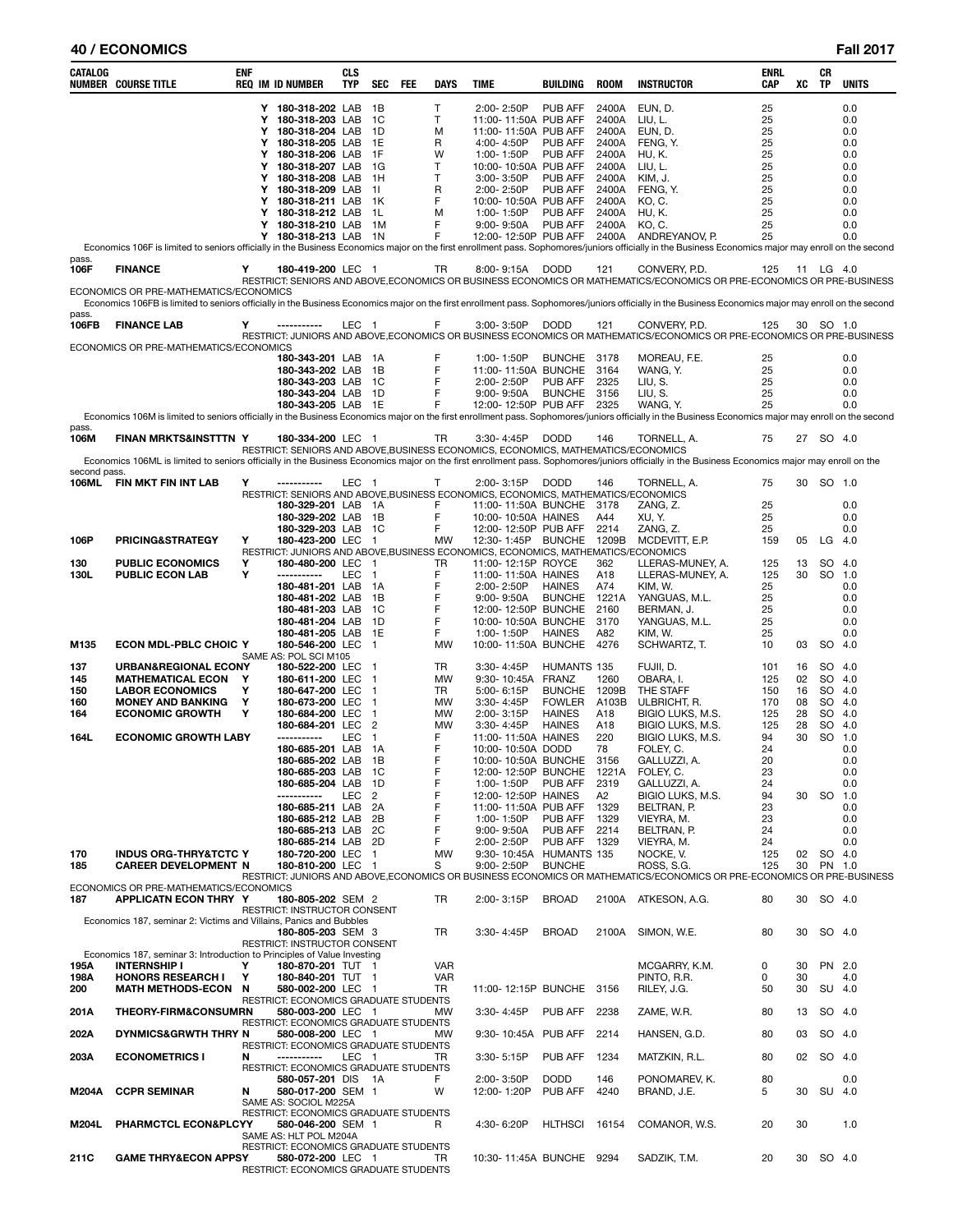| 40 / ECONOMICS | <b>Fall 2017</b> |
|----------------|------------------|
|                |                  |

| CATALOG       | NUMBER COURSE TITLE                                                     | ENF    | <b>REQ IM ID NUMBER</b>                                                                                | <b>CLS</b><br><b>TYP</b> | <b>SEC</b>                     | FEE | DAYS                   | <b>TIME</b>                            | <b>BUILDING</b>                | <b>ROOM</b>            | <b>INSTRUCTOR</b>                                                                                                                                                                                     | <b>ENRL</b><br><b>CAP</b> | XC       | CR<br><b>TP</b> | <b>UNITS</b> |
|---------------|-------------------------------------------------------------------------|--------|--------------------------------------------------------------------------------------------------------|--------------------------|--------------------------------|-----|------------------------|----------------------------------------|--------------------------------|------------------------|-------------------------------------------------------------------------------------------------------------------------------------------------------------------------------------------------------|---------------------------|----------|-----------------|--------------|
|               |                                                                         |        | Y 180-318-202 LAB                                                                                      |                          | 1B                             |     | T                      | 2:00-2:50P                             | PUB AFF                        | 2400A                  | EUN, D.                                                                                                                                                                                               | 25                        |          |                 | 0.0          |
|               |                                                                         | Y      | 180-318-203 LAB                                                                                        |                          | - 1C                           |     | т                      | 11:00-11:50A PUB AFF                   |                                | 2400A                  | LIU, L.                                                                                                                                                                                               | 25                        |          |                 | 0.0          |
|               |                                                                         | Y      | 180-318-204 LAB                                                                                        |                          | 1D                             |     | M                      | 11:00-11:50A PUB AFF                   |                                | 2400A                  | EUN, D.                                                                                                                                                                                               | 25                        |          |                 | 0.0          |
|               |                                                                         |        | Y 180-318-205 LAB                                                                                      |                          | 1E                             |     | R                      | 4:00-4:50P                             | PUB AFF                        | 2400A                  | FENG, Y.                                                                                                                                                                                              | 25                        |          |                 | 0.0          |
|               |                                                                         | Y      | 180-318-206 LAB                                                                                        |                          | 1F                             |     | W<br>T                 | 1:00-1:50P                             | PUB AFF                        | 2400A                  | HU, K.                                                                                                                                                                                                | 25                        |          |                 | 0.0          |
|               |                                                                         | Y      | Y 180-318-207 LAB<br>180-318-208 LAB                                                                   |                          | - 1G<br>- 1H                   |     | T                      | 10:00-10:50A PUB AFF<br>3:00-3:50P     | PUB AFF                        | 2400A<br>2400A         | LIU, L.<br>KIM, J.                                                                                                                                                                                    | 25<br>25                  |          |                 | 0.0<br>0.0   |
|               |                                                                         |        | Y 180-318-209 LAB                                                                                      |                          | $-11$                          |     | R                      | 2:00-2:50P                             | PUB AFF                        | 2400A                  | FENG, Y.                                                                                                                                                                                              | 25                        |          |                 | 0.0          |
|               |                                                                         |        | Y 180-318-211 LAB 1K                                                                                   |                          |                                |     | F                      | 10:00-10:50A PUB AFF                   |                                | 2400A                  | KO, C.                                                                                                                                                                                                | 25                        |          |                 | 0.0          |
|               |                                                                         |        | Y 180-318-212 LAB                                                                                      |                          | - 1L                           |     | M                      | 1:00-1:50P                             | PUB AFF                        | 2400A                  | HU, K.                                                                                                                                                                                                | 25                        |          |                 | 0.0          |
|               |                                                                         | Y      | 180-318-210 LAB                                                                                        |                          | 1M                             |     | F                      | $9:00 - 9:50A$                         | PUB AFF                        | 2400A                  | KO, C.                                                                                                                                                                                                | 25                        |          |                 | 0.0          |
|               |                                                                         |        | Y 180-318-213 LAB 1N                                                                                   |                          |                                |     | F                      | 12:00-12:50P PUB AFF                   |                                |                        | 2400A ANDREYANOV, P.                                                                                                                                                                                  | 25                        |          |                 | 0.0          |
|               |                                                                         |        |                                                                                                        |                          |                                |     |                        |                                        |                                |                        | Economics 106F is limited to seniors officially in the Business Economics major on the first enrollment pass. Sophomores/juniors officially in the Business Economics major may enroll on the second  |                           |          |                 |              |
| pass.<br>106F | <b>FINANCE</b>                                                          | Y      | 180-419-200 LEC 1                                                                                      |                          |                                |     | TR                     | 8:00-9:15A DODD                        |                                | 121                    | CONVERY, P.D.                                                                                                                                                                                         | 125                       |          | 11 LG 4.0       |              |
|               |                                                                         |        |                                                                                                        |                          |                                |     |                        |                                        |                                |                        | RESTRICT: SENIORS AND ABOVE,ECONOMICS OR BUSINESS ECONOMICS OR MATHEMATICS/ECONOMICS OR PRE-ECONOMICS OR PRE-BUSINESS                                                                                 |                           |          |                 |              |
|               | ECONOMICS OR PRE-MATHEMATICS/ECONOMICS                                  |        |                                                                                                        |                          |                                |     |                        |                                        |                                |                        |                                                                                                                                                                                                       |                           |          |                 |              |
|               |                                                                         |        |                                                                                                        |                          |                                |     |                        |                                        |                                |                        | Economics 106FB is limited to seniors officially in the Business Economics major on the first enrollment pass. Sophomores/juniors officially in the Business Economics major may enroll on the second |                           |          |                 |              |
| pass.         | <b>FINANCE LAB</b>                                                      | Y      | -----------                                                                                            | LEC 1                    |                                |     | F.                     | 3:00-3:50P DODD                        |                                | 121                    | CONVERY, P.D.                                                                                                                                                                                         | 125                       |          | 30 SO 1.0       |              |
| 106FB         |                                                                         |        |                                                                                                        |                          |                                |     |                        |                                        |                                |                        | RESTRICT: JUNIORS AND ABOVE, ECONOMICS OR BUSINESS ECONOMICS OR MATHEMATICS/ECONOMICS OR PRE-ECONOMICS OR PRE-BUSINESS                                                                                |                           |          |                 |              |
|               | ECONOMICS OR PRE-MATHEMATICS/ECONOMICS                                  |        |                                                                                                        |                          |                                |     |                        |                                        |                                |                        |                                                                                                                                                                                                       |                           |          |                 |              |
|               |                                                                         |        | 180-343-201 LAB                                                                                        |                          | 1A                             |     | F                      | 1:00-1:50P                             | BUNCHE 3178                    |                        | MOREAU, F.E.                                                                                                                                                                                          | 25                        |          |                 | 0.0          |
|               |                                                                         |        | 180-343-202 LAB                                                                                        |                          | - 1B                           |     | F                      | 11:00-11:50A BUNCHE                    |                                | 3164                   | WANG, Y.                                                                                                                                                                                              | 25                        |          |                 | 0.0          |
|               |                                                                         |        | 180-343-203 LAB 1C                                                                                     |                          |                                |     | F                      | 2:00-2:50P                             | PUB AFF                        | 2325                   | LIU.S.                                                                                                                                                                                                | 25                        |          |                 | 0.0          |
|               |                                                                         |        | 180-343-204 LAB 1D<br>180-343-205 LAB 1E                                                               |                          |                                |     | F<br>F                 | $9:00 - 9:50A$<br>12:00-12:50P PUB AFF | <b>BUNCHE</b>                  | 3156<br>2325           | LIU, S.<br>WANG. Y.                                                                                                                                                                                   | 25<br>25                  |          |                 | 0.0<br>0.0   |
|               |                                                                         |        |                                                                                                        |                          |                                |     |                        |                                        |                                |                        | Economics 106M is limited to seniors officially in the Business Economics major on the first enrollment pass. Sophomores/juniors officially in the Business Economics major may enroll on the second  |                           |          |                 |              |
| pass.         |                                                                         |        |                                                                                                        |                          |                                |     |                        |                                        |                                |                        |                                                                                                                                                                                                       |                           |          |                 |              |
| 106M          | <b>FINAN MRKTS&amp;INSTTTN Y</b>                                        |        | 180-334-200 LEC 1                                                                                      |                          |                                |     | TR                     | 3:30-4:45P                             | <b>DODD</b>                    | 146                    | TORNELL, A.                                                                                                                                                                                           | 75                        |          | 27 SO 4.0       |              |
|               |                                                                         |        | RESTRICT: SENIORS AND ABOVE, BUSINESS ECONOMICS, ECONOMICS, MATHEMATICS/ECONOMICS                      |                          |                                |     |                        |                                        |                                |                        |                                                                                                                                                                                                       |                           |          |                 |              |
| second pass.  |                                                                         |        |                                                                                                        |                          |                                |     |                        |                                        |                                |                        | Economics 106ML is limited to seniors officially in the Business Economics major on the first enrollment pass. Sophomores/juniors officially in the Business Economics major may enroll on the        |                           |          |                 |              |
| 106ML         | FIN MKT FIN INT LAB                                                     | Υ      | -----------                                                                                            | LEC 1                    |                                |     | T.                     | 2:00-3:15P                             | <b>DODD</b>                    | 146                    | TORNELL, A.                                                                                                                                                                                           | 75                        |          | 30 SO 1.0       |              |
|               |                                                                         |        | RESTRICT: SENIORS AND ABOVE, BUSINESS ECONOMICS, ECONOMICS, MATHEMATICS/ECONOMICS                      |                          |                                |     |                        |                                        |                                |                        |                                                                                                                                                                                                       |                           |          |                 |              |
|               |                                                                         |        | 180-329-201 LAB                                                                                        |                          | 1A                             |     | F                      | 11:00-11:50A BUNCHE                    |                                | 3178                   | ZANG, Z.                                                                                                                                                                                              | 25                        |          |                 | 0.0          |
|               |                                                                         |        | 180-329-202 LAB                                                                                        |                          | - 1B                           |     | F                      | 10:00-10:50A HAINES                    |                                | A44                    | XU, Y.                                                                                                                                                                                                | 25                        |          |                 | 0.0          |
|               |                                                                         |        | 180-329-203 LAB 1C                                                                                     |                          |                                |     | F                      | 12:00-12:50P PUB AFF                   |                                | 2214                   | ZANG, Z.                                                                                                                                                                                              | 25                        |          |                 | 0.0          |
| 106P          | PRICING&STRATEGY                                                        | Υ      | 180-423-200 LEC 1<br>RESTRICT: JUNIORS AND ABOVE, BUSINESS ECONOMICS, ECONOMICS, MATHEMATICS/ECONOMICS |                          |                                |     | <b>MW</b>              | 12:30-1:45P BUNCHE 1209B               |                                |                        | MCDEVITT, E.P.                                                                                                                                                                                        | 159                       |          | 05 LG           | 4.0          |
| 130           | <b>PUBLIC ECONOMICS</b>                                                 | Υ      | 180-480-200 LEC                                                                                        |                          | $\overline{1}$                 |     | TR                     | 11:00-12:15P ROYCE                     |                                | 362                    | LLERAS-MUNEY, A.                                                                                                                                                                                      | 125                       | 13       | SO.             | 4.0          |
| 130L          | <b>PUBLIC ECON LAB</b>                                                  | Υ      | -----------                                                                                            | LEC                      | $\overline{1}$                 |     | F                      | 11:00-11:50A HAINES                    |                                | A18                    | LLERAS-MUNEY, A.                                                                                                                                                                                      | 125                       | 30       | <b>SO</b>       | 1.0          |
|               |                                                                         |        | 180-481-201 LAB                                                                                        |                          | - 1A                           |     | F                      | 2:00-2:50P                             | <b>HAINES</b>                  | A74                    | KIM, W.                                                                                                                                                                                               | 25                        |          |                 | 0.0          |
|               |                                                                         |        | 180-481-202 LAB                                                                                        |                          | - 1B                           |     | F                      | $9:00 - 9:50A$                         | <b>BUNCHE</b>                  | 1221A                  | YANGUAS, M.L.                                                                                                                                                                                         | 25                        |          |                 | 0.0          |
|               |                                                                         |        | 180-481-203 LAB                                                                                        |                          | - 1C                           |     | F                      | 12:00-12:50P BUNCHE                    |                                | 2160                   | BERMAN, J.                                                                                                                                                                                            | 25                        |          |                 | 0.0          |
|               |                                                                         |        | 180-481-204 LAB<br>180-481-205 LAB 1E                                                                  |                          | 1D                             |     | F<br>F                 | 10:00-10:50A BUNCHE<br>1:00-1:50P      | <b>HAINES</b>                  | 3170<br>A82            | YANGUAS, M.L.<br>KIM, W.                                                                                                                                                                              | 25<br>25                  |          |                 | 0.0<br>0.0   |
| M135          | <b>ECON MDL-PBLC CHOIC Y</b>                                            |        | 180-546-200 LEC                                                                                        |                          | $\overline{1}$                 |     | MW                     | 10:00-11:50A BUNCHE                    |                                | 4276                   | SCHWARTZ, T.                                                                                                                                                                                          | 10                        | 03       | SO.             | 4.0          |
|               |                                                                         |        | SAME AS: POL SCI M105                                                                                  |                          |                                |     |                        |                                        |                                |                        |                                                                                                                                                                                                       |                           |          |                 |              |
| 137           | URBAN&REGIONAL ECONY                                                    |        | 180-522-200 LEC                                                                                        |                          | $\overline{1}$                 |     | TR                     | 3:30-4:45P                             | HUMANTS 135                    |                        | FUJII, D.                                                                                                                                                                                             | 101                       | 16       | SO              | 4.0          |
| 145           | <b>MATHEMATICAL ECON</b>                                                | Y      | 180-611-200 LEC                                                                                        |                          | -1                             |     | <b>MW</b>              | 9:30-10:45A FRANZ                      |                                | 1260                   | OBARA, I.                                                                                                                                                                                             | 125                       | 02       | SO              | 4.0          |
| 150           | <b>LABOR ECONOMICS</b>                                                  | Υ      | 180-647-200 LEC                                                                                        |                          | $\mathbf{1}$                   |     | TR                     | 5:00-6:15P                             | <b>BUNCHE</b>                  | 1209B                  | THE STAFF                                                                                                                                                                                             | 150                       | 16       | SO.             | -4.0         |
| 160<br>164    | <b>MONEY AND BANKING</b><br><b>ECONOMIC GROWTH</b>                      | Y<br>Υ | 180-673-200 LEC<br>180-684-200 LEC                                                                     |                          | $\overline{1}$<br>$\mathbf{1}$ |     | <b>MW</b><br><b>MW</b> | 3:30-4:45P<br>2:00-3:15P               | <b>FOWLER</b><br><b>HAINES</b> | A103B<br>A18           | ULBRICHT, R.<br>BIGIO LUKS, M.S.                                                                                                                                                                      | 170<br>125                | 08<br>28 | SO.<br>SO       | -4.0<br>4.0  |
|               |                                                                         |        | 180-684-201 LEC                                                                                        |                          | $\overline{2}$                 |     | MW                     | 3:30-4:45P                             | <b>HAINES</b>                  | A18                    | BIGIO LUKS, M.S.                                                                                                                                                                                      | 125                       | 28       | SO.             | 4.0          |
| 164L          | <b>ECONOMIC GROWTH LABY</b>                                             |        | -----------                                                                                            | LEC                      | $\mathbf{1}$                   |     | F                      | 11:00-11:50A HAINES                    |                                | 220                    | BIGIO LUKS, M.S.                                                                                                                                                                                      | 94                        | 30       | SO.             | 1.0          |
|               |                                                                         |        | 180-685-201 LAB                                                                                        |                          | 1A                             |     | F                      | 10:00-10:50A DODD                      |                                | 78                     | FOLEY, C.                                                                                                                                                                                             | 24                        |          |                 | 0.0          |
|               |                                                                         |        | 180-685-202 LAB                                                                                        |                          | 1B                             |     | F                      | 10:00-10:50A BUNCHE                    |                                | 3156                   | GALLUZZI, A.                                                                                                                                                                                          | 20                        |          |                 | 0.0          |
|               |                                                                         |        | 180-685-203 LAB                                                                                        |                          | 1C                             |     | F                      | 12:00-12:50P BUNCHE                    |                                | 1221A                  | FOLEY, C.                                                                                                                                                                                             | 23                        |          |                 | 0.0          |
|               |                                                                         |        | 180-685-204 LAB<br>-----------                                                                         | LEC                      | 1D<br>$\overline{2}$           |     | F<br>F                 | 1:00-1:50P<br>12:00-12:50P HAINES      | PUB AFF                        | 2319<br>A <sub>2</sub> | GALLUZZI, A.<br>BIGIO LUKS, M.S.                                                                                                                                                                      | 24<br>94                  | 30       | SO.             | 0.0<br>1.0   |
|               |                                                                         |        | 180-685-211 LAB                                                                                        |                          | 2A                             |     | F                      | 11:00-11:50A PUB AFF                   |                                | 1329                   | BELTRAN, P.                                                                                                                                                                                           | 23                        |          |                 | 0.0          |
|               |                                                                         |        | 180-685-212 LAB                                                                                        |                          | 2Β                             |     | F                      | 1:00-1:50P                             | PUB AFF                        | 1329                   | VIEYRA, M.                                                                                                                                                                                            | 23                        |          |                 | 0.0          |
|               |                                                                         |        | 180-685-213 LAB                                                                                        |                          | 2C                             |     | F                      | $9:00 - 9:50A$                         | PUB AFF                        | 2214                   | BELTRAN, P.                                                                                                                                                                                           | 24                        |          |                 | 0.0          |
|               |                                                                         |        | 180-685-214 LAB                                                                                        |                          | - 2D                           |     | F                      | 2:00-2:50P                             | PUB AFF                        | 1329                   | VIEYRA, M.                                                                                                                                                                                            | 24                        |          |                 | 0.0          |
| 170           | <b>INDUS ORG-THRY&amp;TCTC Y</b>                                        |        | 180-720-200 LEC                                                                                        |                          | $\overline{1}$                 |     | MW                     | 9:30-10:45A HUMANTS 135                |                                |                        | NOCKE, V.                                                                                                                                                                                             | 125                       | 02       | SO              | -4.0         |
| 185           | <b>CAREER DEVELOPMENT N</b>                                             |        | 180-810-200 LEC 1                                                                                      |                          |                                |     | S                      | 9:00-2:50P                             | <b>BUNCHE</b>                  |                        | ROSS, S.G.<br>RESTRICT: JUNIORS AND ABOVE,ECONOMICS OR BUSINESS ECONOMICS OR MATHEMATICS/ECONOMICS OR PRE-ECONOMICS OR PRE-BUSINESS                                                                   | 125                       | 30       | PN 1.0          |              |
|               | ECONOMICS OR PRE-MATHEMATICS/ECONOMICS                                  |        |                                                                                                        |                          |                                |     |                        |                                        |                                |                        |                                                                                                                                                                                                       |                           |          |                 |              |
| 187           | <b>APPLICATN ECON THRY Y</b>                                            |        | 180-805-202 SEM 2                                                                                      |                          |                                |     | TR                     | 2:00-3:15P                             | <b>BROAD</b>                   |                        | 2100A ATKESON, A.G.                                                                                                                                                                                   | 80                        | 30       | SO 4.0          |              |
|               |                                                                         |        | <b>RESTRICT: INSTRUCTOR CONSENT</b>                                                                    |                          |                                |     |                        |                                        |                                |                        |                                                                                                                                                                                                       |                           |          |                 |              |
|               | Economics 187, seminar 2: Victims and Villains, Panics and Bubbles      |        |                                                                                                        |                          |                                |     |                        |                                        |                                |                        |                                                                                                                                                                                                       |                           |          |                 |              |
|               |                                                                         |        | 180-805-203 SEM 3<br>RESTRICT: INSTRUCTOR CONSENT                                                      |                          |                                |     | TR                     | 3:30-4:45P                             | <b>BROAD</b>                   | 2100A                  | SIMON, W.E.                                                                                                                                                                                           | 80                        | 30       | SO 4.0          |              |
|               | Economics 187, seminar 3: Introduction to Principles of Value Investing |        |                                                                                                        |                          |                                |     |                        |                                        |                                |                        |                                                                                                                                                                                                       |                           |          |                 |              |
| 195A          | <b>INTERNSHIP I</b>                                                     | Υ      | 180-870-201 TUT 1                                                                                      |                          |                                |     | VAR                    |                                        |                                |                        | MCGARRY, K.M.                                                                                                                                                                                         | 0                         | 30       | PN 2.0          |              |
| 198A          | <b>HONORS RESEARCH I</b>                                                | Υ      | 180-840-201 TUT 1                                                                                      |                          |                                |     | VAR                    |                                        |                                |                        | PINTO, R.R.                                                                                                                                                                                           | 0                         | 30       |                 | 4.0          |
| 200           | <b>MATH METHODS-ECON</b>                                                | N      | 580-002-200 LEC 1                                                                                      |                          |                                |     | TR                     | 11:00-12:15P BUNCHE                    |                                | 3156                   | RILEY, J.G.                                                                                                                                                                                           | 50                        | 30       | SU 4.0          |              |
| 201A          | <b>THEORY-FIRM&amp;CONSUMRN</b>                                         |        | RESTRICT: ECONOMICS GRADUATE STUDENTS<br>580-003-200 LEC 1                                             |                          |                                |     | MW                     | 3:30-4:45P                             | PUB AFF                        | 2238                   | ZAME, W.R.                                                                                                                                                                                            | 80                        | 13       | SO 4.0          |              |
|               |                                                                         |        | RESTRICT: ECONOMICS GRADUATE STUDENTS                                                                  |                          |                                |     |                        |                                        |                                |                        |                                                                                                                                                                                                       |                           |          |                 |              |
| 202A          | DYNMICS&GRWTH THRY N                                                    |        | 580-008-200 LEC 1                                                                                      |                          |                                |     | MW                     | 9:30-10:45A PUB AFF                    |                                | 2214                   | HANSEN, G.D.                                                                                                                                                                                          | 80                        | 03       | SO 4.0          |              |
|               |                                                                         |        | RESTRICT: ECONOMICS GRADUATE STUDENTS                                                                  |                          |                                |     |                        |                                        |                                |                        |                                                                                                                                                                                                       |                           |          |                 |              |
| 203A          | <b>ECONOMETRICS I</b>                                                   | N      | -----------                                                                                            | LEC                      | - 1                            |     | TR                     | 3:30-5:15P                             | PUB AFF                        | 1234                   | MATZKIN, R.L.                                                                                                                                                                                         | 80                        | 02       | SO 4.0          |              |
|               |                                                                         |        | RESTRICT: ECONOMICS GRADUATE STUDENTS                                                                  |                          |                                |     | F.                     |                                        |                                |                        |                                                                                                                                                                                                       |                           |          |                 |              |
| M204A         | <b>CCPR SEMINAR</b>                                                     | N      | 580-057-201 DIS<br>580-017-200 SEM 1                                                                   |                          | - 1A                           |     | W                      | 2:00-3:50P<br>12:00-1:20P              | <b>DODD</b><br>PUB AFF         | 146<br>4240            | PONOMAREV, K.<br>BRAND, J.E.                                                                                                                                                                          | 80<br>5                   | 30       | SU 4.0          | 0.0          |
|               |                                                                         |        | SAME AS: SOCIOL M225A                                                                                  |                          |                                |     |                        |                                        |                                |                        |                                                                                                                                                                                                       |                           |          |                 |              |
|               |                                                                         |        | RESTRICT: ECONOMICS GRADUATE STUDENTS                                                                  |                          |                                |     |                        |                                        |                                |                        |                                                                                                                                                                                                       |                           |          |                 |              |
| M204L         | <b>PHARMCTCL ECON&amp;PLCYY</b>                                         |        | 580-046-200 SEM 1                                                                                      |                          |                                |     | R.                     | 4:30- 6:20P                            | <b>HLTHSCI</b>                 | 16154                  | COMANOR, W.S.                                                                                                                                                                                         | 20                        | 30       |                 | 1.0          |
|               |                                                                         |        | SAME AS: HLT POL M204A                                                                                 |                          |                                |     |                        |                                        |                                |                        |                                                                                                                                                                                                       |                           |          |                 |              |
| 211C          | <b>GAME THRY&amp;ECON APPSY</b>                                         |        | RESTRICT: ECONOMICS GRADUATE STUDENTS<br>580-072-200 LEC 1                                             |                          |                                |     | TR                     | 10:30-11:45A BUNCHE 9294               |                                |                        | SADZIK, T.M.                                                                                                                                                                                          | 20                        | 30       | SO 4.0          |              |
|               |                                                                         |        | RESTRICT: ECONOMICS GRADUATE STUDENTS                                                                  |                          |                                |     |                        |                                        |                                |                        |                                                                                                                                                                                                       |                           |          |                 |              |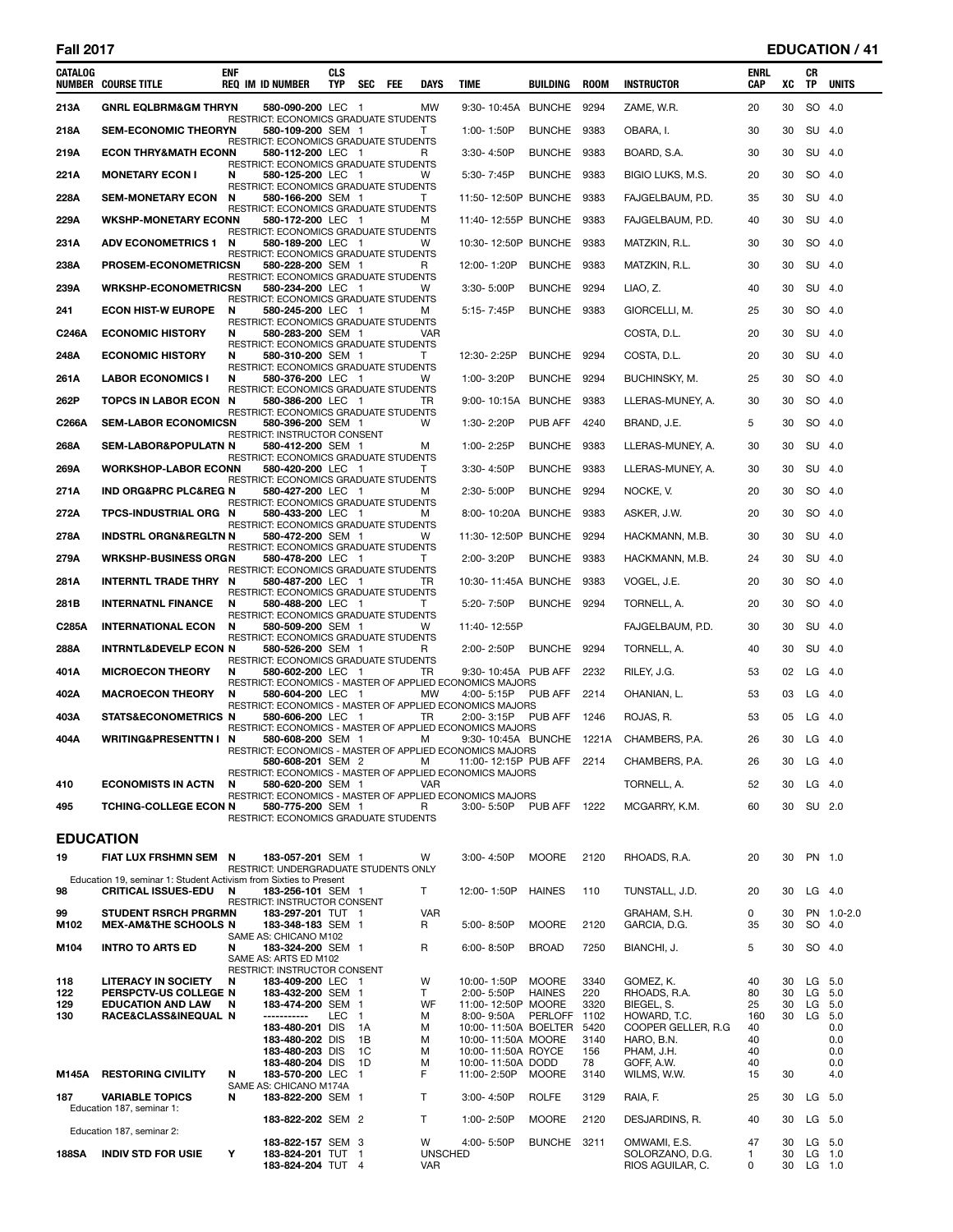# **Fall 2017 EDUCATION / 41**

| CATALOG          | <b>NUMBER COURSE TITLE</b>                                                                      | <b>ENF</b> | <b>REQ IM ID NUMBER</b>                                                       | <b>CLS</b><br><b>TYP</b> | <b>SEC</b> | <b>FEE</b> | <b>DAYS</b>                | <b>TIME</b>                              | BUILDING            | <b>ROOM</b>  | <b>INSTRUCTOR</b>                                   | <b>ENRL</b><br><b>CAP</b> | XC       | CR<br><b>TP</b>               | <b>UNITS</b> |
|------------------|-------------------------------------------------------------------------------------------------|------------|-------------------------------------------------------------------------------|--------------------------|------------|------------|----------------------------|------------------------------------------|---------------------|--------------|-----------------------------------------------------|---------------------------|----------|-------------------------------|--------------|
| 213A             | <b>GNRL EQLBRM&amp;GM THRYN</b>                                                                 |            | 580-090-200 LEC 1                                                             |                          |            |            | <b>MW</b>                  | 9:30-10:45A BUNCHE                       |                     | 9294         | ZAME, W.R.                                          | 20                        | 30       | SO                            | 4.0          |
| 218A             | <b>SEM-ECONOMIC THEORYN</b>                                                                     |            | RESTRICT: ECONOMICS GRADUATE STUDENTS<br>580-109-200 SEM 1                    |                          |            |            | т                          | 1:00-1:50P                               | <b>BUNCHE</b>       | 9383         | OBARA, I.                                           | 30                        | 30       | SU 4.0                        |              |
| 219A             | <b>ECON THRY&amp;MATH ECONN</b>                                                                 |            | RESTRICT: ECONOMICS GRADUATE STUDENTS<br>580-112-200 LEC 1                    |                          |            |            | R                          | $3:30 - 4:50P$                           | BUNCHE 9383         |              | BOARD, S.A.                                         | 30                        | 30       | SU 4.0                        |              |
| 221A             | <b>MONETARY ECON I</b>                                                                          | N          | <b>RESTRICT: ECONOMICS GRADUATE STUDENTS</b><br>580-125-200 LEC 1             |                          |            |            | W                          | 5:30-7:45P                               | <b>BUNCHE</b>       | 9383         | BIGIO LUKS, M.S.                                    | 20                        | 30       | SO 4.0                        |              |
| 228A             | <b>SEM-MONETARY ECON</b>                                                                        | N          | RESTRICT: ECONOMICS GRADUATE STUDENTS<br>580-166-200 SEM 1                    |                          |            |            | Τ                          | 11:50-12:50P BUNCHE                      |                     | 9383         | FAJGELBAUM, P.D.                                    | 35                        | 30       | SU 4.0                        |              |
| 229A             | <b>WKSHP-MONETARY ECONN</b>                                                                     |            | RESTRICT: ECONOMICS GRADUATE STUDENTS<br>580-172-200 LEC 1                    |                          |            |            | м                          | 11:40-12:55P BUNCHE                      |                     | 9383         | FAJGELBAUM, P.D.                                    | 40                        | 30       | SU 4.0                        |              |
| 231A             | <b>ADV ECONOMETRICS 1</b>                                                                       | N          | <b>RESTRICT: ECONOMICS GRADUATE STUDENTS</b><br>580-189-200 LEC 1             |                          |            |            | W                          | 10:30-12:50P BUNCHE                      |                     | 9383         | MATZKIN, R.L.                                       | 30                        | 30       | SO 4.0                        |              |
| 238A             | PROSEM-ECONOMETRICSN                                                                            |            | RESTRICT: ECONOMICS GRADUATE STUDENTS<br>580-228-200 SEM 1                    |                          |            |            | R                          | 12:00-1:20P                              | BUNCHE 9383         |              | MATZKIN, R.L.                                       | 30                        | 30       | SU 4.0                        |              |
| 239A             | <b>WRKSHP-ECONOMETRICSN</b>                                                                     |            | RESTRICT: ECONOMICS GRADUATE STUDENTS<br>580-234-200 LEC 1                    |                          |            |            | W                          | 3:30-5:00P                               | <b>BUNCHE</b>       | 9294         | LIAO, Z.                                            | 40                        | 30       | SU 4.0                        |              |
| 241              | <b>ECON HIST-W EUROPE</b>                                                                       | N          | RESTRICT: ECONOMICS GRADUATE STUDENTS<br>580-245-200 LEC 1                    |                          |            |            | м                          | 5:15-7:45P                               | BUNCHE 9383         |              | GIORCELLI, M.                                       | 25                        | 30       | SO 4.0                        |              |
| C246A            | <b>ECONOMIC HISTORY</b>                                                                         | N          | RESTRICT: ECONOMICS GRADUATE STUDENTS<br>580-283-200 SEM 1                    |                          |            |            | VAR                        |                                          |                     |              | COSTA, D.L.                                         | 20                        | 30       | SU 4.0                        |              |
| 248A             | <b>ECONOMIC HISTORY</b>                                                                         | N          | RESTRICT: ECONOMICS GRADUATE STUDENTS<br>580-310-200 SEM 1                    |                          |            |            | Τ                          | 12:30-2:25P                              | BUNCHE 9294         |              | COSTA, D.L.                                         | 20                        | 30       | SU 4.0                        |              |
| 261A             | <b>LABOR ECONOMICS I</b>                                                                        | N          | RESTRICT: ECONOMICS GRADUATE STUDENTS<br>580-376-200 LEC 1                    |                          |            |            | W                          | 1:00-3:20P                               | BUNCHE 9294         |              | BUCHINSKY, M.                                       | 25                        | 30       | SO 4.0                        |              |
| 262P             | <b>TOPCS IN LABOR ECON</b>                                                                      | N          | RESTRICT: ECONOMICS GRADUATE STUDENTS<br>580-386-200 LEC 1                    |                          |            |            | TR                         | 9:00-10:15A BUNCHE                       |                     | 9383         | LLERAS-MUNEY, A.                                    | 30                        | 30       | SO 4.0                        |              |
| C266A            | <b>SEM-LABOR ECONOMICSN</b>                                                                     |            | RESTRICT: ECONOMICS GRADUATE STUDENTS<br>580-396-200 SEM 1                    |                          |            |            | W                          | 1:30-2:20P                               | PUB AFF             | 4240         | BRAND, J.E.                                         | 5                         | 30       | SO 4.0                        |              |
|                  |                                                                                                 |            | <b>RESTRICT: INSTRUCTOR CONSENT</b>                                           |                          |            |            |                            |                                          |                     |              |                                                     |                           |          |                               |              |
| 268A             | <b>SEM-LABOR&amp;POPULATN N</b>                                                                 |            | 580-412-200 SEM 1<br>RESTRICT: ECONOMICS GRADUATE STUDENTS                    |                          |            |            | м                          | 1:00-2:25P                               | <b>BUNCHE</b>       | 9383         | LLERAS-MUNEY. A.                                    | 30                        | 30       | SU 4.0                        |              |
| 269A             | <b>WORKSHOP-LABOR ECONN</b>                                                                     |            | 580-420-200 LEC 1<br>RESTRICT: ECONOMICS GRADUATE STUDENTS                    |                          |            |            | т                          | $3:30 - 4:50P$                           | <b>BUNCHE</b>       | 9383         | LLERAS-MUNEY, A.                                    | 30                        | 30       | SU 4.0                        |              |
| 271A             | <b>IND ORG&amp;PRC PLC® N</b>                                                                   |            | 580-427-200 LEC 1<br><b>RESTRICT: ECONOMICS GRADUATE STUDENTS</b>             |                          |            |            | м                          | 2:30-5:00P                               | <b>BUNCHE</b>       | 9294         | NOCKE, V.                                           | 20                        | 30       | SO 4.0                        |              |
| 272A             | <b>TPCS-INDUSTRIAL ORG N</b>                                                                    |            | 580-433-200 LEC 1<br>RESTRICT: ECONOMICS GRADUATE STUDENTS                    |                          |            |            | м                          | 8:00-10:20A                              | <b>BUNCHE</b>       | 9383         | ASKER, J.W.                                         | 20                        | 30       | SO                            | 4.0          |
| 278A             | <b>INDSTRL ORGN&amp;REGLTN N</b>                                                                |            | 580-472-200 SEM 1<br>RESTRICT: ECONOMICS GRADUATE STUDENTS                    |                          |            |            | W                          | 11:30-12:50P BUNCHE                      |                     | 9294         | HACKMANN, M.B.                                      | 30                        | 30       | SU 4.0                        |              |
| 279A             | <b>WRKSHP-BUSINESS ORGN</b>                                                                     |            | 580-478-200 LEC 1<br>RESTRICT: ECONOMICS GRADUATE STUDENTS                    |                          |            |            | Τ                          | 2:00-3:20P                               | <b>BUNCHE</b>       | 9383         | HACKMANN, M.B.                                      | 24                        | 30       | SU 4.0                        |              |
| 281A             | INTERNTL TRADE THRY N                                                                           |            | 580-487-200 LEC 1<br>RESTRICT: ECONOMICS GRADUATE STUDENTS                    |                          |            |            | TR                         | 10:30-11:45A BUNCHE                      |                     | 9383         | VOGEL, J.E.                                         | 20                        | 30       | SO 4.0                        |              |
| 281B             | <b>INTERNATNL FINANCE</b>                                                                       | N          | 580-488-200 LEC 1<br>RESTRICT: ECONOMICS GRADUATE STUDENTS                    |                          |            |            | т                          | 5:20-7:50P                               | BUNCHE 9294         |              | TORNELL, A.                                         | 20                        | 30       | SO                            | -4.0         |
| C285A            | <b>INTERNATIONAL ECON</b>                                                                       | N          | 580-509-200 SEM 1<br>RESTRICT: ECONOMICS GRADUATE STUDENTS                    |                          |            |            | w                          | 11:40-12:55P                             |                     |              | FAJGELBAUM, P.D.                                    | 30                        | 30       | SU 4.0                        |              |
| 288A             | <b>INTRNTL&amp;DEVELP ECON N</b>                                                                |            | 580-526-200 SEM 1<br>RESTRICT: ECONOMICS GRADUATE STUDENTS                    |                          |            |            | R                          | 2:00-2:50P                               | <b>BUNCHE</b>       | 9294         | TORNELL, A.                                         | 40                        | 30       | SU 4.0                        |              |
| 401A             | <b>MICROECON THEORY</b>                                                                         | N          | 580-602-200 LEC 1                                                             |                          |            |            | TR                         | 9:30-10:45A PUB AFF                      |                     | 2232         | RILEY, J.G.                                         | 53                        | 02       | $LG$ 4.0                      |              |
| 402A             | <b>MACROECON THEORY</b>                                                                         | N          | RESTRICT: ECONOMICS - MASTER OF APPLIED ECONOMICS MAJORS<br>580-604-200 LEC 1 |                          |            |            | <b>MW</b>                  | 4:00-5:15P                               | PUB AFF             | 2214         | OHANIAN, L.                                         | 53                        | 03       | $LG$ 4.0                      |              |
| 403A             | STATS&ECONOMETRICS N                                                                            |            | RESTRICT: ECONOMICS - MASTER OF APPLIED ECONOMICS MAJORS<br>580-606-200 LEC 1 |                          |            |            | TR                         | 2:00-3:15P                               | PUB AFF             | 1246         | ROJAS, R.                                           | 53                        | 05       | $LG$ 4.0                      |              |
| 404A             | <b>WRITING&amp;PRESENTTN I N</b>                                                                |            | RESTRICT: ECONOMICS - MASTER OF APPLIED ECONOMICS MAJORS<br>580-608-200 SEM 1 |                          |            |            | м                          | 9:30-10:45A BUNCHE 1221A                 |                     |              | CHAMBERS, P.A.                                      | 26                        | 30       | $LG$ 4.0                      |              |
|                  |                                                                                                 |            | RESTRICT: ECONOMICS - MASTER OF APPLIED ECONOMICS MAJORS<br>580-608-201 SEM 2 |                          |            |            |                            | M 11:00-12:15P PUB AFF 2214              |                     |              | CHAMBERS, P.A.                                      | 26                        |          | 30 LG 4.0                     |              |
| 410              | <b>ECONOMISTS IN ACTN</b>                                                                       | N          | RESTRICT: ECONOMICS - MASTER OF APPLIED ECONOMICS MAJORS<br>580-620-200 SEM 1 |                          |            |            | VAR                        |                                          |                     |              | TORNELL, A.                                         | 52                        | 30       | $LG$ 4.0                      |              |
| 495              | <b>TCHING-COLLEGE ECON N</b>                                                                    |            | RESTRICT: ECONOMICS - MASTER OF APPLIED ECONOMICS MAJORS<br>580-775-200 SEM 1 |                          |            |            | R                          | 3:00-5:50P                               | <b>PUB AFF 1222</b> |              | MCGARRY, K.M.                                       | 60                        | 30       | SU 2.0                        |              |
|                  |                                                                                                 |            | RESTRICT: ECONOMICS GRADUATE STUDENTS                                         |                          |            |            |                            |                                          |                     |              |                                                     |                           |          |                               |              |
| <b>EDUCATION</b> |                                                                                                 |            |                                                                               |                          |            |            |                            | 3:00-4:50P                               | <b>MOORE</b>        |              |                                                     |                           |          |                               |              |
| 19               | FIAT LUX FRSHMN SEM N                                                                           |            | 183-057-201 SEM 1<br>RESTRICT: UNDERGRADUATE STUDENTS ONLY                    |                          |            |            | W                          |                                          |                     | 2120         | RHOADS, R.A.                                        | 20                        | 30       | PN 1.0                        |              |
| 98               | Education 19, seminar 1: Student Activism from Sixties to Present<br><b>CRITICAL ISSUES-EDU</b> | N          | 183-256-101 SEM 1                                                             |                          |            |            | T.                         | 12:00-1:50P                              | <b>HAINES</b>       | 110          | TUNSTALL, J.D.                                      | 20                        | 30       | $LG$ 4.0                      |              |
| 99               | <b>STUDENT RSRCH PRGRMN</b>                                                                     |            | RESTRICT: INSTRUCTOR CONSENT<br>183-297-201 TUT 1                             |                          |            |            | <b>VAR</b>                 |                                          |                     |              | GRAHAM, S.H.                                        | 0                         | 30       |                               | PN 1.0-2.0   |
| M102             | <b>MEX-AM&amp;THE SCHOOLS N</b>                                                                 |            | 183-348-183 SEM 1<br>SAME AS: CHICANO M102                                    |                          |            |            | R                          | 5:00-8:50P                               | <b>MOORE</b>        | 2120         | GARCIA, D.G.                                        | 35                        | 30       |                               | SO 4.0       |
| M104             | <b>INTRO TO ARTS ED</b>                                                                         | N          | 183-324-200 SEM 1<br>SAME AS: ARTS ED M102                                    |                          |            |            | R                          | 6:00-8:50P                               | <b>BROAD</b>        | 7250         | BIANCHI, J.                                         | 5                         | 30       | SO 4.0                        |              |
| 118              | <b>LITERACY IN SOCIETY</b>                                                                      | N          | RESTRICT: INSTRUCTOR CONSENT<br>183-409-200 LEC 1                             |                          |            |            | W                          | 10:00-1:50P                              | <b>MOORE</b>        | 3340         | GOMEZ, K.                                           | 40                        | 30       | LG 5.0                        |              |
| 122<br>129       | PERSPCTV-US COLLEGE N<br><b>EDUCATION AND LAW</b>                                               | N          | 183-432-200 SEM 1<br>183-474-200 SEM 1                                        |                          |            |            | T<br>WF                    | 2:00-5:50P<br>11:00-12:50P MOORE         | <b>HAINES</b>       | 220<br>3320  | RHOADS, R.A.<br>BIEGEL, S.                          | 80<br>25                  | 30<br>30 | $LG$ 5.0<br>$LG$ 5.0          |              |
| 130              | RACE&CLASS&INEQUAL N                                                                            |            | -----------<br>183-480-201 DIS 1A                                             | LEC 1                    |            |            | м<br>м                     | 8:00-9:50A<br>10:00-11:50A BOELTER       | PERLOFF             | 1102<br>5420 | HOWARD, T.C.<br>COOPER GELLER, R.G.                 | 160<br>40                 | 30       | $LG$ 5.0                      | 0.0          |
|                  |                                                                                                 |            | 183-480-202 DIS<br>183-480-203 DIS                                            |                          | - 1B<br>1C |            | м<br>м                     | 10:00-11:50A MOORE<br>10:00-11:50A ROYCE |                     | 3140<br>156  | HARO, B.N.<br>PHAM, J.H.                            | 40<br>40                  |          |                               | 0.0<br>0.0   |
|                  | <b>RESTORING CIVILITY</b>                                                                       | N          | 183-480-204 DIS<br>183-570-200 LEC 1                                          |                          | - 1D       |            | м<br>F                     | 10:00-11:50A DODD                        | <b>MOORE</b>        | 78<br>3140   | GOFF, A.W.<br>WILMS, W.W.                           | 40<br>15                  | 30       |                               | 0.0          |
| M145A            |                                                                                                 |            | SAME AS: CHICANO M174A                                                        |                          |            |            |                            | 11:00-2:50P                              |                     |              |                                                     |                           |          |                               | 4.0          |
| 187              | <b>VARIABLE TOPICS</b><br>Education 187, seminar 1:                                             | N          | 183-822-200 SEM 1                                                             |                          |            |            | Τ                          | 3:00-4:50P                               | <b>ROLFE</b>        | 3129         | RAIA, F.                                            | 25                        | 30       | LG 5.0                        |              |
|                  | Education 187, seminar 2:                                                                       |            | 183-822-202 SEM 2                                                             |                          |            |            | T                          | 1:00-2:50P                               | <b>MOORE</b>        | 2120         | DESJARDINS, R.                                      | 40                        | 30       | LG 5.0                        |              |
| 188SA            | <b>INDIV STD FOR USIE</b>                                                                       | Y          | 183-822-157 SEM 3<br>183-824-201 TUT 1<br>183-824-204 TUT 4                   |                          |            |            | W<br><b>UNSCHED</b><br>VAR | 4:00-5:50P                               | BUNCHE 3211         |              | OMWAMI, E.S.<br>SOLORZANO, D.G.<br>RIOS AGUILAR, C. | 47<br>$\mathbf{1}$<br>0   | 30<br>30 | LG 5.0<br>LG 1.0<br>30 LG 1.0 |              |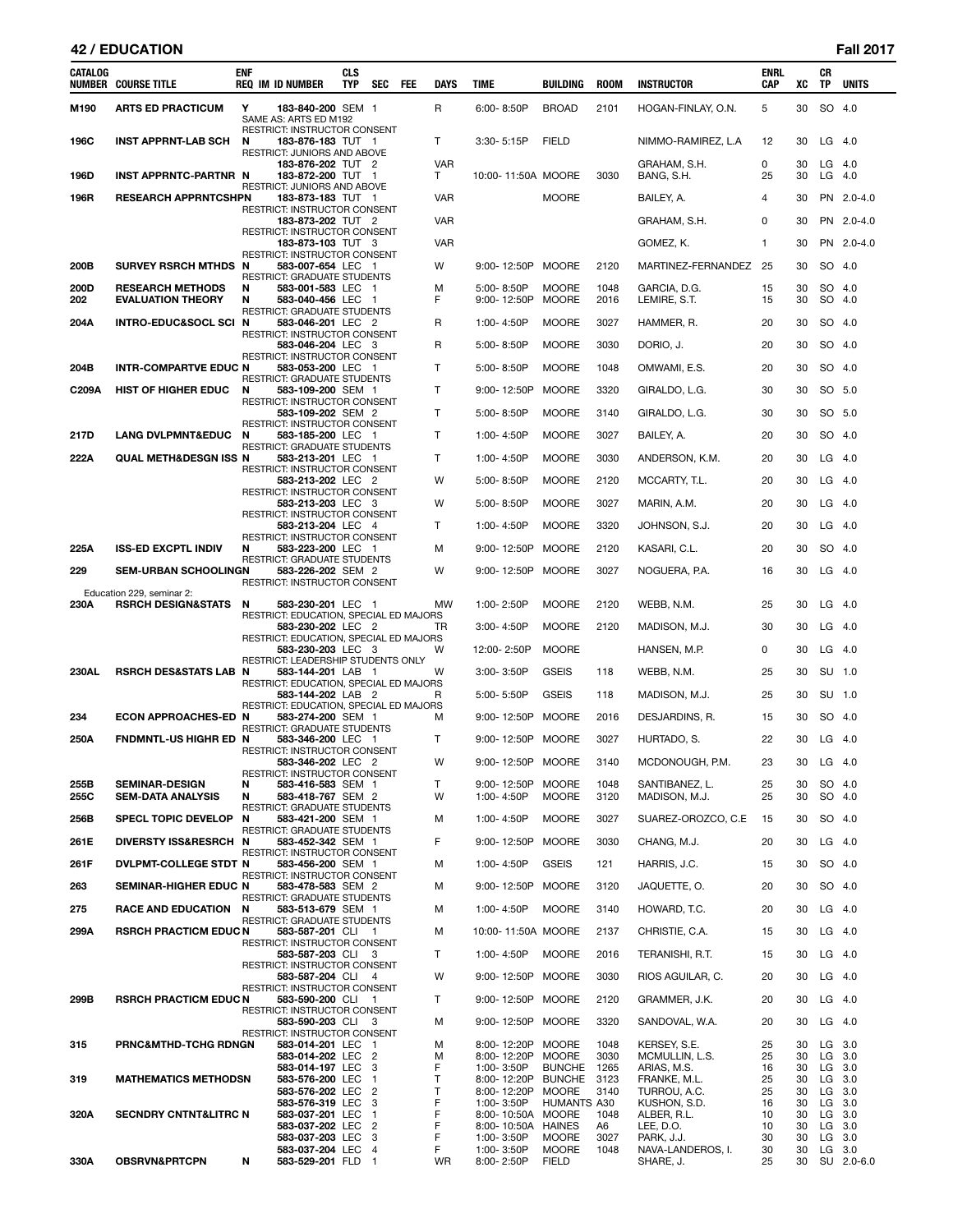# **42 / EDUCATION Fall 2017**

| CATALOG      | <b>NUMBER COURSE TITLE</b>                          | <b>ENF</b> | <b>REQ IM ID NUMBER</b>                                               | <b>CLS</b><br><b>TYP</b> | SEC                              | FEE | DAYS            | TIME                                    | BUILDING                     | <b>ROOM</b>  | <b>INSTRUCTOR</b>               | <b>ENRL</b><br><b>CAP</b> | XC       | СR<br><b>TP</b> | <b>UNITS</b>     |
|--------------|-----------------------------------------------------|------------|-----------------------------------------------------------------------|--------------------------|----------------------------------|-----|-----------------|-----------------------------------------|------------------------------|--------------|---------------------------------|---------------------------|----------|-----------------|------------------|
| M190         | <b>ARTS ED PRACTICUM</b>                            | Y          | 183-840-200 SEM 1<br>SAME AS: ARTS ED M192                            |                          |                                  |     | R               | 6:00-8:50P                              | <b>BROAD</b>                 | 2101         | HOGAN-FINLAY, O.N.              | 5                         | 30       |                 | SO 4.0           |
| 196C         | <b>INST APPRNT-LAB SCH</b>                          | N          | RESTRICT: INSTRUCTOR CONSENT<br>183-876-183 TUT 1                     |                          |                                  |     | T               | $3:30 - 5:15P$                          | <b>FIELD</b>                 |              | NIMMO-RAMIREZ, L.A              | 12                        | 30       | LG              | - 4.0            |
| 196D         | INST APPRNTC-PARTNR N                               |            | RESTRICT: JUNIORS AND ABOVE<br>183-876-202 TUT 2<br>183-872-200 TUT 1 |                          |                                  |     | <b>VAR</b><br>Τ | 10:00-11:50A MOORE                      |                              | 3030         | GRAHAM, S.H.<br>BANG, S.H.      | 0<br>25                   | 30<br>30 | LG              | -4.0<br>$LG$ 4.0 |
| 196R         | <b>RESEARCH APPRNTCSHPN</b>                         |            | RESTRICT: JUNIORS AND ABOVE<br>183-873-183 TUT 1                      |                          |                                  |     | <b>VAR</b>      |                                         | <b>MOORE</b>                 |              | BAILEY, A.                      | 4                         | 30       |                 | PN 2.0-4.0       |
|              |                                                     |            | RESTRICT: INSTRUCTOR CONSENT<br>183-873-202 TUT 2                     |                          |                                  |     |                 |                                         |                              |              |                                 | 0                         | 30       |                 | PN 2.0-4.0       |
|              |                                                     |            | <b>RESTRICT: INSTRUCTOR CONSENT</b>                                   |                          |                                  |     | VAR             |                                         |                              |              | GRAHAM, S.H.                    |                           |          |                 |                  |
|              |                                                     |            | 183-873-103 TUT 3<br>RESTRICT: INSTRUCTOR CONSENT                     |                          |                                  |     | <b>VAR</b>      |                                         |                              |              | GOMEZ, K.                       | $\mathbf{1}$              | 30       |                 | PN 2.0-4.0       |
| 200B         | SURVEY RSRCH MTHDS N                                |            | 583-007-654 LEC 1<br>RESTRICT: GRADUATE STUDENTS                      |                          |                                  |     | w               | 9:00-12:50P                             | <b>MOORE</b>                 | 2120         | MARTINEZ-FERNANDEZ              | 25                        | 30       | SO.             | 4.0              |
| 200D<br>202  | <b>RESEARCH METHODS</b><br><b>EVALUATION THEORY</b> | N<br>N     | 583-001-583 LEC 1<br>583-040-456 LEC 1                                |                          |                                  |     | м<br>F          | 5:00-8:50P<br>9:00-12:50P               | <b>MOORE</b><br><b>MOORE</b> | 1048<br>2016 | GARCIA, D.G.<br>LEMIRE, S.T.    | 15<br>15                  | 30<br>30 |                 | SO 4.0<br>SO 4.0 |
| 204A         | INTRO-EDUC&SOCL SCI N                               |            | RESTRICT: GRADUATE STUDENTS<br>583-046-201 LEC 2                      |                          |                                  |     | R               | 1:00-4:50P                              | <b>MOORE</b>                 | 3027         | HAMMER, R.                      | 20                        | 30       |                 | SO 4.0           |
|              |                                                     |            | RESTRICT: INSTRUCTOR CONSENT<br>583-046-204 LEC 3                     |                          |                                  |     | R               | 5:00-8:50P                              | <b>MOORE</b>                 | 3030         | DORIO, J.                       | 20                        | 30       |                 | SO 4.0           |
| 204B         | <b>INTR-COMPARTVE EDUC N</b>                        |            | RESTRICT: INSTRUCTOR CONSENT<br>583-053-200 LEC 1                     |                          |                                  |     | T.              | 5:00-8:50P                              | <b>MOORE</b>                 | 1048         | OMWAMI, E.S.                    | 20                        | 30       |                 | SO 4.0           |
| C209A        | <b>HIST OF HIGHER EDUC</b>                          | N          | RESTRICT: GRADUATE STUDENTS<br>583-109-200 SEM 1                      |                          |                                  |     | T               | 9:00-12:50P                             | <b>MOORE</b>                 | 3320         | GIRALDO, L.G.                   | 30                        | 30       |                 | SO 5.0           |
|              |                                                     |            | RESTRICT: INSTRUCTOR CONSENT                                          |                          |                                  |     |                 |                                         |                              |              |                                 |                           |          |                 |                  |
|              |                                                     |            | 583-109-202 SEM 2<br>RESTRICT: INSTRUCTOR CONSENT                     |                          |                                  |     | т               | 5:00-8:50P                              | <b>MOORE</b>                 | 3140         | GIRALDO, L.G.                   | 30                        | 30       |                 | SO 5.0           |
| 217D         | <b>LANG DVLPMNT&amp;EDUC</b>                        | N          | 583-185-200 LEC 1<br>RESTRICT: GRADUATE STUDENTS                      |                          |                                  |     | T               | 1:00-4:50P                              | <b>MOORE</b>                 | 3027         | BAILEY, A.                      | 20                        | 30       |                 | SO 4.0           |
| 222A         | QUAL METH&DESGN ISS N                               |            | 583-213-201 LEC 1<br>RESTRICT: INSTRUCTOR CONSENT                     |                          |                                  |     | T               | 1:00-4:50P                              | <b>MOORE</b>                 | 3030         | ANDERSON, K.M.                  | 20                        | 30       | LG              | 4.0              |
|              |                                                     |            | 583-213-202 LEC 2<br>RESTRICT: INSTRUCTOR CONSENT                     |                          |                                  |     | w               | 5:00-8:50P                              | <b>MOORE</b>                 | 2120         | MCCARTY, T.L.                   | 20                        | 30       | LG              | - 4.0            |
|              |                                                     |            | 583-213-203 LEC 3                                                     |                          |                                  |     | w               | 5:00-8:50P                              | <b>MOORE</b>                 | 3027         | MARIN, A.M.                     | 20                        | 30       |                 | $LG$ 4.0         |
|              |                                                     |            | RESTRICT: INSTRUCTOR CONSENT<br>583-213-204 LEC 4                     |                          |                                  |     | т               | 1:00-4:50P                              | <b>MOORE</b>                 | 3320         | JOHNSON, S.J.                   | 20                        | 30       | LG              | 4.0              |
| 225A         | <b>ISS-ED EXCPTL INDIV</b>                          | N          | RESTRICT: INSTRUCTOR CONSENT<br>583-223-200 LEC 1                     |                          |                                  |     | М               | 9:00-12:50P                             | <b>MOORE</b>                 | 2120         | KASARI, C.L.                    | 20                        | 30       |                 | SO 4.0           |
| 229          | <b>SEM-URBAN SCHOOLINGN</b>                         |            | RESTRICT: GRADUATE STUDENTS<br>583-226-202 SEM 2                      |                          |                                  |     | w               | 9:00-12:50P                             | MOORE                        | 3027         | NOGUERA, P.A.                   | 16                        | 30       | LG              | - 4.0            |
|              | Education 229, seminar 2:                           |            | RESTRICT: INSTRUCTOR CONSENT                                          |                          |                                  |     |                 |                                         |                              |              |                                 |                           |          |                 |                  |
| 230A         | <b>RSRCH DESIGN&amp;STATS</b>                       | N          | 583-230-201 LEC 1<br>RESTRICT: EDUCATION, SPECIAL ED MAJORS           |                          |                                  |     | <b>MW</b>       | 1:00-2:50P                              | <b>MOORE</b>                 | 2120         | WEBB, N.M.                      | 25                        | 30       | LG              | - 4.0            |
|              |                                                     |            | 583-230-202 LEC 2<br>RESTRICT: EDUCATION, SPECIAL ED MAJORS           |                          |                                  |     | TR              | $3:00 - 4:50P$                          | <b>MOORE</b>                 | 2120         | MADISON, M.J.                   | 30                        | 30       | LG              | - 4.0            |
|              |                                                     |            | 583-230-203 LEC 3                                                     |                          |                                  |     | W               | 12:00-2:50P                             | <b>MOORE</b>                 |              | HANSEN, M.P.                    | 0                         | 30       | LG              | 4.0              |
| <b>230AL</b> | <b>RSRCH DES&amp;STATS LAB N</b>                    |            | RESTRICT: LEADERSHIP STUDENTS ONLY<br>583-144-201 LAB 1               |                          |                                  |     | W               | 3:00-3:50P                              | <b>GSEIS</b>                 | 118          | WEBB, N.M.                      | 25                        | 30       |                 | SU 1.0           |
|              |                                                     |            | RESTRICT: EDUCATION, SPECIAL ED MAJORS<br>583-144-202 LAB 2           |                          |                                  |     | R               | 5:00-5:50P                              | <b>GSEIS</b>                 | 118          | MADISON, M.J.                   | 25                        | 30       |                 | SU 1.0           |
| 234          | <b>ECON APPROACHES-ED N</b>                         |            | RESTRICT: EDUCATION, SPECIAL ED MAJORS<br>583-274-200 SEM 1           |                          |                                  |     | М               | 9:00-12:50P                             | MOORE                        | 2016         | DESJARDINS, R.                  | 15                        | 30       |                 | SO 4.0           |
| 250A         | <b>FNDMNTL-US HIGHR ED N</b>                        |            | RESTRICT: GRADUATE STUDENTS<br>583-346-200 LEC 1                      |                          |                                  |     | T               | 9:00-12:50P MOORE                       |                              | 3027         | HURTADO, S.                     | 22                        | 30       | $LG$ 4.0        |                  |
|              |                                                     |            | RESTRICT: INSTRUCTOR CONSENT                                          |                          |                                  |     |                 |                                         |                              |              |                                 |                           |          |                 |                  |
|              |                                                     |            | 583-346-202 LEC 2<br>RESTRICT: INSTRUCTOR CONSENT                     |                          |                                  |     | W               | 9:00-12:50P                             | MOORE                        | 3140         | MCDONOUGH, P.M.                 | 23                        | 30       | LG              | 4.0              |
| 255B<br>255C | <b>SEMINAR-DESIGN</b><br><b>SEM-DATA ANALYSIS</b>   | N<br>N     | 583-416-583 SEM 1<br>583-418-767 SEM 2                                |                          |                                  |     | T<br>w          | 9:00-12:50P<br>1:00-4:50P               | MOORE<br><b>MOORE</b>        | 1048<br>3120 | SANTIBANEZ. L.<br>MADISON, M.J. | 25<br>25                  | 30<br>30 |                 | SO 4.0<br>SO 4.0 |
| 256B         | <b>SPECL TOPIC DEVELOP</b>                          | N          | RESTRICT: GRADUATE STUDENTS<br>583-421-200 SEM 1                      |                          |                                  |     | м               | 1:00-4:50P                              | <b>MOORE</b>                 | 3027         | SUAREZ-OROZCO, C.E.             | 15                        | 30       |                 | SO 4.0           |
| 261E         | DIVERSTY ISS&RESRCH N                               |            | RESTRICT: GRADUATE STUDENTS<br>583-452-342 SEM 1                      |                          |                                  |     | F               | 9:00-12:50P                             | <b>MOORE</b>                 | 3030         | CHANG, M.J.                     | 20                        | 30       |                 | $LG$ 4.0         |
| 261F         | DVLPMT-COLLEGE STDT N                               |            | RESTRICT: INSTRUCTOR CONSENT<br>583-456-200 SEM 1                     |                          |                                  |     | м               | 1:00-4:50P                              | <b>GSEIS</b>                 | 121          | HARRIS, J.C.                    | 15                        | 30       |                 | SO 4.0           |
|              |                                                     |            | RESTRICT: INSTRUCTOR CONSENT                                          |                          |                                  |     |                 |                                         |                              |              |                                 |                           |          |                 |                  |
| 263          | SEMINAR-HIGHER EDUC N                               |            | 583-478-583 SEM 2<br>RESTRICT: GRADUATE STUDENTS                      |                          |                                  |     | м               | 9:00-12:50P MOORE                       |                              | 3120         | JAQUETTE, O.                    | 20                        | 30       |                 | SO 4.0           |
| 275          | <b>RACE AND EDUCATION</b>                           | N          | 583-513-679 SEM 1<br><b>RESTRICT: GRADUATE STUDENTS</b>               |                          |                                  |     | м               | 1:00-4:50P                              | <b>MOORE</b>                 | 3140         | HOWARD, T.C.                    | 20                        | 30       |                 | $LG$ 4.0         |
| 299A         | <b>RSRCH PRACTICM EDUC N</b>                        |            | 583-587-201 CLI 1<br>RESTRICT: INSTRUCTOR CONSENT                     |                          |                                  |     | м               | 10:00-11:50A MOORE                      |                              | 2137         | CHRISTIE, C.A.                  | 15                        | 30       | $LG$ 4.0        |                  |
|              |                                                     |            | 583-587-203 CLI 3<br>RESTRICT: INSTRUCTOR CONSENT                     |                          |                                  |     | T.              | 1:00-4:50P                              | <b>MOORE</b>                 | 2016         | TERANISHI, R.T.                 | 15                        | 30       |                 | $LG$ 4.0         |
|              |                                                     |            | 583-587-204 CLI 4<br>RESTRICT: INSTRUCTOR CONSENT                     |                          |                                  |     | W               | 9:00-12:50P MOORE                       |                              | 3030         | RIOS AGUILAR, C.                | 20                        | 30       |                 | $LG$ 4.0         |
| 299B         | <b>RSRCH PRACTICM EDUC N</b>                        |            | 583-590-200 CLI 1<br>RESTRICT: INSTRUCTOR CONSENT                     |                          |                                  |     | Τ               | 9:00-12:50P MOORE                       |                              | 2120         | GRAMMER, J.K.                   | 20                        | 30       | $LG$ 4.0        |                  |
|              |                                                     |            | 583-590-203 CLI 3                                                     |                          |                                  |     | м               | 9:00-12:50P MOORE                       |                              | 3320         | SANDOVAL, W.A.                  | 20                        | 30       |                 | $LG$ 4.0         |
| 315          | <b>PRNC&amp;MTHD-TCHG RDNGN</b>                     |            | RESTRICT: INSTRUCTOR CONSENT<br>583-014-201 LEC 1                     |                          |                                  |     | м               | 8:00-12:20P MOORE                       |                              | 1048         | KERSEY, S.E.                    | 25                        | 30       |                 | LG 3.0           |
|              |                                                     |            | 583-014-202 LEC 2<br>583-014-197 LEC                                  |                          | 3                                |     | м<br>F          | 8:00-12:20P<br>1:00-3:50P               | MOORE<br><b>BUNCHE</b>       | 3030<br>1265 | MCMULLIN, L.S.<br>ARIAS, M.S.   | 25<br>16                  | 30<br>30 | LG 3.0          | LG 3.0           |
| 319          | <b>MATHEMATICS METHODSN</b>                         |            | 583-576-200 LEC<br>583-576-202 LEC                                    |                          | $\overline{1}$<br>$\overline{2}$ |     | T<br>T          | 8:00-12:20P BUNCHE<br>8:00-12:20P       | MOORE                        | 3123<br>3140 | FRANKE, M.L.<br>TURROU, A.C.    | 25<br>25                  | 30<br>30 |                 | LG 3.0<br>LG 3.0 |
|              |                                                     |            | 583-576-319 LEC<br>583-037-201 LEC                                    |                          | 3<br>1                           |     | F<br>F          | 1:00-3:50P                              | <b>HUMANTS A30</b>           | 1048         | KUSHON, S.D.<br>ALBER, R.L.     | 16                        | 30       |                 | LG 3.0<br>LG 3.0 |
| 320A         | <b>SECNDRY CNTNT&amp;LITRC N</b>                    |            | 583-037-202 LEC                                                       |                          | $\overline{2}$                   |     | F               | 8:00-10:50A MOORE<br>8:00-10:50A HAINES |                              | A6           | LEE, D.O.                       | 10<br>10                  | 30<br>30 |                 | LG 3.0           |
|              |                                                     |            | 583-037-203 LEC<br>583-037-204 LEC                                    |                          | 3<br>4                           |     | F<br>F          | 1:00-3:50P<br>1:00-3:50P                | <b>MOORE</b><br><b>MOORE</b> | 3027<br>1048 | PARK, J.J.<br>NAVA-LANDEROS, I. | 30<br>30                  | 30<br>30 |                 | LG 3.0<br>LG 3.0 |
| 330A         | <b>OBSRVN&amp;PRTCPN</b>                            | N          | 583-529-201 FLD                                                       |                          | $\mathbf{1}$                     |     | <b>WR</b>       | 8:00-2:50P                              | <b>FIELD</b>                 |              | SHARE, J.                       | 25                        | 30       |                 | SU 2.0-6.0       |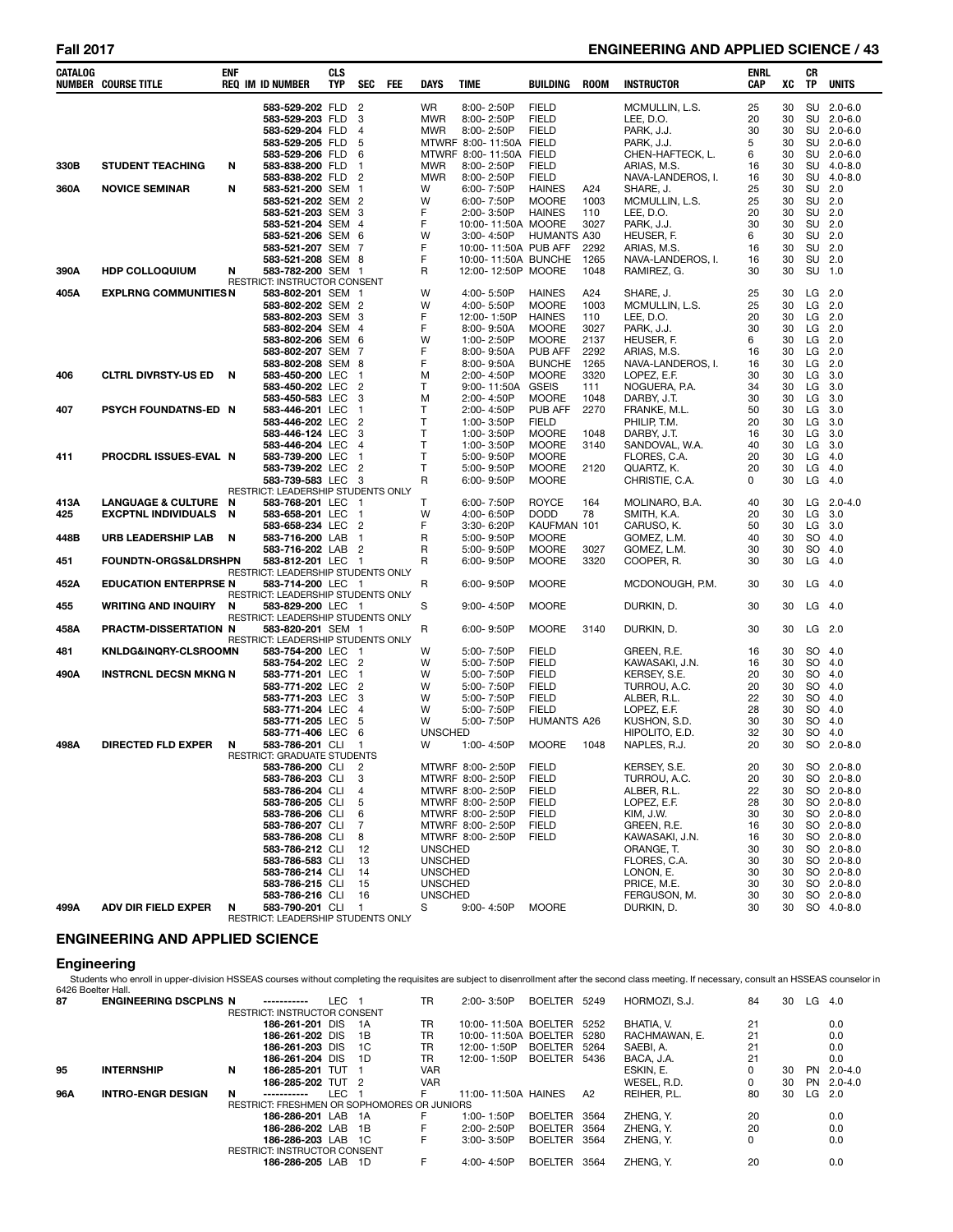# **Fall 2017 ENGINEERING AND APPLIED SCIENCE / 43**

| CATALOG | <b>NUMBER COURSE TITLE</b>      | <b>ENF</b> | <b>REQ IM ID NUMBER</b>                                 | <b>CLS</b><br><b>TYP</b> | <b>SEC</b>                       | FEE | <b>DAYS</b>                      | TIME                                 | BUILDING                      | <b>ROOM</b>  | <b>INSTRUCTOR</b>              | <b>ENRL</b><br>CAP | XC       | CR<br><b>TP</b> | <b>UNITS</b>             |
|---------|---------------------------------|------------|---------------------------------------------------------|--------------------------|----------------------------------|-----|----------------------------------|--------------------------------------|-------------------------------|--------------|--------------------------------|--------------------|----------|-----------------|--------------------------|
|         |                                 |            | 583-529-202 FLD                                         |                          | $\overline{c}$                   |     | <b>WR</b>                        | 8:00-2:50P                           | <b>FIELD</b>                  |              | MCMULLIN, L.S.                 | 25                 | 30       |                 | SU 2.0-6.0               |
|         |                                 |            | 583-529-203 FLD                                         |                          | 3                                |     | <b>MWR</b>                       | 8:00-2:50P                           | <b>FIELD</b>                  |              | LEE, D.O.                      | 20                 | 30       |                 | SU 2.0-6.0               |
|         |                                 |            | 583-529-204 FLD                                         |                          | $\overline{4}$                   |     | <b>MWR</b>                       | 8:00-2:50P                           | <b>FIELD</b>                  |              | PARK, J.J.                     | 30                 | 30       |                 | SU 2.0-6.0               |
|         |                                 |            | 583-529-205 FLD                                         |                          | 5                                |     |                                  | MTWRF 8:00-11:50A FIELD              |                               |              | PARK, J.J.                     | 5                  | 30       |                 | SU 2.0-6.0               |
|         |                                 |            | 583-529-206 FLD                                         |                          | 6                                |     |                                  | MTWRF 8:00-11:50A                    | <b>FIELD</b>                  |              | CHEN-HAFTECK. L.               | 6                  | 30       |                 | SU 2.0-6.0               |
| 330B    | <b>STUDENT TEACHING</b>         | N          | 583-838-200                                             | FLD                      | $\mathbf{1}$                     |     | <b>MWR</b>                       | 8:00-2:50P                           | <b>FIELD</b>                  |              | ARIAS, M.S.                    | 16                 | 30       |                 | SU 4.0-8.0               |
| 360A    | <b>NOVICE SEMINAR</b>           | N          | 583-838-202 FLD<br>583-521-200 SEM                      |                          | $\overline{2}$<br>$\overline{1}$ |     | <b>MWR</b><br>W                  | 8:00-2:50P<br>6:00-7:50P             | <b>FIELD</b><br><b>HAINES</b> | A24          | NAVA-LANDEROS. I.<br>SHARE, J. | 16<br>25           | 30<br>30 | SU 2.0          | SU 4.0-8.0               |
|         |                                 |            | 583-521-202 SEM 2                                       |                          |                                  |     | W                                | 6:00-7:50P                           | <b>MOORE</b>                  | 1003         | MCMULLIN, L.S.                 | 25                 | 30       | SU 2.0          |                          |
|         |                                 |            | 583-521-203 SEM 3                                       |                          |                                  |     | F                                | 2:00-3:50P                           | <b>HAINES</b>                 | 110          | LEE, D.O.                      | 20                 | 30       | SU 2.0          |                          |
|         |                                 |            | 583-521-204 SEM 4                                       |                          |                                  |     | F                                | 10:00-11:50A MOORE                   |                               | 3027         | PARK, J.J.                     | 30                 | 30       | SU              | 2.0                      |
|         |                                 |            | 583-521-206 SEM 6                                       |                          |                                  |     | W                                | 3:00-4:50P                           | HUMANTS A30                   |              | HEUSER, F.                     | 6                  | 30       | <b>SU</b>       | 2.0                      |
|         |                                 |            | 583-521-207 SEM 7                                       |                          |                                  |     | F                                | 10:00-11:50A PUB AFF                 |                               | 2292         | ARIAS, M.S.                    | 16                 | 30       | <b>SU</b>       | 2.0                      |
|         |                                 |            | 583-521-208 SEM 8                                       |                          |                                  |     | F                                | 10:00-11:50A BUNCHE                  |                               | 1265         | NAVA-LANDEROS, I.              | 16                 | 30       | SU              | 2.0                      |
| 390A    | <b>HDP COLLOQUIUM</b>           | N          | 583-782-200 SEM 1                                       |                          |                                  |     | R                                | 12:00-12:50P MOORE                   |                               | 1048         | RAMIREZ, G.                    | 30                 | 30       | SU              | 1.0                      |
| 405A    | <b>EXPLRNG COMMUNITIES N</b>    |            | RESTRICT: INSTRUCTOR CONSENT<br>583-802-201 SEM 1       |                          |                                  |     | W                                | 4:00-5:50P                           | <b>HAINES</b>                 | A24          | SHARE, J.                      | 25                 | 30       | LG              | 2.0                      |
|         |                                 |            | 583-802-202 SEM 2                                       |                          |                                  |     | W                                | 4:00-5:50P                           | <b>MOORE</b>                  | 1003         | MCMULLIN, L.S.                 | 25                 | 30       | LG              | 2.0                      |
|         |                                 |            | 583-802-203 SEM 3                                       |                          |                                  |     | F                                | 12:00-1:50P                          | <b>HAINES</b>                 | 110          | LEE, D.O.                      | 20                 | 30       | LG              | 2.0                      |
|         |                                 |            | 583-802-204 SEM 4                                       |                          |                                  |     | F                                | 8:00-9:50A                           | <b>MOORE</b>                  | 3027         | PARK, J.J.                     | 30                 | 30       | LG 2.0          |                          |
|         |                                 |            | 583-802-206 SEM 6                                       |                          |                                  |     | W                                | 1:00-2:50P                           | <b>MOORE</b>                  | 2137         | HEUSER, F.                     | 6                  | 30       | LG              | 2.0                      |
|         |                                 |            | 583-802-207 SEM 7                                       |                          |                                  |     | F                                | 8:00-9:50A                           | <b>PUB AFF</b>                | 2292         | ARIAS, M.S.                    | 16                 | 30       | LG 2.0          |                          |
|         |                                 |            | 583-802-208 SEM 8                                       |                          |                                  |     | F                                | 8:00-9:50A                           | <b>BUNCHE</b>                 | 1265         | NAVA-LANDEROS, I.              | 16                 | 30       | LG              | 2.0                      |
| 406     | <b>CLTRL DIVRSTY-US ED</b>      | N          | 583-450-200 LEC                                         |                          | $\mathbf{1}$                     |     | М                                | 2:00-4:50P                           | <b>MOORE</b>                  | 3320         | LOPEZ, E.F.                    | 30                 | 30       | LG              | 3.0                      |
|         |                                 |            | 583-450-202 LEC                                         |                          | $\overline{2}$                   |     | т                                | 9:00-11:50A                          | <b>GSEIS</b>                  | 111          | NOGUERA, P.A.                  | 34                 | 30<br>30 | LG              | 3.0                      |
| 407     | PSYCH FOUNDATNS-ED N            |            | 583-450-583 LEC<br>583-446-201 LEC                      |                          | 3<br>$\mathbf{1}$                |     | M<br>T                           | 2:00-4:50P<br>2:00-4:50P             | <b>MOORE</b><br>PUB AFF       | 1048<br>2270 | DARBY, J.T.<br>FRANKE, M.L.    | 30<br>50           | 30       | LG<br>LG        | 3.0<br>3.0               |
|         |                                 |            | 583-446-202 LEC                                         |                          | $\overline{2}$                   |     | T                                | 1:00-3:50P                           | <b>FIELD</b>                  |              | PHILIP, T.M.                   | 20                 | 30       | LG              | 3.0                      |
|         |                                 |            | 583-446-124 LEC                                         |                          | 3                                |     | $\mathsf{T}$                     | 1:00-3:50P                           | <b>MOORE</b>                  | 1048         | DARBY, J.T.                    | 16                 | 30       | LG              | 3.0                      |
|         |                                 |            | 583-446-204 LEC                                         |                          | $\overline{4}$                   |     | $\mathsf{T}$                     | 1:00-3:50P                           | <b>MOORE</b>                  | 3140         | SANDOVAL, W.A.                 | 40                 | 30       | LG              | 3.0                      |
| 411     | PROCDRL ISSUES-EVAL N           |            | 583-739-200 LEC                                         |                          | $\mathbf{1}$                     |     | $\mathsf{T}$                     | 5:00-9:50P                           | <b>MOORE</b>                  |              | FLORES, C.A.                   | 20                 | 30       | LG              | 4.0                      |
|         |                                 |            | 583-739-202 LEC                                         |                          | $\overline{2}$                   |     | T                                | 5:00-9:50P                           | <b>MOORE</b>                  | 2120         | QUARTZ, K.                     | 20                 | 30       | LG              | 4.0                      |
|         |                                 |            | 583-739-583 LEC                                         |                          | - 3                              |     | R                                | 6:00-9:50P                           | <b>MOORE</b>                  |              | CHRISTIE, C.A.                 | 0                  | 30       | LG              | 4.0                      |
| 413A    | <b>LANGUAGE &amp; CULTURE</b>   | N          | RESTRICT: LEADERSHIP STUDENTS ONLY<br>583-768-201 LEC   |                          | - 1                              |     | T                                | 6:00-7:50P                           | <b>ROYCE</b>                  | 164          | MOLINARO, B.A.                 | 40                 | 30       | LG              | $2.0 - 4.0$              |
| 425     | <b>EXCPTNL INDIVIDUALS</b>      | N          | 583-658-201 LEC                                         |                          | $\mathbf{1}$                     |     | W                                | 4:00- 6:50P                          | <b>DODD</b>                   | 78           | SMITH, K.A.                    | 20                 | 30       | LG              | 3.0                      |
|         |                                 |            | 583-658-234 LEC                                         |                          | $\overline{2}$                   |     | F                                | 3:30-6:20P                           | KAUFMAN 101                   |              | CARUSO, K.                     | 50                 | 30       | LG              | 3.0                      |
| 448B    | URB LEADERSHIP LAB              | N          | 583-716-200 LAB                                         |                          | $\mathbf{1}$                     |     | R                                | 5:00-9:50P                           | <b>MOORE</b>                  |              | GOMEZ, L.M.                    | 40                 | 30       | SO.             | 4.0                      |
|         |                                 |            | 583-716-202 LAB                                         |                          | $\overline{2}$                   |     | R                                | 5:00-9:50P                           | <b>MOORE</b>                  | 3027         | GOMEZ, L.M.                    | 30                 | 30       | SO.             | 4.0                      |
| 451     | <b>FOUNDTN-ORGS&amp;LDRSHPN</b> |            | 583-812-201 LEC                                         |                          | - 1                              |     | R                                | 6:00-9:50P                           | <b>MOORE</b>                  | 3320         | COOPER, R.                     | 30                 | 30       | LG              | 4.0                      |
|         |                                 |            | RESTRICT: LEADERSHIP STUDENTS ONLY                      |                          |                                  |     |                                  |                                      |                               |              |                                |                    |          |                 |                          |
| 452A    | <b>EDUCATION ENTERPRSE N</b>    |            | 583-714-200 LEC 1<br>RESTRICT: LEADERSHIP STUDENTS ONLY |                          |                                  |     | R                                | 6:00-9:50P                           | <b>MOORE</b>                  |              | MCDONOUGH, P.M.                | 30                 | 30       | LG              | 4.0                      |
| 455     | <b>WRITING AND INQUIRY</b>      | N          | 583-829-200 LEC                                         |                          | - 1                              |     | S                                | 9:00-4:50P                           | <b>MOORE</b>                  |              | DURKIN, D.                     | 30                 | 30       | $LG$ 4.0        |                          |
|         |                                 |            | RESTRICT: LEADERSHIP STUDENTS ONLY                      |                          |                                  |     |                                  |                                      |                               |              |                                |                    |          |                 |                          |
| 458A    | PRACTM-DISSERTATION N           |            | 583-820-201 SEM 1                                       |                          |                                  |     | R                                | 6:00-9:50P                           | <b>MOORE</b>                  | 3140         | DURKIN, D.                     | 30                 | 30       | LG 2.0          |                          |
|         |                                 |            | RESTRICT: LEADERSHIP STUDENTS ONLY                      |                          |                                  |     |                                  |                                      |                               |              |                                |                    |          |                 |                          |
| 481     | <b>KNLDG&amp;INQRY-CLSROOMN</b> |            | 583-754-200 LEC                                         |                          | $\blacksquare$                   |     | W                                | 5:00-7:50P                           | <b>FIELD</b>                  |              | GREEN, R.E.                    | 16                 | 30       | <b>SO</b>       | 4.0                      |
| 490A    | <b>INSTRCNL DECSN MKNG N</b>    |            | 583-754-202 LEC<br>583-771-201 LEC                      |                          | $\overline{c}$<br>$\mathbf{1}$   |     | W<br>W                           | 5:00-7:50P<br>5:00-7:50P             | <b>FIELD</b><br><b>FIELD</b>  |              | KAWASAKI, J.N.<br>KERSEY, S.E. | 16<br>20           | 30<br>30 | SO<br>SO        | 4.0<br>4.0               |
|         |                                 |            | 583-771-202 LEC                                         |                          | $\overline{c}$                   |     | W                                | 5:00-7:50P                           | <b>FIELD</b>                  |              | TURROU, A.C.                   | 20                 | 30       | SO.             | 4.0                      |
|         |                                 |            | 583-771-203 LEC                                         |                          | 3                                |     | W                                | 5:00-7:50P                           | <b>FIELD</b>                  |              | ALBER, R.L.                    | 22                 | 30       | SO              | 4.0                      |
|         |                                 |            | 583-771-204 LEC                                         |                          | $\overline{4}$                   |     | W                                | 5:00-7:50P                           | <b>FIELD</b>                  |              | LOPEZ, E.F.                    | 28                 | 30       | SO              | 4.0                      |
|         |                                 |            | 583-771-205 LEC                                         |                          | 5                                |     | W                                | 5:00-7:50P                           | <b>HUMANTS A26</b>            |              | KUSHON, S.D.                   | 30                 | 30       | SO              | 4.0                      |
|         |                                 |            | 583-771-406 LEC                                         |                          | 6                                |     | <b>UNSCHED</b>                   |                                      |                               |              | HIPOLITO, E.D.                 | 32                 | 30       | SO.             | 4.0                      |
| 498A    | <b>DIRECTED FLD EXPER</b>       | N          | 583-786-201 CLI                                         |                          | $\mathbf 1$                      |     | w                                | 1:00-4:50P                           | <b>MOORE</b>                  | 1048         | NAPLES, R.J.                   | 20                 | 30       |                 | SO 2.0-8.0               |
|         |                                 |            | RESTRICT: GRADUATE STUDENTS                             |                          |                                  |     |                                  |                                      |                               |              | KERSEY, S.E.                   |                    |          |                 |                          |
|         |                                 |            | 583-786-200 CLI<br>583-786-203 CLI                      |                          | 2<br>3                           |     |                                  | MTWRF 8:00-2:50P<br>MTWRF 8:00-2:50P | <b>FIELD</b><br><b>FIELD</b>  |              | TURROU, A.C.                   | 20<br>20           | 30<br>30 |                 | SO 2.0-8.0<br>SO 2.0-8.0 |
|         |                                 |            | 583-786-204 CLI                                         |                          | 4                                |     |                                  | MTWRF 8:00-2:50P                     | <b>FIELD</b>                  |              | ALBER, R.L.                    | 22                 | 30       |                 | SO 2.0-8.0               |
|         |                                 |            | 583-786-205 CLI                                         |                          | 5                                |     |                                  | MTWRF 8:00-2:50P                     | <b>FIELD</b>                  |              | LOPEZ, E.F.                    | 28                 | 30       |                 | SO 2.0-8.0               |
|         |                                 |            | 583-786-206 CLI                                         |                          | 6                                |     |                                  | MTWRF 8:00-2:50P                     | <b>FIELD</b>                  |              | KIM, J.W.                      | 30                 | 30       |                 | SO 2.0-8.0               |
|         |                                 |            | 583-786-207 CLI                                         |                          | 7                                |     |                                  | MTWRF 8:00-2:50P                     | <b>FIELD</b>                  |              | GREEN, R.E.                    | 16                 | 30       |                 | SO 2.0-8.0               |
|         |                                 |            | 583-786-208 CLI                                         |                          | 8                                |     |                                  | MTWRF 8:00-2:50P                     | <b>FIELD</b>                  |              | KAWASAKI, J.N.                 | 16                 | 30       |                 | SO 2.0-8.0               |
|         |                                 |            | 583-786-212 CLI                                         |                          | 12                               |     | <b>UNSCHED</b>                   |                                      |                               |              | ORANGE, T.                     | 30                 | 30       |                 | SO 2.0-8.0               |
|         |                                 |            | 583-786-583 CLI                                         |                          | 13                               |     | <b>UNSCHED</b>                   |                                      |                               |              | FLORES, C.A.                   | 30                 | 30       |                 | SO 2.0-8.0               |
|         |                                 |            | 583-786-214 CLI<br>583-786-215 CLI                      |                          | 14<br>15                         |     | <b>UNSCHED</b><br><b>UNSCHED</b> |                                      |                               |              | LONON, E.<br>PRICE, M.E.       | 30<br>30           | 30<br>30 |                 | SO 2.0-8.0<br>SO 2.0-8.0 |
|         |                                 |            | 583-786-216 CLI                                         |                          | 16                               |     | <b>UNSCHED</b>                   |                                      |                               |              | FERGUSON, M.                   | 30                 | 30       |                 | SO 2.0-8.0               |
| 499A    | <b>ADV DIR FIELD EXPER</b>      | N          | 583-790-201 CLI                                         |                          | $\mathbf{1}$                     |     | S                                | 9:00-4:50P                           | <b>MOORE</b>                  |              | DURKIN, D.                     | 30                 | 30       |                 | SO 4.0-8.0               |
|         |                                 |            | RESTRICT: LEADERSHIP STUDENTS ONLY                      |                          |                                  |     |                                  |                                      |                               |              |                                |                    |          |                 |                          |

# **ENGINEERING AND APPLIED SCIENCE**

#### **Engineering**

Students who enroll in upper-division HSSEAS courses without completing the requisites are subject to disenrollment after the second class meeting. If necessary, consult an HSSEAS counselor in 6426 Boelter Hall.

| 87  | <b>ENGINEERING DSCPLNS N</b> |                                             | LEC. |      | TR         | 2:00-3:50P           | <b>BOELTER</b> | 5249 | HORMOZI, S.J. | 84 | 30 | LG       | 4.0         |
|-----|------------------------------|---------------------------------------------|------|------|------------|----------------------|----------------|------|---------------|----|----|----------|-------------|
|     |                              | <b>RESTRICT: INSTRUCTOR CONSENT</b>         |      |      |            |                      |                |      |               |    |    |          |             |
|     |                              | 186-261-201 DIS                             |      | 1A   | TR         | 10:00-11:50A BOELTER |                | 5252 | BHATIA, V.    | 21 |    |          | 0.0         |
|     |                              | 186-261-202 DIS                             |      | 1B   | TR         | 10:00-11:50A BOELTER |                | 5280 | RACHMAWAN, E. | 21 |    |          | 0.0         |
|     |                              | 186-261-203 DIS                             |      | 1C   | TR         | 12:00-1:50P          | <b>BOELTER</b> | 5264 | SAEBI, A.     | 21 |    |          | 0.0         |
|     |                              | 186-261-204 DIS                             |      | -1D  | TR         | 12:00-1:50P          | <b>BOELTER</b> | 5436 | BACA, J.A.    | 21 |    |          | 0.0         |
| 95  | <b>INTERNSHIP</b>            | N<br>186-285-201 TUT                        |      |      | <b>VAR</b> |                      |                |      | ESKIN, E.     |    | 30 | PN.      | $2.0 - 4.0$ |
|     |                              | 186-285-202 TUT 2                           |      |      | <b>VAR</b> |                      |                |      | WESEL, R.D.   | 0  | 30 |          | PN 2.0-4.0  |
| 96A | <b>INTRO-ENGR DESIGN</b>     | N<br>-----------                            | LEC. |      | F          | 11:00-11:50A HAINES  |                | A2   | REIHER. P.L.  | 80 | 30 | $LG$ 2.0 |             |
|     |                              | RESTRICT: FRESHMEN OR SOPHOMORES OR JUNIORS |      |      |            |                      |                |      |               |    |    |          |             |
|     |                              | 186-286-201 LAB 1A                          |      |      |            | $1:00 - 1:50P$       | <b>BOELTER</b> | 3564 | ZHENG, Y.     | 20 |    |          | 0.0         |
|     |                              | 186-286-202 LAB                             |      | - 1B |            | $2:00 - 2:50P$       | <b>BOELTER</b> | 3564 | ZHENG, Y.     | 20 |    |          | 0.0         |
|     |                              | 186-286-203 LAB                             |      | - 1C | F          | $3:00 - 3:50P$       | <b>BOELTER</b> | 3564 | ZHENG, Y.     | 0  |    |          | 0.0         |
|     |                              | <b>RESTRICT: INSTRUCTOR CONSENT</b>         |      |      |            |                      |                |      |               |    |    |          |             |
|     |                              | 186-286-205 LAB                             |      | - 1D | F          | $4:00 - 4:50P$       | <b>BOELTER</b> | 3564 | ZHENG, Y.     | 20 |    |          | 0.0         |
|     |                              |                                             |      |      |            |                      |                |      |               |    |    |          |             |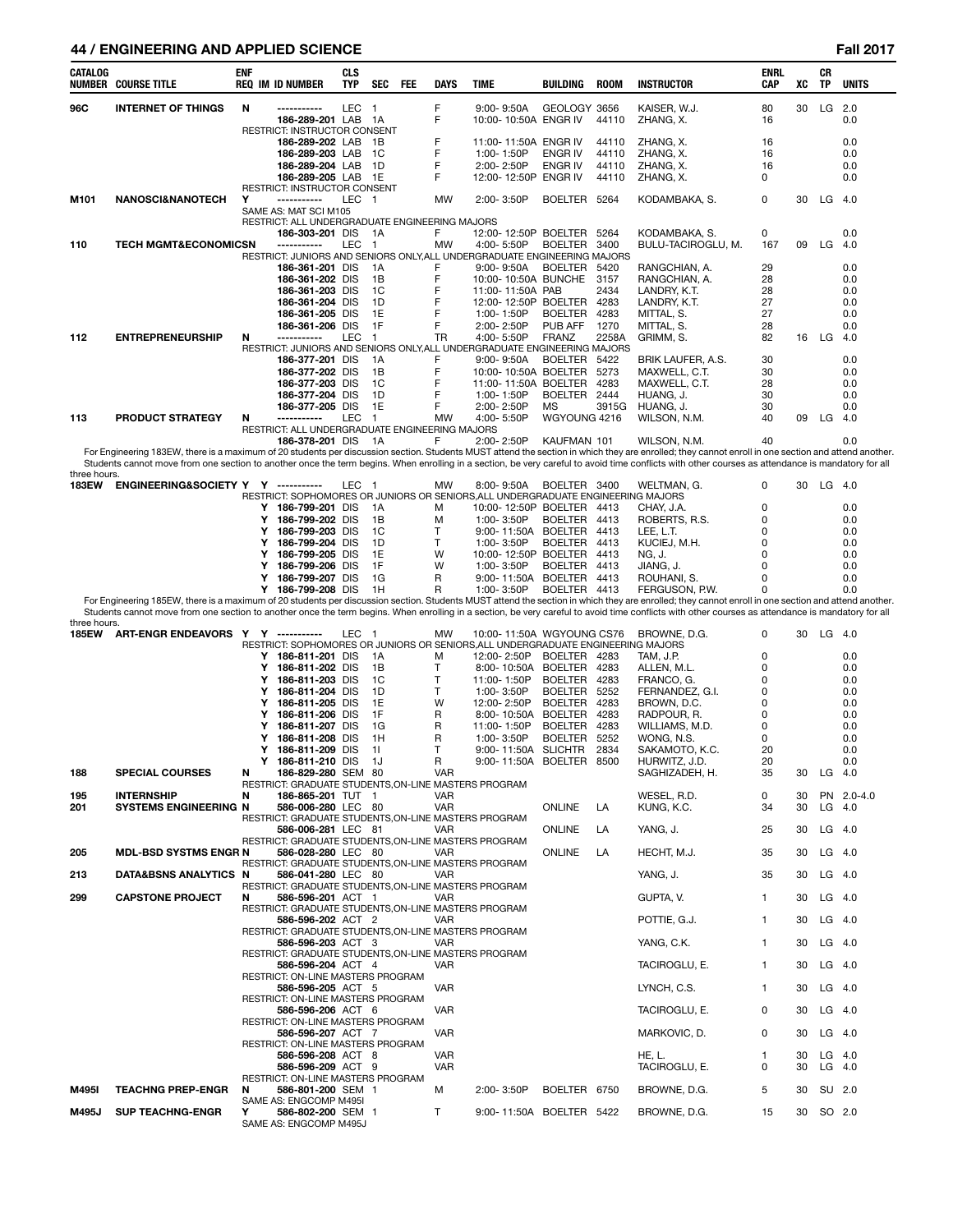# **44 / ENGINEERING AND APPLIED SCIENCE Fall 2017**

| CATALOG               | NUMBER COURSE TITLE                        | ENF | <b>REQ IM ID NUMBER</b>                                                                               | CLS<br>TYP       | SEC                  | FEE | DAYS           | TIME                                              | BUILDING                         | ROOM           | <b>INSTRUCTOR</b>                                                                                                                                                                                                   | <b>ENRL</b><br>CAP | XC       | СR<br>TP             | <b>UNITS</b> |
|-----------------------|--------------------------------------------|-----|-------------------------------------------------------------------------------------------------------|------------------|----------------------|-----|----------------|---------------------------------------------------|----------------------------------|----------------|---------------------------------------------------------------------------------------------------------------------------------------------------------------------------------------------------------------------|--------------------|----------|----------------------|--------------|
| 96C                   | <b>INTERNET OF THINGS</b>                  | N   | -----------<br>186-289-201 LAB 1A<br>RESTRICT: INSTRUCTOR CONSENT                                     | LEC <sub>1</sub> |                      |     | F<br>F         | $9:00 - 9:50A$<br>10:00-10:50A ENGR IV            | GEOLOGY 3656                     | 44110          | KAISER, W.J.<br>ZHANG, X.                                                                                                                                                                                           | 80<br>16           | 30       | LG 2.0               | 0.0          |
|                       |                                            |     | 186-289-202 LAB                                                                                       |                  | - 1B                 |     | F              | 11:00-11:50A ENGR IV                              |                                  | 44110          | ZHANG, X.                                                                                                                                                                                                           | 16                 |          |                      | 0.0          |
|                       |                                            |     | 186-289-203 LAB<br>186-289-204 LAB                                                                    |                  | - 1C<br>1D           |     | F<br>F         | 1:00-1:50P<br>2:00-2:50P                          | <b>ENGR IV</b><br><b>ENGR IV</b> | 44110<br>44110 | ZHANG, X.<br>ZHANG, X.                                                                                                                                                                                              | 16<br>16           |          |                      | 0.0<br>0.0   |
|                       |                                            |     | 186-289-205 LAB 1E                                                                                    |                  |                      |     | F              | 12:00-12:50P ENGR IV                              |                                  | 44110          | ZHANG, X.                                                                                                                                                                                                           | 0                  |          |                      | 0.0          |
| M101                  | <b>NANOSCI&amp;NANOTECH</b>                | Υ   | RESTRICT: INSTRUCTOR CONSENT<br>-----------                                                           | LEC              | - 1                  |     | MW             | 2:00-3:50P                                        | BOELTER 5264                     |                |                                                                                                                                                                                                                     | 0                  | 30       | $LG$ 4.0             |              |
|                       |                                            |     | SAME AS: MAT SCI M105                                                                                 |                  |                      |     |                |                                                   |                                  |                | KODAMBAKA, S.                                                                                                                                                                                                       |                    |          |                      |              |
|                       |                                            |     | RESTRICT: ALL UNDERGRADUATE ENGINEERING MAJORS<br>186-303-201 DIS                                     |                  | - 1A                 |     | F              | 12:00-12:50P BOELTER 5264                         |                                  |                | KODAMBAKA, S.                                                                                                                                                                                                       | 0                  |          |                      | 0.0          |
| 110                   | <b>TECH MGMT&amp;ECONOMICSN</b>            |     | -----------                                                                                           | LEC              | $\overline{1}$       |     | MW             | 4:00-5:50P                                        | BOELTER 3400                     |                | BULU-TACIROGLU, M.                                                                                                                                                                                                  | 167                | 09       | LG                   | 4.0          |
|                       |                                            |     | RESTRICT: JUNIORS AND SENIORS ONLY, ALL UNDERGRADUATE ENGINEERING MAJORS<br>186-361-201 DIS           |                  | 1A                   |     | F              | $9:00 - 9:50A$                                    | BOELTER 5420                     |                |                                                                                                                                                                                                                     | 29                 |          |                      | 0.0          |
|                       |                                            |     | 186-361-202 DIS                                                                                       |                  | 1B                   |     | F              | 10:00-10:50A BUNCHE 3157                          |                                  |                | RANGCHIAN, A.<br>RANGCHIAN, A.                                                                                                                                                                                      | 28                 |          |                      | 0.0          |
|                       |                                            |     | 186-361-203 DIS                                                                                       |                  | 1C                   |     | F              | 11:00-11:50A PAB                                  |                                  | 2434           | LANDRY, K.T.                                                                                                                                                                                                        | 28                 |          |                      | 0.0          |
|                       |                                            |     | 186-361-204 DIS<br>186-361-205 DIS                                                                    |                  | 1D<br>1E             |     | F<br>F         | 12:00-12:50P BOELTER<br>1:00-1:50P                | <b>BOELTER</b>                   | 4283<br>4283   | LANDRY, K.T.<br>MITTAL, S.                                                                                                                                                                                          | 27<br>27           |          |                      | 0.0<br>0.0   |
|                       |                                            |     | 186-361-206 DIS                                                                                       |                  | 1F                   |     | F              | 2:00-2:50P                                        | PUB AFF                          | 1270           | MITTAL, S.                                                                                                                                                                                                          | 28                 |          |                      | 0.0          |
| 112                   | <b>ENTREPRENEURSHIP</b>                    | N   | -----------<br>RESTRICT: JUNIORS AND SENIORS ONLY, ALL UNDERGRADUATE ENGINEERING MAJORS               | LEC              | $\overline{1}$       |     | TR             | 4:00-5:50P                                        | <b>FRANZ</b>                     | 2258A          | GRIMM, S.                                                                                                                                                                                                           | 82                 | 16       | LG                   | 4.0          |
|                       |                                            |     | 186-377-201 DIS                                                                                       |                  | 1A                   |     | F              | $9:00 - 9:50A$                                    | BOELTER 5422                     |                | BRIK LAUFER, A.S.                                                                                                                                                                                                   | 30                 |          |                      | 0.0          |
|                       |                                            |     | 186-377-202 DIS<br>186-377-203 DIS                                                                    |                  | 1B<br>1C             |     | F<br>F         | 10:00-10:50A BOELTER 5273<br>11:00-11:50A BOELTER |                                  | 4283           | MAXWELL, C.T.<br>MAXWELL, C.T.                                                                                                                                                                                      | 30<br>28           |          |                      | 0.0<br>0.0   |
|                       |                                            |     | 186-377-204 DIS                                                                                       |                  | 1D                   |     | F              | 1:00-1:50P                                        | BOELTER 2444                     |                | HUANG, J.                                                                                                                                                                                                           | 30                 |          |                      | 0.0          |
| 113                   | <b>PRODUCT STRATEGY</b>                    | N   | 186-377-205 DIS<br>-----------                                                                        | LEC              | 1E<br>$\overline{1}$ |     | F<br><b>MW</b> | 2:00-2:50P<br>4:00-5:50P                          | МS<br>WGYOUNG 4216               | 3915G          | HUANG, J.<br>WILSON, N.M.                                                                                                                                                                                           | 30<br>40           | 09       | LG                   | 0.0<br>4.0   |
|                       |                                            |     | RESTRICT: ALL UNDERGRADUATE ENGINEERING MAJORS                                                        |                  |                      |     |                |                                                   |                                  |                |                                                                                                                                                                                                                     |                    |          |                      |              |
|                       |                                            |     | 186-378-201 DIS                                                                                       |                  | - 1A                 |     | F              | 2:00-2:50P                                        | KAUFMAN 101                      |                | WILSON, N.M.<br>For Engineering 183EW, there is a maximum of 20 students per discussion section. Students MUST attend the section in which they are enrolled; they cannot enroll in one section and attend another. | 40                 |          |                      | 0.0          |
|                       |                                            |     |                                                                                                       |                  |                      |     |                |                                                   |                                  |                | Students cannot move from one section to another once the term begins. When enrolling in a section, be very careful to avoid time conflicts with other courses as attendance is mandatory for all                   |                    |          |                      |              |
| three hours.<br>183EW | ENGINEERING&SOCIETY Y Y -----------        |     |                                                                                                       | LEC 1            |                      |     | MW             | 8:00-9:50A                                        | BOELTER 3400                     |                | WELTMAN, G.                                                                                                                                                                                                         | 0                  |          | 30 LG 4.0            |              |
|                       |                                            |     | RESTRICT: SOPHOMORES OR JUNIORS OR SENIORS, ALL UNDERGRADUATE ENGINEERING MAJORS                      |                  |                      |     |                |                                                   |                                  |                |                                                                                                                                                                                                                     |                    |          |                      |              |
|                       |                                            |     | Y 186-799-201 DIS<br>186-799-202 DIS<br>Y                                                             |                  | 1A<br>1B             |     | м<br>M         | 10:00-12:50P BOELTER 4413<br>1:00-3:50P           | BOELTER 4413                     |                | CHAY, J.A.<br>ROBERTS, R.S.                                                                                                                                                                                         | 0<br>0             |          |                      | 0.0<br>0.0   |
|                       |                                            |     | 186-799-203 DIS<br>Y                                                                                  |                  | 1C                   |     | т              | 9:00-11:50A BOELTER 4413                          |                                  |                | LEE, L.T.                                                                                                                                                                                                           | 0                  |          |                      | 0.0          |
|                       |                                            |     | Y<br>186-799-204 DIS<br>186-799-205 DIS<br>Y                                                          |                  | 1D<br>1E             |     | т<br>W         | 1:00-3:50P<br>10:00-12:50P BOELTER 4413           | BOELTER 4413                     |                | KUCIEJ, M.H.<br>NG, J.                                                                                                                                                                                              | 0<br>0             |          |                      | 0.0<br>0.0   |
|                       |                                            |     | Y<br>186-799-206 DIS                                                                                  |                  | 1F                   |     | W              | 1:00-3:50P                                        | BOELTER 4413                     |                | JIANG, J.                                                                                                                                                                                                           | 0                  |          |                      | 0.0          |
|                       |                                            |     | 186-799-207 DIS<br>Y<br>Y 186-799-208 DIS                                                             |                  | 1G<br>1H             |     | R<br>R         | 9:00-11:50A BOELTER 4413<br>1:00-3:50P            | BOELTER 4413                     |                | ROUHANI, S.<br>FERGUSON, P.W.                                                                                                                                                                                       | 0<br>0             |          |                      | 0.0<br>0.0   |
|                       |                                            |     |                                                                                                       |                  |                      |     |                |                                                   |                                  |                | For Engineering 185EW, there is a maximum of 20 students per discussion section. Students MUST attend the section in which they are enrolled; they cannot enroll in one section and attend another.                 |                    |          |                      |              |
| three hours.          |                                            |     |                                                                                                       |                  |                      |     |                |                                                   |                                  |                | Students cannot move from one section to another once the term begins. When enrolling in a section, be very careful to avoid time conflicts with other courses as attendance is mandatory for all                   |                    |          |                      |              |
| 185EW                 | ART-ENGR ENDEAVORS Y Y -----------         |     |                                                                                                       | LEC 1            |                      |     | MW             | 10:00-11:50A WGYOUNG CS76                         |                                  |                | BROWNE, D.G.                                                                                                                                                                                                        | 0                  | 30       | LG 4.0               |              |
|                       |                                            |     | RESTRICT: SOPHOMORES OR JUNIORS OR SENIORS, ALL UNDERGRADUATE ENGINEERING MAJORS<br>Y 186-811-201 DIS |                  | 1A                   |     | М              | 12:00-2:50P                                       | BOELTER 4283                     |                | TAM, J.P.                                                                                                                                                                                                           | 0                  |          |                      | 0.0          |
|                       |                                            |     | 186-811-202 DIS<br>Y                                                                                  |                  | 1B                   |     | т              | 8:00-10:50A BOELTER 4283                          |                                  |                | ALLEN, M.L.                                                                                                                                                                                                         | 0                  |          |                      | 0.0          |
|                       |                                            |     | 186-811-203 DIS<br>Y<br>186-811-204 DIS<br>Y                                                          |                  | 1C<br>1D             |     | т<br>т         | 11:00-1:50P<br>1:00-3:50P                         | <b>BOELTER</b><br>BOELTER        | 4283<br>5252   | FRANCO, G.<br>FERNANDEZ, G.I.                                                                                                                                                                                       | 0<br>0             |          |                      | 0.0<br>0.0   |
|                       |                                            |     | 186-811-205 DIS<br>Y                                                                                  |                  | 1E                   |     | W              | 12:00-2:50P                                       | <b>BOELTER</b>                   | 4283           | BROWN, D.C.                                                                                                                                                                                                         | 0                  |          |                      | 0.0          |
|                       |                                            |     | 186-811-206 DIS<br>Y<br>Y                                                                             |                  | 1F<br>1G             |     | R<br>R         | 8:00-10:50A BOELTER                               | <b>BOELTER</b>                   | 4283<br>4283   | RADPOUR, R.                                                                                                                                                                                                         | 0<br>0             |          |                      | 0.0          |
|                       |                                            |     | 186-811-207 DIS<br>186-811-208 DIS<br>Y                                                               |                  | 1H                   |     | R              | 11:00-1:50P<br>1:00-3:50P                         | BOELTER                          | 5252           | WILLIAMS, M.D.<br>WONG, N.S.                                                                                                                                                                                        | 0                  |          |                      | 0.0<br>0.0   |
|                       |                                            |     | Y<br>186-811-209 DIS                                                                                  |                  | 11                   |     | T              | 9:00-11:50A SLICHTR                               |                                  | 2834           | SAKAMOTO, K.C.                                                                                                                                                                                                      | 20                 |          |                      | 0.0          |
| 188                   | <b>SPECIAL COURSES</b>                     | N   | 186-811-210 DIS 1J<br>186-829-280 SEM 80                                                              |                  |                      |     | R.<br>VAR      | 9:00-11:50A BOELTER 8500                          |                                  |                | HURWITZ, J.D.<br>SAGHIZADEH, H.                                                                                                                                                                                     | 20<br>35           | 30       | $LG$ 4.0             | 0.0          |
|                       |                                            |     | RESTRICT: GRADUATE STUDENTS, ON-LINE MASTERS PROGRAM                                                  |                  |                      |     | <b>VAR</b>     |                                                   |                                  |                | WESEL, R.D.                                                                                                                                                                                                         | 0                  | 30       |                      | PN 2.0-4.0   |
| 195<br>201            | <b>INTERNSHIP</b><br>SYSTEMS ENGINEERING N | N   | 186-865-201 TUT 1<br>586-006-280 LEC 80                                                               |                  |                      |     | <b>VAR</b>     |                                                   | <b>ONLINE</b>                    | LA             | KUNG, K.C.                                                                                                                                                                                                          | 34                 | 30       | $LG$ 4.0             |              |
|                       |                                            |     | RESTRICT: GRADUATE STUDENTS, ON-LINE MASTERS PROGRAM<br>586-006-281 LEC 81                            |                  |                      |     |                |                                                   |                                  |                |                                                                                                                                                                                                                     |                    |          | $LG$ 4.0             |              |
|                       |                                            |     | RESTRICT: GRADUATE STUDENTS, ON-LINE MASTERS PROGRAM                                                  |                  |                      |     | VAR            |                                                   | <b>ONLINE</b>                    | LA             | YANG, J.                                                                                                                                                                                                            | 25                 | 30       |                      |              |
| 205                   | <b>MDL-BSD SYSTMS ENGR N</b>               |     | 586-028-280 LEC 80<br>RESTRICT: GRADUATE STUDENTS, ON-LINE MASTERS PROGRAM                            |                  |                      |     | VAR            |                                                   | ONLINE                           | LA             | HECHT, M.J.                                                                                                                                                                                                         | 35                 | 30       | $LG$ 4.0             |              |
| 213                   | DATA&BSNS ANALYTICS N                      |     | 586-041-280 LEC 80                                                                                    |                  |                      |     | <b>VAR</b>     |                                                   |                                  |                | YANG, J.                                                                                                                                                                                                            | 35                 | 30       | $LG$ 4.0             |              |
| 299                   | <b>CAPSTONE PROJECT</b>                    | N   | RESTRICT: GRADUATE STUDENTS, ON-LINE MASTERS PROGRAM<br>586-596-201 ACT 1                             |                  |                      |     | <b>VAR</b>     |                                                   |                                  |                | GUPTA, V.                                                                                                                                                                                                           | $\mathbf{1}$       | 30       | $LG$ 4.0             |              |
|                       |                                            |     | RESTRICT: GRADUATE STUDENTS, ON-LINE MASTERS PROGRAM                                                  |                  |                      |     |                |                                                   |                                  |                |                                                                                                                                                                                                                     |                    |          |                      |              |
|                       |                                            |     | 586-596-202 ACT 2<br>RESTRICT: GRADUATE STUDENTS, ON-LINE MASTERS PROGRAM                             |                  |                      |     | VAR            |                                                   |                                  |                | POTTIE, G.J.                                                                                                                                                                                                        | 1                  | 30       | $LG$ 4.0             |              |
|                       |                                            |     | 586-596-203 ACT 3                                                                                     |                  |                      |     | VAR            |                                                   |                                  |                | YANG, C.K.                                                                                                                                                                                                          | 1                  | 30       | $LG$ 4.0             |              |
|                       |                                            |     | RESTRICT: GRADUATE STUDENTS, ON-LINE MASTERS PROGRAM<br>586-596-204 ACT 4                             |                  |                      |     | VAR            |                                                   |                                  |                | TACIROGLU, E.                                                                                                                                                                                                       | 1                  | 30       | $LG$ 4.0             |              |
|                       |                                            |     | RESTRICT: ON-LINE MASTERS PROGRAM                                                                     |                  |                      |     |                |                                                   |                                  |                |                                                                                                                                                                                                                     |                    |          |                      |              |
|                       |                                            |     | 586-596-205 ACT 5<br>RESTRICT: ON-LINE MASTERS PROGRAM                                                |                  |                      |     | VAR            |                                                   |                                  |                | LYNCH, C.S.                                                                                                                                                                                                         | 1                  | 30       | $LG$ 4.0             |              |
|                       |                                            |     | 586-596-206 ACT 6                                                                                     |                  |                      |     | VAR            |                                                   |                                  |                | TACIROGLU, E.                                                                                                                                                                                                       | 0                  | 30       | $LG$ 4.0             |              |
|                       |                                            |     | RESTRICT: ON-LINE MASTERS PROGRAM<br>586-596-207 ACT 7                                                |                  |                      |     | VAR            |                                                   |                                  |                | MARKOVIC, D.                                                                                                                                                                                                        | 0                  | 30       | $LG$ 4.0             |              |
|                       |                                            |     | RESTRICT: ON-LINE MASTERS PROGRAM                                                                     |                  |                      |     |                |                                                   |                                  |                |                                                                                                                                                                                                                     |                    |          |                      |              |
|                       |                                            |     | 586-596-208 ACT 8<br>586-596-209 ACT 9                                                                |                  |                      |     | VAR<br>VAR     |                                                   |                                  |                | <b>HE, L.</b><br>TACIROGLU, E.                                                                                                                                                                                      | -1<br>0            | 30<br>30 | $LG$ 4.0<br>$LG$ 4.0 |              |
|                       |                                            |     | RESTRICT: ON-LINE MASTERS PROGRAM                                                                     |                  |                      |     |                |                                                   |                                  |                |                                                                                                                                                                                                                     |                    |          |                      |              |
| M495I                 | <b>TEACHNG PREP-ENGR</b>                   | N.  | 586-801-200 SEM 1<br>SAME AS: ENGCOMP M495I                                                           |                  |                      |     | м              | 2:00-3:50P                                        | BOELTER 6750                     |                | BROWNE, D.G.                                                                                                                                                                                                        | 5                  | 30       | SU 2.0               |              |
| M495J                 | <b>SUP TEACHNG-ENGR</b>                    | Y   | 586-802-200 SEM 1<br>SAME AS: ENGCOMP M495J                                                           |                  |                      |     | T.             | 9:00-11:50A BOELTER 5422                          |                                  |                | BROWNE, D.G.                                                                                                                                                                                                        | 15                 | 30       | SO 2.0               |              |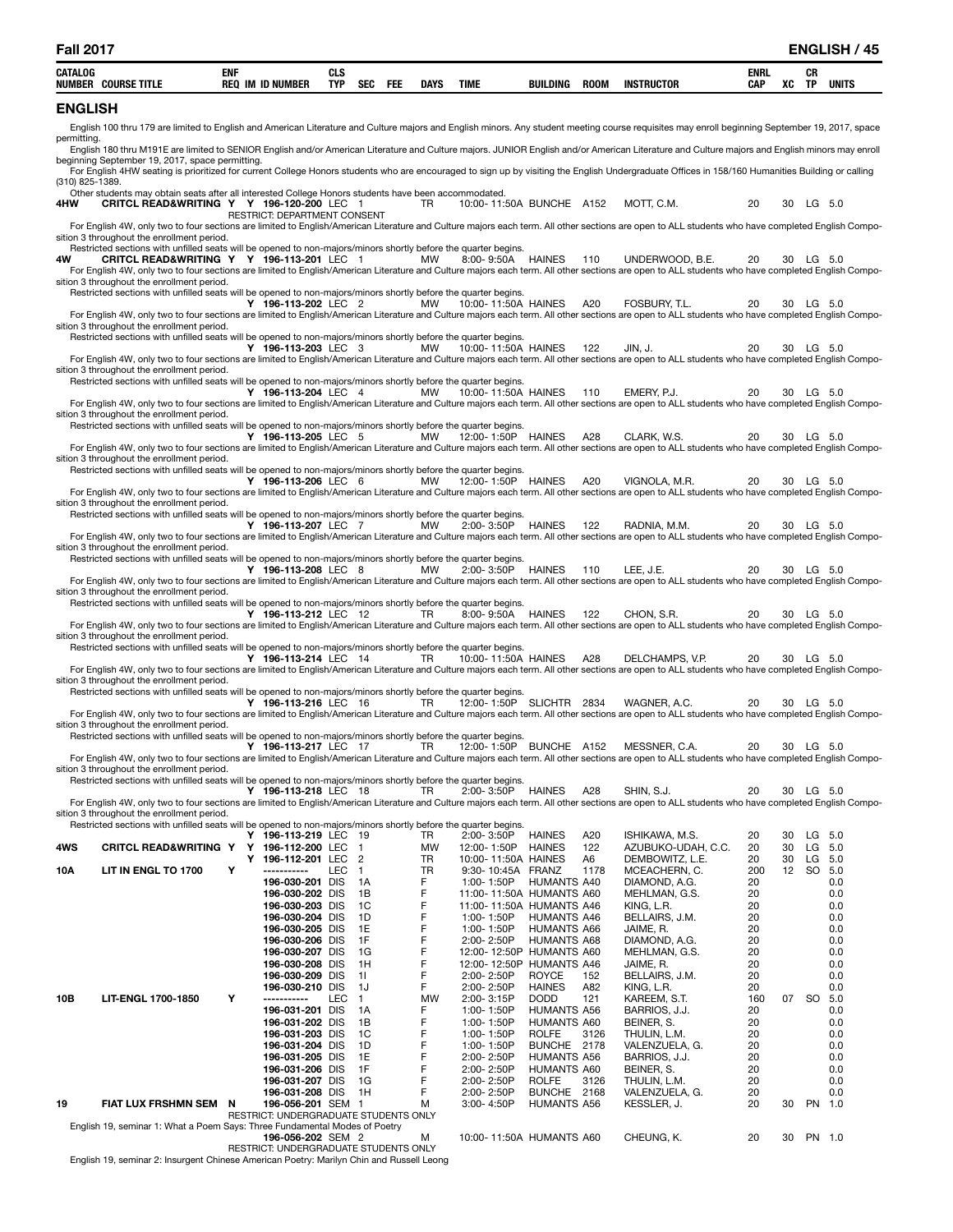| <b>Fall 2017</b>                                                                                                                                                                                                                                    |            |                                              |                          |                |             |                                 |                                                      |             |                                      |                    |          |           | <b>ENGLISH / 45</b> |
|-----------------------------------------------------------------------------------------------------------------------------------------------------------------------------------------------------------------------------------------------------|------------|----------------------------------------------|--------------------------|----------------|-------------|---------------------------------|------------------------------------------------------|-------------|--------------------------------------|--------------------|----------|-----------|---------------------|
| CATALOG<br><b>NUMBER COURSE TITLE</b>                                                                                                                                                                                                               | <b>ENF</b> | <b>REQ IM ID NUMBER</b>                      | <b>CLS</b><br><b>TYP</b> | SEC FEE        | <b>DAYS</b> | <b>TIME</b>                     | BUILDING                                             | <b>ROOM</b> | <b>INSTRUCTOR</b>                    | ENRL<br><b>CAP</b> | XC TP    | СR        | <b>UNITS</b>        |
| <b>ENGLISH</b>                                                                                                                                                                                                                                      |            |                                              |                          |                |             |                                 |                                                      |             |                                      |                    |          |           |                     |
| English 100 thru 179 are limited to English and American Literature and Culture majors and English minors. Any student meeting course requisites may enroll beginning September 19, 2017, space<br>permitting.                                      |            |                                              |                          |                |             |                                 |                                                      |             |                                      |                    |          |           |                     |
| English 180 thru M191E are limited to SENIOR English and/or American Literature and Culture majors. JUNIOR English and/or American Literature and Culture majors and English minors may enroll                                                      |            |                                              |                          |                |             |                                 |                                                      |             |                                      |                    |          |           |                     |
| beginning September 19, 2017, space permitting.<br>For English 4HW seating is prioritized for current College Honors students who are encouraged to sign up by visiting the English Undergraduate Offices in 158/160 Humanities Building or calling |            |                                              |                          |                |             |                                 |                                                      |             |                                      |                    |          |           |                     |
| (310) 825-1389.<br>Other students may obtain seats after all interested College Honors students have been accommodated.                                                                                                                             |            |                                              |                          |                |             |                                 |                                                      |             |                                      |                    |          |           |                     |
| CRITCL READ&WRITING Y Y 196-120-200 LEC 1<br>4HW                                                                                                                                                                                                    |            | RESTRICT: DEPARTMENT CONSENT                 |                          |                | <b>TR</b>   |                                 | 10:00-11:50A BUNCHE A152                             |             | MOTT. C.M.                           | 20                 |          | 30 LG 5.0 |                     |
| For English 4W, only two to four sections are limited to English/American Literature and Culture majors each term. All other sections are open to ALL students who have completed English Compo-                                                    |            |                                              |                          |                |             |                                 |                                                      |             |                                      |                    |          |           |                     |
| sition 3 throughout the enrollment period.<br>Restricted sections with unfilled seats will be opened to non-majors/minors shortly before the quarter begins.                                                                                        |            |                                              |                          |                |             |                                 |                                                      |             |                                      |                    |          |           |                     |
| 4W<br>CRITCL READ&WRITING Y Y 196-113-201 LEC 1<br>For English 4W, only two to four sections are limited to English/American Literature and Culture majors each term. All other sections are open to ALL students who have completed English Compo- |            |                                              |                          |                | MW          |                                 | 8:00-9:50A HAINES                                    | 110         | UNDERWOOD, B.E.                      | 20                 |          | 30 LG 5.0 |                     |
| sition 3 throughout the enrollment period.<br>Restricted sections with unfilled seats will be opened to non-majors/minors shortly before the quarter begins.                                                                                        |            |                                              |                          |                |             |                                 |                                                      |             |                                      |                    |          |           |                     |
| For English 4W, only two to four sections are limited to English/American Literature and Culture majors each term. All other sections are open to ALL students who have completed English Compo-                                                    |            | Y 196-113-202 LEC 2                          |                          |                | MW          | 10:00-11:50A HAINES             |                                                      | A20         | FOSBURY, T.L.                        | 20                 |          | 30 LG 5.0 |                     |
| sition 3 throughout the enrollment period.                                                                                                                                                                                                          |            |                                              |                          |                |             |                                 |                                                      |             |                                      |                    |          |           |                     |
| Restricted sections with unfilled seats will be opened to non-majors/minors shortly before the quarter begins.                                                                                                                                      |            | Y 196-113-203 LEC 3                          |                          |                | MW          | 10:00-11:50A HAINES             |                                                      | 122         | JIN, J.                              | 20                 |          | 30 LG 5.0 |                     |
| For English 4W, only two to four sections are limited to English/American Literature and Culture majors each term. All other sections are open to ALL students who have completed English Compo-<br>sition 3 throughout the enrollment period.      |            |                                              |                          |                |             |                                 |                                                      |             |                                      |                    |          |           |                     |
| Restricted sections with unfilled seats will be opened to non-majors/minors shortly before the quarter begins.                                                                                                                                      |            | Y 196-113-204 LEC 4                          |                          |                | MW          |                                 | 10:00-11:50A HAINES                                  | 110         | EMERY, P.J.                          | 20                 |          | 30 LG 5.0 |                     |
| For English 4W, only two to four sections are limited to English/American Literature and Culture majors each term. All other sections are open to ALL students who have completed English Compo-<br>sition 3 throughout the enrollment period.      |            |                                              |                          |                |             |                                 |                                                      |             |                                      |                    |          |           |                     |
| Restricted sections with unfilled seats will be opened to non-majors/minors shortly before the quarter begins.                                                                                                                                      |            |                                              |                          |                |             |                                 |                                                      |             |                                      |                    |          |           |                     |
| For English 4W, only two to four sections are limited to English/American Literature and Culture majors each term. All other sections are open to ALL students who have completed English Compo-                                                    |            | Y 196-113-205 LEC 5                          |                          |                | MW          | 12:00-1:50P HAINES              |                                                      | A28         | CLARK, W.S.                          | 20                 |          | 30 LG 5.0 |                     |
| sition 3 throughout the enrollment period.<br>Restricted sections with unfilled seats will be opened to non-majors/minors shortly before the quarter begins.                                                                                        |            |                                              |                          |                |             |                                 |                                                      |             |                                      |                    |          |           |                     |
| For English 4W, only two to four sections are limited to English/American Literature and Culture majors each term. All other sections are open to ALL students who have completed English Compo-                                                    |            | Y 196-113-206 LEC 6                          |                          |                | MW          |                                 | 12:00-1:50P HAINES                                   | A20         | VIGNOLA, M.R.                        | 20                 |          | 30 LG 5.0 |                     |
| sition 3 throughout the enrollment period.                                                                                                                                                                                                          |            |                                              |                          |                |             |                                 |                                                      |             |                                      |                    |          |           |                     |
| Restricted sections with unfilled seats will be opened to non-majors/minors shortly before the quarter begins.                                                                                                                                      |            | Y 196-113-207 LEC 7                          |                          |                | MW          |                                 | 2:00-3:50P HAINES                                    | 122         | RADNIA, M.M.                         | 20                 |          | 30 LG 5.0 |                     |
| For English 4W, only two to four sections are limited to English/American Literature and Culture majors each term. All other sections are open to ALL students who have completed English Compo-<br>sition 3 throughout the enrollment period.      |            |                                              |                          |                |             |                                 |                                                      |             |                                      |                    |          |           |                     |
| Restricted sections with unfilled seats will be opened to non-majors/minors shortly before the quarter begins.                                                                                                                                      |            | Y 196-113-208 LEC 8                          |                          |                | MW          |                                 | 2:00-3:50P HAINES                                    | 110         | LEE, J.E.                            | 20                 |          | 30 LG 5.0 |                     |
| For English 4W, only two to four sections are limited to English/American Literature and Culture majors each term. All other sections are open to ALL students who have completed English Compo-<br>sition 3 throughout the enrollment period.      |            |                                              |                          |                |             |                                 |                                                      |             |                                      |                    |          |           |                     |
| Restricted sections with unfilled seats will be opened to non-majors/minors shortly before the quarter begins.                                                                                                                                      |            |                                              |                          |                |             |                                 |                                                      |             |                                      |                    |          |           |                     |
| For English 4W, only two to four sections are limited to English/American Literature and Culture majors each term. All other sections are open to ALL students who have completed English Compo-                                                    |            | Y 196-113-212 LEC 12                         |                          |                | <b>TR</b>   |                                 | 8:00-9:50A HAINES                                    | 122         | CHON, S.R.                           | 20                 |          | 30 LG 5.0 |                     |
| sition 3 throughout the enrollment period.<br>Restricted sections with unfilled seats will be opened to non-majors/minors shortly before the quarter begins.                                                                                        |            |                                              |                          |                |             |                                 |                                                      |             |                                      |                    |          |           |                     |
| For English 4W, only two to four sections are limited to English/American Literature and Culture majors each term. All other sections are open to ALL students who have completed English Compo-                                                    |            | Y 196-113-214 LEC 14                         |                          |                | TR          | 10:00-11:50A HAINES             |                                                      | A28         | DELCHAMPS, V.P.                      | 20                 |          | 30 LG 5.0 |                     |
| sition 3 throughout the enrollment period.<br>Restricted sections with unfilled seats will be opened to non-majors/minors shortly before the quarter begins.                                                                                        |            |                                              |                          |                |             |                                 |                                                      |             |                                      |                    |          |           |                     |
|                                                                                                                                                                                                                                                     |            | Y 196-113-216 LEC 16                         |                          |                | <b>TR</b>   |                                 | 12:00-1:50P SLICHTR 2834                             |             | WAGNER, A.C.                         | 20                 |          | 30 LG 5.0 |                     |
| For English 4W, only two to four sections are limited to English/American Literature and Culture majors each term. All other sections are open to ALL students who have completed English Compo-<br>sition 3 throughout the enrollment period.      |            |                                              |                          |                |             |                                 |                                                      |             |                                      |                    |          |           |                     |
| Restricted sections with unfilled seats will be opened to non-majors/minors shortly before the quarter begins.                                                                                                                                      |            | Y 196-113-217 LEC 17                         |                          |                | TR          |                                 | 12:00-1:50P BUNCHE A152                              |             | MESSNER, C.A.                        | 20                 |          | 30 LG 5.0 |                     |
| For English 4W, only two to four sections are limited to English/American Literature and Culture majors each term. All other sections are open to ALL students who have completed English Compo-<br>sition 3 throughout the enrollment period.      |            |                                              |                          |                |             |                                 |                                                      |             |                                      |                    |          |           |                     |
| Restricted sections with unfilled seats will be opened to non-majors/minors shortly before the quarter begins.                                                                                                                                      |            | Y 196-113-218 LEC 18                         |                          |                | <b>TR</b>   | 2:00-3:50P                      | <b>HAINES</b>                                        | A28         | SHIN, S.J.                           | 20                 |          | 30 LG 5.0 |                     |
| For English 4W, only two to four sections are limited to English/American Literature and Culture majors each term. All other sections are open to ALL students who have completed English Compo-                                                    |            |                                              |                          |                |             |                                 |                                                      |             |                                      |                    |          |           |                     |
| sition 3 throughout the enrollment period.<br>Restricted sections with unfilled seats will be opened to non-majors/minors shortly before the quarter begins.                                                                                        |            |                                              |                          |                |             |                                 |                                                      |             |                                      |                    |          |           |                     |
| 4WS<br><b>CRITCL READ&amp;WRITING Y</b>                                                                                                                                                                                                             |            | Y 196-113-219 LEC 19<br>Y<br>196-112-200 LEC |                          | $\overline{1}$ | TR<br>MW    | 2:00-3:50P<br>12:00-1:50P       | <b>HAINES</b><br><b>HAINES</b>                       | A20<br>122  | ISHIKAWA, M.S.<br>AZUBUKO-UDAH, C.C. | 20<br>20           | 30<br>30 |           | LG 5.0<br>LG 5.0    |
| LIT IN ENGL TO 1700                                                                                                                                                                                                                                 | Υ          | 196-112-201 LEC 2<br>Y<br>-----------        | LEC                      | $\overline{1}$ | TR<br>TR    |                                 | 10:00-11:50A HAINES                                  | A6<br>1178  | DEMBOWITZ, L.E.                      | 20<br>200          | 30<br>12 |           | LG 5.0              |
| 10A                                                                                                                                                                                                                                                 |            | 196-030-201 DIS                              |                          | 1A             | F           | 9:30-10:45A FRANZ<br>1:00-1:50P | <b>HUMANTS A40</b>                                   |             | MCEACHERN, C.<br>DIAMOND, A.G.       | 20                 |          |           | SO 5.0<br>0.0       |
|                                                                                                                                                                                                                                                     |            | 196-030-202 DIS<br>196-030-203 DIS           |                          | 1B<br>1C       | F<br>F      |                                 | 11:00-11:50A HUMANTS A60<br>11:00-11:50A HUMANTS A46 |             | MEHLMAN, G.S.<br>KING, L.R.          | 20<br>20           |          |           | 0.0<br>0.0          |
|                                                                                                                                                                                                                                                     |            | 196-030-204 DIS                              |                          | 1D             | F           | 1:00-1:50P<br>1:00-1:50P        | <b>HUMANTS A46</b>                                   |             | BELLAIRS, J.M.                       | 20                 |          |           | 0.0                 |
|                                                                                                                                                                                                                                                     |            | 196-030-205 DIS<br>196-030-206 DIS           |                          | 1E<br>1F       | F<br>F      | 2:00-2:50P                      | <b>HUMANTS A66</b><br>HUMANTS A68                    |             | JAIME, R.<br>DIAMOND, A.G.           | 20<br>20           |          |           | 0.0<br>0.0          |
|                                                                                                                                                                                                                                                     |            | 196-030-207 DIS<br>196-030-208 DIS           |                          | 1G<br>1H       | F<br>F      |                                 | 12:00-12:50P HUMANTS A60<br>12:00-12:50P HUMANTS A46 |             | MEHLMAN, G.S.<br>JAIME, R.           | 20<br>20           |          |           | 0.0<br>0.0          |
|                                                                                                                                                                                                                                                     |            | 196-030-209 DIS<br>196-030-210 DIS           |                          | 11<br>1J       | F<br>F      | 2:00-2:50P<br>2:00-2:50P        | ROYCE<br><b>HAINES</b>                               | 152<br>A82  | BELLAIRS, J.M.                       | 20<br>20           |          |           | 0.0<br>0.0          |
| 10B<br>LIT-ENGL 1700-1850                                                                                                                                                                                                                           | Υ          | -----------                                  | LEC                      | $\mathbf{1}$   | MW          | 2:00-3:15P                      | <b>DODD</b>                                          | 121         | KING, L.R.<br>KAREEM, S.T.           | 160                | 07       | SO 5.0    |                     |
|                                                                                                                                                                                                                                                     |            | 196-031-201 DIS<br>196-031-202 DIS           |                          | 1A<br>1B       | F<br>F      | 1:00-1:50P<br>1:00-1:50P        | <b>HUMANTS A56</b><br>HUMANTS A60                    |             | BARRIOS, J.J.<br>BEINER, S.          | 20<br>20           |          |           | 0.0<br>0.0          |
|                                                                                                                                                                                                                                                     |            | 196-031-203 DIS<br>196-031-204 DIS           |                          | 1C<br>1D       | F<br>F      | 1:00-1:50P<br>1:00-1:50P        | <b>ROLFE</b><br>BUNCHE 2178                          | 3126        | THULIN, L.M.<br>VALENZUELA, G.       | 20<br>20           |          |           | 0.0<br>0.0          |
|                                                                                                                                                                                                                                                     |            | 196-031-205 DIS                              |                          | 1E             | F           | 2:00-2:50P                      | <b>HUMANTS A56</b>                                   |             | BARRIOS, J.J.                        | 20                 |          |           | 0.0                 |
|                                                                                                                                                                                                                                                     |            | 196-031-206 DIS<br>196-031-207 DIS           |                          | 1F<br>1G       | F<br>F      | 2:00-2:50P<br>2:00-2:50P        | HUMANTS A60<br><b>ROLFE</b>                          | 3126        | BEINER, S.<br>THULIN, L.M.           | 20<br>20           |          |           | 0.0<br>0.0          |
| 19<br>FIAT LUX FRSHMN SEM N                                                                                                                                                                                                                         |            | 196-031-208 DIS<br>196-056-201 SEM 1         |                          | - 1H           | F<br>М      | 2:00-2:50P<br>3:00-4:50P        | BUNCHE 2168<br><b>HUMANTS A56</b>                    |             | VALENZUELA, G.<br>KESSLER, J.        | 20<br>20           | 30       |           | 0.0<br>PN 1.0       |
|                                                                                                                                                                                                                                                     |            | RESTRICT: UNDERGRADUATE STUDENTS ONLY        |                          |                |             |                                 |                                                      |             |                                      |                    |          |           |                     |
| English 19, seminar 1: What a Poem Says: Three Fundamental Modes of Poetry                                                                                                                                                                          |            | 196-056-202 SEM 2                            |                          |                | М           |                                 | 10:00-11:50A HUMANTS A60                             |             | CHEUNG, K.                           | 20                 | 30       | PN 1.0    |                     |

RESTRICT: UNDERGRADUATE STUDENTS ONLY<br>English 19, seminar 2: Insurgent Chinese American Poetry: Marilyn Chin and Russell Leong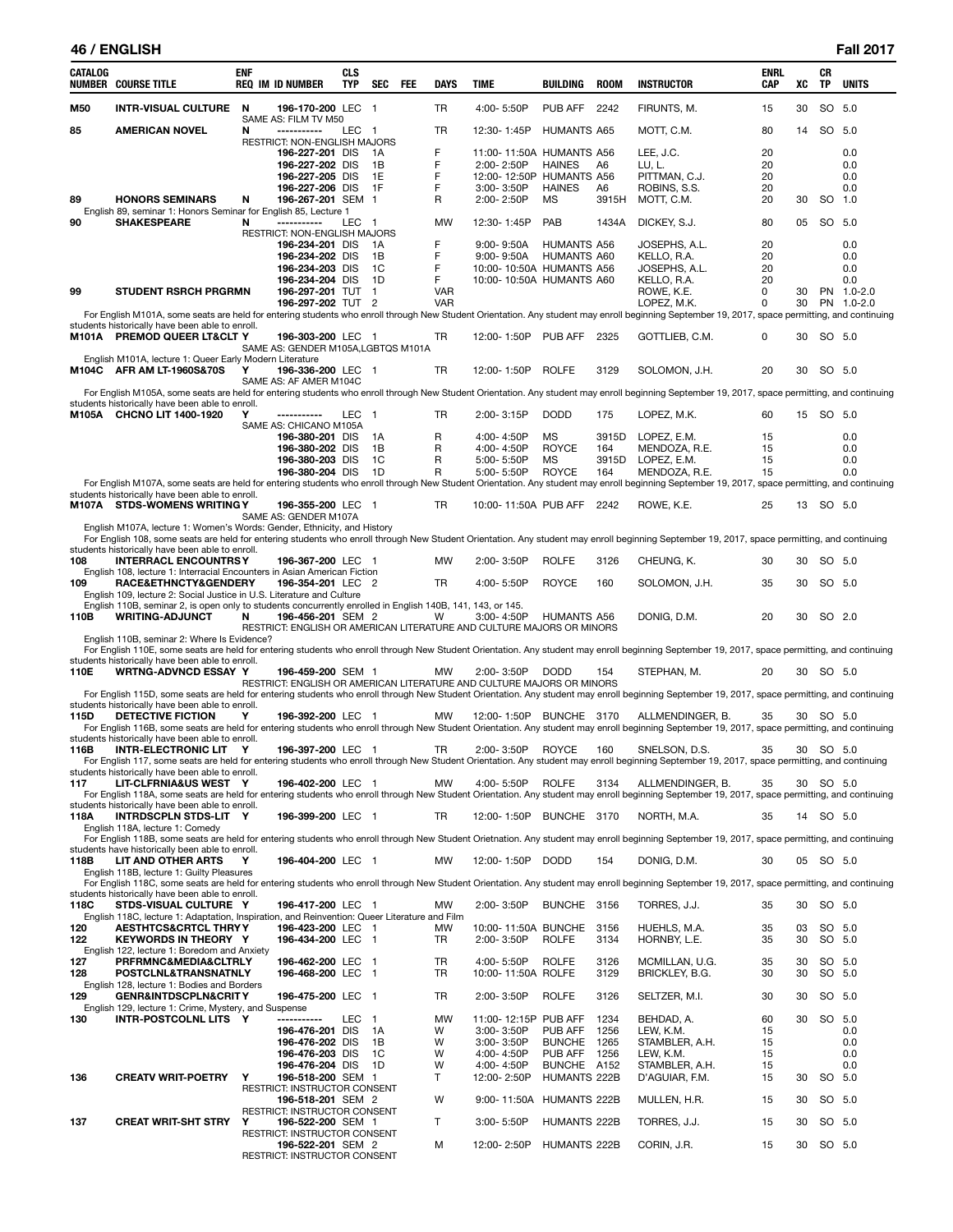#### **46 / ENGLISH Fall 2017**

| <b>CATALOG</b> | <b>NUMBER COURSE TITLE</b>                                                                                                           | ENF | <b>REQ IM ID NUMBER</b>                                               | <b>CLS</b><br><b>TYP</b> | <b>SEC</b>               | <b>FEE</b> | <b>DAYS</b> | TIME                     |                              | BUILDING                                  | <b>ROOM</b>  | <b>INSTRUCTOR</b>                                                                                                                                                                                             | <b>ENRL</b><br><b>CAP</b> | XC | CR<br>TP  | <b>UNITS</b> |
|----------------|--------------------------------------------------------------------------------------------------------------------------------------|-----|-----------------------------------------------------------------------|--------------------------|--------------------------|------------|-------------|--------------------------|------------------------------|-------------------------------------------|--------------|---------------------------------------------------------------------------------------------------------------------------------------------------------------------------------------------------------------|---------------------------|----|-----------|--------------|
| M50            | INTR-VISUAL CULTURE N                                                                                                                |     | 196-170-200 LEC 1                                                     |                          |                          |            | TR          | 4:00-5:50P               |                              | PUB AFF                                   | 2242         | FIRUNTS, M.                                                                                                                                                                                                   | 15                        | 30 | SO 5.0    |              |
| 85             | <b>AMERICAN NOVEL</b>                                                                                                                | N   | SAME AS: FILM TV M50<br>-----------                                   | LEC                      | - 1                      |            | TR          | 12:30-1:45P              |                              | <b>HUMANTS A65</b>                        |              | MOTT, C.M.                                                                                                                                                                                                    | 80                        | 14 | SO 5.0    |              |
|                |                                                                                                                                      |     | RESTRICT: NON-ENGLISH MAJORS<br>196-227-201 DIS                       |                          | - 1A                     |            | F           |                          |                              | 11:00-11:50A HUMANTS A56                  |              | LEE, J.C.                                                                                                                                                                                                     | 20                        |    |           | 0.0          |
|                |                                                                                                                                      |     | 196-227-202 DIS<br>196-227-205 DIS                                    |                          | 1B<br>1E                 |            | F<br>F      | 2:00-2:50P               |                              | <b>HAINES</b><br>12:00-12:50P HUMANTS A56 | A6           | LU, L.                                                                                                                                                                                                        | 20<br>20                  |    |           | 0.0<br>0.0   |
|                |                                                                                                                                      |     | 196-227-206 DIS                                                       |                          | 1F                       |            | F           | 3:00-3:50P               |                              | <b>HAINES</b>                             | A6           | PITTMAN, C.J.<br>ROBINS, S.S.                                                                                                                                                                                 | 20                        |    |           | 0.0          |
| 89             | <b>HONORS SEMINARS</b>                                                                                                               | N   | 196-267-201 SEM 1                                                     |                          |                          |            | R           | 2:00-2:50P               |                              | MS                                        | 3915H        | MOTT, C.M.                                                                                                                                                                                                    | 20                        | 30 | SO 1.0    |              |
| 90             | English 89, seminar 1: Honors Seminar for English 85, Lecture 1<br><b>SHAKESPEARE</b>                                                | N   | -----------                                                           | LEC 1                    |                          |            | <b>MW</b>   | 12:30-1:45P              |                              | PAB                                       | 1434A        | DICKEY, S.J.                                                                                                                                                                                                  | 80                        | 05 | SO 5.0    |              |
|                |                                                                                                                                      |     | RESTRICT: NON-ENGLISH MAJORS                                          |                          |                          |            |             |                          |                              |                                           |              |                                                                                                                                                                                                               |                           |    |           |              |
|                |                                                                                                                                      |     | 196-234-201 DIS<br>196-234-202 DIS                                    |                          | - 1 A<br>1B              |            | F<br>F      |                          | 9:00-9:50A<br>$9:00 - 9:50A$ | <b>HUMANTS A56</b><br><b>HUMANTS A60</b>  |              | JOSEPHS, A.L.<br>KELLO, R.A.                                                                                                                                                                                  | 20<br>20                  |    |           | 0.0<br>0.0   |
|                |                                                                                                                                      |     | 196-234-203 DIS                                                       |                          | 1C                       |            | F           |                          |                              | 10:00-10:50A HUMANTS A56                  |              | JOSEPHS, A.L.                                                                                                                                                                                                 | 20                        |    |           | 0.0          |
|                |                                                                                                                                      |     | 196-234-204 DIS                                                       |                          | 1D                       |            | F           |                          |                              | 10:00-10:50A HUMANTS A60                  |              | KELLO, R.A.                                                                                                                                                                                                   | 20                        |    |           | 0.0          |
| 99             | <b>STUDENT RSRCH PRGRMN</b>                                                                                                          |     | 196-297-201 TUT 1                                                     |                          |                          |            | <b>VAR</b>  |                          |                              |                                           |              | ROWE, K.E.                                                                                                                                                                                                    | 0                         | 30 |           | PN 1.0-2.0   |
|                |                                                                                                                                      |     | 196-297-202 TUT 2                                                     |                          |                          |            | <b>VAR</b>  |                          |                              |                                           |              | LOPEZ, M.K.<br>For English M101A, some seats are held for entering students who enroll through New Student Orientation. Any student may enroll beginning September 19, 2017, space permitting, and continuing | 0                         | 30 |           | PN 1.0-2.0   |
|                | students historically have been able to enroll.                                                                                      |     |                                                                       |                          |                          |            |             |                          |                              |                                           |              |                                                                                                                                                                                                               |                           |    |           |              |
|                | M101A PREMOD QUEER LT&CLT Y                                                                                                          |     | 196-303-200 LEC 1                                                     |                          |                          |            | TR          |                          |                              | 12:00-1:50P PUB AFF 2325                  |              | GOTTLIEB, C.M.                                                                                                                                                                                                | 0                         | 30 | SO 5.0    |              |
|                | English M101A, lecture 1: Queer Early Modern Literature                                                                              |     | SAME AS: GENDER M105A, LGBTQS M101A                                   |                          |                          |            |             |                          |                              |                                           |              |                                                                                                                                                                                                               |                           |    |           |              |
|                | M104C AFR AM LT-1960S&70S                                                                                                            | Y   | 196-336-200 LEC 1                                                     |                          |                          |            | TR          | 12:00-1:50P              |                              | <b>ROLFE</b>                              | 3129         | SOLOMON, J.H.                                                                                                                                                                                                 | 20                        | 30 | SO 5.0    |              |
|                |                                                                                                                                      |     | SAME AS: AF AMER M104C                                                |                          |                          |            |             |                          |                              |                                           |              |                                                                                                                                                                                                               |                           |    |           |              |
|                | students historically have been able to enroll.                                                                                      |     |                                                                       |                          |                          |            |             |                          |                              |                                           |              | For English M105A, some seats are held for entering students who enroll through New Student Orientation. Any student may enroll beginning September 19, 2017, space permitting, and continuing                |                           |    |           |              |
|                | M105A CHCNO LIT 1400-1920                                                                                                            | Y   | -----------                                                           | LEC 1                    |                          |            | TR          | 2:00-3:15P               |                              | <b>DODD</b>                               | 175          | LOPEZ, M.K.                                                                                                                                                                                                   | 60                        |    | 15 SO 5.0 |              |
|                |                                                                                                                                      |     | SAME AS: CHICANO M105A<br>196-380-201 DIS                             |                          | 1A                       |            | R           | 4:00-4:50P               |                              | МS                                        | 3915D        | LOPEZ, E.M.                                                                                                                                                                                                   | 15                        |    |           | 0.0          |
|                |                                                                                                                                      |     | 196-380-202 DIS                                                       |                          | 1B                       |            | R           | 4:00-4:50P               |                              | ROYCE                                     | 164          | MENDOZA, R.E.                                                                                                                                                                                                 | 15                        |    |           | 0.0          |
|                |                                                                                                                                      |     | 196-380-203 DIS                                                       |                          | 1C                       |            | R           | 5:00-5:50P               |                              | MS                                        | 3915D        | LOPEZ, E.M.                                                                                                                                                                                                   | 15                        |    |           | 0.0          |
|                |                                                                                                                                      |     | 196-380-204 DIS                                                       |                          | 1D                       |            | R           | 5:00-5:50P               |                              | <b>ROYCE</b>                              | 164          | MENDOZA, R.E.                                                                                                                                                                                                 | 15                        |    |           | 0.0          |
|                | students historically have been able to enroll.                                                                                      |     |                                                                       |                          |                          |            |             |                          |                              |                                           |              | For English M107A, some seats are held for entering students who enroll through New Student Orientation. Any student may enroll beginning September 19, 2017, space permitting, and continuing                |                           |    |           |              |
|                | M107A STDS-WOMENS WRITING Y                                                                                                          |     | 196-355-200 LEC 1                                                     |                          |                          |            | TR          |                          |                              | 10:00-11:50A PUB AFF 2242                 |              | ROWE, K.E.                                                                                                                                                                                                    | 25                        |    | 13 SO 5.0 |              |
|                |                                                                                                                                      |     | SAME AS: GENDER M107A                                                 |                          |                          |            |             |                          |                              |                                           |              |                                                                                                                                                                                                               |                           |    |           |              |
|                | English M107A, lecture 1: Women's Words: Gender, Ethnicity, and History                                                              |     |                                                                       |                          |                          |            |             |                          |                              |                                           |              | For English 108, some seats are held for entering students who enroll through New Student Orientation. Any student may enroll beginning September 19, 2017, space permitting, and continuing                  |                           |    |           |              |
|                | students historically have been able to enroll.                                                                                      |     |                                                                       |                          |                          |            |             |                          |                              |                                           |              |                                                                                                                                                                                                               |                           |    |           |              |
| 108            | <b>INTERRACL ENCOUNTRSY</b>                                                                                                          |     | 196-367-200 LEC 1                                                     |                          |                          |            | MW          | $2:00 - 3:50P$           |                              | <b>ROLFE</b>                              | 3126         | CHEUNG, K.                                                                                                                                                                                                    | 30                        | 30 | SO 5.0    |              |
| 109            | English 108, lecture 1: Interracial Encounters in Asian American Fiction<br>RACE&ETHNCTY&GENDERY                                     |     | 196-354-201 LEC 2                                                     |                          |                          |            | TR          | 4:00-5:50P               |                              | ROYCE                                     | 160          | SOLOMON, J.H.                                                                                                                                                                                                 | 35                        | 30 | SO 5.0    |              |
|                | English 109, lecture 2: Social Justice in U.S. Literature and Culture                                                                |     |                                                                       |                          |                          |            |             |                          |                              |                                           |              |                                                                                                                                                                                                               |                           |    |           |              |
| 110B           | English 110B, seminar 2, is open only to students concurrently enrolled in English 140B, 141, 143, or 145.<br><b>WRITING-ADJUNCT</b> | N   | 196-456-201 SEM 2                                                     |                          |                          |            | W           | 3:00-4:50P               |                              | <b>HUMANTS A56</b>                        |              | DONIG, D.M.                                                                                                                                                                                                   | 20                        | 30 | SO 2.0    |              |
|                |                                                                                                                                      |     | RESTRICT: ENGLISH OR AMERICAN LITERATURE AND CULTURE MAJORS OR MINORS |                          |                          |            |             |                          |                              |                                           |              |                                                                                                                                                                                                               |                           |    |           |              |
|                | English 110B, seminar 2: Where Is Evidence?                                                                                          |     |                                                                       |                          |                          |            |             |                          |                              |                                           |              |                                                                                                                                                                                                               |                           |    |           |              |
|                | students historically have been able to enroll.                                                                                      |     |                                                                       |                          |                          |            |             |                          |                              |                                           |              | For English 110E, some seats are held for entering students who enroll through New Student Orientation. Any student may enroll beginning September 19, 2017, space permitting, and continuing                 |                           |    |           |              |
| 110E           | <b>WRTNG-ADVNCD ESSAY Y</b>                                                                                                          |     | 196-459-200 SEM 1                                                     |                          |                          |            | МW          | 2:00-3:50P               |                              | <b>DODD</b>                               | 154          | STEPHAN, M.                                                                                                                                                                                                   | 20                        |    | 30 SO 5.0 |              |
|                |                                                                                                                                      |     | RESTRICT: ENGLISH OR AMERICAN LITERATURE AND CULTURE MAJORS OR MINORS |                          |                          |            |             |                          |                              |                                           |              |                                                                                                                                                                                                               |                           |    |           |              |
|                | students historically have been able to enroll.                                                                                      |     |                                                                       |                          |                          |            |             |                          |                              |                                           |              | For English 115D, some seats are held for entering students who enroll through New Student Orientation. Any student may enroll beginning September 19, 2017, space permitting, and continuing                 |                           |    |           |              |
| 115D           | DETECTIVE FICTION                                                                                                                    | Υ   | 196-392-200 LEC 1                                                     |                          |                          |            | МW          |                          |                              | 12:00-1:50P BUNCHE 3170                   |              | ALLMENDINGER, B.                                                                                                                                                                                              | 35                        |    | 30 SO 5.0 |              |
|                | students historically have been able to enroll.                                                                                      |     |                                                                       |                          |                          |            |             |                          |                              |                                           |              | For English 116B, some seats are held for entering students who enroll through New Student Orientation. Any student may enroll beginning September 19, 2017, space permitting, and continuing                 |                           |    |           |              |
| 116B           | INTR-ELECTRONIC LIT Y                                                                                                                |     | 196-397-200 LEC 1                                                     |                          |                          |            | TR          |                          |                              | 2:00-3:50P ROYCE                          | 160          | SNELSON, D.S.                                                                                                                                                                                                 | 35                        |    | 30 SO 5.0 |              |
|                |                                                                                                                                      |     |                                                                       |                          |                          |            |             |                          |                              |                                           |              | For English 117, some seats are held for entering students who enroll through New Student Orientation. Any student may enroll beginning September 19, 2017, space permitting, and continuing                  |                           |    |           |              |
| 117            | students historically have been able to enroll.<br>LIT-CLFRNIA&US WEST Y                                                             |     | 196-402-200 LEC 1                                                     |                          |                          |            | МW          |                          | 4:00-5:50P                   | <b>ROLFE</b>                              | 3134         | ALLMENDINGER, B.                                                                                                                                                                                              | 35                        |    | 30 SO 5.0 |              |
|                |                                                                                                                                      |     |                                                                       |                          |                          |            |             |                          |                              |                                           |              | For English 118A, some seats are held for entering students who enroll through New Student Orientation. Any student may enroll beginning September 19, 2017, space permitting, and continuing                 |                           |    |           |              |
|                | students historically have been able to enroll.                                                                                      |     |                                                                       |                          |                          |            |             |                          |                              |                                           |              |                                                                                                                                                                                                               |                           |    |           |              |
| 118A           | INTRDSCPLN STDS-LIT Y<br>English 118A, lecture 1: Comedy                                                                             |     | 196-399-200 LEC 1                                                     |                          |                          |            | TR          |                          | 12:00-1:50P                  | BUNCHE 3170                               |              | NORTH, M.A.                                                                                                                                                                                                   | 35                        |    | 14 SO 5.0 |              |
|                |                                                                                                                                      |     |                                                                       |                          |                          |            |             |                          |                              |                                           |              | For English 118B, some seats are held for entering students who enroll through New Student Orietnation. Any student may enroll beginning September 19, 2017, space permitting, and continuing                 |                           |    |           |              |
| 118B           | students have historically been able to enroll.<br>LIT AND OTHER ARTS                                                                | Y   | 196-404-200 LEC 1                                                     |                          |                          |            | MW          |                          | 12:00-1:50P DODD             |                                           | 154          | DONIG, D.M.                                                                                                                                                                                                   | 30                        |    | 05 SO 5.0 |              |
|                | English 118B, lecture 1: Guilty Pleasures                                                                                            |     |                                                                       |                          |                          |            |             |                          |                              |                                           |              |                                                                                                                                                                                                               |                           |    |           |              |
|                |                                                                                                                                      |     |                                                                       |                          |                          |            |             |                          |                              |                                           |              | For English 118C, some seats are held for entering students who enroll through New Student Orientation. Any student may enroll beginning September 19, 2017, space permitting, and continuing                 |                           |    |           |              |
| 118C           | students historically have been able to enroll.<br>STDS-VISUAL CULTURE Y                                                             |     | 196-417-200 LEC 1                                                     |                          |                          |            | МW          | 2:00-3:50P               |                              | BUNCHE 3156                               |              | TORRES, J.J.                                                                                                                                                                                                  | 35                        | 30 | SO 5.0    |              |
|                | English 118C, lecture 1: Adaptation, Inspiration, and Reinvention: Queer Literature and Film                                         |     |                                                                       |                          |                          |            |             |                          |                              |                                           |              |                                                                                                                                                                                                               |                           |    |           |              |
| 120            | <b>AESTHTCS&amp;CRTCL THRY Y</b>                                                                                                     |     | 196-423-200 LEC 1                                                     |                          |                          |            | МW          |                          |                              | 10:00-11:50A BUNCHE 3156                  |              | HUEHLS, M.A.                                                                                                                                                                                                  | 35                        | 03 | SO 5.0    |              |
| 122            | <b>KEYWORDS IN THEORY Y</b><br>English 122, lecture 1: Boredom and Anxiety                                                           |     | 196-434-200 LEC 1                                                     |                          |                          |            | TR          | 2:00-3:50P               |                              | <b>ROLFE</b>                              | 3134         | HORNBY, L.E.                                                                                                                                                                                                  | 35                        | 30 | SO 5.0    |              |
| 127            | PRFRMNC&MEDIA&CLTRLY                                                                                                                 |     | 196-462-200 LEC                                                       |                          | - 1                      |            | TR          | 4:00-5:50P               |                              | <b>ROLFE</b>                              | 3126         | MCMILLAN, U.G.                                                                                                                                                                                                | 35                        | 30 | SO 5.0    |              |
| 128            | POSTCLNL&TRANSNATNLY                                                                                                                 |     | 196-468-200 LEC 1                                                     |                          |                          |            | TR          |                          |                              | 10:00-11:50A ROLFE                        | 3129         | BRICKLEY, B.G.                                                                                                                                                                                                | 30                        | 30 | SO 5.0    |              |
| 129            | English 128, lecture 1: Bodies and Borders<br><b>GENR&amp;INTDSCPLN&amp;CRITY</b>                                                    |     | 196-475-200 LEC                                                       |                          | $\overline{\phantom{0}}$ |            | TR          | 2:00-3:50P               |                              | <b>ROLFE</b>                              | 3126         | SELTZER, M.I.                                                                                                                                                                                                 | 30                        | 30 | SO 5.0    |              |
|                | English 129, lecture 1: Crime, Mystery, and Suspense                                                                                 |     |                                                                       |                          |                          |            |             |                          |                              |                                           |              |                                                                                                                                                                                                               |                           |    |           |              |
| 130            | INTR-POSTCOLNL LITS Y                                                                                                                |     | -----------                                                           | LEC                      | $\overline{1}$           |            | MW          |                          |                              | 11:00-12:15P PUB AFF                      | 1234         | BEHDAD, A.                                                                                                                                                                                                    | 60                        | 30 | SO 5.0    |              |
|                |                                                                                                                                      |     | 196-476-201 DIS                                                       |                          | 1A                       |            | W           | 3:00-3:50P               |                              | PUB AFF                                   | 1256         | LEW, K.M.                                                                                                                                                                                                     | 15                        |    |           | 0.0          |
|                |                                                                                                                                      |     | 196-476-202 DIS<br>196-476-203 DIS                                    |                          | 1B<br>1C                 |            | W<br>W      | 3:00-3:50P               |                              | <b>BUNCHE</b><br>PUB AFF                  | 1265<br>1256 | STAMBLER, A.H.                                                                                                                                                                                                | 15<br>15                  |    |           | 0.0<br>0.0   |
|                |                                                                                                                                      |     | 196-476-204 DIS 1D                                                    |                          |                          |            | W           | 4:00-4:50P<br>4:00-4:50P |                              | BUNCHE A152                               |              | LEW, K.M.<br>STAMBLER, A.H.                                                                                                                                                                                   | 15                        |    |           | 0.0          |
| 136            | <b>CREATV WRIT-POETRY</b>                                                                                                            | Υ   | 196-518-200 SEM 1                                                     |                          |                          |            | T           | 12:00-2:50P              |                              | HUMANTS 222B                              |              | D'AGUIAR, F.M.                                                                                                                                                                                                | 15                        | 30 | SO 5.0    |              |
|                |                                                                                                                                      |     | RESTRICT: INSTRUCTOR CONSENT                                          |                          |                          |            |             |                          |                              |                                           |              |                                                                                                                                                                                                               |                           |    |           |              |
|                |                                                                                                                                      |     | 196-518-201 SEM 2<br>RESTRICT: INSTRUCTOR CONSENT                     |                          |                          |            | W           |                          | 9:00-11:50A                  | HUMANTS 222B                              |              | MULLEN, H.R.                                                                                                                                                                                                  | 15                        | 30 | SO 5.0    |              |
| 137            | <b>CREAT WRIT-SHT STRY</b>                                                                                                           | Υ   | 196-522-200 SEM 1                                                     |                          |                          |            | т           | 3:00-5:50P               |                              | HUMANTS 222B                              |              | TORRES, J.J.                                                                                                                                                                                                  | 15                        | 30 | SO 5.0    |              |
|                |                                                                                                                                      |     | <b>RESTRICT: INSTRUCTOR CONSENT</b>                                   |                          |                          |            |             |                          |                              |                                           |              |                                                                                                                                                                                                               |                           |    |           |              |
|                |                                                                                                                                      |     | 196-522-201 SEM 2<br>RESTRICT: INSTRUCTOR CONSENT                     |                          |                          |            | М           |                          | 12:00-2:50P                  | HUMANTS 222B                              |              | CORIN, J.R.                                                                                                                                                                                                   | 15                        | 30 | SO 5.0    |              |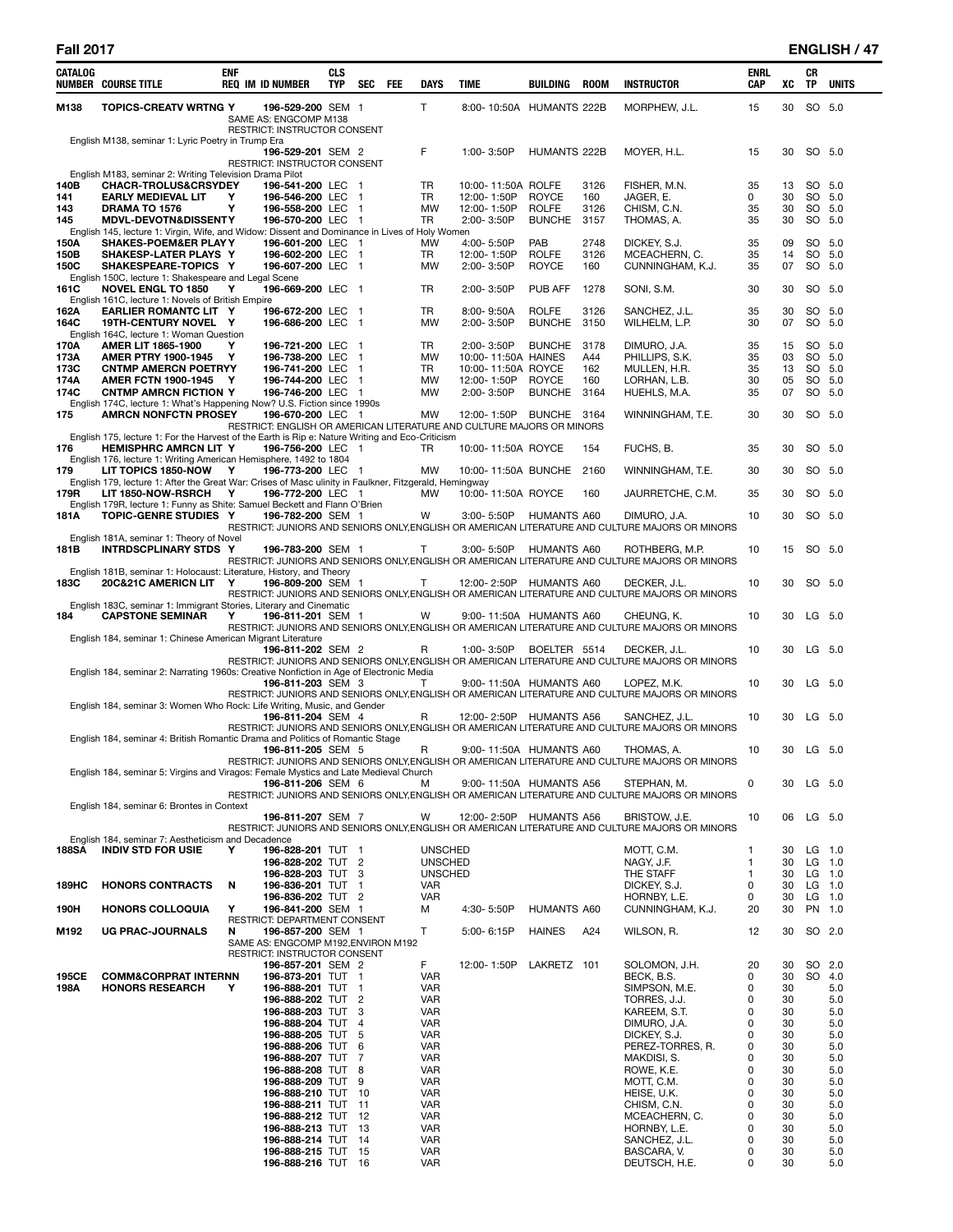| CATALOG      | NUMBER COURSE TITLE                                                                                                          | <b>ENF</b> | <b>REQ IM ID NUMBER</b>                                  | <b>CLS</b><br>TYP | SEC                              | FEE | DAYS                             | TIME                                                                  | BUILDING                      | ROOM         | <b>INSTRUCTOR</b>                                                                                               | ENRL<br>CAP | XC       | CR<br>TP | <b>UNITS</b>     |
|--------------|------------------------------------------------------------------------------------------------------------------------------|------------|----------------------------------------------------------|-------------------|----------------------------------|-----|----------------------------------|-----------------------------------------------------------------------|-------------------------------|--------------|-----------------------------------------------------------------------------------------------------------------|-------------|----------|----------|------------------|
| M138         | <b>TOPICS-CREATV WRTNG Y</b>                                                                                                 |            | 196-529-200 SEM 1<br>SAME AS: ENGCOMP M138               |                   |                                  |     | T.                               | 8:00-10:50A HUMANTS 222B                                              |                               |              | MORPHEW, J.L.                                                                                                   | 15          | 30       |          | SO 5.0           |
|              | English M138, seminar 1: Lyric Poetry in Trump Era                                                                           |            | RESTRICT: INSTRUCTOR CONSENT<br>196-529-201 SEM 2        |                   |                                  |     | F                                | 1:00-3:50P                                                            | <b>HUMANTS 222B</b>           |              | MOYER, H.L.                                                                                                     | 15          | 30       | SO 5.0   |                  |
|              |                                                                                                                              |            | RESTRICT: INSTRUCTOR CONSENT                             |                   |                                  |     |                                  |                                                                       |                               |              |                                                                                                                 |             |          |          |                  |
| 140B         | English M183, seminar 2: Writing Television Drama Pilot<br><b>CHACR-TROLUS&amp;CRSYDEY</b>                                   |            | 196-541-200 LEC                                          |                   | - 1                              |     | TR                               | 10:00-11:50A ROLFE                                                    |                               | 3126         | FISHER, M.N.                                                                                                    | 35          | 13       |          | SO 5.0           |
| 141          | <b>EARLY MEDIEVAL LIT</b>                                                                                                    | Y<br>Y     | 196-546-200 LEC                                          |                   | - 1                              |     | TR<br><b>MW</b>                  | 12:00-1:50P                                                           | <b>ROYCE</b>                  | 160          | JAGER, E.                                                                                                       | 0           | 30       |          | SO 5.0<br>SO 5.0 |
| 143<br>145   | DRAMA TO 1576<br><b>MDVL-DEVOTN&amp;DISSENTY</b>                                                                             |            | 196-558-200 LEC<br>196-570-200 LEC 1                     |                   | $\overline{1}$                   |     | TR                               | 12:00-1:50P<br>2:00-3:50P                                             | <b>ROLFE</b><br><b>BUNCHE</b> | 3126<br>3157 | CHISM, C.N.<br>THOMAS, A.                                                                                       | 35<br>35    | 30<br>30 |          | SO 5.0           |
|              | English 145, lecture 1: Virgin, Wife, and Widow: Dissent and Dominance in Lives of Holy Women                                |            |                                                          |                   |                                  |     |                                  |                                                                       |                               |              |                                                                                                                 |             |          |          |                  |
| 150A<br>150B | <b>SHAKES-POEM&amp;ER PLAY Y</b><br>SHAKESP-LATER PLAYS Y                                                                    |            | 196-601-200 LEC 1<br>196-602-200 LEC 1                   |                   |                                  |     | MW<br>TR                         | 4:00-5:50P<br>12:00-1:50P                                             | PAB<br><b>ROLFE</b>           | 2748<br>3126 | DICKEY, S.J.<br>MCEACHERN, C.                                                                                   | 35<br>35    | 09<br>14 |          | SO 5.0<br>SO 5.0 |
| 150C         | SHAKESPEARE-TOPICS Y                                                                                                         |            | 196-607-200 LEC 1                                        |                   |                                  |     | MW                               | 2:00-3:50P                                                            | <b>ROYCE</b>                  | 160          | CUNNINGHAM, K.J.                                                                                                | 35          | 07       |          | SO 5.0           |
| 161C         | English 150C, lecture 1: Shakespeare and Legal Scene<br><b>NOVEL ENGL TO 1850</b>                                            | Y          | 196-669-200 LEC 1                                        |                   |                                  |     | TR                               | 2:00-3:50P                                                            | PUB AFF                       | 1278         | SONI, S.M.                                                                                                      | 30          | 30       |          | SO 5.0           |
|              | English 161C, lecture 1: Novels of British Empire                                                                            |            |                                                          |                   |                                  |     |                                  |                                                                       |                               |              |                                                                                                                 |             |          |          |                  |
| 162A<br>164C | EARLIER ROMANTC LIT Y<br>19TH-CENTURY NOVEL Y<br>English 164C, lecture 1: Woman Question                                     |            | 196-672-200 LEC 1<br>196-686-200 LEC                     |                   | $\blacksquare$                   |     | TR<br>MW                         | $8:00 - 9:50A$<br>2:00-3:50P                                          | <b>ROLFE</b><br><b>BUNCHE</b> | 3126<br>3150 | SANCHEZ, J.L.<br>WILHELM, L.P.                                                                                  | 35<br>30    | 30<br>07 |          | SO 5.0<br>SO 5.0 |
| 170A         | <b>AMER LIT 1865-1900</b>                                                                                                    | Y          | 196-721-200 LEC                                          |                   | $\blacksquare$                   |     | TR                               | 2:00-3:50P                                                            | <b>BUNCHE</b>                 | 3178         | DIMURO, J.A.                                                                                                    | 35          | 15       |          | SO 5.0           |
| 173A<br>173C | <b>AMER PTRY 1900-1945</b><br><b>CNTMP AMERCN POETRYY</b>                                                                    | Y          | 196-738-200 LEC<br>196-741-200 LEC                       |                   | $\overline{1}$<br>$\overline{1}$ |     | MW<br>TR                         | 10:00-11:50A HAINES<br>10:00-11:50A ROYCE                             |                               | A44<br>162   | PHILLIPS, S.K.<br>MULLEN, H.R.                                                                                  | 35<br>35    | 03<br>13 |          | SO 5.0<br>SO 5.0 |
| 174A         | AMER FCTN 1900-1945 Y                                                                                                        |            | 196-744-200 LEC                                          |                   | $\blacksquare$                   |     | MW                               | 12:00-1:50P                                                           | <b>ROYCE</b>                  | 160          | LORHAN, L.B.                                                                                                    | 30          | 05       |          | SO 5.0           |
| 174C         | <b>CNTMP AMRCN FICTION Y</b><br>English 174C, lecture 1: What's Happening Now? U.S. Fiction since 1990s                      |            | 196-746-200 LEC 1                                        |                   |                                  |     | MW                               | 2:00-3:50P                                                            | <b>BUNCHE</b>                 | 3164         | HUEHLS, M.A.                                                                                                    | 35          | 07       |          | SO 5.0           |
| 175          | <b>AMRCN NONFCTN PROSEY</b>                                                                                                  |            | 196-670-200 LEC 1                                        |                   |                                  |     | МW                               | 12:00-1:50P BUNCHE 3164                                               |                               |              | WINNINGHAM, T.E.                                                                                                | 30          | 30       | SO 5.0   |                  |
|              | English 175, lecture 1: For the Harvest of the Earth is Rip e: Nature Writing and Eco-Criticism                              |            |                                                          |                   |                                  |     |                                  | RESTRICT: ENGLISH OR AMERICAN LITERATURE AND CULTURE MAJORS OR MINORS |                               |              |                                                                                                                 |             |          |          |                  |
| 176          | <b>HEMISPHRC AMRCN LIT Y</b>                                                                                                 |            | 196-756-200 LEC 1                                        |                   |                                  |     | TR                               | 10:00-11:50A ROYCE                                                    |                               | 154          | FUCHS, B.                                                                                                       | 35          | 30       | SO 5.0   |                  |
| 179          | English 176, lecture 1: Writing American Hemisphere, 1492 to 1804<br><b>LIT TOPICS 1850-NOW</b>                              | Y          | 196-773-200 LEC 1                                        |                   |                                  |     | MW                               | 10:00-11:50A BUNCHE 2160                                              |                               |              | WINNINGHAM, T.E.                                                                                                | 30          | 30       | SO 5.0   |                  |
| 179R         | English 179, lecture 1: After the Great War: Crises of Masc ulinity in Faulkner, Fitzgerald, Hemingway<br>LIT 1850-NOW-RSRCH | Y          | 196-772-200 LEC 1                                        |                   |                                  |     | MW                               | 10:00-11:50A ROYCE                                                    |                               | 160          | JAURRETCHE, C.M.                                                                                                | 35          | 30       |          | SO 5.0           |
|              | English 179R, lecture 1: Funny as Shite: Samuel Beckett and Flann O'Brien                                                    |            |                                                          |                   |                                  |     |                                  |                                                                       |                               |              |                                                                                                                 |             |          |          |                  |
| 181A         | TOPIC-GENRE STUDIES Y                                                                                                        |            | 196-782-200 SEM 1                                        |                   |                                  |     | W                                | $3:00 - 5:50P$                                                        | HUMANTS A60                   |              | DIMURO, J.A.<br>RESTRICT: JUNIORS AND SENIORS ONLY, ENGLISH OR AMERICAN LITERATURE AND CULTURE MAJORS OR MINORS | 10          | 30       |          | SO 5.0           |
| 181B         | English 181A, seminar 1: Theory of Novel<br>INTRDSCPLINARY STDS Y                                                            |            | 196-783-200 SEM 1                                        |                   |                                  |     | т                                | $3:00 - 5:50P$                                                        | HUMANTS A60                   |              | ROTHBERG, M.P.                                                                                                  | 10          | 15       |          | SO 5.0           |
|              | English 181B, seminar 1: Holocaust: Literature, History, and Theory                                                          |            |                                                          |                   |                                  |     |                                  |                                                                       |                               |              | RESTRICT: JUNIORS AND SENIORS ONLY, ENGLISH OR AMERICAN LITERATURE AND CULTURE MAJORS OR MINORS                 |             |          |          |                  |
| 183C         | 20C&21C AMERICN LIT Y                                                                                                        |            | 196-809-200 SEM 1                                        |                   |                                  |     | т                                | 12:00-2:50P HUMANTS A60                                               |                               |              | DECKER, J.L.<br>RESTRICT: JUNIORS AND SENIORS ONLY, ENGLISH OR AMERICAN LITERATURE AND CULTURE MAJORS OR MINORS | 10          | 30       | SO 5.0   |                  |
|              | English 183C, seminar 1: Immigrant Stories, Literary and Cinematic                                                           |            |                                                          |                   |                                  |     |                                  |                                                                       |                               |              |                                                                                                                 |             |          |          |                  |
| 184          | <b>CAPSTONE SEMINAR</b>                                                                                                      | Y          | 196-811-201 SEM 1                                        |                   |                                  |     | W                                | 9:00-11:50A HUMANTS A60                                               |                               |              | CHEUNG, K.<br>RESTRICT: JUNIORS AND SENIORS ONLY, ENGLISH OR AMERICAN LITERATURE AND CULTURE MAJORS OR MINORS   | 10          | 30       |          | LG 5.0           |
|              | English 184, seminar 1: Chinese American Migrant Literature                                                                  |            | 196-811-202 SEM 2                                        |                   |                                  |     | R                                | 1:00-3:50P                                                            | BOELTER 5514                  |              | DECKER, J.L.<br>RESTRICT: JUNIORS AND SENIORS ONLY, ENGLISH OR AMERICAN LITERATURE AND CULTURE MAJORS OR MINORS | 10          | 30       |          | LG 5.0           |
|              | English 184, seminar 2: Narrating 1960s: Creative Nonfiction in Age of Electronic Media                                      |            |                                                          |                   |                                  |     |                                  |                                                                       |                               |              |                                                                                                                 |             |          |          |                  |
|              |                                                                                                                              |            | 196-811-203 SEM 3                                        |                   |                                  |     | т                                | 9:00-11:50A HUMANTS A60                                               |                               |              | LOPEZ, M.K.<br>RESTRICT: JUNIORS AND SENIORS ONLY, ENGLISH OR AMERICAN LITERATURE AND CULTURE MAJORS OR MINORS  | 10          | 30       |          | LG 5.0           |
|              | English 184, seminar 3: Women Who Rock: Life Writing, Music, and Gender                                                      |            |                                                          |                   |                                  |     |                                  |                                                                       |                               |              | SANCHEZ. J.L.                                                                                                   |             |          |          |                  |
|              |                                                                                                                              |            | 196-811-204 SEM 4                                        |                   |                                  |     | R                                | 12:00-2:50P HUMANTS A56                                               |                               |              | RESTRICT: JUNIORS AND SENIORS ONLY, ENGLISH OR AMERICAN LITERATURE AND CULTURE MAJORS OR MINORS                 | 10          | 30       |          | LG 5.0           |
|              | English 184, seminar 4: British Romantic Drama and Politics of Romantic Stage                                                |            | 196-811-205 SEM 5                                        |                   |                                  |     | R                                | 9:00-11:50A HUMANTS A60                                               |                               |              | THOMAS, A.                                                                                                      | 10          | 30       | LG 5.0   |                  |
|              |                                                                                                                              |            |                                                          |                   |                                  |     |                                  |                                                                       |                               |              | RESTRICT: JUNIORS AND SENIORS ONLY, ENGLISH OR AMERICAN LITERATURE AND CULTURE MAJORS OR MINORS                 |             |          |          |                  |
|              | English 184, seminar 5: Virgins and Viragos: Female Mystics and Late Medieval Church                                         |            | 196-811-206 SEM 6                                        |                   |                                  |     | М                                | 9:00-11:50A HUMANTS A56                                               |                               |              | STEPHAN, M.                                                                                                     | 0           | 30       |          | LG 5.0           |
|              |                                                                                                                              |            |                                                          |                   |                                  |     |                                  |                                                                       |                               |              | RESTRICT: JUNIORS AND SENIORS ONLY, ENGLISH OR AMERICAN LITERATURE AND CULTURE MAJORS OR MINORS                 |             |          |          |                  |
|              | English 184, seminar 6: Brontes in Context                                                                                   |            | 196-811-207 SEM 7                                        |                   |                                  |     | W                                | 12:00-2:50P HUMANTS A56                                               |                               |              | BRISTOW, J.E.                                                                                                   | 10          | 06       | LG 5.0   |                  |
|              | English 184, seminar 7: Aestheticism and Decadence                                                                           |            |                                                          |                   |                                  |     |                                  |                                                                       |                               |              | RESTRICT: JUNIORS AND SENIORS ONLY, ENGLISH OR AMERICAN LITERATURE AND CULTURE MAJORS OR MINORS                 |             |          |          |                  |
| 188SA        | <b>INDIV STD FOR USIE</b>                                                                                                    | Υ          | 196-828-201 TUT 1                                        |                   |                                  |     | <b>UNSCHED</b>                   |                                                                       |                               |              | MOTT, C.M.                                                                                                      | 1           | 30       |          | $LG$ 1.0         |
|              |                                                                                                                              |            | 196-828-202 TUT 2<br>196-828-203 TUT 3                   |                   |                                  |     | <b>UNSCHED</b><br><b>UNSCHED</b> |                                                                       |                               |              | NAGY, J.F.<br>THE STAFF                                                                                         | 1<br>1      | 30<br>30 | $LG$ 1.0 | $LG$ 1.0         |
| 189HC        | <b>HONORS CONTRACTS</b>                                                                                                      | N          | 196-836-201 TUT 1                                        |                   |                                  |     | <b>VAR</b>                       |                                                                       |                               |              | DICKEY, S.J.                                                                                                    | 0           | 30       | LG 1.0   |                  |
| 190H         | <b>HONORS COLLOQUIA</b>                                                                                                      | Υ          | 196-836-202 TUT 2<br>196-841-200 SEM 1                   |                   |                                  |     | <b>VAR</b><br>м                  | 4:30-5:50P                                                            | <b>HUMANTS A60</b>            |              | HORNBY, L.E.<br>CUNNINGHAM, K.J.                                                                                | 0<br>20     | 30<br>30 | $LG$ 1.0 | PN 1.0           |
|              |                                                                                                                              |            | RESTRICT: DEPARTMENT CONSENT                             |                   |                                  |     |                                  |                                                                       |                               |              |                                                                                                                 |             |          |          |                  |
| M192         | <b>UG PRAC-JOURNALS</b>                                                                                                      | N          | 196-857-200 SEM 1<br>SAME AS: ENGCOMP M192, ENVIRON M192 |                   |                                  |     | T                                | 5:00-6:15P                                                            | <b>HAINES</b>                 | A24          | WILSON, R.                                                                                                      | 12          | 30       |          | SO 2.0           |
|              |                                                                                                                              |            | RESTRICT: INSTRUCTOR CONSENT<br>196-857-201 SEM 2        |                   |                                  |     | F                                | 12:00-1:50P LAKRETZ 101                                               |                               |              | SOLOMON, J.H.                                                                                                   | 20          | 30       |          | SO 2.0           |
| 195CE        | <b>COMM&amp;CORPRAT INTERNN</b>                                                                                              |            | 196-873-201 TUT 1                                        |                   |                                  |     | <b>VAR</b>                       |                                                                       |                               |              | BECK, B.S.                                                                                                      | 0           | 30       |          | SO 4.0           |
| 198A         | <b>HONORS RESEARCH</b>                                                                                                       | Y          | 196-888-201 TUT<br>196-888-202 TUT 2                     |                   | $\mathbf{1}$                     |     | <b>VAR</b><br><b>VAR</b>         |                                                                       |                               |              | SIMPSON, M.E.<br>TORRES, J.J.                                                                                   | 0<br>0      | 30<br>30 |          | 5.0<br>5.0       |
|              |                                                                                                                              |            | 196-888-203 TUT                                          |                   | 3                                |     | <b>VAR</b>                       |                                                                       |                               |              | KAREEM, S.T.                                                                                                    | 0           | 30       |          | 5.0              |
|              |                                                                                                                              |            | 196-888-204 TUT<br>196-888-205 TUT                       |                   | -4<br>5                          |     | <b>VAR</b><br><b>VAR</b>         |                                                                       |                               |              | DIMURO, J.A.<br>DICKEY, S.J.                                                                                    | 0<br>0      | 30<br>30 |          | 5.0<br>5.0       |
|              |                                                                                                                              |            | 196-888-206 TUT                                          |                   | - 6                              |     | <b>VAR</b>                       |                                                                       |                               |              | PEREZ-TORRES, R.                                                                                                | 0           | 30       |          | 5.0              |
|              |                                                                                                                              |            | 196-888-207 TUT                                          |                   | -7                               |     | <b>VAR</b>                       |                                                                       |                               |              | MAKDISI, S.                                                                                                     | 0           | 30       |          | 5.0              |
|              |                                                                                                                              |            | 196-888-208 TUT 8<br>196-888-209 TUT                     |                   | 9                                |     | <b>VAR</b><br><b>VAR</b>         |                                                                       |                               |              | ROWE, K.E.<br>MOTT, C.M.                                                                                        | 0<br>0      | 30<br>30 |          | 5.0<br>5.0       |
|              |                                                                                                                              |            | 196-888-210 TUT                                          |                   | - 10                             |     | <b>VAR</b>                       |                                                                       |                               |              | HEISE, U.K.                                                                                                     | 0           | 30       |          | 5.0              |
|              |                                                                                                                              |            | 196-888-211 TUT 11<br>196-888-212 TUT 12                 |                   |                                  |     | <b>VAR</b><br><b>VAR</b>         |                                                                       |                               |              | CHISM, C.N.<br>MCEACHERN, C.                                                                                    | 0<br>0      | 30<br>30 |          | 5.0<br>5.0       |
|              |                                                                                                                              |            | 196-888-213 TUT                                          |                   | - 13                             |     | <b>VAR</b>                       |                                                                       |                               |              | HORNBY, L.E.                                                                                                    | 0           | 30       |          | 5.0              |
|              |                                                                                                                              |            | 196-888-214 TUT<br>196-888-215 TUT 15                    |                   | 14                               |     | <b>VAR</b><br><b>VAR</b>         |                                                                       |                               |              | SANCHEZ, J.L.<br>BASCARA, V.                                                                                    | 0<br>0      | 30<br>30 |          | 5.0<br>5.0       |
|              |                                                                                                                              |            | 196-888-216 TUT 16                                       |                   |                                  |     | <b>VAR</b>                       |                                                                       |                               |              | DEUTSCH, H.E.                                                                                                   | 0           | 30       |          | 5.0              |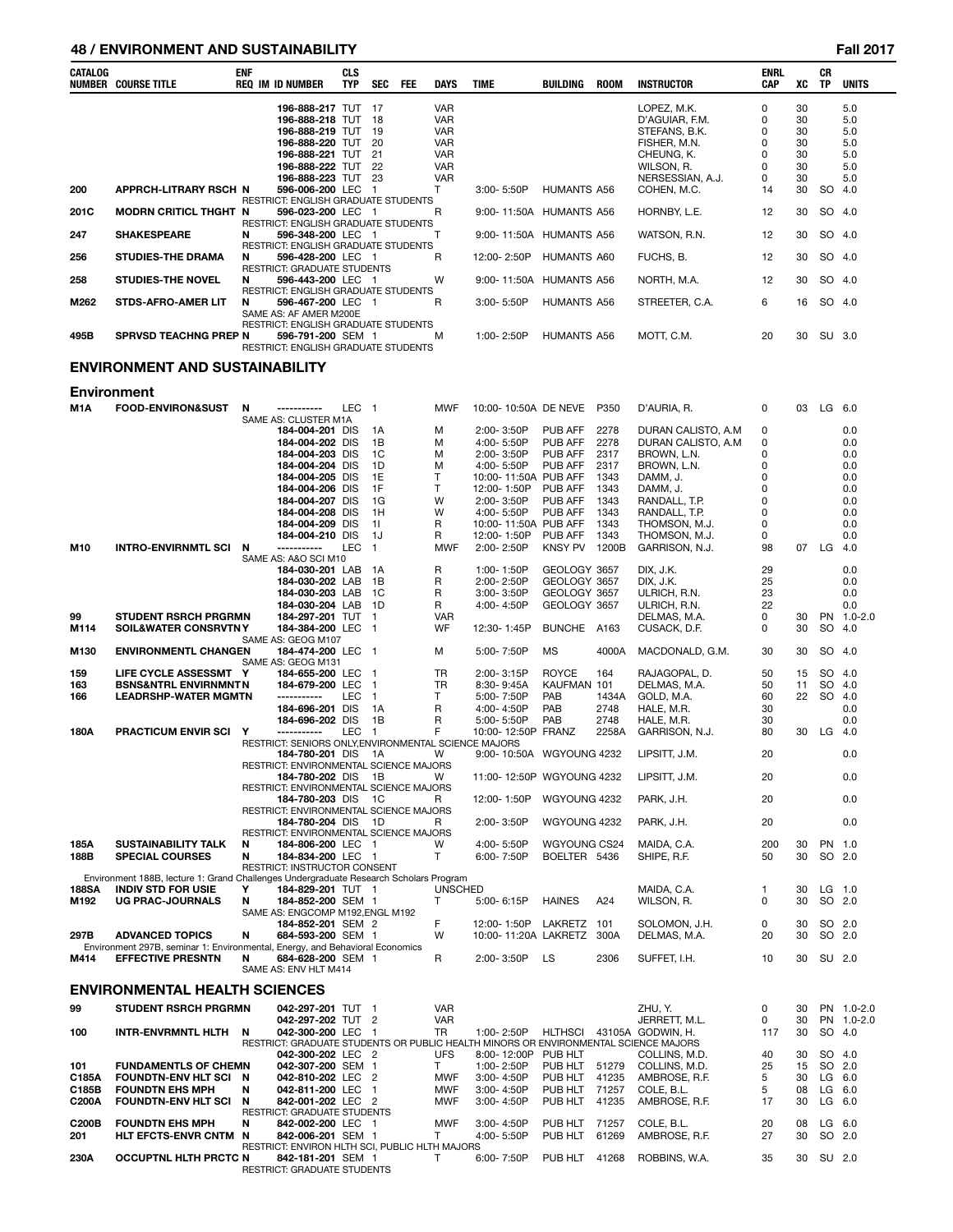### **48 / ENVIRONMENT AND SUSTAINABILITY Fall 2017**

| CATALOG        | NUMBER COURSE TITLE                                                                                      | <b>ENF</b> | <b>REQ IM ID NUMBER</b>                                                                                | <b>CLS</b><br>TYP | <b>SEC</b>                     | <b>FEE</b> | DAYS                     | <b>TIME</b>                                                                                        | BUILDING                         | <b>ROOM</b>    | <b>INSTRUCTOR</b>                          | <b>ENRL</b><br>CAP | XC       | СR<br>ΤP             | <b>UNITS</b>         |
|----------------|----------------------------------------------------------------------------------------------------------|------------|--------------------------------------------------------------------------------------------------------|-------------------|--------------------------------|------------|--------------------------|----------------------------------------------------------------------------------------------------|----------------------------------|----------------|--------------------------------------------|--------------------|----------|----------------------|----------------------|
|                |                                                                                                          |            | 196-888-217 TUT 17<br>196-888-218 TUT                                                                  |                   | 18<br>19                       |            | <b>VAR</b><br><b>VAR</b> |                                                                                                    |                                  |                | LOPEZ, M.K.<br>D'AGUIAR, F.M.              | 0<br>0<br>0        | 30<br>30 |                      | 5.0<br>5.0           |
|                |                                                                                                          |            | 196-888-219 TUT<br>196-888-220 TUT                                                                     |                   | -20                            |            | <b>VAR</b><br><b>VAR</b> |                                                                                                    |                                  |                | STEFANS, B.K.<br>FISHER, M.N.              | 0                  | 30<br>30 |                      | 5.0<br>5.0           |
|                |                                                                                                          |            | 196-888-221 TUT                                                                                        |                   | -21                            |            | <b>VAR</b>               |                                                                                                    |                                  |                | CHEUNG, K.                                 | 0                  | 30       |                      | 5.0                  |
|                |                                                                                                          |            | 196-888-222 TUT<br>196-888-223 TUT                                                                     |                   | -22<br>-23                     |            | <b>VAR</b><br><b>VAR</b> |                                                                                                    |                                  |                | WILSON, R.<br>NERSESSIAN, A.J.             | 0<br>0             | 30<br>30 |                      | 5.0<br>5.0           |
| 200            | <b>APPRCH-LITRARY RSCH N</b>                                                                             |            | 596-006-200 LEC                                                                                        |                   | $\overline{1}$                 |            | т                        | $3:00 - 5:50P$                                                                                     | <b>HUMANTS A56</b>               |                | COHEN, M.C.                                | 14                 | 30       | SO 4.0               |                      |
| 201C           | <b>MODRN CRITICL THGHT N</b>                                                                             |            | RESTRICT: ENGLISH GRADUATE STUDENTS<br>596-023-200 LEC<br><b>RESTRICT: ENGLISH GRADUATE STUDENTS</b>   |                   | - 1                            |            | R                        | 9:00-11:50A HUMANTS A56                                                                            |                                  |                | HORNBY, L.E.                               | 12                 | 30       | SO 4.0               |                      |
| 247            | <b>SHAKESPEARE</b>                                                                                       | N          | 596-348-200 LEC<br>RESTRICT: ENGLISH GRADUATE STUDENTS                                                 |                   | - 1                            |            | т                        | 9:00-11:50A HUMANTS A56                                                                            |                                  |                | WATSON, R.N.                               | 12                 | 30       | SO 4.0               |                      |
| 256            | <b>STUDIES-THE DRAMA</b>                                                                                 | N          | 596-428-200 LEC 1<br>RESTRICT: GRADUATE STUDENTS                                                       |                   |                                |            | R                        | 12:00-2:50P                                                                                        | HUMANTS A60                      |                | FUCHS, B.                                  | 12                 | 30       | SO 4.0               |                      |
| 258            | <b>STUDIES-THE NOVEL</b>                                                                                 | N          | 596-443-200 LEC 1<br><b>RESTRICT: ENGLISH GRADUATE STUDENTS</b>                                        |                   |                                |            | W                        | 9:00-11:50A                                                                                        | <b>HUMANTS A56</b>               |                | NORTH, M.A.                                | 12                 | 30       | SO 4.0               |                      |
| M262           | <b>STDS-AFRO-AMER LIT</b>                                                                                | N          | 596-467-200 LEC 1<br>SAME AS: AF AMER M200E                                                            |                   |                                |            | R                        | $3:00 - 5:50P$                                                                                     | <b>HUMANTS A56</b>               |                | STREETER, C.A.                             | 6                  | 16       | SO 4.0               |                      |
| 495B           | <b>SPRVSD TEACHNG PREP N</b>                                                                             |            | RESTRICT: ENGLISH GRADUATE STUDENTS<br>596-791-200 SEM 1<br><b>RESTRICT: ENGLISH GRADUATE STUDENTS</b> |                   |                                |            | м                        | 1:00-2:50P                                                                                         | <b>HUMANTS A56</b>               |                | MOTT, C.M.                                 | 20                 | 30       | SU 3.0               |                      |
|                | <b>ENVIRONMENT AND SUSTAINABILITY</b>                                                                    |            |                                                                                                        |                   |                                |            |                          |                                                                                                    |                                  |                |                                            |                    |          |                      |                      |
|                | <b>Environment</b>                                                                                       |            |                                                                                                        |                   |                                |            |                          |                                                                                                    |                                  |                |                                            |                    |          |                      |                      |
| M1A            | <b>FOOD-ENVIRON&amp;SUST</b>                                                                             | N          | SAME AS: CLUSTER M1A                                                                                   | <b>LEC</b>        | $\overline{1}$                 |            | <b>MWF</b>               | 10:00-10:50A DE NEVE                                                                               |                                  | P350           | D'AURIA, R.                                | 0                  | 03       | LG                   | 6.0                  |
|                |                                                                                                          |            | 184-004-201 DIS                                                                                        |                   | 1A                             |            | М                        | 2:00-3:50P                                                                                         | <b>PUB AFF</b>                   | 2278           | DURAN CALISTO, A.M.                        | 0                  |          |                      | 0.0                  |
|                |                                                                                                          |            | 184-004-202 DIS<br>184-004-203 DIS                                                                     |                   | 1B<br>1C                       |            | М<br>м                   | 4:00-5:50P<br>2:00-3:50P                                                                           | <b>PUB AFF</b><br><b>PUB AFF</b> | 2278<br>2317   | DURAN CALISTO, A.M.<br>BROWN, L.N.         | 0<br>0             |          |                      | 0.0<br>0.0           |
|                |                                                                                                          |            | 184-004-204 DIS                                                                                        |                   | 1D                             |            | м                        | 4:00-5:50P                                                                                         | <b>PUB AFF</b>                   | 2317           | BROWN, L.N.                                | 0                  |          |                      | 0.0                  |
|                |                                                                                                          |            | 184-004-205 DIS<br>184-004-206 DIS                                                                     |                   | 1E<br>1F                       |            | $\mathsf{T}$<br>T        | 10:00-11:50A PUB AFF<br>12:00-1:50P                                                                | PUB AFF                          | 1343<br>1343   | DAMM, J.<br>DAMM. J.                       | 0<br>0             |          |                      | 0.0<br>0.0           |
|                |                                                                                                          |            | 184-004-207 DIS                                                                                        |                   | 1G                             |            | W                        | 2:00-3:50P                                                                                         | <b>PUB AFF</b>                   | 1343           | RANDALL, T.P.                              | 0                  |          |                      | 0.0                  |
|                |                                                                                                          |            | 184-004-208 DIS                                                                                        |                   | 1H                             |            | W                        | 4:00-5:50P                                                                                         | PUB AFF                          | 1343           | RANDALL, T.P.                              | 0                  |          |                      | 0.0                  |
|                |                                                                                                          |            | 184-004-209 DIS<br>184-004-210 DIS                                                                     |                   | 11<br>1J                       |            | R<br>R                   | 10:00-11:50A PUB AFF<br>12:00-1:50P                                                                | PUB AFF                          | 1343<br>1343   | THOMSON, M.J.<br>THOMSON, M.J.             | 0<br>0             |          |                      | 0.0<br>0.0           |
| M10            | <b>INTRO-ENVIRNMTL SCI</b>                                                                               | N          | -----------                                                                                            | <b>LEC</b>        | $\overline{1}$                 |            | <b>MWF</b>               | 2:00-2:50P                                                                                         | <b>KNSY PV</b>                   | 1200B          | GARRISON, N.J.                             | 98                 | 07       | LG                   | -4.0                 |
|                |                                                                                                          |            | SAME AS: A&O SCI M10<br>184-030-201 LAB                                                                |                   | 1A                             |            | R                        | 1:00-1:50P                                                                                         | GEOLOGY 3657                     |                | DIX, J.K.                                  | 29                 |          |                      | 0.0                  |
|                |                                                                                                          |            | 184-030-202 LAB                                                                                        |                   | 1B                             |            | R                        | 2:00-2:50P                                                                                         | GEOLOGY 3657                     |                | DIX, J.K.                                  | 25                 |          |                      | 0.0                  |
|                |                                                                                                          |            | 184-030-203 LAB                                                                                        |                   | 1C                             |            | R                        | 3:00-3:50P                                                                                         | GEOLOGY 3657                     |                | ULRICH, R.N.                               | 23                 |          |                      | 0.0                  |
| 99             | <b>STUDENT RSRCH PRGRMN</b>                                                                              |            | 184-030-204 LAB<br>184-297-201 TUT                                                                     |                   | 1D<br>$\overline{1}$           |            | R<br><b>VAR</b>          | 4:00-4:50P                                                                                         | GEOLOGY 3657                     |                | ULRICH, R.N.<br>DELMAS, M.A.               | 22<br>0            | 30       |                      | 0.0<br>PN 1.0-2.0    |
| M114           | <b>SOIL&amp;WATER CONSRVTNY</b>                                                                          |            | 184-384-200 LEC<br>SAME AS: GEOG M107                                                                  |                   | $\overline{1}$                 |            | WF                       | 12:30-1:45P                                                                                        | BUNCHE A163                      |                | CUSACK, D.F.                               | 0                  | 30       | SO                   | 4.0                  |
| M130           | <b>ENVIRONMENTL CHANGEN</b>                                                                              |            | 184-474-200 LEC<br>SAME AS: GEOG M131                                                                  |                   | $\overline{1}$                 |            | м                        | 5:00-7:50P                                                                                         | <b>MS</b>                        | 4000A          | MACDONALD, G.M.                            | 30                 | 30       | SO                   | -4.0                 |
| 159            | LIFE CYCLE ASSESSMT Y                                                                                    |            | 184-655-200 LEC                                                                                        |                   | -1                             |            | TR                       | 2:00-3:15P                                                                                         | <b>ROYCE</b>                     | 164            | RAJAGOPAL, D.                              | 50                 | 15       | SO                   | - 4.0                |
| 163<br>166     | <b>BSNS&amp;NTRL ENVIRNMNT N</b><br><b>LEADRSHP-WATER MGMTN</b>                                          |            | 184-679-200 LEC<br>-----------                                                                         | LEC               | $\overline{1}$<br>$\mathbf{1}$ |            | TR<br>т                  | $8:30 - 9:45A$<br>5:00-7:50P                                                                       | KAUFMAN 101<br>PAB               | 1434A          | DELMAS, M.A.<br>GOLD, M.A.                 | 50<br>60           | 11<br>22 | SO<br>SO             | 4.0<br>4.0           |
|                |                                                                                                          |            | 184-696-201 DIS                                                                                        |                   | 1A                             |            | R                        | 4:00-4:50P                                                                                         | PAB                              | 2748           | HALE, M.R.                                 | 30                 |          |                      | 0.0                  |
|                |                                                                                                          |            | 184-696-202 DIS                                                                                        |                   | 1B                             |            | R                        | 5:00-5:50P                                                                                         | PAB                              | 2748           | HALE, M.R.                                 | 30                 |          |                      | 0.0                  |
| 180A           | PRACTICUM ENVIR SCI Y                                                                                    |            | ------------<br>RESTRICT: SENIORS ONLY, ENVIRONMENTAL SCIENCE MAJORS                                   | LEC               | -1                             |            | F                        | 10:00-12:50P FRANZ                                                                                 |                                  | 2258A          | GARRISON, N.J.                             | 80                 | 30       | LG                   | 4.0                  |
|                |                                                                                                          |            | 184-780-201 DIS                                                                                        |                   | 1A                             |            | W                        | 9:00-10:50A WGYOUNG 4232                                                                           |                                  |                | LIPSITT, J.M.                              | 20                 |          |                      | 0.0                  |
|                |                                                                                                          |            | RESTRICT: ENVIRONMENTAL SCIENCE MAJORS<br>184-780-202 DIS 1B                                           |                   |                                |            | W                        | 11:00-12:50P WGYOUNG 4232                                                                          |                                  |                | LIPSITT, J.M.                              | 20                 |          |                      | 0.0                  |
|                |                                                                                                          |            | RESTRICT: ENVIRONMENTAL SCIENCE MAJORS                                                                 |                   |                                |            |                          |                                                                                                    |                                  |                |                                            |                    |          |                      |                      |
|                |                                                                                                          |            | 184-780-203 DIS<br>RESTRICT: ENVIRONMENTAL SCIENCE MAJORS                                              |                   | - 1C                           |            | R                        | 12:00-1:50P                                                                                        | WGYOUNG 4232                     |                | PARK, J.H.                                 | 20                 |          |                      | 0.0                  |
|                |                                                                                                          |            | 184-780-204 DIS 1D<br>RESTRICT: ENVIRONMENTAL SCIENCE MAJORS                                           |                   |                                |            | R                        | 2:00-3:50P                                                                                         | WGYOUNG 4232                     |                | PARK, J.H.                                 | 20                 |          |                      | 0.0                  |
| 185A           | <b>SUSTAINABILITY TALK</b>                                                                               | N          | 184-806-200 LEC 1                                                                                      |                   |                                |            | W                        | 4:00-5:50P                                                                                         | WGYOUNG CS24                     |                | MAIDA, C.A.                                | 200                | 30       | PN 1.0               |                      |
| 188B           | <b>SPECIAL COURSES</b>                                                                                   | N          | 184-834-200 LEC 1<br>RESTRICT: INSTRUCTOR CONSENT                                                      |                   |                                |            | T.                       | 6:00-7:50P                                                                                         | BOELTER 5436                     |                | SHIPE, R.F.                                | 50                 | 30       | SO 2.0               |                      |
|                | Environment 188B, lecture 1: Grand Challenges Undergraduate Research Scholars Program                    |            |                                                                                                        |                   |                                |            |                          |                                                                                                    |                                  |                |                                            |                    |          |                      |                      |
| 188SA<br>M192  | <b>INDIV STD FOR USIE</b><br><b>UG PRAC-JOURNALS</b>                                                     | Y<br>N     | 184-829-201 TUT 1<br>184-852-200 SEM 1                                                                 |                   |                                |            | <b>UNSCHED</b><br>Τ      | 5:00-6:15P                                                                                         | <b>HAINES</b>                    | A24            | MAIDA, C.A.<br>WILSON, R.                  | 1<br>0             | 30<br>30 | $LG$ 1.0<br>SO 2.0   |                      |
|                |                                                                                                          |            | SAME AS: ENGCOMP M192, ENGL M192                                                                       |                   |                                |            |                          |                                                                                                    |                                  |                |                                            |                    |          |                      |                      |
| 297B           | <b>ADVANCED TOPICS</b>                                                                                   | N          | 184-852-201 SEM 2<br>684-593-200 SEM 1                                                                 |                   |                                |            | F<br>W                   | 12:00-1:50P<br>10:00-11:20A LAKRETZ                                                                | LAKRETZ 101                      | 300A           | SOLOMON, J.H.<br>DELMAS, M.A.              | 0<br>20            | 30<br>30 | SO 2.0               | SO 2.0               |
| M414           | Environment 297B, seminar 1: Environmental, Energy, and Behavioral Economics<br><b>EFFECTIVE PRESNTN</b> | N          | 684-628-200 SEM 1                                                                                      |                   |                                |            | R                        | 2:00-3:50P                                                                                         | LS                               | 2306           | SUFFET, I.H.                               | 10                 | 30       | SU 2.0               |                      |
|                | ENVIRONMENTAL HEALTH SCIENCES                                                                            |            | SAME AS: ENV HLT M414                                                                                  |                   |                                |            |                          |                                                                                                    |                                  |                |                                            |                    |          |                      |                      |
| 99             | <b>STUDENT RSRCH PRGRMN</b>                                                                              |            | 042-297-201 TUT 1                                                                                      |                   |                                |            | <b>VAR</b>               |                                                                                                    |                                  |                | ZHU, Y.                                    | 0                  | 30       |                      | PN 1.0-2.0           |
| 100            | INTR-ENVRMNTL HLTH                                                                                       | N          | 042-297-202 TUT 2<br>042-300-200 LEC 1                                                                 |                   |                                |            | <b>VAR</b><br>TR         | 1:00-2:50P                                                                                         |                                  |                | JERRETT, M.L.<br>HLTHSCI 43105A GODWIN, H. | 0<br>117           | 30<br>30 |                      | PN 1.0-2.0<br>SO 4.0 |
|                |                                                                                                          |            | 042-300-202 LEC 2                                                                                      |                   |                                |            | <b>UFS</b>               | RESTRICT: GRADUATE STUDENTS OR PUBLIC HEALTH MINORS OR ENVIRONMENTAL SCIENCE MAJORS<br>8:00-12:00P | PUB HLT                          |                | COLLINS, M.D.                              | 40                 | 30       |                      | SO 4.0               |
| 101            | <b>FUNDAMENTLS OF CHEMN</b>                                                                              |            | 042-307-200 SEM 1                                                                                      |                   |                                |            | T.                       | 1:00-2:50P                                                                                         | PUB HLT                          | 51279          | COLLINS, M.D.                              | 25<br>5            | 15<br>30 |                      | SO 2.0               |
| C185A<br>C185B | FOUNDTN-ENV HLT SCI N<br><b>FOUNDTN EHS MPH</b>                                                          | N          | 042-810-202 LEC 2<br>042-811-200 LEC                                                                   |                   | $\overline{1}$                 |            | <b>MWF</b><br>MWF        | 3:00-4:50P<br>3:00-4:50P                                                                           | PUB HLT<br>PUB HLT               | 41235<br>71257 | AMBROSE, R.F.<br>COLE, B.L.                | 5                  | 08       | $LG$ 6.0<br>$LG$ 6.0 |                      |
| C200A          | <b>FOUNDTN-ENV HLT SCI</b>                                                                               | N          | 842-001-202 LEC 2                                                                                      |                   |                                |            | MWF                      | 3:00-4:50P                                                                                         | PUB HLT                          | 41235          | AMBROSE, R.F.                              | 17                 | 30       | LG                   | - 6.0                |
| <b>C200B</b>   | <b>FOUNDTN EHS MPH</b>                                                                                   | N          | <b>RESTRICT: GRADUATE STUDENTS</b><br>842-002-200 LEC 1                                                |                   |                                |            | <b>MWF</b>               | $3:00 - 4:50P$                                                                                     | PUB HLT                          | 71257          | COLE, B.L.                                 | 20                 | 08       | $LG$ 6.0             |                      |
| 201            | HLT EFCTS-ENVR CNTM N                                                                                    |            | 842-006-201 SEM 1                                                                                      |                   |                                |            | т                        | 4:00-5:50P                                                                                         | PUB HLT                          | 61269          | AMBROSE, R.F.                              | 27                 | 30       | SO 2.0               |                      |
| 230A           | <b>OCCUPTNL HLTH PRCTC N</b>                                                                             |            | RESTRICT: ENVIRON HLTH SCI, PUBLIC HLTH MAJORS<br>842-181-201 SEM 1                                    |                   |                                |            | T                        | 6:00-7:50P                                                                                         | PUB HLT 41268                    |                | ROBBINS, W.A.                              | 35                 | 30       | SU 2.0               |                      |
|                |                                                                                                          |            | RESTRICT: GRADUATE STUDENTS                                                                            |                   |                                |            |                          |                                                                                                    |                                  |                |                                            |                    |          |                      |                      |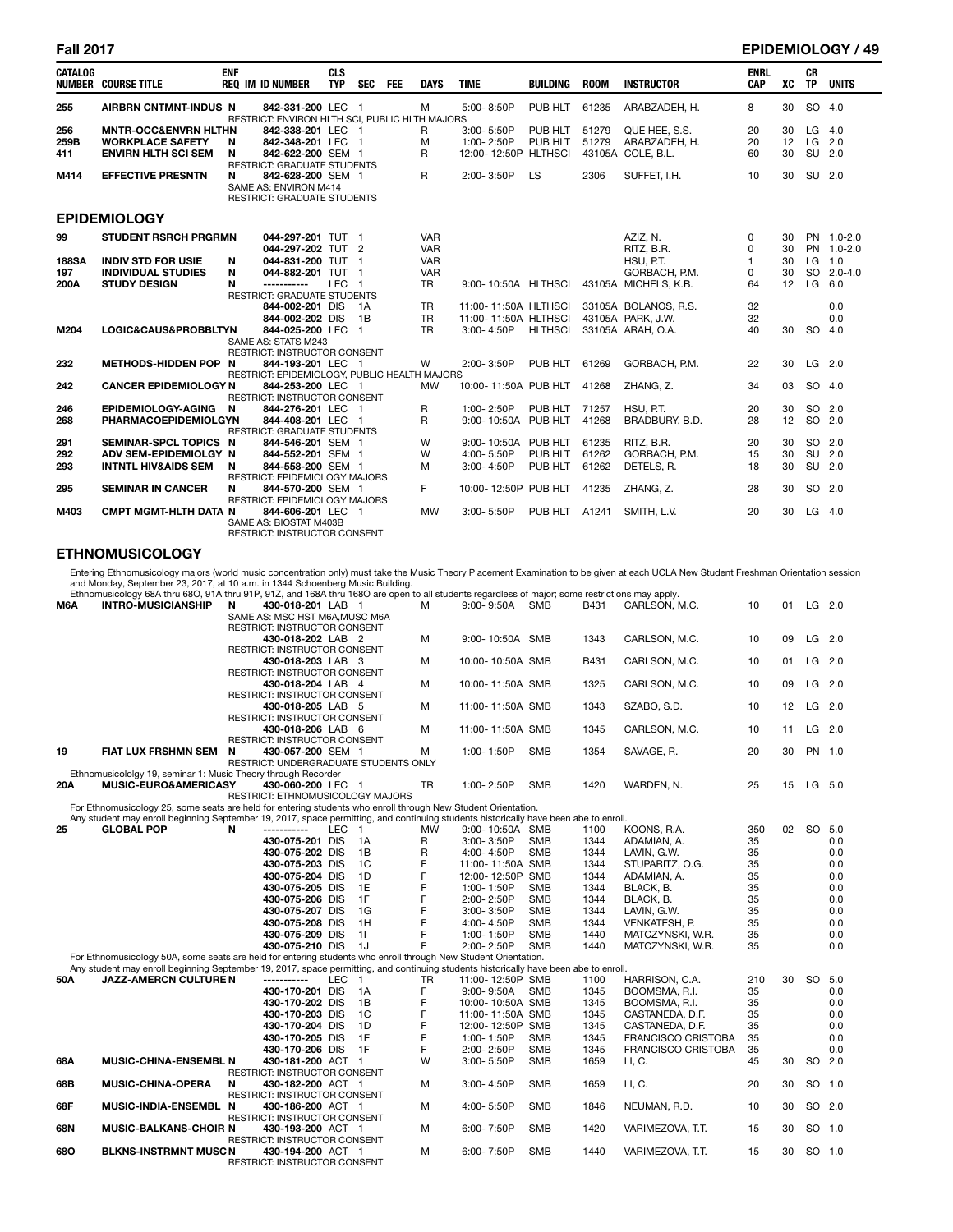| <b>CATALOG</b> | <b>NUMBER COURSE TITLE</b>      | <b>ENF</b> | <b>REQ IM ID NUMBER</b>                                             | <b>CLS</b><br><b>TYP</b> | <b>SEC</b> | <b>FEE</b> | <b>DAYS</b> | <b>TIME</b>          | <b>BUILDING</b> | <b>ROOM</b>    | <b>INSTRUCTOR</b>           | <b>ENRL</b><br>CAP | XC | <b>CR</b><br><b>TP</b> | <b>UNITS</b> |
|----------------|---------------------------------|------------|---------------------------------------------------------------------|--------------------------|------------|------------|-------------|----------------------|-----------------|----------------|-----------------------------|--------------------|----|------------------------|--------------|
| 255            | <b>AIRBRN CNTMNT-INDUS N</b>    |            | 842-331-200 LEC 1<br>RESTRICT: ENVIRON HLTH SCI. PUBLIC HLTH MAJORS |                          |            |            | м           | 5:00-8:50P           | PUB HLT         | 61235          | ARABZADEH, H.               | 8                  | 30 | SO 4.0                 |              |
| 256            | <b>MNTR-OCC&amp;ENVRN HLTHN</b> |            | 842-338-201 LEC 1                                                   |                          |            |            | R           | 3:00-5:50P           | PUB HLT         | 51279          | QUE HEE, S.S.               | 20                 | 30 | LG                     | 4.0          |
| 259B           | <b>WORKPLACE SAFETY</b>         | N          | 842-348-201 LEC 1                                                   |                          |            |            | M           | 1:00-2:50P           | PUB HLT         | 51279          | ARABZADEH, H.               | 20                 | 12 | LG 2.0                 |              |
| 411            | <b>ENVIRN HLTH SCI SEM</b>      | N          | 842-622-200 SEM 1                                                   |                          |            |            | R           | 12:00-12:50P HLTHSCI |                 |                | 43105A COLE, B.L.           | 60                 | 30 | SU 2.0                 |              |
|                |                                 |            | <b>RESTRICT: GRADUATE STUDENTS</b>                                  |                          |            |            |             |                      |                 |                |                             |                    |    |                        |              |
| M414           | <b>EFFECTIVE PRESNTN</b>        | N          | 842-628-200 SEM 1                                                   |                          |            |            | R           | 2:00-3:50P           | LS              | 2306           | SUFFET, I.H.                | 10                 | 30 | SU 2.0                 |              |
|                |                                 |            | SAME AS: ENVIRON M414                                               |                          |            |            |             |                      |                 |                |                             |                    |    |                        |              |
|                |                                 |            | <b>RESTRICT: GRADUATE STUDENTS</b>                                  |                          |            |            |             |                      |                 |                |                             |                    |    |                        |              |
|                | <b>EPIDEMIOLOGY</b>             |            |                                                                     |                          |            |            |             |                      |                 |                |                             |                    |    |                        |              |
| 99             | <b>STUDENT RSRCH PRGRMN</b>     |            | 044-297-201 TUT 1                                                   |                          |            |            | <b>VAR</b>  |                      |                 |                | AZIZ. N.                    | $\Omega$           | 30 |                        | PN 1.0-2.0   |
|                |                                 |            | 044-297-202 TUT 2                                                   |                          |            |            | <b>VAR</b>  |                      |                 |                | RITZ, B.R.                  | $\Omega$           | 30 |                        | PN 1.0-2.0   |
| <b>188SA</b>   | <b>INDIV STD FOR USIE</b>       | N          | 044-831-200 TUT 1                                                   |                          |            |            | <b>VAR</b>  |                      |                 |                | HSU, P.T.                   | $\mathbf{1}$       | 30 | $LG$ 1.0               |              |
| 197            | <b>INDIVIDUAL STUDIES</b>       | N          | 044-882-201 TUT 1                                                   |                          |            |            | <b>VAR</b>  |                      |                 |                | GORBACH, P.M.               | $\Omega$           | 30 |                        | SO 2.0-4.0   |
| 200A           | <b>STUDY DESIGN</b>             | N          | ------------                                                        | LEC <sub>1</sub>         |            |            | <b>TR</b>   | 9:00-10:50A HLTHSCI  |                 |                | 43105A MICHELS, K.B.        | 64                 | 12 | LG                     | 6.0          |
|                |                                 |            | <b>RESTRICT: GRADUATE STUDENTS</b>                                  |                          |            |            |             |                      |                 |                |                             |                    |    |                        |              |
|                |                                 |            | 844-002-201 DIS                                                     |                          | - 1A       |            | <b>TR</b>   | 11:00-11:50A HLTHSCI |                 |                | 33105A BOLANOS, R.S.        | 32                 |    |                        | 0.0          |
|                |                                 |            | 844-002-202 DIS                                                     |                          | 1B         |            | <b>TR</b>   | 11:00-11:50A HLTHSCI |                 |                | 43105A PARK, J.W.           | 32                 |    |                        | 0.0          |
| M204           | LOGIC&CAUS&PROBBLTYN            |            | 844-025-200 LEC 1                                                   |                          |            |            | <b>TR</b>   | 3:00-4:50P           | <b>HLTHSCI</b>  |                | 33105A ARAH, O.A.           | 40                 | 30 | SO 4.0                 |              |
|                |                                 |            | SAME AS: STATS M243                                                 |                          |            |            |             |                      |                 |                |                             |                    |    |                        |              |
|                |                                 |            | <b>RESTRICT: INSTRUCTOR CONSENT</b>                                 |                          |            |            |             |                      |                 |                |                             |                    |    |                        |              |
| 232            | <b>METHODS-HIDDEN POP N</b>     |            | 844-193-201 LEC 1                                                   |                          |            |            | W           | 2:00-3:50P           | PUB HLT         | 61269          | GORBACH, P.M.               | 22                 | 30 | $LG$ 2.0               |              |
|                |                                 |            | RESTRICT: EPIDEMIOLOGY, PUBLIC HEALTH MAJORS                        |                          |            |            |             |                      |                 |                |                             |                    |    |                        |              |
| 242            | <b>CANCER EPIDEMIOLOGY N</b>    |            | 844-253-200 LEC 1                                                   |                          |            |            | MW          | 10:00-11:50A PUB HLT |                 | 41268          | ZHANG. Z.                   | 34                 | 03 | SO 4.0                 |              |
|                |                                 |            | RESTRICT: INSTRUCTOR CONSENT                                        |                          |            |            |             |                      |                 |                |                             |                    |    |                        |              |
| 246            | <b>EPIDEMIOLOGY-AGING</b>       | N          | 844-276-201 LEC 1                                                   |                          |            |            | R           | 1:00-2:50P           | PUB HLT         | 71257          | HSU, P.T.                   | 20                 | 30 | SO 2.0                 |              |
| 268            | <b>PHARMACOEPIDEMIOLGYN</b>     |            | 844-408-201 LEC 1                                                   |                          |            |            | R           | 9:00-10:50A PUB HLT  |                 | 41268          | BRADBURY, B.D.              | 28                 | 12 | SO 2.0                 |              |
|                |                                 |            | <b>RESTRICT: GRADUATE STUDENTS</b>                                  |                          |            |            |             |                      |                 |                |                             |                    |    |                        |              |
| 291            | SEMINAR-SPCL TOPICS N           |            | 844-546-201 SEM 1                                                   |                          |            |            | W           | 9:00-10:50A PUB HLT  | PUB HLT         | 61235<br>61262 | RITZ, B.R.<br>GORBACH, P.M. | 20                 | 30 | SO 2.0<br>SU 2.0       |              |
| 292            | ADV SEM-EPIDEMIOLGY N           |            | 844-552-201 SEM 1                                                   |                          |            |            | W           | 4:00-5:50P           |                 |                |                             | 15                 | 30 | SU 2.0                 |              |
| 293            | <b>INTNTL HIV&amp;AIDS SEM</b>  | N          | 844-558-200 SEM 1<br><b>RESTRICT: EPIDEMIOLOGY MAJORS</b>           |                          |            |            | м           | 3:00-4:50P           | PUB HLT         | 61262          | DETELS, R.                  | 18                 | 30 |                        |              |
| 295            | <b>SEMINAR IN CANCER</b>        | N          | 844-570-200 SEM 1                                                   |                          |            |            | F.          | 10:00-12:50P PUB HLT |                 | 41235          | ZHANG. Z.                   | 28                 | 30 | SO 2.0                 |              |
|                |                                 |            | RESTRICT: EPIDEMIOLOGY MAJORS                                       |                          |            |            |             |                      |                 |                |                             |                    |    |                        |              |
| M403           | <b>CMPT MGMT-HLTH DATA N</b>    |            | 844-606-201 LEC 1                                                   |                          |            |            | <b>MW</b>   | 3:00-5:50P           | PUB HLT         | A1241          | SMITH, L.V.                 | 20                 | 30 | LG                     | -4.0         |
|                |                                 |            | SAME AS: BIOSTAT M403B                                              |                          |            |            |             |                      |                 |                |                             |                    |    |                        |              |
|                |                                 |            | <b>RESTRICT: INSTRUCTOR CONSENT</b>                                 |                          |            |            |             |                      |                 |                |                             |                    |    |                        |              |

### **ETHNOMUSICOLOGY**

Entering Ethnomusicology majors (world music concentration only) must take the Music Theory Placement Examination to be given at each UCLA New Student Freshman Orientation session<br>and Monday, September 23, 2017, at 10 a.m.

| M6A | Luinomusicology ook unu ooO, 5 ik unu 9 iF, 9 iZ, and 100k unu 100O are open to an students regardiess or major, some restrictions may apply.<br><b>INTRO-MUSICIANSHIP</b> | 430-018-201 LAB 1<br>N                            |       |                | м         | 9:00-9:50A SMB           |                          | B431         | CARLSON, M.C.                            | 10       |    | 01 LG 2.0 |            |
|-----|----------------------------------------------------------------------------------------------------------------------------------------------------------------------------|---------------------------------------------------|-------|----------------|-----------|--------------------------|--------------------------|--------------|------------------------------------------|----------|----|-----------|------------|
|     |                                                                                                                                                                            | SAME AS: MSC HST M6A, MUSC M6A                    |       |                |           |                          |                          |              |                                          |          |    |           |            |
|     |                                                                                                                                                                            | RESTRICT: INSTRUCTOR CONSENT                      |       |                |           |                          |                          |              |                                          |          |    |           |            |
|     |                                                                                                                                                                            | 430-018-202 LAB 2                                 |       |                | M         | 9:00-10:50A SMB          |                          | 1343         | CARLSON, M.C.                            | 10       | 09 | LG 2.0    |            |
|     |                                                                                                                                                                            | RESTRICT: INSTRUCTOR CONSENT                      |       |                |           |                          |                          |              |                                          |          |    |           |            |
|     |                                                                                                                                                                            | 430-018-203 LAB 3                                 |       |                | M         | 10:00-10:50A SMB         |                          | B431         | CARLSON, M.C.                            | 10       | 01 | LG 2.0    |            |
|     |                                                                                                                                                                            | RESTRICT: INSTRUCTOR CONSENT                      |       |                |           |                          |                          |              |                                          |          |    |           |            |
|     |                                                                                                                                                                            | 430-018-204 LAB 4                                 |       |                | M         | 10:00-11:50A SMB         |                          | 1325         | CARLSON, M.C.                            | 10       | 09 | LG 2.0    |            |
|     |                                                                                                                                                                            | <b>RESTRICT: INSTRUCTOR CONSENT</b>               |       |                |           |                          |                          |              |                                          |          |    | 12 LG 2.0 |            |
|     |                                                                                                                                                                            | 430-018-205 LAB 5<br>RESTRICT: INSTRUCTOR CONSENT |       |                | м         | 11:00-11:50A SMB         |                          | 1343         | SZABO. S.D.                              | 10       |    |           |            |
|     |                                                                                                                                                                            | 430-018-206 LAB 6                                 |       |                | М         | 11:00-11:50A SMB         |                          | 1345         | CARLSON, M.C.                            | 10       |    | 11 LG 2.0 |            |
|     |                                                                                                                                                                            | RESTRICT: INSTRUCTOR CONSENT                      |       |                |           |                          |                          |              |                                          |          |    |           |            |
| 19  | <b>FIAT LUX FRSHMN SEM</b>                                                                                                                                                 | N<br>430-057-200 SEM 1                            |       |                | м         | 1:00-1:50P               | <b>SMB</b>               | 1354         | SAVAGE, R.                               | 20       | 30 | PN 1.0    |            |
|     |                                                                                                                                                                            | RESTRICT: UNDERGRADUATE STUDENTS ONLY             |       |                |           |                          |                          |              |                                          |          |    |           |            |
|     | Ethnomusicololgy 19, seminar 1: Music Theory through Recorder                                                                                                              |                                                   |       |                |           |                          |                          |              |                                          |          |    |           |            |
| 20A | MUSIC-EURO&AMERICASY                                                                                                                                                       | 430-060-200 LEC 1                                 |       |                | <b>TR</b> | 1:00-2:50P               | <b>SMB</b>               | 1420         | WARDEN, N.                               | 25       | 15 | LG 5.0    |            |
|     |                                                                                                                                                                            | <b>RESTRICT: ETHNOMUSICOLOGY MAJORS</b>           |       |                |           |                          |                          |              |                                          |          |    |           |            |
|     | For Ethnomusicology 25, some seats are held for entering students who enroll through New Student Orientation.                                                              |                                                   |       |                |           |                          |                          |              |                                          |          |    |           |            |
|     | Any student may enroll beginning September 19, 2017, space permitting, and continuing students historically have been abe to enroll.                                       |                                                   |       |                |           |                          |                          |              |                                          |          |    |           |            |
| 25  | <b>GLOBAL POP</b>                                                                                                                                                          | -----------<br>N                                  | LEC.  | $\overline{1}$ | <b>MW</b> | 9:00-10:50A SMB          |                          | 1100         | KOONS, R.A.                              | 350      |    | 02 SO     | 5.0        |
|     |                                                                                                                                                                            | 430-075-201 DIS                                   |       | 1A             | R         | 3:00-3:50P               | <b>SMB</b>               | 1344         | ADAMIAN, A.                              | 35       |    |           | 0.0        |
|     |                                                                                                                                                                            | 430-075-202 DIS                                   |       | 1B             | R         | 4:00-4:50P               | <b>SMB</b>               | 1344         | LAVIN, G.W.                              | 35       |    |           | 0.0        |
|     |                                                                                                                                                                            | 430-075-203 DIS                                   |       | 1 <sup>C</sup> | F         | 11:00-11:50A SMB         |                          | 1344         | STUPARITZ, O.G.                          | 35       |    |           | 0.0        |
|     |                                                                                                                                                                            | 430-075-204 DIS                                   |       | 1D             | F         | 12:00-12:50P SMB         |                          | 1344         | ADAMIAN, A.                              | 35       |    |           | 0.0        |
|     |                                                                                                                                                                            | 430-075-205 DIS                                   |       | 1E             | F<br>F    | 1:00-1:50P               | <b>SMB</b>               | 1344         | BLACK, B.                                | 35       |    |           | 0.0        |
|     |                                                                                                                                                                            | 430-075-206 DIS                                   |       | 1F             |           | 2:00-2:50P               | <b>SMB</b>               | 1344         | BLACK, B.                                | 35       |    |           | 0.0        |
|     |                                                                                                                                                                            | 430-075-207 DIS<br>430-075-208 DIS                |       | 1G<br>1H       | F<br>F    | 3:00-3:50P<br>4:00-4:50P | <b>SMB</b><br><b>SMB</b> | 1344<br>1344 | LAVIN, G.W.                              | 35<br>35 |    |           | 0.0<br>0.0 |
|     |                                                                                                                                                                            | 430-075-209 DIS                                   |       | 11             | F         | 1:00-1:50P               | <b>SMB</b>               | 1440         | <b>VENKATESH, P.</b><br>MATCZYNSKI, W.R. | 35       |    |           | 0.0        |
|     |                                                                                                                                                                            | 430-075-210 DIS                                   |       | 1J             | F         | 2:00-2:50P               | <b>SMB</b>               | 1440         | MATCZYNSKI, W.R.                         | 35       |    |           | 0.0        |
|     | For Ethnomusicology 50A, some seats are held for entering students who enroll through New Student Orientation.                                                             |                                                   |       |                |           |                          |                          |              |                                          |          |    |           |            |
|     | Any student may enroll beginning September 19, 2017, space permitting, and continuing students historically have been abe to enroll.                                       |                                                   |       |                |           |                          |                          |              |                                          |          |    |           |            |
| 50A | <b>JAZZ-AMERCN CULTURE N</b>                                                                                                                                               | -----------                                       | LEC 1 |                | <b>TR</b> | 11:00-12:50P SMB         |                          | 1100         | HARRISON, C.A.                           | 210      | 30 | SO.       | 5.0        |
|     |                                                                                                                                                                            | 430-170-201 DIS                                   |       | 1A             | F.        | $9:00 - 9:50A$           | <b>SMB</b>               | 1345         | BOOMSMA, R.I.                            | 35       |    |           | 0.0        |
|     |                                                                                                                                                                            | 430-170-202 DIS                                   |       | 1B             | F         | 10:00-10:50A SMB         |                          | 1345         | BOOMSMA, R.I.                            | 35       |    |           | 0.0        |
|     |                                                                                                                                                                            | 430-170-203 DIS                                   |       | 1 <sup>C</sup> | F         | 11:00-11:50A SMB         |                          | 1345         | CASTANEDA, D.F.                          | 35       |    |           | 0.0        |
|     |                                                                                                                                                                            | 430-170-204 DIS                                   |       | 1D             | F         | 12:00-12:50P SMB         |                          | 1345         | CASTANEDA, D.F.                          | 35       |    |           | 0.0        |
|     |                                                                                                                                                                            | 430-170-205 DIS                                   |       | 1E             | F         | 1:00-1:50P               | <b>SMB</b>               | 1345         | <b>FRANCISCO CRISTOBA</b>                | 35       |    |           | 0.0        |
|     |                                                                                                                                                                            | 430-170-206 DIS 1F                                |       |                | F         | 2:00-2:50P               | <b>SMB</b>               | 1345         | <b>FRANCISCO CRISTOBA</b>                | 35       |    |           | 0.0        |
| 68A | <b>MUSIC-CHINA-ENSEMBL N</b>                                                                                                                                               | 430-181-200 ACT 1                                 |       |                | W         | 3:00-5:50P               | <b>SMB</b>               | 1659         | LI, C.                                   | 45       | 30 | SO 2.0    |            |
|     |                                                                                                                                                                            | RESTRICT: INSTRUCTOR CONSENT                      |       |                |           |                          |                          |              |                                          |          |    |           |            |
| 68B | <b>MUSIC-CHINA-OPERA</b>                                                                                                                                                   | 430-182-200 ACT 1<br>N                            |       |                | M         | 3:00-4:50P               | <b>SMB</b>               | 1659         | LI, C.                                   | 20       | 30 | SO 1.0    |            |
|     |                                                                                                                                                                            | RESTRICT: INSTRUCTOR CONSENT                      |       |                |           |                          |                          |              |                                          |          |    |           |            |
| 68F | MUSIC-INDIA-ENSEMBL N                                                                                                                                                      | 430-186-200 ACT 1                                 |       |                | M         | 4:00-5:50P               | <b>SMB</b>               | 1846         | NEUMAN, R.D.                             | 10       | 30 | SO 2.0    |            |
|     |                                                                                                                                                                            | RESTRICT: INSTRUCTOR CONSENT                      |       |                |           |                          |                          |              |                                          |          |    |           |            |
| 68N | <b>MUSIC-BALKANS-CHOIR N</b>                                                                                                                                               | 430-193-200 ACT 1                                 |       |                | М         | 6:00-7:50P               | <b>SMB</b>               | 1420         | VARIMEZOVA, T.T.                         | 15       | 30 | SO 1.0    |            |
|     | <b>BLKNS-INSTRMNT MUSCN</b>                                                                                                                                                | RESTRICT: INSTRUCTOR CONSENT                      |       |                |           |                          |                          |              |                                          |          | 30 | SO 1.0    |            |
| 680 |                                                                                                                                                                            | 430-194-200 ACT 1<br>RESTRICT: INSTRUCTOR CONSENT |       |                | м         | 6:00-7:50P               | <b>SMB</b>               | 1440         | VARIMEZOVA, T.T.                         | 15       |    |           |            |
|     |                                                                                                                                                                            |                                                   |       |                |           |                          |                          |              |                                          |          |    |           |            |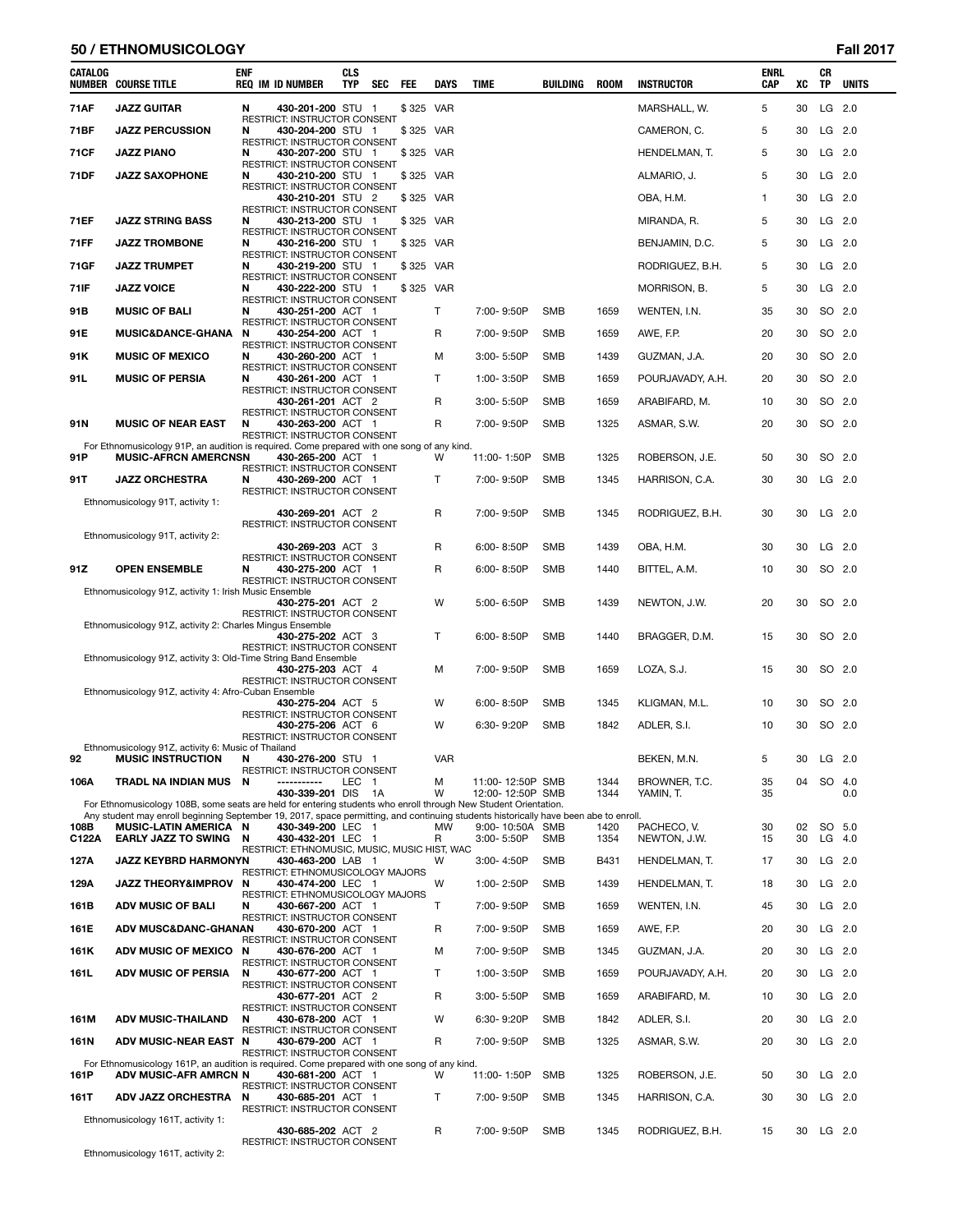### **50 / ETHNOMUSICOLOGY Fall 2017**

| CATALOG | <b>NUMBER COURSE TITLE</b>                                                                                                                                    | ENF | <b>REQ IM ID NUMBER</b>                                           | CLS<br><b>TYP</b> | SEC | FEE       | <b>DAYS</b>  | <b>TIME</b>      | BUILDING   | ROOM | <b>INSTRUCTOR</b> | <b>ENRL</b><br><b>CAP</b> | XC | CR<br>TP | <b>UNITS</b> |
|---------|---------------------------------------------------------------------------------------------------------------------------------------------------------------|-----|-------------------------------------------------------------------|-------------------|-----|-----------|--------------|------------------|------------|------|-------------------|---------------------------|----|----------|--------------|
| 71AF    | <b>JAZZ GUITAR</b>                                                                                                                                            | N   | 430-201-200 STU 1                                                 |                   |     | \$325 VAR |              |                  |            |      | MARSHALL, W.      | 5                         | 30 | LG 2.0   |              |
| 71BF    | <b>JAZZ PERCUSSION</b>                                                                                                                                        | N   | RESTRICT: INSTRUCTOR CONSENT<br>430-204-200 STU 1                 |                   |     | \$325 VAR |              |                  |            |      | CAMERON, C.       | 5                         | 30 | $LG$ 2.0 |              |
| 71 C F  | <b>JAZZ PIANO</b>                                                                                                                                             | N   | RESTRICT: INSTRUCTOR CONSENT<br>430-207-200 STU 1                 |                   |     | \$325 VAR |              |                  |            |      | HENDELMAN, T.     | 5                         | 30 | $LG$ 2.0 |              |
| 71DF    | <b>JAZZ SAXOPHONE</b>                                                                                                                                         | N   | RESTRICT: INSTRUCTOR CONSENT<br>430-210-200 STU 1                 |                   |     | \$325 VAR |              |                  |            |      | ALMARIO, J.       | 5                         | 30 | LG 2.0   |              |
|         |                                                                                                                                                               |     | RESTRICT: INSTRUCTOR CONSENT                                      |                   |     |           |              |                  |            |      |                   |                           |    |          |              |
|         |                                                                                                                                                               |     | 430-210-201 STU 2<br>RESTRICT: INSTRUCTOR CONSENT                 |                   |     | \$325 VAR |              |                  |            |      | OBA, H.M.         | $\mathbf{1}$              | 30 | LG 2.0   |              |
| 71EF    | <b>JAZZ STRING BASS</b>                                                                                                                                       | N   | 430-213-200 STU 1<br>RESTRICT: INSTRUCTOR CONSENT                 |                   |     | \$325 VAR |              |                  |            |      | MIRANDA, R.       | 5                         | 30 | $LG$ 2.0 |              |
| 71FF    | <b>JAZZ TROMBONE</b>                                                                                                                                          | N   | 430-216-200 STU 1<br>RESTRICT: INSTRUCTOR CONSENT                 |                   |     | \$325 VAR |              |                  |            |      | BENJAMIN, D.C.    | 5                         | 30 | $LG$ 2.0 |              |
| 71GF    | <b>JAZZ TRUMPET</b>                                                                                                                                           | N   | 430-219-200 STU 1<br><b>RESTRICT: INSTRUCTOR CONSENT</b>          |                   |     | \$325 VAR |              |                  |            |      | RODRIGUEZ, B.H.   | 5                         | 30 | $LG$ 2.0 |              |
| 71IF    | <b>JAZZ VOICE</b>                                                                                                                                             | N   | 430-222-200 STU 1<br>RESTRICT: INSTRUCTOR CONSENT                 |                   |     | \$325 VAR |              |                  |            |      | MORRISON, B.      | 5                         | 30 | LG 2.0   |              |
| 91B     | <b>MUSIC OF BALI</b>                                                                                                                                          | N   | 430-251-200 ACT 1                                                 |                   |     |           | T            | 7:00-9:50P       | <b>SMB</b> | 1659 | WENTEN, I.N.      | 35                        | 30 | SO 2.0   |              |
| 91E     | <b>MUSIC&amp;DANCE-GHANA</b>                                                                                                                                  | N   | RESTRICT: INSTRUCTOR CONSENT<br>430-254-200 ACT 1                 |                   |     |           | R            | 7:00-9:50P       | <b>SMB</b> | 1659 | AWE, F.P.         | 20                        | 30 | SO 2.0   |              |
| 91 K    | <b>MUSIC OF MEXICO</b>                                                                                                                                        | N   | <b>RESTRICT: INSTRUCTOR CONSENT</b><br>430-260-200 ACT 1          |                   |     |           | м            | $3:00 - 5:50P$   | <b>SMB</b> | 1439 | GUZMAN, J.A.      | 20                        | 30 | SO 2.0   |              |
| 91 L    | <b>MUSIC OF PERSIA</b>                                                                                                                                        | N   | RESTRICT: INSTRUCTOR CONSENT<br>430-261-200 ACT 1                 |                   |     |           | $\mathsf{T}$ | 1:00-3:50P       | <b>SMB</b> | 1659 | POURJAVADY, A.H.  | 20                        | 30 | SO 2.0   |              |
|         |                                                                                                                                                               |     | RESTRICT: INSTRUCTOR CONSENT                                      |                   |     |           | R            |                  |            |      |                   |                           |    |          |              |
|         |                                                                                                                                                               |     | 430-261-201 ACT 2<br>RESTRICT: INSTRUCTOR CONSENT                 |                   |     |           |              | $3:00 - 5:50P$   | <b>SMB</b> | 1659 | ARABIFARD, M.     | 10                        | 30 | SO 2.0   |              |
| 91 N    | <b>MUSIC OF NEAR EAST</b>                                                                                                                                     | N   | 430-263-200 ACT 1<br>RESTRICT: INSTRUCTOR CONSENT                 |                   |     |           | R            | 7:00-9:50P       | <b>SMB</b> | 1325 | ASMAR, S.W.       | 20                        | 30 | SO 2.0   |              |
| 91 P    | For Ethnomusicology 91P, an audition is required. Come prepared with one song of any kind.<br><b>MUSIC-AFRCN AMERCNSN</b>                                     |     | 430-265-200 ACT 1                                                 |                   |     |           | W            | 11:00-1:50P      | <b>SMB</b> | 1325 | ROBERSON, J.E.    | 50                        | 30 | SO 2.0   |              |
| 91T     | <b>JAZZ ORCHESTRA</b>                                                                                                                                         | N   | RESTRICT: INSTRUCTOR CONSENT<br>430-269-200 ACT 1                 |                   |     |           | Т            | 7:00-9:50P       | <b>SMB</b> | 1345 | HARRISON, C.A.    | 30                        | 30 | LG 2.0   |              |
|         | Ethnomusicology 91T, activity 1:                                                                                                                              |     | RESTRICT: INSTRUCTOR CONSENT                                      |                   |     |           |              |                  |            |      |                   |                           |    |          |              |
|         |                                                                                                                                                               |     | 430-269-201 ACT 2                                                 |                   |     |           | R            | 7:00-9:50P       | <b>SMB</b> | 1345 | RODRIGUEZ, B.H.   | 30                        | 30 | LG 2.0   |              |
|         | Ethnomusicology 91T, activity 2:                                                                                                                              |     | RESTRICT: INSTRUCTOR CONSENT                                      |                   |     |           |              |                  |            |      |                   |                           |    |          |              |
|         |                                                                                                                                                               |     | 430-269-203 ACT 3<br>RESTRICT: INSTRUCTOR CONSENT                 |                   |     |           | R            | 6:00-8:50P       | <b>SMB</b> | 1439 | OBA, H.M.         | 30                        | 30 | $LG$ 2.0 |              |
| 91Z     | <b>OPEN ENSEMBLE</b>                                                                                                                                          | N   | 430-275-200 ACT 1<br>RESTRICT: INSTRUCTOR CONSENT                 |                   |     |           | R            | $6:00 - 8:50P$   | <b>SMB</b> | 1440 | BITTEL, A.M.      | 10                        | 30 | SO 2.0   |              |
|         | Ethnomusicology 91Z, activity 1: Irish Music Ensemble                                                                                                         |     | 430-275-201 ACT 2                                                 |                   |     |           | W            | 5:00-6:50P       | SMB        | 1439 | NEWTON, J.W.      | 20                        | 30 | SO 2.0   |              |
|         | Ethnomusicology 91Z, activity 2: Charles Mingus Ensemble                                                                                                      |     | RESTRICT: INSTRUCTOR CONSENT                                      |                   |     |           |              |                  |            |      |                   |                           |    |          |              |
|         |                                                                                                                                                               |     | 430-275-202 ACT 3                                                 |                   |     |           | Τ            | 6:00-8:50P       | <b>SMB</b> | 1440 | BRAGGER, D.M.     | 15                        | 30 | SO 2.0   |              |
|         | Ethnomusicology 91Z, activity 3: Old-Time String Band Ensemble                                                                                                |     | RESTRICT: INSTRUCTOR CONSENT                                      |                   |     |           |              |                  |            |      |                   |                           |    |          |              |
|         |                                                                                                                                                               |     | 430-275-203 ACT 4<br>RESTRICT: INSTRUCTOR CONSENT                 |                   |     |           | м            | 7:00-9:50P       | <b>SMB</b> | 1659 | LOZA, S.J.        | 15                        | 30 | SO 2.0   |              |
|         | Ethnomusicology 91Z, activity 4: Afro-Cuban Ensemble                                                                                                          |     | 430-275-204 ACT 5                                                 |                   |     |           | w            | $6:00 - 8:50P$   | <b>SMB</b> | 1345 | KLIGMAN, M.L.     | 10                        | 30 | SO 2.0   |              |
|         |                                                                                                                                                               |     | RESTRICT: INSTRUCTOR CONSENT<br>430-275-206 ACT 6                 |                   |     |           | W            | 6:30-9:20P       | <b>SMB</b> | 1842 | ADLER, S.I.       | 10                        | 30 | SO 2.0   |              |
|         | Ethnomusicology 91Z, activity 6: Music of Thailand                                                                                                            |     | RESTRICT: INSTRUCTOR CONSENT                                      |                   |     |           |              |                  |            |      |                   |                           |    |          |              |
| 92      | <b>MUSIC INSTRUCTION</b>                                                                                                                                      | N   | 430-276-200 STU 1                                                 |                   |     |           | <b>VAR</b>   |                  |            |      | BEKEN, M.N.       | 5                         | 30 | $LG$ 2.0 |              |
| 106A    | <b>TRADL NA INDIAN MUS</b>                                                                                                                                    | N   | RESTRICT: INSTRUCTOR CONSENT<br>-----------                       | LEC 1             |     |           | м            | 11:00-12:50P SMB |            | 1344 | BROWNER, T.C.     | 35                        | 04 | SO 4.0   |              |
|         | For Ethnomusicology 108B, some seats are held for entering students who enroll through New Student Orientation.                                               |     | 430-339-201 DIS                                                   |                   | 1A  |           | W            | 12:00-12:50P SMB |            | 1344 | YAMIN, T.         | 35                        |    |          | 0.0          |
| 108B    | Any student may enroll beginning September 19, 2017, space permitting, and continuing students historically have been abe to enroll.<br>MUSIC-LATIN AMERICA N |     | 430-349-200 LEC 1                                                 |                   |     |           | <b>MW</b>    | 9:00-10:50A SMB  |            | 1420 | PACHECO, V.       | 30                        | 02 | SO 5.0   |              |
| C122A   | EARLY JAZZ TO SWING N                                                                                                                                         |     | 430-432-201 LEC 1                                                 |                   |     |           | R            | 3:00-5:50P       | <b>SMB</b> | 1354 | NEWTON, J.W.      | 15                        | 30 | $LG$ 4.0 |              |
| 127A    | JAZZ KEYBRD HARMONYN                                                                                                                                          |     | RESTRICT: ETHNOMUSIC, MUSIC, MUSIC HIST, WAC<br>430-463-200 LAB 1 |                   |     |           | w            | 3:00-4:50P       | <b>SMB</b> | B431 | HENDELMAN, T.     | 17                        | 30 | LG 2.0   |              |
| 129A    | JAZZ THEORY&IMPROV N                                                                                                                                          |     | RESTRICT: ETHNOMUSICOLOGY MAJORS<br>430-474-200 LEC 1             |                   |     |           | W            | 1:00-2:50P       | <b>SMB</b> | 1439 | HENDELMAN, T.     | 18                        | 30 | $LG$ 2.0 |              |
| 161B    | <b>ADV MUSIC OF BALI</b>                                                                                                                                      | N   | RESTRICT: ETHNOMUSICOLOGY MAJORS<br>430-667-200 ACT 1             |                   |     |           | Τ            | 7:00-9:50P       | <b>SMB</b> | 1659 | WENTEN, I.N.      | 45                        | 30 | $LG$ 2.0 |              |
|         |                                                                                                                                                               |     | RESTRICT: INSTRUCTOR CONSENT                                      |                   |     |           |              |                  |            |      |                   |                           |    |          |              |
| 161E    | <b>ADV MUSC&amp;DANC-GHANAN</b>                                                                                                                               |     | 430-670-200 ACT 1<br>RESTRICT: INSTRUCTOR CONSENT                 |                   |     |           | R            | 7:00-9:50P       | <b>SMB</b> | 1659 | AWE, F.P.         | 20                        | 30 | $LG$ 2.0 |              |
| 161K    | ADV MUSIC OF MEXICO N                                                                                                                                         |     | 430-676-200 ACT 1<br>RESTRICT: INSTRUCTOR CONSENT                 |                   |     |           | M            | 7:00-9:50P       | <b>SMB</b> | 1345 | GUZMAN, J.A.      | 20                        | 30 | LG 2.0   |              |
| 161L    | <b>ADV MUSIC OF PERSIA</b>                                                                                                                                    | N   | 430-677-200 ACT 1<br>RESTRICT: INSTRUCTOR CONSENT                 |                   |     |           | T.           | 1:00-3:50P       | <b>SMB</b> | 1659 | POURJAVADY, A.H.  | 20                        | 30 | LG 2.0   |              |
|         |                                                                                                                                                               |     | 430-677-201 ACT 2<br>RESTRICT: INSTRUCTOR CONSENT                 |                   |     |           | R            | 3:00-5:50P       | <b>SMB</b> | 1659 | ARABIFARD, M.     | 10                        | 30 | $LG$ 2.0 |              |
| 161M    | <b>ADV MUSIC-THAILAND</b>                                                                                                                                     | N   | 430-678-200 ACT 1                                                 |                   |     |           | W            | 6:30-9:20P       | <b>SMB</b> | 1842 | ADLER, S.I.       | 20                        | 30 | $LG$ 2.0 |              |
| 161N    | ADV MUSIC-NEAR EAST N                                                                                                                                         |     | RESTRICT: INSTRUCTOR CONSENT<br>430-679-200 ACT 1                 |                   |     |           | R            | 7:00-9:50P       | <b>SMB</b> | 1325 | ASMAR, S.W.       | 20                        | 30 | $LG$ 2.0 |              |
|         | For Ethnomusicology 161P, an audition is required. Come prepared with one song of any kind.                                                                   |     | RESTRICT: INSTRUCTOR CONSENT                                      |                   |     |           |              |                  |            |      |                   |                           |    |          |              |
| 161P    | ADV MUSIC-AFR AMRCN N                                                                                                                                         |     | 430-681-200 ACT 1<br>RESTRICT: INSTRUCTOR CONSENT                 |                   |     |           | W            | 11:00-1:50P      | <b>SMB</b> | 1325 | ROBERSON, J.E.    | 50                        | 30 | $LG$ 2.0 |              |
| 161T    | <b>ADV JAZZ ORCHESTRA</b>                                                                                                                                     | N   | 430-685-201 ACT 1<br>RESTRICT: INSTRUCTOR CONSENT                 |                   |     |           | Τ            | 7:00-9:50P       | <b>SMB</b> | 1345 | HARRISON, C.A.    | 30                        | 30 | $LG$ 2.0 |              |
|         | Ethnomusicology 161T, activity 1:                                                                                                                             |     |                                                                   |                   |     |           |              |                  |            |      |                   |                           |    |          |              |
|         |                                                                                                                                                               |     | 430-685-202 ACT 2<br>RESTRICT: INSTRUCTOR CONSENT                 |                   |     |           | R            | 7:00-9:50P       | <b>SMB</b> | 1345 | RODRIGUEZ, B.H.   | 15                        | 30 | $LG$ 2.0 |              |

Ethnomusicology 161T, activity 2: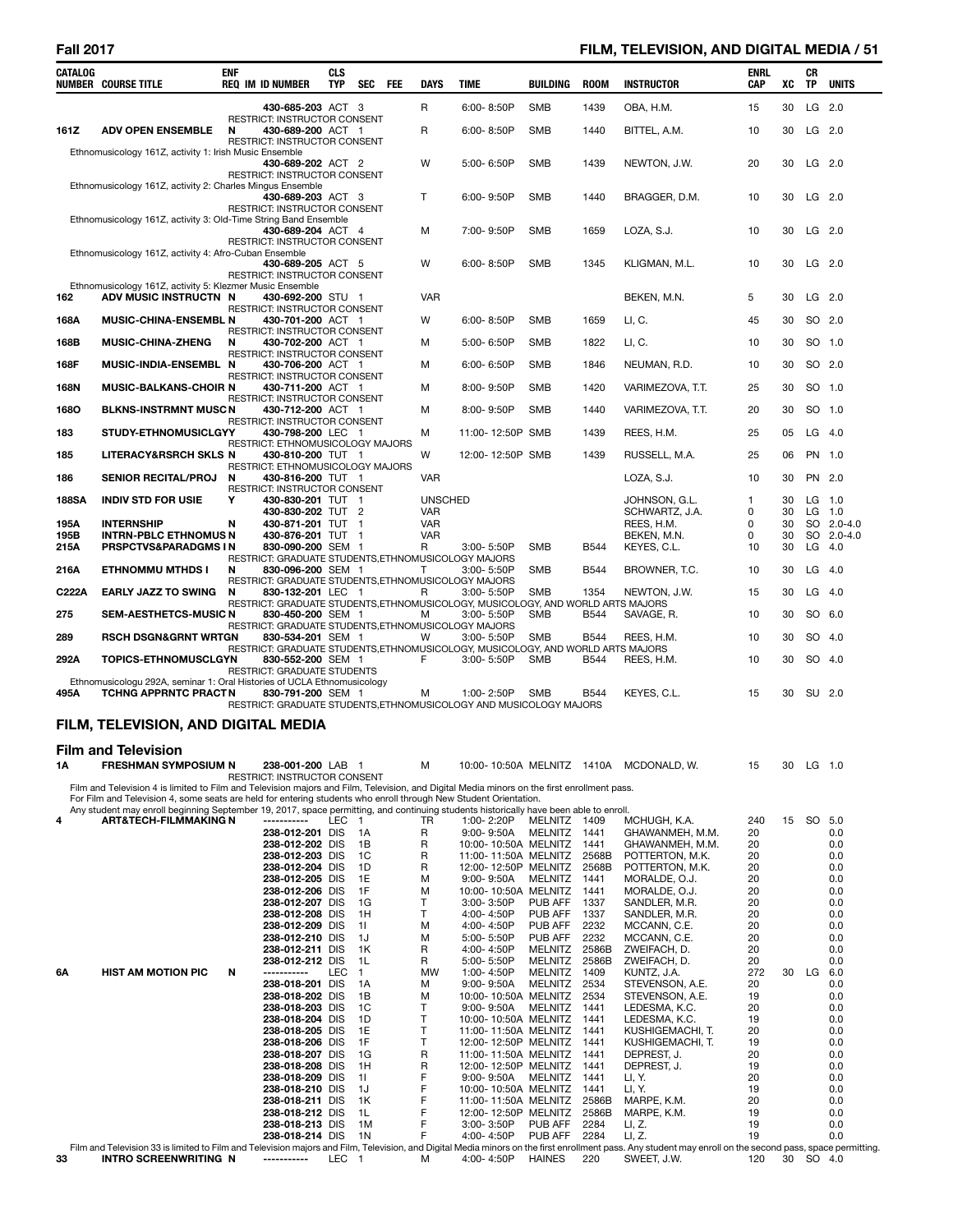# **Fall 2017 FILM, TELEVISION, AND DIGITAL MEDIA / 51**

| CATALOG      | <b>NUMBER COURSE TITLE</b>                                                                                                                                                                                                                                | <b>ENF</b> | <b>REQ IM ID NUMBER</b>                                                                              | <b>CLS</b><br>TYP | SEC FEE              | <b>DAYS</b>                  | <b>TIME</b>                                               | <b>BUILDING</b>         | <b>ROOM</b>   | <b>INSTRUCTOR</b>                 | <b>ENRL</b><br><b>CAP</b> | XC       | CR<br>TP | <b>UNITS</b>             |
|--------------|-----------------------------------------------------------------------------------------------------------------------------------------------------------------------------------------------------------------------------------------------------------|------------|------------------------------------------------------------------------------------------------------|-------------------|----------------------|------------------------------|-----------------------------------------------------------|-------------------------|---------------|-----------------------------------|---------------------------|----------|----------|--------------------------|
|              |                                                                                                                                                                                                                                                           |            | 430-685-203 ACT 3                                                                                    |                   |                      | R                            | 6:00-8:50P                                                | <b>SMB</b>              | 1439          | OBA, H.M.                         | 15                        | 30       |          | LG 2.0                   |
| 161Z         | <b>ADV OPEN ENSEMBLE</b>                                                                                                                                                                                                                                  | N          | RESTRICT: INSTRUCTOR CONSENT<br>430-689-200 ACT 1<br>RESTRICT: INSTRUCTOR CONSENT                    |                   |                      | R                            | 6:00-8:50P                                                | <b>SMB</b>              | 1440          | BITTEL, A.M.                      | 10                        | 30       |          | LG 2.0                   |
|              | Ethnomusicology 161Z, activity 1: Irish Music Ensemble                                                                                                                                                                                                    |            | 430-689-202 ACT 2                                                                                    |                   |                      | W                            | 5:00-6:50P                                                | <b>SMB</b>              | 1439          | NEWTON, J.W.                      | 20                        | 30       | $LG$ 2.0 |                          |
|              | Ethnomusicology 161Z, activity 2: Charles Mingus Ensemble                                                                                                                                                                                                 |            | RESTRICT: INSTRUCTOR CONSENT<br>430-689-203 ACT 3                                                    |                   |                      | Т                            | 6:00-9:50P                                                | <b>SMB</b>              | 1440          | BRAGGER, D.M.                     | 10                        | 30       | LG 2.0   |                          |
|              | Ethnomusicology 161Z, activity 3: Old-Time String Band Ensemble                                                                                                                                                                                           |            | RESTRICT: INSTRUCTOR CONSENT<br>430-689-204 ACT 4                                                    |                   |                      | М                            | 7:00-9:50P                                                | <b>SMB</b>              | 1659          | LOZA, S.J.                        | 10                        | 30       |          | LG 2.0                   |
|              | Ethnomusicology 161Z, activity 4: Afro-Cuban Ensemble                                                                                                                                                                                                     |            | RESTRICT: INSTRUCTOR CONSENT                                                                         |                   |                      |                              |                                                           |                         |               |                                   |                           |          |          |                          |
|              | Ethnomusicology 161Z, activity 5: Klezmer Music Ensemble                                                                                                                                                                                                  |            | 430-689-205 ACT 5<br>RESTRICT: INSTRUCTOR CONSENT                                                    |                   |                      | W                            | 6:00-8:50P                                                | SMB                     | 1345          | KLIGMAN, M.L.                     | 10                        | 30       |          | LG 2.0                   |
| 162          | ADV MUSIC INSTRUCTN N                                                                                                                                                                                                                                     |            | 430-692-200 STU 1<br>RESTRICT: INSTRUCTOR CONSENT                                                    |                   |                      | <b>VAR</b>                   |                                                           |                         |               | BEKEN, M.N.                       | 5                         | 30       | $LG$ 2.0 |                          |
| 168A         | <b>MUSIC-CHINA-ENSEMBL N</b>                                                                                                                                                                                                                              |            | 430-701-200 ACT 1                                                                                    |                   |                      | W                            | 6:00-8:50P                                                | <b>SMB</b>              | 1659          | LI, C.                            | 45                        | 30       |          | SO 2.0                   |
| 168B         | <b>MUSIC-CHINA-ZHENG</b>                                                                                                                                                                                                                                  | N          | RESTRICT: INSTRUCTOR CONSENT<br>430-702-200 ACT 1                                                    |                   |                      | М                            | 5:00-6:50P                                                | <b>SMB</b>              | 1822          | LI, C.                            | 10                        | 30       | SO 1.0   |                          |
| 168F         | MUSIC-INDIA-ENSEMBL N                                                                                                                                                                                                                                     |            | RESTRICT: INSTRUCTOR CONSENT<br>430-706-200 ACT 1                                                    |                   |                      | М                            | 6:00-6:50P                                                | <b>SMB</b>              | 1846          | NEUMAN, R.D.                      | 10                        | 30       |          | SO 2.0                   |
| 168N         | <b>MUSIC-BALKANS-CHOIR N</b>                                                                                                                                                                                                                              |            | RESTRICT: INSTRUCTOR CONSENT<br>430-711-200 ACT 1                                                    |                   |                      | м                            | 8:00-9:50P                                                | <b>SMB</b>              | 1420          | VARIMEZOVA, T.T.                  | 25                        | 30       |          | SO 1.0                   |
| 1680         | <b>BLKNS-INSTRMNT MUSCN</b>                                                                                                                                                                                                                               |            | RESTRICT: INSTRUCTOR CONSENT<br>430-712-200 ACT 1                                                    |                   |                      | М                            | 8:00-9:50P                                                | <b>SMB</b>              | 1440          | VARIMEZOVA, T.T.                  | 20                        | 30       |          | SO 1.0                   |
| 183          | <b>STUDY-ETHNOMUSICLGYY</b>                                                                                                                                                                                                                               |            | RESTRICT: INSTRUCTOR CONSENT<br>430-798-200 LEC 1                                                    |                   |                      | М                            | 11:00-12:50P SMB                                          |                         | 1439          | REES, H.M.                        | 25                        | 05       | $LG$ 4.0 |                          |
| 185          | <b>LITERACY&amp;RSRCH SKLS N</b>                                                                                                                                                                                                                          |            | RESTRICT: ETHNOMUSICOLOGY MAJORS<br>430-810-200 TUT 1                                                |                   |                      | W                            | 12:00-12:50P SMB                                          |                         | 1439          | RUSSELL, M.A.                     | 25                        | 06       | PN 1.0   |                          |
| 186          | <b>SENIOR RECITAL/PROJ</b>                                                                                                                                                                                                                                | N          | RESTRICT: ETHNOMUSICOLOGY MAJORS<br>430-816-200 TUT 1                                                |                   |                      | <b>VAR</b>                   |                                                           |                         |               | LOZA, S.J.                        | 10                        | 30       |          | PN 2.0                   |
|              |                                                                                                                                                                                                                                                           |            | RESTRICT: INSTRUCTOR CONSENT                                                                         |                   |                      |                              |                                                           |                         |               |                                   |                           |          |          |                          |
| <b>188SA</b> | <b>INDIV STD FOR USIE</b>                                                                                                                                                                                                                                 | Υ          | 430-830-201 TUT 1<br>430-830-202 TUT 2                                                               |                   |                      | <b>UNSCHED</b><br><b>VAR</b> |                                                           |                         |               | JOHNSON, G.L.<br>SCHWARTZ, J.A.   | 1<br>0                    | 30<br>30 |          | $LG$ 1.0<br>LG 1.0       |
| 195A<br>195B | <b>INTERNSHIP</b><br><b>INTRN-PBLC ETHNOMUS N</b>                                                                                                                                                                                                         | N          | 430-871-201 TUT 1<br>430-876-201 TUT 1                                                               |                   |                      | <b>VAR</b><br><b>VAR</b>     |                                                           |                         |               | REES, H.M.<br>BEKEN, M.N.         | 0<br>0                    | 30<br>30 |          | SO 2.0-4.0<br>SO 2.0-4.0 |
| 215A         | PRSPCTVS&PARADGMS IN                                                                                                                                                                                                                                      |            | 830-090-200 SEM 1<br>RESTRICT: GRADUATE STUDENTS,ETHNOMUSICOLOGY MAJORS                              |                   |                      | R                            | 3:00- 5:50P                                               | SMB                     | <b>B544</b>   | KEYES, C.L.                       | 10                        | 30       |          | $LG$ 4.0                 |
| 216A         | <b>ETHNOMMU MTHDS I</b>                                                                                                                                                                                                                                   | N          | 830-096-200 SEM 1<br>RESTRICT: GRADUATE STUDENTS, ETHNOMUSICOLOGY MAJORS                             |                   |                      | т                            | $3:00 - 5:50P$                                            | <b>SMB</b>              | <b>B544</b>   | BROWNER, T.C.                     | 10                        | 30       | $LG$ 4.0 |                          |
| C222A        | <b>EARLY JAZZ TO SWING</b>                                                                                                                                                                                                                                | N          | 830-132-201 LEC 1                                                                                    |                   |                      | R                            | $3:00 - 5:50P$                                            | <b>SMB</b>              | 1354          | NEWTON, J.W.                      | 15                        | 30       | $LG$ 4.0 |                          |
| 275          | <b>SEM-AESTHETCS-MUSIC N</b>                                                                                                                                                                                                                              |            | RESTRICT: GRADUATE STUDENTS,ETHNOMUSICOLOGY, MUSICOLOGY, AND WORLD ARTS MAJORS<br>830-450-200 SEM 1  |                   |                      | М                            | 3:00- 5:50P                                               | <b>SMB</b>              | <b>B544</b>   | SAVAGE, R.                        | 10                        | 30       | SO 6.0   |                          |
| 289          | <b>RSCH DSGN&amp;GRNT WRTGN</b>                                                                                                                                                                                                                           |            | RESTRICT: GRADUATE STUDENTS, ETHNOMUSICOLOGY MAJORS<br>830-534-201 SEM 1                             |                   |                      | w                            | 3:00-5:50P                                                | <b>SMB</b>              | <b>B544</b>   | REES, H.M.                        | 10                        | 30       |          | SO 4.0                   |
| 292A         | <b>TOPICS-ETHNOMUSCLGYN</b>                                                                                                                                                                                                                               |            | RESTRICT: GRADUATE STUDENTS, ETHNOMUSICOLOGY, MUSICOLOGY, AND WORLD ARTS MAJORS<br>830-552-200 SEM 1 |                   |                      | F                            | 3:00-5:50P                                                | <b>SMB</b>              | <b>B544</b>   | REES, H.M.                        | 10                        | 30       | SO 4.0   |                          |
|              | Ethnomusicologu 292A, seminar 1: Oral Histories of UCLA Ethnomusicology                                                                                                                                                                                   |            | RESTRICT: GRADUATE STUDENTS                                                                          |                   |                      |                              |                                                           |                         |               |                                   |                           |          |          |                          |
| 495A         | <b>TCHNG APPRNTC PRACTN</b>                                                                                                                                                                                                                               |            | 830-791-200 SEM 1<br>RESTRICT: GRADUATE STUDENTS, ETHNOMUSICOLOGY AND MUSICOLOGY MAJORS              |                   |                      | м                            | 1:00-2:50P                                                | SMB                     | B544          | KEYES, C.L.                       | 15                        | 30       | SU 2.0   |                          |
|              | FILM, TELEVISION, AND DIGITAL MEDIA                                                                                                                                                                                                                       |            |                                                                                                      |                   |                      |                              |                                                           |                         |               |                                   |                           |          |          |                          |
|              | <b>Film and Television</b>                                                                                                                                                                                                                                |            |                                                                                                      |                   |                      |                              |                                                           |                         |               |                                   |                           |          |          |                          |
| 1A           | <b>FRESHMAN SYMPOSIUM N</b>                                                                                                                                                                                                                               |            | 238-001-200 LAB 1                                                                                    |                   |                      | М                            | 10:00-10:50A MELNITZ 1410A                                |                         |               | MCDONALD, W.                      | 15                        | 30       | $LG$ 1.0 |                          |
|              | Film and Television 4 is limited to Film and Television majors and Film, Television, and Digital Media minors on the first enrollment pass.                                                                                                               |            | RESTRICT: INSTRUCTOR CONSENT                                                                         |                   |                      |                              |                                                           |                         |               |                                   |                           |          |          |                          |
|              | For Film and Television 4, some seats are held for entering students who enroll through New Student Orientation.<br>Any student may enroll beginning September 19, 2017, space permitting, and continuing students historically have been able to enroll. |            |                                                                                                      |                   |                      |                              |                                                           |                         |               |                                   |                           |          |          |                          |
| 4            | <b>ART&amp;TECH-FILMMAKING N</b>                                                                                                                                                                                                                          |            | -----------<br>238-012-201 DIS                                                                       | LEC               | $\overline{1}$<br>1A | TR<br>R                      | 1:00-2:20P<br>9:00-9:50A                                  | MELNITZ 1409<br>MELNITZ | 1441          | MCHUGH, K.A.<br>GHAWANMEH, M.M.   | 240<br>20                 | 15       | SO       | 5.0<br>0.0               |
|              |                                                                                                                                                                                                                                                           |            | 238-012-202 DIS                                                                                      |                   | 1B                   | R                            | 10:00-10:50A MELNITZ                                      |                         | 1441          | GHAWANMEH, M.M.                   | 20                        |          |          | 0.0                      |
|              |                                                                                                                                                                                                                                                           |            | 238-012-203 DIS                                                                                      |                   | 1C                   | R<br>R                       | 11:00-11:50A MELNITZ                                      |                         | 2568B         | POTTERTON, M.K.                   | 20<br>20                  |          |          | 0.0                      |
|              |                                                                                                                                                                                                                                                           |            | 238-012-204 DIS<br>238-012-205 DIS                                                                   |                   | 1D<br>1E             | М                            | 12:00-12:50P MELNITZ<br>$9:00 - 9:50A$                    | <b>MELNITZ</b>          | 2568B<br>1441 | POTTERTON, M.K.<br>MORALDE, O.J.  | 20                        |          |          | 0.0<br>0.0               |
|              |                                                                                                                                                                                                                                                           |            | 238-012-206 DIS                                                                                      |                   | 1F                   | M                            | 10:00-10:50A MELNITZ                                      |                         | 1441          | MORALDE, O.J.                     | 20                        |          |          | 0.0                      |
|              |                                                                                                                                                                                                                                                           |            | 238-012-207 DIS<br>238-012-208 DIS                                                                   |                   | 1G<br>1H             | Τ<br>Т                       | 3:00-3:50P<br>4:00-4:50P                                  | PUB AFF<br>PUB AFF      | 1337<br>1337  | SANDLER, M.R.<br>SANDLER, M.R.    | 20<br>20                  |          |          | 0.0<br>0.0               |
|              |                                                                                                                                                                                                                                                           |            | 238-012-209 DIS                                                                                      |                   | 11                   | M                            | 4:00-4:50P                                                | PUB AFF                 | 2232          | MCCANN, C.E.                      | 20                        |          |          | 0.0                      |
|              |                                                                                                                                                                                                                                                           |            | 238-012-210 DIS<br>238-012-211 DIS                                                                   |                   | 1J<br>1K             | М<br>R                       | 5:00- 5:50P<br>4:00-4:50P                                 | PUB AFF<br>MELNITZ      | 2232<br>2586B | MCCANN, C.E.<br>ZWEIFACH, D.      | 20<br>20                  |          |          | 0.0<br>0.0               |
|              |                                                                                                                                                                                                                                                           |            | 238-012-212 DIS                                                                                      |                   | 1L                   | R                            | 5:00- 5:50P                                               | MELNITZ                 | 2586B         | ZWEIFACH, D.                      | 20                        |          |          | 0.0                      |
| 6Α           | <b>HIST AM MOTION PIC</b>                                                                                                                                                                                                                                 | N          | -----------<br>238-018-201 DIS                                                                       | LEC               | $\mathbf{1}$<br>1A   | <b>MW</b><br>М               | 1:00-4:50P<br>9:00-9:50A                                  | MELNITZ<br>MELNITZ      | 1409<br>2534  | KUNTZ, J.A.<br>STEVENSON, A.E.    | 272<br>20                 | 30       | LG       | 6.0<br>0.0               |
|              |                                                                                                                                                                                                                                                           |            | 238-018-202 DIS                                                                                      |                   | 1B                   | M                            | 10:00-10:50A MELNITZ                                      |                         | 2534          | STEVENSON, A.E.                   | 19                        |          |          | 0.0                      |
|              |                                                                                                                                                                                                                                                           |            | 238-018-203 DIS                                                                                      |                   | 1C                   | Т                            | $9:00 - 9:50A$                                            | MELNITZ                 | 1441          | LEDESMA, K.C.                     | 20                        |          |          | 0.0                      |
|              |                                                                                                                                                                                                                                                           |            | 238-018-204 DIS<br>238-018-205 DIS                                                                   |                   | 1D<br>1E             | Τ<br>Т                       | 10:00-10:50A MELNITZ<br>11:00-11:50A MELNITZ              |                         | 1441<br>1441  | LEDESMA, K.C.<br>KUSHIGEMACHI, T. | 19<br>20                  |          |          | 0.0<br>0.0               |
|              |                                                                                                                                                                                                                                                           |            | 238-018-206 DIS                                                                                      |                   | 1F                   | Τ                            | 12:00-12:50P MELNITZ                                      |                         | 1441          | KUSHIGEMACHI, T.                  | 19                        |          |          | 0.0                      |
|              |                                                                                                                                                                                                                                                           |            | 238-018-207 DIS<br>238-018-208 DIS                                                                   |                   | 1G<br>1H             | R<br>R                       | 11:00-11:50A MELNITZ<br>12:00-12:50P MELNITZ              |                         | 1441<br>1441  | DEPREST, J.<br>DEPREST, J.        | 20<br>19                  |          |          | 0.0<br>0.0               |
|              |                                                                                                                                                                                                                                                           |            | 238-018-209 DIS                                                                                      |                   | 11                   | F                            | $9:00 - 9:50A$                                            | MELNITZ                 | 1441          | LI. Y.                            | 20                        |          |          | 0.0                      |
|              |                                                                                                                                                                                                                                                           |            | 238-018-210 DIS<br>238-018-211 DIS                                                                   |                   | 1J<br>1K             | F<br>F                       | 10:00-10:50A MELNITZ<br>11:00-11:50A MELNITZ              |                         | 1441<br>2586B | LI, Y.<br>MARPE, K.M.             | 19<br>20                  |          |          | 0.0<br>0.0               |
|              |                                                                                                                                                                                                                                                           |            | 238-018-212 DIS                                                                                      |                   | 1L                   | F                            | 12:00-12:50P MELNITZ                                      |                         | 2586B         | MARPE, K.M.                       | 19                        |          |          | 0.0                      |
|              |                                                                                                                                                                                                                                                           |            | 238-018-213 DIS<br>238-018-214 DIS 1N                                                                |                   | 1M                   | F<br>F                       | $3:00 - 3:50P$<br>$A \cdot 00 - A \cdot 50P$ PHR AFF 2284 | PUB AFF                 | 2284          | LI, Z.<br>117                     | 19<br>10                  |          |          | 0.0<br>n n               |

0.0 238-018-214 DIS 1N F 4:00- 4:50P PUB AFF 2284 LI, Z.<br>- Film and Television 33 is limited to Film and Television majors and Film, Television, and Digital Media minors on the first enrollment pass. Any student may enroll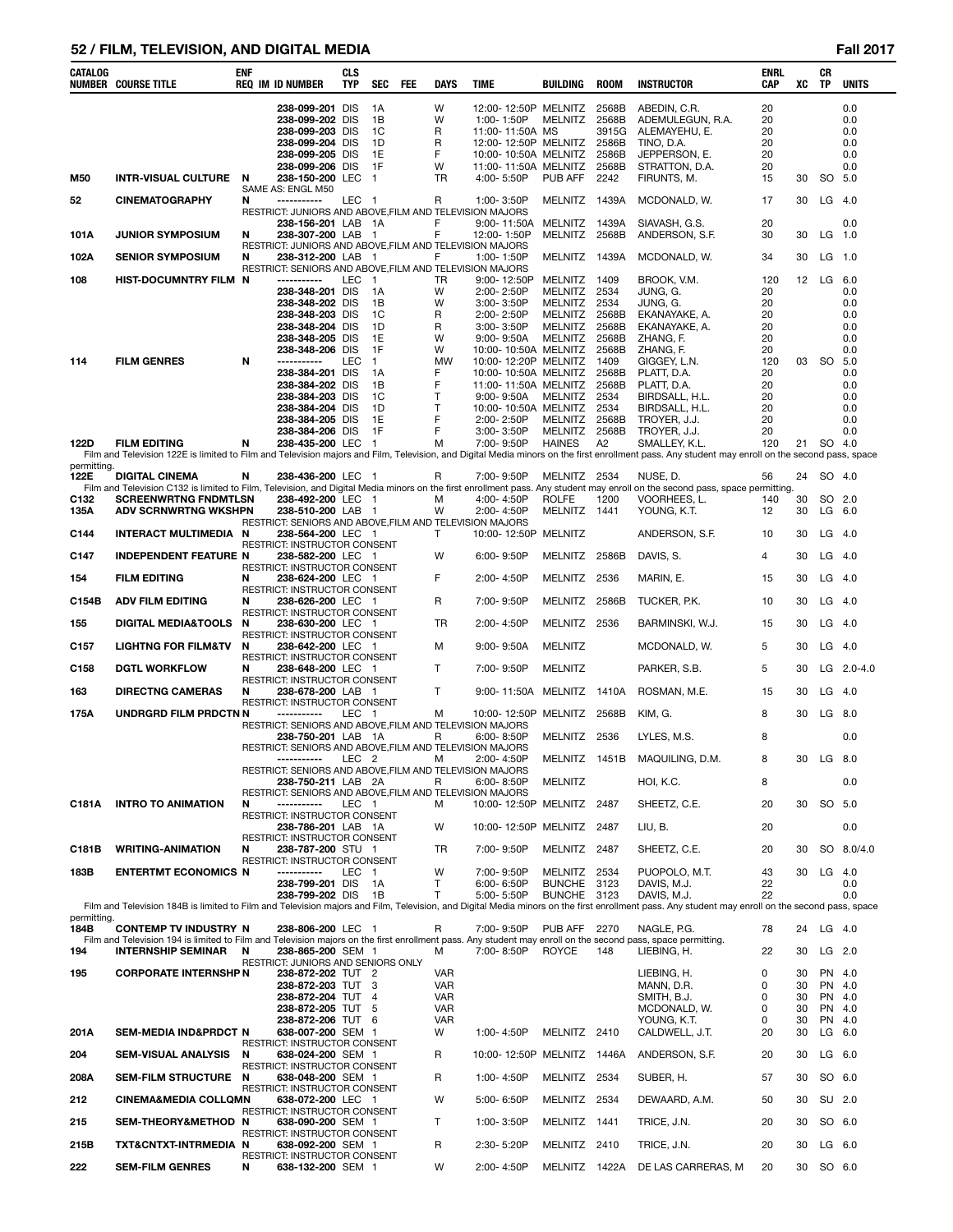# **52 / FILM, TELEVISION, AND DIGITAL MEDIA Fall 2017**

| CATALOG     | <b>NUMBER COURSE TITLE</b>                                                                                                                                                               | ENF    | <b>REQ IM ID NUMBER</b>                                                                                | <b>CLS</b><br>TYP | <b>SEC</b>             | FEE | <b>DAYS</b>                  | <b>TIME</b>                                  | BUILDING                        | <b>ROOM</b>    | <b>INSTRUCTOR</b>                                                                                                                                                                                                | <b>ENRL</b><br>CAP | xс       | CR<br>TP           | <b>UNITS</b> |
|-------------|------------------------------------------------------------------------------------------------------------------------------------------------------------------------------------------|--------|--------------------------------------------------------------------------------------------------------|-------------------|------------------------|-----|------------------------------|----------------------------------------------|---------------------------------|----------------|------------------------------------------------------------------------------------------------------------------------------------------------------------------------------------------------------------------|--------------------|----------|--------------------|--------------|
|             |                                                                                                                                                                                          |        | 238-099-201 DIS<br>238-099-202 DIS                                                                     |                   | 1A<br>1B               |     | W<br>W                       | 12:00-12:50P MELNITZ<br>1:00-1:50P           | <b>MELNITZ</b>                  | 2568B<br>2568B | ABEDIN, C.R.<br>ADEMULEGUN, R.A.                                                                                                                                                                                 | 20<br>20           |          |                    | 0.0<br>0.0   |
|             |                                                                                                                                                                                          |        | 238-099-203 DIS                                                                                        |                   | 1C                     |     | R                            | 11:00-11:50A MS                              |                                 | 3915G          | ALEMAYEHU, E.                                                                                                                                                                                                    | 20                 |          |                    | 0.0          |
|             |                                                                                                                                                                                          |        | 238-099-204 DIS                                                                                        |                   | 1D                     |     | R                            | 12:00-12:50P MELNITZ                         |                                 | 2586B          | TINO, D.A.                                                                                                                                                                                                       | 20                 |          |                    | 0.0          |
|             |                                                                                                                                                                                          |        | 238-099-205 DIS<br>238-099-206 DIS                                                                     |                   | 1E<br>1F               |     | F<br>W                       | 10:00-10:50A MELNITZ<br>11:00-11:50A MELNITZ |                                 | 2586B<br>2568B | JEPPERSON, E.<br>STRATTON, D.A.                                                                                                                                                                                  | 20<br>20           |          |                    | 0.0<br>0.0   |
| M50         | <b>INTR-VISUAL CULTURE</b>                                                                                                                                                               | N      | 238-150-200 LEC<br>SAME AS: ENGL M50                                                                   |                   | $\overline{1}$         |     | TR                           | 4:00-5:50P                                   | PUB AFF                         | 2242           | FIRUNTS, M.                                                                                                                                                                                                      | 15                 | 30       | SO 5.0             |              |
| 52          | <b>CINEMATOGRAPHY</b>                                                                                                                                                                    | N      | -----------<br>RESTRICT: JUNIORS AND ABOVE, FILM AND TELEVISION MAJORS                                 | LEC 1             |                        |     | R                            | 1:00-3:50P                                   | MELNITZ 1439A                   |                | MCDONALD, W.                                                                                                                                                                                                     | 17                 | 30       | $LG$ 4.0           |              |
| 101A        | <b>JUNIOR SYMPOSIUM</b>                                                                                                                                                                  | N      | 238-156-201 LAB<br>238-307-200 LAB                                                                     |                   | - 1A<br>$\overline{1}$ |     | F<br>F                       | $9:00 - 11:50A$<br>12:00-1:50P               | MELNITZ 1439A<br>MELNITZ 2568B  |                | SIAVASH, G.S.<br>ANDERSON, S.F.                                                                                                                                                                                  | 20<br>30           | 30       | LG                 | 0.0<br>1.0   |
| 102A        | <b>SENIOR SYMPOSIUM</b>                                                                                                                                                                  | N      | RESTRICT: JUNIORS AND ABOVE, FILM AND TELEVISION MAJORS<br>238-312-200 LAB 1                           |                   |                        |     | F                            | 1:00-1:50P                                   | MELNITZ 1439A                   |                | MCDONALD, W.                                                                                                                                                                                                     | 34                 | 30       | LG                 | 1.0          |
| 108         | HIST-DOCUMNTRY FILM N                                                                                                                                                                    |        | RESTRICT: SENIORS AND ABOVE, FILM AND TELEVISION MAJORS<br>------------                                | LEC               | $\overline{1}$         |     | TR                           | 9:00-12:50P                                  | MELNITZ 1409                    |                | BROOK, V.M.                                                                                                                                                                                                      | 120                | 12       | LG                 | - 6.0        |
|             |                                                                                                                                                                                          |        | 238-348-201 DIS<br>238-348-202 DIS                                                                     |                   | 1A<br>1B               |     | W<br>W                       | 2:00-2:50P<br>$3:00 - 3:50P$                 | MELNITZ 2534<br>MELNITZ         | 2534           | JUNG, G.<br>JUNG, G.                                                                                                                                                                                             | 20<br>20           |          |                    | 0.0<br>0.0   |
|             |                                                                                                                                                                                          |        | 238-348-203 DIS                                                                                        |                   | 1C                     |     | R                            | 2:00-2:50P                                   | MELNITZ 2568B                   |                | EKANAYAKE, A.                                                                                                                                                                                                    | 20                 |          |                    | 0.0          |
|             |                                                                                                                                                                                          |        | 238-348-204 DIS                                                                                        |                   | 1D                     |     | R                            | 3:00-3:50P                                   | MELNITZ                         | 2568B          | EKANAYAKE, A.                                                                                                                                                                                                    | 20                 |          |                    | 0.0          |
|             |                                                                                                                                                                                          |        | 238-348-205 DIS<br>238-348-206 DIS                                                                     |                   | 1E<br>1F               |     | W<br>W                       | $9:00 - 9:50A$<br>10:00-10:50A MELNITZ 2568B | MELNITZ 2568B                   |                | ZHANG, F.                                                                                                                                                                                                        | 20<br>20           |          |                    | 0.0<br>0.0   |
| 114         | <b>FILM GENRES</b>                                                                                                                                                                       | N      | -----------                                                                                            | LEC               | $\overline{1}$         |     | MW                           | 10:00-12:20P MELNITZ 1409                    |                                 |                | ZHANG, F.<br>GIGGEY, L.N.                                                                                                                                                                                        | 120                | 03       | <b>SO</b>          | 5.0          |
|             |                                                                                                                                                                                          |        | 238-384-201 DIS                                                                                        |                   | 1A                     |     | F                            | 10:00-10:50A MELNITZ                         |                                 | 2568B          | PLATT, D.A.                                                                                                                                                                                                      | 20                 |          |                    | 0.0          |
|             |                                                                                                                                                                                          |        | 238-384-202 DIS<br>238-384-203 DIS                                                                     |                   | 1B                     |     | F<br>T                       | 11:00-11:50A MELNITZ                         | <b>MELNITZ</b>                  | 2568B<br>2534  | PLATT. D.A.                                                                                                                                                                                                      | 20<br>20           |          |                    | 0.0          |
|             |                                                                                                                                                                                          |        | 238-384-204 DIS                                                                                        |                   | 1C<br>1D               |     | T                            | $9:00 - 9:50A$<br>10:00-10:50A MELNITZ       |                                 | 2534           | BIRDSALL, H.L.<br>BIRDSALL, H.L.                                                                                                                                                                                 | 20                 |          |                    | 0.0<br>0.0   |
|             |                                                                                                                                                                                          |        | 238-384-205 DIS                                                                                        |                   | 1E                     |     | F                            | 2:00-2:50P                                   | MELNITZ                         | 2568B          | TROYER, J.J.                                                                                                                                                                                                     | 20                 |          |                    | 0.0          |
|             |                                                                                                                                                                                          |        | 238-384-206 DIS                                                                                        |                   | 1F                     |     | F                            | $3:00 - 3:50P$                               | MELNITZ 2568B                   |                | TROYER, J.J.                                                                                                                                                                                                     | 20                 |          |                    | 0.0          |
| 122D        | <b>FILM EDITING</b>                                                                                                                                                                      | N      | 238-435-200 LEC                                                                                        |                   | $\overline{1}$         |     | м                            | 7:00-9:50P                                   | <b>HAINES</b>                   | A2             | SMALLEY, K.L.<br>Film and Television 122E is limited to Film and Television majors and Film, Television, and Digital Media minors on the first enrollment pass. Any student may enroll on the second pass, space | 120                | 21       | SO 4.0             |              |
| permitting. |                                                                                                                                                                                          |        |                                                                                                        |                   |                        |     |                              |                                              |                                 |                |                                                                                                                                                                                                                  |                    |          |                    |              |
| 122E        | <b>DIGITAL CINEMA</b>                                                                                                                                                                    | N      | 238-436-200 LEC 1                                                                                      |                   |                        |     | R                            | 7:00-9:50P                                   | MELNITZ 2534                    |                | NUSE, D.                                                                                                                                                                                                         | 56                 | 24       | SO 4.0             |              |
| C132        | <b>SCREENWRTNG FNDMTLSN</b>                                                                                                                                                              |        | 238-492-200 LEC 1                                                                                      |                   |                        |     | м                            | 4:00-4:50P                                   | <b>ROLFE</b>                    | 1200           | Film and Television C132 is limited to Film, Television, and Digital Media minors on the first enrollment pass. Any student may enroll on the second pass, space permitting.<br>VOORHEES, L.                     | 140                | 30       | SO 2.0             |              |
| 135A        | <b>ADV SCRNWRTNG WKSHPN</b>                                                                                                                                                              |        | 238-510-200 LAB 1                                                                                      |                   |                        |     | W                            | 2:00-4:50P                                   | MELNITZ 1441                    |                | YOUNG, K.T.                                                                                                                                                                                                      | 12                 | 30       | $LG$ 6.0           |              |
| C144        | INTERACT MULTIMEDIA N                                                                                                                                                                    |        | RESTRICT: SENIORS AND ABOVE, FILM AND TELEVISION MAJORS<br>238-564-200 LEC 1                           |                   |                        |     | T                            | 10:00-12:50P MELNITZ                         |                                 |                | ANDERSON, S.F.                                                                                                                                                                                                   | 10                 | 30       | $LG$ 4.0           |              |
| C147        | <b>INDEPENDENT FEATURE N</b>                                                                                                                                                             |        | RESTRICT: INSTRUCTOR CONSENT<br>238-582-200 LEC 1<br>RESTRICT: INSTRUCTOR CONSENT                      |                   |                        |     | W                            | 6:00-9:50P                                   | MELNITZ 2586B                   |                | DAVIS, S.                                                                                                                                                                                                        | 4                  | 30       | $LG$ 4.0           |              |
| 154         | <b>FILM EDITING</b>                                                                                                                                                                      | N      | 238-624-200 LEC 1<br><b>RESTRICT: INSTRUCTOR CONSENT</b>                                               |                   |                        |     | F                            | 2:00-4:50P                                   | MELNITZ 2536                    |                | MARIN, E.                                                                                                                                                                                                        | 15                 | 30       | $LG$ 4.0           |              |
| C154B       | <b>ADV FILM EDITING</b>                                                                                                                                                                  | N      | 238-626-200 LEC 1<br>RESTRICT: INSTRUCTOR CONSENT                                                      |                   |                        |     | R                            | 7:00-9:50P                                   | MELNITZ 2586B                   |                | TUCKER, P.K.                                                                                                                                                                                                     | 10                 | 30       | $LG$ 4.0           |              |
| 155         | <b>DIGITAL MEDIA&amp;TOOLS</b>                                                                                                                                                           | N      | 238-630-200 LEC 1<br>RESTRICT: INSTRUCTOR CONSENT                                                      |                   |                        |     | TR                           | 2:00-4:50P                                   | MELNITZ 2536                    |                | BARMINSKI, W.J.                                                                                                                                                                                                  | 15                 | 30       | $LG$ 4.0           |              |
| C157        | <b>LIGHTNG FOR FILM&amp;TV</b>                                                                                                                                                           | N      | 238-642-200 LEC 1<br><b>RESTRICT: INSTRUCTOR CONSENT</b>                                               |                   |                        |     | м                            | $9:00 - 9:50A$                               | <b>MELNITZ</b>                  |                | MCDONALD, W.                                                                                                                                                                                                     | 5                  | 30       | $LG$ 4.0           |              |
| C158<br>163 | <b>DGTL WORKFLOW</b><br><b>DIRECTNG CAMERAS</b>                                                                                                                                          | N<br>N | 238-648-200 LEC 1<br>RESTRICT: INSTRUCTOR CONSENT<br>238-678-200 LAB 1                                 |                   |                        |     | $\mathsf{T}$<br>$\mathsf{T}$ | 7:00-9:50P<br>9:00-11:50A                    | <b>MELNITZ</b><br>MELNITZ 1410A |                | PARKER, S.B.<br>ROSMAN, M.E.                                                                                                                                                                                     | 5<br>15            | 30<br>30 | $LG$ 4.0           | $LG$ 2.0-4.0 |
| 175A        | UNDRGRD FILM PRDCTN N                                                                                                                                                                    |        | RESTRICT: INSTRUCTOR CONSENT<br>-----------                                                            | LEC 1             |                        |     | м                            | 10:00-12:50P MELNITZ 2568B                   |                                 |                | KIM, G.                                                                                                                                                                                                          | 8                  | 30       | $LG$ 8.0           |              |
|             |                                                                                                                                                                                          |        | RESTRICT: SENIORS AND ABOVE, FILM AND TELEVISION MAJORS<br><b>238-750-201</b> LAB 1A                   |                   |                        |     | R                            | $6:00 - 8:50P$                               | MELNITZ 2536                    |                | LYLES, M.S.                                                                                                                                                                                                      | 8                  |          |                    | 0.0          |
|             |                                                                                                                                                                                          |        | RESTRICT: SENIORS AND ABOVE, FILM AND TELEVISION MAJORS<br>-----------                                 | LEC <sub>2</sub>  |                        |     | м                            | 2:00-4:50P                                   | MELNITZ 1451B                   |                | MAQUILING, D.M.                                                                                                                                                                                                  | 8                  | 30       | LG 8.0             |              |
|             |                                                                                                                                                                                          |        | RESTRICT: SENIORS AND ABOVE, FILM AND TELEVISION MAJORS<br>238-750-211 LAB 2A                          |                   |                        |     | R                            | $6:00 - 8:50P$                               | <b>MELNITZ</b>                  |                | HOI, K.C.                                                                                                                                                                                                        | 8                  |          |                    | 0.0          |
| C181A       | <b>INTRO TO ANIMATION</b>                                                                                                                                                                | N      | RESTRICT: SENIORS AND ABOVE, FILM AND TELEVISION MAJORS<br>-----------<br>RESTRICT: INSTRUCTOR CONSENT | LEC 1             |                        |     | м                            | 10:00-12:50P MELNITZ 2487                    |                                 |                | SHEETZ, C.E.                                                                                                                                                                                                     | 20                 | 30       | SO 5.0             |              |
|             |                                                                                                                                                                                          |        | 238-786-201 LAB 1A<br>RESTRICT: INSTRUCTOR CONSENT                                                     |                   |                        |     | W                            | 10:00-12:50P MELNITZ 2487                    |                                 |                | LIU, B.                                                                                                                                                                                                          | 20                 |          |                    | 0.0          |
| C181B       | <b>WRITING-ANIMATION</b>                                                                                                                                                                 | N      | 238-787-200 STU 1<br>RESTRICT: INSTRUCTOR CONSENT                                                      |                   |                        |     | TR.                          | 7:00-9:50P                                   | MELNITZ 2487                    |                | SHEETZ, C.E.                                                                                                                                                                                                     | 20                 | 30       |                    | SO 8.0/4.0   |
| 183B        | <b>ENTERTMT ECONOMICS N</b>                                                                                                                                                              |        | -----------<br>238-799-201 DIS                                                                         | LEC 1             | 1A                     |     | W<br>$\mathsf{T}$            | 7:00-9:50P<br>$6:00 - 6:50P$                 | MELNITZ<br><b>BUNCHE</b>        | 2534<br>3123   | PUOPOLO, M.T.<br>DAVIS, M.J.                                                                                                                                                                                     | 43<br>22           | 30       | LG                 | - 4.0<br>0.0 |
|             |                                                                                                                                                                                          |        | 238-799-202 DIS                                                                                        |                   | 1B                     |     | $\mathsf{T}$                 | 5:00-5:50P                                   | <b>BUNCHE</b>                   | 3123           | DAVIS, M.J.                                                                                                                                                                                                      | 22                 |          |                    | 0.0          |
| permitting. |                                                                                                                                                                                          |        |                                                                                                        |                   |                        |     |                              |                                              |                                 |                | Film and Television 184B is limited to Film and Television majors and Film, Television, and Digital Media minors on the first enrollment pass. Any student may enroll on the second pass, space                  |                    |          |                    |              |
| 184B        | <b>CONTEMP TV INDUSTRY N</b>                                                                                                                                                             |        | 238-806-200 LEC 1                                                                                      |                   |                        |     | R                            | 7:00-9:50P                                   | PUB AFF                         | 2270           | NAGLE, P.G.                                                                                                                                                                                                      | 78                 |          | 24 LG 4.0          |              |
| 194         | Film and Television 194 is limited to Film and Television majors on the first enrollment pass. Any student may enroll on the second pass, space permitting.<br><b>INTERNSHIP SEMINAR</b> | N      | 238-865-200 SEM 1                                                                                      |                   |                        |     | м                            | 7:00-8:50P                                   | <b>ROYCE</b>                    | 148            | LIEBING, H.                                                                                                                                                                                                      | 22                 | 30       | $LG$ 2.0           |              |
|             |                                                                                                                                                                                          |        | RESTRICT: JUNIORS AND SENIORS ONLY                                                                     |                   |                        |     |                              |                                              |                                 |                |                                                                                                                                                                                                                  |                    |          |                    |              |
| 195         | <b>CORPORATE INTERNSHP N</b>                                                                                                                                                             |        | 238-872-202 TUT 2<br>238-872-203 TUT 3                                                                 |                   |                        |     | <b>VAR</b><br><b>VAR</b>     |                                              |                                 |                | LIEBING, H.<br>MANN, D.R.                                                                                                                                                                                        | 0<br>0             | 30<br>30 | PN 4.0<br>PN 4.0   |              |
|             |                                                                                                                                                                                          |        | 238-872-204 TUT 4                                                                                      |                   |                        |     | <b>VAR</b>                   |                                              |                                 |                | SMITH, B.J.                                                                                                                                                                                                      | 0                  | 30       | PN 4.0             |              |
|             |                                                                                                                                                                                          |        | 238-872-205 TUT 5                                                                                      |                   |                        |     | <b>VAR</b>                   |                                              |                                 |                | MCDONALD, W.                                                                                                                                                                                                     | 0                  | 30       | PN 4.0             |              |
| 201A        | SEM-MEDIA IND&PRDCT N                                                                                                                                                                    |        | 238-872-206 TUT 6<br>638-007-200 SEM 1                                                                 |                   |                        |     | <b>VAR</b><br>W              | 1:00-4:50P                                   | MELNITZ 2410                    |                | YOUNG, K.T.<br>CALDWELL, J.T.                                                                                                                                                                                    | 0<br>20            | 30<br>30 | PN 4.0<br>$LG$ 6.0 |              |
| 204         | <b>SEM-VISUAL ANALYSIS</b>                                                                                                                                                               | N      | RESTRICT: INSTRUCTOR CONSENT<br>638-024-200 SEM 1                                                      |                   |                        |     | R                            | 10:00-12:50P MELNITZ 1446A                   |                                 |                | ANDERSON, S.F.                                                                                                                                                                                                   | 20                 | 30       | $LG$ 6.0           |              |
| 208A        | SEM-FILM STRUCTURE N                                                                                                                                                                     |        | RESTRICT: INSTRUCTOR CONSENT<br>638-048-200 SEM 1                                                      |                   |                        |     | R                            | 1:00-4:50P                                   | MELNITZ 2534                    |                | SUBER, H.                                                                                                                                                                                                        | 57                 | 30       | SO 6.0             |              |
| 212         | <b>CINEMA&amp;MEDIA COLLOMN</b>                                                                                                                                                          |        | RESTRICT: INSTRUCTOR CONSENT<br>638-072-200 LEC 1                                                      |                   |                        |     | W                            | 5:00-6:50P                                   | MELNITZ 2534                    |                | DEWAARD, A.M.                                                                                                                                                                                                    | 50                 | 30       | SU 2.0             |              |
| 215         | SEM-THEORY&METHOD N                                                                                                                                                                      |        | RESTRICT: INSTRUCTOR CONSENT<br>638-090-200 SEM 1                                                      |                   |                        |     | $\mathsf{T}$                 | 1:00-3:50P                                   | MELNITZ 1441                    |                | TRICE, J.N.                                                                                                                                                                                                      | 20                 | 30       | SO 6.0             |              |
| 215B        | TXT&CNTXT-INTRMEDIA N                                                                                                                                                                    |        | RESTRICT: INSTRUCTOR CONSENT<br>638-092-200 SEM 1<br>RESTRICT: INSTRUCTOR CONSENT                      |                   |                        |     | R                            | 2:30-5:20P                                   | MELNITZ 2410                    |                | TRICE, J.N.                                                                                                                                                                                                      | 20                 | 30       | $LG$ 6.0           |              |
| 222         | <b>SEM-FILM GENRES</b>                                                                                                                                                                   | N      | 638-132-200 SEM 1                                                                                      |                   |                        |     | W                            | 2:00-4:50P                                   |                                 |                | MELNITZ 1422A DE LAS CARRERAS, M                                                                                                                                                                                 | 20                 |          | 30 SO 6.0          |              |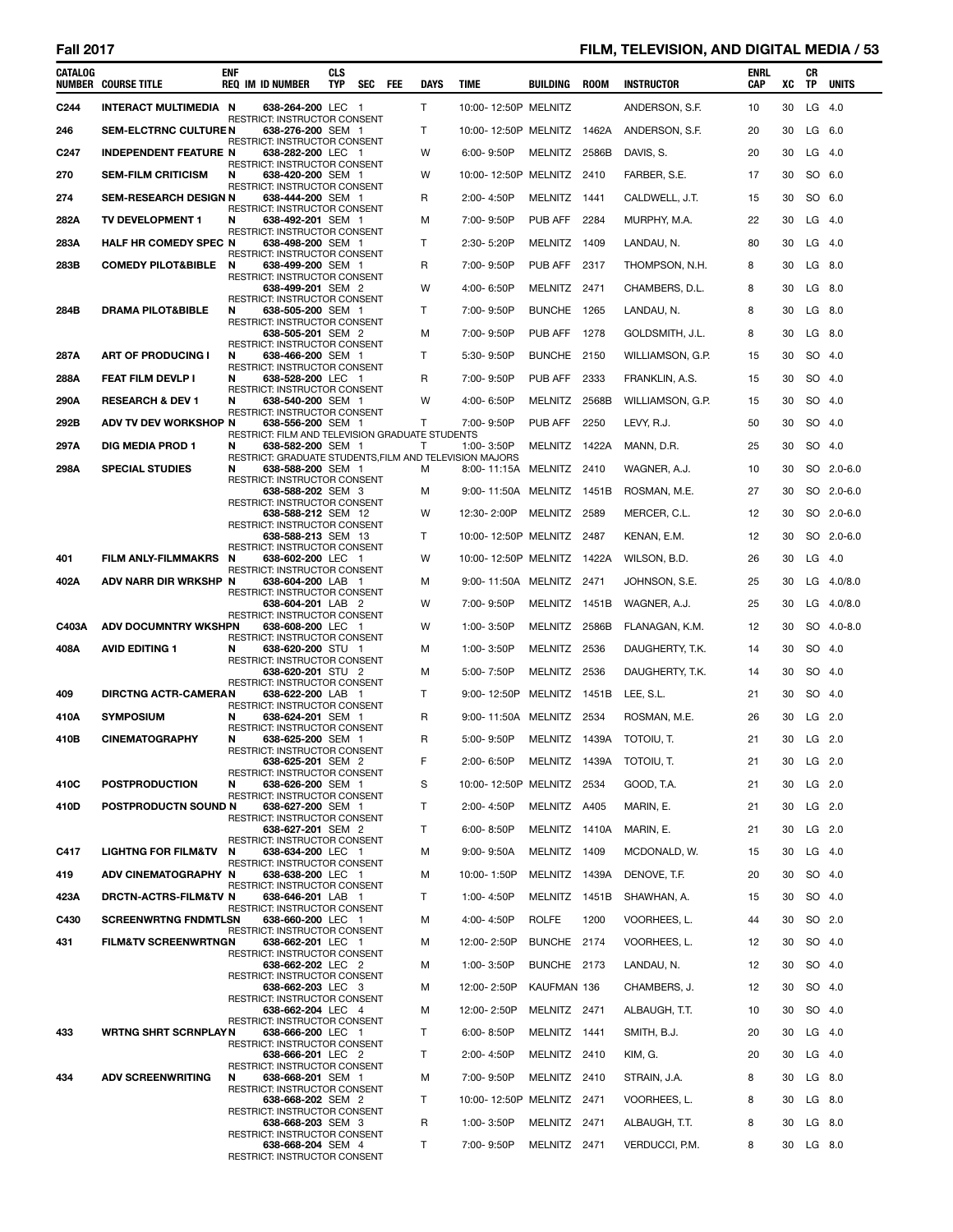# **Fall 2017 FILM, TELEVISION, AND DIGITAL MEDIA / 53**

| CATALOG          | <b>NUMBER COURSE TITLE</b>      | <b>ENF</b> | <b>REQ IM ID NUMBER</b>                                                      | <b>CLS</b><br>TYP | SEC FEE | <b>DAYS</b>  | TIME                                | BUILDING      | ROOM  | <b>INSTRUCTOR</b> | ENRL<br><b>CAP</b> | xс | CR<br>TP  | <b>UNITS</b> |
|------------------|---------------------------------|------------|------------------------------------------------------------------------------|-------------------|---------|--------------|-------------------------------------|---------------|-------|-------------------|--------------------|----|-----------|--------------|
| C <sub>244</sub> | INTERACT MULTIMEDIA N           |            | 638-264-200 LEC 1                                                            |                   |         | $\mathsf{T}$ | 10:00-12:50P MELNITZ                |               |       | ANDERSON, S.F.    | 10                 | 30 | $LG$ 4.0  |              |
| 246              | <b>SEM-ELCTRNC CULTURE N</b>    |            | <b>RESTRICT: INSTRUCTOR CONSENT</b><br>638-276-200 SEM 1                     |                   |         | T            | 10:00-12:50P MELNITZ 1462A          |               |       | ANDERSON, S.F.    | 20                 | 30 | LG 6.0    |              |
| C <sub>247</sub> | <b>INDEPENDENT FEATURE N</b>    |            | RESTRICT: INSTRUCTOR CONSENT<br>638-282-200 LEC 1                            |                   |         | W            | 6:00-9:50P                          | MELNITZ 2586B |       | DAVIS, S.         | 20                 | 30 | $LG$ 4.0  |              |
| 270              | <b>SEM-FILM CRITICISM</b>       | N          | RESTRICT: INSTRUCTOR CONSENT<br>638-420-200 SEM 1                            |                   |         | w            | 10:00-12:50P MELNITZ 2410           |               |       | FARBER, S.E.      | 17                 | 30 | SO 6.0    |              |
|                  |                                 |            | RESTRICT: INSTRUCTOR CONSENT                                                 |                   |         |              |                                     |               |       |                   |                    |    |           |              |
| 274              | <b>SEM-RESEARCH DESIGN N</b>    |            | 638-444-200 SEM 1<br>RESTRICT: INSTRUCTOR CONSENT                            |                   |         | R            | 2:00-4:50P                          | MELNITZ 1441  |       | CALDWELL, J.T.    | 15                 | 30 | SO 6.0    |              |
| 282A             | TV DEVELOPMENT 1                | N          | 638-492-201 SEM 1<br>RESTRICT: INSTRUCTOR CONSENT                            |                   |         | м            | 7:00-9:50P                          | PUB AFF       | 2284  | MURPHY, M.A.      | 22                 | 30 | $LG$ 4.0  |              |
| 283A             | HALF HR COMEDY SPEC N           |            | 638-498-200 SEM 1<br><b>RESTRICT: INSTRUCTOR CONSENT</b>                     |                   |         | Τ            | 2:30-5:20P                          | MELNITZ 1409  |       | LANDAU, N.        | 80                 | 30 | $LG$ 4.0  |              |
| 283B             | <b>COMEDY PILOT&amp;BIBLE</b>   | N          | 638-499-200 SEM 1<br>RESTRICT: INSTRUCTOR CONSENT                            |                   |         | R            | 7:00-9:50P                          | PUB AFF       | 2317  | THOMPSON, N.H.    | 8                  | 30 | LG        | 8.0          |
|                  |                                 |            | 638-499-201 SEM 2                                                            |                   |         | W            | 4:00-6:50P                          | MELNITZ 2471  |       | CHAMBERS, D.L.    | 8                  | 30 | LG 8.0    |              |
| 284B             | <b>DRAMA PILOT&amp;BIBLE</b>    | N          | RESTRICT: INSTRUCTOR CONSENT<br>638-505-200 SEM 1                            |                   |         | т            | 7:00-9:50P                          | BUNCHE 1265   |       | LANDAU, N.        | 8                  | 30 | LG 8.0    |              |
|                  |                                 |            | RESTRICT: INSTRUCTOR CONSENT<br>638-505-201 SEM 2                            |                   |         | м            | 7:00-9:50P                          | PUB AFF       | 1278  | GOLDSMITH, J.L.   | 8                  | 30 | LG 8.0    |              |
| 287A             | <b>ART OF PRODUCING I</b>       | N          | RESTRICT: INSTRUCTOR CONSENT<br>638-466-200 SEM 1                            |                   |         | Τ            | 5:30-9:50P                          | BUNCHE 2150   |       | WILLIAMSON, G.P.  | 15                 | 30 | SO 4.0    |              |
| 288A             | <b>FEAT FILM DEVLP I</b>        | N          | RESTRICT: INSTRUCTOR CONSENT<br>638-528-200 LEC 1                            |                   |         | R            | 7:00-9:50P                          | PUB AFF       | 2333  | FRANKLIN, A.S.    | 15                 | 30 | SO 4.0    |              |
|                  |                                 |            | <b>RESTRICT: INSTRUCTOR CONSENT</b>                                          |                   |         | W            |                                     |               |       |                   |                    |    |           |              |
| 290A             | <b>RESEARCH &amp; DEV 1</b>     | N          | 638-540-200 SEM 1<br>RESTRICT: INSTRUCTOR CONSENT                            |                   |         |              | 4:00-6:50P                          | MELNITZ       | 2568B | WILLIAMSON, G.P.  | 15                 | 30 | SO 4.0    |              |
| 292B             | ADV TV DEV WORKSHOP N           |            | 638-556-200 SEM 1<br>RESTRICT: FILM AND TELEVISION GRADUATE STUDENTS         |                   |         | T            | 7:00-9:50P                          | PUB AFF       | 2250  | LEVY, R.J.        | 50                 | 30 | SO 4.0    |              |
| 297A             | <b>DIG MEDIA PROD 1</b>         | N          | 638-582-200 SEM 1<br>RESTRICT: GRADUATE STUDENTS, FILM AND TELEVISION MAJORS |                   |         | т            | 1:00-3:50P                          | MELNITZ 1422A |       | MANN, D.R.        | 25                 | 30 | SO 4.0    |              |
| 298A             | <b>SPECIAL STUDIES</b>          | N          | 638-588-200 SEM 1<br>RESTRICT: INSTRUCTOR CONSENT                            |                   |         | м            | 8:00-11:15A MELNITZ 2410            |               |       | WAGNER, A.J.      | 10                 | 30 |           | SO 2.0-6.0   |
|                  |                                 |            | 638-588-202 SEM 3<br>RESTRICT: INSTRUCTOR CONSENT                            |                   |         | м            | 9:00-11:50A MELNITZ 1451B           |               |       | ROSMAN, M.E.      | 27                 | 30 |           | SO 2.0-6.0   |
|                  |                                 |            | 638-588-212 SEM 12<br>RESTRICT: INSTRUCTOR CONSENT                           |                   |         | W            | 12:30-2:00P                         | MELNITZ 2589  |       | MERCER, C.L.      | 12                 | 30 |           | SO 2.0-6.0   |
|                  |                                 |            | 638-588-213 SEM 13                                                           |                   |         | т            | 10:00-12:50P MELNITZ 2487           |               |       | KENAN, E.M.       | 12                 | 30 |           | SO 2.0-6.0   |
| 401              | <b>FILM ANLY-FILMMAKRS</b>      | N          | RESTRICT: INSTRUCTOR CONSENT<br>638-602-200 LEC 1                            |                   |         | W            | 10:00-12:50P MELNITZ 1422A          |               |       | WILSON, B.D.      | 26                 | 30 | $LG$ 4.0  |              |
| 402A             | ADV NARR DIR WRKSHP N           |            | RESTRICT: INSTRUCTOR CONSENT<br>638-604-200 LAB 1                            |                   |         | м            | 9:00-11:50A MELNITZ 2471            |               |       | JOHNSON, S.E.     | 25                 | 30 |           | LG 4.0/8.0   |
|                  |                                 |            | RESTRICT: INSTRUCTOR CONSENT<br>638-604-201 LAB 2                            |                   |         | W            | 7:00-9:50P                          | MELNITZ 1451B |       | WAGNER, A.J.      | 25                 | 30 | LG        | 4.0/8.0      |
| C403A            | <b>ADV DOCUMNTRY WKSHPN</b>     |            | RESTRICT: INSTRUCTOR CONSENT<br>638-608-200 LEC 1                            |                   |         | W            | 1:00-3:50P                          | MELNITZ 2586B |       | FLANAGAN, K.M.    | 12                 | 30 |           | SO 4.0-8.0   |
| 408A             | <b>AVID EDITING 1</b>           | N          | RESTRICT: INSTRUCTOR CONSENT<br>638-620-200 STU 1                            |                   |         | м            | 1:00-3:50P                          | MELNITZ 2536  |       | DAUGHERTY, T.K.   | 14                 | 30 | SO 4.0    |              |
|                  |                                 |            | RESTRICT: INSTRUCTOR CONSENT<br>638-620-201 STU 2                            |                   |         | м            | 5:00-7:50P                          | MELNITZ 2536  |       | DAUGHERTY, T.K.   | 14                 | 30 | SO 4.0    |              |
| 409              | <b>DIRCTNG ACTR-CAMERAN</b>     |            | RESTRICT: INSTRUCTOR CONSENT<br>638-622-200 LAB 1                            |                   |         | Τ            | 9:00-12:50P MELNITZ 1451B           |               |       | LEE, S.L.         | 21                 | 30 | SO 4.0    |              |
| 410A             | <b>SYMPOSIUM</b>                | N          | RESTRICT: INSTRUCTOR CONSENT<br>638-624-201 SEM 1                            |                   |         | R            | 9:00-11:50A MELNITZ 2534            |               |       | ROSMAN, M.E.      | 26                 | 30 | $LG$ 2.0  |              |
| 410B             | <b>CINEMATOGRAPHY</b>           | N          | RESTRICT: INSTRUCTOR CONSENT<br>638-625-200 SEM 1                            |                   |         | R            | 5:00-9:50P                          | MELNITZ 1439A |       | totoiu, t.        | 21                 | 30 | LG 2.0    |              |
|                  |                                 |            | RESTRICT: INSTRUCTOR CONSENT                                                 |                   |         |              |                                     |               |       |                   |                    |    |           |              |
|                  |                                 |            | 638-625-201 SEM 2<br>RESTRICT: INSTRUCTOR CONSENT                            |                   |         | F            | 2:00-6:50P MELNITZ 1439A TOTOIU, T. |               |       |                   | 21                 |    | 30 LG 2.0 |              |
| 410C             | <b>POSTPRODUCTION</b>           | N          | 638-626-200 SEM 1<br>RESTRICT: INSTRUCTOR CONSENT                            |                   |         | S            | 10:00-12:50P MELNITZ 2534           |               |       | GOOD, T.A.        | 21                 | 30 | $LG$ 2.0  |              |
| 410D             | POSTPRODUCTN SOUND N            |            | 638-627-200 SEM 1<br>RESTRICT: INSTRUCTOR CONSENT                            |                   |         | Т            | 2:00-4:50P                          | MELNITZ A405  |       | MARIN, E.         | 21                 | 30 | LG 2.0    |              |
|                  |                                 |            | 638-627-201 SEM 2<br>RESTRICT: INSTRUCTOR CONSENT                            |                   |         | Τ            | 6:00-8:50P                          | MELNITZ 1410A |       | MARIN, E.         | 21                 | 30 | LG 2.0    |              |
| C417             | <b>LIGHTNG FOR FILM&amp;TV</b>  | N          | 638-634-200 LEC 1<br>RESTRICT: INSTRUCTOR CONSENT                            |                   |         | м            | $9:00 - 9:50A$                      | MELNITZ 1409  |       | MCDONALD, W.      | 15                 | 30 | $LG$ 4.0  |              |
| 419              | ADV CINEMATOGRAPHY N            |            | 638-638-200 LEC 1<br>RESTRICT: INSTRUCTOR CONSENT                            |                   |         | м            | 10:00-1:50P                         | MELNITZ 1439A |       | DENOVE, T.F.      | 20                 | 30 | SO 4.0    |              |
| 423A             | DRCTN-ACTRS-FILM&TV N           |            | 638-646-201 LAB 1                                                            |                   |         | т            | 1:00-4:50P                          | MELNITZ 1451B |       | SHAWHAN, A.       | 15                 | 30 | SO 4.0    |              |
| C430             | <b>SCREENWRTNG FNDMTLSN</b>     |            | RESTRICT: INSTRUCTOR CONSENT<br>638-660-200 LEC 1                            |                   |         | м            | 4:00-4:50P                          | ROLFE         | 1200  | VOORHEES, L.      | 44                 | 30 | SO 2.0    |              |
| 431              | <b>FILM&amp;TV SCREENWRTNGN</b> |            | RESTRICT: INSTRUCTOR CONSENT<br>638-662-201 LEC 1                            |                   |         | м            | 12:00-2:50P                         | BUNCHE 2174   |       | VOORHEES, L.      | 12                 | 30 | SO 4.0    |              |
|                  |                                 |            | RESTRICT: INSTRUCTOR CONSENT<br>638-662-202 LEC 2                            |                   |         | м            | 1:00-3:50P                          | BUNCHE 2173   |       | LANDAU, N.        | 12                 | 30 | SO 4.0    |              |
|                  |                                 |            | RESTRICT: INSTRUCTOR CONSENT<br>638-662-203 LEC 3                            |                   |         | м            | 12:00-2:50P                         | KAUFMAN 136   |       | CHAMBERS, J.      | 12                 | 30 | SO 4.0    |              |
|                  |                                 |            | RESTRICT: INSTRUCTOR CONSENT<br>638-662-204 LEC 4                            |                   |         | м            | 12:00-2:50P                         | MELNITZ 2471  |       | ALBAUGH, T.T.     | 10                 | 30 | SO 4.0    |              |
| 433              | <b>WRTNG SHRT SCRNPLAYN</b>     |            | RESTRICT: INSTRUCTOR CONSENT<br>638-666-200 LEC 1                            |                   |         | Τ            | 6:00-8:50P                          | MELNITZ 1441  |       | SMITH, B.J.       | 20                 | 30 | $LG$ 4.0  |              |
|                  |                                 |            | RESTRICT: INSTRUCTOR CONSENT                                                 |                   |         |              |                                     |               |       |                   |                    |    |           |              |
|                  |                                 |            | 638-666-201 LEC 2<br>RESTRICT: INSTRUCTOR CONSENT                            |                   |         | Τ            | 2:00-4:50P                          | MELNITZ 2410  |       | KIM, G.           | 20                 | 30 | $LG$ 4.0  |              |
| 434              | <b>ADV SCREENWRITING</b>        | N          | 638-668-201 SEM 1<br>RESTRICT: INSTRUCTOR CONSENT                            |                   |         | м            | 7:00-9:50P                          | MELNITZ 2410  |       | STRAIN, J.A.      | 8                  | 30 | LG 8.0    |              |
|                  |                                 |            | 638-668-202 SEM 2<br>RESTRICT: INSTRUCTOR CONSENT                            |                   |         | т            | 10:00-12:50P MELNITZ 2471           |               |       | VOORHEES, L.      | 8                  | 30 | LG 8.0    |              |
|                  |                                 |            | 638-668-203 SEM 3<br>RESTRICT: INSTRUCTOR CONSENT                            |                   |         | R            | 1:00-3:50P                          | MELNITZ 2471  |       | ALBAUGH, T.T.     | 8                  | 30 | LG 8.0    |              |
|                  |                                 |            | 638-668-204 SEM 4<br>RESTRICT: INSTRUCTOR CONSENT                            |                   |         | Τ            | 7:00-9:50P                          | MELNITZ 2471  |       | VERDUCCI, P.M.    | 8                  | 30 | $LG$ 8.0  |              |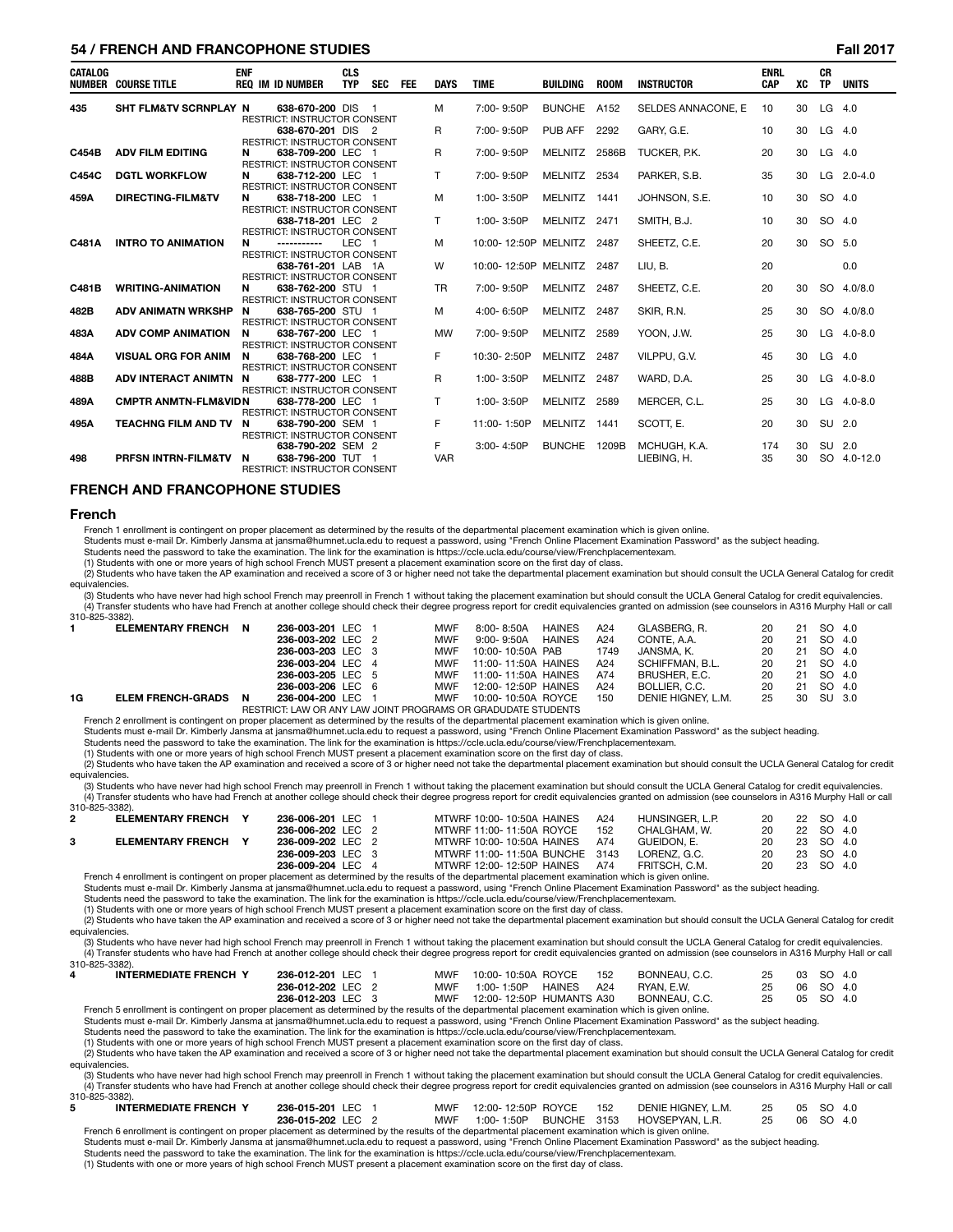### **54 / FRENCH AND FRANCOPHONE STUDIES Fall 2017**

| <b>CATALOG</b> | <b>NUMBER COURSE TITLE</b>       | <b>ENF</b> | <b>REQ IM ID NUMBER</b>                                                                  | <b>CLS</b><br><b>TYP</b> | SEC | <b>FEE</b> | <b>DAYS</b>      | <b>TIME</b>               | <b>BUILDING</b>     | <b>ROOM</b> | <b>INSTRUCTOR</b>           | <b>ENRL</b><br><b>CAP</b> | XC       | <b>CR</b><br><b>TP</b> | <b>UNITS</b> |
|----------------|----------------------------------|------------|------------------------------------------------------------------------------------------|--------------------------|-----|------------|------------------|---------------------------|---------------------|-------------|-----------------------------|---------------------------|----------|------------------------|--------------|
| 435            | <b>SHT FLM&amp;TV SCRNPLAY N</b> |            | 638-670-200 DIS                                                                          |                          | - 1 |            | м                | 7:00-9:50P                | <b>BUNCHE</b>       | A152        | SELDES ANNACONE. E          | 10                        | 30       | $LG$ 4.0               |              |
|                |                                  |            | <b>RESTRICT: INSTRUCTOR CONSENT</b><br>638-670-201 DIS 2<br>RESTRICT: INSTRUCTOR CONSENT |                          |     |            | R                | 7:00-9:50P                | <b>PUB AFF 2292</b> |             | GARY, G.E.                  | 10                        | 30       | $LG$ 4.0               |              |
| C454B          | <b>ADV FILM EDITING</b>          | N          | 638-709-200 LEC 1<br>RESTRICT: INSTRUCTOR CONSENT                                        |                          |     |            | R                | 7:00-9:50P                | MELNITZ 2586B       |             | TUCKER, P.K.                | 20                        | 30       | $LG$ 4.0               |              |
| C454C          | <b>DGTL WORKFLOW</b>             | N          | 638-712-200 LEC 1<br><b>RESTRICT: INSTRUCTOR CONSENT</b>                                 |                          |     |            | T.               | 7:00-9:50P                | MELNITZ 2534        |             | PARKER, S.B.                | 35                        | 30       |                        | $LG$ 2.0-4.0 |
| 459A           | <b>DIRECTING-FILM&amp;TV</b>     | N          | 638-718-200 LEC 1<br><b>RESTRICT: INSTRUCTOR CONSENT</b>                                 |                          |     |            | м                | 1:00-3:50P                | MELNITZ 1441        |             | JOHNSON, S.E.               | 10                        | 30       | SO 4.0                 |              |
|                |                                  |            | 638-718-201 LEC 2<br><b>RESTRICT: INSTRUCTOR CONSENT</b>                                 |                          |     |            | T.               | 1:00-3:50P                | MELNITZ 2471        |             | SMITH, B.J.                 | 10                        | 30       | SO 4.0                 |              |
| C481A          | <b>INTRO TO ANIMATION</b>        | N          | -----------<br><b>RESTRICT: INSTRUCTOR CONSENT</b>                                       | LEC <sub>1</sub>         |     |            | м                | 10:00-12:50P MELNITZ 2487 |                     |             | SHEETZ, C.E.                | 20                        | 30       | SO 5.0                 |              |
|                |                                  |            | 638-761-201 LAB 1A<br><b>RESTRICT: INSTRUCTOR CONSENT</b>                                |                          |     |            | W                | 10:00-12:50P MELNITZ 2487 |                     |             | LIU, B.                     | 20                        |          |                        | 0.0          |
| C481B          | <b>WRITING-ANIMATION</b>         | N          | 638-762-200 STU 1<br><b>RESTRICT: INSTRUCTOR CONSENT</b>                                 |                          |     |            | <b>TR</b>        | 7:00-9:50P                | MELNITZ 2487        |             | SHEETZ, C.E.                | 20                        | 30       |                        | SO 4.0/8.0   |
| 482B           | <b>ADV ANIMATN WRKSHP</b>        | N          | 638-765-200 STU 1<br><b>RESTRICT: INSTRUCTOR CONSENT</b>                                 |                          |     |            | м                | 4:00-6:50P                | MELNITZ 2487        |             | SKIR, R.N.                  | 25                        | 30       |                        | SO 4.0/8.0   |
| 483A           | <b>ADV COMP ANIMATION</b>        | N          | 638-767-200 LEC 1<br><b>RESTRICT: INSTRUCTOR CONSENT</b>                                 |                          |     |            | <b>MW</b>        | 7:00-9:50P                | <b>MELNITZ</b>      | 2589        | YOON, J.W.                  | 25                        | 30       |                        | LG 4.0-8.0   |
| 484A           | <b>VISUAL ORG FOR ANIM</b>       | N          | 638-768-200 LEC 1<br><b>RESTRICT: INSTRUCTOR CONSENT</b>                                 |                          |     |            | F                | 10:30-2:50P               | MELNITZ 2487        |             | VILPPU, G.V.                | 45                        | 30       | LG 4.0                 |              |
| 488B           | ADV INTERACT ANIMTN N            |            | 638-777-200 LEC 1<br>RESTRICT: INSTRUCTOR CONSENT                                        |                          |     |            | R                | 1:00-3:50P                | MELNITZ 2487        |             | WARD, D.A.                  | 25                        | 30       |                        | LG 4.0-8.0   |
| 489A           | <b>CMPTR ANMTN-FLM&amp;VIDN</b>  |            | 638-778-200 LEC 1<br><b>RESTRICT: INSTRUCTOR CONSENT</b>                                 |                          |     |            | T.               | 1:00-3:50P                | <b>MELNITZ</b>      | 2589        | MERCER, C.L.                | 25                        | 30       |                        | LG 4.0-8.0   |
| 495A           | <b>TEACHNG FILM AND TV</b>       | N          | 638-790-200 SEM 1<br><b>RESTRICT: INSTRUCTOR CONSENT</b>                                 |                          |     |            | F                | 11:00-1:50P               | MELNITZ 1441        |             | SCOTT, E.                   | 20                        | 30       | SU 2.0                 |              |
| 498            | PRESN INTRN-FILM&TV              | N          | 638-790-202 SEM 2<br>638-796-200 TUT 1<br><b>RESTRICT: INSTRUCTOR CONSENT</b>            |                          |     |            | F.<br><b>VAR</b> | 3:00-4:50P                | BUNCHE 1209B        |             | MCHUGH, K.A.<br>LIEBING, H. | 174<br>35                 | 30<br>30 | SU 2.0                 | SO 4.0-12.0  |

#### **FRENCH AND FRANCOPHONE STUDIES**

#### **French**

French 1 enrollment is contingent on proper placement as determined by the results of the departmental placement examination which is given online.

Students must e-mail Dr. Kimberly Jansma at jansma@humnet.ucla.edu to request a password, using "French Online Placement Examination Password" as the subject heading.

Students need the password to take the examination. The link for the examination is https://ccle.ucla.edu/course/view/Frenchplacementexam.

(1) Students with one or more years of high school French MUST present a placement examination score on the first day of class.

(2) Students who have taken the AP examination and received a score of 3 or higher need not take the departmental placement examination but should consult the UCLA General Catalog for credit equivalencies.

(3) Students who have never had high school French may preenroll in French 1 without taking the placement examination but should consult the UCLA General Catalog for credit equivalencies. (4) Transfer students who have had French at another college should check their degree progress report for credit equivalencies granted on admission (see counselors in A316 Murphy Hall or call 310-825-3382).

|    | <b>ELEMENTARY FRENCH</b> | - N | 236-003-201 LEC 1 |  | <b>MWF</b> | 8:00-8:50A                                                    | <b>HAINES</b> | A24  | GLASBERG. R.       | 20 | 21 | SO 4.0    |  |
|----|--------------------------|-----|-------------------|--|------------|---------------------------------------------------------------|---------------|------|--------------------|----|----|-----------|--|
|    |                          |     | 236-003-202 LEC 2 |  | MWF        | 9:00-9:50A                                                    | <b>HAINES</b> | A24  | CONTE. A.A.        | 20 | 21 | SO 4.0    |  |
|    |                          |     | 236-003-203 LEC 3 |  | MWF        | 10:00-10:50A PAB                                              |               | 1749 | JANSMA. K.         | 20 |    | 21 SO 4.0 |  |
|    |                          |     | 236-003-204 LEC 4 |  |            | MWF 11:00-11:50A HAINES                                       |               | A24  | SCHIFFMAN, B.L.    | 20 | 21 | SO 4.0    |  |
|    |                          |     | 236-003-205 LEC 5 |  | MWF        | 11:00-11:50A HAINES                                           |               | A74  | BRUSHER, E.C.      | 20 |    | 21 SO 4.0 |  |
|    |                          |     | 236-003-206 LEC 6 |  | MWF        | 12:00-12:50P HAINES                                           |               | A24  | BOLLIER, C.C.      | 20 | 21 | SO 4.0    |  |
| 1G | <b>ELEM FRENCH-GRADS</b> | N   | 236-004-200 LEC 1 |  | MWF        | 10:00-10:50A ROYCE                                            |               | 150  | DENIE HIGNEY, L.M. | 25 |    | 30 SU 3.0 |  |
|    |                          |     |                   |  |            | RESTRICT: LAW OR ANY LAW JOINT PROGRAMS OR GRADUDATE STUDENTS |               |      |                    |    |    |           |  |

French 2 enrollment is contingent on proper placement as determined by the results of the departmental placement examination which is given online.

Students must e-mail Dr. Kimberly Jansma at jansma@humnet.ucla.edu to request a password, using "French Online Placement Examination Password" as the subject heading.

Students need the password to take the examination. The link for the examination is https://ccle.ucla.edu/course/view/Frenchplacementexam.

(1) Students with one or more years of high school French MUST present a placement examination score on the first day of class.

(2) Students who have taken the AP examination and received a score of 3 or higher need not take the departmental placement examination but should consult the UCLA General Catalog for credit equivalencies.

(3) Students who have never had high school French may preenroll in French 1 without taking the placement examination but should consult the UCLA General Catalog for credit equivalencies.<br>(4) Transfer students who have had

| 310-825-3382). |                            |                   |  |                                                                                                                                                     |     |                 |    |           |  |
|----------------|----------------------------|-------------------|--|-----------------------------------------------------------------------------------------------------------------------------------------------------|-----|-----------------|----|-----------|--|
| $\mathbf{2}$   | <b>ELEMENTARY FRENCH Y</b> | 236-006-201 LEC 1 |  | MTWRF 10:00-10:50A HAINES                                                                                                                           | A24 | HUNSINGER, L.P. | 20 | 22 SO 4.0 |  |
|                |                            | 236-006-202 LEC 2 |  | MTWRF 11:00-11:50A ROYCE                                                                                                                            | 152 | CHALGHAM. W.    | 20 | 22 SO 4.0 |  |
|                | <b>ELEMENTARY FRENCH Y</b> | 236-009-202 LEC 2 |  | MTWRF 10:00-10:50A HAINES                                                                                                                           | A74 | GUEIDON. E.     | 20 | 23 SO 4.0 |  |
|                |                            | 236-009-203 LEC 3 |  | MTWRF 11:00-11:50A BUNCHE 3143                                                                                                                      |     | LORENZ. G.C.    | 20 | 23 SO 4.0 |  |
|                |                            | 236-009-204 LEC 4 |  | MTWRF 12:00- 12:50P HAINES                                                                                                                          | A74 | FRITSCH, C.M.   | 20 | 23 SO 4.0 |  |
|                |                            |                   |  | French 4 enrollment is contingent on proper placement as determined by the results of the departmental placement examination which is given online. |     |                 |    |           |  |

French 4 enrollment is contingent on proper placement as determined by the results of the departmental placement examination which is given online.<br>Students must e-mail Dr. Kimberly Jansma at jansma@humnet.ucla.edu to requ

Students need the password to take the examination. The link for the examination is https://ccle.ucla.edu/course/view/Frenchplacementexam.

(1) Students with one or more years of high school French MUST present a placement examination score on the first day of class.

(2) Students who have taken the AP examination and received a score of 3 or higher need not take the departmental placement examination but should consult the UCLA General Catalog for credit equivalencies.

(3) Students who have never had high school French may preenroll in French 1 without taking the placement examination but should consult the UCLA General Catalog for credit equivalencies.<br>(4) Transfer students who have had 310-825-3382).

| <b>INTERMEDIATE FRENCH Y</b> | 236-012-201 LEC 1 | MWF        | 10:00-10:50A ROYCE       | 152                  | BONNEAU, C.C. | 25 | 03        | SO 4.0 |  |
|------------------------------|-------------------|------------|--------------------------|----------------------|---------------|----|-----------|--------|--|
|                              | 236-012-202 LEC 2 | MWF        | 1:00-1:50P               | <b>HAINES</b><br>A24 | RYAN, E.W.    |    | 06 SO 4.0 |        |  |
|                              | 236-012-203 LEC 3 | <b>MWF</b> | 12:00-12:50P HUMANTS A30 |                      | BONNEAU, C.C. |    | 05        | SO 4.0 |  |

French 5 enrollment is contingent on proper placement as determined by the results of the departmental placement examination which is given online.

Students must e-mail Dr. Kimberly Jansma at jansma@humnet.ucla.edu to request a password, using "French Online Placement Examination Password" as the subject heading.<br>Students need the password to take the examination. The

(1) Students with one or more years of high school French MUST present a placement examination score on the first day of class.

(2) Students who have taken the AP examination and received a score of 3 or higher need not take the departmental placement examination but should consult the UCLA General Catalog for credit equivalencies.

(3) Students who have never had high school French may preenroll in French 1 without taking the placement examination but should consult the UCLA General Catalog for credit equivalencies. (4) Transfer students who have had French at another college should check their degree progress report for credit equivalencies granted on admission (see counselors in A316 Murphy Hall or call

| . A strand and the strand and the strand and the strand of the strand of the strand of the strand and the strand<br>310-825-3382).                 |                   |     |                        |     |                    |    |              |  |
|----------------------------------------------------------------------------------------------------------------------------------------------------|-------------------|-----|------------------------|-----|--------------------|----|--------------|--|
| <b>INTERMEDIATE FRENCH Y</b>                                                                                                                       | 236-015-201 LEC 1 |     | MWF 12:00-12:50P ROYCE | 152 | DENIE HIGNEY, L.M. |    | 25 05 SO 4.0 |  |
|                                                                                                                                                    | 236-015-202 LEC 2 | MWF | 1:00-1:50P BUNCHE 3153 |     | HOVSEPYAN. L.R.    | 25 | 06 SO 4.0    |  |
| Erench 6 enrollment is contingent on proper placement as determined by the results of the departmental placement examination which is given online |                   |     |                        |     |                    |    |              |  |

French 6 enrollment is contingent on proper placement as determined by the results of the departmental placement examination which is given online.<br>Students must e-mail Dr. Kimberly Jansma at jansma@humnet.ucla.edu to requ

Students need the password to take the examination. The link for the examination is https://ccle.ucla.edu/course/view/Frenchplacementexam.

(1) Students with one or more years of high school French MUST present a placement examination score on the first day of class.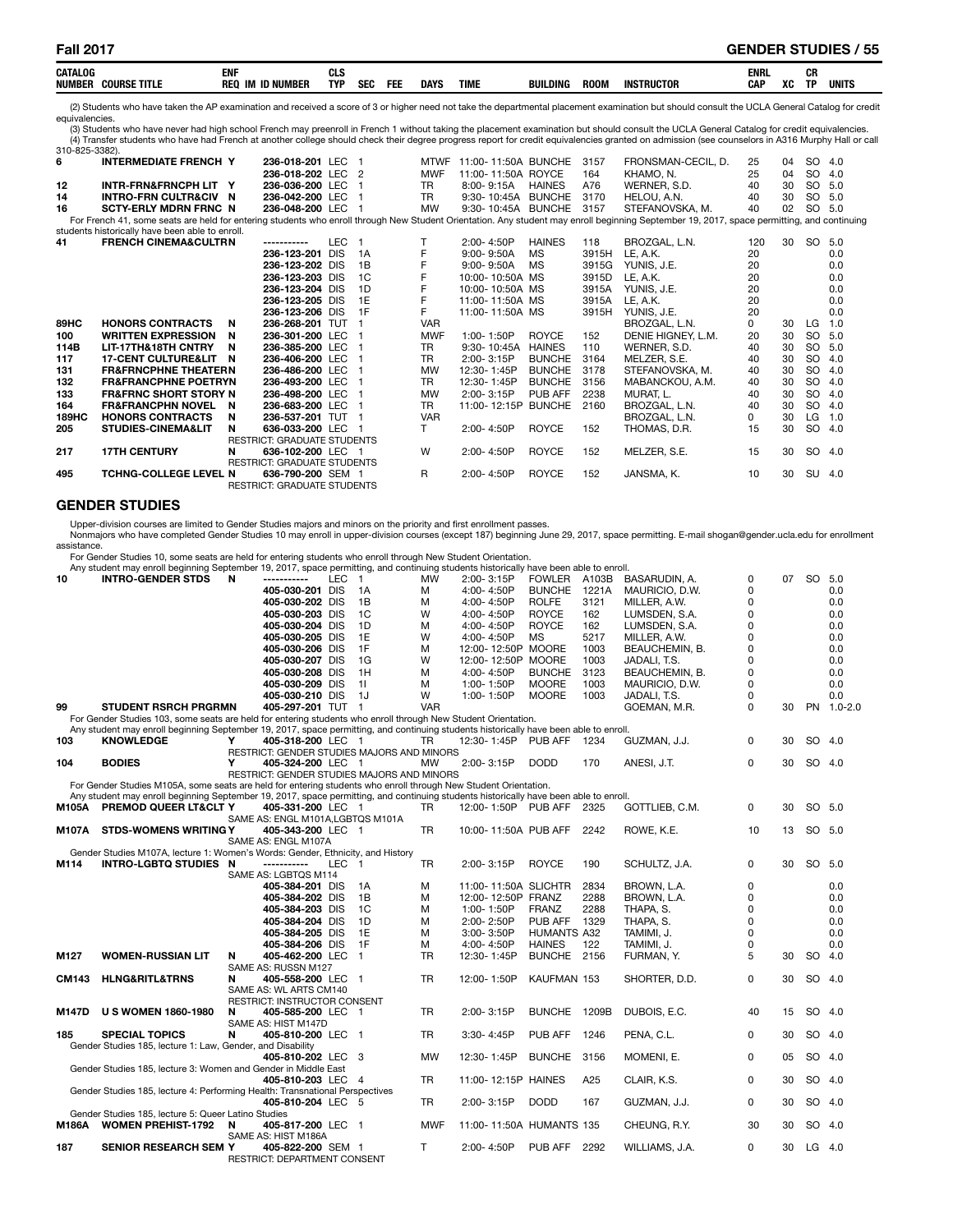| CATALOG                              | <b>CAIL</b><br>см                    | <b>CLS</b> |            |            |             |             |                 |             |                   | ENRL |    | cв<br>.un |       |
|--------------------------------------|--------------------------------------|------------|------------|------------|-------------|-------------|-----------------|-------------|-------------------|------|----|-----------|-------|
| <b>NUMBEI</b><br><b>COURSE TITLE</b> | IN<br><b>REC</b><br><b>ID NUMBER</b> | <b>TYP</b> | <b>SEC</b> | <b>FEL</b> | <b>DAYS</b> | <b>TIME</b> | <b>BUILDING</b> | <b>ROON</b> | <b>INSTRUCTOR</b> | CAP  | ХC | тв        | units |

(2) Students who have taken the AP examination and received a score of 3 or higher need not take the departmental placement examination but should consult the UCLA General Catalog for credit equivalencies.

(3) Students who have never had high school French may preenroll in French 1 without taking the placement examination but should consult the UCLA General Catalog for credit equivalencies. (4) Transfer students who have had French at another college should check their degree progress report for credit equivalencies granted on admission (see counselors in A316 Murphy Hall or call 310-825-3382).

| 310-023-33021 <b>.</b> |                                                                                                                                                                                            |                                    |            |    |             |                     |               |       |                    |          |    |           |        |
|------------------------|--------------------------------------------------------------------------------------------------------------------------------------------------------------------------------------------|------------------------------------|------------|----|-------------|---------------------|---------------|-------|--------------------|----------|----|-----------|--------|
| 6                      | <b>INTERMEDIATE FRENCH Y</b>                                                                                                                                                               | 236-018-201 LEC                    |            |    | <b>MTWF</b> | 11:00-11:50A BUNCHE |               | 3157  | FRONSMAN-CECIL. D. | 25       | 04 | SO 4.0    |        |
|                        |                                                                                                                                                                                            | 236-018-202 LEC                    |            | 2  | <b>MWF</b>  | 11:00-11:50A ROYCE  |               | 164   | KHAMO, N.          | 25       | 04 | SO        | 4.0    |
| 12                     | INTR-FRN&FRNCPH LIT Y                                                                                                                                                                      | 236-036-200 LEC                    |            |    | TR.         | 8:00-9:15A          | <b>HAINES</b> | A76   | WERNER, S.D.       | 40       | 30 |           | SO 5.0 |
| 14                     | <b>INTRO-FRN CULTR&amp;CIV N</b>                                                                                                                                                           | 236-042-200 LEC                    |            |    | <b>TR</b>   | 9:30-10:45A BUNCHE  |               | 3170  | HELOU, A.N.        | 40       | 30 | <b>SO</b> | 5.0    |
| 16                     | <b>SCTY-ERLY MDRN FRNC N</b>                                                                                                                                                               | 236-048-200 LEC                    |            |    | <b>MW</b>   | 9:30-10:45A BUNCHE  |               | 3157  | STEFANOVSKA, M.    | 40       | 02 | SO.       | 5.0    |
|                        | For French 41, some seats are held for entering students who enroll through New Student Orientation. Any student may enroll beginning September 19, 2017, space permitting, and continuing |                                    |            |    |             |                     |               |       |                    |          |    |           |        |
|                        | students historically have been able to enroll.                                                                                                                                            |                                    |            |    |             |                     |               |       |                    |          |    |           |        |
| 41                     | <b>FRENCH CINEMA&amp;CULTRN</b>                                                                                                                                                            | -----------                        | <b>LEC</b> |    |             | 2:00-4:50P          | <b>HAINES</b> | 118   | BROZGAL, L.N.      | 120      | 30 | SO 5.0    |        |
|                        |                                                                                                                                                                                            | 236-123-201 DIS                    |            | 1A | F           | $9:00 - 9:50A$      | <b>MS</b>     | 3915H | LE. A.K.           | 20       |    |           | 0.0    |
|                        |                                                                                                                                                                                            | 236-123-202 DIS                    |            | 1B | F           | $9:00 - 9:50A$      | MS            | 3915G | YUNIS, J.E.        | 20       |    |           | 0.0    |
|                        |                                                                                                                                                                                            | 236-123-203 DIS                    |            | 1C |             | 10:00-10:50A MS     |               | 3915D | LE. A.K.           | 20       |    |           | 0.0    |
|                        |                                                                                                                                                                                            | 236-123-204 DIS                    |            | 1D |             | 10:00-10:50A MS     |               | 3915A | YUNIS, J.E.        | 20       |    |           | 0.0    |
|                        |                                                                                                                                                                                            | 236-123-205 DIS                    |            | 1E |             | 11:00-11:50A MS     |               | 3915A | LE. A.K.           | 20       |    |           | 0.0    |
|                        |                                                                                                                                                                                            | 236-123-206 DIS                    |            | 1F | F           | 11:00-11:50A MS     |               | 3915H | YUNIS, J.E.        | 20       |    |           | 0.0    |
| 89HC                   | <b>HONORS CONTRACTS</b>                                                                                                                                                                    | 236-268-201 TUT<br>N               |            |    | <b>VAR</b>  |                     |               |       | BROZGAL, L.N.      | $\Omega$ | 30 | LG.       | 1.0    |
| 100                    | <b>WRITTEN EXPRESSION</b>                                                                                                                                                                  | 236-301-200 LEC<br>N               |            |    | <b>MWF</b>  | 1:00-1:50P          | ROYCE         | 152   | DENIE HIGNEY, L.M. | 20       | 30 | <b>SO</b> | 5.0    |
| 114B                   | LIT-17TH&18TH CNTRY                                                                                                                                                                        | 236-385-200 LEC<br>N               |            |    | <b>TR</b>   | $9:30 - 10:45A$     | <b>HAINES</b> | 110   | WERNER, S.D.       | 40       | 30 | SO        | 5.0    |
| 117                    | <b>17-CENT CULTURE&amp;LIT</b>                                                                                                                                                             | 236-406-200 LEC<br>N               |            |    | TR          | 2:00-3:15P          | <b>BUNCHE</b> | 3164  | MELZER, S.E.       | 40       | 30 | <b>SO</b> | 4.0    |
| 131                    | <b>FR&amp;FRNCPHNE THEATERN</b>                                                                                                                                                            | 236-486-200 LEC                    |            |    | <b>MW</b>   | 12:30-1:45P         | <b>BUNCHE</b> | 3178  | STEFANOVSKA, M.    | 40       | 30 | SO        | 4.0    |
| 132                    | <b>FR&amp;FRANCPHNE POETRYN</b>                                                                                                                                                            | 236-493-200 LEC                    |            |    | <b>TR</b>   | 12:30-1:45P         | <b>BUNCHE</b> | 3156  | MABANCKOU, A.M.    | 40       | 30 | SO        | 4.0    |
| 133                    | <b>FR&amp;FRNC SHORT STORY N</b>                                                                                                                                                           | 236-498-200 LEC                    |            |    | <b>MW</b>   | 2:00-3:15P          | PUB AFF       | 2238  | MURAT. L.          | 40       | 30 | SO        | 4.0    |
| 164                    | <b>FR&amp;FRANCPHN NOVEL</b>                                                                                                                                                               | 236-683-200 LEC<br>N               |            |    | <b>TR</b>   | 11:00-12:15P        | <b>BUNCHE</b> | 2160  | BROZGAL, L.N.      | 40       | 30 | SO.       | 4.0    |
| <b>189HC</b>           | <b>HONORS CONTRACTS</b>                                                                                                                                                                    | 236-537-201 TUT<br>N               |            |    | <b>VAR</b>  |                     |               |       | BROZGAL, L.N.      | 0        | 30 | LG        | 1.0    |
| 205                    | <b>STUDIES-CINEMA&amp;LIT</b>                                                                                                                                                              | 636-033-200 LEC<br>N               |            |    | т           | 2:00-4:50P          | <b>ROYCE</b>  | 152   | THOMAS, D.R.       | 15       | 30 | <b>SO</b> | 4.0    |
|                        |                                                                                                                                                                                            | <b>RESTRICT: GRADUATE STUDENTS</b> |            |    |             |                     |               |       |                    |          |    |           |        |
| 217                    | <b>17TH CENTURY</b>                                                                                                                                                                        | 636-102-200 LEC<br>N               |            |    | w           | 2:00-4:50P          | <b>ROYCE</b>  | 152   | MELZER, S.E.       | 15       | 30 | SO 4.0    |        |
|                        |                                                                                                                                                                                            | RESTRICT: GRADUATE STUDENTS        |            |    |             |                     |               |       |                    |          |    |           |        |
| 495                    | <b>TCHNG-COLLEGE LEVEL N</b>                                                                                                                                                               | 636-790-200 SEM 1                  |            |    | R           | 2:00-4:50P          | <b>ROYCE</b>  | 152   | JANSMA, K.         | 10       | 30 | SU 4.0    |        |
|                        |                                                                                                                                                                                            | <b>RESTRICT: GRADUATE STUDENTS</b> |            |    |             |                     |               |       |                    |          |    |           |        |

### **GENDER STUDIES**

Upper-division courses are limited to Gender Studies majors and minors on the priority and first enrollment passes.

Nonmajors who have completed Gender Studies 10 may enroll in upper-division courses (except 187) beginning June 29, 2017, space permitting. E-mail shogan@gender.ucla.edu for enrollment assistance.

For Gender Studies 10, some seats are held for entering students who enroll through New Student Orientation.

RESTRICT: DEPARTMENT CONSENT

|     | Any student may enroll beginning September 19, 2017, space permitting, and continuing students historically have been able to enroll. |   |                                            |     |     |            |                     |               |       |                |   |    |           |             |
|-----|---------------------------------------------------------------------------------------------------------------------------------------|---|--------------------------------------------|-----|-----|------------|---------------------|---------------|-------|----------------|---|----|-----------|-------------|
| 10  | <b>INTRO-GENDER STDS</b>                                                                                                              | N | -----------                                | LEC |     | <b>MW</b>  | $2:00 - 3:15P$      | <b>FOWLER</b> | A103B | BASARUDIN. A.  | 0 | 07 | SO 5.0    |             |
|     |                                                                                                                                       |   | 405-030-201 DIS                            |     | 1 A | м          | 4:00-4:50P          | <b>BUNCHE</b> | 1221A | MAURICIO, D.W. |   |    |           | 0.0         |
|     |                                                                                                                                       |   | 405-030-202 DIS                            |     | 1B  | м          | 4:00-4:50P          | <b>ROLFE</b>  | 3121  | MILLER. A.W.   |   |    |           | 0.0         |
|     |                                                                                                                                       |   | 405-030-203 DIS                            |     | 1C  | w          | 4:00-4:50P          | <b>ROYCE</b>  | 162   | LUMSDEN, S.A.  |   |    |           | 0.0         |
|     |                                                                                                                                       |   | 405-030-204 DIS                            |     | 1D  | м          | 4:00-4:50P          | <b>ROYCE</b>  | 162   | LUMSDEN, S.A.  |   |    |           | 0.0         |
|     |                                                                                                                                       |   | 405-030-205 DIS                            |     | 1E  | w          | 4:00-4:50P          | MS            | 5217  | MILLER. A.W.   |   |    |           | 0.0         |
|     |                                                                                                                                       |   | 405-030-206 DIS                            |     | 1F  | м          | 12:00-12:50P        | MOORE         | 1003  | BEAUCHEMIN, B. |   |    |           | 0.0         |
|     |                                                                                                                                       |   | 405-030-207 DIS                            |     | 1G  | w          | 12:00-12:50P        | <b>MOORE</b>  | 1003  | JADALI. T.S.   |   |    |           | 0.0         |
|     |                                                                                                                                       |   | 405-030-208 DIS                            |     | 1H  | м          | 4:00-4:50P          | <b>BUNCHE</b> | 3123  | BEAUCHEMIN, B. |   |    |           | 0.0         |
|     |                                                                                                                                       |   | 405-030-209 DIS                            |     | 11  | м          | 1:00-1:50P          | <b>MOORE</b>  | 1003  | MAURICIO, D.W. | 0 |    |           | 0.0         |
|     |                                                                                                                                       |   | 405-030-210 DIS                            |     | 1.1 | w          | $1:00 - 1:50P$      | <b>MOORE</b>  | 1003  | JADALI. T.S.   |   |    |           | 0.0         |
| 99  | <b>STUDENT RSRCH PRGRMN</b>                                                                                                           |   | 405-297-201 TUT                            |     |     | <b>VAR</b> |                     |               |       | GOEMAN, M.R.   |   | 30 | <b>PN</b> | $1.0 - 2.0$ |
|     | For Gender Studies 103, some seats are held for entering students who enroll through New Student Orientation.                         |   |                                            |     |     |            |                     |               |       |                |   |    |           |             |
|     | Any student may enroll beginning September 19, 2017, space permitting, and continuing students historically have been able to enroll. |   |                                            |     |     |            |                     |               |       |                |   |    |           |             |
| 103 | <b>KNOWLEDGE</b>                                                                                                                      |   | 405-318-200 LEC 1                          |     |     | TR         | 12:30-1:45P PUB AFF |               | 1234  | GUZMAN, J.J.   | 0 | 30 | SO 4.0    |             |
|     |                                                                                                                                       |   | RESTRICT: GENDER STUDIES MAJORS AND MINORS |     |     |            |                     |               |       |                |   |    |           |             |
| 104 | <b>BODIES</b>                                                                                                                         |   | 405-324-200 LEC 1                          |     |     | <b>MW</b>  | $2:00 - 3:15P$      | <b>DODD</b>   | 170   | ANESI, J.T.    | 0 | 30 | SO 4.0    |             |
|     |                                                                                                                                       |   | RESTRICT: GENDER STUDIES MAJORS AND MINORS |     |     |            |                     |               |       |                |   |    |           |             |
|     | For Gender Studies M105A, some seats are held for entering students who enroll through New Student Orientation.                       |   |                                            |     |     |            |                     |               |       |                |   |    |           |             |
|     |                                                                                                                                       |   |                                            |     |     |            |                     |               |       |                |   |    |           |             |

For Gender Studies M105A, some seats are held for entering students who enroll through New Student Orientation.<br>Any student may enroll beginning September 19, 2017, space permitting, and continuing students historically ha SAME AS: ENGL M101A, LGBTQS M101A<br>Y 405-343-200 LEC 1 **M107A STDS-WOMENS WRITING Y 405-343-200** LEC 1 TR 10:00-11:50A PUB AFF 2242 ROWE, K.E. 10 13 SO 5.0 SAME AS: ENGL M107A Gender Studies M107A, lecture 1: Women's Words: Gender, Ethnicity, and History<br> **M114 INTRO-LGBTO STUDIES N** ----------- LEC 1 **M114 INTRO-LGBTQ STUDIES N -----------** LEC 1 TR 2:00- 3:15P ROYCE 190 SCHULTZ, J.A. 0 30 SO 5.0 SAME AS: LGBTQS M114<br>405-384-201 DIS  **405-384-201** DIS 1A M 11:00- 11:50A SLICHTR 2834 BROWN, L.A. 0 0.0 12:00-12:50P FRANZ  **405-384-203** DIS 1C M 1:00- 1:50P FRANZ 2288 THAPA, S. 0 0.0  **405-384-204** DIS 1D M 2:00- 2:50P PUB AFF 1329 THAPA, S. 0 0.0  **405-384-205** DIS 1E M 3:00- 3:50P HUMANTS A32 TAMIMI, J. 0 0.0  **405-384-206** DIS 1F M 4:00- 4:50P HAINES 122 TAMIMI, J. 0 0.0 **M127 WOMEN-RUSSIAN LIT N 405-462-200** LEC 1 TR 12:30- 1:45P BUNCHE 2156 FURMAN, Y. 5 30 SO 4.0 SAME AS: RUSSN M127<br>N 405-558-200 LEC 1 **CM143 HLNG&RITL&TRNS N 405-558-200** LEC 1 TR 12:00- 1:50P KAUFMAN 153 SHORTER, D.D. 0 30 SO 4.0 SAME AS: WL ARTS CM140 RESTRICT: INSTRUCTOR CONSENT **M147D U S WOMEN 1860-1980 N 405-585-200** LEC 1 TR 2:00- 3:15P BUNCHE 1209B DUBOIS, E.C. 40 15 SO 4.0 SAME AS: HIST M147D<br>N 405-810-200 **185 SPECIAL TOPICS N 405-810-200** LEC 1 TR 3:30- 4:45P PUB AFF 1246 PENA, C.L. 0 30 SO 4.0 Gender Studies 185, lecture 1: Law, Gender, and Disability<br>405-810-202 LEC 3  **405-810-202** LEC 3 MW 12:30- 1:45P BUNCHE 3156 MOMENI, E. 0 05 SO 4.0 Gender Studies 185, lecture 3: Women and Gender in Middle East<br>405-810-203 LEC  **405-810-203** LEC 4 TR 11:00- 12:15P HAINES A25 CLAIR, K.S. 0 30 SO 4.0 Gender Studies 185, lecture 4: Performing Health: Transnational Perspectives<br>405-810-204 I FC 5  **405-810-204** LEC 5 TR 2:00- 3:15P DODD 167 GUZMAN, J.J. 0 30 SO 4.0 Gender Studies 185, lecture 5: Queer Latino Studies<br>
M186A WOMEN PREHIST-1792 N 405-817-200 LEC 1 **M186A WOMEN PREHIST-1792 N 405-817-200** LEC 1 MWF 11:00- 11:50A HUMANTS 135 CHEUNG, R.Y. 30 30 SO 4.0 SAME AS: HIST M186A<br>SENIOR RESEARCH SEM Y 405-822-200 SEM 1 **187 SENIOR RESEARCH SEM Y 405-822-200** SEM 1 T 2:00- 4:50P PUB AFF 2292 WILLIAMS, J.A. 0 30 LG 4.0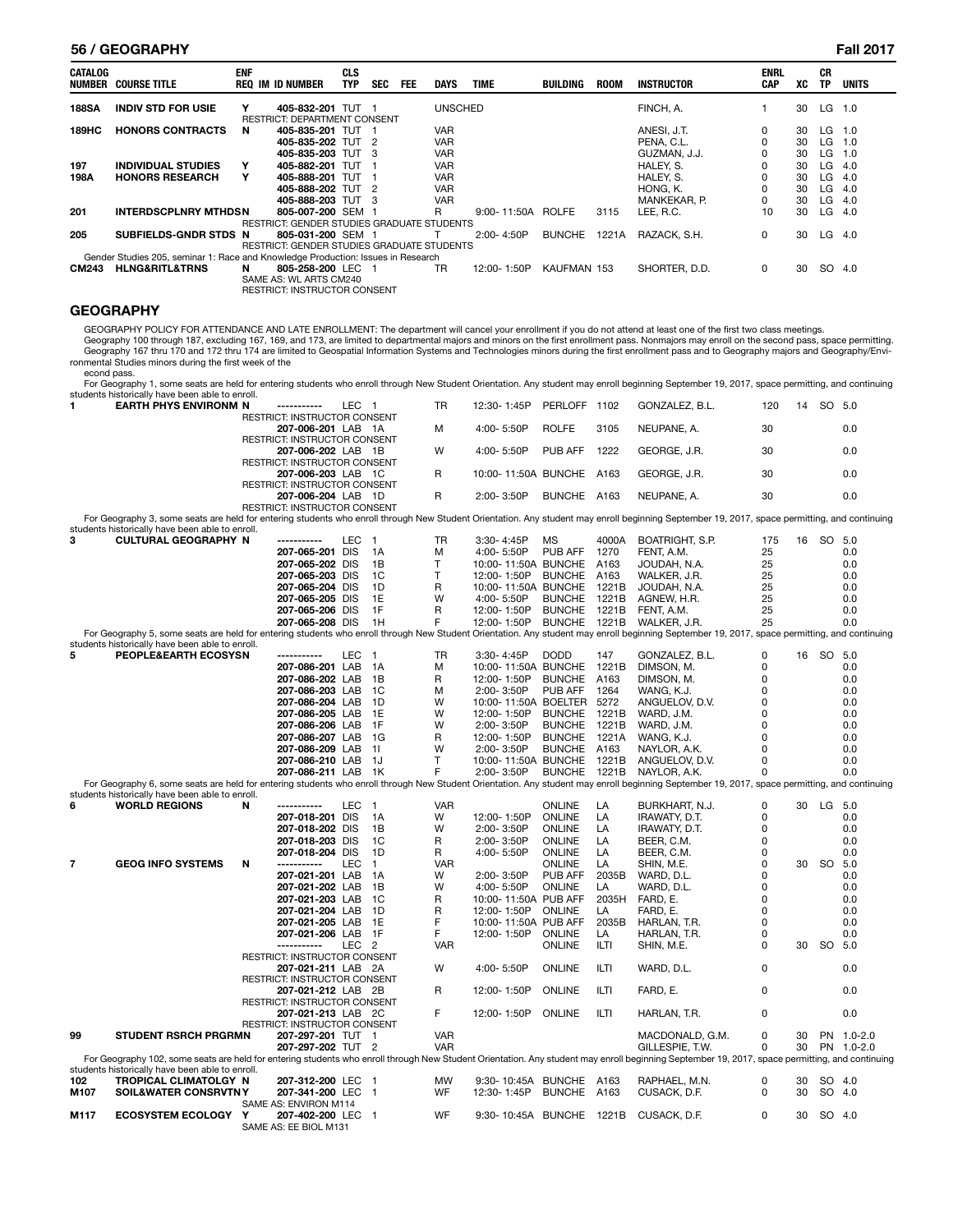#### **56 / GEOGRAPHY Fall 2017**

| <b>CATALOG</b> | NUMBER COURSE TITLE                                                              | <b>ENF</b> | <b>REQ IM ID NUMBER</b>                    | <b>CLS</b><br><b>TYP</b> | <b>SEC</b> | <b>FEE</b> | <b>DAYS</b>    | <b>TIME</b> | <b>BUILDING</b> | <b>ROOM</b> | INSTRUCTOR    | <b>ENRL</b><br><b>CAP</b> | хc | СR<br>TP | <b>UNITS</b> |
|----------------|----------------------------------------------------------------------------------|------------|--------------------------------------------|--------------------------|------------|------------|----------------|-------------|-----------------|-------------|---------------|---------------------------|----|----------|--------------|
| <b>188SA</b>   | <b>INDIV STD FOR USIE</b>                                                        | Y          | 405-832-201 TUT                            |                          |            |            | <b>UNSCHED</b> |             |                 |             | FINCH, A.     |                           | 30 | LG .     | 1.0          |
|                |                                                                                  |            | <b>RESTRICT: DEPARTMENT CONSENT</b>        |                          |            |            |                |             |                 |             |               |                           |    |          |              |
|                |                                                                                  |            |                                            |                          |            |            |                |             |                 |             |               |                           |    |          |              |
| 189HC          | <b>HONORS CONTRACTS</b>                                                          | N          | 405-835-201 TUT                            |                          |            |            | <b>VAR</b>     |             |                 |             | ANESI, J.T.   | 0                         | 30 | LG       | 1.0          |
|                |                                                                                  |            | 405-835-202 TUT                            |                          | - 2        |            | <b>VAR</b>     |             |                 |             | PENA, C.L.    | 0                         | 30 | LG       | 1.0          |
|                |                                                                                  |            | 405-835-203 TUT                            |                          | - 3        |            | <b>VAR</b>     |             |                 |             | GUZMAN, J.J.  | 0                         | 30 | LG       | 1.0          |
| 197            | <b>INDIVIDUAL STUDIES</b>                                                        | Y          | 405-882-201 TUT                            |                          |            |            | <b>VAR</b>     |             |                 |             | HALEY, S.     | 0                         | 30 | LG       | 4.0          |
| 198A           | <b>HONORS RESEARCH</b>                                                           | Y          | 405-888-201 TUT                            |                          |            |            | <b>VAR</b>     |             |                 |             | HALEY, S.     | 0                         | 30 | LG       | 4.0          |
|                |                                                                                  |            | 405-888-202 TUT                            |                          | ່າ         |            | <b>VAR</b>     |             |                 |             | HONG. K.      | 0                         | 30 | LG       | 4.0          |
|                |                                                                                  |            | 405-888-203 TUT                            |                          | - 3        |            | <b>VAR</b>     |             |                 |             | MANKEKAR. P.  | 0                         | 30 | LG       | -4.0         |
| 201            | <b>INTERDSCPLNRY MTHDSN</b>                                                      |            | 805-007-200 SEM 1                          |                          |            |            | R              | 9:00-11:50A | <b>ROLFE</b>    | 3115        | LEE. R.C.     | 10                        | 30 | LG       | 4.0          |
|                |                                                                                  |            | RESTRICT: GENDER STUDIES GRADUATE STUDENTS |                          |            |            |                |             |                 |             |               |                           |    |          |              |
| 205            | SUBFIELDS-GNDR STDS N                                                            |            | 805-031-200 SEM 1                          |                          |            |            |                | 2:00-4:50P  | <b>BUNCHE</b>   | 1221A       | RAZACK, S.H.  | 0                         | 30 | LG.      | 4.0          |
|                |                                                                                  |            | RESTRICT: GENDER STUDIES GRADUATE STUDENTS |                          |            |            |                |             |                 |             |               |                           |    |          |              |
|                | Gender Studies 205, seminar 1: Race and Knowledge Production: Issues in Research |            |                                            |                          |            |            |                |             |                 |             |               |                           |    |          |              |
| <b>CM243</b>   | <b>HLNG&amp;RITL&amp;TRNS</b>                                                    | N          | 805-258-200 LEC 1                          |                          |            |            | TR             | 12:00-1:50P | KAUFMAN 153     |             | SHORTER, D.D. | 0                         | 30 | SO.      | 4.0          |
|                |                                                                                  |            | SAME AS: WL ARTS CM240                     |                          |            |            |                |             |                 |             |               |                           |    |          |              |
|                |                                                                                  |            | <b>RESTRICT: INSTRUCTOR CONSENT</b>        |                          |            |            |                |             |                 |             |               |                           |    |          |              |

## **GEOGRAPHY**

GEOGRAPHY POLICY FOR ATTENDANCE AND LATE ENROLLMENT: The department will cancel your enrollment if you do not attend at least one of the first two class meetings.

Geography 100 through 187, excluding 167, 169, and 173, are limited to departmental majors and minors on the first enrollment pass. Nonmajors may enroll on the second pass, space permitting.<br>Geography 167 thru 170 and 172

econd pass.

For Geography 1, some seats are held for entering students who enroll through New Student Orientation. Any student may enroll beginning September 19, 2017, space permitting, and continuing<br>students historically have been a

|                | ווואוטחוזאום כזה                                                                                                                                                                               |   |                                            | ᄕ                |                | חו         | 1.401                    |                | 1 I UZ      | GUNZALEZ, D.L.  | ≀∠       |    | ںں        | ບ.ບ        |
|----------------|------------------------------------------------------------------------------------------------------------------------------------------------------------------------------------------------|---|--------------------------------------------|------------------|----------------|------------|--------------------------|----------------|-------------|-----------------|----------|----|-----------|------------|
|                |                                                                                                                                                                                                |   | RESTRICT: INSTRUCTOR CONSENT               |                  |                |            |                          |                |             |                 |          |    |           |            |
|                |                                                                                                                                                                                                |   | 207-006-201 LAB 1A                         |                  |                | м          | 4:00-5:50P               | <b>ROLFE</b>   | 3105        | NEUPANE, A.     | 30       |    |           | 0.0        |
|                |                                                                                                                                                                                                |   | RESTRICT: INSTRUCTOR CONSENT               |                  |                |            |                          |                |             |                 |          |    |           |            |
|                |                                                                                                                                                                                                |   | 207-006-202 LAB 1B                         |                  |                | W          | 4:00-5:50P               | PUB AFF        | 1222        | GEORGE, J.R.    | 30       |    |           | 0.0        |
|                |                                                                                                                                                                                                |   | <b>RESTRICT: INSTRUCTOR CONSENT</b>        |                  |                |            |                          |                |             |                 |          |    |           |            |
|                |                                                                                                                                                                                                |   |                                            |                  |                |            |                          |                |             |                 |          |    |           |            |
|                |                                                                                                                                                                                                |   | 207-006-203 LAB 1C                         |                  |                | R          | 10:00-11:50A BUNCHE      |                | A163        | GEORGE, J.R.    | 30       |    |           | 0.0        |
|                |                                                                                                                                                                                                |   | <b>RESTRICT: INSTRUCTOR CONSENT</b>        |                  |                |            |                          |                |             |                 |          |    |           |            |
|                |                                                                                                                                                                                                |   | 207-006-204 LAB 1D                         |                  |                | R          | 2:00-3:50P               | BUNCHE A163    |             | NEUPANE, A.     | 30       |    |           | 0.0        |
|                |                                                                                                                                                                                                |   | RESTRICT: INSTRUCTOR CONSENT               |                  |                |            |                          |                |             |                 |          |    |           |            |
|                | For Geography 3, some seats are held for entering students who enroll through New Student Orientation. Any student may enroll beginning September 19, 2017, space permitting, and continuing   |   |                                            |                  |                |            |                          |                |             |                 |          |    |           |            |
|                | students historically have been able to enroll.                                                                                                                                                |   |                                            |                  |                |            |                          |                |             |                 |          |    |           |            |
|                |                                                                                                                                                                                                |   |                                            |                  |                |            |                          |                |             |                 |          |    |           |            |
| 3              | <b>CULTURAL GEOGRAPHY N</b>                                                                                                                                                                    |   | -----------                                | LEC              | $\overline{1}$ | TR         | 3:30-4:45P               | <b>MS</b>      | 4000A       | BOATRIGHT, S.P. | 175      | 16 | SO 5.0    |            |
|                |                                                                                                                                                                                                |   | 207-065-201 DIS                            |                  | - 1 A          | м          | 4:00-5:50P               | PUB AFF        | 1270        | FENT, A.M.      | 25       |    |           | 0.0        |
|                |                                                                                                                                                                                                |   | 207-065-202 DIS                            |                  | 1B             | T          | 10:00-11:50A BUNCHE      |                | A163        | JOUDAH, N.A.    | 25       |    |           | 0.0        |
|                |                                                                                                                                                                                                |   | 207-065-203 DIS                            |                  | 1C             | T.         | 12:00-1:50P              | <b>BUNCHE</b>  | A163        | WALKER, J.R.    | 25       |    |           | 0.0        |
|                |                                                                                                                                                                                                |   | 207-065-204 DIS                            |                  | 1D             | R          | 10:00-11:50A BUNCHE      |                | 1221B       | JOUDAH, N.A.    | 25       |    |           | 0.0        |
|                |                                                                                                                                                                                                |   |                                            |                  |                |            |                          |                |             |                 |          |    |           |            |
|                |                                                                                                                                                                                                |   | 207-065-205 DIS                            |                  | 1E             | W          | 4:00-5:50P               | <b>BUNCHE</b>  | 1221B       | AGNEW, H.R.     | 25       |    |           | 0.0        |
|                |                                                                                                                                                                                                |   | 207-065-206 DIS                            |                  | 1F             | R          | 12:00-1:50P              | <b>BUNCHE</b>  | 1221B       | FENT, A.M.      | 25       |    |           | 0.0        |
|                |                                                                                                                                                                                                |   | 207-065-208 DIS                            |                  | 1H             | F          | 12:00-1:50P              | BUNCHE 1221B   |             | WALKER, J.R.    | 25       |    |           | 0.0        |
|                | For Geography 5, some seats are held for entering students who enroll through New Student Orientation. Any student may enroll beginning September 19, 2017, space permitting, and continuing   |   |                                            |                  |                |            |                          |                |             |                 |          |    |           |            |
|                | students historically have been able to enroll.                                                                                                                                                |   |                                            |                  |                |            |                          |                |             |                 |          |    |           |            |
| 5              |                                                                                                                                                                                                |   | ------------                               |                  |                |            |                          |                |             |                 | 0        |    |           |            |
|                | PEOPLE&EARTH ECOSYSN                                                                                                                                                                           |   |                                            | LEC 1            |                | TR         | 3:30-4:45P               | <b>DODD</b>    | 147         | GONZALEZ, B.L.  |          |    | 16 SO 5.0 |            |
|                |                                                                                                                                                                                                |   | 207-086-201 LAB 1A                         |                  |                | M          | 10:00-11:50A BUNCHE      |                | 1221B       | DIMSON, M.      | 0        |    |           | 0.0        |
|                |                                                                                                                                                                                                |   | 207-086-202 LAB                            |                  | 1B             | R          | 12:00-1:50P              | <b>BUNCHE</b>  | A163        | DIMSON, M.      | 0        |    |           | 0.0        |
|                |                                                                                                                                                                                                |   | 207-086-203 LAB                            |                  | 1C             | м          | 2:00-3:50P               | PUB AFF        | 1264        | WANG, K.J.      | 0        |    |           | 0.0        |
|                |                                                                                                                                                                                                |   | 207-086-204 LAB                            |                  | 1D             | W          | 10:00-11:50A BOELTER     |                | 5272        | ANGUELOV, D.V.  | 0        |    |           | 0.0        |
|                |                                                                                                                                                                                                |   | 207-086-205 LAB                            |                  | 1E             | W          | 12:00-1:50P              | <b>BUNCHE</b>  | 1221B       |                 | 0        |    |           | 0.0        |
|                |                                                                                                                                                                                                |   |                                            |                  |                |            |                          |                |             | WARD, J.M.      |          |    |           |            |
|                |                                                                                                                                                                                                |   | 207-086-206 LAB                            |                  | 1F             | W          | 2:00-3:50P               | <b>BUNCHE</b>  | 1221B       | WARD, J.M.      | 0        |    |           | 0.0        |
|                |                                                                                                                                                                                                |   | 207-086-207 LAB                            |                  | - 1G           | R          | 12:00-1:50P              | <b>BUNCHE</b>  | 1221A       | WANG, K.J.      | $\Omega$ |    |           | 0.0        |
|                |                                                                                                                                                                                                |   | 207-086-209 LAB                            |                  | 11             | W          | 2:00-3:50P               | <b>BUNCHE</b>  | A163        | NAYLOR, A.K.    | 0        |    |           | 0.0        |
|                |                                                                                                                                                                                                |   | 207-086-210 LAB                            |                  | - 1J           | T.         | 10:00-11:50A BUNCHE      |                | 1221B       | ANGUELOV, D.V.  | 0        |    |           | 0.0        |
|                |                                                                                                                                                                                                |   | 207-086-211 LAB                            |                  | - 1K           | F          | 2:00-3:50P               | <b>BUNCHE</b>  | 1221B       | NAYLOR, A.K.    | 0        |    |           | 0.0        |
|                |                                                                                                                                                                                                |   |                                            |                  |                |            |                          |                |             |                 |          |    |           |            |
|                | For Geography 6, some seats are held for entering students who enroll through New Student Orientation. Any student may enroll beginning September 19, 2017, space permitting, and continuing   |   |                                            |                  |                |            |                          |                |             |                 |          |    |           |            |
|                | students historically have been able to enroll.                                                                                                                                                |   |                                            |                  |                |            |                          |                |             |                 |          |    |           |            |
| 6              | <b>WORLD REGIONS</b>                                                                                                                                                                           | N | -----------                                | LEC              | $\overline{1}$ | <b>VAR</b> |                          | <b>ONLINE</b>  | LA          | BURKHART, N.J.  | 0        |    | 30 LG 5.0 |            |
|                |                                                                                                                                                                                                |   | 207-018-201 DIS                            |                  | 1A             | W          | 12:00-1:50P              | ONLINE         | LA          | IRAWATY, D.T.   | 0        |    |           | 0.0        |
|                |                                                                                                                                                                                                |   | 207-018-202 DIS                            |                  | 1B             | W          | 2:00-3:50P               | ONLINE         | LA          | IRAWATY, D.T.   | 0        |    |           | 0.0        |
|                |                                                                                                                                                                                                |   | 207-018-203 DIS                            |                  | 1C             |            | 2:00-3:50P               | ONLINE         | LA          |                 | $\Omega$ |    |           | 0.0        |
|                |                                                                                                                                                                                                |   |                                            |                  |                | R          |                          |                |             | BEER, C.M.      |          |    |           |            |
|                |                                                                                                                                                                                                |   | 207-018-204 DIS                            |                  | 1D             | R          | 4:00-5:50P               | ONLINE         | LA          | BEER, C.M.      | 0        |    |           | 0.0        |
| $\overline{7}$ | <b>GEOG INFO SYSTEMS</b>                                                                                                                                                                       | N | -----------                                | <b>LEC</b>       | $\mathbf{1}$   | <b>VAR</b> |                          | <b>ONLINE</b>  | LA          | SHIN, M.E.      | 0        | 30 | SO 5.0    |            |
|                |                                                                                                                                                                                                |   | 207-021-201 LAB                            |                  | - 1A           | W          | 2:00-3:50P               | <b>PUB AFF</b> | 2035B       | WARD, D.L.      | 0        |    |           | 0.0        |
|                |                                                                                                                                                                                                |   | 207-021-202 LAB                            |                  | 1B             | W          | 4:00-5:50P               | ONLINE         | LA          | WARD, D.L.      | 0        |    |           | 0.0        |
|                |                                                                                                                                                                                                |   | 207-021-203 LAB                            |                  | - 1C           | R          | 10:00-11:50A PUB AFF     |                | 2035H       | FARD, E.        | 0        |    |           | 0.0        |
|                |                                                                                                                                                                                                |   |                                            |                  |                |            |                          |                |             |                 |          |    |           |            |
|                |                                                                                                                                                                                                |   | 207-021-204 LAB                            |                  | - 1D           | R          | 12:00-1:50P              | <b>ONLINE</b>  | LA          | FARD, E.        | 0        |    |           | 0.0        |
|                |                                                                                                                                                                                                |   | 207-021-205 LAB                            |                  | 1E             | F          | 10:00-11:50A PUB AFF     |                | 2035B       | HARLAN, T.R.    | 0        |    |           | 0.0        |
|                |                                                                                                                                                                                                |   | 207-021-206 LAB                            |                  | 1F             | F.         | 12:00-1:50P              | ONLINE         | LA          | HARLAN, T.R.    | 0        |    |           | 0.0        |
|                |                                                                                                                                                                                                |   | -----------                                | LEC <sub>2</sub> |                | <b>VAR</b> |                          | ONLINE         | ILTI        | SHIN, M.E.      | 0        | 30 | SO        | 5.0        |
|                |                                                                                                                                                                                                |   | RESTRICT: INSTRUCTOR CONSENT               |                  |                |            |                          |                |             |                 |          |    |           |            |
|                |                                                                                                                                                                                                |   |                                            |                  |                | W          | 4:00-5:50P               | <b>ONLINE</b>  | ILTI        | WARD, D.L.      | 0        |    |           | 0.0        |
|                |                                                                                                                                                                                                |   |                                            |                  |                |            |                          |                |             |                 |          |    |           |            |
|                |                                                                                                                                                                                                |   | 207-021-211 LAB 2A                         |                  |                |            |                          |                |             |                 |          |    |           |            |
|                |                                                                                                                                                                                                |   | RESTRICT: INSTRUCTOR CONSENT               |                  |                |            |                          |                |             |                 |          |    |           |            |
|                |                                                                                                                                                                                                |   | 207-021-212 LAB 2B                         |                  |                | R          | 12:00-1:50P              | <b>ONLINE</b>  | <b>ILTI</b> | FARD, E.        | 0        |    |           | 0.0        |
|                |                                                                                                                                                                                                |   | RESTRICT: INSTRUCTOR CONSENT               |                  |                |            |                          |                |             |                 |          |    |           |            |
|                |                                                                                                                                                                                                |   | 207-021-213 LAB 2C                         |                  |                | F          | 12:00-1:50P              | ONLINE         | ILTI        | HARLAN, T.R.    | 0        |    |           | 0.0        |
|                |                                                                                                                                                                                                |   |                                            |                  |                |            |                          |                |             |                 |          |    |           |            |
|                |                                                                                                                                                                                                |   | RESTRICT: INSTRUCTOR CONSENT               |                  |                |            |                          |                |             |                 |          |    |           |            |
| 99             | <b>STUDENT RSRCH PRGRMN</b>                                                                                                                                                                    |   | 207-297-201 TUT 1                          |                  |                | <b>VAR</b> |                          |                |             | MACDONALD, G.M. | 0        | 30 |           | PN 1.0-2.0 |
|                |                                                                                                                                                                                                |   | 207-297-202 TUT 2                          |                  |                | <b>VAR</b> |                          |                |             | GILLESPIE, T.W. | 0        | 30 |           | PN 1.0-2.0 |
|                | For Geography 102, some seats are held for entering students who enroll through New Student Orientation. Any student may enroll beginning September 19, 2017, space permitting, and continuing |   |                                            |                  |                |            |                          |                |             |                 |          |    |           |            |
|                | students historically have been able to enroll.                                                                                                                                                |   |                                            |                  |                |            |                          |                |             |                 |          |    |           |            |
| 102            | TROPICAL CLIMATOLGY N                                                                                                                                                                          |   | 207-312-200 LEC 1                          |                  |                | MW         | 9:30-10:45A BUNCHE A163  |                |             | RAPHAEL, M.N.   | 0        | 30 | SO 4.0    |            |
|                |                                                                                                                                                                                                |   |                                            |                  |                |            |                          |                |             |                 |          |    |           |            |
| M107           | <b>SOIL&amp;WATER CONSRVTNY</b>                                                                                                                                                                |   | 207-341-200 LEC 1                          |                  |                | WF         | 12:30-1:45P              | BUNCHE A163    |             | CUSACK, D.F.    | 0        | 30 | SO 4.0    |            |
|                |                                                                                                                                                                                                |   | SAME AS: ENVIRON M114                      |                  |                |            |                          |                |             |                 |          |    |           |            |
| M117           | <b>ECOSYSTEM ECOLOGY Y</b>                                                                                                                                                                     |   | 207-402-200 LEC 1<br>SAME AS: EE BIOL M131 |                  |                | WF         | 9:30-10:45A BUNCHE 1221B |                |             | CUSACK, D.F.    | 0        | 30 | SO 4.0    |            |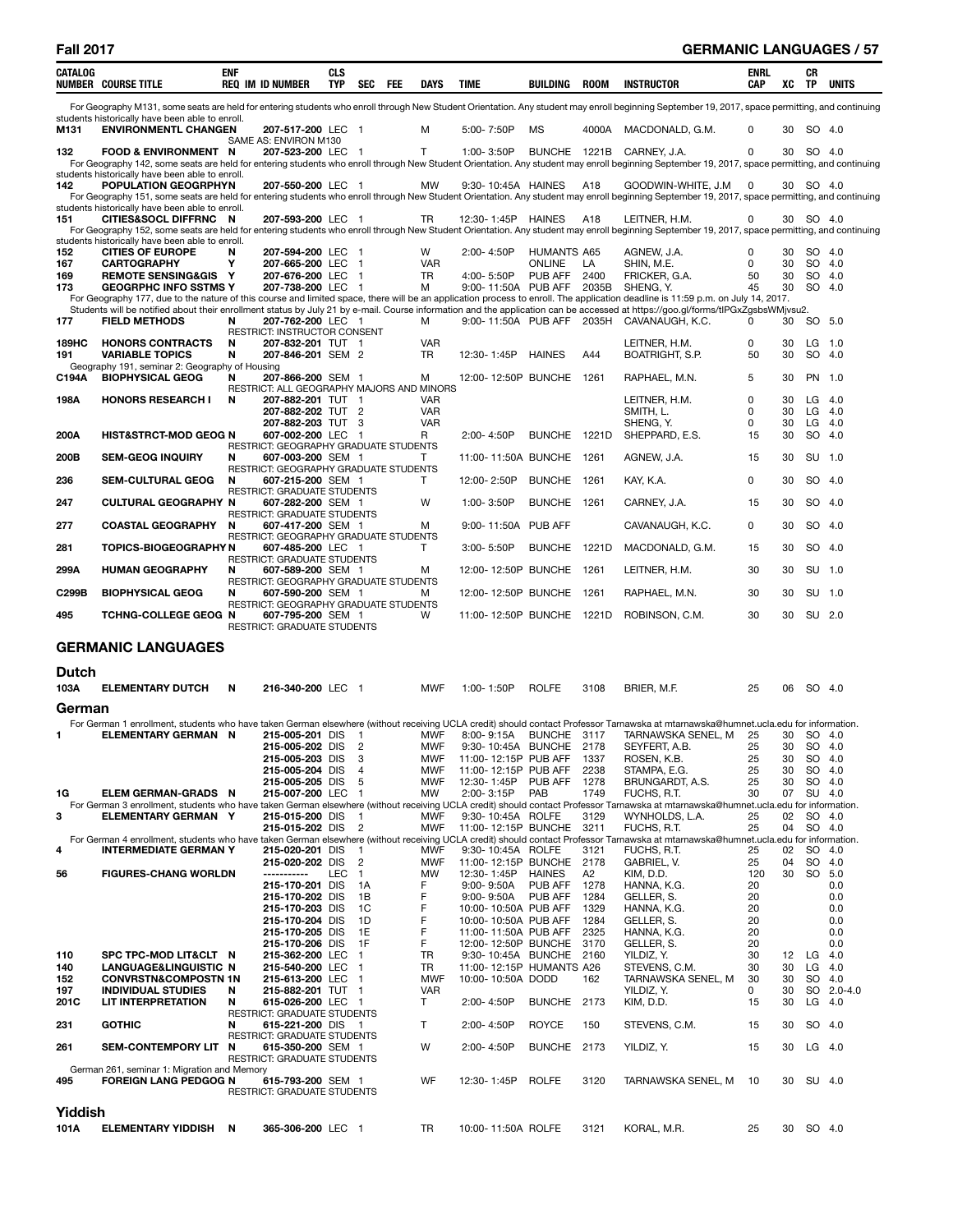| CATALOG      | <b>NUMBER COURSE TITLE</b>                                                     | <b>ENF</b> | <b>REQ IM ID NUMBER</b>                                        | <b>CLS</b><br><b>TYP</b> | <b>SEC</b><br>FEE              | <b>DAYS</b>              | <b>TIME</b>                                       | BUILDING                 | <b>ROOM</b>     | <b>INSTRUCTOR</b>                                                                                                                                                                                                                                                                                                                                                  | <b>ENRL</b><br><b>CAP</b> | xс       | CR<br><b>TP</b>      | <b>UNITS</b> |
|--------------|--------------------------------------------------------------------------------|------------|----------------------------------------------------------------|--------------------------|--------------------------------|--------------------------|---------------------------------------------------|--------------------------|-----------------|--------------------------------------------------------------------------------------------------------------------------------------------------------------------------------------------------------------------------------------------------------------------------------------------------------------------------------------------------------------------|---------------------------|----------|----------------------|--------------|
|              |                                                                                |            |                                                                |                          |                                |                          |                                                   |                          |                 | For Geography M131, some seats are held for entering students who enroll through New Student Orientation. Any student may enroll beginning September 19, 2017, space permitting, and continuing                                                                                                                                                                    |                           |          |                      |              |
| M131         | students historically have been able to enroll.<br><b>ENVIRONMENTL CHANGEN</b> |            | 207-517-200 LEC 1                                              |                          |                                | м                        | 5:00-7:50P                                        | МS                       | 4000A           | MACDONALD, G.M.                                                                                                                                                                                                                                                                                                                                                    | $\Omega$                  | 30       | SO 4.0               |              |
| 132          | <b>FOOD &amp; ENVIRONMENT N</b>                                                |            | SAME AS: ENVIRON M130<br>207-523-200 LEC 1                     |                          |                                | T.                       | 1:00-3:50P                                        | BUNCHE 1221B             |                 | CARNEY, J.A.                                                                                                                                                                                                                                                                                                                                                       | 0                         | 30       | SO 4.0               |              |
|              | students historically have been able to enroll.                                |            |                                                                |                          |                                |                          |                                                   |                          |                 | For Geography 142, some seats are held for entering students who enroll through New Student Orientation. Any student may enroll beginning September 19, 2017, space permitting, and continuing                                                                                                                                                                     |                           |          |                      |              |
| 142          | POPULATION GEOGRPHYN                                                           |            | 207-550-200 LEC 1                                              |                          |                                | <b>MW</b>                | 9:30-10:45A HAINES                                |                          | A <sub>18</sub> | GOODWIN-WHITE, J.M<br>For Geography 151, some seats are held for entering students who enroll through New Student Orientation. Any student may enroll beginning September 19, 2017, space permitting, and continuing                                                                                                                                               | $\Omega$                  |          | 30 SO 4.0            |              |
|              | students historically have been able to enroll.                                |            |                                                                |                          |                                |                          |                                                   |                          |                 |                                                                                                                                                                                                                                                                                                                                                                    |                           |          |                      |              |
| 151          | CITIES&SOCL DIFFRNC N                                                          |            | 207-593-200 LEC 1                                              |                          |                                | <b>TR</b>                | 12:30-1:45P HAINES                                |                          | A18             | LEITNER, H.M.<br>For Geography 152, some seats are held for entering students who enroll through New Student Orientation. Any student may enroll beginning September 19, 2017, space permitting, and continuing                                                                                                                                                    | 0                         | 30       | SO 4.0               |              |
| 152          | students historically have been able to enroll.<br><b>CITIES OF EUROPE</b>     | N          | 207-594-200 LEC 1                                              |                          |                                | W                        | 2:00-4:50P                                        | HUMANTS A65              |                 | AGNEW, J.A.                                                                                                                                                                                                                                                                                                                                                        | 0                         | 30       | SO 4.0               |              |
| 167          | <b>CARTOGRAPHY</b>                                                             | Y          | 207-665-200 LEC 1                                              |                          |                                | <b>VAR</b>               |                                                   | <b>ONLINE</b>            | LA              | SHIN. M.E.                                                                                                                                                                                                                                                                                                                                                         | 0                         | 30       | SO 4.0               |              |
| 169<br>173   | <b>REMOTE SENSING&amp;GIS Y</b><br><b>GEOGRPHC INFO SSTMS Y</b>                |            | 207-676-200 LEC 1<br>207-738-200 LEC 1                         |                          |                                | <b>TR</b><br>м           | 4:00-5:50P<br>9:00-11:50A PUB AFF                 | PUB AFF                  | 2400<br>2035B   | FRICKER, G.A.<br>SHENG, Y.                                                                                                                                                                                                                                                                                                                                         | 50<br>45                  | 30<br>30 | SO.<br>SO 4.0        | -4.0         |
|              |                                                                                |            |                                                                |                          |                                |                          |                                                   |                          |                 | For Geography 177, due to the nature of this course and limited space, there will be an application process to enroll. The application deadline is 11:59 p.m. on July 14, 2017.<br>Students will be notified about their enrollment status by July 21 by e-mail. Course information and the application can be accessed at https://goo.gl/forms/tlPGxZgsbsWMjvsu2. |                           |          |                      |              |
| 177          | <b>FIELD METHODS</b>                                                           | N          | 207-762-200 LEC 1                                              |                          |                                | м                        |                                                   |                          |                 | 9:00-11:50A PUB AFF 2035H CAVANAUGH, K.C.                                                                                                                                                                                                                                                                                                                          | 0                         | 30       | SO 5.0               |              |
| <b>189HC</b> | <b>HONORS CONTRACTS</b>                                                        | N          | RESTRICT: INSTRUCTOR CONSENT<br>207-832-201 TUT 1              |                          |                                | <b>VAR</b>               |                                                   |                          |                 | LEITNER, H.M.                                                                                                                                                                                                                                                                                                                                                      | 0                         | 30       | LG 1.0               |              |
| 191          | <b>VARIABLE TOPICS</b><br>Geography 191, seminar 2: Geography of Housing       | N          | 207-846-201 SEM 2                                              |                          |                                | <b>TR</b>                | 12:30-1:45P                                       | <b>HAINES</b>            | A44             | BOATRIGHT, S.P.                                                                                                                                                                                                                                                                                                                                                    | 50                        | 30       | SO 4.0               |              |
| C194A        | <b>BIOPHYSICAL GEOG</b>                                                        | N          | 207-866-200 SEM 1                                              |                          |                                | М                        | 12:00-12:50P BUNCHE                               |                          | 1261            | RAPHAEL, M.N.                                                                                                                                                                                                                                                                                                                                                      | 5                         | 30       | PN 1.0               |              |
| 198A         | <b>HONORS RESEARCH I</b>                                                       | N          | RESTRICT: ALL GEOGRAPHY MAJORS AND MINORS<br>207-882-201 TUT 1 |                          |                                | <b>VAR</b>               |                                                   |                          |                 | LEITNER, H.M.                                                                                                                                                                                                                                                                                                                                                      | 0                         | 30       | $LG$ 4.0             |              |
|              |                                                                                |            | 207-882-202 TUT 2<br>207-882-203 TUT 3                         |                          |                                | <b>VAR</b><br><b>VAR</b> |                                                   |                          |                 | SMITH, L.<br>SHENG, Y.                                                                                                                                                                                                                                                                                                                                             | 0<br>$\Omega$             | 30<br>30 | $LG$ 4.0<br>$LG$ 4.0 |              |
| 200A         | <b>HIST&amp;STRCT-MOD GEOG N</b>                                               |            | 607-002-200 LEC 1                                              |                          |                                | R                        | 2:00-4:50P                                        | BUNCHE 1221D             |                 | SHEPPARD, E.S.                                                                                                                                                                                                                                                                                                                                                     | 15                        | 30       | SO 4.0               |              |
| 200B         | <b>SEM-GEOG INQUIRY</b>                                                        | N          | RESTRICT: GEOGRAPHY GRADUATE STUDENTS<br>607-003-200 SEM 1     |                          |                                | T                        | 11:00-11:50A BUNCHE 1261                          |                          |                 | AGNEW, J.A.                                                                                                                                                                                                                                                                                                                                                        | 15                        | 30       | SU 1.0               |              |
| 236          | <b>SEM-CULTURAL GEOG</b>                                                       | N          | RESTRICT: GEOGRAPHY GRADUATE STUDENTS<br>607-215-200 SEM 1     |                          |                                | Т                        | 12:00-2:50P                                       | <b>BUNCHE</b>            | 1261            | KAY, K.A.                                                                                                                                                                                                                                                                                                                                                          | $\mathbf 0$               | 30       | SO 4.0               |              |
|              |                                                                                |            | <b>RESTRICT: GRADUATE STUDENTS</b>                             |                          |                                |                          |                                                   | <b>BUNCHE</b>            |                 |                                                                                                                                                                                                                                                                                                                                                                    |                           |          | SO 4.0               |              |
| 247          | <b>CULTURAL GEOGRAPHY N</b>                                                    |            | 607-282-200 SEM 1<br><b>RESTRICT: GRADUATE STUDENTS</b>        |                          |                                | W                        | 1:00-3:50P                                        |                          | 1261            | CARNEY, J.A.                                                                                                                                                                                                                                                                                                                                                       | 15                        | 30       |                      |              |
| 277          | <b>COASTAL GEOGRAPHY</b>                                                       | N          | 607-417-200 SEM 1<br>RESTRICT: GEOGRAPHY GRADUATE STUDENTS     |                          |                                | м                        | 9:00-11:50A PUB AFF                               |                          |                 | CAVANAUGH, K.C.                                                                                                                                                                                                                                                                                                                                                    | 0                         | 30       | SO 4.0               |              |
| 281          | <b>TOPICS-BIOGEOGRAPHY N</b>                                                   |            | 607-485-200 LEC 1<br><b>RESTRICT: GRADUATE STUDENTS</b>        |                          |                                | $\mathsf{T}$             | $3:00 - 5:50P$                                    | BUNCHE 1221D             |                 | MACDONALD, G.M.                                                                                                                                                                                                                                                                                                                                                    | 15                        | 30       | SO 4.0               |              |
| 299A         | <b>HUMAN GEOGRAPHY</b>                                                         | N          | 607-589-200 SEM 1                                              |                          |                                | М                        | 12:00-12:50P BUNCHE 1261                          |                          |                 | LEITNER, H.M.                                                                                                                                                                                                                                                                                                                                                      | 30                        | 30       | SU 1.0               |              |
| C299B        | <b>BIOPHYSICAL GEOG</b>                                                        | N          | RESTRICT: GEOGRAPHY GRADUATE STUDENTS<br>607-590-200 SEM 1     |                          |                                | м                        | 12:00-12:50P BUNCHE                               |                          | - 1261          | RAPHAEL, M.N.                                                                                                                                                                                                                                                                                                                                                      | 30                        | 30       | SU                   | 1.0          |
| 495          | TCHNG-COLLEGE GEOG N                                                           |            | RESTRICT: GEOGRAPHY GRADUATE STUDENTS<br>607-795-200 SEM 1     |                          |                                | W                        | 11:00-12:50P BUNCHE 1221D                         |                          |                 | ROBINSON, C.M.                                                                                                                                                                                                                                                                                                                                                     | 30                        | 30       | SU 2.0               |              |
|              |                                                                                |            | RESTRICT: GRADUATE STUDENTS                                    |                          |                                |                          |                                                   |                          |                 |                                                                                                                                                                                                                                                                                                                                                                    |                           |          |                      |              |
|              | <b>GERMANIC LANGUAGES</b>                                                      |            |                                                                |                          |                                |                          |                                                   |                          |                 |                                                                                                                                                                                                                                                                                                                                                                    |                           |          |                      |              |
| Dutch        |                                                                                |            |                                                                |                          |                                |                          |                                                   |                          |                 |                                                                                                                                                                                                                                                                                                                                                                    |                           |          |                      |              |
| 103A         | <b>ELEMENTARY DUTCH</b>                                                        | N          | 216-340-200 LEC 1                                              |                          |                                | <b>MWF</b>               | 1:00-1:50P                                        | <b>ROLFE</b>             | 3108            | BRIER, M.F.                                                                                                                                                                                                                                                                                                                                                        | 25                        | 06       | SO 4.0               |              |
| German       |                                                                                |            |                                                                |                          |                                |                          |                                                   |                          |                 |                                                                                                                                                                                                                                                                                                                                                                    |                           |          |                      |              |
|              |                                                                                |            |                                                                |                          |                                |                          |                                                   |                          |                 | For German 1 enrollment, students who have taken German elsewhere (without receiving UCLA credit) should contact Professor Tarnawska at mtarnawska@humnet.ucla.edu for information.                                                                                                                                                                                |                           |          |                      |              |
| 1            | ELEMENTARY GERMAN N                                                            |            | 215-005-201 DIS<br>215-005-202 DIS                             |                          | $\mathbf{1}$<br>$\overline{2}$ | <b>MWF</b><br><b>MWF</b> | $8:00 - 9:15A$<br>9:30-10:45A BUNCHE 2178         | BUNCHE 3117              |                 | TARNAWSKA SENEL, M<br>SEYFERT, A.B.                                                                                                                                                                                                                                                                                                                                | 25<br>25                  | 30<br>30 | SO 4.0<br>SO 4.0     |              |
|              |                                                                                |            | 215-005-203 DIS<br>215-005-204 DIS                             |                          | 3<br>4                         | <b>MWF</b><br>MWF        | 11:00-12:15P PUB AFF 1337<br>11:00-12:15P PUB AFF |                          | 2238            | ROSEN, K.B.<br>STAMPA, E.G.                                                                                                                                                                                                                                                                                                                                        | 25<br>25                  | 30       | 30 SO 4.0<br>SO 4.0  |              |
|              |                                                                                |            | 215-005-205 DIS                                                |                          | 5                              | MWF                      | 12:30-1:45P                                       | PUB AFF                  | 1278            | BRUNGARDT, A.S.                                                                                                                                                                                                                                                                                                                                                    | 25                        | 30       | SO 4.0               |              |
| 1G           | ELEM GERMAN-GRADS N                                                            |            | 215-007-200 LEC                                                |                          | $\blacksquare$                 | MW                       | 2:00-3:15P                                        | PAB                      | 1749            | FUCHS, R.T.<br>For German 3 enrollment, students who have taken German elsewhere (without receiving UCLA credit) should contact Professor Tarnawska at mtarnawska@humnet.ucla.edu for information.                                                                                                                                                                 | 30                        | 07       | SU 4.0               |              |
| 3            | ELEMENTARY GERMAN Y                                                            |            | 215-015-200 DIS<br>215-015-202 DIS                             |                          | - 1<br>$\overline{c}$          | MWF<br>MWF               | 9:30-10:45A ROLFE<br>11:00-12:15P BUNCHE          |                          | 3129<br>3211    | WYNHOLDS, L.A.<br>FUCHS, R.T.                                                                                                                                                                                                                                                                                                                                      | 25<br>25                  | 02<br>04 | SO 4.0<br>SO 4.0     |              |
|              |                                                                                |            |                                                                |                          |                                |                          |                                                   |                          |                 | For German 4 enrollment, students who have taken German elsewhere (without receiving UCLA credit) should contact Professor Tarnawska at mtarnawska@humnet.ucla.edu for information.                                                                                                                                                                                |                           |          |                      |              |
| 4            | <b>INTERMEDIATE GERMAN Y</b>                                                   |            | 215-020-201 DIS<br>215-020-202 DIS                             |                          | $\mathbf{1}$<br>$\overline{2}$ | <b>MWF</b><br>MWF        | 9:30-10:45A ROLFE<br>11:00-12:15P BUNCHE 2178     |                          | 3121            | FUCHS, R.T.<br>GABRIEL, V.                                                                                                                                                                                                                                                                                                                                         | 25<br>25                  | 02<br>04 | SO 4.0<br>SO 4.0     |              |
| 56           | <b>FIGURES-CHANG WORLDN</b>                                                    |            | -----------<br>215-170-201 DIS                                 | LEC                      | $\overline{\mathbf{1}}$<br>1A  | MW<br>F                  | 12:30-1:45P<br>$9:00 - 9:50A$                     | <b>HAINES</b><br>PUB AFF | A2<br>1278      | KIM, D.D.<br>HANNA, K.G.                                                                                                                                                                                                                                                                                                                                           | 120<br>20                 | 30       | SO                   | 5.0<br>0.0   |
|              |                                                                                |            | 215-170-202 DIS                                                |                          | 1B                             | F                        | $9:00 - 9:50A$                                    | PUB AFF                  | 1284            | GELLER, S.                                                                                                                                                                                                                                                                                                                                                         | 20                        |          |                      | 0.0          |
|              |                                                                                |            | 215-170-203 DIS<br>215-170-204 DIS                             |                          | 1C<br>1D                       | F<br>F                   | 10:00-10:50A PUB AFF<br>10:00-10:50A PUB AFF      |                          | 1329<br>1284    | HANNA, K.G.<br>GELLER, S.                                                                                                                                                                                                                                                                                                                                          | 20<br>20                  |          |                      | 0.0<br>0.0   |
|              |                                                                                |            | 215-170-205 DIS                                                |                          | 1E                             | F                        | 11:00-11:50A PUB AFF                              |                          | 2325            | HANNA, K.G.                                                                                                                                                                                                                                                                                                                                                        | 20                        |          |                      | 0.0          |
| 110          | SPC TPC-MOD LIT&CLT N                                                          |            | 215-170-206 DIS<br>215-362-200 LEC                             |                          | 1F<br>$\overline{1}$           | F<br>TR                  | 12:00-12:50P BUNCHE<br>9:30-10:45A BUNCHE 2160    |                          | 3170            | GELLER, S.<br>YILDIZ, Y.                                                                                                                                                                                                                                                                                                                                           | 20<br>30                  | 12       | LG                   | 0.0<br>4.0   |
| 140<br>152   | LANGUAGE&LINGUISTIC N<br><b>CONVRSTN&amp;COMPOSTN 1N</b>                       |            | 215-540-200 LEC<br>215-613-200 LEC                             |                          | - 1<br>- 1                     | TR<br><b>MWF</b>         | 11:00-12:15P HUMANTS A26<br>10:00-10:50A DODD     |                          | 162             | STEVENS, C.M.<br>TARNAWSKA SENEL, M                                                                                                                                                                                                                                                                                                                                | 30<br>30                  | 30<br>30 | $LG$ 4.0<br>SO       | 4.0          |
| 197          | <b>INDIVIDUAL STUDIES</b>                                                      | N          | 215-882-201 TUT 1                                              |                          |                                | <b>VAR</b>               |                                                   |                          |                 | YILDIZ, Y.                                                                                                                                                                                                                                                                                                                                                         | 0                         | 30       |                      | SO 2.0-4.0   |
| 201C         | LIT INTERPRETATION                                                             | N          | 615-026-200 LEC 1<br>RESTRICT: GRADUATE STUDENTS               |                          |                                | T                        | 2:00-4:50P                                        | BUNCHE 2173              |                 | KIM, D.D.                                                                                                                                                                                                                                                                                                                                                          | 15                        | 30       | $LG$ 4.0             |              |
| 231          | <b>GOTHIC</b>                                                                  | N          | 615-221-200 DIS 1<br>RESTRICT: GRADUATE STUDENTS               |                          |                                | T                        | 2:00-4:50P                                        | ROYCE                    | 150             | STEVENS, C.M.                                                                                                                                                                                                                                                                                                                                                      | 15                        | 30       | SO 4.0               |              |
| 261          | SEM-CONTEMPORY LIT N                                                           |            | 615-350-200 SEM 1                                              |                          |                                | W                        | 2:00-4:50P                                        | BUNCHE 2173              |                 | YILDIZ, Y.                                                                                                                                                                                                                                                                                                                                                         | 15                        | 30       | $LG$ 4.0             |              |
|              | German 261, seminar 1: Migration and Memory                                    |            | RESTRICT: GRADUATE STUDENTS                                    |                          |                                |                          |                                                   |                          |                 |                                                                                                                                                                                                                                                                                                                                                                    |                           |          |                      |              |
| 495          | <b>FOREIGN LANG PEDGOG N</b>                                                   |            | 615-793-200 SEM 1<br>RESTRICT: GRADUATE STUDENTS               |                          |                                | WF                       | 12:30-1:45P                                       | <b>ROLFE</b>             | 3120            | TARNAWSKA SENEL, M                                                                                                                                                                                                                                                                                                                                                 | 10                        | 30       | SU 4.0               |              |
| Yiddish      |                                                                                |            |                                                                |                          |                                |                          |                                                   |                          |                 |                                                                                                                                                                                                                                                                                                                                                                    |                           |          |                      |              |

**101A ELEMENTARY YIDDISH N 365-306-200** LEC 1 TR 10:00- 11:50A ROLFE 3121 KORAL, M.R. 25 30 SO 4.0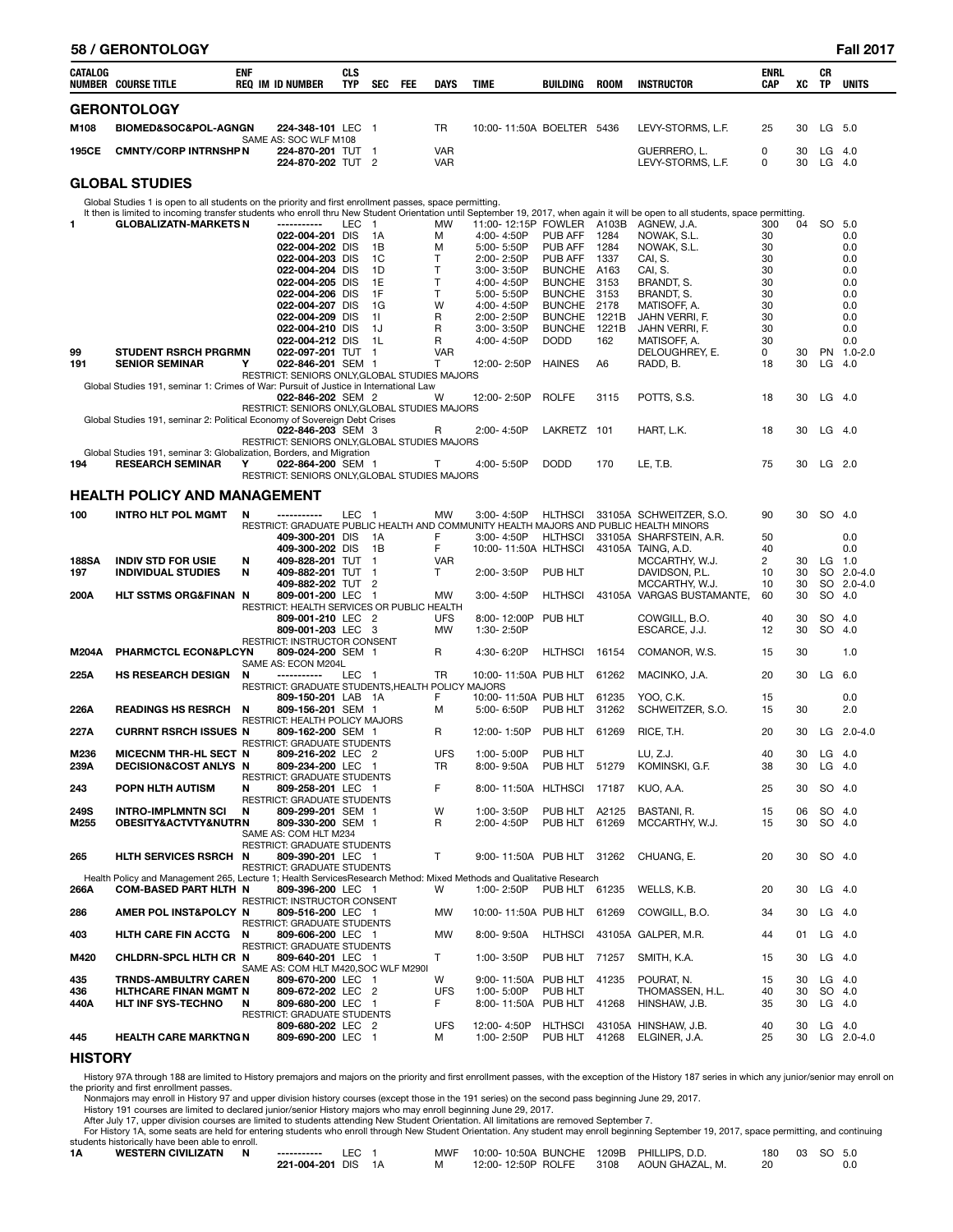|             | 58 / GERONTOLOGY                                                                                                                                                                                                 |            |                                                                    |                          |                      |     |                         |                                   |                              |              |                                                                                       |                    |          |          | <b>Fall 2017</b>     |
|-------------|------------------------------------------------------------------------------------------------------------------------------------------------------------------------------------------------------------------|------------|--------------------------------------------------------------------|--------------------------|----------------------|-----|-------------------------|-----------------------------------|------------------------------|--------------|---------------------------------------------------------------------------------------|--------------------|----------|----------|----------------------|
| CATALOG     | NUMBER COURSE TITLE                                                                                                                                                                                              | <b>ENF</b> | <b>REQ IM ID NUMBER</b>                                            | <b>CLS</b><br><b>TYP</b> | <b>SEC</b>           | FEE | <b>DAYS</b>             | <b>TIME</b>                       | BUILDING                     | <b>ROOM</b>  | <b>INSTRUCTOR</b>                                                                     | <b>ENRL</b><br>CAP | хc       | СR<br>TP | <b>UNITS</b>         |
|             | <b>GERONTOLOGY</b>                                                                                                                                                                                               |            |                                                                    |                          |                      |     |                         |                                   |                              |              |                                                                                       |                    |          |          |                      |
| M108        | <b>BIOMED&amp;SOC&amp;POL-AGNGN</b>                                                                                                                                                                              |            | 224-348-101 LEC 1                                                  |                          |                      |     | TR                      | 10:00-11:50A BOELTER 5436         |                              |              | LEVY-STORMS, L.F.                                                                     | 25                 | 30       | LG 5.0   |                      |
| 195CE       | <b>CMNTY/CORP INTRNSHP N</b>                                                                                                                                                                                     |            | SAME AS: SOC WLF M108<br>224-870-201 TUT 1                         |                          |                      |     | <b>VAR</b>              |                                   |                              |              | GUERRERO. L.                                                                          | 0                  | 30       | $LG$ 4.0 |                      |
|             |                                                                                                                                                                                                                  |            | 224-870-202 TUT 2                                                  |                          |                      |     | <b>VAR</b>              |                                   |                              |              | LEVY-STORMS, L.F.                                                                     | 0                  | 30       | $LG$ 4.0 |                      |
|             | <b>GLOBAL STUDIES</b>                                                                                                                                                                                            |            |                                                                    |                          |                      |     |                         |                                   |                              |              |                                                                                       |                    |          |          |                      |
|             | Global Studies 1 is open to all students on the priority and first enrollment passes, space permitting.                                                                                                          |            |                                                                    |                          |                      |     |                         |                                   |                              |              |                                                                                       |                    |          |          |                      |
| 1.          | It then is limited to incoming transfer students who enroll thru New Student Orientation until September 19, 2017, when again it will be open to all students, space permitting.<br><b>GLOBALIZATN-MARKETS N</b> |            | ------------                                                       | LEC                      | $\overline{1}$       |     | MW                      | 11:00-12:15P FOWLER               |                              | A103B        | AGNEW, J.A.                                                                           | 300                | 04       | SO 5.0   |                      |
|             |                                                                                                                                                                                                                  |            | 022-004-201 DIS                                                    |                          | 1A                   |     | M                       | 4:00-4:50P                        | PUB AFF                      | 1284         | NOWAK, S.L.                                                                           | 30                 |          |          | 0.0                  |
|             |                                                                                                                                                                                                                  |            | 022-004-202 DIS<br>022-004-203 DIS                                 |                          | 1B<br>1C             |     | М<br>Т                  | 5:00-5:50P<br>2:00-2:50P          | <b>PUB AFF</b><br>PUB AFF    | 1284<br>1337 | NOWAK, S.L.<br>CAI, S.                                                                | 30<br>30           |          |          | 0.0                  |
|             |                                                                                                                                                                                                                  |            | 022-004-204 DIS                                                    |                          | 1D                   |     | T                       | $3:00 - 3:50P$                    | <b>BUNCHE</b>                | A163         | CAI, S.                                                                               | 30                 |          |          | 0.0<br>0.0           |
|             |                                                                                                                                                                                                                  |            | 022-004-205 DIS                                                    |                          | 1E                   |     | т                       | 4:00-4:50P                        | <b>BUNCHE</b>                | 3153         | BRANDT, S.                                                                            | 30                 |          |          | 0.0                  |
|             |                                                                                                                                                                                                                  |            | 022-004-206 DIS<br>022-004-207 DIS                                 |                          | 1F<br>1G             |     | т<br>W                  | 5:00-5:50P<br>4:00-4:50P          | <b>BUNCHE</b><br>BUNCHE 2178 | 3153         | BRANDT, S.<br>MATISOFF, A.                                                            | 30<br>30           |          |          | 0.0<br>0.0           |
|             |                                                                                                                                                                                                                  |            | 022-004-209 DIS                                                    |                          | 11                   |     | R                       | 2:00-2:50P                        | BUNCHE 1221B                 |              | JAHN VERRI, F.                                                                        | 30                 |          |          | 0.0                  |
|             |                                                                                                                                                                                                                  |            | 022-004-210 DIS<br>022-004-212 DIS                                 |                          | 1J<br>1L             |     | R<br>R                  | 3:00-3:50P<br>4:00-4:50P          | <b>BUNCHE</b><br><b>DODD</b> | 1221B<br>162 | JAHN VERRI, F.<br>MATISOFF, A.                                                        | 30<br>30           |          |          | 0.0<br>0.0           |
| 99          | <b>STUDENT RSRCH PRGRMN</b>                                                                                                                                                                                      |            | 022-097-201 TUT 1                                                  |                          |                      |     | <b>VAR</b>              |                                   |                              |              | DELOUGHREY, E.                                                                        | 0                  | 30       |          | PN 1.0-2.0           |
| 191         | <b>SENIOR SEMINAR</b>                                                                                                                                                                                            | Υ          | 022-846-201 SEM 1<br>RESTRICT: SENIORS ONLY, GLOBAL STUDIES MAJORS |                          |                      |     | т                       | 12:00-2:50P                       | <b>HAINES</b>                | A6           | RADD, B.                                                                              | 18                 | 30       | $LG$ 4.0 |                      |
|             | Global Studies 191, seminar 1: Crimes of War: Pursuit of Justice in International Law                                                                                                                            |            |                                                                    |                          |                      |     |                         |                                   |                              |              |                                                                                       |                    |          |          |                      |
|             |                                                                                                                                                                                                                  |            | 022-846-202 SEM 2<br>RESTRICT: SENIORS ONLY, GLOBAL STUDIES MAJORS |                          |                      |     | w                       | 12:00-2:50P                       | <b>ROLFE</b>                 | 3115         | POTTS, S.S.                                                                           | 18                 | 30       | LG       | -4.0                 |
|             | Global Studies 191, seminar 2: Political Economy of Sovereign Debt Crises                                                                                                                                        |            |                                                                    |                          |                      |     |                         |                                   |                              |              |                                                                                       |                    |          |          |                      |
|             |                                                                                                                                                                                                                  |            | 022-846-203 SEM 3<br>RESTRICT: SENIORS ONLY, GLOBAL STUDIES MAJORS |                          |                      |     | R                       | 2:00-4:50P                        | LAKRETZ 101                  |              | HART, L.K.                                                                            | 18                 | 30       | $LG$ 4.0 |                      |
|             | Global Studies 191, seminar 3: Globalization, Borders, and Migration                                                                                                                                             |            |                                                                    |                          |                      |     |                         |                                   |                              |              |                                                                                       |                    |          |          |                      |
| 194         | <b>RESEARCH SEMINAR</b>                                                                                                                                                                                          | Y          | 022-864-200 SEM 1<br>RESTRICT: SENIORS ONLY, GLOBAL STUDIES MAJORS |                          |                      |     | Т                       | 4:00-5:50P                        | <b>DODD</b>                  | 170          | LE, T.B.                                                                              | 75                 | 30       | $LG$ 2.0 |                      |
|             | <b>HEALTH POLICY AND MANAGEMENT</b>                                                                                                                                                                              |            |                                                                    |                          |                      |     |                         |                                   |                              |              |                                                                                       |                    |          |          |                      |
| 100         | <b>INTRO HLT POL MGMT</b>                                                                                                                                                                                        | N          |                                                                    | LEC <sub>1</sub>         |                      |     | <b>MW</b>               | $3:00 - 4:50P$                    | <b>HLTHSCI</b>               |              | 33105A SCHWEITZER, S.O.                                                               | 90                 | 30       | SO 4.0   |                      |
|             |                                                                                                                                                                                                                  |            |                                                                    |                          |                      |     |                         |                                   |                              |              | RESTRICT: GRADUATE PUBLIC HEALTH AND COMMUNITY HEALTH MAJORS AND PUBLIC HEALTH MINORS |                    |          |          |                      |
|             |                                                                                                                                                                                                                  |            | 409-300-201 DIS                                                    |                          | 1A                   |     | F<br>F                  | 3:00-4:50P                        | HLTHSCI                      |              | 33105A SHARFSTEIN, A.R.                                                               | 50<br>40           |          |          | 0.0                  |
| 188SA       | <b>INDIV STD FOR USIE</b>                                                                                                                                                                                        | N          | 409-300-202 DIS<br>409-828-201 TUT                                 |                          | 1B<br>$\overline{1}$ |     | <b>VAR</b>              | 10:00-11:50A HLTHSCI              |                              |              | 43105A TAING, A.D.<br>MCCARTHY, W.J.                                                  | $\overline{c}$     | 30       | LG       | 0.0<br>1.0           |
| 197         | <b>INDIVIDUAL STUDIES</b>                                                                                                                                                                                        | N          | 409-882-201 TUT                                                    |                          | $\mathbf 1$          |     | T.                      | 2:00-3:50P                        | PUB HLT                      |              | DAVIDSON, P.L.                                                                        | 10                 | 30       | SO       | $2.0 - 4.0$          |
| 200A        | HLT SSTMS ORG&FINAN N                                                                                                                                                                                            |            | 409-882-202 TUT<br>809-001-200 LEC                                 |                          | 2<br>$\overline{1}$  |     | <b>MW</b>               | 3:00-4:50P                        | <b>HLTHSCI</b>               |              | MCCARTHY, W.J.<br>43105A VARGAS BUSTAMANTE,                                           | 10<br>60           | 30<br>30 |          | SO 2.0-4.0<br>SO 4.0 |
|             |                                                                                                                                                                                                                  |            | RESTRICT: HEALTH SERVICES OR PUBLIC HEALTH                         |                          |                      |     |                         |                                   |                              |              |                                                                                       |                    |          |          |                      |
|             |                                                                                                                                                                                                                  |            | 809-001-210 LEC 2<br>809-001-203 LEC 3                             |                          |                      |     | <b>UFS</b><br><b>MW</b> | 8:00-12:00P<br>1:30-2:50P         | PUB HLT                      |              | COWGILL, B.O.<br>ESCARCE, J.J.                                                        | 40<br>12           | 30<br>30 | SO 4.0   | SO 4.0               |
| M204A       | <b>PHARMCTCL ECON&amp;PLCYN</b>                                                                                                                                                                                  |            | RESTRICT: INSTRUCTOR CONSENT<br>809-024-200 SEM 1                  |                          |                      |     | R                       | 4:30-6:20P                        | <b>HLTHSCI</b>               | 16154        | COMANOR, W.S.                                                                         | 15                 | 30       |          | 1.0                  |
|             |                                                                                                                                                                                                                  |            | SAME AS: ECON M204L                                                |                          |                      |     |                         |                                   |                              |              |                                                                                       |                    |          |          |                      |
| 225A        | <b>HS RESEARCH DESIGN</b>                                                                                                                                                                                        | N          | -----------<br>RESTRICT: GRADUATE STUDENTS, HEALTH POLICY MAJORS   | LEC 1                    |                      |     | TR                      | 10:00-11:50A PUB HLT              |                              | 61262        | MACINKO, J.A.                                                                         | 20                 | 30       | LG       | 6.0                  |
|             |                                                                                                                                                                                                                  |            | 809-150-201 LAB 1A                                                 |                          |                      |     | F                       | 10:00-11:50A PUB HLT              |                              | 61235        | YOO, C.K.                                                                             | 15                 |          |          | 0.0                  |
| 226A        | <b>READINGS HS RESRCH</b>                                                                                                                                                                                        | N          | 809-156-201 SEM 1<br>RESTRICT: HEALTH POLICY MAJORS                |                          |                      |     | М                       | 5:00-6:50P                        | PUB HLT                      | 31262        | SCHWEITZER, S.O.                                                                      | 15                 | 30       |          | 2.0                  |
| 227A        | <b>CURRNT RSRCH ISSUES N</b>                                                                                                                                                                                     |            | 809-162-200 SEM 1                                                  |                          |                      |     | R                       | 12:00-1:50P                       | PUB HLT 61269                |              | RICE, T.H.                                                                            | 20                 | 30       |          | LG $2.0 - 4.0$       |
| M236        | MICECNM THR-HL SECT N                                                                                                                                                                                            |            | RESTRICT: GRADUATE STUDENTS<br>809-216-202 LEC 2                   |                          |                      |     | <b>UFS</b>              | 1:00-5:00P                        | PUB HLT                      |              | LU, Z.J.                                                                              | 40                 | 30       | $LG$ 4.0 |                      |
| 239A        | <b>DECISION&amp;COST ANLYS N</b>                                                                                                                                                                                 |            | 809-234-200 LEC 1                                                  |                          |                      |     | TR                      | 8:00-9:50A                        | PUB HLT 51279                |              | KOMINSKI, G.F.                                                                        | 38                 | 30       | $LG$ 4.0 |                      |
| 243         | POPN HLTH AUTISM                                                                                                                                                                                                 | N          | <b>RESTRICT: GRADUATE STUDENTS</b><br>809-258-201 LEC 1            |                          |                      |     | F                       | 8:00-11:50A HLTHSCI 17187         |                              |              | KUO, A.A.                                                                             | 25                 | 30       |          | SO 4.0               |
| 249S        | <b>INTRO-IMPLMNTN SCI</b>                                                                                                                                                                                        | N          | RESTRICT: GRADUATE STUDENTS<br>809-299-201 SEM 1                   |                          |                      |     | W                       | 1:00-3:50P                        | PUB HLT A2125                |              | BASTANI, R.                                                                           | 15                 | 06       | SO 4.0   |                      |
| M255        | OBESITY&ACTVTY&NUTRN                                                                                                                                                                                             |            | 809-330-200 SEM 1                                                  |                          |                      |     | R                       | 2:00-4:50P                        | PUB HLT 61269                |              | MCCARTHY, W.J.                                                                        | 15                 | 30       | SO 4.0   |                      |
|             |                                                                                                                                                                                                                  |            | SAME AS: COM HLT M234<br>RESTRICT: GRADUATE STUDENTS               |                          |                      |     |                         |                                   |                              |              |                                                                                       |                    |          |          |                      |
| 265         | HLTH SERVICES RSRCH N                                                                                                                                                                                            |            | 809-390-201 LEC 1                                                  |                          |                      |     | T.                      | 9:00-11:50A PUB HLT 31262         |                              |              | CHUANG, E.                                                                            | 20                 | 30       | SO 4.0   |                      |
|             | Health Policy and Management 265, Lecture 1; Health ServicesResearch Method: Mixed Methods and Qualitative Research                                                                                              |            | RESTRICT: GRADUATE STUDENTS                                        |                          |                      |     |                         |                                   |                              |              |                                                                                       |                    |          |          |                      |
| 266A        | <b>COM-BASED PART HLTH N</b>                                                                                                                                                                                     |            | 809-396-200 LEC 1                                                  |                          |                      |     | W                       | 1:00-2:50P                        | PUB HLT 61235                |              | WELLS, K.B.                                                                           | 20                 | 30       | $LG$ 4.0 |                      |
| 286         | AMER POL INST&POLCY N                                                                                                                                                                                            |            | RESTRICT: INSTRUCTOR CONSENT<br>809-516-200 LEC 1                  |                          |                      |     | <b>MW</b>               | 10:00-11:50A PUB HLT              |                              | 61269        | COWGILL, B.O.                                                                         | 34                 | 30       | $LG$ 4.0 |                      |
|             |                                                                                                                                                                                                                  |            | RESTRICT: GRADUATE STUDENTS                                        |                          |                      |     |                         |                                   |                              |              |                                                                                       |                    |          |          |                      |
| 403         | HLTH CARE FIN ACCTG N                                                                                                                                                                                            |            | 809-606-200 LEC 1<br>RESTRICT: GRADUATE STUDENTS                   |                          |                      |     | <b>MW</b>               | 8:00-9:50A                        |                              |              | HLTHSCI 43105A GALPER, M.R.                                                           | 44                 | 01       | $LG$ 4.0 |                      |
| M420        | CHLDRN-SPCL HLTH CR N                                                                                                                                                                                            |            | 809-640-201 LEC 1<br>SAME AS: COM HLT M420, SOC WLF M290I          |                          |                      |     | T.                      | 1:00-3:50P                        | PUB HLT 71257                |              | SMITH, K.A.                                                                           | 15                 | 30       | $LG$ 4.0 |                      |
| 435         | <b>TRNDS-AMBULTRY CAREN</b>                                                                                                                                                                                      |            | 809-670-200 LEC 1                                                  |                          |                      |     | W                       | 9:00-11:50A PUB HLT               |                              | 41235        | POURAT, N.                                                                            | 15                 | 30       | $LG$ 4.0 |                      |
| 436<br>440A | <b>HLTHCARE FINAN MGMT N</b><br>HLT INF SYS-TECHNO                                                                                                                                                               | N          | 809-672-202 LEC 2<br>809-680-200 LEC 1                             |                          |                      |     | <b>UFS</b><br>F.        | 1:00-5:00P<br>8:00-11:50A PUB HLT | PUB HLT                      | 41268        | THOMASSEN, H.L.<br>HINSHAW, J.B.                                                      | 40<br>35           | 30<br>30 | $LG$ 4.0 | SO 4.0               |
|             |                                                                                                                                                                                                                  |            | RESTRICT: GRADUATE STUDENTS                                        |                          |                      |     |                         |                                   |                              |              |                                                                                       |                    |          |          |                      |
| 445         | <b>HEALTH CARE MARKTNG N</b>                                                                                                                                                                                     |            | 809-680-202 LEC 2<br>809-690-200 LEC 1                             |                          |                      |     | <b>UFS</b><br>м         | 12:00-4:50P<br>1:00-2:50P         | HLTHSCI                      |              | 43105A HINSHAW, J.B.<br>PUB HLT 41268 ELGINER, J.A.                                   | 40<br>25           | 30<br>30 | $LG$ 4.0 | LG $2.0 - 4.0$       |
|             |                                                                                                                                                                                                                  |            |                                                                    |                          |                      |     |                         |                                   |                              |              |                                                                                       |                    |          |          |                      |

**HISTORY** 

History 97A through 188 are limited to History premajors and majors on the priority and first enrollment passes, with the exception of the History 187 series in which any junior/senior may enroll on the priority and first enrollment passes.

Nonmajors may enroll in History 97 and upper division history courses (except those in the 191 series) on the second pass beginning June 29, 2017.<br>History 191 courses are limited to declared junior/senior History majors wh

For History 1A, some seats are held for entering students who enroll through New Student Orientation. Any student may enroll beginning September 19, 2017, space permitting, and continuing<br>students historically have been ab

| 1Α | <b>WESTERN CIVILIZATN</b> | N | -----------     |    | <b>MWF</b> | 10:00-10:50A BUNCHE | 1209B | PHILLIPS, D.D.  | 180 | 03 | SO. | -5.0 |
|----|---------------------------|---|-----------------|----|------------|---------------------|-------|-----------------|-----|----|-----|------|
|    |                           |   | 221-004-201 DIS | 1А | M          | 12:00-12:50P ROLFE  | 3108  | AOUN GHAZAL. M. |     |    |     | 0.0  |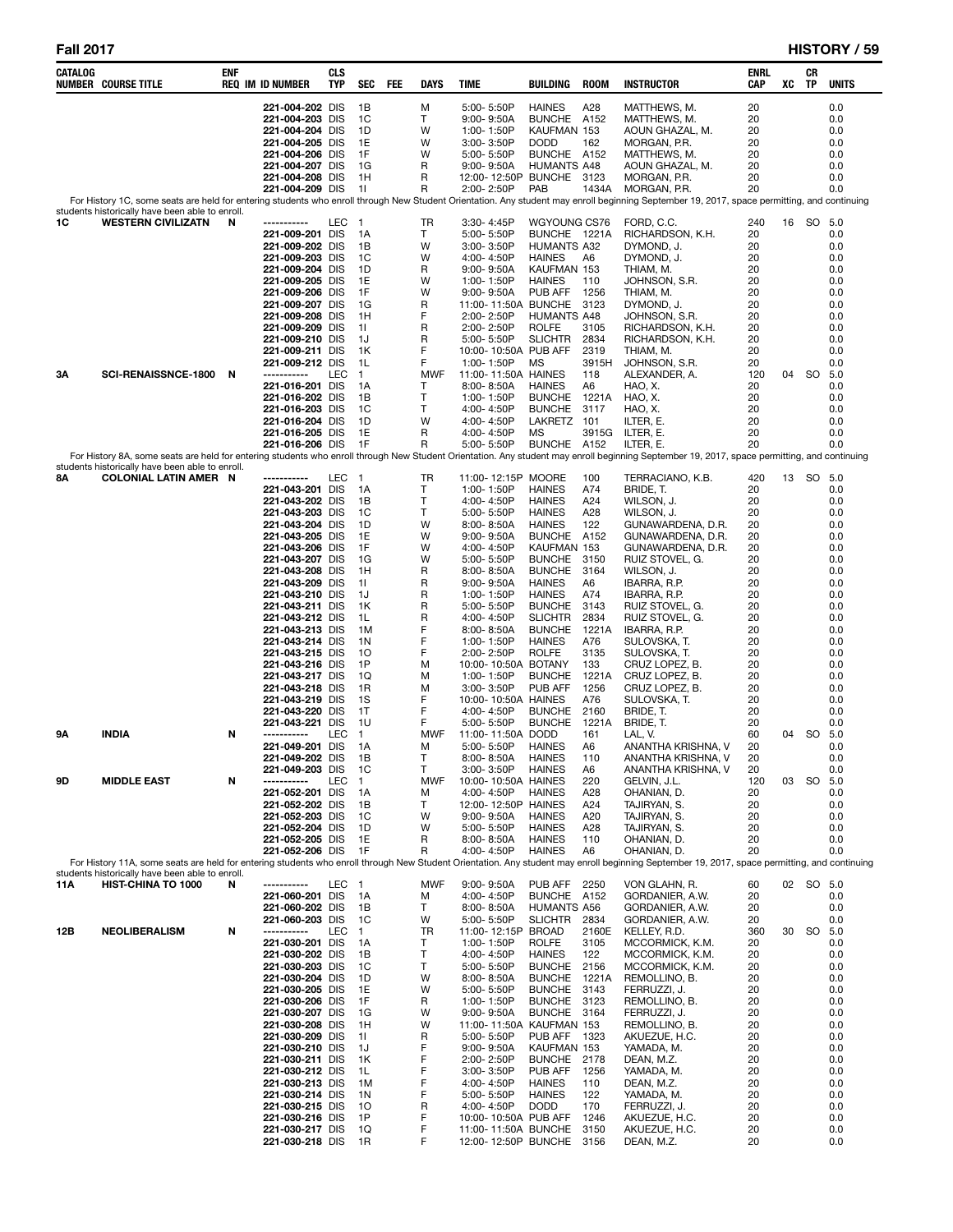| CATALOG | <b>NUMBER COURSE TITLE</b>                                                      | ENF | <b>REQ IM ID NUMBER</b>            | <b>CLS</b><br>TYP | <b>SEC</b>           | FEE | DAYS            | TIME                                        | BUILDING                            | <b>ROOM</b>   | <b>INSTRUCTOR</b>                                                                                                                                                                                           | ENRL<br>CAP | XC | CR<br>TP  | <b>UNITS</b> |
|---------|---------------------------------------------------------------------------------|-----|------------------------------------|-------------------|----------------------|-----|-----------------|---------------------------------------------|-------------------------------------|---------------|-------------------------------------------------------------------------------------------------------------------------------------------------------------------------------------------------------------|-------------|----|-----------|--------------|
|         |                                                                                 |     | 221-004-202 DIS                    |                   | 1B                   |     | M               | 5:00-5:50P                                  | <b>HAINES</b>                       | A28           | MATTHEWS, M.                                                                                                                                                                                                | 20          |    |           | 0.0          |
|         |                                                                                 |     | 221-004-203 DIS                    |                   | 1C                   |     | Т               | 9:00-9:50A                                  | <b>BUNCHE</b>                       | A152          | MATTHEWS, M.                                                                                                                                                                                                | 20          |    |           | 0.0          |
|         |                                                                                 |     | 221-004-204 DIS                    |                   | 1D                   |     | W               | 1:00-1:50P                                  | KAUFMAN 153                         |               | AOUN GHAZAL, M.                                                                                                                                                                                             | 20          |    |           | 0.0          |
|         |                                                                                 |     | 221-004-205 DIS<br>221-004-206 DIS |                   | 1E<br>1F             |     | W<br>W          | 3:00-3:50P<br>5:00-5:50P                    | <b>DODD</b><br>BUNCHE A152          | 162           | MORGAN, P.R.<br>MATTHEWS, M.                                                                                                                                                                                | 20<br>20    |    |           | 0.0<br>0.0   |
|         |                                                                                 |     | 221-004-207 DIS                    |                   | 1G                   |     | R               | $9:00 - 9:50A$                              | <b>HUMANTS A48</b>                  |               | AOUN GHAZAL, M.                                                                                                                                                                                             | 20          |    |           | 0.0          |
|         |                                                                                 |     | 221-004-208 DIS                    |                   | 1H                   |     | R               | 12:00-12:50P BUNCHE 3123                    |                                     |               | MORGAN, P.R.                                                                                                                                                                                                | 20          |    |           | 0.0          |
|         |                                                                                 |     | 221-004-209 DIS                    |                   | 11                   |     | R               | 2:00-2:50P                                  | PAB                                 | 1434A         | MORGAN, P.R.                                                                                                                                                                                                | 20          |    |           | 0.0          |
|         | students historically have been able to enroll.                                 |     |                                    |                   |                      |     |                 |                                             |                                     |               | For History 1C, some seats are held for entering students who enroll through New Student Orientation. Any student may enroll beginning September 19, 2017, space permitting, and continuing                 |             |    |           |              |
| 1C      | <b>WESTERN CIVILIZATN</b>                                                       | N   |                                    | LEC               | $\mathbf{1}$         |     | TR              | 3:30-4:45P                                  | WGYOUNG CS76                        |               | FORD, C.C.                                                                                                                                                                                                  | 240         | 16 | SO        | - 5.0        |
|         |                                                                                 |     | 221-009-201 DIS                    |                   | 1A                   |     | т               | 5:00-5:50P                                  | BUNCHE 1221A                        |               | RICHARDSON, K.H.                                                                                                                                                                                            | 20          |    |           | 0.0          |
|         |                                                                                 |     | 221-009-202 DIS<br>221-009-203 DIS |                   | 1В<br>1C             |     | W<br>W          | $3:00 - 3:50P$<br>4:00-4:50P                | <b>HUMANTS A32</b><br><b>HAINES</b> | A6            | DYMOND, J.<br>DYMOND, J.                                                                                                                                                                                    | 20<br>20    |    |           | 0.0<br>0.0   |
|         |                                                                                 |     | 221-009-204 DIS                    |                   | 1D                   |     | R               | $9:00 - 9:50A$                              | KAUFMAN 153                         |               | THIAM, M.                                                                                                                                                                                                   | 20          |    |           | 0.0          |
|         |                                                                                 |     | 221-009-205 DIS                    |                   | 1E                   |     | W               | 1:00-1:50P                                  | <b>HAINES</b>                       | 110           | JOHNSON, S.R.                                                                                                                                                                                               | 20          |    |           | 0.0          |
|         |                                                                                 |     | 221-009-206 DIS                    |                   | 1F                   |     | W               | $9:00 - 9:50A$                              | PUB AFF                             | 1256          | THIAM, M.                                                                                                                                                                                                   | 20          |    |           | 0.0          |
|         |                                                                                 |     | 221-009-207 DIS<br>221-009-208 DIS |                   | 1G<br>1H             |     | R<br>F          | 11:00-11:50A BUNCHE<br>2:00-2:50P           | <b>HUMANTS A48</b>                  | 3123          | DYMOND, J.<br>JOHNSON, S.R.                                                                                                                                                                                 | 20<br>20    |    |           | 0.0<br>0.0   |
|         |                                                                                 |     | 221-009-209 DIS                    |                   | 11                   |     | R               | 2:00-2:50P                                  | <b>ROLFE</b>                        | 3105          | RICHARDSON, K.H.                                                                                                                                                                                            | 20          |    |           | 0.0          |
|         |                                                                                 |     | 221-009-210 DIS                    |                   | 1J                   |     | R               | 5:00-5:50P                                  | <b>SLICHTR</b>                      | 2834          | RICHARDSON, K.H.                                                                                                                                                                                            | 20          |    |           | 0.0          |
|         |                                                                                 |     | 221-009-211 DIS<br>221-009-212 DIS |                   | 1K<br>1L             |     | F<br>F          | 10:00-10:50A PUB AFF                        | МS                                  | 2319<br>3915H | THIAM, M.                                                                                                                                                                                                   | 20<br>20    |    |           | 0.0<br>0.0   |
| 3Α      | SCI-RENAISSNCE-1800                                                             | N   | -----------                        | LEC               | $\mathbf{1}$         |     | <b>MWF</b>      | 1:00-1:50P<br>11:00-11:50A HAINES           |                                     | 118           | JOHNSON, S.R.<br>ALEXANDER, A.                                                                                                                                                                              | 120         | 04 | SO.       | 5.0          |
|         |                                                                                 |     | 221-016-201 DIS                    |                   | 1А                   |     | Т               | $8:00 - 8:50A$                              | <b>HAINES</b>                       | A6            | HAO, X.                                                                                                                                                                                                     | 20          |    |           | 0.0          |
|         |                                                                                 |     | 221-016-202 DIS                    |                   | 1B                   |     | T               | 1:00-1:50P                                  | <b>BUNCHE</b>                       | 1221A         | HAO, X.                                                                                                                                                                                                     | 20          |    |           | 0.0          |
|         |                                                                                 |     | 221-016-203 DIS<br>221-016-204 DIS |                   | 1C<br>1D             |     | т<br>W          | 4:00-4:50P                                  | <b>BUNCHE</b><br>LAKRETZ            | 3117<br>101   | HAO, X.                                                                                                                                                                                                     | 20<br>20    |    |           | 0.0<br>0.0   |
|         |                                                                                 |     | 221-016-205 DIS                    |                   | 1E                   |     | R               | 4:00-4:50P<br>4:00-4:50P                    | МS                                  | 3915G         | ILTER, E.<br>ILTER, E.                                                                                                                                                                                      | 20          |    |           | 0.0          |
|         |                                                                                 |     | 221-016-206 DIS                    |                   | 1F                   |     | R               | 5:00-5:50P                                  | <b>BUNCHE</b>                       | A152          | ILTER, E.                                                                                                                                                                                                   | 20          |    |           | 0.0          |
|         |                                                                                 |     |                                    |                   |                      |     |                 |                                             |                                     |               | For History 8A, some seats are held for entering students who enroll through New Student Orientation. Any student may enroll beginning September 19, 2017, space permitting, and continuing                 |             |    |           |              |
| 8Α      | students historically have been able to enroll.<br><b>COLONIAL LATIN AMER N</b> |     | -----------                        | LEC               | $\overline{1}$       |     | TR              | 11:00-12:15P MOORE                          |                                     | 100           | TERRACIANO, K.B.                                                                                                                                                                                            | 420         | 13 | SO 5.0    |              |
|         |                                                                                 |     | 221-043-201 DIS                    |                   | 1A                   |     | т               | 1:00-1:50P                                  | <b>HAINES</b>                       | A74           | BRIDE, T.                                                                                                                                                                                                   | 20          |    |           | 0.0          |
|         |                                                                                 |     | 221-043-202 DIS                    |                   | 1В                   |     | т               | 4:00-4:50P                                  | <b>HAINES</b>                       | A24           | WILSON, J.                                                                                                                                                                                                  | 20          |    |           | 0.0          |
|         |                                                                                 |     | 221-043-203 DIS<br>221-043-204 DIS |                   | 1C<br>1D             |     | т<br>W          | 5:00-5:50P<br>$8:00 - 8:50A$                | <b>HAINES</b><br><b>HAINES</b>      | A28<br>122    | WILSON, J.<br>GUNAWARDENA, D.R.                                                                                                                                                                             | 20<br>20    |    |           | 0.0<br>0.0   |
|         |                                                                                 |     | 221-043-205 DIS                    |                   | 1E                   |     | W               | $9:00 - 9:50A$                              | <b>BUNCHE</b>                       | A152          | GUNAWARDENA, D.R.                                                                                                                                                                                           | 20          |    |           | 0.0          |
|         |                                                                                 |     | 221-043-206 DIS                    |                   | 1F                   |     | W               | 4:00-4:50P                                  | KAUFMAN 153                         |               | GUNAWARDENA, D.R.                                                                                                                                                                                           | 20          |    |           | 0.0          |
|         |                                                                                 |     | 221-043-207 DIS                    |                   | 1G                   |     | W               | 5:00-5:50P                                  | <b>BUNCHE</b>                       | 3150          | RUIZ STOVEL, G.                                                                                                                                                                                             | 20          |    |           | 0.0          |
|         |                                                                                 |     | 221-043-208 DIS<br>221-043-209 DIS |                   | 1H<br>11             |     | R<br>R          | $8:00 - 8:50A$<br>$9:00 - 9:50A$            | <b>BUNCHE</b><br><b>HAINES</b>      | 3164<br>A6    | WILSON, J.<br>IBARRA, R.P.                                                                                                                                                                                  | 20<br>20    |    |           | 0.0<br>0.0   |
|         |                                                                                 |     | 221-043-210 DIS                    |                   | 1J                   |     | R               | 1:00-1:50P                                  | <b>HAINES</b>                       | A74           | IBARRA, R.P.                                                                                                                                                                                                | 20          |    |           | 0.0          |
|         |                                                                                 |     | 221-043-211 DIS                    |                   | 1K                   |     | R               | 5:00-5:50P                                  | <b>BUNCHE</b>                       | 3143          | RUIZ STOVEL, G.                                                                                                                                                                                             | 20          |    |           | 0.0          |
|         |                                                                                 |     | 221-043-212 DIS                    |                   | 1 <sub>L</sub>       |     | R               | 4:00-4:50P                                  | <b>SLICHTR</b>                      | 2834          | RUIZ STOVEL, G.                                                                                                                                                                                             | 20          |    |           | 0.0          |
|         |                                                                                 |     | 221-043-213 DIS<br>221-043-214 DIS |                   | 1M<br>1N             |     | F<br>F          | $8:00 - 8:50A$<br>1:00-1:50P                | <b>BUNCHE</b><br><b>HAINES</b>      | 1221A<br>A76  | IBARRA, R.P.<br>SULOVSKA, T.                                                                                                                                                                                | 20<br>20    |    |           | 0.0<br>0.0   |
|         |                                                                                 |     | 221-043-215 DIS                    |                   | 10                   |     | F               | 2:00-2:50P                                  | <b>ROLFE</b>                        | 3135          | SULOVSKA, T.                                                                                                                                                                                                | 20          |    |           | 0.0          |
|         |                                                                                 |     | 221-043-216 DIS                    |                   | 1P                   |     | M               | 10:00-10:50A BOTANY                         |                                     | 133           | CRUZ LOPEZ, B.                                                                                                                                                                                              | 20          |    |           | 0.0          |
|         |                                                                                 |     | 221-043-217 DIS                    |                   | 1Q                   |     | M               | 1:00-1:50P                                  | <b>BUNCHE</b>                       | 1221A         | CRUZ LOPEZ, B.                                                                                                                                                                                              | 20          |    |           | 0.0          |
|         |                                                                                 |     | 221-043-218 DIS<br>221-043-219 DIS |                   | 1R<br>1S             |     | M<br>F          | 3:00-3:50P<br>10:00-10:50A HAINES           | PUB AFF                             | 1256<br>A76   | CRUZ LOPEZ, B.<br>SULOVSKA, T.                                                                                                                                                                              | 20<br>20    |    |           | 0.0<br>0.0   |
|         |                                                                                 |     | 221-043-220 DIS                    |                   | 1T                   |     | F               | 4:00-4:50P                                  | <b>BUNCHE</b>                       | 2160          | BRIDE, T.                                                                                                                                                                                                   | 20          |    |           | 0.0          |
|         |                                                                                 |     | 221-043-221 DIS                    |                   | 1U                   |     | F               | 5:00-5:50P                                  | <b>BUNCHE</b>                       | 1221A         | BRIDE, T.                                                                                                                                                                                                   | 20          |    |           | 0.0          |
| 9Α      | INDIA                                                                           | N   | -----------<br>221-049-201 DIS     | LEC               | $\mathbf{1}$<br>1A   |     | <b>MWF</b><br>M | 11:00-11:50A DODD<br>5:00-5:50P             | <b>HAINES</b>                       | 161<br>A6     | LAL, V.<br>ANANTHA KRISHNA, V                                                                                                                                                                               | 60<br>20    | 04 | SO        | 5.0<br>0.0   |
|         |                                                                                 |     | 221-049-202 DIS                    |                   | 1B                   |     | т               | 8:00-8:50A                                  | <b>HAINES</b>                       | 110           | ANANTHA KRISHNA, V                                                                                                                                                                                          | 20          |    |           | 0.0          |
|         |                                                                                 |     | 221-049-203 DIS                    |                   | 1C                   |     | Т               | 3:00-3:50P                                  | <b>HAINES</b>                       | A6            | ANANTHA KRISHNA, V                                                                                                                                                                                          | 20          |    |           | 0.0          |
| 9D      | <b>MIDDLE EAST</b>                                                              | N   | -----------                        | LEC               | $\mathbf{1}$         |     | <b>MWF</b>      | 10:00-10:50A HAINES                         |                                     | 220           | GELVIN, J.L.                                                                                                                                                                                                | 120         | 03 | SO        | 5.0          |
|         |                                                                                 |     | 221-052-201 DIS<br>221-052-202 DIS |                   | 1A<br>1B             |     | M<br>т          | 4:00-4:50P<br>12:00-12:50P HAINES           | <b>HAINES</b>                       | A28<br>A24    | OHANIAN, D.<br>TAJIRYAN, S.                                                                                                                                                                                 | 20<br>20    |    |           | 0.0<br>0.0   |
|         |                                                                                 |     | 221-052-203 DIS                    |                   | 1C                   |     | W               | 9:00-9:50A                                  | <b>HAINES</b>                       | A20           | TAJIRYAN, S.                                                                                                                                                                                                | 20          |    |           | 0.0          |
|         |                                                                                 |     | 221-052-204 DIS                    |                   | 1D                   |     | W               | 5:00-5:50P                                  | <b>HAINES</b>                       | A28           | TAJIRYAN, S.                                                                                                                                                                                                | 20          |    |           | 0.0          |
|         |                                                                                 |     | 221-052-205 DIS                    |                   | 1E                   |     | R               | 8:00-8:50A                                  | <b>HAINES</b>                       | 110           | OHANIAN, D.                                                                                                                                                                                                 | 20          |    |           | 0.0          |
|         |                                                                                 |     | 221-052-206 DIS                    |                   | 1F                   |     | R               | 4:00-4:50P                                  | <b>HAINES</b>                       | A6            | OHANIAN, D.<br>For History 11A, some seats are held for entering students who enroll through New Student Orientation. Any student may enroll beginning September 19, 2017, space permitting, and continuing | 20          |    |           | 0.0          |
|         | students historically have been able to enroll.                                 |     |                                    |                   |                      |     |                 |                                             |                                     |               |                                                                                                                                                                                                             |             |    |           |              |
| 11A     | <b>HIST-CHINA TO 1000</b>                                                       | N   | 221-060-201 DIS                    | LEC               | $\blacksquare$<br>1A |     | <b>MWF</b><br>M | 9:00-9:50A<br>4:00-4:50P                    | PUB AFF<br>BUNCHE A152              | 2250          | VON GLAHN, R.<br>GORDANIER, A.W.                                                                                                                                                                            | 60<br>20    |    | 02 SO 5.0 | 0.0          |
|         |                                                                                 |     | 221-060-202 DIS                    |                   | 1B                   |     | Т               | 8:00-8:50A                                  | HUMANTS A56                         |               | GORDANIER, A.W.                                                                                                                                                                                             | 20          |    |           | 0.0          |
|         |                                                                                 |     | 221-060-203 DIS                    |                   | 1C                   |     | W               | 5:00-5:50P                                  | <b>SLICHTR</b>                      | 2834          | GORDANIER, A.W.                                                                                                                                                                                             | 20          |    |           | 0.0          |
| 12B     | NEOLIBERALISM                                                                   | N   | -----------                        | LEC               | $\mathbf{1}$         |     | TR              | 11:00-12:15P                                | <b>BROAD</b>                        | 2160E         | KELLEY, R.D.                                                                                                                                                                                                | 360         | 30 | SO        | 5.0          |
|         |                                                                                 |     | 221-030-201 DIS<br>221-030-202 DIS |                   | 1A<br>1B             |     | т<br>Τ          | 1:00-1:50P<br>4:00-4:50P                    | <b>ROLFE</b><br><b>HAINES</b>       | 3105<br>122   | MCCORMICK, K.M.<br>MCCORMICK, K.M.                                                                                                                                                                          | 20<br>20    |    |           | 0.0<br>0.0   |
|         |                                                                                 |     | 221-030-203 DIS                    |                   | 1C                   |     | Т               | 5:00-5:50P                                  | <b>BUNCHE</b>                       | 2156          | MCCORMICK, K.M.                                                                                                                                                                                             | 20          |    |           | 0.0          |
|         |                                                                                 |     | 221-030-204 DIS                    |                   | 1D                   |     | W               | 8:00-8:50A                                  | <b>BUNCHE</b>                       | 1221A         | REMOLLINO, B.                                                                                                                                                                                               | 20          |    |           | 0.0          |
|         |                                                                                 |     | 221-030-205 DIS                    |                   | 1E                   |     | W               | 5:00-5:50P                                  | <b>BUNCHE</b>                       | 3143          | FERRUZZI, J.                                                                                                                                                                                                | 20          |    |           | 0.0          |
|         |                                                                                 |     | 221-030-206 DIS<br>221-030-207 DIS |                   | 1F<br>1G             |     | R<br>W          | 1:00-1:50P<br>9:00-9:50A                    | <b>BUNCHE</b><br>BUNCHE 3164        | 3123          | REMOLLINO, B.<br>FERRUZZI, J.                                                                                                                                                                               | 20<br>20    |    |           | 0.0<br>0.0   |
|         |                                                                                 |     | 221-030-208 DIS                    |                   | 1H                   |     | W               | 11:00-11:50A KAUFMAN 153                    |                                     |               | REMOLLINO, B.                                                                                                                                                                                               | 20          |    |           | 0.0          |
|         |                                                                                 |     | 221-030-209 DIS                    |                   | 11                   |     | R               | 5:00-5:50P                                  | PUB AFF 1323                        |               | AKUEZUE, H.C.                                                                                                                                                                                               | 20          |    |           | 0.0          |
|         |                                                                                 |     | 221-030-210 DIS                    |                   | 1J                   |     | F               | 9:00-9:50A                                  | KAUFMAN 153                         |               | YAMADA, M.                                                                                                                                                                                                  | 20          |    |           | 0.0          |
|         |                                                                                 |     | 221-030-211 DIS<br>221-030-212 DIS |                   | 1K<br>1L             |     | F<br>F          | 2:00-2:50P<br>3:00-3:50P                    | <b>BUNCHE</b><br>PUB AFF            | 2178<br>1256  | DEAN, M.Z.<br>YAMADA, M.                                                                                                                                                                                    | 20<br>20    |    |           | 0.0<br>0.0   |
|         |                                                                                 |     | 221-030-213 DIS                    |                   | 1M                   |     | F               | 4:00-4:50P                                  | <b>HAINES</b>                       | 110           | DEAN, M.Z.                                                                                                                                                                                                  | 20          |    |           | 0.0          |
|         |                                                                                 |     | 221-030-214 DIS                    |                   | 1N                   |     | F               | 5:00-5:50P                                  | <b>HAINES</b>                       | 122           | YAMADA, M.                                                                                                                                                                                                  | 20          |    |           | 0.0          |
|         |                                                                                 |     | 221-030-215 DIS                    |                   | 10                   |     | R               | 4:00-4:50P                                  | <b>DODD</b>                         | 170           | FERRUZZI, J.                                                                                                                                                                                                | 20          |    |           | 0.0          |
|         |                                                                                 |     | 221-030-216 DIS<br>221-030-217 DIS |                   | 1P<br>1Q             |     | F<br>F          | 10:00-10:50A PUB AFF<br>11:00-11:50A BUNCHE |                                     | 1246<br>3150  | AKUEZUE, H.C.<br>AKUEZUE, H.C.                                                                                                                                                                              | 20<br>20    |    |           | 0.0<br>0.0   |
|         |                                                                                 |     | 221-030-218 DIS                    |                   | 1R                   |     | F               | 12:00-12:50P BUNCHE                         |                                     | 3156          | DEAN, M.Z.                                                                                                                                                                                                  | 20          |    |           | 0.0          |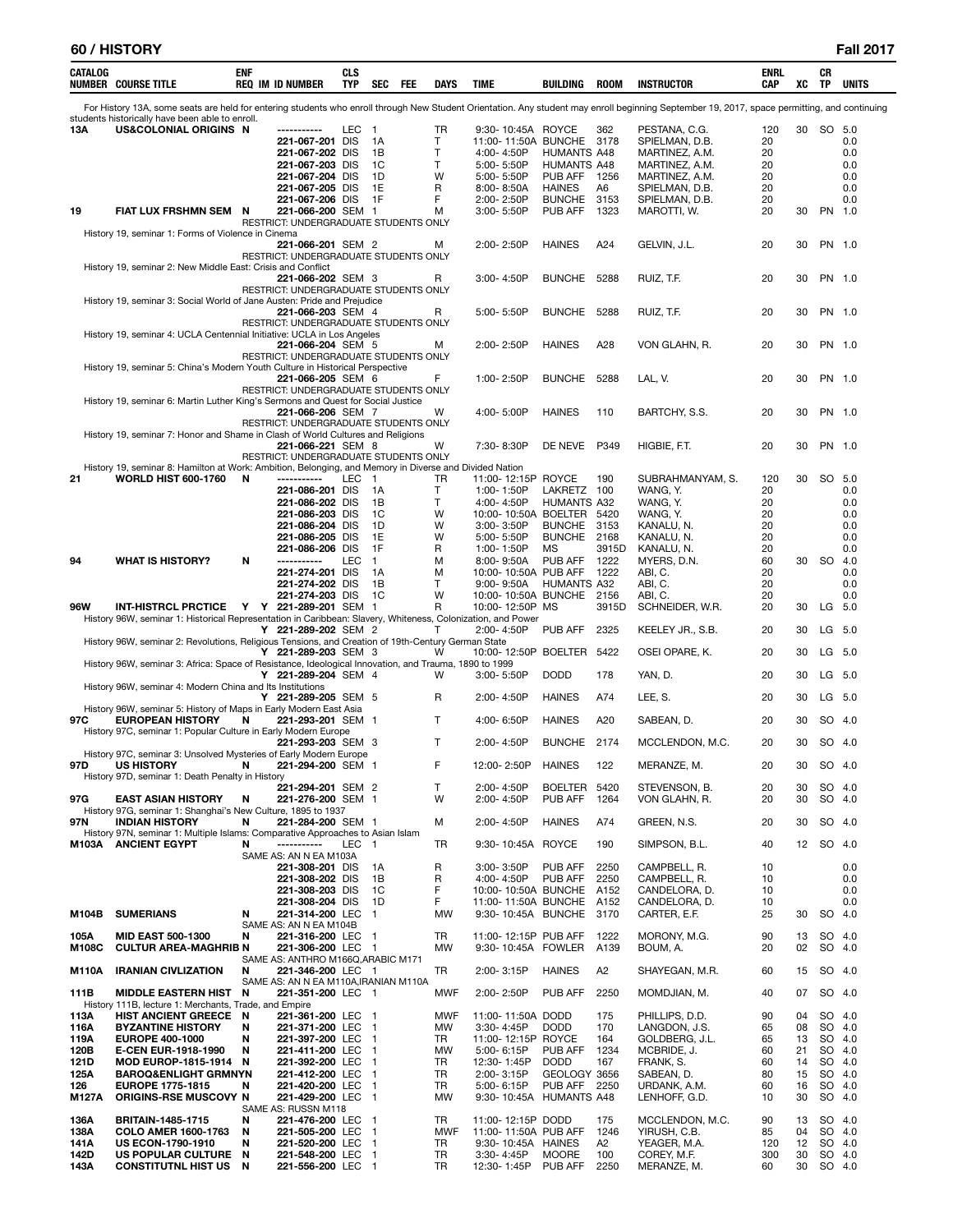| <b>CATALOG</b>      | <b>NUMBER COURSE TITLE</b>                                                                                  | ENF    | <b>REQ IM ID NUMBER</b>                                    | CLS<br><b>TYP</b> | <b>SEC</b>               | FEE | <b>DAYS</b>      | TIME                                            | BUILDING                       | <b>ROOM</b>   | <b>INSTRUCTOR</b>                                                                                                                                                                            | ENRL<br>CAP | xс       | CR<br>TP         | <b>UNITS</b> |
|---------------------|-------------------------------------------------------------------------------------------------------------|--------|------------------------------------------------------------|-------------------|--------------------------|-----|------------------|-------------------------------------------------|--------------------------------|---------------|----------------------------------------------------------------------------------------------------------------------------------------------------------------------------------------------|-------------|----------|------------------|--------------|
|                     | students historically have been able to enroll.                                                             |        |                                                            |                   |                          |     |                  |                                                 |                                |               | For History 13A, some seats are held for entering students who enroll through New Student Orientation. Any student may enroll beginning September 19, 2017, space permitting, and continuing |             |          |                  |              |
| 13A                 | US&COLONIAL ORIGINS N                                                                                       |        |                                                            | LEC               | $\overline{\phantom{a}}$ |     | TR               | 9:30-10:45A ROYCE                               |                                | 362           | PESTANA, C.G.                                                                                                                                                                                | 120         | 30       | SO 5.0           |              |
|                     |                                                                                                             |        | 221-067-201 DIS<br>221-067-202 DIS                         |                   | 1A<br>1В                 |     | т<br>т           | 11:00-11:50A BUNCHE 3178<br>4:00-4:50P          | <b>HUMANTS A48</b>             |               | SPIELMAN, D.B.<br>MARTINEZ, A.M.                                                                                                                                                             | 20<br>20    |          |                  | 0.0<br>0.0   |
|                     |                                                                                                             |        | 221-067-203 DIS                                            |                   | 1C                       |     | т                | 5:00-5:50P                                      | HUMANTS A48                    |               | MARTINEZ, A.M.                                                                                                                                                                               | 20          |          |                  | 0.0          |
|                     |                                                                                                             |        | 221-067-204 DIS                                            |                   | 1D                       |     | W                | 5:00-5:50P                                      | PUB AFF                        | 1256          | MARTINEZ, A.M.                                                                                                                                                                               | 20          |          |                  | 0.0          |
|                     |                                                                                                             |        | 221-067-205 DIS<br>221-067-206 DIS                         |                   | 1E<br>1F                 |     | R<br>F           | 8:00-8:50A<br>2:00-2:50P                        | <b>HAINES</b><br><b>BUNCHE</b> | A6<br>3153    | SPIELMAN, D.B.<br>SPIELMAN, D.B.                                                                                                                                                             | 20<br>20    |          |                  | 0.0<br>0.0   |
| 19                  | FIAT LUX FRSHMN SEM                                                                                         | N      | 221-066-200 SEM 1                                          |                   |                          |     | М                | 3:00-5:50P                                      | PUB AFF                        | 1323          | MAROTTI, W.                                                                                                                                                                                  | 20          | 30       | PN 1.0           |              |
|                     |                                                                                                             |        | RESTRICT: UNDERGRADUATE STUDENTS ONLY                      |                   |                          |     |                  |                                                 |                                |               |                                                                                                                                                                                              |             |          |                  |              |
|                     | History 19, seminar 1: Forms of Violence in Cinema                                                          |        | 221-066-201 SEM 2                                          |                   |                          |     | м                | 2:00-2:50P                                      | <b>HAINES</b>                  | A24           | GELVIN, J.L.                                                                                                                                                                                 | 20          | 30       | PN 1.0           |              |
|                     |                                                                                                             |        | RESTRICT: UNDERGRADUATE STUDENTS ONLY                      |                   |                          |     |                  |                                                 |                                |               |                                                                                                                                                                                              |             |          |                  |              |
|                     | History 19, seminar 2: New Middle East: Crisis and Conflict                                                 |        | 221-066-202 SEM 3                                          |                   |                          |     | R                | $3:00 - 4:50P$                                  | <b>BUNCHE</b>                  | 5288          | RUIZ, T.F.                                                                                                                                                                                   | 20          | 30       | PN 1.0           |              |
|                     |                                                                                                             |        | RESTRICT: UNDERGRADUATE STUDENTS ONLY                      |                   |                          |     |                  |                                                 |                                |               |                                                                                                                                                                                              |             |          |                  |              |
|                     | History 19, seminar 3: Social World of Jane Austen: Pride and Prejudice                                     |        |                                                            |                   |                          |     |                  |                                                 |                                |               |                                                                                                                                                                                              |             |          |                  |              |
|                     |                                                                                                             |        | 221-066-203 SEM 4<br>RESTRICT: UNDERGRADUATE STUDENTS ONLY |                   |                          |     | R                | 5:00-5:50P                                      | <b>BUNCHE</b>                  | 5288          | RUIZ, T.F.                                                                                                                                                                                   | 20          | 30       | PN 1.0           |              |
|                     | History 19, seminar 4: UCLA Centennial Initiative: UCLA in Los Angeles                                      |        |                                                            |                   |                          |     |                  |                                                 |                                |               |                                                                                                                                                                                              |             |          |                  |              |
|                     |                                                                                                             |        | 221-066-204 SEM 5<br>RESTRICT: UNDERGRADUATE STUDENTS ONLY |                   |                          |     | м                | 2:00-2:50P                                      | <b>HAINES</b>                  | A28           | VON GLAHN, R.                                                                                                                                                                                | 20          | 30       | PN 1.0           |              |
|                     | History 19, seminar 5: China's Modern Youth Culture in Historical Perspective                               |        |                                                            |                   |                          |     |                  |                                                 |                                |               |                                                                                                                                                                                              |             |          |                  |              |
|                     |                                                                                                             |        | 221-066-205 SEM 6                                          |                   |                          |     | F                | 1:00-2:50P                                      | <b>BUNCHE</b>                  | 5288          | LAL, V.                                                                                                                                                                                      | 20          | 30       | PN 1.0           |              |
|                     | History 19, seminar 6: Martin Luther King's Sermons and Quest for Social Justice                            |        | RESTRICT: UNDERGRADUATE STUDENTS ONLY                      |                   |                          |     |                  |                                                 |                                |               |                                                                                                                                                                                              |             |          |                  |              |
|                     |                                                                                                             |        | 221-066-206 SEM 7                                          |                   |                          |     | W                | 4:00-5:00P                                      | <b>HAINES</b>                  | 110           | BARTCHY, S.S.                                                                                                                                                                                | 20          | 30       | PN 1.0           |              |
|                     | History 19, seminar 7: Honor and Shame in Clash of World Cultures and Religions                             |        | RESTRICT: UNDERGRADUATE STUDENTS ONLY                      |                   |                          |     |                  |                                                 |                                |               |                                                                                                                                                                                              |             |          |                  |              |
|                     |                                                                                                             |        | 221-066-221 SEM 8                                          |                   |                          |     | W                | 7:30-8:30P                                      | DE NEVE                        | P349          | HIGBIE, F.T.                                                                                                                                                                                 | 20          | 30       | PN 1.0           |              |
|                     | History 19, seminar 8: Hamilton at Work: Ambition, Belonging, and Memory in Diverse and Divided Nation      |        | RESTRICT: UNDERGRADUATE STUDENTS ONLY                      |                   |                          |     |                  |                                                 |                                |               |                                                                                                                                                                                              |             |          |                  |              |
| 21                  | <b>WORLD HIST 600-1760</b>                                                                                  | N      | -----------                                                | <b>LEC</b>        | $\overline{1}$           |     | TR               | 11:00-12:15P ROYCE                              |                                | 190           | SUBRAHMANYAM, S.                                                                                                                                                                             | 120         | 30       | SO               | 5.0          |
|                     |                                                                                                             |        | 221-086-201 DIS                                            |                   | 1A                       |     | т                | 1:00-1:50P                                      | LAKRETZ 100                    |               | WANG, Y.                                                                                                                                                                                     | 20          |          |                  | 0.0          |
|                     |                                                                                                             |        | 221-086-202 DIS<br>221-086-203 DIS                         |                   | 1В<br>1C                 |     | т<br>W           | 4:00-4:50P<br>10:00-10:50A BOELTER 5420         | HUMANTS A32                    |               | WANG, Y.<br>WANG, Y.                                                                                                                                                                         | 20<br>20    |          |                  | 0.0<br>0.0   |
|                     |                                                                                                             |        | 221-086-204 DIS                                            |                   | 1D                       |     | W                | 3:00-3:50P                                      | <b>BUNCHE</b>                  | 3153          | KANALU, N.                                                                                                                                                                                   | 20          |          |                  | 0.0          |
|                     |                                                                                                             |        | 221-086-205 DIS                                            |                   | 1E                       |     | W                | 5:00-5:50P                                      | BUNCHE 2168                    |               | KANALU, N.                                                                                                                                                                                   | 20          |          |                  | 0.0          |
| 94                  | <b>WHAT IS HISTORY?</b>                                                                                     | N      | 221-086-206 DIS<br>-----------                             | <b>LEC</b>        | 1F<br>1                  |     | R<br>м           | 1:00-1:50P<br>8:00-9:50A                        | ΜS<br>PUB AFF                  | 3915D<br>1222 | KANALU, N.<br>MYERS, D.N.                                                                                                                                                                    | 20<br>60    | 30       | SO.              | 0.0<br>4.0   |
|                     |                                                                                                             |        | 221-274-201 DIS                                            |                   | 1A                       |     | M                | 10:00-10:50A PUB AFF                            |                                | 1222          | ABI, C.                                                                                                                                                                                      | 20          |          |                  | 0.0          |
|                     |                                                                                                             |        | 221-274-202 DIS<br>221-274-203 DIS                         |                   | 1В<br>1C                 |     | т<br>W           | $9:00 - 9:50A$<br>10:00-10:50A BUNCHE 2156      | <b>HUMANTS A32</b>             |               | ABI, C.<br>ABI, C.                                                                                                                                                                           | 20<br>20    |          |                  | 0.0<br>0.0   |
| <b>96W</b>          | <b>INT-HISTRCL PRCTICE</b>                                                                                  |        | Y Y 221-289-201 SEM 1                                      |                   |                          |     | R                | 10:00-12:50P MS                                 |                                | 3915D         | SCHNEIDER, W.R.                                                                                                                                                                              | 20          | 30       | LG               | 5.0          |
|                     | History 96W, seminar 1: Historical Representation in Caribbean: Slavery, Whiteness, Colonization, and Power |        |                                                            |                   |                          |     |                  |                                                 |                                |               |                                                                                                                                                                                              |             |          |                  |              |
|                     | History 96W, seminar 2: Revolutions, Religious Tensions, and Creation of 19th-Century German State          |        | Y 221-289-202 SEM 2                                        |                   |                          |     | т                | 2:00-4:50P                                      | PUB AFF                        | 2325          | KEELEY JR., S.B.                                                                                                                                                                             | 20          | 30       | LG               | 5.0          |
|                     |                                                                                                             |        | Y 221-289-203 SEM 3                                        |                   |                          |     | W                | 10:00-12:50P BOELTER 5422                       |                                |               | OSEI OPARE, K.                                                                                                                                                                               | 20          | 30       | LG               | 5.0          |
|                     | History 96W, seminar 3: Africa: Space of Resistance, Ideological Innovation, and Trauma, 1890 to 1999       |        | Y 221-289-204 SEM 4                                        |                   |                          |     | W                | $3:00 - 5:50P$                                  | <b>DODD</b>                    | 178           | YAN, D.                                                                                                                                                                                      | 20          | 30       | LG               | -5.0         |
|                     | History 96W, seminar 4: Modern China and Its Institutions                                                   |        |                                                            |                   |                          |     |                  |                                                 |                                |               |                                                                                                                                                                                              |             |          |                  |              |
|                     | History 96W, seminar 5: History of Maps in Early Modern East Asia                                           |        | Y 221-289-205 SEM 5                                        |                   |                          |     | R                | 2:00-4:50P                                      | <b>HAINES</b>                  | A74           | LEE, S.                                                                                                                                                                                      | 20          | 30       | LG               | 5.0          |
| 97C                 | <b>EUROPEAN HISTORY</b>                                                                                     | N      | 221-293-201 SEM 1                                          |                   |                          |     | Т                | 4:00-6:50P                                      | <b>HAINES</b>                  | A20           | SABEAN, D.                                                                                                                                                                                   | 20          | 30       | SO               | 4.0          |
|                     | History 97C, seminar 1: Popular Culture in Early Modern Europe                                              |        |                                                            |                   |                          |     | T                | 2:00-4:50P                                      | BUNCHE 2174                    |               | MCCLENDON, M.C.                                                                                                                                                                              | 20          | 30       | SO 4.0           |              |
|                     | History 97C, seminar 3: Unsolved Mysteries of Early Modern Europe                                           |        | 221-293-203 SEM 3                                          |                   |                          |     |                  |                                                 |                                |               |                                                                                                                                                                                              |             |          |                  |              |
| 97D                 | US HISTORY N 221-294-200 SEM 1                                                                              |        |                                                            |                   |                          |     | F                | 12:00-2:50P HAINES                              |                                | 122           | MERANZE, M.                                                                                                                                                                                  | 20          |          | 30 SO 4.0        |              |
|                     | History 97D, seminar 1: Death Penalty in History                                                            |        | 221-294-201 SEM 2                                          |                   |                          |     | Τ                | 2:00-4:50P                                      | BOELTER 5420                   |               | STEVENSON, B.                                                                                                                                                                                | 20          | 30       | SO 4.0           |              |
| 97G                 | <b>EAST ASIAN HISTORY</b>                                                                                   | N      | 221-276-200 SEM 1                                          |                   |                          |     | W                | 2:00-4:50P                                      | PUB AFF                        | 1264          | VON GLAHN, R.                                                                                                                                                                                | 20          | 30       | SO 4.0           |              |
| 97N                 | History 97G, seminar 1: Shanghai's New Culture, 1895 to 1937<br><b>INDIAN HISTORY</b>                       | N      | 221-284-200 SEM 1                                          |                   |                          |     | м                | 2:00-4:50P                                      | <b>HAINES</b>                  | A74           | GREEN, N.S.                                                                                                                                                                                  | 20          | 30       | SO 4.0           |              |
|                     | History 97N, seminar 1: Multiple Islams: Comparative Approaches to Asian Islam                              |        |                                                            |                   |                          |     |                  |                                                 |                                |               |                                                                                                                                                                                              |             |          |                  |              |
|                     | M103A ANCIENT EGYPT                                                                                         | N      | -----------                                                | LEC 1             |                          |     | TR               | 9:30-10:45A ROYCE                               |                                | 190           | SIMPSON, B.L.                                                                                                                                                                                | 40          | 12       | SO 4.0           |              |
|                     |                                                                                                             |        | SAME AS: AN N EA M103A<br>221-308-201 DIS                  |                   | 1A                       |     | R                | 3:00-3:50P                                      | PUB AFF                        | 2250          | CAMPBELL, R.                                                                                                                                                                                 | 10          |          |                  | 0.0          |
|                     |                                                                                                             |        | 221-308-202 DIS                                            |                   | 1B                       |     | R                | 4:00-4:50P                                      | PUB AFF                        | 2250          | CAMPBELL, R.                                                                                                                                                                                 | 10          |          |                  | 0.0          |
|                     |                                                                                                             |        | 221-308-203 DIS<br>221-308-204 DIS                         |                   | 1C<br>1D                 |     | F<br>F.          | 10:00-10:50A BUNCHE A152<br>11:00-11:50A BUNCHE |                                | A152          | CANDELORA, D.<br>CANDELORA, D.                                                                                                                                                               | 10<br>10    |          |                  | 0.0<br>0.0   |
| M104B               | <b>SUMERIANS</b>                                                                                            | N      | 221-314-200 LEC 1                                          |                   |                          |     | <b>MW</b>        | 9:30-10:45A BUNCHE 3170                         |                                |               | CARTER, E.F.                                                                                                                                                                                 | 25          | 30       | SO 4.0           |              |
| 105A                | <b>MID EAST 500-1300</b>                                                                                    | N      | SAME AS: AN N EA M104B<br>221-316-200 LEC 1                |                   |                          |     | TR               | 11:00-12:15P PUB AFF                            |                                | 1222          | MORONY, M.G.                                                                                                                                                                                 | 90          | 13       | SO 4.0           |              |
| M108C               | <b>CULTUR AREA-MAGHRIB N</b>                                                                                |        | 221-306-200 LEC 1                                          |                   |                          |     | MW               | 9:30-10:45A FOWLER A139                         |                                |               | BOUM, A.                                                                                                                                                                                     | 20          | 02       | SO 4.0           |              |
|                     |                                                                                                             |        | SAME AS: ANTHRO M166Q, ARABIC M171                         |                   |                          |     |                  |                                                 |                                |               |                                                                                                                                                                                              |             |          |                  |              |
| M110A               | <b>IRANIAN CIVLIZATION</b>                                                                                  | N      | 221-346-200 LEC 1<br>SAME AS: AN N EA M110A, IRANIAN M110A |                   |                          |     | TR               | 2:00-3:15P                                      | <b>HAINES</b>                  | A2            | SHAYEGAN, M.R.                                                                                                                                                                               | 60          | 15       | SO 4.0           |              |
| 111B                | <b>MIDDLE EASTERN HIST N</b>                                                                                |        | 221-351-200 LEC 1                                          |                   |                          |     | MWF              | 2:00-2:50P                                      | PUB AFF                        | 2250          | MOMDJIAN, M.                                                                                                                                                                                 | 40          | 07       | SO 4.0           |              |
| 113A                | History 111B, lecture 1: Merchants, Trade, and Empire<br><b>HIST ANCIENT GREECE</b>                         | - N    | 221-361-200 LEC 1                                          |                   |                          |     | MWF              | 11:00-11:50A DODD                               |                                | 175           | PHILLIPS, D.D.                                                                                                                                                                               | 90          | 04       | SO 4.0           |              |
| 116A                | <b>BYZANTINE HISTORY</b>                                                                                    | N      | 221-371-200 LEC 1                                          |                   |                          |     | MW               | 3:30-4:45P                                      | <b>DODD</b>                    | 170           | LANGDON, J.S.                                                                                                                                                                                | 65          | 08       | SO 4.0           |              |
| 119A                | <b>EUROPE 400-1000</b>                                                                                      | N      | 221-397-200 LEC 1                                          |                   |                          |     | TR               | 11:00-12:15P ROYCE                              |                                | 164           | GOLDBERG, J.L.                                                                                                                                                                               | 65          | 13       | SO 4.0           |              |
| 120B<br><b>121D</b> | <b>E-CEN EUR-1918-1990</b><br>MOD EUROP-1815-1914 N                                                         | N      | 221-411-200 LEC 1<br>221-392-200 LEC 1                     |                   |                          |     | MW<br>TR         | 5:00-6:15P<br>12:30-1:45P                       | PUB AFF<br><b>DODD</b>         | 1234<br>167   | MCBRIDE, J.<br>FRANK, S.                                                                                                                                                                     | 60<br>60    | 21<br>14 | SO 4.0<br>SO 4.0 |              |
| 125A                | <b>BAROQ&amp;ENLIGHT GRMNYN</b>                                                                             |        | 221-412-200 LEC 1                                          |                   |                          |     | TR               | 2:00-3:15P                                      | GEOLOGY 3656                   |               | SABEAN, D.                                                                                                                                                                                   | 80          | 15       | SO 4.0           |              |
| 126                 | <b>EUROPE 1775-1815</b>                                                                                     | N      | 221-420-200 LEC 1                                          |                   |                          |     | TR               | 5:00-6:15P                                      | PUB AFF                        | 2250          | URDANK, A.M.                                                                                                                                                                                 | 60          | 16       | SO 4.0           |              |
| M127A               | <b>ORIGINS-RSE MUSCOVY N</b>                                                                                |        | 221-429-200 LEC 1<br>SAME AS: RUSSN M118                   |                   |                          |     | MW               | 9:30-10:45A HUMANTS A48                         |                                |               | LENHOFF, G.D.                                                                                                                                                                                | 10          | 30       | SO 4.0           |              |
| 136A                | <b>BRITAIN-1485-1715</b>                                                                                    | N      | 221-476-200 LEC 1                                          |                   |                          |     | TR               | 11:00-12:15P DODD                               |                                | 175           | MCCLENDON, M.C.                                                                                                                                                                              | 90          | 13       | SO 4.0           |              |
| 138A<br>141A        | <b>COLO AMER 1600-1763</b><br><b>US ECON-1790-1910</b>                                                      | N<br>N | 221-505-200 LEC 1<br>221-520-200 LEC 1                     |                   |                          |     | <b>MWF</b><br>TR | 11:00-11:50A PUB AFF<br>9:30-10:45A HAINES      |                                | 1246<br>A2    | YIRUSH, C.B.<br>YEAGER, M.A.                                                                                                                                                                 | 85<br>120   | 04<br>12 | SO 4.0<br>SO 4.0 |              |
| 142D                | US POPULAR CULTURE N                                                                                        |        | 221-548-200 LEC 1                                          |                   |                          |     | TR               | 3:30-4:45P                                      | <b>MOORE</b>                   | 100           | COREY, M.F.                                                                                                                                                                                  | 300         | 30       | SO 4.0           |              |
| 143A                | <b>CONSTITUTNL HIST US N</b>                                                                                |        | 221-556-200 LEC 1                                          |                   |                          |     | TR               | 12:30-1:45P                                     | PUB AFF                        | 2250          | MERANZE, M.                                                                                                                                                                                  | 60          | 30       | SO 4.0           |              |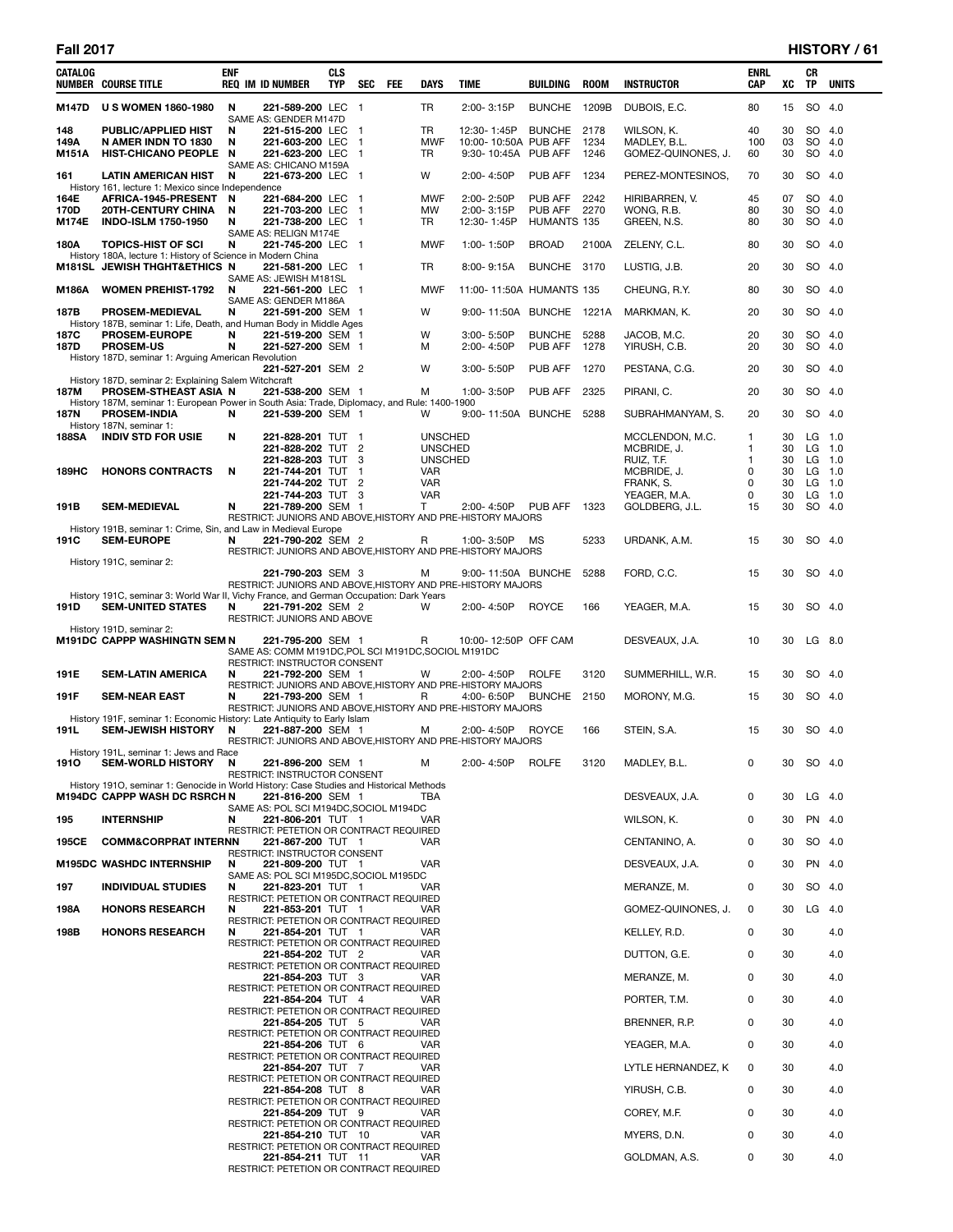| CATALOG               | <b>NUMBER COURSE TITLE</b>                                                                                                     | ENF         | <b>REQ IM ID NUMBER</b>                                                  | CLS<br><b>TYP</b> | <b>SEC</b>               | FEE | DAYS                             | TIME                                                                                                                                     | BUILDING                          | <b>ROOM</b>  | <b>INSTRUCTOR</b>                                | ENRL<br>CAP     | XC             | CR<br>TP                     | <b>UNITS</b> |
|-----------------------|--------------------------------------------------------------------------------------------------------------------------------|-------------|--------------------------------------------------------------------------|-------------------|--------------------------|-----|----------------------------------|------------------------------------------------------------------------------------------------------------------------------------------|-----------------------------------|--------------|--------------------------------------------------|-----------------|----------------|------------------------------|--------------|
| M147D                 | <b>U S WOMEN 1860-1980</b>                                                                                                     | N           | 221-589-200 LEC 1<br>SAME AS: GENDER M147D                               |                   |                          |     | TR.                              | 2:00-3:15P                                                                                                                               | <b>BUNCHE</b>                     | 1209B        | DUBOIS, E.C.                                     | 80              | 15             | SO 4.0                       |              |
| 148<br>149A<br>M151A  | PUBLIC/APPLIED HIST<br>N AMER INDN TO 1830<br>HIST-CHICANO PEOPLE N                                                            | N<br>N      | 221-515-200 LEC<br>221-603-200 LEC<br>221-623-200 LEC                    |                   | -1<br>-1<br>$\mathbf{1}$ |     | TR<br><b>MWF</b><br>TR           | 12:30-1:45P<br>10:00-10:50A PUB AFF<br>9:30-10:45A PUB AFF                                                                               | BUNCHE 2178                       | 1234<br>1246 | WILSON, K.<br>MADLEY, B.L.<br>GOMEZ-QUINONES, J. | 40<br>100<br>60 | 30<br>03<br>30 | SO 4.0<br>SO 4.0<br>SO 4.0   |              |
| 161                   | <b>LATIN AMERICAN HIST</b><br>History 161, lecture 1: Mexico since Independence                                                | N           | SAME AS: CHICANO M159A<br>221-673-200 LEC 1                              |                   |                          |     | W                                | 2:00-4:50P                                                                                                                               | PUB AFF                           | 1234         | PEREZ-MONTESINOS,                                | 70              | 30             | SO 4.0                       |              |
| 164E<br>170D<br>M174E | AFRICA-1945-PRESENT<br><b>20TH-CENTURY CHINA</b><br><b>INDO-ISLM 1750-1950</b>                                                 | N<br>N<br>N | 221-684-200 LEC 1<br>221-703-200 LEC 1<br>221-738-200 LEC 1              |                   |                          |     | <b>MWF</b><br>MW<br>TR.          | 2:00-2:50P<br>2:00-3:15P<br>12:30-1:45P                                                                                                  | PUB AFF<br>PUB AFF<br>HUMANTS 135 | 2242<br>2270 | HIRIBARREN, V.<br>WONG, R.B.<br>GREEN, N.S.      | 45<br>80<br>80  | 07<br>30<br>30 | SO 4.0<br>SO 4.0<br>$SO$ 4.0 |              |
| 180A                  | <b>TOPICS-HIST OF SCI</b>                                                                                                      | N           | SAME AS: RELIGN M174E<br>221-745-200 LEC 1                               |                   |                          |     | <b>MWF</b>                       | 1:00-1:50P                                                                                                                               | <b>BROAD</b>                      | 2100A        | ZELENY, C.L.                                     | 80              | 30             | SO 4.0                       |              |
|                       | History 180A, lecture 1: History of Science in Modern China<br><b>M181SL JEWISH THGHT&amp;ETHICS N</b>                         |             | 221-581-200 LEC 1                                                        |                   |                          |     | TR                               | $8:00 - 9:15A$                                                                                                                           | BUNCHE 3170                       |              | LUSTIG, J.B.                                     | 20              | 30             | SO 4.0                       |              |
| M186A                 | <b>WOMEN PREHIST-1792</b>                                                                                                      | N           | SAME AS: JEWISH M181SL<br>221-561-200 LEC<br>SAME AS: GENDER M186A       |                   | - 1                      |     | MWF                              | 11:00-11:50A HUMANTS 135                                                                                                                 |                                   |              | CHEUNG, R.Y.                                     | 80              | 30             | SO 4.0                       |              |
| 187B                  | <b>PROSEM-MEDIEVAL</b><br>History 187B, seminar 1: Life, Death, and Human Body in Middle Ages                                  | N           | 221-591-200 SEM 1                                                        |                   |                          |     | w                                | 9:00-11:50A BUNCHE 1221A                                                                                                                 |                                   |              | MARKMAN, K.                                      | 20              | 30             | SO 4.0                       |              |
| 187C<br>187D          | <b>PROSEM-EUROPE</b><br><b>PROSEM-US</b>                                                                                       | N<br>N      | 221-519-200 SEM 1<br>221-527-200 SEM 1                                   |                   |                          |     | w<br>М                           | 3:00-5:50P<br>2:00-4:50P                                                                                                                 | <b>BUNCHE</b><br>PUB AFF          | 5288<br>1278 | JACOB, M.C.<br>YIRUSH, C.B.                      | 20<br>20        | 30<br>30       | SO 4.0<br>SO 4.0             |              |
|                       | History 187D, seminar 1: Arguing American Revolution                                                                           |             | 221-527-201 SEM 2                                                        |                   |                          |     | W                                | $3:00 - 5:50P$                                                                                                                           | PUB AFF                           | 1270         | PESTANA, C.G.                                    | 20              | 30             | SO 4.0                       |              |
| 187M                  | History 187D, seminar 2: Explaining Salem Witchcraft<br><b>PROSEM-STHEAST ASIA N</b>                                           |             | 221-538-200 SEM 1                                                        |                   |                          |     | м                                | 1:00-3:50P                                                                                                                               | PUB AFF                           | 2325         | PIRANI, C.                                       | 20              | 30             | SO 4.0                       |              |
| 187N                  | History 187M, seminar 1: European Power in South Asia: Trade, Diplomacy, and Rule: 1400-1900<br><b>PROSEM-INDIA</b>            | N           | 221-539-200 SEM 1                                                        |                   |                          |     | w                                | 9:00-11:50A BUNCHE 5288                                                                                                                  |                                   |              | SUBRAHMANYAM, S.                                 | 20              | 30             | SO 4.0                       |              |
| 188SA                 | History 187N, seminar 1:<br><b>INDIV STD FOR USIE</b>                                                                          | N           | 221-828-201 TUT 1                                                        |                   |                          |     | <b>UNSCHED</b>                   |                                                                                                                                          |                                   |              | MCCLENDON, M.C.                                  | 1               | 30             | $LG$ 1.0                     |              |
|                       |                                                                                                                                |             | 221-828-202 TUT<br>221-828-203 TUT                                       |                   | $\overline{2}$<br>3      |     | <b>UNSCHED</b><br><b>UNSCHED</b> |                                                                                                                                          |                                   |              | MCBRIDE, J.<br>RUIZ, T.F.                        | 1<br>1          | 30<br>30       | $LG$ 1.0<br>LG 1.0           |              |
| 189HC                 | <b>HONORS CONTRACTS</b>                                                                                                        | N           | 221-744-201 TUT<br>221-744-202 TUT 2                                     |                   | -1                       |     | <b>VAR</b><br>VAR                |                                                                                                                                          |                                   |              | MCBRIDE, J.<br>FRANK, S.                         | 0<br>0          | 30<br>30       | $LG$ 1.0<br>$LG$ 1.0         |              |
| 191B                  | <b>SEM-MEDIEVAL</b>                                                                                                            | N           | 221-744-203 TUT 3<br>221-789-200 SEM 1                                   |                   |                          |     | <b>VAR</b><br>T                  | 2:00-4:50P                                                                                                                               | PUB AFF                           | 1323         | YEAGER, M.A.<br>GOLDBERG, J.L.                   | 0<br>15         | 30<br>30       | $LG$ 1.0<br>SO 4.0           |              |
|                       | History 191B, seminar 1: Crime, Sin, and Law in Medieval Europe                                                                |             |                                                                          |                   |                          |     |                                  | RESTRICT: JUNIORS AND ABOVE, HISTORY AND PRE-HISTORY MAJORS                                                                              |                                   |              |                                                  |                 |                |                              |              |
| 191C                  | <b>SEM-EUROPE</b>                                                                                                              | N           | 221-790-202 SEM 2                                                        |                   |                          |     | R                                | 1:00-3:50P<br>RESTRICT: JUNIORS AND ABOVE, HISTORY AND PRE-HISTORY MAJORS                                                                | ΜS                                | 5233         | URDANK, A.M.                                     | 15              | 30             | SO 4.0                       |              |
|                       | History 191C, seminar 2:                                                                                                       |             | 221-790-203 SEM 3                                                        |                   |                          |     | м                                | 9:00-11:50A BUNCHE                                                                                                                       |                                   | 5288         | FORD, C.C.                                       | 15              | 30             | SO 4.0                       |              |
| 191D                  | History 191C, seminar 3: World War II, Vichy France, and German Occupation: Dark Years<br><b>SEM-UNITED STATES</b>             | N           | 221-791-202 SEM 2<br><b>RESTRICT: JUNIORS AND ABOVE</b>                  |                   |                          |     | W                                | RESTRICT: JUNIORS AND ABOVE, HISTORY AND PRE-HISTORY MAJORS<br>2:00-4:50P                                                                | <b>ROYCE</b>                      | 166          | YEAGER, M.A.                                     | 15              | 30             | SO 4.0                       |              |
|                       | History 191D, seminar 2:<br><b>M191DC CAPPP WASHINGTN SEM N</b>                                                                |             | 221-795-200 SEM 1<br>SAME AS: COMM M191DC, POL SCI M191DC, SOCIOL M191DC |                   |                          |     | R                                | 10:00-12:50P OFF CAM                                                                                                                     |                                   |              | DESVEAUX, J.A.                                   | 10              | 30             | $LG$ 8.0                     |              |
| 191E                  | <b>SEM-LATIN AMERICA</b>                                                                                                       | N           | RESTRICT: INSTRUCTOR CONSENT<br>221-792-200 SEM 1                        |                   |                          |     | w                                | 2:00-4:50P                                                                                                                               | <b>ROLFE</b>                      | 3120         | SUMMERHILL, W.R.                                 | 15              | 30             | SO 4.0                       |              |
| 191F                  | <b>SEM-NEAR EAST</b>                                                                                                           | N           | 221-793-200 SEM 1                                                        |                   |                          |     | R                                | RESTRICT: JUNIORS AND ABOVE, HISTORY AND PRE-HISTORY MAJORS<br>4:00-6:50P<br>RESTRICT: JUNIORS AND ABOVE, HISTORY AND PRE-HISTORY MAJORS | BUNCHE 2150                       |              | MORONY, M.G.                                     | 15              | 30             | SO 4.0                       |              |
| 191L                  | History 191F, seminar 1: Economic History: Late Antiquity to Early Islam<br><b>SEM-JEWISH HISTORY</b>                          | N           | 221-887-200 SEM 1                                                        |                   |                          |     | м                                | 2:00-4:50P<br>RESTRICT: JUNIORS AND ABOVE, HISTORY AND PRE-HISTORY MAJORS                                                                | <b>ROYCE</b>                      | 166          | STEIN, S.A.                                      | 15              | 30             | SO 4.0                       |              |
| 1910                  | History 191L, seminar 1: Jews and Race<br>SEM-WORLD HISTORY N                                                                  |             | 221-896-200 SEM 1<br>RESTRICT: INSTRUCTOR CONSENT                        |                   |                          |     | м                                | 2:00-4:50P                                                                                                                               | <b>ROLFE</b>                      | 3120         | MADLEY, B.L                                      | 0               |                | 30 SO 4.0                    |              |
|                       | History 1910, seminar 1: Genocide in World History: Case Studies and Historical Methods<br><b>M194DC CAPPP WASH DC RSRCH N</b> |             | 221-816-200 SEM 1<br>SAME AS: POL SCI M194DC, SOCIOL M194DC              |                   |                          |     | TBA                              |                                                                                                                                          |                                   |              | DESVEAUX, J.A.                                   | 0               | 30             | $LG$ 4.0                     |              |
| 195                   | <b>INTERNSHIP</b>                                                                                                              | N           | 221-806-201 TUT 1<br>RESTRICT: PETETION OR CONTRACT REQUIRED             |                   |                          |     | <b>VAR</b>                       |                                                                                                                                          |                                   |              | WILSON, K.                                       | 0               | 30             | PN 4.0                       |              |
| 195CE                 | <b>COMM&amp;CORPRAT INTERNN</b>                                                                                                |             | 221-867-200 TUT 1<br>RESTRICT: INSTRUCTOR CONSENT                        |                   |                          |     | VAR                              |                                                                                                                                          |                                   |              | CENTANINO, A.                                    | 0               | 30             | SO 4.0                       |              |
|                       | <b>M195DC WASHDC INTERNSHIP</b>                                                                                                | N           | 221-809-200 TUT 1                                                        |                   |                          |     | <b>VAR</b>                       |                                                                                                                                          |                                   |              | DESVEAUX, J.A.                                   | 0               | 30             | PN 4.0                       |              |
| 197                   | <b>INDIVIDUAL STUDIES</b>                                                                                                      | N           | SAME AS: POL SCI M195DC, SOCIOL M195DC<br>221-823-201 TUT 1              |                   |                          |     | <b>VAR</b>                       |                                                                                                                                          |                                   |              | MERANZE, M.                                      | 0               | 30             | SO 4.0                       |              |
| 198A                  | <b>HONORS RESEARCH</b>                                                                                                         | N           | RESTRICT: PETETION OR CONTRACT REQUIRED<br>221-853-201 TUT 1             |                   |                          |     | VAR                              |                                                                                                                                          |                                   |              | GOMEZ-QUINONES, J.                               | 0               | 30             | $LG$ 4.0                     |              |
| 198B                  | <b>HONORS RESEARCH</b>                                                                                                         | N           | RESTRICT: PETETION OR CONTRACT REQUIRED<br>221-854-201 TUT 1             |                   |                          |     | VAR                              |                                                                                                                                          |                                   |              | KELLEY, R.D.                                     | 0               | 30             |                              | 4.0          |
|                       |                                                                                                                                |             | RESTRICT: PETETION OR CONTRACT REQUIRED<br>221-854-202 TUT 2             |                   |                          |     | <b>VAR</b>                       |                                                                                                                                          |                                   |              | DUTTON, G.E.                                     | 0               | 30             |                              | 4.0          |
|                       |                                                                                                                                |             | RESTRICT: PETETION OR CONTRACT REQUIRED<br>221-854-203 TUT 3             |                   |                          |     | VAR                              |                                                                                                                                          |                                   |              | MERANZE, M.                                      | 0               | 30             |                              | 4.0          |
|                       |                                                                                                                                |             | RESTRICT: PETETION OR CONTRACT REQUIRED<br>221-854-204 TUT 4             |                   |                          |     | <b>VAR</b>                       |                                                                                                                                          |                                   |              | PORTER, T.M.                                     | 0               | 30             |                              | 4.0          |
|                       |                                                                                                                                |             | RESTRICT: PETETION OR CONTRACT REQUIRED<br>221-854-205 TUT 5             |                   |                          |     | VAR                              |                                                                                                                                          |                                   |              | BRENNER, R.P.                                    | 0               | 30             |                              | 4.0          |
|                       |                                                                                                                                |             | RESTRICT: PETETION OR CONTRACT REQUIRED<br>221-854-206 TUT 6             |                   |                          |     | <b>VAR</b>                       |                                                                                                                                          |                                   |              | YEAGER, M.A.                                     | 0               | 30             |                              | 4.0          |
|                       |                                                                                                                                |             | RESTRICT: PETETION OR CONTRACT REQUIRED<br>221-854-207 TUT 7             |                   |                          |     | VAR                              |                                                                                                                                          |                                   |              | LYTLE HERNANDEZ, K                               | 0               | 30             |                              | 4.0          |
|                       |                                                                                                                                |             | RESTRICT: PETETION OR CONTRACT REQUIRED<br>221-854-208 TUT 8             |                   |                          |     | <b>VAR</b>                       |                                                                                                                                          |                                   |              | YIRUSH, C.B.                                     | 0               | 30             |                              | 4.0          |
|                       |                                                                                                                                |             | RESTRICT: PETETION OR CONTRACT REQUIRED<br>221-854-209 TUT 9             |                   |                          |     | VAR                              |                                                                                                                                          |                                   |              | COREY, M.F.                                      | 0               | 30             |                              | 4.0          |
|                       |                                                                                                                                |             | RESTRICT: PETETION OR CONTRACT REQUIRED<br>221-854-210 TUT 10            |                   |                          |     | VAR                              |                                                                                                                                          |                                   |              | MYERS, D.N.                                      | 0               | 30             |                              | 4.0          |
|                       |                                                                                                                                |             | RESTRICT: PETETION OR CONTRACT REQUIRED<br>221-854-211 TUT 11            |                   |                          |     | <b>VAR</b>                       |                                                                                                                                          |                                   |              | GOLDMAN, A.S.                                    | 0               | 30             |                              | 4.0          |
|                       |                                                                                                                                |             | RESTRICT: PETETION OR CONTRACT REQUIRED                                  |                   |                          |     |                                  |                                                                                                                                          |                                   |              |                                                  |                 |                |                              |              |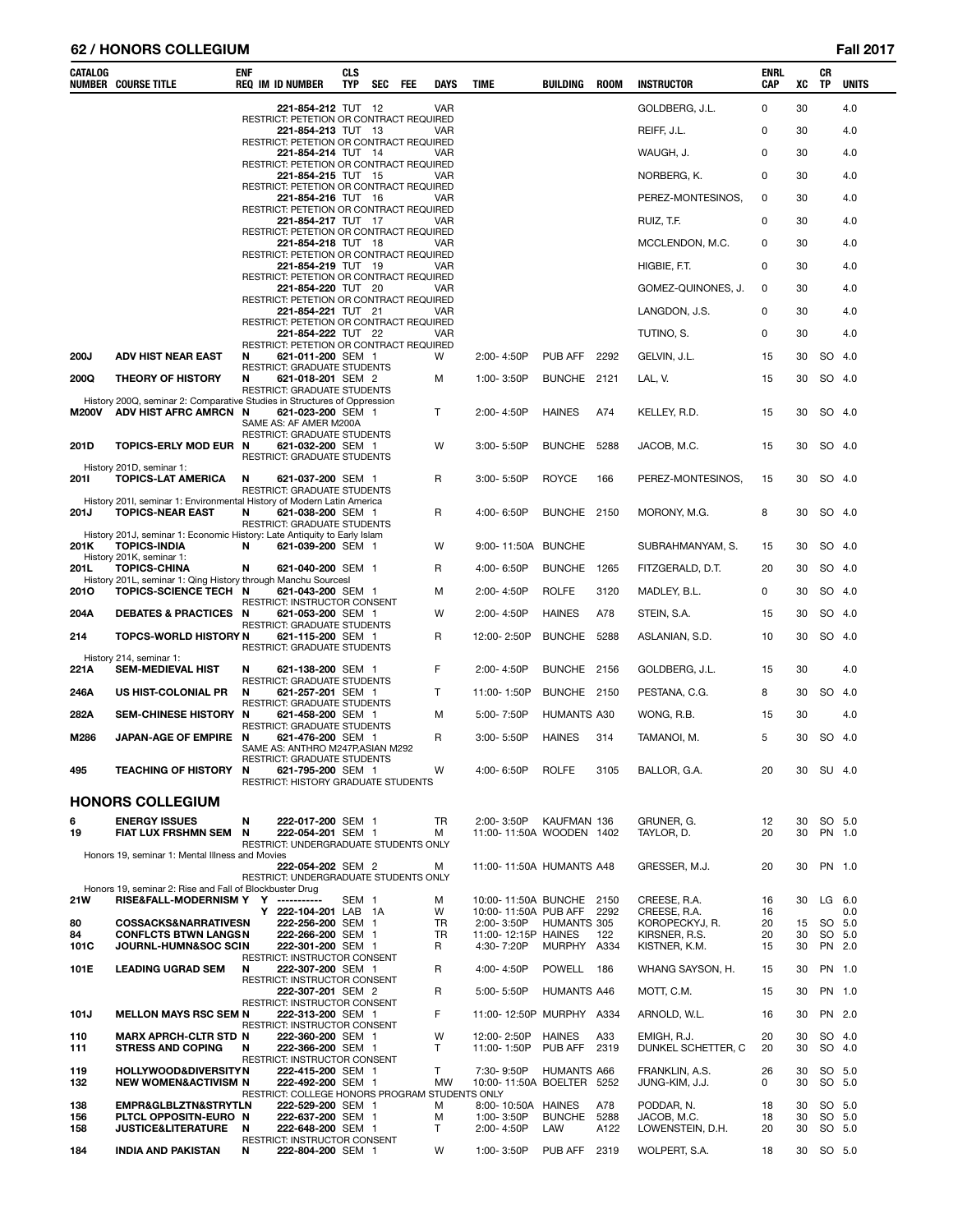### **62 / HONORS COLLEGIUM Fall 2017**

| <b>CATALOG</b> | <b>NUMBER COURSE TITLE</b>                                                                                                  | ENF | <b>REQ IM ID NUMBER</b>                                                                | <b>CLS</b><br><b>TYP</b> | <b>SEC</b> | FEE | <b>DAYS</b>    | <b>TIME</b>                             | BUILDING                 | ROOM        | <b>INSTRUCTOR</b>                 | ENRL<br><b>CAP</b> | хc       | CR<br><b>TP</b>  | <b>UNITS</b>  |
|----------------|-----------------------------------------------------------------------------------------------------------------------------|-----|----------------------------------------------------------------------------------------|--------------------------|------------|-----|----------------|-----------------------------------------|--------------------------|-------------|-----------------------------------|--------------------|----------|------------------|---------------|
|                |                                                                                                                             |     | 221-854-212 TUT 12                                                                     |                          |            |     | <b>VAR</b>     |                                         |                          |             | GOLDBERG, J.L.                    | 0                  | 30       |                  | 4.0           |
|                |                                                                                                                             |     | RESTRICT: PETETION OR CONTRACT REQUIRED<br>221-854-213 TUT 13                          |                          |            |     | <b>VAR</b>     |                                         |                          |             | REIFF, J.L.                       | 0                  | 30       |                  | 4.0           |
|                |                                                                                                                             |     | RESTRICT: PETETION OR CONTRACT REQUIRED<br>221-854-214 TUT 14                          |                          |            |     | VAR            |                                         |                          |             | WAUGH, J.                         | 0                  | 30       |                  | 4.0           |
|                |                                                                                                                             |     | RESTRICT: PETETION OR CONTRACT REQUIRED<br>221-854-215 TUT 15                          |                          |            |     | <b>VAR</b>     |                                         |                          |             | NORBERG, K.                       | 0                  | 30       |                  | 4.0           |
|                |                                                                                                                             |     | RESTRICT: PETETION OR CONTRACT REQUIRED<br>221-854-216 TUT 16                          |                          |            |     | <b>VAR</b>     |                                         |                          |             | PEREZ-MONTESINOS,                 | 0                  | 30       |                  | 4.0           |
|                |                                                                                                                             |     | RESTRICT: PETETION OR CONTRACT REQUIRED<br>221-854-217 TUT 17                          |                          |            |     | <b>VAR</b>     |                                         |                          |             | RUIZ, T.F.                        | 0                  | 30       |                  | 4.0           |
|                |                                                                                                                             |     | RESTRICT: PETETION OR CONTRACT REQUIRED<br>221-854-218 TUT 18                          |                          |            |     | <b>VAR</b>     |                                         |                          |             | MCCLENDON, M.C.                   | 0                  | 30       |                  | 4.0           |
|                |                                                                                                                             |     | RESTRICT: PETETION OR CONTRACT REQUIRED                                                |                          |            |     |                |                                         |                          |             |                                   | 0                  |          |                  |               |
|                |                                                                                                                             |     | 221-854-219 TUT 19<br>RESTRICT: PETETION OR CONTRACT REQUIRED                          |                          |            |     | VAR            |                                         |                          |             | HIGBIE, F.T.                      |                    | 30       |                  | 4.0           |
|                |                                                                                                                             |     | 221-854-220 TUT 20<br>RESTRICT: PETETION OR CONTRACT REQUIRED                          |                          |            |     | VAR            |                                         |                          |             | GOMEZ-QUINONES, J.                | 0                  | 30       |                  | 4.0           |
|                |                                                                                                                             |     | 221-854-221 TUT 21<br>RESTRICT: PETETION OR CONTRACT REQUIRED                          |                          |            |     | VAR            |                                         |                          |             | LANGDON, J.S.                     | 0                  | 30       |                  | 4.0           |
|                |                                                                                                                             |     | <b>221-854-222 TUT 22</b><br>RESTRICT: PETETION OR CONTRACT REQUIRED                   |                          |            |     | <b>VAR</b>     |                                         |                          |             | TUTINO, S.                        | 0                  | 30       |                  | 4.0           |
| <b>200J</b>    | <b>ADV HIST NEAR EAST</b>                                                                                                   | N   | 621-011-200 SEM 1<br>RESTRICT: GRADUATE STUDENTS                                       |                          |            |     | W              | 2:00-4:50P                              | PUB AFF                  | 2292        | GELVIN, J.L.                      | 15                 | 30       | SO               | -4.0          |
| 200Q           | THEORY OF HISTORY                                                                                                           | N   | 621-018-201 SEM 2<br><b>RESTRICT: GRADUATE STUDENTS</b>                                |                          |            |     | м              | 1:00-3:50P                              | BUNCHE 2121              |             | LAL, V.                           | 15                 | 30       |                  | SO 4.0        |
| <b>M200V</b>   | History 200Q, seminar 2: Comparative Studies in Structures of Oppression<br>ADV HIST AFRC AMRCN N                           |     | 621-023-200 SEM 1<br>SAME AS: AF AMER M200A                                            |                          |            |     | T              | 2:00-4:50P                              | <b>HAINES</b>            | A74         | KELLEY, R.D.                      | 15                 | 30       |                  | SO 4.0        |
| 201D           | TOPICS-ERLY MOD EUR N                                                                                                       |     | RESTRICT: GRADUATE STUDENTS<br>621-032-200 SEM 1<br><b>RESTRICT: GRADUATE STUDENTS</b> |                          |            |     | W              | $3:00 - 5:50P$                          | <b>BUNCHE</b>            | 5288        | JACOB, M.C.                       | 15                 | 30       |                  | SO 4.0        |
| 2011           | History 201D, seminar 1:<br>TOPICS-LAT AMERICA                                                                              | N   | 621-037-200 SEM 1<br><b>RESTRICT: GRADUATE STUDENTS</b>                                |                          |            |     | R              | $3:00 - 5:50P$                          | <b>ROYCE</b>             | 166         | PEREZ-MONTESINOS,                 | 15                 | 30       |                  | SO 4.0        |
| 201J           | History 2011, seminar 1: Environmental History of Modern Latin America<br><b>TOPICS-NEAR EAST</b>                           | N   | 621-038-200 SEM 1<br>RESTRICT: GRADUATE STUDENTS                                       |                          |            |     | R              | 4:00-6:50P                              | BUNCHE 2150              |             | MORONY, M.G.                      | 8                  | 30       |                  | SO 4.0        |
| 201K           | History 201J, seminar 1: Economic History: Late Antiquity to Early Islam<br><b>TOPICS-INDIA</b><br>History 201K, seminar 1: | N   | 621-039-200 SEM 1                                                                      |                          |            |     | W              | 9:00-11:50A BUNCHE                      |                          |             | SUBRAHMANYAM, S.                  | 15                 | 30       |                  | SO 4.0        |
| 201L           | <b>TOPICS-CHINA</b><br>History 201L, seminar 1: Qing History through Manchu Sourcesl                                        | N   | 621-040-200 SEM 1                                                                      |                          |            |     | R              | 4:00-6:50P                              | BUNCHE 1265              |             | FITZGERALD, D.T.                  | 20                 | 30       |                  | SO 4.0        |
| 2010           | TOPICS-SCIENCE TECH N                                                                                                       |     | 621-043-200 SEM 1                                                                      |                          |            |     | м              | 2:00-4:50P                              | <b>ROLFE</b>             | 3120        | MADLEY, B.L.                      | 0                  | 30       |                  | SO 4.0        |
| 204A           | DEBATES & PRACTICES N                                                                                                       |     | RESTRICT: INSTRUCTOR CONSENT<br>621-053-200 SEM 1                                      |                          |            |     | W              | 2:00-4:50P                              | <b>HAINES</b>            | A78         | STEIN, S.A.                       | 15                 | 30       | SO               | 4.0           |
| 214            | <b>TOPCS-WORLD HISTORY N</b>                                                                                                |     | RESTRICT: GRADUATE STUDENTS<br>621-115-200 SEM 1<br>RESTRICT: GRADUATE STUDENTS        |                          |            |     | R              | 12:00-2:50P                             | BUNCHE 5288              |             | ASLANIAN, S.D.                    | 10                 | 30       |                  | SO 4.0        |
| 221A           | History 214, seminar 1:<br><b>SEM-MEDIEVAL HIST</b>                                                                         | N   | 621-138-200 SEM 1                                                                      |                          |            |     | F              | 2:00-4:50P                              | BUNCHE 2156              |             | GOLDBERG, J.L.                    | 15                 | 30       |                  | 4.0           |
| 246A           | US HIST-COLONIAL PR                                                                                                         | N   | RESTRICT: GRADUATE STUDENTS<br>621-257-201 SEM 1                                       |                          |            |     | T              | 11:00-1:50P                             | BUNCHE 2150              |             | PESTANA, C.G.                     | 8                  | 30       | SO 4.0           |               |
| 282A           | SEM-CHINESE HISTORY N                                                                                                       |     | RESTRICT: GRADUATE STUDENTS<br>621-458-200 SEM 1                                       |                          |            |     | м              | 5:00-7:50P                              | HUMANTS A30              |             | WONG, R.B.                        | 15                 | 30       |                  | 4.0           |
| M286           | <b>JAPAN-AGE OF EMPIRE</b>                                                                                                  | N   | RESTRICT: GRADUATE STUDENTS<br>621-476-200 SEM 1                                       |                          |            |     | R              | $3:00 - 5:50P$                          | <b>HAINES</b>            | 314         | TAMANOI, M.                       | 5                  | 30       |                  | SO 4.0        |
| 495            | TEACHING OF HISTORY N                                                                                                       |     | SAME AS: ANTHRO M247P, ASIAN M292<br>RESTRICT: GRADUATE STUDENTS<br>621-795-200 SEM 1  |                          |            |     | W              | 4:00-6:50P                              | <b>ROLFE</b>             | 3105        | BALLOR, G.A.                      | 20                 | 30       | SU 4.0           |               |
|                | <b>HONORS COLLEGIUM</b>                                                                                                     |     | RESTRICT: HISTORY GRADUATE STUDENTS                                                    |                          |            |     |                |                                         |                          |             |                                   |                    |          |                  |               |
| 6              | <b>ENERGY ISSUES</b>                                                                                                        | N   | 222-017-200 SEM 1                                                                      |                          |            |     | TR             | 2:00-3:50P                              | KAUFMAN 136              |             | GRUNER, G.                        | 12                 | 30       |                  | SO 5.0        |
| 19             | <b>FIAT LUX FRSHMN SEM</b>                                                                                                  | N   | 222-054-201 SEM 1<br>RESTRICT: UNDERGRADUATE STUDENTS ONLY                             |                          |            |     | м              | 11:00-11:50A WOODEN 1402                |                          |             | TAYLOR, D.                        | 20                 | 30       | PN 1.0           |               |
|                | Honors 19, seminar 1: Mental Illness and Movies                                                                             |     | 222-054-202 SEM 2<br>RESTRICT: UNDERGRADUATE STUDENTS ONLY                             |                          |            |     | м              | 11:00-11:50A HUMANTS A48                |                          |             | GRESSER, M.J.                     | 20                 | 30       | PN 1.0           |               |
| 21W            | Honors 19, seminar 2: Rise and Fall of Blockbuster Drug<br>RISE&FALL-MODERNISM Y Y -----------                              |     |                                                                                        | SEM <sub>1</sub>         |            |     | м              | 10:00-11:50A BUNCHE 2150                |                          |             | CREESE, R.A.                      | 16                 | 30       | $LG$ 6.0         |               |
| 80             | <b>COSSACKS&amp;NARRATIVESN</b>                                                                                             |     | Y 222-104-201 LAB 1A<br>222-256-200 SEM 1                                              |                          |            |     | W<br>TR        | 10:00-11:50A PUB AFF<br>2:00-3:50P      | HUMANTS 305              | 2292        | CREESE, R.A.<br>KOROPECKYJ, R.    | 16<br>20           | 15       |                  | 0.0<br>SO 5.0 |
| 84<br>101C     | <b>CONFLCTS BTWN LANGSN</b><br><b>JOURNL-HUMN&amp;SOC SCIN</b>                                                              |     | 222-266-200 SEM 1<br>222-301-200 SEM 1                                                 |                          |            |     | TR<br>R        | 11:00-12:15P HAINES<br>4:30-7:20P       | MURPHY A334              | 122         | KIRSNER, R.S.<br>KISTNER, K.M.    | 20<br>15           | 30<br>30 | PN 2.0           | SO 5.0        |
| 101E           | <b>LEADING UGRAD SEM</b>                                                                                                    | N   | RESTRICT: INSTRUCTOR CONSENT<br>222-307-200 SEM 1                                      |                          |            |     | R              | 4:00-4:50P                              | POWELL 186               |             | WHANG SAYSON, H.                  | 15                 | 30       | PN 1.0           |               |
|                |                                                                                                                             |     | RESTRICT: INSTRUCTOR CONSENT<br>222-307-201 SEM 2                                      |                          |            |     | R              | 5:00-5:50P                              | HUMANTS A46              |             | MOTT, C.M.                        | 15                 | 30       |                  | PN 1.0        |
|                |                                                                                                                             |     | RESTRICT: INSTRUCTOR CONSENT                                                           |                          |            |     |                |                                         |                          |             |                                   |                    |          |                  |               |
| 101J           | <b>MELLON MAYS RSC SEM N</b>                                                                                                |     | 222-313-200 SEM 1<br>RESTRICT: INSTRUCTOR CONSENT                                      |                          |            |     | F              | 11:00-12:50P MURPHY A334                |                          |             | ARNOLD, W.L.                      | 16                 | 30       |                  | PN 2.0        |
| 110<br>111     | <b>MARX APRCH-CLTR STD N</b><br><b>STRESS AND COPING</b>                                                                    | N   | 222-360-200 SEM 1<br>222-366-200 SEM 1<br>RESTRICT: INSTRUCTOR CONSENT                 |                          |            |     | W<br>T         | 12:00-2:50P<br>11:00-1:50P              | <b>HAINES</b><br>PUB AFF | A33<br>2319 | EMIGH, R.J.<br>DUNKEL SCHETTER, C | 20<br>20           | 30<br>30 | SO 4.0<br>SO 4.0 |               |
| 119<br>132     | <b>HOLLYWOOD&amp;DIVERSITYN</b><br><b>NEW WOMEN&amp;ACTIVISM N</b>                                                          |     | 222-415-200 SEM 1<br>222-492-200 SEM 1                                                 |                          |            |     | T<br><b>MW</b> | 7:30-9:50P<br>10:00-11:50A BOELTER 5252 | HUMANTS A66              |             | FRANKLIN, A.S.<br>JUNG-KIM, J.J.  | 26<br>0            | 30<br>30 | SO 5.0           | SO 5.0        |
| 138            | EMPR&GLBLZTN&STRYTLN                                                                                                        |     | RESTRICT: COLLEGE HONORS PROGRAM STUDENTS ONLY<br>222-529-200 SEM 1                    |                          |            |     | м              | 8:00-10:50A HAINES                      |                          | A78         | PODDAR, N.                        | 18                 | 30       |                  | SO 5.0        |
| 156            | PLTCL OPPOSITN-EURO N                                                                                                       |     | 222-637-200 SEM 1                                                                      |                          |            |     | M              | 1:00-3:50P                              | <b>BUNCHE</b>            | 5288        | JACOB, M.C.                       | 18                 | 30       |                  | SO 5.0        |
| 158            | <b>JUSTICE&amp;LITERATURE</b>                                                                                               | N   | 222-648-200 SEM 1<br>RESTRICT: INSTRUCTOR CONSENT                                      |                          |            |     | т              | 2:00-4:50P                              | LAW                      | A122        | LOWENSTEIN, D.H.                  | 20                 | 30       | SO 5.0           |               |
| 184            | INDIA AND PAKISTAN                                                                                                          | N   | 222-804-200 SEM 1                                                                      |                          |            |     | W              | 1:00-3:50P                              | PUB AFF                  | 2319        | WOLPERT, S.A.                     | 18                 |          | 30 SO 5.0        |               |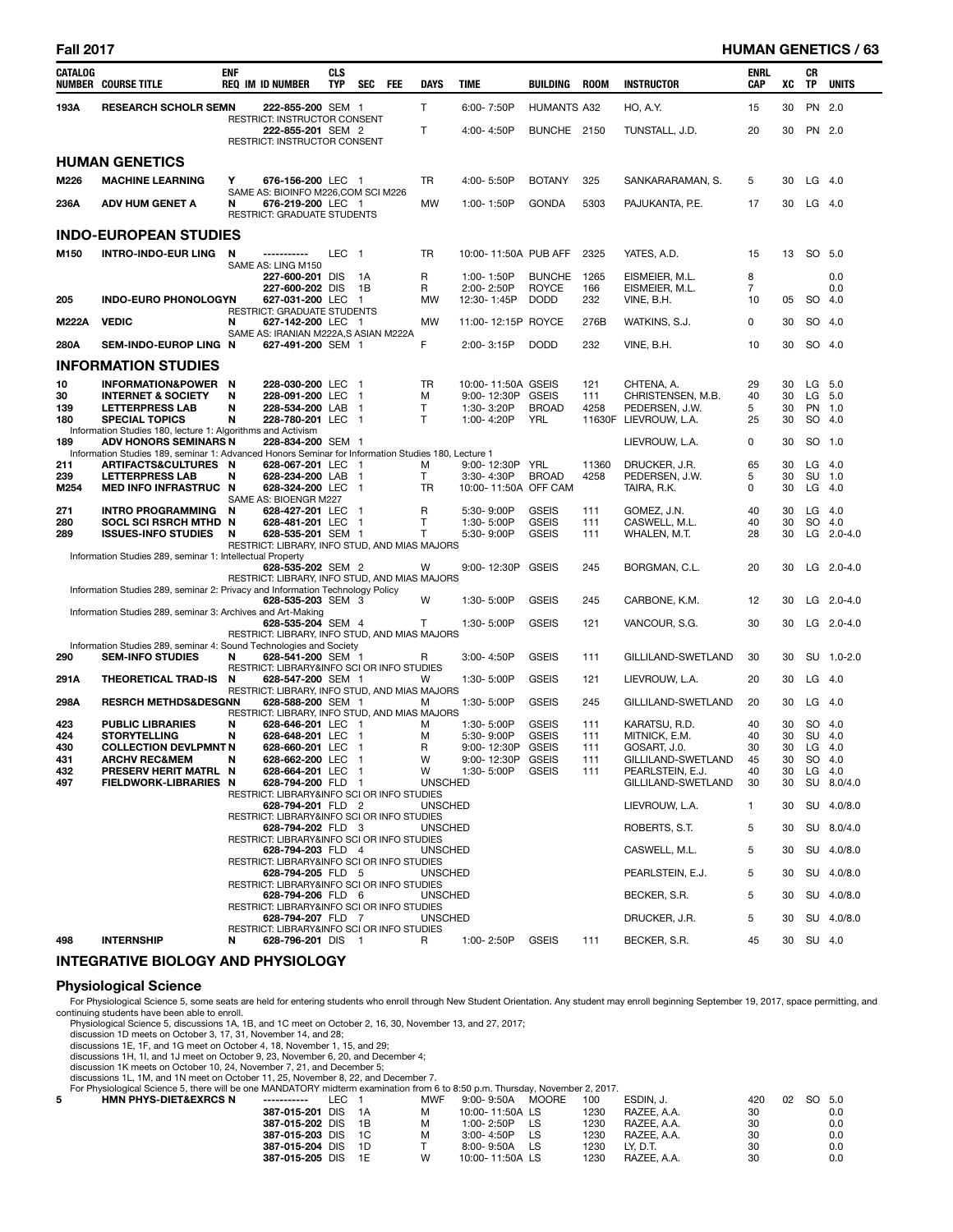### **Fall 2017 HUMAN GENETICS / 63**

| CATALOG          | <b>NUMBER COURSE TITLE</b>                                                                                                         | <b>ENF</b> | <b>REQ IM ID NUMBER</b>                                            | <b>CLS</b><br>TYP | SEC                              | <b>FEE</b> | DAYS           | <b>TIME</b>                           | <b>BUILDING</b>              | <b>ROOM</b>   | <b>INSTRUCTOR</b>                       | ENRL<br>CAP | XC       | CR<br>TP            | <b>UNITS</b> |
|------------------|------------------------------------------------------------------------------------------------------------------------------------|------------|--------------------------------------------------------------------|-------------------|----------------------------------|------------|----------------|---------------------------------------|------------------------------|---------------|-----------------------------------------|-------------|----------|---------------------|--------------|
| 193A             | <b>RESEARCH SCHOLR SEMN</b>                                                                                                        |            | 222-855-200 SEM 1                                                  |                   |                                  |            | T.             | 6:00-7:50P                            | <b>HUMANTS A32</b>           |               | HO, A.Y.                                | 15          | 30       | PN 2.0              |              |
|                  |                                                                                                                                    |            | RESTRICT: INSTRUCTOR CONSENT<br>222-855-201 SEM 2                  |                   |                                  |            | T              | 4:00-4:50P                            | BUNCHE 2150                  |               | TUNSTALL, J.D.                          | 20          | 30       | PN 2.0              |              |
|                  |                                                                                                                                    |            | RESTRICT: INSTRUCTOR CONSENT                                       |                   |                                  |            |                |                                       |                              |               |                                         |             |          |                     |              |
|                  | <b>HUMAN GENETICS</b>                                                                                                              |            |                                                                    |                   |                                  |            |                |                                       |                              |               |                                         |             |          |                     |              |
| M226             | <b>MACHINE LEARNING</b>                                                                                                            | Υ          | 676-156-200 LEC 1<br>SAME AS: BIOINFO M226, COM SCI M226           |                   |                                  |            | TR             | 4:00-5:50P                            | <b>BOTANY</b>                | 325           | SANKARARAMAN, S.                        | 5           | 30       | $LG$ 4.0            |              |
| 236A             | <b>ADV HUM GENET A</b>                                                                                                             | N          | 676-219-200 LEC 1<br><b>RESTRICT: GRADUATE STUDENTS</b>            |                   |                                  |            | MW             | 1:00-1:50P                            | <b>GONDA</b>                 | 5303          | PAJUKANTA, P.E.                         | 17          | 30       | $LG$ 4.0            |              |
|                  | <b>INDO-EUROPEAN STUDIES</b>                                                                                                       |            |                                                                    |                   |                                  |            |                |                                       |                              |               |                                         |             |          |                     |              |
| M <sub>150</sub> | <b>INTRO-INDO-EUR LING</b>                                                                                                         | N          | SAME AS: LING M150                                                 | LEC 1             |                                  |            | TR             | 10:00-11:50A PUB AFF                  |                              | 2325          | YATES, A.D.                             | 15          | 13       | SO 5.0              |              |
|                  |                                                                                                                                    |            | 227-600-201 DIS                                                    |                   | 1A                               |            | R              | 1:00-1:50P                            | <b>BUNCHE</b>                | 1265          | EISMEIER, M.L.                          | 8           |          |                     | 0.0          |
| 205              | <b>INDO-EURO PHONOLOGYN</b>                                                                                                        |            | 227-600-202 DIS<br>627-031-200 LEC                                 |                   | 1B<br>$\overline{1}$             |            | R<br>MW        | 2:00-2:50P<br>12:30-1:45P             | <b>ROYCE</b><br><b>DODD</b>  | 166<br>232    | EISMEIER, M.L.<br>VINE, B.H.            | 7<br>10     | 05       | SO 4.0              | 0.0          |
| <b>M222A</b>     | <b>VEDIC</b>                                                                                                                       | N          | RESTRICT: GRADUATE STUDENTS<br>627-142-200 LEC 1                   |                   |                                  |            | MW             | 11:00-12:15P ROYCE                    |                              | 276B          | WATKINS, S.J.                           | 0           | 30       | SO 4.0              |              |
|                  |                                                                                                                                    |            | SAME AS: IRANIAN M222A,S ASIAN M222A                               |                   |                                  |            |                |                                       |                              |               |                                         |             |          |                     |              |
| 280A             | SEM-INDO-EUROP LING N                                                                                                              |            | 627-491-200 SEM 1                                                  |                   |                                  |            | F.             | 2:00-3:15P                            | <b>DODD</b>                  | 232           | VINE, B.H.                              | 10          | 30       | SO 4.0              |              |
|                  | <b>INFORMATION STUDIES</b>                                                                                                         |            |                                                                    |                   |                                  |            |                |                                       |                              |               |                                         |             |          |                     |              |
| 10<br>30         | <b>INFORMATION&amp;POWER</b><br><b>INTERNET &amp; SOCIETY</b>                                                                      | - N<br>N   | 228-030-200 LEC<br>228-091-200 LEC                                 |                   | - 1<br>$\blacksquare$            |            | <b>TR</b><br>М | 10:00-11:50A GSEIS<br>9:00-12:30P     | <b>GSEIS</b>                 | 121<br>111    | CHTENA, A.<br>CHRISTENSEN, M.B.         | 29<br>40    | 30<br>30 | LG<br>LG            | 5.0<br>5.0   |
| 139<br>180       | <b>LETTERPRESS LAB</b><br><b>SPECIAL TOPICS</b>                                                                                    | N<br>N     | 228-534-200 LAB<br>228-780-201 LEC 1                               |                   | $\mathbf{1}$                     |            | T<br>т         | 1:30-3:20P<br>1:00-4:20P              | <b>BROAD</b><br><b>YRL</b>   | 4258          | PEDERSEN, J.W.<br>11630F LIEVROUW, L.A. | 5<br>25     | 30<br>30 | <b>PN</b><br>SO 4.0 | 1.0          |
|                  | Information Studies 180, lecture 1: Algorithms and Activism                                                                        |            |                                                                    |                   |                                  |            |                |                                       |                              |               |                                         |             |          |                     |              |
| 189              | <b>ADV HONORS SEMINARS N</b><br>Information Studies 189, seminar 1: Advanced Honors Seminar for Information Studies 180, Lecture 1 |            | 228-834-200 SEM 1                                                  |                   |                                  |            |                |                                       |                              |               | LIEVROUW, L.A.                          | 0           | 30       | SO 1.0              |              |
| 211<br>239       | ARTIFACTS&CULTURES N<br><b>LETTERPRESS LAB</b>                                                                                     | N          | 628-067-201 LEC 1<br>628-234-200 LAB 1                             |                   |                                  |            | М<br>T         | 9:00-12:30P YRL<br>3:30-4:30P         | <b>BROAD</b>                 | 11360<br>4258 | DRUCKER, J.R.<br>PEDERSEN, J.W.         | 65<br>5     | 30<br>30 | LG<br>SU 1.0        | 4.0          |
| M254             | <b>MED INFO INFRASTRUC N</b>                                                                                                       |            | 628-324-200 LEC                                                    |                   | $\blacksquare$                   |            | <b>TR</b>      | 10:00-11:50A OFF CAM                  |                              |               | TAIRA, R.K.                             | 0           | 30       | LG                  | 4.0          |
| 271              | INTRO PROGRAMMING                                                                                                                  | N          | SAME AS: BIOENGR M227<br>628-427-201 LEC                           |                   | - 1                              |            | R              | 5:30-9:00P                            | <b>GSEIS</b>                 | 111           | GOMEZ, J.N.                             | 40          | 30       | $LG$ 4.0            |              |
| 280<br>289       | SOCL SCI RSRCH MTHD N<br><b>ISSUES-INFO STUDIES</b>                                                                                | N          | 628-481-201 LEC 1<br>628-535-201 SEM 1                             |                   |                                  |            | T<br>T         | 1:30-5:00P<br>5:30-9:00P              | <b>GSEIS</b><br><b>GSEIS</b> | 111<br>111    | CASWELL, M.L.<br>WHALEN, M.T.           | 40<br>28    | 30<br>30 | SO 4.0              | $LG$ 2.0-4.0 |
|                  |                                                                                                                                    |            | RESTRICT: LIBRARY, INFO STUD, AND MIAS MAJORS                      |                   |                                  |            |                |                                       |                              |               |                                         |             |          |                     |              |
|                  | Information Studies 289, seminar 1: Intellectual Property                                                                          |            | 628-535-202 SEM 2                                                  |                   |                                  |            | w              | 9:00-12:30P GSEIS                     |                              | 245           | BORGMAN, C.L.                           | 20          | 30       |                     | $LG$ 2.0-4.0 |
|                  | Information Studies 289, seminar 2: Privacy and Information Technology Policy                                                      |            | RESTRICT: LIBRARY, INFO STUD, AND MIAS MAJORS                      |                   |                                  |            |                |                                       |                              |               |                                         |             |          |                     |              |
|                  |                                                                                                                                    |            | 628-535-203 SEM 3                                                  |                   |                                  |            | W              | 1:30-5:00P                            | <b>GSEIS</b>                 | 245           | CARBONE, K.M.                           | 12          | 30       | LG                  | $2.0 - 4.0$  |
|                  | Information Studies 289, seminar 3: Archives and Art-Making                                                                        |            | 628-535-204 SEM 4                                                  |                   |                                  |            | Τ              | 1:30-5:00P                            | <b>GSEIS</b>                 | 121           | VANCOUR, S.G.                           | 30          | 30       |                     | LG 2.0-4.0   |
|                  | Information Studies 289, seminar 4: Sound Technologies and Society                                                                 |            | RESTRICT: LIBRARY, INFO STUD, AND MIAS MAJORS                      |                   |                                  |            |                |                                       |                              |               |                                         |             |          |                     |              |
| 290              | <b>SEM-INFO STUDIES</b>                                                                                                            | N          | 628-541-200 SEM 1                                                  |                   |                                  |            | R              | 3:00-4:50P                            | <b>GSEIS</b>                 | 111           | GILLILAND-SWETLAND                      | 30          | 30       |                     | SU 1.0-2.0   |
| 291A             | THEORETICAL TRAD-IS                                                                                                                | N          | RESTRICT: LIBRARY&INFO SCI OR INFO STUDIES<br>628-547-200 SEM 1    |                   |                                  |            | w              | 1:30-5:00P                            | <b>GSEIS</b>                 | 121           | LIEVROUW, L.A.                          | 20          | 30       | LG                  | 4.0          |
| 298A             | <b>RESRCH METHDS&amp;DESGNN</b>                                                                                                    |            | RESTRICT: LIBRARY, INFO STUD, AND MIAS MAJORS<br>628-588-200 SEM 1 |                   |                                  |            | м              | 1:30-5:00P                            | <b>GSEIS</b>                 | 245           | GILLILAND-SWETLAND                      | 20          | 30       | $LG$ 4.0            |              |
| 423              |                                                                                                                                    |            | RESTRICT: LIBRARY, INFO STUD, AND MIAS MAJORS                      |                   |                                  |            |                |                                       | <b>GSEIS</b>                 | 111           |                                         | 40          | 30       | SO 4.0              |              |
| 424              | <b>PUBLIC LIBRARIES</b><br><b>STORYTELLING</b>                                                                                     | N<br>N     | 628-646-201 LEC<br>628-648-201 LEC                                 |                   | $\blacksquare$<br>$\blacksquare$ |            | M<br>M         | 1:30-5:00P<br>5:30-9:00P              | <b>GSEIS</b>                 | 111           | KARATSU, R.D.<br>MITNICK, E.M.          | 40          | 30       | SU 4.0              |              |
| 430              | <b>COLLECTION DEVLPMNT N</b>                                                                                                       |            | 628-660-201 LEC                                                    |                   | $\blacksquare$                   |            | R              | 9:00-12:30P                           | <b>GSEIS</b>                 | 111           | GOSART, J.O.                            | 30          | 30       | $LG$ 4.0            |              |
| 431<br>432       | <b>ARCHV REC&amp;MEM</b><br>PRESERV HERIT MATRL N                                                                                  | N          | 628-662-200 LEC 1<br>628-664-201 LEC 1                             |                   |                                  |            | W<br>w         | 9:00-12:30P GSEIS<br>1:30-5:00P GSEIS |                              | ווו<br>111    | GILLILAND-SWETLAND<br>PEARLSTEIN, E.J.  | 45<br>40    | 30       | SO 4.0<br>30 LG 4.0 |              |
| 497              | FIELDWORK-LIBRARIES N                                                                                                              |            | 628-794-200 FLD 1                                                  |                   |                                  |            | <b>UNSCHED</b> |                                       |                              |               | GILLILAND-SWETLAND                      | 30          | 30       |                     | SU 8.0/4.0   |
|                  |                                                                                                                                    |            | RESTRICT: LIBRARY&INFO SCI OR INFO STUDIES<br>628-794-201 FLD 2    |                   |                                  |            | <b>UNSCHED</b> |                                       |                              |               | LIEVROUW, L.A.                          | 1           | 30       |                     | SU 4.0/8.0   |
|                  |                                                                                                                                    |            | RESTRICT: LIBRARY&INFO SCI OR INFO STUDIES                         |                   |                                  |            |                |                                       |                              |               |                                         |             |          |                     | SU 8.0/4.0   |
|                  |                                                                                                                                    |            | 628-794-202 FLD 3<br>RESTRICT: LIBRARY&INFO SCI OR INFO STUDIES    |                   |                                  |            | <b>UNSCHED</b> |                                       |                              |               | ROBERTS, S.T.                           | 5           | 30       |                     |              |
|                  |                                                                                                                                    |            | 628-794-203 FLD 4<br>RESTRICT: LIBRARY&INFO SCI OR INFO STUDIES    |                   |                                  |            | <b>UNSCHED</b> |                                       |                              |               | CASWELL, M.L.                           | 5           | 30       |                     | SU 4.0/8.0   |
|                  |                                                                                                                                    |            | 628-794-205 FLD 5<br>RESTRICT: LIBRARY&INFO SCI OR INFO STUDIES    |                   |                                  |            | <b>UNSCHED</b> |                                       |                              |               | PEARLSTEIN, E.J.                        | 5           | 30       |                     | SU 4.0/8.0   |
|                  |                                                                                                                                    |            | 628-794-206 FLD 6                                                  |                   |                                  |            | <b>UNSCHED</b> |                                       |                              |               | BECKER, S.R.                            | 5           | 30       |                     | SU 4.0/8.0   |
|                  |                                                                                                                                    |            | RESTRICT: LIBRARY&INFO SCI OR INFO STUDIES<br>628-794-207 FLD 7    |                   |                                  |            | <b>UNSCHED</b> |                                       |                              |               | DRUCKER, J.R.                           | 5           | 30       |                     | SU 4.0/8.0   |
| 498              | <b>INTERNSHIP</b>                                                                                                                  | N          | RESTRICT: LIBRARY&INFO SCI OR INFO STUDIES<br>628-796-201 DIS 1    |                   |                                  |            | R              | 1:00-2:50P                            | <b>GSEIS</b>                 | 111           | BECKER, S.R.                            | 45          |          | 30 SU 4.0           |              |
|                  |                                                                                                                                    |            |                                                                    |                   |                                  |            |                |                                       |                              |               |                                         |             |          |                     |              |

## **INTEGRATIVE BIOLOGY AND PHYSIOLOGY**

### **Physiological Science**

For Physiological Science 5, some seats are held for entering students who enroll through New Student Orientation. Any student may enroll beginning September 19, 2017, space permitting, and continuing students have been able to enroll. Physiological Science 5, discussions 1A, 1B, and 1C meet on October 2, 16, 30, November 13, and 27, 2017;

discussion 1D meets on October 3, 17, 31, November 14, and 28;<br>discussions 1E, 1F, and 1G meet on October 4, 18, November 1, 15, and 29;<br>discussions 1H, 1I, and 1J meet on October 9, 23, November 6, 20, and December 4;

discussion 1K meets on October 10, 24, November 7, 21, and December 5;<br>discussions 1L, 1M, and 1N meet on October 11, 25, November 8, 22, and December 7.<br>For Physiological Science 5, there will be one MANDATORY midterm exa

| $\sim$ . The condition of the condition $\alpha$ and $\alpha$ and $\alpha$ and $\alpha$ and $\alpha$ and $\alpha$ and $\alpha$ and $\alpha$ and $\alpha$ and $\alpha$ and $\alpha$ and $\alpha$ and $\alpha$ and $\alpha$ and $\alpha$ and $\alpha$ and $\alpha$ and $\alpha$ and $\alpha$ and $\alpha$ and $\alpha$ |                    |       |     |            |                   |       |      |             |     |                 |        |     |
|----------------------------------------------------------------------------------------------------------------------------------------------------------------------------------------------------------------------------------------------------------------------------------------------------------------------|--------------------|-------|-----|------------|-------------------|-------|------|-------------|-----|-----------------|--------|-----|
| <b>HMN PHYS-DIET&amp;EXRCS N</b>                                                                                                                                                                                                                                                                                     | ------------       | LEC 1 |     | <b>MWF</b> | 9:00- 9:50A       | MOORE | 100  | ESDIN. J.   | 420 | 02 <sup>2</sup> | SO 5.0 |     |
|                                                                                                                                                                                                                                                                                                                      | 387-015-201 DIS 1A |       |     | м          | 10:00-11:50A LS   |       | 1230 | RAZEE, A.A. | 30  |                 |        | 0.0 |
|                                                                                                                                                                                                                                                                                                                      | 387-015-202 DIS 1B |       |     |            | $1:00 - 2:50P$    | LS.   | 1230 | RAZEE, A.A. | 30  |                 |        | 0.0 |
|                                                                                                                                                                                                                                                                                                                      | 387-015-203 DIS 1C |       |     |            | $3:00 - 4:50P$    |       | 1230 | RAZEE, A.A. | 30  |                 |        | 0.0 |
|                                                                                                                                                                                                                                                                                                                      | 387-015-204 DIS 1D |       |     |            | $8:00 - 9:50A$ LS |       | 1230 | LY. D.T.    | 30  |                 |        | 0.0 |
|                                                                                                                                                                                                                                                                                                                      | 387-015-205 DIS    |       | 1 F |            | 10:00-11:50A LS   |       | 1230 | RAZEE. A.A. | 30  |                 |        | 0.0 |
|                                                                                                                                                                                                                                                                                                                      |                    |       |     |            |                   |       |      |             |     |                 |        |     |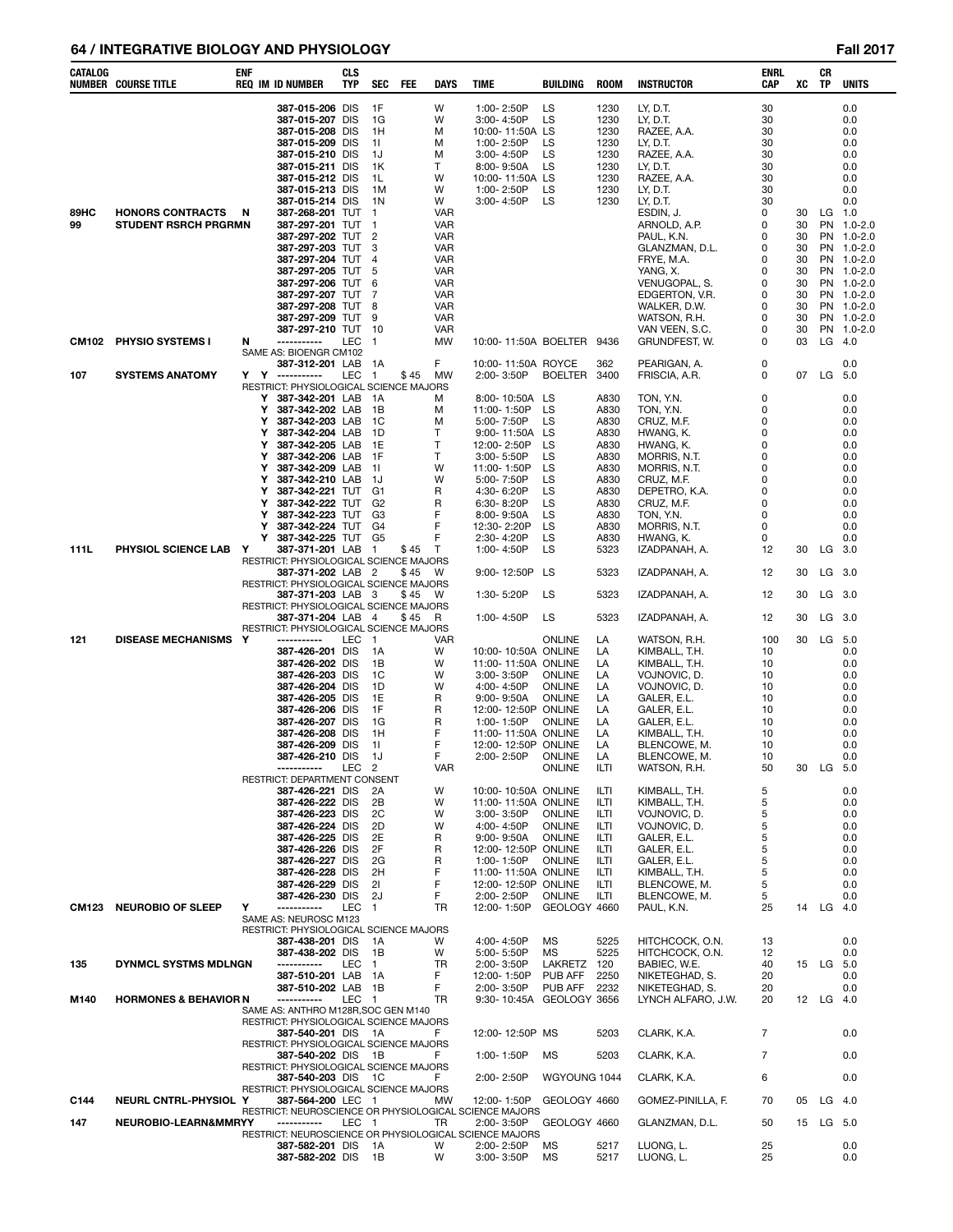### **64 / INTEGRATIVE BIOLOGY AND PHYSIOLOGY Fall 2017**

| CATALOG      | ENF<br>NUMBER COURSE TITLE       |   | <b>REQ IM ID NUMBER</b>                                                     | CLS<br>TYP | <b>SEC</b>           | FEE  | <b>DAYS</b>              | <b>TIME</b>                                | BUILDING           | <b>ROOM</b>  | <b>INSTRUCTOR</b>                | ENRL<br><b>CAP</b> | xс       | CR<br>TP  | <b>UNITS</b>             |
|--------------|----------------------------------|---|-----------------------------------------------------------------------------|------------|----------------------|------|--------------------------|--------------------------------------------|--------------------|--------------|----------------------------------|--------------------|----------|-----------|--------------------------|
|              |                                  |   | 387-015-206 DIS                                                             |            | 1F                   |      | W                        | 1:00-2:50P                                 | LS                 | 1230         | LY, D.T.                         | 30                 |          |           | 0.0                      |
|              |                                  |   | 387-015-207 DIS<br>387-015-208 DIS                                          |            | 1G<br>1H             |      | W<br>м                   | 3:00-4:50P<br>10:00-11:50A LS              | LS                 | 1230<br>1230 | LY, D.T.<br>RAZEE, A.A.          | 30<br>30           |          |           | 0.0<br>0.0               |
|              |                                  |   | 387-015-209 DIS                                                             |            | -11                  |      | м                        | 1:00-2:50P                                 | LS                 | 1230         | LY, D.T.                         | 30                 |          |           | 0.0                      |
|              |                                  |   | 387-015-210 DIS                                                             |            | 1J                   |      | м                        | 3:00-4:50P                                 | LS                 | 1230         | RAZEE, A.A.                      | 30                 |          |           | 0.0                      |
|              |                                  |   | 387-015-211 DIS                                                             |            | 1K                   |      | T                        | $8:00 - 9:50A$                             | LS                 | 1230         | LY, D.T.                         | 30                 |          |           | 0.0                      |
|              |                                  |   | 387-015-212 DIS<br>387-015-213 DIS                                          |            | 1L<br>1M             |      | W<br>W                   | 10:00-11:50A LS<br>1:00-2:50P              | LS                 | 1230<br>1230 | RAZEE, A.A.<br>LY, D.T.          | 30<br>30           |          |           | 0.0<br>0.0               |
|              |                                  |   | 387-015-214 DIS                                                             |            | 1N                   |      | W                        | 3:00-4:50P                                 | LS                 | 1230         | LY, D.T.                         | 30                 |          |           | 0.0                      |
| 89HC         | <b>HONORS CONTRACTS</b><br>-N    |   | 387-268-201 TUT                                                             |            | $\overline{1}$       |      | <b>VAR</b>               |                                            |                    |              | ESDIN, J.                        | 0                  | 30       | $LG$ 1.0  |                          |
| 99           | <b>STUDENT RSRCH PRGRMN</b>      |   | 387-297-201 TUT                                                             |            | $\overline{1}$       |      | VAR                      |                                            |                    |              | ARNOLD, A.P.                     | 0                  | 30       |           | PN 1.0-2.0               |
|              |                                  |   | 387-297-202 TUT<br>387-297-203 TUT                                          |            | $\overline{2}$<br>3  |      | <b>VAR</b><br><b>VAR</b> |                                            |                    |              | PAUL, K.N.<br>GLANZMAN, D.L.     | 0<br>0             | 30<br>30 |           | PN 1.0-2.0<br>PN 1.0-2.0 |
|              |                                  |   | 387-297-204 TUT                                                             |            | 4                    |      | <b>VAR</b>               |                                            |                    |              | FRYE, M.A.                       | 0                  | 30       |           | PN 1.0-2.0               |
|              |                                  |   | 387-297-205 TUT                                                             |            | 5                    |      | <b>VAR</b>               |                                            |                    |              | YANG, X.                         | 0                  | 30       |           | PN 1.0-2.0               |
|              |                                  |   | 387-297-206 TUT<br>387-297-207 TUT                                          |            | 6<br>7               |      | <b>VAR</b><br><b>VAR</b> |                                            |                    |              | VENUGOPAL, S.<br>EDGERTON, V.R.  | 0<br>0             | 30<br>30 |           | PN 1.0-2.0<br>PN 1.0-2.0 |
|              |                                  |   | 387-297-208 TUT                                                             |            | 8                    |      | VAR                      |                                            |                    |              | WALKER, D.W.                     | 0                  | 30       |           | PN 1.0-2.0               |
|              |                                  |   | 387-297-209 TUT                                                             |            | 9                    |      | <b>VAR</b>               |                                            |                    |              | WATSON, R.H.                     | 0                  | 30       |           | PN 1.0-2.0               |
|              |                                  |   | 387-297-210 TUT                                                             |            | -10                  |      | VAR                      |                                            |                    |              | VAN VEEN, S.C.                   | 0                  | 30       |           | PN 1.0-2.0               |
| CM102        | PHYSIO SYSTEMS I                 | N | -----------<br>SAME AS: BIOENGR CM102                                       | LEC        | $\overline{1}$       |      | <b>MW</b>                | 10:00-11:50A BOELTER 9436                  |                    |              | GRUNDFEST, W.                    | $\Omega$           | 03       | $LG$ 4.0  |                          |
|              |                                  |   | 387-312-201 LAB                                                             |            | 1A                   |      | F                        | 10:00-11:50A ROYCE                         |                    | 362          | PEARIGAN, A.                     | 0                  |          |           | 0.0                      |
| 107          | <b>SYSTEMS ANATOMY</b>           | Y | Y<br>------------                                                           | LEC        | $\overline{1}$       | \$45 | MW                       | 2:00-3:50P                                 | BOELTER            | 3400         | FRISCIA, A.R.                    | 0                  | 07       | LG        | 5.0                      |
|              |                                  |   | RESTRICT: PHYSIOLOGICAL SCIENCE MAJORS<br>387-342-201 LAB<br>Y              |            | - 1 A                |      | м                        | 8:00-10:50A                                | LS                 | A830         | TON, Y.N.                        | 0                  |          |           | 0.0                      |
|              |                                  |   | 387-342-202 LAB<br>Y                                                        |            | 1B                   |      | М                        | 11:00-1:50P                                | LS                 | A830         | TON, Y.N.                        | 0                  |          |           | 0.0                      |
|              |                                  |   | 387-342-203 LAB<br>Y                                                        |            | 1C                   |      | M                        | 5:00-7:50P                                 | LS                 | A830         | CRUZ, M.F.                       | 0                  |          |           | 0.0                      |
|              |                                  |   | 387-342-204 LAB<br>Y<br>387-342-205 LAB<br>Y                                |            | 1D<br>1E             |      | т<br>т                   | 9:00-11:50A<br>12:00-2:50P                 | LS<br>LS           | A830<br>A830 | HWANG, K.<br>HWANG, K.           | 0<br>0             |          |           | 0.0<br>0.0               |
|              |                                  |   | 387-342-206 LAB<br>Y                                                        |            | 1F                   |      | т                        | 3:00-5:50P                                 | LS                 | A830         | MORRIS, N.T.                     | 0                  |          |           | 0.0                      |
|              |                                  |   | 387-342-209 LAB<br>Y                                                        |            | - 11                 |      | W                        | 11:00-1:50P                                | LS                 | A830         | MORRIS, N.T.                     | 0                  |          |           | 0.0                      |
|              |                                  |   | 387-342-210 LAB<br>Y<br>387-342-221 TUT<br>Y                                |            | - 1J<br>G1           |      | W<br>R                   | 5:00-7:50P<br>4:30-6:20P                   | LS<br>LS           | A830<br>A830 | CRUZ, M.F.<br>DEPETRO, K.A.      | 0<br>0             |          |           | 0.0<br>0.0               |
|              |                                  |   | 387-342-222 TUT<br>Y                                                        |            | G <sub>2</sub>       |      | R                        | 6:30-8:20P                                 | LS                 | A830         | CRUZ, M.F.                       | 0                  |          |           | 0.0                      |
|              |                                  |   | 387-342-223 TUT<br>Y                                                        |            | G3                   |      | F                        | $8:00 - 9:50A$                             | LS                 | A830         | TON, Y.N.                        | 0                  |          |           | 0.0                      |
|              |                                  |   | Υ<br>387-342-224 TUT G4<br>Y<br>387-342-225 TUT G5                          |            |                      |      | F<br>F                   | 12:30-2:20P<br>2:30-4:20P                  | LS<br>LS           | A830<br>A830 | MORRIS, N.T.<br>HWANG, K.        | 0<br>0             |          |           | 0.0<br>0.0               |
| 111L         | PHYSIOL SCIENCE LAB<br>Y         |   | 387-371-201 LAB                                                             |            | $\overline{1}$       | \$45 | T                        | 1:00-4:50P                                 | LS                 | 5323         | IZADPANAH, A.                    | 12                 | 30       | $LG$ 3.0  |                          |
|              |                                  |   | RESTRICT: PHYSIOLOGICAL SCIENCE MAJORS                                      |            |                      |      |                          |                                            |                    |              |                                  |                    |          |           |                          |
|              |                                  |   | 387-371-202 LAB 2<br>RESTRICT: PHYSIOLOGICAL SCIENCE MAJORS                 |            |                      | \$45 | W                        | 9:00-12:50P                                | LS                 | 5323         | IZADPANAH, A.                    | 12                 | 30       | LG 3.0    |                          |
|              |                                  |   | 387-371-203 LAB                                                             |            | - 3                  | \$45 | W                        | 1:30-5:20P                                 | LS                 | 5323         | IZADPANAH, A.                    | 12                 | 30       | $LG$ 3.0  |                          |
|              |                                  |   | RESTRICT: PHYSIOLOGICAL SCIENCE MAJORS<br>387-371-204 LAB 4                 |            |                      |      |                          |                                            | LS                 | 5323         |                                  | 12                 | 30       |           |                          |
|              |                                  |   | RESTRICT: PHYSIOLOGICAL SCIENCE MAJORS                                      |            |                      | \$45 | R                        | 1:00-4:50P                                 |                    |              | IZADPANAH, A.                    |                    |          | $LG$ 3.0  |                          |
| 121          | <b>DISEASE MECHANISMS Y</b>      |   | -----------                                                                 | LEC        | $\overline{1}$       |      | VAR                      |                                            | ONLINE             | LA           | WATSON, R.H.                     | 100                | 30       | LG 5.0    |                          |
|              |                                  |   | 387-426-201 DIS                                                             |            | 1A                   |      | W<br>W                   | 10:00-10:50A ONLINE                        |                    | LA           | KIMBALL, T.H.                    | 10                 |          |           | 0.0<br>0.0               |
|              |                                  |   | 387-426-202 DIS<br>387-426-203 DIS                                          |            | 1B<br>1C             |      | W                        | 11:00-11:50A ONLINE<br>3:00-3:50P          | <b>ONLINE</b>      | LA<br>LA     | KIMBALL, T.H.<br>VOJNOVIC, D.    | 10<br>10           |          |           | 0.0                      |
|              |                                  |   | 387-426-204 DIS                                                             |            | 1D                   |      | w                        | 4:00-4:50P                                 | ONLINE             | LA           | VOJNOVIC, D.                     | 10                 |          |           | 0.0                      |
|              |                                  |   | 387-426-205 DIS                                                             |            | 1E                   |      | R                        | $9:00 - 9:50A$                             | ONLINE             | LA           | GALER, E.L.                      | 10                 |          |           | 0.0                      |
|              |                                  |   | 387-426-206 DIS<br>387-426-207 DIS                                          |            | 1F<br>1G             |      | R<br>R                   | 12:00-12:50P ONLINE<br>1:00-1:50P          | ONLINE             | LA<br>LA     | GALER, E.L.<br>GALER, E.L.       | 10<br>10           |          |           | 0.0<br>0.0               |
|              |                                  |   | 387-426-208 DIS                                                             |            | 1H                   |      | F                        | 11:00-11:50A ONLINE                        |                    | LA           | KIMBALL, T.H.                    | 10                 |          |           | 0.0                      |
|              |                                  |   | 387-426-209 DIS                                                             |            | -11                  |      | F<br>F                   | 12:00-12:50P ONLINE                        |                    | LA<br>LA     | BLENCOWE, M.                     | 10                 |          |           | 0.0                      |
|              |                                  |   | 387-426-210 DIS<br>-----------                                              | LEC        | 1J<br>$\overline{c}$ |      | VAR                      | 2:00-2:50P                                 | ONLINE<br>ONLINE   | ILTI         | BLENCOWE, M.<br>WATSON, R.H.     | 10<br>50           | 30       | LG        | 0.0<br>5.0               |
|              |                                  |   | RESTRICT: DEPARTMENT CONSENT                                                |            |                      |      |                          |                                            |                    |              |                                  |                    |          |           |                          |
|              |                                  |   | 387-426-221 DIS<br>387-426-222 DIS                                          |            | 2A<br>2Β             |      | W<br>W                   | 10:00-10:50A ONLINE<br>11:00-11:50A ONLINE |                    | ILTI<br>ILTI | KIMBALL, T.H.<br>KIMBALL, T.H.   | 5<br>5             |          |           | 0.0<br>0.0               |
|              |                                  |   | 387-426-223 DIS                                                             |            | 2C                   |      | W                        | $3:00 - 3:50P$                             | <b>ONLINE</b>      | ILTI         | VOJNOVIC, D.                     | 5                  |          |           | 0.0                      |
|              |                                  |   | 387-426-224 DIS                                                             |            | 2D                   |      | W                        | 4:00-4:50P                                 | ONLINE             | ILTI         | VOJNOVIC, D.                     | 5                  |          |           | 0.0                      |
|              |                                  |   | 387-426-225 DIS<br>387-426-226 DIS                                          |            | 2E<br>2F             |      | R<br>R                   | $9:00 - 9:50A$<br>12:00-12:50P ONLINE      | <b>ONLINE</b>      | ILTI<br>ILTI | GALER, E.L.<br>GALER, E.L.       | 5<br>5             |          |           | 0.0<br>0.0               |
|              |                                  |   | 387-426-227 DIS                                                             |            | 2G                   |      | R                        | 1:00-1:50P                                 | <b>ONLINE</b>      | ILTI         | GALER, E.L.                      | 5                  |          |           | 0.0                      |
|              |                                  |   | 387-426-228 DIS                                                             |            | 2H                   |      | F                        | 11:00-11:50A ONLINE                        |                    | ILTI         | KIMBALL, T.H.                    | 5                  |          |           | 0.0                      |
|              |                                  |   | 387-426-229 DIS<br>387-426-230 DIS                                          |            | 21<br>2J             |      | F<br>F                   | 12:00-12:50P ONLINE<br>2:00-2:50P          | <b>ONLINE</b>      | ILTI<br>ILTI | BLENCOWE, M.<br>BLENCOWE, M.     | 5<br>5             |          |           | 0.0<br>0.0               |
| <b>CM123</b> | <b>NEUROBIO OF SLEEP</b><br>Y    |   | ------------                                                                | <b>LEC</b> | $\overline{1}$       |      | <b>TR</b>                | 12:00-1:50P                                | GEOLOGY 4660       |              | PAUL, K.N.                       | 25                 | 14       | $LG$ 4.0  |                          |
|              |                                  |   | SAME AS: NEUROSC M123                                                       |            |                      |      |                          |                                            |                    |              |                                  |                    |          |           |                          |
|              |                                  |   | RESTRICT: PHYSIOLOGICAL SCIENCE MAJORS<br>387-438-201 DIS                   |            | 1A                   |      | W                        | 4:00-4:50P                                 | <b>MS</b>          | 5225         | HITCHCOCK, O.N.                  | 13                 |          |           | 0.0                      |
|              |                                  |   | 387-438-202 DIS                                                             |            | 1B                   |      | W                        | 5:00-5:50P                                 | MS                 | 5225         | HITCHCOCK, O.N.                  | 12                 |          |           | 0.0                      |
| 135          | DYNMCL SYSTMS MDLNGN             |   | -----------                                                                 | LEC        | $\overline{1}$       |      | TR                       | 2:00-3:50P                                 | LAKRETZ            | 120          | BABIEC, W.E.                     | 40                 |          | 15 LG 5.0 |                          |
|              |                                  |   | 387-510-201 LAB 1A<br>387-510-202 LAB 1B                                    |            |                      |      | F<br>F                   | 12:00-1:50P<br>2:00-3:50P                  | PUB AFF<br>PUB AFF | 2250<br>2232 | NIKETEGHAD, S.<br>NIKETEGHAD, S. | 20<br>20           |          |           | 0.0<br>0.0               |
| M140         | <b>HORMONES &amp; BEHAVIOR N</b> |   | -----------                                                                 | LEC 1      |                      |      | TR                       | 9:30-10:45A GEOLOGY 3656                   |                    |              | LYNCH ALFARO, J.W.               | 20                 |          | 12 LG 4.0 |                          |
|              |                                  |   | SAME AS: ANTHRO M128R, SOC GEN M140                                         |            |                      |      |                          |                                            |                    |              |                                  |                    |          |           |                          |
|              |                                  |   | RESTRICT: PHYSIOLOGICAL SCIENCE MAJORS<br>387-540-201 DIS 1A                |            |                      |      | F                        | 12:00-12:50P MS                            |                    | 5203         | CLARK, K.A.                      | 7                  |          |           | 0.0                      |
|              |                                  |   | RESTRICT: PHYSIOLOGICAL SCIENCE MAJORS                                      |            |                      |      |                          |                                            |                    |              |                                  |                    |          |           |                          |
|              |                                  |   | 387-540-202 DIS 1B                                                          |            |                      |      | F                        | 1:00-1:50P                                 | МS                 | 5203         | CLARK, K.A.                      | 7                  |          |           | 0.0                      |
|              |                                  |   | RESTRICT: PHYSIOLOGICAL SCIENCE MAJORS<br>387-540-203 DIS 1C                |            |                      |      | F                        | 2:00-2:50P                                 | WGYOUNG 1044       |              | CLARK, K.A.                      | 6                  |          |           | 0.0                      |
|              |                                  |   | RESTRICT: PHYSIOLOGICAL SCIENCE MAJORS                                      |            |                      |      |                          |                                            |                    |              |                                  |                    |          |           |                          |
| C144         | NEURL CNTRL-PHYSIOL Y            |   | 387-564-200 LEC 1<br>RESTRICT: NEUROSCIENCE OR PHYSIOLOGICAL SCIENCE MAJORS |            |                      |      | MW                       | 12:00-1:50P                                | GEOLOGY 4660       |              | GOMEZ-PINILLA, F.                | 70                 | 05       | $LG$ 4.0  |                          |
| 147          | NEUROBIO-LEARN&MMRYY             |   | -----------                                                                 | LEC 1      |                      |      | TR                       | 2:00-3:50P                                 | GEOLOGY 4660       |              | GLANZMAN, D.L.                   | 50                 |          | 15 LG 5.0 |                          |
|              |                                  |   | RESTRICT: NEUROSCIENCE OR PHYSIOLOGICAL SCIENCE MAJORS                      |            |                      |      | W                        |                                            |                    | 5217         |                                  | 25                 |          |           | 0.0                      |
|              |                                  |   | 387-582-201 DIS<br>387-582-202 DIS                                          |            | 1A<br>- 1B           |      | W                        | 2:00-2:50P<br>3:00-3:50P                   | МS<br>МS           | 5217         | LUONG, L.<br>LUONG, L.           | 25                 |          |           | 0.0                      |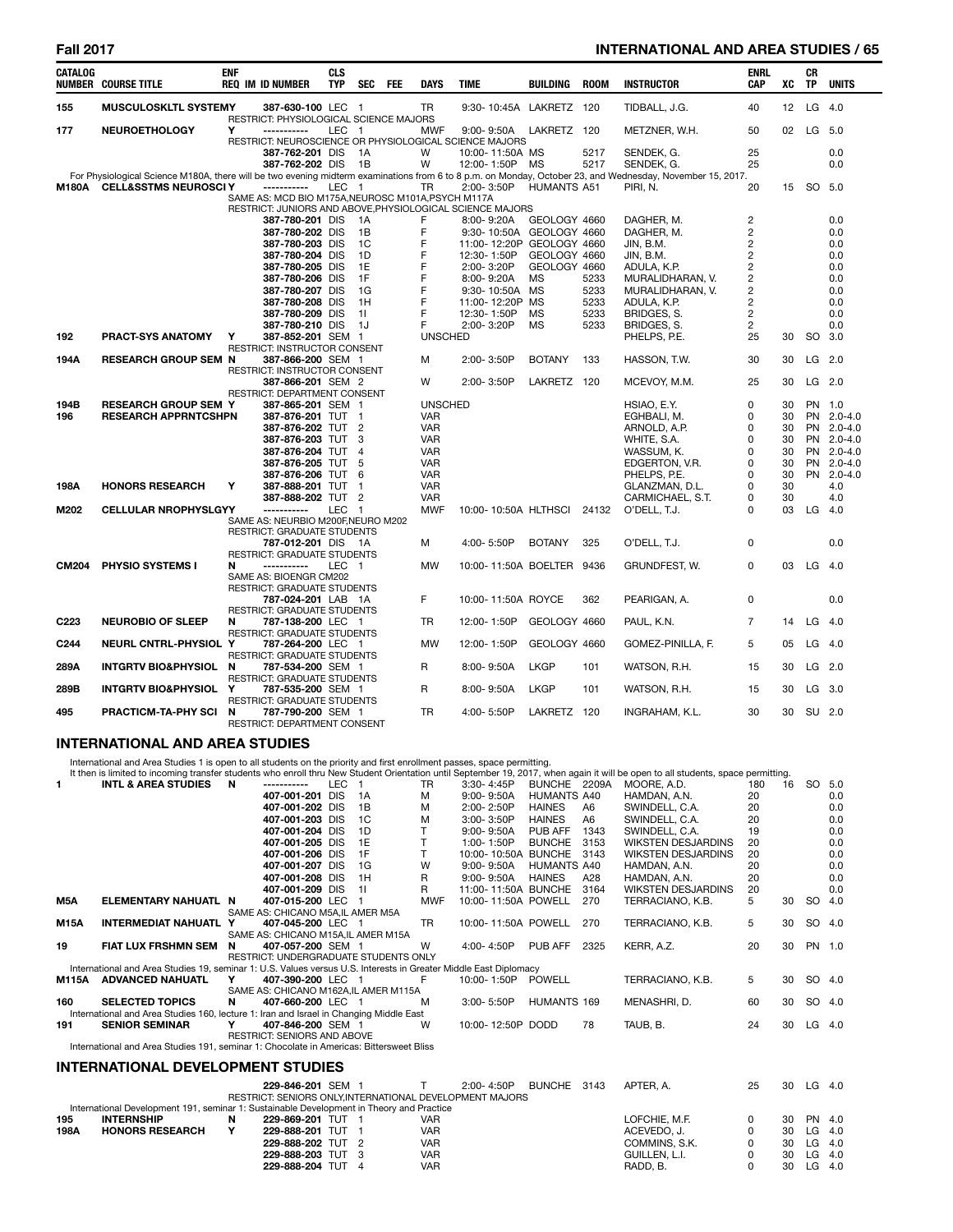# **Fall 2017 INTERNATIONAL AND AREA STUDIES / 65**

| <b>CATALOG</b>   | <b>NUMBER COURSE TITLE</b>       | <b>ENF</b> | <b>REQ IM ID NUMBER</b>                                                  | <b>CLS</b><br><b>TYP</b> | <b>SEC</b>     | FEE | DAYS           | <b>TIME</b>               | <b>BUILDING</b>    | <b>ROOM</b> | <b>INSTRUCTOR</b>                                                                                                                                                       | <b>ENRL</b><br>CAP | хc | СR<br><b>TP</b> | <b>UNITS</b> |
|------------------|----------------------------------|------------|--------------------------------------------------------------------------|--------------------------|----------------|-----|----------------|---------------------------|--------------------|-------------|-------------------------------------------------------------------------------------------------------------------------------------------------------------------------|--------------------|----|-----------------|--------------|
| 155              | <b>MUSCULOSKLTL SYSTEMY</b>      |            | 387-630-100 LEC 1<br>RESTRICT: PHYSIOLOGICAL SCIENCE MAJORS              |                          |                |     | <b>TR</b>      | 9:30-10:45A LAKRETZ 120   |                    |             | TIDBALL, J.G.                                                                                                                                                           | 40                 | 12 |                 | LG 4.0       |
| 177              | <b>NEUROETHOLOGY</b>             | Y          | -----------                                                              | LEC 1                    |                |     | <b>MWF</b>     | $9:00 - 9:50A$            | LAKRETZ 120        |             | METZNER, W.H.                                                                                                                                                           | 50                 | 02 |                 | LG 5.0       |
|                  |                                  |            | RESTRICT: NEUROSCIENCE OR PHYSIOLOGICAL SCIENCE MAJORS                   |                          |                |     |                |                           |                    |             |                                                                                                                                                                         |                    |    |                 |              |
|                  |                                  |            | 387-762-201 DIS                                                          |                          | 1A             |     | W              | 10:00-11:50A MS           |                    | 5217        | SENDEK, G.                                                                                                                                                              | 25                 |    |                 | 0.0          |
|                  |                                  |            | 387-762-202 DIS                                                          |                          | 1B             |     | W              | 12:00-1:50P               | MS                 | 5217        | SENDEK, G.<br>For Physiological Science M180A, there will be two evening midterm examinations from 6 to 8 p.m. on Monday, October 23, and Wednesday, November 15, 2017. | 25                 |    |                 | 0.0          |
| <b>M180A</b>     | <b>CELL&amp;SSTMS NEUROSCI Y</b> |            | ------------                                                             | LEC.                     | - 1            |     | <b>TR</b>      | 2:00-3:50P                | <b>HUMANTS A51</b> |             | PIRI. N.                                                                                                                                                                | 20                 | 15 |                 | SO 5.0       |
|                  |                                  |            | SAME AS: MCD BIO M175A, NEUROSC M101A, PSYCH M117A                       |                          |                |     |                |                           |                    |             |                                                                                                                                                                         |                    |    |                 |              |
|                  |                                  |            | RESTRICT: JUNIORS AND ABOVE.PHYSIOLOGICAL SCIENCE MAJORS                 |                          |                |     |                |                           |                    |             |                                                                                                                                                                         |                    |    |                 |              |
|                  |                                  |            | 387-780-201 DIS                                                          |                          | 1A             |     | F              | 8:00-9:20A                | GEOLOGY 4660       |             | DAGHER, M.                                                                                                                                                              | $\overline{c}$     |    |                 | 0.0          |
|                  |                                  |            | 387-780-202 DIS                                                          |                          | 1B             |     | F              | 9:30-10:50A GEOLOGY 4660  |                    |             | DAGHER, M.                                                                                                                                                              | $\overline{c}$     |    |                 | 0.0          |
|                  |                                  |            | 387-780-203 DIS                                                          |                          | 1C             |     | F              | 11:00-12:20P GEOLOGY 4660 |                    |             | JIN, B.M.                                                                                                                                                               | $\overline{c}$     |    |                 | 0.0          |
|                  |                                  |            | 387-780-204 DIS                                                          |                          | 1D             |     | F              | 12:30-1:50P               | GEOLOGY 4660       |             | JIN, B.M.                                                                                                                                                               | 2                  |    |                 | 0.0          |
|                  |                                  |            | 387-780-205 DIS                                                          |                          | 1E             |     | F              | 2:00-3:20P                | GEOLOGY 4660       |             | ADULA, K.P.                                                                                                                                                             | $\overline{c}$     |    |                 | 0.0          |
|                  |                                  |            | 387-780-206 DIS                                                          |                          | 1F             |     | F              | 8:00-9:20A                | <b>MS</b>          | 5233        | MURALIDHARAN, V.                                                                                                                                                        | $\overline{2}$     |    |                 | 0.0          |
|                  |                                  |            | 387-780-207 DIS                                                          |                          | 1G             |     | F              | 9:30-10:50A MS            |                    | 5233        | MURALIDHARAN, V.                                                                                                                                                        | $\overline{c}$     |    |                 | 0.0          |
|                  |                                  |            | 387-780-208 DIS                                                          |                          | 1H             |     | F              | 11:00-12:20P              | MS                 | 5233        | ADULA, K.P.                                                                                                                                                             | 2                  |    |                 | 0.0          |
|                  |                                  |            | 387-780-209 DIS                                                          |                          | 11             |     | F              | 12:30-1:50P               | <b>MS</b>          | 5233        | BRIDGES, S.                                                                                                                                                             | 2                  |    |                 | 0.0          |
|                  |                                  |            | 387-780-210 DIS                                                          |                          | 1J             |     | F              | 2:00-3:20P                | <b>MS</b>          | 5233        | BRIDGES, S.                                                                                                                                                             | 2                  |    |                 | 0.0          |
| 192              | PRACT-SYS ANATOMY                | Y          | 387-852-201 SEM 1                                                        |                          |                |     | <b>UNSCHED</b> |                           |                    |             | PHELPS, P.E.                                                                                                                                                            | 25                 | 30 |                 | SO 3.0       |
| 194A             | <b>RESEARCH GROUP SEM N</b>      |            | RESTRICT: INSTRUCTOR CONSENT<br>387-866-200 SEM 1                        |                          |                |     | м              | 2:00-3:50P                | <b>BOTANY</b>      | 133         | HASSON, T.W.                                                                                                                                                            | 30                 | 30 |                 | LG 2.0       |
|                  |                                  |            | RESTRICT: INSTRUCTOR CONSENT                                             |                          |                |     |                |                           |                    |             |                                                                                                                                                                         |                    |    |                 |              |
|                  |                                  |            | 387-866-201 SEM 2                                                        |                          |                |     | W              | 2:00-3:50P                | LAKRETZ 120        |             | MCEVOY, M.M.                                                                                                                                                            | 25                 | 30 |                 | LG 2.0       |
|                  |                                  |            | RESTRICT: DEPARTMENT CONSENT                                             |                          |                |     |                |                           |                    |             |                                                                                                                                                                         |                    |    |                 |              |
| 194B             | <b>RESEARCH GROUP SEM Y</b>      |            | 387-865-201 SEM 1                                                        |                          |                |     | <b>UNSCHED</b> |                           |                    |             | HSIAO, E.Y.                                                                                                                                                             | 0                  | 30 |                 | PN 1.0       |
| 196              | <b>RESEARCH APPRNTCSHPN</b>      |            | 387-876-201 TUT                                                          |                          | $\mathbf{1}$   |     | <b>VAR</b>     |                           |                    |             | EGHBALI, M.                                                                                                                                                             | 0                  | 30 |                 | PN 2.0-4.0   |
|                  |                                  |            | 387-876-202 TUT 2                                                        |                          |                |     | <b>VAR</b>     |                           |                    |             | ARNOLD, A.P.                                                                                                                                                            | 0                  | 30 |                 | PN 2.0-4.0   |
|                  |                                  |            | 387-876-203 TUT                                                          |                          | 3              |     | <b>VAR</b>     |                           |                    |             | WHITE, S.A.                                                                                                                                                             | 0                  | 30 |                 | PN 2.0-4.0   |
|                  |                                  |            | 387-876-204 TUT                                                          |                          | $\overline{4}$ |     | <b>VAR</b>     |                           |                    |             | WASSUM, K.                                                                                                                                                              | 0                  | 30 |                 | PN 2.0-4.0   |
|                  |                                  |            | 387-876-205 TUT                                                          |                          | 5              |     | <b>VAR</b>     |                           |                    |             | EDGERTON, V.R.                                                                                                                                                          | 0                  | 30 |                 | PN 2.0-4.0   |
|                  |                                  |            | 387-876-206 TUT                                                          |                          | 6              |     | <b>VAR</b>     |                           |                    |             | PHELPS, P.E.                                                                                                                                                            | 0                  | 30 |                 | PN 2.0-4.0   |
| 198A             | <b>HONORS RESEARCH</b>           | Y          | 387-888-201 TUT                                                          |                          | $\mathbf{1}$   |     | <b>VAR</b>     |                           |                    |             | GLANZMAN, D.L.                                                                                                                                                          | 0                  | 30 |                 | 4.0          |
|                  |                                  |            | 387-888-202 TUT                                                          |                          | $\overline{2}$ |     | <b>VAR</b>     |                           |                    |             | CARMICHAEL, S.T.                                                                                                                                                        | 0                  | 30 |                 | 4.0          |
| M202             | <b>CELLULAR NROPHYSLGYY</b>      |            | -----------                                                              | <b>LEC</b>               | $\mathbf{1}$   |     | <b>MWF</b>     | 10:00-10:50A HLTHSCI      |                    | 24132       | O'DELL, T.J.                                                                                                                                                            | 0                  | 03 |                 | LG 4.0       |
|                  |                                  |            | SAME AS: NEURBIO M200F, NEURO M202<br><b>RESTRICT: GRADUATE STUDENTS</b> |                          |                |     |                |                           |                    |             |                                                                                                                                                                         |                    |    |                 |              |
|                  |                                  |            | 787-012-201 DIS 1A                                                       |                          |                |     | M              | 4:00-5:50P                | <b>BOTANY</b>      | 325         | O'DELL, T.J.                                                                                                                                                            | 0                  |    |                 | 0.0          |
|                  |                                  |            | <b>RESTRICT: GRADUATE STUDENTS</b>                                       |                          |                |     |                |                           |                    |             |                                                                                                                                                                         | 0                  |    |                 |              |
| <b>CM204</b>     | PHYSIO SYSTEMS I                 | N          | -----------                                                              | LEC                      | -1             |     | <b>MW</b>      | 10:00-11:50A BOELTER 9436 |                    |             | GRUNDFEST, W.                                                                                                                                                           |                    | 03 |                 | $LG$ 4.0     |
|                  |                                  |            | SAME AS: BIOENGR CM202<br><b>RESTRICT: GRADUATE STUDENTS</b>             |                          |                |     |                |                           |                    |             |                                                                                                                                                                         |                    |    |                 |              |
|                  |                                  |            | 787-024-201 LAB 1A                                                       |                          |                |     | F              | 10:00-11:50A ROYCE        |                    | 362         | PEARIGAN, A.                                                                                                                                                            | 0                  |    |                 | 0.0          |
|                  |                                  |            | <b>RESTRICT: GRADUATE STUDENTS</b>                                       |                          |                |     |                |                           |                    |             |                                                                                                                                                                         |                    |    |                 |              |
| C <sub>223</sub> | <b>NEUROBIO OF SLEEP</b>         | N          | 787-138-200 LEC 1                                                        |                          |                |     | <b>TR</b>      | 12:00-1:50P               | GEOLOGY 4660       |             | PAUL, K.N.                                                                                                                                                              | $\overline{7}$     | 14 |                 | $LG$ 4.0     |
|                  |                                  |            | <b>RESTRICT: GRADUATE STUDENTS</b>                                       |                          |                |     |                |                           |                    |             |                                                                                                                                                                         |                    |    |                 |              |
| C <sub>244</sub> | NEURL CNTRL-PHYSIOL Y            |            | 787-264-200 LEC 1                                                        |                          |                |     | <b>MW</b>      | 12:00-1:50P               | GEOLOGY 4660       |             | GOMEZ-PINILLA, F.                                                                                                                                                       | 5                  | 05 |                 | $LG$ 4.0     |
|                  |                                  |            | <b>RESTRICT: GRADUATE STUDENTS</b>                                       |                          |                |     |                |                           |                    |             |                                                                                                                                                                         |                    |    |                 |              |
| 289A             | <b>INTGRTV BIO&amp;PHYSIOL N</b> |            | 787-534-200 SEM 1                                                        |                          |                |     | R              | 8:00-9:50A                | <b>LKGP</b>        | 101         | WATSON, R.H.                                                                                                                                                            | 15                 | 30 |                 | $LG$ 2.0     |
|                  |                                  |            | <b>RESTRICT: GRADUATE STUDENTS</b>                                       |                          |                |     |                |                           |                    |             |                                                                                                                                                                         |                    |    |                 |              |
| 289B             | <b>INTGRTV BIO&amp;PHYSIOL Y</b> |            | 787-535-200 SEM 1                                                        |                          |                |     | R              | 8:00-9:50A                | <b>LKGP</b>        | 101         | WATSON, R.H.                                                                                                                                                            | 15                 | 30 |                 | $LG$ 3.0     |
|                  |                                  |            | RESTRICT: GRADUATE STUDENTS                                              |                          |                |     |                |                           |                    |             |                                                                                                                                                                         |                    |    |                 |              |
| 495              | PRACTICM-TA-PHY SCI              | N          | 787-790-200 SEM 1<br>RESTRICT: DEPARTMENT CONSENT                        |                          |                |     | <b>TR</b>      | 4:00-5:50P                | LAKRETZ 120        |             | INGRAHAM, K.L.                                                                                                                                                          | 30                 | 30 |                 | SU 2.0       |

## **INTERNATIONAL AND AREA STUDIES**

International and Area Studies 1 is open to all students on the priority and first enrollment passes, space permitting.

|             | It then is limited to incoming transfer students who enroll thru New Student Orientation until September 19, 2017, when again it will be open to all students, space permitting. |   |                                                            |      |    |            |                                                         |                    |      |                           |          |    |          |     |
|-------------|----------------------------------------------------------------------------------------------------------------------------------------------------------------------------------|---|------------------------------------------------------------|------|----|------------|---------------------------------------------------------|--------------------|------|---------------------------|----------|----|----------|-----|
| 1           | <b>INTL &amp; AREA STUDIES</b>                                                                                                                                                   | N | -----------                                                | LEC. |    | TR.        | $3:30 - 4:45P$                                          | BUNCHE 2209A       |      | MOORE. A.D.               | 180      | 16 | SO 5.0   |     |
|             |                                                                                                                                                                                  |   | 407-001-201 DIS                                            |      | 1A | м          | $9:00 - 9:50A$                                          | <b>HUMANTS A40</b> |      | HAMDAN, A.N.              | 20       |    |          | 0.0 |
|             |                                                                                                                                                                                  |   | 407-001-202 DIS                                            |      | 1B | M          | 2:00-2:50P                                              | <b>HAINES</b>      | A6   | SWINDELL, C.A.            | 20       |    |          | 0.0 |
|             |                                                                                                                                                                                  |   | 407-001-203 DIS                                            |      | 1C | M          | 3:00-3:50P                                              | <b>HAINES</b>      | A6   | SWINDELL, C.A.            | 20       |    |          | 0.0 |
|             |                                                                                                                                                                                  |   | 407-001-204 DIS                                            |      | 1D |            | $9:00 - 9:50A$                                          | <b>PUB AFF</b>     | 1343 | SWINDELL, C.A.            | 19       |    |          | 0.0 |
|             |                                                                                                                                                                                  |   | 407-001-205 DIS                                            |      | 1E |            | 1:00-1:50P                                              | <b>BUNCHE</b>      | 3153 | <b>WIKSTEN DESJARDINS</b> | 20       |    |          | 0.0 |
|             |                                                                                                                                                                                  |   | 407-001-206 DIS                                            |      | 1F |            | 10:00-10:50A BUNCHE                                     |                    | 3143 | <b>WIKSTEN DESJARDINS</b> | 20       |    |          | 0.0 |
|             |                                                                                                                                                                                  |   | 407-001-207 DIS                                            |      | 1G | W          | 9:00-9:50A                                              | <b>HUMANTS A40</b> |      | HAMDAN, A.N.              | 20       |    |          | 0.0 |
|             |                                                                                                                                                                                  |   | 407-001-208 DIS                                            |      | 1H | R          | $9:00 - 9:50A$                                          | <b>HAINES</b>      | A28  | HAMDAN, A.N.              | 20       |    |          | 0.0 |
|             |                                                                                                                                                                                  |   | 407-001-209 DIS                                            |      | 11 | R          | 11:00-11:50A BUNCHE                                     |                    | 3164 | <b>WIKSTEN DESJARDINS</b> | 20       |    |          | 0.0 |
| M5A         | <b>ELEMENTARY NAHUATL N</b>                                                                                                                                                      |   | 407-015-200 LEC                                            |      |    | <b>MWF</b> | 10:00-11:50A POWELL                                     |                    | 270  | TERRACIANO, K.B.          | 5        | 30 | SO 4.0   |     |
|             |                                                                                                                                                                                  |   | SAME AS: CHICANO M5A, IL AMER M5A                          |      |    |            |                                                         |                    |      |                           |          |    |          |     |
| <b>M15A</b> | <b>INTERMEDIAT NAHUATL Y</b>                                                                                                                                                     |   | 407-045-200 LEC 1                                          |      |    | <b>TR</b>  | 10:00-11:50A POWELL                                     |                    | 270  | TERRACIANO, K.B.          | 5        | 30 | SO 4.0   |     |
|             |                                                                                                                                                                                  |   | SAME AS: CHICANO M15A.IL AMER M15A                         |      |    |            |                                                         |                    |      |                           |          |    |          |     |
| 19          | <b>FIAT LUX FRSHMN SEM</b>                                                                                                                                                       | N | 407-057-200 SEM 1                                          |      |    | W          | 4:00-4:50P                                              | PUB AFF            | 2325 | KERR, A.Z.                | 20       | 30 | PN 1.0   |     |
|             |                                                                                                                                                                                  |   | RESTRICT: UNDERGRADUATE STUDENTS ONLY                      |      |    |            |                                                         |                    |      |                           |          |    |          |     |
|             | International and Area Studies 19, seminar 1: U.S. Values versus U.S. Interests in Greater Middle East Diplomacy                                                                 | Y |                                                            |      |    |            |                                                         |                    |      |                           |          |    |          |     |
| M115A       | <b>ADVANCED NAHUATL</b>                                                                                                                                                          |   | 407-390-200 LEC 1                                          |      |    | F.         | 10:00-1:50P                                             | <b>POWELL</b>      |      | TERRACIANO, K.B.          | 5        | 30 | SO 4.0   |     |
| 160         | <b>SELECTED TOPICS</b>                                                                                                                                                           | N | SAME AS: CHICANO M162A, IL AMER M115A<br>407-660-200 LEC 1 |      |    | м          | 3:00-5:50P                                              | HUMANTS 169        |      | MENASHRI, D.              | 60       | 30 | SO 4.0   |     |
|             | International and Area Studies 160, lecture 1: Iran and Israel in Changing Middle East                                                                                           |   |                                                            |      |    |            |                                                         |                    |      |                           |          |    |          |     |
| 191         | <b>SENIOR SEMINAR</b>                                                                                                                                                            |   | 407-846-200 SEM 1                                          |      |    | W          | 10:00-12:50P DODD                                       |                    | 78   | TAUB. B.                  | 24       | 30 | $LG$ 4.0 |     |
|             |                                                                                                                                                                                  |   | <b>RESTRICT: SENIORS AND ABOVE</b>                         |      |    |            |                                                         |                    |      |                           |          |    |          |     |
|             | International and Area Studies 191, seminar 1: Chocolate in Americas: Bittersweet Bliss                                                                                          |   |                                                            |      |    |            |                                                         |                    |      |                           |          |    |          |     |
|             |                                                                                                                                                                                  |   |                                                            |      |    |            |                                                         |                    |      |                           |          |    |          |     |
|             | <b>INTERNATIONAL DEVELOPMENT STUDIES</b>                                                                                                                                         |   |                                                            |      |    |            |                                                         |                    |      |                           |          |    |          |     |
|             |                                                                                                                                                                                  |   | 229-846-201 SEM 1                                          |      |    | T.         | 2:00-4:50P                                              | <b>BUNCHE</b>      | 3143 | APTER. A.                 | 25       | 30 | $LG$ 4.0 |     |
|             |                                                                                                                                                                                  |   |                                                            |      |    |            | RESTRICT: SENIORS ONLY.INTERNATIONAL DEVELOPMENT MAJORS |                    |      |                           |          |    |          |     |
|             | International Development 191, seminar 1: Sustainable Development in Theory and Practice                                                                                         |   |                                                            |      |    |            |                                                         |                    |      |                           |          |    |          |     |
| 195         | <b>INTERNSHIP</b>                                                                                                                                                                | N | 229-869-201 TUT 1                                          |      |    | <b>VAR</b> |                                                         |                    |      | LOFCHIE, M.F.             | 0        | 30 | PN 4.0   |     |
| 198A        | <b>HONORS RESEARCH</b>                                                                                                                                                           | Y | 229-888-201 TUT 1                                          |      |    | <b>VAR</b> |                                                         |                    |      | ACEVEDO. J.               | 0        | 30 | LG 4.0   |     |
|             |                                                                                                                                                                                  |   | 229-888-202 TUT 2                                          |      |    | <b>VAR</b> |                                                         |                    |      | COMMINS, S.K.             | $\Omega$ | 30 | LG       | 4.0 |

**229-888-203** TUT 3 VAR GUILLEN, L.I. 0 30 LG 4.0<br>**229-888-204** TUT 4 VAR RADD, B. 0 30 LG 4.0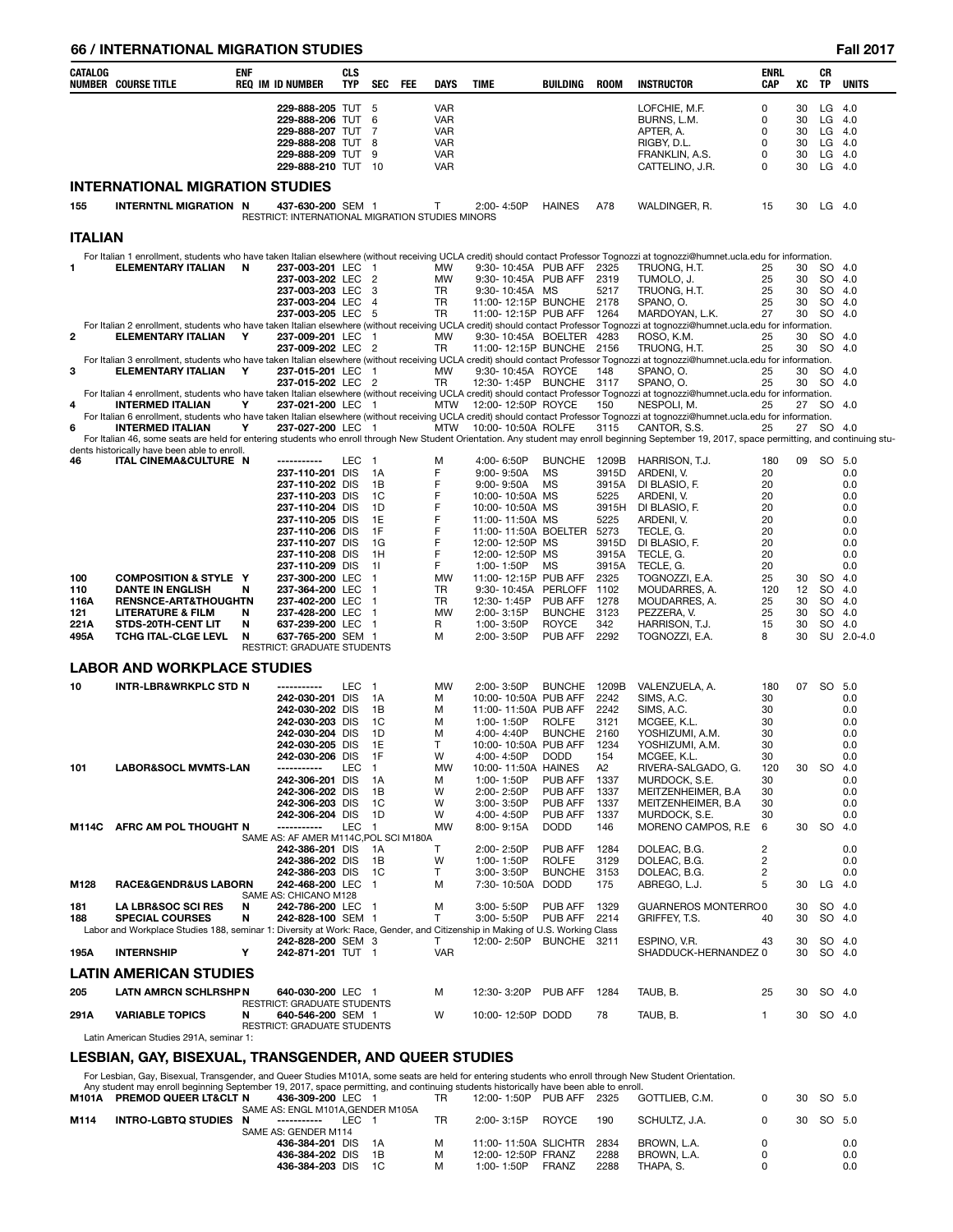# **66 / INTERNATIONAL MIGRATION STUDIES Fall 2017**

| CATALOG     | NUMBER COURSE TITLE                                                                                                          | <b>ENF</b> | <b>REQ IM ID NUMBER</b>                                               | <b>CLS</b><br><b>TYP</b> | <b>SEC</b>                                 | FEE | <b>DAYS</b>              | <b>TIME</b>                        | BUILDING                 | <b>ROOM</b>    | <b>INSTRUCTOR</b>                                                                                                                                                                                    | <b>ENRL</b><br><b>CAP</b> | XC       | CR<br>TP             | <b>UNITS</b> |
|-------------|------------------------------------------------------------------------------------------------------------------------------|------------|-----------------------------------------------------------------------|--------------------------|--------------------------------------------|-----|--------------------------|------------------------------------|--------------------------|----------------|------------------------------------------------------------------------------------------------------------------------------------------------------------------------------------------------------|---------------------------|----------|----------------------|--------------|
|             |                                                                                                                              |            | 229-888-205 TUT 5                                                     |                          |                                            |     | <b>VAR</b>               |                                    |                          |                | LOFCHIE, M.F.                                                                                                                                                                                        | $\Omega$                  | 30       | $LG$ 4.0             |              |
|             |                                                                                                                              |            | 229-888-206 TUT                                                       |                          | 6                                          |     | <b>VAR</b>               |                                    |                          |                | BURNS, L.M.                                                                                                                                                                                          | 0                         | 30       | $LG$ 4.0             |              |
|             |                                                                                                                              |            | 229-888-207 TUT<br>229-888-208 TUT                                    |                          | 7<br>8                                     |     | <b>VAR</b><br><b>VAR</b> |                                    |                          |                | APTER, A.<br>RIGBY, D.L.                                                                                                                                                                             | $\Omega$<br>0             | 30<br>30 | $LG$ 4.0<br>$LG$ 4.0 |              |
|             |                                                                                                                              |            | 229-888-209 TUT                                                       |                          | 9                                          |     | <b>VAR</b>               |                                    |                          |                | FRANKLIN, A.S.                                                                                                                                                                                       | 0                         | 30       | $LG$ 4.0             |              |
|             |                                                                                                                              |            | 229-888-210 TUT 10                                                    |                          |                                            |     | VAR                      |                                    |                          |                | CATTELINO, J.R.                                                                                                                                                                                      | 0                         | 30       | $LG$ 4.0             |              |
|             | <b>INTERNATIONAL MIGRATION STUDIES</b>                                                                                       |            |                                                                       |                          |                                            |     |                          |                                    |                          |                |                                                                                                                                                                                                      |                           |          |                      |              |
| 155         | <b>INTERNTNL MIGRATION N</b>                                                                                                 |            | 437-630-200 SEM 1<br>RESTRICT: INTERNATIONAL MIGRATION STUDIES MINORS |                          |                                            |     | T                        | 2:00-4:50P                         | <b>HAINES</b>            | A78            | WALDINGER, R.                                                                                                                                                                                        | 15                        | 30       | LG 4.0               |              |
| ITALIAN     |                                                                                                                              |            |                                                                       |                          |                                            |     |                          |                                    |                          |                |                                                                                                                                                                                                      |                           |          |                      |              |
| 1           | <b>ELEMENTARY ITALIAN</b>                                                                                                    | <b>N</b>   | 237-003-201 LEC 1                                                     |                          |                                            |     | MW                       | 9:30-10:45A PUB AFF                |                          | 2325           | For Italian 1 enrollment, students who have taken Italian elsewhere (without receiving UCLA credit) should contact Professor Tognozzi at tognozzi@humnet.ucla.edu for information.<br>TRUONG, H.T.   | 25                        | 30       | SO 4.0               |              |
|             |                                                                                                                              |            | 237-003-202 LEC 2                                                     |                          |                                            |     | MW                       | 9:30-10:45A PUB AFF                |                          | 2319           | TUMOLO, J.                                                                                                                                                                                           | 25                        | 30       | SO 4.0               |              |
|             |                                                                                                                              |            | 237-003-203 LEC 3                                                     |                          |                                            |     | TR                       | 9:30-10:45A MS                     |                          | 5217           | TRUONG, H.T.                                                                                                                                                                                         | 25                        | 30       | SO 4.0               |              |
|             |                                                                                                                              |            | 237-003-204 LEC 4                                                     |                          |                                            |     | TR                       | 11:00-12:15P BUNCHE 2178           |                          |                | SPANO, O.                                                                                                                                                                                            | 25                        | 30       | SO 4.0               |              |
|             |                                                                                                                              |            | 237-003-205 LEC 5                                                     |                          |                                            |     | TR                       | 11:00-12:15P PUB AFF 1264          |                          |                | MARDOYAN, L.K.<br>For Italian 2 enrollment, students who have taken Italian elsewhere (without receiving UCLA credit) should contact Professor Tognozzi at tognozzi@humnet.ucla.edu for information. | 27                        | 30       | SO 4.0               |              |
| 2           | ELEMENTARY ITALIAN Y                                                                                                         |            | 237-009-201 LEC 1                                                     |                          |                                            |     | MW                       | 9:30-10:45A BOELTER 4283           |                          |                | ROSO, K.M.                                                                                                                                                                                           | 25                        | 30       | SO 4.0               |              |
|             |                                                                                                                              |            | 237-009-202 LEC 2                                                     |                          |                                            |     | TR                       | 11:00-12:15P BUNCHE 2156           |                          |                | TRUONG, H.T.                                                                                                                                                                                         | 25                        | 30       | <sub>SO</sub>        | 4.0          |
| 3           | <b>ELEMENTARY ITALIAN</b>                                                                                                    | Y          | 237-015-201 LEC 1                                                     |                          |                                            |     | MW                       | 9:30-10:45A ROYCE                  |                          | 148            | For Italian 3 enrollment, students who have taken Italian elsewhere (without receiving UCLA credit) should contact Professor Tognozzi at tognozzi@humnet.ucla.edu for information.<br>SPANO, O.      | 25                        | 30       | SO 4.0               |              |
|             |                                                                                                                              |            | 237-015-202 LEC 2                                                     |                          |                                            |     | TR                       | 12:30-1:45P BUNCHE 3117            |                          |                | SPANO, O.                                                                                                                                                                                            | 25                        | 30       | SO 4.0               |              |
|             |                                                                                                                              |            |                                                                       |                          |                                            |     |                          |                                    |                          |                | For Italian 4 enrollment, students who have taken Italian elsewhere (without receiving UCLA credit) should contact Professor Tognozzi at tognozzi@humnet.ucla.edu for information.                   |                           |          |                      |              |
| 4           | <b>INTERMED ITALIAN</b>                                                                                                      | Y          | 237-021-200 LEC 1                                                     |                          |                                            |     |                          | MTW 12:00-12:50P ROYCE             |                          | 150            | NESPOLI, M.<br>For Italian 6 enrollment, students who have taken Italian elsewhere (without receiving UCLA credit) should contact Professor Tognozzi at tognozzi@humnet.ucla.edu for information.    | 25                        | 27 SO    |                      | 4.0          |
| 6           | <b>INTERMED ITALIAN</b>                                                                                                      | Y          | 237-027-200 LEC 1                                                     |                          |                                            |     | MTW                      | 10:00-10:50A ROLFE                 |                          | 3115           | CANTOR, S.S.                                                                                                                                                                                         | 25                        | 27       | SO 4.0               |              |
|             |                                                                                                                              |            |                                                                       |                          |                                            |     |                          |                                    |                          |                | For Italian 46, some seats are held for entering students who enroll through New Student Orientation. Any student may enroll beginning September 19, 2017, space permitting, and continuing stu-     |                           |          |                      |              |
| 46          | dents historically have been able to enroll.<br>ITAL CINEMA&CULTURE N                                                        |            | -----------                                                           | LEC                      | $\overline{1}$                             |     | м                        | 4:00-6:50P                         | <b>BUNCHE</b>            | 1209B          | HARRISON, T.J.                                                                                                                                                                                       | 180                       | 09       | SO 5.0               |              |
|             |                                                                                                                              |            | 237-110-201 DIS                                                       |                          | 1A                                         |     | F                        | 9:00-9:50A                         | <b>MS</b>                | 3915D          | ARDENI, V.                                                                                                                                                                                           | 20                        |          |                      | 0.0          |
|             |                                                                                                                              |            | 237-110-202 DIS                                                       |                          | 1B                                         |     | F                        | $9:00 - 9:50A$                     | <b>MS</b>                | 3915A          | DI BLASIO, F.                                                                                                                                                                                        | 20                        |          |                      | 0.0          |
|             |                                                                                                                              |            | 237-110-203 DIS<br>237-110-204 DIS                                    |                          | 1C<br>1D                                   |     | F<br>F                   | 10:00-10:50A MS<br>10:00-10:50A MS |                          | 5225           | ARDENI, V.<br>3915H DI BLASIO, F.                                                                                                                                                                    | 20<br>20                  |          |                      | 0.0<br>0.0   |
|             |                                                                                                                              |            | 237-110-205 DIS                                                       |                          | 1E                                         |     | F                        | 11:00-11:50A MS                    |                          | 5225           | ARDENI, V.                                                                                                                                                                                           | 20                        |          |                      | 0.0          |
|             |                                                                                                                              |            | 237-110-206 DIS                                                       |                          | 1F                                         |     | F                        | 11:00-11:50A BOELTER               |                          | 5273           | TECLE, G.                                                                                                                                                                                            | 20                        |          |                      | 0.0          |
|             |                                                                                                                              |            | 237-110-207 DIS                                                       |                          | - 1G                                       |     | F                        | 12:00-12:50P MS                    |                          | 3915D          | DI BLASIO, F.                                                                                                                                                                                        | 20                        |          |                      | 0.0          |
|             |                                                                                                                              |            | 237-110-208 DIS<br>237-110-209 DIS                                    |                          | 1H<br>11                                   |     | F<br>F                   | 12:00-12:50P MS<br>1:00-1:50P      | MS                       | 3915A<br>3915A | TECLE, G.<br>TECLE, G.                                                                                                                                                                               | 20<br>20                  |          |                      | 0.0<br>0.0   |
| 100         | <b>COMPOSITION &amp; STYLE Y</b>                                                                                             |            | 237-300-200 LEC                                                       |                          | $\overline{1}$                             |     | MW                       | 11:00-12:15P PUB AFF               |                          | 2325           | TOGNOZZI, E.A.                                                                                                                                                                                       | 25                        | 30       | SO 4.0               |              |
| 110         | <b>DANTE IN ENGLISH</b>                                                                                                      | N          | 237-364-200 LEC 1                                                     |                          |                                            |     | TR                       | 9:30-10:45A PERLOFF                |                          | 1102           | MOUDARRES, A.                                                                                                                                                                                        | 120                       | 12       | SO 4.0               |              |
| 116A<br>121 | <b>RENSNCE-ART&amp;THOUGHTN</b><br><b>LITERATURE &amp; FILM</b>                                                              | N          | 237-402-200 LEC<br>237-428-200 LEC                                    |                          | $\overline{1}$<br>$\overline{\phantom{1}}$ |     | TR<br>MW                 | 12:30-1:45P<br>2:00-3:15P          | PUB AFF<br><b>BUNCHE</b> | 1278<br>3123   | MOUDARRES, A.<br>PEZZERA, V.                                                                                                                                                                         | 25<br>25                  | 30<br>30 | SO 4.0<br>SO 4.0     |              |
| 221 A       | STDS-20TH-CENT LIT                                                                                                           | N          | 637-239-200 LEC 1                                                     |                          |                                            |     | R                        | 1:00-3:50P                         | <b>ROYCE</b>             | 342            | HARRISON, T.J.                                                                                                                                                                                       | 15                        | 30       | SO 4.0               |              |
| 495A        | TCHG ITAL-CLGE LEVL                                                                                                          | N          | 637-765-200 SEM 1                                                     |                          |                                            |     | м                        | 2:00-3:50P                         | PUB AFF                  | 2292           | TOGNOZZI, E.A.                                                                                                                                                                                       | 8                         | 30       |                      | SU 2.0-4.0   |
|             |                                                                                                                              |            | RESTRICT: GRADUATE STUDENTS                                           |                          |                                            |     |                          |                                    |                          |                |                                                                                                                                                                                                      |                           |          |                      |              |
|             | <b>LABOR AND WORKPLACE STUDIES</b>                                                                                           |            |                                                                       |                          |                                            |     |                          |                                    |                          |                |                                                                                                                                                                                                      |                           |          |                      |              |
| 10          | <b>INTR-LBR&amp;WRKPLC STD N</b>                                                                                             |            | -----------<br>242-030-201 DIS                                        | LEC 1                    | 1A                                         |     | MW<br>м                  | 2:00-3:50P<br>10:00-10:50A PUB AFF | <b>BUNCHE</b>            | 1209B<br>2242  | VALENZUELA, A.<br>SIMS, A.C.                                                                                                                                                                         | 180<br>30                 | 07       | SO 5.0               | 0.0          |
|             |                                                                                                                              |            | 242-030-202 DIS                                                       |                          | 1B                                         |     | м                        | 11:00-11:50A PUB AFF               |                          | 2242           | SIMS, A.C.                                                                                                                                                                                           | 30                        |          |                      | 0.0          |
|             |                                                                                                                              |            | 242-030-203 DIS                                                       |                          | 1C                                         |     | м                        | 1:00-1:50P                         | <b>ROLFE</b>             | 3121           | MCGEE, K.L.                                                                                                                                                                                          | 30                        |          |                      | 0.0          |
|             |                                                                                                                              |            | 242-030-204 DIS                                                       |                          | 1D                                         |     | м                        | 4:00-4:40P                         | BUNCHE 2160              |                | YOSHIZUMI, A.M.                                                                                                                                                                                      | 30                        |          |                      | 0.0          |
|             |                                                                                                                              |            | 242-030-205 DIS<br>242-030-206 DIS                                    |                          | 1E<br>1F                                   |     | T<br>W                   | 10:00-10:50A PUB AFF<br>4:00-4:50P | <b>DODD</b>              | 1234<br>154    | YOSHIZUMI, A.M.<br>MCGEE, K.L.                                                                                                                                                                       | 30<br>30                  |          |                      | 0.0<br>0.0   |
| 101         | <b>LABOR&amp;SOCL MVMTS-LAN</b>                                                                                              |            | -----------                                                           | LEC                      | $\overline{\phantom{1}}$                   |     | MW                       | 10:00-11:50A HAINES                |                          | A2             | RIVERA-SALGADO, G.                                                                                                                                                                                   | 120                       | 30       | SO 4.0               |              |
|             |                                                                                                                              |            | 242-306-201 DIS                                                       |                          | 1A                                         |     | м                        | 1:00-1:50P                         | PUB AFF                  | 1337           | MURDOCK, S.E.                                                                                                                                                                                        | 30                        |          |                      | 0.0          |
|             |                                                                                                                              |            | 242-306-202 DIS<br>242-306-203 DIS                                    |                          | 1B<br>1C                                   |     | W<br>W                   | 2:00-2:50P<br>3:00-3:50P           | PUB AFF<br>PUB AFF       | 1337<br>1337   | MEITZENHEIMER, B.A.<br>MEITZENHEIMER, B.A.                                                                                                                                                           | 30<br>30                  |          |                      | 0.0<br>0.0   |
|             |                                                                                                                              |            | 242-306-204 DIS                                                       |                          | - 1D                                       |     | W                        | 4:00-4:50P                         | PUB AFF                  | 1337           | MURDOCK, S.E.                                                                                                                                                                                        | 30                        |          |                      | 0.0          |
| M114C       | AFRC AM POL THOUGHT N                                                                                                        |            | -----------                                                           | LEC 1                    |                                            |     | MW                       | 8:00-9:15A                         | <b>DODD</b>              | 146            | MORENO CAMPOS, R.E                                                                                                                                                                                   | 6                         | 30       | SO 4.0               |              |
|             |                                                                                                                              |            | SAME AS: AF AMER M114C, POL SCI M180A<br>242-386-201 DIS              |                          | -1A                                        |     | T                        | 2:00-2:50P                         | PUB AFF                  | 1284           | DOLEAC, B.G.                                                                                                                                                                                         | 2                         |          |                      | 0.0          |
|             |                                                                                                                              |            | 242-386-202 DIS                                                       |                          | 1B                                         |     | W                        | 1:00-1:50P                         | <b>ROLFE</b>             | 3129           | DOLEAC, B.G.                                                                                                                                                                                         | 2                         |          |                      | 0.0          |
|             |                                                                                                                              |            | 242-386-203 DIS                                                       |                          | 1C                                         |     | T                        | $3:00 - 3:50P$                     | <b>BUNCHE</b>            | 3153           | DOLEAC, B.G.                                                                                                                                                                                         | $\overline{c}$            |          |                      | 0.0          |
| M128        | RACE&GENDR&US LABORN                                                                                                         |            | 242-468-200 LEC 1<br>SAME AS: CHICANO M128                            |                          |                                            |     | м                        | 7:30-10:50A                        | <b>DODD</b>              | 175            | ABREGO, L.J.                                                                                                                                                                                         | 5                         | 30       | $LG$ 4.0             |              |
| 181         | <b>LA LBR&amp;SOC SCI RES</b>                                                                                                | N          | 242-786-200 LEC 1                                                     |                          |                                            |     | м                        | 3:00-5:50P                         | PUB AFF 1329             |                | <b>GUARNEROS MONTERRO0</b>                                                                                                                                                                           |                           | 30       | SO 4.0               |              |
| 188         | <b>SPECIAL COURSES</b>                                                                                                       | N          | 242-828-100 SEM 1                                                     |                          |                                            |     | T                        | 3:00-5:50P                         | PUB AFF                  | 2214           | GRIFFEY, T.S.                                                                                                                                                                                        | 40                        | 30       | SO 4.0               |              |
|             | Labor and Workplace Studies 188, seminar 1: Diversity at Work: Race, Gender, and Citizenship in Making of U.S. Working Class |            |                                                                       |                          |                                            |     |                          | 12:00-2:50P BUNCHE 3211            |                          |                |                                                                                                                                                                                                      |                           |          | SO 4.0               |              |
| 195A        | <b>INTERNSHIP</b>                                                                                                            | Υ          | 242-828-200 SEM 3<br>242-871-201 TUT 1                                |                          |                                            |     | T<br><b>VAR</b>          |                                    |                          |                | ESPINO, V.R.<br>SHADDUCK-HERNANDEZ 0                                                                                                                                                                 | 43                        | 30<br>30 | SO 4.0               |              |
|             | LATIN AMERICAN STUDIES                                                                                                       |            |                                                                       |                          |                                            |     |                          |                                    |                          |                |                                                                                                                                                                                                      |                           |          |                      |              |
| 205         | <b>LATN AMRCN SCHLRSHPN</b>                                                                                                  |            | 640-030-200 LEC 1                                                     |                          |                                            |     | м                        | 12:30-3:20P                        | PUB AFF                  | 1284           | TAUB, B.                                                                                                                                                                                             | 25                        | 30       | SO 4.0               |              |
|             |                                                                                                                              |            | <b>RESTRICT: GRADUATE STUDENTS</b>                                    |                          |                                            |     |                          |                                    |                          |                |                                                                                                                                                                                                      |                           |          |                      |              |
| 291 A       | <b>VARIABLE TOPICS</b>                                                                                                       | N          | 640-546-200 SEM 1<br>RESTRICT: GRADUATE STUDENTS                      |                          |                                            |     | W                        | 10:00-12:50P DODD                  |                          | 78             | TAUB, B.                                                                                                                                                                                             | 1                         | 30       | SO 4.0               |              |
|             | Latin American Studies 291A, seminar 1:                                                                                      |            |                                                                       |                          |                                            |     |                          |                                    |                          |                |                                                                                                                                                                                                      |                           |          |                      |              |
|             | I ESRIANI GAV RISEYHAL TRANSGENDER AND OHEER STHDIES.                                                                        |            |                                                                       |                          |                                            |     |                          |                                    |                          |                |                                                                                                                                                                                                      |                           |          |                      |              |

#### **LESBIAN, GAY, BISEXUAL, TRANSGENDER, AND QUEER STUDIES**

For Lesbian, Gay, Bisexual, Transgender, and Queer Studies M101A, some seats are held for entering students who enroll through New Student Orientation.<br>Any student may enroll beginning September 19, 2017, space permitting,

|      | This orderic may omon bogmining ooptombor 19, 2011, opdoo pormitting, and continuing orderino motonoally navo boon dbio to omon. |                                  |       |    |                           |       |      |                |  |           |     |
|------|----------------------------------------------------------------------------------------------------------------------------------|----------------------------------|-------|----|---------------------------|-------|------|----------------|--|-----------|-----|
|      | M101A PREMOD QUEER LT&CLT N                                                                                                      | 436-309-200 LEC 1                |       | TR | 12:00-1:50P PUB AFF 2325  |       |      | GOTTLIEB. C.M. |  | 30 SO 5.0 |     |
|      |                                                                                                                                  | SAME AS: ENGL M101A.GENDER M105A |       |    |                           |       |      |                |  |           |     |
| M114 | INTRO-LGBTQ STUDIES N                                                                                                            | ______________                   | LEC 1 | TR | 2:00-3:15P ROYCE          |       | 190  | SCHULTZ. J.A.  |  | 30 SO 5.0 |     |
|      |                                                                                                                                  | SAME AS: GENDER M114             |       |    |                           |       |      |                |  |           |     |
|      |                                                                                                                                  | 436-384-201 DIS 1A               |       |    | 11:00-11:50A SLICHTR 2834 |       |      | BROWN. L.A.    |  |           | 0.0 |
|      |                                                                                                                                  | 436-384-202 DIS 1B               |       |    | 12:00-12:50P FRANZ        |       | 2288 | BROWN. L.A.    |  |           | 0.0 |
|      |                                                                                                                                  | 436-384-203 DIS 1C               |       |    | 1:00-1:50P                | FRANZ | 2288 | THAPA, S.      |  |           | 0.0 |
|      |                                                                                                                                  |                                  |       |    |                           |       |      |                |  |           |     |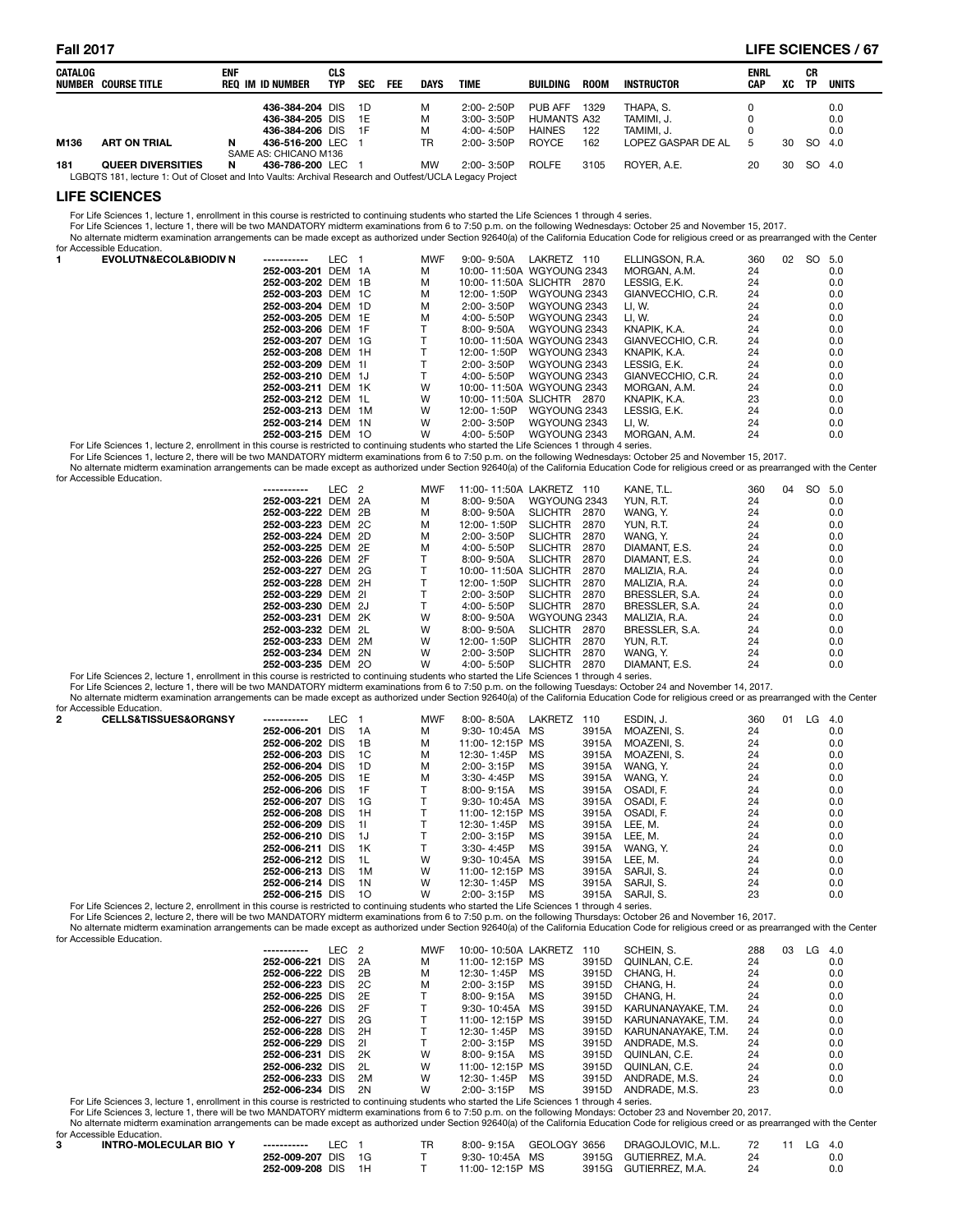#### **Fall 2017 LIFE SCIENCES / 67**

| CATALOG | NUMBER COURSE TITLE                                                                                     | <b>ENF</b> | <b>REQ IM ID NUMBER</b> | CLS<br><b>TYP</b> | <b>SEC</b> | FEE | DAYS      | <b>TIME</b>    | BUILDING           | <b>ROOM</b> | INSTRUCTOR         | <b>ENRL</b><br>CAP | xс | СR<br><b>TP</b> | UNITS |
|---------|---------------------------------------------------------------------------------------------------------|------------|-------------------------|-------------------|------------|-----|-----------|----------------|--------------------|-------------|--------------------|--------------------|----|-----------------|-------|
|         |                                                                                                         |            | 436-384-204 DIS         |                   | 1D         |     | м         | $2:00 - 2:50P$ | PUB AFF            | 1329        | THAPA. S.          |                    |    |                 | 0.0   |
|         |                                                                                                         |            | 436-384-205 DIS         |                   | 1E         |     | М         | $3:00 - 3:50P$ | <b>HUMANTS A32</b> |             | TAMIMI. J.         |                    |    |                 | 0.0   |
|         |                                                                                                         |            | 436-384-206 DIS         |                   | 1F         |     | м         | $4:00 - 4:50P$ | <b>HAINES</b>      | 122         | TAMIMI. J.         |                    |    |                 | 0.0   |
| M136    | <b>ART ON TRIAL</b>                                                                                     | N          | 436-516-200 LEC 1       |                   |            |     | TR        | $2:00 - 3:50P$ | <b>ROYCE</b>       | 162         | LOPEZ GASPAR DE AL | -5                 | 30 | <sub>SO</sub>   | 4.0   |
|         |                                                                                                         |            | SAME AS: CHICANO M136   |                   |            |     |           |                |                    |             |                    |                    |    |                 |       |
| 181     | <b>QUEER DIVERSITIES</b>                                                                                | N          | 436-786-200 LEC         |                   |            |     | <b>MW</b> | $2:00 - 3:50P$ | <b>ROLFE</b>       | 3105        | ROYER, A.E.        | 20                 | 30 | SO.             | 4.0   |
|         | LGBQTS 181, lecture 1: Out of Closet and Into Vaults: Archival Research and Outfest/UCLA Legacy Project |            |                         |                   |            |     |           |                |                    |             |                    |                    |    |                 |       |

#### **LIFE SCIENCES**

For Life Sciences 1, lecture 1, enrollment in this course is restricted to continuing students who started the Life Sciences 1 through 4 series.<br>For Life Sciences 1, lecture 1, there will be two MANDATORY midterm examinati No alternate midterm examination arrangements can be made except as authorized under Section 92640(a) of the California Education Code for religious creed or as prearranged with the Center for Accessible Education.

| <b>EVOLUTN&amp;ECOL&amp;BIODIV N</b>                                                                                                            | -----------        | LEC | <b>MWF</b> | $9:00 - 9:50A$ | LAKRETZ<br>110            | ELLINGSON, R.A.   | 360 | 02 | SO. | 5.0 |
|-------------------------------------------------------------------------------------------------------------------------------------------------|--------------------|-----|------------|----------------|---------------------------|-------------------|-----|----|-----|-----|
|                                                                                                                                                 | 252-003-201 DEM 1A |     | м          |                | 10:00-11:50A WGYOUNG 2343 | MORGAN, A.M.      | 24  |    |     | 0.0 |
|                                                                                                                                                 | 252-003-202 DEM 1B |     | м          |                | 10:00-11:50A SLICHTR 2870 | LESSIG. E.K.      | 24  |    |     | 0.0 |
|                                                                                                                                                 | 252-003-203 DEM 1C |     | м          | 12:00-1:50P    | WGYOUNG 2343              | GIANVECCHIO, C.R. | 24  |    |     | 0.0 |
|                                                                                                                                                 | 252-003-204 DEM 1D |     | м          | $2:00 - 3:50P$ | WGYOUNG 2343              | LI. W.            | 24  |    |     | 0.0 |
|                                                                                                                                                 | 252-003-205 DEM 1E |     | м          | 4:00- 5:50P    | WGYOUNG 2343              | LI. W.            | 24  |    |     | 0.0 |
|                                                                                                                                                 | 252-003-206 DEM 1F |     |            | 8:00-9:50A     | WGYOUNG 2343              | KNAPIK. K.A.      | 24  |    |     | 0.0 |
|                                                                                                                                                 | 252-003-207 DEM 1G |     |            |                | 10:00-11:50A WGYOUNG 2343 | GIANVECCHIO, C.R. | 24  |    |     | 0.0 |
|                                                                                                                                                 | 252-003-208 DEM 1H |     |            | 12:00-1:50P    | WGYOUNG 2343              | KNAPIK. K.A.      | 24  |    |     | 0.0 |
|                                                                                                                                                 | 252-003-209 DEM 1I |     |            | 2:00-3:50P     | WGYOUNG 2343              | LESSIG. E.K.      | 24  |    |     | 0.0 |
|                                                                                                                                                 | 252-003-210 DEM 1J |     |            | $4:00 - 5:50P$ | WGYOUNG 2343              | GIANVECCHIO, C.R. | 24  |    |     | 0.0 |
|                                                                                                                                                 | 252-003-211 DEM 1K |     | W          |                | 10:00-11:50A WGYOUNG 2343 | MORGAN, A.M.      | 24  |    |     | 0.0 |
|                                                                                                                                                 | 252-003-212 DEM 1L |     | W          |                | 10:00-11:50A SLICHTR 2870 | KNAPIK. K.A.      | 23  |    |     | 0.0 |
|                                                                                                                                                 | 252-003-213 DEM 1M |     | W          | 12:00-1:50P    | WGYOUNG 2343              | LESSIG. E.K.      | 24  |    |     | 0.0 |
|                                                                                                                                                 | 252-003-214 DEM 1N |     | W          | 2:00-3:50P     | WGYOUNG 2343              | LI. W.            | 24  |    |     | 0.0 |
|                                                                                                                                                 | 252-003-215 DEM 10 |     | W          | $4:00 - 5:50P$ | WGYOUNG 2343              | MORGAN, A.M.      | 24  |    |     | 0.0 |
| For Life Sciences 1, Josturo 2, oprollment in this course is restricted to continuing students who started the Life Sciences 1 through 4 series |                    |     |            |                |                           |                   |     |    |     |     |

For Life Sciences 1, lecture 2, enrollment in this course is restricted to continuing students who started the Life Sciences 1 through 4 series.<br>For Life Sciences 1, lecture 2, there will be two MANDATORY midterm examinati No alternate midterm examination arrangements can be made except as authorized under Section 92640(a) of the California Education Code for religious creed or as prearranged with the Center

| for Accessible Education. |                    |        |            |                |                 |               |     | .  |        |  |
|---------------------------|--------------------|--------|------------|----------------|-----------------|---------------|-----|----|--------|--|
|                           | ------------       | LEC 2  | <b>MWF</b> | 11:00-11:50A   | LAKRETZ<br>110  | KANE. T.L     | 360 | 04 | SO 5.0 |  |
|                           | 252-003-221        | DEM 2A |            | $8:00 - 9:50A$ | WGYOUNG 2343    | YUN. R.T.     | 24  |    | 0.0    |  |
|                           | 252-003-222 DEM 2R |        |            | $8.00 - 9.50$  | SLICHTR<br>2870 | <b>WANG Y</b> |     |    |        |  |

| 252-003-221 DEM ZA |  |   | 8:00-9:50A           | WGYUUNG 2343   |      | YUN. K.I.      | -24 | U.U |
|--------------------|--|---|----------------------|----------------|------|----------------|-----|-----|
| 252-003-222 DEM 2B |  | м | 8:00- 9:50A          | SLICHTR        | 2870 | WANG. Y.       | 24  | 0.0 |
| 252-003-223 DEM 2C |  | м | 12:00-1:50P          | <b>SLICHTR</b> | 2870 | YUN. R.T.      | 24  | 0.0 |
| 252-003-224 DEM 2D |  | м | 2:00-3:50P           | SLICHTR        | 2870 | WANG. Y.       | 24  | 0.0 |
| 252-003-225 DEM 2E |  | м | 4:00- 5:50P          | <b>SLICHTR</b> | 2870 | DIAMANT, E.S.  | 24  | 0.0 |
| 252-003-226 DEM 2F |  |   | 8:00-9:50A           | <b>SLICHTR</b> | 2870 | DIAMANT, E.S.  | 24  | 0.0 |
| 252-003-227 DEM 2G |  |   | 10:00-11:50A SLICHTR |                | 2870 | MALIZIA. R.A.  | 24  | 0.0 |
| 252-003-228 DEM 2H |  |   | 12:00-1:50P          | <b>SLICHTR</b> | 2870 | MALIZIA. R.A.  | 24  | 0.0 |
| 252-003-229 DEM 2I |  |   | 2:00-3:50P           | <b>SLICHTR</b> | 2870 | BRESSLER, S.A. | 24  | 0.0 |
| 252-003-230 DEM 2J |  |   | 4:00- 5:50P          | SLICHTR 2870   |      | BRESSLER, S.A. | 24  | 0.0 |
| 252-003-231 DEM 2K |  | W | 8:00- 9:50A          | WGYOUNG 2343   |      | MALIZIA. R.A.  | 24  | 0.0 |
| 252-003-232 DEM 2L |  | w | 8:00-9:50A           | SLICHTR 2870   |      | BRESSLER, S.A. | 24  | 0.0 |
| 252-003-233 DEM 2M |  | W | 12:00-1:50P          | <b>SLICHTR</b> | 2870 | YUN. R.T.      | 24  | 0.0 |
| 252-003-234 DEM 2N |  | w | 2:00-3:50P           | <b>SLICHTR</b> | 2870 | WANG. Y.       | 24  | 0.0 |
| 252-003-235 DEM 20 |  | w | 4:00- 5:50P          | <b>SLICHTR</b> | 2870 | DIAMANT, E.S.  | 24  | 0.0 |
|                    |  |   |                      |                |      |                |     |     |

For Life Sciences 2, lecture 1, enrollment in this course is restricted to continuing students who started the Life Sciences 1 through 4 series.

For Life Sciences 2, lecture 1, there will be two MANDATORY midterm examinations from 6 to 7:50 p.m. on the following Tuesdays: October 24 and November 14, 2017.<br>No alternate midterm examination arrangements can be made ex

|   | for Accessible Education.                                                                                                                                 |                 |      |     |            |                 |         |       |             |     |          |      |
|---|-----------------------------------------------------------------------------------------------------------------------------------------------------------|-----------------|------|-----|------------|-----------------|---------|-------|-------------|-----|----------|------|
| 2 | <b>CELLS&amp;TISSUES&amp;ORGNSY</b>                                                                                                                       | -----------     | LEC. |     | <b>MWF</b> | $8:00 - 8:50A$  | LAKRETZ | 110   | ESDIN. J.   | 360 | LG<br>01 | -4.0 |
|   |                                                                                                                                                           | 252-006-201 DIS |      | 1A  | М          | $9:30 - 10:45A$ | MS      | 3915A | MOAZENI, S. | 24  |          | 0.0  |
|   |                                                                                                                                                           | 252-006-202 DIS |      | 1B  | М          | 11:00-12:15P MS |         | 3915A | MOAZENI, S. | 24  |          | 0.0  |
|   |                                                                                                                                                           | 252-006-203 DIS |      | 1C  | М          | 12:30-1:45P     | MS      | 3915A | MOAZENI, S. | 24  |          | 0.0  |
|   |                                                                                                                                                           | 252-006-204 DIS |      | 1D  | М          | 2:00-3:15P      | МS      | 3915A | WANG. Y.    | 24  |          | 0.0  |
|   |                                                                                                                                                           | 252-006-205 DIS |      | 1E  | М          | $3:30 - 4:45P$  | MS      | 3915A | WANG. Y.    | 24  |          | 0.0  |
|   |                                                                                                                                                           | 252-006-206 DIS |      | 1F  |            | 8:00-9:15A      | MS      | 3915A | OSADI. F.   | 24  |          | 0.0  |
|   |                                                                                                                                                           | 252-006-207 DIS |      | 1G  |            | $9:30 - 10:45A$ | MS      | 3915A | OSADI. F.   | 24  |          | 0.0  |
|   |                                                                                                                                                           | 252-006-208 DIS |      | 1H  |            | 11:00-12:15P MS |         | 3915A | OSADI. F.   | 24  |          | 0.0  |
|   |                                                                                                                                                           | 252-006-209 DIS |      | 11  |            | 12:30-1:45P     | MS      | 3915A | LEE. M.     | 24  |          | 0.0  |
|   |                                                                                                                                                           | 252-006-210 DIS |      | 1.I |            | 2:00-3:15P      | MS      | 3915A | LEE. M.     | 24  |          | 0.0  |
|   |                                                                                                                                                           | 252-006-211 DIS |      | 1K  |            | $3:30 - 4:45P$  | MS      | 3915A | WANG. Y.    | 24  |          | 0.0  |
|   |                                                                                                                                                           | 252-006-212 DIS |      | -11 | W          | 9:30-10:45A     | MS      | 3915A | LEE. M.     | 24  |          | 0.0  |
|   |                                                                                                                                                           | 252-006-213 DIS |      | 1M  | W          | 11:00-12:15P MS |         | 3915A | SARJI, S.   | 24  |          | 0.0  |
|   |                                                                                                                                                           | 252-006-214 DIS |      | 1 N | w          | 12:30-1:45P     | MS      | 3915A | SARJI, S.   | 24  |          | 0.0  |
|   |                                                                                                                                                           | 252-006-215 DIS |      | 10  | W          | 2:00-3:15P      | MS      | 3915A | SARJI, S.   | 23  |          | 0.0  |
|   | Fact if a Calangar O, tanking O, annaltagal in this garman is markinished to again cinemate chantage atomical that I if a Calangar 4 those call 4 garden. |                 |      |     |            |                 |         |       |             |     |          |      |

25**2-006-215** DIS 1O W 2:00-3:15P MS 3915A SARJI, S. 23 23 23 23 23 23 23<br>For Life Sciences 2, lecture 2, enrollment in this course is restricted to continuing students who started the Life Sciences 1 through 4 series.<br>For No alternate midterm examination arrangements can be made except as authorized under Section 92640(a) of the California Education Code for religious creed or as prearranged with the Center for Accessible Education.

| iui Accessibie Luucation.                                                                                                                        |                 |       |      |            |                      |     |       |                    |     |    |    |     |
|--------------------------------------------------------------------------------------------------------------------------------------------------|-----------------|-------|------|------------|----------------------|-----|-------|--------------------|-----|----|----|-----|
|                                                                                                                                                  | -----------     | LEC 2 |      | <b>MWF</b> | 10:00-10:50A LAKRETZ |     | 110   | SCHEIN, S.         | 288 | 03 | LG | 4.0 |
|                                                                                                                                                  | 252-006-221 DIS |       | -2A  | м          | 11:00-12:15P MS      |     | 3915D | QUINLAN, C.E.      | 24  |    |    | 0.0 |
|                                                                                                                                                  | 252-006-222 DIS |       | 2B   | М          | 12:30-1:45P          | МS  | 3915D | CHANG, H.          | 24  |    |    | 0.0 |
|                                                                                                                                                  | 252-006-223 DIS |       | 2C   | М          | $2:00 - 3:15P$       | МS  | 3915D | CHANG. H.          | 24  |    |    | 0.0 |
|                                                                                                                                                  | 252-006-225 DIS |       | 2E   |            | 8:00-9:15A           | МS  | 3915D | CHANG. H.          | 24  |    |    | 0.0 |
|                                                                                                                                                  | 252-006-226 DIS |       | 2F   |            | 9:30-10:45A MS       |     | 3915D | KARUNANAYAKE, T.M. | 24  |    |    | 0.0 |
|                                                                                                                                                  | 252-006-227 DIS |       | -2G  |            | 11:00-12:15P MS      |     | 3915D | KARUNANAYAKE. T.M. | 24  |    |    | 0.0 |
|                                                                                                                                                  | 252-006-228 DIS |       | 2H   |            | 12:30-1:45P          | МS  | 3915D | KARUNANAYAKE, T.M. | 24  |    |    | 0.0 |
|                                                                                                                                                  | 252-006-229 DIS |       | - 21 |            | $2:00 - 3:15P$       | МS  | 3915D | ANDRADE, M.S.      | 24  |    |    | 0.0 |
|                                                                                                                                                  | 252-006-231 DIS |       | 2K   | w          | $8:00 - 9:15A$       | MS. | 3915D | QUINLAN, C.E.      | 24  |    |    | 0.0 |
|                                                                                                                                                  | 252-006-232 DIS |       | - 2L | w          | 11:00-12:15P MS      |     | 3915D | QUINLAN, C.E.      | 24  |    |    | 0.0 |
|                                                                                                                                                  | 252-006-233 DIS |       | 2M   | W          | 12:30-1:45P          | MS. | 3915D | ANDRADE, M.S.      | 24  |    |    | 0.0 |
|                                                                                                                                                  | 252-006-234 DIS |       | 2N   | w          | 2:00-3:15P           | МS  | 3915D | ANDRADE, M.S.      | 23  |    |    | 0.0 |
| For Life Sciences 3, lecture 1, enrollment in this course is restricted to continuing students who started the Life Sciences 1 through 4 series. |                 |       |      |            |                      |     |       |                    |     |    |    |     |

For Life Sciences 3, lecture 1, there will be two MANDATORY midterm examinations from 6 to 7:50 p.m. on the following Mondays: October 23 and November 20, 2017. No alternate midterm examination arrangements can be made except as authorized under Section 92640(a) of the California Education Code for religious creed or as prearranged with the Center for Accessible Education.

| <b>INTRO-MOLECULAR BIO Y</b> | ------------    |      | T <sub>D</sub> | $8:00 - 9:15A$  | GEOLOGY 3656 | DRAGOJLOVIC, M.L.     |  | LG.<br>4.0 |  |
|------------------------------|-----------------|------|----------------|-----------------|--------------|-----------------------|--|------------|--|
|                              | 252-009-207 DIS | - 1G |                | 9:30-10:45A MS  |              | 3915G GUTIERREZ, M.A. |  | 0.0        |  |
|                              | 252-009-208 DIS | 1H   |                | 11:00-12:15P MS |              | 3915G GUTIERREZ, M.A. |  | 0.0        |  |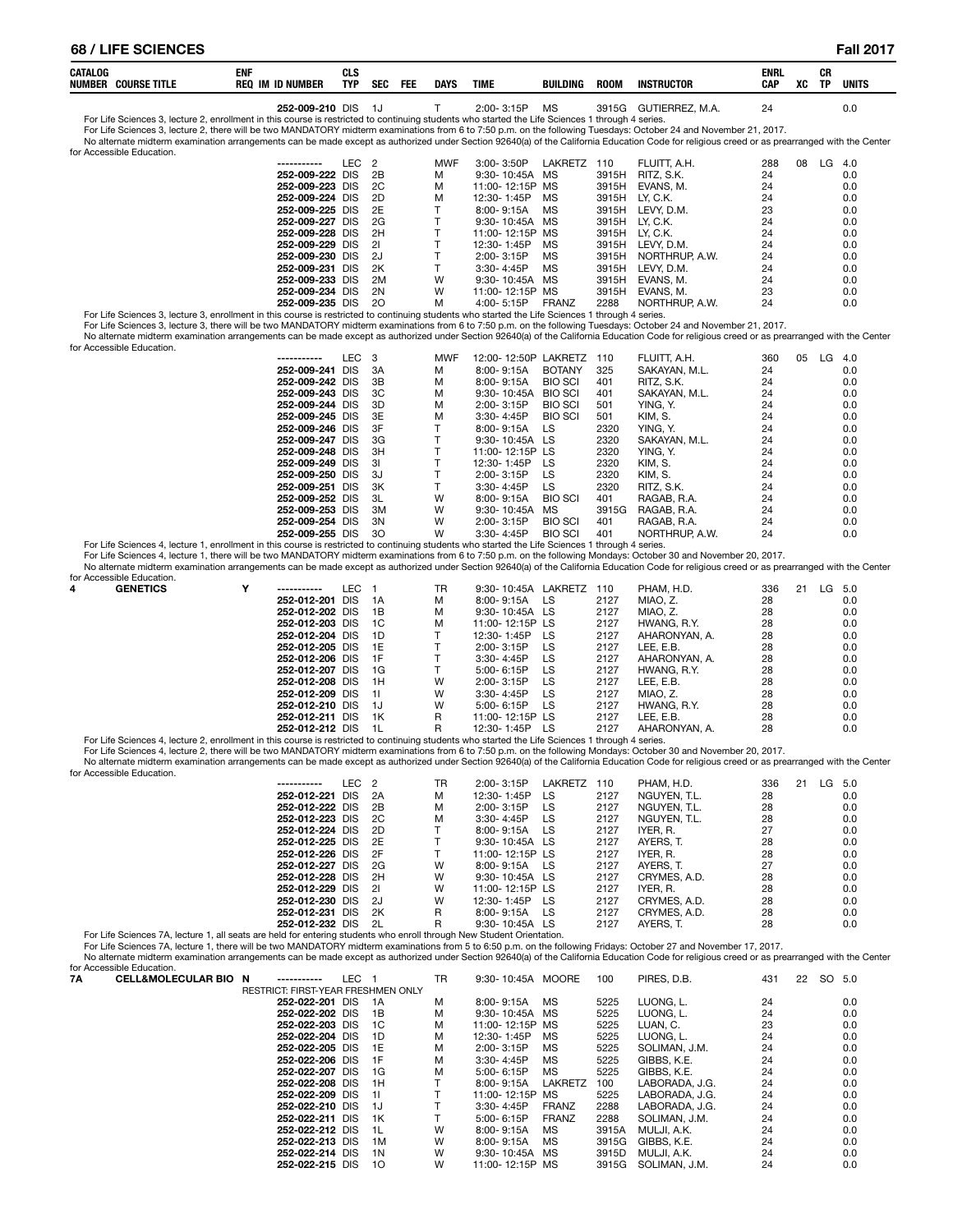| CATALOG<br>NUMBER | <b>COURSE TITLE</b> | <b>ENI</b><br><b>REQ</b><br><b>ID NUMBER</b> | ula<br>TYP | <b>SEC</b> | FEE | <b>DAYS</b> | TIME  | <b>BUILDING</b> | <b>ROON</b> | <b>INSTRUCTOR</b> | <b>ENRL</b><br><b>CAP</b> | XC | СR<br><b>TP</b> | <b>UNITS</b> |
|-------------------|---------------------|----------------------------------------------|------------|------------|-----|-------------|-------|-----------------|-------------|-------------------|---------------------------|----|-----------------|--------------|
|                   |                     | 252-000-210                                  | <b>DIS</b> |            |     |             | …∩∩-י | n /l ~          | 30156       | TIEDDE'           |                           |    |                 |              |

**252-009-210** DIS 1J T 2:00- 3:15P MS 3915G GUTIERREZ, M.A. 24 2.00- 2:00- 3:15P MS 2015 COTIERREZ, M.A. 24 0.0

For Life Sciences 3, lecture 2, there will be two MANDATORY midterm examinations from 6 to 7:50 p.m. on the following Tuesdays: October 24 and November 21, 2017.<br>No altemate midterm examination arrangements can be made exc

for Accessible Education.

| for Accessible Education.                                                                                                                                         |                 |                  |     |            |                 |              |       |                |     |    |          |  |
|-------------------------------------------------------------------------------------------------------------------------------------------------------------------|-----------------|------------------|-----|------------|-----------------|--------------|-------|----------------|-----|----|----------|--|
|                                                                                                                                                                   | -----------     | LEC <sub>2</sub> |     | <b>MWF</b> | $3:00 - 3:50P$  | LAKRETZ      | 110   | FLUITT. A.H.   | 288 | 08 | $LG$ 4.0 |  |
|                                                                                                                                                                   | 252-009-222 DIS |                  | 2B  | м          | 9:30-10:45A MS  |              | 3915H | RITZ, S.K.     | 24  |    | 0.0      |  |
|                                                                                                                                                                   | 252-009-223 DIS |                  | 2C  | м          | 11:00-12:15P MS |              | 3915H | EVANS, M.      | 24  |    | 0.0      |  |
|                                                                                                                                                                   | 252-009-224 DIS |                  | 2D  | м          | 12:30-1:45P     | MS.          | 3915H | LY. C.K.       | 24  |    | 0.0      |  |
|                                                                                                                                                                   | 252-009-225 DIS |                  | 2E  |            | 8:00-9:15A      | МS           | 3915H | LEVY. D.M.     | 23  |    | 0.0      |  |
|                                                                                                                                                                   | 252-009-227 DIS |                  | 2G  |            | 9:30-10:45A MS  |              | 3915H | LY. C.K.       | 24  |    | 0.0      |  |
|                                                                                                                                                                   | 252-009-228 DIS |                  | 2H  |            | 11:00-12:15P MS |              | 3915H | LY. C.K.       | 24  |    | 0.0      |  |
|                                                                                                                                                                   | 252-009-229 DIS |                  | -21 |            | 12:30-1:45P     | MS.          | 3915H | LEVY. D.M.     | 24  |    | 0.0      |  |
|                                                                                                                                                                   | 252-009-230 DIS |                  | -2J |            | $2:00 - 3:15P$  | MS.          | 3915H | NORTHRUP, A.W. | 24  |    | 0.0      |  |
|                                                                                                                                                                   | 252-009-231 DIS |                  | 2K  |            | $3:30 - 4:45P$  | MS           | 3915H | LEVY. D.M.     | 24  |    | 0.0      |  |
|                                                                                                                                                                   | 252-009-233 DIS |                  | 2M  | W          | 9:30-10:45A MS  |              | 3915H | EVANS, M.      | 24  |    | 0.0      |  |
|                                                                                                                                                                   | 252-009-234 DIS |                  | 2N  | W          | 11:00-12:15P MS |              | 3915H | EVANS, M.      | 23  |    | 0.0      |  |
|                                                                                                                                                                   | 252-009-235 DIS |                  | -20 | м          | $4:00 - 5:15P$  | <b>FRANZ</b> | 2288  | NORTHRUP, A.W. | 24  |    | 0.0      |  |
| For Life Sciences 3, lecture 3, enrollment in this course is restricted to continuing students who started the Life Sciences 1 through 4 series.                  |                 |                  |     |            |                 |              |       |                |     |    |          |  |
| For Life Sciences 3, lecture 3, there will be two MANDATORY midterm examinations from 6 to 7:50 p.m. on the following Tuesdays: October 24 and November 21, 2017. |                 |                  |     |            |                 |              |       |                |     |    |          |  |

No alternate midterm examination arrangements can be made except as authorized under Section 92640(a) of the California Education Code for religious creed or as prearranged with the Center for Accessible Education.

| ------------    | LEC 3 |     | <b>MWF</b> | 12:00-12:50P LAKRETZ |                | 110   | FLUITT. A.H.  | 360 | 05 | LG | 4.0 |
|-----------------|-------|-----|------------|----------------------|----------------|-------|---------------|-----|----|----|-----|
| 252-009-241 DIS |       | -3A | м          | 8:00-9:15A           | <b>BOTANY</b>  | 325   | SAKAYAN, M.L. | 24  |    |    | 0.0 |
| 252-009-242 DIS |       | 3B  | м          | 8:00-9:15A           | <b>BIO SCI</b> | 401   | RITZ, S.K.    | 24  |    |    | 0.0 |
| 252-009-243 DIS |       | 3C  | м          | 9:30-10:45A          | <b>BIO SCI</b> | 401   | SAKAYAN, M.L. | 24  |    |    | 0.0 |
| 252-009-244 DIS |       | -3D | м          | 2:00-3:15P           | <b>BIO SCI</b> | 501   | YING, Y.      | 24  |    |    | 0.0 |
| 252-009-245 DIS |       | 3E  | M          | 3:30-4:45P           | <b>BIO SCI</b> | 501   | KIM. S.       | 24  |    |    | 0.0 |
| 252-009-246 DIS |       | -3F |            | 8:00-9:15A           | LS.            | 2320  | YING, Y.      | 24  |    |    | 0.0 |
| 252-009-247 DIS |       | 3G  |            | 9:30-10:45A LS       |                | 2320  | SAKAYAN, M.L. | 24  |    |    | 0.0 |
| 252-009-248 DIS |       | -3H |            | 11:00-12:15P LS      |                | 2320  | YING, Y.      | 24  |    |    | 0.0 |
| 252-009-249 DIS |       | -31 |            | 12:30-1:45P          | LS             | 2320  | KIM. S.       | 24  |    |    | 0.0 |
| 252-009-250 DIS |       | -3J |            | 2:00-3:15P           | LS.            | 2320  | KIM. S.       | 24  |    |    | 0.0 |
| 252-009-251 DIS |       | 3K  |            | $3:30 - 4:45P$       | <b>LS</b>      | 2320  | RITZ. S.K.    | 24  |    |    | 0.0 |
| 252-009-252 DIS |       | -3L | W          | $8:00 - 9:15A$       | <b>BIO SCI</b> | 401   | RAGAB, R.A.   | 24  |    |    | 0.0 |
| 252-009-253 DIS |       | ЗM  | W          | $9:30 - 10:45A$      | <b>MS</b>      | 3915G | RAGAB, R.A.   | 24  |    |    | 0.0 |
| 252-009-254 DIS |       | 3N  | W          | 2:00-3:15P           | <b>BIO SCI</b> | 401   | RAGAB, R.A.   | 24  |    |    | 0.0 |
| 252-009-255 DIS |       | 30  | W          | $3.30 - 4.45P$       | <b>BIO SCI</b> | 401   | NORTHRUP A W  | 24  |    |    | 0 O |

25**2-009-255** DIS 30 W 3:30- 4:45P BIO SCI 401 NORTHRUP, A.W. 24 24-59 Pro Life Sciences 4, lecture 1, enrollment in this course is restricted to continuing students who started the Life Sciences 1 through 4 series.<br>For Li No alternate midterm examination arrangements can be made except as authorized under Section 92640(a) of the California Education Code for religious creed or as prearranged with the Center

| for Accessible Education. |   |                 |     |      |    |                 |         |      |               |     |    |          |  |
|---------------------------|---|-----------------|-----|------|----|-----------------|---------|------|---------------|-----|----|----------|--|
| <b>GENETICS</b><br>4      | Υ | -----------     | LEC |      | TR | $9:30 - 10:45A$ | LAKRETZ | 110  | PHAM. H.D.    | 336 | 21 | $LG$ 5.0 |  |
|                           |   | 252-012-201 DIS |     | 1A   | М  | 8:00-9:15A      | LS.     | 2127 | MIAO. Z.      | 28  |    | 0.0      |  |
|                           |   | 252-012-202 DIS |     | 1B   | м  | 9:30-10:45A LS  |         | 2127 | MIAO. Z.      | 28  |    | 0.0      |  |
|                           |   | 252-012-203 DIS |     | 1C   | м  | 11:00-12:15P LS |         | 2127 | HWANG, R.Y.   | 28  |    | 0.0      |  |
|                           |   | 252-012-204 DIS |     | 1D   |    | 12:30-1:45P     | LS.     | 2127 | AHARONYAN, A. | 28  |    | 0.0      |  |
|                           |   | 252-012-205 DIS |     | 1E   |    | $2:00 - 3:15P$  | LS.     | 2127 | LEE. E.B.     | 28  |    | 0.0      |  |
|                           |   | 252-012-206 DIS |     | -1 F |    | $3:30 - 4:45P$  | LS      | 2127 | AHARONYAN, A. | 28  |    | 0.0      |  |
|                           |   | 252-012-207 DIS |     | 1G   |    | 5:00-6:15P      | LS      | 2127 | HWANG, R.Y.   | 28  |    | 0.0      |  |
|                           |   | 252-012-208 DIS |     | 1H   | w  | $2:00 - 3:15P$  | LS      | 2127 | LEE, E.B.     | 28  |    | 0.0      |  |
|                           |   | 252-012-209 DIS |     | -11  | W  | $3:30 - 4:45P$  | LS.     | 2127 | MIAO. Z.      | 28  |    | 0.0      |  |
|                           |   | 252-012-210 DIS |     | 1J   | W  | $5:00 - 6:15P$  | LS      | 2127 | HWANG, R.Y.   | 28  |    | 0.0      |  |
|                           |   | 252-012-211 DIS |     | 1K   | R  | 11:00-12:15P LS |         | 2127 | LEE. E.B.     | 28  |    | 0.0      |  |
|                           |   | 252-012-212 DIS |     | -1L  | R  | 12:30-1:45P     | LS      | 2127 | AHARONYAN, A. | 28  |    | 0.0      |  |

For Life Sciences 4, lecture 2, enrollment in this course is restricted to continuing students who started the Life Sciences 1 through 4 series.

For Life Sciences 4, lecture 2, there will be two MANDATORY midterm examinations from 6 to 7:50 p.m. on the following Mondays: October 30 and November 20, 2017. No alternate midterm examination arrangements can be made except as authorized under Section 92640(a) of the California Education Code for religious creed or as prearranged with the Center for Accessible Education.

| ior Accessible Equcation. |                 |                  |      |           |                    |         |      |              |     |    |        |     |
|---------------------------|-----------------|------------------|------|-----------|--------------------|---------|------|--------------|-----|----|--------|-----|
|                           | -----------     | LEC <sub>2</sub> |      | <b>TR</b> | $2:00 - 3:15P$     | LAKRETZ | 110  | PHAM. H.D.   | 336 | 21 | LG 5.0 |     |
|                           | 252-012-221 DIS |                  | 2A   | M         | 12:30-1:45P        | LS      | 2127 | NGUYEN. T.L. | 28  |    |        | 0.0 |
|                           | 252-012-222 DIS |                  | 2B   | M         | $2:00 - 3:15P$     | LS      | 2127 | NGUYEN. T.L. | 28  |    |        | 0.0 |
|                           | 252-012-223 DIS |                  | - 2C | M         | $3:30 - 4:45P$     | LS      | 2127 | NGUYEN. T.L. | 28  |    |        | 0.0 |
|                           | 252-012-224 DIS |                  | - 2D |           | $8:00 - 9:15A$     | LS.     | 2127 | IYER. R.     | 27  |    |        | 0.0 |
|                           | 252-012-225 DIS |                  | 2E   |           | 9:30-10:45A LS     |         | 2127 | AYERS. T.    | 28  |    |        | 0.0 |
|                           | 252-012-226 DIS |                  | - 2F |           | 11:00-12:15P LS    |         | 2127 | IYER. R.     | 28  |    |        | 0.0 |
|                           | 252-012-227 DIS |                  | - 2G | w         | 8:00-9:15A         | - LS    | 2127 | AYERS. T.    | 27  |    |        | 0.0 |
|                           | 252-012-228 DIS |                  | - 2H | W         | $9:30 - 10:45A$ LS |         | 2127 | CRYMES, A.D. | 28  |    |        | 0.0 |
|                           | 252-012-229 DIS |                  | - 21 | W         | 11:00-12:15P LS    |         | 2127 | IYER. R.     | 28  |    |        | 0.0 |
|                           | 252-012-230 DIS |                  | - 2J | W         | 12:30-1:45P LS     |         | 2127 | CRYMES, A.D. | 28  |    |        | 0.0 |
|                           | 252-012-231 DIS |                  | - 2K | R         | $8:00 - 9:15A$     | LS.     | 2127 | CRYMES, A.D. | 28  |    |        | 0.0 |
|                           | 252-012-232 DIS |                  | - 2L | R         | 9:30-10:45A LS     |         | 2127 | AYERS. T.    | 28  |    |        | 0.0 |
|                           |                 |                  |      |           |                    |         |      |              |     |    |        |     |

For Life Sciences 7A, lecture 1, all seats are held for entering students who enroll through New Student Orientation.

For Life Sciences 7A, lecture 1, there will be two MANDATORY midterm examinations from 5 to 6:50 p.m. on the following Fridays: October 27 and November 17, 2017. No alternate midterm examination arrangements can be made except as authorized under Section 92640(a) of the California Education Code for religious creed or as prearranged with the Center for Accessible Education.

| 7Α | <b>CELL&amp;MOLECULAR BIO N</b> | -----------                        | LEC 1 |       | TR | 9:30-10:45A MOORE |                | 100   | PIRES, D.B.    | 431 | 22 | SO. | 5.0 |
|----|---------------------------------|------------------------------------|-------|-------|----|-------------------|----------------|-------|----------------|-----|----|-----|-----|
|    |                                 | RESTRICT: FIRST-YEAR FRESHMEN ONLY |       |       |    |                   |                |       |                |     |    |     |     |
|    |                                 | 252-022-201 DIS                    |       | 1A    | м  | 8:00-9:15A        | MS.            | 5225  | LUONG. L.      | 24  |    |     | 0.0 |
|    |                                 | 252-022-202 DIS                    |       | 1B    | м  | 9:30-10:45A MS    |                | 5225  | LUONG. L.      | 24  |    |     | 0.0 |
|    |                                 | 252-022-203 DIS                    |       | - 1C  | М  | 11:00-12:15P MS   |                | 5225  | LUAN. C.       | 23  |    |     | 0.0 |
|    |                                 | 252-022-204 DIS                    |       | - 1 D | м  | 12:30-1:45P       | MS             | 5225  | LUONG. L.      | 24  |    |     | 0.0 |
|    |                                 | 252-022-205 DIS                    |       | 1E    | м  | $2:00 - 3:15P$    | МS             | 5225  | SOLIMAN, J.M.  | 24  |    |     | 0.0 |
|    |                                 | 252-022-206 DIS                    |       | -1F   | М  | $3:30 - 4:45P$    | МS             | 5225  | GIBBS, K.E.    | 24  |    |     | 0.0 |
|    |                                 | 252-022-207 DIS                    |       | 1G    | м  | 5:00-6:15P        | MS             | 5225  | GIBBS, K.E.    | 24  |    |     | 0.0 |
|    |                                 | 252-022-208 DIS                    |       | - 1H  |    | 8:00-9:15A        | <b>LAKRETZ</b> | 100   | LABORADA, J.G. | 24  |    |     | 0.0 |
|    |                                 | 252-022-209 DIS                    |       | - 11  |    | 11:00-12:15P      | MS.            | 5225  | LABORADA, J.G. | 24  |    |     | 0.0 |
|    |                                 | 252-022-210 DIS                    |       | - 1J  |    | $3:30 - 4:45P$    | <b>FRANZ</b>   | 2288  | LABORADA, J.G. | 24  |    |     | 0.0 |
|    |                                 | 252-022-211 DIS                    |       | 1K    |    | 5:00-6:15P        | FRANZ          | 2288  | SOLIMAN, J.M.  | 24  |    |     | 0.0 |
|    |                                 | 252-022-212 DIS                    |       | - 1 L | W  | 8:00-9:15A        | MS             | 3915A | MULJI. A.K.    | 24  |    |     | 0.0 |
|    |                                 | 252-022-213 DIS                    |       | 1M    | W  | 8:00-9:15A        | МS             | 3915G | GIBBS, K.E.    | 24  |    |     | 0.0 |
|    |                                 | 252-022-214 DIS                    |       | 1 N   | W  | 9:30-10:45A MS    |                | 3915D | MULJI. A.K.    | 24  |    |     | 0.0 |
|    |                                 | 252-022-215 DIS                    |       | 10    | W  | 11:00-12:15P MS   |                | 3915G | SOLIMAN, J.M.  | 24  |    |     | 0.0 |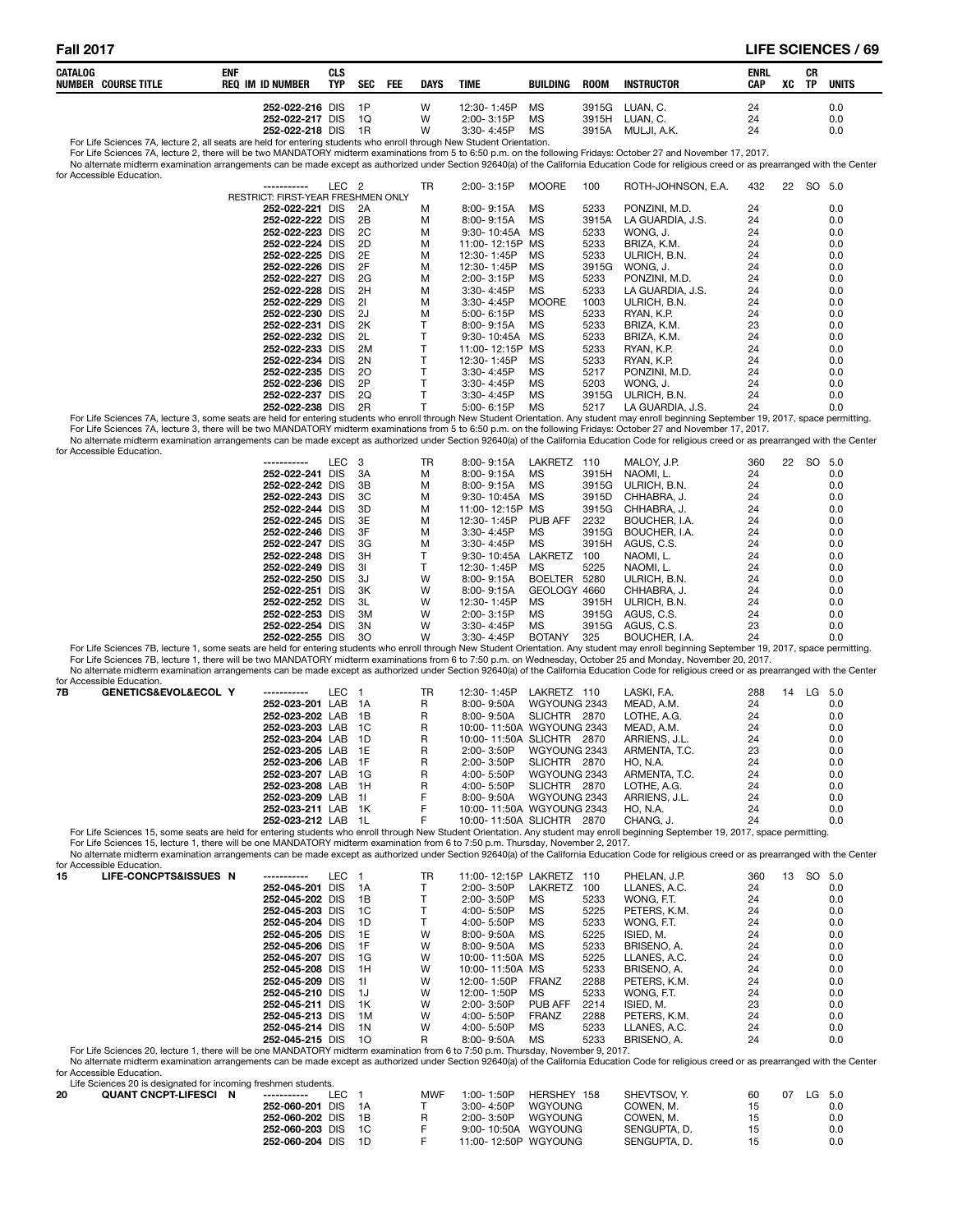#### **Fall 2017 LIFE SCIENCES / 69**

| CATALOG |                                                                                                                     | ENF |                  | <b>CLS</b> |            |            |             |                |           |             |             | ENRL       |    | CR        |       |
|---------|---------------------------------------------------------------------------------------------------------------------|-----|------------------|------------|------------|------------|-------------|----------------|-----------|-------------|-------------|------------|----|-----------|-------|
| NUMBER  | <b>COURSE TITLE</b>                                                                                                 |     | REQ IM ID NUMBER | TYP        | <b>SEC</b> | <b>FEE</b> | <b>DAYS</b> | <b>TIME</b>    | BUILDING  | <b>ROOM</b> | INSTRUCTOR  | <b>CAP</b> | XC | <b>TP</b> | UNITS |
|         |                                                                                                                     |     |                  |            |            |            |             |                |           |             |             |            |    |           |       |
|         |                                                                                                                     |     | 252-022-216 DIS  |            | - 1P       |            | W           | 12:30-1:45P    | MS        | 3915G       | LUAN. C.    | 24         |    |           | 0.0   |
|         |                                                                                                                     |     | 252-022-217 DIS  |            | 1Q         |            | W           | 2:00-3:15P     | MS        | 3915H       | LUAN. C.    | 24         |    |           | 0.0   |
|         |                                                                                                                     |     | 252-022-218 DIS  |            | -1R        |            | w           | $3:30 - 4:45P$ | <b>MS</b> | 3915A       | MULJI. A.K. | 24         |    |           | 0.0   |
|         | Earl ife Sciences 7A Jecture 2, all seats are held for entering students who enroll through New Student Orientation |     |                  |            |            |            |             |                |           |             |             |            |    |           |       |

For Life Sciences 7A, lecture 2, all seats are held for entering students who enroll through New Student Orientation.<br>For Life Sciences 7A, lecture 2, there will be two MANDATORY midterm examinations from 5 to 6:50 p.m. on

No alternate midterm examination arrangements can be made except as authorized under Section 92640(a) of the California Education Code for religious creed or as prearranged with the Center for Accessible Educa

| iui Accessibie Euucatiuii. |                                           |                  |    |    |                 |              |       |                    |     |    |        |     |
|----------------------------|-------------------------------------------|------------------|----|----|-----------------|--------------|-------|--------------------|-----|----|--------|-----|
|                            | -----------                               | LEC <sub>2</sub> |    | TR | 2:00-3:15P      | <b>MOORE</b> | 100   | ROTH-JOHNSON, E.A. | 432 | 22 | SO 5.0 |     |
|                            | <b>RESTRICT: FIRST-YEAR FRESHMEN ONLY</b> |                  |    |    |                 |              |       |                    |     |    |        |     |
|                            | 252-022-221 DIS                           |                  | 2A | м  | 8:00-9:15A      | <b>MS</b>    | 5233  | PONZINI, M.D.      | 24  |    |        | 0.0 |
|                            | 252-022-222 DIS                           |                  | 2B | М  | 8:00-9:15A      | MS           | 3915A | LA GUARDIA, J.S.   | 24  |    |        | 0.0 |
|                            | 252-022-223 DIS                           |                  | 2C | М  | 9:30- 10:45A    | MS           | 5233  | WONG. J.           | 24  |    |        | 0.0 |
|                            | 252-022-224 DIS                           |                  | 2D | м  | 11:00-12:15P MS |              | 5233  | BRIZA, K.M.        | 24  |    |        | 0.0 |
|                            | 252-022-225 DIS                           |                  | 2E | М  | 12:30-1:45P     | МS           | 5233  | ULRICH, B.N.       | 24  |    |        | 0.0 |
|                            | 252-022-226 DIS                           |                  | 2F | М  | 12:30-1:45P     | <b>MS</b>    | 3915G | WONG, J.           | 24  |    |        | 0.0 |
|                            | 252-022-227 DIS                           |                  | 2G | М  | $2:00 - 3:15P$  | <b>MS</b>    | 5233  | PONZINI, M.D.      | 24  |    |        | 0.0 |
|                            | 252-022-228 DIS                           |                  | 2H | М  | $3:30 - 4:45P$  | <b>MS</b>    | 5233  | LA GUARDIA. J.S.   | 24  |    |        | 0.0 |
|                            | 252-022-229 DIS                           |                  | 21 | М  | 3:30-4:45P      | <b>MOORE</b> | 1003  | ULRICH, B.N.       | 24  |    |        | 0.0 |
|                            | 252-022-230 DIS                           |                  | 2J | М  | $5:00 - 6:15P$  | МS           | 5233  | RYAN, K.P.         | 24  |    |        | 0.0 |
|                            | 252-022-231 DIS                           |                  | 2K |    | 8:00-9:15A      | МS           | 5233  | BRIZA, K.M.        | 23  |    |        | 0.0 |
|                            | 252-022-232 DIS                           |                  | 2L |    | 9:30-10:45A MS  |              | 5233  | BRIZA, K.M.        | 24  |    |        | 0.0 |
|                            | 252-022-233 DIS                           |                  | 2M |    | 11:00-12:15P MS |              | 5233  | RYAN, K.P.         | 24  |    |        | 0.0 |
|                            | 252-022-234 DIS                           |                  | 2N |    | 12:30-1:45P     | МS           | 5233  | RYAN, K.P.         | 24  |    |        | 0.0 |
|                            | 252-022-235 DIS                           |                  | 20 |    | $3:30 - 4:45P$  | <b>MS</b>    | 5217  | PONZINI, M.D.      | 24  |    |        | 0.0 |
|                            | 252-022-236 DIS                           |                  | 2P |    | 3:30-4:45P      | <b>MS</b>    | 5203  | WONG. J.           | 24  |    |        | 0.0 |
|                            | 252-022-237 DIS                           |                  | 2Q |    | 3:30-4:45P      | <b>MS</b>    | 3915G | ULRICH, B.N.       | 24  |    |        | 0.0 |
|                            | 252-022-238 DIS                           |                  | 2R |    | 5:00-6:15P      | MS           | 5217  | LA GUARDIA, J.S.   | 24  |    |        | 0.0 |

0.0 24 247. A GUARDIA, J.S. 24 24 262-022-238 DIS 2R T 5:00-6:15P MS 5217 LA GUARDIA, J.S. 24 24<br>.For Life Sciences 7A, lecture 3, some seats are held for entering students who enroll through New Student Orientation. Any s

For Life Sciences 7A, lecture 3, there will be two MANDATORY midterm examinations from 5 to 6:50 p.m. on the following Fridays: October 27 and November 17, 2017.<br>No alternate midterm examination arrangements can be made ex for Accessible Education.

| -----------     | LEC <sub>3</sub> |     | <b>TR</b> | $8:00 - 9:15A$  | LAKRETZ        | 110   | MALOY, J.P.   | 360 | 22 | SO 5.0 |     |
|-----------------|------------------|-----|-----------|-----------------|----------------|-------|---------------|-----|----|--------|-----|
| 252-022-241 DIS |                  | 3A  | м         | $8:00 - 9:15A$  | МS             | 3915H | NAOMI. L.     | 24  |    |        | 0.0 |
| 252-022-242 DIS |                  | 3B  | м         | 8:00-9:15A      | МS             | 3915G | ULRICH, B.N.  | 24  |    |        | 0.0 |
| 252-022-243 DIS |                  | 3C  | м         | 9:30-10:45A MS  |                | 3915D | CHHABRA, J.   | 24  |    |        | 0.0 |
| 252-022-244 DIS |                  | 3D  | м         | 11:00-12:15P MS |                | 3915G | CHHABRA. J.   | 24  |    |        | 0.0 |
| 252-022-245 DIS |                  | 3E  | М         | 12:30-1:45P     | PUB AFF        | 2232  | BOUCHER, I.A. | 24  |    |        | 0.0 |
| 252-022-246 DIS |                  | 3F  | м         | 3:30-4:45P      | MS             | 3915G | BOUCHER, I.A. | 24  |    |        | 0.0 |
| 252-022-247 DIS |                  | -3G | м         | 3:30-4:45P      | МS             | 3915H | AGUS, C.S.    | 24  |    |        | 0.0 |
| 252-022-248 DIS |                  | 3H  |           | 9:30-10:45A     | LAKRETZ        | 100   | NAOMI. L.     | 24  |    |        | 0.0 |
| 252-022-249 DIS |                  | 31  |           | 12:30-1:45P     | МS             | 5225  | NAOMI. L.     | 24  |    |        | 0.0 |
| 252-022-250 DIS |                  | -3J | W         | 8:00-9:15A      | <b>BOELTER</b> | 5280  | ULRICH, B.N.  | 24  |    |        | 0.0 |
| 252-022-251 DIS |                  | 3K  | W         | $8:00 - 9:15A$  | <b>GEOLOGY</b> | 4660  | CHHABRA, J.   | 24  |    |        | 0.0 |
| 252-022-252 DIS |                  | -3L | W         | 12:30-1:45P     | МS             | 3915H | ULRICH, B.N.  | 24  |    |        | 0.0 |
| 252-022-253 DIS |                  | ЗM  | W         | 2:00-3:15P      | МS             | 3915G | AGUS, C.S.    | 24  |    |        | 0.0 |
| 252-022-254 DIS |                  | 3N  | W         | $3:30 - 4:45P$  | MS             | 3915G | AGUS, C.S.    | 23  |    |        | 0.0 |
| 252-022-255 DIS |                  | 30  | W         | 3:30-4:45P      | <b>BOTANY</b>  | 325   | BOUCHER, I.A. | 24  |    |        | 0.0 |
|                 |                  |     |           |                 |                |       |               |     |    |        |     |

0.0 24 245 262-022-255 DIS 30 W 3:30-4:45P BOTANY 325 BOUCHER, I.A. 24 24 24 250.<br>.For Life Sciences 7B, lecture 1, some seats are held for entering students who enroll through New Student Orientation. Any student may enro For Life Sciences 7B, lecture 1, there will be two MANDATORY midterm examinations from 6 to 7:50 p.m. on Wednesday, October 25 and Monday, November 20, 2017.<br>No alternate midterm examination arrangements can be made except for Accessible Education

|    | <u>iui Accessibie Luucatiui i.</u>  |                    |       |    |                                                                                                                                                                                                                               |               |     |    |        |
|----|-------------------------------------|--------------------|-------|----|-------------------------------------------------------------------------------------------------------------------------------------------------------------------------------------------------------------------------------|---------------|-----|----|--------|
| 7B | <b>GENETICS&amp;EVOL&amp;ECOL Y</b> | ------------       | LEC 1 | TR | 12:30-1:45P<br>LAKRETZ 110                                                                                                                                                                                                    | LASKI. F.A.   | 288 | 14 | LG 5.0 |
|    |                                     | 252-023-201 LAB 1A |       | R  | 8:00-9:50A<br>WGYOUNG 2343                                                                                                                                                                                                    | MEAD. A.M.    | 24  |    | 0.0    |
|    |                                     | 252-023-202 LAB 1B |       | R  | SLICHTR 2870<br>8:00- 9:50A                                                                                                                                                                                                   | LOTHE, A.G.   | 24  |    | 0.0    |
|    |                                     | 252-023-203 LAB 1C |       | R  | 10:00-11:50A WGYOUNG 2343                                                                                                                                                                                                     | MEAD. A.M.    | 24  |    | 0.0    |
|    |                                     | 252-023-204 LAB 1D |       | R  | 10:00-11:50A SLICHTR 2870                                                                                                                                                                                                     | ARRIENS. J.L. | 24  |    | 0.0    |
|    |                                     | 252-023-205 LAB 1E |       | R  | 2:00-3:50P<br>WGYOUNG 2343                                                                                                                                                                                                    | ARMENTA, T.C. | 23  |    | 0.0    |
|    |                                     | 252-023-206 LAB 1F |       | R  | 2:00-3:50P<br>SLICHTR 2870                                                                                                                                                                                                    | HO. N.A.      | 24  |    | 0.0    |
|    |                                     | 252-023-207 LAB 1G |       | R  | 4:00- 5:50P<br>WGYOUNG 2343                                                                                                                                                                                                   | ARMENTA, T.C. | 24  |    | 0.0    |
|    |                                     | 252-023-208 LAB 1H |       | R  | $4:00 - 5:50P$<br>SLICHTR 2870                                                                                                                                                                                                | LOTHE, A.G.   | 24  |    | 0.0    |
|    |                                     | 252-023-209 LAB 11 |       | F  | WGYOUNG 2343<br>8:00-9:50A                                                                                                                                                                                                    | ARRIENS, J.L. | 24  |    | 0.0    |
|    |                                     | 252-023-211 LAB 1K |       | F  | 10:00-11:50A WGYOUNG 2343                                                                                                                                                                                                     | HO. N.A.      | 24  |    | 0.0    |
|    |                                     | 252-023-212 LAB 1L |       | F  | 10:00-11:50A SLICHTR 2870                                                                                                                                                                                                     | CHANG. J.     | 24  |    | 0.0    |
|    |                                     |                    |       |    | For the Astronometer composition in the formal development of constitutions and Astrophysical and the second tradedies and as a constitution of the second constitution of the second constitution of the second constitution |               |     |    |        |

ough New Student Orientation. Any student may enroll beginning September 19, 2017, space permitting.

For Life Sciences 15, lecture 1, there will be one MANDATORY midterm examination from 6 to 7:50 p.m. Thursday, November 2, 2017. No alternate midterm examination arrangements can be made except as authorized under Section 92640(a) of the California Education Code for religious creed or as prearranged with the Center for Accessible Education.

| 15 | LIFE-CONCPTS&ISSUES N                                                                                                           | -----------     | LEC. |     | TR | 11:00-12:15P LAKRETZ |              | 110  | PHELAN, J.P. | 360<br>13 | SO 5.0 |     |
|----|---------------------------------------------------------------------------------------------------------------------------------|-----------------|------|-----|----|----------------------|--------------|------|--------------|-----------|--------|-----|
|    |                                                                                                                                 | 252-045-201 DIS |      | 1A  |    | $2:00 - 3:50P$       | LAKRETZ      | 100  | LLANES, A.C. | 24        |        | 0.0 |
|    |                                                                                                                                 | 252-045-202 DIS |      | 1B  |    | 2:00-3:50P           | MS.          | 5233 | WONG. F.T.   | 24        |        | 0.0 |
|    |                                                                                                                                 | 252-045-203 DIS |      | 1C  |    | $4:00 - 5:50P$       | МS           | 5225 | PETERS. K.M. | 24        |        | 0.0 |
|    |                                                                                                                                 | 252-045-204 DIS |      | 1D. |    | 4:00- 5:50P          | МS           | 5233 | WONG. F.T.   | 24        |        | 0.0 |
|    |                                                                                                                                 | 252-045-205 DIS |      | 1 F | w  | $8:00 - 9:50A$       | MS.          | 5225 | ISIED. M.    | 24        |        | 0.0 |
|    |                                                                                                                                 | 252-045-206 DIS |      | 1F  | W  | 8:00-9:50A           | MS.          | 5233 | BRISENO. A.  | 24        |        | 0.0 |
|    |                                                                                                                                 | 252-045-207 DIS |      | 1G  | W  | 10:00-11:50A MS      |              | 5225 | LLANES, A.C. | 24        |        | 0.0 |
|    |                                                                                                                                 | 252-045-208 DIS |      | 1H  | w  | 10:00-11:50A MS      |              | 5233 | BRISENO, A.  | 24        |        | 0.0 |
|    |                                                                                                                                 | 252-045-209 DIS |      | -11 | W  | 12:00-1:50P          | <b>FRANZ</b> | 2288 | PETERS. K.M. | 24        |        | 0.0 |
|    |                                                                                                                                 | 252-045-210 DIS |      | -1J | w  | 12:00-1:50P          | MS.          | 5233 | WONG. F.T.   | 24        |        | 0.0 |
|    |                                                                                                                                 | 252-045-211 DIS |      | 1K  | W  | 2:00-3:50P           | PUB AFF      | 2214 | ISIED. M.    | 23        |        | 0.0 |
|    |                                                                                                                                 | 252-045-213 DIS |      | 1 M | W  | $4:00 - 5:50P$       | FRANZ        | 2288 | PETERS. K.M. | 24        |        | 0.0 |
|    |                                                                                                                                 | 252-045-214 DIS |      | 1 N | w  | $4:00 - 5:50P$       | MS.          | 5233 | LLANES, A.C. | 24        |        | 0.0 |
|    |                                                                                                                                 | 252-045-215 DIS |      | -10 | R. | 8:00-9:50A           | MS.          | 5233 | BRISENO, A.  | 24        |        | 0.0 |
|    | Eor Life Sciences 20, Jecture 1, there will be one MANDATORY midterm examination from 6 to 7:50 p.m. Thursday, November 9, 2017 |                 |      |     |    |                      |              |      |              |           |        |     |

For Life Sciences 20, lecture 1, there will be one MANDATORY midterm examination from 6 to 7:50 p.m. Thursday, November 9, 2017.<br>No alternate midterm examination arrangements can be made except as authorized under Section for Accessible Education.

|    | Life Sciences 20 is designated for incoming freshmen students. |                    |       |                |            |                      |                |              |    |    |        |     |
|----|----------------------------------------------------------------|--------------------|-------|----------------|------------|----------------------|----------------|--------------|----|----|--------|-----|
| 20 | QUANT CNCPT-LIFESCI N                                          | ------------       | LEC 1 |                | <b>MWF</b> | 1:00-1:50P           | HERSHEY<br>158 | SHEVTSOV, Y. | 60 | 07 | LG 5.0 |     |
|    |                                                                | 252-060-201 DIS    |       | - 1A           |            | $3:00 - 4:50P$       | WGYOUNG        | COWEN, M.    | 15 |    |        | 0.0 |
|    |                                                                | 252-060-202 DIS 1B |       |                |            | $2:00 - 3:50P$       | WGYOUNG        | COWEN, M.    | 15 |    |        | 0.0 |
|    |                                                                | 252-060-203 DIS    |       | $\overline{1}$ |            | 9:00-10:50A WGYOUNG  |                | SENGUPTA, D. | 15 |    |        | 0.0 |
|    |                                                                | 252-060-204 DIS 1D |       |                |            | 11:00-12:50P WGYOUNG |                | SENGUPTA, D. | 15 |    |        | 0.0 |
|    |                                                                |                    |       |                |            |                      |                |              |    |    |        |     |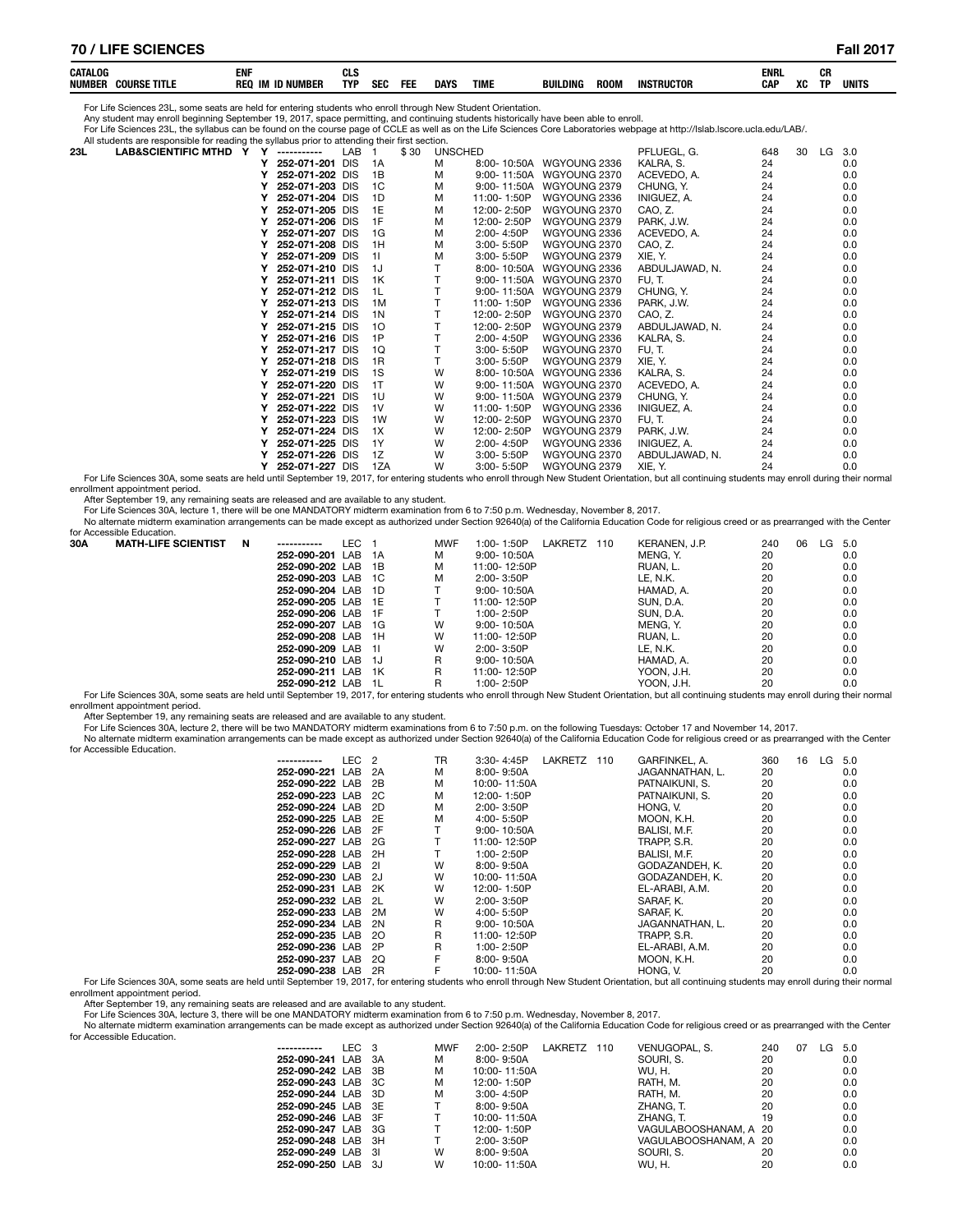| CATALOC<br><b>NUMBEI</b><br>Coursi<br>TITL | ENI<br><b>REC</b><br>ID NU.<br>- IM | TYP | ore. | FEL | <b>DAYS</b> | TIML | <b>BUILDING</b> | ROON | INSTRUCTOR | enrl<br><b>CAP</b> | <b>VC</b> | rп<br>vn<br>TD. | units         |
|--------------------------------------------|-------------------------------------|-----|------|-----|-------------|------|-----------------|------|------------|--------------------|-----------|-----------------|---------------|
|                                            |                                     |     | ы    |     |             |      |                 |      |            |                    | ΛU        |                 | $\sim$ $\sim$ |

For Life Sciences 23L, some seats are held for entering students who enroll through New Student Orientation.

Any student may enroll beginning September 19, 2017, space permitting, and continuing students historically have been able to enroll.

For Life Sciences 23L, the syllabus can be found on the course page of CCLE as well as on the Life Sciences Core Laboratories webpage at http://Islab.Iscore.ucla.edu/LAB/.<br>All students are responsible for reading the sylla

|     | All students are responsible for reading the syllabus prior to attending their lifst section. |   |                 |                  |      |                |             |                          |                |     |    |    |     |
|-----|-----------------------------------------------------------------------------------------------|---|-----------------|------------------|------|----------------|-------------|--------------------------|----------------|-----|----|----|-----|
| 23L | <b>LAB&amp;SCIENTIFIC MTHD Y</b>                                                              | Y | -----------     | LAB              | \$30 | <b>UNSCHED</b> |             |                          | PFLUEGL, G.    | 648 | 30 | LG | 3.0 |
|     |                                                                                               |   | 252-071-201     | <b>DIS</b><br>1A |      | м              |             | 8:00-10:50A WGYOUNG 2336 | KALRA, S.      | 24  |    |    | 0.0 |
|     |                                                                                               |   | 252-071-202 DIS |                  | 1B   | м              |             | 9:00-11:50A WGYOUNG 2370 | ACEVEDO, A.    | 24  |    |    | 0.0 |
|     |                                                                                               |   | 252-071-203 DIS |                  | 1C   | м              |             | 9:00-11:50A WGYOUNG 2379 | CHUNG, Y.      | 24  |    |    | 0.0 |
|     |                                                                                               |   | 252-071-204 DIS |                  | 1D   | м              | 11:00-1:50P | WGYOUNG 2336             | INIGUEZ, A.    | 24  |    |    | 0.0 |
|     |                                                                                               |   | 252-071-205 DIS | 1E               |      | м              | 12:00-2:50P | WGYOUNG 2370             | CAO, Z.        | 24  |    |    | 0.0 |
|     |                                                                                               |   | 252-071-206 DIS | 1F               |      | M              | 12:00-2:50P | WGYOUNG 2379             | PARK, J.W.     | 24  |    |    | 0.0 |
|     |                                                                                               |   | 252-071-207 DIS |                  | 1G   | M              | 2:00-4:50P  | WGYOUNG 2336             | ACEVEDO, A.    | 24  |    |    | 0.0 |
|     |                                                                                               |   | 252-071-208 DIS | 1H               |      | м              | 3:00-5:50P  | WGYOUNG 2370             | CAO, Z.        | 24  |    |    | 0.0 |
|     |                                                                                               |   | 252-071-209 DIS | 11               |      | м              | 3:00-5:50P  | WGYOUNG 2379             | XIE, Y.        | 24  |    |    | 0.0 |
|     |                                                                                               |   | 252-071-210 DIS | 1J               |      |                |             | 8:00-10:50A WGYOUNG 2336 | ABDULJAWAD, N. | 24  |    |    | 0.0 |
|     |                                                                                               |   | 252-071-211 DIS |                  | 1K   |                |             | 9:00-11:50A WGYOUNG 2370 | FU, T.         | 24  |    |    | 0.0 |
|     |                                                                                               |   | 252-071-212 DIS | -1L              |      |                | 9:00-11:50A | WGYOUNG 2379             | CHUNG, Y.      | 24  |    |    | 0.0 |
|     |                                                                                               |   | 252-071-213 DIS |                  | 1M   |                | 11:00-1:50P | WGYOUNG 2336             | PARK, J.W.     | 24  |    |    | 0.0 |
|     |                                                                                               |   | 252-071-214 DIS |                  | 1 N  |                | 12:00-2:50P | WGYOUNG 2370             | CAO, Z.        | 24  |    |    | 0.0 |
|     |                                                                                               |   | 252-071-215 DIS |                  | 10   |                | 12:00-2:50P | WGYOUNG 2379             | ABDULJAWAD, N. | 24  |    |    | 0.0 |
|     |                                                                                               |   | 252-071-216 DIS | 1P               |      |                | 2:00-4:50P  | WGYOUNG 2336             | KALRA, S.      | 24  |    |    | 0.0 |
|     |                                                                                               |   | 252-071-217 DIS |                  | 1Q   |                | 3:00-5:50P  | WGYOUNG 2370             | FU, T.         | 24  |    |    | 0.0 |
|     |                                                                                               |   | 252-071-218 DIS |                  | 1R   |                | 3:00-5:50P  | WGYOUNG 2379             | XIE, Y.        | 24  |    |    | 0.0 |
|     |                                                                                               |   | 252-071-219 DIS |                  | 1S   | W              | 8:00-10:50A | WGYOUNG 2336             | KALRA, S.      | 24  |    |    | 0.0 |
|     |                                                                                               |   | 252-071-220 DIS | 1T               |      | W              |             | 9:00-11:50A WGYOUNG 2370 | ACEVEDO, A.    | 24  |    |    | 0.0 |
|     |                                                                                               |   | 252-071-221 DIS | 1U               |      | w              | 9:00-11:50A | WGYOUNG 2379             | CHUNG, Y.      | 24  |    |    | 0.0 |
|     |                                                                                               |   | 252-071-222 DIS | 1V               |      | W              | 11:00-1:50P | WGYOUNG 2336             | INIGUEZ. A.    | 24  |    |    | 0.0 |
|     |                                                                                               |   | 252-071-223 DIS |                  | 1W   | W              | 12:00-2:50P | WGYOUNG 2370             | FU, T.         | 24  |    |    | 0.0 |
|     |                                                                                               |   | 252-071-224 DIS |                  | 1X   | w              | 12:00-2:50P | WGYOUNG 2379             | PARK, J.W.     | 24  |    |    | 0.0 |
|     |                                                                                               |   | 252-071-225 DIS | 1Y               |      | W              | 2:00-4:50P  | WGYOUNG 2336             | INIGUEZ, A.    | 24  |    |    | 0.0 |
|     |                                                                                               |   | 252-071-226 DIS |                  | 1Z   | W              | 3:00-5:50P  | WGYOUNG 2370             | ABDULJAWAD, N. | 24  |    |    | 0.0 |
|     |                                                                                               |   | 252-071-227 DIS |                  | 1ZA  | W              | 3:00-5:50P  | WGYOUNG 2379             | XIE, Y.        | 24  |    |    | 0.0 |

0.0 V 252-071-227 DIS 1ZA W 3:00- 5:50P WGYOUNG 2379 XIE, Y.<br>For Life Sciences 30A, some seats are held until September 19, 2017, for entering students who enroll through New Student Orientation, but all continuing student enrollment appointment period.

After September 19, any remaining seats are released and are available to any student.

For Life Sciences 30A, lecture 1, there will be one MANDATORY midterm examination from 6 to 7:50 p.m. Wednesday, November 8, 2017.<br>No altemate midterm examination arrangements can be made except as authorized under Section for Accessible Education.

| 30A | <b>MATH-LIFE SCIENTIST</b>                                                                                                                                                                      | N<br>----------- | LEC. |       | <b>MWF</b> | $1:00 - 1:50P$  | LAKRETZ | 110 | KERANEN, J.P. |    | 240 | 06 | $LG$ 5.0 |     |  |
|-----|-------------------------------------------------------------------------------------------------------------------------------------------------------------------------------------------------|------------------|------|-------|------------|-----------------|---------|-----|---------------|----|-----|----|----------|-----|--|
|     |                                                                                                                                                                                                 | 252-090-201 LAB  |      | 1A    | м          | $9:00 - 10:50A$ |         |     | MENG. Y.      | 20 |     |    |          | 0.0 |  |
|     |                                                                                                                                                                                                 | 252-090-202 LAB  |      | 1B    | м          | 11:00-12:50P    |         |     | RUAN. L.      | 20 |     |    |          | 0.0 |  |
|     |                                                                                                                                                                                                 | 252-090-203 LAB  |      | - 1 C | м          | $2:00 - 3:50P$  |         |     | LE. N.K.      | 20 |     |    |          | 0.0 |  |
|     |                                                                                                                                                                                                 | 252-090-204 LAB  |      | -1D   |            | 9:00-10:50A     |         |     | HAMAD. A.     | 20 |     |    |          | 0.0 |  |
|     |                                                                                                                                                                                                 | 252-090-205 LAB  |      | 1F    |            | 11:00-12:50P    |         |     | SUN. D.A.     | 20 |     |    |          | 0.0 |  |
|     |                                                                                                                                                                                                 | 252-090-206 LAB  |      | -1 F  |            | $1.00 - 2.50P$  |         |     | SUN. D.A.     | 20 |     |    |          | 0.0 |  |
|     |                                                                                                                                                                                                 | 252-090-207 LAB  |      | 1G    | w          | $9:00 - 10:50A$ |         |     | MENG. Y.      | 20 |     |    |          | 0.0 |  |
|     |                                                                                                                                                                                                 | 252-090-208 LAB  |      | 1H    | w          | 11:00-12:50P    |         |     | RUAN. L.      | 20 |     |    |          | 0.0 |  |
|     |                                                                                                                                                                                                 | 252-090-209 LAB  |      | -11   | W          | $2:00 - 3:50P$  |         |     | LE. N.K.      | 20 |     |    |          | 0.0 |  |
|     |                                                                                                                                                                                                 | 252-090-210 LAB  |      | - 1J  | R          | $9:00 - 10:50A$ |         |     | HAMAD. A.     | 20 |     |    |          | 0.0 |  |
|     |                                                                                                                                                                                                 | 252-090-211 LAB  |      | 1K    | R          | 11:00-12:50P    |         |     | YOON. J.H.    | 20 |     |    |          | 0.0 |  |
|     |                                                                                                                                                                                                 | 252-090-212 LAB  |      | -11   |            | $1:00 - 2:50P$  |         |     | YOON. J.H.    | 20 |     |    |          | 0.0 |  |
|     | Fer Life Coinness 200, come seate are beld until Contamber 10, 2017, for entaring students who annall through New Ctudent Orientation, but all continuing students may annall during their norm |                  |      |       |            |                 |         |     |               |    |     |    |          |     |  |

are held until September 19, 2017, for entering students who enroll through New Student Orientation, but all continuing students may enroll during their normal enrollment appointment period.

After September 19, any remaining seats are released and are available to any student.

For Life Sciences 30A, lecture 2, there will be two MANDATORY midterm examinations from 6 to 7:50 p.m. on the following Tuesdays: October 17 and November 14, 2017.<br>No altemate midterm examination arrangements can be made e

for Accessible Education.

| for Accessible Education. |                 |                  |      |    |                 |         |     |                 |     |    |        |     |
|---------------------------|-----------------|------------------|------|----|-----------------|---------|-----|-----------------|-----|----|--------|-----|
|                           | -----------     | LEC <sub>2</sub> |      | TR | $3:30 - 4:45P$  | LAKRETZ | 110 | GARFINKEL, A.   | 360 | 16 | LG 5.0 |     |
|                           | 252-090-221 LAB |                  | 2A   | м  | 8:00-9:50A      |         |     | JAGANNATHAN, L. | 20  |    |        | 0.0 |
|                           | 252-090-222 LAB |                  | 2B   | M  | 10:00-11:50A    |         |     | PATNAIKUNI, S.  | 20  |    |        | 0.0 |
|                           | 252-090-223 LAB |                  | - 2C | м  | 12:00-1:50P     |         |     | PATNAIKUNI, S.  | 20  |    |        | 0.0 |
|                           | 252-090-224 LAB |                  | - 2D | м  | 2:00-3:50P      |         |     | HONG, V.        | 20  |    |        | 0.0 |
|                           | 252-090-225 LAB |                  | - 2E | м  | 4:00- 5:50P     |         |     | MOON, K.H.      | 20  |    |        | 0.0 |
|                           | 252-090-226 LAB |                  | - 2F |    | $9:00 - 10:50A$ |         |     | BALISI, M.F.    | 20  |    |        | 0.0 |
|                           | 252-090-227 LAB |                  | 2G   |    | 11:00-12:50P    |         |     | TRAPP, S.R.     | 20  |    |        | 0.0 |
|                           | 252-090-228 LAB |                  | 2H   |    | 1:00-2:50P      |         |     | BALISI, M.F.    | 20  |    |        | 0.0 |
|                           | 252-090-229 LAB |                  | -21  | W  | 8:00-9:50A      |         |     | GODAZANDEH. K.  | 20  |    |        | 0.0 |
|                           | 252-090-230 LAB |                  | -2.1 | W  | 10:00-11:50A    |         |     | GODAZANDEH. K.  | 20  |    |        | 0.0 |
|                           | 252-090-231 LAB |                  | 2K   | W  | 12:00-1:50P     |         |     | EL-ARABI, A.M.  | 20  |    |        | 0.0 |
|                           | 252-090-232 LAB |                  | - 2L | W  | 2:00-3:50P      |         |     | SARAF. K.       | 20  |    |        | 0.0 |
|                           | 252-090-233 LAB |                  | 2M   | W  | 4:00-5:50P      |         |     | SARAF, K.       | 20  |    |        | 0.0 |
|                           | 252-090-234 LAB |                  | 2N   | R  | $9:00 - 10:50A$ |         |     | JAGANNATHAN. L. | 20  |    |        | 0.0 |
|                           | 252-090-235 LAB |                  | -20  | R  | 11:00-12:50P    |         |     | TRAPP. S.R.     | 20  |    |        | 0.0 |
|                           | 252-090-236 LAB |                  | 2P   | R  | 1:00-2:50P      |         |     | EL-ARABI, A.M.  | 20  |    |        | 0.0 |
|                           | 252-090-237 LAB |                  | 2Q   |    | 8:00-9:50A      |         |     | MOON. K.H.      | 20  |    |        | 0.0 |
|                           | 252-090-238 LAB |                  | 2R   |    | 10:00-11:50A    |         |     | HONG. V.        | 20  |    |        | 0.0 |

0.0 20 20<br>For Life Sciences 30A, some seats are held until September 19, 2017, for entering students who enroll through New Student Orientation, but all continuing students may enroll during their normal enrollment appointment period.

After September 19, any remaining seats are released and are available to any student.

For Life Sciences 30A, lecture 3, there will be one MANDATORY midterm examination from 6 to 7:50 p.m. Wednesday, November 8, 2017.

No alternate midterm examination arrangements can be made except as authorized under Section 92640(a) of the California Education Code for religious creed or as prearranged with the Center for Accessible Education.

| -----------        | LEC 3 | <b>MWF</b> | LAKRETZ<br>2:00-2:50P | 110 | VENUGOPAL, S.         | 240 | 07 | LG | -5.0 |
|--------------------|-------|------------|-----------------------|-----|-----------------------|-----|----|----|------|
| 252-090-241 LAB 3A |       | м          | 8:00-9:50A            |     | SOURI, S.             | 20  |    |    | 0.0  |
| 252-090-242 LAB 3B |       | м          | 10:00-11:50A          |     | WU. H.                | 20  |    |    | 0.0  |
| 252-090-243 LAB 3C |       | м          | 12:00-1:50P           |     | RATH. M.              | 20  |    |    | 0.0  |
| 252-090-244 LAB 3D |       | м          | 3:00-4:50P            |     | RATH, M.              | 20  |    |    | 0.0  |
| 252-090-245 LAB 3E |       |            | 8:00-9:50A            |     | ZHANG. T.             | 20  |    |    | 0.0  |
| 252-090-246 LAB 3F |       |            | 10:00-11:50A          |     | ZHANG. T.             | 19  |    |    | 0.0  |
| 252-090-247 LAB 3G |       |            | 12:00-1:50P           |     | VAGULABOOSHANAM, A 20 |     |    |    | 0.0  |
| 252-090-248 LAB 3H |       |            | 2:00-3:50P            |     | VAGULABOOSHANAM, A 20 |     |    |    | 0.0  |
| 252-090-249 LAB 3I |       | W          | $8.00 - 9.50A$        |     | SOURI, S.             | 20  |    |    | 0.0  |
| 252-090-250 LAB 3J |       | W          | 10:00-11:50A          |     | <b>WU.H.</b>          | 20  |    |    | 0.0  |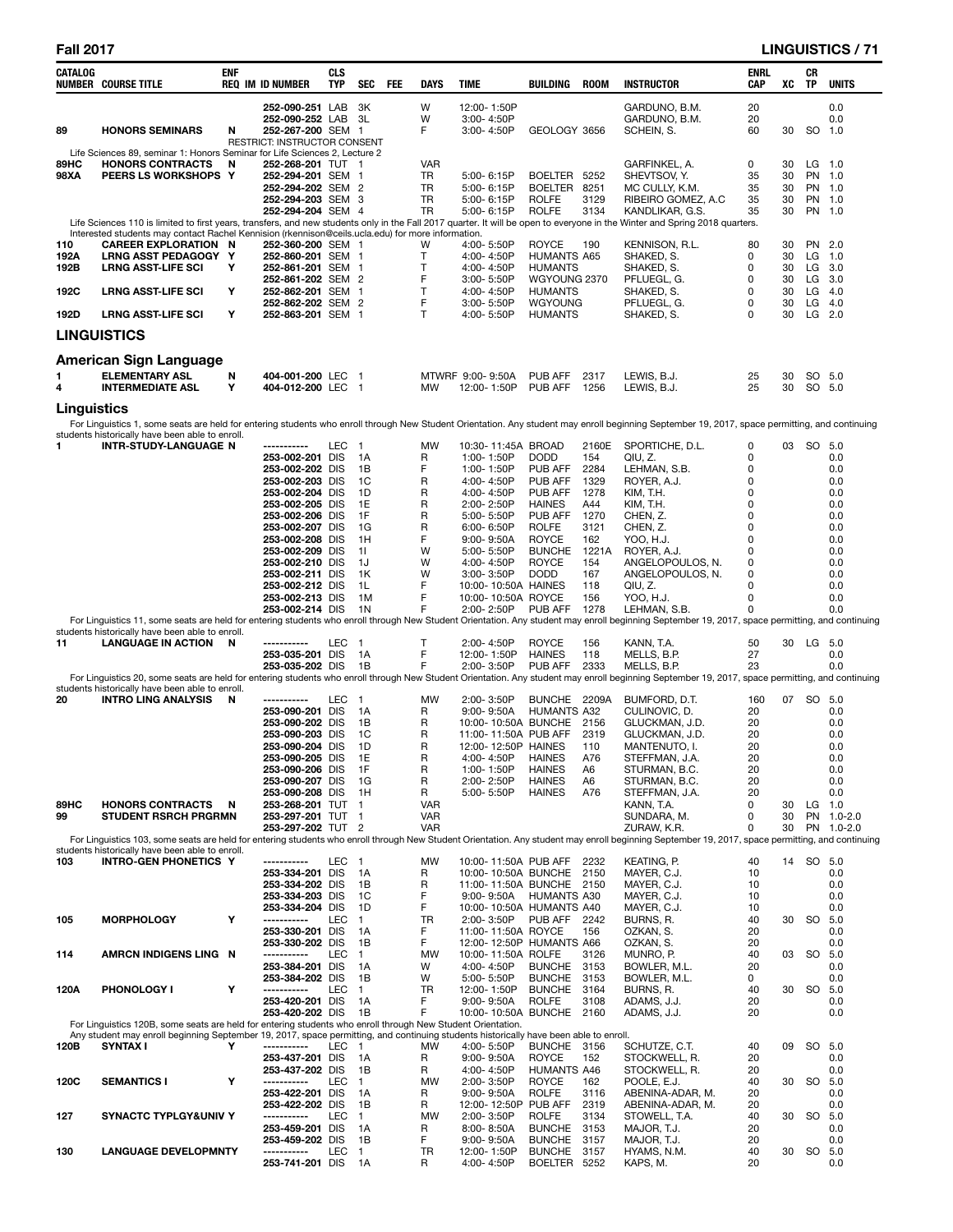| CATALOG      | <b>NUMBER COURSE TITLE</b>                                                                                                                                                                                                                           | <b>ENF</b> | <b>REQ IM ID NUMBER</b>                           | <b>CLS</b><br>TYP | <b>SEC</b>         | FEE | DAYS                     | <b>TIME</b>                     |             | BUILDING                                       | <b>ROOM</b>          | <b>INSTRUCTOR</b>                                                                                                                                                                                | <b>ENRL</b><br><b>CAP</b> | XC       | CR<br><b>TP</b>    | <b>UNITS</b>       |
|--------------|------------------------------------------------------------------------------------------------------------------------------------------------------------------------------------------------------------------------------------------------------|------------|---------------------------------------------------|-------------------|--------------------|-----|--------------------------|---------------------------------|-------------|------------------------------------------------|----------------------|--------------------------------------------------------------------------------------------------------------------------------------------------------------------------------------------------|---------------------------|----------|--------------------|--------------------|
|              |                                                                                                                                                                                                                                                      |            | 252-090-251 LAB                                   |                   | - 3K               |     | W                        | 12:00-1:50P                     |             |                                                |                      | GARDUNO, B.M.                                                                                                                                                                                    | 20                        |          |                    | 0.0                |
|              |                                                                                                                                                                                                                                                      |            | 252-090-252 LAB                                   |                   | - 3L               |     | W                        | 3:00-4:50P                      |             |                                                |                      | GARDUNO, B.M.                                                                                                                                                                                    | 20                        |          |                    | 0.0                |
| 89           | <b>HONORS SEMINARS</b>                                                                                                                                                                                                                               | N          | 252-267-200 SEM 1<br>RESTRICT: INSTRUCTOR CONSENT |                   |                    |     | F                        | $3:00 - 4:50P$                  |             | GEOLOGY 3656                                   |                      | SCHEIN, S.                                                                                                                                                                                       | 60                        | 30       | SO 1.0             |                    |
|              | Life Sciences 89, seminar 1: Honors Seminar for Life Sciences 2, Lecture 2                                                                                                                                                                           |            |                                                   |                   |                    |     |                          |                                 |             |                                                |                      |                                                                                                                                                                                                  |                           |          |                    |                    |
| 89HC<br>98XA | <b>HONORS CONTRACTS</b><br>PEERS LS WORKSHOPS Y                                                                                                                                                                                                      | N          | 252-268-201 TUT 1<br>252-294-201 SEM 1            |                   |                    |     | <b>VAR</b><br>TR         | 5:00-6:15P                      |             | BOELTER                                        | 5252                 | GARFINKEL, A.<br>SHEVTSOV, Y.                                                                                                                                                                    | 0<br>35                   | 30<br>30 | $LG$ 1.0<br>PN 1.0 |                    |
|              |                                                                                                                                                                                                                                                      |            | 252-294-202 SEM 2                                 |                   |                    |     | TR                       | 5:00-6:15P                      |             | BOELTER 8251                                   |                      | MC CULLY, K.M.                                                                                                                                                                                   | 35                        | 30       | PN 1.0             |                    |
|              |                                                                                                                                                                                                                                                      |            | 252-294-203 SEM 3                                 |                   |                    |     | <b>TR</b>                | 5:00-6:15P                      |             | <b>ROLFE</b>                                   | 3129                 | RIBEIRO GOMEZ, A.C                                                                                                                                                                               | 35                        | 30       | PN 1.0             |                    |
|              |                                                                                                                                                                                                                                                      |            | 252-294-204 SEM 4                                 |                   |                    |     | <b>TR</b>                | 5:00- 6:15P                     |             | <b>ROLFE</b>                                   | 3134                 | KANDLIKAR, G.S.<br>Life Sciences 110 is limited to first years, transfers, and new students only in the Fall 2017 quarter. It will be open to everyone in the Winter and Spring 2018 quarters.   | 35                        | 30       | PN 1.0             |                    |
|              | Interested students may contact Rachel Kennision (rkennison@ceils.ucla.edu) for more information.                                                                                                                                                    |            |                                                   |                   |                    |     |                          |                                 |             |                                                |                      |                                                                                                                                                                                                  |                           |          |                    |                    |
| 110<br>192A  | <b>CAREER EXPLORATION N</b><br>LRNG ASST PEDAGOGY Y                                                                                                                                                                                                  |            | 252-360-200 SEM 1<br>252-860-201 SEM 1            |                   |                    |     | w<br>Т                   | 4:00-5:50P<br>4:00-4:50P        |             | <b>ROYCE</b><br><b>HUMANTS A65</b>             | 190                  | Kennison, R.L.<br>SHAKED, S.                                                                                                                                                                     | 80<br>0                   | 30<br>30 | PN 2.0<br>LG       | $1.0$              |
| 192B         | <b>LRNG ASST-LIFE SCI</b>                                                                                                                                                                                                                            | Y          | 252-861-201 SEM 1                                 |                   |                    |     | Т                        | 4:00-4:50P                      |             | <b>HUMANTS</b>                                 |                      | SHAKED, S.                                                                                                                                                                                       | 0                         | 30       | LG                 | 3.0                |
| 192C         |                                                                                                                                                                                                                                                      | Υ          | 252-861-202 SEM 2<br>252-862-201 SEM 1            |                   |                    |     | F<br>Τ                   | $3:00 - 5:50P$<br>4:00-4:50P    |             | WGYOUNG 2370<br><b>HUMANTS</b>                 |                      | PFLUEGL, G.<br>SHAKED, S.                                                                                                                                                                        | 0<br>0                    | 30<br>30 | LG<br>LG           | - 3.0<br>4.0       |
|              | <b>LRNG ASST-LIFE SCI</b>                                                                                                                                                                                                                            |            | 252-862-202 SEM 2                                 |                   |                    |     | F                        | 3:00-5:50P                      |             | WGYOUNG                                        |                      | PFLUEGL, G.                                                                                                                                                                                      | 0                         | 30       | LG                 | 4.0                |
| 192D         | <b>LRNG ASST-LIFE SCI</b>                                                                                                                                                                                                                            | Υ          | 252-863-201 SEM 1                                 |                   |                    |     | $\mathsf{T}$             | 4:00-5:50P                      |             | <b>HUMANTS</b>                                 |                      | SHAKED, S.                                                                                                                                                                                       | 0                         | 30       | $LG$ 2.0           |                    |
|              | <b>LINGUISTICS</b>                                                                                                                                                                                                                                   |            |                                                   |                   |                    |     |                          |                                 |             |                                                |                      |                                                                                                                                                                                                  |                           |          |                    |                    |
|              |                                                                                                                                                                                                                                                      |            |                                                   |                   |                    |     |                          |                                 |             |                                                |                      |                                                                                                                                                                                                  |                           |          |                    |                    |
|              | <b>American Sign Language</b>                                                                                                                                                                                                                        |            |                                                   |                   |                    |     |                          |                                 |             |                                                |                      |                                                                                                                                                                                                  |                           |          |                    |                    |
| 1<br>4       | <b>ELEMENTARY ASL</b><br><b>INTERMEDIATE ASL</b>                                                                                                                                                                                                     | N<br>Y     | 404-001-200 LEC 1<br>404-012-200 LEC 1            |                   |                    |     | <b>MW</b>                | MTWRF 9:00-9:50A<br>12:00-1:50P |             | PUB AFF<br>PUB AFF                             | 2317<br>1256         | LEWIS, B.J.<br>LEWIS, B.J.                                                                                                                                                                       | 25<br>25                  | 30<br>30 | SO 5.0<br>SO 5.0   |                    |
|              |                                                                                                                                                                                                                                                      |            |                                                   |                   |                    |     |                          |                                 |             |                                                |                      |                                                                                                                                                                                                  |                           |          |                    |                    |
| Linguistics  |                                                                                                                                                                                                                                                      |            |                                                   |                   |                    |     |                          |                                 |             |                                                |                      | For Linguistics 1, some seats are held for entering students who enroll through New Student Orientation. Any student may enroll beginning September 19, 2017, space permitting, and continuing   |                           |          |                    |                    |
|              | students historically have been able to enroll.                                                                                                                                                                                                      |            |                                                   |                   |                    |     |                          |                                 |             |                                                |                      |                                                                                                                                                                                                  |                           |          |                    |                    |
| 1            | <b>INTR-STUDY-LANGUAGE N</b>                                                                                                                                                                                                                         |            | ------------                                      | LEC               | $\blacksquare$     |     | <b>MW</b>                |                                 |             | 10:30-11:45A BROAD                             | 2160E                | SPORTICHE, D.L.                                                                                                                                                                                  | 0                         | 03       | SO 5.0             |                    |
|              |                                                                                                                                                                                                                                                      |            | 253-002-201 DIS<br>253-002-202 DIS                |                   | 1A<br>1B           |     | R<br>F                   | 1:00-1:50P<br>1:00-1:50P        |             | <b>DODD</b><br>PUB AFF                         | 154<br>2284          | QIU, Z.<br>LEHMAN, S.B.                                                                                                                                                                          | 0<br>0                    |          |                    | 0.0<br>0.0         |
|              |                                                                                                                                                                                                                                                      |            | 253-002-203 DIS                                   |                   | 1C                 |     | R                        | 4:00-4:50P                      |             | PUB AFF                                        | 1329                 | ROYER, A.J.                                                                                                                                                                                      | 0                         |          |                    | 0.0                |
|              |                                                                                                                                                                                                                                                      |            | 253-002-204 DIS                                   |                   | 1D                 |     | R                        | 4:00-4:50P                      |             | PUB AFF                                        | 1278                 | KIM, T.H.                                                                                                                                                                                        | 0                         |          |                    | 0.0                |
|              |                                                                                                                                                                                                                                                      |            | 253-002-205 DIS<br>253-002-206 DIS                |                   | 1E<br>1F           |     | R<br>R                   | 2:00-2:50P<br>5:00-5:50P        |             | <b>HAINES</b><br>PUB AFF                       | A44<br>1270          | KIM, T.H.<br>CHEN, Z.                                                                                                                                                                            | 0<br>0                    |          |                    | 0.0<br>0.0         |
|              |                                                                                                                                                                                                                                                      |            | 253-002-207 DIS                                   |                   | 1G                 |     | R                        | 6:00- 6:50P                     |             | <b>ROLFE</b>                                   | 3121                 | CHEN, Z.                                                                                                                                                                                         | 0                         |          |                    | 0.0                |
|              |                                                                                                                                                                                                                                                      |            | 253-002-208 DIS                                   |                   | 1H                 |     | F                        | 9:00-9:50A                      |             | <b>ROYCE</b>                                   | 162                  | YOO, H.J.                                                                                                                                                                                        | 0                         |          |                    | 0.0                |
|              |                                                                                                                                                                                                                                                      |            | 253-002-209 DIS<br>253-002-210 DIS                |                   | 11<br>1J           |     | W<br>w                   | 5:00- 5:50P<br>4:00-4:50P       |             | <b>BUNCHE</b><br><b>ROYCE</b>                  | 1221A<br>154         | ROYER, A.J.<br>ANGELOPOULOS, N.                                                                                                                                                                  | 0<br>0                    |          |                    | 0.0<br>0.0         |
|              |                                                                                                                                                                                                                                                      |            | 253-002-211 DIS                                   |                   | 1K                 |     | W                        | 3:00-3:50P                      |             | <b>DODD</b>                                    | 167                  | ANGELOPOULOS, N.                                                                                                                                                                                 | 0                         |          |                    | 0.0                |
|              |                                                                                                                                                                                                                                                      |            | 253-002-212 DIS                                   |                   | 1L                 |     | F                        |                                 |             | 10:00-10:50A HAINES                            | 118                  | QIU, Z.                                                                                                                                                                                          | 0                         |          |                    | 0.0                |
|              |                                                                                                                                                                                                                                                      |            | 253-002-213 DIS<br>253-002-214 DIS                |                   | 1M<br>1N           |     | F<br>F                   | 2:00-2:50P                      |             | 10:00-10:50A ROYCE<br>PUB AFF                  | 156<br>1278          | YOO, H.J.<br>LEHMAN, S.B.                                                                                                                                                                        | 0<br>0                    |          |                    | 0.0<br>0.0         |
|              |                                                                                                                                                                                                                                                      |            |                                                   |                   |                    |     |                          |                                 |             |                                                |                      | For Linguistics 11, some seats are held for entering students who enroll through New Student Orientation. Any student may enroll beginning September 19, 2017, space permitting, and continuing  |                           |          |                    |                    |
| 11           | students historically have been able to enroll.<br><b>LANGUAGE IN ACTION</b>                                                                                                                                                                         | N          | -----------                                       | LEC               | $\overline{1}$     |     | Т                        | 2:00-4:50P                      |             | ROYCE                                          | 156                  | KANN, T.A.                                                                                                                                                                                       | 50                        | 30       | LG 5.0             |                    |
|              |                                                                                                                                                                                                                                                      |            | 253-035-201 DIS                                   |                   | 1A                 |     | F                        | 12:00-1:50P                     |             | <b>HAINES</b>                                  | 118                  | MELLS, B.P.                                                                                                                                                                                      | 27                        |          |                    | 0.0                |
|              |                                                                                                                                                                                                                                                      |            | 253-035-202 DIS                                   |                   | 1B                 |     | F                        | 2:00-3:50P                      |             | PUB AFF                                        | 2333                 | MELLS, B.P.                                                                                                                                                                                      | 23                        |          |                    | 0.0                |
|              | students historically have been able to enroll.                                                                                                                                                                                                      |            |                                                   |                   |                    |     |                          |                                 |             |                                                |                      | For Linguistics 20, some seats are held for entering students who enroll through New Student Orientation. Any student may enroll beginning September 19, 2017, space permitting, and continuing  |                           |          |                    |                    |
| 20           | <b>INTRO LING ANALYSIS</b>                                                                                                                                                                                                                           | N          | -----------                                       | LEC               | $\blacksquare$     |     | <b>MW</b>                | 2:00-3:50P                      |             | BUNCHE 2209A                                   |                      | BUMFORD, D.T.                                                                                                                                                                                    | 160                       | 07       | SO 5.0             |                    |
|              |                                                                                                                                                                                                                                                      |            | 253-090-201 DIS                                   |                   | 1A                 |     | R                        | $9:00 - 9:50A$                  |             | <b>HUMANTS A32</b>                             |                      | CULINOVIC, D.                                                                                                                                                                                    | 20                        |          |                    | 0.0                |
|              |                                                                                                                                                                                                                                                      |            | 253-090-202 DIS<br>253-090-203 DIS                |                   | 1B<br>1C           |     | R<br>R                   |                                 |             | 10:00-10:50A BUNCHE<br>11:00-11:50A PUB AFF    | 2156<br>2319         | GLUCKMAN, J.D.<br>GLUCKMAN, J.D.                                                                                                                                                                 | 20<br>20                  |          |                    | 0.0<br>0.0         |
|              |                                                                                                                                                                                                                                                      |            | 253-090-204 DIS                                   |                   | 1D                 |     | R                        |                                 |             | 12:00-12:50P HAINES                            | 110                  | MANTENUTO, I.                                                                                                                                                                                    | 20                        |          |                    | 0.0                |
|              |                                                                                                                                                                                                                                                      |            | 253-090-205 DIS                                   |                   | 1E                 |     | R                        |                                 | 4:00- 4:50P | <b>HAINES</b>                                  | A76                  | STEFFMAN, J.A.                                                                                                                                                                                   | 20                        |          |                    | 0.0                |
|              |                                                                                                                                                                                                                                                      |            | 253-090-206 DIS<br>253-090-207 DIS                |                   | 1F<br>1G           |     | R<br>R                   | 1:00-1:50P<br>2:00-2:50P        |             | <b>HAINES</b><br><b>HAINES</b>                 | A <sub>6</sub><br>A6 | STURMAN, B.C.<br>STURMAN, B.C.                                                                                                                                                                   | 20<br>20                  |          |                    | 0.0<br>0.0         |
|              |                                                                                                                                                                                                                                                      |            | 253-090-208 DIS                                   |                   | 1H                 |     | R                        | 5:00-5:50P                      |             | <b>HAINES</b>                                  | A76                  | STEFFMAN, J.A.                                                                                                                                                                                   | 20                        |          |                    | 0.0                |
| 89HC<br>99   | <b>HONORS CONTRACTS</b><br><b>STUDENT RSRCH PRGRMN</b>                                                                                                                                                                                               | N          | 253-268-201 TUT<br>253-297-201 TUT                |                   | $\mathbf{1}$<br>-1 |     | <b>VAR</b><br><b>VAR</b> |                                 |             |                                                |                      | KANN, T.A.                                                                                                                                                                                       | 0<br>0                    | 30<br>30 | LG<br>PN           | 1.0<br>$1.0 - 2.0$ |
|              |                                                                                                                                                                                                                                                      |            | 253-297-202 TUT                                   |                   | $\overline{2}$     |     | <b>VAR</b>               |                                 |             |                                                |                      | SUNDARA, M.<br>ZURAW, K.R.                                                                                                                                                                       | 0                         | 30       | PN                 | $1.0 - 2.0$        |
|              | students historically have been able to enroll.                                                                                                                                                                                                      |            |                                                   |                   |                    |     |                          |                                 |             |                                                |                      | For Linguistics 103, some seats are held for entering students who enroll through New Student Orientation. Any student may enroll beginning September 19, 2017, space permitting, and continuing |                           |          |                    |                    |
| 103          | <b>INTRO-GEN PHONETICS Y</b>                                                                                                                                                                                                                         |            | -----------                                       | LEC               | $\overline{1}$     |     | <b>MW</b>                |                                 |             | 10:00-11:50A PUB AFF                           | 2232                 | KEATING, P.                                                                                                                                                                                      | 40                        |          | 14 SO 5.0          |                    |
|              |                                                                                                                                                                                                                                                      |            | 253-334-201 DIS                                   |                   | 1A                 |     | R                        |                                 |             | 10:00-10:50A BUNCHE                            | 2150                 | MAYER, C.J.                                                                                                                                                                                      | 10                        |          |                    | 0.0                |
|              |                                                                                                                                                                                                                                                      |            | 253-334-202 DIS<br>253-334-203 DIS                |                   | 1B<br>1C           |     | R<br>F                   | 9:00- 9:50A                     |             | 11:00-11:50A BUNCHE<br><b>HUMANTS A30</b>      | 2150                 | MAYER, C.J.<br>MAYER, C.J.                                                                                                                                                                       | 10<br>10                  |          |                    | 0.0<br>0.0         |
|              |                                                                                                                                                                                                                                                      |            | 253-334-204 DIS                                   |                   | 1D                 |     | F                        |                                 |             | 10:00-10:50A HUMANTS A40                       |                      | MAYER, C.J.                                                                                                                                                                                      | 10                        |          |                    | 0.0                |
| 105          | <b>MORPHOLOGY</b>                                                                                                                                                                                                                                    | Υ          | -----------                                       | LEC               | $\mathbf{1}$       |     | TR                       | 2:00-3:50P                      |             | PUB AFF                                        | 2242                 | BURNS, R.                                                                                                                                                                                        | 40                        | 30       | <b>SO</b>          | 5.0                |
|              |                                                                                                                                                                                                                                                      |            | 253-330-201 DIS<br>253-330-202 DIS                |                   | 1A<br>1B           |     | F<br>F                   |                                 |             | 11:00-11:50A ROYCE<br>12:00-12:50P HUMANTS A66 | 156                  | OZKAN, S.<br>OZKAN, S.                                                                                                                                                                           | 20<br>20                  |          |                    | 0.0<br>0.0         |
| 114          | AMRCN INDIGENS LING N                                                                                                                                                                                                                                |            | -----------                                       | LEC               | $\mathbf{1}$       |     | <b>MW</b>                |                                 |             | 10:00-11:50A ROLFE                             | 3126                 | MUNRO, P.                                                                                                                                                                                        | 40                        | 03       | SO 5.0             |                    |
|              |                                                                                                                                                                                                                                                      |            | 253-384-201 DIS                                   |                   | 1A                 |     | W                        | 4:00-4:50P                      |             | <b>BUNCHE</b>                                  | 3153                 | BOWLER, M.L.                                                                                                                                                                                     | 20                        |          |                    | 0.0                |
| 120A         | <b>PHONOLOGY I</b>                                                                                                                                                                                                                                   | Y          | 253-384-202 DIS<br>-----------                    | LEC               | 1B<br>$\mathbf{1}$ |     | W<br><b>TR</b>           | 5:00-5:50P<br>12:00-1:50P       |             | <b>BUNCHE</b><br><b>BUNCHE</b>                 | 3153<br>3164         | BOWLER, M.L.<br>BURNS, R.                                                                                                                                                                        | 0<br>40                   | 30       | <b>SO</b>          | 0.0<br>5.0         |
|              |                                                                                                                                                                                                                                                      |            | 253-420-201 DIS                                   |                   | 1A                 |     | F                        | 9:00-9:50A                      |             | <b>ROLFE</b>                                   | 3108                 | ADAMS, J.J.                                                                                                                                                                                      | 20                        |          |                    | 0.0                |
|              |                                                                                                                                                                                                                                                      |            | 253-420-202 DIS                                   |                   | 1B                 |     | F                        |                                 |             | 10:00-10:50A BUNCHE                            | 2160                 | ADAMS, J.J.                                                                                                                                                                                      | 20                        |          |                    | 0.0                |
|              | For Linguistics 120B, some seats are held for entering students who enroll through New Student Orientation.<br>Any student may enroll beginning September 19, 2017, space permitting, and continuing students historically have been able to enroll. |            |                                                   |                   |                    |     |                          |                                 |             |                                                |                      |                                                                                                                                                                                                  |                           |          |                    |                    |
| 120B         | SYNTAX I                                                                                                                                                                                                                                             | Y          | -----------                                       | <b>LEC</b>        | $\mathbf{1}$       |     | MW                       | 4:00-5:50P                      |             | <b>BUNCHE</b>                                  | 3156                 | SCHUTZE, C.T.                                                                                                                                                                                    | 40                        | 09       | <b>SO</b>          | 5.0                |
|              |                                                                                                                                                                                                                                                      |            | 253-437-201 DIS<br>253-437-202 DIS                |                   | 1A<br>1B           |     | R<br>R                   | 9:00-9:50A<br>4:00-4:50P        |             | <b>ROYCE</b><br><b>HUMANTS A46</b>             | 152                  | STOCKWELL, R.<br>STOCKWELL, R.                                                                                                                                                                   | 20<br>20                  |          |                    | 0.0<br>0.0         |
| 120C         | <b>SEMANTICS I</b>                                                                                                                                                                                                                                   | Υ          | -----------                                       | LEC               | $\mathbf{1}$       |     | <b>MW</b>                | 2:00-3:50P                      |             | <b>ROYCE</b>                                   | 162                  | POOLE, E.J.                                                                                                                                                                                      | 40                        | 30       | SO                 | 5.0                |
|              |                                                                                                                                                                                                                                                      |            | 253-422-201 DIS                                   |                   | 1A                 |     | R                        | $9:00 - 9:50A$                  |             | <b>ROLFE</b>                                   | 3116                 | ABENINA-ADAR, M.                                                                                                                                                                                 | 20                        |          |                    | 0.0                |
| 127          | SYNACTC TYPLGY&UNIV Y                                                                                                                                                                                                                                |            | 253-422-202 DIS<br>-----------                    | LEC               | 1B<br>$\mathbf{1}$ |     | R<br><b>MW</b>           | 2:00-3:50P                      |             | 12:00-12:50P PUB AFF<br><b>ROLFE</b>           | 2319<br>3134         | ABENINA-ADAR, M.<br>STOWELL, T.A.                                                                                                                                                                | 20<br>40                  | 30       | <b>SO</b>          | 0.0<br>5.0         |
|              |                                                                                                                                                                                                                                                      |            | 253-459-201 DIS                                   |                   | 1A                 |     | R                        | $8:00 - 8:50A$                  |             | <b>BUNCHE</b>                                  | 3153                 | MAJOR, T.J.                                                                                                                                                                                      | 20                        |          |                    | 0.0                |
|              |                                                                                                                                                                                                                                                      |            | 253-459-202 DIS                                   |                   | 1B                 |     | F                        | $9:00 - 9:50A$                  |             | <b>BUNCHE</b>                                  | 3157                 | MAJOR, T.J.                                                                                                                                                                                      | 20                        |          |                    | 0.0                |
| 130          | <b>LANGUAGE DEVELOPMNTY</b>                                                                                                                                                                                                                          |            | -----------<br>253-741-201 DIS                    | LEC               | $\mathbf{1}$<br>1A |     | TR<br>R                  | 12:00-1:50P<br>4:00-4:50P       |             | <b>BUNCHE</b><br>BOELTER 5252                  | 3157                 | HYAMS, N.M.<br>KAPS, M.                                                                                                                                                                          | 40<br>20                  | 30       | SO 5.0             | 0.0                |
|              |                                                                                                                                                                                                                                                      |            |                                                   |                   |                    |     |                          |                                 |             |                                                |                      |                                                                                                                                                                                                  |                           |          |                    |                    |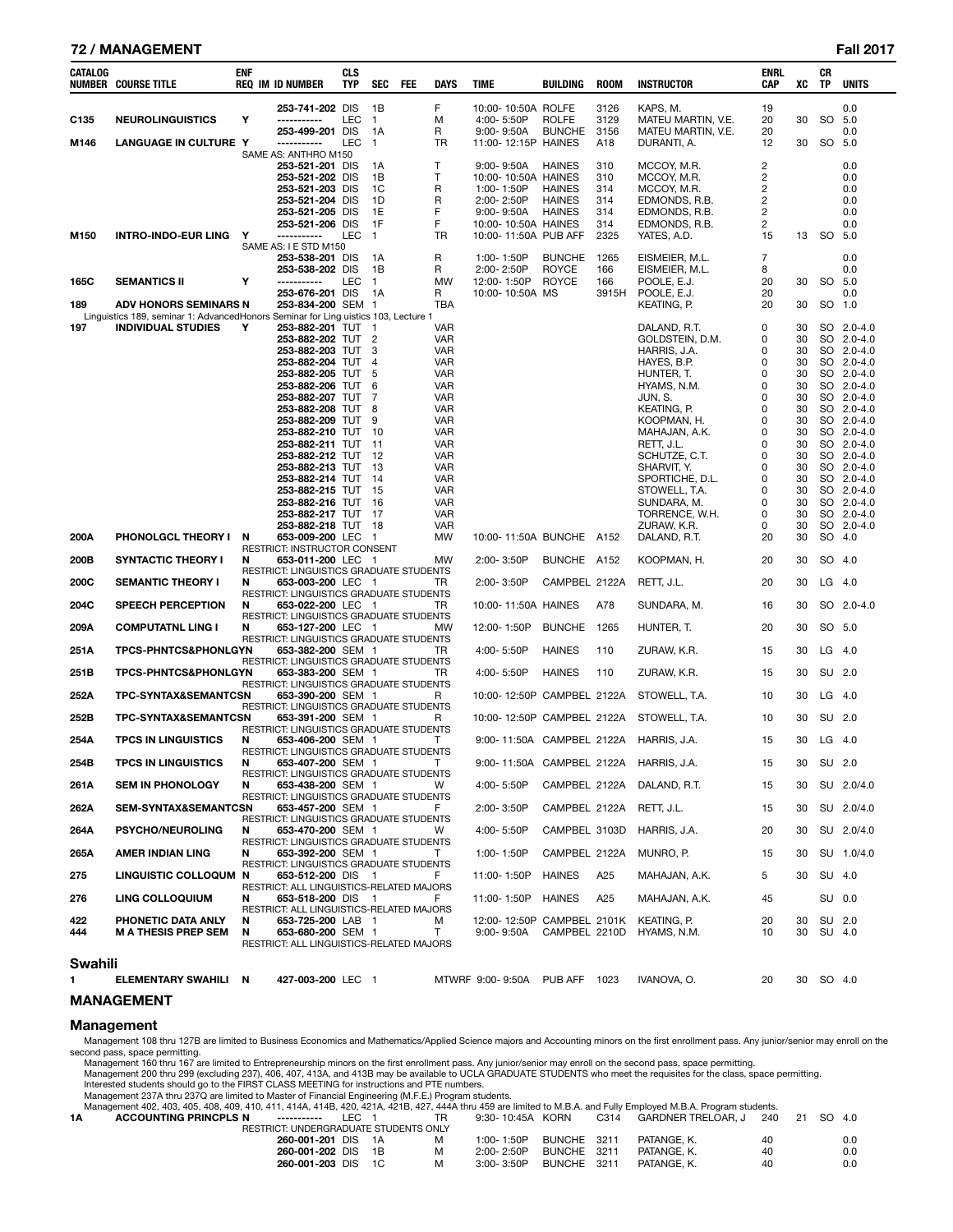### **72 / MANAGEMENT Fall 2017**

| CATALOG | NUMBER COURSE TITLE                                                                | <b>ENF</b> | <b>REQ IM ID NUMBER</b>                                                 | <b>CLS</b><br><b>TYP</b> | SEC                    | <b>FEE</b> | DAYS                     | TIME                                   | BUILDING                       | <b>ROOM</b>  | <b>INSTRUCTOR</b>                      | <b>ENRL</b><br>CAP | xс       | CR<br><b>TP</b> | <b>UNITS</b>             |
|---------|------------------------------------------------------------------------------------|------------|-------------------------------------------------------------------------|--------------------------|------------------------|------------|--------------------------|----------------------------------------|--------------------------------|--------------|----------------------------------------|--------------------|----------|-----------------|--------------------------|
| C135    | <b>NEUROLINGUISTICS</b>                                                            | Y          | 253-741-202 DIS<br>-----------                                          | LEC                      | 1B<br>$\mathbf{1}$     |            | F<br>М                   | 10:00-10:50A ROLFE<br>4:00-5:50P       | <b>ROLFE</b>                   | 3126<br>3129 | KAPS, M.<br>MATEU MARTIN, V.E.         | 19<br>20           | 30       | <b>SO</b>       | 0.0<br>5.0               |
|         |                                                                                    |            | 253-499-201 DIS                                                         |                          | 1A                     |            | R                        | $9:00 - 9:50A$                         | <b>BUNCHE</b>                  | 3156         | MATEU MARTIN, V.E.                     | 20                 |          |                 | 0.0                      |
| M146    | <b>LANGUAGE IN CULTURE Y</b>                                                       |            | -----------<br>SAME AS: ANTHRO M150                                     | <b>LEC</b>               | $\mathbf{1}$           |            | TR                       | 11:00-12:15P HAINES                    |                                | A18          | DURANTI, A.                            | 12                 | 30       | <b>SO</b>       | 5.0                      |
|         |                                                                                    |            | 253-521-201 DIS                                                         |                          | 1A                     |            | $\mathsf{T}$             | $9:00 - 9:50A$                         | HAINES                         | 310          | MCCOY, M.R.                            | 2                  |          |                 | 0.0                      |
|         |                                                                                    |            | 253-521-202 DIS                                                         |                          | 1B                     |            | т                        | 10:00-10:50A HAINES                    |                                | 310          | MCCOY, M.R.                            | 2                  |          |                 | 0.0                      |
|         |                                                                                    |            | 253-521-203 DIS<br>253-521-204 DIS                                      |                          | 1C<br>1D               |            | R<br>R                   | 1:00-1:50P<br>2:00-2:50P               | <b>HAINES</b><br><b>HAINES</b> | 314<br>314   | MCCOY, M.R.<br>EDMONDS, R.B.           | 2<br>2             |          |                 | 0.0<br>0.0               |
|         |                                                                                    |            | 253-521-205 DIS                                                         |                          | 1E                     |            | F                        | $9:00 - 9:50A$                         | <b>HAINES</b>                  | 314          | EDMONDS, R.B.                          | 2                  |          |                 | 0.0                      |
|         |                                                                                    |            | 253-521-206 DIS                                                         |                          | 1F                     |            | F                        | 10:00-10:50A HAINES                    |                                | 314          | EDMONDS, R.B.                          | 2                  |          |                 | 0.0                      |
| M150    | <b>INTRO-INDO-EUR LING</b>                                                         | Y          | -----------<br>SAME AS: I E STD M150                                    | <b>LEC</b>               | $\overline{1}$         |            | TR                       | 10:00-11:50A PUB AFF                   |                                | 2325         | YATES, A.D.                            | 15                 | 13       | SO.             | 5.0                      |
|         |                                                                                    |            | 253-538-201 DIS                                                         |                          | 1A                     |            | R                        | 1:00-1:50P                             | <b>BUNCHE</b>                  | 1265         | EISMEIER, M.L.                         | 7                  |          |                 | 0.0                      |
|         |                                                                                    |            | 253-538-202 DIS                                                         |                          | 1B                     |            | R                        | 2:00-2:50P                             | <b>ROYCE</b>                   | 166          | EISMEIER, M.L.                         | 8                  |          |                 | 0.0                      |
| 165C    | <b>SEMANTICS II</b>                                                                | Υ          | -----------<br>253-676-201 DIS                                          | LEC.                     | $\overline{1}$<br>- 1A |            | <b>MW</b><br>R           | 12:00-1:50P ROYCE<br>10:00-10:50A MS   |                                | 166<br>3915H | POOLE. E.J.<br>POOLE, E.J.             | 20<br>20           | 30       | SO.             | 5.0<br>0.0               |
| 189     | <b>ADV HONORS SEMINARS N</b>                                                       |            | 253-834-200 SEM 1                                                       |                          |                        |            | TBA                      |                                        |                                |              | KEATING, P.                            | 20                 | 30       | SO.             | 1.0                      |
|         | Linguistics 189, seminar 1: AdvancedHonors Seminar for Ling uistics 103, Lecture 1 |            |                                                                         |                          |                        |            |                          |                                        |                                |              |                                        |                    |          |                 |                          |
| 197     | <b>INDIVIDUAL STUDIES</b>                                                          | Y          | 253-882-201 TUT<br>253-882-202 TUT 2                                    |                          | - 1                    |            | <b>VAR</b><br><b>VAR</b> |                                        |                                |              | DALAND, R.T.<br>GOLDSTEIN, D.M.        | 0<br>0             | 30<br>30 |                 | SO 2.0-4.0<br>SO 2.0-4.0 |
|         |                                                                                    |            | 253-882-203 TUT                                                         |                          | 3                      |            | <b>VAR</b>               |                                        |                                |              | HARRIS, J.A.                           | 0                  | 30       |                 | SO 2.0-4.0               |
|         |                                                                                    |            | 253-882-204 TUT                                                         |                          | 4                      |            | <b>VAR</b>               |                                        |                                |              | HAYES, B.P.                            | 0                  | 30       |                 | SO 2.0-4.0               |
|         |                                                                                    |            | 253-882-205 TUT<br>253-882-206 TUT                                      |                          | 5<br>6                 |            | <b>VAR</b><br>VAR        |                                        |                                |              | HUNTER. T.<br>HYAMS. N.M.              | 0<br>0             | 30<br>30 |                 | SO 2.0-4.0<br>SO 2.0-4.0 |
|         |                                                                                    |            | 253-882-207 TUT                                                         |                          | 7                      |            | <b>VAR</b>               |                                        |                                |              | JUN.S.                                 | 0                  | 30       |                 | SO 2.0-4.0               |
|         |                                                                                    |            | 253-882-208 TUT                                                         |                          | 8                      |            | <b>VAR</b>               |                                        |                                |              | KEATING, P.                            | 0                  | 30       |                 | SO 2.0-4.0               |
|         |                                                                                    |            | 253-882-209 TUT                                                         |                          | 9                      |            | <b>VAR</b>               |                                        |                                |              | KOOPMAN, H.<br>MAHAJAN, A.K.           | 0<br>0             | 30<br>30 |                 | SO 2.0-4.0               |
|         |                                                                                    |            | 253-882-210 TUT<br>253-882-211 TUT                                      |                          | 10<br>11               |            | VAR<br><b>VAR</b>        |                                        |                                |              | RETT, J.L.                             | 0                  | 30       |                 | SO 2.0-4.0<br>SO 2.0-4.0 |
|         |                                                                                    |            | 253-882-212 TUT                                                         |                          | 12                     |            | <b>VAR</b>               |                                        |                                |              | SCHUTZE, C.T.                          | 0                  | 30       |                 | SO 2.0-4.0               |
|         |                                                                                    |            | 253-882-213 TUT                                                         |                          | -13                    |            | <b>VAR</b>               |                                        |                                |              | SHARVIT, Y.                            | 0                  | 30       |                 | SO 2.0-4.0               |
|         |                                                                                    |            | 253-882-214 TUT 14<br>253-882-215 TUT                                   |                          | - 15                   |            | <b>VAR</b><br><b>VAR</b> |                                        |                                |              | SPORTICHE, D.L.<br>STOWELL, T.A.       | 0<br>0             | 30<br>30 |                 | SO 2.0-4.0<br>SO 2.0-4.0 |
|         |                                                                                    |            | 253-882-216 TUT                                                         |                          | 16                     |            | <b>VAR</b>               |                                        |                                |              | SUNDARA, M.                            | 0                  | 30       |                 | SO 2.0-4.0               |
|         |                                                                                    |            | 253-882-217 TUT                                                         |                          | - 17                   |            | <b>VAR</b>               |                                        |                                |              | TORRENCE, W.H.                         | 0                  | 30       |                 | SO 2.0-4.0               |
| 200A    | <b>PHONOLGCL THEORY I</b>                                                          | N          | 253-882-218 TUT 18<br>653-009-200 LEC 1<br>RESTRICT: INSTRUCTOR CONSENT |                          |                        |            | <b>VAR</b><br><b>MW</b>  | 10:00-11:50A BUNCHE A152               |                                |              | ZURAW, K.R.<br>DALAND, R.T.            | 0<br>20            | 30<br>30 | SO              | SO 2.0-4.0<br>4.0        |
| 200B    | <b>SYNTACTIC THEORY I</b>                                                          | N          | 653-011-200 LEC 1<br>RESTRICT: LINGUISTICS GRADUATE STUDENTS            |                          |                        |            | <b>MW</b>                | 2:00-3:50P                             | BUNCHE A152                    |              | KOOPMAN, H.                            | 20                 | 30       | SO.             | 4.0                      |
| 200C    | <b>SEMANTIC THEORY I</b>                                                           | N          | 653-003-200 LEC 1<br>RESTRICT: LINGUISTICS GRADUATE STUDENTS            |                          |                        |            | TR.                      | $2:00 - 3:50P$                         | CAMPBEL 2122A                  |              | RETT, J.L.                             | 20                 | 30       | $LG$ 4.0        |                          |
| 204C    | <b>SPEECH PERCEPTION</b>                                                           | N          | 653-022-200 LEC 1<br><b>RESTRICT: LINGUISTICS GRADUATE STUDENTS</b>     |                          |                        |            | <b>TR</b>                | 10:00-11:50A HAINES                    |                                | A78          | SUNDARA, M.                            | 16                 | 30       | SO              | $2.0 - 4.0$              |
| 209A    | <b>COMPUTATNL LING I</b>                                                           | N          | 653-127-200 LEC 1<br>RESTRICT: LINGUISTICS GRADUATE STUDENTS            |                          |                        |            | <b>MW</b>                | 12:00-1:50P                            | <b>BUNCHE</b>                  | 1265         | HUNTER, T.                             | 20                 | 30       | SO 5.0          |                          |
| 251A    | <b>TPCS-PHNTCS&amp;PHONLGYN</b>                                                    |            | 653-382-200 SEM 1<br>RESTRICT: LINGUISTICS GRADUATE STUDENTS            |                          |                        |            | TR.                      | 4:00-5:50P                             | <b>HAINES</b>                  | 110          | ZURAW, K.R.                            | 15                 | 30       | LG              | 4.0                      |
| 251B    | <b>TPCS-PHNTCS&amp;PHONLGYN</b>                                                    |            | 653-383-200 SEM 1<br>RESTRICT: LINGUISTICS GRADUATE STUDENTS            |                          |                        |            | TR                       | 4:00-5:50P                             | <b>HAINES</b>                  | 110          | ZURAW, K.R.                            | 15                 | 30       | SU 2.0          |                          |
| 252A    | TPC-SYNTAX&SEMANTCSN                                                               |            | 653-390-200 SEM 1<br>RESTRICT: LINGUISTICS GRADUATE STUDENTS            |                          |                        |            | R                        | 10:00-12:50P CAMPBEL 2122A             |                                |              | STOWELL, T.A.                          | 10                 | 30       | $LG$ 4.0        |                          |
| 252B    | TPC-SYNTAX&SEMANTCSN                                                               |            | 653-391-200 SEM 1<br>RESTRICT: LINGUISTICS GRADUATE STUDENTS            |                          |                        |            | R                        | 10:00-12:50P CAMPBEL 2122A             |                                |              | STOWELL, T.A.                          | 10                 | 30       | SU              | 2.0                      |
| 254A    | <b>TPCS IN LINGUISTICS</b>                                                         | N          | 653-406-200 SEM 1<br>RESTRICT: LINGUISTICS GRADUATE STUDENTS            |                          |                        |            | т                        |                                        |                                |              | 9:00-11:50A CAMPBEL 2122A HARRIS, J.A. | 15                 | 30       | $LG$ 4.0        |                          |
| 254B    | <b>TPCS IN LINGUISTICS</b>                                                         | N          | 653-407-200 SEM 1<br>RESTRICT: LINGUISTICS GRADUATE STUDENTS            |                          |                        |            |                          |                                        |                                |              | 9:00-11:50A CAMPBEL 2122A HARRIS, J.A. | 15                 |          | 30 SU 2.0       |                          |
| 261A    | <b>SEM IN PHONOLOGY</b>                                                            | N          | 653-438-200 SEM 1<br>RESTRICT: LINGUISTICS GRADUATE STUDENTS            |                          |                        |            | W                        | 4:00-5:50P                             |                                |              | CAMPBEL 2122A DALAND, R.T.             | 15                 | 30       |                 | SU 2.0/4.0               |
| 262A    | <b>SEM-SYNTAX&amp;SEMANTCSN</b>                                                    |            | 653-457-200 SEM 1<br>RESTRICT: LINGUISTICS GRADUATE STUDENTS            |                          |                        |            | F.                       | 2:00-3:50P                             |                                |              | CAMPBEL 2122A RETT, J.L.               | 15                 | 30       |                 | SU 2.0/4.0               |
| 264A    | PSYCHO/NEUROLING                                                                   | N          | 653-470-200 SEM 1<br>RESTRICT: LINGUISTICS GRADUATE STUDENTS            |                          |                        |            | W                        | 4:00-5:50P                             |                                |              | CAMPBEL 3103D HARRIS, J.A.             | 20                 | 30       |                 | SU 2.0/4.0               |
| 265A    | AMER INDIAN LING                                                                   | N.         | 653-392-200 SEM 1<br>RESTRICT: LINGUISTICS GRADUATE STUDENTS            |                          |                        |            | T.                       | 1:00-1:50P                             | CAMPBEL 2122A                  |              | MUNRO, P.                              | 15                 | 30       |                 | SU 1.0/4.0               |
| 275     | LINGUISTIC COLLOQUM N                                                              |            | 653-512-200 DIS 1<br>RESTRICT: ALL LINGUISTICS-RELATED MAJORS           |                          |                        |            | F.                       | 11:00-1:50P HAINES                     |                                | A25          | MAHAJAN, A.K.                          | 5                  | 30       | SU 4.0          |                          |
| 276     | <b>LING COLLOQUIUM</b>                                                             | N          | 653-518-200 DIS 1<br>RESTRICT: ALL LINGUISTICS-RELATED MAJORS           |                          |                        |            | F.                       | 11:00-1:50P HAINES                     |                                | A25          | MAHAJAN, A.K.                          | 45                 |          | SU 0.0          |                          |
| 422     | PHONETIC DATA ANLY                                                                 | N          | 653-725-200 LAB 1                                                       |                          |                        |            | м                        | 12:00-12:50P CAMPBEL 2101K KEATING, P. |                                |              |                                        | 20                 | 30       | SU 2.0          |                          |
| 444     | <b>M A THESIS PREP SEM</b>                                                         | N          | 653-680-200 SEM 1<br>RESTRICT: ALL LINGUISTICS-RELATED MAJORS           |                          |                        |            | T.                       |                                        |                                |              | 9:00-9:50A CAMPBEL 2210D HYAMS, N.M.   | 10                 | 30       | SU 4.0          |                          |
| Swahili |                                                                                    |            |                                                                         |                          |                        |            |                          |                                        |                                |              |                                        |                    |          |                 |                          |

**Swahili** 

# **MANAGEMENT**

#### **Management**

Management 108 thru 127B are limited to Business Economics and Mathematics/Applied Science majors and Accounting minors on the first enrollment pass. Any junior/senior may enroll on the

1 **1 ATWRF 9:00-9:50A PUB AFF 1023 IVANOVA, O. 20 30 SO 4.0** 

second pass, space permitting.<br>
Management 160 thru 167 are limited to Entrepreneurship minors on the first enrollment pass. Any junior/senior may enroll on the second pass, space permitting.<br>
Management 200 thru 299 (excl

| <b>ACCOUNTING PRINCPLS N</b><br>------------ | LEC. |   | $9:30 - 10:45A$ | KORN          | C314   | GARDNER TRELOAR. J | 240 21 | - SO<br>- 4.0 |  |
|----------------------------------------------|------|---|-----------------|---------------|--------|--------------------|--------|---------------|--|
| RESTRICT: UNDERGRADUATE STUDENTS ONLY        |      |   |                 |               |        |                    |        |               |  |
| 260-001-201 DIS                              |      | м | 1:00-1:50P      | BUNCHE 3211   |        | PATANGE. K.        | 40     | 0.0           |  |
| 260-001-202 DIS 1B                           |      | M | 2:00-2:50P      | BUNCHE 3211   |        | PATANGE. K.        | 40     | 0.0           |  |
| 260-001-203 DIS                              |      |   | 3:00-3:50P      | <b>BUNCHE</b> | - 3211 | PATANGE. K.        | 40     | 0.0           |  |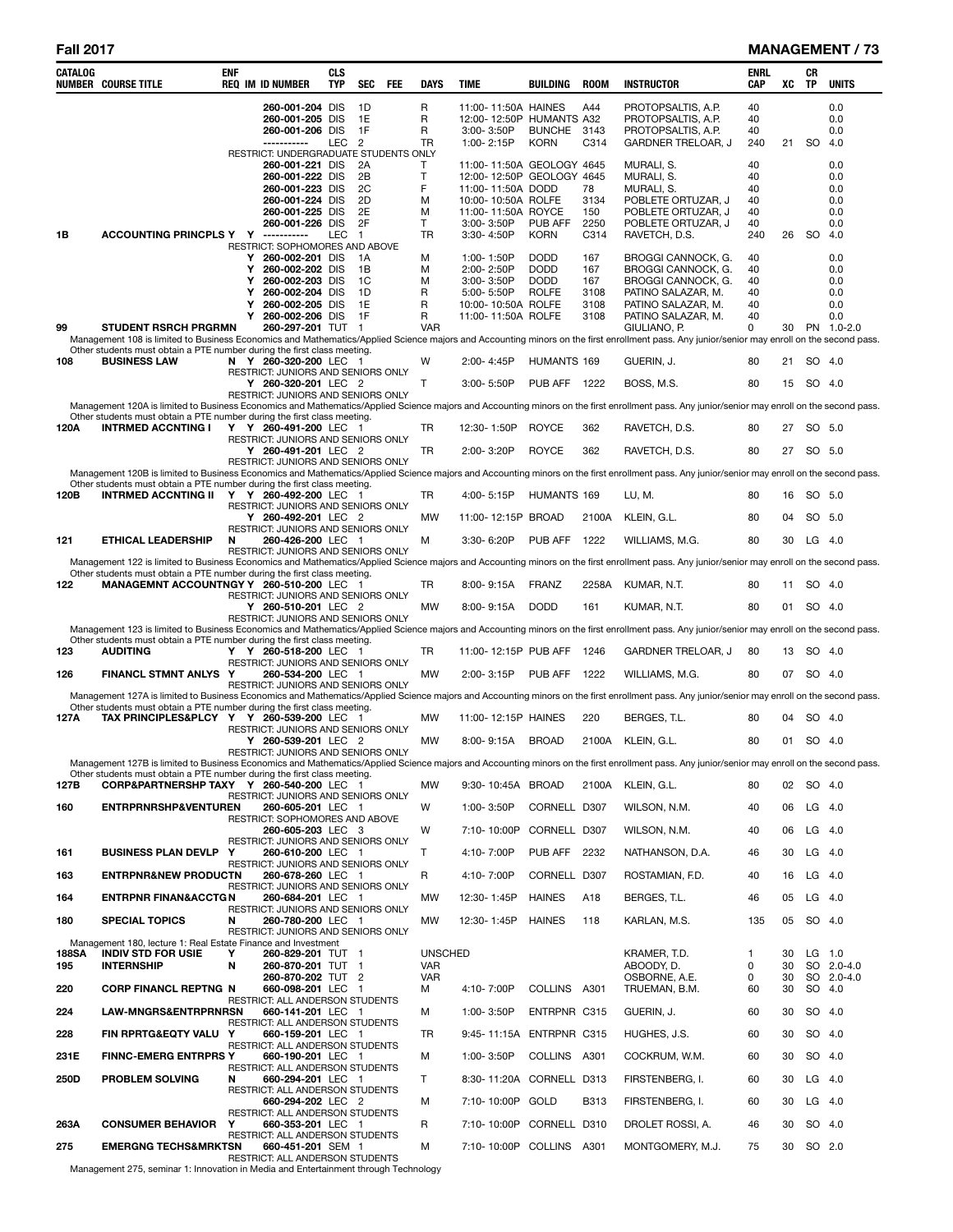| CATALOG      | <b>NUMBER COURSE TITLE</b>                                                                                                                                                                                                                                              | enf                   | <b>REQ IM ID NUMBER</b>                                                                                                                          | <b>CLS</b><br><b>TYP</b> | SEC                                                | FEE | <b>DAYS</b>                              | <b>TIME</b>                                                                                                                                         | <b>BUILDING</b>                                           | <b>ROOM</b>                               | <b>INSTRUCTOR</b>                                                                                                                       | ENRL<br><b>CAP</b>                      | xс       | CR<br>TP      | <b>UNITS</b>                                  |
|--------------|-------------------------------------------------------------------------------------------------------------------------------------------------------------------------------------------------------------------------------------------------------------------------|-----------------------|--------------------------------------------------------------------------------------------------------------------------------------------------|--------------------------|----------------------------------------------------|-----|------------------------------------------|-----------------------------------------------------------------------------------------------------------------------------------------------------|-----------------------------------------------------------|-------------------------------------------|-----------------------------------------------------------------------------------------------------------------------------------------|-----------------------------------------|----------|---------------|-----------------------------------------------|
|              |                                                                                                                                                                                                                                                                         |                       | 260-001-204 DIS<br>260-001-205 DIS<br>260-001-206 DIS<br>------------<br>RESTRICT: UNDERGRADUATE STUDENTS ONLY                                   | LEC <sub>2</sub>         | 1D<br>1E<br>1F                                     |     | R<br>R<br>R<br>TR                        | 11:00-11:50A HAINES<br>12:00-12:50P HUMANTS A32<br>3:00-3:50P<br>1:00-2:15P                                                                         | BUNCHE 3143<br><b>KORN</b>                                | A44<br>C314                               | PROTOPSALTIS, A.P.<br>PROTOPSALTIS, A.P.<br>PROTOPSALTIS, A.P.<br>GARDNER TRELOAR, J                                                    | 40<br>40<br>40<br>240                   | 21       | <b>SO</b>     | 0.0<br>0.0<br>0.0<br>4.0                      |
| 1B           | ACCOUNTING PRINCPLS Y Y -----------                                                                                                                                                                                                                                     |                       | 260-001-221 DIS<br>260-001-222 DIS<br>260-001-223 DIS<br>260-001-224 DIS<br>260-001-225 DIS<br>260-001-226 DIS<br>RESTRICT: SOPHOMORES AND ABOVE | <b>LEC</b>               | 2A<br>2B<br>2C<br>2D<br>2E<br>2F<br>$\overline{1}$ |     | T<br>T<br>F<br>M<br>M<br>T.<br><b>TR</b> | 11:00-11:50A GEOLOGY 4645<br>12:00-12:50P GEOLOGY 4645<br>11:00-11:50A DODD<br>10:00-10:50A ROLFE<br>11:00-11:50A ROYCE<br>3:00-3:50P<br>3:30-4:50P | PUB AFF<br><b>KORN</b>                                    | 78<br>3134<br>150<br>2250<br>C314         | MURALI, S.<br>MURALI, S.<br>MURALI, S.<br>POBLETE ORTUZAR, J<br>POBLETE ORTUZAR, J<br>POBLETE ORTUZAR, J<br>RAVETCH, D.S.               | 40<br>40<br>40<br>40<br>40<br>40<br>240 | 26       | <sub>SO</sub> | 0.0<br>0.0<br>0.0<br>0.0<br>0.0<br>0.0<br>4.0 |
|              |                                                                                                                                                                                                                                                                         | Y<br>Y<br>Υ<br>Y<br>Y | Y 260-002-201 DIS<br>260-002-202 DIS<br>260-002-203 DIS<br>260-002-204 DIS<br>260-002-205 DIS<br>260-002-206 DIS                                 |                          | $\overline{A}$<br>1B<br>1C<br>1D<br>1E<br>1F       |     | М<br>M<br>M<br>R<br>R<br>R               | 1:00-1:50P<br>2:00-2:50P<br>3:00-3:50P<br>5:00-5:50P<br>10:00-10:50A ROLFE<br>11:00-11:50A ROLFE                                                    | <b>DODD</b><br><b>DODD</b><br><b>DODD</b><br><b>ROLFE</b> | 167<br>167<br>167<br>3108<br>3108<br>3108 | BROGGI CANNOCK, G.<br><b>BROGGI CANNOCK, G.</b><br>BROGGI CANNOCK, G.<br>PATINO SALAZAR, M.<br>PATINO SALAZAR, M.<br>PATINO SALAZAR, M. | 40<br>40<br>40<br>40<br>40<br>40        |          |               | 0.0<br>0.0<br>0.0<br>0.0<br>0.0<br>0.0        |
| 99           | <b>STUDENT RSRCH PRGRMN</b><br>Management 108 is limited to Business Economics and Mathematics/Applied Science majors and Accounting minors on the first enrollment pass. Any junior/senior may enroll on the second pass.                                              |                       | 260-297-201 TUT 1                                                                                                                                |                          |                                                    |     | <b>VAR</b>                               |                                                                                                                                                     |                                                           |                                           | GIULIANO, P.                                                                                                                            | $\Omega$                                | 30       |               | PN 1.0-2.0                                    |
| 108          | Other students must obtain a PTE number during the first class meeting.<br><b>BUSINESS LAW</b>                                                                                                                                                                          |                       | N Y 260-320-200 LEC 1                                                                                                                            |                          |                                                    |     | W                                        | 2:00-4:45P                                                                                                                                          | HUMANTS 169                                               |                                           | GUERIN, J.                                                                                                                              | 80                                      | 21       |               | SO 4.0                                        |
|              |                                                                                                                                                                                                                                                                         |                       | RESTRICT: JUNIORS AND SENIORS ONLY<br>Y 260-320-201 LEC 2                                                                                        |                          |                                                    |     | т                                        | 3:00-5:50P                                                                                                                                          | <b>PUB AFF 1222</b>                                       |                                           | BOSS, M.S.                                                                                                                              | 80                                      | 15       |               | SO 4.0                                        |
|              | Management 120A is limited to Business Economics and Mathematics/Applied Science majors and Accounting minors on the first enrollment pass. Any junior/senior may enroll on the second pass.                                                                            |                       | RESTRICT: JUNIORS AND SENIORS ONLY                                                                                                               |                          |                                                    |     |                                          |                                                                                                                                                     |                                                           |                                           |                                                                                                                                         |                                         |          |               |                                               |
|              | Other students must obtain a PTE number during the first class meeting.                                                                                                                                                                                                 |                       |                                                                                                                                                  |                          |                                                    |     |                                          |                                                                                                                                                     |                                                           |                                           |                                                                                                                                         |                                         |          |               |                                               |
| 120A         | <b>INTRMED ACCNTING I</b>                                                                                                                                                                                                                                               |                       | Y Y 260-491-200 LEC 1<br>RESTRICT: JUNIORS AND SENIORS ONLY                                                                                      |                          |                                                    |     | TR                                       | 12:30-1:50P                                                                                                                                         | <b>ROYCE</b>                                              | 362                                       | RAVETCH, D.S.                                                                                                                           | 80                                      | 27       |               | SO 5.0                                        |
|              |                                                                                                                                                                                                                                                                         |                       | Y 260-491-201 LEC 2                                                                                                                              |                          |                                                    |     | <b>TR</b>                                | 2:00-3:20P                                                                                                                                          | <b>ROYCE</b>                                              | 362                                       | RAVETCH, D.S.                                                                                                                           | 80                                      | 27       |               | SO 5.0                                        |
|              | Management 120B is limited to Business Economics and Mathematics/Applied Science majors and Accounting minors on the first enrollment pass. Any junior/senior may enroll on the second pass.                                                                            |                       | RESTRICT: JUNIORS AND SENIORS ONLY                                                                                                               |                          |                                                    |     |                                          |                                                                                                                                                     |                                                           |                                           |                                                                                                                                         |                                         |          |               |                                               |
| 120B         | Other students must obtain a PTE number during the first class meeting.<br><b>INTRMED ACCNTING II</b>                                                                                                                                                                   |                       | Y Y 260-492-200 LEC 1                                                                                                                            |                          |                                                    |     | TR                                       | 4:00-5:15P                                                                                                                                          | HUMANTS 169                                               |                                           | LU, M.                                                                                                                                  | 80                                      | 16       |               | SO 5.0                                        |
|              |                                                                                                                                                                                                                                                                         |                       | RESTRICT: JUNIORS AND SENIORS ONLY<br>Y 260-492-201 LEC 2                                                                                        |                          |                                                    |     | <b>MW</b>                                | 11:00-12:15P BROAD                                                                                                                                  |                                                           | 2100A                                     | KLEIN, G.L.                                                                                                                             | 80                                      | 04       |               | SO 5.0                                        |
| 121          | <b>ETHICAL LEADERSHIP</b>                                                                                                                                                                                                                                               | N                     | RESTRICT: JUNIORS AND SENIORS ONLY<br>260-426-200 LEC 1                                                                                          |                          |                                                    |     | М                                        | 3:30-6:20P                                                                                                                                          | PUB AFF                                                   | 1222                                      | WILLIAMS, M.G.                                                                                                                          | 80                                      | 30       |               | $LG$ 4.0                                      |
|              |                                                                                                                                                                                                                                                                         |                       | RESTRICT: JUNIORS AND SENIORS ONLY                                                                                                               |                          |                                                    |     |                                          |                                                                                                                                                     |                                                           |                                           |                                                                                                                                         |                                         |          |               |                                               |
|              | Management 122 is limited to Business Economics and Mathematics/Applied Science majors and Accounting minors on the first enrollment pass. Any junior/senior may enroll on the second pass.<br>Other students must obtain a PTE number during the first class meeting.  |                       |                                                                                                                                                  |                          |                                                    |     |                                          |                                                                                                                                                     |                                                           |                                           |                                                                                                                                         |                                         |          |               |                                               |
| 122          | MANAGEMNT ACCOUNTNGY Y 260-510-200 LEC 1                                                                                                                                                                                                                                |                       |                                                                                                                                                  |                          |                                                    |     | TR                                       | 8:00-9:15A                                                                                                                                          | <b>FRANZ</b>                                              | 2258A                                     | KUMAR, N.T.                                                                                                                             | 80                                      | 11       |               | SO 4.0                                        |
|              |                                                                                                                                                                                                                                                                         |                       | RESTRICT: JUNIORS AND SENIORS ONLY<br>Y 260-510-201 LEC 2                                                                                        |                          |                                                    |     | <b>MW</b>                                | 8:00-9:15A                                                                                                                                          | <b>DODD</b>                                               | 161                                       | KUMAR, N.T.                                                                                                                             | 80                                      | 01       |               | SO 4.0                                        |
|              | Management 123 is limited to Business Economics and Mathematics/Applied Science majors and Accounting minors on the first enrollment pass. Any junior/senior may enroll on the second pass.                                                                             |                       | RESTRICT: JUNIORS AND SENIORS ONLY                                                                                                               |                          |                                                    |     |                                          |                                                                                                                                                     |                                                           |                                           |                                                                                                                                         |                                         |          |               |                                               |
| 123          | Other students must obtain a PTE number during the first class meeting.<br><b>AUDITING</b>                                                                                                                                                                              |                       | Y Y 260-518-200 LEC 1                                                                                                                            |                          |                                                    |     | TR                                       | 11:00-12:15P PUB AFF                                                                                                                                |                                                           | 1246                                      | GARDNER TRELOAR, J                                                                                                                      | 80                                      | 13       |               | SO 4.0                                        |
|              |                                                                                                                                                                                                                                                                         |                       | RESTRICT: JUNIORS AND SENIORS ONLY                                                                                                               |                          |                                                    |     |                                          |                                                                                                                                                     |                                                           |                                           |                                                                                                                                         |                                         |          |               |                                               |
| 126          | <b>FINANCL STMNT ANLYS Y</b>                                                                                                                                                                                                                                            |                       | 260-534-200 LEC 1<br>RESTRICT: JUNIORS AND SENIORS ONLY                                                                                          |                          |                                                    |     | <b>MW</b>                                | 2:00-3:15P                                                                                                                                          | PUB AFF                                                   | 1222                                      | WILLIAMS, M.G.                                                                                                                          | 80                                      | 07       |               | SO 4.0                                        |
|              | Management 127A is limited to Business Economics and Mathematics/Applied Science majors and Accounting minors on the first enrollment pass. Any junior/senior may enroll on the second pass.<br>Other students must obtain a PTE number during the first class meeting. |                       |                                                                                                                                                  |                          |                                                    |     |                                          |                                                                                                                                                     |                                                           |                                           |                                                                                                                                         |                                         |          |               |                                               |
| 127A         | TAX PRINCIPLES&PLCY Y Y 260-539-200 LEC 1                                                                                                                                                                                                                               |                       | RESTRICT: JUNIORS AND SENIORS ONLY                                                                                                               |                          |                                                    |     | <b>MW</b>                                | 11:00-12:15P HAINES                                                                                                                                 |                                                           | 220                                       | BERGES, T.L.                                                                                                                            | 80                                      | 04       |               | SO 4.0                                        |
|              |                                                                                                                                                                                                                                                                         |                       | Y 260-539-201 LEC 2                                                                                                                              |                          |                                                    |     | MW                                       | 8:00-9:15A                                                                                                                                          | <b>BROAD</b>                                              | 2100A                                     | KLEIN, G.L.                                                                                                                             | 80                                      | 01       |               | SO 4.0                                        |
|              | Management 127B is limited to Business Economics and Mathematics/Applied Science majors and Accounting minors on the first enrollment pass. Any junior/senior may enroll on the second pass.                                                                            |                       | RESTRICT: JUNIORS AND SENIORS ONLY                                                                                                               |                          |                                                    |     |                                          |                                                                                                                                                     |                                                           |                                           |                                                                                                                                         |                                         |          |               |                                               |
| 127B         | Other students must obtain a PTE number during the first class meeting.<br>CORP&PARTNERSHP TAXY Y 260-540-200 LEC 1                                                                                                                                                     |                       |                                                                                                                                                  |                          |                                                    |     | MW                                       | 9:30-10:45A BROAD                                                                                                                                   |                                                           |                                           | 2100A KLEIN, G.L.                                                                                                                       | 80                                      |          | 02 SO 4.0     |                                               |
| 160          | ENTRPRNRSHP&VENTUREN                                                                                                                                                                                                                                                    |                       | RESTRICT: JUNIORS AND SENIORS ONLY<br>260-605-201 LEC 1                                                                                          |                          |                                                    |     | W                                        | 1:00-3:50P                                                                                                                                          | CORNELL D307                                              |                                           | WILSON, N.M.                                                                                                                            | 40                                      | 06       |               | $LG$ 4.0                                      |
|              |                                                                                                                                                                                                                                                                         |                       | RESTRICT: SOPHOMORES AND ABOVE                                                                                                                   |                          |                                                    |     |                                          | 7:10-10:00P CORNELL D307                                                                                                                            |                                                           |                                           |                                                                                                                                         |                                         |          |               |                                               |
|              |                                                                                                                                                                                                                                                                         |                       | 260-605-203 LEC 3<br>RESTRICT: JUNIORS AND SENIORS ONLY                                                                                          |                          |                                                    |     | W                                        |                                                                                                                                                     |                                                           |                                           | WILSON, N.M.                                                                                                                            | 40                                      | 06       |               | $LG$ 4.0                                      |
| 161          | <b>BUSINESS PLAN DEVLP Y</b>                                                                                                                                                                                                                                            |                       | 260-610-200 LEC 1<br>RESTRICT: JUNIORS AND SENIORS ONLY                                                                                          |                          |                                                    |     | Τ                                        | 4:10-7:00P                                                                                                                                          | <b>PUB AFF 2232</b>                                       |                                           | NATHANSON, D.A.                                                                                                                         | 46                                      | 30       |               | $LG$ 4.0                                      |
| 163          | <b>ENTRPNR&amp;NEW PRODUCTN</b>                                                                                                                                                                                                                                         |                       | 260-678-260 LEC 1<br>RESTRICT: JUNIORS AND SENIORS ONLY                                                                                          |                          |                                                    |     | R                                        | 4:10-7:00P                                                                                                                                          | CORNELL D307                                              |                                           | ROSTAMIAN, F.D.                                                                                                                         | 40                                      | 16       |               | $LG$ 4.0                                      |
| 164          | <b>ENTRPNR FINAN&amp;ACCTGN</b>                                                                                                                                                                                                                                         |                       | 260-684-201 LEC 1                                                                                                                                |                          |                                                    |     | MW                                       | 12:30-1:45P                                                                                                                                         | <b>HAINES</b>                                             | A18                                       | BERGES, T.L.                                                                                                                            | 46                                      | 05       |               | $LG$ 4.0                                      |
| 180          | <b>SPECIAL TOPICS</b>                                                                                                                                                                                                                                                   | N                     | RESTRICT: JUNIORS AND SENIORS ONLY<br>260-780-200 LEC 1<br>RESTRICT: JUNIORS AND SENIORS ONLY                                                    |                          |                                                    |     | MW                                       | 12:30-1:45P                                                                                                                                         | <b>HAINES</b>                                             | 118                                       | KARLAN, M.S.                                                                                                                            | 135                                     | 05       | SO 4.0        |                                               |
|              | Management 180, lecture 1: Real Estate Finance and Investment                                                                                                                                                                                                           |                       |                                                                                                                                                  |                          |                                                    |     |                                          |                                                                                                                                                     |                                                           |                                           |                                                                                                                                         |                                         |          |               |                                               |
| 188SA<br>195 | <b>INDIV STD FOR USIE</b><br><b>INTERNSHIP</b>                                                                                                                                                                                                                          | Y<br>N                | 260-829-201 TUT 1<br>260-870-201 TUT 1                                                                                                           |                          |                                                    |     | <b>UNSCHED</b><br><b>VAR</b>             |                                                                                                                                                     |                                                           |                                           | KRAMER, T.D.<br>ABOODY, D.                                                                                                              | 1<br>0                                  | 30<br>30 |               | LG 1.0<br>SO 2.0-4.0                          |
|              |                                                                                                                                                                                                                                                                         |                       | 260-870-202 TUT 2                                                                                                                                |                          |                                                    |     | <b>VAR</b>                               |                                                                                                                                                     |                                                           |                                           | OSBORNE, A.E.                                                                                                                           | 0                                       | 30       |               | SO 2.0-4.0                                    |
| 220          | <b>CORP FINANCL REPTNG N</b>                                                                                                                                                                                                                                            |                       | 660-098-201 LEC 1<br>RESTRICT: ALL ANDERSON STUDENTS                                                                                             |                          |                                                    |     | м                                        | 4:10-7:00P                                                                                                                                          | COLLINS A301                                              |                                           | TRUEMAN, B.M.                                                                                                                           | 60                                      | 30       |               | SO 4.0                                        |
| 224          | LAW-MNGRS&ENTRPRNRSN                                                                                                                                                                                                                                                    |                       | 660-141-201 LEC 1<br>RESTRICT: ALL ANDERSON STUDENTS                                                                                             |                          |                                                    |     | м                                        | 1:00-3:50P                                                                                                                                          | ENTRPNR C315                                              |                                           | GUERIN, J.                                                                                                                              | 60                                      | 30       |               | SO 4.0                                        |
| 228          | FIN RPRTG&EQTY VALU Y                                                                                                                                                                                                                                                   |                       | 660-159-201 LEC 1<br>RESTRICT: ALL ANDERSON STUDENTS                                                                                             |                          |                                                    |     | TR                                       | 9:45-11:15A ENTRPNR C315                                                                                                                            |                                                           |                                           | HUGHES, J.S.                                                                                                                            | 60                                      | 30       |               | SO 4.0                                        |
| 231E         | <b>FINNC-EMERG ENTRPRS Y</b>                                                                                                                                                                                                                                            |                       | 660-190-201 LEC 1<br>RESTRICT: ALL ANDERSON STUDENTS                                                                                             |                          |                                                    |     | м                                        | 1:00-3:50P                                                                                                                                          | COLLINS A301                                              |                                           | COCKRUM, W.M.                                                                                                                           | 60                                      | 30       |               | SO 4.0                                        |
| 250D         | PROBLEM SOLVING                                                                                                                                                                                                                                                         | N                     | 660-294-201 LEC 1<br>RESTRICT: ALL ANDERSON STUDENTS                                                                                             |                          |                                                    |     | Τ                                        | 8:30-11:20A CORNELL D313                                                                                                                            |                                                           |                                           | FIRSTENBERG, I.                                                                                                                         | 60                                      | 30       |               | $LG$ 4.0                                      |
|              |                                                                                                                                                                                                                                                                         |                       | 660-294-202 LEC 2                                                                                                                                |                          |                                                    |     | м                                        | 7:10-10:00P GOLD                                                                                                                                    |                                                           | <b>B313</b>                               | FIRSTENBERG, I.                                                                                                                         | 60                                      | 30       |               | $LG$ 4.0                                      |
| 263A         | <b>CONSUMER BEHAVIOR Y</b>                                                                                                                                                                                                                                              |                       | RESTRICT: ALL ANDERSON STUDENTS<br>660-353-201 LEC 1                                                                                             |                          |                                                    |     | R                                        | 7:10-10:00P CORNELL D310                                                                                                                            |                                                           |                                           | DROLET ROSSI, A.                                                                                                                        | 46                                      | 30       |               | SO 4.0                                        |
| 275          | <b>EMERGNG TECHS&amp;MRKTSN</b>                                                                                                                                                                                                                                         |                       | RESTRICT: ALL ANDERSON STUDENTS<br>660-451-201 SEM 1                                                                                             |                          |                                                    |     | м                                        | 7:10-10:00P COLLINS A301                                                                                                                            |                                                           |                                           | MONTGOMERY, M.J.                                                                                                                        | 75                                      |          | 30 SO 2.0     |                                               |
|              |                                                                                                                                                                                                                                                                         |                       | DECTRICT: ALL, ANDERCON CTURENTS                                                                                                                 |                          |                                                    |     |                                          |                                                                                                                                                     |                                                           |                                           |                                                                                                                                         |                                         |          |               |                                               |

RESTRICT: ALL ANDERSON STUDENTS<br>Management 275, seminar 1: Innovation in Media and Entertainment through Technology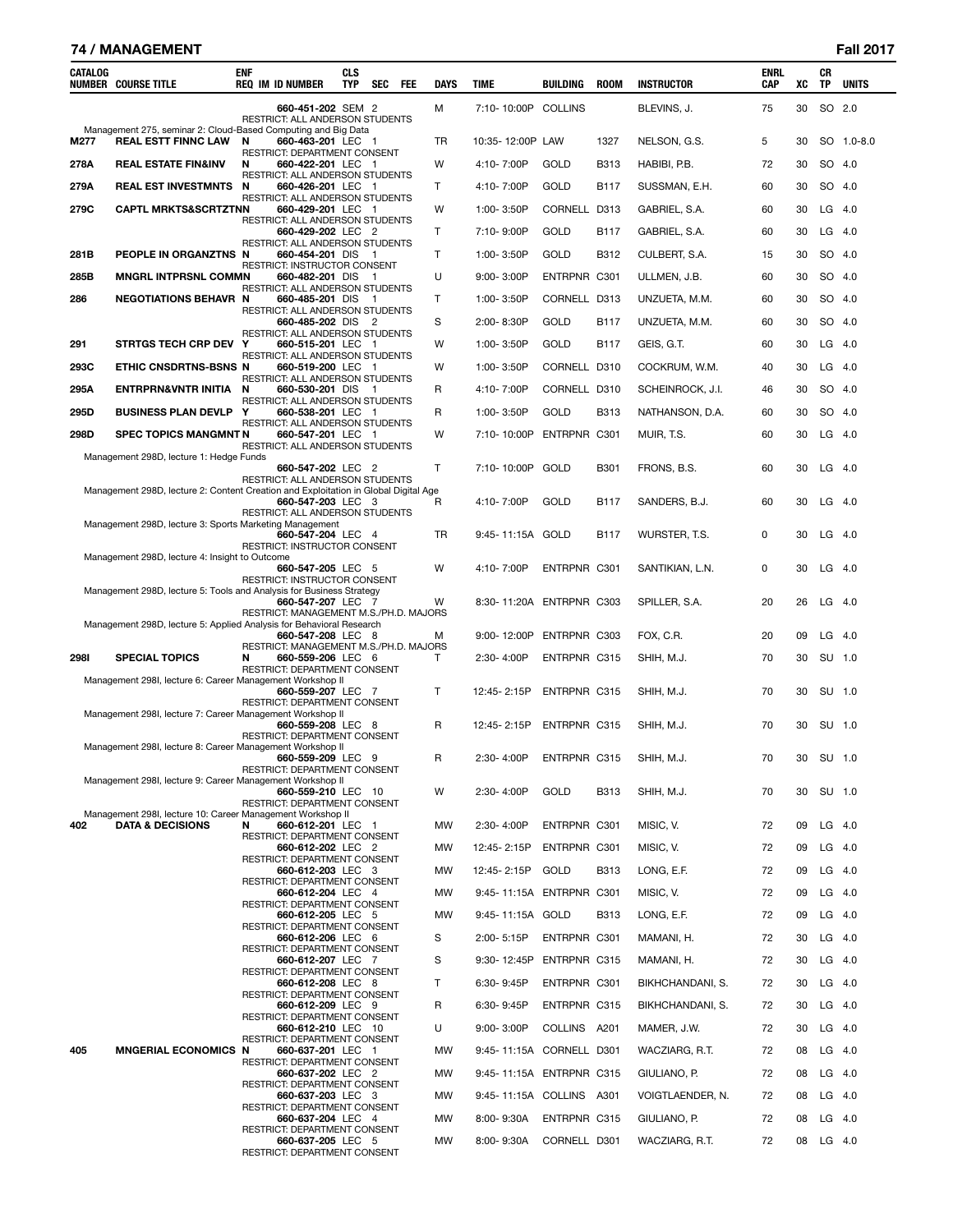#### **74 / MANAGEMENT Fall 2017**

| CATALOG | <b>NUMBER COURSE TITLE</b>                                                                  | enf | <b>REQ IM ID NUMBER</b>                                     | <b>CLS</b><br><b>TYP</b> | SEC | <b>FEE</b> | <b>DAYS</b>  | TIME                     | <b>BUILDING</b>     | <b>ROOM</b> | <b>INSTRUCTOR</b> | ENRL<br><b>CAP</b> | XC | CR<br>TP  | <b>UNITS</b> |
|---------|---------------------------------------------------------------------------------------------|-----|-------------------------------------------------------------|--------------------------|-----|------------|--------------|--------------------------|---------------------|-------------|-------------------|--------------------|----|-----------|--------------|
|         |                                                                                             |     | 660-451-202 SEM 2<br>RESTRICT: ALL ANDERSON STUDENTS        |                          |     |            | м            | 7:10-10:00P              | COLLINS             |             | BLEVINS, J.       | 75                 | 30 |           | SO 2.0       |
| M277    | Management 275, seminar 2: Cloud-Based Computing and Big Data<br><b>REAL ESTT FINNC LAW</b> | N   | 660-463-201 LEC 1                                           |                          |     |            | TR           | 10:35-12:00P             | LAW                 | 1327        | NELSON, G.S.      | 5                  | 30 |           | SO 1.0-8.0   |
| 278A    | <b>REAL ESTATE FIN&amp;INV</b>                                                              | N   | RESTRICT: DEPARTMENT CONSENT<br>660-422-201 LEC 1           |                          |     |            | W            | 4:10-7:00P               | GOLD                | <b>B313</b> | HABIBI, P.B.      | 72                 | 30 |           | SO 4.0       |
| 279A    | <b>REAL EST INVESTMNTS</b>                                                                  | N   | RESTRICT: ALL ANDERSON STUDENTS<br>660-426-201 LEC 1        |                          |     |            | $\mathsf{T}$ | 4:10-7:00P               | GOLD                | <b>B117</b> | SUSSMAN, E.H.     | 60                 | 30 | SO        | 4.0          |
| 279C    | <b>CAPTL MRKTS&amp;SCRTZTNN</b>                                                             |     | RESTRICT: ALL ANDERSON STUDENTS<br>660-429-201 LEC 1        |                          |     |            | W            | 1:00-3:50P               | <b>CORNELL</b>      | D313        | GABRIEL, S.A.     | 60                 | 30 |           | $LG$ 4.0     |
|         |                                                                                             |     | RESTRICT: ALL ANDERSON STUDENTS<br>660-429-202 LEC 2        |                          |     |            | Τ            | 7:10-9:00P               | GOLD                | <b>B117</b> | GABRIEL, S.A.     | 60                 | 30 | LG        | -4.0         |
| 281B    | PEOPLE IN ORGANZTNS N                                                                       |     | RESTRICT: ALL ANDERSON STUDENTS<br>660-454-201 DIS          |                          | - 1 |            | $\mathsf{T}$ | 1:00-3:50P               | GOLD                | B312        | CULBERT, S.A.     | 15                 | 30 | SO        | 4.0          |
| 285B    | <b>MNGRL INTPRSNL COMMN</b>                                                                 |     | <b>RESTRICT: INSTRUCTOR CONSENT</b><br>660-482-201 DIS 1    |                          |     |            | U            | $9:00 - 3:00P$           | ENTRPNR C301        |             | ULLMEN, J.B.      | 60                 | 30 |           | SO 4.0       |
| 286     | <b>NEGOTIATIONS BEHAVR N</b>                                                                |     | RESTRICT: ALL ANDERSON STUDENTS<br>660-485-201 DIS          |                          | - 1 |            | $\mathsf{T}$ | 1:00-3:50P               | CORNELL D313        |             | UNZUETA, M.M.     | 60                 | 30 |           | SO 4.0       |
|         |                                                                                             |     | RESTRICT: ALL ANDERSON STUDENTS<br>660-485-202 DIS 2        |                          |     |            | S            | 2:00-8:30P               | GOLD                | B117        | UNZUETA, M.M.     | 60                 | 30 |           | SO 4.0       |
| 291     | STRTGS TECH CRP DEV Y                                                                       |     | RESTRICT: ALL ANDERSON STUDENTS<br>660-515-201 LEC 1        |                          |     |            | W            | 1:00-3:50P               | GOLD                | <b>B117</b> | GEIS, G.T.        | 60                 | 30 |           | $LG$ 4.0     |
| 293C    | ETHIC CNSDRTNS-BSNS N                                                                       |     | RESTRICT: ALL ANDERSON STUDENTS<br>660-519-200 LEC 1        |                          |     |            | W            | 1:00-3:50P               | CORNELL D310        |             | COCKRUM, W.M.     | 40                 | 30 |           | $LG$ 4.0     |
| 295A    | <b>ENTRPRN&amp;VNTR INITIA</b>                                                              | N   | RESTRICT: ALL ANDERSON STUDENTS<br>660-530-201 DIS 1        |                          |     |            | R            | 4:10-7:00P               | CORNELL D310        |             | SCHEINROCK, J.I.  | 46                 | 30 | SO        | -4.0         |
| 295D    | <b>BUSINESS PLAN DEVLP</b>                                                                  | Y   | RESTRICT: ALL ANDERSON STUDENTS<br>660-538-201 LEC 1        |                          |     |            | R            | 1:00-3:50P               | GOLD                | <b>B313</b> | NATHANSON, D.A.   | 60                 | 30 |           | SO 4.0       |
| 298D    | <b>SPEC TOPICS MANGMNT N</b>                                                                |     | RESTRICT: ALL ANDERSON STUDENTS<br>660-547-201 LEC 1        |                          |     |            | W            | 7:10-10:00P              | ENTRPNR C301        |             | MUIR, T.S.        | 60                 | 30 |           | $LG$ 4.0     |
|         | Management 298D, lecture 1: Hedge Funds                                                     |     | RESTRICT: ALL ANDERSON STUDENTS                             |                          |     |            |              |                          |                     |             |                   |                    |    |           |              |
|         | Management 298D, lecture 2: Content Creation and Exploitation in Global Digital Age         |     | 660-547-202 LEC 2<br>RESTRICT: ALL ANDERSON STUDENTS        |                          |     |            | $\mathsf{T}$ | 7:10-10:00P              | GOLD                | B301        | FRONS, B.S.       | 60                 | 30 |           | $LG$ 4.0     |
|         | Management 298D, lecture 3: Sports Marketing Management                                     |     | 660-547-203 LEC 3<br>RESTRICT: ALL ANDERSON STUDENTS        |                          |     |            | R            | 4:10-7:00P               | GOLD                | <b>B117</b> | SANDERS, B.J.     | 60                 | 30 | LG        | -4.0         |
|         | Management 298D, lecture 4: Insight to Outcome                                              |     | 660-547-204 LEC 4<br>RESTRICT: INSTRUCTOR CONSENT           |                          |     |            | TR           | 9:45-11:15A GOLD         |                     | B117        | WURSTER, T.S.     | 0                  | 30 |           | $LG$ 4.0     |
|         | Management 298D, lecture 5: Tools and Analysis for Business Strategy                        |     | 660-547-205 LEC 5<br>RESTRICT: INSTRUCTOR CONSENT           |                          |     |            | W            | 4:10-7:00P               | ENTRPNR C301        |             | SANTIKIAN, L.N.   | 0                  | 30 |           | $LG$ 4.0     |
|         | Management 298D, lecture 5: Applied Analysis for Behavioral Research                        |     | 660-547-207 LEC 7<br>RESTRICT: MANAGEMENT M.S./PH.D. MAJORS |                          |     |            | W            | 8:30-11:20A ENTRPNR C303 |                     |             | SPILLER, S.A.     | 20                 | 26 |           | $LG$ 4.0     |
|         |                                                                                             |     | 660-547-208 LEC 8<br>RESTRICT: MANAGEMENT M.S./PH.D. MAJORS |                          |     |            | м            | 9:00-12:00P              | ENTRPNR C303        |             | FOX, C.R.         | 20                 | 09 |           | $LG$ 4.0     |
| 2981    | <b>SPECIAL TOPICS</b><br>Management 298I, lecture 6: Career Management Workshop II          | N   | 660-559-206 LEC 6<br>RESTRICT: DEPARTMENT CONSENT           |                          |     |            | Т            | 2:30-4:00P               | ENTRPNR C315        |             | SHIH, M.J.        | 70                 | 30 | SU 1.0    |              |
|         | Management 298I, lecture 7: Career Management Workshop II                                   |     | 660-559-207 LEC 7<br>RESTRICT: DEPARTMENT CONSENT           |                          |     |            | T            | 12:45-2:15P              | ENTRPNR C315        |             | SHIH, M.J.        | 70                 | 30 |           | SU 1.0       |
|         | Management 298I, lecture 8: Career Management Workshop II                                   |     | 660-559-208 LEC 8<br>RESTRICT: DEPARTMENT CONSENT           |                          |     |            | R            | 12:45-2:15P              | ENTRPNR C315        |             | SHIH, M.J.        | 70                 | 30 | SU 1.0    |              |
|         | Management 298I, lecture 9: Career Management Workshop II                                   |     | 660-559-209 LEC 9<br>RESTRICT: DEPARTMENT CONSENT           |                          |     |            | R            | 2:30-4:00P               | <b>ENTRPNR C315</b> |             | SHIH. M.J.        | 70                 | 30 | SU 1.0    |              |
|         | Management 298I, lecture 10: Career Management Workshop II                                  |     | 660-559-210 LEC 10<br>RESTRICT: DEPARTMENT CONSENT          |                          |     |            | W            | 2:30-4:00P               | GOLD                | <b>B313</b> | SHIH, M.J.        | 70                 | 30 | SU 1.0    |              |
| 402     | <b>DATA &amp; DECISIONS</b>                                                                 | N   | 660-612-201 LEC 1<br>RESTRICT: DEPARTMENT CONSENT           |                          |     |            | MW           | 2:30-4:00P               | ENTRPNR C301        |             | MISIC, V.         | 72                 | 09 | $LG$ 4.0  |              |
|         |                                                                                             |     | 660-612-202 LEC 2<br><b>RESTRICT: DEPARTMENT CONSENT</b>    |                          |     |            | МW           | 12:45-2:15P              | ENTRPNR C301        |             | MISIC, V.         | 72                 | 09 | $LG$ 4.0  |              |
|         |                                                                                             |     | 660-612-203 LEC 3                                           |                          |     |            | МW           | 12:45-2:15P              | GOLD                | <b>B313</b> | LONG, E.F.        | 72                 | 09 | LG 4.0    |              |
|         |                                                                                             |     | RESTRICT: DEPARTMENT CONSENT<br>660-612-204 LEC 4           |                          |     |            | MW           | 9:45-11:15A ENTRPNR C301 |                     |             | MISIC, V.         | 72                 | 09 | $LG$ 4.0  |              |
|         |                                                                                             |     | RESTRICT: DEPARTMENT CONSENT<br>660-612-205 LEC 5           |                          |     |            | <b>MW</b>    | 9:45-11:15A GOLD         |                     | <b>B313</b> | LONG, E.F.        | 72                 | 09 |           | $LG$ 4.0     |
|         |                                                                                             |     | RESTRICT: DEPARTMENT CONSENT<br>660-612-206 LEC 6           |                          |     |            | S            | 2:00-5:15P               | ENTRPNR C301        |             | MAMANI, H.        | 72                 | 30 | LG 4.0    |              |
|         |                                                                                             |     | RESTRICT: DEPARTMENT CONSENT<br>660-612-207 LEC 7           |                          |     |            | S            | 9:30-12:45P              | ENTRPNR C315        |             | MAMANI, H.        | 72                 | 30 | $LG$ 4.0  |              |
|         |                                                                                             |     | RESTRICT: DEPARTMENT CONSENT<br>660-612-208 LEC 8           |                          |     |            | T            | 6:30-9:45P               | ENTRPNR C301        |             | BIKHCHANDANI, S.  | 72                 | 30 | $LG$ 4.0  |              |
|         |                                                                                             |     | RESTRICT: DEPARTMENT CONSENT<br>660-612-209 LEC 9           |                          |     |            | R            | 6:30-9:45P               | ENTRPNR C315        |             | BIKHCHANDANI, S.  | 72                 | 30 | LG 4.0    |              |
|         |                                                                                             |     | RESTRICT: DEPARTMENT CONSENT<br>660-612-210 LEC 10          |                          |     |            | U            | $9:00 - 3:00P$           | COLLINS A201        |             | MAMER, J.W.       | 72                 | 30 | $LG$ 4.0  |              |
| 405     | <b>MNGERIAL ECONOMICS N</b>                                                                 |     | RESTRICT: DEPARTMENT CONSENT<br>660-637-201 LEC 1           |                          |     |            | МW           | 9:45-11:15A CORNELL D301 |                     |             | WACZIARG, R.T.    | 72                 | 08 | $LG$ 4.0  |              |
|         |                                                                                             |     | RESTRICT: DEPARTMENT CONSENT<br>660-637-202 LEC 2           |                          |     |            | МW           | 9:45-11:15A ENTRPNR C315 |                     |             | GIULIANO, P.      | 72                 | 08 | LG 4.0    |              |
|         |                                                                                             |     | RESTRICT: DEPARTMENT CONSENT<br>660-637-203 LEC 3           |                          |     |            | МW           | 9:45-11:15A COLLINS A301 |                     |             | VOIGTLAENDER, N.  | 72                 | 08 | $LG$ 4.0  |              |
|         |                                                                                             |     | RESTRICT: DEPARTMENT CONSENT<br>660-637-204 LEC 4           |                          |     |            | МW           | 8:00-9:30A               | ENTRPNR C315        |             | GIULIANO, P.      | 72                 | 08 | $LG$ 4.0  |              |
|         |                                                                                             |     | RESTRICT: DEPARTMENT CONSENT<br>660-637-205 LEC 5           |                          |     |            | MW           | 8:00-9:30A               | CORNELL D301        |             | WACZIARG, R.T.    | 72                 |    | 08 LG 4.0 |              |

RESTRICT: DEPARTMENT CONSENT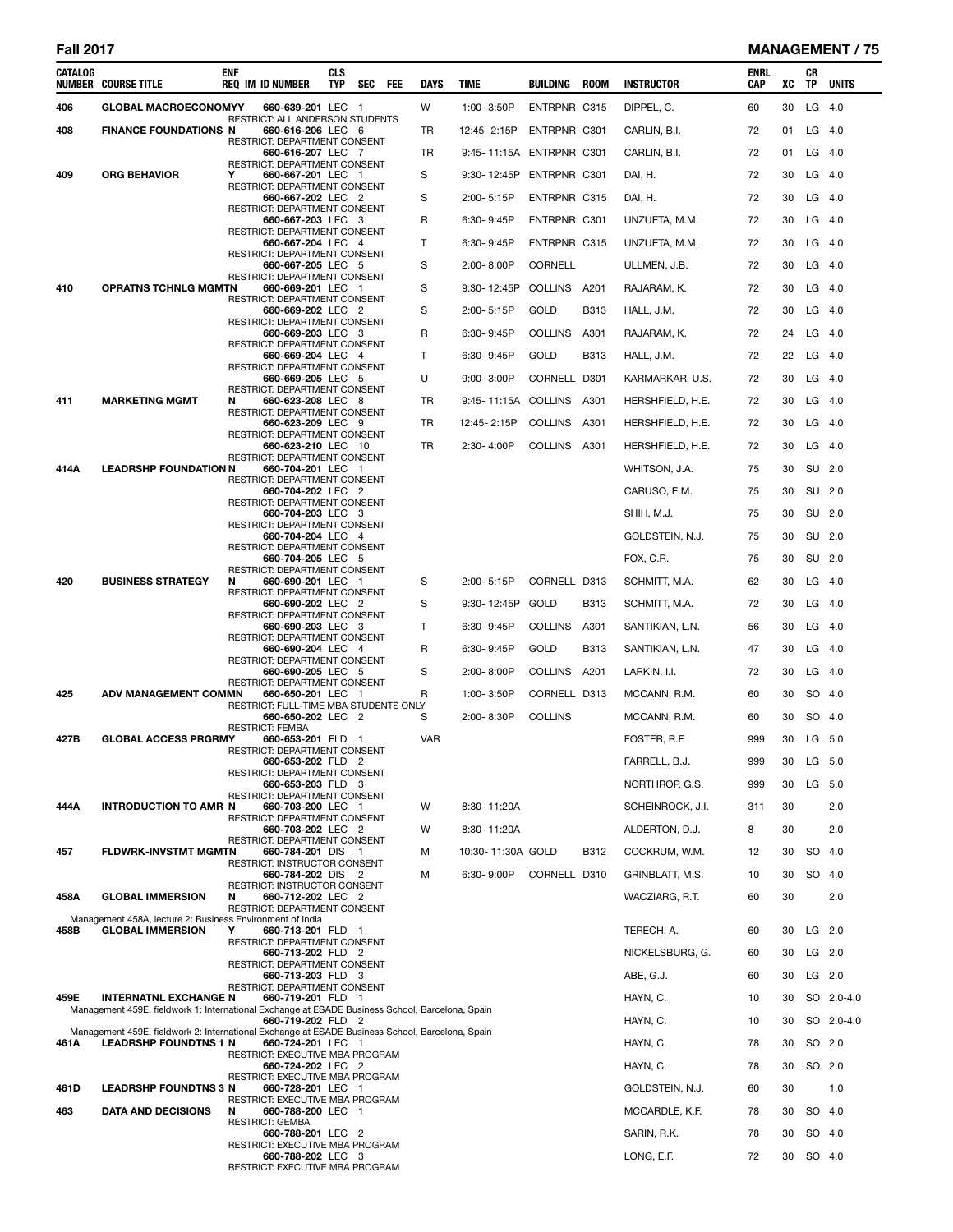| <b>Fall 2017</b> |                                                                                                                                 |            |                                                            |                          |     |     |              |                          |                     |             |                   |                    |    |          | <b>MANAGEMENT / 75</b> |
|------------------|---------------------------------------------------------------------------------------------------------------------------------|------------|------------------------------------------------------------|--------------------------|-----|-----|--------------|--------------------------|---------------------|-------------|-------------------|--------------------|----|----------|------------------------|
| <b>CATALOG</b>   | <b>NUMBER COURSE TITLE</b>                                                                                                      | <b>ENF</b> | <b>REQ IM ID NUMBER</b>                                    | <b>CLS</b><br><b>TYP</b> | SEC | FEE | <b>DAYS</b>  | <b>TIME</b>              | BUILDING            | <b>ROOM</b> | <b>INSTRUCTOR</b> | <b>ENRL</b><br>CAP | XC | СR<br>TP | <b>UNITS</b>           |
| 406              | <b>GLOBAL MACROECONOMYY</b>                                                                                                     |            | 660-639-201 LEC 1                                          |                          |     |     | W            | 1:00-3:50P               | <b>ENTRPNR C315</b> |             | DIPPEL, C.        | 60                 | 30 | LG       | 4.0                    |
| 408              | <b>FINANCE FOUNDATIONS N</b>                                                                                                    |            | RESTRICT: ALL ANDERSON STUDENTS<br>660-616-206 LEC 6       |                          |     |     | TR           | 12:45-2:15P              | ENTRPNR C301        |             | CARLIN, B.I.      | 72                 | 01 | $LG$ 4.0 |                        |
|                  |                                                                                                                                 |            | RESTRICT: DEPARTMENT CONSENT<br>660-616-207 LEC 7          |                          |     |     | <b>TR</b>    | 9:45-11:15A ENTRPNR C301 |                     |             | CARLIN, B.I.      | 72                 | 01 |          | $LG$ 4.0               |
| 409              | <b>ORG BEHAVIOR</b>                                                                                                             | Y          | RESTRICT: DEPARTMENT CONSENT<br>660-667-201 LEC 1          |                          |     |     | S            | 9:30-12:45P              | ENTRPNR C301        |             | DAI, H.           | 72                 | 30 | $LG$ 4.0 |                        |
|                  |                                                                                                                                 |            | RESTRICT: DEPARTMENT CONSENT<br>660-667-202 LEC 2          |                          |     |     | S            | 2:00-5:15P               | ENTRPNR C315        |             | DAI, H.           | 72                 | 30 |          | $LG$ 4.0               |
|                  |                                                                                                                                 |            | RESTRICT: DEPARTMENT CONSENT<br>660-667-203 LEC 3          |                          |     |     | R            | $6:30 - 9:45P$           | ENTRPNR C301        |             | UNZUETA, M.M.     | 72                 | 30 |          | $LG$ 4.0               |
|                  |                                                                                                                                 |            | <b>RESTRICT: DEPARTMENT CONSENT</b><br>660-667-204 LEC 4   |                          |     |     | $\mathsf{T}$ | 6:30-9:45P               | ENTRPNR C315        |             | UNZUETA, M.M.     | 72                 | 30 | $LG$ 4.0 |                        |
|                  |                                                                                                                                 |            | RESTRICT: DEPARTMENT CONSENT<br>660-667-205 LEC 5          |                          |     |     | S            | $2:00 - 8:00P$           | <b>CORNELL</b>      |             | ULLMEN, J.B.      | 72                 | 30 | $LG$ 4.0 |                        |
|                  |                                                                                                                                 |            | RESTRICT: DEPARTMENT CONSENT                               |                          |     |     | S            |                          |                     |             |                   | 72                 | 30 |          | $LG$ 4.0               |
| 410              | <b>OPRATNS TCHNLG MGMTN</b>                                                                                                     |            | 660-669-201 LEC 1<br>RESTRICT: DEPARTMENT CONSENT          |                          |     |     |              | 9:30-12:45P              | COLLINS A201        |             | RAJARAM, K.       |                    |    |          |                        |
|                  |                                                                                                                                 |            | 660-669-202 LEC 2<br>RESTRICT: DEPARTMENT CONSENT          |                          |     |     | S            | 2:00-5:15P               | <b>GOLD</b>         | <b>B313</b> | HALL, J.M.        | 72                 | 30 |          | $LG$ 4.0               |
|                  |                                                                                                                                 |            | 660-669-203 LEC 3<br>RESTRICT: DEPARTMENT CONSENT          |                          |     |     | R            | $6:30 - 9:45P$           | <b>COLLINS</b>      | A301        | RAJARAM, K.       | 72                 | 24 |          | $LG$ 4.0               |
|                  |                                                                                                                                 |            | 660-669-204 LEC 4<br><b>RESTRICT: DEPARTMENT CONSENT</b>   |                          |     |     | $\mathsf{T}$ | $6:30 - 9:45P$           | GOLD                | B313        | HALL, J.M.        | 72                 | 22 |          | $LG$ 4.0               |
|                  |                                                                                                                                 |            | 660-669-205 LEC 5<br>RESTRICT: DEPARTMENT CONSENT          |                          |     |     | U            | $9:00 - 3:00P$           | CORNELL D301        |             | KARMARKAR, U.S.   | 72                 | 30 |          | $LG$ 4.0               |
| 411              | <b>MARKETING MGMT</b>                                                                                                           | N          | 660-623-208 LEC 8<br>RESTRICT: DEPARTMENT CONSENT          |                          |     |     | <b>TR</b>    | 9:45-11:15A COLLINS A301 |                     |             | HERSHFIELD, H.E.  | 72                 | 30 | $LG$ 4.0 |                        |
|                  |                                                                                                                                 |            | 660-623-209 LEC 9<br><b>RESTRICT: DEPARTMENT CONSENT</b>   |                          |     |     | TR           | 12:45-2:15P              | <b>COLLINS</b>      | A301        | HERSHFIELD, H.E.  | 72                 | 30 |          | $LG$ 4.0               |
|                  |                                                                                                                                 |            | 660-623-210 LEC 10<br>RESTRICT: DEPARTMENT CONSENT         |                          |     |     | TR           | 2:30-4:00P               | COLLINS A301        |             | HERSHFIELD, H.E.  | 72                 | 30 |          | $LG$ 4.0               |
| 414A             | <b>LEADRSHP FOUNDATION N</b>                                                                                                    |            | 660-704-201 LEC 1                                          |                          |     |     |              |                          |                     |             | WHITSON, J.A.     | 75                 | 30 | SU 2.0   |                        |
|                  |                                                                                                                                 |            | RESTRICT: DEPARTMENT CONSENT<br>660-704-202 LEC 2          |                          |     |     |              |                          |                     |             | CARUSO, E.M.      | 75                 | 30 |          | SU 2.0                 |
|                  |                                                                                                                                 |            | RESTRICT: DEPARTMENT CONSENT<br>660-704-203 LEC 3          |                          |     |     |              |                          |                     |             | SHIH, M.J.        | 75                 | 30 | SU 2.0   |                        |
|                  |                                                                                                                                 |            | RESTRICT: DEPARTMENT CONSENT<br>660-704-204 LEC 4          |                          |     |     |              |                          |                     |             | GOLDSTEIN, N.J.   | 75                 | 30 | SU 2.0   |                        |
|                  |                                                                                                                                 |            | RESTRICT: DEPARTMENT CONSENT<br>660-704-205 LEC 5          |                          |     |     |              |                          |                     |             | FOX, C.R.         | 75                 | 30 | SU       | - 2.0                  |
| 420              | <b>BUSINESS STRATEGY</b>                                                                                                        | N          | <b>RESTRICT: DEPARTMENT CONSENT</b><br>660-690-201 LEC 1   |                          |     |     | S            | 2:00-5:15P               | CORNELL D313        |             | SCHMITT, M.A.     | 62                 | 30 | $LG$ 4.0 |                        |
|                  |                                                                                                                                 |            | RESTRICT: DEPARTMENT CONSENT<br>660-690-202 LEC 2          |                          |     |     | S            | 9:30-12:45P              | GOLD                | <b>B313</b> | SCHMITT, M.A.     | 72                 | 30 |          | $LG$ 4.0               |
|                  |                                                                                                                                 |            | RESTRICT: DEPARTMENT CONSENT<br>660-690-203 LEC 3          |                          |     |     | T            | $6:30 - 9:45P$           | <b>COLLINS</b>      | A301        | SANTIKIAN, L.N.   | 56                 | 30 |          | $LG$ 4.0               |
|                  |                                                                                                                                 |            | <b>RESTRICT: DEPARTMENT CONSENT</b><br>660-690-204 LEC 4   |                          |     |     | R            | 6:30-9:45P               | GOLD                | <b>B313</b> | SANTIKIAN, L.N.   | 47                 | 30 |          | $LG$ 4.0               |
|                  |                                                                                                                                 |            | RESTRICT: DEPARTMENT CONSENT                               |                          |     |     |              |                          |                     |             |                   |                    |    |          |                        |
|                  |                                                                                                                                 |            | 660-690-205 LEC 5<br>RESTRICT: DEPARTMENT CONSENT          |                          |     |     | S            | $2:00 - 8:00P$           | COLLINS A201        |             | LARKIN, I.I.      | 72                 | 30 | $LG$ 4.0 |                        |
| 425              | <b>ADV MANAGEMENT COMMN</b>                                                                                                     |            | 660-650-201 LEC 1<br>RESTRICT: FULL-TIME MBA STUDENTS ONLY |                          |     |     | R            | 1:00-3:50P               | CORNELL D313        |             | MCCANN, R.M.      | 60                 | 30 |          | SO 4.0                 |
|                  |                                                                                                                                 |            | 660-650-202 LEC 2<br><b>RESTRICT: FEMBA</b>                |                          |     |     | S            | 2:00-8:30P               | <b>COLLINS</b>      |             | MCCANN, R.M.      | 60                 | 30 | SO 4.0   |                        |
| 427B             | <b>GLOBAL ACCESS PRGRMY</b>                                                                                                     |            | 660-653-201 FLD 1<br>RESTRICT: DEPARTMENT CONSENT          |                          |     |     | VAR          |                          |                     |             | FOSTER, R.F.      | 999                | 30 |          | LG 5.0                 |
|                  |                                                                                                                                 |            | 660-653-202 FLD 2<br>RESTRICT: DEPARTMENT CONSENT          |                          |     |     |              |                          |                     |             | FARRELL, B.J.     | 999                | 30 |          | LG 5.0                 |
|                  |                                                                                                                                 |            | 660-653-203 FLD 3<br>RESTRICT: DEPARTMENT CONSENT          |                          |     |     |              |                          |                     |             | NORTHROP, G.S.    | 999                | 30 | LG 5.0   |                        |
| 444A             | <b>INTRODUCTION TO AMR N</b>                                                                                                    |            | 660-703-200 LEC 1<br>RESTRICT: DEPARTMENT CONSENT          |                          |     |     | W            | 8:30-11:20A              |                     |             | SCHEINROCK, J.I.  | 311                | 30 |          | 2.0                    |
|                  |                                                                                                                                 |            | 660-703-202 LEC 2<br>RESTRICT: DEPARTMENT CONSENT          |                          |     |     | W            | 8:30-11:20A              |                     |             | ALDERTON, D.J.    | 8                  | 30 |          | 2.0                    |
| 457              | <b>FLDWRK-INVSTMT MGMTN</b>                                                                                                     |            | 660-784-201 DIS 1                                          |                          |     |     | м            | 10:30-11:30A GOLD        |                     | B312        | COCKRUM, W.M.     | 12                 | 30 | SO 4.0   |                        |
|                  |                                                                                                                                 |            | RESTRICT: INSTRUCTOR CONSENT<br>660-784-202 DIS 2          |                          |     |     | м            | 6:30-9:00P               | CORNELL D310        |             | GRINBLATT, M.S.   | 10                 | 30 | SO 4.0   |                        |
| 458A             | <b>GLOBAL IMMERSION</b>                                                                                                         | N          | RESTRICT: INSTRUCTOR CONSENT<br>660-712-202 LEC 2          |                          |     |     |              |                          |                     |             | WACZIARG, R.T.    | 60                 | 30 |          | 2.0                    |
|                  | Management 458A, lecture 2: Business Environment of India                                                                       |            | RESTRICT: DEPARTMENT CONSENT                               |                          |     |     |              |                          |                     |             |                   |                    |    |          |                        |
| 458B             | <b>GLOBAL IMMERSION</b>                                                                                                         | Y          | 660-713-201 FLD 1<br>RESTRICT: DEPARTMENT CONSENT          |                          |     |     |              |                          |                     |             | TERECH, A.        | 60                 | 30 |          | $LG$ 2.0               |
|                  |                                                                                                                                 |            | 660-713-202 FLD 2<br>RESTRICT: DEPARTMENT CONSENT          |                          |     |     |              |                          |                     |             | NICKELSBURG, G.   | 60                 | 30 |          | LG 2.0                 |
|                  |                                                                                                                                 |            | 660-713-203 FLD 3<br>RESTRICT: DEPARTMENT CONSENT          |                          |     |     |              |                          |                     |             | ABE, G.J.         | 60                 | 30 |          | $LG$ 2.0               |
| 459E             | <b>INTERNATNL EXCHANGE N</b><br>Management 459E, fieldwork 1: International Exchange at ESADE Business School, Barcelona, Spain |            | 660-719-201 FLD 1                                          |                          |     |     |              |                          |                     |             | HAYN, C.          | 10                 | 30 |          | SO 2.0-4.0             |
|                  |                                                                                                                                 |            | 660-719-202 FLD 2                                          |                          |     |     |              |                          |                     |             | HAYN, C.          | 10                 | 30 |          | SO 2.0-4.0             |
| 461A             | Management 459E, fieldwork 2: International Exchange at ESADE Business School, Barcelona, Spain<br><b>LEADRSHP FOUNDTNS 1 N</b> |            | 660-724-201 LEC 1                                          |                          |     |     |              |                          |                     |             | HAYN, C.          | 78                 | 30 |          | SO 2.0                 |
|                  |                                                                                                                                 |            | RESTRICT: EXECUTIVE MBA PROGRAM<br>660-724-202 LEC 2       |                          |     |     |              |                          |                     |             | HAYN, C.          | 78                 | 30 |          | SO 2.0                 |
| 461D             | <b>LEADRSHP FOUNDTNS 3 N</b>                                                                                                    |            | RESTRICT: EXECUTIVE MBA PROGRAM<br>660-728-201 LEC 1       |                          |     |     |              |                          |                     |             | GOLDSTEIN, N.J.   | 60                 | 30 |          | 1.0                    |
| 463              | <b>DATA AND DECISIONS</b>                                                                                                       | N          | RESTRICT: EXECUTIVE MBA PROGRAM<br>660-788-200 LEC 1       |                          |     |     |              |                          |                     |             | MCCARDLE, K.F.    | 78                 | 30 | SO 4.0   |                        |
|                  |                                                                                                                                 |            | <b>RESTRICT: GEMBA</b><br>660-788-201 LEC 2                |                          |     |     |              |                          |                     |             | SARIN, R.K.       | 78                 | 30 | SO 4.0   |                        |
|                  |                                                                                                                                 |            | RESTRICT: EXECUTIVE MBA PROGRAM<br>660-788-202 LEC 3       |                          |     |     |              |                          |                     |             | LONG, E.F.        | 72                 | 30 | SO 4.0   |                        |
|                  |                                                                                                                                 |            | RESTRICT: EXECUTIVE MBA PROGRAM                            |                          |     |     |              |                          |                     |             |                   |                    |    |          |                        |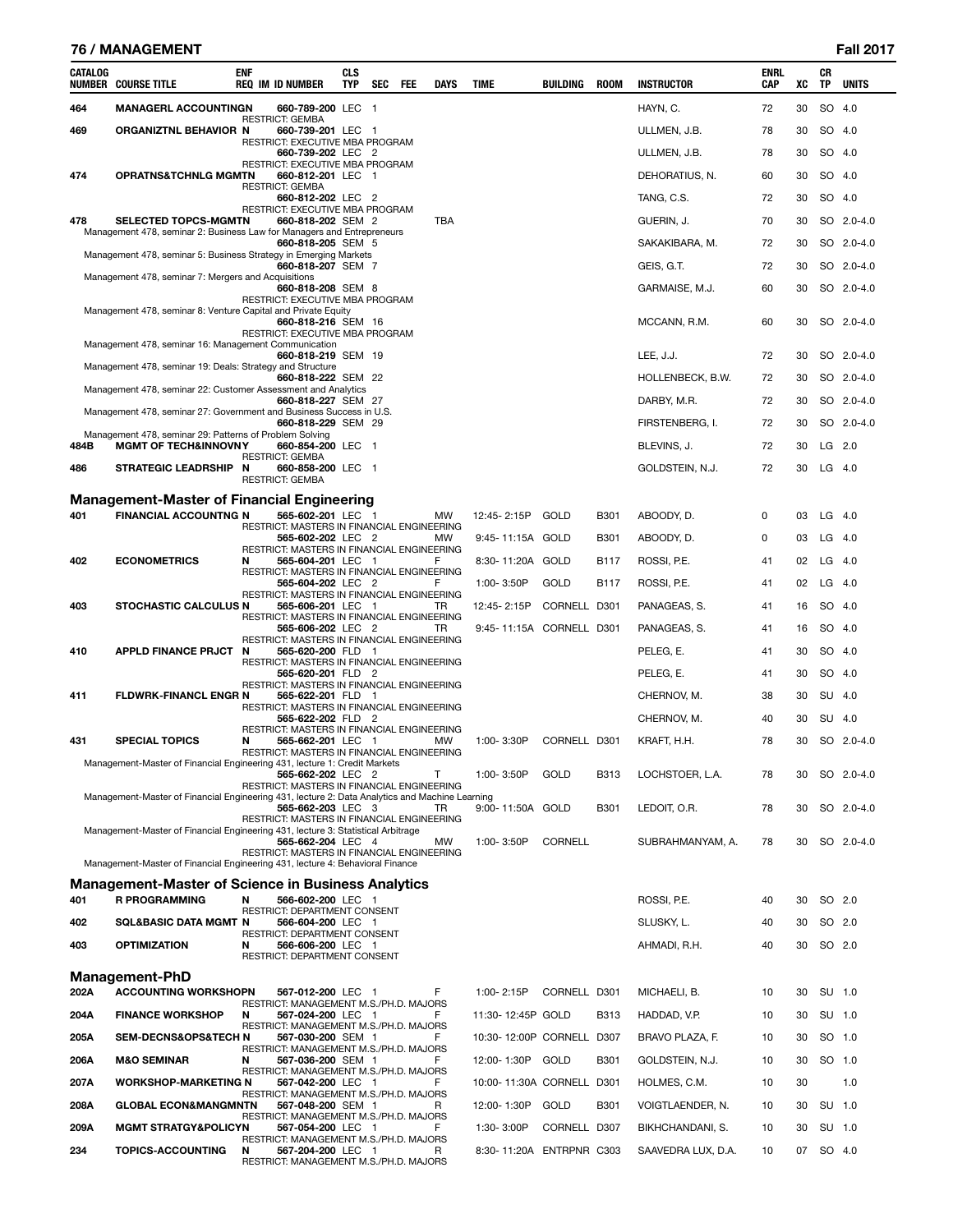|         | 76 / MANAGEMENT                                                                                |            |                                                                                          |                          |     |            |             |                           |              |             |                                |                           |    |           | <b>Fall 2017</b> |
|---------|------------------------------------------------------------------------------------------------|------------|------------------------------------------------------------------------------------------|--------------------------|-----|------------|-------------|---------------------------|--------------|-------------|--------------------------------|---------------------------|----|-----------|------------------|
| CATALOG | <b>NUMBER COURSE TITLE</b>                                                                     | <b>ENF</b> | <b>REQ IM ID NUMBER</b>                                                                  | <b>CLS</b><br><b>TYP</b> | SEC | <b>FEE</b> | <b>DAYS</b> | <b>TIME</b>               | BUILDING     | <b>ROOM</b> | <b>INSTRUCTOR</b>              | <b>ENRL</b><br><b>CAP</b> | XC | CR<br>TP  | <b>UNITS</b>     |
| 464     | <b>MANAGERL ACCOUNTINGN</b>                                                                    |            | 660-789-200 LEC 1                                                                        |                          |     |            |             |                           |              |             | HAYN, C.                       | 72                        | 30 |           | SO 4.0           |
| 469     | ORGANIZTNL BEHAVIOR N                                                                          |            | <b>RESTRICT: GEMBA</b><br>660-739-201 LEC 1                                              |                          |     |            |             |                           |              |             | ULLMEN, J.B.                   | 78                        | 30 |           | SO 4.0           |
|         |                                                                                                |            | RESTRICT: EXECUTIVE MBA PROGRAM<br>660-739-202 LEC 2                                     |                          |     |            |             |                           |              |             | ULLMEN, J.B.                   | 78                        | 30 |           | SO 4.0           |
| 474     | <b>OPRATNS&amp;TCHNLG MGMTN</b>                                                                |            | RESTRICT: EXECUTIVE MBA PROGRAM<br>660-812-201 LEC 1                                     |                          |     |            |             |                           |              |             | DEHORATIUS, N.                 | 60                        | 30 |           | SO 4.0           |
|         |                                                                                                |            | <b>RESTRICT: GEMBA</b><br>660-812-202 LEC 2                                              |                          |     |            |             |                           |              |             | TANG, C.S.                     | 72                        | 30 |           | SO 4.0           |
| 478     | <b>SELECTED TOPCS-MGMTN</b>                                                                    |            | RESTRICT: EXECUTIVE MBA PROGRAM<br>660-818-202 SEM 2                                     |                          |     |            | <b>TBA</b>  |                           |              |             | GUERIN, J.                     | 70                        | 30 | SO        | $2.0 - 4.0$      |
|         | Management 478, seminar 2: Business Law for Managers and Entrepreneurs                         |            | 660-818-205 SEM 5                                                                        |                          |     |            |             |                           |              |             | SAKAKIBARA, M.                 | 72                        | 30 |           | SO 2.0-4.0       |
|         | Management 478, seminar 5: Business Strategy in Emerging Markets                               |            | 660-818-207 SEM 7                                                                        |                          |     |            |             |                           |              |             | GEIS, G.T.                     | 72                        | 30 |           | SO 2.0-4.0       |
|         | Management 478, seminar 7: Mergers and Acquisitions                                            |            | 660-818-208 SEM 8                                                                        |                          |     |            |             |                           |              |             | GARMAISE, M.J.                 | 60                        | 30 |           | SO 2.0-4.0       |
|         | Management 478, seminar 8: Venture Capital and Private Equity                                  |            | RESTRICT: EXECUTIVE MBA PROGRAM<br>660-818-216 SEM 16<br>RESTRICT: EXECUTIVE MBA PROGRAM |                          |     |            |             |                           |              |             | MCCANN, R.M.                   | 60                        | 30 |           | SO 2.0-4.0       |
|         | Management 478, seminar 16: Management Communication                                           |            | 660-818-219 SEM 19                                                                       |                          |     |            |             |                           |              |             | LEE, J.J.                      | 72                        | 30 |           | SO 2.0-4.0       |
|         | Management 478, seminar 19: Deals: Strategy and Structure                                      |            | 660-818-222 SEM 22                                                                       |                          |     |            |             |                           |              |             | HOLLENBECK, B.W.               | 72                        | 30 |           | SO 2.0-4.0       |
|         | Management 478, seminar 22: Customer Assessment and Analytics                                  |            | 660-818-227 SEM 27                                                                       |                          |     |            |             |                           |              |             | DARBY, M.R.                    | 72                        | 30 |           | SO 2.0-4.0       |
|         | Management 478, seminar 27: Government and Business Success in U.S.                            |            | 660-818-229 SEM 29                                                                       |                          |     |            |             |                           |              |             |                                | 72                        | 30 |           | SO 2.0-4.0       |
| 484B    | Management 478, seminar 29: Patterns of Problem Solving<br><b>MGMT OF TECH&amp;INNOVNY</b>     |            | 660-854-200 LEC 1                                                                        |                          |     |            |             |                           |              |             | FIRSTENBERG, I.<br>BLEVINS, J. | 72                        | 30 |           | $LG$ 2.0         |
|         |                                                                                                |            | <b>RESTRICT: GEMBA</b>                                                                   |                          |     |            |             |                           |              |             |                                | 72                        | 30 |           |                  |
| 486     | STRATEGIC LEADRSHIP N                                                                          |            | 660-858-200 LEC 1<br><b>RESTRICT: GEMBA</b>                                              |                          |     |            |             |                           |              |             | GOLDSTEIN, N.J.                |                           |    | $LG$ 4.0  |                  |
|         | <b>Management-Master of Financial Engineering</b>                                              |            |                                                                                          |                          |     |            |             |                           |              |             |                                |                           |    |           |                  |
| 401     | <b>FINANCIAL ACCOUNTNG N</b>                                                                   |            | 565-602-201 LEC 1<br>RESTRICT: MASTERS IN FINANCIAL ENGINEERING                          |                          |     |            | МW          | 12:45-2:15P               | GOLD         | <b>B301</b> | ABOODY, D.                     | 0                         | 03 | $LG$ 4.0  |                  |
|         |                                                                                                |            | 565-602-202 LEC 2<br>RESTRICT: MASTERS IN FINANCIAL ENGINEERING                          |                          |     |            | MW          | 9:45-11:15A GOLD          |              | <b>B301</b> | ABOODY, D.                     | 0                         | 03 | LG        | - 4.0            |
| 402     | <b>ECONOMETRICS</b>                                                                            | N          | 565-604-201 LEC 1<br>RESTRICT: MASTERS IN FINANCIAL ENGINEERING                          |                          |     |            | F           | 8:30-11:20A GOLD          |              | <b>B117</b> | ROSSI, P.E.                    | 41                        | 02 | $LG$ 4.0  |                  |
|         |                                                                                                |            | 565-604-202 LEC 2<br>RESTRICT: MASTERS IN FINANCIAL ENGINEERING                          |                          |     |            | F           | 1:00-3:50P                | GOLD         | B117        | ROSSI, P.E.                    | 41                        | 02 | $LG$ 4.0  |                  |
| 403     | <b>STOCHASTIC CALCULUS N</b>                                                                   |            | 565-606-201 LEC 1<br>RESTRICT: MASTERS IN FINANCIAL ENGINEERING                          |                          |     |            | TR          | 12:45-2:15P               | CORNELL D301 |             | PANAGEAS, S.                   | 41                        | 16 | SO 4.0    |                  |
|         |                                                                                                |            | 565-606-202 LEC 2<br>RESTRICT: MASTERS IN FINANCIAL ENGINEERING                          |                          |     |            | TR          | 9:45-11:15A CORNELL D301  |              |             | PANAGEAS, S.                   | 41                        | 16 | SO 4.0    |                  |
| 410     | <b>APPLD FINANCE PRJCT</b>                                                                     | N          | 565-620-200 FLD 1<br>RESTRICT: MASTERS IN FINANCIAL ENGINEERING                          |                          |     |            |             |                           |              |             | PELEG, E.                      | 41                        | 30 |           | SO 4.0           |
|         |                                                                                                |            | 565-620-201 FLD 2<br>RESTRICT: MASTERS IN FINANCIAL ENGINEERING                          |                          |     |            |             |                           |              |             | PELEG, E.                      | 41                        | 30 | SO 4.0    |                  |
| 411     | <b>FLDWRK-FINANCL ENGR N</b>                                                                   |            | 565-622-201 FLD 1<br>RESTRICT: MASTERS IN FINANCIAL ENGINEERING                          |                          |     |            |             |                           |              |             | CHERNOV, M.                    | 38                        | 30 |           | SU 4.0           |
|         |                                                                                                |            | 565-622-202 FLD 2<br>RESTRICT: MASTERS IN FINANCIAL ENGINEERING                          |                          |     |            |             |                           |              |             | CHERNOV, M.                    | 40                        | 30 | SU 4.0    |                  |
| 431     | <b>SPECIAL TOPICS</b>                                                                          | N          | 565-662-201 LEC 1<br>RESTRICT: MASTERS IN FINANCIAL ENGINEERING                          |                          |     |            | MW          | 1:00-3:30P                | CORNELL D301 |             | KRAFT, H.H.                    | 78                        | 30 |           | SO 2.0-4.0       |
|         | Management-Master of Financial Engineering 431, lecture 1: Credit Markets                      |            | 565-662-202 LEC 2<br>RESTRICT: MASTERS IN FINANCIAL ENGINEERING                          |                          |     |            | T           | 1:00-3:50P                | GOLD         | <b>B313</b> | LOCHSTOER, L.A.                | 78                        | 30 |           | SO 2.0-4.0       |
|         | Management-Master of Financial Engineering 431, lecture 2: Data Analytics and Machine Learning |            | 565-662-203 LEC 3                                                                        |                          |     |            | TR.         | 9:00-11:50A GOLD          |              | B301        | LEDOIT, O.R.                   | 78                        | 30 |           | SO 2.0-4.0       |
|         | Management-Master of Financial Engineering 431, lecture 3: Statistical Arbitrage               |            | RESTRICT: MASTERS IN FINANCIAL ENGINEERING<br>565-662-204 LEC 4                          |                          |     |            | MW          | 1:00-3:50P                | CORNELL      |             | SUBRAHMANYAM, A.               | 78                        | 30 |           | SO 2.0-4.0       |
|         | Management-Master of Financial Engineering 431, lecture 4: Behavioral Finance                  |            | RESTRICT: MASTERS IN FINANCIAL ENGINEERING                                               |                          |     |            |             |                           |              |             |                                |                           |    |           |                  |
|         | Management-Master of Science in Business Analytics                                             |            |                                                                                          |                          |     |            |             |                           |              |             |                                |                           |    |           |                  |
| 401     | <b>R PROGRAMMING</b>                                                                           | N          | 566-602-200 LEC 1<br>RESTRICT: DEPARTMENT CONSENT                                        |                          |     |            |             |                           |              |             | ROSSI, P.E.                    | 40                        | 30 |           | SO 2.0           |
| 402     | <b>SQL&amp;BASIC DATA MGMT N</b>                                                               |            | 566-604-200 LEC 1<br>RESTRICT: DEPARTMENT CONSENT                                        |                          |     |            |             |                           |              |             | SLUSKY, L.                     | 40                        | 30 |           | SO 2.0           |
| 403     | <b>OPTIMIZATION</b>                                                                            | N          | 566-606-200 LEC 1<br>RESTRICT: DEPARTMENT CONSENT                                        |                          |     |            |             |                           |              |             | AHMADI, R.H.                   | 40                        | 30 | SO 2.0    |                  |
| 202A    | <b>Management-PhD</b><br><b>ACCOUNTING WORKSHOPN</b>                                           |            | 567-012-200 LEC 1                                                                        |                          |     |            | F           | 1:00-2:15P                | CORNELL D301 |             | MICHAELI, B.                   | 10                        | 30 | SU 1.0    |                  |
| 204A    | <b>FINANCE WORKSHOP</b>                                                                        | N          | RESTRICT: MANAGEMENT M.S./PH.D. MAJORS<br>567-024-200 LEC 1                              |                          |     |            | F           | 11:30-12:45P GOLD         |              | B313        | HADDAD, V.P.                   | 10                        | 30 |           | SU 1.0           |
| 205A    | <b>SEM-DECNS&amp;OPS&amp;TECH N</b>                                                            |            | RESTRICT: MANAGEMENT M.S./PH.D. MAJORS<br>567-030-200 SEM 1                              |                          |     |            | F           | 10:30-12:00P CORNELL D307 |              |             | BRAVO PLAZA, F.                | 10                        | 30 | SO 1.0    |                  |
| 206A    | <b>M&amp;O SEMINAR</b>                                                                         | N          | RESTRICT: MANAGEMENT M.S./PH.D. MAJORS<br>567-036-200 SEM 1                              |                          |     |            |             | 12:00-1:30P               | GOLD         | B301        | GOLDSTEIN, N.J.                | 10                        | 30 | SO 1.0    |                  |
| 207A    | <b>WORKSHOP-MARKETING N</b>                                                                    |            | RESTRICT: MANAGEMENT M.S./PH.D. MAJORS<br>567-042-200 LEC 1                              |                          |     |            |             | 10:00-11:30A CORNELL D301 |              |             | HOLMES, C.M.                   | 10                        | 30 |           | 1.0              |
| 208A    | <b>GLOBAL ECON&amp;MANGMNTN</b>                                                                |            | RESTRICT: MANAGEMENT M.S./PH.D. MAJORS<br>567-048-200 SEM 1                              |                          |     |            | R           | 12:00-1:30P               | GOLD         | <b>B301</b> | VOIGTLAENDER, N.               | 10                        | 30 | SU 1.0    |                  |
| 209A    | <b>MGMT STRATGY&amp;POLICYN</b>                                                                |            | RESTRICT: MANAGEMENT M.S./PH.D. MAJORS<br>567-054-200 LEC 1                              |                          |     |            | F           | 1:30-3:00P                | CORNELL D307 |             | BIKHCHANDANI, S.               | 10                        | 30 |           | SU 1.0           |
| 234     | <b>TOPICS-ACCOUNTING</b>                                                                       | N          | RESTRICT: MANAGEMENT M.S./PH.D. MAJORS<br>567-204-200 LEC 1                              |                          |     |            | R           | 8:30-11:20A ENTRPNR C303  |              |             | SAAVEDRA LUX, D.A.             | 10                        |    | 07 SO 4.0 |                  |
|         |                                                                                                |            | RESTRICT: MANAGEMENT M.S./PH.D. MAJORS                                                   |                          |     |            |             |                           |              |             |                                |                           |    |           |                  |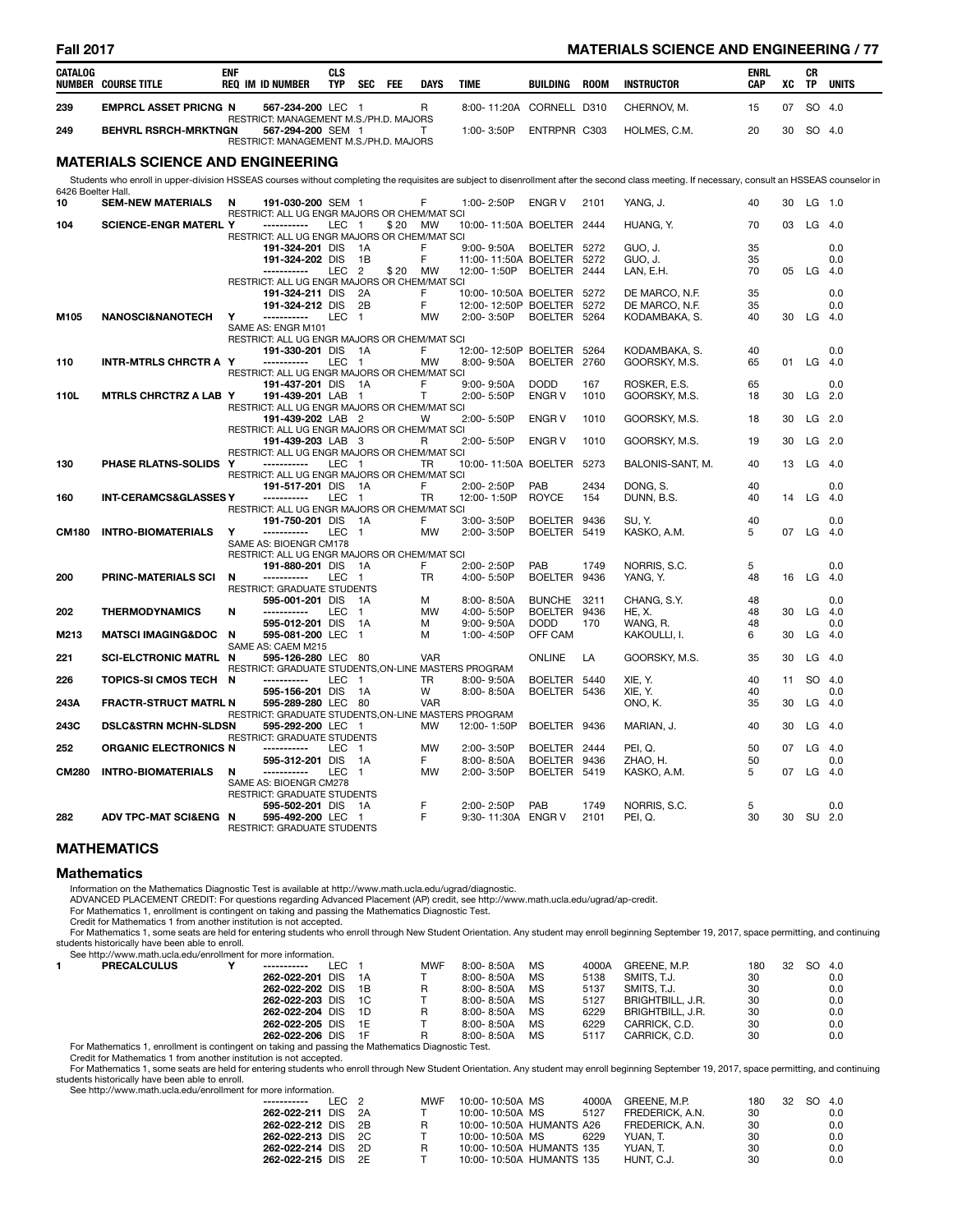### **Fall 2017 MATERIALS SCIENCE AND ENGINEERING / 77**

| CATALOG            | <b>NUMBER COURSE TITLE</b>               | <b>ENF</b> | <b>REQ IM ID NUMBER</b>                                                                                      | <b>CLS</b><br><b>TYP</b> | SEC                            | FEE  | <b>DAYS</b>    | <b>TIME</b>               | BUILDING                      | <b>ROOM</b> | <b>INSTRUCTOR</b>                                                                                                                                                                                | <b>ENRL</b><br><b>CAP</b> | XC | CR<br><b>TP</b> | <b>UNITS</b>    |
|--------------------|------------------------------------------|------------|--------------------------------------------------------------------------------------------------------------|--------------------------|--------------------------------|------|----------------|---------------------------|-------------------------------|-------------|--------------------------------------------------------------------------------------------------------------------------------------------------------------------------------------------------|---------------------------|----|-----------------|-----------------|
| 239                | <b>EMPRCL ASSET PRICNG N</b>             |            | 567-234-200 LEC 1<br>RESTRICT: MANAGEMENT M.S./PH.D. MAJORS                                                  |                          |                                |      | R              | 8:00-11:20A CORNELL D310  |                               |             | CHERNOV, M.                                                                                                                                                                                      | 15                        | 07 |                 | SO 4.0          |
| 249                | <b>BEHVRL RSRCH-MRKTNGN</b>              |            | 567-294-200 SEM 1<br>RESTRICT: MANAGEMENT M.S./PH.D. MAJORS                                                  |                          |                                |      | T              | 1:00-3:50P                | ENTRPNR C303                  |             | HOLMES, C.M.                                                                                                                                                                                     | 20                        | 30 |                 | SO 4.0          |
|                    | <b>MATERIALS SCIENCE AND ENGINEERING</b> |            |                                                                                                              |                          |                                |      |                |                           |                               |             |                                                                                                                                                                                                  |                           |    |                 |                 |
| 6426 Boelter Hall. |                                          |            |                                                                                                              |                          |                                |      |                |                           |                               |             | Students who enroll in upper-division HSSEAS courses without completing the requisites are subject to disenrollment after the second class meeting. If necessary, consult an HSSEAS counselor in |                           |    |                 |                 |
| 10                 | <b>SEM-NEW MATERIALS</b>                 | N          | 191-030-200 SEM 1                                                                                            |                          |                                |      | F              | 1:00-2:50P                | ENGR V                        | 2101        | YANG, J.                                                                                                                                                                                         | 40                        | 30 | LG 1.0          |                 |
| 104                | <b>SCIENCE-ENGR MATERL Y</b>             |            | RESTRICT: ALL UG ENGR MAJORS OR CHEM/MAT SCI<br>------------<br>RESTRICT: ALL UG ENGR MAJORS OR CHEM/MAT SCI | LEC 1                    |                                | \$20 | MW             | 10:00-11:50A BOELTER 2444 |                               |             | HUANG, Y.                                                                                                                                                                                        | 70                        | 03 |                 | $LG$ 4.0        |
|                    |                                          |            | 191-324-201 DIS                                                                                              |                          | $\overline{A}$                 |      | F              | 9:00-9:50A                | BOELTER 5272                  |             | GUO. J.                                                                                                                                                                                          | 35                        |    |                 | 0.0             |
|                    |                                          |            | 191-324-202 DIS                                                                                              |                          | - 1B                           |      | F              | 11:00-11:50A BOELTER 5272 |                               |             | GUO, J.                                                                                                                                                                                          | 35                        |    |                 | 0.0             |
|                    |                                          |            | -----------<br>RESTRICT: ALL UG ENGR MAJORS OR CHEM/MAT SCI                                                  | LEC <sub>2</sub>         |                                | \$20 | <b>MW</b>      | 12:00-1:50P               | BOELTER 2444                  |             | LAN, E.H.                                                                                                                                                                                        | 70                        |    | 05 LG 4.0       |                 |
|                    |                                          |            | 191-324-211 DIS                                                                                              |                          | 2A                             |      | F              | 10:00-10:50A BOELTER 5272 |                               |             | DE MARCO, N.F.                                                                                                                                                                                   | 35                        |    |                 | 0.0             |
|                    |                                          |            | 191-324-212 DIS                                                                                              |                          | 2B                             |      | F              | 12:00-12:50P BOELTER      |                               | 5272        | DE MARCO, N.F.                                                                                                                                                                                   | 35                        |    |                 | 0.0             |
| M105               | <b>NANOSCI&amp;NANOTECH</b>              | Y          | -----------                                                                                                  | <b>LEC</b>               | $\overline{1}$                 |      | <b>MW</b>      | 2:00-3:50P                | BOELTER 5264                  |             | KODAMBAKA, S.                                                                                                                                                                                    | 40                        |    | 30 LG 4.0       |                 |
|                    |                                          |            | SAME AS: ENGR M101<br>RESTRICT: ALL UG ENGR MAJORS OR CHEM/MAT SCI                                           |                          |                                |      |                |                           |                               |             |                                                                                                                                                                                                  |                           |    |                 |                 |
|                    |                                          |            | 191-330-201 DIS 1A                                                                                           |                          |                                |      | F              | 12:00-12:50P BOELTER      |                               | 5264        | KODAMBAKA, S.                                                                                                                                                                                    | 40                        |    |                 | 0.0             |
| 110                | <b>INTR-MTRLS CHRCTR A Y</b>             |            | -----------                                                                                                  | LEC 1                    |                                |      | <b>MW</b>      | 8:00-9:50A                | BOELTER 2760                  |             | GOORSKY, M.S.                                                                                                                                                                                    | 65                        | 01 | $LG$ 4.0        |                 |
|                    |                                          |            | RESTRICT: ALL UG ENGR MAJORS OR CHEM/MAT SCI<br>191-437-201 DIS 1A                                           |                          |                                |      | F              | $9:00 - 9:50A$            | <b>DODD</b>                   | 167         | ROSKER, E.S.                                                                                                                                                                                     | 65                        |    |                 | 0.0             |
| 110L               | <b>MTRLS CHRCTRZ A LAB Y</b>             |            | 191-439-201 LAB 1                                                                                            |                          |                                |      | $\mathsf{T}$   | 2:00-5:50P                | <b>ENGR V</b>                 | 1010        | GOORSKY, M.S.                                                                                                                                                                                    | 18                        | 30 |                 | $LG$ 2.0        |
|                    |                                          |            | RESTRICT: ALL UG ENGR MAJORS OR CHEM/MAT SCI                                                                 |                          |                                |      |                |                           |                               |             |                                                                                                                                                                                                  |                           |    |                 |                 |
|                    |                                          |            | 191-439-202 LAB 2                                                                                            |                          |                                |      | W              | 2:00-5:50P                | <b>ENGRV</b>                  | 1010        | GOORSKY, M.S.                                                                                                                                                                                    | 18                        | 30 |                 | $LG$ 2.0        |
|                    |                                          |            | RESTRICT: ALL UG ENGR MAJORS OR CHEM/MAT SCI<br>191-439-203 LAB 3                                            |                          |                                |      | R              | 2:00-5:50P                | <b>ENGR V</b>                 | 1010        | GOORSKY, M.S.                                                                                                                                                                                    | 19                        | 30 |                 | LG 2.0          |
|                    |                                          |            | RESTRICT: ALL UG ENGR MAJORS OR CHEM/MAT SCI                                                                 |                          |                                |      |                |                           |                               |             |                                                                                                                                                                                                  |                           |    |                 |                 |
| 130                | PHASE RLATNS-SOLIDS                      | <u>v</u>   | -----------                                                                                                  | LEC <sub>1</sub>         |                                |      | TR             | 10:00-11:50A BOELTER      |                               | 5273        | BALONIS-SANT, M.                                                                                                                                                                                 | 40                        | 13 |                 | LG 4.0          |
|                    |                                          |            | RESTRICT: ALL UG ENGR MAJORS OR CHEM/MAT SCI                                                                 |                          |                                |      |                |                           |                               |             |                                                                                                                                                                                                  |                           |    |                 |                 |
| 160                | <b>INT-CERAMCS&amp;GLASSES Y</b>         |            | 191-517-201 DIS 1A<br>------------                                                                           | LEC 1                    |                                |      | F<br>TR        | 2:00-2:50P<br>12:00-1:50P | PAB<br><b>ROYCE</b>           | 2434<br>154 | DONG, S.<br>DUNN, B.S.                                                                                                                                                                           | 40<br>40                  | 14 |                 | 0.0<br>$LG$ 4.0 |
|                    |                                          |            | RESTRICT: ALL UG ENGR MAJORS OR CHEM/MAT SCI                                                                 |                          |                                |      |                |                           |                               |             |                                                                                                                                                                                                  |                           |    |                 |                 |
|                    |                                          |            | 191-750-201 DIS 1A                                                                                           |                          |                                |      | F              | 3:00-3:50P                | BOELTER 9436                  |             | SU.Y.                                                                                                                                                                                            | 40                        |    |                 | 0.0             |
| <b>CM180</b>       | <b>INTRO-BIOMATERIALS</b>                | Y          | -----------                                                                                                  | LEC 1                    |                                |      | MW             | 2:00-3:50P                | BOELTER 5419                  |             | KASKO, A.M.                                                                                                                                                                                      | 5                         | 07 |                 | $LG$ 4.0        |
|                    |                                          |            | SAME AS: BIOENGR CM178<br>RESTRICT: ALL UG ENGR MAJORS OR CHEM/MAT SCI                                       |                          |                                |      |                |                           |                               |             |                                                                                                                                                                                                  |                           |    |                 |                 |
|                    |                                          |            | 191-880-201 DIS                                                                                              |                          | 1A                             |      | F              | 2:00-2:50P                | PAB                           | 1749        | NORRIS, S.C.                                                                                                                                                                                     | 5                         |    |                 | 0.0             |
| 200                | <b>PRINC-MATERIALS SCI</b>               | N          | -----------                                                                                                  | LEC.                     | - 1                            |      | <b>TR</b>      | 4:00-5:50P                | <b>BOELTER</b>                | 9436        | YANG, Y.                                                                                                                                                                                         | 48                        | 16 | LG $4.0$        |                 |
|                    |                                          |            | <b>RESTRICT: GRADUATE STUDENTS</b>                                                                           |                          |                                |      |                |                           |                               |             |                                                                                                                                                                                                  |                           |    |                 |                 |
| 202                | <b>THERMODYNAMICS</b>                    | N          | 595-001-201 DIS<br>-----------                                                                               | <b>LEC</b>               | $\overline{A}$<br>$\mathbf{1}$ |      | м<br><b>MW</b> | 8:00-8:50A<br>4:00-5:50P  | <b>BUNCHE</b><br>BOELTER 9436 | 3211        | CHANG, S.Y.<br><b>HE. X.</b>                                                                                                                                                                     | 48<br>48                  | 30 |                 | 0.0<br>$LG$ 4.0 |
|                    |                                          |            | 595-012-201 DIS                                                                                              |                          | 1A                             |      | м              | $9:00 - 9:50A$            | <b>DODD</b>                   | 170         | WANG. R.                                                                                                                                                                                         | 48                        |    |                 | 0.0             |
| M213               | <b>MATSCI IMAGING&amp;DOC</b>            | N          | 595-081-200 LEC                                                                                              |                          | $\mathbf{1}$                   |      | м              | 1:00-4:50P                | OFF CAM                       |             | KAKOULLI, I.                                                                                                                                                                                     | 6                         | 30 | LG              | 4.0             |
|                    |                                          |            | SAME AS: CAEM M215                                                                                           |                          |                                |      |                |                           |                               |             |                                                                                                                                                                                                  |                           |    |                 |                 |
| 221                | <b>SCI-ELCTRONIC MATRL N</b>             |            | 595-126-280 LEC 80<br>RESTRICT: GRADUATE STUDENTS, ON-LINE MASTERS PROGRAM                                   |                          |                                |      | <b>VAR</b>     |                           | <b>ONLINE</b>                 | LA          | GOORSKY, M.S.                                                                                                                                                                                    | 35                        | 30 |                 | $LG$ 4.0        |
| 226                | <b>TOPICS-SI CMOS TECH</b>               | N          | ------------                                                                                                 | LEC 1                    |                                |      | <b>TR</b>      | 8:00-9:50A                | BOELTER 5440                  |             | XIE, Y.                                                                                                                                                                                          | 40                        | 11 |                 | SO 4.0          |
|                    |                                          |            | 595-156-201 DIS                                                                                              |                          | - 1A                           |      | W              | 8:00-8:50A                | BOELTER 5436                  |             | XIE, Y.                                                                                                                                                                                          | 40                        |    |                 | 0.0             |
| 243A               | <b>FRACTR-STRUCT MATRL N</b>             |            | 595-289-280 LEC 80                                                                                           |                          |                                |      | <b>VAR</b>     |                           |                               |             | ONO, K.                                                                                                                                                                                          | 35                        | 30 |                 | $LG$ 4.0        |
| 243C               |                                          |            | RESTRICT: GRADUATE STUDENTS, ON-LINE MASTERS PROGRAM<br>595-292-200 LEC 1                                    |                          |                                |      | <b>MW</b>      |                           |                               |             |                                                                                                                                                                                                  | 40                        | 30 |                 | $LG$ 4.0        |
|                    | <b>DSLC&amp;STRN MCHN-SLDSN</b>          |            | RESTRICT: GRADUATE STUDENTS                                                                                  |                          |                                |      |                | 12:00-1:50P               | BOELTER 9436                  |             | MARIAN, J.                                                                                                                                                                                       |                           |    |                 |                 |
| 252                | <b>ORGANIC ELECTRONICS N</b>             |            | -----------                                                                                                  | <b>LEC</b>               | - 1                            |      | <b>MW</b>      | 2:00-3:50P                | BOELTER 2444                  |             | PEI.Q.                                                                                                                                                                                           | 50                        | 07 | LG              | 4.0             |
|                    |                                          |            | 595-312-201 DIS                                                                                              |                          | 1A                             |      | F              | 8:00-8:50A                | <b>BOELTER</b>                | 9436        | ZHAO, H.                                                                                                                                                                                         | 50                        |    |                 | 0.0             |
| <b>CM280</b>       | <b>INTRO-BIOMATERIALS</b>                | N          |                                                                                                              | <b>LEC</b>               | $\mathbf{1}$                   |      | <b>MW</b>      | 2:00-3:50P                | <b>BOELTER</b>                | 5419        | KASKO, A.M.                                                                                                                                                                                      | 5                         | 07 | $LG$ 4.0        |                 |
|                    |                                          |            | SAME AS: BIOENGR CM278<br>RESTRICT: GRADUATE STUDENTS                                                        |                          |                                |      |                |                           |                               |             |                                                                                                                                                                                                  |                           |    |                 |                 |
|                    |                                          |            | 595-502-201 DIS 1A                                                                                           |                          |                                |      | F              | 2:00-2:50P                | PAB                           | 1749        | NORRIS, S.C.                                                                                                                                                                                     | 5                         |    |                 | 0.0             |
| 282                | ADV TPC-MAT SCIŊ N                       |            | 595-492-200 LEC 1<br><b>RESTRICT: GRADUATE STUDENTS</b>                                                      |                          |                                |      | F              | 9:30-11:30A ENGR V        |                               | 2101        | PEI, Q.                                                                                                                                                                                          | 30                        |    | 30 SU 2.0       |                 |

### **MATHEMATICS**

#### **Mathematics**

Information on the Mathematics Diagnostic Test is available at http://www.math.ucla.edu/ugrad/diagnostic.<br>ADVANCED PLACEMENT CREDIT: For questions regarding Advanced Placement (AP) credit, see http://www.math.ucla.edu/ugra

For Mathematics 1, enrollment is contingent on taking and passing the Mathematics Diagnostic Test.

Credit for Mathematics 1 from another institution is not accepted.<br>For Mathematics 1, some seats are held for entering students who enroll through New Student Orientation. Any student may enroll beginning September 19, 201

students historically have been able to enroll. See http://www.math.ucla.edu/enrollment for more information.

| <u>366 TRUJIV WWW.ITIQUI.UCIQ.6UU/6HIUIIIII6HI TUI TIIUI 6 HIIUITIIQUUTI.</u>                    |                 |      |       |            |                |    |       |                  |     |    |        |     |
|--------------------------------------------------------------------------------------------------|-----------------|------|-------|------------|----------------|----|-------|------------------|-----|----|--------|-----|
| <b>PRECALCULUS</b>                                                                               | -----------     | _EC. |       | <b>MWF</b> | $8:00 - 8:50A$ | MS | 4000A | GREENE, M.P.     | 180 | 32 | SO 4.0 |     |
|                                                                                                  | 262-022-201 DIS |      | - 1A  |            | $8:00 - 8:50A$ | МS | 5138  | SMITS. T.J.      | 30  |    |        | 0.0 |
|                                                                                                  | 262-022-202 DIS |      | - 1B  | R          | $8:00 - 8:50A$ | MS | 5137  | SMITS. T.J.      | 30  |    |        | 0.0 |
|                                                                                                  | 262-022-203 DIS |      | $-1C$ |            | $8:00 - 8:50A$ | МS | 5127  | BRIGHTBILL, J.R. | 30  |    |        | 0.0 |
|                                                                                                  | 262-022-204 DIS |      | 1D    |            | $8:00 - 8:50A$ | MS | 6229  | BRIGHTBILL, J.R. | 30  |    |        | 0.0 |
|                                                                                                  | 262-022-205 DIS |      | - 1E  |            | 8:00-8:50A     | ΜS | 6229  | CARRICK, C.D.    | 30  |    |        | 0.0 |
|                                                                                                  | 262-022-206 DIS |      | - 1F  |            | $8:00 - 8:50A$ | ΜS | 5117  | CARRICK, C.D.    | 30  |    |        | 0.0 |
| For Mathematics 1 enrollment is contingent on taking and passing the Mathematics Diagnostic Test |                 |      |       |            |                |    |       |                  |     |    |        |     |

For Mathematics 1, enrollment is contingent on taking and passing the Mathematics Diagnostic Test.<br>Credit for Mathematics 1 from another institution is not accepted.<br>For Mathematics 1, some seats are held for entering stud students historically have been able to enroll.

See http://www.math.ucla.edu/enrollment for more information.

| -----------        | FC 2 |      | <b>MWF</b> | 10:00-10:50A MS          | 4000A | GREENE. M.P.    | 180 | 32 | SO 4.0 |     |
|--------------------|------|------|------------|--------------------------|-------|-----------------|-----|----|--------|-----|
| 262-022-211 DIS    |      | - 2A |            | 10:00-10:50A MS          | 5127  | FREDERICK, A.N. | 30  |    |        | 0.0 |
| 262-022-212 DIS 2B |      |      |            | 10:00-10:50A HUMANTS A26 |       | FREDERICK, A.N. | 30  |    |        | 0.0 |
| 262-022-213 DIS 2C |      |      |            | 10:00-10:50A MS          | 6229  | YUAN. T.        | 30  |    |        | 0.0 |
| 262-022-214 DIS    |      | 2D   |            | 10:00-10:50A HUMANTS 135 |       | YUAN. T.        | 30  |    |        | 0.0 |
| 262-022-215 DIS    |      | - 2E |            | 10:00-10:50A HUMANTS 135 |       | HUNT. C.J.      | 30  |    |        | 0.0 |
|                    |      |      |            |                          |       |                 |     |    |        |     |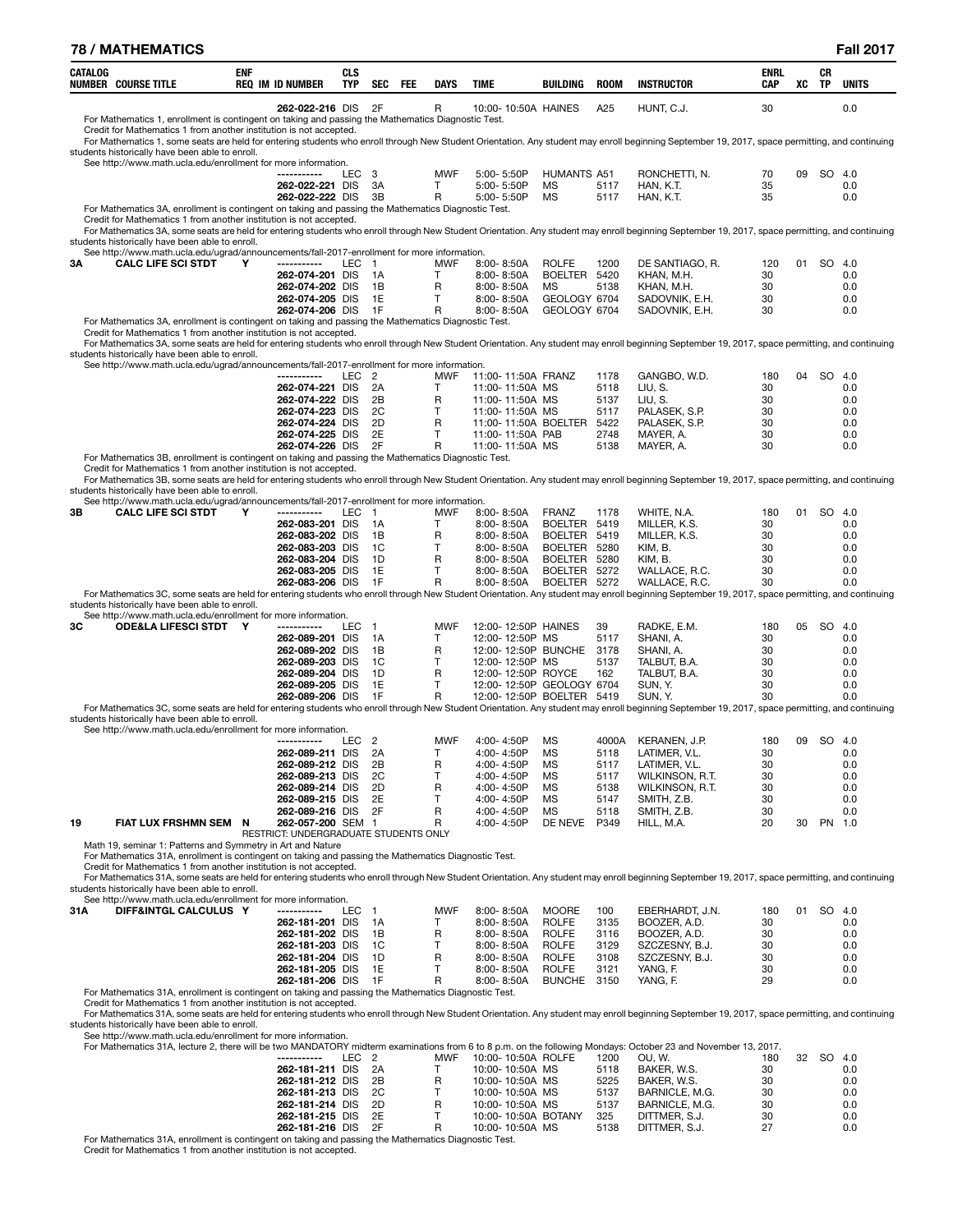| <b>78 / MATHEMATICS</b>                                                                                                                                                                                                                                                                                                                                                        |            |                                       |                          |                      |     |                   |                                         |                               |              |                                  |                    |    |           | <b>Fall 2017</b> |
|--------------------------------------------------------------------------------------------------------------------------------------------------------------------------------------------------------------------------------------------------------------------------------------------------------------------------------------------------------------------------------|------------|---------------------------------------|--------------------------|----------------------|-----|-------------------|-----------------------------------------|-------------------------------|--------------|----------------------------------|--------------------|----|-----------|------------------|
| CATALOG<br><b>NUMBER COURSE TITLE</b>                                                                                                                                                                                                                                                                                                                                          | <b>ENF</b> | <b>REQ IM ID NUMBER</b>               | <b>CLS</b><br><b>TYP</b> | <b>SEC</b>           | FEE | <b>DAYS</b>       | <b>TIME</b>                             | BUILDING                      | <b>ROOM</b>  | <b>INSTRUCTOR</b>                | <b>ENRL</b><br>CAP | XC | CR<br>TP  | <b>UNITS</b>     |
| For Mathematics 1, enrollment is contingent on taking and passing the Mathematics Diagnostic Test.                                                                                                                                                                                                                                                                             |            | 262-022-216 DIS                       |                          | 2F                   |     | R                 | 10:00-10:50A HAINES                     |                               | A25          | HUNT, C.J.                       | 30                 |    |           | 0.0              |
| Credit for Mathematics 1 from another institution is not accepted.<br>For Mathematics 1, some seats are held for entering students who enroll through New Student Orientation. Any student may enroll beginning September 19, 2017, space permitting, and continuing<br>students historically have been able to enroll.                                                        |            |                                       |                          |                      |     |                   |                                         |                               |              |                                  |                    |    |           |                  |
| See http://www.math.ucla.edu/enrollment for more information.                                                                                                                                                                                                                                                                                                                  |            |                                       |                          |                      |     |                   |                                         |                               |              |                                  |                    |    |           |                  |
|                                                                                                                                                                                                                                                                                                                                                                                |            | ------------<br>262-022-221 DIS       | LEC                      | - 3<br>3A            |     | <b>MWF</b><br>т   | 5:00-5:50P<br>5:00-5:50P                | <b>HUMANTS A51</b><br>МS      | 5117         | RONCHETTI, N.<br>HAN, K.T.       | 70<br>35           | 09 |           | SO 4.0<br>0.0    |
|                                                                                                                                                                                                                                                                                                                                                                                |            | 262-022-222 DIS                       |                          | 3B                   |     | R                 | 5:00-5:50P                              | МS                            | 5117         | HAN, K.T.                        | 35                 |    |           | 0.0              |
| For Mathematics 3A, enrollment is contingent on taking and passing the Mathematics Diagnostic Test.<br>Credit for Mathematics 1 from another institution is not accepted.<br>For Mathematics 3A, some seats are held for entering students who enroll through New Student Orientation. Any student may enroll beginning September 19, 2017, space permitting, and continuing   |            |                                       |                          |                      |     |                   |                                         |                               |              |                                  |                    |    |           |                  |
| students historically have been able to enroll.<br>See http://www.math.ucla.edu/ugrad/announcements/fall-2017-enrollment for more information.                                                                                                                                                                                                                                 |            |                                       |                          |                      |     |                   |                                         |                               |              |                                  |                    |    |           |                  |
| <b>CALC LIFE SCI STDT</b><br>ЗΑ                                                                                                                                                                                                                                                                                                                                                | Y          | -----------<br>262-074-201 DIS        | LEC 1                    | 1A                   |     | <b>MWF</b><br>Τ   | $8:00 - 8:50A$<br>8:00-8:50A            | <b>ROLFE</b><br>BOELTER 5420  | 1200         | DE SANTIAGO. R.                  | 120<br>30          | 01 |           | SO 4.0<br>0.0    |
|                                                                                                                                                                                                                                                                                                                                                                                |            | 262-074-202 DIS                       |                          | 1B                   |     | R                 | 8:00-8:50A                              | MS                            | 5138         | KHAN, M.H.<br>KHAN, M.H.         | 30                 |    |           | 0.0              |
|                                                                                                                                                                                                                                                                                                                                                                                |            | 262-074-205 DIS                       |                          | 1E                   |     | $\mathsf{T}$      | 8:00-8:50A                              | GEOLOGY 6704                  |              | SADOVNIK, E.H.                   | 30                 |    |           | 0.0              |
| For Mathematics 3A, enrollment is contingent on taking and passing the Mathematics Diagnostic Test.                                                                                                                                                                                                                                                                            |            | 262-074-206 DIS                       |                          | 1F                   |     | R                 | 8:00-8:50A                              | GEOLOGY 6704                  |              | SADOVNIK, E.H.                   | 30                 |    |           | 0.0              |
| Credit for Mathematics 1 from another institution is not accepted.                                                                                                                                                                                                                                                                                                             |            |                                       |                          |                      |     |                   |                                         |                               |              |                                  |                    |    |           |                  |
| For Mathematics 3A, some seats are held for entering students who enroll through New Student Orientation. Any student may enroll beginning September 19, 2017, space permitting, and continuing<br>students historically have been able to enroll.                                                                                                                             |            |                                       |                          |                      |     |                   |                                         |                               |              |                                  |                    |    |           |                  |
| See http://www.math.ucla.edu/ugrad/announcements/fall-2017-enrollment for more information.                                                                                                                                                                                                                                                                                    |            | -----------                           | <b>LEC</b>               | $\overline{2}$       |     | <b>MWF</b>        | 11:00-11:50A FRANZ                      |                               |              |                                  |                    |    |           |                  |
|                                                                                                                                                                                                                                                                                                                                                                                |            | 262-074-221 DIS                       |                          | 2A                   |     | T                 | 11:00-11:50A MS                         |                               | 1178<br>5118 | GANGBO, W.D.<br>LIU, S.          | 180<br>30          | 04 | <b>SO</b> | - 4.0<br>0.0     |
|                                                                                                                                                                                                                                                                                                                                                                                |            | 262-074-222 DIS                       |                          | 2B                   |     | R                 | 11:00-11:50A MS                         |                               | 5137         | LIU, S.                          | 30                 |    |           | 0.0              |
|                                                                                                                                                                                                                                                                                                                                                                                |            | 262-074-223 DIS<br>262-074-224 DIS    |                          | 2C<br>2D             |     | $\mathsf{T}$<br>R | 11:00-11:50A MS<br>11:00-11:50A BOELTER |                               | 5117<br>5422 | PALASEK, S.P.<br>PALASEK, S.P.   | 30<br>30           |    |           | 0.0<br>0.0       |
|                                                                                                                                                                                                                                                                                                                                                                                |            | 262-074-225 DIS                       |                          | 2E                   |     | T.                | 11:00-11:50A PAB                        |                               | 2748         | MAYER, A.                        | 30                 |    |           | 0.0              |
| For Mathematics 3B, enrollment is contingent on taking and passing the Mathematics Diagnostic Test.                                                                                                                                                                                                                                                                            |            | 262-074-226 DIS                       |                          | 2F                   |     | R                 | 11:00-11:50A MS                         |                               | 5138         | MAYER, A.                        | 30                 |    |           | 0.0              |
| Credit for Mathematics 1 from another institution is not accepted.                                                                                                                                                                                                                                                                                                             |            |                                       |                          |                      |     |                   |                                         |                               |              |                                  |                    |    |           |                  |
| For Mathematics 3B, some seats are held for entering students who enroll through New Student Orientation. Any student may enroll beginning September 19, 2017, space permitting, and continuing<br>students historically have been able to enroll.                                                                                                                             |            |                                       |                          |                      |     |                   |                                         |                               |              |                                  |                    |    |           |                  |
| See http://www.math.ucla.edu/ugrad/announcements/fall-2017-enrollment for more information.                                                                                                                                                                                                                                                                                    |            |                                       |                          |                      |     |                   |                                         |                               |              |                                  |                    |    |           |                  |
| 3В<br><b>CALC LIFE SCI STDT</b>                                                                                                                                                                                                                                                                                                                                                | Υ          | -----------<br>262-083-201 DIS        | <b>LEC</b>               | $\overline{1}$<br>1A |     | <b>MWF</b><br>T   | 8:00-8:50A<br>8:00-8:50A                | <b>FRANZ</b><br>BOELTER 5419  | 1178         | WHITE, N.A.<br>MILLER, K.S.      | 180<br>30          | 01 |           | SO 4.0<br>0.0    |
|                                                                                                                                                                                                                                                                                                                                                                                |            | 262-083-202 DIS                       |                          | 1B                   |     | R                 | 8:00-8:50A                              | BOELTER                       | 5419         | MILLER, K.S.                     | 30                 |    |           | 0.0              |
|                                                                                                                                                                                                                                                                                                                                                                                |            | 262-083-203 DIS<br>262-083-204 DIS    |                          | 1C<br>1D             |     | т<br>R            | 8:00-8:50A<br>8:00-8:50A                | BOELTER 5280<br>BOELTER       | 5280         | KIM, B.<br>KIM, B.               | 30<br>30           |    |           | 0.0<br>0.0       |
|                                                                                                                                                                                                                                                                                                                                                                                |            | 262-083-205 DIS                       |                          | 1E                   |     | Т                 | 8:00-8:50A                              | BOELTER 5272                  |              | WALLACE, R.C.                    | 30                 |    |           | 0.0              |
|                                                                                                                                                                                                                                                                                                                                                                                |            | 262-083-206 DIS                       |                          | 1F                   |     | R                 | 8:00-8:50A                              | BOELTER                       | 5272         | WALLACE, R.C.                    | 30                 |    |           | 0.0              |
| For Mathematics 3C, some seats are held for entering students who enroll through New Student Orientation. Any student may enroll beginning September 19, 2017, space permitting, and continuing<br>students historically have been able to enroll.                                                                                                                             |            |                                       |                          |                      |     |                   |                                         |                               |              |                                  |                    |    |           |                  |
| See http://www.math.ucla.edu/enrollment for more information.<br><b>ODE&amp;LA LIFESCI STDT Y</b><br>ЗС                                                                                                                                                                                                                                                                        |            | -----------                           |                          | $\overline{1}$       |     | <b>MWF</b>        | 12:00-12:50P HAINES                     |                               | 39           |                                  | 180                | 05 | SO.       | 4.0              |
|                                                                                                                                                                                                                                                                                                                                                                                |            | 262-089-201 DIS                       | LEC                      | 1A                   |     | т                 | 12:00-12:50P MS                         |                               | 5117         | RADKE, E.M.<br>SHANI, A.         | 30                 |    |           | 0.0              |
|                                                                                                                                                                                                                                                                                                                                                                                |            | 262-089-202 DIS                       |                          | 1B                   |     | R                 | 12:00-12:50P BUNCHE                     |                               | 3178         | SHANI, A.                        | 30                 |    |           | 0.0              |
|                                                                                                                                                                                                                                                                                                                                                                                |            | 262-089-203 DIS<br>262-089-204 DIS    |                          | 1C<br>1D             |     | т<br>R            | 12:00-12:50P MS<br>12:00-12:50P ROYCE   |                               | 5137<br>162  | TALBUT, B.A.<br>TALBUT, B.A.     | 30<br>30           |    |           | 0.0<br>0.0       |
|                                                                                                                                                                                                                                                                                                                                                                                |            | 262-089-205 DIS                       |                          | 1E                   |     | Τ                 | 12:00-12:50P GEOLOGY 6704               |                               |              | SUN. Y.                          | 30                 |    |           | 0.0              |
| For Mathematics 3C, some seats are held for entering students who enroll through New Student Orientation. Any student may enroll beginning September 19, 2017, space permitting, and continuing                                                                                                                                                                                |            | 262-089-206 DIS                       |                          | 1F                   |     | R                 | 12:00-12:50P BOELTER 5419               |                               |              | SUN, Y.                          | 30                 |    |           | 0.0              |
| students historically have been able to enroll.                                                                                                                                                                                                                                                                                                                                |            |                                       |                          |                      |     |                   |                                         |                               |              |                                  |                    |    |           |                  |
| See http://www.math.ucla.edu/enrollment for more information.                                                                                                                                                                                                                                                                                                                  |            |                                       | LEC                      | $\overline{2}$       |     | <b>MWF</b>        | 4:00-4:50P MS                           |                               |              | 4000A KERANEN, J.P.              | 180                |    | 09 SO 4.0 |                  |
|                                                                                                                                                                                                                                                                                                                                                                                |            | 262-089-211 DIS                       |                          | 2A                   |     | Т                 | 4:00-4:50P                              | ΜS                            | 5118         | LATIMER, V.L.                    | 30                 |    |           | 0.0              |
|                                                                                                                                                                                                                                                                                                                                                                                |            | 262-089-212 DIS<br>262-089-213 DIS    |                          | 2B<br>2C             |     | R<br>т            | 4:00-4:50P<br>4:00-4:50P                | МS<br>МS                      | 5117<br>5117 | LATIMER, V.L.<br>WILKINSON, R.T. | 30<br>30           |    |           | 0.0<br>0.0       |
|                                                                                                                                                                                                                                                                                                                                                                                |            | 262-089-214 DIS                       |                          | 2D                   |     | R                 | 4:00-4:50P                              | MS                            | 5138         | WILKINSON, R.T.                  | 30                 |    |           | 0.0              |
|                                                                                                                                                                                                                                                                                                                                                                                |            | 262-089-215 DIS<br>262-089-216 DIS    |                          | 2E<br>2F             |     | т<br>R            | 4:00-4:50P<br>4:00-4:50P                | MS<br>MS                      | 5147<br>5118 | SMITH, Z.B.<br>SMITH, Z.B.       | 30<br>30           |    |           | 0.0<br>0.0       |
| 19<br>FIAT LUX FRSHMN SEM N                                                                                                                                                                                                                                                                                                                                                    |            | 262-057-200 SEM 1                     |                          |                      |     | R                 | 4:00-4:50P                              | DE NEVE                       | P349         | HILL, M.A.                       | 20                 | 30 |           | PN 1.0           |
| Math 19, seminar 1: Patterns and Symmetry in Art and Nature                                                                                                                                                                                                                                                                                                                    |            | RESTRICT: UNDERGRADUATE STUDENTS ONLY |                          |                      |     |                   |                                         |                               |              |                                  |                    |    |           |                  |
| For Mathematics 31A, enrollment is contingent on taking and passing the Mathematics Diagnostic Test.<br>Credit for Mathematics 1 from another institution is not accepted.<br>For Mathematics 31A, some seats are held for entering students who enroll through New Student Orientation. Any student may enroll beginning September 19, 2017, space permitting, and continuing |            |                                       |                          |                      |     |                   |                                         |                               |              |                                  |                    |    |           |                  |
| students historically have been able to enroll.                                                                                                                                                                                                                                                                                                                                |            |                                       |                          |                      |     |                   |                                         |                               |              |                                  |                    |    |           |                  |
| See http://www.math.ucla.edu/enrollment for more information.<br>DIFF&INTGL CALCULUS Y<br>31 A                                                                                                                                                                                                                                                                                 |            | -----------                           | LEC                      | $\overline{1}$       |     | <b>MWF</b>        | $8:00 - 8:50A$                          | <b>MOORE</b>                  | 100          | EBERHARDT, J.N.                  | 180                | 01 |           | SO 4.0           |
|                                                                                                                                                                                                                                                                                                                                                                                |            | 262-181-201 DIS                       |                          | 1A                   |     | T                 | 8:00-8:50A                              | <b>ROLFE</b>                  | 3135         | BOOZER, A.D.                     | 30                 |    |           | 0.0              |
|                                                                                                                                                                                                                                                                                                                                                                                |            | 262-181-202 DIS<br>262-181-203 DIS    |                          | 1B<br>1C             |     | R<br>T.           | 8:00-8:50A<br>8:00-8:50A                | <b>ROLFE</b><br><b>ROLFE</b>  | 3116<br>3129 | BOOZER, A.D.<br>SZCZESNY, B.J.   | 30<br>30           |    |           | 0.0<br>0.0       |
|                                                                                                                                                                                                                                                                                                                                                                                |            | 262-181-204 DIS                       |                          | 1D                   |     | R                 | $8:00 - 8:50A$                          | <b>ROLFE</b>                  | 3108         | SZCZESNY, B.J.                   | 30                 |    |           | 0.0              |
|                                                                                                                                                                                                                                                                                                                                                                                |            | 262-181-205 DIS<br>262-181-206 DIS    |                          | 1E<br>1F             |     | т<br>R            | 8:00-8:50A<br>$8:00 - 8:50A$            | <b>ROLFE</b><br><b>BUNCHE</b> | 3121<br>3150 | YANG, F.<br>YANG, F.             | 30<br>29           |    |           | 0.0<br>0.0       |
| For Mathematics 31A, enrollment is contingent on taking and passing the Mathematics Diagnostic Test.                                                                                                                                                                                                                                                                           |            |                                       |                          |                      |     |                   |                                         |                               |              |                                  |                    |    |           |                  |
| Credit for Mathematics 1 from another institution is not accepted.<br>For Mathematics 31A, some seats are held for entering students who enroll through New Student Orientation. Any student may enroll beginning September 19, 2017, space permitting, and continuing<br>students historically have been able to enroll.                                                      |            |                                       |                          |                      |     |                   |                                         |                               |              |                                  |                    |    |           |                  |
| See http://www.math.ucla.edu/enrollment for more information.<br>For Mathematics 31A, lecture 2, there will be two MANDATORY midterm examinations from 6 to 8 p.m. on the following Mondays: October 23 and November 13, 2017.                                                                                                                                                 |            |                                       |                          |                      |     |                   |                                         |                               |              |                                  |                    |    |           |                  |
|                                                                                                                                                                                                                                                                                                                                                                                |            |                                       | LEC <sub>2</sub>         |                      |     | <b>MWF</b>        | 10:00-10:50A ROLFE                      |                               | 1200         | OU, W.                           | 180                | 32 | SO.       | -4.0             |
|                                                                                                                                                                                                                                                                                                                                                                                |            | 262-181-211 DIS<br>262-181-212 DIS    |                          | 2A<br>2Β             |     | T.<br>R           | 10:00-10:50A MS<br>10:00-10:50A MS      |                               | 5118<br>5225 | BAKER, W.S.<br>BAKER, W.S.       | 30<br>30           |    |           | 0.0<br>0.0       |
|                                                                                                                                                                                                                                                                                                                                                                                |            | 262-181-213 DIS                       |                          | 2C                   |     | т                 | 10:00-10:50A MS                         |                               | 5137         | BARNICLE, M.G.                   | 30                 |    |           | 0.0              |
|                                                                                                                                                                                                                                                                                                                                                                                |            | 262-181-214 DIS                       |                          | 2D<br>2E             |     | R                 | 10:00-10:50A MS                         |                               | 5137         | BARNICLE, M.G.                   | 30                 |    |           | 0.0              |
|                                                                                                                                                                                                                                                                                                                                                                                |            | 262-181-215 DIS<br>262-181-216 DIS    |                          | 2F                   |     | Τ<br>R            | 10:00-10:50A BOTANY<br>10:00-10:50A MS  |                               | 325<br>5138  | DITTMER, S.J.<br>DITTMER, S.J.   | 30<br>27           |    |           | 0.0<br>0.0       |
| For Mathematics 31A, enrollment is contingent on taking and passing the Mathematics Diagnostic Test.                                                                                                                                                                                                                                                                           |            |                                       |                          |                      |     |                   |                                         |                               |              |                                  |                    |    |           |                  |

Credit for Mathematics 1 from another institution is not accepted.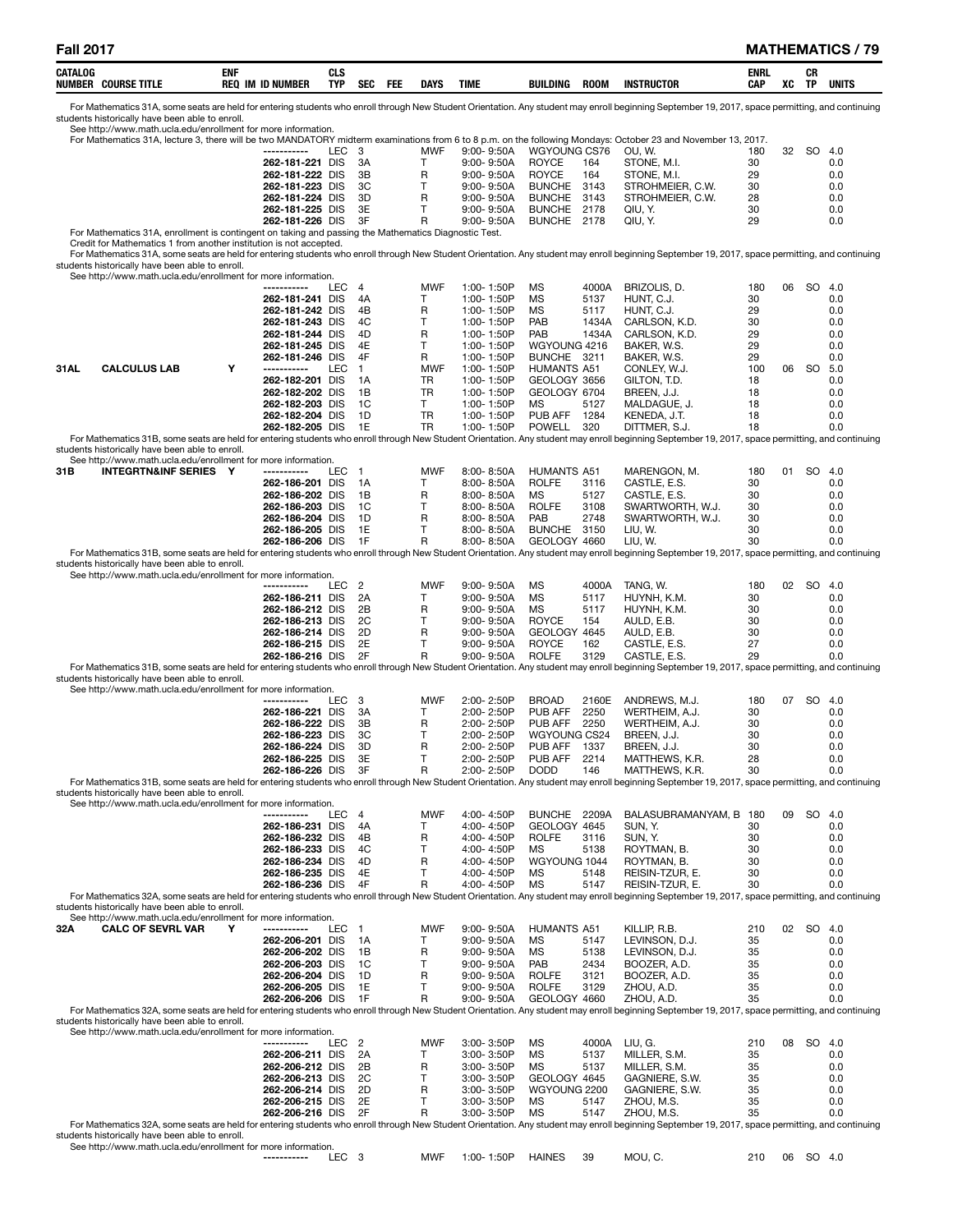| CATALOG<br><b>COURSE TITLE</b><br>NUMBEI | <b>ENI</b><br><b>REQ</b><br><b>ID NUMBER</b><br> | CL S<br>TYP | <b>CEC</b><br><b>SEM</b> | <b>FEL</b> | DAYS | <b>TIME</b> | BUILDING | ROOM | <b>INSTRUCTOR</b> | ENRI<br>CAP | XC | CR<br>TP | <b>UNITS</b> |
|------------------------------------------|--------------------------------------------------|-------------|--------------------------|------------|------|-------------|----------|------|-------------------|-------------|----|----------|--------------|
|                                          |                                                  |             |                          |            |      |             |          |      |                   |             |    |          |              |

For Mathematics 31A, some seats are held for entering students who enroll through New Student Orientation. Any student may enroll beginning September 19, 2017, space permitting, and continuing<br>students historically have b

|                                                                                                                                                                                                                                                     |   |                                    |                       |              |                |                              |                              |              | For Mathematics 31A, lecture 3, there will be two MANDATORY midterm examinations from 6 to 8 p.m. on the following Mondays: October 23 and November 13, 2017.                                    |          |       |           |            |
|-----------------------------------------------------------------------------------------------------------------------------------------------------------------------------------------------------------------------------------------------------|---|------------------------------------|-----------------------|--------------|----------------|------------------------------|------------------------------|--------------|--------------------------------------------------------------------------------------------------------------------------------------------------------------------------------------------------|----------|-------|-----------|------------|
|                                                                                                                                                                                                                                                     |   | -----------                        | LEC<br>- 3            |              | MWF            | $9:00 - 9:50A$               | WGYOUNG CS76                 |              | OU, W.                                                                                                                                                                                           | 180      | 32    | SO.       | -4.0       |
|                                                                                                                                                                                                                                                     |   | 262-181-221 DIS<br>262-181-222 DIS |                       | 3A<br>3B     | Τ<br>R         | 9:00-9:50A<br>$9:00 - 9:50A$ | ROYCE<br><b>ROYCE</b>        | 164<br>164   | STONE, M.I.<br>STONE, M.I.                                                                                                                                                                       | 30<br>29 |       |           | 0.0<br>0.0 |
|                                                                                                                                                                                                                                                     |   | 262-181-223 DIS                    |                       | 3C           | Т              |                              | <b>BUNCHE</b>                | 3143         | STROHMEIER, C.W.                                                                                                                                                                                 | 30       |       |           | 0.0        |
|                                                                                                                                                                                                                                                     |   |                                    |                       |              |                | $9:00 - 9:50A$               |                              |              |                                                                                                                                                                                                  |          |       |           |            |
|                                                                                                                                                                                                                                                     |   | 262-181-224 DIS                    |                       | 3D           | R<br>Т         | $9:00 - 9:50A$               | <b>BUNCHE</b>                | 3143         | STROHMEIER, C.W.                                                                                                                                                                                 | 28       |       |           | 0.0        |
|                                                                                                                                                                                                                                                     |   | 262-181-225 DIS<br>262-181-226 DIS |                       | 3E<br>3F     | R              | 9:00-9:50A<br>$9:00 - 9:50A$ | <b>BUNCHE</b><br>BUNCHE 2178 | 2178         | QIU, Y.<br>QIU, Y.                                                                                                                                                                               | 30<br>29 |       |           | 0.0<br>0.0 |
| For Mathematics 31A, enrollment is contingent on taking and passing the Mathematics Diagnostic Test.                                                                                                                                                |   |                                    |                       |              |                |                              |                              |              |                                                                                                                                                                                                  |          |       |           |            |
| Credit for Mathematics 1 from another institution is not accepted.                                                                                                                                                                                  |   |                                    |                       |              |                |                              |                              |              |                                                                                                                                                                                                  |          |       |           |            |
| For Mathematics 31A, some seats are held for entering students who enroll through New Student Orientation. Any student may enroll beginning September 19, 2017, space permitting, and continuing                                                    |   |                                    |                       |              |                |                              |                              |              |                                                                                                                                                                                                  |          |       |           |            |
| students historically have been able to enroll.                                                                                                                                                                                                     |   |                                    |                       |              |                |                              |                              |              |                                                                                                                                                                                                  |          |       |           |            |
| See http://www.math.ucla.edu/enrollment for more information.                                                                                                                                                                                       |   |                                    |                       |              |                |                              |                              |              |                                                                                                                                                                                                  |          |       |           |            |
|                                                                                                                                                                                                                                                     |   | -----------                        | $\overline{4}$<br>LEC |              | <b>MWF</b>     | 1:00-1:50P                   | MS                           | 4000A        | BRIZOLIS, D.                                                                                                                                                                                     | 180      | 06    | SO 4.0    |            |
|                                                                                                                                                                                                                                                     |   | 262-181-241 DIS                    |                       | 4A           | т              | 1:00-1:50P                   | MS                           | 5137         | HUNT, C.J.                                                                                                                                                                                       | 30       |       |           | 0.0        |
|                                                                                                                                                                                                                                                     |   | 262-181-242 DIS                    |                       | 4B           | R              | 1:00-1:50P                   | MS                           | 5117         | HUNT, C.J.                                                                                                                                                                                       | 29       |       |           | 0.0        |
|                                                                                                                                                                                                                                                     |   | 262-181-243 DIS                    |                       | 4C           | т              | 1:00-1:50P                   | PAB                          | 1434A        | CARLSON, K.D.                                                                                                                                                                                    | 30       |       |           | 0.0        |
|                                                                                                                                                                                                                                                     |   | 262-181-244 DIS                    |                       | 4D           | R              | 1:00-1:50P                   | PAB                          | 1434A        | CARLSON, K.D.                                                                                                                                                                                    | 29       |       |           | 0.0        |
|                                                                                                                                                                                                                                                     |   | 262-181-245 DIS                    |                       | 4E           | Τ              | 1:00-1:50P                   | WGYOUNG 4216                 |              | BAKER, W.S.                                                                                                                                                                                      | 29       |       |           | 0.0        |
|                                                                                                                                                                                                                                                     |   | 262-181-246 DIS                    |                       | 4F           | R              | 1:00-1:50P                   | BUNCHE 3211                  |              | BAKER, W.S.                                                                                                                                                                                      | 29       |       |           | 0.0        |
| <b>CALCULUS LAB</b><br>31AL                                                                                                                                                                                                                         | Y | -----------                        | LEC                   | $\mathbf{1}$ | <b>MWF</b>     | 1:00-1:50P                   | <b>HUMANTS A51</b>           |              | CONLEY, W.J.                                                                                                                                                                                     | 100      | 06 SO |           | 5.0        |
|                                                                                                                                                                                                                                                     |   | 262-182-201 DIS                    |                       | 1А           | TR             | 1:00-1:50P                   | GEOLOGY 3656                 |              | GILTON, T.D.                                                                                                                                                                                     | 18       |       |           | 0.0        |
|                                                                                                                                                                                                                                                     |   | 262-182-202 DIS                    |                       | 1B           | TR             | 1:00-1:50P                   | GEOLOGY 6704                 |              | BREEN, J.J.                                                                                                                                                                                      | 18       |       |           | 0.0        |
|                                                                                                                                                                                                                                                     |   | 262-182-203 DIS                    |                       | 1C           | Τ<br><b>TR</b> | 1:00-1:50P                   | MS                           | 5127         | MALDAGUE, J.                                                                                                                                                                                     | 18       |       |           | 0.0        |
|                                                                                                                                                                                                                                                     |   | 262-182-204 DIS<br>262-182-205 DIS |                       | 1D<br>1E     | TR             | 1:00-1:50P<br>1:00-1:50P     | PUB AFF<br>POWELL            | 1284<br>320  | KENEDA, J.T.                                                                                                                                                                                     | 18<br>18 |       |           | 0.0<br>0.0 |
| For Mathematics 31B, some seats are held for entering students who enroll through New Student Orientation. Any student may enroll beginning September 19, 2017, space permitting, and continuing                                                    |   |                                    |                       |              |                |                              |                              |              | DITTMER, S.J.                                                                                                                                                                                    |          |       |           |            |
| students historically have been able to enroll.                                                                                                                                                                                                     |   |                                    |                       |              |                |                              |                              |              |                                                                                                                                                                                                  |          |       |           |            |
| See http://www.math.ucla.edu/enrollment for more information.                                                                                                                                                                                       |   |                                    |                       |              |                |                              |                              |              |                                                                                                                                                                                                  |          |       |           |            |
| <b>INTEGRTN&amp;INF SERIES Y</b><br>31B                                                                                                                                                                                                             |   | -----------                        | LEC<br>$\mathbf{1}$   |              | <b>MWF</b>     | 8:00-8:50A                   | <b>HUMANTS A51</b>           |              | MARENGON, M.                                                                                                                                                                                     | 180      | 01    | SO 4.0    |            |
|                                                                                                                                                                                                                                                     |   | 262-186-201 DIS                    |                       | 1А           | т              | $8:00 - 8:50A$               | <b>ROLFE</b>                 | 3116         | CASTLE, E.S.                                                                                                                                                                                     | 30       |       |           | 0.0        |
|                                                                                                                                                                                                                                                     |   | 262-186-202 DIS                    |                       | 1B           | R              | $8:00 - 8:50A$               | MS                           | 5127         | CASTLE, E.S.                                                                                                                                                                                     | 30       |       |           | 0.0        |
|                                                                                                                                                                                                                                                     |   | 262-186-203 DIS                    |                       | 1C           | т              | 8:00-8:50A                   | <b>ROLFE</b>                 | 3108         | SWARTWORTH, W.J.                                                                                                                                                                                 | 30       |       |           | 0.0        |
|                                                                                                                                                                                                                                                     |   | 262-186-204 DIS                    |                       | 1D           | R              | $8:00 - 8:50A$               | PAB                          | 2748         | SWARTWORTH, W.J.                                                                                                                                                                                 | 30       |       |           | 0.0        |
|                                                                                                                                                                                                                                                     |   | 262-186-205 DIS                    |                       | 1E           | Т              | $8:00 - 8:50A$               | BUNCHE 3150                  |              | LIU, W.                                                                                                                                                                                          | 30       |       |           | 0.0        |
|                                                                                                                                                                                                                                                     |   | 262-186-206 DIS                    |                       | 1F           | R              | 8:00-8:50A                   | GEOLOGY 4660                 |              | LIU, W.                                                                                                                                                                                          | 30       |       |           | 0.0        |
| For Mathematics 31B, some seats are held for entering students who enroll through New Student Orientation. Any student may enroll beginning September 19, 2017, space permitting, and continuing                                                    |   |                                    |                       |              |                |                              |                              |              |                                                                                                                                                                                                  |          |       |           |            |
| students historically have been able to enroll.<br>See http://www.math.ucla.edu/enrollment for more information.                                                                                                                                    |   |                                    |                       |              |                |                              |                              |              |                                                                                                                                                                                                  |          |       |           |            |
|                                                                                                                                                                                                                                                     |   | -----------                        | $\overline{c}$<br>LEC |              | <b>MWF</b>     | $9:00 - 9:50A$               | MS                           | 4000A        | TANG, W.                                                                                                                                                                                         | 180      | 02    | SO        | - 4.0      |
|                                                                                                                                                                                                                                                     |   | 262-186-211 DIS                    |                       | 2A           | т              | $9:00 - 9:50A$               | MS                           | 5117         | HUYNH, K.M.                                                                                                                                                                                      | 30       |       |           | 0.0        |
|                                                                                                                                                                                                                                                     |   | 262-186-212 DIS                    |                       | 2B           | R              | $9:00 - 9:50A$               | MS                           | 5117         | HUYNH, K.M.                                                                                                                                                                                      | 30       |       |           | 0.0        |
|                                                                                                                                                                                                                                                     |   | 262-186-213 DIS                    |                       | 2C           | т              | $9:00 - 9:50A$               | <b>ROYCE</b>                 | 154          | AULD, E.B.                                                                                                                                                                                       | 30       |       |           | 0.0        |
|                                                                                                                                                                                                                                                     |   | 262-186-214 DIS                    |                       | 2D           | R              | $9:00 - 9:50A$               | GEOLOGY 4645                 |              | AULD, E.B.                                                                                                                                                                                       | 30       |       |           | 0.0        |
|                                                                                                                                                                                                                                                     |   | 262-186-215 DIS                    |                       | 2E           | т              | $9:00 - 9:50A$               | <b>ROYCE</b>                 | 162          | CASTLE, E.S.                                                                                                                                                                                     | 27       |       |           | 0.0        |
|                                                                                                                                                                                                                                                     |   | 262-186-216 DIS                    |                       | 2F           | R              | $9:00 - 9:50A$               | <b>ROLFE</b>                 | 3129         | CASTLE, E.S.                                                                                                                                                                                     | 29       |       |           | 0.0        |
|                                                                                                                                                                                                                                                     |   |                                    |                       |              |                |                              |                              |              |                                                                                                                                                                                                  |          |       |           |            |
|                                                                                                                                                                                                                                                     |   |                                    |                       |              |                |                              |                              |              | For Mathematics 31B, some seats are held for entering students who enroll through New Student Orientation. Any student may enroll beginning September 19, 2017, space permitting, and continuing |          |       |           |            |
| students historically have been able to enroll.                                                                                                                                                                                                     |   |                                    |                       |              |                |                              |                              |              |                                                                                                                                                                                                  |          |       |           |            |
| See http://www.math.ucla.edu/enrollment for more information.                                                                                                                                                                                       |   |                                    |                       |              |                |                              |                              |              |                                                                                                                                                                                                  |          |       |           |            |
|                                                                                                                                                                                                                                                     |   | -----------                        | 3<br>LEC              |              | <b>MWF</b>     | 2:00-2:50P                   | <b>BROAD</b>                 | 2160E        | ANDREWS, M.J.                                                                                                                                                                                    | 180      | 07    | SO.       | 4.0        |
|                                                                                                                                                                                                                                                     |   | 262-186-221 DIS                    |                       | 3A           | т              | 2:00-2:50P                   | PUB AFF                      | 2250         | WERTHEIM, A.J.                                                                                                                                                                                   | 30       |       |           | 0.0        |
|                                                                                                                                                                                                                                                     |   | 262-186-222 DIS                    |                       | 3B           | R              | 2:00-2:50P                   | PUB AFF                      | 2250         | WERTHEIM, A.J.                                                                                                                                                                                   | 30       |       |           | 0.0        |
|                                                                                                                                                                                                                                                     |   | 262-186-223 DIS                    |                       | 3C           | т              | 2:00-2:50P                   | WGYOUNG CS24                 |              | BREEN, J.J.                                                                                                                                                                                      | 30       |       |           | 0.0        |
|                                                                                                                                                                                                                                                     |   | 262-186-224 DIS                    |                       | 3D           | R              | 2:00-2:50P                   | PUB AFF                      | 1337         | BREEN, J.J.                                                                                                                                                                                      | 30       |       |           | 0.0        |
|                                                                                                                                                                                                                                                     |   | 262-186-225 DIS                    |                       | 3E           | Т              | 2:00-2:50P                   | PUB AFF                      | 2214         | MATTHEWS, K.R.                                                                                                                                                                                   | 28       |       |           | 0.0        |
|                                                                                                                                                                                                                                                     |   | 262-186-226 DIS                    |                       | 3F           | R              | 2:00-2:50P                   | <b>DODD</b>                  | 146          | MATTHEWS, K.R.                                                                                                                                                                                   | 30       |       |           | 0.0        |
| For Mathematics 31B, some seats are held for entering students who enroll through New Student Orientation. Any student may enroll beginning September 19, 2017, space permitting, and continuing<br>students historically have been able to enroll. |   |                                    |                       |              |                |                              |                              |              |                                                                                                                                                                                                  |          |       |           |            |
| See http://www.math.ucla.edu/enrollment for more information.                                                                                                                                                                                       |   |                                    |                       |              |                |                              |                              |              |                                                                                                                                                                                                  |          |       |           |            |
|                                                                                                                                                                                                                                                     |   | -----------                        | LEC<br>$\overline{4}$ |              | <b>MWF</b>     | 4:00-4:50P                   | BUNCHE 2209A                 |              | BALASUBRAMANYAM, B 180                                                                                                                                                                           |          | 09    | SO 4.0    |            |
|                                                                                                                                                                                                                                                     |   | 262-186-231 DIS                    |                       | 4A           | T              | 4:00-4:50P                   | GEOLOGY 4645                 |              | SUN, Y.                                                                                                                                                                                          | 30       |       |           | 0.0        |
|                                                                                                                                                                                                                                                     |   | 262-186-232 DIS                    |                       | 4B           | R              | 4:00-4:50P                   | <b>ROLFE</b>                 | 3116         | SUN, Y.                                                                                                                                                                                          | 30       |       |           | 0.0        |
|                                                                                                                                                                                                                                                     |   | 262-186-233 DIS                    |                       | 4C           | т              | 4:00-4:50P                   | MS                           | 5138         | ROYTMAN, B.                                                                                                                                                                                      | 30       |       |           | 0.0        |
|                                                                                                                                                                                                                                                     |   | 262-186-234 DIS                    |                       | 4D           | R              | 4:00-4:50P                   | WGYOUNG 1044                 |              | ROYTMAN, B.                                                                                                                                                                                      | 30       |       |           | 0.0        |
|                                                                                                                                                                                                                                                     |   | 262-186-235 DIS                    |                       | 4E           | т              | 4:00-4:50P                   | MS                           | 5148         | REISIN-TZUR, E.                                                                                                                                                                                  | 30       |       |           | 0.0        |
|                                                                                                                                                                                                                                                     |   | 262-186-236 DIS                    |                       | 4F           | R              | 4:00-4:50P                   | MS                           | 5147         | REISIN-TZUR, E.                                                                                                                                                                                  | 30       |       |           | 0.0        |
| For Mathematics 32A, some seats are held for entering students who enroll through New Student Orientation. Any student may enroll beginning September 19, 2017, space permitting, and continuing                                                    |   |                                    |                       |              |                |                              |                              |              |                                                                                                                                                                                                  |          |       |           |            |
| students historically have been able to enroll.<br>See http://www.math.ucla.edu/enrollment for more information.                                                                                                                                    |   |                                    |                       |              |                |                              |                              |              |                                                                                                                                                                                                  |          |       |           |            |
| <b>CALC OF SEVRL VAR</b><br>32A                                                                                                                                                                                                                     | Y | -----------                        | LEC<br>$\overline{1}$ |              | <b>MWF</b>     | 9:00-9:50A                   | <b>HUMANTS A51</b>           |              | KILLIP, R.B.                                                                                                                                                                                     | 210      |       | 02 SO 4.0 |            |
|                                                                                                                                                                                                                                                     |   | 262-206-201 DIS                    |                       | 1A           | т              | $9:00 - 9:50A$               | MS                           | 5147         | LEVINSON, D.J.                                                                                                                                                                                   | 35       |       |           | 0.0        |
|                                                                                                                                                                                                                                                     |   | 262-206-202 DIS                    |                       | 1B           | R              | 9:00-9:50A                   | MS                           | 5138         | LEVINSON, D.J.                                                                                                                                                                                   | 35       |       |           | 0.0        |
|                                                                                                                                                                                                                                                     |   | 262-206-203 DIS                    |                       | 1C           | т              | 9:00-9:50A                   | PAB                          | 2434         | BOOZER, A.D.                                                                                                                                                                                     | 35       |       |           | 0.0        |
|                                                                                                                                                                                                                                                     |   | 262-206-204 DIS                    |                       | 1D           | R              | 9:00-9:50A                   | <b>ROLFE</b>                 | 3121         | BOOZER, A.D.                                                                                                                                                                                     | 35       |       |           | 0.0        |
|                                                                                                                                                                                                                                                     |   | 262-206-205 DIS                    |                       | 1E           | т              | 9:00-9:50A                   | <b>ROLFE</b>                 | 3129         | ZHOU, A.D.                                                                                                                                                                                       | 35       |       |           | 0.0        |
|                                                                                                                                                                                                                                                     |   | 262-206-206 DIS                    |                       | 1F           | R              | 9:00-9:50A                   | GEOLOGY 4660                 |              | ZHOU, A.D.                                                                                                                                                                                       | 35       |       |           | 0.0        |
| For Mathematics 32A, some seats are held for entering students who enroll through New Student Orientation. Any student may enroll beginning September 19, 2017, space permitting, and continuing                                                    |   |                                    |                       |              |                |                              |                              |              |                                                                                                                                                                                                  |          |       |           |            |
| students historically have been able to enroll.                                                                                                                                                                                                     |   |                                    |                       |              |                |                              |                              |              |                                                                                                                                                                                                  |          |       |           |            |
| See http://www.math.ucla.edu/enrollment for more information.                                                                                                                                                                                       |   | -----------                        |                       |              |                |                              |                              |              |                                                                                                                                                                                                  |          |       |           |            |
|                                                                                                                                                                                                                                                     |   |                                    | $\overline{c}$<br>LEC |              | <b>MWF</b>     | 3:00-3:50P                   | MS                           | 4000A        | LIU, G.                                                                                                                                                                                          | 210      | 08    | SO 4.0    |            |
|                                                                                                                                                                                                                                                     |   | 262-206-211 DIS<br>262-206-212 DIS |                       | 2A<br>2B     | т<br>R         | 3:00-3:50P<br>$3:00 - 3:50P$ | MS<br>MS                     | 5137<br>5137 | MILLER, S.M.<br>MILLER, S.M.                                                                                                                                                                     | 35<br>35 |       |           | 0.0<br>0.0 |
|                                                                                                                                                                                                                                                     |   | 262-206-213 DIS                    |                       | 2C           | Т              | 3:00-3:50P                   | GEOLOGY 4645                 |              | GAGNIERE, S.W.                                                                                                                                                                                   | 35       |       |           | 0.0        |
|                                                                                                                                                                                                                                                     |   | 262-206-214 DIS                    |                       | 2D           | R              | 3:00-3:50P                   | WGYOUNG 2200                 |              | GAGNIERE, S.W.                                                                                                                                                                                   | 35       |       |           | 0.0        |
|                                                                                                                                                                                                                                                     |   | 262-206-215 DIS                    |                       | 2E           | т              | 3:00-3:50P                   | MS                           | 5147         | ZHOU, M.S.                                                                                                                                                                                       | 35       |       |           | 0.0        |
|                                                                                                                                                                                                                                                     |   | 262-206-216 DIS                    |                       | 2F           | R              | 3:00-3:50P                   | MS                           | 5147         | ZHOU, M.S.                                                                                                                                                                                       | 35       |       |           | 0.0        |
| For Mathematics 32A, some seats are held for entering students who enroll through New Student Orientation. Any student may enroll beginning September 19, 2017, space permitting, and continuing                                                    |   |                                    |                       |              |                |                              |                              |              |                                                                                                                                                                                                  |          |       |           |            |
| students historically have been able to enroll.                                                                                                                                                                                                     |   |                                    |                       |              |                |                              |                              |              |                                                                                                                                                                                                  |          |       |           |            |
| See http://www.math.ucla.edu/enrollment for more information.                                                                                                                                                                                       |   | -----------                        | 3<br>LEC              |              | <b>MWF</b>     | 1:00-1:50P                   | <b>HAINES</b>                | 39           | MOU, C.                                                                                                                                                                                          | 210      |       | 06 SO 4.0 |            |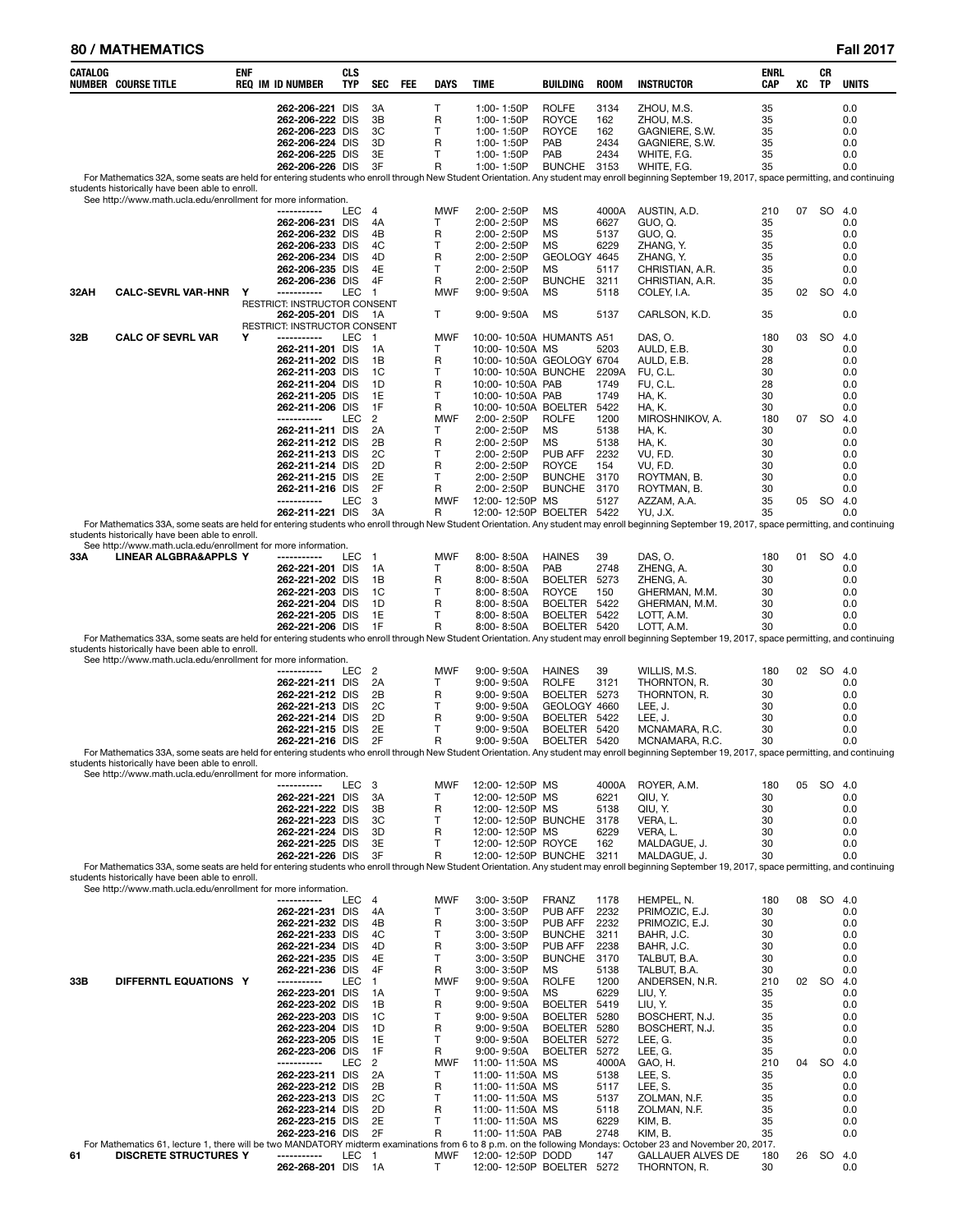### **80 / MATHEMATICS Fall 2017**

| CATALOG | NUMBER COURSE TITLE                                                                                              | enf | <b>REQ IM ID NUMBER</b>                                                                     | CLS<br>TYP | SEC                        | <b>FEE</b> | <b>DAYS</b>                      | <b>TIME</b>                                                        | <b>BUILDING</b>                                            | <b>ROOM</b>                        | <b>INSTRUCTOR</b>                                                                                                                                                                                                  | ENRL<br>CAP                | XC | CR<br><b>TP</b> | <b>UNITS</b>                    |
|---------|------------------------------------------------------------------------------------------------------------------|-----|---------------------------------------------------------------------------------------------|------------|----------------------------|------------|----------------------------------|--------------------------------------------------------------------|------------------------------------------------------------|------------------------------------|--------------------------------------------------------------------------------------------------------------------------------------------------------------------------------------------------------------------|----------------------------|----|-----------------|---------------------------------|
|         |                                                                                                                  |     | 262-206-221 DIS<br>262-206-222 DIS<br>262-206-223 DIS<br>262-206-224 DIS<br>262-206-225 DIS |            | ЗA<br>3B<br>3C<br>3D<br>3E |            | т<br>R<br>Т<br>R<br>$\mathsf{T}$ | 1:00-1:50P<br>1:00-1:50P<br>1:00-1:50P<br>1:00-1:50P<br>1:00-1:50P | <b>ROLFE</b><br><b>ROYCE</b><br><b>ROYCE</b><br>PAB<br>PAB | 3134<br>162<br>162<br>2434<br>2434 | ZHOU, M.S.<br>ZHOU, M.S.<br>GAGNIERE, S.W.<br>GAGNIERE, S.W.<br>WHITE, F.G.                                                                                                                                        | 35<br>35<br>35<br>35<br>35 |    |                 | 0.0<br>0.0<br>0.0<br>0.0<br>0.0 |
|         |                                                                                                                  |     | 262-206-226 DIS                                                                             |            | 3F                         |            | R                                | 1:00-1:50P                                                         | <b>BUNCHE</b>                                              | 3153                               | WHITE, F.G.<br>For Mathematics 32A, some seats are held for entering students who enroll through New Student Orientation. Any student may enroll beginning September 19, 2017, space permitting, and continuing    | 35                         |    |                 | 0.0                             |
|         | students historically have been able to enroll.<br>See http://www.math.ucla.edu/enrollment for more information. |     |                                                                                             |            |                            |            |                                  |                                                                    |                                                            |                                    |                                                                                                                                                                                                                    |                            |    |                 |                                 |
|         |                                                                                                                  |     | -----------                                                                                 | LEC        | 4                          |            | <b>MWF</b>                       | $2:00 - 2:50P$                                                     | MS                                                         | 4000A                              | AUSTIN, A.D.                                                                                                                                                                                                       | 210                        | 07 | SO 4.0          |                                 |
|         |                                                                                                                  |     | 262-206-231 DIS<br>262-206-232 DIS                                                          |            | 4A<br>4B                   |            | Т<br>R                           | 2:00-2:50P<br>2:00-2:50P                                           | MS<br>MS                                                   | 6627<br>5137                       | GUO, Q.<br>GUO, Q.                                                                                                                                                                                                 | 35<br>35                   |    |                 | 0.0<br>0.0                      |
|         |                                                                                                                  |     | 262-206-233 DIS<br>262-206-234 DIS                                                          |            | 4C<br>4D                   |            | $\mathsf{T}$<br>R                | $2:00 - 2:50P$<br>2:00-2:50P                                       | MS<br>GEOLOGY 4645                                         | 6229                               | ZHANG, Y.<br>ZHANG, Y.                                                                                                                                                                                             | 35<br>35                   |    |                 | 0.0<br>0.0                      |
|         |                                                                                                                  |     | 262-206-235 DIS<br>262-206-236 DIS                                                          |            | 4E<br>4F                   |            | T<br>R                           | 2:00-2:50P<br>2:00-2:50P                                           | MS<br><b>BUNCHE</b>                                        | 5117<br>3211                       | CHRISTIAN, A.R.<br>CHRISTIAN, A.R.                                                                                                                                                                                 | 35<br>35                   |    |                 | 0.0<br>0.0                      |
| 32AH    | <b>CALC-SEVRL VAR-HNR</b>                                                                                        | Y   | ------------<br>RESTRICT: INSTRUCTOR CONSENT                                                | LEC        | $\overline{1}$             |            | <b>MWF</b>                       | $9:00 - 9:50A$                                                     | MS                                                         | 5118                               | COLEY, I.A.                                                                                                                                                                                                        | 35                         | 02 | <b>SO</b>       | 4.0                             |
|         |                                                                                                                  |     | 262-205-201 DIS<br>RESTRICT: INSTRUCTOR CONSENT                                             |            | -1A                        |            | Τ                                | $9:00 - 9:50A$                                                     | <b>MS</b>                                                  | 5137                               | CARLSON, K.D.                                                                                                                                                                                                      | 35                         |    |                 | 0.0                             |
| 32B     | <b>CALC OF SEVRL VAR</b>                                                                                         | Υ   | -----------                                                                                 | LEC        | $\overline{1}$             |            | <b>MWF</b>                       | 10:00-10:50A HUMANTS A51                                           |                                                            |                                    | DAS, O.                                                                                                                                                                                                            | 180                        | 03 | <b>SO</b>       | 4.0                             |
|         |                                                                                                                  |     | 262-211-201 DIS<br>262-211-202 DIS                                                          |            | 1A<br>1В                   |            | т<br>R                           | 10:00-10:50A MS<br>10:00-10:50A GEOLOGY 6704                       |                                                            | 5203                               | AULD, E.B.<br>AULD, E.B.                                                                                                                                                                                           | 30<br>28                   |    |                 | 0.0<br>0.0                      |
|         |                                                                                                                  |     | 262-211-203 DIS<br>262-211-204 DIS                                                          |            | 1C<br>1D                   |            | т<br>R                           | 10:00-10:50A BUNCHE<br>10:00-10:50A PAB                            |                                                            | 2209A<br>1749                      | FU, C.L.<br>FU, C.L.                                                                                                                                                                                               | 30<br>28                   |    |                 | 0.0<br>0.0                      |
|         |                                                                                                                  |     | 262-211-205 DIS<br>262-211-206 DIS                                                          |            | 1E<br>1F                   |            | т<br>R                           | 10:00-10:50A PAB<br>10:00-10:50A BOELTER                           |                                                            | 1749<br>5422                       | <b>HA, K.</b><br>HA, K.                                                                                                                                                                                            | 30<br>30                   |    |                 | 0.0<br>0.0                      |
|         |                                                                                                                  |     | -----------<br>262-211-211 DIS                                                              | LEC        | 2<br>2A                    |            | <b>MWF</b><br>Т                  | 2:00-2:50P<br>2:00-2:50P                                           | <b>ROLFE</b><br>MS                                         | 1200<br>5138                       | MIROSHNIKOV, A.<br>HA, K.                                                                                                                                                                                          | 180<br>30                  | 07 | <b>SO</b>       | 4.0<br>0.0                      |
|         |                                                                                                                  |     | 262-211-212 DIS                                                                             |            | 2B                         |            | R                                | $2:00 - 2:50P$                                                     | MS                                                         | 5138                               | <b>HA, K.</b>                                                                                                                                                                                                      | 30                         |    |                 | 0.0                             |
|         |                                                                                                                  |     | 262-211-213 DIS<br>262-211-214 DIS                                                          |            | 2C<br>2D                   |            | Т<br>R                           | 2:00-2:50P<br>2:00-2:50P                                           | PUB AFF<br><b>ROYCE</b>                                    | 2232<br>154                        | VU, F.D.<br>VU, F.D.                                                                                                                                                                                               | 30<br>30                   |    |                 | 0.0<br>0.0                      |
|         |                                                                                                                  |     | 262-211-215 DIS<br>262-211-216 DIS                                                          |            | 2E<br>2F                   |            | Т<br>R                           | 2:00-2:50P<br>2:00-2:50P                                           | <b>BUNCHE</b><br><b>BUNCHE</b>                             | 3170<br>3170                       | ROYTMAN, B.<br>ROYTMAN, B.                                                                                                                                                                                         | 30<br>30                   |    |                 | 0.0<br>0.0                      |
|         |                                                                                                                  |     | -----------<br>262-211-221 DIS                                                              | LEC        | 3<br>3A                    |            | <b>MWF</b><br>R                  | 12:00-12:50P MS<br>12:00-12:50P BOELTER 5422                       |                                                            | 5127                               | AZZAM, A.A.<br>YU, J.X.                                                                                                                                                                                            | 35<br>35                   | 05 | SO 4.0          | 0.0                             |
|         | students historically have been able to enroll.                                                                  |     |                                                                                             |            |                            |            |                                  |                                                                    |                                                            |                                    | For Mathematics 33A, some seats are held for entering students who enroll through New Student Orientation. Any student may enroll beginning September 19, 2017, space permitting, and continuing                   |                            |    |                 |                                 |
| 33A     | See http://www.math.ucla.edu/enrollment for more information.<br>LINEAR ALGBRA&APPLS Y                           |     | -----------                                                                                 | LEC        | $\overline{1}$             |            | <b>MWF</b>                       | 8:00-8:50A                                                         | <b>HAINES</b>                                              | 39                                 | DAS, O.                                                                                                                                                                                                            | 180                        | 01 |                 | SO 4.0                          |
|         |                                                                                                                  |     | 262-221-201 DIS<br>262-221-202 DIS                                                          |            | 1A<br>1B                   |            | Т<br>R                           | 8:00-8:50A<br>$8:00 - 8:50A$                                       | PAB<br><b>BOELTER</b>                                      | 2748<br>5273                       | ZHENG, A.<br>ZHENG, A.                                                                                                                                                                                             | 30<br>30                   |    |                 | 0.0<br>0.0                      |
|         |                                                                                                                  |     | 262-221-203 DIS<br>262-221-204 DIS                                                          |            | 1C<br>1D                   |            | т<br>R                           | $8:00 - 8:50A$                                                     | <b>ROYCE</b><br>BOELTER 5422                               | 150                                | GHERMAN, M.M.                                                                                                                                                                                                      | 30<br>30                   |    |                 | 0.0<br>0.0                      |
|         |                                                                                                                  |     | 262-221-205 DIS                                                                             |            | 1E                         |            | т                                | $8:00 - 8:50A$<br>8:00-8:50A                                       | BOELTER 5422                                               |                                    | GHERMAN, M.M.<br>LOTT, A.M.                                                                                                                                                                                        | 30                         |    |                 | 0.0                             |
|         |                                                                                                                  |     | 262-221-206 DIS                                                                             |            | 1F                         |            | R                                | $8:00 - 8:50A$                                                     | BOELTER 5420                                               |                                    | LOTT, A.M.<br>For Mathematics 33A, some seats are held for entering students who enroll through New Student Orientation. Any student may enroll beginning September 19, 2017, space permitting, and continuing     | 30                         |    |                 | 0.0                             |
|         | students historically have been able to enroll.<br>See http://www.math.ucla.edu/enrollment for more information. |     |                                                                                             |            |                            |            |                                  |                                                                    |                                                            |                                    |                                                                                                                                                                                                                    |                            |    |                 |                                 |
|         |                                                                                                                  |     | -----------<br>262-221-211 DIS                                                              | LEC        | $\overline{2}$<br>2A       |            | <b>MWF</b><br>Т                  | $9:00 - 9:50A$<br>9:00-9:50A                                       | <b>HAINES</b><br><b>ROLFE</b>                              | 39<br>3121                         | WILLIS, M.S.<br>THORNTON, R.                                                                                                                                                                                       | 180<br>30                  | 02 | SO.             | 4.0<br>0.0                      |
|         |                                                                                                                  |     | 262-221-212 DIS<br>262-221-213 DIS                                                          |            | 2B<br>2C                   |            | R<br>Т                           | 9:00-9:50A<br>$9:00 - 9:50A$                                       | BOELTER 5273<br>GEOLOGY 4660                               |                                    | THORNTON, R.<br>LEE, J.                                                                                                                                                                                            | 30<br>30                   |    |                 | 0.0<br>0.0                      |
|         |                                                                                                                  |     | 262-221-214 DIS<br>262-221-215 DIS                                                          |            | 2D<br>2E                   |            | R<br>Т                           | $9:00 - 9:50A$<br>$9:00 - 9:50A$                                   | BOELTER 5422<br>BOELTER 5420                               |                                    | LEE, J.<br>MCNAMARA, R.C.                                                                                                                                                                                          | 30<br>30                   |    |                 | 0.0<br>0.0                      |
|         |                                                                                                                  |     | 262-221-216 DIS                                                                             |            | 2F                         |            | R                                | $9:00 - 9:50A$                                                     | BOELTER 5420                                               |                                    | MCNAMARA, R.C.<br>For Mathematics 33A, some seats are held for entering students who enroll through New Student Orientation. Any student may enroll beginning September 19, 2017, space permitting, and continuing | 30                         |    |                 | 0.0                             |
|         | students historically have been able to enroll.<br>See http://www.math.ucla.edu/enrollment for more information. |     |                                                                                             |            |                            |            |                                  |                                                                    |                                                            |                                    |                                                                                                                                                                                                                    |                            |    |                 |                                 |
|         |                                                                                                                  |     | -----------<br>262-221-221 DIS                                                              | LEC        | -3<br>3A                   |            | <b>MWF</b><br>Т                  | 12:00-12:50P MS<br>12:00-12:50P MS                                 |                                                            | 4000A<br>6221                      | ROYER, A.M.<br>QIU, Y.                                                                                                                                                                                             | 180<br>30                  | 05 | SO 4.0          | 0.0                             |
|         |                                                                                                                  |     | 262-221-222 DIS                                                                             |            | 3B                         |            | R                                | 12:00-12:50P MS                                                    |                                                            | 5138                               | QIU, Y.                                                                                                                                                                                                            | 30                         |    |                 | 0.0                             |
|         |                                                                                                                  |     | 262-221-223 DIS<br>262-221-224 DIS                                                          |            | 3C<br>3D                   |            | т<br>R                           | 12:00-12:50P BUNCHE<br>12:00-12:50P MS                             |                                                            | 3178<br>6229                       | VERA, L.<br>VERA, L.                                                                                                                                                                                               | 30<br>30                   |    |                 | 0.0<br>0.0                      |
|         |                                                                                                                  |     | 262-221-225 DIS<br>262-221-226 DIS                                                          |            | 3E<br>3F                   |            | т<br>R                           | 12:00-12:50P ROYCE<br>12:00-12:50P BUNCHE 3211                     |                                                            | 162                                | MALDAGUE, J.<br>MALDAGUE. J.                                                                                                                                                                                       | 30<br>30                   |    |                 | 0.0<br>0.0                      |
|         | students historically have been able to enroll.                                                                  |     |                                                                                             |            |                            |            |                                  |                                                                    |                                                            |                                    | For Mathematics 33A, some seats are held for entering students who enroll through New Student Orientation. Any student may enroll beginning September 19, 2017, space permitting, and continuing                   |                            |    |                 |                                 |
|         | See http://www.math.ucla.edu/enrollment for more information.                                                    |     | ------------                                                                                | LEC        | -4                         |            | MWF                              | 3:00-3:50P                                                         | <b>FRANZ</b>                                               | 1178                               | HEMPEL, N.                                                                                                                                                                                                         | 180                        | 08 | SO 4.0          |                                 |
|         |                                                                                                                  |     | 262-221-231 DIS<br>262-221-232 DIS                                                          |            | 4A<br>4B                   |            | Т<br>R                           | 3:00-3:50P<br>3:00-3:50P                                           | PUB AFF<br>PUB AFF                                         | 2232<br>2232                       | PRIMOZIC, E.J.<br>PRIMOZIC, E.J.                                                                                                                                                                                   | 30<br>30                   |    |                 | 0.0<br>0.0                      |
|         |                                                                                                                  |     | 262-221-233 DIS<br>262-221-234 DIS                                                          |            | 4C<br>4D                   |            | Т<br>R                           | 3:00-3:50P<br>3:00-3:50P                                           | <b>BUNCHE</b><br>PUB AFF                                   | 3211<br>2238                       | BAHR, J.C.<br>BAHR, J.C.                                                                                                                                                                                           | 30<br>30                   |    |                 | 0.0<br>0.0                      |
|         |                                                                                                                  |     | 262-221-235 DIS<br>262-221-236 DIS                                                          |            | 4E<br>4F                   |            | Т<br>R                           | 3:00-3:50P                                                         | <b>BUNCHE</b><br><b>MS</b>                                 | 3170<br>5138                       | TALBUT, B.A.                                                                                                                                                                                                       | 30<br>30                   |    |                 | 0.0                             |
| 33B     | DIFFERNTL EQUATIONS Y                                                                                            |     | -----------                                                                                 | LEC        | $\overline{1}$             |            | <b>MWF</b>                       | 3:00-3:50P<br>$9:00 - 9:50A$                                       | <b>ROLFE</b>                                               | 1200                               | TALBUT, B.A.<br>ANDERSEN, N.R.                                                                                                                                                                                     | 210                        | 02 | SO              | 0.0<br>4.0                      |
|         |                                                                                                                  |     | 262-223-201 DIS<br>262-223-202 DIS                                                          |            | 1A<br>1B                   |            | т<br>R                           | $9:00 - 9:50A$<br>$9:00 - 9:50A$                                   | <b>MS</b><br><b>BOELTER</b>                                | 6229<br>5419                       | LIU, Y.<br>LIU, Y.                                                                                                                                                                                                 | 35<br>35                   |    |                 | 0.0<br>0.0                      |
|         |                                                                                                                  |     | 262-223-203 DIS<br>262-223-204 DIS                                                          |            | 1C<br>1D                   |            | т<br>R                           | $9:00 - 9:50A$<br>$9:00 - 9:50A$                                   | <b>BOELTER</b><br><b>BOELTER</b>                           | 5280<br>5280                       | BOSCHERT, N.J.<br>BOSCHERT, N.J.                                                                                                                                                                                   | 35<br>35                   |    |                 | 0.0<br>0.0                      |
|         |                                                                                                                  |     | 262-223-205 DIS<br>262-223-206 DIS                                                          |            | 1E<br>1F                   |            | т<br>R                           | $9:00 - 9:50A$<br>$9:00 - 9:50A$                                   | <b>BOELTER</b><br>BOELTER                                  | 5272<br>5272                       | LEE, G.<br>LEE, G.                                                                                                                                                                                                 | 35<br>35                   |    |                 | 0.0<br>0.0                      |
|         |                                                                                                                  |     | -----------<br>262-223-211 DIS                                                              | LEC        | $\overline{2}$<br>2A       |            | <b>MWF</b><br>Т                  | 11:00-11:50A MS<br>11:00-11:50A MS                                 |                                                            | 4000A<br>5138                      | GAO, H.<br>LEE, S.                                                                                                                                                                                                 | 210<br>35                  | 04 | SO.             | 4.0<br>0.0                      |
|         |                                                                                                                  |     | 262-223-212 DIS                                                                             |            | 2B                         |            | R                                | 11:00-11:50A MS                                                    |                                                            | 5117                               | LEE, S.                                                                                                                                                                                                            | 35                         |    |                 | 0.0                             |
|         |                                                                                                                  |     | 262-223-213 DIS<br>262-223-214 DIS                                                          |            | 2C<br>2D                   |            | Т<br>R                           | 11:00-11:50A MS<br>11:00-11:50A MS                                 |                                                            | 5137<br>5118                       | ZOLMAN, N.F.<br>ZOLMAN, N.F.                                                                                                                                                                                       | 35<br>35                   |    |                 | 0.0<br>0.0                      |
|         |                                                                                                                  |     | 262-223-215 DIS<br>262-223-216 DIS                                                          |            | 2E<br>2F                   |            | Т<br>R                           | 11:00-11:50A MS<br>11:00-11:50A PAB                                |                                                            | 6229<br>2748                       | KIM, B.<br>KIM, B.                                                                                                                                                                                                 | 35<br>35                   |    |                 | 0.0<br>0.0                      |
| 61      | <b>DISCRETE STRUCTURES Y</b>                                                                                     |     | -----------                                                                                 | LEC        | $\overline{1}$             |            | MWF                              | 12:00-12:50P DODD                                                  |                                                            | 147                                | For Mathematics 61, lecture 1, there will be two MANDATORY midterm examinations from 6 to 8 p.m. on the following Mondays: October 23 and November 20, 2017.<br><b>GALLAUER ALVES DE</b>                           | 180                        | 26 |                 | SO 4.0                          |
|         |                                                                                                                  |     | 262-268-201 DIS                                                                             |            | 1A                         |            | T                                | 12:00-12:50P BOELTER 5272                                          |                                                            |                                    | THORNTON, R.                                                                                                                                                                                                       | 30                         |    |                 | 0.0                             |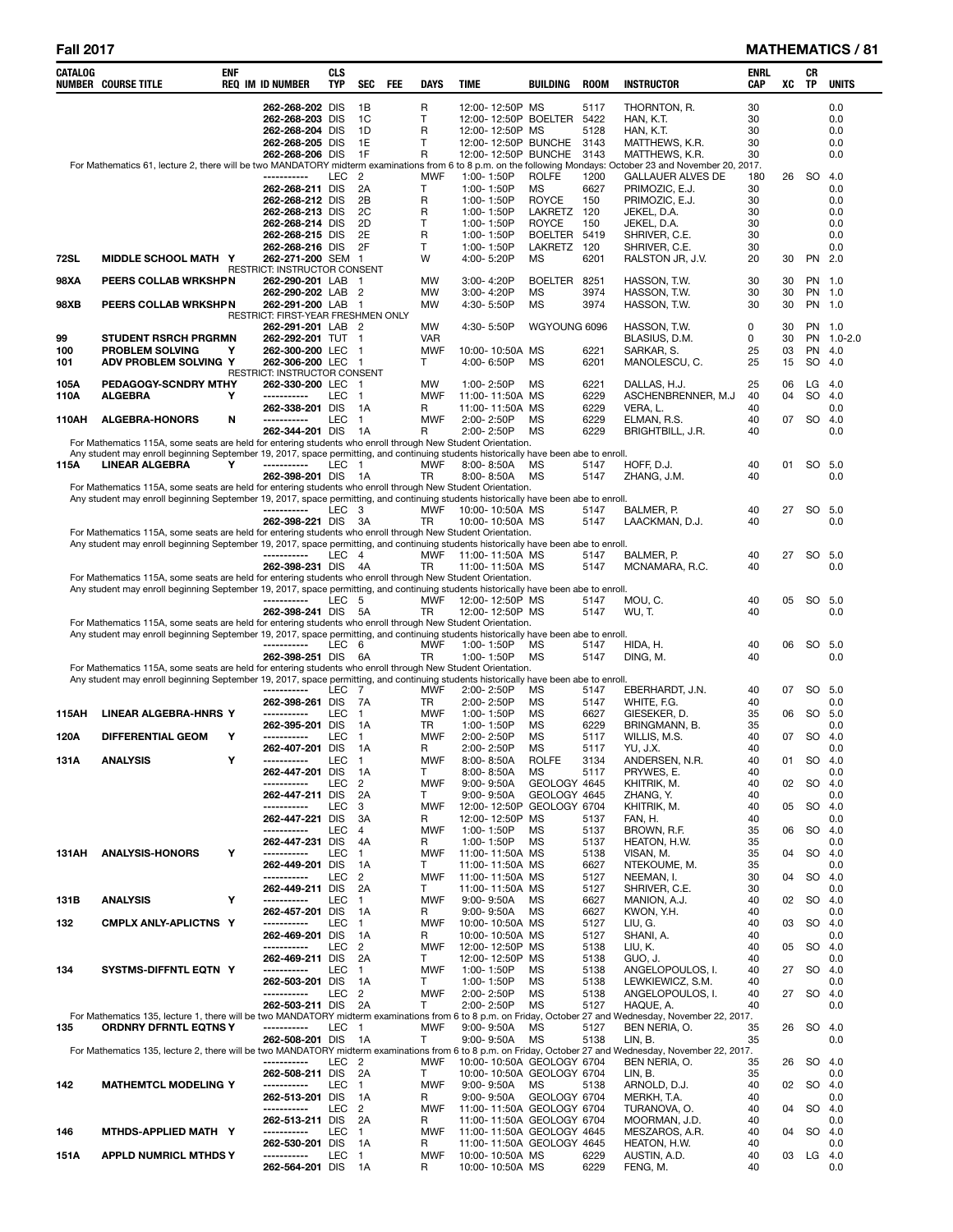| <b>CATALOG</b> | <b>NUMBER COURSE TITLE</b>                                                                                                                                                                                                                          | ENF | REQ IM ID NUMBER                                         | CLS<br><b>TYP</b> | <b>SEC</b>             | FEE | <b>DAYS</b>             | <b>TIME</b> |                                    | <b>BUILDING</b>                                        | ROOM         | <b>INSTRUCTOR</b>                 | ENRL<br><b>CAP</b> | XC       | CR<br><b>TP</b> | <b>UNITS</b>  |
|----------------|-----------------------------------------------------------------------------------------------------------------------------------------------------------------------------------------------------------------------------------------------------|-----|----------------------------------------------------------|-------------------|------------------------|-----|-------------------------|-------------|------------------------------------|--------------------------------------------------------|--------------|-----------------------------------|--------------------|----------|-----------------|---------------|
|                |                                                                                                                                                                                                                                                     |     | 262-268-202 DIS                                          |                   | 1B                     |     | R                       |             | 12:00-12:50P MS                    |                                                        | 5117         | THORNTON, R.                      | 30                 |          |                 | 0.0           |
|                |                                                                                                                                                                                                                                                     |     | 262-268-203 DIS                                          |                   | <sub>1</sub> C         |     | T                       |             |                                    | 12:00-12:50P BOELTER                                   | 5422         | HAN, K.T.                         | 30                 |          |                 | 0.0           |
|                |                                                                                                                                                                                                                                                     |     | 262-268-204 DIS<br>262-268-205 DIS                       |                   | 1D<br>1E               |     | R<br>т                  |             | 12:00-12:50P MS                    | 12:00-12:50P BUNCHE                                    | 5128<br>3143 | HAN, K.T.<br>MATTHEWS, K.R.       | 30<br>30           |          |                 | 0.0<br>0.0    |
|                |                                                                                                                                                                                                                                                     |     | 262-268-206 DIS                                          |                   | 1F                     |     | R                       |             |                                    | 12:00-12:50P BUNCHE                                    | 3143         | MATTHEWS, K.R.                    | 30                 |          |                 | 0.0           |
|                | For Mathematics 61, lecture 2, there will be two MANDATORY midterm examinations from 6 to 8 p.m. on the following Mondays: October 23 and November 20, 2017.                                                                                        |     | -----------                                              | LEC               | $\overline{2}$         |     | <b>MWF</b>              |             | 1:00-1:50P                         | <b>ROLFE</b>                                           | 1200         | <b>GALLAUER ALVES DE</b>          | 180                | 26       | SO              | 4.0           |
|                |                                                                                                                                                                                                                                                     |     | 262-268-211 DIS                                          |                   | 2A                     |     | T                       |             | 1:00-1:50P                         | MS                                                     | 6627         | PRIMOZIC, E.J.                    | 30                 |          |                 | 0.0           |
|                |                                                                                                                                                                                                                                                     |     | 262-268-212 DIS                                          |                   | 2B                     |     | R                       |             | 1:00-1:50P                         | <b>ROYCE</b>                                           | 150          | PRIMOZIC, E.J.                    | 30                 |          |                 | 0.0           |
|                |                                                                                                                                                                                                                                                     |     | 262-268-213 DIS<br>262-268-214 DIS                       |                   | 2C<br>2D               |     | R<br>т                  |             | 1:00-1:50P<br>1:00-1:50P           | LAKRETZ<br><b>ROYCE</b>                                | 120<br>150   | JEKEL, D.A.<br>JEKEL, D.A.        | 30<br>30           |          |                 | 0.0<br>0.0    |
|                |                                                                                                                                                                                                                                                     |     | 262-268-215 DIS                                          |                   | 2E                     |     | $\mathsf{R}$            |             | 1:00-1:50P                         | <b>BOELTER</b>                                         | 5419         | SHRIVER, C.E.                     | 30                 |          |                 | 0.0           |
| 72SL           | MIDDLE SCHOOL MATH Y                                                                                                                                                                                                                                |     | 262-268-216 DIS<br>262-271-200 SEM 1                     |                   | 2F                     |     | T<br>W                  |             | 1:00-1:50P<br>4:00-5:20P           | LAKRETZ 120<br>MS                                      | 6201         | SHRIVER, C.E.<br>RALSTON JR, J.V. | 30<br>20           | 30       | PN 2.0          | 0.0           |
|                |                                                                                                                                                                                                                                                     |     | RESTRICT: INSTRUCTOR CONSENT                             |                   |                        |     |                         |             |                                    |                                                        |              |                                   |                    |          |                 |               |
| 98XA           | PEERS COLLAB WRKSHPN                                                                                                                                                                                                                                |     | 262-290-201 LAB 1<br>262-290-202 LAB 2                   |                   |                        |     | <b>MW</b><br>MW         |             | 3:00-4:20P<br>3:00-4:20P           | <b>BOELTER</b><br>MS                                   | 8251<br>3974 | HASSON, T.W.<br>HASSON, T.W.      | 30<br>30           | 30<br>30 | PN 1.0          | PN 1.0        |
| 98XB           | PEERS COLLAB WRKSHPN                                                                                                                                                                                                                                |     | 262-291-200 LAB 1                                        |                   |                        |     | MW                      |             | 4:30-5:50P                         | MS                                                     | 3974         | HASSON, T.W.                      | 30                 | 30       |                 | PN 1.0        |
|                |                                                                                                                                                                                                                                                     |     | RESTRICT: FIRST-YEAR FRESHMEN ONLY<br>262-291-201 LAB 2  |                   |                        |     | <b>MW</b>               |             | 4:30-5:50P                         | WGYOUNG 6096                                           |              | HASSON, T.W.                      | 0                  | 30       |                 | PN 1.0        |
| 99             | <b>STUDENT RSRCH PRGRMN</b>                                                                                                                                                                                                                         |     | 262-292-201 TUT 1                                        |                   |                        |     | VAR                     |             |                                    |                                                        |              | BLASIUS, D.M.                     | 0                  | 30       |                 | PN 1.0-2.0    |
| 100            | PROBLEM SOLVING                                                                                                                                                                                                                                     | Υ   | 262-300-200 LEC 1                                        |                   |                        |     | <b>MWF</b>              |             | 10:00-10:50A MS                    |                                                        | 6221         | SARKAR, S.                        | 25                 | 03       | PN 4.0          |               |
| 101            | ADV PROBLEM SOLVING Y                                                                                                                                                                                                                               |     | 262-306-200 LEC 1<br><b>RESTRICT: INSTRUCTOR CONSENT</b> |                   |                        |     | T.                      |             | 4:00-6:50P                         | МS                                                     | 6201         | MANOLESCU, C.                     | 25                 | 15       | SO              | 4.0           |
| 105A           | PEDAGOGY-SCNDRY MTHY                                                                                                                                                                                                                                |     | 262-330-200 LEC 1                                        |                   |                        |     | MW                      |             | 1:00-2:50P                         | <b>MS</b>                                              | 6221         | DALLAS, H.J.                      | 25                 | 06       | LG              | 4.0           |
| 110A           | <b>ALGEBRA</b>                                                                                                                                                                                                                                      | Y   | -----------<br>262-338-201 DIS                           | LEC               | $\overline{1}$<br>1A   |     | <b>MWF</b><br>R         |             | 11:00-11:50A MS<br>11:00-11:50A MS |                                                        | 6229<br>6229 | ASCHENBRENNER, M.J<br>VERA, L.    | 40<br>40           | 04       | SO              | 4.0<br>0.0    |
| 110AH          | <b>ALGEBRA-HONORS</b>                                                                                                                                                                                                                               | N   | -----------                                              | LEC               | $\overline{1}$         |     | <b>MWF</b>              |             | 2:00-2:50P                         | ΜS                                                     | 6229         | ELMAN, R.S.                       | 40                 | 07       | SO              | 4.0           |
|                | For Mathematics 115A, some seats are held for entering students who enroll through New Student Orientation.                                                                                                                                         |     | 262-344-201 DIS                                          |                   | - 1A                   |     | R                       |             | 2:00-2:50P                         | <b>MS</b>                                              | 6229         | BRIGHTBILL, J.R.                  | 40                 |          |                 | 0.0           |
|                | Any student may enroll beginning September 19, 2017, space permitting, and continuing students historically have been abe to enroll.                                                                                                                |     |                                                          |                   |                        |     |                         |             |                                    |                                                        |              |                                   |                    |          |                 |               |
| 115A           | <b>LINEAR ALGEBRA</b>                                                                                                                                                                                                                               | Y   | -----------<br>262-398-201 DIS                           | LEC               | $\overline{1}$<br>- 1A |     | <b>MWF</b><br><b>TR</b> |             | 8:00-8:50A<br>8:00-8:50A           | МS<br><b>MS</b>                                        | 5147<br>5147 | HOFF, D.J.<br>ZHANG, J.M.         | 40<br>40           | 01       |                 | SO 5.0<br>0.0 |
|                | For Mathematics 115A, some seats are held for entering students who enroll through New Student Orientation.                                                                                                                                         |     |                                                          |                   |                        |     |                         |             |                                    |                                                        |              |                                   |                    |          |                 |               |
|                | Any student may enroll beginning September 19, 2017, space permitting, and continuing students historically have been abe to enroll.                                                                                                                |     | -----------                                              | LEC 3             |                        |     | MWF                     |             | 10:00-10:50A MS                    |                                                        |              | BALMER, P.                        | 40                 | 27       | SO 5.0          |               |
|                |                                                                                                                                                                                                                                                     |     | 262-398-221 DIS                                          |                   | - 3A                   |     | TR                      |             | 10:00-10:50A MS                    |                                                        | 5147<br>5147 | LAACKMAN, D.J.                    | 40                 |          |                 | 0.0           |
|                | For Mathematics 115A, some seats are held for entering students who enroll through New Student Orientation.                                                                                                                                         |     |                                                          |                   |                        |     |                         |             |                                    |                                                        |              |                                   |                    |          |                 |               |
|                | Any student may enroll beginning September 19, 2017, space permitting, and continuing students historically have been abe to enroll.                                                                                                                |     | -----------                                              | LEC               | $\overline{4}$         |     | <b>MWF</b>              |             | 11:00-11:50A MS                    |                                                        | 5147         | BALMER, P.                        | 40                 | 27       | SO 5.0          |               |
|                |                                                                                                                                                                                                                                                     |     | 262-398-231 DIS                                          |                   | - 4A                   |     | <b>TR</b>               |             | 11:00-11:50A MS                    |                                                        | 5147         | MCNAMARA, R.C.                    | 40                 |          |                 | 0.0           |
|                | For Mathematics 115A, some seats are held for entering students who enroll through New Student Orientation.<br>Any student may enroll beginning September 19, 2017, space permitting, and continuing students historically have been abe to enroll. |     |                                                          |                   |                        |     |                         |             |                                    |                                                        |              |                                   |                    |          |                 |               |
|                |                                                                                                                                                                                                                                                     |     | -----------                                              | <b>LEC</b>        | - 5                    |     | MWF                     |             | 12:00-12:50P MS                    |                                                        | 5147         | MOU, C.                           | 40                 | 05       |                 | SO 5.0        |
|                | For Mathematics 115A, some seats are held for entering students who enroll through New Student Orientation.                                                                                                                                         |     | 262-398-241 DIS 5A                                       |                   |                        |     | TR                      |             | 12:00-12:50P MS                    |                                                        | 5147         | WU, T.                            | 40                 |          |                 | 0.0           |
|                | Any student may enroll beginning September 19, 2017, space permitting, and continuing students historically have been abe to enroll.                                                                                                                |     |                                                          |                   |                        |     |                         |             |                                    |                                                        |              |                                   |                    |          |                 |               |
|                |                                                                                                                                                                                                                                                     |     | -----------<br>262-398-251 DIS 6A                        | LEC 6             |                        |     | <b>MWF</b><br><b>TR</b> |             | 1:00-1:50P<br>1:00-1:50P           | МS<br>МS                                               | 5147<br>5147 | HIDA, H.<br>DING, M.              | 40<br>40           | 06       | SO              | 5.0<br>0.0    |
|                | For Mathematics 115A, some seats are held for entering students who enroll through New Student Orientation.                                                                                                                                         |     |                                                          |                   |                        |     |                         |             |                                    |                                                        |              |                                   |                    |          |                 |               |
|                | Any student may enroll beginning September 19, 2017, space permitting, and continuing students historically have been abe to enroll.                                                                                                                |     | -----------                                              | LEC <sub>7</sub>  |                        |     | <b>MWF</b>              |             | 2:00-2:50P                         | ΜS                                                     | 5147         | EBERHARDT, J.N.                   | 40                 | 07       | SO              | 5.0           |
|                |                                                                                                                                                                                                                                                     |     | 262-398-261 DIS                                          |                   | - 7A                   |     | TR                      |             | $2:00 - 2:50P$                     | MS                                                     | 5147         | WHITE, F.G.                       | 40                 |          |                 | 0.0           |
| 115AH          | LINEAR ALGEBRA-HNRS Y                                                                                                                                                                                                                               |     | -----------<br>262-395-201 DIS                           | LEC               | $\mathbf{1}$<br>1A     |     | <b>MWF</b><br>TR        |             | 1:00-1:50P<br>1:00-1:50P           | MS<br>MS                                               | 6627<br>6229 | GIESEKER, D.<br>BRINGMANN, B.     | 35<br>35           | 06       | SO              | 5.0<br>0.0    |
| 120A           | <b>DIFFERENTIAL GEOM</b>                                                                                                                                                                                                                            | Y   | -----------                                              | LEC               | $\mathbf{1}$           |     | <b>MWF</b>              |             | 2:00-2:50P                         | MS                                                     | 5117         | WILLIS, M.S.                      | 40                 | 07       | SO              | 4.0           |
| 131A           | <b>ANALYSIS</b>                                                                                                                                                                                                                                     | Υ   | 262-407-201 DIS<br>-----------                           | <b>LEC</b>        | - 1 A<br>$\mathbf{1}$  |     | R<br><b>MWF</b>         |             | 2:00-2:50P<br>8:00-8:50A           | MS<br><b>ROLFE</b>                                     | 5117<br>3134 | YU. J.X.<br>ANDERSEN, N.R.        | 40<br>40           | 01       | <b>SO</b>       | 0.0<br>4.0    |
|                |                                                                                                                                                                                                                                                     |     | 262-447-201 DIS                                          |                   | 1A                     |     | т                       |             | $8:00 - 8:50A$                     | MS                                                     | 5117         | PRYWES, E.                        | 40                 |          |                 | 0.0           |
|                |                                                                                                                                                                                                                                                     |     | -----------                                              | LEC               | $\overline{2}$         |     | <b>MWF</b>              |             | $9:00 - 9:50A$                     | GEOLOGY 4645                                           |              | KHITRIK, M.                       | 40                 | 02       | SO              | 4.0           |
|                |                                                                                                                                                                                                                                                     |     | 262-447-211 DIS<br>-----------                           | LEC               | 2A<br>3                |     | т<br><b>MWF</b>         |             | $9:00 - 9:50A$                     | GEOLOGY 4645<br>12:00-12:50P GEOLOGY 6704              |              | ZHANG, Y.<br>KHITRIK, M.          | 40<br>40           | 05       | <b>SO</b>       | 0.0<br>4.0    |
|                |                                                                                                                                                                                                                                                     |     | 262-447-221 DIS                                          |                   | 3A                     |     | R                       |             | 12:00-12:50P MS                    |                                                        | 5137         | FAN, H.                           | 40                 |          |                 | 0.0           |
|                |                                                                                                                                                                                                                                                     |     | -----------<br>262-447-231 DIS                           | LEC               | 4<br>4A                |     | <b>MWF</b><br>R         |             | 1:00-1:50P<br>1:00-1:50P           | ΜS<br>MS                                               | 5137<br>5137 | BROWN, R.F.<br>HEATON, H.W.       | 35<br>35           | 06       | <b>SO</b>       | 4.0<br>0.0    |
| <b>131AH</b>   | <b>ANALYSIS-HONORS</b>                                                                                                                                                                                                                              | Υ   | -----------                                              | LEC               | $\mathbf{1}$           |     | <b>MWF</b>              |             | 11:00-11:50A MS                    |                                                        | 5138         | VISAN, M.                         | 35                 | 04       | SO              | 4.0           |
|                |                                                                                                                                                                                                                                                     |     | 262-449-201 DIS<br>-----------                           | LEC               | 1A<br>$\overline{2}$   |     | T<br><b>MWF</b>         |             | 11:00-11:50A MS<br>11:00-11:50A MS |                                                        | 6627<br>5127 | NTEKOUME, M.<br>NEEMAN, I.        | 35<br>30           | 04       | <b>SO</b>       | 0.0<br>4.0    |
|                |                                                                                                                                                                                                                                                     |     | 262-449-211 DIS                                          |                   | 2A                     |     | т                       |             | 11:00-11:50A MS                    |                                                        | 5127         | SHRIVER, C.E.                     | 30                 |          |                 | 0.0           |
| 131B           | <b>ANALYSIS</b>                                                                                                                                                                                                                                     | Υ   | -----------                                              | LEC               | $\mathbf{1}$           |     | <b>MWF</b>              |             | 9:00-9:50A                         | ΜS                                                     | 6627         | MANION, A.J.                      | 40                 | 02       | SO              | 4.0           |
| 132            | CMPLX ANLY-APLICTNS Y                                                                                                                                                                                                                               |     | 262-457-201 DIS<br>-----------                           | LEC               | 1A<br>$\mathbf{1}$     |     | R<br><b>MWF</b>         |             | $9:00 - 9:50A$<br>10:00-10:50A MS  | MS                                                     | 6627<br>5127 | KWON, Y.H.<br>LIU, G.             | 40<br>40           | 03       | <b>SO</b>       | 0.0<br>4.0    |
|                |                                                                                                                                                                                                                                                     |     | 262-469-201 DIS                                          |                   | 1A                     |     | R                       |             | 10:00-10:50A MS                    |                                                        | 5127         | SHANI, A.                         | 40                 |          |                 | 0.0           |
|                |                                                                                                                                                                                                                                                     |     | -----------<br>262-469-211 DIS                           | LEC               | 2<br>2A                |     | <b>MWF</b><br>T         |             | 12:00-12:50P MS<br>12:00-12:50P MS |                                                        | 5138<br>5138 | LIU, K.<br>GUO. J.                | 40<br>40           | 05       | SO              | 4.0<br>0.0    |
| 134            | SYSTMS-DIFFNTL EQTN Y                                                                                                                                                                                                                               |     | -----------                                              | LEC               | $\mathbf{1}$           |     | <b>MWF</b>              |             | 1:00-1:50P                         | ΜS                                                     | 5138         | ANGELOPOULOS, I.                  | 40                 | 27       | <b>SO</b>       | 4.0           |
|                |                                                                                                                                                                                                                                                     |     | 262-503-201 DIS<br>-----------                           |                   | 1A                     |     | т                       |             | 1:00-1:50P                         | MS                                                     | 5138         | LEWKIEWICZ, S.M.                  | 40                 |          |                 | 0.0           |
|                |                                                                                                                                                                                                                                                     |     | 262-503-211 DIS                                          | LEC               | 2<br>2A                |     | <b>MWF</b><br>т         |             | 2:00-2:50P<br>2:00-2:50P           | MS<br>MS                                               | 5138<br>5127 | ANGELOPOULOS, I.<br>HAQUE, A.     | 40<br>40           | 27       | SO              | 4.0<br>0.0    |
|                | For Mathematics 135, lecture 1, there will be two MANDATORY midterm examinations from 6 to 8 p.m. on Friday, October 27 and Wednesday, November 22, 2017.                                                                                           |     |                                                          |                   |                        |     |                         |             |                                    |                                                        |              |                                   |                    |          |                 |               |
| 135            | <b>ORDNRY DFRNTL EQTNS Y</b>                                                                                                                                                                                                                        |     | -----------<br>262-508-201 DIS                           | LEC               | - 1<br>1A              |     | MWF<br>т                |             | $9:00 - 9:50A$<br>$9:00 - 9:50A$   | ΜS<br>MS                                               | 5127<br>5138 | BEN NERIA, O.<br>LIN, B.          | 35<br>35           | 26       | SO              | 4.0<br>0.0    |
|                | For Mathematics 135, lecture 2, there will be two MANDATORY midterm examinations from 6 to 8 p.m. on Friday, October 27 and Wednesday, November 22, 2017.                                                                                           |     |                                                          |                   |                        |     |                         |             |                                    |                                                        |              |                                   |                    |          |                 |               |
|                |                                                                                                                                                                                                                                                     |     | -----------<br>262-508-211 DIS                           | LEC               | 2<br>2A                |     | <b>MWF</b><br>T.        |             |                                    | 10:00-10:50A GEOLOGY 6704<br>10:00-10:50A GEOLOGY 6704 |              | BEN NERIA, O.<br>LIN, B.          | 35<br>35           | 26       | SO.             | -4.0<br>0.0   |
| 142            | <b>MATHEMTCL MODELING Y</b>                                                                                                                                                                                                                         |     | -----------                                              | LEC               | $\mathbf{1}$           |     | <b>MWF</b>              |             | $9.00 - 9.50A$                     | МS                                                     | 5138         | ARNOLD, D.J.                      | 40                 | 02       | SO              | 4.0           |
|                |                                                                                                                                                                                                                                                     |     | 262-513-201 DIS                                          |                   | 1A                     |     | R                       |             | $9:00 - 9:50A$                     | GEOLOGY 6704                                           |              | MERKH, T.A.                       | 40                 |          |                 | 0.0           |
|                |                                                                                                                                                                                                                                                     |     | -----------<br>262-513-211 DIS                           | LEC               | $\overline{2}$<br>2A   |     | <b>MWF</b><br>R         |             |                                    | 11:00-11:50A GEOLOGY 6704<br>11:00-11:50A GEOLOGY 6704 |              | TURANOVA, O.<br>MOORMAN, J.D.     | 40<br>40           | 04       | SO              | 4.0<br>0.0    |
| 146            | MTHDS-APPLIED MATH Y                                                                                                                                                                                                                                |     | -----------                                              | LEC               | $\mathbf{1}$           |     | <b>MWF</b>              |             |                                    | 11:00-11:50A GEOLOGY 4645                              |              | MESZAROS, A.R.                    | 40                 | 04       | <b>SO</b>       | 4.0           |
| 151A           | APPLD NUMRICL MTHDS Y                                                                                                                                                                                                                               |     | 262-530-201 DIS<br>-----------                           | LEC               | 1A<br>$\mathbf{1}$     |     | R<br>MWF                |             | 10:00-10:50A MS                    | 11:00-11:50A GEOLOGY 4645                              | 6229         | HEATON, H.W.<br>AUSTIN, A.D.      | 40<br>40           | 03       | LG              | 0.0<br>4.0    |
|                |                                                                                                                                                                                                                                                     |     | 262-564-201 DIS                                          |                   | 1A                     |     | R                       |             | 10:00-10:50A MS                    |                                                        | 6229         | FENG, M.                          | 40                 |          |                 | 0.0           |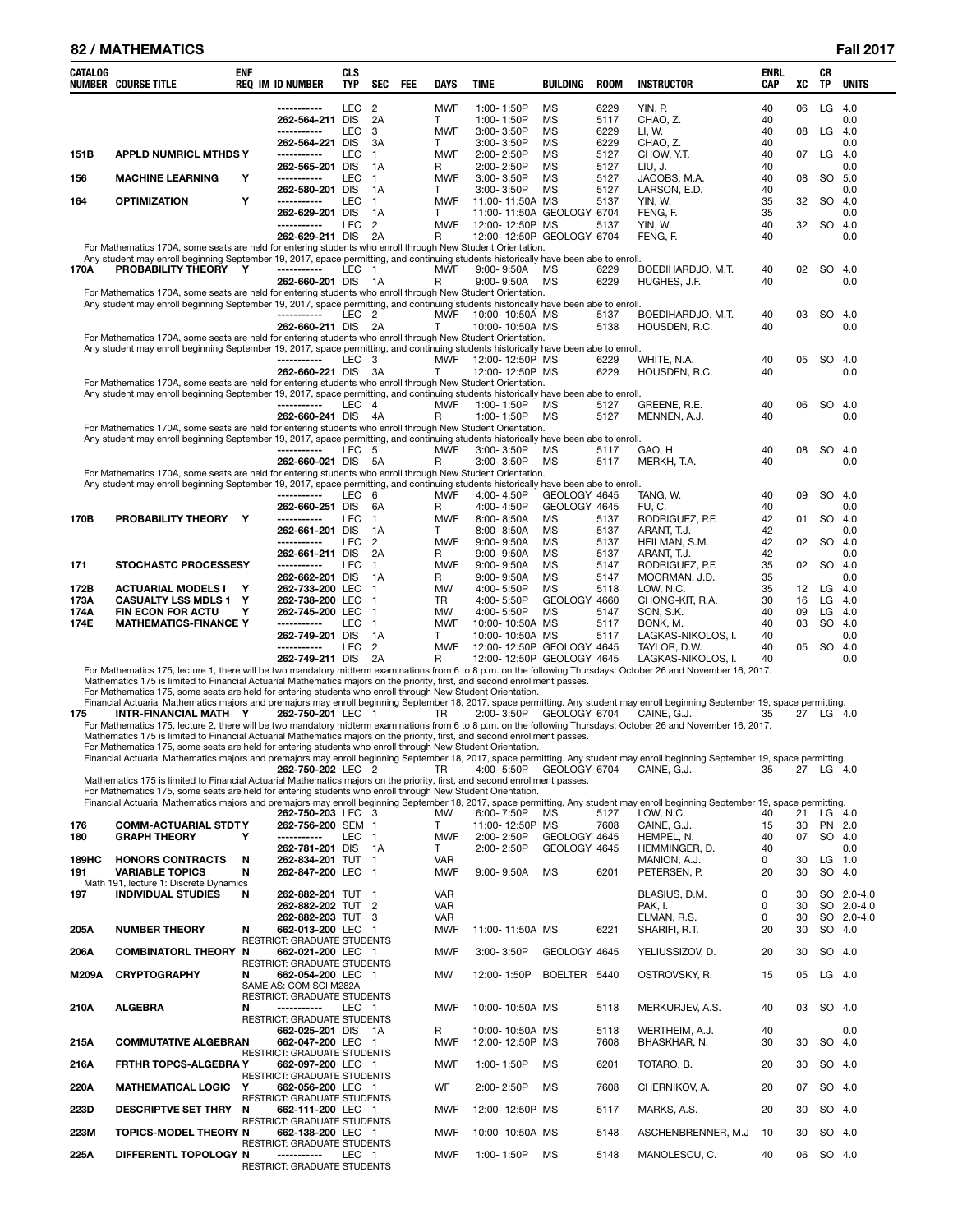### **82 / MATHEMATICS Fall 2017**

| CATALOG      | NUMBER COURSE TITLE                                                                                                                                                                                                                                                      | <b>ENF</b> | <b>REQ IM ID NUMBER</b>                                 | <b>CLS</b><br><b>TYP</b> | SEC                    | FEE | DAYS             | <b>TIME</b>                                            | BUILDING                  | ROOM         | <b>INSTRUCTOR</b>                                                                                                                                                                                                                                                                                                                                                  | <b>ENRL</b><br>CAP | XC       | CR<br>TP             | UNITS       |
|--------------|--------------------------------------------------------------------------------------------------------------------------------------------------------------------------------------------------------------------------------------------------------------------------|------------|---------------------------------------------------------|--------------------------|------------------------|-----|------------------|--------------------------------------------------------|---------------------------|--------------|--------------------------------------------------------------------------------------------------------------------------------------------------------------------------------------------------------------------------------------------------------------------------------------------------------------------------------------------------------------------|--------------------|----------|----------------------|-------------|
|              |                                                                                                                                                                                                                                                                          |            |                                                         | <b>LEC</b>               | $\overline{2}$         |     | <b>MWF</b>       | 1:00-1:50P                                             | <b>MS</b>                 | 6229         | YIN, P.                                                                                                                                                                                                                                                                                                                                                            | 40                 | 06       | LG                   | 4.0         |
|              |                                                                                                                                                                                                                                                                          |            | 262-564-211 DIS                                         |                          | 2A                     |     | T.               | 1:00-1:50P                                             | <b>MS</b>                 | 5117         | CHAO, Z.                                                                                                                                                                                                                                                                                                                                                           | 40                 |          |                      | 0.0         |
|              |                                                                                                                                                                                                                                                                          |            | -----------<br>262-564-221 DIS                          | <b>LEC</b>               | 3<br>3A                |     | <b>MWF</b><br>T. | 3:00-3:50P<br>3:00-3:50P                               | <b>MS</b><br>МS           | 6229<br>6229 | LI, W.<br>CHAO, Z.                                                                                                                                                                                                                                                                                                                                                 | 40<br>40           | 08       | $LG$ 4.0             | 0.0         |
| 151B         | <b>APPLD NUMRICL MTHDS Y</b>                                                                                                                                                                                                                                             |            | -----------                                             | LEC                      | $\mathbf{1}$           |     | <b>MWF</b>       | 2:00-2:50P                                             | <b>MS</b>                 | 5127         | CHOW, Y.T.                                                                                                                                                                                                                                                                                                                                                         | 40                 | 07       | LG                   | -4.0        |
|              |                                                                                                                                                                                                                                                                          |            | 262-565-201 DIS                                         |                          | 1A                     |     | R.               | 2:00-2:50P                                             | МS                        | 5127         | LIU, J.                                                                                                                                                                                                                                                                                                                                                            | 40                 |          |                      | 0.0         |
| 156          | <b>MACHINE LEARNING</b>                                                                                                                                                                                                                                                  | Y          | -----------<br>262-580-201 DIS                          | LEC                      | $\mathbf{1}$<br>1A     |     | <b>MWF</b><br>T. | $3:00 - 3:50P$<br>3:00-3:50P                           | <b>MS</b><br><b>MS</b>    | 5127<br>5127 | JACOBS, M.A.<br>LARSON, E.D.                                                                                                                                                                                                                                                                                                                                       | 40<br>40           | 08       | SO.                  | 5.0<br>0.0  |
| 164          | <b>OPTIMIZATION</b>                                                                                                                                                                                                                                                      | Y          | -----------                                             | LEC                      | $\mathbf{1}$           |     | <b>MWF</b>       | 11:00-11:50A MS                                        |                           | 5137         | YIN, W.                                                                                                                                                                                                                                                                                                                                                            | 35                 | 32       | <b>SO</b>            | -4.0        |
|              |                                                                                                                                                                                                                                                                          |            | 262-629-201 DIS<br>-----------                          |                          | 1A                     |     | T.               | 11:00-11:50A GEOLOGY 6704                              |                           |              | FENG, F.                                                                                                                                                                                                                                                                                                                                                           | 35                 |          |                      | 0.0         |
|              |                                                                                                                                                                                                                                                                          |            | 262-629-211 DIS                                         | <b>LEC</b>               | $\overline{2}$<br>- 2A |     | <b>MWF</b><br>R  | 12:00-12:50P MS<br>12:00-12:50P GEOLOGY 6704           |                           | 5137         | YIN, W.<br>FENG, F.                                                                                                                                                                                                                                                                                                                                                | 40<br>40           | 32       | SO                   | -4.0<br>0.0 |
|              | For Mathematics 170A, some seats are held for entering students who enroll through New Student Orientation.                                                                                                                                                              |            |                                                         |                          |                        |     |                  |                                                        |                           |              |                                                                                                                                                                                                                                                                                                                                                                    |                    |          |                      |             |
| 170A         | Any student may enroll beginning September 19, 2017, space permitting, and continuing students historically have been abe to enroll.<br>PROBABILITY THEORY Y                                                                                                             |            | -----------                                             | LEC 1                    |                        |     | <b>MWF</b>       | $9:00 - 9:50A$                                         | МS                        | 6229         | BOEDIHARDJO, M.T.                                                                                                                                                                                                                                                                                                                                                  | 40                 | 02       | <b>SO</b>            | -4.0        |
|              |                                                                                                                                                                                                                                                                          |            | 262-660-201 DIS 1A                                      |                          |                        |     | R                | $9:00 - 9:50A$                                         | МS                        | 6229         | HUGHES, J.F.                                                                                                                                                                                                                                                                                                                                                       | 40                 |          |                      | 0.0         |
|              | For Mathematics 170A, some seats are held for entering students who enroll through New Student Orientation.<br>Any student may enroll beginning September 19, 2017, space permitting, and continuing students historically have been abe to enroll.                      |            |                                                         |                          |                        |     |                  |                                                        |                           |              |                                                                                                                                                                                                                                                                                                                                                                    |                    |          |                      |             |
|              |                                                                                                                                                                                                                                                                          |            | -----------                                             | LEC <sub>2</sub>         |                        |     | MWF              | 10:00-10:50A MS                                        |                           | 5137         | BOEDIHARDJO, M.T.                                                                                                                                                                                                                                                                                                                                                  | 40                 | 03       | SO                   | 4.0         |
|              |                                                                                                                                                                                                                                                                          |            | 262-660-211 DIS                                         |                          | 2A                     |     | т                | 10:00-10:50A MS                                        |                           | 5138         | HOUSDEN, R.C.                                                                                                                                                                                                                                                                                                                                                      | 40                 |          |                      | 0.0         |
|              | For Mathematics 170A, some seats are held for entering students who enroll through New Student Orientation.<br>Any student may enroll beginning September 19, 2017, space permitting, and continuing students historically have been abe to enroll.                      |            |                                                         |                          |                        |     |                  |                                                        |                           |              |                                                                                                                                                                                                                                                                                                                                                                    |                    |          |                      |             |
|              |                                                                                                                                                                                                                                                                          |            | -----------                                             | LEC <sub>3</sub>         |                        |     | MWF              | 12:00-12:50P MS                                        |                           | 6229         | WHITE, N.A.                                                                                                                                                                                                                                                                                                                                                        | 40                 | 05       | SO.                  | -4.0        |
|              | For Mathematics 170A, some seats are held for entering students who enroll through New Student Orientation.                                                                                                                                                              |            | 262-660-221 DIS                                         |                          | - 3A                   |     | т                | 12:00-12:50P MS                                        |                           | 6229         | HOUSDEN, R.C.                                                                                                                                                                                                                                                                                                                                                      | 40                 |          |                      | 0.0         |
|              | Any student may enroll beginning September 19, 2017, space permitting, and continuing students historically have been abe to enroll.                                                                                                                                     |            |                                                         |                          |                        |     |                  |                                                        |                           |              |                                                                                                                                                                                                                                                                                                                                                                    |                    |          |                      |             |
|              |                                                                                                                                                                                                                                                                          |            | -----------<br>262-660-241 DIS                          | LEC                      | $\overline{4}$<br>4A   |     | <b>MWF</b><br>R  | 1:00-1:50P<br>1:00-1:50P                               | ΜS<br>МS                  | 5127<br>5127 | GREENE, R.E.<br>MENNEN, A.J.                                                                                                                                                                                                                                                                                                                                       | 40<br>40           | 06       | SO                   | 4.0<br>0.0  |
|              | For Mathematics 170A, some seats are held for entering students who enroll through New Student Orientation.                                                                                                                                                              |            |                                                         |                          |                        |     |                  |                                                        |                           |              |                                                                                                                                                                                                                                                                                                                                                                    |                    |          |                      |             |
|              | Any student may enroll beginning September 19, 2017, space permitting, and continuing students historically have been abe to enroll.                                                                                                                                     |            | -----------                                             |                          |                        |     |                  |                                                        |                           |              |                                                                                                                                                                                                                                                                                                                                                                    |                    |          |                      |             |
|              |                                                                                                                                                                                                                                                                          |            | 262-660-021 DIS                                         | LEC                      | - 5<br>- 5A            |     | MWF<br>R         | $3:00 - 3:50P$<br>3:00-3:50P                           | MS<br>MS                  | 5117<br>5117 | GAO, H.<br>MERKH, T.A.                                                                                                                                                                                                                                                                                                                                             | 40<br>40           | 08       | SO                   | 4.0<br>0.0  |
|              | For Mathematics 170A, some seats are held for entering students who enroll through New Student Orientation.                                                                                                                                                              |            |                                                         |                          |                        |     |                  |                                                        |                           |              |                                                                                                                                                                                                                                                                                                                                                                    |                    |          |                      |             |
|              | Any student may enroll beginning September 19, 2017, space permitting, and continuing students historically have been abe to enroll.                                                                                                                                     |            | -----------                                             | <b>LEC</b>               | 6                      |     | <b>MWF</b>       | 4:00-4:50P                                             | GEOLOGY 4645              |              | TANG, W.                                                                                                                                                                                                                                                                                                                                                           | 40                 | 09       | SO.                  | -4.0        |
|              |                                                                                                                                                                                                                                                                          |            | 262-660-251 DIS                                         |                          | 6A                     |     | R                | 4:00-4:50P                                             | GEOLOGY 4645              |              | FU.C.                                                                                                                                                                                                                                                                                                                                                              | 40                 |          |                      | 0.0         |
| 170B         | PROBABILITY THEORY Y                                                                                                                                                                                                                                                     |            | -----------<br>262-661-201 DIS                          | <b>LEC</b>               | $\mathbf{1}$<br>1A     |     | <b>MWF</b><br>T. | 8:00-8:50A<br>$8:00 - 8:50A$                           | <b>MS</b><br>МS           | 5137<br>5137 | RODRIGUEZ, P.F.<br>ARANT, T.J.                                                                                                                                                                                                                                                                                                                                     | 42<br>42           | 01       | <b>SO</b>            | -4.0<br>0.0 |
|              |                                                                                                                                                                                                                                                                          |            | -----------                                             | <b>LEC</b>               | $\overline{2}$         |     | <b>MWF</b>       | $9:00 - 9:50A$                                         | <b>MS</b>                 | 5137         | HEILMAN, S.M.                                                                                                                                                                                                                                                                                                                                                      | 42                 | 02       | SO.                  | -4.0        |
|              |                                                                                                                                                                                                                                                                          |            | 262-661-211 DIS                                         |                          | 2A                     |     | R                | $9:00 - 9:50A$                                         | МS                        | 5137         | ARANT, T.J.                                                                                                                                                                                                                                                                                                                                                        | 42                 |          |                      | 0.0         |
| 171          | <b>STOCHASTC PROCESSESY</b>                                                                                                                                                                                                                                              |            | -----------<br>262-662-201 DIS                          | <b>LEC</b>               | $\mathbf{1}$<br>1A     |     | <b>MWF</b><br>R. | $9:00 - 9:50A$<br>$9:00 - 9:50A$                       | <b>MS</b><br>МS           | 5147<br>5147 | RODRIGUEZ, P.F.<br>MOORMAN, J.D.                                                                                                                                                                                                                                                                                                                                   | 35<br>35           | 02       | <b>SO</b>            | 4.0<br>0.0  |
| 172B         | <b>ACTUARIAL MODELS I</b>                                                                                                                                                                                                                                                | Y          | 262-733-200 LEC                                         |                          | $\mathbf{1}$           |     | <b>MW</b>        | 4:00-5:50P                                             | <b>MS</b>                 | 5118         | LOW, N.C.                                                                                                                                                                                                                                                                                                                                                          | 35                 | 12       | $LG$ 4.0             |             |
| 173A<br>174A | <b>CASUALTY LSS MDLS 1</b><br><b>FIN ECON FOR ACTU</b>                                                                                                                                                                                                                   | Y<br>Y     | 262-738-200 LEC<br>262-745-200 LEC                      |                          | 1<br>$\mathbf{1}$      |     | TR<br><b>MW</b>  | 4:00-5:50P<br>4:00-5:50P                               | GEOLOGY 4660<br><b>MS</b> | 5147         | CHONG-KIT, R.A.<br>SON, S.K.                                                                                                                                                                                                                                                                                                                                       | 30<br>40           | 16<br>09 | $LG$ 4.0<br>$LG$ 4.0 |             |
| 174E         | <b>MATHEMATICS-FINANCE Y</b>                                                                                                                                                                                                                                             |            | -----------                                             | <b>LEC</b>               | $\mathbf{1}$           |     | <b>MWF</b>       | 10:00-10:50A MS                                        |                           | 5117         | BONK, M.                                                                                                                                                                                                                                                                                                                                                           | 40                 | 03       | <b>SO</b>            | -4.0        |
|              |                                                                                                                                                                                                                                                                          |            | 262-749-201 DIS                                         |                          | 1A                     |     | T.               | 10:00-10:50A MS                                        |                           | 5117         | LAGKAS-NIKOLOS, I.                                                                                                                                                                                                                                                                                                                                                 | 40                 |          |                      | 0.0         |
|              |                                                                                                                                                                                                                                                                          |            | -----------<br>262-749-211 DIS                          | <b>LEC</b>               | $\overline{2}$<br>- 2A |     | <b>MWF</b><br>R  | 12:00-12:50P GEOLOGY 4645<br>12:00-12:50P GEOLOGY 4645 |                           |              | TAYLOR, D.W.<br>LAGKAS-NIKOLOS, I.                                                                                                                                                                                                                                                                                                                                 | 40<br>40           | 05       | <b>SO</b>            | -4.0<br>0.0 |
| 175          | Mathematics 175 is limited to Financial Actuarial Mathematics majors on the priority, first, and second enrollment passes.<br>For Mathematics 175, some seats are held for entering students who enroll through New Student Orientation.<br><b>INTR-FINANCIAL MATH Y</b> |            | 262-750-201 LEC 1                                       |                          |                        |     | TR               | 2:00-3:50P GEOLOGY 6704                                |                           |              | For Mathematics 175, lecture 1, there will be two mandatory midterm examinations from 6 to 8 p.m. on the following Thursdays: October 26 and November 16, 2017.<br>Financial Actuarial Mathematics majors and premajors may enroll beginning September 18, 2017, space permitting. Any student may enroll beginning September 19, space permitting.<br>CAINE, G.J. | 35                 |          | 27 LG 4.0            |             |
|              |                                                                                                                                                                                                                                                                          |            |                                                         |                          |                        |     |                  |                                                        |                           |              | For Mathematics 175, lecture 2, there will be two mandatory midterm examinations from 6 to 8 p.m. on the following Thursdays: October 26 and November 16, 2017.                                                                                                                                                                                                    |                    |          |                      |             |
|              | Mathematics 175 is limited to Financial Actuarial Mathematics majors on the priority, first, and second enrollment passes.<br>For Mathematics 175, some seats are held for entering students who enroll through New Student Orientation.                                 |            |                                                         |                          |                        |     |                  |                                                        |                           |              |                                                                                                                                                                                                                                                                                                                                                                    |                    |          |                      |             |
|              |                                                                                                                                                                                                                                                                          |            |                                                         |                          |                        |     |                  |                                                        |                           |              | Financial Actuarial Mathematics majors and premajors may enroll beginning September 18, 2017, space permitting. Any student may enroll beginning September 19, space permitting.                                                                                                                                                                                   |                    |          |                      |             |
|              | Mathematics 175 is limited to Financial Actuarial Mathematics majors on the priority, first, and second enrollment passes.<br>For Mathematics 175, some seats are held for entering students who enroll through New Student Orientation.                                 |            | 262-750-202 LEC 2                                       |                          |                        |     | TR               | 4:00-5:50P                                             | GEOLOGY 6704              |              | CAINE, G.J.                                                                                                                                                                                                                                                                                                                                                        | 35                 | 27       | LG 4.0               |             |
|              |                                                                                                                                                                                                                                                                          |            | 262-750-203 LEC 3                                       |                          |                        |     | MW               | 6:00-7:50P                                             | <b>MS</b>                 | 5127         | Financial Actuarial Mathematics majors and premajors may enroll beginning September 18, 2017, space permitting. Any student may enroll beginning September 19, space permitting.<br>LOW. N.C.                                                                                                                                                                      | 40                 | 21       | $LG$ 4.0             |             |
| 176          | <b>COMM-ACTUARIAL STDTY</b>                                                                                                                                                                                                                                              |            | 262-756-200 SEM 1                                       |                          |                        |     | T                | 11:00-12:50P MS                                        |                           | 7608         | CAINE, G.J.                                                                                                                                                                                                                                                                                                                                                        | 15                 | 30       | PN 2.0               |             |
| 180          | <b>GRAPH THEORY</b>                                                                                                                                                                                                                                                      | Y          | -----------                                             | LEC                      | $\mathbf{1}$           |     | <b>MWF</b>       | 2:00-2:50P                                             | GEOLOGY 4645              |              | HEMPEL, N.                                                                                                                                                                                                                                                                                                                                                         | 40                 | 07       | SO 4.0               |             |
| 189HC        | <b>HONORS CONTRACTS</b>                                                                                                                                                                                                                                                  | N          | 262-781-201 DIS<br>262-834-201 TUT                      |                          | 1A<br>$\overline{1}$   |     | T<br>VAR         | 2:00-2:50P                                             | GEOLOGY 4645              |              | HEMMINGER, D.<br>MANION, A.J.                                                                                                                                                                                                                                                                                                                                      | 40<br>0            | 30       | $LG$ 1.0             | 0.0         |
| 191          | <b>VARIABLE TOPICS</b>                                                                                                                                                                                                                                                   | N          | 262-847-200 LEC 1                                       |                          |                        |     | <b>MWF</b>       | 9:00-9:50A                                             | MS                        | 6201         | PETERSEN, P.                                                                                                                                                                                                                                                                                                                                                       | 20                 | 30       | SO                   | 4.0         |
| 197          | Math 191, lecture 1: Discrete Dynamics<br><b>INDIVIDUAL STUDIES</b>                                                                                                                                                                                                      | N          | 262-882-201 TUT 1                                       |                          |                        |     | <b>VAR</b>       |                                                        |                           |              | BLASIUS, D.M.                                                                                                                                                                                                                                                                                                                                                      | 0                  | 30       | SO.                  | $2.0 - 4.0$ |
|              |                                                                                                                                                                                                                                                                          |            | 262-882-202 TUT 2                                       |                          |                        |     | <b>VAR</b>       |                                                        |                           |              | PAK, I.                                                                                                                                                                                                                                                                                                                                                            | 0                  | 30       |                      | SO 2.0-4.0  |
| 205A         | <b>NUMBER THEORY</b>                                                                                                                                                                                                                                                     | N          | 262-882-203 TUT<br>662-013-200 LEC 1                    |                          | 3                      |     | VAR<br>MWF       | 11:00-11:50A MS                                        |                           | 6221         | ELMAN, R.S.<br>SHARIFI, R.T.                                                                                                                                                                                                                                                                                                                                       | 0<br>20            | 30<br>30 | SO 4.0               | SO 2.0-4.0  |
|              |                                                                                                                                                                                                                                                                          |            | <b>RESTRICT: GRADUATE STUDENTS</b>                      |                          |                        |     |                  |                                                        |                           |              |                                                                                                                                                                                                                                                                                                                                                                    |                    |          |                      |             |
| 206A         | <b>COMBINATORL THEORY N</b>                                                                                                                                                                                                                                              |            | 662-021-200 LEC 1<br>RESTRICT: GRADUATE STUDENTS        |                          |                        |     | <b>MWF</b>       | 3:00-3:50P                                             | GEOLOGY 4645              |              | YELIUSSIZOV, D.                                                                                                                                                                                                                                                                                                                                                    | 20                 | 30       | SO                   | 4.0         |
| M209A        | <b>CRYPTOGRAPHY</b>                                                                                                                                                                                                                                                      | N          | 662-054-200 LEC 1<br>SAME AS: COM SCI M282A             |                          |                        |     | MW               | 12:00-1:50P                                            | BOELTER 5440              |              | OSTROVSKY, R.                                                                                                                                                                                                                                                                                                                                                      | 15                 | 05       | $LG$ 4.0             |             |
|              |                                                                                                                                                                                                                                                                          | N          | <b>RESTRICT: GRADUATE STUDENTS</b><br>-----------       |                          |                        |     | <b>MWF</b>       |                                                        |                           | 5118         |                                                                                                                                                                                                                                                                                                                                                                    | 40                 | 03       | SO                   |             |
| 210A         | <b>ALGEBRA</b>                                                                                                                                                                                                                                                           |            | RESTRICT: GRADUATE STUDENTS                             | LEC 1                    |                        |     |                  | 10:00-10:50A MS                                        |                           |              | MERKURJEV, A.S.                                                                                                                                                                                                                                                                                                                                                    |                    |          |                      | -4.0        |
|              | <b>COMMUTATIVE ALGEBRAN</b>                                                                                                                                                                                                                                              |            | 662-025-201 DIS<br>662-047-200 LEC 1                    |                          | - 1A                   |     | R<br>MWF         | 10:00-10:50A MS<br>12:00-12:50P MS                     |                           | 5118<br>7608 | WERTHEIM, A.J.<br>BHASKHAR, N.                                                                                                                                                                                                                                                                                                                                     | 40<br>30           | 30       | SO                   | 0.0<br>4.0  |
| 215A         |                                                                                                                                                                                                                                                                          |            | RESTRICT: GRADUATE STUDENTS                             |                          |                        |     |                  |                                                        |                           |              |                                                                                                                                                                                                                                                                                                                                                                    |                    |          |                      |             |
| 216A         | <b>FRTHR TOPCS-ALGEBRA Y</b>                                                                                                                                                                                                                                             |            | 662-097-200 LEC 1<br><b>RESTRICT: GRADUATE STUDENTS</b> |                          |                        |     | MWF              | 1:00-1:50P                                             | MS                        | 6201         | TOTARO, B.                                                                                                                                                                                                                                                                                                                                                         | 20                 | 30       | SO                   | -4.0        |
| 220A         | <b>MATHEMATICAL LOGIC</b>                                                                                                                                                                                                                                                | Y          | 662-056-200 LEC 1<br>RESTRICT: GRADUATE STUDENTS        |                          |                        |     | WF               | 2:00-2:50P                                             | MS                        | 7608         | CHERNIKOV, A.                                                                                                                                                                                                                                                                                                                                                      | 20                 | 07       | SO                   | 4.0         |
| 223D         | <b>DESCRIPTVE SET THRY</b>                                                                                                                                                                                                                                               | N          | 662-111-200 LEC 1                                       |                          |                        |     | MWF              | 12:00-12:50P MS                                        |                           | 5117         | MARKS, A.S.                                                                                                                                                                                                                                                                                                                                                        | 20                 | 30       | SO 4.0               |             |
| 223M         | <b>TOPICS-MODEL THEORY N</b>                                                                                                                                                                                                                                             |            | RESTRICT: GRADUATE STUDENTS<br>662-138-200 LEC 1        |                          |                        |     | MWF              | 10:00-10:50A MS                                        |                           | 5148         | ASCHENBRENNER, M.J.                                                                                                                                                                                                                                                                                                                                                | 10                 | 30       | SO 4.0               |             |
|              |                                                                                                                                                                                                                                                                          |            | <b>RESTRICT: GRADUATE STUDENTS</b>                      |                          |                        |     |                  |                                                        |                           |              |                                                                                                                                                                                                                                                                                                                                                                    |                    |          |                      |             |
| 225A         | DIFFERENTL TOPOLOGY N                                                                                                                                                                                                                                                    |            | -----------<br>RESTRICT: GRADUATE STUDENTS              | LEC 1                    |                        |     | <b>MWF</b>       | 1:00-1:50P                                             | MS                        | 5148         | MANOLESCU, C.                                                                                                                                                                                                                                                                                                                                                      | 40                 | 06       | SO 4.0               |             |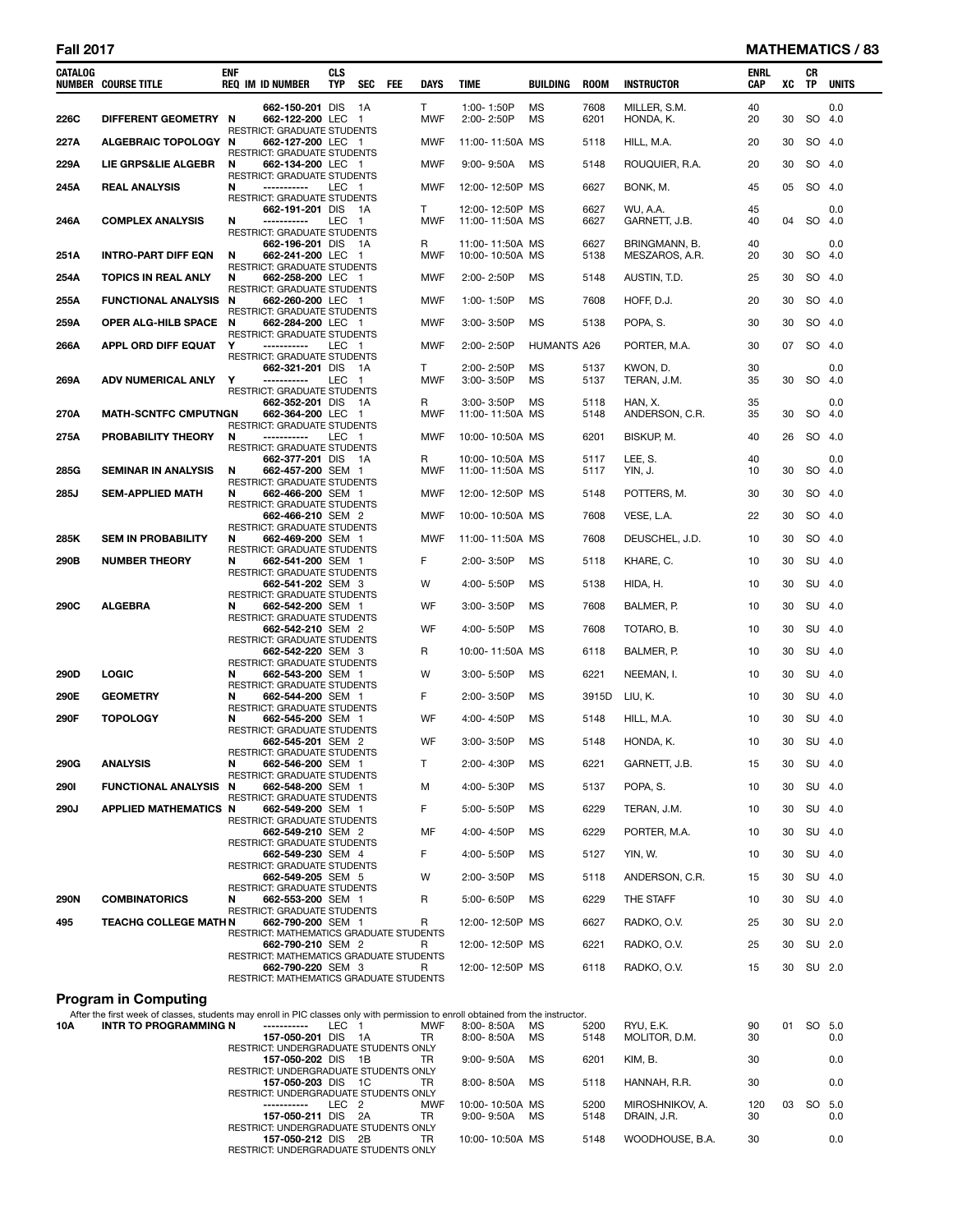### **Fall 2017 MATHEMATICS / 83**

| CATALOG     | <b>NUMBER COURSE TITLE</b>                                                                                                                                      | <b>ENF</b><br><b>REQ IM ID NUMBER</b>                        | <b>CLS</b><br><b>TYP</b><br><b>SEC</b> | FEE<br>DAYS |            | TIME                               | BUILDING           | <b>ROOM</b>  | <b>INSTRUCTOR</b>               | <b>ENRL</b><br><b>CAP</b> | XC | CR<br>TP  | <b>UNITS</b> |
|-------------|-----------------------------------------------------------------------------------------------------------------------------------------------------------------|--------------------------------------------------------------|----------------------------------------|-------------|------------|------------------------------------|--------------------|--------------|---------------------------------|---------------------------|----|-----------|--------------|
| 226C        | DIFFERENT GEOMETRY N                                                                                                                                            | 662-150-201 DIS<br>662-122-200 LEC 1                         | - 1A                                   | T.          | MWF        | 1:00-1:50P<br>2:00-2:50P           | MS<br>MS           | 7608<br>6201 | MILLER, S.M.<br>HONDA, K.       | 40<br>20                  | 30 | SO 4.0    | 0.0          |
| 227A        | ALGEBRAIC TOPOLOGY N                                                                                                                                            | RESTRICT: GRADUATE STUDENTS<br>662-127-200 LEC 1             |                                        |             | MWF        | 11:00-11:50A MS                    |                    | 5118         | HILL, M.A.                      | 20                        | 30 | SO 4.0    |              |
| 229A        | LIE GRPS&LIE ALGEBR                                                                                                                                             | RESTRICT: GRADUATE STUDENTS<br>N<br>662-134-200 LEC 1        |                                        |             | <b>MWF</b> | $9:00 - 9:50A$                     | MS                 | 5148         | ROUQUIER, R.A.                  | 20                        | 30 | SO 4.0    |              |
| 245A        | <b>REAL ANALYSIS</b>                                                                                                                                            | <b>RESTRICT: GRADUATE STUDENTS</b><br>N<br>-----------       | LEC 1                                  |             | <b>MWF</b> | 12:00-12:50P MS                    |                    | 6627         | BONK, M.                        | 45                        | 05 | SO 4.0    |              |
|             |                                                                                                                                                                 | RESTRICT: GRADUATE STUDENTS<br>662-191-201 DIS 1A            |                                        | T.          |            | 12:00-12:50P MS                    |                    | 6627         | WU, A.A.                        | 45                        |    |           | 0.0          |
| 246A        | <b>COMPLEX ANALYSIS</b>                                                                                                                                         | N<br>-----------<br>RESTRICT: GRADUATE STUDENTS              | LEC 1                                  |             | <b>MWF</b> | 11:00-11:50A MS                    |                    | 6627         | GARNETT, J.B.                   | 40                        | 04 | SO 4.0    |              |
| 251A        | <b>INTRO-PART DIFF EQN</b>                                                                                                                                      | 662-196-201 DIS 1A<br>662-241-200 LEC 1<br>N                 |                                        | R           | MWF        | 11:00-11:50A MS<br>10:00-10:50A MS |                    | 6627<br>5138 | BRINGMANN, B.<br>MESZAROS, A.R. | 40<br>20                  | 30 | SO 4.0    | 0.0          |
| 254A        | <b>TOPICS IN REAL ANLY</b>                                                                                                                                      | RESTRICT: GRADUATE STUDENTS<br>N<br>662-258-200 LEC 1        |                                        |             | MWF        | 2:00-2:50P                         | MS                 | 5148         | AUSTIN, T.D.                    | 25                        | 30 | SO 4.0    |              |
| 255A        | <b>FUNCTIONAL ANALYSIS N</b>                                                                                                                                    | RESTRICT: GRADUATE STUDENTS<br>662-260-200 LEC 1             |                                        |             | MWF        | 1:00-1:50P                         | MS                 | 7608         | HOFF, D.J.                      | 20                        | 30 | SO 4.0    |              |
| 259A        | OPER ALG-HILB SPACE N                                                                                                                                           | RESTRICT: GRADUATE STUDENTS<br>662-284-200 LEC 1             |                                        |             | <b>MWF</b> | 3:00-3:50P                         | <b>MS</b>          | 5138         | POPA, S.                        | 30                        | 30 | SO 4.0    |              |
| 266A        | APPL ORD DIFF EQUAT                                                                                                                                             | <b>RESTRICT: GRADUATE STUDENTS</b><br>Y<br>-----------       | LEC 1                                  |             | MWF        | 2:00-2:50P                         | <b>HUMANTS A26</b> |              | PORTER, M.A.                    | 30                        | 07 | SO 4.0    |              |
|             |                                                                                                                                                                 | RESTRICT: GRADUATE STUDENTS<br>662-321-201 DIS 1A            |                                        | Τ           |            | 2:00-2:50P                         | MS                 | 5137         | KWON, D.                        | 30                        |    |           | 0.0          |
| 269A        | ADV NUMERICAL ANLY                                                                                                                                              | Y<br>-----------<br>RESTRICT: GRADUATE STUDENTS              | LEC 1                                  |             | MWF        | 3:00-3:50P                         | MS                 | 5137         | TERAN, J.M.                     | 35                        | 30 | SO 4.0    |              |
| 270A        | <b>MATH-SCNTFC CMPUTNGN</b>                                                                                                                                     | 662-352-201 DIS 1A<br>662-364-200 LEC 1                      |                                        | R           | MWF        | $3:00 - 3:50P$<br>11:00-11:50A MS  | <b>MS</b>          | 5118<br>5148 | HAN, X.<br>ANDERSON, C.R.       | 35<br>35                  | 30 | SO 4.0    | 0.0          |
|             |                                                                                                                                                                 | <b>RESTRICT: GRADUATE STUDENTS</b>                           |                                        |             |            |                                    |                    |              |                                 |                           |    |           |              |
| 275A        | PROBABILITY THEORY                                                                                                                                              | N<br>RESTRICT: GRADUATE STUDENTS                             |                                        |             | MWF        | 10:00-10:50A MS                    |                    | 6201         | BISKUP, M.                      | 40                        | 26 | SO 4.0    |              |
| 285G        | SEMINAR IN ANALYSIS                                                                                                                                             | 662-377-201 DIS 1A<br>662-457-200 SEM 1<br>N                 |                                        | R           | MWF        | 10:00-10:50A MS<br>11:00-11:50A MS |                    | 5117<br>5117 | LEE, S.<br>YIN, J.              | 40<br>10                  | 30 | SO 4.0    | 0.0          |
| 285J        | <b>SEM-APPLIED MATH</b>                                                                                                                                         | RESTRICT: GRADUATE STUDENTS<br>N<br>662-466-200 SEM 1        |                                        |             | MWF        | 12:00-12:50P MS                    |                    | 5148         | POTTERS, M.                     | 30                        | 30 | SO 4.0    |              |
|             |                                                                                                                                                                 | <b>RESTRICT: GRADUATE STUDENTS</b><br>662-466-210 SEM 2      |                                        |             | MWF        | 10:00-10:50A MS                    |                    | 7608         | VESE, L.A.                      | 22                        | 30 | SO 4.0    |              |
| 285K        | <b>SEM IN PROBABILITY</b>                                                                                                                                       | RESTRICT: GRADUATE STUDENTS<br>662-469-200 SEM 1<br>N        |                                        |             | <b>MWF</b> | 11:00-11:50A MS                    |                    | 7608         | DEUSCHEL, J.D.                  | 10                        | 30 | SO 4.0    |              |
| 290B        | <b>NUMBER THEORY</b>                                                                                                                                            | RESTRICT: GRADUATE STUDENTS<br>N<br>662-541-200 SEM 1        |                                        | F           |            | 2:00-3:50P                         | MS                 | 5118         | KHARE, C.                       | 10                        | 30 | SU 4.0    |              |
|             |                                                                                                                                                                 | <b>RESTRICT: GRADUATE STUDENTS</b><br>662-541-202 SEM 3      |                                        | W           |            | 4:00-5:50P                         | MS                 | 5138         | HIDA, H.                        | 10                        | 30 | SU 4.0    |              |
| 290C        | <b>ALGEBRA</b>                                                                                                                                                  | RESTRICT: GRADUATE STUDENTS<br>N<br>662-542-200 SEM 1        |                                        | WF          |            | 3:00-3:50P                         | MS                 | 7608         | BALMER, P.                      | 10                        | 30 | SU 4.0    |              |
|             |                                                                                                                                                                 | RESTRICT: GRADUATE STUDENTS<br>662-542-210 SEM 2             |                                        | <b>WF</b>   |            | 4:00-5:50P                         | <b>MS</b>          | 7608         | TOTARO, B.                      | 10                        | 30 | SU 4.0    |              |
|             |                                                                                                                                                                 | RESTRICT: GRADUATE STUDENTS<br>662-542-220 SEM 3             |                                        | R           |            | 10:00-11:50A MS                    |                    | 6118         | BALMER, P.                      | 10                        | 30 | SU 4.0    |              |
| 290D        | <b>LOGIC</b>                                                                                                                                                    | RESTRICT: GRADUATE STUDENTS<br>662-543-200 SEM 1<br>N        |                                        | W           |            | 3:00-5:50P                         | MS                 | 6221         | NEEMAN, I.                      | 10                        | 30 | SU 4.0    |              |
| 290E        | <b>GEOMETRY</b>                                                                                                                                                 | RESTRICT: GRADUATE STUDENTS<br>N<br>662-544-200 SEM 1        |                                        | F           |            | 2:00-3:50P                         | <b>MS</b>          | 3915D        | LIU, K.                         | 10                        | 30 | SU 4.0    |              |
| 290F        | <b>TOPOLOGY</b>                                                                                                                                                 | <b>RESTRICT: GRADUATE STUDENTS</b><br>N<br>662-545-200 SEM 1 |                                        | <b>WF</b>   |            | 4:00-4:50P                         | MS                 | 5148         | HILL, M.A.                      | 10                        | 30 | SU 4.0    |              |
|             |                                                                                                                                                                 | RESTRICT: GRADUATE STUDENTS<br>662-545-201 SEM 2             |                                        | WF          |            | 3:00-3:50P                         | MS                 | 5148         | HONDA, K.                       | 10                        | 30 | SU 4.0    |              |
| 290G        | <b>ANALYSIS</b>                                                                                                                                                 | RESTRICT: GRADUATE STUDENTS<br>662-546-200 SEM 1<br>N.       |                                        | T           |            | 2:00-4:30P MS                      |                    | 6221         | GARNETT, J.B.                   | 15                        |    | 30 SU 4.0 |              |
| <b>2901</b> | FUNCTIONAL ANALYSIS N                                                                                                                                           | RESTRICT: GRADUATE STUDENTS<br>662-548-200 SEM 1             |                                        | м           |            | 4:00-5:30P                         | MS                 | 5137         | POPA, S.                        | 10                        | 30 | SU 4.0    |              |
| 290J        | <b>APPLIED MATHEMATICS N</b>                                                                                                                                    | RESTRICT: GRADUATE STUDENTS<br>662-549-200 SEM 1             |                                        | F           |            | 5:00-5:50P                         | MS                 | 6229         | TERAN, J.M.                     | 10                        | 30 | SU 4.0    |              |
|             |                                                                                                                                                                 | RESTRICT: GRADUATE STUDENTS<br>662-549-210 SEM 2             |                                        | ΜF          |            | 4:00-4:50P                         | MS                 | 6229         | PORTER, M.A.                    | 10                        | 30 | SU 4.0    |              |
|             |                                                                                                                                                                 | RESTRICT: GRADUATE STUDENTS                                  |                                        | F           |            |                                    |                    |              |                                 |                           |    |           |              |
|             |                                                                                                                                                                 | 662-549-230 SEM 4<br>RESTRICT: GRADUATE STUDENTS             |                                        |             |            | 4:00-5:50P                         | MS                 | 5127         | YIN, W.                         | 10                        | 30 | SU 4.0    |              |
|             |                                                                                                                                                                 | 662-549-205 SEM 5<br>RESTRICT: GRADUATE STUDENTS             |                                        | W           |            | 2:00-3:50P                         | MS                 | 5118         | ANDERSON, C.R.                  | 15                        | 30 | SU 4.0    |              |
| 290N        | <b>COMBINATORICS</b>                                                                                                                                            | 662-553-200 SEM 1<br>N<br>RESTRICT: GRADUATE STUDENTS        |                                        | R           |            | 5:00-6:50P                         | MS                 | 6229         | THE STAFF                       | 10                        | 30 | SU 4.0    |              |
| 495         | <b>TEACHG COLLEGE MATH N</b>                                                                                                                                    | 662-790-200 SEM 1<br>RESTRICT: MATHEMATICS GRADUATE STUDENTS |                                        | R           |            | 12:00-12:50P MS                    |                    | 6627         | RADKO, O.V.                     | 25                        | 30 | SU 2.0    |              |
|             |                                                                                                                                                                 | 662-790-210 SEM 2<br>RESTRICT: MATHEMATICS GRADUATE STUDENTS |                                        | R           |            | 12:00-12:50P MS                    |                    | 6221         | RADKO, O.V.                     | 25                        | 30 |           | SU 2.0       |
|             |                                                                                                                                                                 | 662-790-220 SEM 3<br>RESTRICT: MATHEMATICS GRADUATE STUDENTS |                                        | R           |            | 12:00-12:50P MS                    |                    | 6118         | RADKO, O.V.                     | 15                        | 30 | SU 2.0    |              |
|             | <b>Program in Computing</b><br>After the first week of classes, students may enroll in PIC classes only with permission to enroll obtained from the instructor. |                                                              |                                        |             |            |                                    |                    |              |                                 |                           |    |           |              |

| 10A | INTR TO PROGRAMMING N | -----------                                  | LEC.             | <b>MWF</b> | $8:00 - 8:50A$  | MS | 5200 | RYU. E.K.       | 90  | 01 | SO 5.0 |     |
|-----|-----------------------|----------------------------------------------|------------------|------------|-----------------|----|------|-----------------|-----|----|--------|-----|
|     |                       | 157-050-201 DIS 1A                           |                  | TR.        | $8:00 - 8:50A$  | МS | 5148 | MOLITOR, D.M.   | 30  |    |        | 0.0 |
|     |                       | <b>RESTRICT: UNDERGRADUATE STUDENTS ONLY</b> |                  |            |                 |    |      |                 |     |    |        |     |
|     |                       | 157-050-202 DIS 1B                           |                  | TR         | $9:00 - 9:50A$  | МS | 6201 | KIM. B.         | 30  |    |        | 0.0 |
|     |                       | <b>RESTRICT: UNDERGRADUATE STUDENTS ONLY</b> |                  |            |                 |    |      |                 |     |    |        |     |
|     |                       | 157-050-203 DIS 1C                           |                  | TR         | 8:00-8:50A      | MS | 5118 | HANNAH, R.R.    | 30  |    |        | 0.0 |
|     |                       | <b>RESTRICT: UNDERGRADUATE STUDENTS ONLY</b> |                  |            |                 |    |      |                 |     |    |        |     |
|     |                       | -----------                                  | LEC <sub>2</sub> | <b>MWF</b> | 10:00-10:50A MS |    | 5200 | MIROSHNIKOV, A. | 120 | 03 | SO 5.0 |     |
|     |                       | 157-050-211 DIS 2A                           |                  | TR         | $9:00 - 9:50A$  | MS | 5148 | DRAIN, J.R.     | 30  |    |        | 0.0 |
|     |                       | <b>RESTRICT: UNDERGRADUATE STUDENTS ONLY</b> |                  |            |                 |    |      |                 |     |    |        |     |
|     |                       | 157-050-212 DIS 2B                           |                  | TR         | 10:00-10:50A MS |    | 5148 | WOODHOUSE, B.A. | 30  |    |        | 0.0 |
|     |                       | <b>RESTRICT: UNDERGRADUATE STUDENTS ONLY</b> |                  |            |                 |    |      |                 |     |    |        |     |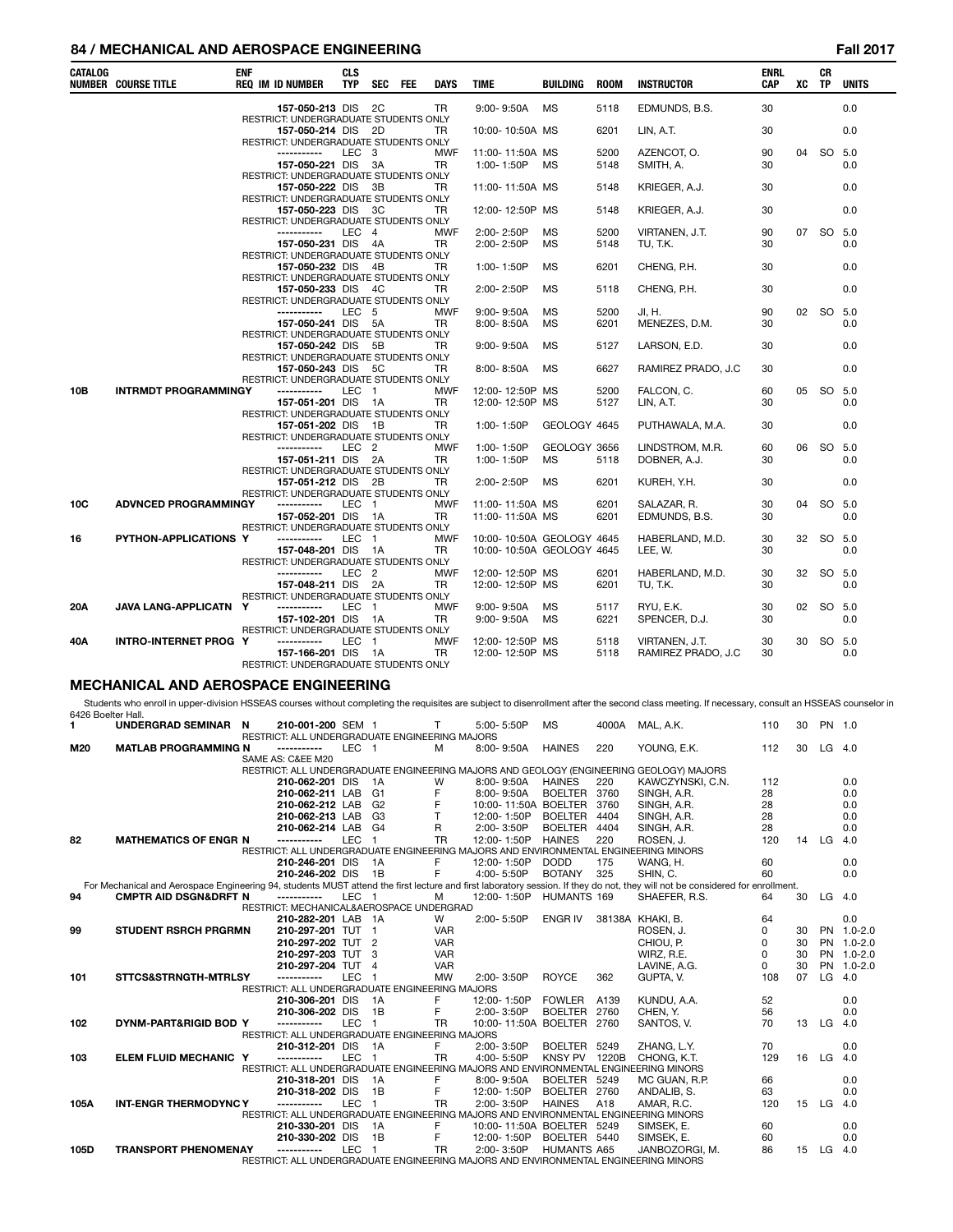### **84 / MECHANICAL AND AEROSPACE ENGINEERING Fall 2017**

| CATALOG            | <b>NUMBER COURSE TITLE</b>                  | <b>ENF</b> | <b>REQ IM ID NUMBER</b>                                                                              | <b>CLS</b><br><b>TYP</b> | <b>SEC</b>           | <b>FEE</b> | <b>DAYS</b>  | <b>TIME</b>               | BUILDING                        | <b>ROOM</b> | <b>INSTRUCTOR</b>                                                                                                                                                                                | <b>ENRL</b><br><b>CAP</b> | XC | СR<br>TP  | <b>UNITS</b> |
|--------------------|---------------------------------------------|------------|------------------------------------------------------------------------------------------------------|--------------------------|----------------------|------------|--------------|---------------------------|---------------------------------|-------------|--------------------------------------------------------------------------------------------------------------------------------------------------------------------------------------------------|---------------------------|----|-----------|--------------|
|                    |                                             |            | 157-050-213 DIS<br>RESTRICT: UNDERGRADUATE STUDENTS ONLY                                             |                          | 2C                   |            | TR.          | $9:00 - 9:50A$            | <b>MS</b>                       | 5118        | EDMUNDS, B.S.                                                                                                                                                                                    | 30                        |    |           | 0.0          |
|                    |                                             |            | 157-050-214 DIS 2D<br>RESTRICT: UNDERGRADUATE STUDENTS ONLY                                          |                          |                      |            | TR           | 10:00-10:50A MS           |                                 | 6201        | LIN, A.T.                                                                                                                                                                                        | 30                        |    |           | 0.0          |
|                    |                                             |            | -----------                                                                                          |                          | LEC <sub>3</sub>     |            | MWF          | 11:00-11:50A MS           |                                 | 5200        | AZENCOT, O.                                                                                                                                                                                      | 90                        | 04 |           | SO 5.0       |
|                    |                                             |            | 157-050-221 DIS                                                                                      |                          | 3A                   |            | TR           | 1:00-1:50P                | МS                              | 5148        | SMITH, A.                                                                                                                                                                                        | 30                        |    |           | 0.0          |
|                    |                                             |            | RESTRICT: UNDERGRADUATE STUDENTS ONLY                                                                |                          |                      |            |              |                           |                                 |             |                                                                                                                                                                                                  |                           |    |           |              |
|                    |                                             |            | 157-050-222 DIS 3B                                                                                   |                          |                      |            | TR           | 11:00-11:50A MS           |                                 | 5148        | KRIEGER, A.J.                                                                                                                                                                                    | 30                        |    |           | 0.0          |
|                    |                                             |            | RESTRICT: UNDERGRADUATE STUDENTS ONLY<br>157-050-223 DIS 3C<br>RESTRICT: UNDERGRADUATE STUDENTS ONLY |                          |                      |            | TR           | 12:00-12:50P MS           |                                 | 5148        | KRIEGER, A.J.                                                                                                                                                                                    | 30                        |    |           | 0.0          |
|                    |                                             |            | -----------                                                                                          | LEC                      | $\overline{4}$       |            | MWF          | 2:00-2:50P                | ΜS                              | 5200        | VIRTANEN, J.T.                                                                                                                                                                                   | 90                        | 07 | SO 5.0    |              |
|                    |                                             |            | 157-050-231 DIS                                                                                      |                          | - 4A                 |            | TR           | 2:00-2:50P                | <b>MS</b>                       | 5148        | TU, T.K.                                                                                                                                                                                         | 30                        |    |           | 0.0          |
|                    |                                             |            | RESTRICT: UNDERGRADUATE STUDENTS ONLY                                                                |                          |                      |            |              |                           |                                 |             |                                                                                                                                                                                                  |                           |    |           |              |
|                    |                                             |            | 157-050-232 DIS 4B                                                                                   |                          |                      |            | TR           | 1:00-1:50P                | МS                              | 6201        | CHENG, P.H.                                                                                                                                                                                      | 30                        |    |           | 0.0          |
|                    |                                             |            | RESTRICT: UNDERGRADUATE STUDENTS ONLY                                                                |                          |                      |            |              |                           |                                 |             |                                                                                                                                                                                                  |                           |    |           |              |
|                    |                                             |            | 157-050-233 DIS 4C<br>RESTRICT: UNDERGRADUATE STUDENTS ONLY                                          |                          |                      |            | TR           | 2:00-2:50P                | MS                              | 5118        | CHENG, P.H.                                                                                                                                                                                      | 30                        |    |           | 0.0          |
|                    |                                             |            | -----------                                                                                          |                          | LEC 5                |            | MWF          | $9:00 - 9:50A$            | МS                              | 5200        | JI, H.                                                                                                                                                                                           | 90                        |    | 02 SO 5.0 |              |
|                    |                                             |            | 157-050-241 DIS 5A                                                                                   |                          |                      |            | TR           | 8:00-8:50A                | MS                              | 6201        | MENEZES, D.M.                                                                                                                                                                                    | 30                        |    |           | 0.0          |
|                    |                                             |            | RESTRICT: UNDERGRADUATE STUDENTS ONLY                                                                |                          |                      |            |              |                           |                                 |             |                                                                                                                                                                                                  |                           |    |           |              |
|                    |                                             |            | 157-050-242 DIS 5B                                                                                   |                          |                      |            | TR           | $9:00 - 9:50A$            | МS                              | 5127        | LARSON, E.D.                                                                                                                                                                                     | 30                        |    |           | 0.0          |
|                    |                                             |            | RESTRICT: UNDERGRADUATE STUDENTS ONLY                                                                |                          |                      |            |              |                           |                                 |             |                                                                                                                                                                                                  |                           |    |           |              |
|                    |                                             |            | 157-050-243 DIS 5C<br>RESTRICT: UNDERGRADUATE STUDENTS ONLY                                          |                          |                      |            | TR           | 8:00-8:50A                | МS                              | 6627        | RAMIREZ PRADO, J.C                                                                                                                                                                               | 30                        |    |           | 0.0          |
| 10B                | <b>INTRMDT PROGRAMMINGY</b>                 |            | -----------                                                                                          | LEC                      | $\overline{1}$       |            | MWF          | 12:00-12:50P MS           |                                 | 5200        | FALCON, C.                                                                                                                                                                                       | 60                        | 05 | SO 5.0    |              |
|                    |                                             |            | 157-051-201 DIS                                                                                      |                          | - 1A                 |            | TR           | 12:00-12:50P MS           |                                 | 5127        | LIN, A.T.                                                                                                                                                                                        | 30                        |    |           | 0.0          |
|                    |                                             |            | RESTRICT: UNDERGRADUATE STUDENTS ONLY                                                                |                          |                      |            |              |                           |                                 |             |                                                                                                                                                                                                  |                           |    |           |              |
|                    |                                             |            | 157-051-202 DIS 1B                                                                                   |                          |                      |            | TR           | 1:00-1:50P                | GEOLOGY 4645                    |             | PUTHAWALA, M.A.                                                                                                                                                                                  | 30                        |    |           | 0.0          |
|                    |                                             |            | RESTRICT: UNDERGRADUATE STUDENTS ONLY<br>-----------                                                 |                          | LEC <sub>2</sub>     |            |              |                           | GEOLOGY 3656                    |             |                                                                                                                                                                                                  |                           | 06 | SO 5.0    |              |
|                    |                                             |            | 157-051-211 DIS 2A                                                                                   |                          |                      |            | MWF<br>TR    | 1:00-1:50P<br>1:00-1:50P  | ΜS                              | 5118        | LINDSTROM, M.R.<br>DOBNER, A.J.                                                                                                                                                                  | 60<br>30                  |    |           | 0.0          |
|                    |                                             |            | RESTRICT: UNDERGRADUATE STUDENTS ONLY                                                                |                          |                      |            |              |                           |                                 |             |                                                                                                                                                                                                  |                           |    |           |              |
|                    |                                             |            | 157-051-212 DIS 2B                                                                                   |                          |                      |            | TR           | 2:00-2:50P                | MS                              | 6201        | KUREH, Y.H.                                                                                                                                                                                      | 30                        |    |           | 0.0          |
|                    |                                             |            | RESTRICT: UNDERGRADUATE STUDENTS ONLY                                                                |                          |                      |            |              |                           |                                 |             |                                                                                                                                                                                                  |                           |    |           |              |
| 10C                | <b>ADVNCED PROGRAMMINGY</b>                 |            | -----------                                                                                          | LEC                      | $\overline{1}$       |            | MWF          | 11:00-11:50A MS           |                                 | 6201        | SALAZAR, R.                                                                                                                                                                                      | 30                        | 04 |           | SO 5.0       |
|                    |                                             |            | 157-052-201 DIS<br>RESTRICT: UNDERGRADUATE STUDENTS ONLY                                             |                          | - 1A                 |            | TR           | 11:00-11:50A MS           |                                 | 6201        | EDMUNDS, B.S.                                                                                                                                                                                    | 30                        |    |           | 0.0          |
| 16                 | PYTHON-APPLICATIONS Y                       |            | -----------                                                                                          | LEC                      | $\overline{1}$       |            | MWF          | 10:00-10:50A GEOLOGY 4645 |                                 |             | HABERLAND, M.D.                                                                                                                                                                                  | 30                        | 32 |           | SO 5.0       |
|                    |                                             |            | 157-048-201 DIS                                                                                      |                          | 1A                   |            | TR           | 10:00-10:50A GEOLOGY 4645 |                                 |             | LEE, W.                                                                                                                                                                                          | 30                        |    |           | 0.0          |
|                    |                                             |            | RESTRICT: UNDERGRADUATE STUDENTS ONLY                                                                |                          |                      |            |              |                           |                                 |             |                                                                                                                                                                                                  |                           |    |           |              |
|                    |                                             |            | -----------                                                                                          |                          | LEC <sub>2</sub>     |            | MWF          | 12:00-12:50P MS           |                                 | 6201        | HABERLAND, M.D.                                                                                                                                                                                  | 30                        | 32 | SO 5.0    |              |
|                    |                                             |            | 157-048-211 DIS 2A                                                                                   |                          |                      |            | TR           | 12:00-12:50P MS           |                                 | 6201        | TU, T.K.                                                                                                                                                                                         | 30                        |    |           | 0.0          |
| 20A                | JAVA LANG-APPLICATN Y                       |            | RESTRICT: UNDERGRADUATE STUDENTS ONLY<br>-----------                                                 | LEC                      | $\overline{1}$       |            | MWF          | $9:00 - 9:50A$            | MS                              | 5117        | RYU, E.K.                                                                                                                                                                                        | 30                        | 02 |           | SO 5.0       |
|                    |                                             |            | 157-102-201 DIS                                                                                      |                          | - 1A                 |            | TR.          | $9:00 - 9:50A$            | MS                              | 6221        | SPENCER, D.J.                                                                                                                                                                                    | 30                        |    |           | 0.0          |
|                    |                                             |            | RESTRICT: UNDERGRADUATE STUDENTS ONLY                                                                |                          |                      |            |              |                           |                                 |             |                                                                                                                                                                                                  |                           |    |           |              |
| 40A                | <b>INTRO-INTERNET PROG Y</b>                |            | -----------                                                                                          | LEC                      | $\overline{1}$       |            | <b>MWF</b>   | 12:00-12:50P MS           |                                 | 5118        | VIRTANEN, J.T.                                                                                                                                                                                   | 30                        | 30 |           | SO 5.0       |
|                    |                                             |            | 157-166-201 DIS                                                                                      |                          | - 1A                 |            | TR           | 12:00-12:50P MS           |                                 | 5118        | RAMIREZ PRADO, J.C                                                                                                                                                                               | 30                        |    |           | 0.0          |
|                    |                                             |            | RESTRICT: UNDERGRADUATE STUDENTS ONLY                                                                |                          |                      |            |              |                           |                                 |             |                                                                                                                                                                                                  |                           |    |           |              |
|                    | <b>MECHANICAL AND AEROSPACE ENGINEERING</b> |            |                                                                                                      |                          |                      |            |              |                           |                                 |             |                                                                                                                                                                                                  |                           |    |           |              |
|                    |                                             |            |                                                                                                      |                          |                      |            |              |                           |                                 |             | Students who enroll in upper-division HSSEAS courses without completing the requisites are subject to disenrollment after the second class meeting. If necessary, consult an HSSEAS counselor in |                           |    |           |              |
| 6426 Boelter Hall. |                                             |            |                                                                                                      |                          |                      |            |              |                           |                                 |             |                                                                                                                                                                                                  |                           |    |           |              |
| 1.                 | UNDERGRAD SEMINAR N                         |            | 210-001-200 SEM 1                                                                                    |                          |                      |            | Τ            | 5:00-5:50P                | МS                              |             | 4000A MAL, A.K.                                                                                                                                                                                  | 110                       | 30 | PN 1.0    |              |
|                    |                                             |            | RESTRICT: ALL UNDERGRADUATE ENGINEERING MAJORS                                                       |                          |                      |            |              |                           |                                 |             |                                                                                                                                                                                                  |                           |    |           |              |
| M20                | <b>MATLAB PROGRAMMING N</b>                 |            | -----------                                                                                          |                          | LEC 1                |            | M            | 8:00-9:50A                | <b>HAINES</b>                   | 220         | YOUNG, E.K.                                                                                                                                                                                      | 112                       | 30 |           | $LG$ 4.0     |
|                    |                                             |            | SAME AS: C&EE M20                                                                                    |                          |                      |            |              |                           |                                 |             | RESTRICT: ALL UNDERGRADUATE ENGINEERING MAJORS AND GEOLOGY (ENGINEERING GEOLOGY) MAJORS                                                                                                          |                           |    |           |              |
|                    |                                             |            | 210-062-201 DIS                                                                                      |                          | 1A                   |            | W            | 8:00-9:50A                | <b>HAINES</b>                   | 220         | KAWCZYNSKI, C.N.                                                                                                                                                                                 | 112                       |    |           | 0.0          |
|                    |                                             |            | 210-062-211 LAB                                                                                      |                          | G1                   |            | F            | 8:00-9:50A                | BOELTER 3760                    |             | SINGH, A.R.                                                                                                                                                                                      | 28                        |    |           | 0.0          |
|                    |                                             |            | 210-062-212 LAB                                                                                      |                          | G2                   |            | F            | 10:00-11:50A BOELTER 3760 |                                 |             | SINGH, A.R.                                                                                                                                                                                      | 28                        |    |           | 0.0          |
|                    |                                             |            | 210-062-213 LAB                                                                                      |                          | G3                   |            | $\mathsf{T}$ | 12:00-1:50P               | <b>BOELTER</b>                  | 4404        | SINGH, A.R.                                                                                                                                                                                      | 28                        |    |           | 0.0          |
| 82                 | <b>MATHEMATICS OF ENGR N</b>                |            | 210-062-214 LAB<br>------------                                                                      | LEC                      | G4<br>$\overline{1}$ |            | R<br>TR      | 2:00-3:50P<br>12:00-1:50P | <b>BOELTER</b><br><b>HAINES</b> | 4404<br>220 | SINGH, A.R.<br>ROSEN, J.                                                                                                                                                                         | 28<br>120                 | 14 | LG        | 0.0<br>4.0   |
|                    |                                             |            |                                                                                                      |                          |                      |            |              |                           |                                 |             | RESTRICT: ALL UNDERGRADUATE ENGINEERING MAJORS AND ENVIRONMENTAL ENGINEERING MINORS                                                                                                              |                           |    |           |              |
|                    |                                             |            | 210-246-201 DIS                                                                                      |                          | 1A                   |            | F            | 12:00-1:50P               | <b>DODD</b>                     | 175         | WANG, H.                                                                                                                                                                                         | 60                        |    |           | 0.0          |
|                    |                                             |            | 210-246-202 DIS                                                                                      |                          | 1B                   |            | F            | 4:00-5:50P                | <b>BOTANY</b>                   | 325         | SHIN, C.                                                                                                                                                                                         | 60                        |    |           | 0.0          |
|                    |                                             |            |                                                                                                      |                          |                      |            |              |                           |                                 |             | For Mechanical and Aerospace Engineering 94, students MUST attend the first lecture and first laboratory session. If they do not, they will not be considered for enrollment.                    |                           |    |           |              |
| 94                 | <b>CMPTR AID DSGN&amp;DRFT N</b>            |            | ------------                                                                                         | <b>LEC</b>               | - 1                  |            | м            | 12:00-1:50P               | HUMANTS 169                     |             | SHAEFER, R.S.                                                                                                                                                                                    | 64                        | 30 | $LG$ 4.0  |              |
|                    |                                             |            | RESTRICT: MECHANICAL&AEROSPACE UNDERGRAD                                                             |                          |                      |            | W            |                           | ENGR IV                         |             | 38138A KHAKI, B.                                                                                                                                                                                 | 64                        |    |           | 0.0          |
| 99                 | <b>STUDENT RSRCH PRGRMN</b>                 |            | 210-282-201 LAB 1A<br>210-297-201 TUT 1                                                              |                          |                      |            | <b>VAR</b>   | 2:00-5:50P                |                                 |             | ROSEN, J.                                                                                                                                                                                        | 0                         | 30 |           | PN 1.0-2.0   |
|                    |                                             |            | 210-297-202 TUT                                                                                      |                          | $\overline{2}$       |            | <b>VAR</b>   |                           |                                 |             | CHIOU, P.                                                                                                                                                                                        | 0                         | 30 |           | PN 1.0-2.0   |
|                    |                                             |            | 210-297-203 TUT 3                                                                                    |                          |                      |            | VAR          |                           |                                 |             | WIRZ, R.E.                                                                                                                                                                                       | 0                         | 30 |           | PN 1.0-2.0   |
|                    |                                             |            | 210-297-204 TUT                                                                                      |                          | $\overline{4}$       |            | <b>VAR</b>   |                           |                                 |             | LAVINE, A.G.                                                                                                                                                                                     | 0                         | 30 |           | PN 1.0-2.0   |
| 101                | STTCS&STRNGTH-MTRLSY                        |            | -----------<br>DECEDICE ALL LINDEDCDADUATE ENCINEEDING                                               | <b>LEC</b>               | $\overline{1}$       |            | MW           | 2:00-3:50P<br>ADOR        | <b>ROYCE</b>                    | 362         | GUPTA, V.                                                                                                                                                                                        | 108                       | 07 |           | $LG$ 4.0     |

|      |                              | 210-297-203 TUT 3                                                                   |      |    | <b>VAR</b> |                      |                    |       | WIRZ, R.E.     |     | 30 | PN 1.0-  |     |
|------|------------------------------|-------------------------------------------------------------------------------------|------|----|------------|----------------------|--------------------|-------|----------------|-----|----|----------|-----|
|      |                              | 210-297-204 TUT                                                                     |      | 4  | <b>VAR</b> |                      |                    |       | LAVINE, A.G.   |     | 30 | PN 1.0-  |     |
| 101  | STTCS&STRNGTH-MTRLSY         |                                                                                     | LEC. |    | <b>MW</b>  | 2:00-3:50P           | <b>ROYCE</b>       | 362   | GUPTA, V.      | 108 | 07 | LG 4.0   |     |
|      |                              | RESTRICT: ALL UNDERGRADUATE ENGINEERING MAJORS                                      |      |    |            |                      |                    |       |                |     |    |          |     |
|      |                              | 210-306-201 DIS                                                                     |      | 1A |            | 12:00-1:50P          | <b>FOWLER</b>      | A139  | KUNDU. A.A.    | 52  |    |          | 0.0 |
|      |                              | 210-306-202 DIS                                                                     |      | 1B | F.         | 2:00-3:50P           | <b>BOELTER</b>     | 2760  | CHEN. Y.       | 56  |    |          | 0.0 |
| 102  | DYNM-PART&RIGID BOD Y        | -----------                                                                         | LEC. |    | TR         | 10:00-11:50A BOELTER |                    | 2760  | SANTOS, V.     | 70  | 13 | LG       | 4.0 |
|      |                              | RESTRICT: ALL UNDERGRADUATE ENGINEERING MAJORS                                      |      |    |            |                      |                    |       |                |     |    |          |     |
|      |                              | 210-312-201 DIS                                                                     |      | 1A | F.         | 2:00-3:50P           | <b>BOELTER</b>     | 5249  | ZHANG, L.Y.    | 70  |    |          | 0.0 |
| 103  | ELEM FLUID MECHANIC Y        | -----------                                                                         | LEC. |    | TR         | $4:00 - 5:50P$       | <b>KNSY PV</b>     | 1220B | CHONG, K.T.    | 129 | 16 | $LG$ 4.0 |     |
|      |                              | RESTRICT: ALL UNDERGRADUATE ENGINEERING MAJORS AND ENVIRONMENTAL ENGINEERING MINORS |      |    |            |                      |                    |       |                |     |    |          |     |
|      |                              | 210-318-201 DIS                                                                     |      | 1A |            | 8:00-9:50A           | <b>BOELTER</b>     | 5249  | MC GUAN, R.P.  | 66  |    |          | 0.0 |
|      |                              | 210-318-202 DIS                                                                     |      | 1B |            | 12:00-1:50P          | <b>BOELTER</b>     | 2760  | ANDALIB, S.    | 63  |    |          | 0.0 |
| 105A | <b>INT-ENGR THERMODYNC Y</b> | -----------                                                                         | LEC. |    | TR         | $2:00 - 3:50P$       | <b>HAINES</b>      | A18   | AMAR, R.C.     | 120 | 15 | $LG$ 4.0 |     |
|      |                              | RESTRICT: ALL UNDERGRADUATE ENGINEERING MAJORS AND ENVIRONMENTAL ENGINEERING MINORS |      |    |            |                      |                    |       |                |     |    |          |     |
|      |                              | 210-330-201 DIS                                                                     |      | 1A |            | 10:00-11:50A BOELTER |                    | 5249  | SIMSEK, E.     | 60  |    |          | 0.0 |
|      |                              | 210-330-202 DIS                                                                     |      | 1B |            | 12:00-1:50P          | BOELTER            | 5440  | SIMSEK, E.     | 60  |    |          | 0.0 |
| 105D | <b>TRANSPORT PHENOMENAY</b>  |                                                                                     | LEC. |    | TR         | 2:00-3:50P           | <b>HUMANTS A65</b> |       | JANBOZORGI, M. | 86  | 15 | $LG$ 4.0 |     |
|      |                              | RESTRICT: ALL UNDERGRADUATE ENGINEERING MAJORS AND ENVIRONMENTAL ENGINEERING MINORS |      |    |            |                      |                    |       |                |     |    |          |     |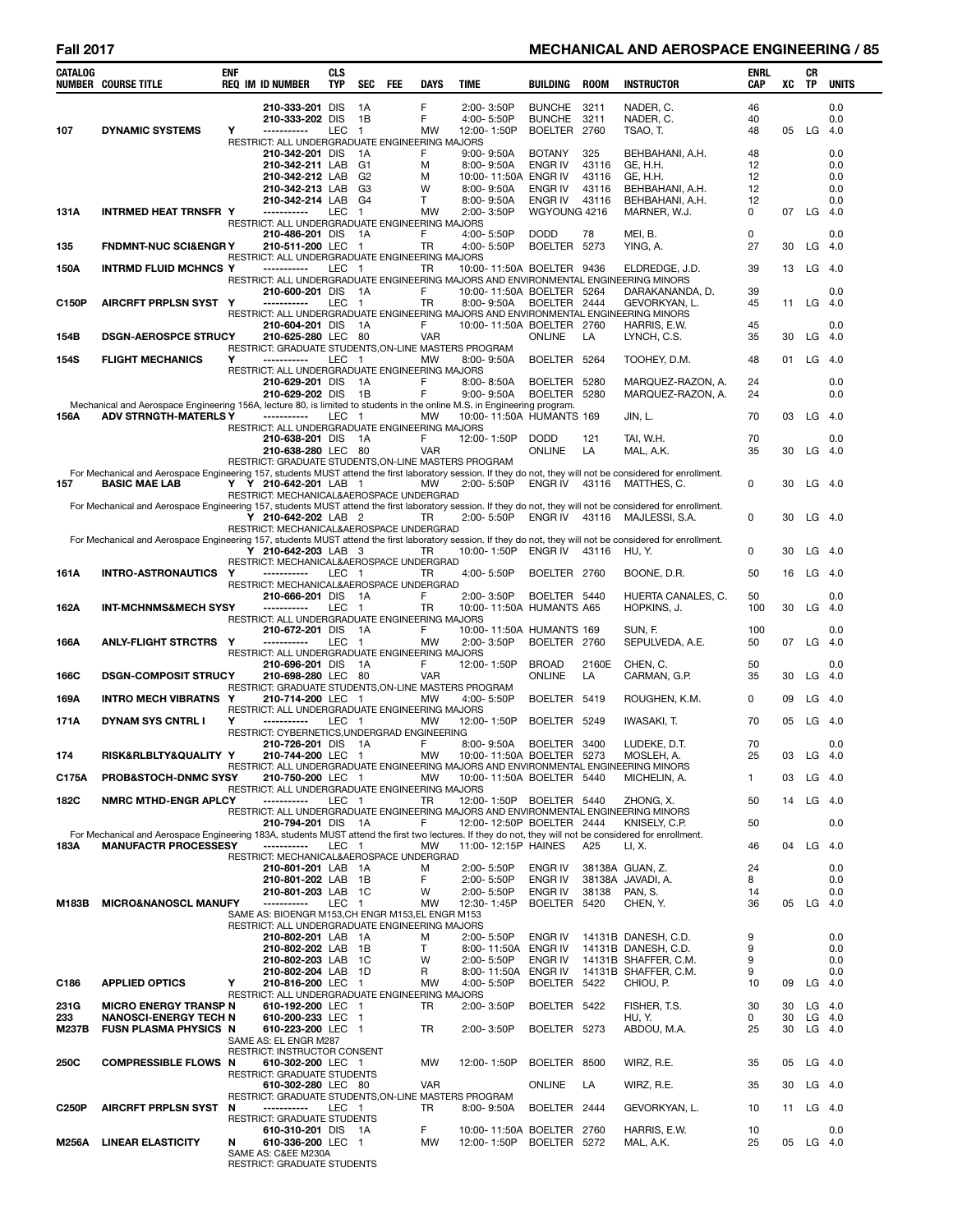# **Fall 2017 MECHANICAL AND AEROSPACE ENGINEERING / 85**

L,

| CATALOG      | <b>NUMBER COURSE TITLE</b>                                                                                                                                                             | <b>ENF</b> | <b>REQ IM ID NUMBER</b>                                                                       | <b>CLS</b><br><b>TYP</b> | <b>SEC</b>                       | FEE | DAYS                | TIME |                                         | <b>BUILDING</b>                                | <b>ROOM</b>    | <b>INSTRUCTOR</b>                                                                                      | <b>ENRL</b><br>CAP | XC       | CR<br>TP | <b>UNITS</b>        |
|--------------|----------------------------------------------------------------------------------------------------------------------------------------------------------------------------------------|------------|-----------------------------------------------------------------------------------------------|--------------------------|----------------------------------|-----|---------------------|------|-----------------------------------------|------------------------------------------------|----------------|--------------------------------------------------------------------------------------------------------|--------------------|----------|----------|---------------------|
| 107          | <b>DYNAMIC SYSTEMS</b>                                                                                                                                                                 | Y          | 210-333-201 DIS<br>210-333-202 DIS<br>-----------                                             | LEC                      | 1A<br>1B<br>$\mathbf{1}$         |     | F<br>F<br><b>MW</b> |      | 2:00-3:50P<br>4:00-5:50P<br>12:00-1:50P | <b>BUNCHE</b><br><b>BUNCHE</b><br>BOELTER 2760 | 3211<br>3211   | NADER, C.<br>NADER, C.<br>TSAO, T.                                                                     | 46<br>40<br>48     | 05       | LG       | 0.0<br>0.0<br>- 4.0 |
|              |                                                                                                                                                                                        |            | RESTRICT: ALL UNDERGRADUATE ENGINEERING MAJORS<br>210-342-201 DIS                             |                          | 1A                               |     | F                   |      | $9:00 - 9:50A$                          | <b>BOTANY</b>                                  | 325            | BEHBAHANI, A.H.                                                                                        | 48                 |          |          | 0.0                 |
|              |                                                                                                                                                                                        |            | 210-342-211 LAB<br>210-342-212 LAB                                                            |                          | G <sub>1</sub><br>G <sub>2</sub> |     | м<br>м              |      | 8:00-9:50A                              | <b>ENGR IV</b><br>10:00-11:50A ENGR IV         | 43116<br>43116 | GE. H.H.<br>GE, H.H.                                                                                   | 12<br>12           |          |          | 0.0<br>0.0          |
|              |                                                                                                                                                                                        |            | 210-342-213 LAB<br>210-342-214 LAB                                                            |                          | G <sub>3</sub><br>G4             |     | W<br>Τ              |      | 8:00-9:50A<br>8:00-9:50A                | ENGR IV<br>ENGR IV                             | 43116<br>43116 | BEHBAHANI, A.H.<br>BEHBAHANI, A.H.                                                                     | 12<br>12           |          |          | 0.0<br>0.0          |
| 131A         | <b>INTRMED HEAT TRNSFR Y</b>                                                                                                                                                           |            | -----------<br>RESTRICT: ALL UNDERGRADUATE ENGINEERING MAJORS                                 | LEC                      | $\mathbf{1}$                     |     | <b>MW</b>           |      | 2:00-3:50P                              | WGYOUNG 4216                                   |                | MARNER, W.J.                                                                                           | 0                  | 07       | $LG$ 4.0 |                     |
| 135          | <b>FNDMNT-NUC SCI&amp;ENGRY</b>                                                                                                                                                        |            | 210-486-201 DIS<br>210-511-200 LEC                                                            |                          | - 1A<br>$\blacksquare$           |     | F<br><b>TR</b>      |      | 4:00-5:50P<br>4:00-5:50P                | <b>DODD</b><br>BOELTER 5273                    | 78             | MEI, B.<br>YING, A.                                                                                    | 0<br>27            | 30       | LG       | 0.0<br>- 4.0        |
| 150A         | <b>INTRMD FLUID MCHNCS Y</b>                                                                                                                                                           |            | RESTRICT: ALL UNDERGRADUATE ENGINEERING MAJORS<br>-----------                                 | LEC 1                    |                                  |     | TR                  |      |                                         | 10:00-11:50A BOELTER 9436                      |                | ELDREDGE, J.D.                                                                                         | 39                 | 13       | LG       | 4.0                 |
|              |                                                                                                                                                                                        |            | 210-600-201 DIS                                                                               |                          | - 1A                             |     | F                   |      |                                         | 10:00-11:50A BOELTER 5264                      |                | RESTRICT: ALL UNDERGRADUATE ENGINEERING MAJORS AND ENVIRONMENTAL ENGINEERING MINORS<br>DARAKANANDA, D. | 39                 |          |          | 0.0                 |
| C150P        | <b>AIRCRFT PRPLSN SYST Y</b>                                                                                                                                                           |            | -----------                                                                                   | LEC                      | - 1                              |     | TR                  |      | 8:00-9:50A                              | BOELTER 2444                                   |                | GEVORKYAN, L.<br>RESTRICT: ALL UNDERGRADUATE ENGINEERING MAJORS AND ENVIRONMENTAL ENGINEERING MINORS   | 45                 | 11       | $LG$ 4.0 |                     |
| 154B         | <b>DSGN-AEROSPCE STRUCY</b>                                                                                                                                                            |            | 210-604-201 DIS<br>210-625-280 LEC 80                                                         |                          | - 1A                             |     | F<br><b>VAR</b>     |      |                                         | 10:00-11:50A BOELTER 2760<br><b>ONLINE</b>     | LA             | HARRIS, E.W.<br>LYNCH, C.S.                                                                            | 45<br>35           | 30       | $LG$ 4.0 | 0.0                 |
| 154S         | <b>FLIGHT MECHANICS</b>                                                                                                                                                                | Y          | RESTRICT: GRADUATE STUDENTS, ON-LINE MASTERS PROGRAM<br>-----------                           | LEC                      | - 1                              |     | <b>MW</b>           |      | $8:00 - 9:50A$                          | BOELTER 5264                                   |                | TOOHEY, D.M.                                                                                           | 48                 | 01       | LG       | - 4.0               |
|              |                                                                                                                                                                                        |            | RESTRICT: ALL UNDERGRADUATE ENGINEERING MAJORS<br>210-629-201 DIS                             |                          | 1A                               |     | F                   |      | $8:00 - 8:50A$                          | BOELTER 5280                                   |                | MARQUEZ-RAZON, A.                                                                                      | 24                 |          |          | 0.0                 |
|              |                                                                                                                                                                                        |            | 210-629-202 DIS                                                                               |                          | 1B                               |     | F                   |      | $9:00 - 9:50A$                          | BOELTER 5280                                   |                | MARQUEZ-RAZON, A.                                                                                      | 24                 |          |          | 0.0                 |
| 156A         | Mechanical and Aerospace Engineering 156A, lecture 80, is limited to students in the online M.S. in Engineering program.<br><b>ADV STRNGTH-MATERLS Y</b>                               |            | -----------<br>RESTRICT: ALL UNDERGRADUATE ENGINEERING MAJORS                                 | LEC 1                    |                                  |     | <b>MW</b>           |      |                                         | 10:00-11:50A HUMANTS 169                       |                | JIN, L.                                                                                                | 70                 | 03       |          | $LG$ 4.0            |
|              |                                                                                                                                                                                        |            | 210-638-201 DIS                                                                               |                          | - 1A                             |     | F<br><b>VAR</b>     |      | 12:00-1:50P                             | <b>DODD</b>                                    | 121            | TAI, W.H.                                                                                              | 70<br>35           |          |          | 0.0                 |
|              |                                                                                                                                                                                        |            | 210-638-280 LEC 80<br>RESTRICT: GRADUATE STUDENTS, ON-LINE MASTERS PROGRAM                    |                          |                                  |     |                     |      |                                         | <b>ONLINE</b>                                  | LA             | MAL, A.K.                                                                                              |                    | 30       | LG       | - 4.0               |
| 157          | For Mechanical and Aerospace Engineering 157, students MUST attend the first laboratory session. If they do not, they will not be considered for enrollment.<br><b>BASIC MAE LAB</b>   |            | Y Y 210-642-201 LAB 1<br>RESTRICT: MECHANICAL&AEROSPACE UNDERGRAD                             |                          |                                  |     | MW                  |      | $2:00 - 5:50P$                          | ENGR IV 43116                                  |                | MATTHES, C.                                                                                            | 0                  | 30       | $LG$ 4.0 |                     |
|              | For Mechanical and Aerospace Engineering 157, students MUST attend the first laboratory session. If they do not, they will not be considered for enrollment.                           |            |                                                                                               |                          |                                  |     |                     |      | 2:00-5:50P                              |                                                |                |                                                                                                        | 0                  | 30       | $LG$ 4.0 |                     |
|              | For Mechanical and Aerospace Engineering 157, students MUST attend the first laboratory session. If they do not, they will not be considered for enrollment.                           |            | Y 210-642-202 LAB 2<br>RESTRICT: MECHANICAL&AEROSPACE UNDERGRAD                               |                          |                                  |     | TR                  |      |                                         | ENGR IV 43116                                  |                | MAJLESSI, S.A.                                                                                         |                    |          |          |                     |
|              |                                                                                                                                                                                        |            | Y 210-642-203 LAB 3<br>RESTRICT: MECHANICAL&AEROSPACE UNDERGRAD                               |                          |                                  |     | TR                  |      | 10:00-1:50P                             | ENGR IV                                        | 43116          | HU, Y.                                                                                                 | 0                  | 30       |          | $LG$ 4.0            |
| 161A         | <b>INTRO-ASTRONAUTICS</b>                                                                                                                                                              | Y          | -----------                                                                                   | LEC 1                    |                                  |     | TR                  |      | 4:00-5:50P                              | BOELTER 2760                                   |                | BOONE, D.R.                                                                                            | 50                 | 16       |          | $LG$ 4.0            |
|              |                                                                                                                                                                                        |            | RESTRICT: MECHANICAL&AEROSPACE UNDERGRAD<br>210-666-201 DIS<br>-----------                    |                          | 1A                               |     | F.<br><b>TR</b>     |      | 2:00-3:50P                              | BOELTER 5440                                   |                | HUERTA CANALES, C.                                                                                     | 50                 |          |          | 0.0                 |
| 162A         | <b>INT-MCHNMS&amp;MECH SYSY</b>                                                                                                                                                        |            | RESTRICT: ALL UNDERGRADUATE ENGINEERING MAJORS                                                | LEC                      | $\overline{1}$                   |     |                     |      |                                         | 10:00-11:50A HUMANTS A65                       |                | HOPKINS, J.                                                                                            | 100                | 30       | $LG$ 4.0 |                     |
| 166A         | ANLY-FLIGHT STRCTRS Y                                                                                                                                                                  |            | 210-672-201 DIS<br>-----------                                                                | LEC                      | 1A<br>-1                         |     | F.<br>MW            |      | 2:00-3:50P                              | 10:00-11:50A HUMANTS 169<br>BOELTER 2760       |                | SUN, F.<br>SEPULVEDA, A.E.                                                                             | 100<br>50          | 07       | LG       | 0.0<br>- 4.0        |
|              |                                                                                                                                                                                        |            | RESTRICT: ALL UNDERGRADUATE ENGINEERING MAJORS<br>210-696-201 DIS                             |                          | 1A                               |     | F                   |      | 12:00-1:50P                             | <b>BROAD</b>                                   | 2160E          | CHEN, C.                                                                                               | 50                 |          |          | 0.0                 |
| 166C         | <b>DSGN-COMPOSIT STRUCY</b>                                                                                                                                                            |            | 210-698-280 LEC<br>RESTRICT: GRADUATE STUDENTS, ON-LINE MASTERS PROGRAM                       |                          | - 80                             |     | <b>VAR</b>          |      |                                         | <b>ONLINE</b>                                  | LA             | CARMAN, G.P.                                                                                           | 35                 | 30       |          | $LG$ 4.0            |
| 169A         | <b>INTRO MECH VIBRATNS Y</b>                                                                                                                                                           |            | 210-714-200 LEC<br>RESTRICT: ALL UNDERGRADUATE ENGINEERING MAJORS                             |                          | - 1                              |     | <b>MW</b>           |      | 4:00-5:50P                              | BOELTER 5419                                   |                | ROUGHEN, K.M.                                                                                          | 0                  | 09       |          | $LG$ 4.0            |
| 171A         | <b>DYNAM SYS CNTRL I</b>                                                                                                                                                               | Y          | -----------<br>RESTRICT: CYBERNETICS, UNDERGRAD ENGINEERING                                   | LEC 1                    |                                  |     | <b>MW</b>           |      | 12:00-1:50P                             | BOELTER 5249                                   |                | IWASAKI, T.                                                                                            | 70                 | 05       | LG       | - 4.0               |
| 174          | RISK&RLBLTY&QUALITY Y                                                                                                                                                                  |            | 210-726-201 DIS<br>210-744-200 LEC                                                            |                          | - 1A<br>$\blacksquare$           |     | F.<br>MW            |      | $8:00 - 9:50A$                          | BOELTER 3400<br>10:00-11:50A BOELTER           | 5273           | LUDEKE, D.T.<br>MOSLEH, A.                                                                             | 70<br>25           | 03       |          | 0.0<br>$LG$ 4.0     |
| C175A        | PROB&STOCH-DNMC SYSY                                                                                                                                                                   |            | 210-750-200 LEC 1                                                                             |                          |                                  |     | <b>MW</b>           |      |                                         | 10:00-11:50A BOELTER 5440                      |                | RESTRICT: ALL UNDERGRADUATE ENGINEERING MAJORS AND ENVIRONMENTAL ENGINEERING MINORS<br>MICHELIN, A.    | $\mathbf{1}$       | 03       | $LG$ 4.0 |                     |
| 182C         | <b>NMRC MTHD-ENGR APLCY</b>                                                                                                                                                            |            | RESTRICT: ALL UNDERGRADUATE ENGINEERING MAJORS<br>-----------                                 | LEC 1                    |                                  |     | TR                  |      |                                         | 12:00-1:50P BOELTER 5440                       |                | ZHONG, X.                                                                                              | 50                 | 14       |          | $LG$ 4.0            |
|              |                                                                                                                                                                                        |            | 210-794-201 DIS 1A                                                                            |                          |                                  |     | F                   |      |                                         | 12:00-12:50P BOELTER 2444                      |                | RESTRICT: ALL UNDERGRADUATE ENGINEERING MAJORS AND ENVIRONMENTAL ENGINEERING MINORS<br>KNISELY, C.P.   | 50                 |          |          | 0.0                 |
| 183A         | For Mechanical and Aerospace Engineering 183A, students MUST attend the first two lectures. If they do not, they will not be considered for enrollment.<br><b>MANUFACTR PROCESSESY</b> |            | -----------                                                                                   | <b>LEC</b>               | - 1                              |     | <b>MW</b>           |      |                                         | 11:00-12:15P HAINES                            | A25            | LI, X.                                                                                                 | 46                 | 04       | $LG$ 4.0 |                     |
|              |                                                                                                                                                                                        |            | RESTRICT: MECHANICAL&AEROSPACE UNDERGRAD<br>210-801-201 LAB 1A                                |                          |                                  |     | м                   |      | 2:00-5:50P                              | <b>ENGR IV</b>                                 |                | 38138A GUAN, Z.                                                                                        | 24                 |          |          | 0.0                 |
|              |                                                                                                                                                                                        |            | 210-801-202 LAB<br>210-801-203 LAB                                                            |                          | - 1B<br>1C                       |     | F.<br>W             |      | 2:00-5:50P<br>2:00-5:50P                | ENGR IV<br>ENGR IV                             | 38138          | 38138A JAVADI, A.<br>PAN. S.                                                                           | 8<br>14            |          |          | 0.0<br>0.0          |
| M183B        | <b>MICRO&amp;NANOSCL MANUFY</b>                                                                                                                                                        |            | -----------<br>SAME AS: BIOENGR M153.CH ENGR M153.EL ENGR M153                                | LEC                      | $\overline{1}$                   |     | MW                  |      | 12:30-1:45P                             | BOELTER 5420                                   |                | CHEN. Y.                                                                                               | 36                 | 05       | $LG$ 4.0 |                     |
|              |                                                                                                                                                                                        |            | RESTRICT: ALL UNDERGRADUATE ENGINEERING MAJORS<br>210-802-201 LAB 1A                          |                          |                                  |     | м                   |      | 2:00- 5:50P                             | ENGR IV                                        |                | 14131B DANESH, C.D.                                                                                    | 9                  |          |          | 0.0                 |
|              |                                                                                                                                                                                        |            | 210-802-202 LAB<br>210-802-203 LAB                                                            |                          | - 1B<br>- 1C                     |     | T<br>W              |      | 2:00-5:50P                              | 8:00-11:50A ENGR IV<br>ENGR IV                 |                | 14131B DANESH, C.D.<br>14131B SHAFFER, C.M.                                                            | 9<br>9             |          |          | 0.0<br>0.0          |
| C186         | <b>APPLIED OPTICS</b>                                                                                                                                                                  | Y          | 210-802-204 LAB<br>210-816-200 LEC 1                                                          |                          | - 1D                             |     | R<br><b>MW</b>      |      | 4:00-5:50P                              | 8:00-11:50A ENGR IV<br>BOELTER 5422            |                | 14131B SHAFFER, C.M.<br>CHIOU, P.                                                                      | 9<br>10            | 09       |          | 0.0<br>$LG$ 4.0     |
| 231G         | <b>MICRO ENERGY TRANSP N</b>                                                                                                                                                           |            | RESTRICT: ALL UNDERGRADUATE ENGINEERING MAJORS<br>610-192-200 LEC 1                           |                          |                                  |     | TR                  |      | 2:00-3:50P                              | BOELTER 5422                                   |                | FISHER, T.S.                                                                                           | 30                 | 30       |          | $LG$ 4.0            |
| 233<br>M237B | <b>NANOSCI-ENERGY TECH N</b><br><b>FUSN PLASMA PHYSICS N</b>                                                                                                                           |            | 610-200-233 LEC<br>610-223-200 LEC 1                                                          |                          | - 1                              |     | TR                  |      | $2:00 - 3:50P$                          | BOELTER 5273                                   |                | HU, Y.<br>ABDOU, M.A.                                                                                  | 0<br>25            | 30<br>30 |          | $LG$ 4.0<br>LG 4.0  |
|              |                                                                                                                                                                                        |            | SAME AS: EL ENGR M287<br>RESTRICT: INSTRUCTOR CONSENT                                         |                          |                                  |     |                     |      |                                         |                                                |                |                                                                                                        |                    |          |          |                     |
| 250C         | <b>COMPRESSIBLE FLOWS N</b>                                                                                                                                                            |            | 610-302-200 LEC 1<br>RESTRICT: GRADUATE STUDENTS                                              |                          |                                  |     | MW                  |      | 12:00-1:50P                             | BOELTER 8500                                   |                | WIRZ, R.E.                                                                                             | 35                 | 05       |          | $LG$ 4.0            |
|              |                                                                                                                                                                                        |            | 610-302-280 LEC 80<br>RESTRICT: GRADUATE STUDENTS, ON-LINE MASTERS PROGRAM                    |                          |                                  |     | <b>VAR</b>          |      |                                         | <b>ONLINE</b>                                  | LA             | WIRZ, R.E.                                                                                             | 35                 | 30       |          | $LG$ 4.0            |
| <b>C250P</b> | <b>AIRCRFT PRPLSN SYST</b>                                                                                                                                                             | N          | -----------<br><b>RESTRICT: GRADUATE STUDENTS</b>                                             | LEC 1                    |                                  |     | TR                  |      | 8:00-9:50A                              | BOELTER 2444                                   |                | GEVORKYAN, L.                                                                                          | 10                 | 11       | $LG$ 4.0 |                     |
| M256A        | <b>LINEAR ELASTICITY</b>                                                                                                                                                               | N          | 610-310-201 DIS 1A<br>610-336-200 LEC 1<br>SAME AS: C&EE M230A<br>RESTRICT: GRADUATE STUDENTS |                          |                                  |     | F.<br><b>MW</b>     |      | 12:00-1:50P                             | 10:00-11:50A BOELTER 2760<br>BOELTER 5272      |                | HARRIS, E.W.<br>MAL, A.K.                                                                              | 10<br>25           | 05       | $LG$ 4.0 | 0.0                 |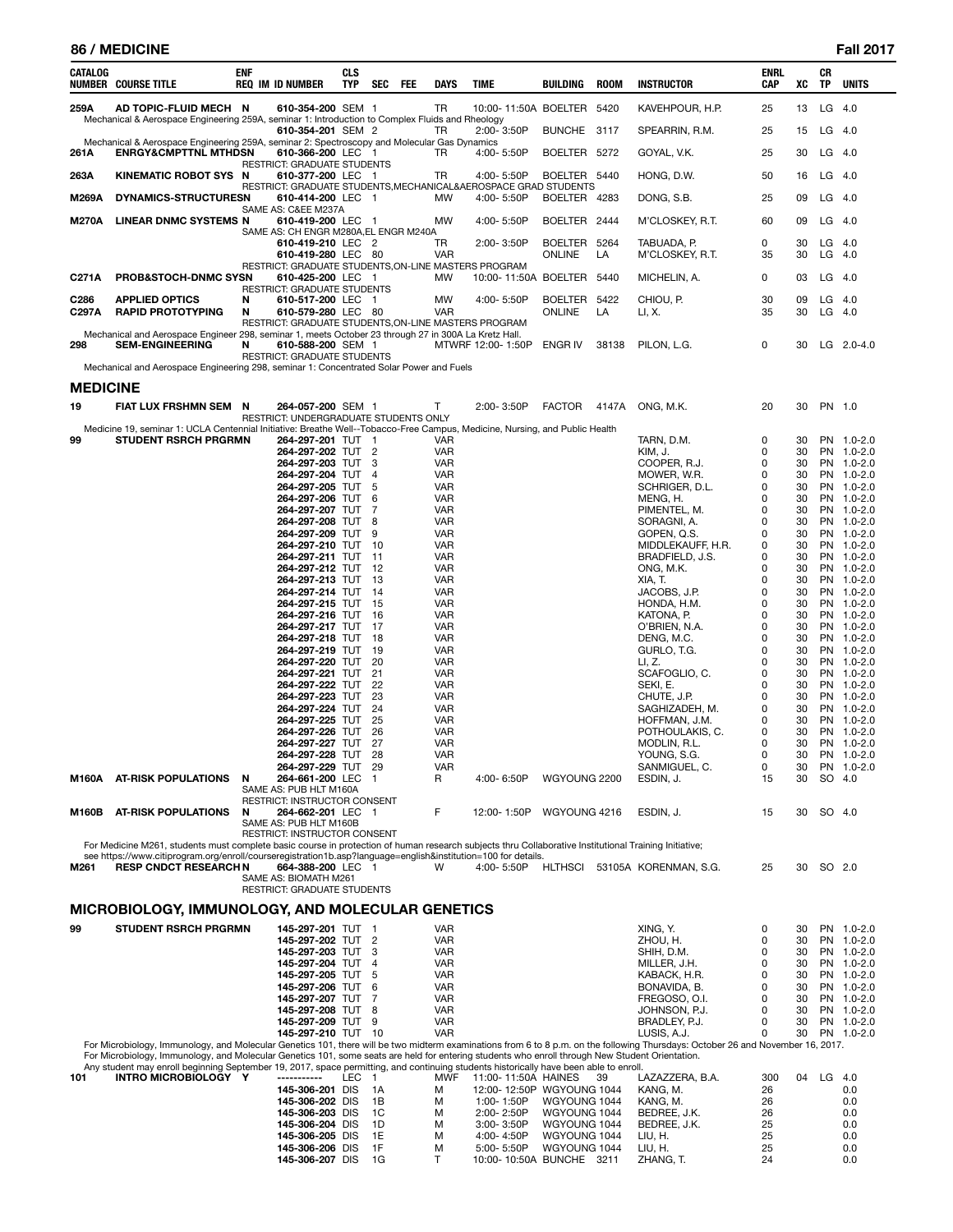| 86 / MEDICINE | <b>Fall 2017</b> |
|---------------|------------------|
|               |                  |

| CATALOG         | NUMBER COURSE TITLE                                                                                                                                                                                                                                                                      | <b>ENF</b> | <b>REQ IM ID NUMBER</b>                                                   | CLS<br>TYP | SEC                  | FEE | DAYS                     | <b>TIME</b>                                                     | BUILDING                      | <b>ROOM</b> | <b>INSTRUCTOR</b>                                                                                                                                                               | <b>ENRL</b><br>CAP | XC       | CR<br>TP             | <b>UNITS</b>             |
|-----------------|------------------------------------------------------------------------------------------------------------------------------------------------------------------------------------------------------------------------------------------------------------------------------------------|------------|---------------------------------------------------------------------------|------------|----------------------|-----|--------------------------|-----------------------------------------------------------------|-------------------------------|-------------|---------------------------------------------------------------------------------------------------------------------------------------------------------------------------------|--------------------|----------|----------------------|--------------------------|
| 259A            | AD TOPIC-FLUID MECH N                                                                                                                                                                                                                                                                    |            | 610-354-200 SEM 1                                                         |            |                      |     | TR                       | 10:00-11:50A BOELTER 5420                                       |                               |             | KAVEHPOUR, H.P.                                                                                                                                                                 | 25                 | 13       | LG                   | - 4.0                    |
|                 | Mechanical & Aerospace Engineering 259A, seminar 1: Introduction to Complex Fluids and Rheology                                                                                                                                                                                          |            | 610-354-201 SEM 2                                                         |            |                      |     | TR                       | $2:00 - 3:50P$                                                  | BUNCHE 3117                   |             | SPEARRIN, R.M.                                                                                                                                                                  | 25                 | 15       | $LG$ 4.0             |                          |
| 261A            | Mechanical & Aerospace Engineering 259A, seminar 2: Spectroscopy and Molecular Gas Dynamics<br><b>ENRGY&amp;CMPTTNL MTHDSN</b>                                                                                                                                                           |            | 610-366-200 LEC 1                                                         |            |                      |     | TR                       | 4:00-5:50P                                                      | BOELTER 5272                  |             | GOYAL, V.K.                                                                                                                                                                     | 25                 | 30       | $LG$ 4.0             |                          |
| 263A            | KINEMATIC ROBOT SYS N                                                                                                                                                                                                                                                                    |            | RESTRICT: GRADUATE STUDENTS<br>610-377-200 LEC 1                          |            |                      |     | TR                       | 4:00-5:50P                                                      | BOELTER 5440                  |             | HONG, D.W.                                                                                                                                                                      | 50                 | 16       | $LG$ 4.0             |                          |
|                 |                                                                                                                                                                                                                                                                                          |            |                                                                           |            |                      |     |                          | RESTRICT: GRADUATE STUDENTS, MECHANICAL&AEROSPACE GRAD STUDENTS |                               |             |                                                                                                                                                                                 |                    |          |                      |                          |
| M269A           | DYNAMICS-STRUCTURESN                                                                                                                                                                                                                                                                     |            | 610-414-200 LEC 1<br>SAME AS: C&EE M237A                                  |            |                      |     | МW                       | 4:00-5:50P                                                      | BOELTER 4283                  |             | DONG, S.B.                                                                                                                                                                      | 25                 | 09       | $LG$ 4.0             |                          |
| <b>M270A</b>    | LINEAR DNMC SYSTEMS N                                                                                                                                                                                                                                                                    |            | 610-419-200 LEC 1<br>SAME AS: CH ENGR M280A, EL ENGR M240A                |            |                      |     | MW                       | 4:00-5:50P                                                      | BOELTER 2444                  |             | M'CLOSKEY, R.T.                                                                                                                                                                 | 60                 | 09       | $LG$ 4.0             |                          |
|                 |                                                                                                                                                                                                                                                                                          |            | 610-419-210 LEC 2<br>610-419-280 LEC 80                                   |            |                      |     | TR<br><b>VAR</b>         | 2:00-3:50P                                                      | BOELTER 5264<br><b>ONLINE</b> | LA          | TABUADA, P.<br>M'CLOSKEY, R.T.                                                                                                                                                  | 0<br>35            | 30<br>30 | $LG$ 4.0<br>$LG$ 4.0 |                          |
| C271A           | <b>PROB&amp;STOCH-DNMC SYSN</b>                                                                                                                                                                                                                                                          |            | RESTRICT: GRADUATE STUDENTS, ON-LINE MASTERS PROGRAM<br>610-425-200 LEC 1 |            |                      |     | МW                       | 10:00-11:50A BOELTER 5440                                       |                               |             | MICHELIN, A.                                                                                                                                                                    | 0                  | 03       | LG                   | -4.0                     |
| C286            | <b>APPLIED OPTICS</b>                                                                                                                                                                                                                                                                    | N          | RESTRICT: GRADUATE STUDENTS<br>610-517-200 LEC 1                          |            |                      |     | MW                       | 4:00-5:50P                                                      | BOELTER 5422                  |             | CHIOU, P.                                                                                                                                                                       | 30                 | 09       | $LG$ 4.0             |                          |
| C297A           | <b>RAPID PROTOTYPING</b>                                                                                                                                                                                                                                                                 | N          | 610-579-280 LEC 80                                                        |            |                      |     | VAR                      |                                                                 | <b>ONLINE</b>                 | LA          | LI, X.                                                                                                                                                                          | 35                 | 30       | $LG$ 4.0             |                          |
|                 | Mechanical and Aerospace Engineer 298, seminar 1, meets October 23 through 27 in 300A La Kretz Hall.                                                                                                                                                                                     |            | RESTRICT: GRADUATE STUDENTS, ON-LINE MASTERS PROGRAM                      |            |                      |     |                          |                                                                 |                               |             |                                                                                                                                                                                 |                    |          |                      |                          |
| 298             | <b>SEM-ENGINEERING</b>                                                                                                                                                                                                                                                                   | N          | 610-588-200 SEM 1<br><b>RESTRICT: GRADUATE STUDENTS</b>                   |            |                      |     |                          | MTWRF 12:00-1:50P                                               | ENGR IV                       | 38138       | PILON, L.G.                                                                                                                                                                     | 0                  | 30       |                      | LG $2.0 - 4.0$           |
|                 | Mechanical and Aerospace Engineering 298, seminar 1: Concentrated Solar Power and Fuels                                                                                                                                                                                                  |            |                                                                           |            |                      |     |                          |                                                                 |                               |             |                                                                                                                                                                                 |                    |          |                      |                          |
| <b>MEDICINE</b> |                                                                                                                                                                                                                                                                                          |            |                                                                           |            |                      |     |                          |                                                                 |                               |             |                                                                                                                                                                                 |                    |          |                      |                          |
| 19              | FIAT LUX FRSHMN SEM N                                                                                                                                                                                                                                                                    |            | 264-057-200 SEM 1<br>RESTRICT: UNDERGRADUATE STUDENTS ONLY                |            |                      |     | Т                        | 2:00-3:50P                                                      | <b>FACTOR</b>                 | 4147A       | ONG, M.K.                                                                                                                                                                       | 20                 | 30       | PN 1.0               |                          |
| 99              | Medicine 19, seminar 1: UCLA Centennial Initiative: Breathe Well--Tobacco-Free Campus, Medicine, Nursing, and Public Health<br><b>STUDENT RSRCH PRGRMN</b>                                                                                                                               |            | 264-297-201 TUT                                                           |            | $\overline{1}$       |     | VAR                      |                                                                 |                               |             | TARN, D.M.                                                                                                                                                                      | 0                  | 30       |                      | PN 1.0-2.0               |
|                 |                                                                                                                                                                                                                                                                                          |            | 264-297-202 TUT<br>264-297-203 TUT                                        |            | $\overline{2}$<br>3  |     | VAR<br><b>VAR</b>        |                                                                 |                               |             | KIM, J.<br>COOPER, R.J.                                                                                                                                                         | 0<br>0             | 30<br>30 |                      | PN 1.0-2.0<br>PN 1.0-2.0 |
|                 |                                                                                                                                                                                                                                                                                          |            | 264-297-204 TUT                                                           |            | 4                    |     | <b>VAR</b>               |                                                                 |                               |             | MOWER, W.R.                                                                                                                                                                     | 0                  | 30       |                      | PN 1.0-2.0               |
|                 |                                                                                                                                                                                                                                                                                          |            | 264-297-205 TUT<br>264-297-206 TUT                                        |            | -5<br>6              |     | <b>VAR</b><br><b>VAR</b> |                                                                 |                               |             | SCHRIGER, D.L.<br>MENG, H.                                                                                                                                                      | 0<br>0             | 30<br>30 |                      | PN 1.0-2.0<br>PN 1.0-2.0 |
|                 |                                                                                                                                                                                                                                                                                          |            | 264-297-207 TUT                                                           |            | 7                    |     | <b>VAR</b>               |                                                                 |                               |             | PIMENTEL, M.                                                                                                                                                                    | 0                  | 30       |                      | PN 1.0-2.0               |
|                 |                                                                                                                                                                                                                                                                                          |            | 264-297-208 TUT<br>264-297-209 TUT                                        |            | 8<br>9               |     | <b>VAR</b><br><b>VAR</b> |                                                                 |                               |             | SORAGNI, A.<br>GOPEN, Q.S.                                                                                                                                                      | 0<br>0             | 30<br>30 |                      | PN 1.0-2.0<br>PN 1.0-2.0 |
|                 |                                                                                                                                                                                                                                                                                          |            | 264-297-210 TUT                                                           |            | - 10                 |     | <b>VAR</b>               |                                                                 |                               |             | MIDDLEKAUFF, H.R.                                                                                                                                                               | 0                  | 30       |                      | PN 1.0-2.0               |
|                 |                                                                                                                                                                                                                                                                                          |            | 264-297-211 TUT<br>264-297-212 TUT                                        |            | 11<br>-12            |     | <b>VAR</b><br><b>VAR</b> |                                                                 |                               |             | BRADFIELD, J.S.<br>ONG, M.K.                                                                                                                                                    | 0<br>0             | 30<br>30 |                      | PN 1.0-2.0<br>PN 1.0-2.0 |
|                 |                                                                                                                                                                                                                                                                                          |            | 264-297-213 TUT                                                           |            | -13                  |     | <b>VAR</b>               |                                                                 |                               |             | XIA, T.                                                                                                                                                                         | 0                  | 30       |                      | PN 1.0-2.0               |
|                 |                                                                                                                                                                                                                                                                                          |            | 264-297-214 TUT                                                           |            | - 14                 |     | <b>VAR</b>               |                                                                 |                               |             | JACOBS, J.P.                                                                                                                                                                    | 0                  | 30       |                      | PN 1.0-2.0               |
|                 |                                                                                                                                                                                                                                                                                          |            | 264-297-215 TUT<br>264-297-216 TUT                                        |            | 15<br>-16            |     | <b>VAR</b><br><b>VAR</b> |                                                                 |                               |             | HONDA, H.M.<br>KATONA, P.                                                                                                                                                       | 0<br>0             | 30<br>30 |                      | PN 1.0-2.0<br>PN 1.0-2.0 |
|                 |                                                                                                                                                                                                                                                                                          |            | 264-297-217 TUT                                                           |            | -17                  |     | <b>VAR</b>               |                                                                 |                               |             | O'BRIEN, N.A.                                                                                                                                                                   | 0                  | 30       |                      | PN 1.0-2.0               |
|                 |                                                                                                                                                                                                                                                                                          |            | 264-297-218 TUT<br>264-297-219 TUT                                        |            | -18<br>19            |     | <b>VAR</b><br><b>VAR</b> |                                                                 |                               |             | DENG, M.C.<br>GURLO, T.G.                                                                                                                                                       | 0<br>0             | 30<br>30 |                      | PN 1.0-2.0<br>PN 1.0-2.0 |
|                 |                                                                                                                                                                                                                                                                                          |            | 264-297-220 TUT                                                           |            | 20                   |     | <b>VAR</b>               |                                                                 |                               |             | LI, Z.                                                                                                                                                                          | 0                  | 30       |                      | PN 1.0-2.0               |
|                 |                                                                                                                                                                                                                                                                                          |            | 264-297-221 TUT<br>264-297-222 TUT                                        |            | 21<br>22             |     | <b>VAR</b><br><b>VAR</b> |                                                                 |                               |             | SCAFOGLIO, C.<br>SEKI, E.                                                                                                                                                       | 0<br>0             | 30<br>30 |                      | PN 1.0-2.0<br>PN 1.0-2.0 |
|                 |                                                                                                                                                                                                                                                                                          |            | 264-297-223 TUT                                                           |            | 23                   |     | <b>VAR</b>               |                                                                 |                               |             | CHUTE, J.P.                                                                                                                                                                     | 0                  | 30       |                      | PN 1.0-2.0               |
|                 |                                                                                                                                                                                                                                                                                          |            | 264-297-224 TUT<br>264-297-225 TUT                                        |            | 24<br>25             |     | <b>VAR</b><br><b>VAR</b> |                                                                 |                               |             | SAGHIZADEH, M.<br>HOFFMAN, J.M.                                                                                                                                                 | 0<br>0             | 30<br>30 |                      | PN 1.0-2.0<br>PN 1.0-2.0 |
|                 |                                                                                                                                                                                                                                                                                          |            | 264-297-226 TUT                                                           |            | 26                   |     | VAR                      |                                                                 |                               |             | POTHOULAKIS, C.                                                                                                                                                                 | 0                  | 30       |                      | PN 1.0-2.0               |
|                 |                                                                                                                                                                                                                                                                                          |            | 264-297-227 TUT                                                           |            | 27                   |     | VAR                      |                                                                 |                               |             | MODLIN, R.L.                                                                                                                                                                    | 0                  | 30       |                      | PN 1.0-2.0               |
|                 |                                                                                                                                                                                                                                                                                          |            | 264-297-228 TUT<br>264-297-229 TUT                                        |            | 28<br>29             |     | <b>VAR</b><br>VAR        |                                                                 |                               |             | YOUNG, S.G.<br>SANMIGUEL, C.                                                                                                                                                    | 0<br>0             | 30<br>30 |                      | PN 1.0-2.0<br>PN 1.0-2.0 |
| M160A           | <b>AT-RISK POPULATIONS</b>                                                                                                                                                                                                                                                               | N          | 264-661-200 LEC<br>SAME AS: PUB HLT M160A                                 |            | - 1                  |     | R                        | 4:00-6:50P                                                      | WGYOUNG 2200                  |             | ESDIN, J.                                                                                                                                                                       | 15                 | 30       | SO 4.0               |                          |
|                 |                                                                                                                                                                                                                                                                                          |            | RESTRICT: INSTRUCTOR CONSENT                                              |            |                      |     | F                        |                                                                 |                               |             |                                                                                                                                                                                 |                    |          |                      |                          |
| M160B           | <b>AT-RISK POPULATIONS</b>                                                                                                                                                                                                                                                               | N          | 264-662-201 LEC 1<br>SAME AS: PUB HLT M160B                               |            |                      |     |                          | 12:00-1:50P                                                     | WGYOUNG 4216                  |             | ESDIN, J.                                                                                                                                                                       | 15                 | 30       | SO 4.0               |                          |
|                 | For Medicine M261, students must complete basic course in protection of human research subjects thru Collaborative Institutional Training Initiative;                                                                                                                                    |            | RESTRICT: INSTRUCTOR CONSENT                                              |            |                      |     |                          |                                                                 |                               |             |                                                                                                                                                                                 |                    |          |                      |                          |
|                 | see https://www.citiprogram.org/enroll/courseregistration1b.asp?language=english&institution=100 for details.<br><b>RESP CNDCT RESEARCH N</b>                                                                                                                                            |            | 664-388-200 LEC 1                                                         |            |                      |     | W                        | 4:00-5:50P                                                      |                               |             |                                                                                                                                                                                 |                    | 30       | SO 2.0               |                          |
| M261            |                                                                                                                                                                                                                                                                                          |            | SAME AS: BIOMATH M261                                                     |            |                      |     |                          |                                                                 | HLTHSCI                       |             | 53105A KORENMAN, S.G.                                                                                                                                                           | 25                 |          |                      |                          |
|                 | MICROBIOLOGY, IMMUNOLOGY, AND MOLECULAR GENETICS                                                                                                                                                                                                                                         |            | RESTRICT: GRADUATE STUDENTS                                               |            |                      |     |                          |                                                                 |                               |             |                                                                                                                                                                                 |                    |          |                      |                          |
| 99              | <b>STUDENT RSRCH PRGRMN</b>                                                                                                                                                                                                                                                              |            | 145-297-201 TUT 1                                                         |            |                      |     | <b>VAR</b>               |                                                                 |                               |             | XING, Y.                                                                                                                                                                        | 0                  | 30       |                      | PN 1.0-2.0               |
|                 |                                                                                                                                                                                                                                                                                          |            | 145-297-202 TUT                                                           |            | $\overline{2}$       |     | <b>VAR</b>               |                                                                 |                               |             | ZHOU, H.                                                                                                                                                                        | 0                  | 30       |                      | PN 1.0-2.0               |
|                 |                                                                                                                                                                                                                                                                                          |            | 145-297-203 TUT<br>145-297-204 TUT                                        |            | -3<br>$\overline{4}$ |     | <b>VAR</b><br><b>VAR</b> |                                                                 |                               |             | SHIH, D.M.<br>MILLER, J.H.                                                                                                                                                      | 0<br>0             | 30<br>30 |                      | PN 1.0-2.0<br>PN 1.0-2.0 |
|                 |                                                                                                                                                                                                                                                                                          |            | 145-297-205 TUT                                                           |            | -5                   |     | VAR                      |                                                                 |                               |             | KABACK, H.R.                                                                                                                                                                    | 0                  | 30       |                      | PN 1.0-2.0               |
|                 |                                                                                                                                                                                                                                                                                          |            | 145-297-206 TUT<br>145-297-207 TUT                                        |            | 6<br>7               |     | <b>VAR</b><br>VAR        |                                                                 |                               |             | BONAVIDA, B.<br>FREGOSO, O.I.                                                                                                                                                   | 0<br>0             | 30<br>30 |                      | PN 1.0-2.0<br>PN 1.0-2.0 |
|                 |                                                                                                                                                                                                                                                                                          |            | 145-297-208 TUT                                                           |            | 8                    |     | <b>VAR</b>               |                                                                 |                               |             | JOHNSON, P.J.                                                                                                                                                                   | 0                  | 30       |                      | PN 1.0-2.0               |
|                 |                                                                                                                                                                                                                                                                                          |            | 145-297-209 TUT<br>145-297-210 TUT 10                                     |            | 9                    |     | <b>VAR</b><br><b>VAR</b> |                                                                 |                               |             | BRADLEY, P.J.<br>LUSIS, A.J.                                                                                                                                                    | 0<br>0             | 30<br>30 |                      | PN 1.0-2.0<br>PN 1.0-2.0 |
|                 |                                                                                                                                                                                                                                                                                          |            |                                                                           |            |                      |     |                          |                                                                 |                               |             | For Microbiology, Immunology, and Molecular Genetics 101, there will be two midterm examinations from 6 to 8 p.m. on the following Thursdays: October 26 and November 16, 2017. |                    |          |                      |                          |
|                 | For Microbiology, Immunology, and Molecular Genetics 101, some seats are held for entering students who enroll through New Student Orientation.<br>Any student may enroll beginning September 19, 2017, space permitting, and continuing students historically have been able to enroll. |            |                                                                           |            |                      |     |                          |                                                                 |                               |             |                                                                                                                                                                                 |                    |          |                      |                          |
| 101             | INTRO MICROBIOLOGY Y                                                                                                                                                                                                                                                                     |            | -----------                                                               | LEC        | $\overline{1}$       |     | <b>MWF</b>               | 11:00-11:50A HAINES                                             |                               | -39         | LAZAZZERA, B.A.                                                                                                                                                                 | 300                | 04       | $LG$ 4.0             |                          |
|                 |                                                                                                                                                                                                                                                                                          |            | 145-306-201 DIS<br>145-306-202 DIS                                        |            | 1A<br>1B             |     | м<br>м                   | 12:00-12:50P WGYOUNG 1044<br>1:00-1:50P                         | WGYOUNG 1044                  |             | KANG, M.<br>KANG, M.                                                                                                                                                            | 26<br>26           |          |                      | 0.0<br>0.0               |
|                 |                                                                                                                                                                                                                                                                                          |            | 145-306-203 DIS                                                           |            | 1C                   |     | м                        | 2:00-2:50P                                                      | WGYOUNG 1044                  |             | BEDREE, J.K.                                                                                                                                                                    | 26                 |          |                      | 0.0                      |
|                 |                                                                                                                                                                                                                                                                                          |            | 145-306-204 DIS                                                           |            | 1D<br>1E             |     | м                        | $3:00 - 3:50P$<br>4:00-4:50P                                    | WGYOUNG 1044<br>WGYOUNG 1044  |             | BEDREE, J.K.                                                                                                                                                                    | 25<br>25           |          |                      | 0.0                      |
|                 |                                                                                                                                                                                                                                                                                          |            | 145-306-205 DIS<br>145-306-206 DIS                                        |            | 1F                   |     | м<br>м                   | 5:00-5:50P                                                      | WGYOUNG 1044                  |             | LIU, H.<br>LIU, H.                                                                                                                                                              | 25                 |          |                      | 0.0<br>0.0               |
|                 |                                                                                                                                                                                                                                                                                          |            | 145-306-207 DIS                                                           |            | 1G                   |     | $\mathsf{T}$             | 10:00-10:50A BUNCHE 3211                                        |                               |             | ZHANG, T.                                                                                                                                                                       | 24                 |          |                      | 0.0                      |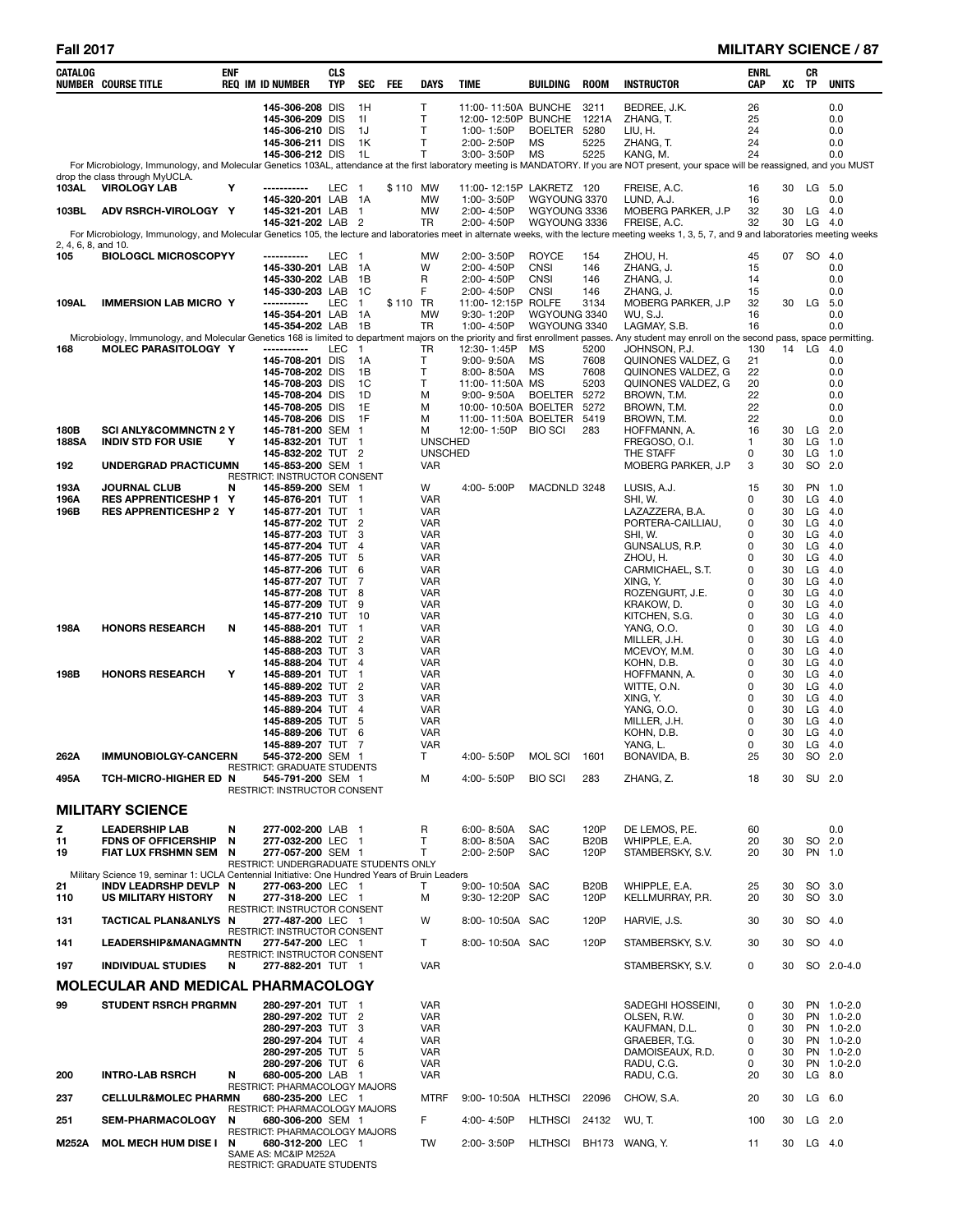### **Fall 2017 MILITARY SCIENCE / 87**

| CATALOG             | <b>NUMBER COURSE TITLE</b>                                                                     | <b>ENF</b> | <b>REQ IM ID NUMBER</b>                                                  | <b>CLS</b><br>TYP | SEC                              | FEE      | DAYS                             | TIME |                                   | <b>BUILDING</b>                                              | <b>ROOM</b>           | <b>INSTRUCTOR</b>                                                                                                                                                                                              | <b>ENRL</b><br>CAP | xс       | CR<br><b>TP</b> | <b>UNITS</b>             |
|---------------------|------------------------------------------------------------------------------------------------|------------|--------------------------------------------------------------------------|-------------------|----------------------------------|----------|----------------------------------|------|-----------------------------------|--------------------------------------------------------------|-----------------------|----------------------------------------------------------------------------------------------------------------------------------------------------------------------------------------------------------------|--------------------|----------|-----------------|--------------------------|
|                     |                                                                                                |            | 145-306-208 DIS<br>145-306-209 DIS<br>145-306-210 DIS                    |                   | 1H<br>11<br>1J                   |          | Т<br>т<br>Т                      |      | 1:00-1:50P                        | 11:00-11:50A BUNCHE<br>12:00-12:50P BUNCHE<br><b>BOELTER</b> | 3211<br>1221A<br>5280 | BEDREE, J.K.<br>ZHANG, T.<br>LIU, H.                                                                                                                                                                           | 26<br>25<br>24     |          |                 | 0.0<br>0.0<br>0.0        |
|                     |                                                                                                |            | 145-306-211 DIS                                                          |                   | 1K                               |          | T                                |      | 2:00-2:50P                        | MS                                                           | 5225                  | ZHANG, T.                                                                                                                                                                                                      | 24                 |          |                 | 0.0                      |
|                     |                                                                                                |            | 145-306-212 DIS                                                          |                   | 1L                               |          | т                                |      | 3:00-3:50P                        | MS                                                           | 5225                  | KANG, M.<br>For Microbiology, Immunology, and Molecular Genetics 103AL, attendance at the first laboratory meeting is MANDATORY. If you are NOT present, your space will be reassigned, and you MUST           | 24                 |          |                 | 0.0                      |
| 103AL               | drop the class through MyUCLA.<br><b>VIROLOGY LAB</b>                                          | Υ          | -----------                                                              | LEC               | - 1                              | \$110 MW |                                  |      |                                   | 11:00-12:15P LAKRETZ 120                                     |                       | FREISE, A.C.                                                                                                                                                                                                   | 16                 | 30       |                 | $LG$ 5.0                 |
|                     |                                                                                                |            | 145-320-201 LAB                                                          |                   | - 1A                             |          | MW                               |      | 1:00-3:50P                        | WGYOUNG 3370                                                 |                       | LUND, A.J.                                                                                                                                                                                                     | 16                 |          |                 | 0.0                      |
| 103BL               | ADV RSRCH-VIROLOGY Y                                                                           |            | 145-321-201 LAB<br>145-321-202 LAB                                       |                   | -1<br>$\overline{\phantom{0}}^2$ |          | <b>MW</b><br>TR                  |      | 2:00-4:50P<br>2:00-4:50P          | WGYOUNG 3336<br>WGYOUNG 3336                                 |                       | MOBERG PARKER, J.P<br>FREISE, A.C.                                                                                                                                                                             | 32<br>32           | 30<br>30 | LG<br>LG        | - 4.0<br>4.0             |
| 2, 4, 6, 8, and 10. |                                                                                                |            |                                                                          |                   |                                  |          |                                  |      |                                   |                                                              |                       | For Microbiology, Immunology, and Molecular Genetics 105, the lecture and laboratories meet in alternate weeks, with the lecture meeting weeks 1, 3, 5, 7, and 9 and laboratories meeting weeks                |                    |          |                 |                          |
| 105                 | <b>BIOLOGCL MICROSCOPYY</b>                                                                    |            | -----------                                                              | LEC 1             |                                  |          | <b>MW</b>                        |      | 2:00-3:50P                        | <b>ROYCE</b>                                                 | 154                   | ZHOU, H.                                                                                                                                                                                                       | 45                 |          | 07 SO 4.0       |                          |
|                     |                                                                                                |            | 145-330-201 LAB<br>145-330-202 LAB                                       |                   | 1A<br>1B                         |          | W<br>R                           |      | 2:00-4:50P<br>2:00-4:50P          | <b>CNSI</b><br><b>CNSI</b>                                   | 146<br>146            | ZHANG, J.<br>ZHANG, J.                                                                                                                                                                                         | 15<br>14           |          |                 | 0.0<br>0.0               |
| 109AL               | <b>IMMERSION LAB MICRO Y</b>                                                                   |            | 145-330-203 LAB<br>-----------                                           | LEC               | - 1C<br>$\overline{1}$           | \$110 TR | F                                |      | 2:00-4:50P                        | <b>CNSI</b><br>11:00-12:15P ROLFE                            | 146<br>3134           | ZHANG, J.<br>MOBERG PARKER, J.P                                                                                                                                                                                | 15<br>32           | 30       | LG              | 0.0<br>5.0               |
|                     |                                                                                                |            | 145-354-201 LAB                                                          |                   | 1A                               |          | <b>MW</b>                        |      | 9:30-1:20P                        | WGYOUNG 3340                                                 |                       | WU, S.J.                                                                                                                                                                                                       | 16                 |          |                 | 0.0                      |
|                     |                                                                                                |            | 145-354-202 LAB                                                          |                   | 1B                               |          | TR                               |      | 1:00-4:50P                        | WGYOUNG 3340                                                 |                       | LAGMAY, S.B.<br>Microbiology, Immunology, and Molecular Genetics 168 is limited to department majors on the priority and first enrollment passes. Any student may enroll on the second pass, space permitting. | 16                 |          |                 | 0.0                      |
| 168                 | <b>MOLEC PARASITOLOGY Y</b>                                                                    |            | -----------<br>145-708-201 DIS                                           | LEC               | $\mathbf{1}$<br>1A               |          | TR<br>т                          |      | 12:30-1:45P<br>$9:00 - 9:50A$     | ΜS<br>MS                                                     | 5200<br>7608          | JOHNSON, P.J.<br>QUINONES VALDEZ, G                                                                                                                                                                            | 130<br>21          |          | 14 LG           | 4.0<br>0.0               |
|                     |                                                                                                |            | 145-708-202 DIS                                                          |                   | 1B                               |          | Т                                |      | $8:00 - 8:50A$                    | ΜS                                                           | 7608                  | QUINONES VALDEZ, G                                                                                                                                                                                             | 22                 |          |                 | 0.0                      |
|                     |                                                                                                |            | 145-708-203 DIS<br>145-708-204 DIS                                       |                   | 1C<br>1D                         |          | Т<br>М                           |      | 11:00-11:50A MS<br>$9:00 - 9:50A$ | <b>BOELTER</b>                                               | 5203<br>5272          | QUINONES VALDEZ, G<br>BROWN, T.M.                                                                                                                                                                              | 20<br>22           |          |                 | 0.0<br>0.0               |
|                     |                                                                                                |            | 145-708-205 DIS<br>145-708-206 DIS                                       |                   | 1E<br>1F                         |          | M<br>м                           |      |                                   | 10:00-10:50A BOELTER<br>11:00-11:50A BOELTER                 | 5272<br>5419          | BROWN, T.M.                                                                                                                                                                                                    | 22<br>22           |          |                 | 0.0<br>0.0               |
| 180B                | <b>SCI ANLY&amp;COMMNCTN 2 Y</b>                                                               |            | 145-781-200 SEM 1                                                        |                   |                                  |          | M                                |      | 12:00-1:50P                       | <b>BIO SCI</b>                                               | 283                   | BROWN, T.M.<br>HOFFMANN, A.                                                                                                                                                                                    | 16                 | 30       | LG              | 2.0                      |
| 188SA               | <b>INDIV STD FOR USIE</b>                                                                      | Υ          | 145-832-201 TUT 1<br>145-832-202 TUT 2                                   |                   |                                  |          | <b>UNSCHED</b><br><b>UNSCHED</b> |      |                                   |                                                              |                       | FREGOSO, O.I.<br>THE STAFF                                                                                                                                                                                     | 1<br>0             | 30<br>30 | LG<br>LG        | 1.0<br>1.0               |
| 192                 | <b>UNDERGRAD PRACTICUMN</b>                                                                    |            | 145-853-200 SEM 1                                                        |                   |                                  |          | VAR                              |      |                                   |                                                              |                       | MOBERG PARKER, J.P                                                                                                                                                                                             | 3                  | 30       | SO              | 2.0                      |
| 193A                | <b>JOURNAL CLUB</b>                                                                            | N          | RESTRICT: INSTRUCTOR CONSENT<br>145-859-200 SEM 1                        |                   |                                  |          | w                                |      | 4:00-5:00P                        | MACDNLD 3248                                                 |                       | LUSIS, A.J.                                                                                                                                                                                                    | 15                 | 30       |                 | PN 1.0                   |
| 196A<br>196B        | <b>RES APPRENTICESHP 1 Y</b><br><b>RES APPRENTICESHP 2 Y</b>                                   |            | 145-876-201 TUT 1<br>145-877-201 TUT 1                                   |                   |                                  |          | <b>VAR</b><br><b>VAR</b>         |      |                                   |                                                              |                       | SHI, W.<br>LAZAZZERA, B.A.                                                                                                                                                                                     | 0<br>0             | 30<br>30 | LG              | 4.0<br>$LG$ 4.0          |
|                     |                                                                                                |            | 145-877-202 TUT                                                          |                   | $\overline{2}$                   |          | <b>VAR</b>                       |      |                                   |                                                              |                       | PORTERA-CAILLIAU,                                                                                                                                                                                              | 0                  | 30       | LG              | 4.0                      |
|                     |                                                                                                |            | 145-877-203 TUT 3<br>145-877-204 TUT                                     |                   | $\overline{4}$                   |          | <b>VAR</b><br><b>VAR</b>         |      |                                   |                                                              |                       | SHI, W.<br>GUNSALUS, R.P.                                                                                                                                                                                      | 0<br>0             | 30<br>30 | LG<br>LG        | 4.0<br>4.0               |
|                     |                                                                                                |            | 145-877-205 TUT<br>145-877-206 TUT                                       |                   | -5<br>6                          |          | <b>VAR</b><br><b>VAR</b>         |      |                                   |                                                              |                       | ZHOU, H.<br>CARMICHAEL, S.T.                                                                                                                                                                                   | 0<br>0             | 30<br>30 | LG              | $LG$ 4.0<br>4.0          |
|                     |                                                                                                |            | 145-877-207 TUT 7                                                        |                   |                                  |          | <b>VAR</b>                       |      |                                   |                                                              |                       | XING, Y.                                                                                                                                                                                                       | 0                  | 30       | LG              | 4.0                      |
|                     |                                                                                                |            | 145-877-208 TUT<br>145-877-209 TUT                                       |                   | 8<br>-9                          |          | <b>VAR</b><br><b>VAR</b>         |      |                                   |                                                              |                       | ROZENGURT, J.E.<br>KRAKOW, D.                                                                                                                                                                                  | $\Omega$<br>0      | 30<br>30 | LG              | 4.0<br>$LG$ 4.0          |
| 198A                | <b>HONORS RESEARCH</b>                                                                         |            | 145-877-210 TUT<br>145-888-201 TUT                                       |                   | 10<br>- 1                        |          | <b>VAR</b><br><b>VAR</b>         |      |                                   |                                                              |                       | KITCHEN, S.G.                                                                                                                                                                                                  | 0<br>0             | 30<br>30 | LG<br>LG        | 4.0<br>4.0               |
|                     |                                                                                                | N          | 145-888-202 TUT 2                                                        |                   |                                  |          | <b>VAR</b>                       |      |                                   |                                                              |                       | YANG, O.O.<br>MILLER, J.H.                                                                                                                                                                                     | 0                  | 30       | LG              | 4.0                      |
|                     |                                                                                                |            | 145-888-203 TUT<br>145-888-204 TUT                                       |                   | 3<br>$\overline{4}$              |          | <b>VAR</b><br><b>VAR</b>         |      |                                   |                                                              |                       | MCEVOY, M.M.<br>KOHN, D.B.                                                                                                                                                                                     | 0<br>0             | 30<br>30 | LG<br>LG        | 4.0<br>4.0               |
| 198B                | <b>HONORS RESEARCH</b>                                                                         | Υ          | 145-889-201 TUT                                                          |                   | - 1                              |          | <b>VAR</b>                       |      |                                   |                                                              |                       | HOFFMANN, A.                                                                                                                                                                                                   | 0                  | 30       | LG              | 4.0                      |
|                     |                                                                                                |            | 145-889-202 TUT 2<br>145-889-203 TUT                                     |                   | 3                                |          | <b>VAR</b><br><b>VAR</b>         |      |                                   |                                                              |                       | WITTE, O.N.<br>XING, Y.                                                                                                                                                                                        | 0<br>0             | 30<br>30 | LG              | 4.0<br>$LG$ 4.0          |
|                     |                                                                                                |            | 145-889-204 TUT<br>145-889-205 TUT 5                                     |                   | $\overline{4}$                   |          | <b>VAR</b><br>VAR                |      |                                   |                                                              |                       | YANG, O.O.<br>MILLER, J.H.                                                                                                                                                                                     | 0<br>0             | 30<br>30 | LG<br>LG        | 4.0<br>4.0               |
|                     |                                                                                                |            | 145-889-206 TUT                                                          |                   | 6                                |          | <b>VAR</b>                       |      |                                   |                                                              |                       | KOHN, D.B.                                                                                                                                                                                                     | $\Omega$           | 30       | LG              | -4.0                     |
| 262A                | <b>IMMUNOBIOLGY-CANCERN</b>                                                                    |            | 145-889-207 TUT 7<br>545-372-200 SEM 1                                   |                   |                                  |          | <b>VAR</b><br>Т                  |      | 4:00-5:50P                        | MOL SCI 1601                                                 |                       | YANG, L.<br>Bonavida, B.                                                                                                                                                                                       | 0<br>25            | 30<br>30 | LG              | 4.0<br>SO 2.0            |
| 495A                | TCH-MICRO-HIGHER ED N                                                                          |            | RESTRICT: GRADUATE STUDENTS<br>545-791-200 SEM 1                         |                   |                                  |          | м                                |      | 4:00-5:50P                        | <b>BIO SCI</b>                                               | 283                   | ZHANG, Z.                                                                                                                                                                                                      | 18                 | 30       |                 | SU 2.0                   |
|                     |                                                                                                |            | RESTRICT: INSTRUCTOR CONSENT                                             |                   |                                  |          |                                  |      |                                   |                                                              |                       |                                                                                                                                                                                                                |                    |          |                 |                          |
|                     | <b>MILITARY SCIENCE</b>                                                                        |            |                                                                          |                   |                                  |          |                                  |      |                                   |                                                              |                       |                                                                                                                                                                                                                |                    |          |                 |                          |
| z                   | <b>LEADERSHIP LAB</b>                                                                          | N          | 277-002-200 LAB 1                                                        |                   |                                  |          | R                                |      | 6:00-8:50A                        | <b>SAC</b>                                                   | 120P                  | DE LEMOS, P.E.                                                                                                                                                                                                 | 60                 |          |                 | 0.0                      |
| 11<br>19            | <b>FDNS OF OFFICERSHIP</b><br>FIAT LUX FRSHMN SEM                                              | N<br>N     | 277-032-200 LEC 1<br>277-057-200 SEM 1                                   |                   |                                  |          | $\mathsf{T}$<br>T                |      | $8:00 - 8:50A$<br>2:00-2:50P      | <b>SAC</b><br><b>SAC</b>                                     | <b>B20B</b><br>120P   | WHIPPLE, E.A.<br>STAMBERSKY, S.V.                                                                                                                                                                              | 20<br>20           | 30<br>30 | SO              | 2.0<br>PN 1.0            |
|                     | Military Science 19, seminar 1: UCLA Centennial Initiative: One Hundred Years of Bruin Leaders |            | RESTRICT: UNDERGRADUATE STUDENTS ONLY                                    |                   |                                  |          |                                  |      |                                   |                                                              |                       |                                                                                                                                                                                                                |                    |          |                 |                          |
| 21                  | INDV LEADRSHP DEVLP N                                                                          |            | 277-063-200 LEC 1                                                        |                   |                                  |          | т                                |      | 9:00-10:50A SAC                   |                                                              | <b>B20B</b>           | WHIPPLE, E.A.                                                                                                                                                                                                  | 25                 | 30       |                 | SO 3.0                   |
| 110                 | US MILITARY HISTORY                                                                            | N          | 277-318-200 LEC 1<br>RESTRICT: INSTRUCTOR CONSENT                        |                   |                                  |          | м                                |      | 9:30-12:20P                       | SAC                                                          | 120P                  | KELLMURRAY, P.R.                                                                                                                                                                                               | 20                 | 30       | SO              | 3.0                      |
| 131                 | TACTICAL PLAN&ANLYS N                                                                          |            | 277-487-200 LEC 1<br>RESTRICT: INSTRUCTOR CONSENT                        |                   |                                  |          | W                                |      | 8:00-10:50A SAC                   |                                                              | 120P                  | HARVIE, J.S.                                                                                                                                                                                                   | 30                 | 30       |                 | SO 4.0                   |
| 141                 | <b>LEADERSHIP&amp;MANAGMNTN</b>                                                                |            | 277-547-200 LEC 1                                                        |                   |                                  |          | T                                |      | 8:00-10:50A SAC                   |                                                              | 120P                  | STAMBERSKY, S.V.                                                                                                                                                                                               | 30                 | 30       |                 | SO 4.0                   |
| 197                 | <b>INDIVIDUAL STUDIES</b>                                                                      | N          | RESTRICT: INSTRUCTOR CONSENT<br>277-882-201 TUT 1                        |                   |                                  |          | <b>VAR</b>                       |      |                                   |                                                              |                       | STAMBERSKY, S.V.                                                                                                                                                                                               | $\Omega$           | 30       |                 | SO 2.0-4.0               |
|                     | <b>MOLECULAR AND MEDICAL PHARMACOLOGY</b>                                                      |            |                                                                          |                   |                                  |          |                                  |      |                                   |                                                              |                       |                                                                                                                                                                                                                |                    |          |                 |                          |
| 99                  | <b>STUDENT RSRCH PRGRMN</b>                                                                    |            | 280-297-201 TUT 1                                                        |                   |                                  |          | <b>VAR</b>                       |      |                                   |                                                              |                       | SADEGHI HOSSEINI,                                                                                                                                                                                              | 0                  | 30       |                 | PN 1.0-2.0               |
|                     |                                                                                                |            | 280-297-202 TUT 2<br>280-297-203 TUT 3                                   |                   |                                  |          | <b>VAR</b><br><b>VAR</b>         |      |                                   |                                                              |                       | OLSEN, R.W.<br>KAUFMAN, D.L.                                                                                                                                                                                   | 0<br>0             | 30<br>30 |                 | PN 1.0-2.0<br>PN 1.0-2.0 |
|                     |                                                                                                |            | 280-297-204 TUT 4                                                        |                   |                                  |          | <b>VAR</b>                       |      |                                   |                                                              |                       | GRAEBER, T.G.                                                                                                                                                                                                  | 0                  | 30       |                 | PN 1.0-2.0               |
|                     |                                                                                                |            | 280-297-205 TUT 5<br>280-297-206 TUT 6                                   |                   |                                  |          | <b>VAR</b><br><b>VAR</b>         |      |                                   |                                                              |                       | DAMOISEAUX, R.D.<br>RADU, C.G.                                                                                                                                                                                 | 0<br>$\Omega$      | 30<br>30 |                 | PN 1.0-2.0<br>PN 1.0-2.0 |
| 200                 | <b>INTRO-LAB RSRCH</b>                                                                         | N          | 680-005-200 LAB                                                          |                   | - 1                              |          | <b>VAR</b>                       |      |                                   |                                                              |                       | RADU, C.G.                                                                                                                                                                                                     | 20                 | 30       |                 | LG 8.0                   |
| 237                 | <b>CELLULR&amp;MOLEC PHARMN</b>                                                                |            | RESTRICT: PHARMACOLOGY MAJORS<br>680-235-200 LEC 1                       |                   |                                  |          | <b>MTRF</b>                      |      |                                   | 9:00-10:50A HLTHSCI                                          | 22096                 | CHOW, S.A.                                                                                                                                                                                                     | 20                 | 30       |                 | LG 6.0                   |
| 251                 | SEM-PHARMACOLOGY                                                                               | N          | RESTRICT: PHARMACOLOGY MAJORS<br>680-306-200 SEM 1                       |                   |                                  |          | F                                |      | 4:00-4:50P                        | <b>HLTHSCI</b>                                               | 24132                 | WU, T.                                                                                                                                                                                                         | 100                | 30       |                 | LG 2.0                   |
|                     |                                                                                                |            | RESTRICT: PHARMACOLOGY MAJORS                                            |                   |                                  |          |                                  |      |                                   |                                                              |                       |                                                                                                                                                                                                                |                    |          |                 |                          |
| <b>M252A</b>        | <b>MOL MECH HUM DISE I</b>                                                                     | N          | 680-312-200 LEC 1<br>SAME AS: MC&IP M252A<br>RESTRICT: GRADUATE STUDENTS |                   |                                  |          | TW                               |      | 2:00-3:50P                        | <b>HLTHSCI</b>                                               |                       | BH173 WANG, Y.                                                                                                                                                                                                 | 11                 | 30       |                 | $LG$ 4.0                 |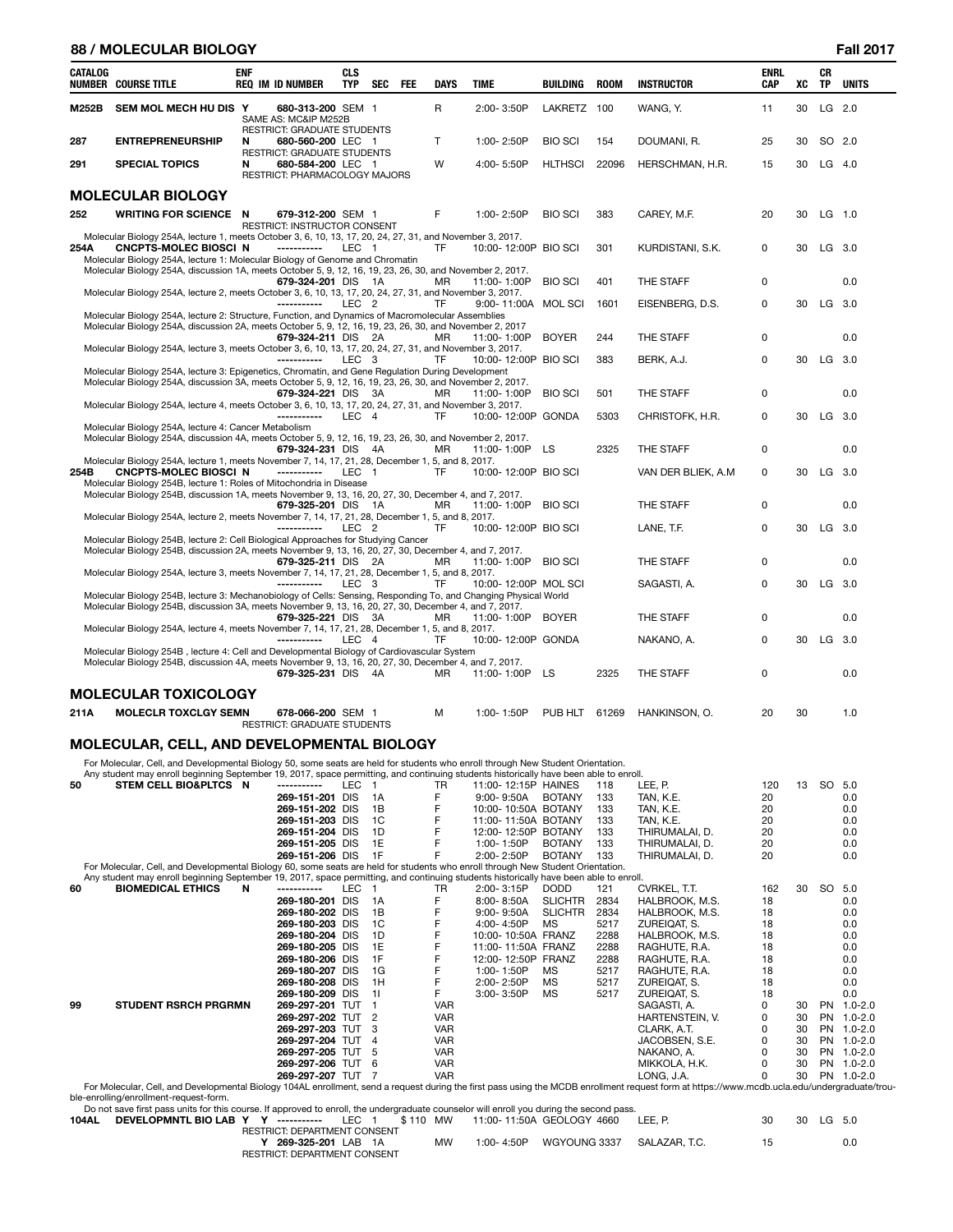|                | <b>88 / MOLECULAR BIOLOGY</b>                                                                                                                                                                                            |     |                                                     |                                    |                |                 |            |              |                                            |                                  |              |                                  |                           |    |          | <b>Fall 2017</b> |
|----------------|--------------------------------------------------------------------------------------------------------------------------------------------------------------------------------------------------------------------------|-----|-----------------------------------------------------|------------------------------------|----------------|-----------------|------------|--------------|--------------------------------------------|----------------------------------|--------------|----------------------------------|---------------------------|----|----------|------------------|
| <b>CATALOG</b> | <b>NUMBER COURSE TITLE</b>                                                                                                                                                                                               | ENF | <b>REQ IM ID NUMBER</b>                             | <b>CLS</b><br><b>TYP</b>           |                | <b>SEC</b>      | <b>FEE</b> | <b>DAYS</b>  | <b>TIME</b>                                | <b>BUILDING</b>                  | <b>ROOM</b>  | <b>INSTRUCTOR</b>                | <b>ENRL</b><br><b>CAP</b> | XC | CR<br>TP | <b>UNITS</b>     |
| M252B          | SEM MOL MECH HU DIS Y                                                                                                                                                                                                    |     | SAME AS: MC&IP M252B<br>RESTRICT: GRADUATE STUDENTS | 680-313-200 SEM 1                  |                |                 |            | $\mathsf{R}$ | 2:00-3:50P                                 | LAKRETZ 100                      |              | WANG, Y.                         | 11                        | 30 |          | LG 2.0           |
| 287            | <b>ENTREPRENEURSHIP</b>                                                                                                                                                                                                  | N   | <b>RESTRICT: GRADUATE STUDENTS</b>                  | 680-560-200 LEC 1                  |                |                 |            | $\mathsf{T}$ | 1:00-2:50P                                 | <b>BIO SCI</b>                   | 154          | DOUMANI, R.                      | 25                        | 30 | SO 2.0   |                  |
| 291            | <b>SPECIAL TOPICS</b>                                                                                                                                                                                                    | N   | RESTRICT: PHARMACOLOGY MAJORS                       | 680-584-200 LEC 1                  |                |                 |            | W            | 4:00-5:50P                                 | <b>HLTHSCI</b>                   | 22096        | HERSCHMAN, H.R.                  | 15                        | 30 | $LG$ 4.0 |                  |
|                | <b>MOLECULAR BIOLOGY</b>                                                                                                                                                                                                 |     |                                                     |                                    |                |                 |            |              |                                            |                                  |              |                                  |                           |    |          |                  |
| 252            | <b>WRITING FOR SCIENCE N</b>                                                                                                                                                                                             |     | RESTRICT: INSTRUCTOR CONSENT                        | 679-312-200 SEM 1                  |                |                 |            | F            | 1:00-2:50P                                 | <b>BIO SCI</b>                   | 383          | CAREY, M.F.                      | 20                        | 30 | $LG$ 1.0 |                  |
| 254A           | Molecular Biology 254A, lecture 1, meets October 3, 6, 10, 13, 17, 20, 24, 27, 31, and November 3, 2017.<br>CNCPTS-MOLEC BIOSCI N                                                                                        |     | -----------                                         |                                    | LEC 1          |                 |            | TF           | 10:00-12:00P BIO SCI                       |                                  | 301          | KURDISTANI, S.K.                 | 0                         | 30 | LG 3.0   |                  |
|                | Molecular Biology 254A, lecture 1: Molecular Biology of Genome and Chromatin<br>Molecular Biology 254A, discussion 1A, meets October 5, 9, 12, 16, 19, 23, 26, 30, and November 2, 2017.                                 |     |                                                     |                                    |                |                 |            | <b>MR</b>    |                                            | <b>BIO SCI</b>                   | 401          | THE STAFF                        | 0                         |    |          | 0.0              |
|                | Molecular Biology 254A, lecture 2, meets October 3, 6, 10, 13, 17, 20, 24, 27, 31, and November 3, 2017.                                                                                                                 |     | ------------                                        | 679-324-201 DIS 1A<br>LEC.         | -2             |                 |            | TF           | 11:00-1:00P<br>9:00-11:00A MOL SCI         |                                  | 1601         | EISENBERG, D.S.                  | 0                         | 30 | LG 3.0   |                  |
|                | Molecular Biology 254A, lecture 2: Structure, Function, and Dynamics of Macromolecular Assemblies<br>Molecular Biology 254A, discussion 2A, meets October 5, 9, 12, 16, 19, 23, 26, 30, and November 2, 2017             |     |                                                     |                                    |                |                 |            |              |                                            |                                  |              |                                  |                           |    |          |                  |
|                | Molecular Biology 254A, lecture 3, meets October 3, 6, 10, 13, 17, 20, 24, 27, 31, and November 3, 2017.                                                                                                                 |     |                                                     | 679-324-211 DIS 2A                 |                |                 |            | MR           | 11:00-1:00P                                | <b>BOYER</b>                     | 244          | THE STAFF                        | 0                         |    |          | 0.0              |
|                | Molecular Biology 254A, lecture 3: Epigenetics, Chromatin, and Gene Regulation During Development<br>Molecular Biology 254A, discussion 3A, meets October 5, 9, 12, 16, 19, 23, 26, 30, and November 2, 2017.            |     | ------------                                        | LEC                                | 3              |                 |            | TF           | 10:00-12:00P BIO SCI                       |                                  | 383          | BERK, A.J.                       | 0                         | 30 | LG 3.0   |                  |
|                | Molecular Biology 254A, lecture 4, meets October 3, 6, 10, 13, 17, 20, 24, 27, 31, and November 3, 2017.                                                                                                                 |     |                                                     | 679-324-221 DIS                    |                | 3A              |            | МR           | 11:00-1:00P                                | <b>BIO SCI</b>                   | 501          | THE STAFF                        | 0                         |    |          | 0.0              |
|                | Molecular Biology 254A, lecture 4: Cancer Metabolism                                                                                                                                                                     |     | -----------                                         | LEC                                | $\overline{4}$ |                 |            | TF           | 10:00-12:00P GONDA                         |                                  | 5303         | CHRISTOFK, H.R.                  | 0                         | 30 | LG 3.0   |                  |
|                | Molecular Biology 254A, discussion 4A, meets October 5, 9, 12, 16, 19, 23, 26, 30, and November 2, 2017.                                                                                                                 |     |                                                     | 679-324-231 DIS                    | 4A             |                 |            | МR           | 11:00-1:00P                                | LS                               | 2325         | THE STAFF                        | 0                         |    |          | 0.0              |
| 254B           | Molecular Biology 254A, lecture 1, meets November 7, 14, 17, 21, 28, December 1, 5, and 8, 2017.<br>CNCPTS-MOLEC BIOSCI N<br>Molecular Biology 254B, lecture 1: Roles of Mitochondria in Disease                         |     | -----------                                         | LEC                                |                |                 |            | TF           | 10:00-12:00P BIO SCI                       |                                  |              | VAN DER BLIEK, A.M.              | 0                         | 30 | LG 3.0   |                  |
|                | Molecular Biology 254B, discussion 1A, meets November 9, 13, 16, 20, 27, 30, December 4, and 7, 2017.                                                                                                                    |     |                                                     | 679-325-201 DIS                    |                | 1A              |            | МR           | 11:00-1:00P                                | <b>BIO SCI</b>                   |              | THE STAFF                        | 0                         |    |          | 0.0              |
|                | Molecular Biology 254A, lecture 2, meets November 7, 14, 17, 21, 28, December 1, 5, and 8, 2017.                                                                                                                         |     | ------------                                        | LEC.                               | -2             |                 |            | TF           | 10:00-12:00P BIO SCI                       |                                  |              | LANE, T.F.                       | 0                         | 30 | LG 3.0   |                  |
|                | Molecular Biology 254B, lecture 2: Cell Biological Approaches for Studying Cancer<br>Molecular Biology 254B, discussion 2A, meets November 9, 13, 16, 20, 27, 30, December 4, and 7, 2017.                               |     |                                                     | 679-325-211 DIS 2A                 |                |                 |            | МR           | 11:00-1:00P                                | <b>BIO SCI</b>                   |              | THE STAFF                        | 0                         |    |          | 0.0              |
|                | Molecular Biology 254A, lecture 3, meets November 7, 14, 17, 21, 28, December 1, 5, and 8, 2017.                                                                                                                         |     |                                                     | LEC                                | -3             |                 |            | TF           | 10:00-12:00P MOL SCI                       |                                  |              | SAGASTI, A.                      | 0                         | 30 | LG 3.0   |                  |
|                | Molecular Biology 254B, lecture 3: Mechanobiology of Cells: Sensing, Responding To, and Changing Physical World<br>Molecular Biology 254B, discussion 3A, meets November 9, 13, 16, 20, 27, 30, December 4, and 7, 2017. |     |                                                     |                                    |                |                 |            |              |                                            |                                  |              |                                  |                           |    |          |                  |
|                | Molecular Biology 254A, lecture 4, meets November 7, 14, 17, 21, 28, December 1, 5, and 8, 2017.                                                                                                                         |     |                                                     | 679-325-221 DIS                    |                | 3A              |            | ΜR           | 11:00-1:00P                                | <b>BOYER</b>                     |              | THE STAFF                        | 0                         |    |          | 0.0              |
|                | Molecular Biology 254B, lecture 4: Cell and Developmental Biology of Cardiovascular System<br>Molecular Biology 254B, discussion 4A, meets November 9, 13, 16, 20, 27, 30, December 4, and 7, 2017.                      |     |                                                     | LEC.                               | 4              |                 |            | TF           | 10:00-12:00P GONDA                         |                                  |              | NAKANO, A.                       | 0                         | 30 | $LG$ 3.0 |                  |
|                |                                                                                                                                                                                                                          |     |                                                     | 679-325-231 DIS                    |                | -4A             |            | ΜR           | 11:00-1:00P                                | LS                               | 2325         | THE STAFF                        | $\mathbf 0$               |    |          | 0.0              |
| 211A           | <b>MOLECULAR TOXICOLOGY</b><br><b>MOLECLR TOXCLGY SEMN</b>                                                                                                                                                               |     |                                                     | 678-066-200 SEM 1                  |                |                 |            | м            | 1:00-1:50P                                 | PUB HLT                          | 61269        | HANKINSON, O.                    | 20                        | 30 |          | 1.0              |
|                |                                                                                                                                                                                                                          |     | RESTRICT: GRADUATE STUDENTS                         |                                    |                |                 |            |              |                                            |                                  |              |                                  |                           |    |          |                  |
|                | MOLECULAR, CELL, AND DEVELOPMENTAL BIOLOGY<br>For Molecular, Cell, and Developmental Biology 50, some seats are held for students who enroll through New Student Orientation.                                            |     |                                                     |                                    |                |                 |            |              |                                            |                                  |              |                                  |                           |    |          |                  |
| 50             | Any student may enroll beginning September 19, 2017, space permitting, and continuing students historically have been able to enroll.<br>STEM CELL BIO&PLTCS N                                                           |     | -----------                                         | LEC                                | $\overline{1}$ |                 |            | TR           | 11:00-12:15P HAINES                        |                                  | 118          | LEE, P.                          | 120                       | 13 | SO       | 5.0              |
|                |                                                                                                                                                                                                                          |     |                                                     | 269-151-201 DIS<br>269-151-202 DIS |                | 1A<br>1B        |            | F<br>F       | $9:00 - 9:50A$                             | <b>BOTANY</b>                    | 133<br>133   | TAN, K.E.                        | 20<br>20                  |    |          | 0.0<br>0.0       |
|                |                                                                                                                                                                                                                          |     |                                                     | 269-151-203 DIS                    |                | 1C              |            | F            | 10:00-10:50A BOTANY<br>11:00-11:50A BOTANY |                                  | 133          | TAN, K.E.<br>TAN, K.E.           | 20                        |    |          | 0.0              |
|                |                                                                                                                                                                                                                          |     |                                                     | 269-151-204 DIS                    |                | 1D              |            | F            | 12:00-12:50P BOTANY                        |                                  | 133          | THIRUMALAI, D.                   | 20                        |    |          | 0.0              |
|                |                                                                                                                                                                                                                          |     |                                                     | 269-151-205 DIS                    |                | 1E              |            | F            | 1:00-1:50P                                 | <b>BOTANY</b>                    | 133          | THIRUMALAI, D.                   | 20                        |    |          | 0.0              |
|                | For Molecular, Cell, and Developmental Biology 60, some seats are held for students who enroll through New Student Orientation.                                                                                          |     |                                                     | 269-151-206 DIS                    |                | 1F              |            | F            | 2:00-2:50P                                 | <b>BOTANY</b>                    | 133          | THIRUMALAI, D.                   | 20                        |    |          | 0.0              |
|                | Any student may enroll beginning September 19, 2017, space permitting, and continuing students historically have been able to enroll.                                                                                    |     |                                                     |                                    |                |                 |            |              |                                            |                                  |              |                                  |                           |    |          |                  |
| 60             | <b>BIOMEDICAL ETHICS</b>                                                                                                                                                                                                 | N   | -----------                                         | LEC                                | $\overline{1}$ |                 |            | TR           | 2:00-3:15P                                 | <b>DODD</b>                      | 121          | CVRKEL, T.T.                     | 162                       | 30 | SO       | 5.0              |
|                |                                                                                                                                                                                                                          |     |                                                     | 269-180-201 DIS<br>269-180-202 DIS |                | 1A<br>1B        |            | F<br>F       | 8:00-8:50A<br>$9:00 - 9:50A$               | <b>SLICHTR</b><br><b>SLICHTR</b> | 2834<br>2834 | HALBROOK, M.S.<br>HALBROOK, M.S. | 18<br>18                  |    |          | 0.0<br>0.0       |
|                |                                                                                                                                                                                                                          |     |                                                     | <b>000 100 000 DIC</b>             |                | $\overline{10}$ |            |              | $1.00 \t1.50D$                             | M <sub>C</sub>                   | E017         | <b>ZUDEIOAT C</b>                | $\overline{10}$           |    |          | $\sim$ $\sim$    |

|    |                                                                                                                                                                                              | $203 - 100 - 201 - 100$ | $\overline{1}$ |            | <u>U.UU- U.JUM</u> | <b>ULIUI III</b> | ∠∪∪+ | . היותר ושראו ושבאו | 10 |    |           | v.v         |
|----|----------------------------------------------------------------------------------------------------------------------------------------------------------------------------------------------|-------------------------|----------------|------------|--------------------|------------------|------|---------------------|----|----|-----------|-------------|
|    |                                                                                                                                                                                              | 269-180-202 DIS         | - 1B           |            | $9:00 - 9:50A$     | <b>SLICHTR</b>   | 2834 | HALBROOK, M.S.      | 18 |    |           | 0.0         |
|    |                                                                                                                                                                                              | 269-180-203 DIS         | 1C             |            | 4:00-4:50P         | MS.              | 5217 | ZUREIQAT. S.        | 18 |    |           | 0.0         |
|    |                                                                                                                                                                                              | 269-180-204 DIS         | - 1D           |            | 10:00-10:50A FRANZ |                  | 2288 | HALBROOK. M.S.      | 18 |    |           | 0.0         |
|    |                                                                                                                                                                                              | 269-180-205 DIS 1E      |                | F          | 11:00-11:50A FRANZ |                  | 2288 | RAGHUTE, R.A.       | 18 |    |           | 0.0         |
|    |                                                                                                                                                                                              | 269-180-206 DIS         | 1F             |            | 12:00-12:50P FRANZ |                  | 2288 | RAGHUTE, R.A.       | 18 |    |           | 0.0         |
|    |                                                                                                                                                                                              | 269-180-207 DIS         | - 1G           |            | 1:00-1:50P         | MS               | 5217 | RAGHUTE, R.A.       | 18 |    |           | 0.0         |
|    |                                                                                                                                                                                              | 269-180-208 DIS         | - 1H           |            | $2:00 - 2:50P$     | MS.              | 5217 | ZUREIQAT. S.        | 18 |    |           | 0.0         |
|    |                                                                                                                                                                                              | 269-180-209 DIS 11      |                |            | 3:00-3:50P         | <b>MS</b>        | 5217 | ZUREIQAT. S.        | 18 |    |           | 0.0         |
| 99 | <b>STUDENT RSRCH PRGRMN</b>                                                                                                                                                                  | 269-297-201 TUT 1       |                | <b>VAR</b> |                    |                  |      | SAGASTI, A.         |    | 30 | PN        | $1.0 - 2.0$ |
|    |                                                                                                                                                                                              | 269-297-202 TUT 2       |                | <b>VAR</b> |                    |                  |      | HARTENSTEIN, V.     | 0  | 30 | PN        | $1.0 - 2.0$ |
|    |                                                                                                                                                                                              | 269-297-203 TUT 3       |                | <b>VAR</b> |                    |                  |      | CLARK, A.T.         |    | 30 | <b>PN</b> | $1.0 - 2.0$ |
|    |                                                                                                                                                                                              | 269-297-204 TUT 4       |                | <b>VAR</b> |                    |                  |      | JACOBSEN, S.E.      | 0  | 30 | PN        | $1.0 - 2.0$ |
|    |                                                                                                                                                                                              | 269-297-205 TUT 5       |                | <b>VAR</b> |                    |                  |      | NAKANO. A.          |    | 30 | <b>PN</b> | $1.0 - 2.0$ |
|    |                                                                                                                                                                                              | 269-297-206 TUT 6       |                | <b>VAR</b> |                    |                  |      | MIKKOLA, H.K.       |    | 30 | <b>PN</b> | $1.0 - 2.0$ |
|    |                                                                                                                                                                                              | 269-297-207 TUT 7       |                | <b>VAR</b> |                    |                  |      | LONG. J.A.          |    | 30 | PN        | $1.0 - 2.0$ |
|    | For Molecular Cell, and Developmental Biology 104AL enrollment, send a request during the first pass using the MCDB enrollment request form at https://www.mcdb.ucla.edu/undergraduate/trou- |                         |                |            |                    |                  |      |                     |    |    |           |             |

269-297-207 TUT 7<br>
For Molecular, Cell, and Developmental Biology 104AL enrollment, send a request during the first pass using the MCDB enrollment request form at https://www.mcdb.ucla.edu/undergraduate/trou-<br>
Due enrollin

| RESTRICT: DEPARTMENT CONSENT |    |            |                            |  |  |
|------------------------------|----|------------|----------------------------|--|--|
| 269-325-201 LAB 1A           | MW | 1:00-4:50P | WGYOUNG 3337 SALAZAR. T.C. |  |  |
| RESTRICT: DEPARTMENT CONSENT |    |            |                            |  |  |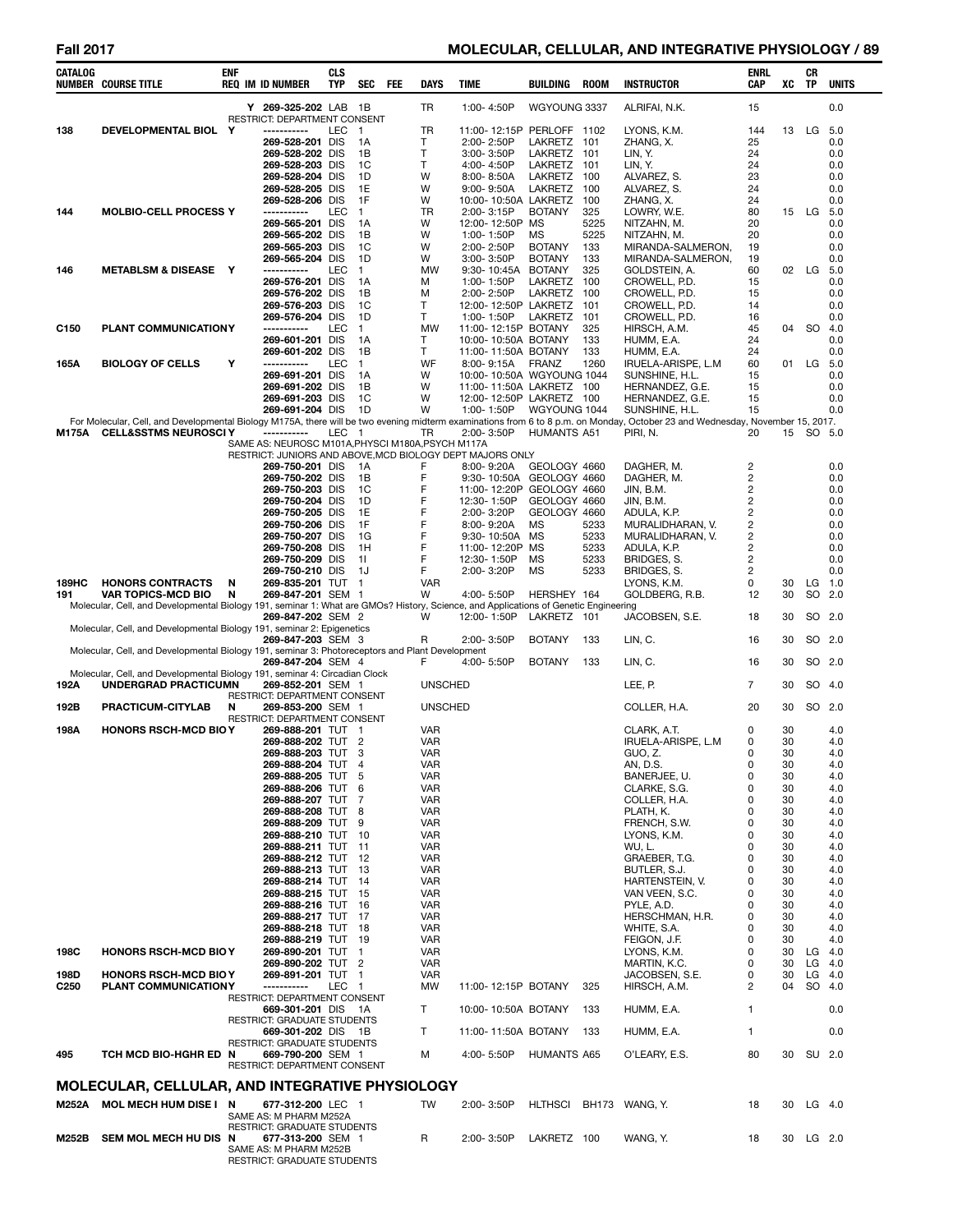# **Fall 2017 MOLECULAR, CELLULAR, AND INTEGRATIVE PHYSIOLOGY / 89**

| CATALOG          | <b>NUMBER COURSE TITLE</b>                                                                                                          | <b>ENF</b> | <b>REQ IM ID NUMBER</b>                                                                                   | <b>CLS</b><br>TYP | SEC                            | FEE | DAYS                     | <b>TIME</b>                                | <b>BUILDING</b>                 | <b>ROOM</b>  | <b>INSTRUCTOR</b>                                                                                                                                                                         | <b>ENRL</b><br><b>CAP</b>    | XC       | CR<br>ΤP  | <b>UNITS</b>         |
|------------------|-------------------------------------------------------------------------------------------------------------------------------------|------------|-----------------------------------------------------------------------------------------------------------|-------------------|--------------------------------|-----|--------------------------|--------------------------------------------|---------------------------------|--------------|-------------------------------------------------------------------------------------------------------------------------------------------------------------------------------------------|------------------------------|----------|-----------|----------------------|
|                  |                                                                                                                                     |            | Y 269-325-202 LAB 1B<br>RESTRICT: DEPARTMENT CONSENT                                                      |                   |                                |     | TR                       | 1:00-4:50P                                 | WGYOUNG 3337                    |              | ALRIFAI, N.K.                                                                                                                                                                             | 15                           |          |           | 0.0                  |
| 138              | DEVELOPMENTAL BIOL Y                                                                                                                |            | -----------                                                                                               | LEC               | $\overline{1}$                 |     | TR                       | 11:00-12:15P PERLOFF 1102                  |                                 |              | LYONS, K.M.                                                                                                                                                                               | 144                          | 13       | LG 5.0    |                      |
|                  |                                                                                                                                     |            | 269-528-201 DIS<br>269-528-202 DIS                                                                        |                   | 1А<br>1B                       |     | т<br>т                   | 2:00-2:50P<br>3:00-3:50P                   | <b>LAKRETZ</b><br>LAKRETZ       | 101<br>101   | ZHANG, X.<br>LIN, Y.                                                                                                                                                                      | 25<br>24                     |          |           | 0.0<br>0.0           |
|                  |                                                                                                                                     |            | 269-528-203 DIS                                                                                           |                   | 1C                             |     | т                        | 4:00-4:50P                                 | LAKRETZ                         | 101          | LIN, Y.                                                                                                                                                                                   | 24                           |          |           | 0.0                  |
|                  |                                                                                                                                     |            | 269-528-204 DIS<br>269-528-205 DIS                                                                        |                   | 1D<br>1E                       |     | W<br>W                   | 8:00-8:50A<br>9:00-9:50A                   | <b>LAKRETZ</b><br>LAKRETZ       | 100<br>100   | ALVAREZ, S.<br>ALVAREZ, S.                                                                                                                                                                | 23<br>24                     |          |           | 0.0<br>0.0           |
| 144              | <b>MOLBIO-CELL PROCESS Y</b>                                                                                                        |            | 269-528-206 DIS<br>-----------                                                                            | LEC               | 1F<br>$\mathbf{1}$             |     | W<br>TR                  | 10:00-10:50A LAKRETZ<br>2:00-3:15P         | <b>BOTANY</b>                   | 100<br>325   | ZHANG, X.<br>LOWRY, W.E.                                                                                                                                                                  | 24<br>80                     |          | 15 LG 5.0 | 0.0                  |
|                  |                                                                                                                                     |            | 269-565-201 DIS                                                                                           |                   | 1А                             |     | W                        | 12:00-12:50P                               | MS                              | 5225         | NITZAHN, M.                                                                                                                                                                               | 20                           |          |           | 0.0                  |
|                  |                                                                                                                                     |            | 269-565-202 DIS<br>269-565-203 DIS                                                                        |                   | 1В<br>1C                       |     | W<br>W                   | 1:00-1:50P<br>2:00-2:50P                   | ΜS<br><b>BOTANY</b>             | 5225<br>133  | NITZAHN, M.<br>MIRANDA-SALMERON,                                                                                                                                                          | 20<br>19                     |          |           | 0.0<br>0.0           |
|                  |                                                                                                                                     |            | 269-565-204 DIS                                                                                           |                   | 1D                             |     | W                        | 3:00-3:50P                                 | <b>BOTANY</b>                   | 133          | MIRANDA-SALMERON,                                                                                                                                                                         | 19                           |          |           | 0.0                  |
| 146              | <b>METABLSM &amp; DISEASE Y</b>                                                                                                     |            | -----------<br>269-576-201 DIS                                                                            | LEC               | $\mathbf{1}$<br>1А             |     | <b>MW</b><br>М           | 9:30-10:45A<br>1:00-1:50P                  | <b>BOTANY</b><br><b>LAKRETZ</b> | 325<br>100   | GOLDSTEIN, A.<br>CROWELL, P.D.                                                                                                                                                            | 60<br>15                     | 02       | LG        | 5.0<br>0.0           |
|                  |                                                                                                                                     |            | 269-576-202 DIS<br>269-576-203 DIS                                                                        |                   | 1B<br>1C                       |     | M<br>Т                   | 2:00-2:50P<br>12:00-12:50P LAKRETZ         | <b>LAKRETZ</b>                  | 100<br>101   | CROWELL, P.D.<br>CROWELL, P.D.                                                                                                                                                            | 15<br>14                     |          |           | 0.0<br>0.0           |
|                  |                                                                                                                                     |            | 269-576-204 DIS                                                                                           |                   | 1D                             |     | T                        | 1:00-1:50P                                 | <b>LAKRETZ</b>                  | 101          | CROWELL, P.D.                                                                                                                                                                             | 16                           |          |           | 0.0                  |
| C <sub>150</sub> | PLANT COMMUNICATIONY                                                                                                                |            | -----------<br>269-601-201 DIS                                                                            | LEC               | 1<br>1А                        |     | <b>MW</b><br>т           | 11:00-12:15P BOTANY<br>10:00-10:50A BOTANY |                                 | 325<br>133   | HIRSCH, A.M.<br>HUMM, E.A.                                                                                                                                                                | 45<br>24                     | 04       | <b>SO</b> | 4.0<br>0.0           |
|                  |                                                                                                                                     |            | 269-601-202 DIS                                                                                           |                   | 1В                             |     | Τ                        | 11:00-11:50A BOTANY                        |                                 | 133          | HUMM, E.A.                                                                                                                                                                                | 24                           |          |           | 0.0                  |
| 165A             | <b>BIOLOGY OF CELLS</b>                                                                                                             | Y          | -----------<br>269-691-201 DIS                                                                            | LEC               | $\mathbf{1}$<br>1А             |     | WF<br>W                  | 8:00-9:15A<br>10:00-10:50A WGYOUNG 1044    | <b>FRANZ</b>                    | 1260         | IRUELA-ARISPE, L.M<br>SUNSHINE, H.L.                                                                                                                                                      | 60<br>15                     | 01       | LG        | 5.0<br>0.0           |
|                  |                                                                                                                                     |            | 269-691-202 DIS                                                                                           |                   | 1B                             |     | W                        | 11:00-11:50A LAKRETZ 100                   |                                 |              | HERNANDEZ, G.E.                                                                                                                                                                           | 15                           |          |           | 0.0                  |
|                  |                                                                                                                                     |            | 269-691-203 DIS<br>269-691-204 DIS                                                                        |                   | 1C<br>1D                       |     | W<br>W                   | 12:00-12:50P LAKRETZ 100<br>1:00-1:50P     | WGYOUNG 1044                    |              | HERNANDEZ, G.E.<br>SUNSHINE, H.L.                                                                                                                                                         | 15<br>15                     |          |           | 0.0<br>0.0           |
| M175A            | <b>CELL&amp;SSTMS NEUROSCI Y</b>                                                                                                    |            | -----------                                                                                               | LEC 1             |                                |     | TR                       | 2:00-3:50P                                 | <b>HUMANTS A51</b>              |              | For Molecular, Cell, and Developmental Biology M175A, there will be two evening midterm examinations from 6 to 8 p.m. on Monday, October 23 and Wednesday, November 15, 2017.<br>PIRI, N. | 20                           | 15       | SO 5.0    |                      |
|                  |                                                                                                                                     |            | SAME AS: NEUROSC M101A.PHYSCI M180A.PSYCH M117A                                                           |                   |                                |     |                          |                                            |                                 |              |                                                                                                                                                                                           |                              |          |           |                      |
|                  |                                                                                                                                     |            | RESTRICT: JUNIORS AND ABOVE, MCD BIOLOGY DEPT MAJORS ONLY<br>269-750-201 DIS                              |                   | 1A                             |     | F                        | 8:00-9:20A                                 | GEOLOGY 4660                    |              | DAGHER, M.                                                                                                                                                                                | 2                            |          |           | 0.0                  |
|                  |                                                                                                                                     |            | 269-750-202 DIS<br>269-750-203 DIS                                                                        |                   | 1В                             |     | F<br>F                   | 9:30-10:50A GEOLOGY 4660                   |                                 |              | DAGHER, M.                                                                                                                                                                                | $\overline{c}$               |          |           | 0.0                  |
|                  |                                                                                                                                     |            | 269-750-204 DIS                                                                                           |                   | 1C<br>1D                       |     | F                        | 11:00-12:20P<br>12:30-1:50P                | GEOLOGY 4660<br>GEOLOGY 4660    |              | JIN, B.M.<br>JIN, B.M.                                                                                                                                                                    | 2<br>2                       |          |           | 0.0<br>0.0           |
|                  |                                                                                                                                     |            | 269-750-205 DIS<br>269-750-206 DIS                                                                        |                   | 1E<br>1F                       |     | F<br>F                   | 2:00-3:20P<br>8:00-9:20A                   | GEOLOGY 4660<br>MS              | 5233         | ADULA, K.P.<br>MURALIDHARAN, V.                                                                                                                                                           | 2<br>$\overline{\mathbf{c}}$ |          |           | 0.0<br>0.0           |
|                  |                                                                                                                                     |            | 269-750-207 DIS                                                                                           |                   | 1G                             |     | F                        | 9:30-10:50A                                | MS                              | 5233         | MURALIDHARAN, V.                                                                                                                                                                          | $\overline{c}$               |          |           | 0.0                  |
|                  |                                                                                                                                     |            | 269-750-208 DIS<br>269-750-209 DIS                                                                        |                   | 1H<br>11                       |     | F<br>F                   | 11:00-12:20P<br>12:30-1:50P                | MS<br>MS                        | 5233<br>5233 | ADULA, K.P.<br>BRIDGES, S.                                                                                                                                                                | $\overline{c}$<br>2          |          |           | 0.0<br>0.0           |
|                  |                                                                                                                                     |            | 269-750-210 DIS                                                                                           |                   | 1J                             |     | F                        | 2:00-3:20P                                 | ΜS                              | 5233         | BRIDGES, S.                                                                                                                                                                               | 2                            |          |           | 0.0                  |
| 189HC<br>191     | <b>HONORS CONTRACTS</b><br><b>VAR TOPICS-MCD BIO</b>                                                                                | N<br>N     | 269-835-201 TUT<br>269-847-201 SEM 1                                                                      |                   | $\mathbf{1}$                   |     | <b>VAR</b><br>W          | 4:00-5:50P                                 | HERSHEY 164                     |              | LYONS, K.M.<br>GOLDBERG, R.B.                                                                                                                                                             | 0<br>12                      | 30<br>30 | SO        | $LG$ 1.0<br>2.0      |
|                  | Molecular, Cell, and Developmental Biology 191, seminar 1: What are GMOs? History, Science, and Applications of Genetic Engineering |            |                                                                                                           |                   |                                |     |                          |                                            |                                 |              |                                                                                                                                                                                           |                              |          |           |                      |
|                  | Molecular, Cell, and Developmental Biology 191, seminar 2: Epigenetics                                                              |            | 269-847-202 SEM 2<br>269-847-203 SEM 3                                                                    |                   |                                |     | w<br>R                   | 12:00-1:50P<br>2:00-3:50P                  | LAKRETZ<br><b>BOTANY</b>        | - 101<br>133 | JACOBSEN, S.E.<br>LIN, C.                                                                                                                                                                 | 18<br>16                     | 30<br>30 |           | SO 2.0<br>SO 2.0     |
|                  | Molecular, Cell, and Developmental Biology 191, seminar 3: Photoreceptors and Plant Development                                     |            | 269-847-204 SEM 4                                                                                         |                   |                                |     | F                        | 4:00-5:50P                                 | <b>BOTANY</b>                   | 133          | LIN, C.                                                                                                                                                                                   | 16                           | 30       |           | SO 2.0               |
| 192A             | Molecular, Cell, and Developmental Biology 191, seminar 4: Circadian Clock<br>UNDERGRAD PRACTICUMN                                  |            | 269-852-201 SEM 1                                                                                         |                   |                                |     | <b>UNSCHED</b>           |                                            |                                 |              | LEE, P.                                                                                                                                                                                   | $\overline{7}$               | 30       |           | SO 4.0               |
| 192B             | PRACTICUM-CITYLAB                                                                                                                   | N          | RESTRICT: DEPARTMENT CONSENT<br>269-853-200 SEM 1                                                         |                   |                                |     | <b>UNSCHED</b>           |                                            |                                 |              | COLLER, H.A.                                                                                                                                                                              | 20                           | 30       |           | SO 2.0               |
| 198A             | <b>HONORS RSCH-MCD BIOY</b>                                                                                                         |            | RESTRICT: DEPARTMENT CONSENT<br>269-888-201 TUT                                                           |                   | $\mathbf{1}$                   |     | <b>VAR</b>               |                                            |                                 |              | CLARK. A.T.                                                                                                                                                                               | 0                            | 30       |           | 4.0                  |
|                  |                                                                                                                                     |            | 269-888-202 TUT                                                                                           |                   | $\overline{2}$                 |     | <b>VAR</b>               |                                            |                                 |              | IRUELA-ARISPE, L.M                                                                                                                                                                        | 0                            | 30       |           | 4.0                  |
|                  |                                                                                                                                     |            | 269-888-203 TUT<br>269-888-204 TUT                                                                        |                   | 3<br>4                         |     | <b>VAR</b><br>VAR        |                                            |                                 |              | GUO, Z.<br>AN, D.S.                                                                                                                                                                       | $\Omega$<br>0                | 30<br>30 |           | 4.0<br>4.0           |
|                  |                                                                                                                                     |            | 269-888-205 TUT                                                                                           |                   | 5                              |     | <b>VAR</b>               |                                            |                                 |              | BANERJEE, U.                                                                                                                                                                              | 0                            | 30       |           | 4.0                  |
|                  |                                                                                                                                     |            | 269-888-206 TUT<br>269-888-207 TUT                                                                        |                   | 6<br>7                         |     | <b>VAR</b><br><b>VAR</b> |                                            |                                 |              | CLARKE, S.G.<br>COLLER, H.A.                                                                                                                                                              | 0<br>0                       | 30<br>30 |           | 4.0<br>4.0           |
|                  |                                                                                                                                     |            | 269-888-208 TUT                                                                                           |                   | 8                              |     | <b>VAR</b>               |                                            |                                 |              | PLATH, K.                                                                                                                                                                                 | 0                            | 30       |           | 4.0                  |
|                  |                                                                                                                                     |            | 269-888-209 TUT<br>269-888-210 TUT                                                                        |                   | 9<br>10                        |     | <b>VAR</b><br><b>VAR</b> |                                            |                                 |              | FRENCH, S.W.<br>LYONS, K.M.                                                                                                                                                               | 0<br>0                       | 30<br>30 |           | 4.0<br>4.0           |
|                  |                                                                                                                                     |            | 269-888-211 TUT                                                                                           |                   | -11<br>12                      |     | <b>VAR</b>               |                                            |                                 |              | WU, L.                                                                                                                                                                                    | 0<br>0                       | 30<br>30 |           | 4.0                  |
|                  |                                                                                                                                     |            | 269-888-212 TUT<br>269-888-213 TUT                                                                        |                   | - 13                           |     | <b>VAR</b><br><b>VAR</b> |                                            |                                 |              | GRAEBER, T.G.<br>BUTLER, S.J.                                                                                                                                                             | 0                            | 30       |           | 4.0<br>4.0           |
|                  |                                                                                                                                     |            | 269-888-214 TUT<br>269-888-215 TUT 15                                                                     |                   | -14                            |     | <b>VAR</b><br><b>VAR</b> |                                            |                                 |              | HARTENSTEIN, V.<br>VAN VEEN, S.C.                                                                                                                                                         | 0<br>0                       | 30<br>30 |           | 4.0<br>4.0           |
|                  |                                                                                                                                     |            | 269-888-216 TUT                                                                                           |                   | 16                             |     | <b>VAR</b>               |                                            |                                 |              | PYLE, A.D.                                                                                                                                                                                | 0                            | 30       |           | 4.0                  |
|                  |                                                                                                                                     |            | 269-888-217 TUT 17<br>269-888-218 TUT                                                                     |                   | 18                             |     | <b>VAR</b><br><b>VAR</b> |                                            |                                 |              | HERSCHMAN, H.R.<br>WHITE, S.A.                                                                                                                                                            | 0<br>0                       | 30<br>30 |           | 4.0<br>4.0           |
|                  |                                                                                                                                     |            | 269-888-219 TUT 19                                                                                        |                   |                                |     | <b>VAR</b>               |                                            |                                 |              | FEIGON, J.F.                                                                                                                                                                              | 0                            | 30       |           | 4.0                  |
| 198C             | <b>HONORS RSCH-MCD BIOY</b>                                                                                                         |            | 269-890-201 TUT<br>269-890-202 TUT                                                                        |                   | $\mathbf{1}$<br>$\overline{2}$ |     | <b>VAR</b><br><b>VAR</b> |                                            |                                 |              | LYONS, K.M.<br>MARTIN, K.C.                                                                                                                                                               | 0<br>0                       | 30<br>30 |           | $LG$ 4.0<br>$LG$ 4.0 |
| 198D             | <b>HONORS RSCH-MCD BIOY</b>                                                                                                         |            | 269-891-201 TUT                                                                                           |                   | $\mathbf{1}$                   |     | <b>VAR</b>               |                                            |                                 |              | JACOBSEN, S.E.                                                                                                                                                                            | 0                            | 30       |           | $LG$ 4.0             |
| C <sub>250</sub> | PLANT COMMUNICATIONY                                                                                                                |            | ------------<br>RESTRICT: DEPARTMENT CONSENT                                                              | LEC               | -1                             |     | MW                       | 11:00-12:15P BOTANY                        |                                 | 325          | HIRSCH, A.M.                                                                                                                                                                              | 2                            | 04       |           | SO 4.0               |
|                  |                                                                                                                                     |            | 669-301-201 DIS 1A<br>RESTRICT: GRADUATE STUDENTS                                                         |                   |                                |     | T.                       | 10:00-10:50A BOTANY                        |                                 | 133          | HUMM, E.A.                                                                                                                                                                                | $\mathbf{1}$                 |          |           | 0.0                  |
|                  |                                                                                                                                     |            | 669-301-202 DIS 1B<br>RESTRICT: GRADUATE STUDENTS                                                         |                   |                                |     | T                        | 11:00-11:50A BOTANY                        |                                 | 133          | HUMM, E.A.                                                                                                                                                                                | $\mathbf{1}$                 |          |           | 0.0                  |
| 495              | TCH MCD BIO-HGHR ED N                                                                                                               |            | 669-790-200 SEM 1<br>RESTRICT: DEPARTMENT CONSENT                                                         |                   |                                |     | M                        | 4:00-5:50P                                 | <b>HUMANTS A65</b>              |              | O'LEARY, E.S.                                                                                                                                                                             | 80                           | 30       | SU 2.0    |                      |
|                  | <b>MOLECULAR, CELLULAR, AND INTEGRATIVE PHYSIOLOGY</b>                                                                              |            |                                                                                                           |                   |                                |     |                          |                                            |                                 |              |                                                                                                                                                                                           |                              |          |           |                      |
| M252A            | MOL MECH HUM DISE I N                                                                                                               |            | 677-312-200 LEC 1<br>SAME AS: M PHARM M252A                                                               |                   |                                |     | TW                       | 2:00- 3:50P                                | <b>HLTHSCI</b>                  |              | BH173 WANG, Y.                                                                                                                                                                            | 18                           | 30       |           | $LG$ 4.0             |
| M252B            | SEM MOL MECH HU DIS N                                                                                                               |            | RESTRICT: GRADUATE STUDENTS<br>677-313-200 SEM 1<br>SAME AS: M PHARM M252B<br>RESTRICT: GRADUATE STUDENTS |                   |                                |     | R                        | 2:00-3:50P                                 | LAKRETZ 100                     |              | WANG, Y.                                                                                                                                                                                  | 18                           | 30       |           | $LG$ 2.0             |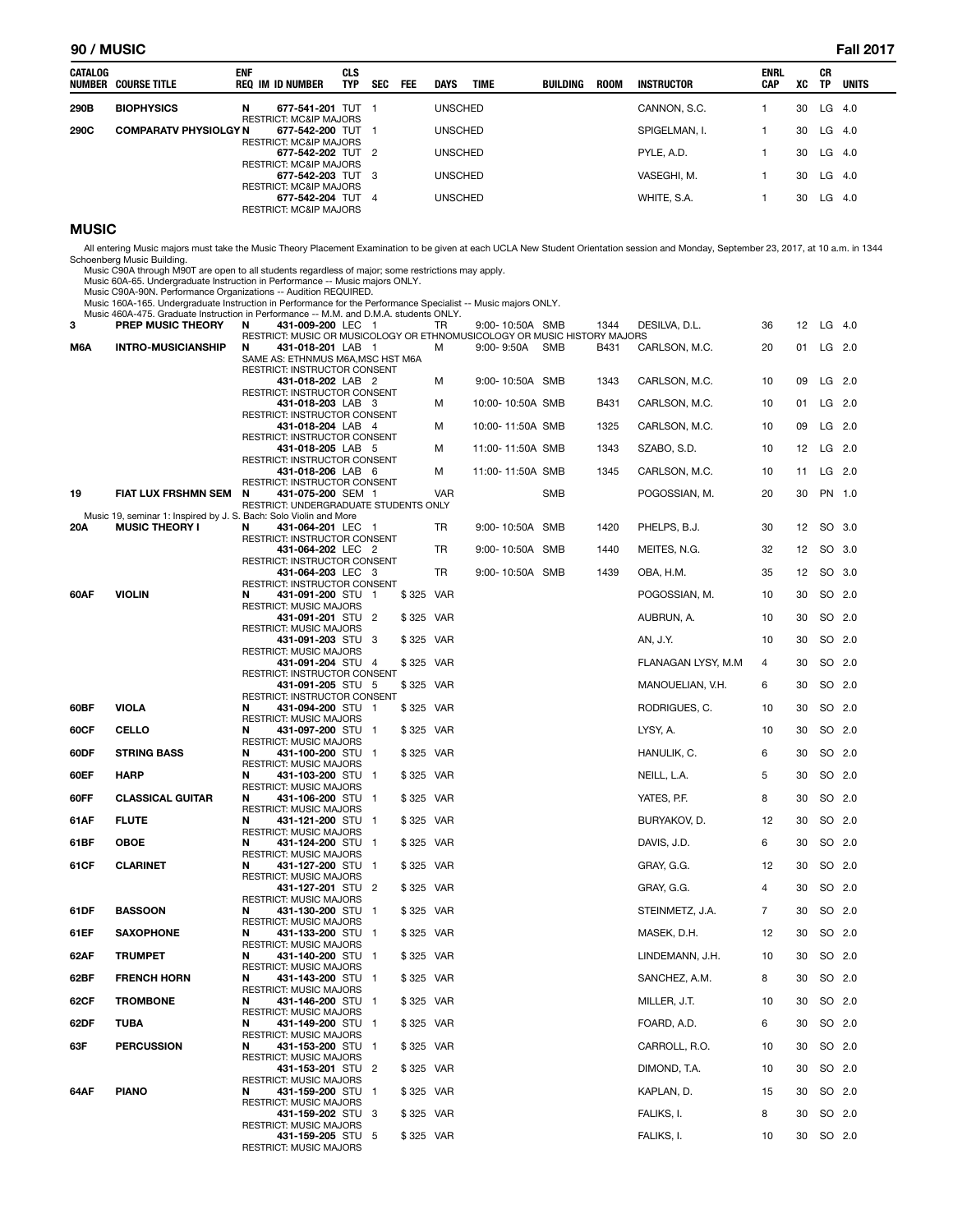#### **90 / MUSIC Fall 2017**

| CATALOG | <b>NUMBER COURSE TITLE</b>   | <b>ENF</b> | REQ IM ID NUMBER                                                                            | CLS<br><b>TYP</b> | <b>SEC</b> | <b>FEE</b> | <b>DAYS</b>    | <b>TIME</b> | BUILDING | <b>ROOM</b> | <b>INSTRUCTOR</b> | <b>ENRL</b><br><b>CAP</b> | XC | CR<br><b>TP</b> | <b>UNITS</b> |
|---------|------------------------------|------------|---------------------------------------------------------------------------------------------|-------------------|------------|------------|----------------|-------------|----------|-------------|-------------------|---------------------------|----|-----------------|--------------|
| 290B    | <b>BIOPHYSICS</b>            | N          | 677-541-201 TUT                                                                             |                   |            |            | <b>UNSCHED</b> |             |          |             | CANNON, S.C.      |                           | 30 | LG              | -4.0         |
| 290C    | <b>COMPARATV PHYSIOLGY N</b> |            | <b>RESTRICT: MC&amp;IP MAJORS</b><br>677-542-200 TUT 1<br><b>RESTRICT: MC&amp;IP MAJORS</b> |                   |            |            | <b>UNSCHED</b> |             |          |             | SPIGELMAN. I.     |                           | 30 | LG              | -4.0         |
|         |                              |            | 677-542-202 TUT 2<br><b>RESTRICT: MC&amp;IP MAJORS</b>                                      |                   |            |            | <b>UNSCHED</b> |             |          |             | PYLE, A.D.        |                           | 30 | $LG$ 4.0        |              |
|         |                              |            | 677-542-203 TUT 3<br><b>RESTRICT: MC&amp;IP MAJORS</b>                                      |                   |            |            | <b>UNSCHED</b> |             |          |             | VASEGHI, M.       |                           | 30 | LG              | 4.0          |
|         |                              |            | 677-542-204 TUT 4<br><b>RESTRICT: MC&amp;IP MAJORS</b>                                      |                   |            |            | <b>UNSCHED</b> |             |          |             | WHITE, S.A.       |                           | 30 | LG              | 4.0          |

#### **MUSIC**

All entering Music majors must take the Music Theory Placement Examination to be given at each UCLA New Student Orientation session and Monday, September 23, 2017, at 10 a.m. in 1344<br>Schoenberg Music Building.

Music C90A through M90T are open to all students regardless of major; some restrictions may apply.<br>Music 60A-65. Undergraduate Instruction in Performance -- Music majors ONLY.<br>Music C90A-90N. Performance Organizations -- A

|        |                                                                                                            | Music 160A-165. Undergraduate Instruction in Performance for the Performance Specialist -- Music majors ONLY. |                          |            |                  |            |      |                     |    |    |          |
|--------|------------------------------------------------------------------------------------------------------------|---------------------------------------------------------------------------------------------------------------|--------------------------|------------|------------------|------------|------|---------------------|----|----|----------|
| 3      | Music 460A-475. Graduate Instruction in Performance -- M.M. and D.M.A. students ONLY.<br>PREP MUSIC THEORY | 431-009-200 LEC 1<br>N                                                                                        |                          | TR         | 9:00-10:50A SMB  |            | 1344 | DESILVA, D.L.       | 36 | 12 | $LG$ 4.0 |
| M6A    | <b>INTRO-MUSICIANSHIP</b>                                                                                  | RESTRICT: MUSIC OR MUSICOLOGY OR ETHNOMUSICOLOGY OR MUSIC HISTORY MAJORS<br>N<br>431-018-201 LAB 1            |                          | м          | $9.00 - 9.50A$   | SMB        | B431 | CARLSON, M.C.       | 20 | 01 | LG 2.0   |
|        |                                                                                                            | SAME AS: ETHNMUS M6A, MSC HST M6A                                                                             |                          |            |                  |            |      |                     |    |    |          |
|        |                                                                                                            | RESTRICT: INSTRUCTOR CONSENT<br>431-018-202 LAB 2                                                             |                          | M          | 9:00-10:50A SMB  |            | 1343 | CARLSON, M.C.       | 10 | 09 | $LG$ 2.0 |
|        |                                                                                                            | RESTRICT: INSTRUCTOR CONSENT<br>431-018-203 LAB 3                                                             |                          | М          | 10:00-10:50A SMB |            | B431 | CARLSON, M.C.       | 10 | 01 | $LG$ 2.0 |
|        |                                                                                                            | <b>RESTRICT: INSTRUCTOR CONSENT</b><br>431-018-204 LAB 4                                                      |                          | М          | 10:00-11:50A SMB |            | 1325 | CARLSON, M.C.       | 10 | 09 | $LG$ 2.0 |
|        |                                                                                                            | RESTRICT: INSTRUCTOR CONSENT                                                                                  |                          |            |                  |            |      |                     |    |    |          |
|        |                                                                                                            | 431-018-205 LAB 5<br>RESTRICT: INSTRUCTOR CONSENT                                                             |                          | М          | 11:00-11:50A SMB |            | 1343 | SZABO, S.D.         | 10 | 12 | $LG$ 2.0 |
|        |                                                                                                            | 431-018-206 LAB 6<br>RESTRICT: INSTRUCTOR CONSENT                                                             |                          | м          | 11:00-11:50A SMB |            | 1345 | CARLSON, M.C.       | 10 | 11 | LG 2.0   |
| 19     | FIAT LUX FRSHMN SEM                                                                                        | N<br>431-075-200 SEM 1                                                                                        |                          | <b>VAR</b> |                  | <b>SMB</b> |      | POGOSSIAN, M.       | 20 | 30 | PN 1.0   |
|        | Music 19, seminar 1: Inspired by J. S. Bach: Solo Violin and More                                          | RESTRICT: UNDERGRADUATE STUDENTS ONLY                                                                         |                          |            |                  |            |      |                     |    |    |          |
| 20A    | <b>MUSIC THEORY I</b>                                                                                      | 431-064-201 LEC 1<br>N<br>RESTRICT: INSTRUCTOR CONSENT                                                        |                          | TR         | 9:00-10:50A SMB  |            | 1420 | PHELPS, B.J.        | 30 | 12 | SO 3.0   |
|        |                                                                                                            | 431-064-202 LEC 2<br>RESTRICT: INSTRUCTOR CONSENT                                                             |                          | TR         | 9:00-10:50A SMB  |            | 1440 | MEITES, N.G.        | 32 | 12 | SO 3.0   |
|        |                                                                                                            | 431-064-203 LEC 3                                                                                             |                          | TR         | 9:00-10:50A SMB  |            | 1439 | OBA, H.M.           | 35 | 12 | SO 3.0   |
| 60AF   | <b>VIOLIN</b>                                                                                              | RESTRICT: INSTRUCTOR CONSENT<br>N<br>431-091-200 STU 1                                                        |                          | \$325 VAR  |                  |            |      | POGOSSIAN, M.       | 10 | 30 | SO 2.0   |
|        |                                                                                                            | <b>RESTRICT: MUSIC MAJORS</b><br>431-091-201 STU 2                                                            |                          | \$325 VAR  |                  |            |      | AUBRUN, A.          | 10 | 30 | SO 2.0   |
|        |                                                                                                            | <b>RESTRICT: MUSIC MAJORS</b><br>431-091-203 STU 3                                                            |                          | \$325 VAR  |                  |            |      | AN, J.Y.            | 10 | 30 | SO 2.0   |
|        |                                                                                                            | <b>RESTRICT: MUSIC MAJORS</b>                                                                                 |                          |            |                  |            |      |                     |    |    |          |
|        |                                                                                                            | 431-091-204 STU 4<br><b>RESTRICT: INSTRUCTOR CONSENT</b>                                                      |                          | \$325 VAR  |                  |            |      | FLANAGAN LYSY, M.M. | 4  | 30 | SO 2.0   |
|        |                                                                                                            | 431-091-205 STU 5<br>RESTRICT: INSTRUCTOR CONSENT                                                             |                          | \$325 VAR  |                  |            |      | MANOUELIAN, V.H.    | 6  | 30 | SO 2.0   |
| 60BF   | <b>VIOLA</b>                                                                                               | N<br>431-094-200 STU<br><b>RESTRICT: MUSIC MAJORS</b>                                                         | - 1                      | \$325 VAR  |                  |            |      | RODRIGUES, C.       | 10 | 30 | SO 2.0   |
| 60CF   | CELLO                                                                                                      | 431-097-200 STU 1<br>N                                                                                        |                          | \$325 VAR  |                  |            |      | LYSY, A.            | 10 | 30 | SO 2.0   |
| 60DF   | <b>STRING BASS</b>                                                                                         | <b>RESTRICT: MUSIC MAJORS</b><br>N<br>431-100-200 STU 1                                                       |                          | \$325 VAR  |                  |            |      | HANULIK, C.         | 6  | 30 | SO 2.0   |
| 60EF   | <b>HARP</b>                                                                                                | <b>RESTRICT: MUSIC MAJORS</b><br>N<br>431-103-200 STU 1                                                       |                          | \$325 VAR  |                  |            |      | NEILL, L.A.         | 5  | 30 | SO 2.0   |
| 60FF   | <b>CLASSICAL GUITAR</b>                                                                                    | <b>RESTRICT: MUSIC MAJORS</b><br>431-106-200 STU 1<br>N                                                       |                          | \$325 VAR  |                  |            |      | YATES, P.F.         | 8  | 30 | SO 2.0   |
|        |                                                                                                            | RESTRICT: MUSIC MAJORS                                                                                        |                          |            |                  |            |      |                     |    |    |          |
| 61AF   | <b>FLUTE</b>                                                                                               | N<br>431-121-200 STU<br><b>RESTRICT: MUSIC MAJORS</b>                                                         | $\overline{\phantom{0}}$ | \$325 VAR  |                  |            |      | BURYAKOV, D.        | 12 | 30 | SO 2.0   |
| 61BF   | <b>OBOE</b>                                                                                                | N<br>431-124-200 STU 1<br><b>RESTRICT: MUSIC MAJORS</b>                                                       |                          | \$325 VAR  |                  |            |      | DAVIS, J.D.         | 6  | 30 | SO 2.0   |
| 61 C F | <b>CLARINET</b>                                                                                            | N<br>431-127-200 STU 1<br><b>RESTRICT: MUSIC MAJORS</b>                                                       |                          | \$325 VAR  |                  |            |      | GRAY, G.G.          | 12 | 30 | SO 2.0   |
|        |                                                                                                            | 431-127-201 STU 2                                                                                             |                          | \$325 VAR  |                  |            |      | GRAY, G.G.          | 4  | 30 | SO 2.0   |
| 61DF   | <b>BASSOON</b>                                                                                             | <b>RESTRICT: MUSIC MAJORS</b><br>N<br>431-130-200 STU 1                                                       |                          | \$325 VAR  |                  |            |      | STEINMETZ, J.A.     | 7  | 30 | SO 2.0   |
| 61EF   | <b>SAXOPHONE</b>                                                                                           | <b>RESTRICT: MUSIC MAJORS</b><br>431-133-200 STU<br>N                                                         | -1                       | \$325 VAR  |                  |            |      | MASEK, D.H.         | 12 | 30 | SO 2.0   |
| 62AF   | <b>TRUMPET</b>                                                                                             | <b>RESTRICT: MUSIC MAJORS</b><br>431-140-200 STU 1<br>N                                                       |                          | \$325 VAR  |                  |            |      | LINDEMANN, J.H.     | 10 | 30 | SO 2.0   |
|        |                                                                                                            | <b>RESTRICT: MUSIC MAJORS</b>                                                                                 |                          |            |                  |            |      |                     |    |    |          |
| 62BF   | <b>FRENCH HORN</b>                                                                                         | N<br>431-143-200 STU 1<br><b>RESTRICT: MUSIC MAJORS</b>                                                       |                          | \$325 VAR  |                  |            |      | SANCHEZ, A.M.       | 8  | 30 | SO 2.0   |
| 62CF   | <b>TROMBONE</b>                                                                                            | N<br>431-146-200 STU<br><b>RESTRICT: MUSIC MAJORS</b>                                                         | $\mathbf{1}$             | \$325 VAR  |                  |            |      | MILLER, J.T.        | 10 | 30 | SO 2.0   |
| 62DF   | TUBA                                                                                                       | 431-149-200 STU 1<br>N<br><b>RESTRICT: MUSIC MAJORS</b>                                                       |                          | \$325 VAR  |                  |            |      | FOARD, A.D.         | 6  | 30 | SO 2.0   |
| 63F    | <b>PERCUSSION</b>                                                                                          | 431-153-200 STU 1<br>N                                                                                        |                          | \$325 VAR  |                  |            |      | CARROLL, R.O.       | 10 | 30 | SO 2.0   |
|        |                                                                                                            | <b>RESTRICT: MUSIC MAJORS</b><br>431-153-201 STU 2                                                            |                          | \$325 VAR  |                  |            |      | DIMOND, T.A.        | 10 | 30 | SO 2.0   |
| 64AF   | <b>PIANO</b>                                                                                               | RESTRICT: MUSIC MAJORS<br>431-159-200 STU<br>N                                                                | $\overline{\phantom{0}}$ | \$325 VAR  |                  |            |      | KAPLAN, D.          | 15 | 30 | SO 2.0   |
|        |                                                                                                            | <b>RESTRICT: MUSIC MAJORS</b>                                                                                 |                          |            |                  |            |      |                     |    |    |          |
|        |                                                                                                            | 431-159-202 STU 3<br><b>RESTRICT: MUSIC MAJORS</b>                                                            |                          | \$325 VAR  |                  |            |      | FALIKS, I.          | 8  | 30 | SO 2.0   |
|        |                                                                                                            | 431-159-205 STU 5<br><b>RESTRICT: MUSIC MAJORS</b>                                                            |                          | \$325 VAR  |                  |            |      | FALIKS, I.          | 10 | 30 | SO 2.0   |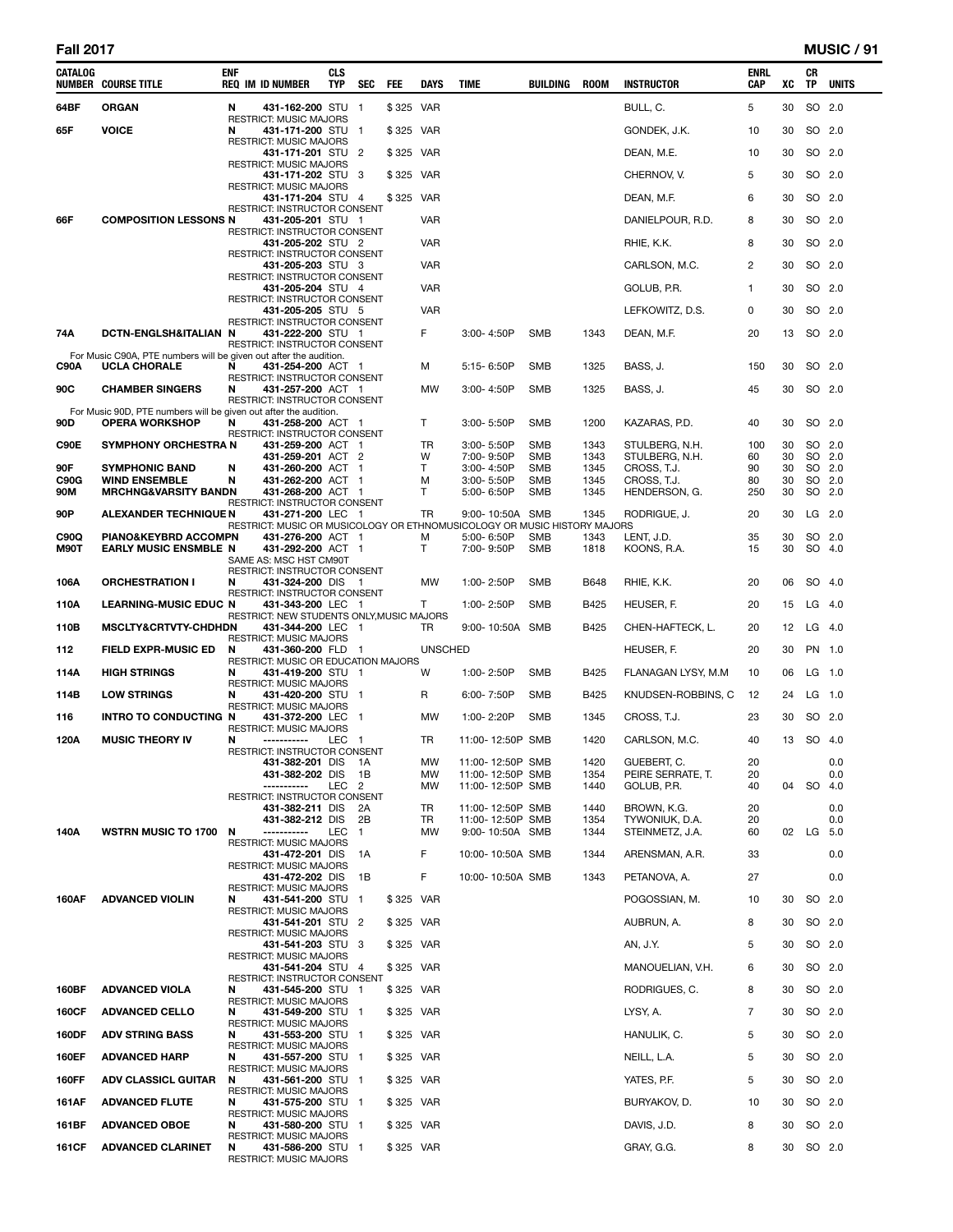| all i | 201 |  | 7 |
|-------|-----|--|---|
|-------|-----|--|---|

| CATALOG      | <b>NUMBER COURSE TITLE</b>                                                                | ENF    | <b>REQ IM ID NUMBER</b>                                                                       | <b>CLS</b><br>TYP | <b>SEC</b>         | <b>FEE</b> | <b>DAYS</b>     | <b>TIME</b> |                                      | BUILDING                 | <b>ROOM</b>  | <b>INSTRUCTOR</b>                 | ENRL<br>CAP | XC       | CR<br>TP | <b>UNITS</b> |
|--------------|-------------------------------------------------------------------------------------------|--------|-----------------------------------------------------------------------------------------------|-------------------|--------------------|------------|-----------------|-------------|--------------------------------------|--------------------------|--------------|-----------------------------------|-------------|----------|----------|--------------|
| 64BF         | <b>ORGAN</b>                                                                              | N      | 431-162-200 STU 1                                                                             |                   |                    | \$325 VAR  |                 |             |                                      |                          |              | BULL, C.                          | 5           | 30       | SO 2.0   |              |
| 65F          | <b>VOICE</b>                                                                              | N      | <b>RESTRICT: MUSIC MAJORS</b><br>431-171-200 STU 1                                            |                   |                    | \$325 VAR  |                 |             |                                      |                          |              | GONDEK, J.K.                      | 10          | 30       | SO 2.0   |              |
|              |                                                                                           |        | RESTRICT: MUSIC MAJORS<br>431-171-201 STU 2                                                   |                   |                    | \$325 VAR  |                 |             |                                      |                          |              | DEAN, M.E.                        | 10          | 30       | SO 2.0   |              |
|              |                                                                                           |        | RESTRICT: MUSIC MAJORS<br>431-171-202 STU 3                                                   |                   |                    | \$325 VAR  |                 |             |                                      |                          |              | CHERNOV, V.                       | 5           | 30       |          | SO 2.0       |
|              |                                                                                           |        | RESTRICT: MUSIC MAJORS<br>431-171-204 STU 4                                                   |                   |                    | \$325 VAR  |                 |             |                                      |                          |              | DEAN, M.F.                        | 6           | 30       | SO 2.0   |              |
| 66F          | <b>COMPOSITION LESSONS N</b>                                                              |        | RESTRICT: INSTRUCTOR CONSENT<br>431-205-201 STU 1                                             |                   |                    |            | VAR             |             |                                      |                          |              | DANIELPOUR, R.D.                  | 8           | 30       | SO 2.0   |              |
|              |                                                                                           |        | RESTRICT: INSTRUCTOR CONSENT<br>431-205-202 STU 2                                             |                   |                    |            | <b>VAR</b>      |             |                                      |                          |              | RHIE, K.K.                        | 8           | 30       |          | SO 2.0       |
|              |                                                                                           |        | RESTRICT: INSTRUCTOR CONSENT<br>431-205-203 STU 3                                             |                   |                    |            | VAR             |             |                                      |                          |              | CARLSON, M.C.                     | 2           | 30       | SO 2.0   |              |
|              |                                                                                           |        | RESTRICT: INSTRUCTOR CONSENT<br>431-205-204 STU 4                                             |                   |                    |            | <b>VAR</b>      |             |                                      |                          |              | GOLUB, P.R.                       | 1           | 30       |          | SO 2.0       |
|              |                                                                                           |        | RESTRICT: INSTRUCTOR CONSENT<br>431-205-205 STU 5                                             |                   |                    |            | <b>VAR</b>      |             |                                      |                          |              | LEFKOWITZ, D.S.                   | 0           | 30       |          | SO 2.0       |
| 74A          | DCTN-ENGLSH&ITALIAN N                                                                     |        | RESTRICT: INSTRUCTOR CONSENT<br>431-222-200 STU 1                                             |                   |                    |            | F               |             | 3:00-4:50P                           | <b>SMB</b>               | 1343         | DEAN, M.F.                        | 20          | 13       | SO 2.0   |              |
|              | For Music C90A, PTE numbers will be given out after the audition.                         |        | RESTRICT: INSTRUCTOR CONSENT                                                                  |                   |                    |            |                 |             |                                      |                          |              |                                   |             |          |          |              |
| C90A         | <b>UCLA CHORALE</b>                                                                       | N      | 431-254-200 ACT 1<br>RESTRICT: INSTRUCTOR CONSENT                                             |                   |                    |            | м               |             | 5:15-6:50P                           | SMB                      | 1325         | BASS, J.                          | 150         | 30       |          | SO 2.0       |
| 90C          | <b>CHAMBER SINGERS</b>                                                                    | N      | 431-257-200 ACT 1<br>RESTRICT: INSTRUCTOR CONSENT                                             |                   |                    |            | MW              |             | 3:00-4:50P                           | <b>SMB</b>               | 1325         | BASS, J.                          | 45          | 30       | SO 2.0   |              |
| 90D          | For Music 90D, PTE numbers will be given out after the audition.<br><b>OPERA WORKSHOP</b> | N      | 431-258-200 ACT 1                                                                             |                   |                    |            | T.              |             | 3:00-5:50P                           | SMB                      | 1200         | KAZARAS, P.D.                     | 40          | 30       |          | SO 2.0       |
| C90E         | <b>SYMPHONY ORCHESTRA N</b>                                                               |        | RESTRICT: INSTRUCTOR CONSENT<br>431-259-200 ACT 1                                             |                   |                    |            | TR              |             | $3:00 - 5:50P$                       | SMB                      | 1343         | STULBERG, N.H.                    | 100         | 30       |          | SO 2.0       |
|              |                                                                                           |        | 431-259-201 ACT 2                                                                             |                   |                    |            | W               |             | 7:00-9:50P                           | <b>SMB</b>               | 1343         | STULBERG, N.H.                    | 60          | 30       |          | SO 2.0       |
| 90F<br>C90G  | <b>SYMPHONIC BAND</b><br><b>WIND ENSEMBLE</b>                                             | N<br>N | 431-260-200 ACT 1<br>431-262-200 ACT 1                                                        |                   |                    |            | Т<br>м          |             | 3:00-4:50P<br>3:00-5:50P             | <b>SMB</b><br><b>SMB</b> | 1345<br>1345 | CROSS, T.J.<br>CROSS, T.J.        | 90<br>80    | 30<br>30 | SO 2.0   | SO 2.0       |
| 90M          | <b>MRCHNG&amp;VARSITY BANDN</b>                                                           |        | 431-268-200 ACT 1<br>RESTRICT: INSTRUCTOR CONSENT                                             |                   |                    |            | т               |             | 5:00-6:50P                           | <b>SMB</b>               | 1345         | HENDERSON, G.                     | 250         | 30       |          | SO 2.0       |
| 90P          | <b>ALEXANDER TECHNIQUE N</b>                                                              |        | 431-271-200 LEC 1<br>RESTRICT: MUSIC OR MUSICOLOGY OR ETHNOMUSICOLOGY OR MUSIC HISTORY MAJORS |                   |                    |            | TR              |             | 9:00-10:50A SMB                      |                          | 1345         | RODRIGUE, J.                      | 20          | 30       | LG       | - 2.0        |
| C90Q<br>M90T | <b>PIANO&amp;KEYBRD ACCOMPN</b><br><b>EARLY MUSIC ENSMBLE N</b>                           |        | 431-276-200 ACT 1<br>431-292-200 ACT 1                                                        |                   |                    |            | м<br>T.         |             | 5:00-6:50P<br>7:00-9:50P             | <b>SMB</b><br><b>SMB</b> | 1343<br>1818 | LENT, J.D.<br>KOONS, R.A.         | 35<br>15    | 30<br>30 | SO 4.0   | SO 2.0       |
|              |                                                                                           |        | SAME AS: MSC HST CM90T<br>RESTRICT: INSTRUCTOR CONSENT                                        |                   |                    |            |                 |             |                                      |                          |              |                                   |             |          |          |              |
| 106A         | <b>ORCHESTRATION I</b>                                                                    | N      | 431-324-200 DIS 1<br>RESTRICT: INSTRUCTOR CONSENT                                             |                   |                    |            | <b>MW</b>       |             | 1:00-2:50P                           | <b>SMB</b>               | B648         | RHIE, K.K.                        | 20          | 06       | SO 4.0   |              |
| 110A         | <b>LEARNING-MUSIC EDUC N</b>                                                              |        | 431-343-200 LEC 1<br>RESTRICT: NEW STUDENTS ONLY, MUSIC MAJORS                                |                   |                    |            | T.              |             | 1:00-2:50P                           | <b>SMB</b>               | B425         | HEUSER, F.                        | 20          | 15       | $LG$ 4.0 |              |
| 110B         | <b>MSCLTY&amp;CRTVTY-CHDHDN</b>                                                           |        | 431-344-200 LEC<br><b>RESTRICT: MUSIC MAJORS</b>                                              |                   | - 1                |            | TR              |             | 9:00-10:50A SMB                      |                          | B425         | CHEN-HAFTECK, L.                  | 20          | 12       | LG 4.0   |              |
| 112          | <b>FIELD EXPR-MUSIC ED</b>                                                                | N      | 431-360-200 FLD 1<br>RESTRICT: MUSIC OR EDUCATION MAJORS                                      |                   |                    |            | <b>UNSCHED</b>  |             |                                      |                          |              | HEUSER, F.                        | 20          | 30       | PN 1.0   |              |
| 114A         | <b>HIGH STRINGS</b>                                                                       | N      | 431-419-200 STU 1<br>RESTRICT: MUSIC MAJORS                                                   |                   |                    |            | W               |             | 1:00-2:50P                           | <b>SMB</b>               | B425         | FLANAGAN LYSY, M.M.               | 10          | 06       |          | $LG$ 1.0     |
| 114B         | <b>LOW STRINGS</b>                                                                        | N      | 431-420-200 STU 1<br>RESTRICT: MUSIC MAJORS                                                   |                   |                    |            | R               |             | 6:00-7:50P                           | <b>SMB</b>               | B425         | KNUDSEN-ROBBINS, C                | 12          | 24       | $LG$ 1.0 |              |
| 116          | INTRO TO CONDUCTING N                                                                     |        | 431-372-200 LEC<br><b>RESTRICT: MUSIC MAJORS</b>                                              |                   | -1                 |            | <b>MW</b>       |             | 1:00-2:20P                           | <b>SMB</b>               | 1345         | CROSS, T.J.                       | 23          | 30       |          | SO 2.0       |
| 120A         | <b>MUSIC THEORY IV</b>                                                                    | N      | -----------<br>RESTRICT: INSTRUCTOR CONSENT                                                   | LEC 1             |                    |            | TR.             |             | 11:00-12:50P SMB                     |                          | 1420         | CARLSON, M.C.                     | 40          | 13       | SO 4.0   |              |
|              |                                                                                           |        | 431-382-201 DIS 1A<br>431-382-202 DIS                                                         |                   | - 1B               |            | <b>MW</b><br>MW |             | 11:00-12:50P SMB<br>11:00-12:50P SMB |                          | 1420<br>1354 | GUEBERT. C.<br>PEIRE SERRATE, T.  | 20<br>20    |          |          | 0.0<br>0.0   |
|              |                                                                                           |        | -----------                                                                                   | LEC <sub>2</sub>  |                    |            | MW              |             | 11:00-12:50P SMB                     |                          | 1440         | GOLUB, P.R.                       | 40          | 04       | SO       | -4.0         |
|              |                                                                                           |        | RESTRICT: INSTRUCTOR CONSENT<br>431-382-211 DIS                                               |                   | 2A                 |            | TR              |             | 11:00-12:50P SMB                     |                          | 1440         | BROWN, K.G.                       | 20          |          |          | 0.0          |
| 140A         | <b>WSTRN MUSIC TO 1700</b>                                                                | N      | 431-382-212 DIS<br>-----------                                                                | LEC               | 2Β<br>$\mathbf{1}$ |            | TR<br>MW        |             | 11:00-12:50P SMB<br>9:00-10:50A SMB  |                          | 1354<br>1344 | TYWONIUK, D.A.<br>STEINMETZ, J.A. | 20<br>60    |          | 02 LG    | 0.0<br>5.0   |
|              |                                                                                           |        | <b>RESTRICT: MUSIC MAJORS</b><br>431-472-201 DIS                                              |                   | 1A                 |            | F               |             | 10:00-10:50A SMB                     |                          | 1344         | ARENSMAN, A.R.                    | 33          |          |          | 0.0          |
|              |                                                                                           |        | <b>RESTRICT: MUSIC MAJORS</b><br>431-472-202 DIS                                              |                   | 1B                 |            | F               |             | 10:00-10:50A SMB                     |                          | 1343         | PETANOVA, A.                      | 27          |          |          | 0.0          |
| 160AF        | <b>ADVANCED VIOLIN</b>                                                                    | N      | RESTRICT: MUSIC MAJORS<br>431-541-200 STU 1                                                   |                   |                    | \$325 VAR  |                 |             |                                      |                          |              | POGOSSIAN, M.                     | 10          | 30       | SO 2.0   |              |
|              |                                                                                           |        | RESTRICT: MUSIC MAJORS<br>431-541-201 STU 2                                                   |                   |                    | \$325 VAR  |                 |             |                                      |                          |              | AUBRUN, A.                        | 8           | 30       | SO 2.0   |              |
|              |                                                                                           |        | <b>RESTRICT: MUSIC MAJORS</b><br>431-541-203 STU 3                                            |                   |                    | \$325 VAR  |                 |             |                                      |                          |              | AN, J.Y.                          | 5           | 30       | SO 2.0   |              |
|              |                                                                                           |        | <b>RESTRICT: MUSIC MAJORS</b><br>431-541-204 STU 4                                            |                   |                    | \$325 VAR  |                 |             |                                      |                          |              | MANOUELIAN, V.H.                  | 6           | 30       | SO 2.0   |              |
| 160BF        | <b>ADVANCED VIOLA</b>                                                                     | N      | RESTRICT: INSTRUCTOR CONSENT<br>431-545-200 STU 1                                             |                   |                    | \$325 VAR  |                 |             |                                      |                          |              | RODRIGUES, C.                     | 8           | 30       | SO 2.0   |              |
| <b>160CF</b> | <b>ADVANCED CELLO</b>                                                                     | N      | <b>RESTRICT: MUSIC MAJORS</b><br>431-549-200 STU 1                                            |                   |                    | \$325 VAR  |                 |             |                                      |                          |              | LYSY, A.                          | 7           | 30       | SO 2.0   |              |
| <b>160DF</b> | <b>ADV STRING BASS</b>                                                                    | N      | <b>RESTRICT: MUSIC MAJORS</b><br>431-553-200 STU                                              |                   | -1                 | \$325 VAR  |                 |             |                                      |                          |              | HANULIK, C.                       | 5           | 30       | SO 2.0   |              |
| 160EF        | <b>ADVANCED HARP</b>                                                                      | N      | <b>RESTRICT: MUSIC MAJORS</b><br>431-557-200 STU 1                                            |                   |                    | \$325 VAR  |                 |             |                                      |                          |              | NEILL, L.A.                       | 5           | 30       | SO 2.0   |              |
| <b>160FF</b> | <b>ADV CLASSICL GUITAR</b>                                                                | N      | <b>RESTRICT: MUSIC MAJORS</b><br>431-561-200 STU 1                                            |                   |                    | \$325 VAR  |                 |             |                                      |                          |              | YATES, P.F.                       | 5           | 30       | SO 2.0   |              |
| 161AF        | <b>ADVANCED FLUTE</b>                                                                     | N      | RESTRICT: MUSIC MAJORS<br>431-575-200 STU 1                                                   |                   |                    | \$325 VAR  |                 |             |                                      |                          |              | BURYAKOV, D.                      | 10          | 30       |          | SO 2.0       |
| 161BF        | <b>ADVANCED OBOE</b>                                                                      | N      | <b>RESTRICT: MUSIC MAJORS</b><br>431-580-200 STU 1                                            |                   |                    | \$325 VAR  |                 |             |                                      |                          |              | DAVIS, J.D.                       | 8           | 30       | SO 2.0   |              |
| 161CF        | <b>ADVANCED CLARINET</b>                                                                  | N      | <b>RESTRICT: MUSIC MAJORS</b><br>431-586-200 STU                                              |                   | -1                 |            |                 |             |                                      |                          |              | GRAY, G.G.                        | 8           | 30       | SO 2.0   |              |
|              |                                                                                           |        | <b>RESTRICT: MUSIC MAJORS</b>                                                                 |                   |                    | \$325 VAR  |                 |             |                                      |                          |              |                                   |             |          |          |              |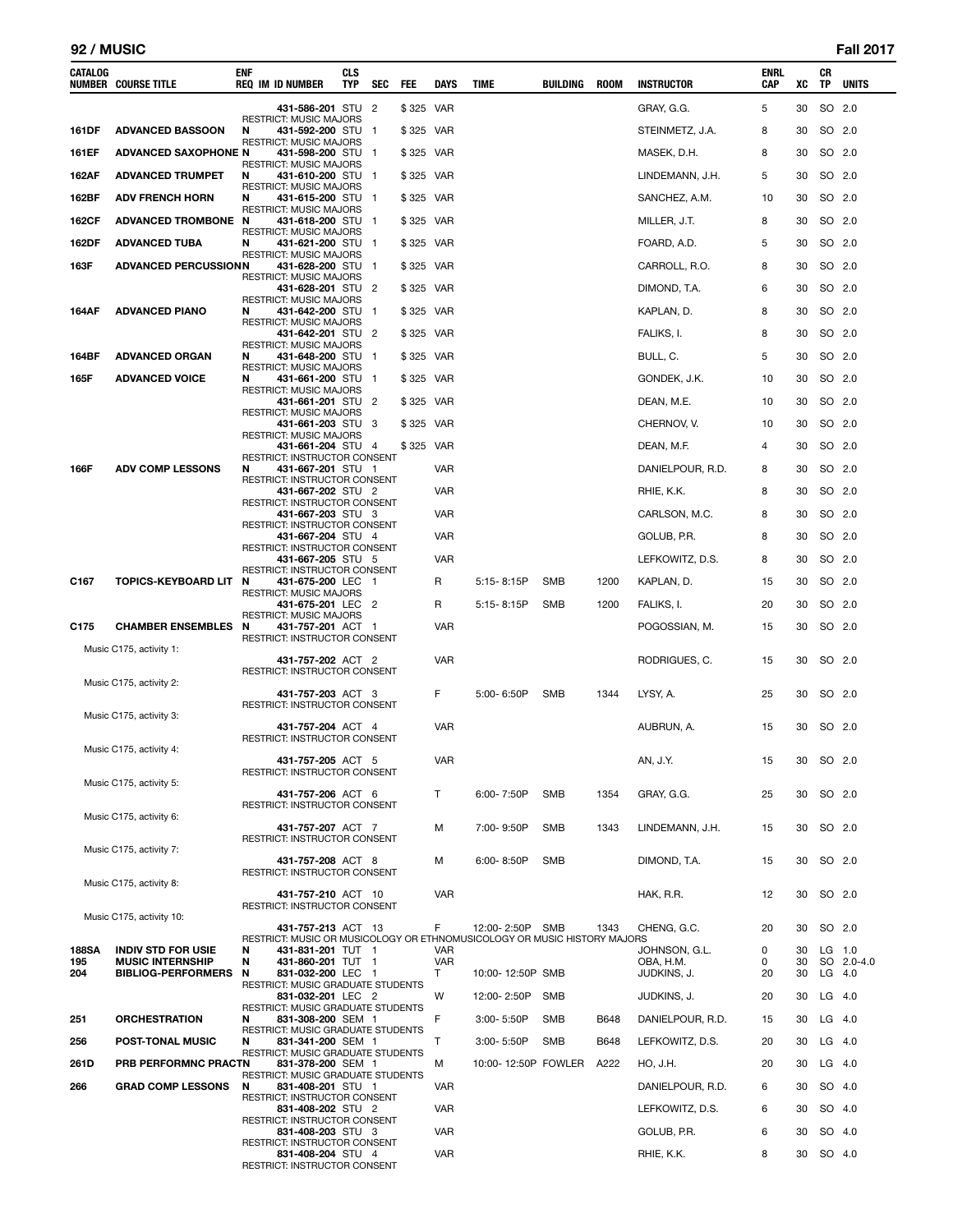#### **92 / MUSIC Fall 2017**

| <b>CATALOG</b> | <b>NUMBER COURSE TITLE</b>                           | ENF    | <b>REQ IM ID NUMBER</b>                                                            | CLS<br>TYP | SEC                      | FEE       | <b>DAYS</b>     | <b>TIME</b>                                                              | BUILDING   | <b>ROOM</b> | <b>INSTRUCTOR</b>        | ENRL<br>CAP | XC       | CR<br>TP | <b>UNITS</b> |
|----------------|------------------------------------------------------|--------|------------------------------------------------------------------------------------|------------|--------------------------|-----------|-----------------|--------------------------------------------------------------------------|------------|-------------|--------------------------|-------------|----------|----------|--------------|
|                |                                                      |        | 431-586-201 STU 2                                                                  |            |                          | \$325 VAR |                 |                                                                          |            |             | GRAY, G.G.               | 5           | 30       | SO 2.0   |              |
| 161DF          | <b>ADVANCED BASSOON</b>                              | N      | <b>RESTRICT: MUSIC MAJORS</b><br>431-592-200 STU                                   |            | $\overline{1}$           | \$325 VAR |                 |                                                                          |            |             | STEINMETZ, J.A.          | 8           | 30       | SO 2.0   |              |
| 161EF          | <b>ADVANCED SAXOPHONE N</b>                          |        | <b>RESTRICT: MUSIC MAJORS</b><br>431-598-200 STU 1                                 |            |                          | \$325 VAR |                 |                                                                          |            |             | MASEK, D.H.              | 8           | 30       | SO 2.0   |              |
| 162AF          | <b>ADVANCED TRUMPET</b>                              | N      | <b>RESTRICT: MUSIC MAJORS</b><br>431-610-200 STU                                   |            | $\overline{\phantom{0}}$ | \$325 VAR |                 |                                                                          |            |             | LINDEMANN, J.H.          | 5           | 30       | SO 2.0   |              |
| 162BF          | <b>ADV FRENCH HORN</b>                               | N      | RESTRICT: MUSIC MAJORS<br>431-615-200 STU 1                                        |            |                          | \$325 VAR |                 |                                                                          |            |             | SANCHEZ, A.M.            | 10          | 30       | SO 2.0   |              |
| 162CF          | ADVANCED TROMBONE N                                  |        | <b>RESTRICT: MUSIC MAJORS</b><br>431-618-200 STU 1                                 |            |                          | \$325 VAR |                 |                                                                          |            |             | MILLER, J.T.             | 8           | 30       | SO 2.0   |              |
| 162DF          | <b>ADVANCED TUBA</b>                                 | N      | <b>RESTRICT: MUSIC MAJORS</b><br>431-621-200 STU 1                                 |            |                          | \$325 VAR |                 |                                                                          |            |             | FOARD, A.D.              | 5           | 30       | SO 2.0   |              |
| 163F           | <b>ADVANCED PERCUSSIONN</b>                          |        | <b>RESTRICT: MUSIC MAJORS</b><br>431-628-200 STU 1                                 |            |                          | \$325 VAR |                 |                                                                          |            |             | CARROLL, R.O.            | 8           | 30       | SO 2.0   |              |
|                |                                                      |        | <b>RESTRICT: MUSIC MAJORS</b><br>431-628-201 STU                                   |            | $\overline{2}$           | \$325 VAR |                 |                                                                          |            |             | DIMOND, T.A.             | 6           | 30       | SO 2.0   |              |
| 164AF          | <b>ADVANCED PIANO</b>                                | N      | <b>RESTRICT: MUSIC MAJORS</b><br>431-642-200 STU 1                                 |            |                          | \$325 VAR |                 |                                                                          |            |             | KAPLAN, D.               | 8           | 30       | SO 2.0   |              |
|                |                                                      |        | <b>RESTRICT: MUSIC MAJORS</b><br>431-642-201 STU 2                                 |            |                          | \$325 VAR |                 |                                                                          |            |             | FALIKS, I.               | 8           | 30       | SO 2.0   |              |
| 164BF          | <b>ADVANCED ORGAN</b>                                | N      | <b>RESTRICT: MUSIC MAJORS</b><br>431-648-200 STU 1                                 |            |                          | \$325 VAR |                 |                                                                          |            |             | BULL, C.                 | 5           | 30       | SO 2.0   |              |
| 165F           | <b>ADVANCED VOICE</b>                                | N      | <b>RESTRICT: MUSIC MAJORS</b><br>431-661-200 STU 1                                 |            |                          | \$325 VAR |                 |                                                                          |            |             | GONDEK, J.K.             | 10          | 30       | SO 2.0   |              |
|                |                                                      |        | <b>RESTRICT: MUSIC MAJORS</b><br>431-661-201 STU                                   |            | $\overline{2}$           | \$325 VAR |                 |                                                                          |            |             | DEAN, M.E.               | 10          | 30       | SO 2.0   |              |
|                |                                                      |        | <b>RESTRICT: MUSIC MAJORS</b><br>431-661-203 STU 3                                 |            |                          | \$325 VAR |                 |                                                                          |            |             | CHERNOV, V.              | 10          | 30       | SO 2.0   |              |
|                |                                                      |        | <b>RESTRICT: MUSIC MAJORS</b><br>431-661-204 STU 4                                 |            |                          | \$325 VAR |                 |                                                                          |            |             | DEAN, M.F.               | 4           | 30       | SO 2.0   |              |
| 166F           | <b>ADV COMP LESSONS</b>                              | N      | RESTRICT: INSTRUCTOR CONSENT<br>431-667-201 STU 1                                  |            |                          |           | <b>VAR</b>      |                                                                          |            |             | DANIELPOUR, R.D.         | 8           | 30       | SO 2.0   |              |
|                |                                                      |        | <b>RESTRICT: INSTRUCTOR CONSENT</b><br>431-667-202 STU 2                           |            |                          |           | <b>VAR</b>      |                                                                          |            |             | RHIE, K.K.               | 8           | 30       | SO 2.0   |              |
|                |                                                      |        | RESTRICT: INSTRUCTOR CONSENT<br>431-667-203 STU 3                                  |            |                          |           | <b>VAR</b>      |                                                                          |            |             | CARLSON, M.C.            | 8           | 30       | SO 2.0   |              |
|                |                                                      |        | RESTRICT: INSTRUCTOR CONSENT<br>431-667-204 STU 4                                  |            |                          |           | <b>VAR</b>      |                                                                          |            |             | GOLUB, P.R.              | 8           | 30       | SO 2.0   |              |
|                |                                                      |        | <b>RESTRICT: INSTRUCTOR CONSENT</b><br>431-667-205 STU 5                           |            |                          |           | <b>VAR</b>      |                                                                          |            |             | LEFKOWITZ, D.S.          | 8           | 30       | SO 2.0   |              |
| C167           | <b>TOPICS-KEYBOARD LIT</b>                           | N      | RESTRICT: INSTRUCTOR CONSENT<br>431-675-200 LEC 1                                  |            |                          |           | R               | $5:15 - 8:15P$                                                           | SMB        | 1200        | KAPLAN, D.               | 15          | 30       | SO 2.0   |              |
|                |                                                      |        | <b>RESTRICT: MUSIC MAJORS</b><br>431-675-201 LEC 2                                 |            |                          |           | R               | 5:15-8:15P                                                               | <b>SMB</b> | 1200        | FALIKS, I.               | 20          | 30       | SO 2.0   |              |
| C175           | <b>CHAMBER ENSEMBLES</b>                             | N      | <b>RESTRICT: MUSIC MAJORS</b><br>431-757-201 ACT 1<br>RESTRICT: INSTRUCTOR CONSENT |            |                          |           | <b>VAR</b>      |                                                                          |            |             | POGOSSIAN, M.            | 15          | 30       | SO 2.0   |              |
|                | Music C175, activity 1:                              |        | 431-757-202 ACT 2                                                                  |            |                          |           | <b>VAR</b>      |                                                                          |            |             | RODRIGUES, C.            | 15          | 30       | SO 2.0   |              |
|                | Music C175, activity 2:                              |        | RESTRICT: INSTRUCTOR CONSENT                                                       |            |                          |           |                 |                                                                          |            |             |                          |             |          |          |              |
|                |                                                      |        | 431-757-203 ACT 3<br>RESTRICT: INSTRUCTOR CONSENT                                  |            |                          |           | F               | 5:00-6:50P                                                               | <b>SMB</b> | 1344        | LYSY, A.                 | 25          | 30       | SO 2.0   |              |
|                | Music C175, activity 3:                              |        | 431-757-204 ACT 4                                                                  |            |                          |           | <b>VAR</b>      |                                                                          |            |             | AUBRUN, A.               | 15          | 30       | SO 2.0   |              |
|                | Music C175, activity 4:                              |        | RESTRICT: INSTRUCTOR CONSENT                                                       |            |                          |           |                 |                                                                          |            |             |                          |             |          |          |              |
|                |                                                      |        | 431-757-205 ACT 5<br><b>RESTRICT: INSTRUCTOR CONSENT</b>                           |            |                          |           | <b>VAR</b>      |                                                                          |            |             | AN, J.Y.                 | 15          | 30       | SO 2.0   |              |
|                | Music C175, activity 5:                              |        | 431-757-206 ACT 6                                                                  |            |                          |           | T               | $6.00 - 7.50P$                                                           | SMB        | 1354        | GRAY, G.G.               | 25          | 30       | SO 2.0   |              |
|                | Music C175, activity 6:                              |        | RESTRICT: INSTRUCTOR CONSENT                                                       |            |                          |           |                 |                                                                          |            |             |                          |             |          |          |              |
|                |                                                      |        | 431-757-207 ACT 7<br>RESTRICT: INSTRUCTOR CONSENT                                  |            |                          |           | М               | 7:00-9:50P                                                               | <b>SMB</b> | 1343        | LINDEMANN, J.H.          | 15          | 30       | SO 2.0   |              |
|                | Music C175, activity 7:                              |        | 431-757-208 ACT 8                                                                  |            |                          |           | М               | 6:00-8:50P                                                               | <b>SMB</b> |             | DIMOND, T.A.             | 15          | 30       | SO 2.0   |              |
|                | Music C175, activity 8:                              |        | RESTRICT: INSTRUCTOR CONSENT                                                       |            |                          |           |                 |                                                                          |            |             |                          |             |          |          |              |
|                |                                                      |        | 431-757-210 ACT 10<br>RESTRICT: INSTRUCTOR CONSENT                                 |            |                          |           | <b>VAR</b>      |                                                                          |            |             | HAK, R.R.                | 12          | 30       | SO 2.0   |              |
|                | Music C175, activity 10:                             |        | 431-757-213 ACT 13                                                                 |            |                          |           | F               | 12:00-2:50P SMB                                                          |            | 1343        | CHENG, G.C.              | 20          | 30       | SO 2.0   |              |
| <b>188SA</b>   | <b>INDIV STD FOR USIE</b>                            | N      | 431-831-201 TUT 1                                                                  |            |                          |           | VAR             | RESTRICT: MUSIC OR MUSICOLOGY OR ETHNOMUSICOLOGY OR MUSIC HISTORY MAJORS |            |             | JOHNSON, G.L.            | 0           | 30       | LG 1.0   |              |
| 195<br>204     | <b>MUSIC INTERNSHIP</b><br><b>BIBLIOG-PERFORMERS</b> | N<br>N | 431-860-201 TUT 1<br>831-032-200 LEC 1                                             |            |                          |           | <b>VAR</b><br>T | 10:00-12:50P SMB                                                         |            |             | OBA, H.M.<br>JUDKINS, J. | 0<br>20     | 30<br>30 | $LG$ 4.0 | SO 2.0-4.0   |
|                |                                                      |        | <b>RESTRICT: MUSIC GRADUATE STUDENTS</b><br>831-032-201 LEC 2                      |            |                          |           | W               | 12:00-2:50P                                                              | <b>SMB</b> |             | JUDKINS, J.              | 20          | 30       | $LG$ 4.0 |              |
| 251            | <b>ORCHESTRATION</b>                                 | N      | RESTRICT: MUSIC GRADUATE STUDENTS<br>831-308-200 SEM 1                             |            |                          |           | F               | 3:00-5:50P                                                               | <b>SMB</b> | B648        | DANIELPOUR, R.D.         | 15          | 30       | $LG$ 4.0 |              |
| 256            | <b>POST-TONAL MUSIC</b>                              | N      | RESTRICT: MUSIC GRADUATE STUDENTS<br>831-341-200 SEM 1                             |            |                          |           | Т               | 3:00-5:50P                                                               | <b>SMB</b> | B648        | LEFKOWITZ, D.S.          | 20          | 30       | $LG$ 4.0 |              |
| 261D           | PRB PERFORMNC PRACTN                                 |        | <b>RESTRICT: MUSIC GRADUATE STUDENTS</b><br>831-378-200 SEM 1                      |            |                          |           | М               | 10:00-12:50P FOWLER                                                      |            | A222        | HO, J.H.                 | 20          | 30       | $LG$ 4.0 |              |
| 266            | <b>GRAD COMP LESSONS</b>                             | N      | RESTRICT: MUSIC GRADUATE STUDENTS<br>831-408-201 STU 1                             |            |                          |           | <b>VAR</b>      |                                                                          |            |             | DANIELPOUR, R.D.         | 6           | 30       | SO 4.0   |              |
|                |                                                      |        | RESTRICT: INSTRUCTOR CONSENT<br>831-408-202 STU 2                                  |            |                          |           | <b>VAR</b>      |                                                                          |            |             | LEFKOWITZ, D.S.          | 6           | 30       | SO 4.0   |              |
|                |                                                      |        | RESTRICT: INSTRUCTOR CONSENT<br>831-408-203 STU 3                                  |            |                          |           | <b>VAR</b>      |                                                                          |            |             | GOLUB, P.R.              | 6           | 30       | SO 4.0   |              |
|                |                                                      |        | RESTRICT: INSTRUCTOR CONSENT<br>831-408-204 STU 4                                  |            |                          |           | <b>VAR</b>      |                                                                          |            |             | RHIE, K.K.               | 8           | 30       | SO 4.0   |              |
|                |                                                      |        | RESTRICT: INSTRUCTOR CONSENT                                                       |            |                          |           |                 |                                                                          |            |             |                          |             |          |          |              |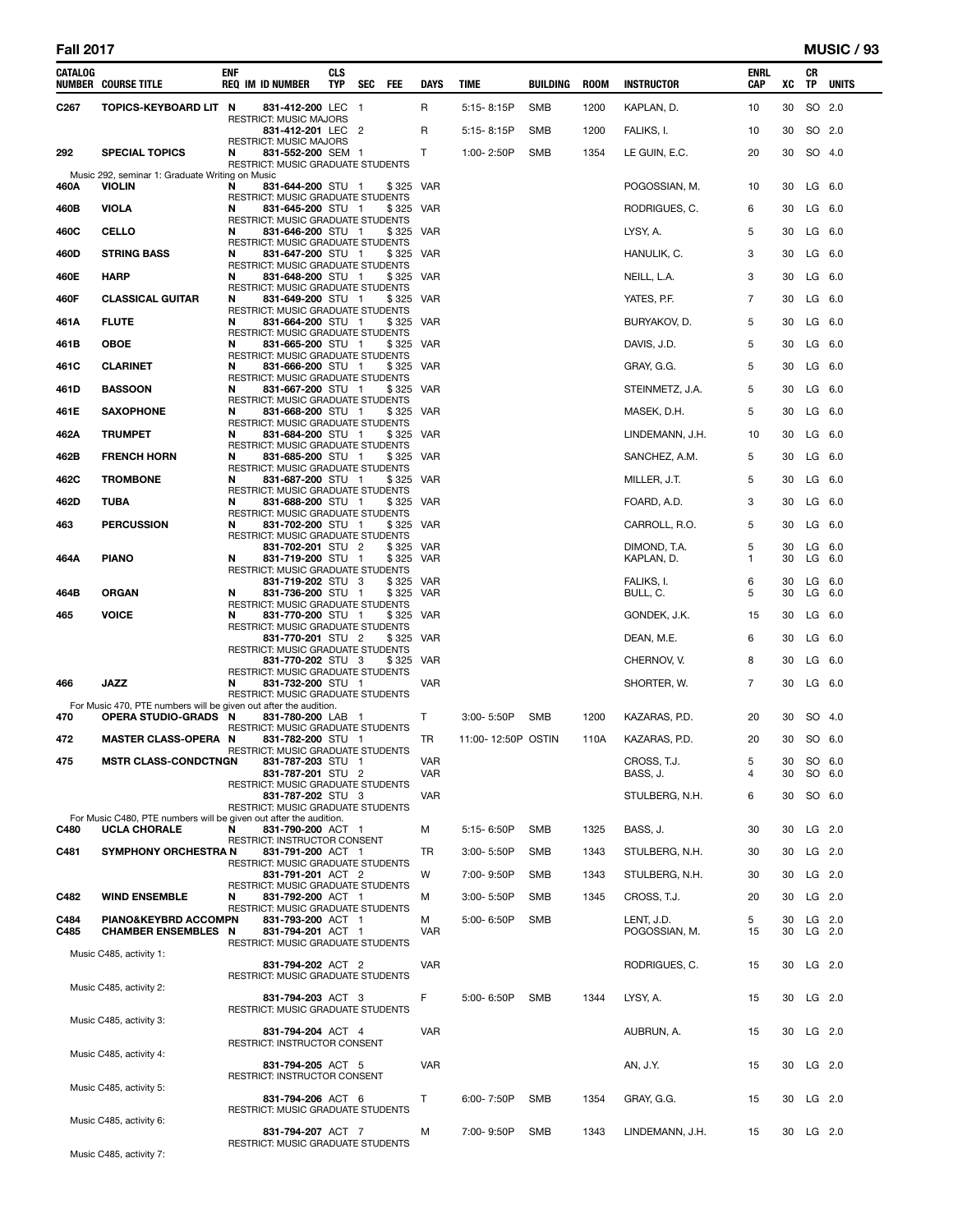L

| CATALOG          | <b>NUMBER COURSE TITLE</b>                                                                      | ENF | <b>REQ IM ID NUMBER</b>                                                                     | CLS<br>TYP | SEC | FEE                | DAYS              | TIME               | BUILDING | <b>ROOM</b> | <b>INSTRUCTOR</b>       | ENRL<br>CAP         | xс       | CR<br>TP | <b>UNITS</b>         |
|------------------|-------------------------------------------------------------------------------------------------|-----|---------------------------------------------------------------------------------------------|------------|-----|--------------------|-------------------|--------------------|----------|-------------|-------------------------|---------------------|----------|----------|----------------------|
| C <sub>267</sub> | TOPICS-KEYBOARD LIT N                                                                           |     | 831-412-200 LEC 1                                                                           |            |     |                    | R                 | 5:15-8:15P         | SMB      | 1200        | KAPLAN, D.              | 10                  | 30       |          | SO 2.0               |
|                  |                                                                                                 |     | RESTRICT: MUSIC MAJORS<br>831-412-201 LEC 2                                                 |            |     |                    | R                 | $5:15 - 8:15P$     | SMB      | 1200        | FALIKS, I.              | 10                  | 30       |          | SO 2.0               |
| 292              | <b>SPECIAL TOPICS</b>                                                                           | N   | RESTRICT: MUSIC MAJORS<br>831-552-200 SEM 1<br>RESTRICT: MUSIC GRADUATE STUDENTS            |            |     |                    | Τ                 | 1:00-2:50P         | SMB      | 1354        | LE GUIN, E.C.           | 20                  | 30       |          | SO 4.0               |
| 460A             | Music 292, seminar 1: Graduate Writing on Music<br><b>VIOLIN</b>                                | N   | 831-644-200 STU 1<br><b>RESTRICT: MUSIC GRADUATE STUDENTS</b>                               |            |     | \$325 VAR          |                   |                    |          |             | POGOSSIAN, M.           | 10                  | 30       |          | $LG$ 6.0             |
| 460B             | <b>VIOLA</b>                                                                                    | N   | 831-645-200 STU 1<br>RESTRICT: MUSIC GRADUATE STUDENTS                                      |            |     | \$325              | VAR               |                    |          |             | RODRIGUES, C.           | 6                   | 30       |          | $LG$ 6.0             |
| 460C             | CELLO                                                                                           | N   | 831-646-200 STU 1                                                                           |            |     | \$325              | VAR               |                    |          |             | LYSY, A.                | 5                   | 30       |          | $LG$ 6.0             |
| 460D             | <b>STRING BASS</b>                                                                              | N   | RESTRICT: MUSIC GRADUATE STUDENTS<br>831-647-200 STU 1                                      |            |     | \$325 VAR          |                   |                    |          |             | HANULIK, C.             | 3                   | 30       |          | $LG$ 6.0             |
| 460E             | <b>HARP</b>                                                                                     | N   | RESTRICT: MUSIC GRADUATE STUDENTS<br>831-648-200 STU 1                                      |            |     | \$325              | VAR               |                    |          |             | NEILL, L.A.             | 3                   | 30       |          | $LG$ 6.0             |
| 460F             | <b>CLASSICAL GUITAR</b>                                                                         | N   | RESTRICT: MUSIC GRADUATE STUDENTS<br>831-649-200 STU 1                                      |            |     | \$325 VAR          |                   |                    |          |             | YATES, P.F.             | 7                   | 30       |          | $LG$ 6.0             |
| 461A             | <b>FLUTE</b>                                                                                    | N   | RESTRICT: MUSIC GRADUATE STUDENTS<br>831-664-200 STU 1                                      |            |     | \$325              | VAR               |                    |          |             | BURYAKOV, D.            | 5                   | 30       |          | LG 6.0               |
| 461B             | <b>OBOE</b>                                                                                     | N   | RESTRICT: MUSIC GRADUATE STUDENTS<br>831-665-200 STU 1                                      |            |     | \$325              | VAR               |                    |          |             | DAVIS, J.D.             | 5                   | 30       |          | $LG$ 6.0             |
| 461C             | <b>CLARINET</b>                                                                                 | N   | RESTRICT: MUSIC GRADUATE STUDENTS<br>831-666-200 STU 1                                      |            |     | \$325              | VAR               |                    |          |             | GRAY, G.G.              | 5                   | 30       |          | $LG$ 6.0             |
| 461D             | <b>BASSOON</b>                                                                                  | N   | RESTRICT: MUSIC GRADUATE STUDENTS<br>831-667-200 STU 1                                      |            |     | \$325              | VAR               |                    |          |             | STEINMETZ, J.A.         | 5                   | 30       |          | $LG$ 6.0             |
| 461E             | <b>SAXOPHONE</b>                                                                                | N   | RESTRICT: MUSIC GRADUATE STUDENTS<br>831-668-200 STU 1                                      |            |     | \$325              | VAR               |                    |          |             | MASEK, D.H.             | 5                   | 30       |          | $LG$ 6.0             |
| 462A             | <b>TRUMPET</b>                                                                                  | N   | RESTRICT: MUSIC GRADUATE STUDENTS<br>831-684-200 STU 1                                      |            |     | \$325              | <b>VAR</b>        |                    |          |             | LINDEMANN, J.H.         | 10                  | 30       |          | $LG$ 6.0             |
| 462B             | <b>FRENCH HORN</b>                                                                              | N   | RESTRICT: MUSIC GRADUATE STUDENTS<br>831-685-200 STU 1                                      |            |     | \$325 VAR          |                   |                    |          |             | SANCHEZ, A.M.           | 5                   | 30       |          | $LG$ 6.0             |
| 462C             | <b>TROMBONE</b>                                                                                 | N   | RESTRICT: MUSIC GRADUATE STUDENTS<br>831-687-200 STU 1                                      |            |     | \$325              | VAR               |                    |          |             | MILLER, J.T.            | 5                   | 30       |          | LG 6.0               |
| 462D             | <b>TUBA</b>                                                                                     | N   | RESTRICT: MUSIC GRADUATE STUDENTS<br>831-688-200 STU 1                                      |            |     | \$325              | VAR               |                    |          |             | FOARD, A.D.             | 3                   | 30       |          | $LG$ 6.0             |
| 463              | <b>PERCUSSION</b>                                                                               | N   | RESTRICT: MUSIC GRADUATE STUDENTS<br>831-702-200 STU 1                                      |            |     | \$325 VAR          |                   |                    |          |             | CARROLL, R.O.           | 5                   | 30       |          | $LG$ 6.0             |
|                  |                                                                                                 |     | RESTRICT: MUSIC GRADUATE STUDENTS<br>831-702-201 STU 2                                      |            |     | \$325              | VAR               |                    |          |             | DIMOND, T.A.            | 5                   | 30       |          | $LG$ 6.0             |
| 464A             | <b>PIANO</b>                                                                                    | N   | 831-719-200 STU 1<br>RESTRICT: MUSIC GRADUATE STUDENTS                                      |            |     | \$325              | VAR               |                    |          |             | KAPLAN, D.              | 1                   | 30       |          | $LG$ 6.0             |
| 464B             | <b>ORGAN</b>                                                                                    | N   | 831-719-202 STU 3<br>831-736-200 STU 1<br>RESTRICT: MUSIC GRADUATE STUDENTS                 |            |     | \$325 VAR<br>\$325 | VAR               |                    |          |             | FALIKS, I.<br>BULL, C.  | 6<br>5              | 30<br>30 |          | $LG$ 6.0<br>$LG$ 6.0 |
| 465              | <b>VOICE</b>                                                                                    | N   | 831-770-200 STU 1                                                                           |            |     | \$325              | VAR               |                    |          |             | GONDEK, J.K.            | 15                  | 30       |          | $LG$ 6.0             |
|                  |                                                                                                 |     | RESTRICT: MUSIC GRADUATE STUDENTS<br>831-770-201 STU 2                                      |            |     | \$325              | VAR               |                    |          |             | DEAN, M.E.              | 6                   | 30       |          | $LG$ 6.0             |
|                  |                                                                                                 |     | RESTRICT: MUSIC GRADUATE STUDENTS<br>831-770-202 STU 3                                      |            |     | \$325              | VAR               |                    |          |             | CHERNOV, V.             | 8                   | 30       |          | $LG$ 6.0             |
| 466              | JAZZ                                                                                            | N   | RESTRICT: MUSIC GRADUATE STUDENTS<br>831-732-200 STU 1<br>RESTRICT: MUSIC GRADUATE STUDENTS |            |     |                    | VAR               |                    |          |             | SHORTER, W.             | $\overline{7}$      | 30       |          | $LG$ 6.0             |
| 470              | For Music 470, PTE numbers will be given out after the audition.<br><b>OPERA STUDIO-GRADS N</b> |     | 831-780-200 LAB 1                                                                           |            |     |                    | Τ                 | 3:00-5:50P         | SMB      | 1200        | KAZARAS, P.D.           | 20                  | 30       |          | SO 4.0               |
| 472              | <b>MASTER CLASS-OPERA N</b>                                                                     |     | RESTRICT: MUSIC GRADUATE STUDENTS<br>831-782-200 STU 1                                      |            |     |                    | TR                | 11:00-12:50P OSTIN |          | 110A        | KAZARAS, P.D.           | 20                  | 30       |          | SO 6.0               |
| 475              | <b>MSTR CLASS-CONDCTNGN</b>                                                                     |     | RESTRICT: MUSIC GRADUATE STUDENTS<br>831-787-203 STU 1<br>831-787-201 STU 2                 |            |     |                    | <b>VAR</b><br>VAR |                    |          |             | CROSS, T.J.<br>BASS, J. | 5 <sup>5</sup><br>4 | 30       |          | 30 SO 6.0<br>SO 6.0  |
|                  |                                                                                                 |     | RESTRICT: MUSIC GRADUATE STUDENTS<br>831-787-202 STU 3<br>RESTRICT: MUSIC GRADUATE STUDENTS |            |     |                    | <b>VAR</b>        |                    |          |             | STULBERG, N.H.          | 6                   | 30       |          | SO 6.0               |
| C480             | For Music C480. PTE numbers will be given out after the audition.<br><b>UCLA CHORALE</b>        | N   | 831-790-200 ACT 1                                                                           |            |     |                    | М                 | 5:15-6:50P         | SMB      | 1325        | BASS, J.                | 30                  | 30       |          | LG 2.0               |
| C481             | <b>SYMPHONY ORCHESTRA N</b>                                                                     |     | RESTRICT: INSTRUCTOR CONSENT<br>831-791-200 ACT 1                                           |            |     |                    | TR                | 3:00-5:50P         | SMB      | 1343        | STULBERG, N.H.          | 30                  | 30       |          | $LG$ 2.0             |
|                  |                                                                                                 |     | RESTRICT: MUSIC GRADUATE STUDENTS<br>831-791-201 ACT 2                                      |            |     |                    | W                 | 7:00-9:50P         | SMB      | 1343        | STULBERG, N.H.          | 30                  | 30       |          | $LG$ 2.0             |
| C482             | <b>WIND ENSEMBLE</b>                                                                            | N   | RESTRICT: MUSIC GRADUATE STUDENTS<br>831-792-200 ACT 1                                      |            |     |                    | м                 | 3:00-5:50P         | SMB      | 1345        | CROSS, T.J.             | 20                  | 30       |          | LG 2.0               |
| C484             | PIANO&KEYBRD ACCOMPN                                                                            |     | RESTRICT: MUSIC GRADUATE STUDENTS<br>831-793-200 ACT 1                                      |            |     |                    | м                 | 5:00-6:50P         | SMB      |             | LENT, J.D.              | 5                   | 30       |          | $LG$ 2.0             |
| C485             | <b>CHAMBER ENSEMBLES N</b>                                                                      |     | 831-794-201 ACT 1<br>RESTRICT: MUSIC GRADUATE STUDENTS                                      |            |     |                    | <b>VAR</b>        |                    |          |             | POGOSSIAN, M.           | 15                  | 30       |          | LG 2.0               |
|                  | Music C485, activity 1:                                                                         |     | 831-794-202 ACT 2                                                                           |            |     |                    | VAR               |                    |          |             | RODRIGUES, C.           | 15                  | 30       |          | $LG$ 2.0             |
|                  | Music C485, activity 2:                                                                         |     | RESTRICT: MUSIC GRADUATE STUDENTS                                                           |            |     |                    |                   |                    |          |             |                         |                     |          |          |                      |
|                  | Music C485, activity 3:                                                                         |     | 831-794-203 ACT 3<br>RESTRICT: MUSIC GRADUATE STUDENTS                                      |            |     |                    | F                 | 5:00-6:50P         | SMB      | 1344        | LYSY, A.                | 15                  | 30       |          | $LG$ 2.0             |
|                  |                                                                                                 |     | 831-794-204 ACT 4<br>RESTRICT: INSTRUCTOR CONSENT                                           |            |     |                    | <b>VAR</b>        |                    |          |             | AUBRUN, A.              | 15                  | 30       |          | $LG$ 2.0             |
|                  | Music C485, activity 4:                                                                         |     | 831-794-205 ACT 5                                                                           |            |     |                    | <b>VAR</b>        |                    |          |             | AN, J.Y.                | 15                  | 30       |          | $LG$ 2.0             |
|                  | Music C485, activity 5:                                                                         |     | RESTRICT: INSTRUCTOR CONSENT<br>831-794-206 ACT 6                                           |            |     |                    | Τ                 | 6:00-7:50P         | SMB      | 1354        | GRAY, G.G.              | 15                  | 30       |          | $LG$ 2.0             |
|                  | Music C485, activity 6:                                                                         |     | RESTRICT: MUSIC GRADUATE STUDENTS                                                           |            |     |                    |                   |                    |          |             |                         |                     |          |          |                      |
|                  | Music C485, activity 7:                                                                         |     | 831-794-207 ACT 7<br>RESTRICT: MUSIC GRADUATE STUDENTS                                      |            |     |                    | М                 | 7:00-9:50P         | SMB      | 1343        | LINDEMANN, J.H.         | 15                  |          |          | 30 LG 2.0            |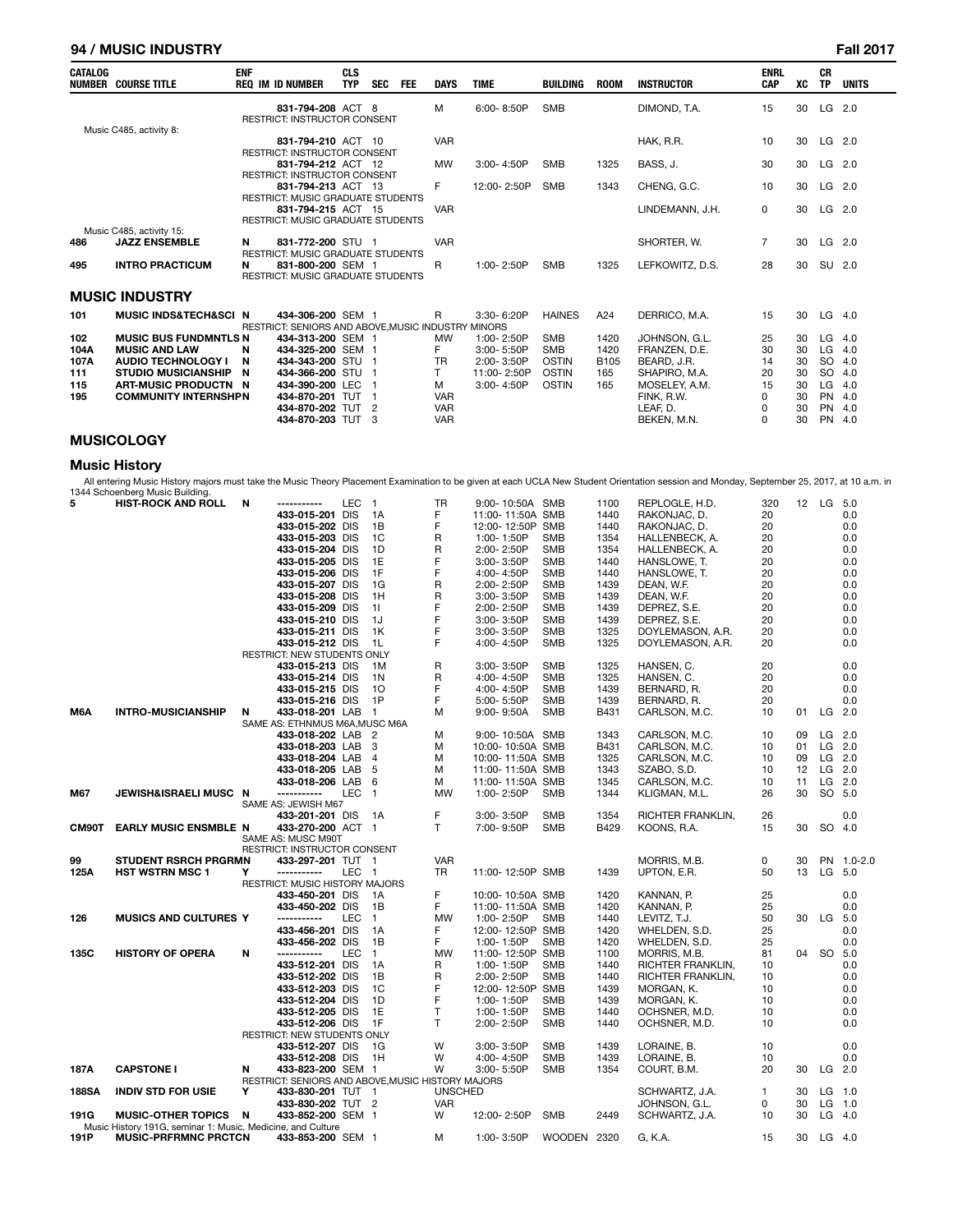## **94 / MUSIC INDUSTRY Fall 2017**

| <b>CATALOG</b> | <b>NUMBER COURSE TITLE</b>           | <b>ENF</b><br><b>REQ IM ID NUMBER</b>                              | <b>CLS</b><br><b>TYP</b> | <b>SEC</b>     | <b>FEE</b> | <b>DAYS</b> | <b>TIME</b> | BUILDING      | <b>ROOM</b> | <b>INSTRUCTOR</b> | <b>ENRL</b><br><b>CAP</b> | XC | <b>CR</b><br><b>TP</b> | <b>UNITS</b> |
|----------------|--------------------------------------|--------------------------------------------------------------------|--------------------------|----------------|------------|-------------|-------------|---------------|-------------|-------------------|---------------------------|----|------------------------|--------------|
|                |                                      | 831-794-208 ACT 8<br><b>RESTRICT: INSTRUCTOR CONSENT</b>           |                          |                |            | M           | 6:00-8:50P  | <b>SMB</b>    |             | DIMOND, T.A.      | 15                        | 30 | LG                     | 2.0          |
|                | Music C485, activity 8:              | 831-794-210 ACT 10                                                 |                          |                |            | <b>VAR</b>  |             |               |             | HAK, R.R.         | 10                        | 30 | LG                     | 2.0          |
|                |                                      | <b>RESTRICT: INSTRUCTOR CONSENT</b>                                |                          |                |            |             |             |               |             |                   |                           |    |                        |              |
|                |                                      | 831-794-212 ACT 12                                                 |                          |                |            | <b>MW</b>   | 3:00-4:50P  | <b>SMB</b>    | 1325        | BASS, J.          | 30                        | 30 | $LG$ 2.0               |              |
|                |                                      | <b>RESTRICT: INSTRUCTOR CONSENT</b>                                |                          |                |            |             |             |               |             |                   |                           |    |                        |              |
|                |                                      | 831-794-213 ACT 13                                                 |                          |                |            | F.          | 12:00-2:50P | <b>SMB</b>    | 1343        | CHENG, G.C.       | 10                        | 30 | LG                     | 2.0          |
|                |                                      | <b>RESTRICT: MUSIC GRADUATE STUDENTS</b>                           |                          |                |            |             |             |               |             |                   |                           |    |                        |              |
|                |                                      | 831-794-215 ACT 15                                                 |                          |                |            | <b>VAR</b>  |             |               |             | LINDEMANN, J.H.   | 0                         | 30 | LG                     | 2.0          |
|                |                                      | <b>RESTRICT: MUSIC GRADUATE STUDENTS</b>                           |                          |                |            |             |             |               |             |                   |                           |    |                        |              |
|                | Music C485, activity 15:             |                                                                    |                          |                |            |             |             |               |             |                   |                           |    |                        |              |
| 486            | <b>JAZZ ENSEMBLE</b>                 | 831-772-200 STU 1<br>N                                             |                          |                |            | <b>VAR</b>  |             |               |             | SHORTER, W.       | $\overline{7}$            | 30 | $LG$ 2.0               |              |
|                |                                      | <b>RESTRICT: MUSIC GRADUATE STUDENTS</b>                           |                          |                |            |             |             |               |             |                   |                           |    |                        |              |
| 495            | <b>INTRO PRACTICUM</b>               | 831-800-200 SEM 1<br>N<br><b>RESTRICT: MUSIC GRADUATE STUDENTS</b> |                          |                |            | R           | 1:00-2:50P  | <b>SMB</b>    | 1325        | LEFKOWITZ, D.S.   | 28                        | 30 | SU 2.0                 |              |
|                |                                      |                                                                    |                          |                |            |             |             |               |             |                   |                           |    |                        |              |
|                | <b>MUSIC INDUSTRY</b>                |                                                                    |                          |                |            |             |             |               |             |                   |                           |    |                        |              |
| 101            | <b>MUSIC INDS&amp;TECH&amp;SCI N</b> | 434-306-200 SEM 1                                                  |                          |                |            | R           | 3:30-6:20P  | <b>HAINES</b> | A24         | DERRICO, M.A.     | 15                        | 30 | LG                     | 4.0          |
|                |                                      | RESTRICT: SENIORS AND ABOVE MUSIC INDUSTRY MINORS                  |                          |                |            |             |             |               |             |                   |                           |    |                        |              |
| 102            | <b>MUSIC BUS FUNDMNTLS N</b>         | 434-313-200 SEM 1                                                  |                          |                |            | <b>MW</b>   | 1:00-2:50P  | <b>SMB</b>    | 1420        | JOHNSON, G.L.     | 25                        | 30 | LG                     | 4.0          |
| 104A           | <b>MUSIC AND LAW</b>                 | 434-325-200 SEM 1<br>N                                             |                          |                |            | F.          | 3:00-5:50P  | <b>SMB</b>    | 1420        | FRANZEN, D.E.     | 30                        | 30 | LG                     | 4.0          |
| 107A           | <b>AUDIO TECHNOLOGY I</b>            | N<br>434-343-200 STU 1                                             |                          |                |            | <b>TR</b>   | 2:00-3:50P  | <b>OSTIN</b>  | <b>B105</b> | BEARD, J.R.       | 14                        | 30 | <b>SO</b>              | 4.0          |
| 111            | <b>STUDIO MUSICIANSHIP</b>           | 434-366-200 STU 1<br>N                                             |                          |                |            | T.          | 11:00-2:50P | <b>OSTIN</b>  | 165         | SHAPIRO, M.A.     | 20                        | 30 | <b>SO</b>              | 4.0          |
| 115            | ART-MUSIC PRODUCTN N                 | 434-390-200 LEC                                                    |                          |                |            | м           | 3:00-4:50P  | <b>OSTIN</b>  | 165         | MOSELEY, A.M.     | 15                        | 30 | LG                     | 4.0          |
| 195            | <b>COMMUNITY INTERNSHPN</b>          | 434-870-201 TUT                                                    |                          |                |            | <b>VAR</b>  |             |               |             | FINK, R.W.        | 0                         | 30 | <b>PN</b>              | 4.0          |
|                |                                      | 434-870-202 TUT                                                    |                          | $\overline{2}$ |            | <b>VAR</b>  |             |               |             | LEAF. D.          | $\Omega$                  | 30 | <b>PN</b>              | 4.0          |
|                |                                      | 434-870-203 TUT                                                    |                          | -3             |            | <b>VAR</b>  |             |               |             | BEKEN, M.N.       | $\Omega$                  | 30 | <b>PN</b>              | 4.0          |

## **MUSICOLOGY**

## **Music History**

All entering Music History majors must take the Music Theory Placement Examination to be given at each UCLA New Student Orientation session and Monday, September 25, 2017, at 10 a.m. in 1344 Schoenberg Music Building.

| 5            | <b>HIST-ROCK AND ROLL</b>                                   | N | ------------                                       | LEC        | $\mathbf{1}$   | <b>TR</b>      | 9:00-10:50A SMB  |             | 1100 | REPLOGLE, H.D.    | 320          | 12 | LG 5.0   |            |
|--------------|-------------------------------------------------------------|---|----------------------------------------------------|------------|----------------|----------------|------------------|-------------|------|-------------------|--------------|----|----------|------------|
|              |                                                             |   | 433-015-201 DIS                                    |            | 1A             | F              | 11:00-11:50A SMB |             | 1440 | RAKONJAC, D.      | 20           |    |          | 0.0        |
|              |                                                             |   | 433-015-202 DIS                                    |            | 1B             | F              | 12:00-12:50P SMB |             | 1440 | RAKONJAC, D.      | 20           |    |          | 0.0        |
|              |                                                             |   | 433-015-203 DIS                                    |            | 1C             | R              | 1:00-1:50P       | <b>SMB</b>  | 1354 | HALLENBECK, A.    | 20           |    |          | 0.0        |
|              |                                                             |   | 433-015-204 DIS                                    |            | 1D             | R              | 2:00-2:50P       | <b>SMB</b>  | 1354 | HALLENBECK, A.    | 20           |    |          | 0.0        |
|              |                                                             |   | 433-015-205 DIS                                    |            | 1E             | F              | $3:00 - 3:50P$   | <b>SMB</b>  | 1440 | HANSLOWE, T.      | 20           |    |          | 0.0        |
|              |                                                             |   | 433-015-206 DIS                                    |            | 1F             | F              | 4:00-4:50P       | <b>SMB</b>  | 1440 | HANSLOWE, T.      | 20           |    |          | 0.0        |
|              |                                                             |   | 433-015-207 DIS                                    |            | 1G             | R              | 2:00-2:50P       | <b>SMB</b>  | 1439 | DEAN, W.F.        | 20           |    |          | 0.0        |
|              |                                                             |   | 433-015-208 DIS                                    |            | 1H             | R              | 3:00-3:50P       | <b>SMB</b>  | 1439 | DEAN, W.F.        | 20           |    |          | 0.0        |
|              |                                                             |   |                                                    |            |                | F              |                  |             |      |                   |              |    |          |            |
|              |                                                             |   | 433-015-209 DIS                                    |            | 11             |                | 2:00-2:50P       | <b>SMB</b>  | 1439 | DEPREZ, S.E.      | 20           |    |          | 0.0        |
|              |                                                             |   | 433-015-210 DIS                                    |            | 1J             | F              | 3:00-3:50P       | <b>SMB</b>  | 1439 | DEPREZ, S.E.      | 20           |    |          | 0.0        |
|              |                                                             |   | 433-015-211 DIS                                    |            | 1K             | F              | 3:00-3:50P       | <b>SMB</b>  | 1325 | DOYLEMASON, A.R.  | 20           |    |          | 0.0        |
|              |                                                             |   | 433-015-212 DIS                                    |            | 1L             | F              | 4:00-4:50P       | <b>SMB</b>  | 1325 | DOYLEMASON, A.R.  | 20           |    |          | 0.0        |
|              |                                                             |   | <b>RESTRICT: NEW STUDENTS ONLY</b>                 |            |                |                |                  |             |      |                   |              |    |          |            |
|              |                                                             |   | 433-015-213 DIS                                    |            | 1M             | R              | 3:00-3:50P       | <b>SMB</b>  | 1325 | HANSEN, C.        | 20           |    |          | 0.0        |
|              |                                                             |   | 433-015-214 DIS                                    |            | 1 <sup>N</sup> | R              | 4:00-4:50P       | <b>SMB</b>  | 1325 | HANSEN, C.        | 20           |    |          | 0.0        |
|              |                                                             |   | 433-015-215 DIS                                    |            | 10             | F              | 4:00-4:50P       | <b>SMB</b>  | 1439 | BERNARD, R.       | 20           |    |          | 0.0        |
|              |                                                             |   | 433-015-216 DIS                                    |            | 1P             | F              | 5:00-5:50P       | <b>SMB</b>  | 1439 | BERNARD, R.       | 20           |    |          | 0.0        |
| M6A          | <b>INTRO-MUSICIANSHIP</b>                                   | N | 433-018-201 LAB                                    |            | $\mathbf{1}$   | м              | $9:00 - 9:50A$   | <b>SMB</b>  | B431 | CARLSON, M.C.     | 10           | 01 | LG 2.0   |            |
|              |                                                             |   | SAME AS: ETHNMUS M6A, MUSC M6A                     |            |                |                |                  |             |      |                   |              |    |          |            |
|              |                                                             |   | 433-018-202 LAB                                    |            | 2              | м              | 9:00-10:50A SMB  |             | 1343 | CARLSON, M.C.     | 10           | 09 |          | $LG$ 2.0   |
|              |                                                             |   | 433-018-203 LAB                                    |            | 3              | м              | 10:00-10:50A SMB |             | B431 | CARLSON, M.C.     | 10           | 01 |          | LG 2.0     |
|              |                                                             |   | 433-018-204 LAB                                    |            | $\overline{4}$ | м              | 10:00-11:50A SMB |             | 1325 | CARLSON, M.C.     | 10           | 09 | LG 2.0   |            |
|              |                                                             |   | 433-018-205 LAB                                    |            | 5              | м              | 11:00-11:50A SMB |             | 1343 | SZABO, S.D.       | 10           | 12 | $LG$ 2.0 |            |
|              |                                                             |   | 433-018-206 LAB                                    |            | 6              | м              | 11:00-11:50A SMB |             | 1345 | CARLSON, M.C.     | 10           | 11 |          | $LG$ 2.0   |
| M67          | JEWISH&ISRAELI MUSC N                                       |   | -----------                                        | <b>LEC</b> | -1             | <b>MW</b>      | 1:00-2:50P       | <b>SMB</b>  | 1344 | KLIGMAN, M.L.     | 26           | 30 |          | SO 5.0     |
|              |                                                             |   | SAME AS: JEWISH M67                                |            |                |                |                  |             |      |                   |              |    |          |            |
|              |                                                             |   | 433-201-201 DIS                                    |            | 1A             | F              | 3:00-3:50P       | <b>SMB</b>  | 1354 | RICHTER FRANKLIN, | 26           |    |          | 0.0        |
| CM90T        | <b>EARLY MUSIC ENSMBLE N</b>                                |   | 433-270-200 ACT 1                                  |            |                | T.             | 7:00-9:50P       | <b>SMB</b>  | B429 | KOONS, R.A.       | 15           | 30 | SO 4.0   |            |
|              |                                                             |   |                                                    |            |                |                |                  |             |      |                   |              |    |          |            |
|              |                                                             |   | SAME AS: MUSC M90T<br>RESTRICT: INSTRUCTOR CONSENT |            |                |                |                  |             |      |                   |              |    |          |            |
| 99           | <b>STUDENT RSRCH PRGRMN</b>                                 |   | 433-297-201 TUT 1                                  |            |                | <b>VAR</b>     |                  |             |      | MORRIS, M.B.      | 0            | 30 |          | PN 1.0-2.0 |
| 125A         | <b>HST WSTRN MSC 1</b>                                      | Υ | -----------                                        | LEC 1      |                | <b>TR</b>      | 11:00-12:50P SMB |             | 1439 | UPTON, E.R.       | 50           | 13 | LG 5.0   |            |
|              |                                                             |   | RESTRICT: MUSIC HISTORY MAJORS                     |            |                |                |                  |             |      |                   |              |    |          |            |
|              |                                                             |   |                                                    |            | 1A             | F              |                  |             | 1420 |                   |              |    |          | 0.0        |
|              |                                                             |   | 433-450-201 DIS                                    |            |                |                | 10:00-10:50A SMB |             |      | KANNAN, P.        | 25           |    |          |            |
|              |                                                             |   | 433-450-202 DIS                                    |            | 1B             | F              | 11:00-11:50A SMB |             | 1420 | KANNAN, P.        | 25           |    |          | 0.0        |
| 126          | <b>MUSICS AND CULTURES Y</b>                                |   | -----------                                        | LEC        | $\mathbf{1}$   | <b>MW</b>      | 1:00-2:50P       | <b>SMB</b>  | 1440 | LEVITZ, T.J.      | 50           | 30 | $LG$ 5.0 |            |
|              |                                                             |   | 433-456-201 DIS                                    |            | 1A             | F              | 12:00-12:50P SMB |             | 1420 | WHELDEN, S.D.     | 25           |    |          | 0.0        |
|              |                                                             |   | 433-456-202 DIS                                    |            | 1B             | F              | 1:00-1:50P       | <b>SMB</b>  | 1420 | WHELDEN, S.D.     | 25           |    |          | 0.0        |
| 135C         | <b>HISTORY OF OPERA</b>                                     | N | -----------                                        | <b>LEC</b> | $\mathbf{1}$   | <b>MW</b>      | 11:00-12:50P SMB |             | 1100 | MORRIS, M.B.      | 81           | 04 | SO 5.0   |            |
|              |                                                             |   | 433-512-201 DIS                                    |            | 1A             | R              | 1:00-1:50P       | <b>SMB</b>  | 1440 | RICHTER FRANKLIN, | 10           |    |          | 0.0        |
|              |                                                             |   | 433-512-202 DIS                                    |            | 1B             | R              | 2:00-2:50P       | <b>SMB</b>  | 1440 | RICHTER FRANKLIN, | 10           |    |          | 0.0        |
|              |                                                             |   | 433-512-203 DIS                                    |            | 1C             | F              | 12:00-12:50P SMB |             | 1439 | MORGAN, K.        | 10           |    |          | 0.0        |
|              |                                                             |   | 433-512-204 DIS                                    |            | 1D             | F              | 1:00-1:50P       | <b>SMB</b>  | 1439 | MORGAN, K.        | 10           |    |          | 0.0        |
|              |                                                             |   | 433-512-205 DIS                                    |            | 1E             | T              | 1:00-1:50P       | <b>SMB</b>  | 1440 | OCHSNER, M.D.     | 10           |    |          | 0.0        |
|              |                                                             |   | 433-512-206 DIS                                    |            | 1F             | T.             | 2:00-2:50P       | <b>SMB</b>  | 1440 | OCHSNER, M.D.     | 10           |    |          | 0.0        |
|              |                                                             |   | RESTRICT: NEW STUDENTS ONLY                        |            |                |                |                  |             |      |                   |              |    |          |            |
|              |                                                             |   | 433-512-207 DIS                                    |            | 1G             | W              | 3:00-3:50P       | <b>SMB</b>  | 1439 | LORAINE, B.       | 10           |    |          | 0.0        |
|              |                                                             |   | 433-512-208 DIS                                    |            | 1H             | W              | 4:00-4:50P       | <b>SMB</b>  | 1439 | LORAINE, B.       | 10           |    |          | 0.0        |
| 187A         | <b>CAPSTONE I</b>                                           | N | 433-823-200 SEM 1                                  |            |                | W              | 3:00-5:50P       | <b>SMB</b>  | 1354 | COURT, B.M.       | 20           | 30 | LG 2.0   |            |
|              |                                                             |   | RESTRICT: SENIORS AND ABOVE, MUSIC HISTORY MAJORS  |            |                |                |                  |             |      |                   |              |    |          |            |
| <b>188SA</b> | <b>INDIV STD FOR USIE</b>                                   | Y | 433-830-201 TUT 1                                  |            |                | <b>UNSCHED</b> |                  |             |      | SCHWARTZ, J.A.    | $\mathbf{1}$ | 30 | $LG$ 1.0 |            |
|              |                                                             |   | 433-830-202 TUT 2                                  |            |                | <b>VAR</b>     |                  |             |      | JOHNSON, G.L.     | 0            | 30 | LG 1.0   |            |
| 191G         | <b>MUSIC-OTHER TOPICS</b>                                   | N | 433-852-200 SEM 1                                  |            |                | W              | 12:00-2:50P      | <b>SMB</b>  | 2449 | SCHWARTZ, J.A.    | 10           | 30 | $LG$ 4.0 |            |
|              | Music History 191G, seminar 1: Music, Medicine, and Culture |   |                                                    |            |                |                |                  |             |      |                   |              |    |          |            |
| 191P         | <b>MUSIC-PRFRMNC PRCTCN</b>                                 |   | 433-853-200 SEM 1                                  |            |                | м              | 1:00-3:50P       | WOODEN 2320 |      | G, K.A.           | 15           | 30 | $LG$ 4.0 |            |
|              |                                                             |   |                                                    |            |                |                |                  |             |      |                   |              |    |          |            |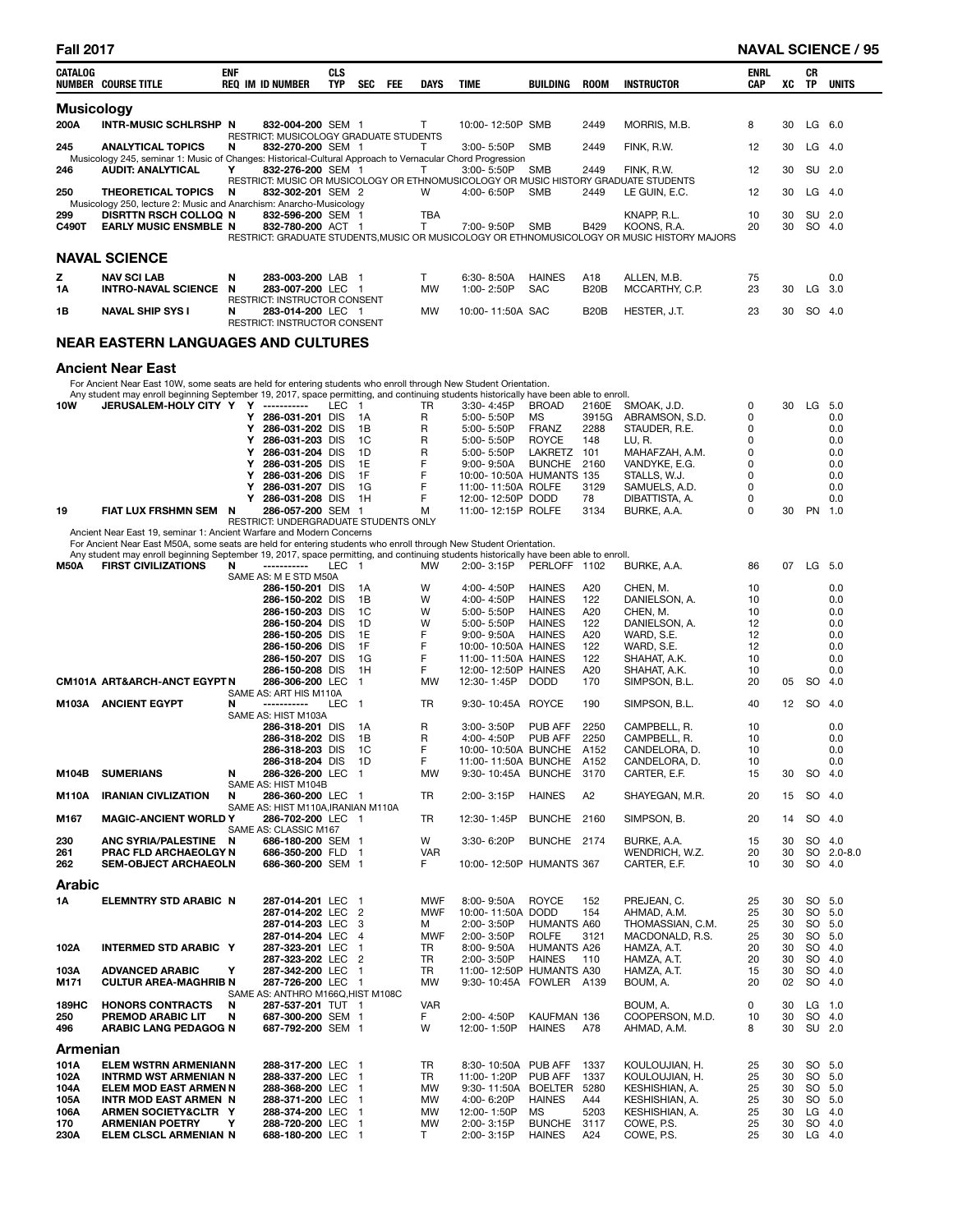| <b>CATALOG</b>    | <b>NUMBER COURSE TITLE</b>                                                                                                                                                                                                                                 | enf | <b>REQ IM ID NUMBER</b>                                     | <b>CLS</b><br>TYP |                | <b>SEC</b> | FEE | <b>DAYS</b>     | <b>TIME</b>                                         | BUILDING                       | ROOM           | <b>INSTRUCTOR</b>                                                                                          | <b>ENRL</b><br><b>CAP</b> | XC       | CR<br>TP  | <b>UNITS</b>     |
|-------------------|------------------------------------------------------------------------------------------------------------------------------------------------------------------------------------------------------------------------------------------------------------|-----|-------------------------------------------------------------|-------------------|----------------|------------|-----|-----------------|-----------------------------------------------------|--------------------------------|----------------|------------------------------------------------------------------------------------------------------------|---------------------------|----------|-----------|------------------|
| <b>Musicology</b> |                                                                                                                                                                                                                                                            |     |                                                             |                   |                |            |     |                 |                                                     |                                |                |                                                                                                            |                           |          |           |                  |
| 200A              | INTR-MUSIC SCHLRSHP N                                                                                                                                                                                                                                      |     | 832-004-200 SEM 1                                           |                   |                |            |     | т               | 10:00-12:50P SMB                                    |                                | 2449           | MORRIS, M.B.                                                                                               | 8                         | 30       |           | $LG$ 6.0         |
| 245               | <b>ANALYTICAL TOPICS</b>                                                                                                                                                                                                                                   | N   | RESTRICT: MUSICOLOGY GRADUATE STUDENTS<br>832-270-200 SEM 1 |                   |                |            |     | Τ               | 3:00-5:50P                                          | <b>SMB</b>                     | 2449           | FINK, R.W.                                                                                                 | 12                        | 30       |           | $LG$ 4.0         |
|                   | Musicology 245, seminar 1: Music of Changes: Historical-Cultural Approach to Vernacular Chord Progression                                                                                                                                                  |     |                                                             |                   |                |            |     |                 |                                                     |                                |                |                                                                                                            |                           |          |           |                  |
| 246               | <b>AUDIT: ANALYTICAL</b>                                                                                                                                                                                                                                   | Y   | 832-276-200 SEM 1                                           |                   |                |            |     | т               | 3:00-5:50P                                          | <b>SMB</b>                     | 2449           | FINK, R.W.<br>RESTRICT: MUSIC OR MUSICOLOGY OR ETHNOMUSICOLOGY OR MUSIC HISTORY GRADUATE STUDENTS          | 12                        | 30       |           | SU 2.0           |
| 250               | <b>THEORETICAL TOPICS</b><br>Musicology 250, lecture 2: Music and Anarchism: Anarcho-Musicology                                                                                                                                                            | N   | 832-302-201 SEM 2                                           |                   |                |            |     | W               | 4:00-6:50P                                          | <b>SMB</b>                     | 2449           | LE GUIN, E.C.                                                                                              | 12                        | 30       |           | $LG$ 4.0         |
| 299               | <b>DISRTTN RSCH COLLOQ N</b>                                                                                                                                                                                                                               |     | 832-596-200 SEM 1                                           |                   |                |            |     | <b>TBA</b>      |                                                     |                                |                | KNAPP, R.L.                                                                                                | 10                        | 30       |           | SU 2.0           |
| C490T             | <b>EARLY MUSIC ENSMBLE N</b>                                                                                                                                                                                                                               |     | 832-780-200 ACT 1                                           |                   |                |            |     | Τ               | 7:00-9:50P                                          | <b>SMB</b>                     | B429           | KOONS, R.A.<br>RESTRICT: GRADUATE STUDENTS, MUSIC OR MUSICOLOGY OR ETHNOMUSICOLOGY OR MUSIC HISTORY MAJORS | 20                        | 30       |           | SO 4.0           |
|                   | <b>NAVAL SCIENCE</b>                                                                                                                                                                                                                                       |     |                                                             |                   |                |            |     |                 |                                                     |                                |                |                                                                                                            |                           |          |           |                  |
| z                 | <b>NAV SCI LAB</b>                                                                                                                                                                                                                                         | N   | 283-003-200 LAB 1                                           |                   |                |            |     | T               | 6:30-8:50A                                          | <b>HAINES</b>                  | A18            | ALLEN, M.B.                                                                                                | 75                        |          |           | 0.0              |
| 1Α                | <b>INTRO-NAVAL SCIENCE</b>                                                                                                                                                                                                                                 | N   | 283-007-200 LEC 1                                           |                   |                |            |     | <b>MW</b>       | 1:00-2:50P                                          | <b>SAC</b>                     | <b>B20B</b>    | MCCARTHY, C.P.                                                                                             | 23                        | 30       | LG        | 3.0              |
| 1В                | <b>NAVAL SHIP SYS I</b>                                                                                                                                                                                                                                    | N   | RESTRICT: INSTRUCTOR CONSENT<br>283-014-200 LEC 1           |                   |                |            |     | <b>MW</b>       | 10:00-11:50A SAC                                    |                                | <b>B20B</b>    | HESTER, J.T.                                                                                               | 23                        | 30       |           | SO 4.0           |
|                   |                                                                                                                                                                                                                                                            |     | RESTRICT: INSTRUCTOR CONSENT                                |                   |                |            |     |                 |                                                     |                                |                |                                                                                                            |                           |          |           |                  |
|                   | <b>NEAR EASTERN LANGUAGES AND CULTURES</b>                                                                                                                                                                                                                 |     |                                                             |                   |                |            |     |                 |                                                     |                                |                |                                                                                                            |                           |          |           |                  |
|                   |                                                                                                                                                                                                                                                            |     |                                                             |                   |                |            |     |                 |                                                     |                                |                |                                                                                                            |                           |          |           |                  |
|                   | <b>Ancient Near East</b><br>For Ancient Near East 10W, some seats are held for entering students who enroll through New Student Orientation.                                                                                                               |     |                                                             |                   |                |            |     |                 |                                                     |                                |                |                                                                                                            |                           |          |           |                  |
|                   | Any student may enroll beginning September 19, 2017, space permitting, and continuing students historically have been able to enroll.                                                                                                                      |     |                                                             |                   |                |            |     |                 |                                                     |                                |                |                                                                                                            |                           |          |           |                  |
| 10W               | JERUSALEM-HOLY CITY Y Y -----------                                                                                                                                                                                                                        |     | Y 286-031-201 DIS                                           |                   | LEC 1<br>1A    |            |     | TR<br>R         | 3:30-4:45P<br>5:00-5:50P                            | <b>BROAD</b><br>MS             | 2160E<br>3915G | SMOAK, J.D.<br>ABRAMSON, S.D.                                                                              | 0<br>0                    | 30       |           | LG 5.0<br>0.0    |
|                   |                                                                                                                                                                                                                                                            |     | Υ<br>286-031-202 DIS                                        |                   | 1B             |            |     | R               | 5:00-5:50P                                          | <b>FRANZ</b>                   | 2288           | STAUDER, R.E.                                                                                              | 0                         |          |           | 0.0              |
|                   |                                                                                                                                                                                                                                                            |     | Υ<br>286-031-203 DIS                                        |                   | 1C             |            |     | R               | 5:00-5:50P                                          | <b>ROYCE</b>                   | 148            | LU, R.                                                                                                     | 0                         |          |           | 0.0              |
|                   |                                                                                                                                                                                                                                                            |     | 286-031-204 DIS<br>Υ                                        |                   | 1D             |            |     | R               | 5:00-5:50P                                          | LAKRETZ                        | 101            | MAHAFZAH, A.M.                                                                                             | 0                         |          |           | 0.0              |
|                   |                                                                                                                                                                                                                                                            |     | Υ<br>286-031-205 DIS<br>286-031-206 DIS<br>Υ                |                   | 1E<br>1F       |            |     | F<br>F          | $9:00 - 9:50A$<br>10:00-10:50A HUMANTS 135          | BUNCHE 2160                    |                | VANDYKE, E.G.<br>STALLS, W.J.                                                                              | 0<br>0                    |          |           | 0.0<br>0.0       |
|                   |                                                                                                                                                                                                                                                            |     | Υ<br>286-031-207 DIS                                        |                   | 1G             |            |     | F               | 11:00-11:50A ROLFE                                  |                                | 3129           | SAMUELS, A.D.                                                                                              | 0                         |          |           | 0.0              |
|                   |                                                                                                                                                                                                                                                            |     | Y 286-031-208 DIS                                           |                   | 1H             |            |     | F               | 12:00-12:50P DODD                                   |                                | 78             | DIBATTISTA, A.                                                                                             | 0                         |          |           | 0.0              |
| 19                | FIAT LUX FRSHMN SEM N                                                                                                                                                                                                                                      |     | 286-057-200 SEM 1<br>RESTRICT: UNDERGRADUATE STUDENTS ONLY  |                   |                |            |     | м               | 11:00-12:15P ROLFE                                  |                                | 3134           | BURKE, A.A.                                                                                                | 0                         | 30       |           | PN 1.0           |
|                   | Ancient Near East 19, seminar 1: Ancient Warfare and Modern Concerns                                                                                                                                                                                       |     |                                                             |                   |                |            |     |                 |                                                     |                                |                |                                                                                                            |                           |          |           |                  |
|                   | For Ancient Near East M50A, some seats are held for entering students who enroll through New Student Orientation.<br>Any student may enroll beginning September 19, 2017, space permitting, and continuing students historically have been able to enroll. |     |                                                             |                   |                |            |     |                 |                                                     |                                |                |                                                                                                            |                           |          |           |                  |
| <b>M50A</b>       | <b>FIRST CIVILIZATIONS</b>                                                                                                                                                                                                                                 | N   | -----------                                                 | LEC               | $\blacksquare$ |            |     | <b>MW</b>       | 2:00-3:15P                                          | PERLOFF 1102                   |                | BURKE, A.A.                                                                                                | 86                        | 07       |           | LG 5.0           |
|                   |                                                                                                                                                                                                                                                            |     | SAME AS: M E STD M50A                                       |                   |                |            |     |                 |                                                     |                                |                |                                                                                                            |                           |          |           |                  |
|                   |                                                                                                                                                                                                                                                            |     | 286-150-201 DIS<br>286-150-202 DIS                          |                   | 1A<br>1B       |            |     | W<br>W          | 4:00-4:50P<br>4:00-4:50P                            | <b>HAINES</b><br><b>HAINES</b> | A20<br>122     | CHEN, M.<br>DANIELSON, A.                                                                                  | 10<br>10                  |          |           | 0.0<br>0.0       |
|                   |                                                                                                                                                                                                                                                            |     | 286-150-203 DIS                                             |                   |                | 1C         |     | W               | 5:00-5:50P                                          | <b>HAINES</b>                  | A20            | CHEN, M.                                                                                                   | 10                        |          |           | 0.0              |
|                   |                                                                                                                                                                                                                                                            |     | 286-150-204 DIS                                             |                   | 1D             |            |     | W               | 5:00-5:50P                                          | <b>HAINES</b>                  | 122            | DANIELSON, A.                                                                                              | 12                        |          |           | 0.0              |
|                   |                                                                                                                                                                                                                                                            |     | 286-150-205 DIS                                             |                   | 1E             |            |     | F               | $9:00 - 9:50A$                                      | <b>HAINES</b>                  | A20            | WARD, S.E.                                                                                                 | 12                        |          |           | 0.0              |
|                   |                                                                                                                                                                                                                                                            |     | 286-150-206 DIS<br>286-150-207 DIS                          |                   | 1F             | 1G         |     | F<br>F          | 10:00-10:50A HAINES<br>11:00-11:50A HAINES          |                                | 122<br>122     | WARD, S.E.<br>SHAHAT, A.K.                                                                                 | 12<br>10                  |          |           | 0.0<br>0.0       |
|                   |                                                                                                                                                                                                                                                            |     | 286-150-208 DIS                                             |                   | 1H             |            |     | F               | 12:00-12:50P HAINES                                 |                                | A20            | SHAHAT, A.K.                                                                                               | 10                        |          |           | 0.0              |
|                   | CM101A ART&ARCH-ANCT EGYPTN                                                                                                                                                                                                                                |     | 286-306-200 LEC                                             |                   | 1              |            |     | <b>MW</b>       | 12:30-1:45P                                         | <b>DODD</b>                    | 170            | SIMPSON, B.L.                                                                                              | 20                        | 05       |           | SO 4.0           |
|                   | M103A ANCIENT EGYPT                                                                                                                                                                                                                                        | N   | SAME AS: ART HIS M110A<br>-----------                       | LEC               | $\overline{1}$ |            |     | TR              | 9:30-10:45A ROYCE                                   |                                | 190            | SIMPSON, B.L.                                                                                              | 40                        | 12       |           | SO 4.0           |
|                   |                                                                                                                                                                                                                                                            |     | SAME AS: HIST M103A                                         |                   |                |            |     |                 |                                                     |                                |                |                                                                                                            |                           |          |           |                  |
|                   |                                                                                                                                                                                                                                                            |     | 286-318-201 DIS<br>286-318-202 DIS                          |                   | 1A<br>1B       |            |     | R<br>R          | $3:00 - 3:50P$<br>4:00-4:50P                        | PUB AFF<br>PUB AFF             | 2250<br>2250   | CAMPBELL, R.<br>CAMPBELL, R.                                                                               | 10<br>10                  |          |           | 0.0<br>0.0       |
|                   |                                                                                                                                                                                                                                                            |     | 286-318-203 DIS                                             |                   | 1C             |            |     | F               | 10:00-10:50A BUNCHE                                 |                                | A152           | CANDELORA. D.                                                                                              | 10                        |          |           | 0.0              |
|                   |                                                                                                                                                                                                                                                            |     | 286-318-204 DIS 1D                                          |                   |                |            |     | F               | 11:00-11:50A BUNCHE                                 |                                | A152           | CANDELORA, D.                                                                                              | 10                        |          |           | 0.0              |
| M104B             | <b>SUMERIANS</b>                                                                                                                                                                                                                                           | N   | 286-326-200 LEC 1<br>SAME AS: HIST M104B                    |                   |                |            |     | MW              | 9:30- 10:45A BUNCHE                                 |                                | 3170           | CARTER, E.F.                                                                                               | 15                        | 30       |           | SO 4.0           |
| <b>M110A</b>      | <b>IRANIAN CIVLIZATION</b>                                                                                                                                                                                                                                 | N   | 286-360-200 LEC 1                                           |                   |                |            |     | TR              | 2:00-3:15P                                          | <b>HAINES</b>                  | A <sub>2</sub> | SHAYEGAN, M.R.                                                                                             | 20                        | 15       |           | SO 4.0           |
|                   |                                                                                                                                                                                                                                                            |     | SAME AS: HIST M110A, IRANIAN M110A                          |                   |                |            |     |                 |                                                     |                                |                |                                                                                                            |                           |          |           |                  |
| M167              | <b>MAGIC-ANCIENT WORLD Y</b>                                                                                                                                                                                                                               |     | 286-702-200 LEC 1<br>SAME AS: CLASSIC M167                  |                   |                |            |     | TR              | 12:30-1:45P                                         | BUNCHE 2160                    |                | SIMPSON, B.                                                                                                | 20                        | 14       |           | SO 4.0           |
| 230               | ANC SYRIA/PALESTINE N                                                                                                                                                                                                                                      |     | 686-180-200 SEM 1                                           |                   |                |            |     | W               | 3:30-6:20P                                          | BUNCHE 2174                    |                | BURKE, A.A.                                                                                                | 15                        | 30       |           | SO 4.0           |
| 261               | PRAC FLD ARCHAEOLGY N                                                                                                                                                                                                                                      |     | 686-350-200 FLD 1                                           |                   |                |            |     | <b>VAR</b>      |                                                     |                                |                | WENDRICH, W.Z.                                                                                             | 20                        | 30       |           | SO 2.0-8.0       |
| 262               | <b>SEM-OBJECT ARCHAEOLN</b>                                                                                                                                                                                                                                |     | 686-360-200 SEM 1                                           |                   |                |            |     | F.              | 10:00-12:50P HUMANTS 367                            |                                |                | CARTER, E.F.                                                                                               | 10                        | 30       |           | SO 4.0           |
| Arabic            |                                                                                                                                                                                                                                                            |     |                                                             |                   |                |            |     |                 |                                                     |                                |                |                                                                                                            |                           |          |           |                  |
| 1A                | ELEMNTRY STD ARABIC N                                                                                                                                                                                                                                      |     | 287-014-201 LEC 1                                           |                   |                |            |     | <b>MWF</b>      | 8:00-9:50A                                          | <b>ROYCE</b>                   | 152            | PREJEAN, C.                                                                                                | 25                        | 30       |           | SO 5.0           |
|                   |                                                                                                                                                                                                                                                            |     | 287-014-202 LEC 2<br>287-014-203 LEC                        |                   |                |            |     | <b>MWF</b>      | 10:00-11:50A DODD                                   |                                | 154            | AHMAD, A.M.<br>THOMASSIAN, C.M.                                                                            | 25                        | 30       |           | SO 5.0           |
|                   |                                                                                                                                                                                                                                                            |     | 287-014-204 LEC                                             |                   | -3<br>-4       |            |     | м<br><b>MWF</b> | 2:00-3:50P<br>2:00-3:50P                            | HUMANTS A60<br><b>ROLFE</b>    | 3121           | MACDONALD, R.S.                                                                                            | 25<br>25                  | 30<br>30 |           | SO 5.0<br>SO 5.0 |
| 102A              | <b>INTERMED STD ARABIC Y</b>                                                                                                                                                                                                                               |     | 287-323-201 LEC                                             |                   | $\mathbf{1}$   |            |     | TR              | 8:00-9:50A                                          | <b>HUMANTS A26</b>             |                | HAMZA, A.T.                                                                                                | 20                        | 30       |           | SO 4.0           |
|                   |                                                                                                                                                                                                                                                            |     | 287-323-202 LEC 2                                           |                   |                |            |     | TR              | 2:00-3:50P                                          | <b>HAINES</b>                  | 110            | HAMZA, A.T.                                                                                                | 20                        | 30       |           | SO 4.0           |
| 103A<br>M171      | <b>ADVANCED ARABIC</b><br><b>CULTUR AREA-MAGHRIB N</b>                                                                                                                                                                                                     | Y   | 287-342-200 LEC<br>287-726-200 LEC 1                        |                   | $\mathbf{1}$   |            |     | TR<br><b>MW</b> | 11:00-12:50P HUMANTS A30<br>9:30-10:45A FOWLER A139 |                                |                | HAMZA, A.T.<br>BOUM, A.                                                                                    | 15<br>20                  | 30<br>02 |           | SO 4.0<br>SO 4.0 |
|                   |                                                                                                                                                                                                                                                            |     | SAME AS: ANTHRO M166Q, HIST M108C                           |                   |                |            |     |                 |                                                     |                                |                |                                                                                                            |                           |          |           |                  |
| 189HC             | <b>HONORS CONTRACTS</b>                                                                                                                                                                                                                                    | N   | 287-537-201 TUT 1                                           |                   |                |            |     | VAR             |                                                     |                                |                | BOUM, A.                                                                                                   | 0                         | 30       |           | $LG$ 1.0         |
| 250               | PREMOD ARABIC LIT                                                                                                                                                                                                                                          | N   | 687-300-200 SEM 1                                           |                   |                |            |     | F.              | 2:00-4:50P                                          | KAUFMAN 136                    |                | COOPERSON, M.D.                                                                                            | 10                        | 30       |           | SO 4.0           |
| 496               | <b>ARABIC LANG PEDAGOG N</b>                                                                                                                                                                                                                               |     | 687-792-200 SEM 1                                           |                   |                |            |     | w               | 12:00-1:50P                                         | HAINES                         | A78            | AHMAD, A.M.                                                                                                | 8                         | 30       |           | SU 2.0           |
| Armenian          |                                                                                                                                                                                                                                                            |     |                                                             |                   |                |            |     |                 |                                                     |                                |                |                                                                                                            |                           |          |           |                  |
| 101A              | <b>ELEM WSTRN ARMENIANN</b>                                                                                                                                                                                                                                |     | 288-317-200 LEC 1                                           |                   |                |            |     | TR              | 8:30-10:50A PUB AFF 1337                            |                                |                | KOULOUJIAN, H.                                                                                             | 25                        |          | 30 SO 5.0 |                  |

**102A INTRMD WST ARMENIAN N 288-337-200** LEC 1 TR 11:00- 1:20P PUB AFF 1337 KOULOUJIAN, H. 25 30 SO 5.0<br>**104A ELEM MOD EAST ARMEN N 288-368-200** LEC 1 **101A ELEM WSTRN ARMENIANN 288-317-200** LEC 1 TR 8:30-10:50A PUB AFF 1337 KOULOUJIAN, H. 25 30 SO 5.0<br> **102A INTR MOD EAST ARMENIAN 288-387-200** LEC 1 TR 11:00-1:20P PUB AFF 1337 KOULOUJIAN, H. 25 30 SO 5.0<br> **104A ELEM MOD 106A ARMEN SOCIETY&CLTR Y 288-374-200** LEC 1 MW 12:00-1:50P MS 5203 KESHISHIAN, A. 25 30 LG 4.0<br>**170 ARMENIAN POETRY Y 288-720-200** LEC 1 MW 2:00- 3:15P BUNCHE 3117 COWE, P **220A ARMENIAN POETRY Y 268-720-200** LEC 1 MW 2:00-3:15P BUNCHE 3117 COWE, P.S. 2545 **P. 25 268-180-200** LEC 1 T 2:00-3:15P BUNCHE 3117 COWE, P.S. 250A **ELEM CLSCL ARMENIAN N** 688-180-200 LEC 1 T 2:00-3:15P HAINES A24 COWE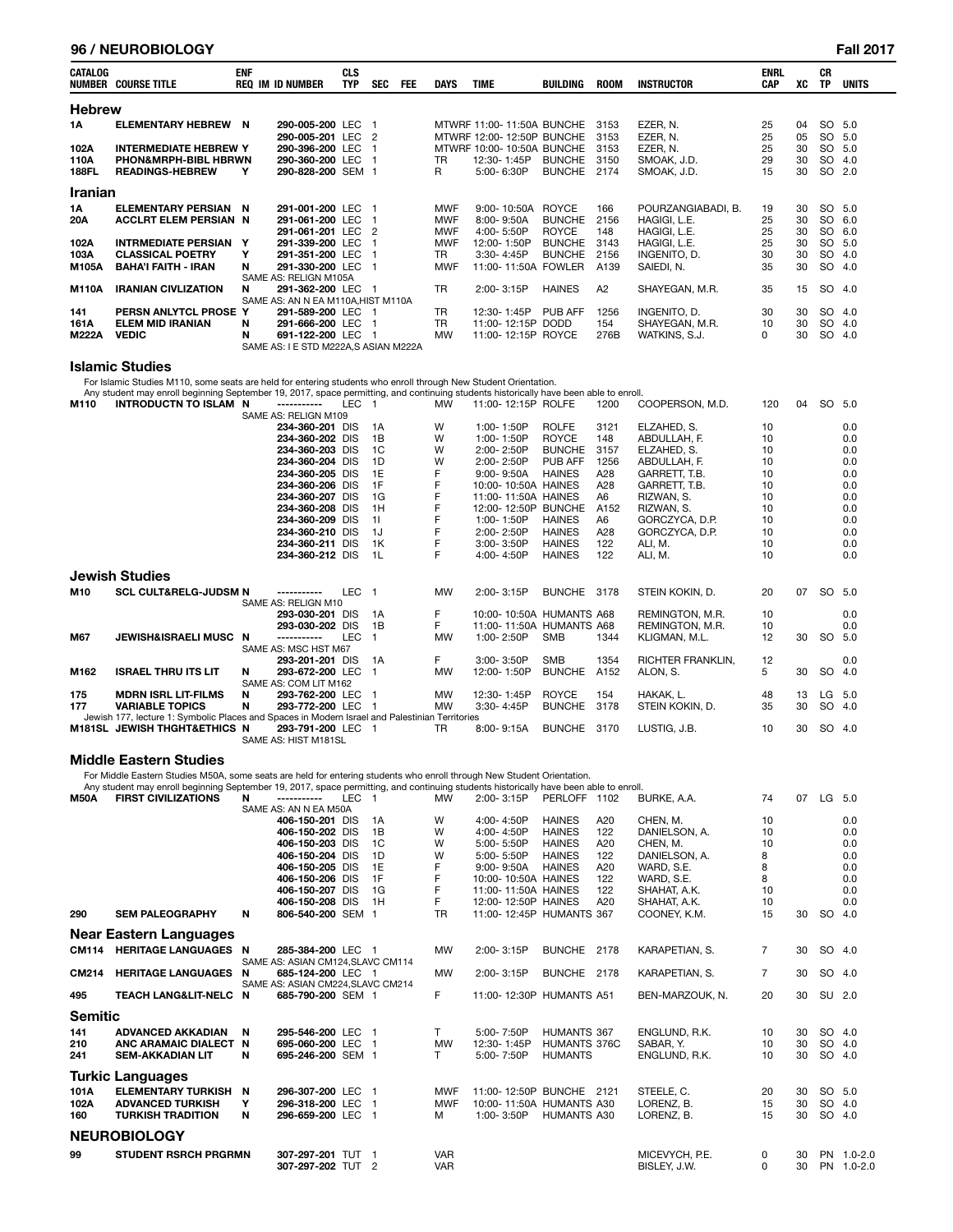#### **96 / NEUROBIOLOGY Fall 2017**

| CATALOG        | <b>NUMBER COURSE TITLE</b>      | <b>ENF</b> | <b>REQ IM ID NUMBER</b>               | <b>CLS</b><br><b>TYP</b> | <b>SEC</b> | <b>FEE</b> | <b>DAYS</b> | <b>TIME</b>               | <b>BUILDING</b> | <b>ROOM</b> | <b>INSTRUCTOR</b>  | <b>ENRL</b><br><b>CAP</b> | XC | <b>CR</b><br><b>TP</b> | <b>UNITS</b> |
|----------------|---------------------------------|------------|---------------------------------------|--------------------------|------------|------------|-------------|---------------------------|-----------------|-------------|--------------------|---------------------------|----|------------------------|--------------|
| <b>Hebrew</b>  |                                 |            |                                       |                          |            |            |             |                           |                 |             |                    |                           |    |                        |              |
| 1Α             | ELEMENTARY HEBREW N             |            | 290-005-200 LEC                       |                          |            |            |             | MTWRF 11:00-11:50A BUNCHE |                 | 3153        | EZER, N.           | 25                        | 04 | SO 5.0                 |              |
|                |                                 |            | 290-005-201 LEC 2                     |                          |            |            |             | MTWRF 12:00-12:50P BUNCHE |                 | 3153        | EZER. N.           | 25                        | 05 | SO                     | -5.0         |
| 102A           | <b>INTERMEDIATE HEBREW Y</b>    |            | 290-396-200 LEC                       |                          |            |            |             | MTWRF 10:00-10:50A BUNCHE |                 | 3153        | EZER. N.           | 25                        | 30 | SO.                    | 5.0          |
| 110A           | <b>PHON&amp;MRPH-BIBL HBRWN</b> |            | 290-360-200 LEC                       |                          |            |            | TR          | 12:30-1:45P               | <b>BUNCHE</b>   | 3150        | SMOAK, J.D.        | 29                        | 30 | <b>SO</b>              | 4.0          |
| <b>188FL</b>   | <b>READINGS-HEBREW</b>          | Υ          | 290-828-200 SEM 1                     |                          |            |            | R           | 5:00-6:30P                | <b>BUNCHE</b>   | 2174        | SMOAK, J.D.        | 15                        | 30 | SO                     | 2.0          |
| <b>Iranian</b> |                                 |            |                                       |                          |            |            |             |                           |                 |             |                    |                           |    |                        |              |
| 1A             | ELEMENTARY PERSIAN N            |            | 291-001-200 LEC                       |                          |            |            | <b>MWF</b>  | 9:00-10:50A               | ROYCE           | 166         | POURZANGIABADI, B. | 19                        | 30 | SO 5.0                 |              |
| 20A            | <b>ACCLRT ELEM PERSIAN N</b>    |            | 291-061-200 LEC                       |                          |            |            | <b>MWF</b>  | 8:00-9:50A                | <b>BUNCHE</b>   | 2156        | HAGIGI, L.E.       | 25                        | 30 | SO 6.0                 |              |
|                |                                 |            | 291-061-201 LEC 2                     |                          |            |            | <b>MWF</b>  | 4:00-5:50P                | <b>ROYCE</b>    | 148         | HAGIGI, L.E.       | 25                        | 30 | SO 6.0                 |              |
| 102A           | <b>INTRMEDIATE PERSIAN</b>      | Y          | 291-339-200 LEC                       |                          |            |            | <b>MWF</b>  | 12:00-1:50P               | <b>BUNCHE</b>   | 3143        | HAGIGI. L.E.       | 25                        | 30 | SO.                    | 5.0          |
| 103A           | <b>CLASSICAL POETRY</b>         | Y          | 291-351-200 LEC                       |                          |            |            | TR          | 3:30-4:45P                | <b>BUNCHE</b>   | 2156        | INGENITO. D.       | 30                        | 30 | SO                     | 4.0          |
| M105A          | <b>BAHA'I FAITH - IRAN</b>      | N          | 291-330-200 LEC                       |                          |            |            | <b>MWF</b>  | 11:00-11:50A FOWLER       |                 | A139        | SAIEDI, N.         | 35                        | 30 | <b>SO</b>              | 4.0          |
|                |                                 |            | SAME AS: RELIGN M105A                 |                          |            |            |             |                           |                 |             |                    |                           |    |                        |              |
| <b>M110A</b>   | <b>IRANIAN CIVLIZATION</b>      | N          | 291-362-200 LEC 1                     |                          |            |            | TR          | 2:00-3:15P                | <b>HAINES</b>   | A2          | SHAYEGAN, M.R.     | 35                        | 15 | SO 4.0                 |              |
|                |                                 |            | SAME AS: AN N EA M110A, HIST M110A    |                          |            |            |             |                           |                 |             |                    |                           |    |                        |              |
| 141            | PERSN ANLYTCL PROSE Y           |            | 291-589-200 LEC                       |                          |            |            | TR          | 12:30-1:45P               | PUB AFF         | 1256        | INGENITO, D.       | 30                        | 30 | SO 4.0                 |              |
| 161A           | <b>ELEM MID IRANIAN</b>         | N          | 291-666-200 LEC                       |                          |            |            | TR          | 11:00-12:15P DODD         |                 | 154         | SHAYEGAN, M.R.     | 10                        | 30 | SO                     | 4.0          |
| <b>M222A</b>   | <b>VEDIC</b>                    | N          | 691-122-200 LEC                       |                          |            |            | <b>MW</b>   | 11:00-12:15P ROYCE        |                 | 276B        | WATKINS, S.J.      | 0                         | 30 | <b>SO</b>              | 4.0          |
|                |                                 |            | SAME AS: I E STD M222A, S ASIAN M222A |                          |            |            |             |                           |                 |             |                    |                           |    |                        |              |

#### **Islamic Studies**

For Islamic Studies M110, some seats are held for entering students who enroll through New Student Orientation.

Any student may enroll beginning September 19, 2017, space permitting, and continuing students historically have been able to enroll.<br>10 INTRODUCTN TO ISLAM N ------------ LEC 1 MW 11:00-12:15P ROLFE 1200 COOPERSON, M.D.

**M110 INTRODUCTN TO ISLAM N -----------** LEC 1 MW 11:00- 12:15P ROLFE 1200 COOPERSON, M.D. 120 04 SO 5.0 SAME AS: RELIGN M109 **234-360-201** DIS 1A W 1:00-1:50P ROLFE 3121 ELZAHED, S. 10 0.0 0.0<br>**234-360-202** DIS 1B W 1:00-1:50P ROYCE 148 ABDULLAH, F. 10 0.0 0.0 **234-360-202** DIS 1B W 1:00-1:50P ROYCE 148 ABDULLAH, F. 10 0.0 0.0<br>**234-360-203** DIS 1C W 2:00-2:50P BUNCHE 3157 ELZAHED.S. 10 0.0 0.0 **234-360-203** DIS 1C W 2:00-2:50P BUNCHE 3157 ELZAHED, S. 10 10 0.0 **234-360-204** DIS 1D W 2:00- 2:50P PUB AFF 1256 ABDULLAH, F. 10 0.0 **234-360-205** DIS 1E F 9:00- 9:50A HAINES A28 GARRETT, T.B. 10 0.0 0.0 **234-360-206** DIS 1F F 10:00-10:50A HAINES A28 GARRETT, T.B. 10 0.0<br>**234-360-207** DIS 1G F 11:00-11:50A HAINES A6 RIZWAN, S. 10 10 0.0 **234-360-207** DIS 1G F 11:00-11:50A HAINES A6 RIZWAN, S. 10 0.0 0.0<br>**234-360-208** DIS 1H F 12:00-12:50P BUNCHE A152 RIZWAN, S. 10 0.0 0.0 **234-360-208** DIS 1H F 12:00-12:50P BUNCHE A152 RIZWAN, S. 10 10 0.0<br>**234-360-209** DIS 1I F 1:00-1:50P HAINES A6 GORCZYCA. D.P. 10 0.0 **234-360-209** DIS 1I F 1:00-1:50P HAINES A6 GORCZYCA, D.P. 10 0.0  **234-360-210** DIS 1J F 2:00- 2:50P HAINES A28 GORCZYCA, D.P. 10 0.0 **234-360-211** DIS 1K F 3:00-3:50P HAINES 122 ALI, M. 10 0.0 0.0 **234-360-212** DIS 1L F 4:00- 4:50P HAINES 122 ALI, M. 10 0.0 0.0 **Jewish Studies M10 SCL CULT&RELG-JUDSM N -----------** LEC 1 MW 2:00- 3:15P BUNCHE 3178 STEIN KOKIN, D. 20 07 SO 5.0 SAME AS: RELIGN M10<br>**293-030-201** DIS  **293-030-201** DIS 1A F 10:00- 10:50A HUMANTS A68 REMINGTON, M.R. 10 0.0  **293-030-202** DIS 1B F 11:00- 11:50A HUMANTS A68 REMINGTON, M.R. 10 0.0 **JEWISH&ISRAELI MUSC N -----------** LEC 1 MW 1:00-2:50P SMB 1344 KLIGMAN, M.L. 12 30 SO 5.0 SAME AS: MSC HST M67<br>**293-201-201** DIS **134 RICHTER FRANKLIN, 12 293-201-201** DIS 1A F 3:00-3:50P SMB 1354 RICHTER FRANKLIN, 12 0.0<br>1.50P BUNCHE A152 ALON, S. 5 30 SO 4.0 AM 3.00-1:50P BUNCHE A152 ALON, S. **ISRAEL THRU ITS LIT** SAME AS: COM LIT M162<br>N 293-762-200 LE **175 MDRN ISRL LIT-FILMS N 293-762-200** LEC 1 MW 12:30- 1:45P ROYCE 154 HAKAK, L. 48 13 LG 5.0 **293-772-200** LEC 1 Jewish 177, lecture 1: Symbolic Places and Spaces in Modern Israel and Palestinian Territories<br>81SL JEWISH THGHT&ETHICS N 293-791-200 LEC 1 TR 8:00-9:15A BUNCHE 3170 **M181SL JEWISH THGHT&ETHICS N 293-791-200** LEC 1 TR 8:00-9:15A BUNCHE 3170 LUSTIG, J.B. 10 30 SO 4.0 SAME AS: HIST M181SL

#### **Middle Eastern Studies**

For Middle Eastern Studies M50A, some seats are held for entering students who enroll through New Student Orientation.<br>Any student may enroll beginning September 19, 2017, space permitting, and continuing students historic

|                | Any student may enroll beginning September 19, 2017, space permitting, and continuing students historically have been able to enroll. |   |                                   |                  |              |            |                          |                     |      |                 |                |    |           |             |
|----------------|---------------------------------------------------------------------------------------------------------------------------------------|---|-----------------------------------|------------------|--------------|------------|--------------------------|---------------------|------|-----------------|----------------|----|-----------|-------------|
| <b>M50A</b>    | <b>FIRST CIVILIZATIONS</b>                                                                                                            | N |                                   | LEC <sub>1</sub> |              | <b>MW</b>  | $2:00 - 3:15P$           | PERLOFF 1102        |      | BURKE, A.A.     | 74             | 07 | LG 5.0    |             |
|                |                                                                                                                                       |   | SAME AS: AN N EA M50A             |                  |              |            |                          |                     |      |                 |                |    |           |             |
|                |                                                                                                                                       |   | 406-150-201 DIS                   |                  | 1A           | W          | 4:00-4:50P               | <b>HAINES</b>       | A20  | CHEN, M.        | 10             |    |           | 0.0         |
|                |                                                                                                                                       |   | 406-150-202 DIS                   |                  | 1B           | W          | $4:00 - 4:50P$           | <b>HAINES</b>       | 122  | DANIELSON, A.   | 10             |    |           | 0.0         |
|                |                                                                                                                                       |   | 406-150-203 DIS                   |                  | 1C           | W          | 5:00-5:50P               | <b>HAINES</b>       | A20  | CHEN, M.        | 10             |    |           | 0.0         |
|                |                                                                                                                                       |   | 406-150-204 DIS                   |                  | 1D           | W          | 5:00-5:50P               | <b>HAINES</b>       | 122  | DANIELSON, A.   | 8              |    |           | 0.0         |
|                |                                                                                                                                       |   | 406-150-205 DIS                   |                  | 1E           | F          | $9:00 - 9:50A$           | <b>HAINES</b>       | A20  | WARD, S.E.      | 8              |    |           | 0.0         |
|                |                                                                                                                                       |   | 406-150-206 DIS                   |                  | 1F           |            | 10:00-10:50A HAINES      |                     | 122  | WARD, S.E.      | 8              |    |           | 0.0         |
|                |                                                                                                                                       |   | 406-150-207 DIS                   |                  | 1G           | F          | 11:00-11:50A HAINES      |                     | 122  | SHAHAT, A.K.    | 10             |    |           | 0.0         |
|                |                                                                                                                                       |   | 406-150-208 DIS                   |                  | 1H           | F          | 12:00-12:50P HAINES      |                     | A20  | SHAHAT, A.K.    | 10             |    |           | 0.0         |
| 290            | <b>SEM PALEOGRAPHY</b>                                                                                                                | N | 806-540-200 SEM                   |                  |              | <b>TR</b>  | 11:00-12:45P HUMANTS 367 |                     |      | COONEY, K.M.    | 15             | 30 | SO.       | 4.0         |
|                | Near Eastern Languages                                                                                                                |   |                                   |                  |              |            |                          |                     |      |                 |                |    |           |             |
| <b>CM114</b>   | <b>HERITAGE LANGUAGES N</b>                                                                                                           |   | 285-384-200 LEC 1                 |                  |              | <b>MW</b>  | 2:00-3:15P               | <b>BUNCHE</b>       | 2178 | KARAPETIAN, S.  | $\overline{7}$ | 30 | SO 4.0    |             |
|                |                                                                                                                                       |   | SAME AS: ASIAN CM124.SLAVC CM114  |                  |              |            |                          |                     |      |                 |                |    |           |             |
| CM214          | <b>HERITAGE LANGUAGES</b>                                                                                                             | N | 685-124-200 LEC 1                 |                  |              | <b>MW</b>  | 2:00-3:15P               | BUNCHE 2178         |      | KARAPETIAN, S.  | $\overline{7}$ | 30 | SO 4.0    |             |
|                |                                                                                                                                       |   | SAME AS: ASIAN CM224, SLAVC CM214 |                  |              |            |                          |                     |      |                 |                |    |           |             |
| 495            | <b>TEACH LANG&amp;LIT-NELC N</b>                                                                                                      |   | 685-790-200 SEM 1                 |                  |              | F.         | 11:00-12:30P HUMANTS A51 |                     |      | BEN-MARZOUK, N. | 20             | 30 | SU 2.0    |             |
| <b>Semitic</b> |                                                                                                                                       |   |                                   |                  |              |            |                          |                     |      |                 |                |    |           |             |
| 141            | <b>ADVANCED AKKADIAN</b>                                                                                                              | N | 295-546-200 LEC                   |                  |              | T.         | 5:00-7:50P               | <b>HUMANTS 367</b>  |      | ENGLUND, R.K.   | 10             | 30 | SO 4.0    |             |
| 210            | <b>ANC ARAMAIC DIALECT</b>                                                                                                            | N | 695-060-200 LEC                   |                  |              | <b>MW</b>  | 12:30-1:45P              | <b>HUMANTS 376C</b> |      | SABAR, Y.       | 10             | 30 | SO 4.0    |             |
| 241            | <b>SEM-AKKADIAN LIT</b>                                                                                                               | N | 695-246-200 SEM 1                 |                  |              | T.         | 5:00-7:50P               | <b>HUMANTS</b>      |      | ENGLUND, R.K.   | 10             | 30 | SO 4.0    |             |
|                | <b>Turkic Languages</b>                                                                                                               |   |                                   |                  |              |            |                          |                     |      |                 |                |    |           |             |
|                |                                                                                                                                       |   |                                   |                  |              |            |                          |                     |      |                 |                |    |           |             |
| 101A           | <b>ELEMENTARY TURKISH</b>                                                                                                             | N | 296-307-200 LEC                   |                  | -1           | <b>MWF</b> | 11:00-12:50P BUNCHE 2121 |                     |      | STEELE, C.      | 20             | 30 | SO 5.0    |             |
| 102A           | <b>ADVANCED TURKISH</b>                                                                                                               | Y | 296-318-200 LEC                   |                  | $\mathbf{1}$ | <b>MWF</b> | 10:00-11:50A HUMANTS A30 |                     |      | LORENZ, B.      | 15             | 30 | SO 4.0    |             |
| 160            | <b>TURKISH TRADITION</b>                                                                                                              | N | 296-659-200 LEC                   |                  | -1           | м          | 1:00-3:50P               | HUMANTS A30         |      | LORENZ. B.      | 15             | 30 | SO 4.0    |             |
|                | <b>NEUROBIOLOGY</b>                                                                                                                   |   |                                   |                  |              |            |                          |                     |      |                 |                |    |           |             |
| 99             | <b>STUDENT RSRCH PRGRMN</b>                                                                                                           |   | 307-297-201 TUT 1                 |                  |              | <b>VAR</b> |                          |                     |      | MICEVYCH, P.E.  | 0              | 30 | <b>PN</b> | $1.0 - 2.0$ |
|                |                                                                                                                                       |   | 307-297-202 TUT 2                 |                  |              | <b>VAR</b> |                          |                     |      | BISLEY, J.W.    | 0              | 30 |           | PN 1.0-2.0  |
|                |                                                                                                                                       |   |                                   |                  |              |            |                          |                     |      |                 |                |    |           |             |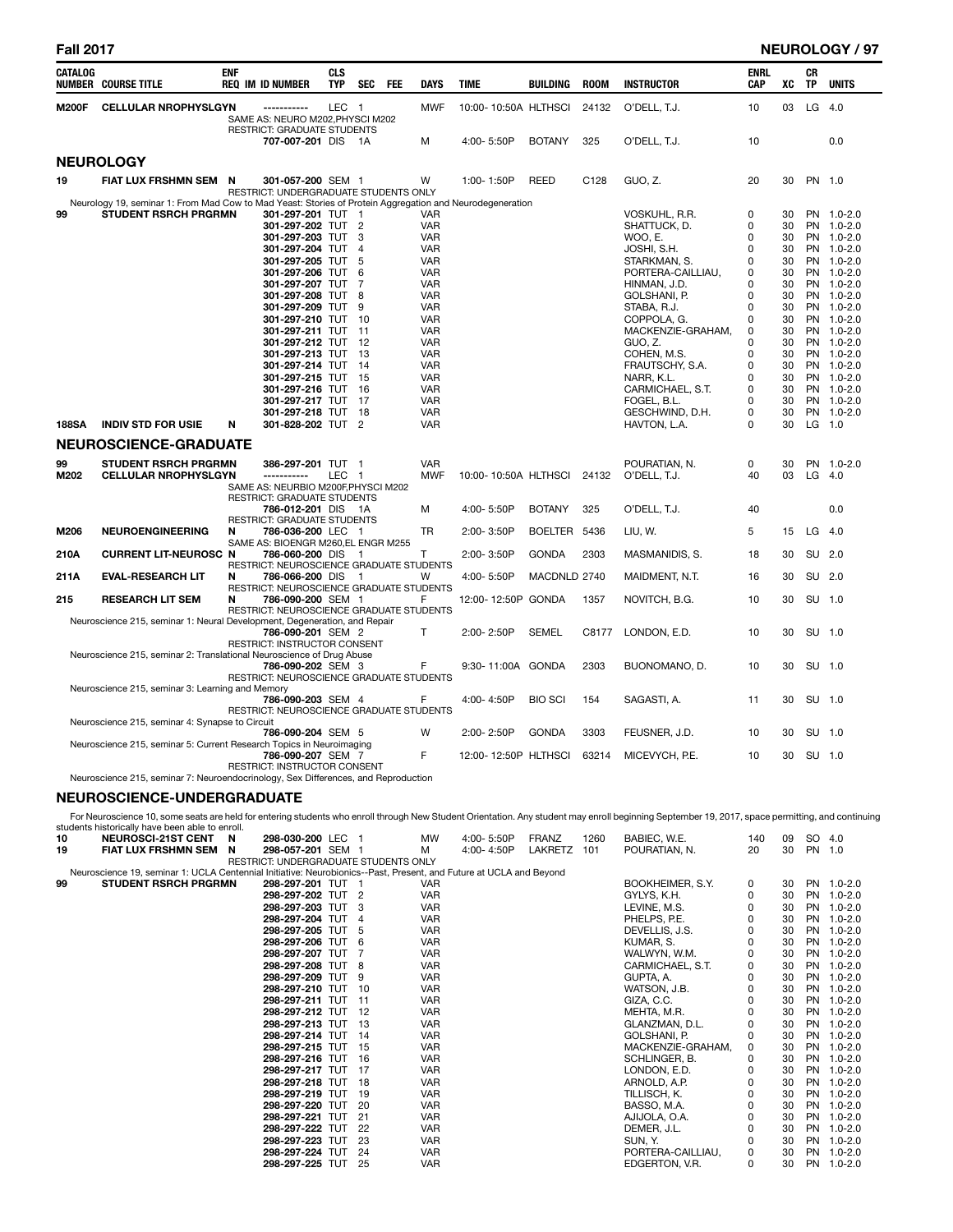| <b>Fall 2017</b> |                                                                                                          |            |                                                                        |                          |                |            |                          |                      |                 |             |                                 |                    |          |                        | <b>NEUROLOGY / 97</b>    |
|------------------|----------------------------------------------------------------------------------------------------------|------------|------------------------------------------------------------------------|--------------------------|----------------|------------|--------------------------|----------------------|-----------------|-------------|---------------------------------|--------------------|----------|------------------------|--------------------------|
| <b>CATALOG</b>   | <b>NUMBER COURSE TITLE</b>                                                                               | <b>ENF</b> | <b>REQ IM ID NUMBER</b>                                                | <b>CLS</b><br><b>TYP</b> | <b>SEC</b>     | <b>FEE</b> | <b>DAYS</b>              | <b>TIME</b>          | <b>BUILDING</b> | <b>ROOM</b> | <b>INSTRUCTOR</b>               | <b>ENRL</b><br>CAP | XC       | <b>CR</b><br><b>TP</b> | <b>UNITS</b>             |
| <b>M200F</b>     | <b>CELLULAR NROPHYSLGYN</b>                                                                              |            | SAME AS: NEURO M202, PHYSCI M202<br><b>RESTRICT: GRADUATE STUDENTS</b> | LEC <sub>1</sub>         |                |            | <b>MWF</b>               | 10:00-10:50A HLTHSCI |                 | 24132       | O'DELL, T.J.                    | 10                 | 03       | $LG$ 4.0               |                          |
|                  |                                                                                                          |            | 707-007-201 DIS 1A                                                     |                          |                |            | М                        | 4:00-5:50P           | <b>BOTANY</b>   | 325         | O'DELL, T.J.                    | 10                 |          |                        | 0.0                      |
|                  | <b>NEUROLOGY</b>                                                                                         |            |                                                                        |                          |                |            |                          |                      |                 |             |                                 |                    |          |                        |                          |
| 19               | FIAT LUX FRSHMN SEM N                                                                                    |            | 301-057-200 SEM 1<br>RESTRICT: UNDERGRADUATE STUDENTS ONLY             |                          |                |            | W                        | 1:00-1:50P           | <b>REED</b>     | C128        | GUO, Z.                         | 20                 | 30       | PN 1.0                 |                          |
|                  | Neurology 19, seminar 1: From Mad Cow to Mad Yeast: Stories of Protein Aggregation and Neurodegeneration |            |                                                                        |                          |                |            |                          |                      |                 |             |                                 | 0                  |          |                        |                          |
| 99               | <b>STUDENT RSRCH PRGRMN</b>                                                                              |            | 301-297-201 TUT 1<br>301-297-202 TUT 2                                 |                          |                |            | <b>VAR</b><br><b>VAR</b> |                      |                 |             | VOSKUHL, R.R.<br>SHATTUCK, D.   | 0                  | 30<br>30 |                        | PN 1.0-2.0<br>PN 1.0-2.0 |
|                  |                                                                                                          |            | 301-297-203 TUT                                                        |                          | 3              |            | <b>VAR</b>               |                      |                 |             | WOO, E.                         | 0                  | 30       |                        | PN 1.0-2.0               |
|                  |                                                                                                          |            | 301-297-204 TUT                                                        |                          | $\overline{4}$ |            | <b>VAR</b>               |                      |                 |             | JOSHI, S.H.                     | 0                  | 30       |                        | PN 1.0-2.0               |
|                  |                                                                                                          |            | 301-297-205 TUT                                                        |                          | 5              |            | <b>VAR</b>               |                      |                 |             | STARKMAN, S.                    | 0                  | 30       |                        | PN 1.0-2.0               |
|                  |                                                                                                          |            | 301-297-206 TUT                                                        |                          | 6              |            | <b>VAR</b>               |                      |                 |             | PORTERA-CAILLIAU,               | 0<br>0             | 30       |                        | PN 1.0-2.0               |
|                  |                                                                                                          |            | 301-297-207 TUT<br>301-297-208 TUT 8                                   |                          | 7              |            | <b>VAR</b><br><b>VAR</b> |                      |                 |             | HINMAN, J.D.<br>GOLSHANI, P.    | 0                  | 30<br>30 |                        | PN 1.0-2.0<br>PN 1.0-2.0 |
|                  |                                                                                                          |            | 301-297-209 TUT                                                        |                          | -9             |            | <b>VAR</b>               |                      |                 |             | STABA, R.J.                     | 0                  | 30       |                        | PN 1.0-2.0               |
|                  |                                                                                                          |            | 301-297-210 TUT                                                        |                          | $-10$          |            | <b>VAR</b>               |                      |                 |             | COPPOLA, G.                     | 0                  | 30       |                        | PN 1.0-2.0               |
|                  |                                                                                                          |            | 301-297-211 TUT 11                                                     |                          |                |            | <b>VAR</b>               |                      |                 |             | MACKENZIE-GRAHAM,               | 0                  | 30       |                        | PN 1.0-2.0               |
|                  |                                                                                                          |            | 301-297-212 TUT 12                                                     |                          |                |            | <b>VAR</b>               |                      |                 |             | GUO, Z.                         | 0                  | 30       |                        | PN 1.0-2.0               |
|                  |                                                                                                          |            | 301-297-213 TUT 13<br>301-297-214 TUT 14                               |                          |                |            | <b>VAR</b><br><b>VAR</b> |                      |                 |             | COHEN, M.S.<br>FRAUTSCHY, S.A.  | 0<br>0             | 30<br>30 |                        | PN 1.0-2.0<br>PN 1.0-2.0 |
|                  |                                                                                                          |            | 301-297-215 TUT                                                        |                          | 15             |            | <b>VAR</b>               |                      |                 |             | NARR, K.L.                      | 0                  | 30       |                        | PN 1.0-2.0               |
|                  |                                                                                                          |            | 301-297-216 TUT 16                                                     |                          |                |            | <b>VAR</b>               |                      |                 |             | CARMICHAEL, S.T.                | 0                  | 30       |                        | PN 1.0-2.0               |
|                  |                                                                                                          |            | 301-297-217 TUT 17                                                     |                          |                |            | <b>VAR</b>               |                      |                 |             | FOGEL, B.L.                     | 0                  | 30       |                        | PN 1.0-2.0               |
| <b>188SA</b>     | <b>INDIV STD FOR USIE</b>                                                                                | N          | 301-297-218 TUT 18<br>301-828-202 TUT 2                                |                          |                |            | <b>VAR</b><br><b>VAR</b> |                      |                 |             | GESCHWIND, D.H.<br>HAVTON, L.A. | 0<br>0             | 30<br>30 |                        | PN 1.0-2.0<br>$LG$ 1.0   |
|                  | <b>NEUROSCIENCE-GRADUATE</b>                                                                             |            |                                                                        |                          |                |            |                          |                      |                 |             |                                 |                    |          |                        |                          |
|                  |                                                                                                          |            |                                                                        |                          |                |            |                          |                      |                 |             |                                 |                    |          |                        |                          |
| 99<br>M202       | <b>STUDENT RSRCH PRGRMN</b><br><b>CELLULAR NROPHYSLGYN</b>                                               |            | 386-297-201 TUT 1<br>-----------                                       | LEC                      | $\overline{1}$ |            | <b>VAR</b><br><b>MWF</b> | 10:00-10:50A HLTHSCI |                 | 24132       | POURATIAN, N.<br>O'DELL, T.J.   | 0<br>40            | 30<br>03 |                        | PN 1.0-2.0<br>LG 4.0     |
|                  |                                                                                                          |            | SAME AS: NEURBIO M200F, PHYSCI M202                                    |                          |                |            |                          |                      |                 |             |                                 |                    |          |                        |                          |
|                  |                                                                                                          |            | <b>RESTRICT: GRADUATE STUDENTS</b>                                     |                          |                |            |                          |                      |                 |             |                                 |                    |          |                        |                          |
|                  |                                                                                                          |            | 786-012-201 DIS 1A                                                     |                          |                |            | м                        | 4:00-5:50P           | <b>BOTANY</b>   | 325         | O'DELL, T.J.                    | 40                 |          |                        | 0.0                      |
| M206             | <b>NEUROENGINEERING</b>                                                                                  | N          | <b>RESTRICT: GRADUATE STUDENTS</b><br>786-036-200 LEC 1                |                          |                |            | <b>TR</b>                | 2:00-3:50P           | BOELTER 5436    |             | LIU, W.                         | 5                  | 15       | LG 4.0                 |                          |
|                  |                                                                                                          |            | SAME AS: BIOENGR M260.EL ENGR M255                                     |                          |                |            |                          |                      |                 |             |                                 |                    |          |                        |                          |
| 210A             | <b>CURRENT LIT-NEUROSC N</b>                                                                             |            | 786-060-200 DIS 1                                                      |                          |                |            | т                        | 2:00-3:50P           | <b>GONDA</b>    | 2303        | MASMANIDIS, S.                  | 18                 | 30       | SU 2.0                 |                          |
|                  |                                                                                                          |            | <b>RESTRICT: NEUROSCIENCE GRADUATE STUDENTS</b>                        |                          |                |            |                          |                      |                 |             |                                 |                    |          |                        |                          |
| 211A             | <b>EVAL-RESEARCH LIT</b>                                                                                 | N          | 786-066-200 DIS<br>RESTRICT: NEUROSCIENCE GRADUATE STUDENTS            |                          | - 1            |            | W                        | 4:00-5:50P           | MACDNLD 2740    |             | MAIDMENT, N.T.                  | 16                 | 30       | SU 2.0                 |                          |
| 215              | <b>RESEARCH LIT SEM</b>                                                                                  | N          | 786-090-200 SEM 1                                                      |                          |                |            | F                        | 12:00-12:50P GONDA   |                 | 1357        | NOVITCH, B.G.                   | 10                 | 30       | SU 1.0                 |                          |
|                  |                                                                                                          |            | RESTRICT: NEUROSCIENCE GRADUATE STUDENTS                               |                          |                |            |                          |                      |                 |             |                                 |                    |          |                        |                          |
|                  | Neuroscience 215, seminar 1: Neural Development, Degeneration, and Repair                                |            |                                                                        |                          |                |            |                          |                      |                 |             |                                 |                    |          |                        |                          |
|                  |                                                                                                          |            | 786-090-201 SEM 2<br>RESTRICT: INSTRUCTOR CONSENT                      |                          |                |            | T                        | 2:00-2:50P           | <b>SEMEL</b>    | C8177       | LONDON, E.D.                    | 10                 | 30       |                        | SU 1.0                   |
|                  | Neuroscience 215, seminar 2: Translational Neuroscience of Drug Abuse                                    |            |                                                                        |                          |                |            |                          |                      |                 |             |                                 |                    |          |                        |                          |
|                  |                                                                                                          |            | 786-090-202 SEM 3                                                      |                          |                |            | F                        | 9:30-11:00A GONDA    |                 | 2303        | BUONOMANO, D.                   | 10                 | 30       | SU 1.0                 |                          |
|                  |                                                                                                          |            | <b>RESTRICT: NEUROSCIENCE GRADUATE STUDENTS</b>                        |                          |                |            |                          |                      |                 |             |                                 |                    |          |                        |                          |
|                  | Neuroscience 215, seminar 3: Learning and Memory                                                         |            | 786-090-203 SEM 4                                                      |                          |                |            | F                        | 4:00-4:50P           | <b>BIO SCI</b>  | 154         | SAGASTI, A.                     | 11                 | 30       | SU 1.0                 |                          |
|                  |                                                                                                          |            | RESTRICT: NEUROSCIENCE GRADUATE STUDENTS                               |                          |                |            |                          |                      |                 |             |                                 |                    |          |                        |                          |
|                  | Neuroscience 215, seminar 4: Synapse to Circuit                                                          |            |                                                                        |                          |                |            |                          |                      |                 |             |                                 |                    |          |                        |                          |
|                  |                                                                                                          |            | 786-090-204 SEM 5                                                      |                          |                |            | W                        | 2:00-2:50P           | <b>GONDA</b>    | 3303        | FEUSNER, J.D.                   | 10                 | 30       |                        | SU 1.0                   |
|                  | Neuroscience 215, seminar 5: Current Research Topics in Neuroimaging                                     |            | 786-090-207 SEM 7                                                      |                          |                |            | E                        | 12:00-12:50P HLTHSCI |                 | 63214       | MICEVYCH, P.E.                  | 10                 | 30       | SU 1.0                 |                          |
|                  |                                                                                                          |            | RESTRICT: INSTRUCTOR CONSENT                                           |                          |                |            |                          |                      |                 |             |                                 |                    |          |                        |                          |
|                  | Neuroscience 215, seminar 7: Neuroendocrinology, Sex Differences, and Reproduction                       |            |                                                                        |                          |                |            |                          |                      |                 |             |                                 |                    |          |                        |                          |

## **NEUROSCIENCE-UNDERGRADUATE**

For Neuroscience 10, some seats are held for entering students who enroll through New Student Orientation. Any student may enroll beginning September 19, 2017, space permitting, and continuing<br>students historically have be

|    | students maturically have been able to emion.                                                                      |                                       |      |            |            |              |      |                   |     |    |           |             |
|----|--------------------------------------------------------------------------------------------------------------------|---------------------------------------|------|------------|------------|--------------|------|-------------------|-----|----|-----------|-------------|
| 10 | <b>NEUROSCI-21ST CENT</b><br>N                                                                                     | 298-030-200 LEC                       | -1   | <b>MW</b>  | 4:00-5:50P | <b>FRANZ</b> | 1260 | BABIEC, W.E.      | 140 | 09 | SO 4.0    |             |
| 19 | <b>FIAT LUX FRSHMN SEM</b><br><b>N</b>                                                                             | 298-057-201 SEM 1                     |      | м          | 4:00-4:50P | LAKRETZ      | 101  | POURATIAN, N.     | 20  | 30 | PN 1.0    |             |
|    |                                                                                                                    | RESTRICT: UNDERGRADUATE STUDENTS ONLY |      |            |            |              |      |                   |     |    |           |             |
|    | Neuroscience 19, seminar 1: UCLA Centennial Initiative: Neurobionics--Past, Present, and Future at UCLA and Beyond |                                       |      |            |            |              |      |                   |     |    |           |             |
| 99 | <b>STUDENT RSRCH PRGRMN</b>                                                                                        | 298-297-201 TUT 1                     |      | VAR.       |            |              |      | BOOKHEIMER, S.Y.  | 0   | 30 |           | PN 1.0-2.0  |
|    |                                                                                                                    | 298-297-202 TUT 2                     |      | <b>VAR</b> |            |              |      | GYLYS, K.H.       | 0   | 30 | <b>PN</b> | $1.0 - 2.0$ |
|    |                                                                                                                    | 298-297-203 TUT 3                     |      | <b>VAR</b> |            |              |      | LEVINE, M.S.      | 0   | 30 |           | PN 1.0-2.0  |
|    |                                                                                                                    | 298-297-204 TUT 4                     |      | <b>VAR</b> |            |              |      | PHELPS, P.E.      | 0   | 30 | <b>PN</b> | $1.0 - 2.0$ |
|    |                                                                                                                    | 298-297-205 TUT 5                     |      | <b>VAR</b> |            |              |      | DEVELLIS, J.S.    | 0   | 30 |           | PN 1.0-2.0  |
|    |                                                                                                                    | 298-297-206 TUT 6                     |      | <b>VAR</b> |            |              |      | KUMAR, S.         | 0   | 30 | <b>PN</b> | $1.0 - 2.0$ |
|    |                                                                                                                    | 298-297-207 TUT 7                     |      | <b>VAR</b> |            |              |      | WALWYN, W.M.      | 0   | 30 |           | PN 1.0-2.0  |
|    |                                                                                                                    | 298-297-208 TUT 8                     |      | <b>VAR</b> |            |              |      | CARMICHAEL, S.T.  | 0   | 30 | <b>PN</b> | $1.0 - 2.0$ |
|    |                                                                                                                    | 298-297-209 TUT 9                     |      | <b>VAR</b> |            |              |      | GUPTA, A.         | 0   | 30 | <b>PN</b> | $1.0 - 2.0$ |
|    |                                                                                                                    | 298-297-210 TUT 10                    |      | VAR        |            |              |      | WATSON, J.B.      | 0   | 30 |           | PN 1.0-2.0  |
|    |                                                                                                                    | 298-297-211 TUT 11                    |      | <b>VAR</b> |            |              |      | GIZA, C.C.        | 0   | 30 | <b>PN</b> | $1.0 - 2.0$ |
|    |                                                                                                                    | 298-297-212 TUT                       | 12   | <b>VAR</b> |            |              |      | MEHTA, M.R.       | 0   | 30 |           | PN 1.0-2.0  |
|    |                                                                                                                    | 298-297-213 TUT 13                    |      | VAR        |            |              |      | GLANZMAN, D.L.    | 0   | 30 | <b>PN</b> | $1.0 - 2.0$ |
|    |                                                                                                                    | 298-297-214 TUT 14                    |      | VAR        |            |              |      | GOLSHANI, P.      | 0   | 30 |           | PN 1.0-2.0  |
|    |                                                                                                                    | 298-297-215 TUT 15                    |      | <b>VAR</b> |            |              |      | MACKENZIE-GRAHAM. | 0   | 30 | <b>PN</b> | $1.0 - 2.0$ |
|    |                                                                                                                    | 298-297-216 TUT                       | -16  | <b>VAR</b> |            |              |      | SCHLINGER, B.     | 0   | 30 | <b>PN</b> | $1.0 - 2.0$ |
|    |                                                                                                                    | 298-297-217 TUT 17                    |      | <b>VAR</b> |            |              |      | LONDON. E.D.      | 0   | 30 |           | PN 1.0-2.0  |
|    |                                                                                                                    | 298-297-218 TUT                       | - 18 | <b>VAR</b> |            |              |      | ARNOLD, A.P.      | 0   | 30 | <b>PN</b> | $1.0 - 2.0$ |
|    |                                                                                                                    | 298-297-219 TUT                       | 19   | <b>VAR</b> |            |              |      | TILLISCH, K.      | 0   | 30 |           | PN 1.0-2.0  |
|    |                                                                                                                    | 298-297-220 TUT                       | -20  | <b>VAR</b> |            |              |      | BASSO, M.A.       | 0   | 30 | <b>PN</b> | $1.0 - 2.0$ |
|    |                                                                                                                    | 298-297-221 TUT                       | 21   | <b>VAR</b> |            |              |      | AJIJOLA, O.A.     | 0   | 30 |           | PN 1.0-2.0  |
|    |                                                                                                                    | 298-297-222 TUT                       | 22   | <b>VAR</b> |            |              |      | DEMER, J.L.       | 0   | 30 | <b>PN</b> | $1.0 - 2.0$ |
|    |                                                                                                                    | 298-297-223 TUT                       | 23   | <b>VAR</b> |            |              |      | SUN, Y.           | 0   | 30 | <b>PN</b> | $1.0 - 2.0$ |
|    |                                                                                                                    | 298-297-224 TUT                       | 24   | <b>VAR</b> |            |              |      | PORTERA-CAILLIAU. | 0   | 30 |           | PN 1.0-2.0  |
|    |                                                                                                                    | 298-297-225 TUT                       | 25   | <b>VAR</b> |            |              |      | EDGERTON, V.R.    | 0   | 30 | <b>PN</b> | $1.0 - 2.0$ |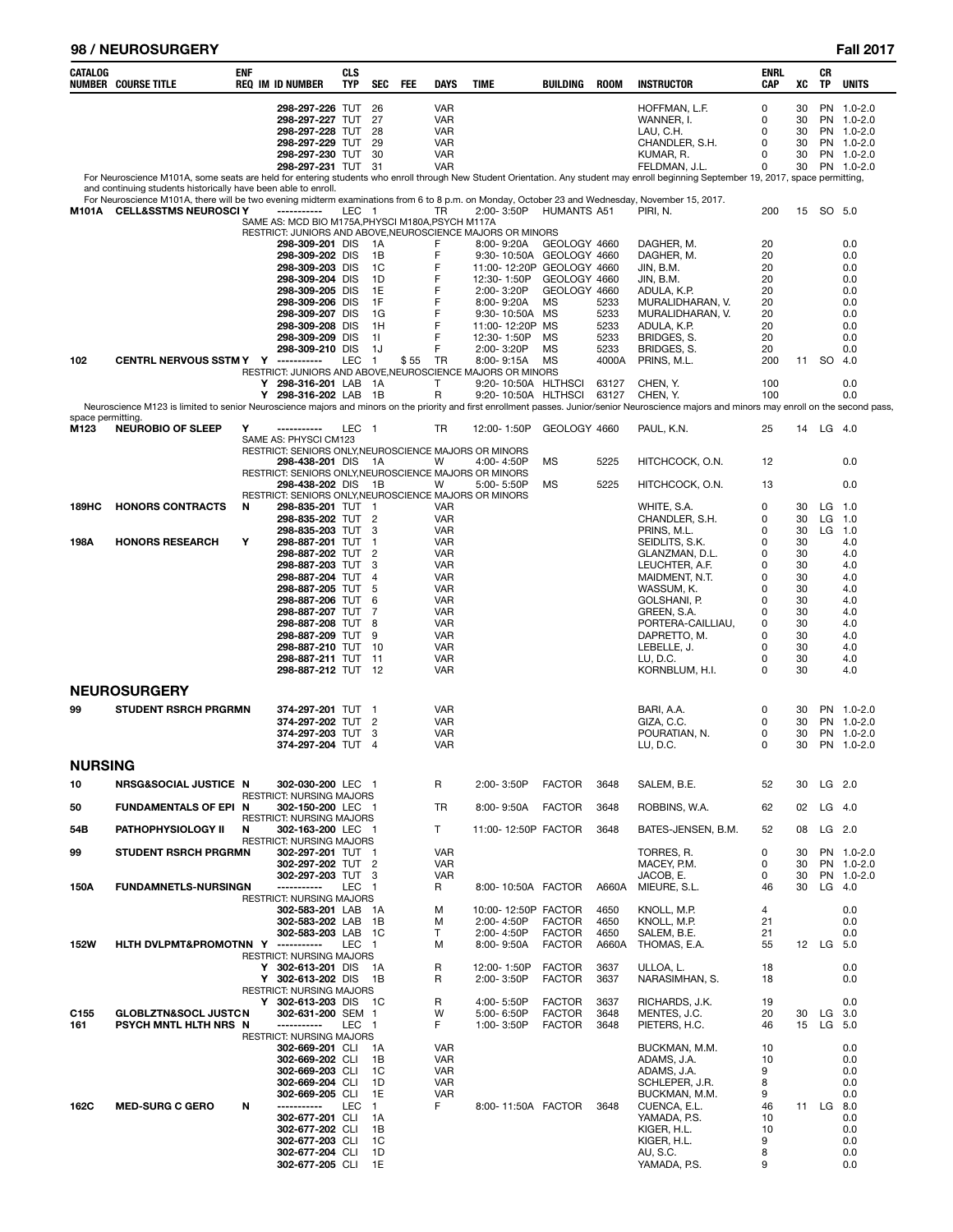### **98 / NEUROSURGERY Fall 2017**

| CATALOG                 | <b>NUMBER COURSE TITLE</b>                                                                                                                                                                                        | <b>ENF</b> | <b>REQ IM ID NUMBER</b>                                                  | <b>CLS</b><br><b>TYP</b> | <b>SEC</b>          | <b>FEE</b> | <b>DAYS</b>              | <b>TIME</b>                                                                       | BUILDING                       | <b>ROOM</b>  | <b>INSTRUCTOR</b>                                                                                                                                                                                          | ENRL<br>CAP | XC       | CR<br><b>TP</b>  | <b>UNITS</b>             |
|-------------------------|-------------------------------------------------------------------------------------------------------------------------------------------------------------------------------------------------------------------|------------|--------------------------------------------------------------------------|--------------------------|---------------------|------------|--------------------------|-----------------------------------------------------------------------------------|--------------------------------|--------------|------------------------------------------------------------------------------------------------------------------------------------------------------------------------------------------------------------|-------------|----------|------------------|--------------------------|
|                         |                                                                                                                                                                                                                   |            | 298-297-226 TUT 26                                                       |                          |                     |            | <b>VAR</b>               |                                                                                   |                                |              | HOFFMAN, L.F.                                                                                                                                                                                              | 0           | 30       |                  | PN 1.0-2.0               |
|                         |                                                                                                                                                                                                                   |            | 298-297-227 TUT<br>298-297-228 TUT                                       |                          | 27<br>28            |            | VAR<br><b>VAR</b>        |                                                                                   |                                |              | WANNER, I.<br>LAU, C.H.                                                                                                                                                                                    | 0<br>0      | 30<br>30 |                  | PN 1.0-2.0<br>PN 1.0-2.0 |
|                         |                                                                                                                                                                                                                   |            | 298-297-229 TUT 29                                                       |                          |                     |            | <b>VAR</b>               |                                                                                   |                                |              | CHANDLER, S.H.                                                                                                                                                                                             | 0           | 30       |                  | PN 1.0-2.0               |
|                         |                                                                                                                                                                                                                   |            | 298-297-230 TUT<br>298-297-231 TUT 31                                    |                          | 30                  |            | <b>VAR</b><br><b>VAR</b> |                                                                                   |                                |              | KUMAR, R.<br>FELDMAN, J.L.                                                                                                                                                                                 | 0<br>0      | 30<br>30 |                  | PN 1.0-2.0<br>PN 1.0-2.0 |
|                         |                                                                                                                                                                                                                   |            |                                                                          |                          |                     |            |                          |                                                                                   |                                |              | For Neuroscience M101A, some seats are held for entering students who enroll through New Student Orientation. Any student may enroll beginning September 19, 2017, space permitting,                       |             |          |                  |                          |
|                         | and continuing students historically have been able to enroll.<br>For Neuroscience M101A, there will be two evening midterm examinations from 6 to 8 p.m. on Monday, October 23 and Wednesday, November 15, 2017. |            |                                                                          |                          |                     |            |                          |                                                                                   |                                |              |                                                                                                                                                                                                            |             |          |                  |                          |
| M101A                   | <b>CELL&amp;SSTMS NEUROSCIY</b>                                                                                                                                                                                   |            | -----------<br>SAME AS: MCD BIO M175A, PHYSCI M180A, PSYCH M117A         | LEC 1                    |                     |            | TR                       | 2:00-3:50P                                                                        | <b>HUMANTS A51</b>             |              | PIRI, N.                                                                                                                                                                                                   | 200         | 15       | SO 5.0           |                          |
|                         |                                                                                                                                                                                                                   |            |                                                                          |                          |                     |            |                          | RESTRICT: JUNIORS AND ABOVE, NEUROSCIENCE MAJORS OR MINORS                        |                                |              |                                                                                                                                                                                                            |             |          |                  |                          |
|                         |                                                                                                                                                                                                                   |            | 298-309-201 DIS<br>298-309-202 DIS                                       |                          | - 1 A<br>1B         |            | E<br>F                   | 8:00-9:20A<br>9:30-10:50A                                                         | GEOLOGY 4660<br>GEOLOGY 4660   |              | DAGHER, M.<br>DAGHER, M.                                                                                                                                                                                   | 20<br>20    |          |                  | 0.0<br>0.0               |
|                         |                                                                                                                                                                                                                   |            | 298-309-203 DIS                                                          |                          | 1C                  |            | F                        | 11:00-12:20P GEOLOGY 4660                                                         |                                |              | JIN, B.M.                                                                                                                                                                                                  | 20          |          |                  | 0.0                      |
|                         |                                                                                                                                                                                                                   |            | 298-309-204 DIS<br>298-309-205 DIS                                       |                          | 1D<br>1E            |            | F<br>F                   | 12:30-1:50P<br>2:00-3:20P                                                         | GEOLOGY 4660<br>GEOLOGY 4660   |              | JIN, B.M.<br>ADULA, K.P.                                                                                                                                                                                   | 20<br>20    |          |                  | 0.0<br>0.0               |
|                         |                                                                                                                                                                                                                   |            | 298-309-206 DIS<br>298-309-207 DIS                                       |                          | 1F<br>1G            |            | F<br>F                   | 8:00-9:20A<br>9:30-10:50A                                                         | <b>MS</b><br>MS                | 5233<br>5233 | MURALIDHARAN, V.<br>MURALIDHARAN, V.                                                                                                                                                                       | 20<br>20    |          |                  | 0.0<br>0.0               |
|                         |                                                                                                                                                                                                                   |            | 298-309-208 DIS                                                          |                          | 1H                  |            | F                        | 11:00-12:20P                                                                      | MS                             | 5233         | ADULA, K.P.                                                                                                                                                                                                | 20          |          |                  | 0.0                      |
|                         |                                                                                                                                                                                                                   |            | 298-309-209 DIS<br>298-309-210 DIS                                       |                          | 11<br>1J            |            | F<br>F                   | 12:30-1:50P<br>2:00-3:20P                                                         | <b>MS</b><br>MS                | 5233<br>5233 | BRIDGES, S.<br>BRIDGES, S.                                                                                                                                                                                 | 20<br>20    |          |                  | 0.0<br>0.0               |
| 102                     | <b>CENTRL NERVOUS SSTM Y Y</b>                                                                                                                                                                                    |            | -----------                                                              | <b>LEC</b>               | $\overline{1}$      | \$55       | TR                       | 8:00-9:15A                                                                        | <b>MS</b>                      | 4000A        | PRINS, M.L.                                                                                                                                                                                                | 200         | 11       | -SO              | 4.0                      |
|                         |                                                                                                                                                                                                                   |            | Y 298-316-201 LAB 1A                                                     |                          |                     |            | T                        | RESTRICT: JUNIORS AND ABOVE, NEUROSCIENCE MAJORS OR MINORS<br>9:20-10:50A HLTHSCI |                                | 63127        | CHEN, Y.                                                                                                                                                                                                   | 100         |          |                  | 0.0                      |
|                         |                                                                                                                                                                                                                   |            | Y 298-316-202 LAB 1B                                                     |                          |                     |            | R                        | 9:20-10:50A HLTHSCI                                                               |                                | 63127        | CHEN, Y.<br>Neuroscience M123 is limited to senior Neuroscience majors and minors on the priority and first enrollment passes. Junior/senior Neuroscience majors and minors may enroll on the second pass, | 100         |          |                  | 0.0                      |
| space permitting.       |                                                                                                                                                                                                                   |            |                                                                          |                          |                     |            |                          |                                                                                   |                                |              |                                                                                                                                                                                                            |             |          |                  |                          |
| M123                    | <b>NEUROBIO OF SLEEP</b>                                                                                                                                                                                          | Υ          | -----------<br>SAME AS: PHYSCI CM123                                     | LEC                      | - 1                 |            | TR                       | 12:00-1:50P                                                                       | GEOLOGY 4660                   |              | PAUL, K.N.                                                                                                                                                                                                 | 25          | 14       | LG 4.0           |                          |
|                         |                                                                                                                                                                                                                   |            | RESTRICT: SENIORS ONLY, NEUROSCIENCE MAJORS OR MINORS<br>298-438-201 DIS |                          | - 1A                |            | W                        | 4:00-4:50P                                                                        | MS                             | 5225         | HITCHCOCK, O.N.                                                                                                                                                                                            | 12          |          |                  | 0.0                      |
|                         |                                                                                                                                                                                                                   |            | RESTRICT: SENIORS ONLY, NEUROSCIENCE MAJORS OR MINORS                    |                          |                     |            |                          |                                                                                   |                                |              |                                                                                                                                                                                                            |             |          |                  |                          |
|                         |                                                                                                                                                                                                                   |            | 298-438-202 DIS<br>RESTRICT: SENIORS ONLY, NEUROSCIENCE MAJORS OR MINORS |                          | - 1B                |            | W                        | 5:00-5:50P                                                                        | МS                             | 5225         | HITCHCOCK, O.N.                                                                                                                                                                                            | 13          |          |                  | 0.0                      |
| 189HC                   | <b>HONORS CONTRACTS</b>                                                                                                                                                                                           | N          | 298-835-201 TUT                                                          |                          | - 1                 |            | <b>VAR</b>               |                                                                                   |                                |              | WHITE, S.A.                                                                                                                                                                                                | 0<br>0      | 30<br>30 | LG               | 1.0                      |
|                         |                                                                                                                                                                                                                   |            | 298-835-202 TUT 2<br>298-835-203 TUT                                     |                          | 3                   |            | <b>VAR</b><br><b>VAR</b> |                                                                                   |                                |              | CHANDLER, S.H.<br>PRINS, M.L.                                                                                                                                                                              | 0           | 30       | LG<br>LG         | 1.0<br>1.0               |
| 198A                    | <b>HONORS RESEARCH</b>                                                                                                                                                                                            | Υ          | 298-887-201 TUT<br>298-887-202 TUT 2                                     |                          | -1                  |            | <b>VAR</b><br><b>VAR</b> |                                                                                   |                                |              | SEIDLITS, S.K.<br>GLANZMAN, D.L.                                                                                                                                                                           | 0<br>0      | 30<br>30 |                  | 4.0<br>4.0               |
|                         |                                                                                                                                                                                                                   |            | 298-887-203 TUT                                                          |                          | 3                   |            | <b>VAR</b>               |                                                                                   |                                |              | LEUCHTER, A.F.                                                                                                                                                                                             | 0           | 30       |                  | 4.0                      |
|                         |                                                                                                                                                                                                                   |            | 298-887-204 TUT<br>298-887-205 TUT                                       |                          | $\overline{4}$<br>5 |            | <b>VAR</b><br><b>VAR</b> |                                                                                   |                                |              | MAIDMENT, N.T.<br>WASSUM, K.                                                                                                                                                                               | 0<br>0      | 30<br>30 |                  | 4.0<br>4.0               |
|                         |                                                                                                                                                                                                                   |            | 298-887-206 TUT                                                          |                          | 6                   |            | <b>VAR</b>               |                                                                                   |                                |              | GOLSHANI, P.                                                                                                                                                                                               | 0           | 30       |                  | 4.0                      |
|                         |                                                                                                                                                                                                                   |            | 298-887-207 TUT<br>298-887-208 TUT                                       |                          | 7<br>8              |            | <b>VAR</b><br><b>VAR</b> |                                                                                   |                                |              | GREEN, S.A.<br>PORTERA-CAILLIAU,                                                                                                                                                                           | 0<br>0      | 30<br>30 |                  | 4.0<br>4.0               |
|                         |                                                                                                                                                                                                                   |            | 298-887-209 TUT<br>298-887-210 TUT 10                                    |                          | 9                   |            | <b>VAR</b><br><b>VAR</b> |                                                                                   |                                |              | DAPRETTO, M.<br>LEBELLE, J.                                                                                                                                                                                | 0<br>0      | 30<br>30 |                  | 4.0<br>4.0               |
|                         |                                                                                                                                                                                                                   |            | 298-887-211 TUT 11                                                       |                          |                     |            | VAR                      |                                                                                   |                                |              | LU, D.C.                                                                                                                                                                                                   | 0           | 30       |                  | 4.0                      |
|                         |                                                                                                                                                                                                                   |            | 298-887-212 TUT 12                                                       |                          |                     |            | <b>VAR</b>               |                                                                                   |                                |              | KORNBLUM, H.I.                                                                                                                                                                                             | 0           | 30       |                  | 4.0                      |
|                         | <b>NEUROSURGERY</b>                                                                                                                                                                                               |            |                                                                          |                          |                     |            |                          |                                                                                   |                                |              |                                                                                                                                                                                                            |             |          |                  |                          |
| 99                      | <b>STUDENT RSRCH PRGRMN</b>                                                                                                                                                                                       |            | 374-297-201 TUT<br>374-297-202 TUT 2                                     |                          | - 1                 |            | <b>VAR</b><br><b>VAR</b> |                                                                                   |                                |              | BARI, A.A.<br>GIZA, C.C.                                                                                                                                                                                   | 0<br>0      | 30<br>30 |                  | PN 1.0-2.0<br>PN 1.0-2.0 |
|                         |                                                                                                                                                                                                                   |            | 374-297-203 TUT                                                          |                          | 3                   |            | VAR                      |                                                                                   |                                |              | POURATIAN, N.                                                                                                                                                                                              | 0<br>0      | 30<br>30 |                  | PN 1.0-2.0               |
|                         |                                                                                                                                                                                                                   |            | 374-297-204 TUT 4                                                        |                          |                     |            | <b>VAR</b>               |                                                                                   |                                |              | LU, D.C.                                                                                                                                                                                                   |             |          |                  | PN 1.0-2.0               |
| <b>NURSING</b>          |                                                                                                                                                                                                                   |            |                                                                          |                          |                     |            |                          |                                                                                   |                                |              |                                                                                                                                                                                                            |             |          |                  |                          |
| 10                      | NRSG&SOCIAL JUSTICE N                                                                                                                                                                                             |            | 302-030-200 LEC 1<br><b>RESTRICT: NURSING MAJORS</b>                     |                          |                     |            | R                        | 2:00-3:50P                                                                        | <b>FACTOR</b>                  | 3648         | SALEM, B.E.                                                                                                                                                                                                | 52          | 30       | $LG$ 2.0         |                          |
| 50                      | <b>FUNDAMENTALS OF EPI N</b>                                                                                                                                                                                      |            | 302-150-200 LEC 1<br>RESTRICT: NURSING MAJORS                            |                          |                     |            | TR                       | 8:00-9:50A                                                                        | <b>FACTOR</b>                  | 3648         | ROBBINS, W.A.                                                                                                                                                                                              | 62          | 02       | $LG$ 4.0         |                          |
| 54B                     | <b>PATHOPHYSIOLOGY II</b>                                                                                                                                                                                         | N          | 302-163-200 LEC 1                                                        |                          |                     |            | T                        | 11:00-12:50P FACTOR                                                               |                                | 3648         | BATES-JENSEN, B.M.                                                                                                                                                                                         | 52          | 08       | $LG$ 2.0         |                          |
| 99                      | <b>STUDENT RSRCH PRGRMN</b>                                                                                                                                                                                       |            | RESTRICT: NURSING MAJORS<br>302-297-201 TUT 1                            |                          |                     |            | <b>VAR</b>               |                                                                                   |                                |              | TORRES, R.                                                                                                                                                                                                 | 0           | 30       |                  | PN 1.0-2.0               |
|                         |                                                                                                                                                                                                                   |            | 302-297-202 TUT 2<br>302-297-203 TUT 3                                   |                          |                     |            | <b>VAR</b><br><b>VAR</b> |                                                                                   |                                |              | MACEY, P.M.<br>JACOB, E.                                                                                                                                                                                   | 0<br>0      | 30<br>30 |                  | PN 1.0-2.0<br>PN 1.0-2.0 |
| 150A                    | <b>FUNDAMNETLS-NURSINGN</b>                                                                                                                                                                                       |            | -----------                                                              | <b>LEC</b>               | $\mathbf{1}$        |            | R                        | 8:00-10:50A FACTOR                                                                |                                | A660A        | MIEURE, S.L.                                                                                                                                                                                               | 46          | 30       |                  | $LG$ 4.0                 |
|                         |                                                                                                                                                                                                                   |            | <b>RESTRICT: NURSING MAJORS</b><br>302-583-201 LAB                       |                          | - 1A                |            | M                        | 10:00-12:50P FACTOR                                                               |                                | 4650         | KNOLL, M.P.                                                                                                                                                                                                | 4           |          |                  | 0.0                      |
|                         |                                                                                                                                                                                                                   |            | 302-583-202 LAB<br>302-583-203 LAB                                       |                          | - 1B<br>- 1C        |            | M<br>T                   | 2:00-4:50P<br>2:00-4:50P                                                          | <b>FACTOR</b><br><b>FACTOR</b> | 4650<br>4650 | KNOLL, M.P.<br>SALEM, B.E.                                                                                                                                                                                 | 21<br>21    |          |                  | 0.0<br>0.0               |
| <b>152W</b>             | HLTH DVLPMT&PROMOTNN Y                                                                                                                                                                                            |            | ------------                                                             | <b>LEC</b>               | $\overline{1}$      |            | м                        | 8:00-9:50A                                                                        | <b>FACTOR</b>                  | A660A        | THOMAS, E.A.                                                                                                                                                                                               | 55          |          | 12 LG            | 5.0                      |
|                         |                                                                                                                                                                                                                   |            | RESTRICT: NURSING MAJORS<br>Y 302-613-201 DIS                            |                          | 1A                  |            | R                        | 12:00-1:50P                                                                       | <b>FACTOR</b>                  | 3637         | ULLOA, L.                                                                                                                                                                                                  | 18          |          |                  | 0.0                      |
|                         |                                                                                                                                                                                                                   |            | Y 302-613-202 DIS<br>RESTRICT: NURSING MAJORS                            |                          | 1B                  |            | R                        | 2:00-3:50P                                                                        | <b>FACTOR</b>                  | 3637         | NARASIMHAN, S.                                                                                                                                                                                             | 18          |          |                  | 0.0                      |
|                         |                                                                                                                                                                                                                   |            | Y 302-613-203 DIS                                                        |                          | - 1C                |            | R                        | 4:00-5:50P                                                                        | <b>FACTOR</b>                  | 3637         | RICHARDS, J.K.                                                                                                                                                                                             | 19          |          |                  | 0.0                      |
| C <sub>155</sub><br>161 | <b>GLOBLZTN&amp;SOCL JUSTCN</b><br>PSYCH MNTL HLTH NRS N                                                                                                                                                          |            | 302-631-200 SEM 1<br>-----------                                         | <b>LEC</b>               | $\overline{1}$      |            | W<br>F                   | 5:00-6:50P<br>1:00-3:50P                                                          | <b>FACTOR</b><br><b>FACTOR</b> | 3648<br>3648 | MENTES, J.C.<br>PIETERS, H.C.                                                                                                                                                                              | 20<br>46    | 30<br>15 | LG 3.0<br>LG 5.0 |                          |
|                         |                                                                                                                                                                                                                   |            | <b>RESTRICT: NURSING MAJORS</b><br>302-669-201 CLI                       |                          | 1A                  |            | <b>VAR</b>               |                                                                                   |                                |              | BUCKMAN, M.M.                                                                                                                                                                                              | 10          |          |                  | 0.0                      |
|                         |                                                                                                                                                                                                                   |            | 302-669-202 CLI                                                          |                          | 1B                  |            | <b>VAR</b>               |                                                                                   |                                |              | ADAMS, J.A.                                                                                                                                                                                                | 10          |          |                  | 0.0                      |
|                         |                                                                                                                                                                                                                   |            | 302-669-203 CLI<br>302-669-204 CLI                                       |                          | 1C<br>1D            |            | <b>VAR</b><br><b>VAR</b> |                                                                                   |                                |              | ADAMS, J.A.<br>SCHLEPER, J.R.                                                                                                                                                                              | 9<br>8      |          |                  | 0.0<br>0.0               |
| 162C                    | <b>MED-SURG C GERO</b>                                                                                                                                                                                            | N          | 302-669-205 CLI<br>-----------                                           | <b>LEC</b>               | 1E<br>$\mathbf{1}$  |            | <b>VAR</b><br>F.         | 8:00-11:50A FACTOR                                                                |                                | 3648         | BUCKMAN, M.M.<br>CUENCA, E.L.                                                                                                                                                                              | 9<br>46     |          | 11 LG            | 0.0<br>8.0               |
|                         |                                                                                                                                                                                                                   |            | 302-677-201 CLI                                                          |                          | 1A                  |            |                          |                                                                                   |                                |              | YAMADA, P.S.                                                                                                                                                                                               | 10          |          |                  | 0.0                      |
|                         |                                                                                                                                                                                                                   |            | 302-677-202 CLI<br>302-677-203 CLI                                       |                          | 1B<br>1C            |            |                          |                                                                                   |                                |              | KIGER, H.L.<br>KIGER, H.L.                                                                                                                                                                                 | 10<br>9     |          |                  | 0.0<br>0.0               |
|                         |                                                                                                                                                                                                                   |            | 302-677-204 CLI                                                          |                          | 1D                  |            |                          |                                                                                   |                                |              | AU, S.C.                                                                                                                                                                                                   | 8           |          |                  | 0.0                      |
|                         |                                                                                                                                                                                                                   |            | 302-677-205 CLI                                                          |                          | 1E                  |            |                          |                                                                                   |                                |              | YAMADA, P.S.                                                                                                                                                                                               | 9           |          |                  | 0.0                      |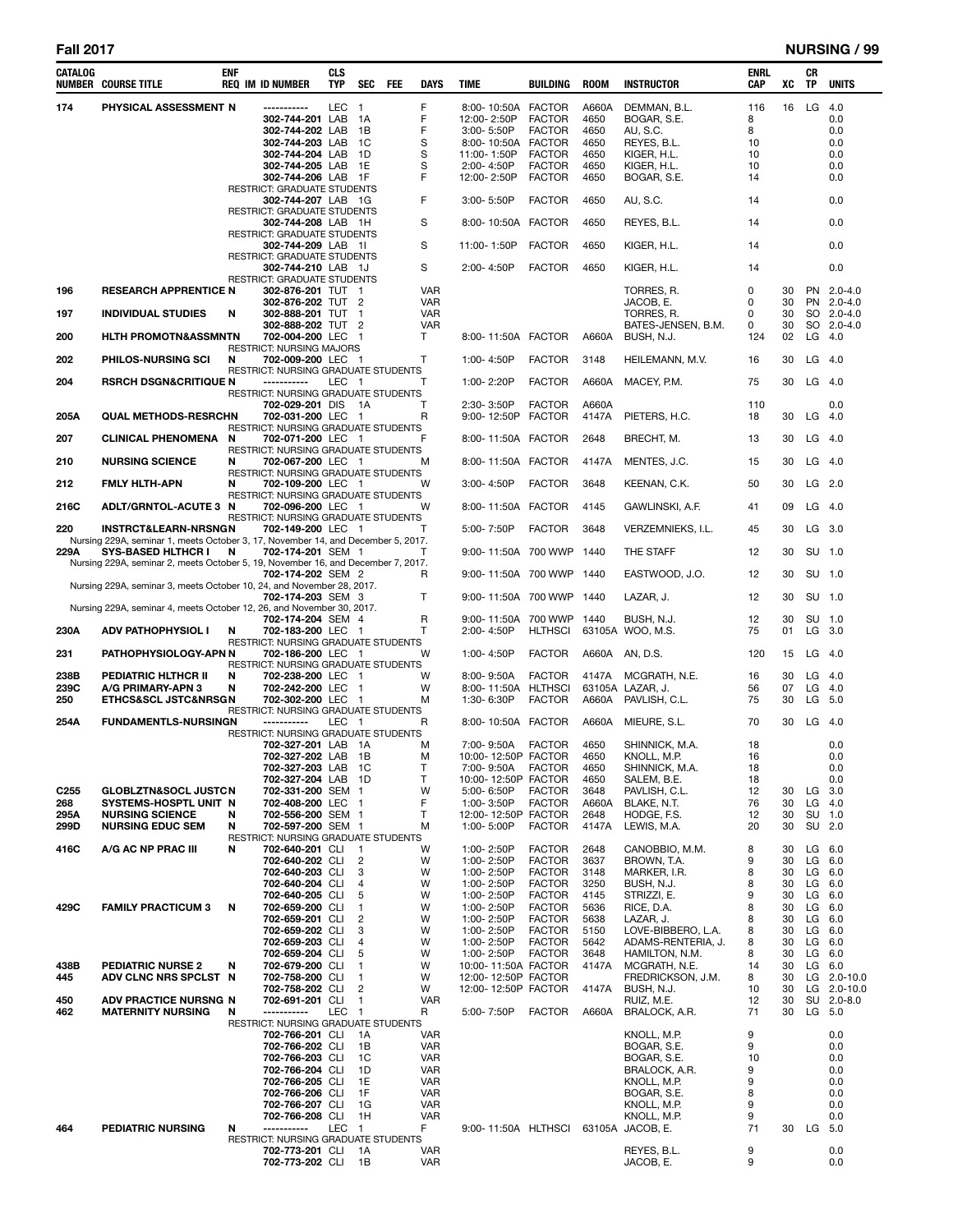| CATALOG                 | <b>NUMBER COURSE TITLE</b>                                                                                    | ENF | <b>REQ IM ID NUMBER</b>                                   | <b>CLS</b><br><b>TYP</b> | <b>SEC</b>                                | FEE | <b>DAYS</b>              | <b>TIME</b>                          | <b>BUILDING</b>                | <b>ROOM</b>   | <b>INSTRUCTOR</b>                 | ENRL<br><b>CAP</b> | XC       | CR<br>TP     | <b>UNITS</b>             |
|-------------------------|---------------------------------------------------------------------------------------------------------------|-----|-----------------------------------------------------------|--------------------------|-------------------------------------------|-----|--------------------------|--------------------------------------|--------------------------------|---------------|-----------------------------------|--------------------|----------|--------------|--------------------------|
| 174                     | PHYSICAL ASSESSMENT N                                                                                         |     | -----------                                               | LEC                      | $\overline{1}$                            |     | F                        | 8:00-10:50A FACTOR                   |                                | A660A         | DEMMAN, B.L.                      | 116                | 16       | LG           | 4.0                      |
|                         |                                                                                                               |     | 302-744-201 LAB                                           |                          | 1A                                        |     | F                        | 12:00-2:50P                          | <b>FACTOR</b>                  | 4650          | BOGAR, S.E.                       | 8                  |          |              | 0.0                      |
|                         |                                                                                                               |     | 302-744-202 LAB<br>302-744-203 LAB                        |                          | 1B<br>- 1 C                               |     | F<br>S                   | 3:00-5:50P<br>8:00-10:50A            | <b>FACTOR</b><br><b>FACTOR</b> | 4650<br>4650  | AU, S.C.<br>REYES, B.L.           | 8<br>10            |          |              | 0.0<br>0.0               |
|                         |                                                                                                               |     | 302-744-204 LAB                                           |                          | 1D                                        |     | S                        | 11:00-1:50P                          | <b>FACTOR</b>                  | 4650          | KIGER, H.L.                       | 10                 |          |              | 0.0                      |
|                         |                                                                                                               |     | 302-744-205 LAB                                           |                          | 1E                                        |     | S                        | 2:00-4:50P                           | <b>FACTOR</b>                  | 4650          | KIGER, H.L.                       | 10                 |          |              | 0.0                      |
|                         |                                                                                                               |     | 302-744-206 LAB 1F                                        |                          |                                           |     | F                        | 12:00-2:50P                          | <b>FACTOR</b>                  | 4650          | BOGAR, S.E.                       | 14                 |          |              | 0.0                      |
|                         |                                                                                                               |     | RESTRICT: GRADUATE STUDENTS<br>302-744-207 LAB 1G         |                          |                                           |     | F                        | 3:00-5:50P                           | <b>FACTOR</b>                  | 4650          | AU, S.C.                          | 14                 |          |              | 0.0                      |
|                         |                                                                                                               |     | RESTRICT: GRADUATE STUDENTS                               |                          |                                           |     |                          |                                      |                                |               |                                   |                    |          |              |                          |
|                         |                                                                                                               |     | 302-744-208 LAB 1H                                        |                          |                                           |     | S                        | 8:00-10:50A FACTOR                   |                                | 4650          | REYES, B.L.                       | 14                 |          |              | 0.0                      |
|                         |                                                                                                               |     | <b>RESTRICT: GRADUATE STUDENTS</b>                        |                          |                                           |     | S                        |                                      |                                |               |                                   |                    |          |              |                          |
|                         |                                                                                                               |     | 302-744-209 LAB 1I<br>RESTRICT: GRADUATE STUDENTS         |                          |                                           |     |                          | 11:00-1:50P                          | <b>FACTOR</b>                  | 4650          | KIGER, H.L.                       | 14                 |          |              | 0.0                      |
|                         |                                                                                                               |     | 302-744-210 LAB 1J                                        |                          |                                           |     | S                        | 2:00-4:50P                           | <b>FACTOR</b>                  | 4650          | KIGER, H.L.                       | 14                 |          |              | 0.0                      |
|                         |                                                                                                               |     | RESTRICT: GRADUATE STUDENTS                               |                          |                                           |     |                          |                                      |                                |               |                                   |                    |          |              |                          |
| 196                     | <b>RESEARCH APPRENTICE N</b>                                                                                  |     | 302-876-201 TUT 1<br>302-876-202 TUT 2                    |                          |                                           |     | <b>VAR</b><br><b>VAR</b> |                                      |                                |               | TORRES, R.<br>JACOB, E.           | 0<br>0             | 30<br>30 |              | PN 2.0-4.0<br>PN 2.0-4.0 |
| 197                     | <b>INDIVIDUAL STUDIES</b>                                                                                     | N   | 302-888-201 TUT 1                                         |                          |                                           |     | <b>VAR</b>               |                                      |                                |               | TORRES, R.                        | 0                  | 30       |              | SO 2.0-4.0               |
|                         |                                                                                                               |     | 302-888-202 TUT 2                                         |                          |                                           |     | <b>VAR</b>               |                                      |                                |               | BATES-JENSEN, B.M.                | 0                  | 30       |              | SO 2.0-4.0               |
| 200                     | <b>HLTH PROMOTN&amp;ASSMNTN</b>                                                                               |     | 702-004-200 LEC 1                                         |                          |                                           |     | T                        | 8:00-11:50A FACTOR                   |                                | A660A         | BUSH, N.J.                        | 124                | 02       |              | $LG$ 4.0                 |
| 202                     | <b>PHILOS-NURSING SCI</b>                                                                                     | N   | RESTRICT: NURSING MAJORS<br>702-009-200 LEC 1             |                          |                                           |     | т                        | 1:00-4:50P                           | <b>FACTOR</b>                  | 3148          | HEILEMANN, M.V.                   | 16                 | 30       | LG $4.0$     |                          |
|                         |                                                                                                               |     | RESTRICT: NURSING GRADUATE STUDENTS                       |                          |                                           |     |                          |                                      |                                |               |                                   |                    |          |              |                          |
| 204                     | <b>RSRCH DSGN&amp;CRITIQUE N</b>                                                                              |     | -----------                                               | LEC 1                    |                                           |     | Т                        | 1:00-2:20P                           | <b>FACTOR</b>                  | A660A         | MACEY, P.M.                       | 75                 | 30       | LG.          | 4.0                      |
|                         |                                                                                                               |     | RESTRICT: NURSING GRADUATE STUDENTS<br>702-029-201 DIS 1A |                          |                                           |     | т                        | 2:30-3:50P                           | <b>FACTOR</b>                  | A660A         |                                   | 110                |          |              | 0.0                      |
| 205A                    | <b>QUAL METHODS-RESRCHN</b>                                                                                   |     | 702-031-200 LEC 1                                         |                          |                                           |     | R                        | 9:00-12:50P FACTOR                   |                                | 4147A         | PIETERS, H.C.                     | 18                 | 30       | LG           | 4.0                      |
|                         |                                                                                                               |     | RESTRICT: NURSING GRADUATE STUDENTS                       |                          |                                           |     |                          |                                      |                                |               |                                   |                    |          |              |                          |
| 207                     | <b>CLINICAL PHENOMENA</b>                                                                                     | N   | 702-071-200 LEC 1<br>RESTRICT: NURSING GRADUATE STUDENTS  |                          |                                           |     | F                        | 8:00-11:50A FACTOR                   |                                | 2648          | BRECHT, M.                        | 13                 | 30       | LG           | 4.0                      |
| 210                     | <b>NURSING SCIENCE</b>                                                                                        | N   | 702-067-200 LEC 1                                         |                          |                                           |     | м                        | 8:00-11:50A FACTOR                   |                                | 4147A         | MENTES, J.C.                      | 15                 | 30       | LG           | 4.0                      |
|                         |                                                                                                               |     | RESTRICT: NURSING GRADUATE STUDENTS                       |                          |                                           |     |                          |                                      |                                |               |                                   |                    |          |              |                          |
| 212                     | <b>FMLY HLTH-APN</b>                                                                                          | N   | 702-109-200 LEC 1                                         |                          |                                           |     | W                        | 3:00-4:50P                           | <b>FACTOR</b>                  | 3648          | KEENAN, C.K.                      | 50                 | 30       | LG           | 2.0                      |
| 216C                    | ADLT/GRNTOL-ACUTE 3 N                                                                                         |     | RESTRICT: NURSING GRADUATE STUDENTS<br>702-096-200 LEC 1  |                          |                                           |     | W                        | 8:00-11:50A FACTOR                   |                                | 4145          | GAWLINSKI, A.F.                   | 41                 | 09       | $LG$ 4.0     |                          |
|                         |                                                                                                               |     | RESTRICT: NURSING GRADUATE STUDENTS                       |                          |                                           |     |                          |                                      |                                |               |                                   |                    |          |              |                          |
| 220                     | <b>INSTRCT&amp;LEARN-NRSNGN</b>                                                                               |     | 702-149-200 LEC 1                                         |                          |                                           |     | Т                        | 5:00-7:50P                           | <b>FACTOR</b>                  | 3648          | VERZEMNIEKS, I.L.                 | 45                 | 30       | LG 3.0       |                          |
| 229A                    | Nursing 229A, seminar 1, meets October 3, 17, November 14, and December 5, 2017.<br><b>SYS-BASED HLTHCR I</b> | N   | 702-174-201 SEM 1                                         |                          |                                           |     | т                        | 9:00-11:50A 700 WWP                  |                                | 1440          | THE STAFF                         | 12                 | 30       |              | SU 1.0                   |
|                         | Nursing 229A, seminar 2, meets October 5, 19, November 16, and December 7, 2017.                              |     |                                                           |                          |                                           |     |                          |                                      |                                |               |                                   |                    |          |              |                          |
|                         |                                                                                                               |     | 702-174-202 SEM 2                                         |                          |                                           |     | R                        | 9:00-11:50A 700 WWP 1440             |                                |               | EASTWOOD, J.O.                    | 12                 | 30       |              | SU 1.0                   |
|                         | Nursing 229A, seminar 3, meets October 10, 24, and November 28, 2017.                                         |     | 702-174-203 SEM 3                                         |                          |                                           |     | T                        | 9:00-11:50A 700 WWP 1440             |                                |               | LAZAR, J.                         | 12                 | 30       |              | SU 1.0                   |
|                         | Nursing 229A, seminar 4, meets October 12, 26, and November 30, 2017.                                         |     |                                                           |                          |                                           |     |                          |                                      |                                |               |                                   |                    |          |              |                          |
|                         |                                                                                                               |     | 702-174-204 SEM 4                                         |                          |                                           |     | R                        | 9:00-11:50A 700 WWP                  |                                | 1440          | BUSH, N.J.                        | 12                 | 30       | SU           | $1.0$                    |
| 230A                    | <b>ADV PATHOPHYSIOL I</b>                                                                                     | N   | 702-183-200 LEC 1<br>RESTRICT: NURSING GRADUATE STUDENTS  |                          |                                           |     | т                        | 2:00-4:50P                           | <b>HLTHSCI</b>                 |               | 63105A WOO, M.S.                  | 75                 | 01       | LG 3.0       |                          |
| 231                     | PATHOPHYSIOLOGY-APN N                                                                                         |     | 702-186-200 LEC 1                                         |                          |                                           |     | W                        | 1:00-4:50P                           | <b>FACTOR</b>                  | A660A         | AN, D.S.                          | 120                | 15       | $LG$ 4.0     |                          |
|                         |                                                                                                               |     | RESTRICT: NURSING GRADUATE STUDENTS                       |                          |                                           |     |                          |                                      |                                |               |                                   |                    |          |              |                          |
| 238B                    | PEDIATRIC HLTHCR II                                                                                           | N   | 702-238-200 LEC 1                                         |                          |                                           |     | W                        | $8:00 - 9:50A$                       | <b>FACTOR</b>                  | 4147A         | MCGRATH, N.E.                     | 16                 | 30       | $LG$ 4.0     |                          |
| 239C<br>250             | A/G PRIMARY-APN 3<br><b>ETHCS&amp;SCL JSTC&amp;NRSGN</b>                                                      | N   | 702-242-200 LEC 1<br>702-302-200 LEC 1                    |                          |                                           |     | W<br>M                   | 8:00-11:50A HLTHSCI<br>1:30-6:30P    | <b>FACTOR</b>                  | A660A         | 63105A LAZAR, J.<br>PAVLISH, C.L. | 56<br>75           | 07<br>30 | LG<br>LG     | 4.0<br>5.0               |
|                         |                                                                                                               |     | RESTRICT: NURSING GRADUATE STUDENTS                       |                          |                                           |     |                          |                                      |                                |               |                                   |                    |          |              |                          |
| 254A                    | <b>FUNDAMENTLS-NURSINGN</b>                                                                                   |     | -----------                                               | LEC 1                    |                                           |     | R                        | 8:00-10:50A FACTOR                   |                                | A660A         | MIEURE, S.L.                      | 70                 | 30       | $LG$ 4.0     |                          |
|                         |                                                                                                               |     | RESTRICT: NURSING GRADUATE STUDENTS<br>702-327-201 LAB    |                          | - 1A                                      |     | м                        | 7:00- 9:50A                          | <b>FACTOR</b>                  | 4650          | SHINNICK, M.A.                    | 18                 |          |              | 0.0                      |
|                         |                                                                                                               |     | 702-327-202 LAB 1B                                        |                          |                                           |     | м                        | 10:00-12:50P FACTOR                  |                                | 4650          | KNOLL, M.P.                       | 16                 |          |              | 0.0                      |
|                         |                                                                                                               |     | 702-327-203 LAB                                           |                          | - 1C                                      |     | -1                       | 7:00- 9:50A                          | <b>FACTOR</b>                  | 4650          | SHINNICK, M.A.                    | 18                 |          |              | 0.0                      |
|                         |                                                                                                               |     | 702-327-204 LAB 1D                                        |                          |                                           |     | т                        | 10:00-12:50P FACTOR                  |                                | 4650          | SALEM, B.E.                       | 18                 |          |              | 0.0                      |
| C <sub>255</sub><br>268 | <b>GLOBLZTN&amp;SOCL JUSTCN</b><br>SYSTEMS-HOSPTL UNIT N                                                      |     | 702-331-200 SEM 1<br>702-408-200 LEC 1                    |                          |                                           |     | W<br>F                   | 5:00-6:50P<br>1:00-3:50P             | <b>FACTOR</b><br><b>FACTOR</b> | 3648<br>A660A | PAVLISH, C.L.<br>BLAKE, N.T.      | 12<br>76           | 30<br>30 | LG 3.0<br>LG | 4.0                      |
| 295A                    | <b>NURSING SCIENCE</b>                                                                                        | N   | 702-556-200 SEM 1                                         |                          |                                           |     | T.                       | 12:00-12:50P FACTOR                  |                                | 2648          | HODGE, F.S.                       | 12                 | 30       | SU 1.0       |                          |
| 299D                    | <b>NURSING EDUC SEM</b>                                                                                       | N   | 702-597-200 SEM 1                                         |                          |                                           |     | м                        | 1:00-5:00P                           | <b>FACTOR</b>                  | 4147A         | LEWIS, M.A.                       | 20                 | 30       | SU 2.0       |                          |
|                         |                                                                                                               |     | RESTRICT: NURSING GRADUATE STUDENTS                       |                          |                                           |     |                          |                                      | <b>FACTOR</b>                  |               |                                   |                    |          | LG           |                          |
| 416C                    | A/G AC NP PRAC III                                                                                            | N   | 702-640-201 CLI<br>702-640-202 CLI                        |                          | $\overline{\mathbf{1}}$<br>$\overline{c}$ |     | W<br>W                   | 1:00-2:50P<br>1:00-2:50P             | <b>FACTOR</b>                  | 2648<br>3637  | CANOBBIO, M.M.<br>BROWN, T.A.     | 8<br>9             | 30<br>30 | LG           | 6.0<br>6.0               |
|                         |                                                                                                               |     | 702-640-203 CLI                                           |                          | 3                                         |     | w                        | 1:00-2:50P                           | <b>FACTOR</b>                  | 3148          | MARKER, I.R.                      | 8                  | 30       | LG           | 6.0                      |
|                         |                                                                                                               |     | 702-640-204 CLI                                           |                          | $\overline{4}$                            |     | W                        | 1:00-2:50P                           | <b>FACTOR</b>                  | 3250          | BUSH, N.J.                        | 8                  | 30       | $LG$ 6.0     |                          |
| 429C                    | <b>FAMILY PRACTICUM 3</b>                                                                                     | N   | 702-640-205 CLI                                           |                          | 5<br>$\mathbf 1$                          |     | W<br>W                   | 1:00-2:50P                           | <b>FACTOR</b><br><b>FACTOR</b> | 4145<br>5636  | STRIZZI, E.                       | 9<br>8             | 30<br>30 | LG           | 6.0<br>6.0               |
|                         |                                                                                                               |     | 702-659-200 CLI<br>702-659-201 CLI                        |                          | $\overline{c}$                            |     | w                        | 1:00-2:50P<br>1:00-2:50P             | <b>FACTOR</b>                  | 5638          | RICE, D.A.<br>LAZAR. J.           | 8                  | 30       | LG<br>LG     | 6.0                      |
|                         |                                                                                                               |     | 702-659-202 CLI                                           |                          | 3                                         |     | W                        | 1:00-2:50P                           | <b>FACTOR</b>                  | 5150          | LOVE-BIBBERO, L.A.                | 8                  | 30       | LG           | 6.0                      |
|                         |                                                                                                               |     | 702-659-203 CLI                                           |                          | 4                                         |     | W                        | 1:00-2:50P                           | <b>FACTOR</b>                  | 5642          | ADAMS-RENTERIA, J.                | 8                  | 30       | LG           | 6.0                      |
| 438B                    | <b>PEDIATRIC NURSE 2</b>                                                                                      | N   | 702-659-204 CLI<br>702-679-200 CLI                        |                          | 5<br>$\mathbf{1}$                         |     | W<br>W                   | 1:00-2:50P<br>10:00-11:50A FACTOR    | <b>FACTOR</b>                  | 3648<br>4147A | HAMILTON, N.M.<br>MCGRATH, N.E.   | 8<br>14            | 30<br>30 | LG<br>LG     | 6.0<br>6.0               |
| 445                     | ADV CLNC NRS SPCLST N                                                                                         |     | 702-758-200 CLI                                           |                          | $\mathbf 1$                               |     | W                        | 12:00-12:50P FACTOR                  |                                |               | FREDRICKSON, J.M.                 | 8                  | 30       |              | LG 2.0-10.0              |
|                         |                                                                                                               |     | 702-758-202 CLI                                           |                          | $\overline{2}$                            |     | W                        | 12:00-12:50P FACTOR                  |                                | 4147A         | BUSH, N.J.                        | 10                 | 30       |              | LG 2.0-10.0              |
| 450                     | ADV PRACTICE NURSNG N                                                                                         |     | 702-691-201 CLI                                           |                          | $\overline{1}$                            |     | <b>VAR</b>               |                                      |                                |               | RUIZ, M.E.                        | 12                 | 30       |              | SU 2.0-8.0               |
| 462                     | <b>MATERNITY NURSING</b>                                                                                      | N   | -----------<br>RESTRICT: NURSING GRADUATE STUDENTS        | LEC                      | $\overline{\phantom{0}}$                  |     | R                        | 5:00-7:50P                           | <b>FACTOR</b>                  | A660A         | BRALOCK, A.R.                     | 71                 | 30       | LG 5.0       |                          |
|                         |                                                                                                               |     | 702-766-201 CLI                                           |                          | 1A                                        |     | VAR                      |                                      |                                |               | KNOLL, M.P.                       | 9                  |          |              | 0.0                      |
|                         |                                                                                                               |     | 702-766-202 CLI                                           |                          | 1B                                        |     | <b>VAR</b>               |                                      |                                |               | BOGAR, S.E.                       | 9                  |          |              | 0.0                      |
|                         |                                                                                                               |     | 702-766-203 CLI<br>702-766-204 CLI                        |                          | 1C<br>1D                                  |     | <b>VAR</b><br><b>VAR</b> |                                      |                                |               | BOGAR, S.E.<br>BRALOCK, A.R.      | 10<br>9            |          |              | 0.0<br>0.0               |
|                         |                                                                                                               |     | 702-766-205 CLI                                           |                          | 1E                                        |     | <b>VAR</b>               |                                      |                                |               | KNOLL, M.P.                       | 9                  |          |              | 0.0                      |
|                         |                                                                                                               |     | 702-766-206 CLI                                           |                          | 1F                                        |     | <b>VAR</b>               |                                      |                                |               | BOGAR, S.E.                       | 8                  |          |              | 0.0                      |
|                         |                                                                                                               |     | 702-766-207 CLI                                           |                          | 1G                                        |     | <b>VAR</b>               |                                      |                                |               | KNOLL, M.P.                       | 9                  |          |              | 0.0                      |
| 464                     | PEDIATRIC NURSING                                                                                             | N   | 702-766-208 CLI<br>-----------                            | LEC 1                    | 1H                                        |     | VAR<br>F                 | 9:00-11:50A HLTHSCI 63105A JACOB, E. |                                |               | KNOLL, M.P.                       | 9<br>71            | 30       | LG 5.0       | 0.0                      |
|                         |                                                                                                               |     | RESTRICT: NURSING GRADUATE STUDENTS                       |                          |                                           |     |                          |                                      |                                |               |                                   |                    |          |              |                          |
|                         |                                                                                                               |     | 702-773-201 CLI                                           |                          | - 1 A                                     |     | VAR                      |                                      |                                |               | REYES, B.L.                       | 9                  |          |              | 0.0                      |
|                         |                                                                                                               |     | 702-773-202 CLI 1B                                        |                          |                                           |     | VAR                      |                                      |                                |               | JACOB, E.                         | 9                  |          |              | 0.0                      |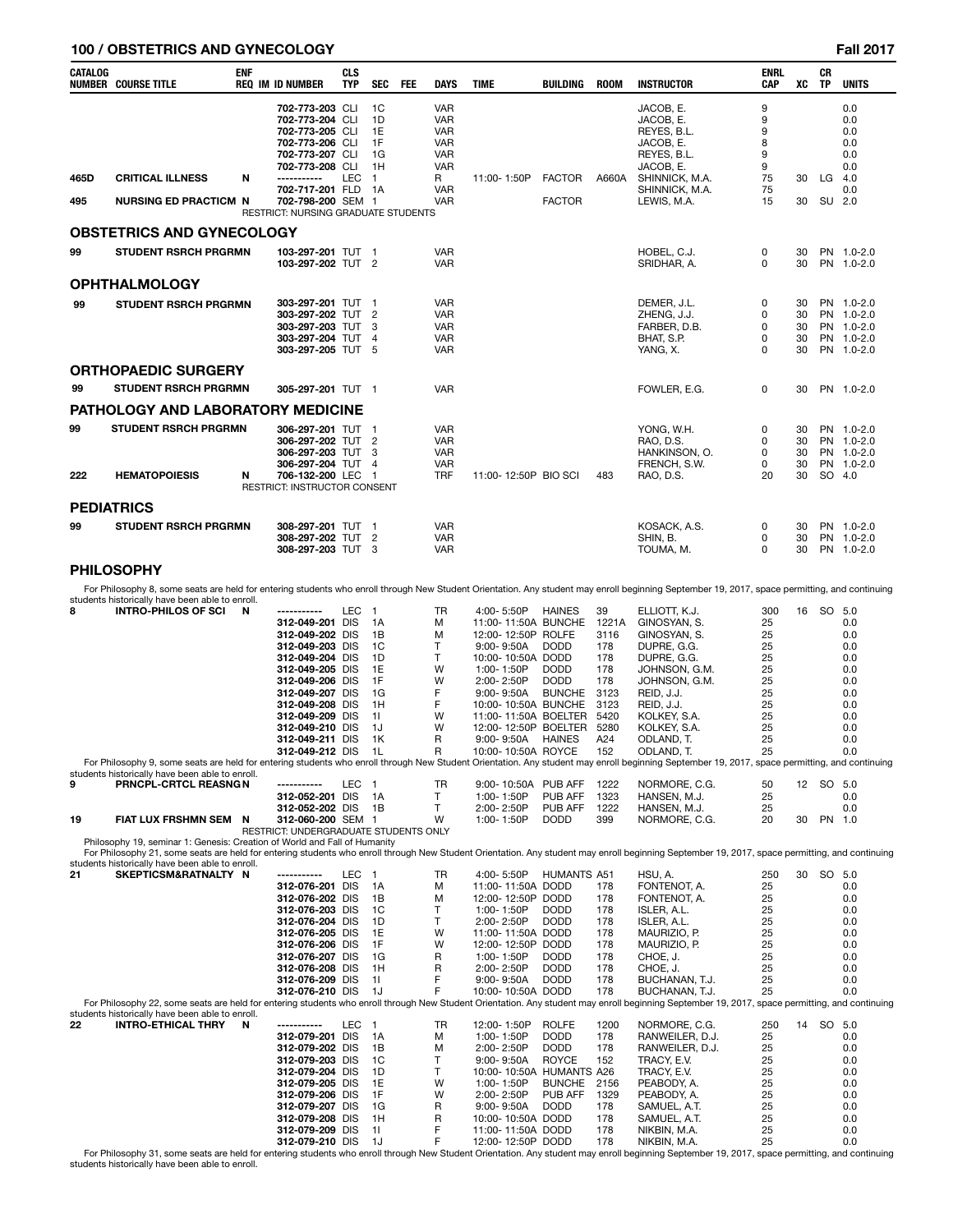## **100 / OBSTETRICS AND GYNECOLOGY Fall 2017**

| CATALOG           | <b>ENF</b><br><b>NUMBER COURSE TITLE</b>                                                                                                                                                                                                                                                                                               | <b>REQ IM ID NUMBER</b>                                                                                                                                                                                                                         | <b>CLS</b><br><b>TYP</b> | <b>SEC</b>                                                                             | FEE | <b>DAYS</b>                                                                      | <b>TIME</b>                                                                                                                                                                                                                                                 | BUILDING                                                                                              | <b>ROOM</b>                                                                                   | <b>INSTRUCTOR</b>                                                                                                                                                                                     | <b>ENRL</b><br><b>CAP</b>                                                   | хc                         | CR<br>TP     | <b>UNITS</b>                                                                     |
|-------------------|----------------------------------------------------------------------------------------------------------------------------------------------------------------------------------------------------------------------------------------------------------------------------------------------------------------------------------------|-------------------------------------------------------------------------------------------------------------------------------------------------------------------------------------------------------------------------------------------------|--------------------------|----------------------------------------------------------------------------------------|-----|----------------------------------------------------------------------------------|-------------------------------------------------------------------------------------------------------------------------------------------------------------------------------------------------------------------------------------------------------------|-------------------------------------------------------------------------------------------------------|-----------------------------------------------------------------------------------------------|-------------------------------------------------------------------------------------------------------------------------------------------------------------------------------------------------------|-----------------------------------------------------------------------------|----------------------------|--------------|----------------------------------------------------------------------------------|
|                   | <b>CRITICAL ILLNESS</b>                                                                                                                                                                                                                                                                                                                | 702-773-203 CLI<br>702-773-204 CLI<br>702-773-205 CLI<br>702-773-206 CLI<br>702-773-207 CLI<br>702-773-208 CLI<br>-----------                                                                                                                   | <b>LEC</b>               | 1C<br>1D<br>1E<br>1F<br>1G<br>1H                                                       |     | <b>VAR</b><br><b>VAR</b><br><b>VAR</b><br><b>VAR</b><br><b>VAR</b><br><b>VAR</b> |                                                                                                                                                                                                                                                             |                                                                                                       |                                                                                               | JACOB, E.<br>JACOB, E.<br>REYES, B.L.<br>JACOB, E.<br>REYES, B.L.<br>JACOB, E.                                                                                                                        | 9<br>9<br>9<br>8<br>9<br>9<br>75                                            | 30                         |              | 0.0<br>0.0<br>0.0<br>0.0<br>0.0<br>0.0                                           |
| 465D<br>495       | N<br><b>NURSING ED PRACTICM N</b>                                                                                                                                                                                                                                                                                                      | 702-717-201 FLD<br>702-798-200 SEM 1<br>RESTRICT: NURSING GRADUATE STUDENTS                                                                                                                                                                     |                          | $\overline{1}$<br>- 1A                                                                 |     | R<br><b>VAR</b><br><b>VAR</b>                                                    | 11:00-1:50P                                                                                                                                                                                                                                                 | <b>FACTOR</b><br><b>FACTOR</b>                                                                        | A660A                                                                                         | SHINNICK, M.A.<br>SHINNICK, M.A.<br>LEWIS, M.A.                                                                                                                                                       | 75<br>15                                                                    | 30                         | LG<br>SU 2.0 | 4.0<br>0.0                                                                       |
|                   | <b>OBSTETRICS AND GYNECOLOGY</b>                                                                                                                                                                                                                                                                                                       |                                                                                                                                                                                                                                                 |                          |                                                                                        |     |                                                                                  |                                                                                                                                                                                                                                                             |                                                                                                       |                                                                                               |                                                                                                                                                                                                       |                                                                             |                            |              |                                                                                  |
| 99                | <b>STUDENT RSRCH PRGRMN</b>                                                                                                                                                                                                                                                                                                            | 103-297-201 TUT 1<br>103-297-202 TUT 2                                                                                                                                                                                                          |                          |                                                                                        |     | <b>VAR</b><br><b>VAR</b>                                                         |                                                                                                                                                                                                                                                             |                                                                                                       |                                                                                               | HOBEL, C.J.<br>SRIDHAR, A.                                                                                                                                                                            | 0<br>0                                                                      | 30<br>30                   |              | PN 1.0-2.0<br>PN 1.0-2.0                                                         |
|                   | OPHTHALMOLOGY                                                                                                                                                                                                                                                                                                                          |                                                                                                                                                                                                                                                 |                          |                                                                                        |     |                                                                                  |                                                                                                                                                                                                                                                             |                                                                                                       |                                                                                               |                                                                                                                                                                                                       |                                                                             |                            |              |                                                                                  |
| 99                | <b>STUDENT RSRCH PRGRMN</b>                                                                                                                                                                                                                                                                                                            | 303-297-201 TUT 1<br>303-297-202 TUT<br>303-297-203 TUT<br>303-297-204 TUT<br>303-297-205 TUT 5                                                                                                                                                 |                          | $\overline{2}$<br>3<br>4                                                               |     | <b>VAR</b><br><b>VAR</b><br><b>VAR</b><br><b>VAR</b><br><b>VAR</b>               |                                                                                                                                                                                                                                                             |                                                                                                       |                                                                                               | DEMER, J.L.<br>ZHENG, J.J.<br>FARBER, D.B.<br>BHAT, S.P.<br>YANG, X.                                                                                                                                  | 0<br>0<br>0<br>0<br>0                                                       | 30<br>30<br>30<br>30<br>30 |              | PN 1.0-2.0<br>PN 1.0-2.0<br>PN 1.0-2.0<br>PN 1.0-2.0<br>PN 1.0-2.0               |
| 99                | <b>ORTHOPAEDIC SURGERY</b><br><b>STUDENT RSRCH PRGRMN</b>                                                                                                                                                                                                                                                                              | 305-297-201 TUT 1                                                                                                                                                                                                                               |                          |                                                                                        |     | <b>VAR</b>                                                                       |                                                                                                                                                                                                                                                             |                                                                                                       |                                                                                               | FOWLER, E.G.                                                                                                                                                                                          | 0                                                                           | 30                         |              | PN 1.0-2.0                                                                       |
|                   | PATHOLOGY AND LABORATORY MEDICINE                                                                                                                                                                                                                                                                                                      |                                                                                                                                                                                                                                                 |                          |                                                                                        |     |                                                                                  |                                                                                                                                                                                                                                                             |                                                                                                       |                                                                                               |                                                                                                                                                                                                       |                                                                             |                            |              |                                                                                  |
| 99<br>222         | <b>STUDENT RSRCH PRGRMN</b><br><b>HEMATOPOIESIS</b><br>N                                                                                                                                                                                                                                                                               | 306-297-201 TUT 1<br>306-297-202 TUT<br>306-297-203 TUT<br>306-297-204 TUT 4<br>706-132-200 LEC 1<br>RESTRICT: INSTRUCTOR CONSENT                                                                                                               |                          | $\overline{2}$<br>3                                                                    |     | <b>VAR</b><br>VAR<br><b>VAR</b><br><b>VAR</b><br>TRF                             | 11:00-12:50P BIO SCI                                                                                                                                                                                                                                        |                                                                                                       | 483                                                                                           | YONG, W.H.<br>RAO, D.S.<br>HANKINSON, O.<br>FRENCH, S.W.<br>RAO, D.S.                                                                                                                                 | 0<br>0<br>0<br>0<br>20                                                      | 30<br>30<br>30<br>30<br>30 | SO 4.0       | PN 1.0-2.0<br>PN 1.0-2.0<br>PN 1.0-2.0<br>PN 1.0-2.0                             |
| <b>PEDIATRICS</b> |                                                                                                                                                                                                                                                                                                                                        |                                                                                                                                                                                                                                                 |                          |                                                                                        |     |                                                                                  |                                                                                                                                                                                                                                                             |                                                                                                       |                                                                                               |                                                                                                                                                                                                       |                                                                             |                            |              |                                                                                  |
| 99                | <b>STUDENT RSRCH PRGRMN</b>                                                                                                                                                                                                                                                                                                            | 308-297-201 TUT 1<br>308-297-202 TUT 2<br>308-297-203 TUT 3                                                                                                                                                                                     |                          |                                                                                        |     | VAR<br><b>VAR</b><br><b>VAR</b>                                                  |                                                                                                                                                                                                                                                             |                                                                                                       |                                                                                               | KOSACK, A.S.<br>SHIN, B.<br>TOUMA, M.                                                                                                                                                                 | 0<br>0<br>0                                                                 | 30<br>30<br>30             |              | PN 1.0-2.0<br>PN 1.0-2.0<br>PN 1.0-2.0                                           |
|                   | PHILOSOPHY                                                                                                                                                                                                                                                                                                                             |                                                                                                                                                                                                                                                 |                          |                                                                                        |     |                                                                                  |                                                                                                                                                                                                                                                             |                                                                                                       |                                                                                               |                                                                                                                                                                                                       |                                                                             |                            |              |                                                                                  |
|                   | For Philosophy 8, some seats are held for entering students who enroll through New Student Orientation. Any student may enroll beginning September 19, 2017, space permitting, and continuing<br>students historically have been able to enroll.                                                                                       |                                                                                                                                                                                                                                                 |                          |                                                                                        |     |                                                                                  |                                                                                                                                                                                                                                                             |                                                                                                       |                                                                                               |                                                                                                                                                                                                       |                                                                             |                            |              |                                                                                  |
| 8                 | <b>INTRO-PHILOS OF SCI</b><br>N<br>For Philosophy 9, some seats are held for entering students who enroll through New Student Orientation. Any student may enroll beginning September 19, 2017, space permitting, and continuing                                                                                                       | -----------<br>312-049-201 DIS<br>312-049-202 DIS<br>312-049-203 DIS<br>312-049-204 DIS<br>312-049-205 DIS<br>312-049-206 DIS<br>312-049-207 DIS<br>312-049-208 DIS<br>312-049-209 DIS<br>312-049-210 DIS<br>312-049-211 DIS<br>312-049-212 DIS | LEC                      | $\overline{1}$<br>1A<br>1B<br>1C<br>1D<br>1E<br>1F<br>1G<br>1H<br>11<br>1J<br>1K<br>1L |     | TR<br>М<br>М<br>т<br>T<br>W<br>W<br>F<br>F<br>W<br>W<br>R<br>R                   | 4:00-5:50P<br>11:00-11:50A BUNCHE<br>12:00-12:50P ROLFE<br>$9:00 - 9:50A$<br>10:00-10:50A DODD<br>1:00-1:50P<br>2:00-2:50P<br>$9:00 - 9:50A$<br>10:00-10:50A BUNCHE<br>11:00-11:50A BOELTER<br>12:00-12:50P BOELTER<br>$9:00 - 9:50A$<br>10:00-10:50A ROYCE | <b>HAINES</b><br><b>DODD</b><br><b>DODD</b><br><b>DODD</b><br><b>BUNCHE</b><br><b>HAINES</b>          | 39<br>1221A<br>3116<br>178<br>178<br>178<br>178<br>3123<br>3123<br>5420<br>5280<br>A24<br>152 | ELLIOTT, K.J.<br>GINOSYAN, S.<br>GINOSYAN, S.<br>DUPRE, G.G.<br>DUPRE, G.G.<br>JOHNSON, G.M.<br>JOHNSON, G.M.<br>REID, J.J.<br>REID, J.J.<br>KOLKEY, S.A.<br>KOLKEY, S.A.<br>ODLAND, T.<br>ODLAND, T. | 300<br>25<br>25<br>25<br>25<br>25<br>25<br>25<br>25<br>25<br>25<br>25<br>25 |                            | 16 SO 5.0    | 0.0<br>0.0<br>0.0<br>0.0<br>0.0<br>0.0<br>0.0<br>0.0<br>0.0<br>0.0<br>0.0<br>0.0 |
| 9                 | students historically have been able to enroll.<br>PRNCPL-CRTCL REASNGN                                                                                                                                                                                                                                                                | -----------                                                                                                                                                                                                                                     | LEC <sub>1</sub>         |                                                                                        |     | TR                                                                               | 9:00-10:50A PUB AFF                                                                                                                                                                                                                                         |                                                                                                       | 1222                                                                                          | NORMORE, C.G.                                                                                                                                                                                         | 50                                                                          |                            | 12 SO 5.0    |                                                                                  |
| 19                | FIAT LUX FRSHMN SEM N                                                                                                                                                                                                                                                                                                                  | 312-052-201 DIS<br>312-052-202 DIS<br>312-060-200 SEM 1<br>RESTRICT: UNDERGRADUATE STUDENTS ONLY                                                                                                                                                |                          | 1A<br>1B                                                                               |     | Τ<br>T.<br>W                                                                     | 1:00-1:50P<br>2:00-2:50P<br>1:00-1:50P                                                                                                                                                                                                                      | PUB AFF<br>PUB AFF<br><b>DODD</b>                                                                     | 1323<br>1222<br>399                                                                           | HANSEN, M.J.<br>HANSEN, M.J.<br>NORMORE, C.G.                                                                                                                                                         | 25<br>25<br>20                                                              | 30                         | PN 1.0       | 0.0<br>0.0                                                                       |
|                   | Philosophy 19, seminar 1: Genesis: Creation of World and Fall of Humanity<br>For Philosophy 21, some seats are held for entering students who enroll through New Student Orientation. Any student may enroll beginning September 19, 2017, space permitting, and continuing                                                            |                                                                                                                                                                                                                                                 |                          |                                                                                        |     |                                                                                  |                                                                                                                                                                                                                                                             |                                                                                                       |                                                                                               |                                                                                                                                                                                                       |                                                                             |                            |              |                                                                                  |
| 21                | students historically have been able to enroll.<br>SKEPTICSM&RATNALTY N<br>For Philosophy 22, some seats are held for entering students who enroll through New Student Orientation. Any student may enroll beginning September 19, 2017, space permitting, and continuing                                                              | -----------<br>312-076-201 DIS<br>312-076-202 DIS<br>312-076-203 DIS<br>312-076-204 DIS<br>312-076-205 DIS<br>312-076-206 DIS<br>312-076-207 DIS<br>312-076-208 DIS<br>312-076-209 DIS<br>312-076-210 DIS                                       | LEC 1                    | 1A<br>1В<br>1C<br>1D<br>1E<br>1F<br>1G<br>1H<br>11<br>1J                               |     | TR<br>Μ<br>М<br>т<br>Т<br>W<br>W<br>R<br>R<br>F<br>F                             | 4:00-5:50P<br>11:00-11:50A DODD<br>12:00-12:50P DODD<br>1:00-1:50P<br>2:00-2:50P<br>11:00-11:50A DODD<br>12:00-12:50P DODD<br>1:00-1:50P<br>2:00-2:50P<br>9:00-9:50A<br>10:00-10:50A DODD                                                                   | <b>HUMANTS A51</b><br><b>DODD</b><br><b>DODD</b><br><b>DODD</b><br><b>DODD</b><br><b>DODD</b>         | 178<br>178<br>178<br>178<br>178<br>178<br>178<br>178<br>178<br>178                            | HSU, A.<br>FONTENOT, A.<br>FONTENOT, A.<br>ISLER, A.L.<br>ISLER, A.L.<br>MAURIZIO, P.<br>MAURIZIO, P.<br>CHOE, J.<br>CHOE, J.<br>BUCHANAN, T.J.<br>BUCHANAN, T.J.                                     | 250<br>25<br>25<br>25<br>25<br>25<br>25<br>25<br>25<br>25<br>25             |                            | 30 SO 5.0    | 0.0<br>0.0<br>0.0<br>0.0<br>0.0<br>0.0<br>0.0<br>0.0<br>0.0<br>0.0               |
| 22                | students historically have been able to enroll.<br><b>INTRO-ETHICAL THRY</b><br>N<br>For Philosophy 31, some seats are held for entering students who enroll through New Student Orientation. Any student may enroll beginning September 19, 2017, space permitting, and continuing<br>students historically have been able to enroll. | -----------<br>312-079-201 DIS<br>312-079-202 DIS<br>312-079-203 DIS<br>312-079-204 DIS<br>312-079-205 DIS<br>312-079-206 DIS<br>312-079-207 DIS<br>312-079-208 DIS<br>312-079-209 DIS<br>312-079-210 DIS                                       | LEC 1                    | 1A<br>1В<br>1C<br>1D<br>1E<br>1F<br>1G<br>1H<br>11<br>1J                               |     | TR<br>М<br>м<br>T<br>Т<br>W<br>W<br>R<br>R<br>F<br>F                             | 12:00-1:50P<br>1:00-1:50P<br>2:00-2:50P<br>9:00-9:50A<br>10:00-10:50A HUMANTS A26<br>1:00-1:50P<br>2:00-2:50P<br>$9:00 - 9:50A$<br>10:00-10:50A DODD<br>11:00-11:50A DODD<br>12:00-12:50P DODD                                                              | <b>ROLFE</b><br><b>DODD</b><br><b>DODD</b><br><b>ROYCE</b><br><b>BUNCHE</b><br>PUB AFF<br><b>DODD</b> | 1200<br>178<br>178<br>152<br>2156<br>1329<br>178<br>178<br>178<br>178                         | NORMORE, C.G.<br>RANWEILER, D.J.<br>RANWEILER, D.J.<br>TRACY, E.V.<br>TRACY, E.V.<br>PEABODY, A.<br>PEABODY, A.<br>SAMUEL, A.T.<br>SAMUEL, A.T.<br>NIKBIN, M.A.<br>NIKBIN, M.A.                       | 250<br>25<br>25<br>25<br>25<br>25<br>25<br>25<br>25<br>25<br>25             |                            | 14 SO 5.0    | 0.0<br>0.0<br>0.0<br>0.0<br>0.0<br>0.0<br>0.0<br>0.0<br>0.0<br>0.0               |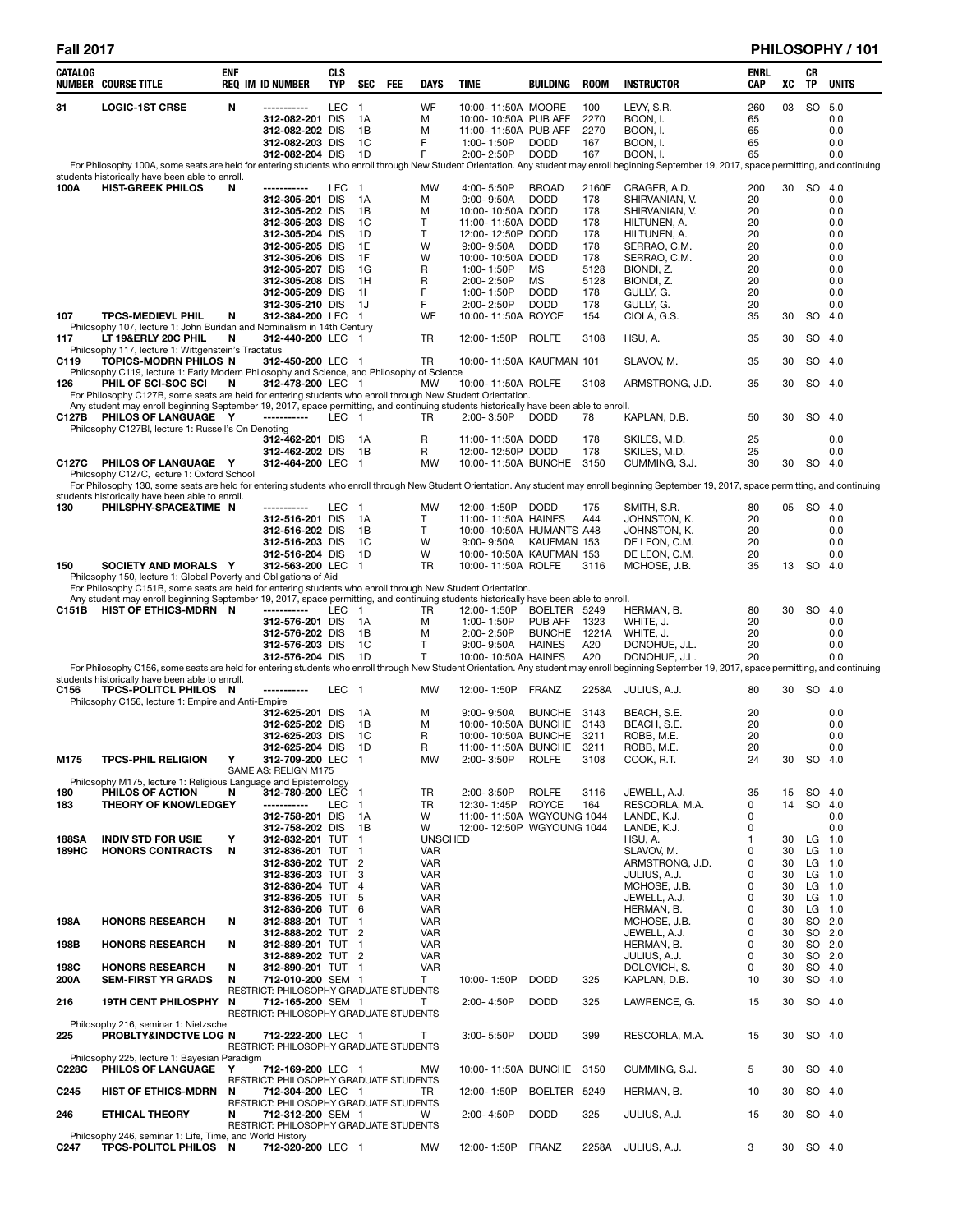| Fall<br>ı | 201 | 1 |
|-----------|-----|---|
|-----------|-----|---|

# **Fall 2017 PHILOSOPHY / 101**

| CATALOG               | <b>NUMBER COURSE TITLE</b>                                                                                                                                                                                                                           | <b>ENF</b> | <b>REQ IM ID NUMBER</b>                                     | CLS<br>TYP | <b>SEC</b>           | <b>FEE</b> | <b>DAYS</b>                  | TIME                                            | <b>BUILDING</b>          | <b>ROOM</b>   | <b>INSTRUCTOR</b>                                                                                                                                                                                                 | ENRL<br>CAP | XC       | CR<br>TP               | <b>UNITS</b>     |
|-----------------------|------------------------------------------------------------------------------------------------------------------------------------------------------------------------------------------------------------------------------------------------------|------------|-------------------------------------------------------------|------------|----------------------|------------|------------------------------|-------------------------------------------------|--------------------------|---------------|-------------------------------------------------------------------------------------------------------------------------------------------------------------------------------------------------------------------|-------------|----------|------------------------|------------------|
| 31                    | <b>LOGIC-1ST CRSE</b>                                                                                                                                                                                                                                | N          | -----------                                                 | LEC        | $\overline{1}$       |            | WF                           | 10:00-11:50A MOORE                              |                          | 100           | LEVY, S.R.                                                                                                                                                                                                        | 260         | 03       | <b>SO</b>              | 5.0              |
|                       |                                                                                                                                                                                                                                                      |            | 312-082-201 DIS                                             |            | 1A                   |            | м                            | 10:00-10:50A PUB AFF                            |                          | 2270          | BOON, I.                                                                                                                                                                                                          | 65          |          |                        | 0.0              |
|                       |                                                                                                                                                                                                                                                      |            | 312-082-202 DIS<br>312-082-203 DIS                          |            | 1B<br>1C             |            | м<br>F                       | 11:00-11:50A PUB AFF<br>1:00-1:50P              | <b>DODD</b>              | 2270<br>167   | BOON, I.<br>BOON, I.                                                                                                                                                                                              | 65<br>65    |          |                        | 0.0<br>0.0       |
|                       |                                                                                                                                                                                                                                                      |            | 312-082-204 DIS                                             |            | - 1 D                |            | F                            | 2:00-2:50P                                      | <b>DODD</b>              | 167           | BOON, I.                                                                                                                                                                                                          | 65          |          |                        | 0.0              |
|                       | students historically have been able to enroll.                                                                                                                                                                                                      |            |                                                             |            |                      |            |                              |                                                 |                          |               | For Philosophy 100A, some seats are held for entering students who enroll through New Student Orientation. Any student may enroll beginning September 19, 2017, space permitting, and continuing                  |             |          |                        |                  |
| 100A                  | <b>HIST-GREEK PHILOS</b>                                                                                                                                                                                                                             | N          | -----------                                                 | LEC        | - 1                  |            | MW                           | 4:00-5:50P                                      | <b>BROAD</b>             | 2160E         | CRAGER, A.D.                                                                                                                                                                                                      | 200         |          | 30 SO 4.0              |                  |
|                       |                                                                                                                                                                                                                                                      |            | 312-305-201 DIS<br>312-305-202 DIS                          |            | 1A<br>1B             |            | М<br>М                       | 9:00-9:50A<br>10:00-10:50A DODD                 | <b>DODD</b>              | 178<br>178    | SHIRVANIAN, V.<br>SHIRVANIAN, V.                                                                                                                                                                                  | 20<br>20    |          |                        | 0.0<br>0.0       |
|                       |                                                                                                                                                                                                                                                      |            | 312-305-203 DIS                                             |            | 1C                   |            | T                            | 11:00-11:50A DODD                               |                          | 178           | HILTUNEN, A.                                                                                                                                                                                                      | 20          |          |                        | 0.0              |
|                       |                                                                                                                                                                                                                                                      |            | 312-305-204 DIS                                             |            | 1D                   |            | т                            | 12:00-12:50P DODD                               |                          | 178           | HILTUNEN, A.                                                                                                                                                                                                      | 20          |          |                        | 0.0              |
|                       |                                                                                                                                                                                                                                                      |            | 312-305-205 DIS<br>312-305-206 DIS                          |            | 1E<br>1F             |            | W<br>W                       | $9:00 - 9:50A$<br>10:00-10:50A DODD             | <b>DODD</b>              | 178<br>178    | SERRAO, C.M.<br>SERRAO, C.M.                                                                                                                                                                                      | 20<br>20    |          |                        | 0.0<br>0.0       |
|                       |                                                                                                                                                                                                                                                      |            | 312-305-207 DIS                                             |            | 1G                   |            | R                            | 1:00-1:50P                                      | МS                       | 5128          | BIONDI, Z.                                                                                                                                                                                                        | 20          |          |                        | 0.0              |
|                       |                                                                                                                                                                                                                                                      |            | 312-305-208 DIS<br>312-305-209 DIS                          |            | 1H<br>-11            |            | R<br>F                       | 2:00-2:50P<br>1:00-1:50P                        | MS<br><b>DODD</b>        | 5128<br>178   | BIONDI, Z.<br>GULLY, G.                                                                                                                                                                                           | 20<br>20    |          |                        | 0.0<br>0.0       |
|                       |                                                                                                                                                                                                                                                      |            | 312-305-210 DIS                                             |            | - 1J                 |            | F                            | 2:00-2:50P                                      | <b>DODD</b>              | 178           | GULLY, G.                                                                                                                                                                                                         | 20          |          |                        | 0.0              |
| 107                   | <b>TPCS-MEDIEVL PHIL</b><br>Philosophy 107, lecture 1: John Buridan and Nominalism in 14th Century                                                                                                                                                   | N          | 312-384-200 LEC 1                                           |            |                      |            | WF                           | 10:00-11:50A ROYCE                              |                          | 154           | CIOLA, G.S.                                                                                                                                                                                                       | 35          | 30       | SO.                    | -4.0             |
| 117                   | LT 19&ERLY 20C PHIL                                                                                                                                                                                                                                  | N          | 312-440-200 LEC 1                                           |            |                      |            | TR                           | 12:00-1:50P                                     | <b>ROLFE</b>             | 3108          | HSU, A.                                                                                                                                                                                                           | 35          | 30       |                        | SO 4.0           |
| C119                  | Philosophy 117, lecture 1: Wittgenstein's Tractatus<br>TOPICS-MODRN PHILOS N                                                                                                                                                                         |            | 312-450-200 LEC 1                                           |            |                      |            | TR                           | 10:00-11:50A KAUFMAN 101                        |                          |               | SLAVOV, M.                                                                                                                                                                                                        | 35          | 30       |                        | SO 4.0           |
|                       | Philosophy C119, lecture 1: Early Modern Philosophy and Science, and Philosophy of Science                                                                                                                                                           |            |                                                             |            |                      |            |                              |                                                 |                          |               |                                                                                                                                                                                                                   |             |          |                        |                  |
| 126                   | PHIL OF SCI-SOC SCI<br>For Philosophy C127B, some seats are held for entering students who enroll through New Student Orientation.                                                                                                                   | N          | 312-478-200 LEC 1                                           |            |                      |            | <b>MW</b>                    | 10:00-11:50A ROLFE                              |                          | 3108          | ARMSTRONG, J.D.                                                                                                                                                                                                   | 35          | 30       |                        | SO 4.0           |
|                       | Any student may enroll beginning September 19, 2017, space permitting, and continuing students historically have been able to enroll.                                                                                                                |            |                                                             |            |                      |            |                              |                                                 |                          |               |                                                                                                                                                                                                                   |             |          |                        |                  |
| C127B                 | PHILOS OF LANGUAGE Y<br>Philosophy C127BI, lecture 1: Russell's On Denoting                                                                                                                                                                          |            | -----------                                                 | LEC 1      |                      |            | TR                           | 2:00-3:50P                                      | <b>DODD</b>              | 78            | KAPLAN, D.B.                                                                                                                                                                                                      | 50          | 30       |                        | SO 4.0           |
|                       |                                                                                                                                                                                                                                                      |            | 312-462-201 DIS                                             |            | - 1A                 |            | R                            | 11:00-11:50A DODD                               |                          | 178           | SKILES, M.D.                                                                                                                                                                                                      | 25          |          |                        | 0.0              |
| C127C                 | PHILOS OF LANGUAGE Y                                                                                                                                                                                                                                 |            | 312-462-202 DIS<br>312-464-200 LEC 1                        |            | - 1B                 |            | R<br>MW                      | 12:00-12:50P DODD<br>10:00-11:50A BUNCHE        |                          | 178<br>3150   | SKILES, M.D.<br>CUMMING, S.J.                                                                                                                                                                                     | 25<br>30    | 30       | SO 4.0                 | 0.0              |
|                       | Philosophy C127C, lecture 1: Oxford School                                                                                                                                                                                                           |            |                                                             |            |                      |            |                              |                                                 |                          |               |                                                                                                                                                                                                                   |             |          |                        |                  |
|                       | students historically have been able to enroll.                                                                                                                                                                                                      |            |                                                             |            |                      |            |                              |                                                 |                          |               | For Philosophy 130, some seats are held for entering students who enroll through New Student Orientation. Any student may enroll beginning September 19, 2017, space permitting, and continuing                   |             |          |                        |                  |
| 130                   | PHILSPHY-SPACE&TIME N                                                                                                                                                                                                                                |            | -----------                                                 | LEC 1      |                      |            | MW                           | 12:00-1:50P DODD                                |                          | 175           | SMITH, S.R.                                                                                                                                                                                                       | 80          |          | 05 SO 4.0              |                  |
|                       |                                                                                                                                                                                                                                                      |            | 312-516-201 DIS<br>312-516-202 DIS                          |            | - 1A<br>1B           |            | Т<br>T                       | 11:00-11:50A HAINES<br>10:00-10:50A HUMANTS A48 |                          | A44           | JOHNSTON, K.<br>JOHNSTON, K.                                                                                                                                                                                      | 20<br>20    |          |                        | 0.0<br>0.0       |
|                       |                                                                                                                                                                                                                                                      |            | 312-516-203 DIS                                             |            | 1C                   |            | W                            | $9:00 - 9:50A$                                  | KAUFMAN 153              |               | DE LEON, C.M.                                                                                                                                                                                                     | 20          |          |                        | 0.0              |
| 150                   | SOCIETY AND MORALS Y                                                                                                                                                                                                                                 |            | 312-516-204 DIS<br>312-563-200 LEC 1                        |            | 1D                   |            | W<br>TR                      | 10:00-10:50A KAUFMAN 153<br>10:00-11:50A ROLFE  |                          | 3116          | DE LEON, C.M.<br>MCHOSE, J.B.                                                                                                                                                                                     | 20<br>35    | 13       | SO 4.0                 | 0.0              |
|                       | Philosophy 150, lecture 1: Global Poverty and Obligations of Aid                                                                                                                                                                                     |            |                                                             |            |                      |            |                              |                                                 |                          |               |                                                                                                                                                                                                                   |             |          |                        |                  |
|                       | For Philosophy C151B, some seats are held for entering students who enroll through New Student Orientation.<br>Any student may enroll beginning September 19, 2017, space permitting, and continuing students historically have been able to enroll. |            |                                                             |            |                      |            |                              |                                                 |                          |               |                                                                                                                                                                                                                   |             |          |                        |                  |
| C151B                 | HIST OF ETHICS-MDRN N                                                                                                                                                                                                                                |            | -----------                                                 | LEC 1      |                      |            | TR                           | 12:00-1:50P                                     | BOELTER 5249             |               | HERMAN, B.                                                                                                                                                                                                        | 80          | 30       | SO.                    | 4.0              |
|                       |                                                                                                                                                                                                                                                      |            | 312-576-201 DIS<br>312-576-202 DIS                          |            | - 1A<br>1B           |            | М<br>м                       | 1:00-1:50P<br>2:00-2:50P                        | PUB AFF<br><b>BUNCHE</b> | 1323<br>1221A | WHITE, J.<br>WHITE, J.                                                                                                                                                                                            | 20<br>20    |          |                        | 0.0<br>0.0       |
|                       |                                                                                                                                                                                                                                                      |            | 312-576-203 DIS                                             |            | 1C                   |            | Т                            | 9:00-9:50A                                      | <b>HAINES</b>            | A20           | DONOHUE, J.L.                                                                                                                                                                                                     | 20          |          |                        | 0.0              |
|                       |                                                                                                                                                                                                                                                      |            | 312-576-204 DIS                                             |            | 1D                   |            | T                            | 10:00-10:50A HAINES                             |                          | A20           | DONOHUE, J.L.<br>For Philosophy C156, some seats are held for entering students who enroll through New Student Orientation. Any student may enroll beginning September 19, 2017, space permitting, and continuing | 20          |          |                        | 0.0              |
|                       | students historically have been able to enroll.                                                                                                                                                                                                      |            |                                                             |            |                      |            |                              |                                                 |                          |               |                                                                                                                                                                                                                   |             |          |                        |                  |
| C <sub>156</sub>      | TPCS-POLITCL PHILOS N<br>Philosophy C156, lecture 1: Empire and Anti-Empire                                                                                                                                                                          |            | -----------                                                 | LEC 1      |                      |            | MW                           | 12:00-1:50P                                     | FRANZ                    | 2258A         | JULIUS, A.J.                                                                                                                                                                                                      | 80          |          | 30 SO 4.0              |                  |
|                       |                                                                                                                                                                                                                                                      |            | 312-625-201 DIS                                             |            | 1A                   |            | м                            | 9:00-9:50A                                      | <b>BUNCHE</b>            | 3143          | BEACH, S.E.                                                                                                                                                                                                       | 20          |          |                        | 0.0              |
|                       |                                                                                                                                                                                                                                                      |            | 312-625-202 DIS<br>312-625-203 DIS                          |            | 1B<br>1C             |            | м<br>R                       | 10:00-10:50A BUNCHE<br>10:00-10:50A BUNCHE      |                          | 3143<br>3211  | BEACH, S.E.<br>ROBB, M.E.                                                                                                                                                                                         | 20<br>20    |          |                        | 0.0<br>0.0       |
|                       |                                                                                                                                                                                                                                                      |            | 312-625-204 DIS                                             |            | 1D                   |            | R                            | 11:00-11:50A BUNCHE                             |                          | 3211          | ROBB, M.E.                                                                                                                                                                                                        | 20          |          |                        | 0.0              |
| M175                  | <b>TPCS-PHIL RELIGION</b>                                                                                                                                                                                                                            | Υ          | 312-709-200 LEC 1<br>SAME AS: RELIGN M175                   |            |                      |            | <b>MW</b>                    | 2:00-3:50P                                      | <b>ROLFE</b>             | 3108          | COOK, R.T.                                                                                                                                                                                                        | 24          |          | 30 SO 4.0              |                  |
|                       | Philosophy M175, lecture 1: Religious Language and Epistemology                                                                                                                                                                                      |            |                                                             |            |                      |            |                              |                                                 |                          |               |                                                                                                                                                                                                                   |             |          |                        |                  |
| 180<br>183            | PHILOS OF ACTION<br>THEORY OF KNOWLEDGEY                                                                                                                                                                                                             | N          | 312-780-200 LEC<br>-----------                              | LEC        | -1<br>$\overline{1}$ |            | TR<br><b>TR</b>              | 2:00-3:50P<br>12:30-1:45P ROYCE                 | <b>ROLFE</b>             | 3116<br>164   | JEWELL, A.J.<br>RESCORLA, M.A.                                                                                                                                                                                    | 35<br>0     | 15<br>14 | <b>SO</b><br><b>SO</b> | -4.0<br>4.0      |
|                       |                                                                                                                                                                                                                                                      |            | 312-758-201 DIS                                             |            | 1A                   |            | W                            | 11:00-11:50A WGYOUNG 1044                       |                          |               | LANDE, K.J.                                                                                                                                                                                                       | 0           |          |                        | 0.0              |
|                       |                                                                                                                                                                                                                                                      |            | 312-758-202 DIS                                             |            | 1B                   |            | W                            | 12:00-12:50P WGYOUNG 1044                       |                          |               | LANDE, K.J.                                                                                                                                                                                                       | 0           |          |                        | 0.0              |
| <b>188SA</b><br>189HC | <b>INDIV STD FOR USIE</b><br><b>HONORS CONTRACTS</b>                                                                                                                                                                                                 | Υ<br>N     | 312-832-201 TUT 1<br>312-836-201 TUT 1                      |            |                      |            | <b>UNSCHED</b><br><b>VAR</b> |                                                 |                          |               | HSU, A.<br>SLAVOV, M.                                                                                                                                                                                             | 1<br>0      | 30<br>30 | LG<br>LG               | 1.0<br>1.0       |
|                       |                                                                                                                                                                                                                                                      |            | 312-836-202 TUT 2                                           |            |                      |            | <b>VAR</b>                   |                                                 |                          |               | ARMSTRONG, J.D.                                                                                                                                                                                                   | 0           | 30       | LG                     | 1.0              |
|                       |                                                                                                                                                                                                                                                      |            | 312-836-203 TUT 3<br>312-836-204 TUT 4                      |            |                      |            | <b>VAR</b><br><b>VAR</b>     |                                                 |                          |               | JULIUS, A.J.<br>MCHOSE, J.B.                                                                                                                                                                                      | 0<br>0      | 30<br>30 | LG<br>LG               | 1.0<br>1.0       |
|                       |                                                                                                                                                                                                                                                      |            | 312-836-205 TUT 5                                           |            |                      |            | <b>VAR</b>                   |                                                 |                          |               | JEWELL, A.J.                                                                                                                                                                                                      | 0           | 30       | LG                     | 1.0              |
| 198A                  | <b>HONORS RESEARCH</b>                                                                                                                                                                                                                               | N          | 312-836-206 TUT 6<br>312-888-201 TUT 1                      |            |                      |            | <b>VAR</b><br><b>VAR</b>     |                                                 |                          |               | HERMAN, B.<br>MCHOSE, J.B.                                                                                                                                                                                        | 0<br>0      | 30<br>30 | LG                     | 1.0<br>SO 2.0    |
|                       |                                                                                                                                                                                                                                                      |            | 312-888-202 TUT 2                                           |            |                      |            | <b>VAR</b>                   |                                                 |                          |               | JEWELL, A.J.                                                                                                                                                                                                      | 0           | 30       |                        | SO 2.0           |
| 198B                  | <b>HONORS RESEARCH</b>                                                                                                                                                                                                                               | N          | 312-889-201 TUT 1<br>312-889-202 TUT 2                      |            |                      |            | <b>VAR</b><br><b>VAR</b>     |                                                 |                          |               | HERMAN, B.<br>JULIUS, A.J.                                                                                                                                                                                        | 0<br>0      | 30<br>30 |                        | SO 2.0<br>SO 2.0 |
| 198C                  | <b>HONORS RESEARCH</b>                                                                                                                                                                                                                               | Ν          | 312-890-201 TUT 1                                           |            |                      |            | <b>VAR</b>                   |                                                 |                          |               | DOLOVICH, S.                                                                                                                                                                                                      | 0           | 30       |                        | SO 4.0           |
| 200A                  | <b>SEM-FIRST YR GRADS</b>                                                                                                                                                                                                                            | N          | 712-010-200 SEM 1<br>RESTRICT: PHILOSOPHY GRADUATE STUDENTS |            |                      |            | T.                           | 10:00-1:50P                                     | <b>DODD</b>              | 325           | KAPLAN, D.B.                                                                                                                                                                                                      | 10          | 30       |                        | SO 4.0           |
| 216                   | <b>19TH CENT PHILOSPHY</b>                                                                                                                                                                                                                           | N          | 712-165-200 SEM 1                                           |            |                      |            | т                            | 2:00-4:50P                                      | <b>DODD</b>              | 325           | LAWRENCE, G.                                                                                                                                                                                                      | 15          | 30       | SO 4.0                 |                  |
| 225                   | Philosophy 216, seminar 1: Nietzsche<br>PROBLTY&INDCTVE LOG N                                                                                                                                                                                        |            | RESTRICT: PHILOSOPHY GRADUATE STUDENTS<br>712-222-200 LEC 1 |            |                      |            | Τ                            | 3:00-5:50P                                      | <b>DODD</b>              | 399           | RESCORLA, M.A.                                                                                                                                                                                                    | 15          | 30       |                        | SO 4.0           |
|                       |                                                                                                                                                                                                                                                      |            | RESTRICT: PHILOSOPHY GRADUATE STUDENTS                      |            |                      |            |                              |                                                 |                          |               |                                                                                                                                                                                                                   |             |          |                        |                  |
| C228C                 | Philosophy 225, lecture 1: Bayesian Paradigm<br>PHILOS OF LANGUAGE                                                                                                                                                                                   | Y          | 712-169-200 LEC 1                                           |            |                      |            | <b>MW</b>                    | 10:00-11:50A BUNCHE                             |                          | 3150          | CUMMING, S.J.                                                                                                                                                                                                     | 5           | 30       |                        | SO 4.0           |
|                       |                                                                                                                                                                                                                                                      |            | RESTRICT: PHILOSOPHY GRADUATE STUDENTS                      |            |                      |            |                              |                                                 |                          |               |                                                                                                                                                                                                                   |             |          |                        |                  |
| C <sub>245</sub>      | <b>HIST OF ETHICS-MDRN</b>                                                                                                                                                                                                                           | N          | 712-304-200 LEC 1<br>RESTRICT: PHILOSOPHY GRADUATE STUDENTS |            |                      |            | TR                           | 12:00-1:50P                                     | BOELTER                  | 5249          | HERMAN, B.                                                                                                                                                                                                        | 10          | 30       |                        | SO 4.0           |
| 246                   | <b>ETHICAL THEORY</b>                                                                                                                                                                                                                                | N          | 712-312-200 SEM 1                                           |            |                      |            | W                            | 2:00-4:50P                                      | <b>DODD</b>              | 325           | JULIUS, A.J.                                                                                                                                                                                                      | 15          | 30       | SO 4.0                 |                  |
|                       | Philosophy 246, seminar 1: Life, Time, and World History                                                                                                                                                                                             |            | RESTRICT: PHILOSOPHY GRADUATE STUDENTS                      |            |                      |            |                              |                                                 |                          |               |                                                                                                                                                                                                                   |             |          |                        |                  |
| C <sub>247</sub>      | TPCS-POLITCL PHILOS N                                                                                                                                                                                                                                |            | 712-320-200 LEC 1                                           |            |                      |            | MW                           | 12:00-1:50P FRANZ                               |                          | 2258A         | JULIUS, A.J.                                                                                                                                                                                                      | 3           |          | 30 SO 4.0              |                  |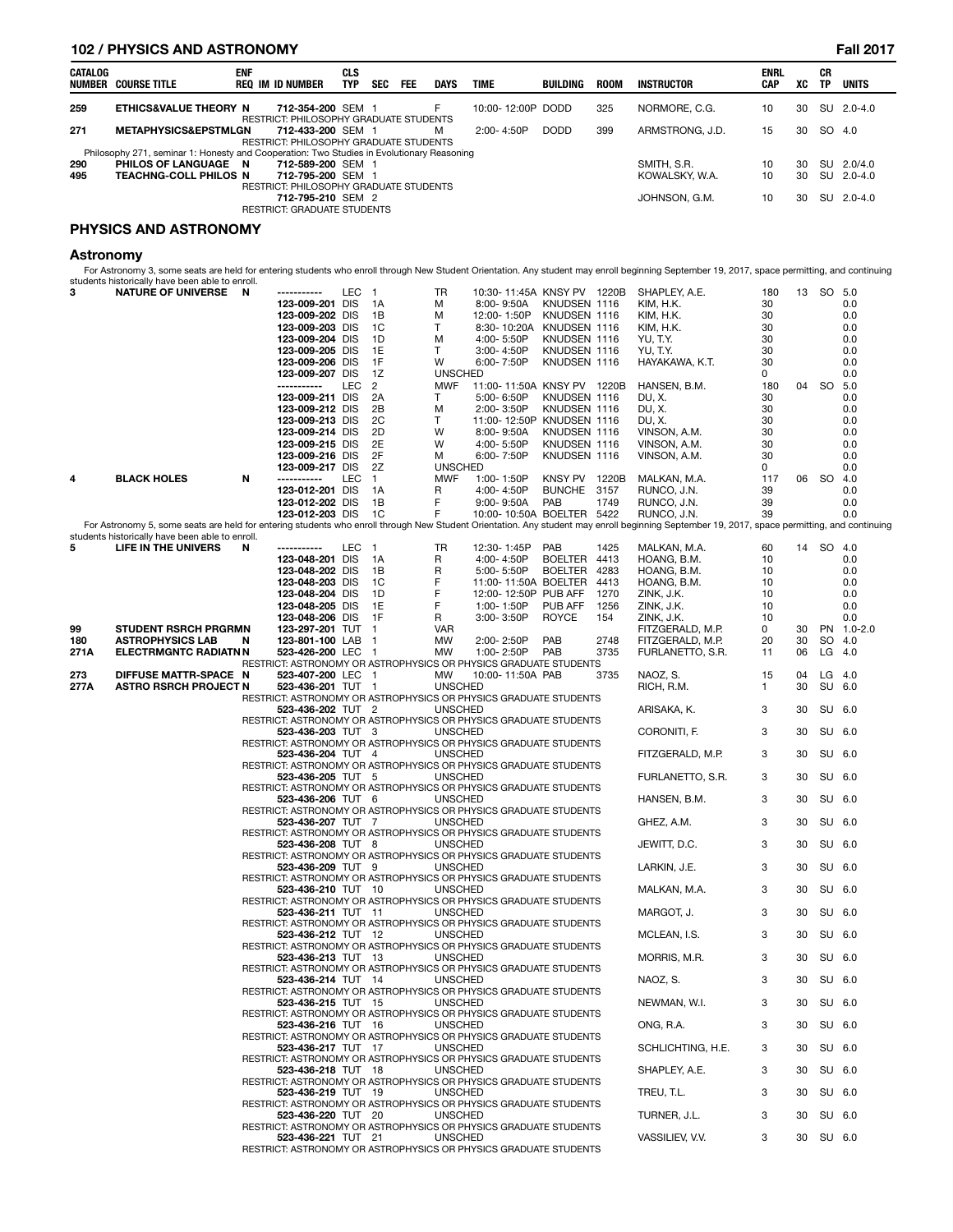### **102 / PHYSICS AND ASTRONOMY Fall 2017**

| CATALOG | NUMBER COURSE TITLE                                                                       | <b>ENF</b> | REQ IM ID NUMBER                                                   | CLS<br><b>TYP</b> | <b>SEC</b> | <b>FEE</b> | DAYS | <b>TIME</b>       | BUILDING    | <b>ROOM</b> | INSTRUCTOR      | <b>ENRL</b><br>CAP | XC | СR<br><b>TP</b> | <b>UNITS</b> |
|---------|-------------------------------------------------------------------------------------------|------------|--------------------------------------------------------------------|-------------------|------------|------------|------|-------------------|-------------|-------------|-----------------|--------------------|----|-----------------|--------------|
| 259     | <b>ETHICS&amp;VALUE THEORY N</b>                                                          |            | 712-354-200 SEM 1<br><b>RESTRICT: PHILOSOPHY GRADUATE STUDENTS</b> |                   |            |            | F    | 10:00-12:00P DODD |             | 325         | NORMORE, C.G.   | 10                 | 30 |                 | SU 2.0-4.0   |
| 271     | <b>METAPHYSICS&amp;EPSTMLGN</b>                                                           |            | 712-433-200 SEM 1<br>RESTRICT: PHILOSOPHY GRADUATE STUDENTS        |                   |            |            | м    | $2:00 - 4:50P$    | <b>DODD</b> | 399         | ARMSTRONG, J.D. | 15                 | 30 | SO 4.0          |              |
|         | Philosophy 271, seminar 1: Honesty and Cooperation: Two Studies in Evolutionary Reasoning |            |                                                                    |                   |            |            |      |                   |             |             |                 |                    |    |                 |              |
| 290     | PHILOS OF LANGUAGE N                                                                      |            | 712-589-200 SEM 1                                                  |                   |            |            |      |                   |             |             | SMITH, S.R.     | 10                 | 30 |                 | SU 2.0/4.0   |
| 495     | <b>TEACHNG-COLL PHILOS N</b>                                                              |            | 712-795-200 SEM 1<br>RESTRICT: PHILOSOPHY GRADUATE STUDENTS        |                   |            |            |      |                   |             |             | KOWALSKY, W.A.  | 10                 | 30 |                 | SU 2.0-4.0   |
|         |                                                                                           |            | 712-795-210 SEM 2<br><b>RESTRICT: GRADUATE STUDENTS</b>            |                   |            |            |      |                   |             |             | JOHNSON, G.M.   | 10                 | 30 |                 | SU 2.0-4.0   |

### **PHYSICS AND ASTRONOMY**

### **Astronomy**

For Astronomy 3, some seats are held for entering students who enroll through New Student Orientation. Any student may enroll beginning September 19, 2017, space permitting, and continuing<br>students historically have been a

|      |                                                                                                                                                                                              |   | 123-009-201 DIS    |     | 1A             | м              | 8:00-9:50A                                                       | KNUDSEN 1116   |      | KIM, H.K.         | 30  |    |           | 0.0        |
|------|----------------------------------------------------------------------------------------------------------------------------------------------------------------------------------------------|---|--------------------|-----|----------------|----------------|------------------------------------------------------------------|----------------|------|-------------------|-----|----|-----------|------------|
|      |                                                                                                                                                                                              |   | 123-009-202 DIS    |     | 1B             | м              | 12:00-1:50P                                                      | KNUDSEN 1116   |      | KIM, H.K.         | 30  |    |           | 0.0        |
|      |                                                                                                                                                                                              |   | 123-009-203 DIS    |     | 1C             | т              | 8:30-10:20A                                                      | KNUDSEN 1116   |      | KIM, H.K.         | 30  |    |           | 0.0        |
|      |                                                                                                                                                                                              |   | 123-009-204 DIS    |     | 1D             | м              | 4:00-5:50P                                                       | KNUDSEN 1116   |      | YU, T.Y.          | 30  |    |           | 0.0        |
|      |                                                                                                                                                                                              |   | 123-009-205 DIS    |     | 1E             | т              | 3:00-4:50P                                                       | KNUDSEN 1116   |      | YU, T.Y.          | 30  |    |           | 0.0        |
|      |                                                                                                                                                                                              |   | 123-009-206 DIS    |     | 1F             | W              | 6:00-7:50P                                                       | KNUDSEN 1116   |      | HAYAKAWA, K.T.    | 30  |    |           | 0.0        |
|      |                                                                                                                                                                                              |   |                    |     | 1Z             |                |                                                                  |                |      |                   | 0   |    |           |            |
|      |                                                                                                                                                                                              |   | 123-009-207 DIS    |     |                | <b>UNSCHED</b> |                                                                  |                |      |                   |     |    |           | 0.0        |
|      |                                                                                                                                                                                              |   | -----------        | LEC | $\overline{2}$ | <b>MWF</b>     | 11:00-11:50A KNSY PV 1220B                                       |                |      | HANSEN, B.M.      | 180 |    | 04 SO 5.0 |            |
|      |                                                                                                                                                                                              |   | 123-009-211 DIS    |     | 2A             | т              | 5:00-6:50P                                                       | KNUDSEN 1116   |      | DU, X.            | 30  |    |           | 0.0        |
|      |                                                                                                                                                                                              |   | 123-009-212 DIS    |     | 2B             | м              | 2:00-3:50P                                                       | KNUDSEN 1116   |      | DU, X.            | 30  |    |           | 0.0        |
|      |                                                                                                                                                                                              |   | 123-009-213 DIS    |     | 2C             | т              | 11:00-12:50P KNUDSEN 1116                                        |                |      | DU, X.            | 30  |    |           | 0.0        |
|      |                                                                                                                                                                                              |   | 123-009-214 DIS    |     | 2D             | W              | 8:00-9:50A                                                       | KNUDSEN 1116   |      | VINSON, A.M.      | 30  |    |           | 0.0        |
|      |                                                                                                                                                                                              |   |                    |     | 2E             | W              |                                                                  |                |      |                   | 30  |    |           | 0.0        |
|      |                                                                                                                                                                                              |   | 123-009-215 DIS    |     |                |                | 4:00-5:50P                                                       | KNUDSEN 1116   |      | VINSON, A.M.      |     |    |           |            |
|      |                                                                                                                                                                                              |   | 123-009-216 DIS    |     | 2F             | м              | 6:00-7:50P                                                       | KNUDSEN 1116   |      | VINSON, A.M.      | 30  |    |           | 0.0        |
|      |                                                                                                                                                                                              |   | 123-009-217 DIS    |     | 2Z             | <b>UNSCHED</b> |                                                                  |                |      |                   | 0   |    |           | 0.0        |
| 4    | <b>BLACK HOLES</b>                                                                                                                                                                           | N | -----------        | LEC | $\overline{1}$ | <b>MWF</b>     | 1:00-1:50P                                                       | KNSY PV 1220B  |      | MALKAN, M.A.      | 117 |    | 06 SO 4.0 |            |
|      |                                                                                                                                                                                              |   | 123-012-201 DIS    |     | 1A             | R              | 4:00-4:50P                                                       | <b>BUNCHE</b>  | 3157 | RUNCO, J.N.       | 39  |    |           | 0.0        |
|      |                                                                                                                                                                                              |   | 123-012-202 DIS    |     | 1B             | F              | 9:00-9:50A                                                       | PAB            | 1749 | RUNCO, J.N.       | 39  |    |           | 0.0        |
|      |                                                                                                                                                                                              |   | 123-012-203 DIS    |     | 1C             | F              |                                                                  |                |      |                   | 39  |    |           | 0.0        |
|      |                                                                                                                                                                                              |   |                    |     |                |                | 10:00-10:50A BOELTER 5422                                        |                |      | RUNCO, J.N.       |     |    |           |            |
|      | For Astronomy 5, some seats are held for entering students who enroll through New Student Orientation. Any student may enroll beginning September 19, 2017, space permitting, and continuing |   |                    |     |                |                |                                                                  |                |      |                   |     |    |           |            |
|      | students historically have been able to enroll.                                                                                                                                              |   |                    |     |                |                |                                                                  |                |      |                   |     |    |           |            |
| 5    | LIFE IN THE UNIVERS                                                                                                                                                                          | N | -----------        | LEC | $\overline{1}$ | TR             | 12:30-1:45P                                                      | PAB            | 1425 | MALKAN, M.A.      | 60  |    | 14 SO 4.0 |            |
|      |                                                                                                                                                                                              |   | 123-048-201 DIS    |     | 1A             | R              | 4:00-4:50P                                                       | <b>BOELTER</b> | 4413 | HOANG, B.M.       | 10  |    |           | 0.0        |
|      |                                                                                                                                                                                              |   | 123-048-202 DIS    |     | 1B             | R              | 5:00-5:50P                                                       | <b>BOELTER</b> | 4283 | HOANG, B.M.       | 10  |    |           | 0.0        |
|      |                                                                                                                                                                                              |   | 123-048-203 DIS    |     | 1C             | F              | 11:00-11:50A BOELTER                                             |                | 4413 | HOANG, B.M.       | 10  |    |           | 0.0        |
|      |                                                                                                                                                                                              |   | 123-048-204 DIS    |     | 1D             | F              | 12:00-12:50P PUB AFF                                             |                | 1270 | ZINK, J.K.        | 10  |    |           | 0.0        |
|      |                                                                                                                                                                                              |   |                    |     |                |                |                                                                  |                |      |                   |     |    |           |            |
|      |                                                                                                                                                                                              |   | 123-048-205 DIS    |     | 1E             | F              | 1:00-1:50P                                                       | PUB AFF        | 1256 | ZINK, J.K.        | 10  |    |           | 0.0        |
|      |                                                                                                                                                                                              |   | 123-048-206 DIS    |     | 1F             | R              | 3:00-3:50P                                                       | <b>ROYCE</b>   | 154  | ZINK, J.K.        | 10  |    |           | 0.0        |
| 99   | <b>STUDENT RSRCH PRGRMN</b>                                                                                                                                                                  |   | 123-297-201 TUT 1  |     |                | <b>VAR</b>     |                                                                  |                |      | FITZGERALD, M.P.  | 0   | 30 |           | PN 1.0-2.0 |
| 180  | <b>ASTROPHYSICS LAB</b>                                                                                                                                                                      | N | 123-801-100 LAB    |     | - 1            | MW             | 2:00-2:50P                                                       | PAB            | 2748 | FITZGERALD, M.P.  | 20  | 30 | SO 4.0    |            |
| 271A | <b>ELECTRMGNTC RADIATNN</b>                                                                                                                                                                  |   | 523-426-200 LEC 1  |     |                | MW             | 1:00-2:50P                                                       | PAB            | 3735 | FURLANETTO, S.R.  | 11  | 06 | LG 4.0    |            |
|      |                                                                                                                                                                                              |   |                    |     |                |                | RESTRICT: ASTRONOMY OR ASTROPHYSICS OR PHYSICS GRADUATE STUDENTS |                |      |                   |     |    |           |            |
| 273  | DIFFUSE MATTR-SPACE N                                                                                                                                                                        |   | 523-407-200 LEC 1  |     |                | МW             | 10:00-11:50A PAB                                                 |                | 3735 | NAOZ, S.          | 15  | 04 | $LG$ 4.0  |            |
|      |                                                                                                                                                                                              |   |                    |     |                |                |                                                                  |                |      |                   |     |    |           |            |
| 277A | <b>ASTRO RSRCH PROJECT N</b>                                                                                                                                                                 |   | 523-436-201 TUT 1  |     |                | <b>UNSCHED</b> |                                                                  |                |      | RICH, R.M.        | 1   | 30 | SU 6.0    |            |
|      |                                                                                                                                                                                              |   |                    |     |                |                | RESTRICT: ASTRONOMY OR ASTROPHYSICS OR PHYSICS GRADUATE STUDENTS |                |      |                   |     |    |           |            |
|      |                                                                                                                                                                                              |   | 523-436-202 TUT 2  |     |                | <b>UNSCHED</b> |                                                                  |                |      | ARISAKA, K.       | 3   | 30 | SU 6.0    |            |
|      |                                                                                                                                                                                              |   |                    |     |                |                | RESTRICT: ASTRONOMY OR ASTROPHYSICS OR PHYSICS GRADUATE STUDENTS |                |      |                   |     |    |           |            |
|      |                                                                                                                                                                                              |   | 523-436-203 TUT 3  |     |                | <b>UNSCHED</b> |                                                                  |                |      | CORONITI, F.      | 3   | 30 | SU 6.0    |            |
|      |                                                                                                                                                                                              |   |                    |     |                |                | RESTRICT: ASTRONOMY OR ASTROPHYSICS OR PHYSICS GRADUATE STUDENTS |                |      |                   |     |    |           |            |
|      |                                                                                                                                                                                              |   | 523-436-204 TUT 4  |     |                | <b>UNSCHED</b> |                                                                  |                |      | FITZGERALD, M.P.  | 3   | 30 | SU 6.0    |            |
|      |                                                                                                                                                                                              |   |                    |     |                |                | RESTRICT: ASTRONOMY OR ASTROPHYSICS OR PHYSICS GRADUATE STUDENTS |                |      |                   |     |    |           |            |
|      |                                                                                                                                                                                              |   | 523-436-205 TUT 5  |     |                | <b>UNSCHED</b> |                                                                  |                |      |                   | 3   | 30 | SU 6.0    |            |
|      |                                                                                                                                                                                              |   |                    |     |                |                |                                                                  |                |      | FURLANETTO, S.R.  |     |    |           |            |
|      |                                                                                                                                                                                              |   |                    |     |                |                | RESTRICT: ASTRONOMY OR ASTROPHYSICS OR PHYSICS GRADUATE STUDENTS |                |      |                   |     |    |           |            |
|      |                                                                                                                                                                                              |   | 523-436-206 TUT 6  |     |                | <b>UNSCHED</b> |                                                                  |                |      | HANSEN, B.M.      | 3   | 30 | SU 6.0    |            |
|      |                                                                                                                                                                                              |   |                    |     |                |                | RESTRICT: ASTRONOMY OR ASTROPHYSICS OR PHYSICS GRADUATE STUDENTS |                |      |                   |     |    |           |            |
|      |                                                                                                                                                                                              |   | 523-436-207 TUT 7  |     |                | <b>UNSCHED</b> |                                                                  |                |      | GHEZ, A.M.        | 3   | 30 | SU 6.0    |            |
|      |                                                                                                                                                                                              |   |                    |     |                |                | RESTRICT: ASTRONOMY OR ASTROPHYSICS OR PHYSICS GRADUATE STUDENTS |                |      |                   |     |    |           |            |
|      |                                                                                                                                                                                              |   | 523-436-208 TUT 8  |     |                | <b>UNSCHED</b> |                                                                  |                |      | JEWITT, D.C.      | 3   | 30 | SU 6.0    |            |
|      |                                                                                                                                                                                              |   |                    |     |                |                | RESTRICT: ASTRONOMY OR ASTROPHYSICS OR PHYSICS GRADUATE STUDENTS |                |      |                   |     |    |           |            |
|      |                                                                                                                                                                                              |   | 523-436-209 TUT 9  |     |                | <b>UNSCHED</b> |                                                                  |                |      | LARKIN, J.E.      | 3   | 30 | SU 6.0    |            |
|      |                                                                                                                                                                                              |   |                    |     |                |                |                                                                  |                |      |                   |     |    |           |            |
|      |                                                                                                                                                                                              |   |                    |     |                |                | RESTRICT: ASTRONOMY OR ASTROPHYSICS OR PHYSICS GRADUATE STUDENTS |                |      |                   |     |    |           |            |
|      |                                                                                                                                                                                              |   | 523-436-210 TUT 10 |     |                | <b>UNSCHED</b> |                                                                  |                |      | MALKAN, M.A.      | 3   | 30 | SU 6.0    |            |
|      |                                                                                                                                                                                              |   |                    |     |                |                | RESTRICT: ASTRONOMY OR ASTROPHYSICS OR PHYSICS GRADUATE STUDENTS |                |      |                   |     |    |           |            |
|      |                                                                                                                                                                                              |   | 523-436-211 TUT 11 |     |                | <b>UNSCHED</b> |                                                                  |                |      | MARGOT, J.        | 3   | 30 | SU 6.0    |            |
|      |                                                                                                                                                                                              |   |                    |     |                |                | RESTRICT: ASTRONOMY OR ASTROPHYSICS OR PHYSICS GRADUATE STUDENTS |                |      |                   |     |    |           |            |
|      |                                                                                                                                                                                              |   | 523-436-212 TUT 12 |     |                | <b>UNSCHED</b> |                                                                  |                |      | MCLEAN, I.S.      | 3   | 30 | SU 6.0    |            |
|      |                                                                                                                                                                                              |   |                    |     |                |                | RESTRICT: ASTRONOMY OR ASTROPHYSICS OR PHYSICS GRADUATE STUDENTS |                |      |                   |     |    |           |            |
|      |                                                                                                                                                                                              |   | 523-436-213 TUT 13 |     |                | <b>UNSCHED</b> |                                                                  |                |      | MORRIS, M.R.      | 3   | 30 | SU 6.0    |            |
|      |                                                                                                                                                                                              |   |                    |     |                |                | RESTRICT: ASTRONOMY OR ASTROPHYSICS OR PHYSICS GRADUATE STUDENTS |                |      |                   |     |    |           |            |
|      |                                                                                                                                                                                              |   |                    |     |                |                |                                                                  |                |      |                   |     |    |           |            |
|      |                                                                                                                                                                                              |   | 523-436-214 TUT 14 |     |                | <b>UNSCHED</b> |                                                                  |                |      | NAOZ, S.          | 3   | 30 | SU 6.0    |            |
|      |                                                                                                                                                                                              |   |                    |     |                |                | RESTRICT: ASTRONOMY OR ASTROPHYSICS OR PHYSICS GRADUATE STUDENTS |                |      |                   |     |    |           |            |
|      |                                                                                                                                                                                              |   | 523-436-215 TUT 15 |     |                | <b>UNSCHED</b> |                                                                  |                |      | NEWMAN, W.I.      | 3   | 30 | SU 6.0    |            |
|      |                                                                                                                                                                                              |   |                    |     |                |                | RESTRICT: ASTRONOMY OR ASTROPHYSICS OR PHYSICS GRADUATE STUDENTS |                |      |                   |     |    |           |            |
|      |                                                                                                                                                                                              |   | 523-436-216 TUT 16 |     |                | <b>UNSCHED</b> |                                                                  |                |      | ONG, R.A.         | 3   | 30 | SU 6.0    |            |
|      |                                                                                                                                                                                              |   |                    |     |                |                | RESTRICT: ASTRONOMY OR ASTROPHYSICS OR PHYSICS GRADUATE STUDENTS |                |      |                   |     |    |           |            |
|      |                                                                                                                                                                                              |   | 523-436-217 TUT 17 |     |                | <b>UNSCHED</b> |                                                                  |                |      | SCHLICHTING, H.E. | 3   | 30 | SU 6.0    |            |
|      |                                                                                                                                                                                              |   |                    |     |                |                | RESTRICT: ASTRONOMY OR ASTROPHYSICS OR PHYSICS GRADUATE STUDENTS |                |      |                   |     |    |           |            |
|      |                                                                                                                                                                                              |   | 523-436-218 TUT 18 |     |                |                |                                                                  |                |      |                   |     |    |           |            |
|      |                                                                                                                                                                                              |   |                    |     |                | <b>UNSCHED</b> |                                                                  |                |      | SHAPLEY, A.E.     | 3   | 30 | SU 6.0    |            |
|      |                                                                                                                                                                                              |   |                    |     |                |                | RESTRICT: ASTRONOMY OR ASTROPHYSICS OR PHYSICS GRADUATE STUDENTS |                |      |                   |     |    |           |            |
|      |                                                                                                                                                                                              |   | 523-436-219 TUT 19 |     |                | <b>UNSCHED</b> |                                                                  |                |      | TREU, T.L.        | 3   | 30 | SU 6.0    |            |
|      |                                                                                                                                                                                              |   |                    |     |                |                | RESTRICT: ASTRONOMY OR ASTROPHYSICS OR PHYSICS GRADUATE STUDENTS |                |      |                   |     |    |           |            |
|      |                                                                                                                                                                                              |   | 523-436-220 TUT 20 |     |                | <b>UNSCHED</b> |                                                                  |                |      | TURNER, J.L.      | 3   | 30 | SU 6.0    |            |
|      |                                                                                                                                                                                              |   |                    |     |                |                | RESTRICT: ASTRONOMY OR ASTROPHYSICS OR PHYSICS GRADUATE STUDENTS |                |      |                   |     |    |           |            |
|      |                                                                                                                                                                                              |   | 523-436-221 TUT 21 |     |                | <b>UNSCHED</b> |                                                                  |                |      | VASSILIEV, V.V.   | 3   | 30 | SU 6.0    |            |
|      |                                                                                                                                                                                              |   |                    |     |                |                | RESTRICT: ASTRONOMY OR ASTROPHYSICS OR PHYSICS GRADUATE STUDENTS |                |      |                   |     |    |           |            |
|      |                                                                                                                                                                                              |   |                    |     |                |                |                                                                  |                |      |                   |     |    |           |            |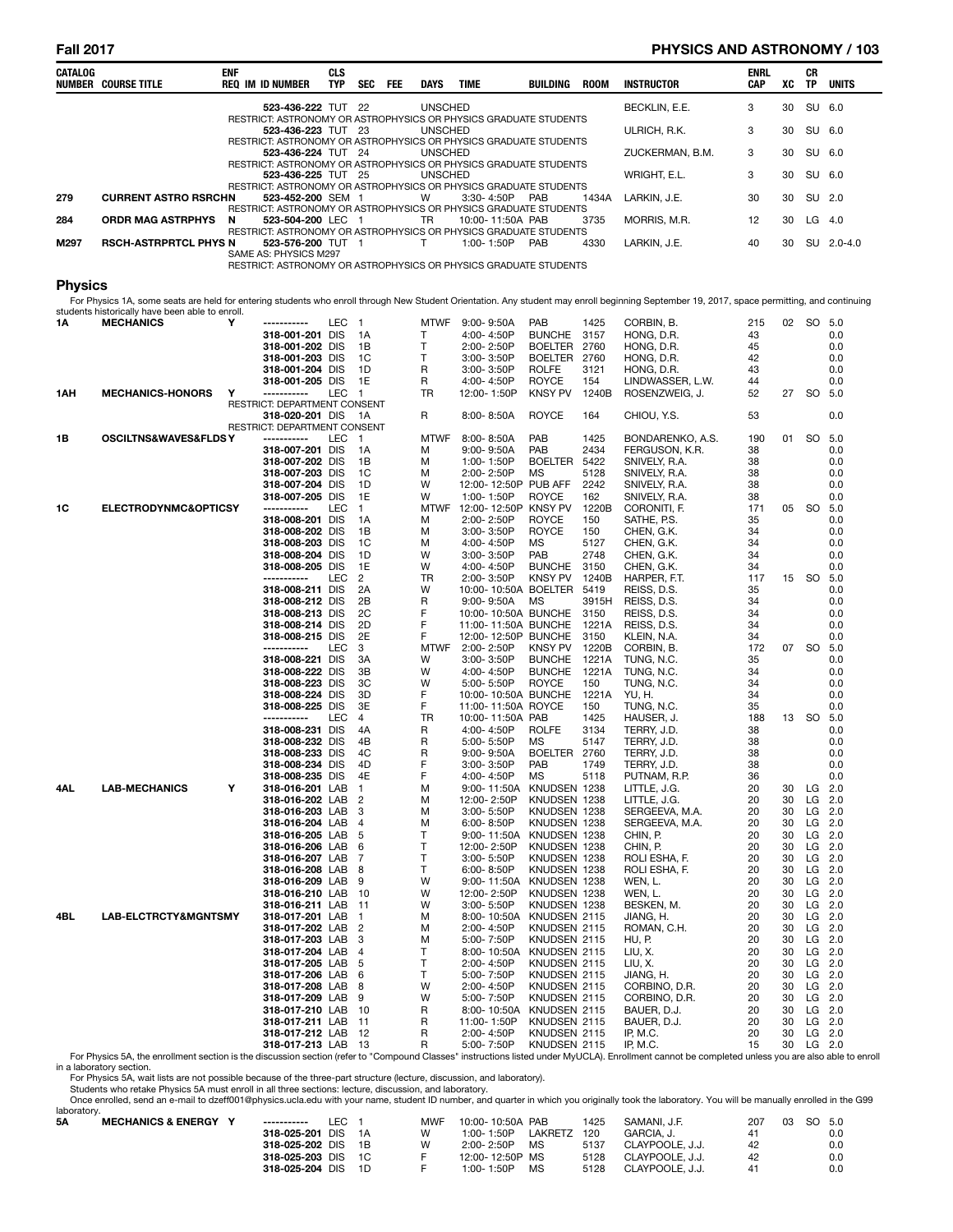## **Fall 2017 PHYSICS AND ASTRONOMY / 103**

| CATALOG        | <b>NUMBER COURSE TITLE</b>                                                                                                                                                                                                                     | <b>ENF</b> | <b>REQ IM ID NUMBER</b>                         | <b>CLS</b><br><b>TYP</b> | SEC<br>FEE          | DAYS             | <b>TIME</b>                                                                          | BUILDING                        | <b>ROOM</b>   | <b>INSTRUCTOR</b>                  | <b>ENRL</b><br>CAP | XC       | CR<br>TP       | <b>UNITS</b> |
|----------------|------------------------------------------------------------------------------------------------------------------------------------------------------------------------------------------------------------------------------------------------|------------|-------------------------------------------------|--------------------------|---------------------|------------------|--------------------------------------------------------------------------------------|---------------------------------|---------------|------------------------------------|--------------------|----------|----------------|--------------|
|                |                                                                                                                                                                                                                                                |            | 523-436-222 TUT 22                              |                          |                     | <b>UNSCHED</b>   | RESTRICT: ASTRONOMY OR ASTROPHYSICS OR PHYSICS GRADUATE STUDENTS                     |                                 |               | BECKLIN, E.E.                      | 3                  | 30       | SU             | 6.0          |
|                |                                                                                                                                                                                                                                                |            | 523-436-223 TUT 23                              |                          |                     | <b>UNSCHED</b>   | RESTRICT: ASTRONOMY OR ASTROPHYSICS OR PHYSICS GRADUATE STUDENTS                     |                                 |               | ULRICH, R.K.                       | 3                  | 30       | SU 6.0         |              |
|                |                                                                                                                                                                                                                                                |            | 523-436-224 TUT 24                              |                          |                     | <b>UNSCHED</b>   |                                                                                      |                                 |               | ZUCKERMAN, B.M.                    | 3                  | 30       | SU             | 6.0          |
|                |                                                                                                                                                                                                                                                |            | 523-436-225 TUT 25                              |                          |                     | <b>UNSCHED</b>   | RESTRICT: ASTRONOMY OR ASTROPHYSICS OR PHYSICS GRADUATE STUDENTS                     |                                 |               | WRIGHT, E.L.                       | 3                  | 30       | SU             | 6.0          |
| 279            | <b>CURRENT ASTRO RSRCHN</b>                                                                                                                                                                                                                    |            | 523-452-200 SEM 1                               |                          |                     | w                | RESTRICT: ASTRONOMY OR ASTROPHYSICS OR PHYSICS GRADUATE STUDENTS<br>3:30-4:50P       | PAB                             | 1434A         | LARKIN, J.E.                       | 30                 | 30       | SU             | 2.0          |
|                |                                                                                                                                                                                                                                                |            |                                                 |                          |                     |                  | RESTRICT: ASTRONOMY OR ASTROPHYSICS OR PHYSICS GRADUATE STUDENTS                     |                                 |               |                                    |                    |          |                |              |
| 284            | <b>ORDR MAG ASTRPHYS</b>                                                                                                                                                                                                                       | N          | 523-504-200 LEC 1                               |                          |                     | TR               | 10:00-11:50A PAB<br>RESTRICT: ASTRONOMY OR ASTROPHYSICS OR PHYSICS GRADUATE STUDENTS |                                 | 3735          | MORRIS, M.R.                       | 12                 | 30       | $LG$ 4.0       |              |
| M297           | <b>RSCH-ASTRPRTCL PHYS N</b>                                                                                                                                                                                                                   |            | 523-576-200 TUT 1<br>SAME AS: PHYSICS M297      |                          |                     | т                | 1:00-1:50P                                                                           | PAB                             | 4330          | LARKIN, J.E.                       | 40                 | 30       |                | SU 2.0-4.0   |
|                |                                                                                                                                                                                                                                                |            |                                                 |                          |                     |                  | RESTRICT: ASTRONOMY OR ASTROPHYSICS OR PHYSICS GRADUATE STUDENTS                     |                                 |               |                                    |                    |          |                |              |
| <b>Physics</b> |                                                                                                                                                                                                                                                |            |                                                 |                          |                     |                  |                                                                                      |                                 |               |                                    |                    |          |                |              |
|                | For Physics 1A, some seats are held for entering students who enroll through New Student Orientation. Any student may enroll beginning September 19, 2017, space permitting, and continuing<br>students historically have been able to enroll. |            |                                                 |                          |                     |                  |                                                                                      |                                 |               |                                    |                    |          |                |              |
| 1Α             | <b>MECHANICS</b>                                                                                                                                                                                                                               | Y          | -----------                                     | LEC 1                    |                     | <b>MTWF</b>      | $9:00 - 9:50A$                                                                       | <b>PAB</b>                      | 1425          | CORBIN, B.                         | 215                |          | 02 SO 5.0      |              |
|                |                                                                                                                                                                                                                                                |            | 318-001-201 DIS<br>318-001-202 DIS              |                          | - 1 A<br>1B         | т<br>T.          | 4:00-4:50P<br>2:00-2:50P                                                             | <b>BUNCHE</b><br><b>BOELTER</b> | 3157<br>2760  | HONG, D.R.<br>HONG, D.R.           | 43<br>45           |          |                | 0.0<br>0.0   |
|                |                                                                                                                                                                                                                                                |            | 318-001-203 DIS                                 |                          | <sub>1</sub> C      | T                | 3:00-3:50P                                                                           | BOELTER 2760                    |               | HONG, D.R.                         | 42                 |          |                | 0.0          |
|                |                                                                                                                                                                                                                                                |            | 318-001-204 DIS                                 |                          | 1D                  | R                | 3:00-3:50P                                                                           | <b>ROLFE</b>                    | 3121          | HONG, D.R.                         | 43                 |          |                | 0.0          |
| 1AH            | <b>MECHANICS-HONORS</b>                                                                                                                                                                                                                        | Y          | 318-001-205 DIS<br>-----------                  | LEC 1                    | 1E                  | R<br>TR          | 4:00-4:50P<br>12:00-1:50P                                                            | <b>ROYCE</b><br><b>KNSY PV</b>  | 154<br>1240B  | LINDWASSER, L.W.<br>ROSENZWEIG, J. | 44<br>52           |          | 27 SO          | 0.0<br>5.0   |
|                |                                                                                                                                                                                                                                                |            | RESTRICT: DEPARTMENT CONSENT                    |                          |                     |                  |                                                                                      |                                 |               |                                    |                    |          |                |              |
|                |                                                                                                                                                                                                                                                |            | 318-020-201 DIS<br>RESTRICT: DEPARTMENT CONSENT |                          | - 1A                | R                | 8:00-8:50A                                                                           | ROYCE                           | 164           | CHIOU, Y.S.                        | 53                 |          |                | 0.0          |
| 1B             | OSCILTNS&WAVES&FLDSY                                                                                                                                                                                                                           |            | -----------                                     | LEC                      | $\blacksquare$      | <b>MTWF</b>      | 8:00-8:50A                                                                           | PAB                             | 1425          | BONDARENKO, A.S.                   | 190                | 01       | SO.            | 5.0          |
|                |                                                                                                                                                                                                                                                |            | 318-007-201 DIS                                 |                          | 1A                  | M                | 9:00-9:50A                                                                           | PAB                             | 2434          | FERGUSON, K.R.                     | 38                 |          |                | 0.0          |
|                |                                                                                                                                                                                                                                                |            | 318-007-202 DIS<br>318-007-203 DIS              |                          | 1B<br>1C            | M<br>M           | 1:00-1:50P<br>2:00-2:50P                                                             | <b>BOELTER</b><br>MS            | 5422<br>5128  | SNIVELY, R.A.<br>SNIVELY, R.A.     | 38<br>38           |          |                | 0.0<br>0.0   |
|                |                                                                                                                                                                                                                                                |            | 318-007-204 DIS                                 |                          | 1D                  | W                | 12:00-12:50P PUB AFF                                                                 |                                 | 2242          | SNIVELY, R.A.                      | 38                 |          |                | 0.0          |
|                |                                                                                                                                                                                                                                                |            | 318-007-205 DIS                                 |                          | 1E                  | W                | 1:00-1:50P                                                                           | <b>ROYCE</b>                    | 162           | SNIVELY, R.A.                      | 38                 |          |                | 0.0          |
| 1C             | ELECTRODYNMC&OPTICSY                                                                                                                                                                                                                           |            | -----------<br>318-008-201 DIS                  | LEC                      | $\mathbf{1}$<br>1A  | <b>MTWF</b><br>M | 12:00-12:50P KNSY PV<br>2:00-2:50P                                                   | <b>ROYCE</b>                    | 1220B<br>150  | CORONITI, F.<br>SATHE, P.S.        | 171<br>35          | 05       | <b>SO</b>      | 5.0<br>0.0   |
|                |                                                                                                                                                                                                                                                |            | 318-008-202 DIS                                 |                          | 1B                  | M                | 3:00-3:50P                                                                           | ROYCE                           | 150           | CHEN, G.K.                         | 34                 |          |                | 0.0          |
|                |                                                                                                                                                                                                                                                |            | 318-008-203 DIS                                 |                          | 1C                  | M                | 4:00-4:50P                                                                           | MS                              | 5127          | CHEN, G.K.                         | 34                 |          |                | 0.0          |
|                |                                                                                                                                                                                                                                                |            | 318-008-204 DIS<br>318-008-205 DIS              |                          | 1D<br>1E            | W<br>W           | 3:00-3:50P<br>4:00-4:50P                                                             | PAB<br><b>BUNCHE</b>            | 2748<br>3150  | CHEN, G.K.<br>CHEN, G.K.           | 34<br>34           |          |                | 0.0<br>0.0   |
|                |                                                                                                                                                                                                                                                |            | -----------                                     | LEC                      | 2                   | TR               | 2:00-3:50P                                                                           | <b>KNSY PV</b>                  | 1240B         | HARPER, F.T.                       | 117                |          | 15 SO          | 5.0          |
|                |                                                                                                                                                                                                                                                |            | 318-008-211 DIS<br>318-008-212 DIS              |                          | 2A<br>2B            | W<br>R           | 10:00-10:50A BOELTER<br>9:00-9:50A                                                   | MS                              | 5419<br>3915H | REISS, D.S.<br>REISS, D.S.         | 35<br>34           |          |                | 0.0<br>0.0   |
|                |                                                                                                                                                                                                                                                |            | 318-008-213 DIS                                 |                          | 2C                  | F                | 10:00-10:50A BUNCHE                                                                  |                                 | 3150          | REISS, D.S.                        | 34                 |          |                | 0.0          |
|                |                                                                                                                                                                                                                                                |            | 318-008-214 DIS                                 |                          | 2D                  | F                | 11:00-11:50A BUNCHE                                                                  |                                 | 1221A         | REISS, D.S.                        | 34                 |          |                | 0.0          |
|                |                                                                                                                                                                                                                                                |            | 318-008-215 DIS<br>-----------                  | LEC                      | 2E<br>3             | F<br><b>MTWF</b> | 12:00-12:50P BUNCHE<br>2:00-2:50P                                                    | <b>KNSY PV</b>                  | 3150<br>1220B | KLEIN, N.A.<br>CORBIN, B.          | 34<br>172          |          | 07 SO          | 0.0<br>5.0   |
|                |                                                                                                                                                                                                                                                |            | 318-008-221 DIS                                 |                          | 3A                  | W                | 3:00-3:50P                                                                           | <b>BUNCHE</b>                   | 1221A         | TUNG, N.C.                         | 35                 |          |                | 0.0          |
|                |                                                                                                                                                                                                                                                |            | 318-008-222 DIS                                 |                          | 3B                  | W                | 4:00-4:50P                                                                           | <b>BUNCHE</b>                   | 1221A         | TUNG, N.C.                         | 34                 |          |                | 0.0          |
|                |                                                                                                                                                                                                                                                |            | 318-008-223 DIS<br>318-008-224 DIS              |                          | 3C<br>3D            | W<br>F           | 5:00-5:50P<br>10:00-10:50A BUNCHE                                                    | <b>ROYCE</b>                    | 150<br>1221A  | TUNG, N.C.<br>YU, H.               | 34<br>34           |          |                | 0.0<br>0.0   |
|                |                                                                                                                                                                                                                                                |            | 318-008-225 DIS                                 |                          | 3E                  | F                | 11:00-11:50A ROYCE                                                                   |                                 | 150           | TUNG, N.C.                         | 35                 |          |                | 0.0          |
|                |                                                                                                                                                                                                                                                |            | -----------                                     | LEC                      | 4                   | TR               | 10:00-11:50A PAB                                                                     | <b>ROLFE</b>                    | 1425          | HAUSER, J.                         | 188                |          | 13 SO          | 5.0          |
|                |                                                                                                                                                                                                                                                |            | 318-008-231 DIS<br>318-008-232 DIS              |                          | 4A<br>4B            | R<br>R           | 4:00-4:50P<br>5:00-5:50P                                                             | MS                              | 3134<br>5147  | TERRY, J.D.<br>TERRY, J.D.         | 38<br>38           |          |                | 0.0<br>0.0   |
|                |                                                                                                                                                                                                                                                |            | 318-008-233 DIS                                 |                          | 4C                  | R                | 9:00-9:50A                                                                           | BOELTER                         | 2760          | TERRY, J.D.                        | 38                 |          |                | 0.0          |
|                |                                                                                                                                                                                                                                                |            | 318-008-234 DIS<br>318-008-235 DIS              |                          | 4D<br>4E            | F<br>F           | 3:00-3:50P<br>4:00-4:50P                                                             | PAB<br>ΜS                       | 1749<br>5118  | TERRY, J.D.<br>PUTNAM, R.P.        | 38<br>36           |          |                | 0.0<br>0.0   |
| 4AL            | <b>LAB-MECHANICS</b>                                                                                                                                                                                                                           | Υ          | 318-016-201 LAB                                 |                          | $\mathbf 1$         | M                | 9:00-11:50A                                                                          | KNUDSEN 1238                    |               | LITTLE, J.G.                       | 20                 | 30       | LG             | 2.0          |
|                |                                                                                                                                                                                                                                                |            | 318-016-202 LAB                                 |                          | $\overline{c}$      | M                | 12:00-2:50P                                                                          | KNUDSEN 1238                    |               | LITTLE, J.G.                       | 20                 | 30       | LG             | 2.0          |
|                |                                                                                                                                                                                                                                                |            | 318-016-203 LAB<br>318-016-204 LAB              |                          | 3<br>4              | M<br>M           | 3:00-5:50P<br>6:00-8:50P                                                             | KNUDSEN 1238<br>KNUDSEN 1238    |               | SERGEEVA, M.A.<br>SERGEEVA, M.A.   | 20<br>20           | 30<br>30 | LG<br>LG       | 2.0<br>2.0   |
|                |                                                                                                                                                                                                                                                |            | 318-016-205 LAB                                 |                          | 5                   | Τ                | 9:00-11:50A                                                                          | KNUDSEN 1238                    |               | CHIN, P.                           | 20                 | 30       | LG             | 2.0          |
|                |                                                                                                                                                                                                                                                |            | 318-016-206 LAB                                 |                          | 6                   | Т                | 12:00-2:50P                                                                          | KNUDSEN 1238                    |               | CHIN, P.                           | 20                 | 30       | LG             | 2.0          |
|                |                                                                                                                                                                                                                                                |            | 318-016-207 LAB<br>318-016-208 LAB              |                          | 7<br>- 8            | Τ<br>Т           | 3:00-5:50P<br>6:00-8:50P                                                             | KNUDSEN 1238<br>KNUDSEN 1238    |               | ROLI ESHA, F.<br>ROLI ESHA, F.     | 20<br>20           | 30<br>30 | LG<br>LG       | 2.0<br>2.0   |
|                |                                                                                                                                                                                                                                                |            | 318-016-209 LAB                                 |                          | 9                   | W                | 9:00-11:50A                                                                          | KNUDSEN 1238                    |               | WEN, L.                            | 20                 | 30       | LG             | 2.0          |
|                |                                                                                                                                                                                                                                                |            | 318-016-210 LAB<br>318-016-211 LAB              |                          | - 10<br>- 11        | W<br>W           | 12:00-2:50P<br>3:00-5:50P                                                            | KNUDSEN 1238<br>KNUDSEN 1238    |               | WEN, L.<br>BESKEN, M.              | 20<br>20           | 30<br>30 | LG<br>LG       | 2.0<br>2.0   |
| 4BL            | LAB-ELCTRCTY&MGNTSMY                                                                                                                                                                                                                           |            | 318-017-201 LAB                                 |                          | $\mathbf 1$         | M                | 8:00-10:50A                                                                          | KNUDSEN 2115                    |               | JIANG, H.                          | 20                 | 30       | LG             | 2.0          |
|                |                                                                                                                                                                                                                                                |            | 318-017-202 LAB                                 |                          | 2                   | M                | 2:00-4:50P                                                                           | KNUDSEN 2115                    |               | ROMAN, C.H.                        | 20                 | 30       | LG             | 2.0          |
|                |                                                                                                                                                                                                                                                |            | 318-017-203 LAB<br>318-017-204 LAB              |                          | 3<br>$\overline{4}$ | M<br>Τ           | 5:00-7:50P<br>8:00-10:50A                                                            | KNUDSEN 2115<br>KNUDSEN 2115    |               | HU, P.<br>LIU, X.                  | 20<br>20           | 30<br>30 | LG<br>LG       | 2.0<br>2.0   |
|                |                                                                                                                                                                                                                                                |            | 318-017-205 LAB                                 |                          | 5                   | т                | 2:00-4:50P                                                                           | KNUDSEN 2115                    |               | LIU, X.                            | 20                 | 30       | LG             | 2.0          |
|                |                                                                                                                                                                                                                                                |            | 318-017-206 LAB                                 |                          | 6                   | Τ                | 5:00-7:50P                                                                           | KNUDSEN 2115                    |               | JIANG, H.                          | 20                 | 30       | LG             | 2.0          |
|                |                                                                                                                                                                                                                                                |            | 318-017-208 LAB<br>318-017-209 LAB              |                          | 8<br>9              | W<br>W           | 2:00-4:50P<br>5:00-7:50P                                                             | KNUDSEN 2115<br>KNUDSEN 2115    |               | CORBINO, D.R.<br>CORBINO, D.R.     | 20<br>20           | 30<br>30 | LG<br>LG       | 2.0<br>2.0   |
|                |                                                                                                                                                                                                                                                |            | 318-017-210 LAB                                 |                          | 10                  | R                | 8:00-10:50A                                                                          | KNUDSEN 2115                    |               | BAUER, D.J.                        | 20                 | 30       | LG             | 2.0          |
|                |                                                                                                                                                                                                                                                |            | 318-017-211 LAB                                 |                          | 11                  | R                | 11:00-1:50P                                                                          | KNUDSEN 2115                    |               | BAUER, D.J.                        | 20<br>20           | 30       | LG             | 2.0          |
|                |                                                                                                                                                                                                                                                |            | 318-017-212 LAB<br>318-017-213 LAB 13           |                          | 12                  | R<br>R           | 2:00-4:50P<br>5:00-7:50P                                                             | KNUDSEN 2115<br>KNUDSEN 2115    |               | IP, M.C.<br>IP, M.C.               | 15                 | 30<br>30 | LG<br>$LG$ 2.0 | 2.0          |

For Physics 5A, the enrollment section is the discussion section (refer to "Compound Classes" instructions listed under MyUCLA). Enrollment cannot be completed unless you are also able to enroll in a laboratory section.<br>For Physics 5A, wait lists are not possible because of the three-part structure (lecture, discussion, and laboratory).<br>Students who retake Physics 5A must enroll in all three sections: lecture, dis

Once enrolled, send an e-mail to dzeff001@physics.ucla.edu with your name, student ID number, and quarter in which you originally took the laboratory. You will be manually enrolled in the G99 laboratory.

| .uporu.org |                               |                 |     |       |            |                  |               |      |                 |     |    |        |     |
|------------|-------------------------------|-----------------|-----|-------|------------|------------------|---------------|------|-----------------|-----|----|--------|-----|
| 5Α         | <b>MECHANICS &amp; ENERGY</b> | -----------     | ∟EC |       | <b>MWF</b> | 10:00-10:50A PAB |               | 1425 | SAMANI, J.F.    | 207 | 03 | SO 5.0 |     |
|            |                               | 318-025-201 DIS |     |       | W          | $1:00 - 1:50P$   | <b>AKRETZ</b> | 120  | GARCIA, J.      |     |    |        | 0.0 |
|            |                               | 318-025-202 DIS |     | - 1 R | W          | $2:00 - 2:50P$   | MS            | 5137 | CLAYPOOLE, J.J. | 42  |    |        | 0.0 |
|            |                               | 318-025-203 DIS |     | $-1C$ |            | 12:00-12:50P MS  |               | 5128 | CLAYPOOLE, J.J. | 42  |    |        | 0.0 |
|            |                               | 318-025-204 DIS |     | -1D   |            | $1:00 - 1:50P$   | MS            | 5128 | CLAYPOOLE, J.J. |     |    |        | 0.0 |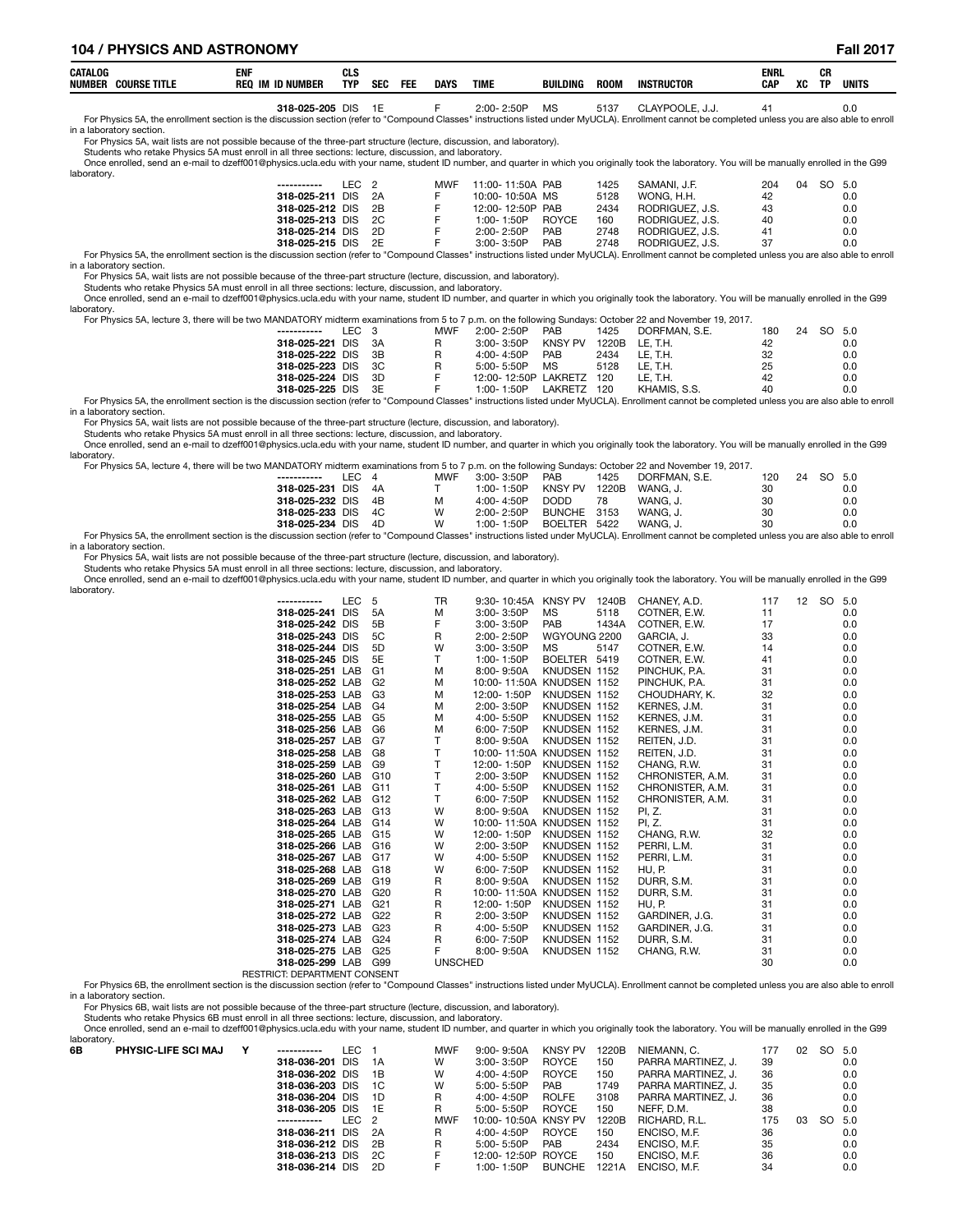## **104 / PHYSICS AND ASTRONOMY Fall 2017**

|  | CATALOG<br><b>NUMBER</b><br><b>SE TITLL</b><br><b>COURS.</b> | <b>ENI</b><br><b>REC</b><br><b>NIIMRFI</b><br> | ula<br><b>TYP</b> | <b>SEC</b> | FEI | <b>DAYS</b> | <b>TIML</b> | <b>BUILDING</b> | <b>ROON</b> | <b>INSTRUCTOR</b> | <b>ENR</b><br>CAP | vr<br>AL. | יי<br>υn<br><b>TD</b> | <b>UNITS</b><br>$\sim$ $\sim$ |
|--|--------------------------------------------------------------|------------------------------------------------|-------------------|------------|-----|-------------|-------------|-----------------|-------------|-------------------|-------------------|-----------|-----------------------|-------------------------------|
|--|--------------------------------------------------------------|------------------------------------------------|-------------------|------------|-----|-------------|-------------|-----------------|-------------|-------------------|-------------------|-----------|-----------------------|-------------------------------|

0.0 318-025-205 DIS 1E F 2:00-2:50P MS 5137 CLAYPOOLE, J.J. 41 0.0<br>For Physics 5A, the enrollment section is the discussion section (refer to "Compound Classes" instructions listed under MyUCLA). Enrollment cannot be compl in a laboratory section.

For Physics 5A, wait lists are not possible because of the three-part structure (lecture, discussion, and laboratory).

Students who retake Physics 5A must enroll in all three sections: lecture, discussion, and laboratory.

Once enrolled, send an e-mail to dzeff001@physics.ucla.edu with your name, student ID number, and quarter in which you originally took the laboratory. You will be manually enrolled in the G99 laboratory.

| ιaboraτorγ. |                                                                                                                                                                                                   |                  |    |            |                  |              |      |                 |           |        |     |
|-------------|---------------------------------------------------------------------------------------------------------------------------------------------------------------------------------------------------|------------------|----|------------|------------------|--------------|------|-----------------|-----------|--------|-----|
|             | -----------                                                                                                                                                                                       | LEC <sub>2</sub> |    | <b>MWF</b> | 11:00-11:50A PAB |              | 1425 | SAMANI. J.F.    | 204<br>04 | SO 5.0 |     |
|             | 318-025-211 DIS 2A                                                                                                                                                                                |                  |    |            | 10:00-10:50A MS  |              | 5128 | WONG. H.H.      | 42        |        | 0.0 |
|             | 318-025-212 DIS 2B                                                                                                                                                                                |                  |    |            | 12:00-12:50P PAB |              | 2434 | RODRIGUEZ, J.S. | 43        |        | 0.0 |
|             | 318-025-213 DIS 2C                                                                                                                                                                                |                  |    |            | $1:00 - 1:50P$   | <b>ROYCE</b> | 160  | RODRIGUEZ, J.S. | 40        |        | 0.0 |
|             | 318-025-214 DIS                                                                                                                                                                                   |                  | 2D |            | $2:00 - 2:50P$   | <b>PAB</b>   | 2748 | RODRIGUEZ, J.S. | 41        |        | 0.0 |
|             | 318-025-215 DIS 2E                                                                                                                                                                                |                  |    |            | $3:00 - 3:50P$   | <b>PAB</b>   | 2748 | RODRIGUEZ, J.S. | 37        |        | 0.0 |
|             | For Physics 5A, the enrollment section is the discussion section (refer to "Compound Classes" instructions listed under MyUCLA). Enrollment cannot be completed unless you are also able to enrol |                  |    |            |                  |              |      |                 |           |        |     |

#### For Physics 5A, the enrollment section is in a laboratory section.

For Physics 5A, wait lists are not possible because of the three-part structure (lecture, discussion, and laboratory).

Students who retake Physics 5A must enroll in all three sections: lecture, discussion, and laboratory.

Once enrolled, send an e-mail to dzeff001@physics.ucla.edu with your name, student ID number, and quarter in which you originally took the laboratory. You will be manually enrolled in the G99 laboratory.

For Physics 5A, lecture 3, there will be two MANDATORY midterm examinations from 5 to 7 p.m. on the following Sundays: October 22 and November 19, 2017.

| -----------        | LEC 3 |     | <b>MWF</b> | 2:00-2:50P           | PAB            | 1425  | DORFMAN, S.E. | 180 | 24 | SO 5.0 |     |
|--------------------|-------|-----|------------|----------------------|----------------|-------|---------------|-----|----|--------|-----|
| 318-025-221 DIS    |       | 3A  |            | $3:00 - 3:50P$       | <b>KNSY PV</b> | 1220B | LE. T.H.      | 42  |    |        | 0.0 |
| 318-025-222 DIS 3B |       |     |            | $4:00 - 4:50P$       | <b>PAB</b>     | 2434  | LE. T.H.      | 32  |    |        | 0.0 |
| 318-025-223 DIS    |       | 3C  |            | $5:00 - 5:50P$       | MS             | 5128  | LE. T.H.      | 25  |    |        | 0.0 |
| 318-025-224 DIS    |       | -3D |            | 12:00-12:50P LAKRETZ |                | 120   | LE. T.H.      | 42  |    |        | 0.0 |
| 318-025-225 DIS    |       | 3E  |            | 1:00-1:50P           | LAKRETZ        | 120   | KHAMIS, S.S.  | 40  |    |        | 0.0 |

0.0 10.0 118-025 DIS 3E F 1:00-1:50P LAKRETZ 120 KHAMIS, S.S. 40<br>For Physics 5A, the enrollment section is the discussion section (refer to "Compound Classes" instructions listed under MyUCLA). Enrollment cannot be complet in a laboratory section.

For Physics 5A, wait lists are not possible because of the three-part structure (lecture, discussion, and laboratory).

Students who retake Physics 5A must enroll in all three sections: lecture, discussion, and laboratory.<br>Once enrolled, send an e-mail to dzeff001@physics.ucla.edu with your name, student ID number, and quarter in which you laboratory.

| For Physics 5A, lecture 4, there will be two MANDATORY midterm examinations from 5 to 7 p.m. on the following Sundays: October 22 and November 19, 2017.                                           |       |    |     |                |              |       |               |     |    |        |     |  |  |
|----------------------------------------------------------------------------------------------------------------------------------------------------------------------------------------------------|-------|----|-----|----------------|--------------|-------|---------------|-----|----|--------|-----|--|--|
| ------------                                                                                                                                                                                       | IFC 4 |    | MWF | 3:00-3:50P     | <b>PAB</b>   | 1425  | DORFMAN, S.E. | 120 | 24 | SO 5.0 |     |  |  |
| 318-025-231 DIS 4A                                                                                                                                                                                 |       |    |     | $1:00 - 1:50P$ | KNSY PV      | 1220B | WANG. J.      | 30  |    |        | 0.0 |  |  |
| 318-025-232 DIS 4B                                                                                                                                                                                 |       |    | м   | 4:00-4:50P     | DODD         | 78    | WANG. J.      | 30  |    |        | 0.0 |  |  |
| 318-025-233 DIS 4C                                                                                                                                                                                 |       |    | W   | $2:00 - 2:50P$ | BUNCHE 3153  |       | WANG. J.      | 30  |    |        | 0.0 |  |  |
| 318-025-234 DIS                                                                                                                                                                                    |       | 4D | W   | 1:00-1:50P     | BOELTER 5422 |       | WANG. J.      | 30  |    |        | 0.0 |  |  |
| For Physics 5A, the enrollment section is the discussion section (refer to "Compound Classes" instructions listed under MyUCLA). Enrollment cannot be completed unless you are also able to enroll |       |    |     |                |              |       |               |     |    |        |     |  |  |

For Physics 5A, the<br>in a laboratory section.

For Physics 5A, wait lists are not possible because of the three-part structure (lecture, discussion, and laboratory).

Students who retake Physics 5A must enroll in all three sections: lecture, discussion, and laboratory.

Once enrolled, send an e-mail to dzeff001@physics.ucla.edu with your name, student ID number, and quarter in which you originally took the laboratory. You will be manually enrolled in the G99 laboratory.

| -----------        | <b>LEC</b> | 5               | TR             | 9:30-10:45A KNSY PV       |              | 1240B | CHANEY, A.D.     | 117 | 12 | SO 5.0 |     |
|--------------------|------------|-----------------|----------------|---------------------------|--------------|-------|------------------|-----|----|--------|-----|
| 318-025-241 DIS    |            | 5A              | м              | 3:00-3:50P                | MS           | 5118  | COTNER, E.W.     | 11  |    |        | 0.0 |
| 318-025-242 DIS    |            | 5B              | F              | 3:00-3:50P                | <b>PAB</b>   | 1434A | COTNER, E.W.     | 17  |    |        | 0.0 |
| 318-025-243 DIS    |            | 5C              | R              | 2:00-2:50P                | WGYOUNG 2200 |       | GARCIA, J.       | 33  |    |        | 0.0 |
| 318-025-244 DIS    |            | 5D              | W              | 3:00-3:50P                | МS           | 5147  | COTNER, E.W.     | 14  |    |        | 0.0 |
| 318-025-245 DIS    |            | 5E              | T.             | 1:00-1:50P                | BOELTER 5419 |       | COTNER, E.W.     | 41  |    |        | 0.0 |
| 318-025-251 LAB    |            | G1              | м              | 8:00-9:50A                | KNUDSEN 1152 |       | PINCHUK, P.A.    | 31  |    |        | 0.0 |
| 318-025-252 LAB    |            | - G2            | м              | 10:00-11:50A KNUDSEN 1152 |              |       | PINCHUK, P.A.    | 31  |    |        | 0.0 |
| 318-025-253 LAB    |            | G3              | м              | 12:00-1:50P               | KNUDSEN 1152 |       | CHOUDHARY, K.    | 32  |    |        | 0.0 |
| 318-025-254 LAB    |            | G4              | М              | 2:00-3:50P                | KNUDSEN 1152 |       | KERNES, J.M.     | 31  |    |        | 0.0 |
| 318-025-255 LAB    |            | G5              | м              | 4:00-5:50P                | KNUDSEN 1152 |       | KERNES, J.M.     | 31  |    |        | 0.0 |
| 318-025-256 LAB    |            | G6              | M              | 6:00-7:50P                | KNUDSEN 1152 |       | KERNES, J.M.     | 31  |    |        | 0.0 |
| 318-025-257 LAB    |            | G7              | T.             | 8:00-9:50A                | KNUDSEN 1152 |       | REITEN, J.D.     | 31  |    |        | 0.0 |
| 318-025-258 LAB G8 |            |                 | T              | 10:00-11:50A KNUDSEN 1152 |              |       | REITEN, J.D.     | 31  |    |        | 0.0 |
| 318-025-259 LAB    |            | G9              | T.             | 12:00-1:50P               | KNUDSEN 1152 |       | CHANG, R.W.      | 31  |    |        | 0.0 |
| 318-025-260 LAB    |            | G <sub>10</sub> |                | 2:00-3:50P                | KNUDSEN 1152 |       | CHRONISTER, A.M. | 31  |    |        | 0.0 |
| 318-025-261 LAB    |            | G11             | T.             | 4:00-5:50P                | KNUDSEN 1152 |       | CHRONISTER, A.M. | 31  |    |        | 0.0 |
| 318-025-262 LAB    |            | G12             | T.             | 6:00-7:50P                | KNUDSEN 1152 |       | CHRONISTER, A.M. | 31  |    |        | 0.0 |
| 318-025-263 LAB    |            | G13             | W              | 8:00-9:50A                | KNUDSEN 1152 |       | PI, Z.           | 31  |    |        | 0.0 |
| 318-025-264 LAB    |            | G14             | W              | 10:00-11:50A KNUDSEN 1152 |              |       | PI, Z.           | 31  |    |        | 0.0 |
| 318-025-265 LAB    |            | G15             | W              | 12:00-1:50P               | KNUDSEN 1152 |       | CHANG, R.W.      | 32  |    |        | 0.0 |
| 318-025-266 LAB    |            | G16             | W              | 2:00-3:50P                | KNUDSEN 1152 |       | PERRI, L.M.      | 31  |    |        | 0.0 |
| 318-025-267 LAB    |            | G17             | W              | 4:00-5:50P                | KNUDSEN 1152 |       | PERRI, L.M.      | 31  |    |        | 0.0 |
| 318-025-268 LAB    |            | G18             | W              | 6:00-7:50P                | KNUDSEN 1152 |       | HU, P.           | 31  |    |        | 0.0 |
| 318-025-269 LAB    |            | G19             | R              | 8:00-9:50A                | KNUDSEN 1152 |       | DURR, S.M.       | 31  |    |        | 0.0 |
| 318-025-270 LAB    |            | G20             | R              | 10:00-11:50A KNUDSEN 1152 |              |       | DURR, S.M.       | 31  |    |        | 0.0 |
| 318-025-271 LAB    |            | G21             | R              | 12:00-1:50P               | KNUDSEN 1152 |       | HU, P.           | 31  |    |        | 0.0 |
| 318-025-272 LAB    |            | G <sub>22</sub> | R              | 2:00-3:50P                | KNUDSEN 1152 |       | GARDINER, J.G.   | 31  |    |        | 0.0 |
| 318-025-273 LAB    |            | G <sub>23</sub> | R              | 4:00-5:50P                | KNUDSEN 1152 |       | GARDINER, J.G.   | 31  |    |        | 0.0 |
| 318-025-274 LAB    |            | G24             | R              | 6:00-7:50P                | KNUDSEN 1152 |       | DURR, S.M.       | 31  |    |        | 0.0 |
| 318-025-275 LAB    |            | G <sub>25</sub> | F              | 8:00-9:50A                | KNUDSEN 1152 |       | CHANG, R.W.      | 31  |    |        | 0.0 |
| 318-025-299 LAB    |            | G99             | <b>UNSCHED</b> |                           |              |       |                  | 30  |    |        | 0.0 |

RESTRICT: DEPARTMENT CONSENT

For Physics 6B, the enrollment section is the discussion section (refer to "Compound Classes" instructions listed under MyUCLA). Enrollment cannot be completed unless you are also able to enroll in a laboratory section.

For Physics 6B, wait lists are not possible because of the three-part structure (lecture, discussion, and laboratory).

Students who retake Physics 6B must enroll in all three sections: lecture, discussion, and laboratory.

Once enrolled, send an e-mail to dzeff001@physics.ucla.edu with your name, student ID number, and quarter in which you originally took the laboratory. You will be manually enrolled in the G99 laboratory.

| 100001010111 |                            |                    |                  |      |            |                      |                |       |                    |     |                 |     |     |
|--------------|----------------------------|--------------------|------------------|------|------------|----------------------|----------------|-------|--------------------|-----|-----------------|-----|-----|
| 6B           | <b>PHYSIC-LIFE SCI MAJ</b> | -----------        | LEC              |      | <b>MWF</b> | $9:00 - 9:50A$       | <b>KNSY PV</b> | 1220B | NIEMANN. C.        | 177 | 02 <sup>2</sup> | SO. | 5.0 |
|              |                            | 318-036-201 DIS    |                  | - 1A | w          | $3:00 - 3:50P$       | <b>ROYCE</b>   | 150   | PARRA MARTINEZ. J. | 39  |                 |     | 0.0 |
|              |                            | 318-036-202 DIS    |                  | - 1B | W          | 4:00-4:50P           | <b>ROYCE</b>   | 150   | PARRA MARTINEZ. J. | 36  |                 |     | 0.0 |
|              |                            | 318-036-203 DIS    |                  | - 1C | W          | 5:00-5:50P           | <b>PAB</b>     | 1749  | PARRA MARTINEZ. J. | 35  |                 |     | 0.0 |
|              |                            | 318-036-204 DIS    |                  | - 1D | R          | 4:00-4:50P           | <b>ROLFE</b>   | 3108  | PARRA MARTINEZ. J. | 36  |                 |     | 0.0 |
|              |                            | 318-036-205 DIS 1E |                  |      | R          | 5:00-5:50P           | <b>ROYCE</b>   | 150   | NEFF. D.M.         | 38  |                 |     | 0.0 |
|              |                            | -----------        | LEC <sub>2</sub> |      | <b>MWF</b> | 10:00-10:50A KNSY PV |                | 1220B | RICHARD, R.L.      | 175 | 03              | SO. | 5.0 |
|              |                            | 318-036-211 DIS    |                  | - 2A | R          | $4:00 - 4:50P$       | <b>ROYCE</b>   | 150   | ENCISO, M.F.       | 36  |                 |     | 0.0 |
|              |                            | 318-036-212 DIS    |                  | - 2B | R          | $5:00 - 5:50P$       | <b>PAB</b>     | 2434  | ENCISO, M.F.       | 35  |                 |     | 0.0 |
|              |                            | 318-036-213 DIS    |                  | - 2C |            | 12:00-12:50P ROYCE   |                | 150   | ENCISO, M.F.       | 36  |                 |     | 0.0 |
|              |                            | 318-036-214 DIS    |                  | - 2D |            | 1:00- 1:50P          | <b>BUNCHE</b>  | 1221A | ENCISO, M.F.       | 34  |                 |     | 0.0 |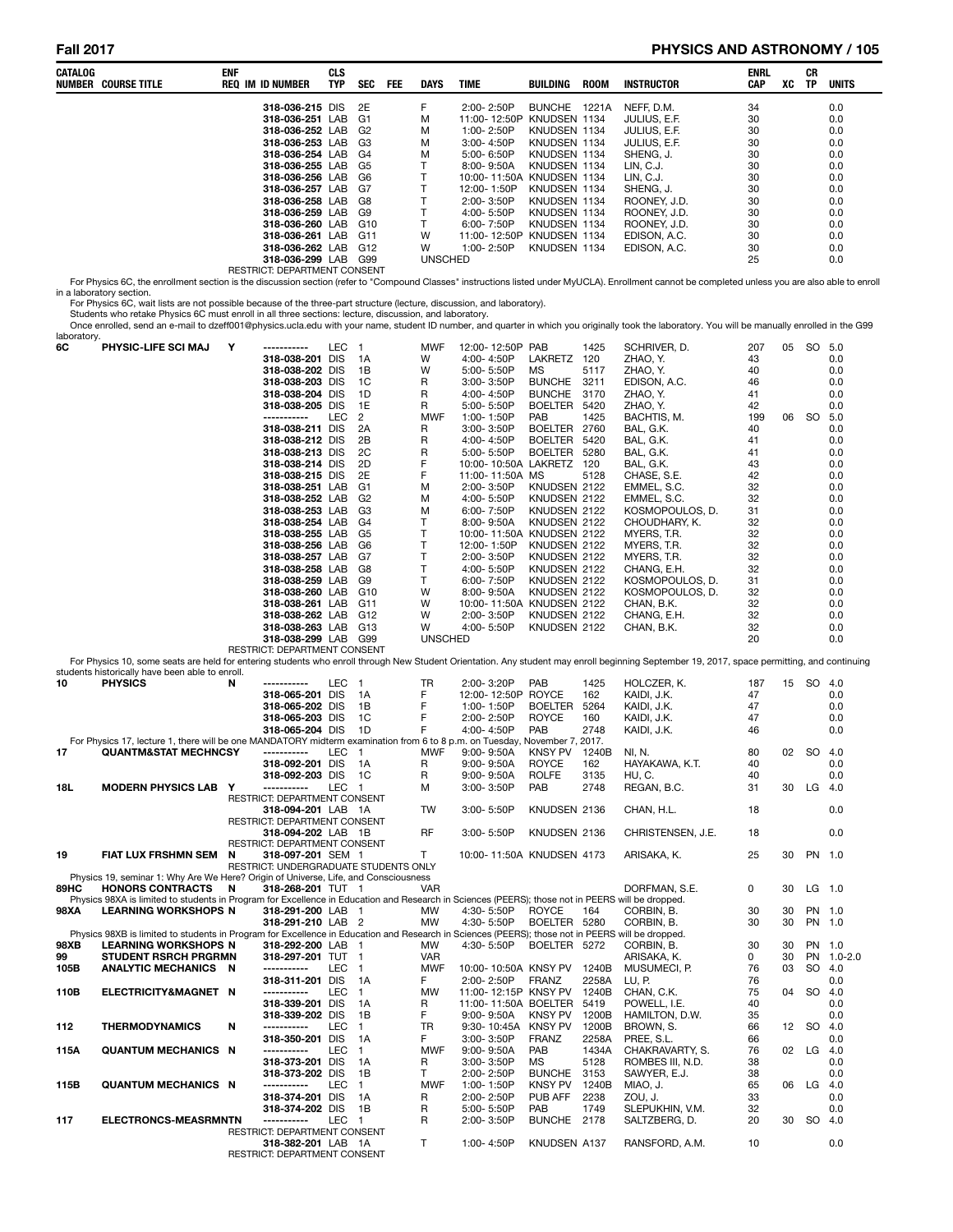## **Fall 2017 PHYSICS AND ASTRONOMY / 105**

| CATALOG     | <b>NUMBER COURSE TITLE</b>                                                                                                                                                                                                       | enf | REQ IM ID NUMBER                                           | <b>CLS</b><br><b>TYP</b> | SEC                              | FEE | DAYS           | TIME                                     | BUILDING                        | <b>ROOM</b>    | <b>INSTRUCTOR</b>                                                                                                                                                                                  | ENRL<br>CAP | XC | CR<br>TP  | <b>UNITS</b> |
|-------------|----------------------------------------------------------------------------------------------------------------------------------------------------------------------------------------------------------------------------------|-----|------------------------------------------------------------|--------------------------|----------------------------------|-----|----------------|------------------------------------------|---------------------------------|----------------|----------------------------------------------------------------------------------------------------------------------------------------------------------------------------------------------------|-------------|----|-----------|--------------|
|             |                                                                                                                                                                                                                                  |     | 318-036-215 DIS                                            |                          | 2E                               |     | F              | 2:00-2:50P                               | BUNCHE 1221A                    |                | NEFF, D.M.                                                                                                                                                                                         | 34          |    |           | 0.0          |
|             |                                                                                                                                                                                                                                  |     | 318-036-251 LAB                                            |                          | G1                               |     | M              | 11:00-12:50P KNUDSEN 1134                |                                 |                | JULIUS, E.F.                                                                                                                                                                                       | 30          |    |           | 0.0          |
|             |                                                                                                                                                                                                                                  |     | 318-036-252 LAB<br>318-036-253 LAB                         |                          | G <sub>2</sub><br>G <sub>3</sub> |     | M<br>M         | 1:00-2:50P<br>3:00-4:50P                 | KNUDSEN 1134<br>KNUDSEN 1134    |                | JULIUS, E.F.<br>JULIUS, E.F.                                                                                                                                                                       | 30<br>30    |    |           | 0.0<br>0.0   |
|             |                                                                                                                                                                                                                                  |     | 318-036-254 LAB                                            |                          | G4                               |     | M              | 5:00-6:50P                               | KNUDSEN 1134                    |                | SHENG, J.                                                                                                                                                                                          | 30          |    |           | 0.0          |
|             |                                                                                                                                                                                                                                  |     | 318-036-255 LAB                                            |                          | G5                               |     | т              | 8:00-9:50A                               | KNUDSEN 1134                    |                | LIN, C.J.                                                                                                                                                                                          | 30          |    |           | 0.0          |
|             |                                                                                                                                                                                                                                  |     | 318-036-256 LAB<br>318-036-257 LAB                         |                          | G6<br>G7                         |     | т<br>Т         | 10:00-11:50A KNUDSEN 1134<br>12:00-1:50P | KNUDSEN 1134                    |                | LIN, C.J.<br>SHENG, J.                                                                                                                                                                             | 30<br>30    |    |           | 0.0<br>0.0   |
|             |                                                                                                                                                                                                                                  |     | 318-036-258 LAB                                            |                          | G8                               |     | т              | 2:00-3:50P                               | KNUDSEN 1134                    |                | ROONEY, J.D.                                                                                                                                                                                       | 30          |    |           | 0.0          |
|             |                                                                                                                                                                                                                                  |     | 318-036-259 LAB                                            |                          | G9                               |     | т              | 4:00-5:50P                               | KNUDSEN 1134                    |                | ROONEY, J.D.                                                                                                                                                                                       | 30          |    |           | 0.0          |
|             |                                                                                                                                                                                                                                  |     | 318-036-260 LAB<br>318-036-261 LAB                         |                          | G10<br>G11                       |     | т<br>w         | 6:00-7:50P<br>11:00-12:50P KNUDSEN 1134  | KNUDSEN 1134                    |                | ROONEY, J.D.<br>EDISON, A.C.                                                                                                                                                                       | 30<br>30    |    |           | 0.0<br>0.0   |
|             |                                                                                                                                                                                                                                  |     | 318-036-262 LAB G12                                        |                          |                                  |     | W              | 1:00-2:50P                               | KNUDSEN 1134                    |                | EDISON, A.C.                                                                                                                                                                                       | 30          |    |           | 0.0          |
|             |                                                                                                                                                                                                                                  |     | 318-036-299 LAB G99                                        |                          |                                  |     | <b>UNSCHED</b> |                                          |                                 |                |                                                                                                                                                                                                    | 25          |    |           | 0.0          |
|             |                                                                                                                                                                                                                                  |     | RESTRICT: DEPARTMENT CONSENT                               |                          |                                  |     |                |                                          |                                 |                | For Physics 6C, the enrollment section is the discussion section (refer to "Compound Classes" instructions listed under MyUCLA). Enrollment cannot be completed unless you are also able to enroll |             |    |           |              |
|             | in a laboratory section.                                                                                                                                                                                                         |     |                                                            |                          |                                  |     |                |                                          |                                 |                |                                                                                                                                                                                                    |             |    |           |              |
|             | For Physics 6C, wait lists are not possible because of the three-part structure (lecture, discussion, and laboratory).<br>Students who retake Physics 6C must enroll in all three sections: lecture, discussion, and laboratory. |     |                                                            |                          |                                  |     |                |                                          |                                 |                | Once enrolled, send an e-mail to dzeff001@physics.ucla.edu with your name, student ID number, and quarter in which you originally took the laboratory. You will be manually enrolled in the G99    |             |    |           |              |
| laboratory. |                                                                                                                                                                                                                                  |     |                                                            |                          |                                  |     |                |                                          |                                 |                |                                                                                                                                                                                                    |             |    |           |              |
| 6C          | <b>PHYSIC-LIFE SCI MAJ</b>                                                                                                                                                                                                       | Υ   | -----------<br>318-038-201 DIS                             | LEC 1                    | 1A                               |     | MWF<br>W       | 12:00-12:50P PAB<br>4:00-4:50P           | LAKRETZ 120                     | 1425           | SCHRIVER, D.<br>ZHAO, Y.                                                                                                                                                                           | 207<br>43   |    | 05 SO 5.0 | 0.0          |
|             |                                                                                                                                                                                                                                  |     | 318-038-202 DIS                                            |                          | 1B                               |     | W              | 5:00-5:50P                               | МS                              | 5117           | ZHAO, Y.                                                                                                                                                                                           | 40          |    |           | 0.0          |
|             |                                                                                                                                                                                                                                  |     | 318-038-203 DIS                                            |                          | 1C                               |     | R              | 3:00-3:50P                               | <b>BUNCHE</b>                   | 3211           | EDISON, A.C.                                                                                                                                                                                       | 46          |    |           | 0.0          |
|             |                                                                                                                                                                                                                                  |     | 318-038-204 DIS                                            |                          | 1D<br>1E                         |     | R              | 4:00-4:50P                               | <b>BUNCHE</b><br><b>BOELTER</b> | 3170           | ZHAO, Y.                                                                                                                                                                                           | 41          |    |           | 0.0          |
|             |                                                                                                                                                                                                                                  |     | 318-038-205 DIS<br>-----------                             | LEC                      | 2                                |     | R<br>MWF       | 5:00-5:50P<br>1:00-1:50P                 | PAB                             | 5420<br>1425   | ZHAO, Y.<br>BACHTIS, M.                                                                                                                                                                            | 42<br>199   | 06 | SO.       | 0.0<br>5.0   |
|             |                                                                                                                                                                                                                                  |     | 318-038-211 DIS                                            |                          | 2A                               |     | R              | 3:00-3:50P                               | <b>BOELTER</b>                  | 2760           | BAL, G.K.                                                                                                                                                                                          | 40          |    |           | 0.0          |
|             |                                                                                                                                                                                                                                  |     | 318-038-212 DIS                                            |                          | 2B                               |     | R              | 4:00-4:50P                               | BOELTER 5420                    |                | BAL, G.K.                                                                                                                                                                                          | 41          |    |           | 0.0          |
|             |                                                                                                                                                                                                                                  |     | 318-038-213 DIS<br>318-038-214 DIS                         |                          | 2C<br>2D                         |     | R<br>F         | 5:00-5:50P<br>10:00-10:50A LAKRETZ 120   | <b>BOELTER</b>                  | 5280           | BAL, G.K.<br>BAL, G.K.                                                                                                                                                                             | 41<br>43    |    |           | 0.0<br>0.0   |
|             |                                                                                                                                                                                                                                  |     | 318-038-215 DIS                                            |                          | 2E                               |     | F              | 11:00-11:50A MS                          |                                 | 5128           | CHASE, S.E.                                                                                                                                                                                        | 42          |    |           | 0.0          |
|             |                                                                                                                                                                                                                                  |     | 318-038-251 LAB                                            |                          | G1                               |     | М              | 2:00-3:50P                               | KNUDSEN 2122                    |                | EMMEL, S.C.                                                                                                                                                                                        | 32          |    |           | 0.0          |
|             |                                                                                                                                                                                                                                  |     | 318-038-252 LAB<br>318-038-253 LAB                         |                          | G <sub>2</sub><br>G3             |     | M<br>M         | 4:00-5:50P<br>6:00-7:50P                 | KNUDSEN 2122<br>KNUDSEN 2122    |                | EMMEL, S.C.<br>KOSMOPOULOS, D.                                                                                                                                                                     | 32<br>31    |    |           | 0.0<br>0.0   |
|             |                                                                                                                                                                                                                                  |     | 318-038-254 LAB                                            |                          | G4                               |     | т              | 8:00-9:50A                               | KNUDSEN 2122                    |                | CHOUDHARY, K.                                                                                                                                                                                      | 32          |    |           | 0.0          |
|             |                                                                                                                                                                                                                                  |     | 318-038-255 LAB                                            |                          | G5                               |     | Т              | 10:00-11:50A KNUDSEN 2122                |                                 |                | MYERS, T.R.                                                                                                                                                                                        | 32          |    |           | 0.0          |
|             |                                                                                                                                                                                                                                  |     | 318-038-256 LAB<br>318-038-257 LAB                         |                          | G6<br>G7                         |     | Т<br>т         | 12:00-1:50P<br>2:00-3:50P                | KNUDSEN 2122<br>KNUDSEN 2122    |                | MYERS, T.R.<br>MYERS, T.R.                                                                                                                                                                         | 32<br>32    |    |           | 0.0<br>0.0   |
|             |                                                                                                                                                                                                                                  |     | 318-038-258 LAB                                            |                          | G8                               |     | т              | 4:00-5:50P                               | KNUDSEN 2122                    |                | CHANG, E.H.                                                                                                                                                                                        | 32          |    |           | 0.0          |
|             |                                                                                                                                                                                                                                  |     | 318-038-259 LAB                                            |                          | G9                               |     | т              | 6:00-7:50P                               | KNUDSEN 2122                    |                | KOSMOPOULOS, D.                                                                                                                                                                                    | 31          |    |           | 0.0          |
|             |                                                                                                                                                                                                                                  |     | 318-038-260 LAB<br>318-038-261 LAB                         |                          | G10<br>G11                       |     | w<br>W         | 8:00-9:50A<br>10:00-11:50A KNUDSEN 2122  | KNUDSEN 2122                    |                | KOSMOPOULOS, D.<br>CHAN, B.K.                                                                                                                                                                      | 32<br>32    |    |           | 0.0<br>0.0   |
|             |                                                                                                                                                                                                                                  |     | 318-038-262 LAB                                            |                          | G12                              |     | W              | 2:00-3:50P                               | KNUDSEN 2122                    |                | CHANG, E.H.                                                                                                                                                                                        | 32          |    |           | 0.0          |
|             |                                                                                                                                                                                                                                  |     | 318-038-263 LAB                                            |                          | G13                              |     | W              | 4:00-5:50P                               | KNUDSEN 2122                    |                | CHAN, B.K.                                                                                                                                                                                         | 32          |    |           | 0.0          |
|             |                                                                                                                                                                                                                                  |     | 318-038-299 LAB G99<br>RESTRICT: DEPARTMENT CONSENT        |                          |                                  |     | <b>UNSCHED</b> |                                          |                                 |                |                                                                                                                                                                                                    | 20          |    |           | 0.0          |
|             |                                                                                                                                                                                                                                  |     |                                                            |                          |                                  |     |                |                                          |                                 |                | For Physics 10, some seats are held for entering students who enroll through New Student Orientation. Any student may enroll beginning September 19, 2017, space permitting, and continuing        |             |    |           |              |
| 10          | students historically have been able to enroll.<br><b>PHYSICS</b>                                                                                                                                                                | N   | -----------                                                | LEC 1                    |                                  |     | TR             | 2:00-3:20P                               | PAB                             | 1425           | HOLCZER, K.                                                                                                                                                                                        | 187         |    | 15 SO 4.0 |              |
|             |                                                                                                                                                                                                                                  |     | 318-065-201 DIS                                            |                          | - 1A                             |     | F              | 12:00-12:50P ROYCE                       |                                 | 162            | KAIDI, J.K.                                                                                                                                                                                        | 47          |    |           | 0.0          |
|             |                                                                                                                                                                                                                                  |     | 318-065-202 DIS                                            |                          | 1B                               |     | F              | 1:00-1:50P                               | <b>BOELTER</b>                  | 5264           | KAIDI, J.K.                                                                                                                                                                                        | 47          |    |           | 0.0          |
|             |                                                                                                                                                                                                                                  |     | 318-065-203 DIS<br>318-065-204 DIS                         |                          | - 1C<br>1D                       |     | F<br>F         | 2:00-2:50P<br>4:00-4:50P                 | <b>ROYCE</b><br>PAB             | 160<br>2748    | KAIDI, J.K.<br>KAIDI, J.K.                                                                                                                                                                         | 47<br>46    |    |           | 0.0<br>0.0   |
|             | For Physics 17, lecture 1, there will be one MANDATORY midterm examination from 6 to 8 p.m. on Tuesday, November 7, 2017.                                                                                                        |     |                                                            |                          |                                  |     |                |                                          |                                 |                |                                                                                                                                                                                                    |             |    |           |              |
| 17          | <b>QUANTM&amp;STAT MECHNCSY</b>                                                                                                                                                                                                  |     | -----------                                                | LEC 1                    |                                  |     | MWF            | $9:00 - 9:50A$                           | KNSY PV 1240B                   |                | NI, N.                                                                                                                                                                                             | 80          | 02 |           | SO 4.0       |
|             |                                                                                                                                                                                                                                  |     | 318-092-201 DIS 1A<br>318-092-203 DIS 1C                   |                          |                                  |     | R<br>R         | 9:00-9:50A<br>$9:00 - 9:50A$             | ROYCE<br><b>ROLFE</b>           | 162<br>3135    | HAYAKAWA, K.T.<br>HU, C.                                                                                                                                                                           | 40<br>40    |    |           | 0.0<br>0.0   |
| 18L         | <b>MODERN PHYSICS LAB</b>                                                                                                                                                                                                        | Y   | -----------                                                | LEC 1                    |                                  |     | м              | 3:00-3:50P                               | PAB                             | 2748           | REGAN, B.C.                                                                                                                                                                                        | 31          |    | 30 LG 4.0 |              |
|             |                                                                                                                                                                                                                                  |     | RESTRICT: DEPARTMENT CONSENT                               |                          |                                  |     |                |                                          |                                 |                |                                                                                                                                                                                                    |             |    |           |              |
|             |                                                                                                                                                                                                                                  |     | 318-094-201 LAB 1A<br>RESTRICT: DEPARTMENT CONSENT         |                          |                                  |     | TW             | 3:00-5:50P                               | KNUDSEN 2136                    |                | CHAN, H.L.                                                                                                                                                                                         | 18          |    |           | 0.0          |
|             |                                                                                                                                                                                                                                  |     | 318-094-202 LAB 1B                                         |                          |                                  |     | RF             | 3:00-5:50P                               | KNUDSEN 2136                    |                | CHRISTENSEN, J.E.                                                                                                                                                                                  | 18          |    |           | 0.0          |
|             |                                                                                                                                                                                                                                  |     | RESTRICT: DEPARTMENT CONSENT                               |                          |                                  |     |                |                                          |                                 |                |                                                                                                                                                                                                    |             |    |           |              |
| 19          | FIAT LUX FRSHMN SEM                                                                                                                                                                                                              | N   | 318-097-201 SEM 1<br>RESTRICT: UNDERGRADUATE STUDENTS ONLY |                          |                                  |     | T.             | 10:00-11:50A KNUDSEN 4173                |                                 |                | ARISAKA, K.                                                                                                                                                                                        | 25          | 30 |           | PN 1.0       |
|             | Physics 19, seminar 1: Why Are We Here? Origin of Universe, Life, and Consciousness                                                                                                                                              |     |                                                            |                          |                                  |     |                |                                          |                                 |                |                                                                                                                                                                                                    |             |    |           |              |
| 89HC        | <b>HONORS CONTRACTS</b>                                                                                                                                                                                                          | N   | 318-268-201 TUT 1                                          |                          |                                  |     | VAR            |                                          |                                 |                | DORFMAN, S.E.                                                                                                                                                                                      | 0           | 30 |           | $LG$ 1.0     |
| 98XA        | Physics 98XA is limited to students in Program for Excellence in Education and Research in Sciences (PEERS); those not in PEERS will be dropped.<br><b>LEARNING WORKSHOPS N</b>                                                  |     | 318-291-200 LAB 1                                          |                          |                                  |     | MW             | 4:30-5:50P                               | <b>ROYCE</b>                    | 164            | CORBIN, B.                                                                                                                                                                                         | 30          | 30 |           | PN 1.0       |
|             |                                                                                                                                                                                                                                  |     | 318-291-210 LAB 2                                          |                          |                                  |     | MW             | 4:30-5:50P                               | BOELTER 5280                    |                | CORBIN, B.                                                                                                                                                                                         | 30          | 30 |           | PN 1.0       |
| 98XB        | Physics 98XB is limited to students in Program for Excellence in Education and Research in Sciences (PEERS); those not in PEERS will be dropped.<br><b>LEARNING WORKSHOPS N</b>                                                  |     | 318-292-200 LAB 1                                          |                          |                                  |     | MW             | 4:30-5:50P                               | BOELTER 5272                    |                | CORBIN, B.                                                                                                                                                                                         | 30          | 30 |           | PN 1.0       |
| 99          | <b>STUDENT RSRCH PRGRMN</b>                                                                                                                                                                                                      |     | 318-297-201 TUT 1                                          |                          |                                  |     | VAR            |                                          |                                 |                | ARISAKA, K.                                                                                                                                                                                        | 0           | 30 |           | PN 1.0-2.0   |
| 105B        | ANALYTIC MECHANICS N                                                                                                                                                                                                             |     | -----------                                                | LEC 1                    |                                  |     | MWF            | 10:00-10:50A KNSY PV                     |                                 | 1240B          | MUSUMECI, P.                                                                                                                                                                                       | 76          | 03 |           | SO 4.0       |
| 110B        | ELECTRICITY&MAGNET N                                                                                                                                                                                                             |     | 318-311-201 DIS<br>-----------                             | LEC                      | - 1A<br>$\overline{1}$           |     | F<br>MW        | 2:00-2:50P<br>11:00-12:15P KNSY PV       | FRANZ                           | 2258A<br>1240B | LU, P.<br>CHAN, C.K.                                                                                                                                                                               | 76<br>75    | 04 | SO 4.0    | 0.0          |
|             |                                                                                                                                                                                                                                  |     | 318-339-201 DIS                                            |                          | 1A                               |     | R              | 11:00-11:50A BOELTER                     |                                 | 5419           | POWELL, I.E.                                                                                                                                                                                       | 40          |    |           | 0.0          |
|             |                                                                                                                                                                                                                                  |     | 318-339-202 DIS                                            |                          | 1B                               |     | F              | $9:00 - 9:50A$                           | <b>KNSY PV</b>                  | 1200B          | HAMILTON, D.W.                                                                                                                                                                                     | 35          |    |           | 0.0          |
| 112         | <b>THERMODYNAMICS</b>                                                                                                                                                                                                            | N   | -----------                                                | LEC                      | $\overline{1}$                   |     | TR             | 9:30-10:45A KNSY PV                      |                                 | 1200B          | BROWN, S.                                                                                                                                                                                          | 66          | 12 |           | SO 4.0       |
| 115A        | <b>QUANTUM MECHANICS N</b>                                                                                                                                                                                                       |     | 318-350-201 DIS<br>-----------                             | LEC                      | 1A<br>$\overline{1}$             |     | F<br>MWF       | 3:00-3:50P<br>$9:00 - 9:50A$             | <b>FRANZ</b><br>PAB             | 2258A<br>1434A | PREE, S.L.<br>CHAKRAVARTY, S.                                                                                                                                                                      | 66<br>76    |    | 02 LG 4.0 | 0.0          |
|             |                                                                                                                                                                                                                                  |     | 318-373-201 DIS                                            |                          | 1A                               |     | R              | 3:00-3:50P                               | MS                              | 5128           | ROMBES III, N.D.                                                                                                                                                                                   | 38          |    |           | 0.0          |
|             |                                                                                                                                                                                                                                  |     | 318-373-202 DIS                                            |                          | 1B                               |     | Τ              | 2:00-2:50P                               | <b>BUNCHE</b>                   | 3153           | SAWYER, E.J.                                                                                                                                                                                       | 38          |    |           | 0.0          |
| 115B        | <b>QUANTUM MECHANICS N</b>                                                                                                                                                                                                       |     | -----------<br>318-374-201 DIS                             | LEC                      | $\overline{1}$<br>1A             |     | MWF<br>R       | 1:00-1:50P<br>2:00-2:50P                 | <b>KNSY PV</b><br>PUB AFF       | 1240B<br>2238  | MIAO, J.<br>ZOU, J.                                                                                                                                                                                | 65<br>33    |    | 06 LG 4.0 | 0.0          |
|             |                                                                                                                                                                                                                                  |     | 318-374-202 DIS                                            |                          | - 1B                             |     | R              | 5:00-5:50P                               | PAB                             | 1749           | SLEPUKHIN, V.M.                                                                                                                                                                                    | 32          |    |           | 0.0          |
| 117         | <b>ELECTRONCS-MEASRMNTN</b>                                                                                                                                                                                                      |     | -----------                                                | LEC 1                    |                                  |     | R              | 2:00-3:50P                               | BUNCHE 2178                     |                | SALTZBERG, D.                                                                                                                                                                                      | 20          |    | 30 SO 4.0 |              |
|             |                                                                                                                                                                                                                                  |     | RESTRICT: DEPARTMENT CONSENT<br>318-382-201 LAB 1A         |                          |                                  |     | T              | 1:00-4:50P                               | KNUDSEN A137                    |                | RANSFORD, A.M.                                                                                                                                                                                     | 10          |    |           | 0.0          |
|             |                                                                                                                                                                                                                                  |     | RESTRICT: DEPARTMENT CONSENT                               |                          |                                  |     |                |                                          |                                 |                |                                                                                                                                                                                                    |             |    |           |              |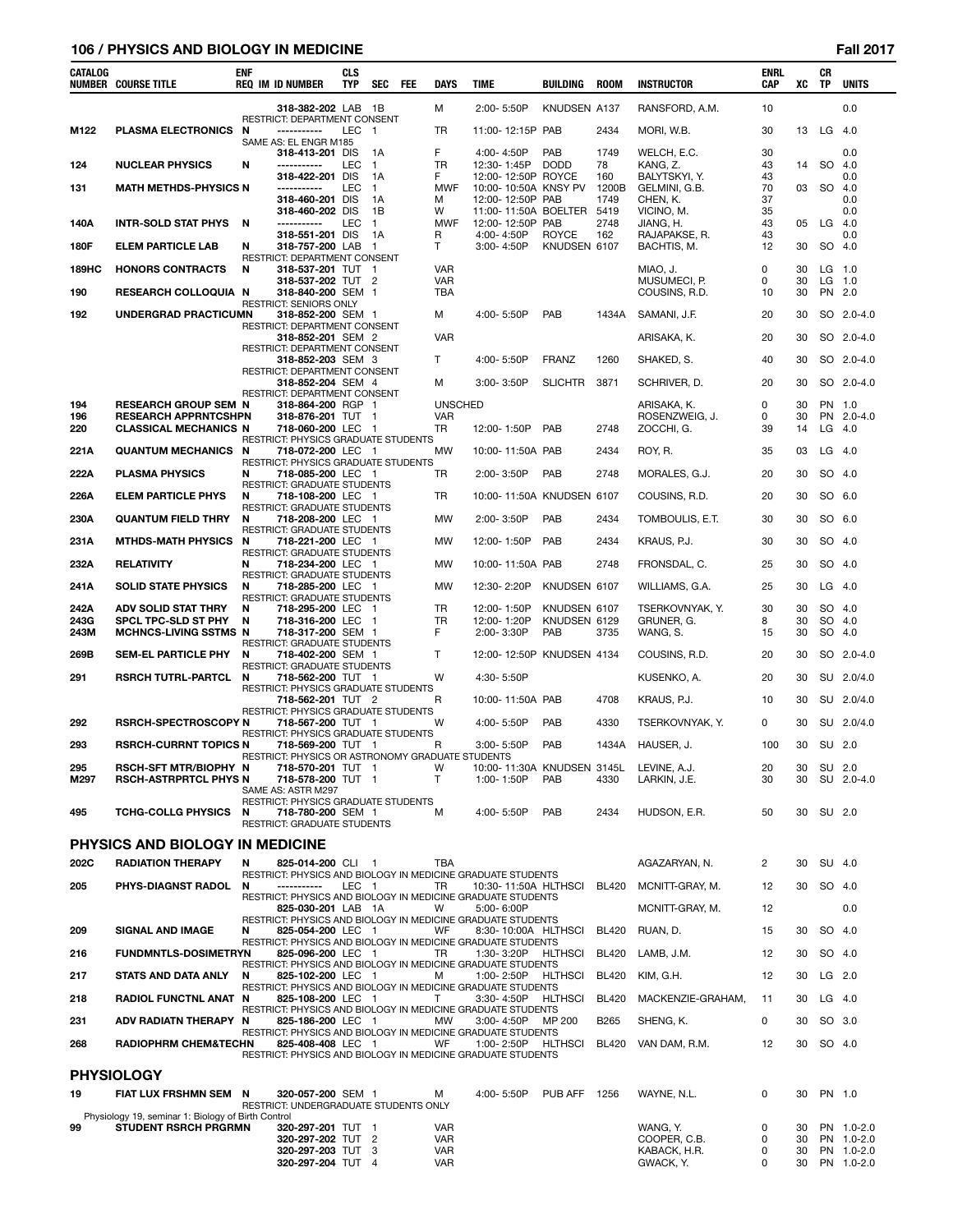## **106 / PHYSICS AND BIOLOGY IN MEDICINE Fall 2017**

| CATALOG      | <b>NUMBER COURSE TITLE</b>                                   | <b>ENF</b> | <b>REQ IM ID NUMBER</b>                                               | <b>CLS</b><br><b>TYP</b> | <b>SEC</b>         | FEE | DAYS                         | <b>TIME</b>                                                                         | BUILDING            | <b>ROOM</b>  | <b>INSTRUCTOR</b>             | <b>ENRL</b><br><b>CAP</b> | XC       | CR<br><b>TP</b>    | <b>UNITS</b>         |
|--------------|--------------------------------------------------------------|------------|-----------------------------------------------------------------------|--------------------------|--------------------|-----|------------------------------|-------------------------------------------------------------------------------------|---------------------|--------------|-------------------------------|---------------------------|----------|--------------------|----------------------|
|              |                                                              |            | 318-382-202 LAB 1B                                                    |                          |                    |     | м                            | 2:00-5:50P                                                                          | KNUDSEN A137        |              | RANSFORD, A.M.                | 10                        |          |                    | 0.0                  |
| M122         | <b>PLASMA ELECTRONICS</b>                                    | N          | RESTRICT: DEPARTMENT CONSENT<br>-----------                           | LEC 1                    |                    |     | <b>TR</b>                    | 11:00-12:15P PAB                                                                    |                     | 2434         | MORI, W.B.                    | 30                        | 13       | LG 4.0             |                      |
|              |                                                              |            | SAME AS: EL ENGR M185<br>318-413-201 DIS                              |                          | 1A                 |     | F                            | 4:00-4:50P                                                                          | PAB                 | 1749         | WELCH, E.C.                   | 30                        |          |                    | 0.0                  |
| 124          | <b>NUCLEAR PHYSICS</b>                                       | N          | -----------<br>318-422-201 DIS                                        | LEC                      | $\mathbf{1}$<br>1A |     | TR<br>F                      | 12:30-1:45P<br>12:00-12:50P ROYCE                                                   | <b>DODD</b>         | 78<br>160    | KANG, Z.<br>BALYTSKYI, Y.     | 43<br>43                  | 14       | SO 4.0             | 0.0                  |
| 131          | <b>MATH METHDS-PHYSICS N</b>                                 |            | -----------                                                           | <b>LEC</b>               | $\mathbf{1}$       |     | <b>MWF</b>                   | 10:00-10:50A KNSY PV                                                                |                     | 1200B        | GELMINI, G.B.                 | 70                        | 03       | SO 4.0             |                      |
|              |                                                              |            | 318-460-201 DIS<br>318-460-202 DIS                                    |                          | 1A<br>1B           |     | M<br>W                       | 12:00-12:50P PAB<br>11:00-11:50A BOELTER                                            |                     | 1749<br>5419 | CHEN, K.<br>VICINO, M.        | 37<br>35                  |          |                    | 0.0<br>0.0           |
| 140A         | <b>INTR-SOLD STAT PHYS</b>                                   | N          | -----------<br>318-551-201 DIS                                        | LEC                      | $\mathbf{1}$<br>1A |     | <b>MWF</b><br>R              | 12:00-12:50P<br>4:00-4:50P                                                          | PAB<br><b>ROYCE</b> | 2748<br>162  | JIANG. H.<br>RAJAPAKSE, R.    | 43<br>43                  | 05       | $LG$ 4.0           | 0.0                  |
| 180F         | <b>ELEM PARTICLE LAB</b>                                     | N          | 318-757-200 LAB 1<br>RESTRICT: DEPARTMENT CONSENT                     |                          |                    |     | $\mathsf{T}$                 | 3:00-4:50P                                                                          | KNUDSEN 6107        |              | BACHTIS, M.                   | 12                        | 30       | SO 4.0             |                      |
| 189HC        | <b>HONORS CONTRACTS</b>                                      | N          | 318-537-201 TUT 1                                                     |                          |                    |     | <b>VAR</b>                   |                                                                                     |                     |              | MIAO, J.                      | 0                         | 30       | $LG$ 1.0           |                      |
| 190          | <b>RESEARCH COLLOQUIA N</b>                                  |            | 318-537-202 TUT 2<br>318-840-200 SEM 1                                |                          |                    |     | VAR<br>TBA                   |                                                                                     |                     |              | MUSUMECI, P.<br>COUSINS, R.D. | 0<br>10                   | 30<br>30 | $LG$ 1.0<br>PN 2.0 |                      |
| 192          | UNDERGRAD PRACTICUMN                                         |            | <b>RESTRICT: SENIORS ONLY</b><br>318-852-200 SEM 1                    |                          |                    |     | м                            | 4:00-5:50P                                                                          | PAB                 | 1434A        | SAMANI, J.F.                  | 20                        | 30       |                    | SO 2.0-4.0           |
|              |                                                              |            | RESTRICT: DEPARTMENT CONSENT<br>318-852-201 SEM 2                     |                          |                    |     | <b>VAR</b>                   |                                                                                     |                     |              | ARISAKA, K.                   | 20                        | 30       |                    | SO 2.0-4.0           |
|              |                                                              |            | RESTRICT: DEPARTMENT CONSENT                                          |                          |                    |     |                              |                                                                                     |                     |              |                               |                           |          |                    |                      |
|              |                                                              |            | 318-852-203 SEM 3<br>RESTRICT: DEPARTMENT CONSENT                     |                          |                    |     | T                            | 4:00-5:50P                                                                          | <b>FRANZ</b>        | 1260         | SHAKED, S.                    | 40                        | 30       |                    | SO 2.0-4.0           |
|              |                                                              |            | 318-852-204 SEM 4<br>RESTRICT: DEPARTMENT CONSENT                     |                          |                    |     | м                            | $3:00 - 3:50P$                                                                      | <b>SLICHTR</b>      | 3871         | SCHRIVER, D.                  | 20                        | 30       |                    | SO 2.0-4.0           |
| 194<br>196   | <b>RESEARCH GROUP SEM N</b><br><b>RESEARCH APPRNTCSHPN</b>   |            | 318-864-200 RGP 1<br>318-876-201 TUT 1                                |                          |                    |     | <b>UNSCHED</b><br><b>VAR</b> |                                                                                     |                     |              | ARISAKA, K.<br>ROSENZWEIG, J. | 0<br>0                    | 30<br>30 | PN 1.0             | PN 2.0-4.0           |
| 220          | <b>CLASSICAL MECHANICS N</b>                                 |            | 718-060-200 LEC 1<br>RESTRICT: PHYSICS GRADUATE STUDENTS              |                          |                    |     | TR                           | 12:00-1:50P                                                                         | PAB                 | 2748         | ZOCCHI, G.                    | 39                        | 14       | $LG$ 4.0           |                      |
| 221A         | <b>QUANTUM MECHANICS N</b>                                   |            | 718-072-200 LEC 1                                                     |                          |                    |     | MW                           | 10:00-11:50A PAB                                                                    |                     | 2434         | ROY, R.                       | 35                        | 03       | $LG$ 4.0           |                      |
| 222A         | <b>PLASMA PHYSICS</b>                                        | N          | <b>RESTRICT: PHYSICS GRADUATE STUDENTS</b><br>718-085-200 LEC 1       |                          |                    |     | TR                           | 2:00-3:50P                                                                          | PAB                 | 2748         | MORALES, G.J.                 | 20                        | 30       | SO 4.0             |                      |
| 226A         | <b>ELEM PARTICLE PHYS</b>                                    | N          | <b>RESTRICT: GRADUATE STUDENTS</b><br>718-108-200 LEC 1               |                          |                    |     | TR                           | 10:00-11:50A KNUDSEN 6107                                                           |                     |              | COUSINS, R.D.                 | 20                        | 30       | SO 6.0             |                      |
| 230A         | <b>QUANTUM FIELD THRY</b>                                    | N          | RESTRICT: GRADUATE STUDENTS<br>718-208-200 LEC 1                      |                          |                    |     | MW                           | 2:00-3:50P                                                                          | PAB                 | 2434         | TOMBOULIS, E.T.               | 30                        | 30       | SO 6.0             |                      |
|              |                                                              |            | <b>RESTRICT: GRADUATE STUDENTS</b>                                    |                          |                    |     |                              |                                                                                     |                     |              |                               |                           |          |                    |                      |
| 231A         | <b>MTHDS-MATH PHYSICS</b>                                    | N          | 718-221-200 LEC 1<br>RESTRICT: GRADUATE STUDENTS                      |                          |                    |     | MW                           | 12:00-1:50P                                                                         | PAB                 | 2434         | KRAUS, P.J.                   | 30                        | 30       | SO 4.0             |                      |
| 232A         | <b>RELATIVITY</b>                                            | N          | 718-234-200 LEC 1<br>RESTRICT: GRADUATE STUDENTS                      |                          |                    |     | MW                           | 10:00-11:50A PAB                                                                    |                     | 2748         | FRONSDAL, C.                  | 25                        | 30       | SO 4.0             |                      |
| 241A         | <b>SOLID STATE PHYSICS</b>                                   | N          | 718-285-200 LEC 1<br><b>RESTRICT: GRADUATE STUDENTS</b>               |                          |                    |     | MW                           | 12:30-2:20P                                                                         | KNUDSEN 6107        |              | WILLIAMS, G.A.                | 25                        | 30       | LG                 | - 4.0                |
| 242A         | ADV SOLID STAT THRY                                          | N          | 718-295-200 LEC 1                                                     |                          |                    |     | TR                           | 12:00-1:50P                                                                         | KNUDSEN 6107        |              | TSERKOVNYAK, Y.               | 30                        | 30       | SO 4.0             |                      |
| 243G<br>243M | SPCL TPC-SLD ST PHY<br><b>MCHNCS-LIVING SSTMS N</b>          | N          | 718-316-200 LEC 1<br>718-317-200 SEM 1                                |                          |                    |     | TR<br>F                      | 12:00-1:20P<br>2:00-3:30P                                                           | KNUDSEN 6129<br>PAB | 3735         | GRUNER, G.<br>WANG, S.        | 8<br>15                   | 30<br>30 | SO 4.0<br>SO 4.0   |                      |
| 269B         | <b>SEM-EL PARTICLE PHY</b>                                   | N          | RESTRICT: GRADUATE STUDENTS<br>718-402-200 SEM 1                      |                          |                    |     | $\mathsf{T}$                 | 12:00-12:50P KNUDSEN 4134                                                           |                     |              | COUSINS, R.D.                 | 20                        | 30       |                    | SO 2.0-4.0           |
| 291          | <b>RSRCH TUTRL-PARTCL</b>                                    | N          | RESTRICT: GRADUATE STUDENTS<br>718-562-200 TUT 1                      |                          |                    |     | W                            | 4:30-5:50P                                                                          |                     |              | KUSENKO, A.                   | 20                        | 30       |                    | SU 2.0/4.0           |
|              |                                                              |            | <b>RESTRICT: PHYSICS GRADUATE STUDENTS</b><br>718-562-201 TUT 2       |                          |                    |     | R                            |                                                                                     |                     | 4708         | KRAUS, P.J.                   | 10                        | 30       |                    | SU 2.0/4.0           |
|              |                                                              |            | RESTRICT: PHYSICS GRADUATE STUDENTS                                   |                          |                    |     |                              | 10:00-11:50A PAB                                                                    |                     |              |                               |                           |          |                    |                      |
| 292          | <b>RSRCH-SPECTROSCOPY N</b>                                  |            | 718-567-200 TUT 1<br>RESTRICT: PHYSICS GRADUATE STUDENTS              |                          |                    |     | w                            | 4:00-5:50P                                                                          | PAB                 | 4330         | TSERKOVNYAK, Y.               | 0                         | 30       |                    | SU 2.0/4.0           |
| 293          | <b>RSRCH-CURRNT TOPICS N</b>                                 |            | 718-569-200 TUT 1<br>RESTRICT: PHYSICS OR ASTRONOMY GRADUATE STUDENTS |                          |                    |     | R                            | 3:00-5:50P                                                                          | PAB                 | 1434A        | HAUSER, J.                    | 100                       | 30       | SU 2.0             |                      |
| 295<br>M297  | <b>RSCH-SFT MTR/BIOPHY N</b><br><b>RSCH-ASTRPRTCL PHYS N</b> |            | 718-570-201 TUT 1<br>718-578-200 TUT 1                                |                          |                    |     | W<br>т                       | 10:00-11:30A KNUDSEN 3145L<br>1:00-1:50P                                            | PAB                 | 4330         | LEVINE, A.J.<br>LARKIN, J.E.  | 20<br>30                  | 30<br>30 |                    | SU 2.0<br>SU 2.0-4.0 |
|              |                                                              |            | SAME AS: ASTR M297                                                    |                          |                    |     |                              |                                                                                     |                     |              |                               |                           |          |                    |                      |
| 495          | <b>TCHG-COLLG PHYSICS</b>                                    | N          | RESTRICT: PHYSICS GRADUATE STUDENTS<br>718-780-200 SEM 1              |                          |                    |     | м                            | 4:00-5:50P                                                                          | PAB                 | 2434         | HUDSON, E.R.                  | 50                        | 30       | SU 2.0             |                      |
|              |                                                              |            | <b>RESTRICT: GRADUATE STUDENTS</b>                                    |                          |                    |     |                              |                                                                                     |                     |              |                               |                           |          |                    |                      |
|              | <b>PHYSICS AND BIOLOGY IN MEDICINE</b>                       |            |                                                                       |                          |                    |     |                              |                                                                                     |                     |              |                               |                           |          |                    |                      |
| 202C         | <b>RADIATION THERAPY</b>                                     | N          | 825-014-200 CLI 1                                                     |                          |                    |     | <b>TBA</b>                   | RESTRICT: PHYSICS AND BIOLOGY IN MEDICINE GRADUATE STUDENTS                         |                     |              | AGAZARYAN, N.                 | 2                         | 30       | SU 4.0             |                      |
| 205          | PHYS-DIAGNST RADOL                                           | N          | -----------                                                           | LEC 1                    |                    |     | TR                           | 10:30-11:50A HLTHSCI<br>RESTRICT: PHYSICS AND BIOLOGY IN MEDICINE GRADUATE STUDENTS |                     | <b>BL420</b> | MCNITT-GRAY, M.               | 12                        | 30       | SO 4.0             |                      |
|              |                                                              |            | 825-030-201 LAB 1A                                                    |                          |                    |     | W                            | 5:00-6:00P<br>RESTRICT: PHYSICS AND BIOLOGY IN MEDICINE GRADUATE STUDENTS           |                     |              | MCNITT-GRAY, M.               | 12                        |          |                    | 0.0                  |
| 209          | <b>SIGNAL AND IMAGE</b>                                      | N          | 825-054-200 LEC 1                                                     |                          |                    |     | WF                           | 8:30-10:00A HLTHSCI                                                                 |                     | <b>BL420</b> | RUAN, D.                      | 15                        | 30       | SO 4.0             |                      |
| 216          | <b>FUNDMNTLS-DOSIMETRYN</b>                                  |            | 825-096-200 LEC 1                                                     |                          |                    |     | TR                           | RESTRICT: PHYSICS AND BIOLOGY IN MEDICINE GRADUATE STUDENTS<br>1:30-3:20P           | HLTHSCI             | <b>BL420</b> | LAMB, J.M.                    | 12                        | 30       | SO 4.0             |                      |
| 217          | <b>STATS AND DATA ANLY</b>                                   | N          | 825-102-200 LEC 1                                                     |                          |                    |     | м                            | RESTRICT: PHYSICS AND BIOLOGY IN MEDICINE GRADUATE STUDENTS<br>1:00-2:50P           | HLTHSCI             | <b>BL420</b> | KIM, G.H.                     | 12                        | 30       | $LG$ 2.0           |                      |
| 218          | <b>RADIOL FUNCTNL ANAT N</b>                                 |            | 825-108-200 LEC 1                                                     |                          |                    |     | т                            | RESTRICT: PHYSICS AND BIOLOGY IN MEDICINE GRADUATE STUDENTS<br>3:30-4:50P           | <b>HLTHSCI</b>      | <b>BL420</b> | MACKENZIE-GRAHAM,             | 11                        | 30       | $LG$ 4.0           |                      |
|              |                                                              |            |                                                                       |                          |                    |     |                              | RESTRICT: PHYSICS AND BIOLOGY IN MEDICINE GRADUATE STUDENTS                         |                     |              |                               |                           | 30       |                    |                      |
| 231          | ADV RADIATN THERAPY N                                        |            | 825-186-200 LEC 1                                                     |                          |                    |     | MW                           | $3:00 - 4:50P$<br>RESTRICT: PHYSICS AND BIOLOGY IN MEDICINE GRADUATE STUDENTS       | MP 200              | B265         | SHENG, K.                     | 0                         |          | SO 3.0             |                      |
| 268          | <b>RADIOPHRM CHEM&amp;TECHN</b>                              |            | 825-408-408 LEC 1                                                     |                          |                    |     | WF                           | 1:00-2:50P<br>RESTRICT: PHYSICS AND BIOLOGY IN MEDICINE GRADUATE STUDENTS           | HLTHSCI             | <b>BL420</b> | VAN DAM, R.M.                 | 12                        | 30       | SO 4.0             |                      |
|              | <b>PHYSIOLOGY</b>                                            |            |                                                                       |                          |                    |     |                              |                                                                                     |                     |              |                               |                           |          |                    |                      |
| 19           | FIAT LUX FRSHMN SEM N                                        |            | 320-057-200 SEM 1                                                     |                          |                    |     | м                            | 4:00-5:50P                                                                          | PUB AFF 1256        |              | WAYNE, N.L.                   | 0                         | 30       | PN 1.0             |                      |
|              | Physiology 19, seminar 1: Biology of Birth Control           |            | RESTRICT: UNDERGRADUATE STUDENTS ONLY                                 |                          |                    |     |                              |                                                                                     |                     |              |                               |                           |          |                    |                      |
| 99           | <b>STUDENT RSRCH PRGRMN</b>                                  |            | 320-297-201 TUT 1                                                     |                          |                    |     | <b>VAR</b>                   |                                                                                     |                     |              | WANG, Y.                      | 0                         | 30       |                    | PN 1.0-2.0           |

|    | Physiology 19, seminar 1: Biology of Birth Control |                   |            |              |     |            |
|----|----------------------------------------------------|-------------------|------------|--------------|-----|------------|
| 99 | <b>STUDENT RSRCH PRGRMN</b>                        | 320-297-201 TUT   | <b>VAR</b> | WANG. Y.     | 30  | PN 1.0-2.0 |
|    |                                                    | 320-297-202 TUT 2 | <b>VAR</b> | COOPER, C.B. | 30  | PN 1.0-2.0 |
|    |                                                    | 320-297-203 TUT 3 | <b>VAR</b> | KABACK. H.R. | 30  | PN 1.0-2.0 |
|    |                                                    | 320-297-204 TUT 4 | <b>VAR</b> | GWACK, Y.    | 30. | PN 1.0-2.0 |
|    |                                                    |                   |            |              |     |            |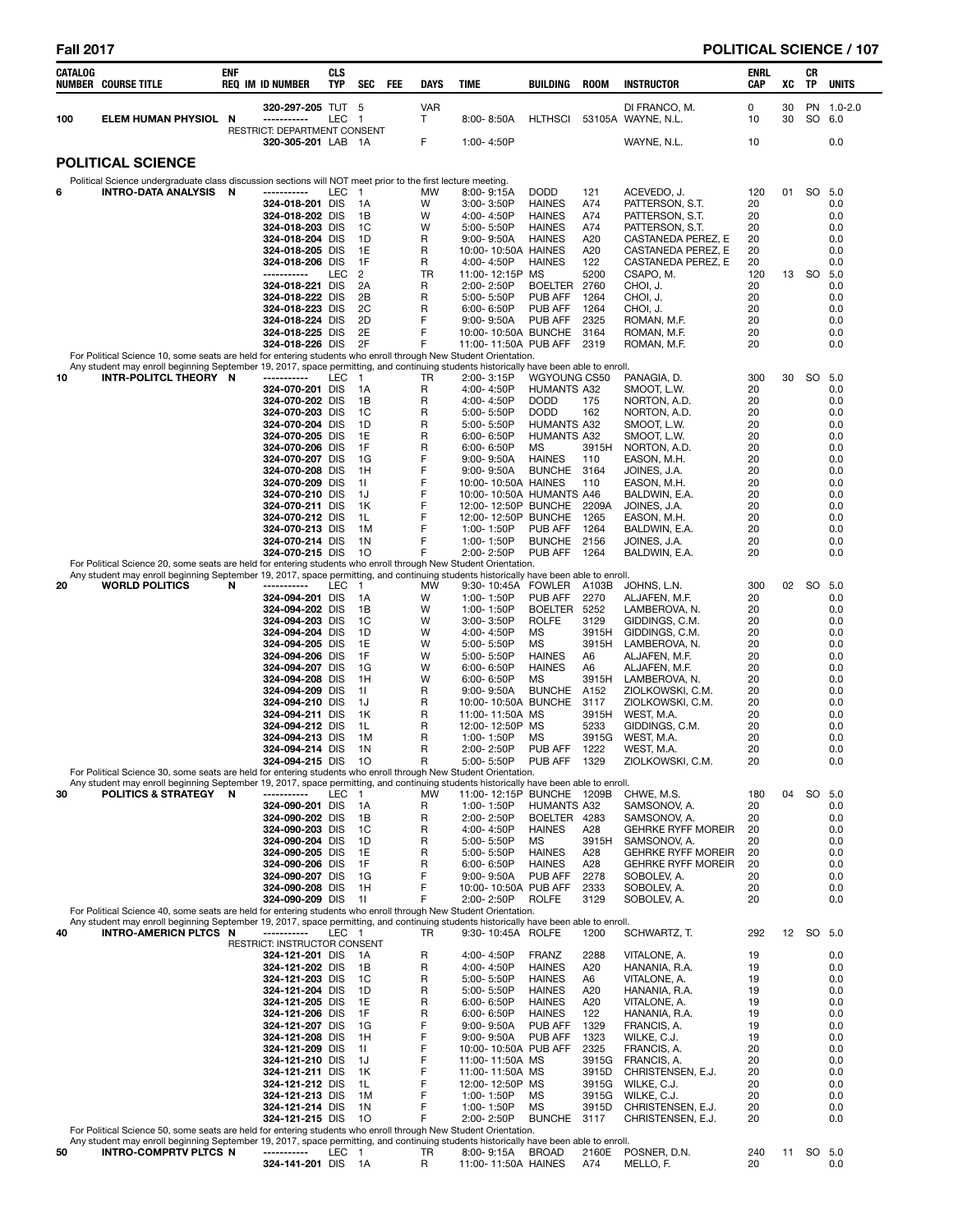| CATALOG | <b>NUMBER COURSE TITLE</b>                                                                                                                                            | enf | REQ IM ID NUMBER                                   | <b>CLS</b><br><b>TYP</b> | <b>SEC</b>           | FEE | DAYS            | TIME |                                    | BUILDING                                    | <b>ROOM</b>    | <b>INSTRUCTOR</b>                                      | ENRL<br>CAP | XC       | CR<br>TP  | <b>UNITS</b>      |
|---------|-----------------------------------------------------------------------------------------------------------------------------------------------------------------------|-----|----------------------------------------------------|--------------------------|----------------------|-----|-----------------|------|------------------------------------|---------------------------------------------|----------------|--------------------------------------------------------|-------------|----------|-----------|-------------------|
| 100     | <b>ELEM HUMAN PHYSIOL</b>                                                                                                                                             | N   | 320-297-205 TUT 5<br>-----------                   | LEC                      | -1                   |     | <b>VAR</b><br>Τ |      | 8:00-8:50A                         | <b>HLTHSCI</b>                              |                | DI FRANCO, M.<br>53105A WAYNE, N.L.                    | 0<br>10     | 30<br>30 | SO        | PN 1.0-2.0<br>6.0 |
|         |                                                                                                                                                                       |     | RESTRICT: DEPARTMENT CONSENT<br>320-305-201 LAB 1A |                          |                      |     | F               |      | 1:00-4:50P                         |                                             |                | WAYNE, N.L.                                            | 10          |          |           | 0.0               |
|         | <b>POLITICAL SCIENCE</b>                                                                                                                                              |     |                                                    |                          |                      |     |                 |      |                                    |                                             |                |                                                        |             |          |           |                   |
|         | Political Science undergraduate class discussion sections will NOT meet prior to the first lecture meeting.                                                           |     | -----------                                        |                          |                      |     |                 |      |                                    |                                             |                |                                                        |             |          | SO.       |                   |
| 6       | INTRO-DATA ANALYSIS                                                                                                                                                   | - N | 324-018-201 DIS                                    | LEC                      | - 1<br>1A            |     | МW<br>W         |      | 8:00-9:15A<br>$3:00 - 3:50P$       | <b>DODD</b><br><b>HAINES</b>                | 121<br>A74     | ACEVEDO, J.<br>PATTERSON, S.T.                         | 120<br>20   | 01       |           | 5.0<br>0.0        |
|         |                                                                                                                                                                       |     | 324-018-202 DIS<br>324-018-203 DIS                 |                          | 1B<br>1C             |     | W<br>W          |      | 4:00-4:50P<br>5:00-5:50P           | <b>HAINES</b><br><b>HAINES</b>              | A74<br>A74     | PATTERSON, S.T.<br>PATTERSON, S.T.                     | 20<br>20    |          |           | 0.0<br>0.0        |
|         |                                                                                                                                                                       |     | 324-018-204 DIS                                    |                          | 1D                   |     | R               |      | $9:00 - 9:50A$                     | <b>HAINES</b>                               | A20            | CASTANEDA PEREZ, E                                     | 20          |          |           | 0.0               |
|         |                                                                                                                                                                       |     | 324-018-205 DIS<br>324-018-206 DIS                 |                          | 1E<br>1F             |     | R<br>R          |      | 4:00-4:50P                         | 10:00-10:50A HAINES<br><b>HAINES</b>        | A20<br>122     | CASTANEDA PEREZ, E<br>CASTANEDA PEREZ, E               | 20<br>20    |          |           | 0.0<br>0.0        |
|         |                                                                                                                                                                       |     | -----------                                        | <b>LEC</b>               | 2                    |     | TR              |      | 11:00-12:15P MS                    |                                             | 5200           | CSAPO, M.                                              | 120         |          | 13 SO     | 5.0               |
|         |                                                                                                                                                                       |     | 324-018-221 DIS                                    |                          | 2A                   |     | R               |      | 2:00-2:50P                         | <b>BOELTER</b>                              | 2760           | CHOI, J.                                               | 20          |          |           | 0.0               |
|         |                                                                                                                                                                       |     | 324-018-222 DIS<br>324-018-223 DIS                 |                          | 2Β<br>2C             |     | R<br>R          |      | 5:00-5:50P<br>$6:00 - 6:50P$       | PUB AFF<br>PUB AFF                          | 1264<br>1264   | CHOI, J.<br>CHOI, J.                                   | 20<br>20    |          |           | 0.0<br>0.0        |
|         |                                                                                                                                                                       |     | 324-018-224 DIS                                    |                          | 2D                   |     | F               |      | $9.00 - 9.50A$                     | PUB AFF                                     | 2325           | roman, M.F.                                            | 20          |          |           | 0.0               |
|         |                                                                                                                                                                       |     | 324-018-225 DIS<br>324-018-226 DIS                 |                          | 2E<br>2F             |     | F<br>F          |      |                                    | 10:00-10:50A BUNCHE<br>11:00-11:50A PUB AFF | 3164<br>2319   | roman, M.F.<br>ROMAN, M.F.                             | 20<br>20    |          |           | 0.0<br>0.0        |
|         | For Political Science 10, some seats are held for entering students who enroll through New Student Orientation.                                                       |     |                                                    |                          |                      |     |                 |      |                                    |                                             |                |                                                        |             |          |           |                   |
| 10      | Any student may enroll beginning September 19, 2017, space permitting, and continuing students historically have been able to enroll.<br>INTR-POLITCL THEORY N        |     | -----------                                        | LEC                      | $\overline{1}$       |     | TR              |      | $2:00 - 3:15P$                     | WGYOUNG CS50                                |                | PANAGIA, D.                                            | 300         | 30       | SO        | 5.0               |
|         |                                                                                                                                                                       |     | 324-070-201 DIS                                    |                          | 1A                   |     | R               |      | 4:00-4:50P                         | <b>HUMANTS A32</b>                          |                | SMOOT, L.W.                                            | 20          |          |           | 0.0               |
|         |                                                                                                                                                                       |     | 324-070-202 DIS<br>324-070-203 DIS                 |                          | 1B<br>1C             |     | R<br>R          |      | 4:00-4:50P<br>5:00-5:50P           | <b>DODD</b><br><b>DODD</b>                  | 175<br>162     | NORTON, A.D.<br>NORTON, A.D.                           | 20<br>20    |          |           | 0.0<br>0.0        |
|         |                                                                                                                                                                       |     | 324-070-204 DIS                                    |                          | 1D                   |     | R               |      | 5:00-5:50P                         | <b>HUMANTS A32</b>                          |                | smoot, l.w.                                            | 20          |          |           | 0.0               |
|         |                                                                                                                                                                       |     | 324-070-205 DIS<br>324-070-206 DIS                 |                          | 1E<br>1F             |     | R<br>R          |      | 6:00-6:50P<br>$6:00 - 6:50P$       | <b>HUMANTS A32</b><br>MS                    | 3915H          | SMOOT, L.W.<br>NORTON, A.D.                            | 20<br>20    |          |           | 0.0<br>0.0        |
|         |                                                                                                                                                                       |     | 324-070-207 DIS                                    |                          | 1G                   |     | F               |      | $9:00 - 9:50A$                     | <b>HAINES</b>                               | 110            | EASON, M.H.                                            | 20          |          |           | 0.0               |
|         |                                                                                                                                                                       |     | 324-070-208 DIS<br>324-070-209 DIS                 |                          | 1H<br>11             |     | F<br>F          |      | 9:00-9:50A                         | <b>BUNCHE</b><br>10:00-10:50A HAINES        | 3164<br>110    | JOINES, J.A.<br>EASON, M.H.                            | 20<br>20    |          |           | 0.0<br>0.0        |
|         |                                                                                                                                                                       |     | 324-070-210 DIS                                    |                          | 1J                   |     | F               |      |                                    | 10:00-10:50A HUMANTS A46                    |                | BALDWIN, E.A.                                          | 20          |          |           | 0.0               |
|         |                                                                                                                                                                       |     | 324-070-211 DIS<br>324-070-212 DIS                 |                          | 1K<br>1L             |     | F<br>F          |      |                                    | 12:00-12:50P BUNCHE<br>12:00-12:50P BUNCHE  | 2209A<br>1265  | JOINES, J.A.<br>EASON, M.H.                            | 20<br>20    |          |           | 0.0<br>0.0        |
|         |                                                                                                                                                                       |     | 324-070-213 DIS                                    |                          | 1M                   |     | F               |      | 1:00-1:50P                         | PUB AFF                                     | 1264           | BALDWIN, E.A.                                          | 20          |          |           | 0.0               |
|         |                                                                                                                                                                       |     | 324-070-214 DIS<br>324-070-215 DIS                 |                          | 1 <sup>N</sup><br>10 |     | F<br>F          |      | 1:00-1:50P<br>2:00-2:50P           | <b>BUNCHE</b><br>PUB AFF                    | 2156<br>1264   | JOINES, J.A.<br>BALDWIN, E.A.                          | 20<br>20    |          |           | 0.0<br>0.0        |
|         | For Political Science 20, some seats are held for entering students who enroll through New Student Orientation.                                                       |     |                                                    |                          |                      |     |                 |      |                                    |                                             |                |                                                        |             |          |           |                   |
| 20      | Any student may enroll beginning September 19, 2017, space permitting, and continuing students historically have been able to enroll.<br><b>WORLD POLITICS</b>        | N   | ----------                                         | LEC                      | $\overline{1}$       |     | MW              |      | 9:30-10:45A                        | FOWLER                                      | A103B          | JOHNS, L.N.                                            | 300         | 02       | <b>SO</b> | 5.0               |
|         |                                                                                                                                                                       |     | 324-094-201 DIS                                    |                          | 1A                   |     | W               |      | 1:00-1:50P                         | PUB AFF                                     | 2270           | ALJAFEN, M.F.                                          | 20          |          |           | 0.0               |
|         |                                                                                                                                                                       |     | 324-094-202 DIS<br>324-094-203 DIS                 |                          | 1B<br>1C             |     | W<br>W          |      | 1:00-1:50P<br>$3:00 - 3:50P$       | <b>BOELTER</b><br><b>ROLFE</b>              | 5252<br>3129   | LAMBEROVA, N.<br>GIDDINGS, C.M.                        | 20<br>20    |          |           | 0.0<br>0.0        |
|         |                                                                                                                                                                       |     | 324-094-204 DIS                                    |                          | 1D                   |     | W               |      | 4:00-4:50P                         | <b>MS</b>                                   | 3915H          | GIDDINGS, C.M.                                         | 20          |          |           | 0.0               |
|         |                                                                                                                                                                       |     | 324-094-205 DIS<br>324-094-206 DIS                 |                          | 1E<br>1F             |     | W<br>W          |      | 5:00-5:50P<br>5:00-5:50P           | MS<br><b>HAINES</b>                         | 3915H<br>A6    | LAMBEROVA, N.<br>ALJAFEN, M.F.                         | 20<br>20    |          |           | 0.0<br>0.0        |
|         |                                                                                                                                                                       |     | 324-094-207 DIS                                    |                          | 1G                   |     | W               |      | $6.00 - 6.50P$                     | <b>HAINES</b>                               | A6             | ALJAFEN, M.F.                                          | 20          |          |           | 0.0               |
|         |                                                                                                                                                                       |     | 324-094-208 DIS                                    |                          | 1H                   |     | W<br>R          |      | 6:00-6:50P                         | MS<br><b>BUNCHE</b>                         | 3915H          | LAMBEROVA, N.                                          | 20<br>20    |          |           | 0.0<br>0.0        |
|         |                                                                                                                                                                       |     | 324-094-209 DIS<br>324-094-210 DIS                 |                          | 11<br>1J             |     | R               |      | $9:00 - 9:50A$                     | 10:00-10:50A BUNCHE                         | A152<br>3117   | ZIOLKOWSKI, C.M.<br>ZIOLKOWSKI, C.M.                   | 20          |          |           | 0.0               |
|         |                                                                                                                                                                       |     | 324-094-211 DIS                                    |                          | 1K                   |     | R               |      | 11:00-11:50A MS                    |                                             | 3915H          | WEST, M.A.                                             | 20          |          |           | 0.0               |
|         |                                                                                                                                                                       |     | 324-094-212 DIS<br>324-094-213 DIS                 |                          | 1L<br>1M             |     | R<br>R          |      | 12:00-12:50P MS<br>1:00-1:50P      | MS                                          | 5233<br>3915G  | GIDDINGS, C.M.<br>WEST, M.A.                           | 20<br>20    |          |           | 0.0<br>0.0        |
|         |                                                                                                                                                                       |     | 324-094-214 DIS                                    |                          | 1N                   |     | R               |      | 2:00-2:50P                         | PUB AFF                                     | 1222           | WEST, M.A.                                             | 20          |          |           | 0.0               |
|         | For Political Science 30, some seats are held for entering students who enroll through New Student Orientation.                                                       |     | 324-094-215 DIS                                    |                          | 10                   |     | R               |      | 5:00-5:50P                         | PUB AFF                                     | 1329           | ZIOLKOWSKI. C.M.                                       | 20          |          |           | 0.0               |
| 30      | Any student may enroll beginning September 19, 2017, space permitting, and continuing students historically have been able to enroll.<br>POLITICS & STRATEGY N        |     | ------------                                       | LEC                      | $\blacksquare$       |     | MW              |      |                                    | 11:00-12:15P BUNCHE 1209B                   |                | CHWE, M.S.                                             | 180         | 04       |           | SO 5.0            |
|         |                                                                                                                                                                       |     | 324-090-201 DIS                                    |                          | - 1 A                |     | R               |      | 1:00-1:50P                         | <b>HUMANTS A32</b>                          |                | SAMSONOV, A.                                           | 20          |          |           | 0.0               |
|         |                                                                                                                                                                       |     | 324-090-202 DIS<br>324-090-203 DIS                 |                          | 1B<br>1C             |     | R<br>R          |      | 2:00-2:50P<br>4:00-4:50P           | BOELTER 4283<br><b>HAINES</b>               | A28            | SAMSONOV, A.<br>GEHRKE RYFF MOREIR                     | 20<br>20    |          |           | 0.0<br>0.0        |
|         |                                                                                                                                                                       |     | 324-090-204 DIS                                    |                          | 1D                   |     | R               |      | 5:00-5:50P                         | MS                                          | 3915H          | SAMSONOV, A.                                           | 20          |          |           | 0.0               |
|         |                                                                                                                                                                       |     | 324-090-205 DIS<br>324-090-206 DIS                 |                          | 1E<br>1F             |     | R<br>R          |      | 5:00-5:50P                         | <b>HAINES</b><br><b>HAINES</b>              | A28            | <b>GEHRKE RYFF MOREIR</b><br><b>GEHRKE RYFF MOREIR</b> | 20<br>20    |          |           | 0.0               |
|         |                                                                                                                                                                       |     | 324-090-207 DIS                                    |                          | 1G                   |     | F               |      | 6:00-6:50P<br>$9:00 - 9:50A$       | PUB AFF                                     | A28<br>2278    | SOBOLEV. A.                                            | 20          |          |           | 0.0<br>0.0        |
|         |                                                                                                                                                                       |     | 324-090-208 DIS<br>324-090-209 DIS                 |                          | 1H<br>- 11           |     | F<br>F          |      | 2:00-2:50P                         | 10:00-10:50A PUB AFF<br><b>ROLFE</b>        | 2333<br>3129   | SOBOLEV, A.<br>SOBOLEV, A.                             | 20<br>20    |          |           | 0.0<br>0.0        |
|         | For Political Science 40, some seats are held for entering students who enroll through New Student Orientation.                                                       |     |                                                    |                          |                      |     |                 |      |                                    |                                             |                |                                                        |             |          |           |                   |
| 40      | Any student may enroll beginning September 19, 2017, space permitting, and continuing students historically have been able to enroll.<br><b>INTRO-AMERICN PLTCS N</b> |     | -----------                                        | LEC 1                    |                      |     | <b>TR</b>       |      | 9:30-10:45A ROLFE                  |                                             | 1200           | SCHWARTZ, T.                                           | 292         | 12       |           | SO 5.0            |
|         |                                                                                                                                                                       |     | RESTRICT: INSTRUCTOR CONSENT                       |                          |                      |     |                 |      |                                    |                                             |                |                                                        |             |          |           |                   |
|         |                                                                                                                                                                       |     | 324-121-201 DIS<br>324-121-202 DIS                 |                          | 1A<br>1В             |     | R<br>R          |      | 4:00-4:50P<br>4:00-4:50P           | <b>FRANZ</b><br><b>HAINES</b>               | 2288<br>A20    | VITALONE, A.<br>HANANIA, R.A.                          | 19<br>19    |          |           | 0.0<br>0.0        |
|         |                                                                                                                                                                       |     | 324-121-203 DIS                                    |                          | 1C                   |     | R               |      | 5:00-5:50P                         | <b>HAINES</b>                               | A6             | VITALONE, A.                                           | 19          |          |           | 0.0               |
|         |                                                                                                                                                                       |     | 324-121-204 DIS<br>324-121-205 DIS                 |                          | 1D<br>1E             |     | R<br>R          |      | 5:00-5:50P<br>6:00-6:50P           | <b>HAINES</b><br><b>HAINES</b>              | A20<br>A20     | HANANIA, R.A.<br>VITALONE, A.                          | 19<br>19    |          |           | 0.0<br>0.0        |
|         |                                                                                                                                                                       |     | 324-121-206 DIS                                    |                          | 1F                   |     | R               |      | 6:00-6:50P                         | <b>HAINES</b>                               | 122            | HANANIA, R.A.                                          | 19          |          |           | 0.0               |
|         |                                                                                                                                                                       |     | 324-121-207 DIS<br>324-121-208 DIS                 |                          | 1G<br>1H             |     | F<br>F          |      | $9:00 - 9:50A$<br>$9:00 - 9:50A$   | PUB AFF<br>PUB AFF                          | 1329<br>1323   | FRANCIS, A.<br>WILKE, C.J.                             | 19<br>19    |          |           | 0.0<br>0.0        |
|         |                                                                                                                                                                       |     | 324-121-209 DIS                                    |                          | 11                   |     | F               |      |                                    | 10:00-10:50A PUB AFF                        | 2325           | FRANCIS, A.                                            | 20          |          |           | 0.0               |
|         |                                                                                                                                                                       |     | 324-121-210 DIS                                    |                          | 1J                   |     | F               |      | 11:00-11:50A MS                    |                                             | 3915G          | FRANCIS, A.                                            | 20          |          |           | 0.0               |
|         |                                                                                                                                                                       |     | 324-121-211 DIS<br>324-121-212 DIS                 |                          | 1K<br>1L             |     | F<br>F          |      | 11:00-11:50A MS<br>12:00-12:50P MS |                                             | 3915D<br>3915G | CHRISTENSEN, E.J.<br>WILKE, C.J.                       | 20<br>20    |          |           | 0.0<br>0.0        |
|         |                                                                                                                                                                       |     | 324-121-213 DIS                                    |                          | 1M                   |     | F               |      | 1:00-1:50P                         | MS                                          | 3915G          | WILKE, C.J.                                            | 20          |          |           | 0.0               |
|         |                                                                                                                                                                       |     | 324-121-214 DIS<br>324-121-215 DIS                 |                          | 1N<br>10             |     | F<br>F          |      | 1:00-1:50P<br>2:00-2:50P           | МS<br><b>BUNCHE</b>                         | 3915D<br>3117  | CHRISTENSEN, E.J.<br>CHRISTENSEN, E.J.                 | 20<br>20    |          |           | 0.0<br>0.0        |
|         | For Political Science 50, some seats are held for entering students who enroll through New Student Orientation.                                                       |     |                                                    |                          |                      |     |                 |      |                                    |                                             |                |                                                        |             |          |           |                   |
| 50      | Any student may enroll beginning September 19, 2017, space permitting, and continuing students historically have been able to enroll.<br><b>INTRO-COMPRTV PLTCS N</b> |     | -----------                                        | LEC <sub>1</sub>         |                      |     | TR              |      | 8:00-9:15A                         | <b>BROAD</b>                                | 2160E          | POSNER, D.N.                                           | 240         | 11       |           | SO 5.0            |
|         |                                                                                                                                                                       |     | 324-141-201 DIS 1A                                 |                          |                      |     | R               |      |                                    | 11:00-11:50A HAINES                         | A74            | MELLO, F.                                              | 20          |          |           | 0.0               |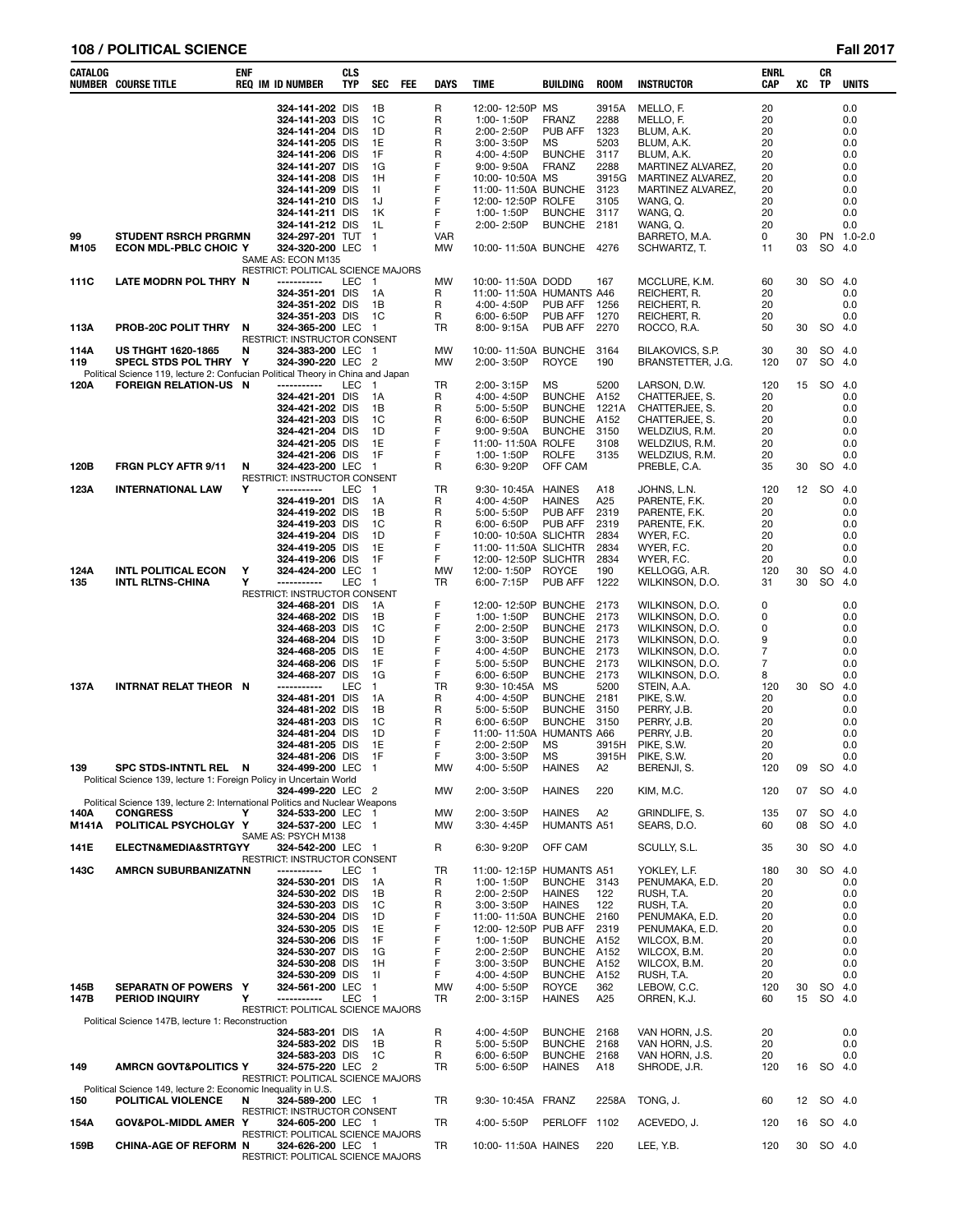## **108 / POLITICAL SCIENCE Fall 2017**

| CATALOG      | NUMBER COURSE TITLE                                                                                      | ENF      | <b>REQ IM ID NUMBER</b>                                                  | CLS<br><b>TYP</b> | <b>SEC</b>                       | <b>FEE</b> | <b>DAYS</b>      | <b>TIME</b>                                                   | <b>BUILDING</b>                      | <b>ROOM</b>                   | <b>INSTRUCTOR</b>                                  | <b>ENRL</b><br>CAP   | XC       | CR<br>TP     | <b>UNITS</b>             |
|--------------|----------------------------------------------------------------------------------------------------------|----------|--------------------------------------------------------------------------|-------------------|----------------------------------|------------|------------------|---------------------------------------------------------------|--------------------------------------|-------------------------------|----------------------------------------------------|----------------------|----------|--------------|--------------------------|
|              |                                                                                                          |          | 324-141-202 DIS<br>324-141-203 DIS<br>324-141-204 DIS<br>324-141-205 DIS |                   | 1B<br>1C<br>1D<br>1E             |            | R<br>R<br>R<br>R | 12:00-12:50P MS<br>1:00-1:50P<br>2:00-2:50P<br>$3:00 - 3:50P$ | <b>FRANZ</b><br>PUB AFF<br><b>MS</b> | 3915A<br>2288<br>1323<br>5203 | MELLO, F.<br>MELLO, F.<br>BLUM, A.K.<br>BLUM, A.K. | 20<br>20<br>20<br>20 |          |              | 0.0<br>0.0<br>0.0<br>0.0 |
|              |                                                                                                          |          | 324-141-206 DIS<br>324-141-207 DIS                                       |                   | 1F<br>1G                         |            | R<br>F           | 4:00-4:50P<br>$9:00 - 9:50A$                                  | <b>BUNCHE</b><br><b>FRANZ</b>        | 3117<br>2288                  | BLUM, A.K.<br>MARTINEZ ALVAREZ,                    | 20<br>20             |          |              | 0.0<br>0.0               |
|              |                                                                                                          |          | 324-141-208 DIS                                                          |                   | 1H                               |            | F                | 10:00-10:50A MS                                               |                                      | 3915G                         | MARTINEZ ALVAREZ,                                  | 20                   |          |              | 0.0                      |
|              |                                                                                                          |          | 324-141-209 DIS<br>324-141-210 DIS                                       |                   | 11<br>1J                         |            | F<br>F           | 11:00-11:50A BUNCHE<br>12:00-12:50P ROLFE                     |                                      | 3123<br>3105                  | MARTINEZ ALVAREZ,<br>WANG, Q.                      | 20<br>20             |          |              | 0.0<br>0.0               |
|              |                                                                                                          |          | 324-141-211 DIS                                                          |                   | 1K                               |            | F                | 1:00-1:50P                                                    | <b>BUNCHE</b>                        | 3117                          | WANG, Q.                                           | 20                   |          |              | 0.0                      |
| 99           | <b>STUDENT RSRCH PRGRMN</b>                                                                              |          | 324-141-212 DIS<br>324-297-201 TUT                                       |                   | 1L<br>$\overline{1}$             |            | F<br><b>VAR</b>  | 2:00-2:50P                                                    | <b>BUNCHE</b>                        | 2181                          | WANG, Q.<br>BARRETO, M.A.                          | 20<br>0              | 30       |              | 0.0<br>PN 1.0-2.0        |
| M105         | <b>ECON MDL-PBLC CHOIC Y</b>                                                                             |          | 324-320-200 LEC 1<br>SAME AS: ECON M135                                  |                   |                                  |            | MW               | 10:00-11:50A BUNCHE 4276                                      |                                      |                               | SCHWARTZ, T.                                       | 11                   | 03       | SO 4.0       |                          |
| 111C         | LATE MODRN POL THRY N                                                                                    |          | RESTRICT: POLITICAL SCIENCE MAJORS<br>-----------                        | LEC               | $\overline{1}$                   |            | MW               | 10:00-11:50A DODD                                             |                                      | 167                           | MCCLURE, K.M.                                      | 60                   | 30       | SO 4.0       |                          |
|              |                                                                                                          |          | 324-351-201 DIS                                                          |                   | 1A                               |            | R                | 11:00-11:50A HUMANTS A46                                      |                                      |                               | REICHERT, R.                                       | 20                   |          |              | 0.0                      |
|              |                                                                                                          |          | 324-351-202 DIS<br>324-351-203 DIS                                       |                   | 1B<br>1C                         |            | R<br>R           | 4:00-4:50P<br>6:00-6:50P                                      | PUB AFF<br>PUB AFF                   | 1256<br>1270                  | REICHERT, R.<br>REICHERT, R.                       | 20<br>20             |          |              | 0.0<br>0.0               |
| 113A         | PROB-20C POLIT THRY                                                                                      | N        | 324-365-200 LEC<br>RESTRICT: INSTRUCTOR CONSENT                          |                   | - 1                              |            | TR               | 8:00-9:15A                                                    | PUB AFF                              | 2270                          | ROCCO, R.A.                                        | 50                   | 30       | <b>SO</b>    | 4.0                      |
| 114A         | <b>US THGHT 1620-1865</b>                                                                                | N        | 324-383-200 LEC 1                                                        |                   |                                  |            | МW               | 10:00-11:50A BUNCHE                                           |                                      | 3164                          | BILAKOVICS, S.P.                                   | 30                   | 30       | SO 4.0       |                          |
| 119          | SPECL STDS POL THRY Y<br>Political Science 119, lecture 2: Confucian Political Theory in China and Japan |          | 324-390-220 LEC                                                          |                   | $\overline{2}$                   |            | MW               | 2:00-3:50P                                                    | <b>ROYCE</b>                         | 190                           | BRANSTETTER, J.G.                                  | 120                  | 07       | <b>SO</b>    | 4.0                      |
| 120A         | <b>FOREIGN RELATION-US N</b>                                                                             |          | -----------                                                              | LEC               | $\mathbf{1}$                     |            | TR               | 2:00-3:15P                                                    | <b>MS</b><br><b>BUNCHE</b>           | 5200                          | LARSON, D.W.                                       | 120                  | 15       | <b>SO</b>    | 4.0                      |
|              |                                                                                                          |          | 324-421-201 DIS<br>324-421-202 DIS                                       |                   | 1A<br>1B                         |            | R<br>R           | 4:00-4:50P<br>5:00-5:50P                                      | <b>BUNCHE</b>                        | A152<br>1221A                 | CHATTERJEE, S.<br>CHATTERJEE, S.                   | 20<br>20             |          |              | 0.0<br>0.0               |
|              |                                                                                                          |          | 324-421-203 DIS<br>324-421-204 DIS                                       |                   | 1C<br>1D                         |            | R<br>F           | $6:00 - 6:50P$<br>$9:00 - 9:50A$                              | <b>BUNCHE</b><br><b>BUNCHE</b>       | A152<br>3150                  | CHATTERJEE, S.<br>WELDZIUS, R.M.                   | 20<br>20             |          |              | 0.0<br>0.0               |
|              |                                                                                                          |          | 324-421-205 DIS                                                          |                   | 1E                               |            | F                | 11:00-11:50A ROLFE                                            |                                      | 3108                          | WELDZIUS, R.M.                                     | 20                   |          |              | 0.0                      |
| 120B         | FRGN PLCY AFTR 9/11                                                                                      | N        | 324-421-206 DIS<br>324-423-200 LEC                                       |                   | 1F<br>-1                         |            | $\mathsf F$<br>R | 1:00-1:50P<br>6:30-9:20P                                      | <b>ROLFE</b><br>OFF CAM              | 3135                          | WELDZIUS, R.M.<br>PREBLE, C.A.                     | 20<br>35             | 30       | SO.          | 0.0<br>-4.0              |
|              |                                                                                                          | Y        | RESTRICT: INSTRUCTOR CONSENT<br>-----------                              | LEC               |                                  |            | TR               |                                                               | <b>HAINES</b>                        | A18                           |                                                    |                      |          | 12 SO 4.0    |                          |
| 123A         | <b>INTERNATIONAL LAW</b>                                                                                 |          | 324-419-201 DIS                                                          |                   | $\overline{1}$<br>1A             |            | R                | 9:30-10:45A<br>4:00-4:50P                                     | <b>HAINES</b>                        | A25                           | JOHNS, L.N.<br>PARENTE, F.K.                       | 120<br>20            |          |              | 0.0                      |
|              |                                                                                                          |          | 324-419-202 DIS<br>324-419-203 DIS                                       |                   | 1B<br>1C                         |            | R<br>R           | 5:00-5:50P<br>6:00-6:50P                                      | PUB AFF<br>PUB AFF                   | 2319<br>2319                  | PARENTE, F.K.<br>PARENTE, F.K.                     | 20<br>20             |          |              | 0.0<br>0.0               |
|              |                                                                                                          |          | 324-419-204 DIS                                                          |                   | 1D                               |            | F                | 10:00-10:50A SLICHTR                                          |                                      | 2834                          | WYER, F.C.                                         | 20                   |          |              | 0.0                      |
|              |                                                                                                          |          | 324-419-205 DIS<br>324-419-206 DIS                                       |                   | 1E<br>1F                         |            | F<br>F           | 11:00-11:50A SLICHTR<br>12:00-12:50P SLICHTR                  |                                      | 2834<br>2834                  | WYER, F.C.<br>WYER, F.C.                           | 20<br>20             |          |              | 0.0<br>0.0               |
| 124A         | <b>INTL POLITICAL ECON</b>                                                                               | Υ        | 324-424-200 LEC                                                          |                   | $\overline{1}$                   |            | MW               | 12:00-1:50P                                                   | <b>ROYCE</b>                         | 190                           | KELLOGG, A.R.                                      | 120                  | 30       | <b>SO</b>    | 4.0                      |
| 135          | <b>INTL RLTNS-CHINA</b>                                                                                  | Υ        | -----------<br>RESTRICT: INSTRUCTOR CONSENT                              | LEC               | $\overline{1}$                   |            | TR               | 6:00-7:15P                                                    | PUB AFF                              | 1222                          | WILKINSON, D.O.                                    | 31                   | 30       | SO.          | 4.0                      |
|              |                                                                                                          |          | 324-468-201 DIS                                                          |                   | 1A                               |            | F<br>F           | 12:00-12:50P                                                  | <b>BUNCHE</b>                        | 2173                          | WILKINSON, D.O.                                    | 0                    |          |              | 0.0                      |
|              |                                                                                                          |          | 324-468-202 DIS<br>324-468-203 DIS                                       |                   | 1B<br>1C                         |            | F                | 1:00-1:50P<br>2:00-2:50P                                      | <b>BUNCHE</b><br><b>BUNCHE</b>       | 2173<br>2173                  | WILKINSON, D.O.<br>WILKINSON, D.O.                 | 0<br>0               |          |              | 0.0<br>0.0               |
|              |                                                                                                          |          | 324-468-204 DIS<br>324-468-205 DIS                                       |                   | 1D<br>1E                         |            | F<br>F           | 3:00-3:50P<br>4:00-4:50P                                      | <b>BUNCHE</b><br><b>BUNCHE</b>       | 2173<br>2173                  | WILKINSON, D.O.<br>WILKINSON, D.O.                 | 9<br>7               |          |              | 0.0<br>0.0               |
|              |                                                                                                          |          | 324-468-206 DIS                                                          |                   | 1F                               |            | F                | 5:00-5:50P                                                    | <b>BUNCHE</b>                        | 2173                          | WILKINSON, D.O.                                    | 7                    |          |              | 0.0                      |
| 137A         | INTRNAT RELAT THEOR N                                                                                    |          | 324-468-207 DIS<br>-----------                                           | <b>LEC</b>        | 1G<br>$\overline{1}$             |            | F<br>TR          | $6:00 - 6:50P$<br>9:30-10:45A                                 | <b>BUNCHE</b><br>MS                  | 2173<br>5200                  | WILKINSON, D.O.<br>STEIN, A.A.                     | 8<br>120             | 30       | <b>SO</b>    | 0.0<br>4.0               |
|              |                                                                                                          |          | 324-481-201 DIS                                                          |                   | 1A                               |            | R                | 4:00-4:50P                                                    | <b>BUNCHE</b>                        | 2181                          | PIKE, S.W.                                         | 20                   |          |              | 0.0                      |
|              |                                                                                                          |          | 324-481-202 DIS<br>324-481-203 DIS                                       |                   | 1B<br>1C                         |            | R<br>R           | 5:00-5:50P<br>$6:00 - 6:50P$                                  | <b>BUNCHE</b><br><b>BUNCHE</b>       | 3150<br>3150                  | PERRY, J.B.<br>PERRY, J.B.                         | 20<br>20             |          |              | 0.0<br>0.0               |
|              |                                                                                                          |          | 324-481-204 DIS<br>324-481-205 DIS                                       |                   | 1D<br>1E                         |            | F<br>F           | 11:00-11:50A<br>2:00-2:50P                                    | <b>HUMANTS A66</b><br>MS             | 3915H                         | PERRY, J.B.<br>PIKE, S.W.                          | 20<br>20             |          |              | 0.0<br>0.0               |
|              |                                                                                                          |          | 324-481-206 DIS                                                          |                   | 1F                               |            | F                | 3:00-3:50P                                                    | <b>MS</b>                            | 3915H                         | PIKE, S.W.                                         | 20                   |          |              | 0.0                      |
| 139          | SPC STDS-INTNTL REL<br>Political Science 139, lecture 1: Foreign Policy in Uncertain World               | <b>N</b> | 324-499-200 LEC                                                          |                   | $\overline{1}$                   |            | MW               | 4:00-5:50P                                                    | <b>HAINES</b>                        | A2                            | BERENJI, S.                                        | 120                  | 09       | SO 4.0       |                          |
|              |                                                                                                          |          | 324-499-220 LEC 2                                                        |                   |                                  |            | MW               | 2:00-3:50P                                                    | <b>HAINES</b>                        | 220                           | KIM, M.C.                                          | 120                  | 07       | SO 4.0       |                          |
| 140A         | Political Science 139, lecture 2: International Politics and Nuclear Weapons<br><b>CONGRESS</b>          | Υ        | 324-533-200 LEC 1                                                        |                   |                                  |            | MW               | 2:00-3:50P                                                    | <b>HAINES</b>                        | A2                            | GRINDLIFE, S.                                      | 135                  | 07       | SO 4.0       |                          |
| M141A        | POLITICAL PSYCHOLGY Y                                                                                    |          | 324-537-200 LEC 1<br>SAME AS: PSYCH M138                                 |                   |                                  |            | MW               | 3:30-4:45P                                                    | <b>HUMANTS A51</b>                   |                               | SEARS, D.O.                                        | 60                   | 08       | SO 4.0       |                          |
| 141E         | ELECTN&MEDIA&STRTGYY                                                                                     |          | 324-542-200 LEC 1                                                        |                   |                                  |            | R                | 6:30-9:20P                                                    | OFF CAM                              |                               | SCULLY, S.L.                                       | 35                   | 30       | SO 4.0       |                          |
| 143C         | <b>AMRCN SUBURBANIZATNN</b>                                                                              |          | <b>RESTRICT: INSTRUCTOR CONSENT</b><br>-----------                       | LEC               | $\mathbf{1}$                     |            | TR               | 11:00-12:15P                                                  | <b>HUMANTS A51</b>                   |                               | YOKLEY, L.F.                                       | 180                  | 30       | SO.          | - 4.0                    |
|              |                                                                                                          |          | 324-530-201 DIS<br>324-530-202 DIS                                       |                   | 1A<br>1B                         |            | R<br>R           | 1:00-1:50P<br>2:00-2:50P                                      | BUNCHE 3143<br><b>HAINES</b>         | 122                           | PENUMAKA, E.D.<br>RUSH, T.A.                       | 20<br>20             |          |              | 0.0<br>0.0               |
|              |                                                                                                          |          | 324-530-203 DIS                                                          |                   | 1C                               |            | R                | $3:00 - 3:50P$                                                | <b>HAINES</b>                        | 122                           | RUSH, T.A.                                         | 20                   |          |              | 0.0                      |
|              |                                                                                                          |          | 324-530-204 DIS<br>324-530-205 DIS                                       |                   | 1D<br>1E                         |            | F<br>F           | 11:00-11:50A BUNCHE<br>12:00-12:50P                           | PUB AFF                              | 2160<br>2319                  | PENUMAKA, E.D.<br>PENUMAKA, E.D.                   | 20<br>20             |          |              | 0.0<br>0.0               |
|              |                                                                                                          |          | 324-530-206 DIS                                                          |                   | 1F                               |            | F                | 1:00-1:50P                                                    | <b>BUNCHE</b>                        | A152                          | WILCOX, B.M.                                       | 20                   |          |              | 0.0                      |
|              |                                                                                                          |          | 324-530-207 DIS<br>324-530-208 DIS                                       |                   | 1G<br>1H                         |            | F<br>F           | 2:00-2:50P<br>$3:00 - 3:50P$                                  | <b>BUNCHE</b><br><b>BUNCHE</b>       | A152<br>A152                  | WILCOX, B.M.<br>WILCOX, B.M.                       | 20<br>20             |          |              | 0.0<br>0.0               |
|              |                                                                                                          |          | 324-530-209 DIS                                                          |                   | 11                               |            | F                | 4:00-4:50P                                                    | <b>BUNCHE</b>                        | A152                          | RUSH, T.A.                                         | 20                   |          |              | 0.0                      |
| 145B<br>147B | SEPARATN OF POWERS Y<br><b>PERIOD INQUIRY</b>                                                            | Y        | 324-561-200 LEC<br>-----------                                           | LEC               | $\overline{1}$<br>$\overline{1}$ |            | MW<br>TR         | 4:00-5:50P<br>2:00-3:15P                                      | <b>ROYCE</b><br><b>HAINES</b>        | 362<br>A25                    | LEBOW, C.C.<br>ORREN, K.J.                         | 120<br>60            | 30<br>15 | SO<br>SO 4.0 | 4.0                      |
|              | Political Science 147B, lecture 1: Reconstruction                                                        |          | RESTRICT: POLITICAL SCIENCE MAJORS                                       |                   |                                  |            |                  |                                                               |                                      |                               |                                                    |                      |          |              |                          |
|              |                                                                                                          |          | 324-583-201 DIS                                                          |                   | 1A                               |            | R                | 4:00-4:50P                                                    | BUNCHE 2168                          |                               | VAN HORN, J.S.                                     | 20                   |          |              | 0.0                      |
|              |                                                                                                          |          | 324-583-202 DIS<br>324-583-203 DIS                                       |                   | 1B<br>1C                         |            | R<br>R           | 5:00-5:50P<br>$6:00 - 6:50P$                                  | <b>BUNCHE</b><br><b>BUNCHE</b>       | 2168<br>2168                  | VAN HORN, J.S.<br>VAN HORN, J.S.                   | 20<br>20             |          |              | 0.0<br>0.0               |
| 149          | AMRCN GOVT&POLITICS Y                                                                                    |          | 324-575-220 LEC 2<br>RESTRICT: POLITICAL SCIENCE MAJORS                  |                   |                                  |            | <b>TR</b>        | 5:00-6:50P                                                    | <b>HAINES</b>                        | A18                           | SHRODE, J.R.                                       | 120                  | 16       | SO 4.0       |                          |
|              | Political Science 149, lecture 2: Economic Inequality in U.S.                                            |          |                                                                          |                   |                                  |            |                  |                                                               |                                      |                               |                                                    |                      |          |              |                          |
| 150          | POLITICAL VIOLENCE                                                                                       | N        | 324-589-200 LEC 1<br>RESTRICT: INSTRUCTOR CONSENT                        |                   |                                  |            | TR               | 9:30-10:45A FRANZ                                             |                                      | 2258A                         | TONG, J.                                           | 60                   | 12       | SO 4.0       |                          |
| 154A         | GOV&POL-MIDDL AMER Y                                                                                     |          | 324-605-200 LEC 1<br>RESTRICT: POLITICAL SCIENCE MAJORS                  |                   |                                  |            | TR               | 4:00-5:50P                                                    | PERLOFF 1102                         |                               | ACEVEDO, J.                                        | 120                  | 16       | SO 4.0       |                          |
| 159B         | <b>CHINA-AGE OF REFORM N</b>                                                                             |          | 324-626-200 LEC 1<br>RESTRICT: POLITICAL SCIENCE MAJORS                  |                   |                                  |            | TR               | 10:00-11:50A HAINES                                           |                                      | 220                           | LEE, Y.B.                                          | 120                  | 30       | SO 4.0       |                          |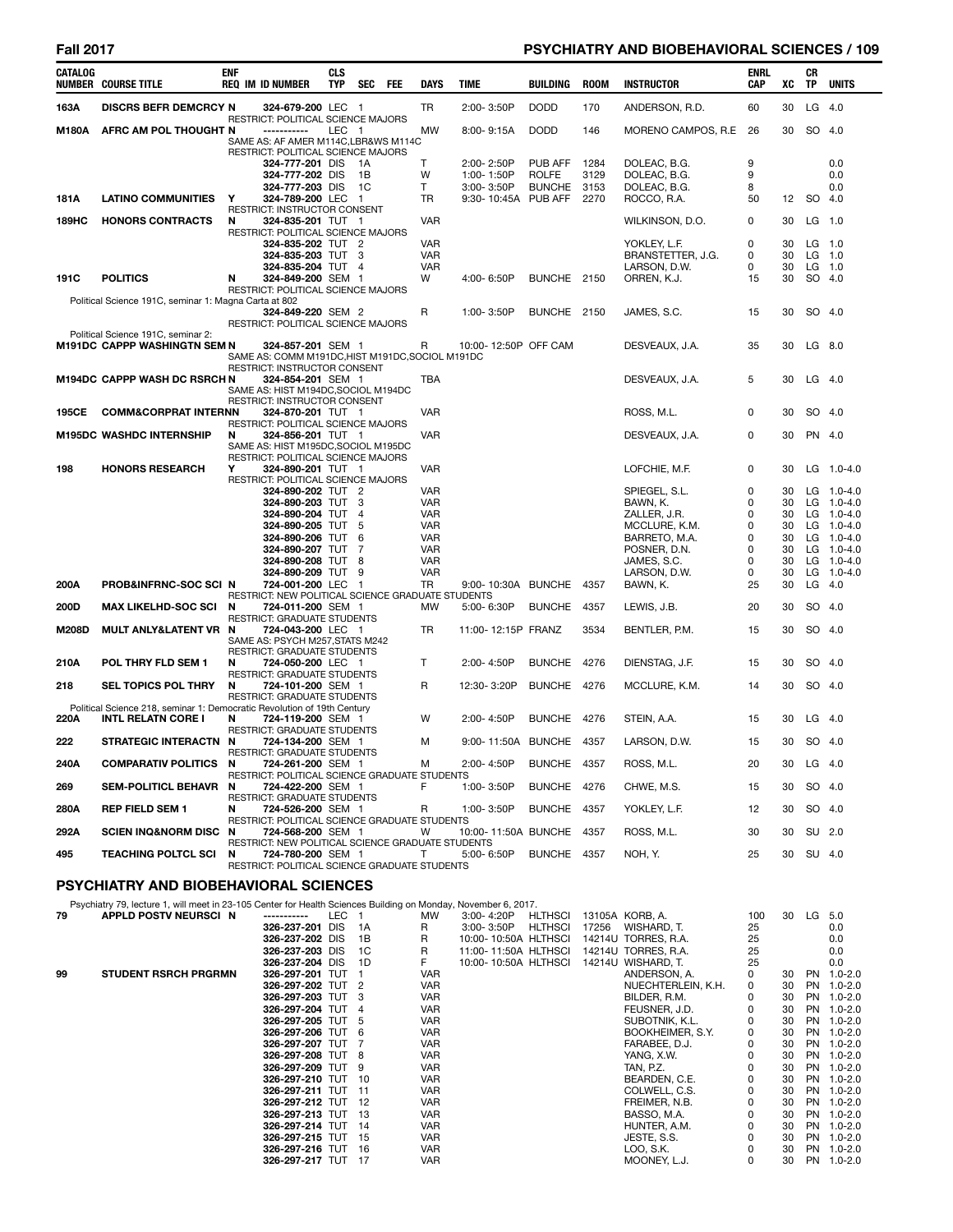# Fall 2017 **Fall 2017 PSYCHIATRY AND BIOBEHAVIORAL SCIENCES** / 109

| CATALOG | <b>NUMBER COURSE TITLE</b>                                                                            | <b>ENF</b> | <b>REQ IM ID NUMBER</b>                                                                                                                                            | <b>CLS</b><br><b>TYP</b> | <b>SEC</b>   | FEE | DAYS                                                 | <b>TIME</b>                                                           | <b>BUILDING</b>                          | <b>ROOM</b>                  | <b>INSTRUCTOR</b>                                                                                                          | ENRL<br><b>CAP</b>                   | xс                                           | CR<br>TP                             | <b>UNITS</b>                                                                                                 |
|---------|-------------------------------------------------------------------------------------------------------|------------|--------------------------------------------------------------------------------------------------------------------------------------------------------------------|--------------------------|--------------|-----|------------------------------------------------------|-----------------------------------------------------------------------|------------------------------------------|------------------------------|----------------------------------------------------------------------------------------------------------------------------|--------------------------------------|----------------------------------------------|--------------------------------------|--------------------------------------------------------------------------------------------------------------|
| 163A    | <b>DISCRS BEFR DEMCRCY N</b>                                                                          |            | 324-679-200 LEC 1                                                                                                                                                  |                          |              |     | TR                                                   | 2:00-3:50P                                                            | <b>DODD</b>                              | 170                          | ANDERSON, R.D.                                                                                                             | 60                                   | 30                                           | $LG$ 4.0                             |                                                                                                              |
| M180A   | AFRC AM POL THOUGHT N                                                                                 |            | RESTRICT: POLITICAL SCIENCE MAJORS<br>-----------<br>SAME AS: AF AMER M114C.LBR&WS M114C                                                                           | LEC 1                    |              |     | MW                                                   | $8:00 - 9:15A$                                                        | <b>DODD</b>                              | 146                          | MORENO CAMPOS, R.E                                                                                                         | 26                                   | 30                                           | SO 4.0                               |                                                                                                              |
| 181A    | <b>LATINO COMMUNITIES</b>                                                                             | Y          | RESTRICT: POLITICAL SCIENCE MAJORS<br>324-777-201 DIS<br>324-777-202 DIS<br>324-777-203 DIS 1C<br>324-789-200 LEC 1                                                |                          | - 1A<br>- 1B |     | т<br>W<br>T.<br>TR                                   | $2:00 - 2:50P$<br>1:00-1:50P<br>$3:00 - 3:50P$<br>9:30-10:45A PUB AFF | PUB AFF<br><b>ROLFE</b><br><b>BUNCHE</b> | 1284<br>3129<br>3153<br>2270 | DOLEAC, B.G.<br>DOLEAC, B.G.<br>DOLEAC, B.G.<br>ROCCO, R.A.                                                                | 9<br>9<br>8<br>50                    | 12                                           | SO 4.0                               | 0.0<br>0.0<br>0.0                                                                                            |
| 189HC   | <b>HONORS CONTRACTS</b>                                                                               | N          | RESTRICT: INSTRUCTOR CONSENT<br>324-835-201 TUT 1                                                                                                                  |                          |              |     | <b>VAR</b>                                           |                                                                       |                                          |                              | WILKINSON, D.O.                                                                                                            | 0                                    | 30                                           | $LG$ 1.0                             |                                                                                                              |
| 191C    | <b>POLITICS</b>                                                                                       | N          | RESTRICT: POLITICAL SCIENCE MAJORS<br>324-835-202 TUT 2<br>324-835-203 TUT 3<br>324-835-204 TUT 4<br>324-849-200 SEM 1                                             |                          |              |     | VAR<br>VAR<br><b>VAR</b><br>W                        | 4:00-6:50P                                                            | BUNCHE 2150                              |                              | YOKLEY, L.F.<br>BRANSTETTER, J.G.<br>LARSON, D.W.<br>ORREN, K.J.                                                           | 0<br>0<br>0<br>15                    | 30<br>30<br>30<br>30                         | $LG$ 1.0<br>$LG$ 1.0<br>LG<br>SO 4.0 | 1.0                                                                                                          |
|         | Political Science 191C, seminar 1: Magna Carta at 802                                                 |            | RESTRICT: POLITICAL SCIENCE MAJORS                                                                                                                                 |                          |              |     |                                                      |                                                                       |                                          |                              |                                                                                                                            |                                      |                                              |                                      |                                                                                                              |
|         |                                                                                                       |            | 324-849-220 SEM 2<br>RESTRICT: POLITICAL SCIENCE MAJORS                                                                                                            |                          |              |     | R                                                    | 1:00-3:50P                                                            | BUNCHE 2150                              |                              | JAMES, S.C.                                                                                                                | 15                                   | 30                                           | SO 4.0                               |                                                                                                              |
|         | Political Science 191C, seminar 2:<br><b>M191DC CAPPP WASHINGTN SEM N</b>                             |            | 324-857-201 SEM 1<br>SAME AS: COMM M191DC, HIST M191DC, SOCIOL M191DC<br>RESTRICT: INSTRUCTOR CONSENT                                                              |                          |              |     | R                                                    | 10:00-12:50P OFF CAM                                                  |                                          |                              | DESVEAUX, J.A.                                                                                                             | 35                                   | 30                                           | LG 8.0                               |                                                                                                              |
|         | M194DC CAPPP WASH DC RSRCH N                                                                          |            | 324-854-201 SEM 1<br>SAME AS: HIST M194DC, SOCIOL M194DC<br>RESTRICT: INSTRUCTOR CONSENT                                                                           |                          |              |     | TBA                                                  |                                                                       |                                          |                              | DESVEAUX, J.A.                                                                                                             | 5                                    | 30                                           | $LG$ 4.0                             |                                                                                                              |
| 195CE   | <b>COMM&amp;CORPRAT INTERNN</b>                                                                       |            | 324-870-201 TUT 1<br>RESTRICT: POLITICAL SCIENCE MAJORS                                                                                                            |                          |              |     | <b>VAR</b>                                           |                                                                       |                                          |                              | ROSS, M.L.                                                                                                                 | 0                                    | 30                                           | SO 4.0                               |                                                                                                              |
|         | <b>M195DC WASHDC INTERNSHIP</b>                                                                       | N          | 324-856-201 TUT 1<br>SAME AS: HIST M195DC.SOCIOL M195DC<br>RESTRICT: POLITICAL SCIENCE MAJORS                                                                      |                          |              |     | <b>VAR</b>                                           |                                                                       |                                          |                              | DESVEAUX, J.A.                                                                                                             | 0                                    | 30                                           | PN 4.0                               |                                                                                                              |
| 198     | <b>HONORS RESEARCH</b>                                                                                | Y          | 324-890-201 TUT 1<br>RESTRICT: POLITICAL SCIENCE MAJORS                                                                                                            |                          |              |     | <b>VAR</b>                                           |                                                                       |                                          |                              | LOFCHIE, M.F.                                                                                                              | 0                                    | 30                                           |                                      | $LG$ 1.0-4.0                                                                                                 |
|         |                                                                                                       |            | 324-890-202 TUT 2<br>324-890-203 TUT 3<br>324-890-204 TUT 4<br>324-890-205 TUT 5<br>324-890-206 TUT<br>324-890-207 TUT 7<br>324-890-208 TUT 8<br>324-890-209 TUT 9 |                          | -6           |     | VAR<br>VAR<br>VAR<br>VAR<br>VAR<br>VAR<br>VAR<br>VAR |                                                                       |                                          |                              | SPIEGEL, S.L.<br>BAWN, K.<br>ZALLER, J.R.<br>MCCLURE, K.M.<br>BARRETO, M.A.<br>POSNER, D.N.<br>JAMES, S.C.<br>LARSON, D.W. | 0<br>0<br>0<br>0<br>0<br>0<br>0<br>0 | 30<br>30<br>30<br>30<br>30<br>30<br>30<br>30 |                                      | LG 1.0-4.0<br>LG 1.0-4.0<br>LG 1.0-4.0<br>LG 1.0-4.0<br>LG 1.0-4.0<br>LG 1.0-4.0<br>LG 1.0-4.0<br>LG 1.0-4.0 |
| 200A    | <b>PROB&amp;INFRNC-SOC SCI N</b>                                                                      |            | 724-001-200 LEC 1<br>RESTRICT: NEW POLITICAL SCIENCE GRADUATE STUDENTS                                                                                             |                          |              |     | TR                                                   | 9:00-10:30A BUNCHE 4357                                               |                                          |                              | BAWN, K.                                                                                                                   | 25                                   | 30                                           | LG                                   | 4.0                                                                                                          |
| 200D    | <b>MAX LIKELHD-SOC SCI</b>                                                                            | N          | 724-011-200 SEM 1<br><b>RESTRICT: GRADUATE STUDENTS</b>                                                                                                            |                          |              |     | <b>MW</b>                                            | 5:00-6:30P                                                            | <b>BUNCHE</b>                            | 4357                         | LEWIS, J.B.                                                                                                                | 20                                   | 30                                           | SO 4.0                               |                                                                                                              |
| M208D   | <b>MULT ANLY&amp;LATENT VR</b>                                                                        | N          | 724-043-200 LEC 1<br>SAME AS: PSYCH M257, STATS M242<br><b>RESTRICT: GRADUATE STUDENTS</b>                                                                         |                          |              |     | TR                                                   | 11:00-12:15P FRANZ                                                    |                                          | 3534                         | BENTLER, P.M.                                                                                                              | 15                                   | 30                                           | SO 4.0                               |                                                                                                              |
| 210A    | POL THRY FLD SEM 1                                                                                    | N          | 724-050-200 LEC 1<br><b>RESTRICT: GRADUATE STUDENTS</b>                                                                                                            |                          |              |     | т                                                    | 2:00-4:50P                                                            | <b>BUNCHE</b>                            | 4276                         | DIENSTAG, J.F.                                                                                                             | 15                                   | 30                                           | SO 4.0                               |                                                                                                              |
| 218     | <b>SEL TOPICS POL THRY</b><br>Political Science 218, seminar 1: Democratic Revolution of 19th Century | N          | 724-101-200 SEM 1<br><b>RESTRICT: GRADUATE STUDENTS</b>                                                                                                            |                          |              |     | R                                                    | 12:30-3:20P                                                           | <b>BUNCHE</b>                            | 4276                         | MCCLURE, K.M.                                                                                                              | 14                                   | 30                                           | SO 4.0                               |                                                                                                              |
| 220A    | <b>INTL RELATN CORE I</b>                                                                             | N          | 724-119-200 SEM 1<br><b>RESTRICT: GRADUATE STUDENTS</b>                                                                                                            |                          |              |     | W                                                    | 2:00-4:50P                                                            | <b>BUNCHE</b>                            | 4276                         | STEIN, A.A.                                                                                                                | 15                                   | 30                                           | $LG$ 4.0                             |                                                                                                              |
| 222     | <b>STRATEGIC INTERACTN</b>                                                                            | N          | 724-134-200 SEM 1<br>RESTRICT: GRADUATE STUDENTS                                                                                                                   |                          |              |     | м                                                    | 9:00-11:50A BUNCHE 4357                                               |                                          |                              | LARSON, D.W.                                                                                                               | 15                                   | 30                                           | SO 4.0                               |                                                                                                              |
| 240A    | <b>COMPARATIV POLITICS N</b>                                                                          |            | 724-261-200 SEM 1<br>RESTRICT: POLITICAL SCIENCE GRADUATE STUDENTS                                                                                                 |                          |              |     | M                                                    | 2:00-4:50P                                                            | BUNCHE 4357                              |                              | ROSS, M.L.                                                                                                                 | 20                                   | 30                                           | LG 4.0                               |                                                                                                              |
| 269     | SEM-POLITICL BEHAVR N                                                                                 |            | 724-422-200 SEM 1<br><b>RESTRICT: GRADUATE STUDENTS</b>                                                                                                            |                          |              |     | F.                                                   | 1:00-3:50P                                                            | BUNCHE 4276                              |                              | CHWE, M.S.                                                                                                                 | 15                                   | 30                                           | SO 4.0                               |                                                                                                              |
| 280A    | <b>REP FIELD SEM 1</b>                                                                                | N          | 724-526-200 SEM 1<br>RESTRICT: POLITICAL SCIENCE GRADUATE STUDENTS                                                                                                 |                          |              |     | R                                                    | 1:00-3:50P                                                            | BUNCHE 4357                              |                              | YOKLEY, L.F.                                                                                                               | 12                                   | 30                                           | SO 4.0                               |                                                                                                              |
| 292A    | SCIEN INQ&NORM DISC N                                                                                 |            | 724-568-200 SEM 1<br>RESTRICT: NEW POLITICAL SCIENCE GRADUATE STUDENTS                                                                                             |                          |              |     | W                                                    | 10:00-11:50A BUNCHE 4357                                              |                                          |                              | ROSS, M.L.                                                                                                                 | 30                                   |                                              | 30 SU 2.0                            |                                                                                                              |
| 495     | <b>TEACHING POLTCL SCI</b>                                                                            | N          | 724-780-200 SEM 1<br>RESTRICT: POLITICAL SCIENCE GRADUATE STUDENTS                                                                                                 |                          |              |     | T                                                    | 5:00-6:50P                                                            | BUNCHE 4357                              |                              | NOH, Y.                                                                                                                    | 25                                   |                                              | 30 SU 4.0                            |                                                                                                              |
|         | 11150000011110001100000<br><b>DOVALUATOV</b>                                                          |            |                                                                                                                                                                    |                          |              |     |                                                      |                                                                       |                                          |                              |                                                                                                                            |                                      |                                              |                                      |                                                                                                              |

### **PSYCHIATRY AND BIOBEHAVIORAL SCIENCES**

|    | Psychiatry 79, lecture 1, will meet in 23-105 Center for Health Sciences Building on Monday, November 6, 2017.<br>13105A KORB, A.<br>----------- |                 |            |     |            |                      |                |        |                     |     |    |           |             |  |
|----|--------------------------------------------------------------------------------------------------------------------------------------------------|-----------------|------------|-----|------------|----------------------|----------------|--------|---------------------|-----|----|-----------|-------------|--|
| 79 | <b>APPLD POSTV NEURSCI N</b>                                                                                                                     |                 | <b>LEC</b> |     | <b>MW</b>  | 3:00-4:20P           | <b>HLTHSCI</b> |        |                     | 100 | 30 | LG        | 5.0         |  |
|    |                                                                                                                                                  | 326-237-201 DIS |            | 1A  | R          | 3:00-3:50P           | <b>HLTHSCI</b> | 17256  | WISHARD. T.         | 25  |    |           | 0.0         |  |
|    |                                                                                                                                                  | 326-237-202 DIS |            | 1B  | R          | 10:00-10:50A HLTHSCI |                |        | 14214U TORRES, R.A. | 25  |    |           | 0.0         |  |
|    |                                                                                                                                                  | 326-237-203 DIS |            | 1C  | R          | 11:00-11:50A HLTHSCI |                |        | 14214U TORRES, R.A. | 25  |    |           | 0.0         |  |
|    |                                                                                                                                                  | 326-237-204 DIS |            | 1D  | F          | 10:00-10:50A HLTHSCI |                | 14214U | WISHARD, T.         | 25  |    |           | 0.0         |  |
| 99 | <b>STUDENT RSRCH PRGRMN</b>                                                                                                                      | 326-297-201 TUT |            |     | <b>VAR</b> |                      |                |        | ANDERSON, A.        | 0   | 30 | <b>PN</b> | $1.0 - 2.0$ |  |
|    |                                                                                                                                                  | 326-297-202 TUT |            |     | <b>VAR</b> |                      |                |        | NUECHTERLEIN, K.H.  | 0   | 30 | <b>PN</b> | $1.0 - 2.0$ |  |
|    |                                                                                                                                                  | 326-297-203 TUT |            | 3   | <b>VAR</b> |                      |                |        | BILDER, R.M.        | 0   | 30 | <b>PN</b> | $1.0 - 2.0$ |  |
|    |                                                                                                                                                  | 326-297-204 TUT |            | 4   | <b>VAR</b> |                      |                |        | FEUSNER, J.D.       | 0   | 30 | <b>PN</b> | $1.0 - 2.0$ |  |
|    |                                                                                                                                                  | 326-297-205 TUT |            | -5  | <b>VAR</b> |                      |                |        | SUBOTNIK, K.L.      | 0   | 30 | <b>PN</b> | $1.0 - 2.0$ |  |
|    |                                                                                                                                                  | 326-297-206 TUT |            | 6   | <b>VAR</b> |                      |                |        | BOOKHEIMER, S.Y.    | 0   | 30 | PN        | $1.0 - 2.0$ |  |
|    |                                                                                                                                                  | 326-297-207 TUT |            |     | <b>VAR</b> |                      |                |        | FARABEE, D.J.       | 0   | 30 | PN        | $1.0 - 2.0$ |  |
|    |                                                                                                                                                  | 326-297-208 TUT |            | 8   | <b>VAR</b> |                      |                |        | YANG. X.W.          | 0   | 30 | <b>PN</b> | $1.0 - 2.0$ |  |
|    |                                                                                                                                                  | 326-297-209 TUT |            | -9  | <b>VAR</b> |                      |                |        | TAN, P.Z.           | 0   | 30 | <b>PN</b> | $1.0 - 2.0$ |  |
|    |                                                                                                                                                  | 326-297-210 TUT |            | 10  | <b>VAR</b> |                      |                |        | BEARDEN, C.E.       | 0   | 30 | <b>PN</b> | $1.0 - 2.0$ |  |
|    |                                                                                                                                                  | 326-297-211 TUT |            |     | <b>VAR</b> |                      |                |        | COLWELL, C.S.       | 0   | 30 | <b>PN</b> | $1.0 - 2.0$ |  |
|    |                                                                                                                                                  | 326-297-212 TUT |            | 12  | <b>VAR</b> |                      |                |        | FREIMER, N.B.       | 0   | 30 | PN        | $1.0 - 2.0$ |  |
|    |                                                                                                                                                  | 326-297-213 TUT |            | 13  | <b>VAR</b> |                      |                |        | BASSO, M.A.         | 0   | 30 | <b>PN</b> | $1.0 - 2.0$ |  |
|    |                                                                                                                                                  | 326-297-214 TUT |            | 14  | <b>VAR</b> |                      |                |        | HUNTER, A.M.        | 0   | 30 | <b>PN</b> | $1.0 - 2.0$ |  |
|    |                                                                                                                                                  | 326-297-215 TUT |            | 15  | <b>VAR</b> |                      |                |        | JESTE, S.S.         | 0   | 30 | <b>PN</b> | $1.0 - 2.0$ |  |
|    |                                                                                                                                                  | 326-297-216 TUT |            | 16  | <b>VAR</b> |                      |                |        | LOO, S.K.           | 0   | 30 | <b>PN</b> | $1.0 - 2.0$ |  |
|    |                                                                                                                                                  | 326-297-217 TUT |            | -17 | <b>VAR</b> |                      |                |        | MOONEY, L.J.        | 0   | 30 | PN        | $1.0 - 2.0$ |  |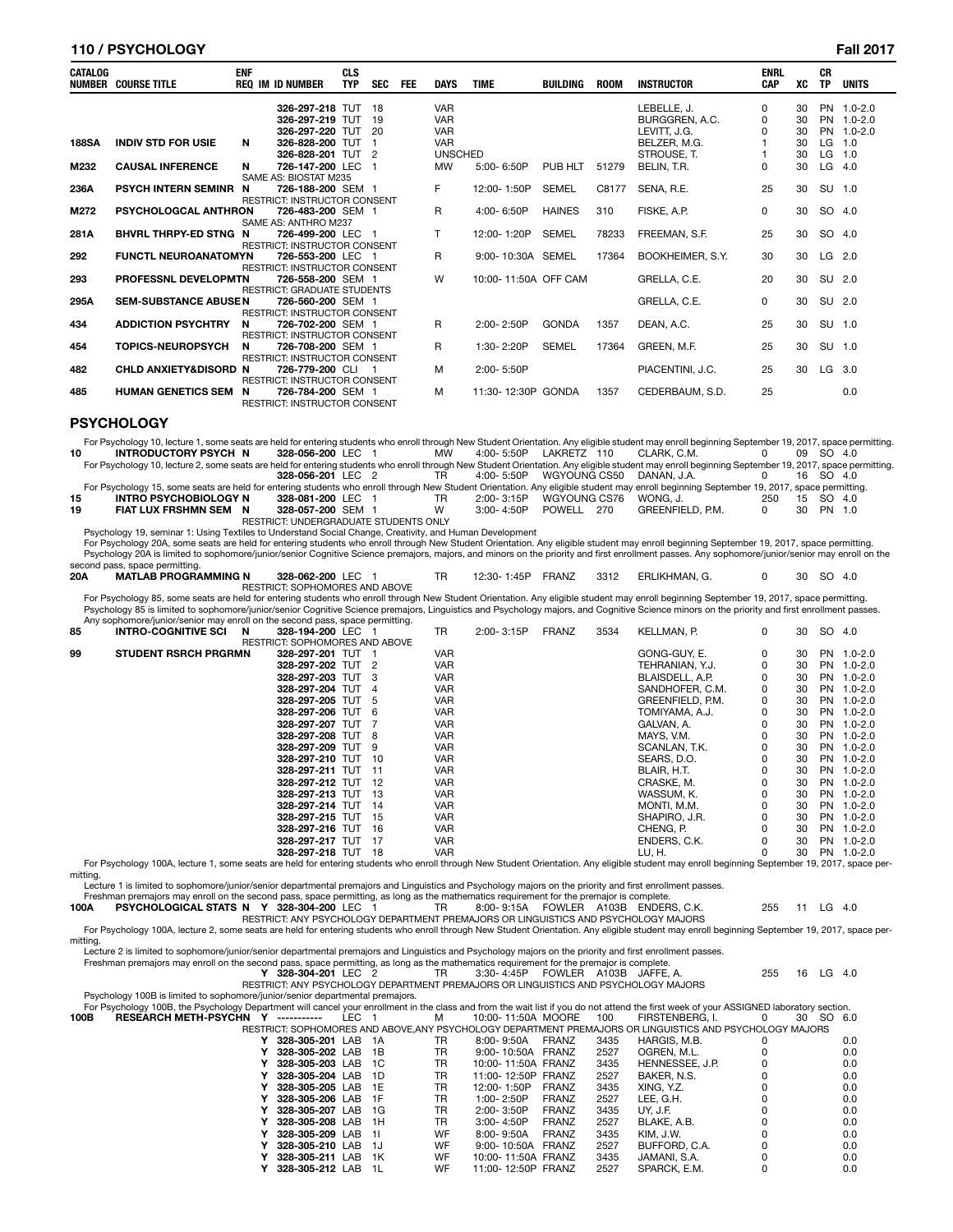# **110 / PSYCHOLOGY Fall 2017**

| <b>CATALOG</b> | <b>NUMBER COURSE TITLE</b>       | <b>ENF</b> | <b>REQ IM ID NUMBER</b>                                                             | <b>CLS</b><br><b>TYP</b> | <b>SEC</b> | <b>FEE</b> | <b>DAYS</b>                                          | <b>TIME</b>          | <b>BUILDING</b> | <b>ROOM</b> | <b>INSTRUCTOR</b>                                             | <b>ENRL</b><br><b>CAP</b> | XC                   | <b>CR</b><br><b>TP</b> | <b>UNITS</b>                                  |
|----------------|----------------------------------|------------|-------------------------------------------------------------------------------------|--------------------------|------------|------------|------------------------------------------------------|----------------------|-----------------|-------------|---------------------------------------------------------------|---------------------------|----------------------|------------------------|-----------------------------------------------|
| <b>188SA</b>   | <b>INDIV STD FOR USIE</b>        | N          | 326-297-218 TUT 18<br>326-297-219 TUT 19<br>326-297-220 TUT 20<br>326-828-200 TUT 1 |                          |            |            | <b>VAR</b><br><b>VAR</b><br><b>VAR</b><br><b>VAR</b> |                      |                 |             | LEBELLE, J.<br>BURGGREN, A.C.<br>LEVITT, J.G.<br>BELZER, M.G. | $\Omega$<br>0<br>$\Omega$ | 30<br>30<br>30<br>30 | LG                     | PN 1.0-2.0<br>PN 1.0-2.0<br>PN 1.0-2.0<br>1.0 |
|                |                                  |            | 326-828-201 TUT 2                                                                   |                          |            |            | <b>UNSCHED</b>                                       |                      |                 |             | STROUSE, T.                                                   |                           | 30                   | $LG$ 1.0               |                                               |
| M232           | <b>CAUSAL INFERENCE</b>          | N          | 726-147-200 LEC 1<br>SAME AS: BIOSTAT M235                                          |                          |            |            | <b>MW</b>                                            | 5:00-6:50P           | PUB HLT         | 51279       | BELIN. T.R.                                                   | 0                         | 30                   | LG                     | 4.0                                           |
| 236A           | <b>PSYCH INTERN SEMINR</b>       | N          | 726-188-200 SEM 1<br><b>RESTRICT: INSTRUCTOR CONSENT</b>                            |                          |            |            | F                                                    | 12:00-1:50P          | <b>SEMEL</b>    | C8177       | SENA, R.E.                                                    | 25                        | 30                   | SU 1.0                 |                                               |
| M272           | <b>PSYCHOLOGCAL ANTHRON</b>      |            | 726-483-200 SEM 1<br>SAME AS: ANTHRO M237                                           |                          |            |            | R.                                                   | $4:00 - 6:50P$       | <b>HAINES</b>   | 310         | FISKE, A.P.                                                   | $\Omega$                  | 30                   | SO 4.0                 |                                               |
| 281A           | BHVRL THRPY-ED STNG N            |            | 726-499-200 LEC 1<br><b>RESTRICT: INSTRUCTOR CONSENT</b>                            |                          |            |            | T                                                    | 12:00-1:20P          | <b>SEMEL</b>    | 78233       | FREEMAN, S.F.                                                 | 25                        | 30                   | SO 4.0                 |                                               |
| 292            | <b>FUNCTL NEUROANATOMYN</b>      |            | 726-553-200 LEC 1<br><b>RESTRICT: INSTRUCTOR CONSENT</b>                            |                          |            |            | R                                                    | 9:00-10:30A SEMEL    |                 | 17364       | BOOKHEIMER, S.Y.                                              | 30                        | 30                   | LG 2.0                 |                                               |
| 293            | PROFESSNL DEVELOPMTN             |            | 726-558-200 SEM 1<br><b>RESTRICT: GRADUATE STUDENTS</b>                             |                          |            |            | W                                                    | 10:00-11:50A OFF CAM |                 |             | GRELLA, C.E.                                                  | 20                        | 30                   | SU 2.0                 |                                               |
| 295A           | <b>SEM-SUBSTANCE ABUSEN</b>      |            | 726-560-200 SEM 1<br><b>RESTRICT: INSTRUCTOR CONSENT</b>                            |                          |            |            |                                                      |                      |                 |             | GRELLA, C.E.                                                  | 0                         | 30                   | SU 2.0                 |                                               |
| 434            | <b>ADDICTION PSYCHTRY</b>        | N          | 726-702-200 SEM 1<br><b>RESTRICT: INSTRUCTOR CONSENT</b>                            |                          |            |            | $\mathsf{R}$                                         | $2:00 - 2:50P$       | <b>GONDA</b>    | 1357        | DEAN, A.C.                                                    | 25                        | 30                   | SU 1.0                 |                                               |
| 454            | <b>TOPICS-NEUROPSYCH</b>         | N          | 726-708-200 SEM 1<br><b>RESTRICT: INSTRUCTOR CONSENT</b>                            |                          |            |            | R.                                                   | 1:30-2:20P           | <b>SEMEL</b>    | 17364       | GREEN, M.F.                                                   | 25                        | 30                   | SU 1.0                 |                                               |
| 482            | <b>CHLD ANXIETY&amp;DISORD N</b> |            | 726-779-200 CLI 1<br><b>RESTRICT: INSTRUCTOR CONSENT</b>                            |                          |            |            | м                                                    | 2:00-5:50P           |                 |             | PIACENTINI, J.C.                                              | 25                        | 30                   | LG                     | 3.0                                           |
| 485            | <b>HUMAN GENETICS SEM</b>        | N          | 726-784-200 SEM 1<br><b>RESTRICT: INSTRUCTOR CONSENT</b>                            |                          |            |            | м                                                    | 11:30-12:30P GONDA   |                 | 1357        | CEDERBAUM, S.D.                                               | 25                        |                      |                        | 0.0                                           |

### **PSYCHOLOGY**

For Psychology 10, lecture 1, some seats are held for entering students who enroll through New Student Orientation. Any eligible student may enroll beginning September 19, 2017, space permitting. 10 INTRODUCTORY PSYCH N 328-056-200 LEC 1 MW 4:00-5:50P LAKRETZ 110 CLARK, C.M. 00 09 SO 4.0<br>- For Psychology 10, lecture 2, some seats are held for entering students who enroll through New Student Orientation. Any eligibl **328-056-201** LEC 2 TR 4:00-5:50P WGYOUNG CS50 DANAN LA <sup>2</sup> 0 16 SO 4C

|    |                                                                                                                                                                                          | $320 - 0.00 - 201$ LEU $\ell$ | $\overline{a}$ |             | 4.00- J.JUF WATOUNG COJU | DAINAIN. J.A.    |               | 10 OU 4.0 |           |  |
|----|------------------------------------------------------------------------------------------------------------------------------------------------------------------------------------------|-------------------------------|----------------|-------------|--------------------------|------------------|---------------|-----------|-----------|--|
|    | For Psychology 15, some seats are held for entering students who enroll through New Student Orientation. Any eligible student may enroll beginning September 19, 2017, space permitting. |                               |                |             |                          |                  |               |           |           |  |
|    | INTRO PSYCHOBIOLOGY N                                                                                                                                                                    | 328-081-200 LEC 1             |                | 2:00-3:15P  | WGYOUNG CS76             | WONG. J.         | 250 15 SO 4.0 |           |           |  |
| 19 | FIAT LUX FRSHMN SEM                                                                                                                                                                      | 328-057-200 SEM 1             |                | 3:00- 4:50P | POWELL 270               | GREENFIELD, P.M. |               |           | 30 PN 1.0 |  |
|    |                                                                                                                                                                                          |                               |                |             |                          |                  |               |           |           |  |

RESTRICT: UNDERGRADUATE STUDENTS ONLY

Psychology 19, seminar 1: Using Textiles to Understand Social Change, Creativity, and Human Development For Psychology 20A, some seats are held for entering students who enroll through New Student Orientation. Any eligible student may enroll beginning September 19, 2017, space permitting.<br>Psychology 20A is limited to sophomo second pass, space permitting.

|     | sooona pass, space permitting. |                                |                          |      |               |    |     |     |
|-----|--------------------------------|--------------------------------|--------------------------|------|---------------|----|-----|-----|
| 20A | <b>MATLAB PROGRAMMING N</b>    | 328-062-200 LEC                | FRANZ<br>1:45P<br>12:30- | 3312 | ERLIKHMAN. G. | 30 | SO. | 4.0 |
|     |                                | RESTRICT: SOPHOMORES AND ABOVE |                          |      |               |    |     |     |

RESTRICT: SOPHOMORES AND ABOVE<br>For Psychology 85, some seats are held for entering students who enroll through New Student Orientation. Any eligible student may enroll beginning September 19, 2017, space permitting.<br>Psycho

|    | Any sophomore/junior/senior may enroll on the second pass, space permitting. |                                |  |            |            |              |      |                  |   |    |        |             |
|----|------------------------------------------------------------------------------|--------------------------------|--|------------|------------|--------------|------|------------------|---|----|--------|-------------|
| 85 | <b>INTRO-COGNITIVE SCI</b><br>N                                              | 328-194-200 LEC 1              |  | TR         | 2:00-3:15P | <b>FRANZ</b> | 3534 | KELLMAN, P.      | 0 | 30 | SO 4.0 |             |
|    |                                                                              | RESTRICT: SOPHOMORES AND ABOVE |  |            |            |              |      |                  |   |    |        |             |
| 99 | <b>STUDENT RSRCH PRGRMN</b>                                                  | 328-297-201 TUT 1              |  | <b>VAR</b> |            |              |      | GONG-GUY, E.     | 0 | 30 |        | PN 1.0-2.0  |
|    |                                                                              | 328-297-202 TUT 2              |  | <b>VAR</b> |            |              |      | TEHRANIAN. Y.J.  | 0 | 30 |        | PN 1.0-2.0  |
|    |                                                                              | 328-297-203 TUT 3              |  | <b>VAR</b> |            |              |      | BLAISDELL, A.P.  | 0 | 30 |        | PN 1.0-2.0  |
|    |                                                                              | 328-297-204 TUT 4              |  | <b>VAR</b> |            |              |      | SANDHOFER, C.M.  | 0 | 30 |        | PN 1.0-2.0  |
|    |                                                                              | 328-297-205 TUT 5              |  | <b>VAR</b> |            |              |      | GREENFIELD, P.M. | 0 | 30 |        | PN 1.0-2.0  |
|    |                                                                              | 328-297-206 TUT 6              |  | <b>VAR</b> |            |              |      | TOMIYAMA, A.J.   | 0 | 30 |        | PN 1.0-2.0  |
|    |                                                                              | 328-297-207 TUT 7              |  | <b>VAR</b> |            |              |      | GALVAN, A.       |   | 30 |        | PN 1.0-2.0  |
|    |                                                                              | 328-297-208 TUT 8              |  | <b>VAR</b> |            |              |      | MAYS, V.M.       | 0 | 30 |        | PN 1.0-2.0  |
|    |                                                                              | 328-297-209 TUT 9              |  | <b>VAR</b> |            |              |      | SCANLAN, T.K.    | 0 | 30 |        | PN 1.0-2.0  |
|    |                                                                              | 328-297-210 TUT 10             |  | <b>VAR</b> |            |              |      | SEARS, D.O.      | 0 | 30 | PN     | $1.0 - 2.0$ |
|    |                                                                              | 328-297-211 TUT 11             |  | <b>VAR</b> |            |              |      | BLAIR, H.T.      | 0 | 30 |        | PN 1.0-2.0  |
|    |                                                                              | 328-297-212 TUT 12             |  | <b>VAR</b> |            |              |      | CRASKE, M.       |   | 30 |        | PN 1.0-2.0  |
|    |                                                                              | 328-297-213 TUT 13             |  | <b>VAR</b> |            |              |      | WASSUM. K.       | 0 | 30 |        | PN 1.0-2.0  |
|    |                                                                              | 328-297-214 TUT 14             |  | <b>VAR</b> |            |              |      | MONTI, M.M.      | 0 | 30 |        | PN 1.0-2.0  |
|    |                                                                              | 328-297-215 TUT 15             |  | <b>VAR</b> |            |              |      | SHAPIRO, J.R.    | 0 | 30 | PN     | $1.0 - 2.0$ |
|    |                                                                              | 328-297-216 TUT 16             |  | <b>VAR</b> |            |              |      | CHENG, P.        | 0 | 30 |        | PN 1.0-2.0  |
|    |                                                                              | 328-297-217 TUT 17             |  | <b>VAR</b> |            |              |      | ENDERS, C.K.     | 0 | 30 |        | PN 1.0-2.0  |
|    |                                                                              | 328-297-218 TUT 18             |  | <b>VAR</b> |            |              |      | LU. H.           |   | 30 |        | PN 1.0-2.0  |

1.0-2.0 0 30 PN 1.0-2.0<br>For Psychology 100A, lecture 1, some seats are held for entering students who enroll through New Student Orientation. Any eligible student may enroll beginning September 19, 2017, space permitting.

Lecture 1 is limited to sophomore/junior/senior departmental premajors and Linguistics and Psychology majors on the priority and first enrollment passes.

Freshman premajors may enroll on the second pass, space permitting, as long as the mathematics requirement for the premajor is complete.<br>1908 **PSYCHOLOGICAL STATS N Y 328-304-200** LEC 1 TR 8:00-9:15A FOWLER A103B ENDERS, C

RESTRICT: ANY PSYCHOLOGY DEPARTMENT PREMAJORS OR LINGUISTICS AND PSYCHOLOGY MAJORS For Psychology 100A, lecture 2, some seats are held for entering students who enroll through New Student Orientation. Any eligible student may enroll beginning September 19, 2017, space permitting.

Lecture 2 is limited to sophomore/junior/senior departmental premajors and Linguistics and Psychology majors on the priority and first enrollment passes.

Freshman premajors may enroll on the second pass, space permitting, as long as the mathematics requirement for the premajor is complete.<br>**Y 328-304-201** LEC 2 TR 3:30-4:45P FOWLER A103B JAFFE, A. 255 16 LG 4.0

RESTRICT: ANY PSYCHOLOGY DEPARTMENT PREMAJORS OR LINGUISTICS AND PSYCHOLOGY MAJORS

Psychology 100B is limited to sophomore/junior/senior departmental premajors.<br>For Psychology 100B, the Psychology Department will cancel your enrollment in the class and from the wait list if you do not attend the first we

|                    |           |                    |              |      |                 | RESTRICT: SOPHOMORES AND ABOVE.ANY PSYCHOLOGY DEPARTMENT PREMAJORS OR LINGUISTICS AND PSYCHOLOGY MAJORS |     |
|--------------------|-----------|--------------------|--------------|------|-----------------|---------------------------------------------------------------------------------------------------------|-----|
| 328-305-201 LAB 1A | TR.       | 8:00-9:50A         | <b>FRANZ</b> | 3435 | HARGIS, M.B.    |                                                                                                         | 0.0 |
| 328-305-202 LAB 1B | TR.       | 9:00-10:50A FRANZ  |              | 2527 | OGREN. M.L.     |                                                                                                         | 0.0 |
| 328-305-203 LAB 1C | TR        | 10:00-11:50A FRANZ |              | 3435 | HENNESSEE, J.P. |                                                                                                         | 0.0 |
| 328-305-204 LAB 1D | TR        | 11:00-12:50P FRANZ |              | 2527 | BAKER, N.S.     |                                                                                                         | 0.0 |
| 328-305-205 LAB 1E | TR.       | 12:00-1:50P        | FRANZ        | 3435 | XING. Y.Z.      |                                                                                                         | 0.0 |
| 328-305-206 LAB 1F | TR        | $1:00 - 2:50P$     | <b>FRANZ</b> | 2527 | LEE. G.H.       |                                                                                                         | 0.0 |
| 328-305-207 LAB 1G | TR.       | 2:00-3:50P         | <b>FRANZ</b> | 3435 | UY. J.F.        |                                                                                                         | 0.0 |
| 328-305-208 LAB 1H | TR        | 3:00-4:50P         | <b>FRANZ</b> | 2527 | BLAKE, A.B.     |                                                                                                         | 0.0 |
| 328-305-209 LAB 11 | <b>WF</b> | 8:00-9:50A         | <b>FRANZ</b> | 3435 | KIM. J.W.       |                                                                                                         | 0.0 |
| 328-305-210 LAB 1J | <b>WF</b> | 9:00-10:50A FRANZ  |              | 2527 | BUFFORD, C.A.   |                                                                                                         | 0.0 |
| 328-305-211 LAB 1K | <b>WF</b> | 10:00-11:50A FRANZ |              | 3435 | JAMANI. S.A.    |                                                                                                         | 0.0 |
| 328-305-212 LAB 1L | <b>WF</b> | 11:00-12:50P FRANZ |              | 2527 | SPARCK, E.M.    |                                                                                                         | 0.0 |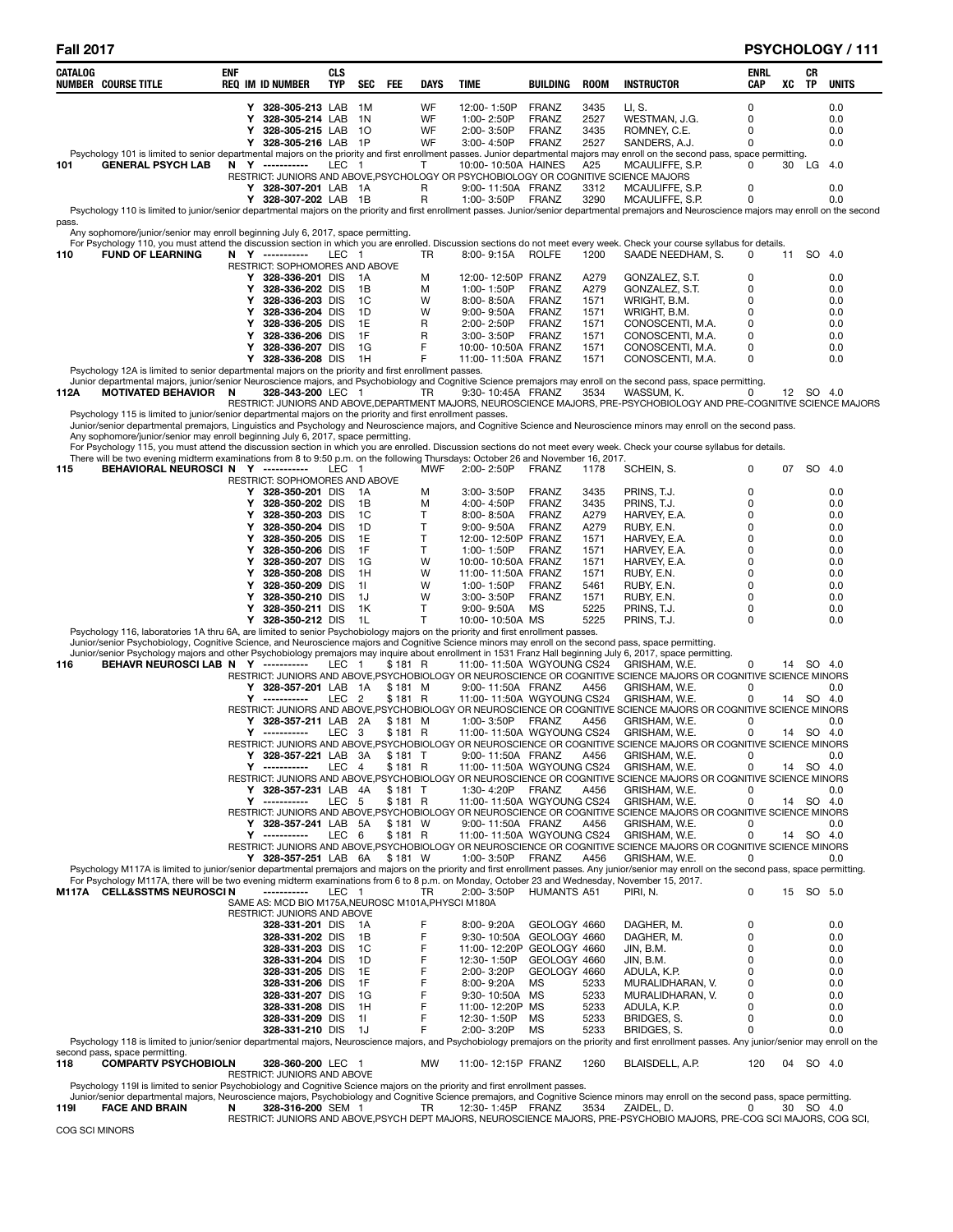# **Fall 2017 PSYCHOLOGY / 111**

| CATALOG | <b>NUMBER COURSE TITLE</b>                                                                                                                                                                         | ENF | <b>REQ IM ID NUMBER</b>                             | CLS<br>TYP       | SEC            | FEE                | DAYS         | TIME                                           | BUILDING                     | <b>ROOM</b>  | <b>INSTRUCTOR</b>                                                                                                                   | ENRL<br>CAP   | XC | CR<br>TP  | <b>UNITS</b> |
|---------|----------------------------------------------------------------------------------------------------------------------------------------------------------------------------------------------------|-----|-----------------------------------------------------|------------------|----------------|--------------------|--------------|------------------------------------------------|------------------------------|--------------|-------------------------------------------------------------------------------------------------------------------------------------|---------------|----|-----------|--------------|
|         |                                                                                                                                                                                                    |     | Y 328-305-213 LAB                                   |                  |                |                    | WF           | 12:00-1:50P                                    |                              | 3435         | LI, S.                                                                                                                              | 0             |    |           | 0.0          |
|         |                                                                                                                                                                                                    |     | 328-305-214 LAB<br>Υ                                |                  | 1M<br>1 N      |                    | WF           | 1:00-2:50P                                     | <b>FRANZ</b><br><b>FRANZ</b> | 2527         | WESTMAN, J.G.                                                                                                                       | 0             |    |           | 0.0          |
|         |                                                                                                                                                                                                    |     | Υ<br>328-305-215 LAB                                |                  | -10            |                    | WF           | 2:00-3:50P                                     | <b>FRANZ</b>                 | 3435         | ROMNEY, C.E.                                                                                                                        | 0             |    |           | 0.0          |
|         |                                                                                                                                                                                                    |     | 328-305-216 LAB 1P<br>Y                             |                  |                |                    | WF           | 3:00-4:50P                                     | FRANZ                        | 2527         | SANDERS, A.J.                                                                                                                       | 0             |    |           | 0.0          |
|         | Psychology 101 is limited to senior departmental majors on the priority and first enrollment passes. Junior departmental majors may enroll on the second pass, space permitting.                   |     |                                                     |                  |                |                    |              |                                                |                              |              |                                                                                                                                     |               |    |           |              |
| 101     | <b>GENERAL PSYCH LAB</b>                                                                                                                                                                           |     | N Y ----------                                      | LEC 1            |                |                    | Т            | 10:00-10:50A HAINES                            |                              | A25          | MCAULIFFE, S.P.<br>RESTRICT: JUNIORS AND ABOVE, PSYCHOLOGY OR PSYCHOBIOLOGY OR COGNITIVE SCIENCE MAJORS                             | 0             | 30 | LG        | -4.0         |
|         |                                                                                                                                                                                                    |     | Y 328-307-201 LAB 1A                                |                  |                |                    | R            | 9:00-11:50A FRANZ                              |                              | 3312         | MCAULIFFE, S.P.                                                                                                                     | 0             |    |           | 0.0          |
|         |                                                                                                                                                                                                    |     | Y<br>328-307-202 LAB 1B                             |                  |                |                    | $\mathsf{R}$ | 1:00-3:50P                                     | FRANZ                        | 3290         | MCAULIFFE, S.P.                                                                                                                     | 0             |    |           | 0.0          |
|         | Psychology 110 is limited to junior/senior departmental majors on the priority and first enrollment passes. Junior/senior departmental premajors and Neuroscience majors may enroll on the second  |     |                                                     |                  |                |                    |              |                                                |                              |              |                                                                                                                                     |               |    |           |              |
| pass.   | Any sophomore/junior/senior may enroll beginning July 6, 2017, space permitting.                                                                                                                   |     |                                                     |                  |                |                    |              |                                                |                              |              |                                                                                                                                     |               |    |           |              |
|         | For Psychology 110, you must attend the discussion section in which you are enrolled. Discussion sections do not meet every week. Check your course syllabus for details.                          |     |                                                     |                  |                |                    |              |                                                |                              |              |                                                                                                                                     |               |    |           |              |
| 110     | <b>FUND OF LEARNING</b>                                                                                                                                                                            |     | N Y ----------                                      | LEC 1            |                |                    | TR           | 8:00-9:15A                                     | <b>ROLFE</b>                 | 1200         | SAADE NEEDHAM, S.                                                                                                                   | 0             | 11 | SO 4.0    |              |
|         |                                                                                                                                                                                                    |     | RESTRICT: SOPHOMORES AND ABOVE                      |                  |                |                    |              |                                                |                              |              |                                                                                                                                     |               |    |           |              |
|         |                                                                                                                                                                                                    |     | Y 328-336-201 DIS<br>328-336-202 DIS<br>Y           |                  | - 1A<br>1B     |                    | М<br>м       | 12:00-12:50P FRANZ<br>1:00-1:50P               | <b>FRANZ</b>                 | A279<br>A279 | GONZALEZ, S.T.<br>GONZALEZ, S.T.                                                                                                    | $\Omega$<br>0 |    |           | 0.0<br>0.0   |
|         |                                                                                                                                                                                                    |     | 328-336-203 DIS<br>Y                                |                  | 1C             |                    | W            | $8:00 - 8:50A$                                 | <b>FRANZ</b>                 | 1571         | WRIGHT, B.M.                                                                                                                        | $\Omega$      |    |           | 0.0          |
|         |                                                                                                                                                                                                    |     | 328-336-204 DIS<br>Y                                |                  | 1D             |                    | W            | $9:00 - 9:50A$                                 | <b>FRANZ</b>                 | 1571         | WRIGHT, B.M.                                                                                                                        | 0             |    |           | 0.0          |
|         |                                                                                                                                                                                                    |     | 328-336-205 DIS<br>Υ                                |                  | 1E             |                    | R            | 2:00-2:50P                                     | <b>FRANZ</b>                 | 1571         | CONOSCENTI, M.A.                                                                                                                    | 0             |    |           | 0.0          |
|         |                                                                                                                                                                                                    |     | 328-336-206 DIS<br>Y                                |                  | 1F             |                    | R            | 3:00-3:50P                                     | <b>FRANZ</b>                 | 1571         | CONOSCENTI, M.A.                                                                                                                    | 0             |    |           | 0.0          |
|         |                                                                                                                                                                                                    |     | 328-336-207 DIS<br>Y<br>Y 328-336-208 DIS           |                  | 1G<br>- 1H     |                    | F<br>F       | 10:00-10:50A FRANZ<br>11:00-11:50A FRANZ       |                              | 1571<br>1571 | CONOSCENTI, M.A.<br>CONOSCENTI, M.A.                                                                                                | $\Omega$<br>0 |    |           | 0.0<br>0.0   |
|         | Psychology 12A is limited to senior departmental majors on the priority and first enrollment passes.                                                                                               |     |                                                     |                  |                |                    |              |                                                |                              |              |                                                                                                                                     |               |    |           |              |
|         | Junior departmental majors, junior/senior Neuroscience majors, and Psychobiology and Cognitive Science premajors may enroll on the second pass, space permitting.                                  |     |                                                     |                  |                |                    |              |                                                |                              |              |                                                                                                                                     |               |    |           |              |
| 112A    | MOTIVATED BEHAVIOR N                                                                                                                                                                               |     | 328-343-200 LEC 1                                   |                  |                |                    | TR           | 9:30-10:45A FRANZ                              |                              | 3534         | WASSUM, K.                                                                                                                          | 0             |    | 12 SO 4.0 |              |
|         | Psychology 115 is limited to junior/senior departmental majors on the priority and first enrollment passes.                                                                                        |     |                                                     |                  |                |                    |              |                                                |                              |              | RESTRICT: JUNIORS AND ABOVE, DEPARTMENT MAJORS, NEUROSCIENCE MAJORS, PRE-PSYCHOBIOLOGY AND PRE-COGNITIVE SCIENCE MAJORS             |               |    |           |              |
|         | Junior/senior departmental premajors, Linguistics and Psychology and Neuroscience majors, and Cognitive Science and Neuroscience minors may enroll on the second pass.                             |     |                                                     |                  |                |                    |              |                                                |                              |              |                                                                                                                                     |               |    |           |              |
|         | Any sophomore/junior/senior may enroll beginning July 6, 2017, space permitting.                                                                                                                   |     |                                                     |                  |                |                    |              |                                                |                              |              |                                                                                                                                     |               |    |           |              |
|         | For Psychology 115, you must attend the discussion section in which you are enrolled. Discussion sections do not meet every week. Check your course syllabus for details.                          |     |                                                     |                  |                |                    |              |                                                |                              |              |                                                                                                                                     |               |    |           |              |
| 115     | There will be two evening midterm examinations from 8 to 9:50 p.m. on the following Thursdays: October 26 and November 16, 2017.<br>BEHAVIORAL NEUROSCI N Y -----------                            |     |                                                     | LEC 1            |                |                    | MWF          | 2:00-2:50P                                     | FRANZ                        | 1178         | SCHEIN, S.                                                                                                                          | 0             |    | 07 SO 4.0 |              |
|         |                                                                                                                                                                                                    |     | RESTRICT: SOPHOMORES AND ABOVE                      |                  |                |                    |              |                                                |                              |              |                                                                                                                                     |               |    |           |              |
|         |                                                                                                                                                                                                    |     | 328-350-201 DIS<br>Y                                |                  | - 1 A          |                    | M            | $3:00 - 3:50P$                                 | <b>FRANZ</b>                 | 3435         | PRINS, T.J.                                                                                                                         | 0             |    |           | 0.0          |
|         |                                                                                                                                                                                                    |     | 328-350-202 DIS<br>Y                                |                  | 1B             |                    | M            | 4:00-4:50P                                     | <b>FRANZ</b>                 | 3435         | PRINS, T.J.                                                                                                                         | 0             |    |           | 0.0          |
|         |                                                                                                                                                                                                    |     | 328-350-203 DIS<br>Y                                |                  | <sub>1</sub> C |                    | Т            | 8:00-8:50A                                     | <b>FRANZ</b>                 | A279         | HARVEY, E.A.                                                                                                                        | 0             |    |           | 0.0          |
|         |                                                                                                                                                                                                    |     | 328-350-204 DIS<br>Y<br>328-350-205 DIS<br>Y        |                  | 1D<br>1E       |                    | T<br>Τ       | $9:00 - 9:50A$<br>12:00-12:50P FRANZ           | <b>FRANZ</b>                 | A279<br>1571 | RUBY, E.N.<br>HARVEY, E.A.                                                                                                          | 0<br>0        |    |           | 0.0<br>0.0   |
|         |                                                                                                                                                                                                    |     | 328-350-206 DIS<br>Υ                                |                  | 1F             |                    | Т            | 1:00-1:50P                                     | <b>FRANZ</b>                 | 1571         | HARVEY, E.A.                                                                                                                        | 0             |    |           | 0.0          |
|         |                                                                                                                                                                                                    |     | 328-350-207 DIS<br>Y                                |                  | 1G             |                    | W            | 10:00-10:50A FRANZ                             |                              | 1571         | HARVEY, E.A.                                                                                                                        | $\Omega$      |    |           | 0.0          |
|         |                                                                                                                                                                                                    |     | 328-350-208 DIS<br>Y                                |                  | 1H             |                    | W            | 11:00-11:50A FRANZ                             |                              | 1571         | RUBY, E.N.                                                                                                                          | 0             |    |           | 0.0          |
|         |                                                                                                                                                                                                    |     | 328-350-209 DIS<br>Υ                                |                  | 11             |                    | W            | 1:00-1:50P                                     | <b>FRANZ</b>                 | 5461         | RUBY, E.N.                                                                                                                          | $\Omega$      |    |           | 0.0          |
|         |                                                                                                                                                                                                    |     | 328-350-210 DIS<br>Y<br>328-350-211 DIS<br>Y        |                  | 1J<br>1K       |                    | W<br>Τ       | 3:00-3:50P<br>9:00-9:50A                       | <b>FRANZ</b><br>MS           | 1571<br>5225 | RUBY, E.N.<br>PRINS, T.J.                                                                                                           | 0<br>$\Omega$ |    |           | 0.0<br>0.0   |
|         |                                                                                                                                                                                                    |     | Y 328-350-212 DIS                                   |                  | 1L             |                    | $\mathsf{T}$ | 10:00-10:50A MS                                |                              | 5225         | PRINS, T.J.                                                                                                                         | $\Omega$      |    |           | 0.0          |
|         | Psychology 116, laboratories 1A thru 6A, are limited to senior Psychobiology majors on the priority and first enrollment passes.                                                                   |     |                                                     |                  |                |                    |              |                                                |                              |              |                                                                                                                                     |               |    |           |              |
|         | Junior/senior Psychobiology, Cognitive Science, and Neuroscience majors and Cognitive Science minors may enroll on the second pass, space permitting.                                              |     |                                                     |                  |                |                    |              |                                                |                              |              |                                                                                                                                     |               |    |           |              |
| 116     | Junior/senior Psychology majors and other Psychobiology premajors may inquire about enrollment in 1531 Franz Hall beginning July 6, 2017, space permitting.<br>BEHAVR NEUROSCI LAB N Y ----------- |     |                                                     | LEC 1            |                | \$181 R            |              |                                                |                              |              | 11:00-11:50A WGYOUNG CS24 GRISHAM, W.E.                                                                                             | 0             |    | 14 SO 4.0 |              |
|         |                                                                                                                                                                                                    |     |                                                     |                  |                |                    |              |                                                |                              |              | RESTRICT: JUNIORS AND ABOVE, PSYCHOBIOLOGY OR NEUROSCIENCE OR COGNITIVE SCIENCE MAJORS OR COGNITIVE SCIENCE MINORS                  |               |    |           |              |
|         |                                                                                                                                                                                                    |     | Y 328-357-201 LAB 1A                                |                  |                | \$181 M            |              | 9:00-11:50A FRANZ                              |                              | A456         | GRISHAM, W.E.                                                                                                                       | 0             |    |           | 0.0          |
|         |                                                                                                                                                                                                    |     | Y<br>------------                                   | LEC <sub>2</sub> |                | \$181 R            |              | 11:00-11:50A WGYOUNG CS24                      |                              |              | GRISHAM, W.E.                                                                                                                       | 0             |    | 14 SO 4.0 |              |
|         |                                                                                                                                                                                                    |     | Y 328-357-211 LAB 2A                                |                  |                | $$181$ M           |              | 1:00-3:50P FRANZ                               |                              | A456         | RESTRICT: JUNIORS AND ABOVE, PSYCHOBIOLOGY OR NEUROSCIENCE OR COGNITIVE SCIENCE MAJORS OR COGNITIVE SCIENCE MINORS<br>GRISHAM, W.E. | 0             |    |           | 0.0          |
|         |                                                                                                                                                                                                    |     | Y ------------                                      | LEC 3            |                | \$181 R            |              | 11:00-11:50A WGYOUNG CS24                      |                              |              | GRISHAM, W.E.                                                                                                                       | 0             |    | 14 SO 4.0 |              |
|         |                                                                                                                                                                                                    |     |                                                     |                  |                |                    |              |                                                |                              |              | RESTRICT: JUNIORS AND ABOVE, PSYCHOBIOLOGY OR NEUROSCIENCE OR COGNITIVE SCIENCE MAJORS OR COGNITIVE SCIENCE MINORS                  |               |    |           |              |
|         |                                                                                                                                                                                                    |     | Y 328-357-221 LAB 3A                                |                  |                | \$181 T            |              | 9:00-11:50A FRANZ                              |                              | A456         | GRISHAM, W.E.                                                                                                                       | $\Omega$      |    |           | 0.0          |
|         |                                                                                                                                                                                                    |     | Y ------------                                      | LEC 4            |                | \$181 R            |              | 11:00-11:50A WGYOUNG CS24                      |                              |              | GRISHAM, W.E.<br>RESTRICT: JUNIORS AND ABOVE, PSYCHOBIOLOGY OR NEUROSCIENCE OR COGNITIVE SCIENCE MAJORS OR COGNITIVE SCIENCE MINORS | 0             |    | 14 SO 4.0 |              |
|         |                                                                                                                                                                                                    |     | Y 328-357-231 LAB 4A                                |                  |                | \$181 T            |              | 1:30-4:20P                                     | FRANZ                        | A456         | GRISHAM, W.E.                                                                                                                       | 0             |    |           | 0.0          |
|         |                                                                                                                                                                                                    |     | Y -----------                                       | LEC 5            |                | \$181 R            |              | 11:00-11:50A WGYOUNG CS24                      |                              |              | GRISHAM, W.E.                                                                                                                       | 0             |    | 14 SO 4.0 |              |
|         |                                                                                                                                                                                                    |     |                                                     |                  |                |                    |              |                                                |                              |              | RESTRICT: JUNIORS AND ABOVE, PSYCHOBIOLOGY OR NEUROSCIENCE OR COGNITIVE SCIENCE MAJORS OR COGNITIVE SCIENCE MINORS                  |               |    |           |              |
|         |                                                                                                                                                                                                    |     | Y 328-357-241 LAB 5A<br>Y -----------               | LEC <sub>6</sub> |                | \$181 W<br>\$181 R |              | 9:00-11:50A FRANZ<br>11:00-11:50A WGYOUNG CS24 |                              | A456         | GRISHAM, W.E.                                                                                                                       | $\Omega$<br>0 |    | 14 SO 4.0 | 0.0          |
|         |                                                                                                                                                                                                    |     |                                                     |                  |                |                    |              |                                                |                              |              | GRISHAM, W.E.<br>RESTRICT: JUNIORS AND ABOVE, PSYCHOBIOLOGY OR NEUROSCIENCE OR COGNITIVE SCIENCE MAJORS OR COGNITIVE SCIENCE MINORS |               |    |           |              |
|         |                                                                                                                                                                                                    |     | Y 328-357-251 LAB 6A                                |                  |                | \$181 W            |              | 1:00-3:50P                                     | FRANZ                        | A456         | GRISHAM, W.E.                                                                                                                       | ŋ             |    |           | 0.0          |
|         | Psychology M117A is limited to junior/senior departmental premajors and majors on the priority and first enrollment passes. Any junior/senior may enroll on the second pass, space permitting.     |     |                                                     |                  |                |                    |              |                                                |                              |              |                                                                                                                                     |               |    |           |              |
|         | For Psychology M117A, there will be two evening midterm examinations from 6 to 8 p.m. on Monday, October 23 and Wednesday, November 15, 2017.                                                      |     | -----------                                         |                  |                |                    |              |                                                |                              |              |                                                                                                                                     |               |    |           |              |
|         | M117A CELL&SSTMS NEUROSCI N                                                                                                                                                                        |     | SAME AS: MCD BIO M175A, NEUROSC M101A, PHYSCI M180A | LEC 1            |                |                    | <b>TR</b>    | 2:00-3:50P                                     | <b>HUMANTS A51</b>           |              | PIRI, N.                                                                                                                            | 0             |    | 15 SO 5.0 |              |
|         |                                                                                                                                                                                                    |     | <b>RESTRICT: JUNIORS AND ABOVE</b>                  |                  |                |                    |              |                                                |                              |              |                                                                                                                                     |               |    |           |              |
|         |                                                                                                                                                                                                    |     | 328-331-201 DIS                                     |                  | 1A             |                    | F            | 8:00-9:20A                                     | GEOLOGY 4660                 |              | DAGHER, M.                                                                                                                          | 0             |    |           | 0.0          |
|         |                                                                                                                                                                                                    |     | 328-331-202 DIS                                     |                  | 1B             |                    | F            |                                                | 9:30-10:50A GEOLOGY 4660     |              | DAGHER, M.                                                                                                                          | 0             |    |           | 0.0          |
|         |                                                                                                                                                                                                    |     | 328-331-203 DIS                                     |                  | 1C             |                    | F<br>F       | 11:00-12:20P GEOLOGY 4660                      |                              |              | JIN, B.M.                                                                                                                           | 0<br>0        |    |           | 0.0          |
|         |                                                                                                                                                                                                    |     | 328-331-204 DIS<br>328-331-205 DIS                  |                  | 1D<br>1E       |                    | F            | 12:30-1:50P<br>2:00-3:20P                      | GEOLOGY 4660<br>GEOLOGY 4660 |              | JIN, B.M.<br>ADULA, K.P.                                                                                                            | 0             |    |           | 0.0<br>0.0   |
|         |                                                                                                                                                                                                    |     | 328-331-206 DIS                                     |                  | 1F             |                    | F            | 8:00-9:20A                                     | МS                           | 5233         | MURALIDHARAN, V.                                                                                                                    | 0             |    |           | 0.0          |
|         |                                                                                                                                                                                                    |     | 328-331-207 DIS                                     |                  | 1G             |                    | F            | 9:30-10:50A MS                                 |                              | 5233         | MURALIDHARAN, V.                                                                                                                    | 0             |    |           | 0.0          |
|         |                                                                                                                                                                                                    |     | 328-331-208 DIS                                     |                  | 1H             |                    | F            | 11:00-12:20P MS                                |                              | 5233         | ADULA, K.P.                                                                                                                         | 0             |    |           | 0.0          |
|         |                                                                                                                                                                                                    |     | 328-331-209 DIS                                     |                  | 11             |                    | F<br>F       | 12:30-1:50P                                    | MS                           | 5233         | BRIDGES, S.                                                                                                                         | 0             |    |           | 0.0          |
|         | Psychology 118 is limited to junior/senior departmental majors, Neuroscience majors, and Psychobiology premajors on the priority and first enrollment passes. Any junior/senior may enroll on the  |     | 328-331-210 DIS                                     |                  | 1J             |                    |              | 2:00-3:20P                                     | MS                           | 5233         | BRIDGES, S.                                                                                                                         | 0             |    |           | 0.0          |
|         | second pass, space permitting.                                                                                                                                                                     |     |                                                     |                  |                |                    |              |                                                |                              |              |                                                                                                                                     |               |    |           |              |
| 118     | <b>COMPARTV PSYCHOBIOLN</b>                                                                                                                                                                        |     | 328-360-200 LEC 1                                   |                  |                |                    | MW           | 11:00-12:15P FRANZ                             |                              | 1260         | BLAISDELL, A.P.                                                                                                                     | 120           |    | 04 SO 4.0 |              |
|         | Psychology 119I is limited to senior Psychobiology and Cognitive Science majors on the priority and first enrollment passes.                                                                       |     | RESTRICT: JUNIORS AND ABOVE                         |                  |                |                    |              |                                                |                              |              |                                                                                                                                     |               |    |           |              |
|         |                                                                                                                                                                                                    |     |                                                     |                  |                |                    |              |                                                |                              |              |                                                                                                                                     |               |    |           |              |

Psychology 119I is limited to senior Psychobiology and Cognitive Science majors on the priority and first enrollment passes.<br>Junior/senior departmental majors, Neuroscience majors, Psychobiology and Cognitive Science meang

COG SCI MINORS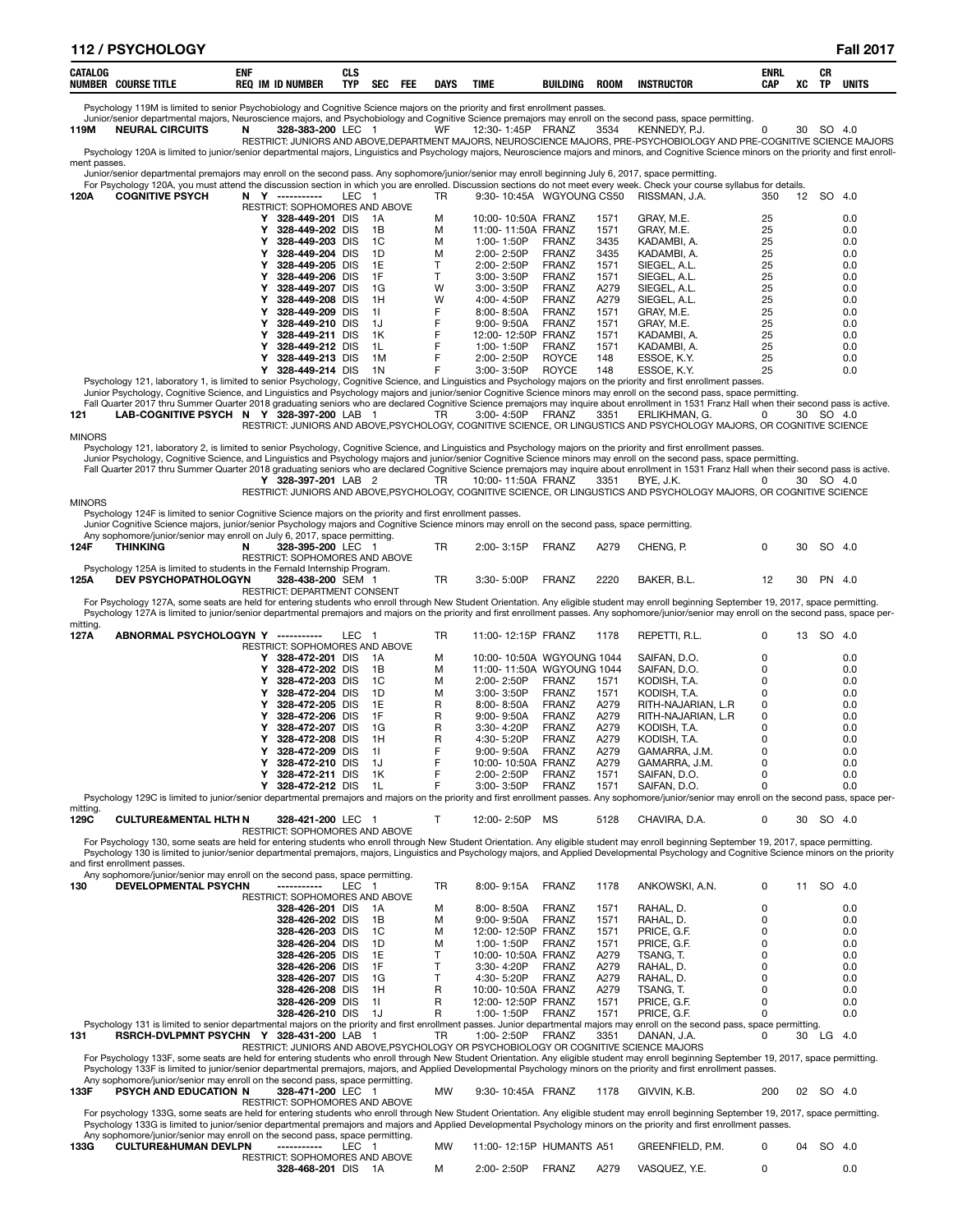| ≀ / PSYCHOLOGY<br>112                                  |                                               |                   |            |            |             |             |                 |             |                   |                    |    |                 | 2017<br>ы    |
|--------------------------------------------------------|-----------------------------------------------|-------------------|------------|------------|-------------|-------------|-----------------|-------------|-------------------|--------------------|----|-----------------|--------------|
| <b>CATALOG</b><br><b>NUMBER</b><br><b>COURSE TITLE</b> | ENI<br><b>ID NUMBER</b><br>- IM<br><b>REC</b> | CLS<br><b>TYP</b> | <b>SEC</b> | <b>FEE</b> | <b>DAYS</b> | <b>TIME</b> | <b>BUILDING</b> | <b>ROOM</b> | <b>INSTRUCTOR</b> | <b>ENRL</b><br>CAP | XC | CR<br><b>TP</b> | <b>UNITS</b> |

Psychology 119M is limited to senior Psychobiology and Cognitive Science majors on the priority and first enrollment passes.

Junior/senior departmental majors, Neuroscience majors, and Psychobiology and Cognitive Science premajors may enroll on the second pass, space permitting.<br>119M NEURAL CIRCUITS N 328-383-200 LEC 1 WF 12:30-1:45P FRANZ 3534

RESTRICT: JUNIORS AND ABOVE,DEPARTMENT MAJORS, NEUROSCIENCE MAJORS, PRE-PSYCHOBIOLOGY AND PRE-COGNITIVE SCIENCE MAJORS

Psychology 120A is limited to junior/senior departmental majors, Linguistics and Psychology majors, Neuroscience majors and minors, and Cognitive Science minors on the priority and first enrollment passes.

Junior/senior departmental premajors may enroll on the second pass. Any sophomore/junior/senior may enroll beginning July 6, 2017, space permitting.<br>For Psychology 120A, you must attend the discussion section in which you

**120A COGNITIVE PSYCH N Y -----------** LEC 1 TR 9:30- 10:45A WGYOUNG CS50 RISSMAN, J.A. 350 12 SO 4.0

|  | <b>RESTRICT: SOPHOMORES AND ABOVE</b> |      |   |                    |              |      |              |    |     |
|--|---------------------------------------|------|---|--------------------|--------------|------|--------------|----|-----|
|  | 328-449-201 DIS                       | - 1A | м | 10:00-10:50A FRANZ |              | 1571 | GRAY, M.E.   | 25 | 0.0 |
|  | 328-449-202 DIS                       | - 1B | м | 11:00-11:50A FRANZ |              | 1571 | GRAY, M.E.   | 25 | 0.0 |
|  | 328-449-203 DIS                       | - 1C | м | $1:00 - 1:50P$     | FRANZ        | 3435 | KADAMBI, A.  | 25 | 0.0 |
|  | 328-449-204 DIS                       | - 1D | м | $2:00 - 2:50P$     | FRANZ        | 3435 | KADAMBI, A.  | 25 | 0.0 |
|  | 328-449-205 DIS                       | - 1E |   | $2:00 - 2:50P$     | FRANZ        | 1571 | SIEGEL, A.L. | 25 | 0.0 |
|  | 328-449-206 DIS                       | - 1F |   | $3:00 - 3:50P$     | FRANZ        | 1571 | SIEGEL, A.L. | 25 | 0.0 |
|  | 328-449-207 DIS                       | 1G   | w | $3:00 - 3:50P$     | FRANZ        | A279 | SIEGEL, A.L. | 25 | 0.0 |
|  | 328-449-208 DIS                       | - 1H | W | 4:00-4:50P         | FRANZ        | A279 | SIEGEL, A.L. | 25 | 0.0 |
|  | 328-449-209 DIS                       | - 11 |   | $8:00 - 8:50A$     | <b>FRANZ</b> | 1571 | GRAY, M.E.   | 25 | 0.0 |
|  | 328-449-210 DIS                       | - 1J |   | $9:00 - 9:50A$     | FRANZ        | 1571 | GRAY, M.E.   | 25 | 0.0 |
|  | 328-449-211 DIS                       | -1K  |   | 12:00-12:50P       | FRANZ        | 1571 | KADAMBI, A.  | 25 | 0.0 |
|  | 328-449-212 DIS                       | - 1L |   | $1:00 - 1:50P$     | FRANZ        | 1571 | KADAMBI, A.  | 25 | 0.0 |
|  | 328-449-213 DIS                       | 1M   |   | $2:00 - 2:50P$     | <b>ROYCE</b> | 148  | ESSOE. K.Y.  | 25 | 0.0 |
|  | 328-449-214 DIS                       | 1 N  |   | $3:00 - 3:50P$     | <b>ROYCE</b> | 148  | ESSOE. K.Y.  | 25 | 0.0 |
|  |                                       |      |   |                    |              |      |              |    |     |

V 328-449-214 DIS 1N<br>
Psychology 121, laboratory 1, is limited to senior Psychology, Cognitive Science, and Linguistics and Psychology majors and Linguistics and Psychology majors of the priority and first enrical values o

MINORS

Psychology 121, laboratory 2, is limited to senior Psychology, Cognitive Science, and Linguistics and Psychology majors on the priority and first enrollment passes.<br>Junior Psychology, Cognitive Science, and Linguistics and

RESTRICT: JUNIORS AND ABOVE,PSYCHOLOGY, COGNITIVE SCIENCE, OR LINGUSTICS AND PSYCHOLOGY MAJORS, OR COGNITIVE SCIENCE MINORS

Psychology 124F is limited to senior Cognitive Science majors on the priority and first enrollment passes.

Junior Cognitive Science majors, junior/senior Psychology majors and Cognitive Science minors may enroll on the second pass, space permitting.

|      |                             | Any sophomore/junior/senior may enroll on July 6, 2017, space permitting. |     |                |       |      |            |       |           |  |
|------|-----------------------------|---------------------------------------------------------------------------|-----|----------------|-------|------|------------|-------|-----------|--|
| 124F | THINKING                    | 328-395-200 LEC                                                           |     | $2:00 - 3:15P$ | FRANZ | A279 | CHENG. P.  |       | 30 SO 4.0 |  |
|      |                             | RESTRICT: SOPHOMORES AND ABOVE                                            |     |                |       |      |            |       |           |  |
|      |                             | Psychology 125A is limited to students in the Fernald Internship Program. |     |                |       |      |            |       |           |  |
| 125A | <b>DEV PSYCHOPATHOLOGYN</b> | 328-438-200 SEM                                                           | TR. | $3:30 - 5:00P$ | FRANZ | 2220 | BAKER B.L. | $12-$ | 30 PN 4.0 |  |
|      |                             | <b>RESTRICT: DEPARTMENT CONSENT</b>                                       |     |                |       |      |            |       |           |  |

For Psychology 127A, some seats are held for entering students who enroll through New Student Orientation. Any eligible student may enroll beginning September 19, 2017, space permitting. Psychology 127A is limited to junior/senior departmental premajors and majors on the priority and first enrollment passes. Any sophomore/junior/senior may enroll on the second pass, space per-

| mitting. |                                                                                                                                                                                                                               |                                       |     |           |                           |              |      |                    |         |        |
|----------|-------------------------------------------------------------------------------------------------------------------------------------------------------------------------------------------------------------------------------|---------------------------------------|-----|-----------|---------------------------|--------------|------|--------------------|---------|--------|
| 127A     | ABNORMAL PSYCHOLOGYN Y                                                                                                                                                                                                        | LEC <sub>1</sub><br>------------      |     | <b>TR</b> | 11:00-12:15P FRANZ        |              | 1178 | REPETTI, R.L.      | 0<br>13 | SO 4.0 |
|          |                                                                                                                                                                                                                               | <b>RESTRICT: SOPHOMORES AND ABOVE</b> |     |           |                           |              |      |                    |         |        |
|          |                                                                                                                                                                                                                               | 328-472-201 DIS                       | 1A  | м         | 10:00-10:50A WGYOUNG 1044 |              |      | SAIFAN, D.O.       |         | 0.0    |
|          |                                                                                                                                                                                                                               | 328-472-202 DIS                       | 1B  | м         | 11:00-11:50A WGYOUNG 1044 |              |      | SAIFAN. D.O.       |         | 0.0    |
|          |                                                                                                                                                                                                                               | 328-472-203 DIS                       | 1C  | м         | $2:00 - 2:50P$            | <b>FRANZ</b> | 1571 | KODISH. T.A.       |         | 0.0    |
|          |                                                                                                                                                                                                                               | 328-472-204 DIS                       | 1D  | м         | $3:00 - 3:50P$            | <b>FRANZ</b> | 1571 | KODISH. T.A.       |         | 0.0    |
|          |                                                                                                                                                                                                                               | 328-472-205 DIS                       | 1E  | R         | $8.00 - 8.50A$            | <b>FRANZ</b> | A279 | RITH-NAJARIAN, L.R | 0       | 0.0    |
|          |                                                                                                                                                                                                                               | 328-472-206 DIS                       | 1F  | R         | $9:00 - 9:50A$            | <b>FRANZ</b> | A279 | RITH-NAJARIAN, L.R | 0       | 0.0    |
|          |                                                                                                                                                                                                                               | 328-472-207 DIS                       | 1G  | R         | $3.30 - 4.20P$            | <b>FRANZ</b> | A279 | KODISH. T.A.       |         | 0.0    |
|          |                                                                                                                                                                                                                               | 328-472-208 DIS                       | 1H  | R         | 4:30-5:20P                | <b>FRANZ</b> | A279 | KODISH. T.A.       |         | 0.0    |
|          |                                                                                                                                                                                                                               | 328-472-209 DIS                       | -11 |           | $9.00 - 9.50A$            | <b>FRANZ</b> | A279 | GAMARRA, J.M.      |         | 0.0    |
|          |                                                                                                                                                                                                                               | 328-472-210 DIS                       | 1J  |           | 10:00-10:50A FRANZ        |              | A279 | GAMARRA, J.M.      |         | 0.0    |
|          |                                                                                                                                                                                                                               | 328-472-211 DIS                       | 1K  |           | $2:00 - 2:50P$            | <b>FRANZ</b> | 1571 | SAIFAN, D.O.       |         | 0.0    |
|          |                                                                                                                                                                                                                               | 328-472-212 DIS                       | 1L  |           | $3:00 - 3:50P$            | <b>FRANZ</b> | 1571 | SAIFAN, D.O.       |         | 0.0    |
|          | Developmed 1000 in limited to include champion demonstrated properties and maintenant conditional first producement development including mention ment and the according to the condition of the second wave according to the |                                       |     |           |                           |              |      |                    |         |        |

Psychology 129C is limited to junior/senior departmental premajors and majors on the priority and first enrollment passes. Any sophomore/junior/senior may enroll on the second pass, space per-

mitting.<br>129C **129C CULTURE&MENTAL HLTH N 328-421-200** LEC 1 T 12:00- 2:50P MS 5128 CHAVIRA, D.A. 0 30 SO 4.0

RESTRICT: SOPHOMORES AND ABOVE

For Psychology 130, some seats are held for entering students who enroll through New Student Orientation. Any eligible student may enroll beginning September 19, 2017, space permitting. Psychology 130 is limited to junior/senior departmental premajors, majors, Linguistics and Psychology majors, and Applied Developmental Psychology and Cognitive Science minors on the priority and first enrollment passes.

|     | Any sophomore/junior/senior may enroll on the second pass, space permitting.                                                                                                               |                                       |     |     |           |                    |              |      |                                                                                     |   |    |     |      |
|-----|--------------------------------------------------------------------------------------------------------------------------------------------------------------------------------------------|---------------------------------------|-----|-----|-----------|--------------------|--------------|------|-------------------------------------------------------------------------------------|---|----|-----|------|
| 130 | <b>DEVELOPMENTAL PSYCHN</b>                                                                                                                                                                |                                       | LEC |     | <b>TR</b> | $8:00 - 9:15A$     | <b>FRANZ</b> | 1178 | ANKOWSKI, A.N.                                                                      | 0 | 11 | SO. | -4.0 |
|     |                                                                                                                                                                                            | <b>RESTRICT: SOPHOMORES AND ABOVE</b> |     |     |           |                    |              |      |                                                                                     |   |    |     |      |
|     |                                                                                                                                                                                            | 328-426-201 DIS                       |     | 1A  | м         | $8.00 - 8.50A$     | <b>FRANZ</b> | 1571 | RAHAL. D.                                                                           |   |    |     | 0.0  |
|     |                                                                                                                                                                                            | 328-426-202 DIS                       |     | 1B  | м         | $9:00 - 9:50A$     | <b>FRANZ</b> | 1571 | RAHAL. D.                                                                           |   |    |     | 0.0  |
|     |                                                                                                                                                                                            | 328-426-203 DIS                       |     | 1C  | м         | 12:00-12:50P       | <b>FRANZ</b> | 1571 | PRICE, G.F.                                                                         |   |    |     | 0.0  |
|     |                                                                                                                                                                                            | 328-426-204 DIS                       |     | 1D  | м         | 1:00-1:50P         | <b>FRANZ</b> | 1571 | PRICE, G.F.                                                                         |   |    |     | 0.0  |
|     |                                                                                                                                                                                            | 328-426-205 DIS                       |     | 1F  |           | 10:00-10:50A FRANZ |              | A279 | TSANG. T.                                                                           |   |    |     | 0.0  |
|     |                                                                                                                                                                                            | 328-426-206 DIS                       |     | 1F  |           | $3:30 - 4:20P$     | <b>FRANZ</b> | A279 | RAHAL. D.                                                                           |   |    |     | 0.0  |
|     |                                                                                                                                                                                            | 328-426-207 DIS                       |     | 1G  |           | 4:30-5:20P         | <b>FRANZ</b> | A279 | RAHAL. D.                                                                           |   |    |     | 0.0  |
|     |                                                                                                                                                                                            | 328-426-208 DIS                       |     | 1H  | R         | 10:00-10:50A FRANZ |              | A279 | TSANG. T.                                                                           |   |    |     | 0.0  |
|     |                                                                                                                                                                                            | 328-426-209 DIS                       |     | 11  | R         | 12:00-12:50P FRANZ |              | 1571 | PRICE, G.F.                                                                         |   |    |     | 0.0  |
|     |                                                                                                                                                                                            | 328-426-210 DIS                       |     | 1.1 | R         | $1:00 - 1:50P$     | FRANZ        | 1571 | PRICE, G.F.                                                                         |   |    |     | 0.0  |
|     | Psychology 131 is limited to senior departmental majors on the priority and first enrollment passes. Junior departmental majors may enroll on the second pass, space permitting.           |                                       |     |     |           |                    |              |      |                                                                                     |   |    |     |      |
| 131 | <b>RSRCH-DVLPMNT PSYCHN Y</b>                                                                                                                                                              | 328-431-200 LAB                       |     |     | TR.       | $1:00 - 2:50P$     | <b>FRANZ</b> | 3351 | DANAN. J.A.                                                                         |   | 30 | LG. | -4.0 |
|     |                                                                                                                                                                                            |                                       |     |     |           |                    |              |      | RESTRICT: JUNIORS AND ABOVE.PSYCHOLOGY OR PSYCHOBIOLOGY OR COGNITIVE SCIENCE MAJORS |   |    |     |      |
|     | For Psychology 133F, some seats are held for entering students who enroll through New Student Orientation. Any eligible student may enroll beginning September 19, 2017, space permitting. |                                       |     |     |           |                    |              |      |                                                                                     |   |    |     |      |
|     | Psychology 133F is limited to junior/senior departmental premajors, majors, and Applied Developmental Psychology minors on the priority and first enrollment passes.                       |                                       |     |     |           |                    |              |      |                                                                                     |   |    |     |      |
|     | Any sophomore/junior/senior may enroll on the second pass, space permitting.                                                                                                               |                                       |     |     |           |                    |              |      |                                                                                     |   |    |     |      |

|      | Any suprimining and non-ritay criteria the second pass, space permitting. |                                |    |                   |      |              |     |           |  |
|------|---------------------------------------------------------------------------|--------------------------------|----|-------------------|------|--------------|-----|-----------|--|
| 133F | PSYCH AND EDUCATION N                                                     | 328-471-200 LEC                | MW | 9:30-10:45A FRANZ | 1178 | GIVVIN. K.B. | 200 | 02 SO 4.0 |  |
|      |                                                                           | RESTRICT: SOPHOMORES AND AROVE |    |                   |      |              |     |           |  |

For psychology 133G, some seats are held for entering students who enroll through New Student Orientation. Any eligible student may enroll beginning September 19, 2017, space permitting. Psychology 133G is limited to junior/senior departmental premajors and majors and Applied Developmental Psychology minors on the priority and first enrollment passes.

| Any sophomore/junior/senior may enroll on the second pass, space permitting. |                                        |                  |           |
|------------------------------------------------------------------------------|----------------------------------------|------------------|-----------|
| 133G<br><b>CULTURE&amp;HUMAN DEVLPN</b><br>LEC.<br>------------              | 11:00-12:15P HUMANTS A51               | GREENFIELD, P.M. | 04 SO 4.0 |
| RESTRICT: SOPHOMORES AND ABOVE                                               |                                        |                  |           |
| 328-468-201 DIS 1A                                                           | <b>FRANZ</b><br>A279<br>$2:00 - 2:50P$ | VASQUEZ, Y.E.    |           |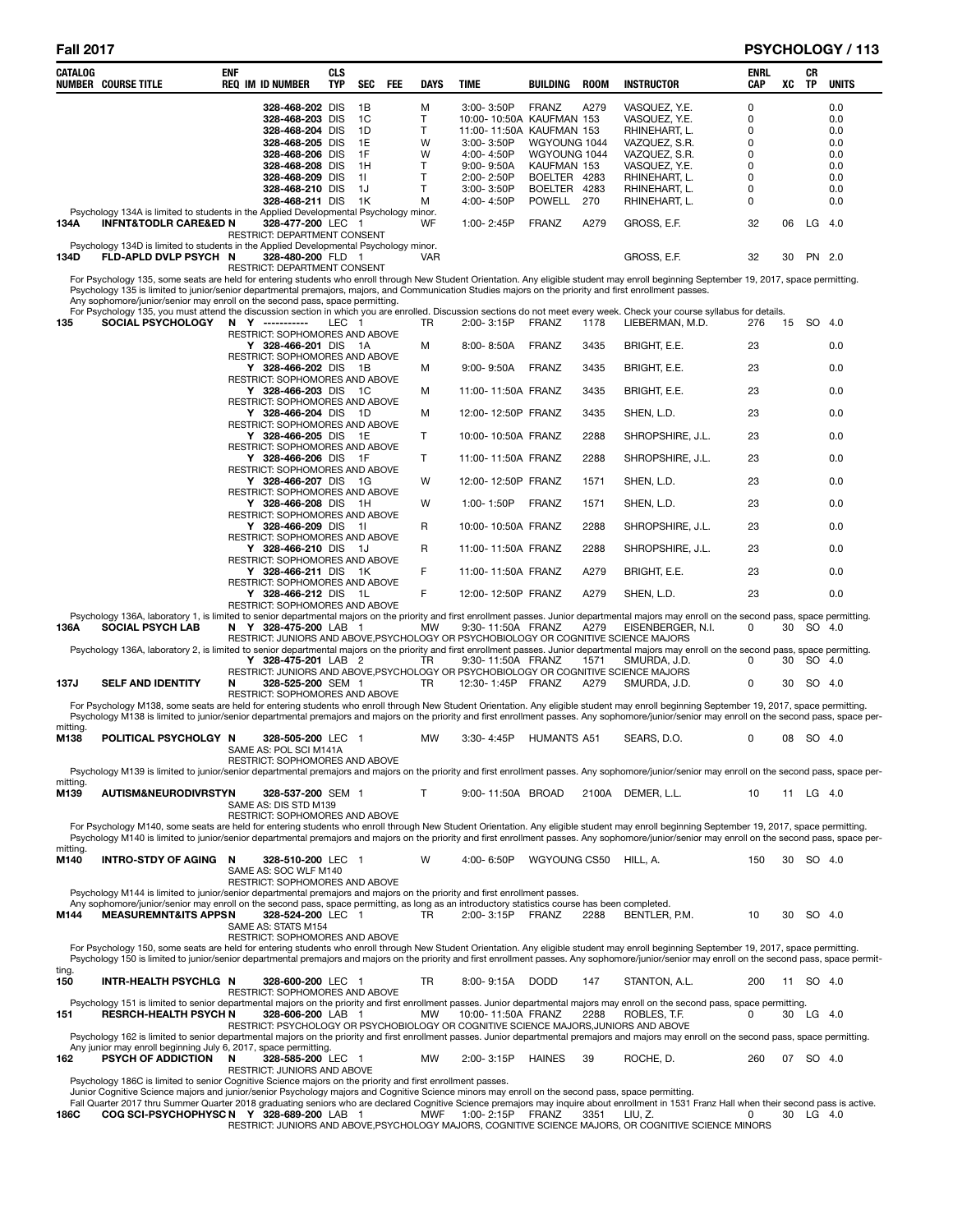| CATALOG          | <b>NUMBER COURSE TITLE</b>                                                                                                                                                                                                                                                                                                                                                                                                            | <b>ENF</b> | <b>REQ IM ID NUMBER</b>                                                      | <b>CLS</b><br><b>TYP</b> | <b>SEC</b> | FEE | <b>DAYS</b> | <b>TIME</b>                            | BUILDING                        | <b>ROOM</b> | <b>INSTRUCTOR</b>                                                                                                | ENRL<br><b>CAP</b> | xс | CR<br><b>TP</b> | <b>UNITS</b> |
|------------------|---------------------------------------------------------------------------------------------------------------------------------------------------------------------------------------------------------------------------------------------------------------------------------------------------------------------------------------------------------------------------------------------------------------------------------------|------------|------------------------------------------------------------------------------|--------------------------|------------|-----|-------------|----------------------------------------|---------------------------------|-------------|------------------------------------------------------------------------------------------------------------------|--------------------|----|-----------------|--------------|
|                  |                                                                                                                                                                                                                                                                                                                                                                                                                                       |            | 328-468-202 DIS                                                              |                          | 1B         |     | M           | 3:00-3:50P                             | FRANZ                           | A279        | VASQUEZ, Y.E.                                                                                                    | 0                  |    |                 | 0.0          |
|                  |                                                                                                                                                                                                                                                                                                                                                                                                                                       |            | 328-468-203 DIS                                                              |                          | 1C         |     | Т           | 10:00-10:50A KAUFMAN 153               |                                 |             | VASQUEZ, Y.E.                                                                                                    | 0                  |    |                 | 0.0          |
|                  |                                                                                                                                                                                                                                                                                                                                                                                                                                       |            | 328-468-204 DIS<br>328-468-205 DIS                                           |                          | 1D<br>1E   |     | Τ           | 11:00-11:50A KAUFMAN 153<br>3:00-3:50P | WGYOUNG 1044                    |             | RHINEHART, L.                                                                                                    | 0<br>0             |    |                 | 0.0          |
|                  |                                                                                                                                                                                                                                                                                                                                                                                                                                       |            | 328-468-206 DIS                                                              |                          | 1F         |     | W<br>W      | 4:00-4:50P                             | WGYOUNG 1044                    |             | VAZQUEZ, S.R.<br>VAZQUEZ, S.R.                                                                                   | 0                  |    |                 | 0.0<br>0.0   |
|                  |                                                                                                                                                                                                                                                                                                                                                                                                                                       |            | 328-468-208 DIS                                                              |                          | 1H         |     | Τ           | $9:00 - 9:50A$                         | KAUFMAN 153                     |             | VASQUEZ, Y.E.                                                                                                    | 0                  |    |                 | 0.0          |
|                  |                                                                                                                                                                                                                                                                                                                                                                                                                                       |            | 328-468-209 DIS                                                              |                          | 11         |     | Τ           | 2:00-2:50P                             | BOELTER 4283                    |             | RHINEHART, L.                                                                                                    | 0                  |    |                 | 0.0          |
|                  |                                                                                                                                                                                                                                                                                                                                                                                                                                       |            | 328-468-210 DIS<br>328-468-211 DIS                                           |                          | 1J<br>- 1K |     | T<br>М      | 3:00-3:50P<br>4:00-4:50P               | <b>BOELTER</b><br><b>POWELL</b> | 4283<br>270 | RHINEHART, L.<br>RHINEHART, L.                                                                                   | 0<br>0             |    |                 | 0.0<br>0.0   |
|                  | Psychology 134A is limited to students in the Applied Developmental Psychology minor.                                                                                                                                                                                                                                                                                                                                                 |            |                                                                              |                          |            |     |             |                                        |                                 |             |                                                                                                                  |                    |    |                 |              |
| 134A             | <b>INFNT&amp;TODLR CARE&amp;ED N</b><br>Psychology 134D is limited to students in the Applied Developmental Psychology minor.                                                                                                                                                                                                                                                                                                         |            | 328-477-200 LEC 1<br>RESTRICT: DEPARTMENT CONSENT                            |                          |            |     | WF          | 1:00-2:45P                             | <b>FRANZ</b>                    | A279        | GROSS, E.F.                                                                                                      | 32                 | 06 | $LG$ 4.0        |              |
| 134D             | FLD-APLD DVLP PSYCH N                                                                                                                                                                                                                                                                                                                                                                                                                 |            | 328-480-200 FLD 1<br>RESTRICT: DEPARTMENT CONSENT                            |                          |            |     | <b>VAR</b>  |                                        |                                 |             | GROSS, E.F.                                                                                                      | 32                 | 30 | PN 2.0          |              |
|                  | For Psychology 135, some seats are held for entering students who enroll through New Student Orientation. Any eligible student may enroll beginning September 19, 2017, space permitting.<br>Psychology 135 is limited to junior/senior departmental premajors, majors, and Communication Studies majors on the priority and first enrollment passes.<br>Any sophomore/junior/senior may enroll on the second pass, space permitting. |            |                                                                              |                          |            |     |             |                                        |                                 |             |                                                                                                                  |                    |    |                 |              |
|                  | For Psychology 135, you must attend the discussion section in which you are enrolled. Discussion sections do not meet every week. Check your course syllabus for details.                                                                                                                                                                                                                                                             |            |                                                                              |                          |            |     |             |                                        |                                 |             |                                                                                                                  |                    |    |                 |              |
| 135              | <b>SOCIAL PSYCHOLOGY</b>                                                                                                                                                                                                                                                                                                                                                                                                              |            | N Y ----------<br>RESTRICT: SOPHOMORES AND ABOVE                             | LEC 1                    |            |     | TR          | 2:00-3:15P                             | FRANZ                           | 1178        | LIEBERMAN, M.D.                                                                                                  | 276                | 15 | SO 4.0          |              |
|                  |                                                                                                                                                                                                                                                                                                                                                                                                                                       |            | Y 328-466-201 DIS 1A<br>RESTRICT: SOPHOMORES AND ABOVE                       |                          |            |     | M           | 8:00-8:50A                             | FRANZ                           | 3435        | BRIGHT, E.E.                                                                                                     | 23                 |    |                 | 0.0          |
|                  |                                                                                                                                                                                                                                                                                                                                                                                                                                       |            | Y 328-466-202 DIS 1B                                                         |                          |            |     | М           | $9:00 - 9:50A$                         | FRANZ                           | 3435        | BRIGHT, E.E.                                                                                                     | 23                 |    |                 | 0.0          |
|                  |                                                                                                                                                                                                                                                                                                                                                                                                                                       |            | RESTRICT: SOPHOMORES AND ABOVE<br>Y 328-466-203 DIS 1C                       |                          |            |     | М           | 11:00-11:50A FRANZ                     |                                 | 3435        | BRIGHT, E.E.                                                                                                     | 23                 |    |                 | 0.0          |
|                  |                                                                                                                                                                                                                                                                                                                                                                                                                                       |            | RESTRICT: SOPHOMORES AND ABOVE<br>Y 328-466-204 DIS 1D                       |                          |            |     | M           | 12:00-12:50P FRANZ                     |                                 | 3435        | SHEN, L.D.                                                                                                       | 23                 |    |                 | 0.0          |
|                  |                                                                                                                                                                                                                                                                                                                                                                                                                                       |            | RESTRICT: SOPHOMORES AND ABOVE<br>Y 328-466-205 DIS 1E                       |                          |            |     | T           | 10:00-10:50A FRANZ                     |                                 | 2288        | SHROPSHIRE, J.L.                                                                                                 | 23                 |    |                 | 0.0          |
|                  |                                                                                                                                                                                                                                                                                                                                                                                                                                       |            | RESTRICT: SOPHOMORES AND ABOVE<br>Y 328-466-206 DIS 1F                       |                          |            |     | Τ           | 11:00-11:50A FRANZ                     |                                 | 2288        | SHROPSHIRE, J.L.                                                                                                 | 23                 |    |                 | 0.0          |
|                  |                                                                                                                                                                                                                                                                                                                                                                                                                                       |            | RESTRICT: SOPHOMORES AND ABOVE<br>Y 328-466-207 DIS 1G                       |                          |            |     | w           | 12:00-12:50P FRANZ                     |                                 | 1571        | SHEN, L.D.                                                                                                       | 23                 |    |                 | 0.0          |
|                  |                                                                                                                                                                                                                                                                                                                                                                                                                                       |            | RESTRICT: SOPHOMORES AND ABOVE<br>Y 328-466-208 DIS 1H                       |                          |            |     | W           | 1:00-1:50P                             | FRANZ                           | 1571        | SHEN, L.D.                                                                                                       | 23                 |    |                 | 0.0          |
|                  |                                                                                                                                                                                                                                                                                                                                                                                                                                       |            | RESTRICT: SOPHOMORES AND ABOVE<br>Y 328-466-209 DIS 11                       |                          |            |     | R           | 10:00-10:50A FRANZ                     |                                 | 2288        | SHROPSHIRE, J.L.                                                                                                 | 23                 |    |                 | 0.0          |
|                  |                                                                                                                                                                                                                                                                                                                                                                                                                                       |            | RESTRICT: SOPHOMORES AND ABOVE<br>Y 328-466-210 DIS 1J                       |                          |            |     | R           | 11:00-11:50A FRANZ                     |                                 | 2288        | SHROPSHIRE, J.L.                                                                                                 | 23                 |    |                 | 0.0          |
|                  |                                                                                                                                                                                                                                                                                                                                                                                                                                       |            | RESTRICT: SOPHOMORES AND ABOVE<br>Y 328-466-211 DIS 1K                       |                          |            |     | F           | 11:00-11:50A FRANZ                     |                                 | A279        | BRIGHT, E.E.                                                                                                     | 23                 |    |                 | 0.0          |
|                  |                                                                                                                                                                                                                                                                                                                                                                                                                                       |            | RESTRICT: SOPHOMORES AND ABOVE<br>Y 328-466-212 DIS 1L                       |                          |            |     | F           | 12:00-12:50P FRANZ                     |                                 | A279        | SHEN, L.D.                                                                                                       | 23                 |    |                 | 0.0          |
|                  | Psychology 136A, laboratory 1, is limited to senior departmental majors on the priority and first enrollment passes. Junior departmental majors may enroll on the second pass, space permitting.                                                                                                                                                                                                                                      |            | RESTRICT: SOPHOMORES AND ABOVE                                               |                          |            |     |             |                                        |                                 |             |                                                                                                                  |                    |    |                 |              |
| 136A             | <b>SOCIAL PSYCH LAB</b>                                                                                                                                                                                                                                                                                                                                                                                                               |            | N Y 328-475-200 LAB 1                                                        |                          |            |     | <b>MW</b>   | 9:30-11:50A FRANZ                      |                                 | A279        | EISENBERGER, N.I.<br>RESTRICT: JUNIORS AND ABOVE, PSYCHOLOGY OR PSYCHOBIOLOGY OR COGNITIVE SCIENCE MAJORS        | 0                  |    | 30 SO 4.0       |              |
|                  | Psychology 136A, laboratory 2, is limited to senior departmental majors on the priority and first enrollment passes. Junior departmental majors may enroll on the second pass, space permitting.                                                                                                                                                                                                                                      |            | Y 328-475-201 LAB 2                                                          |                          |            |     | TR          | 9:30-11:50A FRANZ                      |                                 | 1571        | SMURDA, J.D.                                                                                                     | 0                  | 30 | SO 4.0          |              |
|                  |                                                                                                                                                                                                                                                                                                                                                                                                                                       |            |                                                                              |                          |            |     |             |                                        |                                 |             | RESTRICT: JUNIORS AND ABOVE, PSYCHOLOGY OR PSYCHOBIOLOGY OR COGNITIVE SCIENCE MAJORS                             |                    |    |                 |              |
| 137J             | <b>SELF AND IDENTITY</b>                                                                                                                                                                                                                                                                                                                                                                                                              | N          | 328-525-200 SEM 1<br><b>RESTRICT: SOPHOMORES AND ABOVE</b>                   |                          |            |     | <b>TR</b>   | 12:30-1:45P FRANZ                      |                                 | A279        | SMURDA, J.D.                                                                                                     | 0                  |    | 30 SO 4.0       |              |
|                  | For Psychology M138, some seats are held for entering students who enroll through New Student Orientation. Any eligible student may enroll beginning September 19, 2017, space permitting.<br>Psychology M138 is limited to junior/senior departmental premajors and majors on the priority and first enrollment passes. Any sophomore/junior/senior may enroll on the second pass, space per-                                        |            |                                                                              |                          |            |     |             |                                        |                                 |             |                                                                                                                  |                    |    |                 |              |
| mitting.<br>M138 | POLITICAL PSYCHOLGY N                                                                                                                                                                                                                                                                                                                                                                                                                 |            | 328-505-200 LEC 1<br>SAME AS: POL SCI M141A                                  |                          |            |     | <b>MW</b>   | 3:30-4:45P                             | <b>HUMANTS A51</b>              |             | SEARS, D.O.                                                                                                      | 0                  | 08 | SO 4.0          |              |
|                  | Psychology M139 is limited to junior/senior departmental premajors and majors on the priority and first enrollment passes. Any sophomore/junior/senior may enroll on the second pass, space per-                                                                                                                                                                                                                                      |            | RESTRICT: SOPHOMORES AND ABOVE                                               |                          |            |     |             |                                        |                                 |             |                                                                                                                  |                    |    |                 |              |
| mitting.<br>M139 | <b>AUTISM&amp;NEURODIVRSTYN</b>                                                                                                                                                                                                                                                                                                                                                                                                       |            | 328-537-200 SEM 1<br>SAME AS: DIS STD M139                                   |                          |            |     | T           | 9:00-11:50A BROAD                      |                                 |             | 2100A DEMER, L.L.                                                                                                | 10                 |    | 11 LG 4.0       |              |
|                  | For Psychology M140, some seats are held for entering students who enroll through New Student Orientation. Any eligible student may enroll beginning September 19, 2017, space permitting.                                                                                                                                                                                                                                            |            | RESTRICT: SOPHOMORES AND ABOVE                                               |                          |            |     |             |                                        |                                 |             |                                                                                                                  |                    |    |                 |              |
| mitting.         | Psychology M140 is limited to junior/senior departmental premajors and majors on the priority and first enrollment passes. Any sophomore/junior/senior may enroll on the second pass, space per-                                                                                                                                                                                                                                      |            |                                                                              |                          |            |     |             |                                        |                                 |             |                                                                                                                  |                    |    |                 |              |
| M140             | INTRO-STDY OF AGING N                                                                                                                                                                                                                                                                                                                                                                                                                 |            | 328-510-200 LEC 1<br>SAME AS: SOC WLF M140<br>RESTRICT: SOPHOMORES AND ABOVE |                          |            |     | W           | 4:00-6:50P                             | WGYOUNG CS50 HILL, A.           |             |                                                                                                                  | 150                |    | 30 SO 4.0       |              |
|                  | Psychology M144 is limited to junior/senior departmental premajors and majors on the priority and first enrollment passes.                                                                                                                                                                                                                                                                                                            |            |                                                                              |                          |            |     |             |                                        |                                 |             |                                                                                                                  |                    |    |                 |              |
| M144             | Any sophomore/junior/senior may enroll on the second pass, space permitting, as long as an introductory statistics course has been completed.<br><b>MEASUREMNT&amp;ITS APPSN</b>                                                                                                                                                                                                                                                      |            | 328-524-200 LEC 1<br>SAME AS: STATS M154                                     |                          |            |     | TR          | 2:00-3:15P                             | FRANZ                           | 2288        | BENTLER, P.M.                                                                                                    | 10                 | 30 | SO 4.0          |              |
|                  | For Psychology 150, some seats are held for entering students who enroll through New Student Orientation. Any eligible student may enroll beginning September 19, 2017, space permitting.<br>Psychology 150 is limited to junior/senior departmental premajors and majors on the priority and first enrollment passes. Any sophomore/junior/senior may enroll on the second pass, space permit-                                       |            | RESTRICT: SOPHOMORES AND ABOVE                                               |                          |            |     |             |                                        |                                 |             |                                                                                                                  |                    |    |                 |              |
| ting.<br>150     | INTR-HEALTH PSYCHLG N                                                                                                                                                                                                                                                                                                                                                                                                                 |            | 328-600-200 LEC 1<br>RESTRICT: SOPHOMORES AND ABOVE                          |                          |            |     | TR          | 8:00-9:15A                             | <b>DODD</b>                     | 147         | STANTON, A.L.                                                                                                    | 200                |    | 11 SO 4.0       |              |
| 151              | Psychology 151 is limited to senior departmental majors on the priority and first enrollment passes. Junior departmental majors may enroll on the second pass, space permitting.<br><b>RESRCH-HEALTH PSYCH N</b>                                                                                                                                                                                                                      |            | 328-606-200 LAB 1                                                            |                          |            |     | MW          | 10:00-11:50A FRANZ                     |                                 | 2288        | ROBLES, T.F.<br>RESTRICT: PSYCHOLOGY OR PSYCHOBIOLOGY OR COGNITIVE SCIENCE MAJORS, JUNIORS AND ABOVE             | 0                  |    | 30 LG 4.0       |              |
|                  | Psychology 162 is limited to senior departmental majors on the priority and first enrollment passes. Junior departmental premajors and majors may enroll on the second pass, space permitting.<br>Any junior may enroll beginning July 6, 2017, space permitting.                                                                                                                                                                     |            |                                                                              |                          |            |     |             |                                        |                                 |             |                                                                                                                  |                    |    |                 |              |
| 162              | <b>PSYCH OF ADDICTION</b><br>Psychology 186C is limited to senior Cognitive Science majors on the priority and first enrollment passes.                                                                                                                                                                                                                                                                                               | N          | 328-585-200 LEC 1<br>RESTRICT: JUNIORS AND ABOVE                             |                          |            |     | MW          | 2:00-3:15P                             | <b>HAINES</b>                   | 39          | ROCHE, D.                                                                                                        | 260                | 07 | SO 4.0          |              |
|                  | Junior Cognitive Science majors and junior/senior Psychology majors and Cognitive Science minors may enroll on the second pass, space permitting.                                                                                                                                                                                                                                                                                     |            |                                                                              |                          |            |     |             |                                        |                                 |             |                                                                                                                  |                    |    |                 |              |
|                  | Fall Quarter 2017 thru Summer Quarter 2018 graduating seniors who are declared Cognitive Science premajors may inquire about enrollment in 1531 Franz Hall when their second pass is active.                                                                                                                                                                                                                                          |            |                                                                              |                          |            |     |             |                                        |                                 |             |                                                                                                                  |                    |    |                 |              |
| 186C             | COG SCI-PSYCHOPHYSC N Y 328-689-200 LAB 1                                                                                                                                                                                                                                                                                                                                                                                             |            |                                                                              |                          |            |     | MWF         | 1:00-2:15P FRANZ                       |                                 | 3351        | LIU, Z.<br>RESTRICT: JUNIORS AND ABOVE, PSYCHOLOGY MAJORS, COGNITIVE SCIENCE MAJORS, OR COGNITIVE SCIENCE MINORS | 0                  |    | 30 LG 4.0       |              |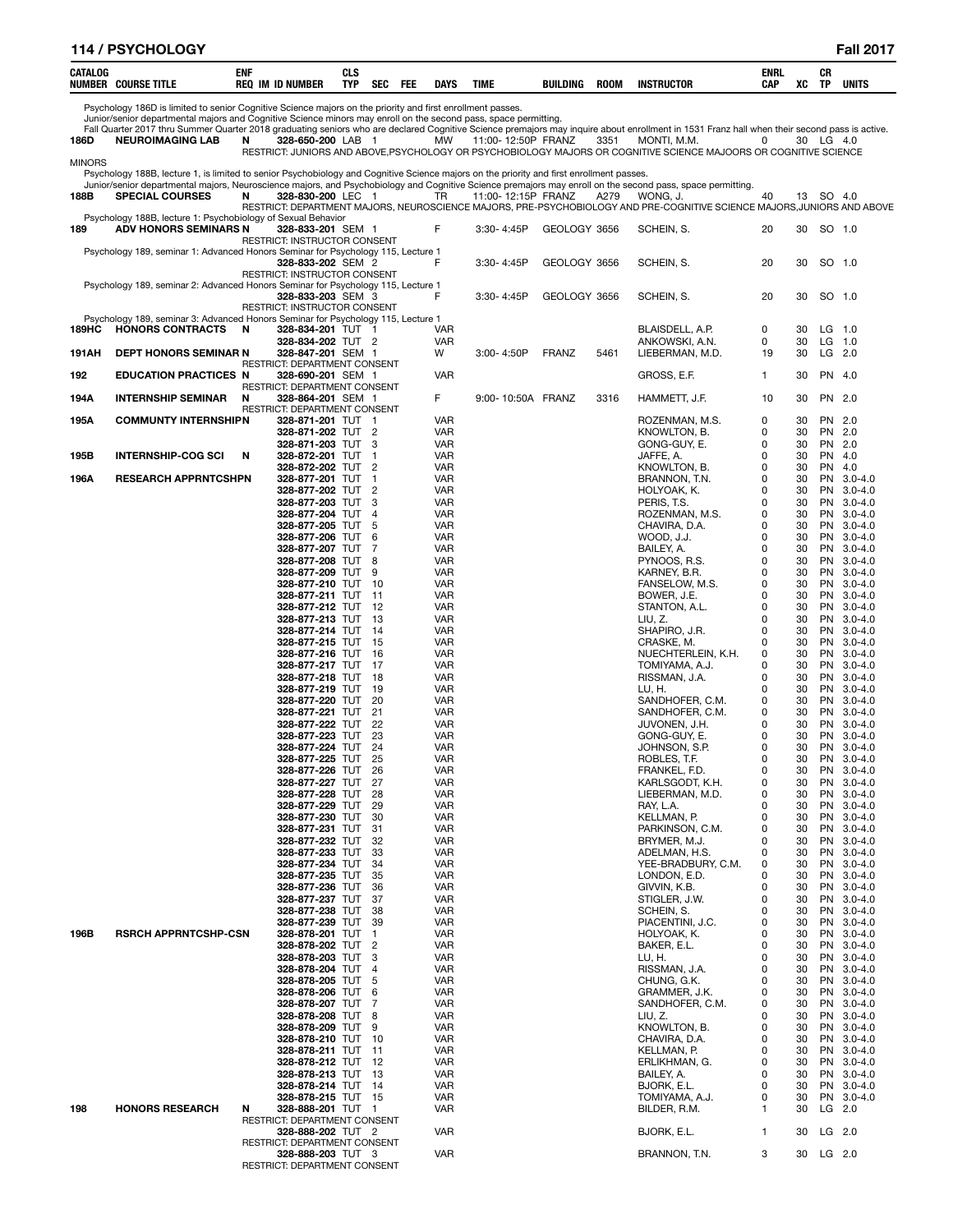|               | 114 / PSYCHOLOGY                                                                                                                                                                                                                                                                                                |     |                                                          |                   |                                  |     |                          |                |                    |             |                                                                                                                                  |              |          |                        | <b>Fall 2017</b>           |
|---------------|-----------------------------------------------------------------------------------------------------------------------------------------------------------------------------------------------------------------------------------------------------------------------------------------------------------------|-----|----------------------------------------------------------|-------------------|----------------------------------|-----|--------------------------|----------------|--------------------|-------------|----------------------------------------------------------------------------------------------------------------------------------|--------------|----------|------------------------|----------------------------|
| CATALOG       | <b>NUMBER COURSE TITLE</b>                                                                                                                                                                                                                                                                                      | ENF | <b>REQ IM ID NUMBER</b>                                  | <b>CLS</b><br>TYP | SEC                              | FEE | DAYS                     | <b>TIME</b>    | BUILDING           | <b>ROOM</b> | <b>INSTRUCTOR</b>                                                                                                                | ENRL<br>CAP  | XC       | CR<br>TP               | <b>UNITS</b>               |
|               | Psychology 186D is limited to senior Cognitive Science majors on the priority and first enrollment passes.                                                                                                                                                                                                      |     |                                                          |                   |                                  |     |                          |                |                    |             |                                                                                                                                  |              |          |                        |                            |
|               | Junior/senior departmental majors and Cognitive Science minors may enroll on the second pass, space permitting.<br>Fall Quarter 2017 thru Summer Quarter 2018 graduating seniors who are declared Cognitive Science premajors may inquire about enrollment in 1531 Franz hall when their second pass is active. |     |                                                          |                   |                                  |     |                          |                |                    |             |                                                                                                                                  |              |          |                        |                            |
| 186D          | <b>NEUROIMAGING LAB</b>                                                                                                                                                                                                                                                                                         | N   | 328-650-200 LAB 1                                        |                   |                                  |     | MW                       |                | 11:00-12:50P FRANZ | 3351        | MONTI, M.M.<br>RESTRICT: JUNIORS AND ABOVE, PSYCHOLOGY OR PSYCHOBIOLOGY MAJORS OR COGNITIVE SCIENCE MAJOORS OR COGNITIVE SCIENCE | 0            |          | 30 LG 4.0              |                            |
| <b>MINORS</b> | Psychology 188B, lecture 1, is limited to senior Psychobiology and Cognitive Science majors on the priority and first enrollment passes.                                                                                                                                                                        |     |                                                          |                   |                                  |     |                          |                |                    |             |                                                                                                                                  |              |          |                        |                            |
| 188B          | Junior/senior departmental majors, Neuroscience majors, and Psychobiology and Cognitive Science premajors may enroll on the second pass, space permitting<br><b>SPECIAL COURSES</b>                                                                                                                             | N   | 328-830-200 LEC 1                                        |                   |                                  |     | TR                       |                | 11:00-12:15P FRANZ | A279        | WONG, J.                                                                                                                         | 40           |          | 13 SO 4.0              |                            |
|               |                                                                                                                                                                                                                                                                                                                 |     |                                                          |                   |                                  |     |                          |                |                    |             | RESTRICT: DEPARTMENT MAJORS, NEUROSCIENCE MAJORS, PRE-PSYCHOBIOLOGY AND PRE-COGNITIVE SCIENCE MAJORS, JUNIORS AND ABOVE          |              |          |                        |                            |
| 189           | Psychology 188B, lecture 1: Psychobiology of Sexual Behavior<br><b>ADV HONORS SEMINARS N</b>                                                                                                                                                                                                                    |     | 328-833-201 SEM 1                                        |                   |                                  |     | F                        | $3:30 - 4:45P$ | GEOLOGY 3656       |             | SCHEIN, S.                                                                                                                       | 20           | 30       |                        | SO 1.0                     |
|               | Psychology 189, seminar 1: Advanced Honors Seminar for Psychology 115, Lecture 1                                                                                                                                                                                                                                |     | RESTRICT: INSTRUCTOR CONSENT                             |                   |                                  |     |                          |                |                    |             |                                                                                                                                  |              |          |                        |                            |
|               |                                                                                                                                                                                                                                                                                                                 |     | 328-833-202 SEM 2<br><b>RESTRICT: INSTRUCTOR CONSENT</b> |                   |                                  |     | F                        | 3:30-4:45P     | GEOLOGY 3656       |             | SCHEIN, S.                                                                                                                       | 20           | 30       |                        | SO 1.0                     |
|               | Psychology 189, seminar 2: Advanced Honors Seminar for Psychology 115, Lecture 1                                                                                                                                                                                                                                |     | 328-833-203 SEM 3                                        |                   |                                  |     | F                        | 3:30-4:45P     | GEOLOGY 3656       |             | SCHEIN, S.                                                                                                                       | 20           | 30       |                        | SO 1.0                     |
|               |                                                                                                                                                                                                                                                                                                                 |     | <b>RESTRICT: INSTRUCTOR CONSENT</b>                      |                   |                                  |     |                          |                |                    |             |                                                                                                                                  |              |          |                        |                            |
| 189HC         | Psychology 189, seminar 3: Advanced Honors Seminar for Psychology 115, Lecture 1<br><b>HONORS CONTRACTS</b>                                                                                                                                                                                                     | N   | 328-834-201 TUT 1                                        |                   |                                  |     | VAR                      |                |                    |             | BLAISDELL, A.P.                                                                                                                  | 0            | 30       |                        | $LG$ 1.0                   |
| 191AH         | <b>DEPT HONORS SEMINAR N</b>                                                                                                                                                                                                                                                                                    |     | 328-834-202 TUT 2<br>328-847-201 SEM 1                   |                   |                                  |     | <b>VAR</b><br>W          | 3:00-4:50P     | <b>FRANZ</b>       | 5461        | ANKOWSKI, A.N.<br>LIEBERMAN, M.D.                                                                                                | 0<br>19      | 30<br>30 |                        | $LG$ 1.0<br>$LG$ 2.0       |
| 192           | <b>EDUCATION PRACTICES N</b>                                                                                                                                                                                                                                                                                    |     | RESTRICT: DEPARTMENT CONSENT<br>328-690-201 SEM 1        |                   |                                  |     | <b>VAR</b>               |                |                    |             | GROSS, E.F.                                                                                                                      | $\mathbf{1}$ | 30       |                        | PN 4.0                     |
|               |                                                                                                                                                                                                                                                                                                                 |     | RESTRICT: DEPARTMENT CONSENT                             |                   |                                  |     |                          |                |                    |             |                                                                                                                                  |              |          |                        |                            |
| 194A          | <b>INTERNSHIP SEMINAR</b>                                                                                                                                                                                                                                                                                       | N   | 328-864-201 SEM 1<br>RESTRICT: DEPARTMENT CONSENT        |                   |                                  |     | F                        |                | 9:00-10:50A FRANZ  | 3316        | HAMMETT, J.F.                                                                                                                    | 10           | 30       |                        | PN 2.0                     |
| 195A          | <b>COMMUNTY INTERNSHIPN</b>                                                                                                                                                                                                                                                                                     |     | 328-871-201 TUT 1<br>328-871-202 TUT 2                   |                   |                                  |     | <b>VAR</b><br><b>VAR</b> |                |                    |             | ROZENMAN, M.S.<br>KNOWLTON, B.                                                                                                   | 0<br>0       | 30<br>30 |                        | PN 2.0<br>PN 2.0           |
|               |                                                                                                                                                                                                                                                                                                                 |     | 328-871-203 TUT                                          |                   | -3                               |     | <b>VAR</b>               |                |                    |             | GONG-GUY, E.                                                                                                                     | 0            | 30       |                        | PN 2.0                     |
| 195B          | <b>INTERNSHIP-COG SCI</b>                                                                                                                                                                                                                                                                                       | N   | 328-872-201 TUT<br>328-872-202 TUT 2                     |                   | -1                               |     | <b>VAR</b><br><b>VAR</b> |                |                    |             | JAFFE, A.<br>KNOWLTON, B.                                                                                                        | 0<br>0       | 30<br>30 | PN<br>PN               | 4.0<br>4.0                 |
| 196A          | <b>RESEARCH APPRNTCSHPN</b>                                                                                                                                                                                                                                                                                     |     | 328-877-201 TUT<br>328-877-202 TUT                       |                   | -1<br>$\overline{2}$             |     | <b>VAR</b><br><b>VAR</b> |                |                    |             | BRANNON, T.N.<br>HOLYOAK, K.                                                                                                     | 0<br>0       | 30<br>30 | <b>PN</b><br><b>PN</b> | $3.0 - 4.0$<br>$3.0 - 4.0$ |
|               |                                                                                                                                                                                                                                                                                                                 |     | 328-877-203 TUT                                          |                   | 3                                |     | <b>VAR</b>               |                |                    |             | PERIS, T.S.                                                                                                                      | 0            | 30       | <b>PN</b>              | $3.0 - 4.0$                |
|               |                                                                                                                                                                                                                                                                                                                 |     | 328-877-204 TUT<br>328-877-205 TUT                       |                   | $\overline{4}$<br>5              |     | <b>VAR</b><br><b>VAR</b> |                |                    |             | ROZENMAN, M.S.<br>CHAVIRA, D.A.                                                                                                  | 0<br>0       | 30<br>30 | PN                     | $3.0 - 4.0$<br>PN 3.0-4.0  |
|               |                                                                                                                                                                                                                                                                                                                 |     | 328-877-206 TUT                                          |                   | 6                                |     | <b>VAR</b>               |                |                    |             | WOOD, J.J.                                                                                                                       | 0            | 30       | PN                     | $3.0 - 4.0$                |
|               |                                                                                                                                                                                                                                                                                                                 |     | 328-877-207 TUT<br>328-877-208 TUT 8                     |                   | 7                                |     | <b>VAR</b><br><b>VAR</b> |                |                    |             | BAILEY, A.<br>PYNOOS, R.S.                                                                                                       | 0<br>0       | 30<br>30 | <b>PN</b><br>PN        | $3.0 - 4.0$<br>$3.0 - 4.0$ |
|               |                                                                                                                                                                                                                                                                                                                 |     | 328-877-209 TUT<br>328-877-210 TUT                       |                   | 9<br>- 10                        |     | <b>VAR</b><br><b>VAR</b> |                |                    |             | KARNEY, B.R.<br>FANSELOW, M.S.                                                                                                   | 0<br>0       | 30<br>30 | <b>PN</b>              | $3.0 - 4.0$<br>PN 3.0-4.0  |
|               |                                                                                                                                                                                                                                                                                                                 |     | 328-877-211 TUT                                          |                   | - 11                             |     | <b>VAR</b>               |                |                    |             | BOWER, J.E.                                                                                                                      | 0            | 30       |                        | PN 3.0-4.0                 |
|               |                                                                                                                                                                                                                                                                                                                 |     | 328-877-212 TUT 12<br>328-877-213 TUT                    |                   | - 13                             |     | <b>VAR</b><br><b>VAR</b> |                |                    |             | STANTON, A.L.<br>LIU, Z.                                                                                                         | 0<br>0       | 30<br>30 | PN                     | $3.0 - 4.0$<br>PN 3.0-4.0  |
|               |                                                                                                                                                                                                                                                                                                                 |     | 328-877-214 TUT<br>328-877-215 TUT                       |                   | - 14<br>-15                      |     | <b>VAR</b><br><b>VAR</b> |                |                    |             | SHAPIRO, J.R.<br>CRASKE, M.                                                                                                      | 0<br>0       | 30<br>30 | PN<br><b>PN</b>        | $3.0 - 4.0$<br>$3.0 - 4.0$ |
|               |                                                                                                                                                                                                                                                                                                                 |     | 328-877-216 TUT 16                                       |                   |                                  |     | <b>VAR</b>               |                |                    |             | NUECHTERLEIN, K.H.                                                                                                               | 0            | 30       | PN                     | $3.0 - 4.0$                |
|               |                                                                                                                                                                                                                                                                                                                 |     | 328-877-217 TUT<br>328-877-218 TUT                       |                   | - 17<br>- 18                     |     | <b>VAR</b><br><b>VAR</b> |                |                    |             | TOMIYAMA, A.J.<br>RISSMAN, J.A.                                                                                                  | 0<br>0       | 30<br>30 | PN                     | PN 3.0-4.0<br>$3.0 - 4.0$  |
|               |                                                                                                                                                                                                                                                                                                                 |     | 328-877-219 TUT<br>328-877-220 TUT 20                    |                   | 19                               |     | <b>VAR</b><br>VAR        |                |                    |             | LU, H.<br>SANDHOFER, C.M.                                                                                                        | 0<br>0       | 30<br>30 | PN                     | PN 3.0-4.0<br>$3.0 - 4.0$  |
|               |                                                                                                                                                                                                                                                                                                                 |     | 328-877-221 TUT                                          |                   | 21                               |     | <b>VAR</b>               |                |                    |             | SANDHOFER, C.M.                                                                                                                  | 0            | 30       | PN                     | $3.0 - 4.0$                |
|               |                                                                                                                                                                                                                                                                                                                 |     | 328-877-222 TUT<br>328-877-223 TUT 23                    |                   | -22                              |     | <b>VAR</b><br><b>VAR</b> |                |                    |             | JUVONEN, J.H.<br>GONG-GUY, E.                                                                                                    | 0<br>0       | 30<br>30 |                        | PN 3.0-4.0<br>PN 3.0-4.0   |
|               |                                                                                                                                                                                                                                                                                                                 |     | 328-877-224 TUT<br>328-877-225 TUT                       |                   | 24<br>25                         |     | VAR<br>VAR               |                |                    |             | JOHNSON, S.P.                                                                                                                    | 0<br>0       | 30<br>30 | PN<br>PN               | $3.0 - 4.0$<br>$3.0 - 4.0$ |
|               |                                                                                                                                                                                                                                                                                                                 |     | 328-877-226 TUT                                          |                   | 26                               |     | <b>VAR</b>               |                |                    |             | ROBLES, T.F.<br>FRANKEL, F.D.                                                                                                    | 0            | 30       | <b>PN</b>              | $3.0 - 4.0$                |
|               |                                                                                                                                                                                                                                                                                                                 |     | 328-877-227 TUT<br>328-877-228 TUT                       |                   | 27<br>-28                        |     | <b>VAR</b><br><b>VAR</b> |                |                    |             | KARLSGODT, K.H.<br>LIEBERMAN, M.D.                                                                                               | 0<br>0       | 30<br>30 | <b>PN</b><br><b>PN</b> | $3.0 - 4.0$<br>$3.0 - 4.0$ |
|               |                                                                                                                                                                                                                                                                                                                 |     | 328-877-229 TUT                                          |                   | 29<br>30                         |     | <b>VAR</b>               |                |                    |             | RAY, L.A.                                                                                                                        | 0<br>0       | 30       | <b>PN</b><br><b>PN</b> | $3.0 - 4.0$                |
|               |                                                                                                                                                                                                                                                                                                                 |     | 328-877-230 TUT<br>328-877-231 TUT                       |                   | 31                               |     | <b>VAR</b><br><b>VAR</b> |                |                    |             | KELLMAN, P.<br>PARKINSON, C.M.                                                                                                   | 0            | 30<br>30 | <b>PN</b>              | $3.0 - 4.0$<br>$3.0 - 4.0$ |
|               |                                                                                                                                                                                                                                                                                                                 |     | 328-877-232 TUT<br>328-877-233 TUT                       |                   | 32<br>33                         |     | <b>VAR</b><br><b>VAR</b> |                |                    |             | BRYMER, M.J.<br>ADELMAN, H.S.                                                                                                    | 0<br>0       | 30<br>30 | <b>PN</b><br><b>PN</b> | $3.0 - 4.0$<br>$3.0 - 4.0$ |
|               |                                                                                                                                                                                                                                                                                                                 |     | 328-877-234 TUT                                          |                   | 34                               |     | <b>VAR</b>               |                |                    |             | YEE-BRADBURY, C.M.                                                                                                               | 0            | 30       | <b>PN</b>              | $3.0 - 4.0$                |
|               |                                                                                                                                                                                                                                                                                                                 |     | 328-877-235 TUT<br>328-877-236 TUT                       |                   | 35<br>36                         |     | <b>VAR</b><br><b>VAR</b> |                |                    |             | LONDON, E.D.<br>GIVVIN, K.B.                                                                                                     | 0<br>0       | 30<br>30 | <b>PN</b><br><b>PN</b> | $3.0 - 4.0$<br>$3.0 - 4.0$ |
|               |                                                                                                                                                                                                                                                                                                                 |     | 328-877-237 TUT<br>328-877-238 TUT                       |                   | 37<br>38                         |     | <b>VAR</b><br><b>VAR</b> |                |                    |             | STIGLER, J.W.<br>SCHEIN, S.                                                                                                      | 0<br>0       | 30<br>30 | <b>PN</b><br><b>PN</b> | $3.0 - 4.0$<br>$3.0 - 4.0$ |
|               |                                                                                                                                                                                                                                                                                                                 |     | 328-877-239 TUT                                          |                   | -39                              |     | <b>VAR</b>               |                |                    |             | PIACENTINI, J.C.                                                                                                                 | 0            | 30       | <b>PN</b>              | $3.0 - 4.0$                |
| 196B          | <b>RSRCH APPRNTCSHP-CSN</b>                                                                                                                                                                                                                                                                                     |     | 328-878-201 TUT<br>328-878-202 TUT                       |                   | $\overline{1}$<br>$\overline{c}$ |     | <b>VAR</b><br><b>VAR</b> |                |                    |             | HOLYOAK, K.<br>BAKER, E.L.                                                                                                       | 0<br>0       | 30<br>30 | <b>PN</b><br><b>PN</b> | $3.0 - 4.0$<br>$3.0 - 4.0$ |
|               |                                                                                                                                                                                                                                                                                                                 |     | 328-878-203<br>328-878-204 TUT                           | TUT               | 3<br>$\overline{4}$              |     | <b>VAR</b><br><b>VAR</b> |                |                    |             | LU, H.<br>RISSMAN, J.A.                                                                                                          | 0<br>0       | 30<br>30 | <b>PN</b><br><b>PN</b> | $3.0 - 4.0$<br>$3.0 - 4.0$ |
|               |                                                                                                                                                                                                                                                                                                                 |     | 328-878-205 TUT 5                                        |                   |                                  |     | <b>VAR</b>               |                |                    |             | CHUNG, G.K.                                                                                                                      | 0            | 30       | <b>PN</b>              | $3.0 - 4.0$                |
|               |                                                                                                                                                                                                                                                                                                                 |     | 328-878-206 TUT<br>328-878-207 TUT                       |                   | 6<br>7                           |     | <b>VAR</b><br><b>VAR</b> |                |                    |             | GRAMMER, J.K.<br>SANDHOFER, C.M.                                                                                                 | 0<br>0       | 30<br>30 | <b>PN</b><br><b>PN</b> | $3.0 - 4.0$<br>$3.0 - 4.0$ |
|               |                                                                                                                                                                                                                                                                                                                 |     | 328-878-208 TUT<br>328-878-209 TUT 9                     |                   | 8                                |     | <b>VAR</b><br><b>VAR</b> |                |                    |             | LIU, Z.<br>KNOWLTON, B.                                                                                                          | 0<br>0       | 30<br>30 | <b>PN</b><br><b>PN</b> | $3.0 - 4.0$<br>$3.0 - 4.0$ |
|               |                                                                                                                                                                                                                                                                                                                 |     | 328-878-210 TUT                                          |                   | 10                               |     | <b>VAR</b>               |                |                    |             | CHAVIRA, D.A.                                                                                                                    | 0            | 30       |                        | PN 3.0-4.0                 |
|               |                                                                                                                                                                                                                                                                                                                 |     | 328-878-211 TUT<br>328-878-212 TUT                       |                   | $-11$<br>12                      |     | <b>VAR</b><br><b>VAR</b> |                |                    |             | KELLMAN, P.<br>ERLIKHMAN, G.                                                                                                     | 0<br>0       | 30<br>30 | <b>PN</b><br><b>PN</b> | $3.0 - 4.0$<br>$3.0 - 4.0$ |
|               |                                                                                                                                                                                                                                                                                                                 |     | 328-878-213 TUT 13<br>328-878-214 TUT 14                 |                   |                                  |     | <b>VAR</b><br><b>VAR</b> |                |                    |             | BAILEY, A.<br>BJORK, E.L.                                                                                                        | 0<br>0       | 30<br>30 | <b>PN</b>              | $3.0 - 4.0$<br>PN 3.0-4.0  |
|               |                                                                                                                                                                                                                                                                                                                 |     | 328-878-215 TUT 15                                       |                   |                                  |     | <b>VAR</b>               |                |                    |             | TOMIYAMA, A.J.                                                                                                                   | 0            | 30       |                        | PN 3.0-4.0                 |
| 198           | <b>HONORS RESEARCH</b>                                                                                                                                                                                                                                                                                          | N   | 328-888-201 TUT<br>RESTRICT: DEPARTMENT CONSENT          |                   | - 1                              |     | VAR                      |                |                    |             | BILDER, R.M.                                                                                                                     | 1            | 30       |                        | LG 2.0                     |
|               |                                                                                                                                                                                                                                                                                                                 |     | 328-888-202 TUT 2<br>RESTRICT: DEPARTMENT CONSENT        |                   |                                  |     | <b>VAR</b>               |                |                    |             | BJORK, E.L.                                                                                                                      | 1            | 30       |                        | $LG$ 2.0                   |
|               |                                                                                                                                                                                                                                                                                                                 |     | 328-888-203 TUT 3                                        |                   |                                  |     | VAR                      |                |                    |             | BRANNON, T.N.                                                                                                                    | 3            | 30       |                        | $LG$ 2.0                   |
|               |                                                                                                                                                                                                                                                                                                                 |     | <b>RESTRICT: DEPARTMENT CONSENT</b>                      |                   |                                  |     |                          |                |                    |             |                                                                                                                                  |              |          |                        |                            |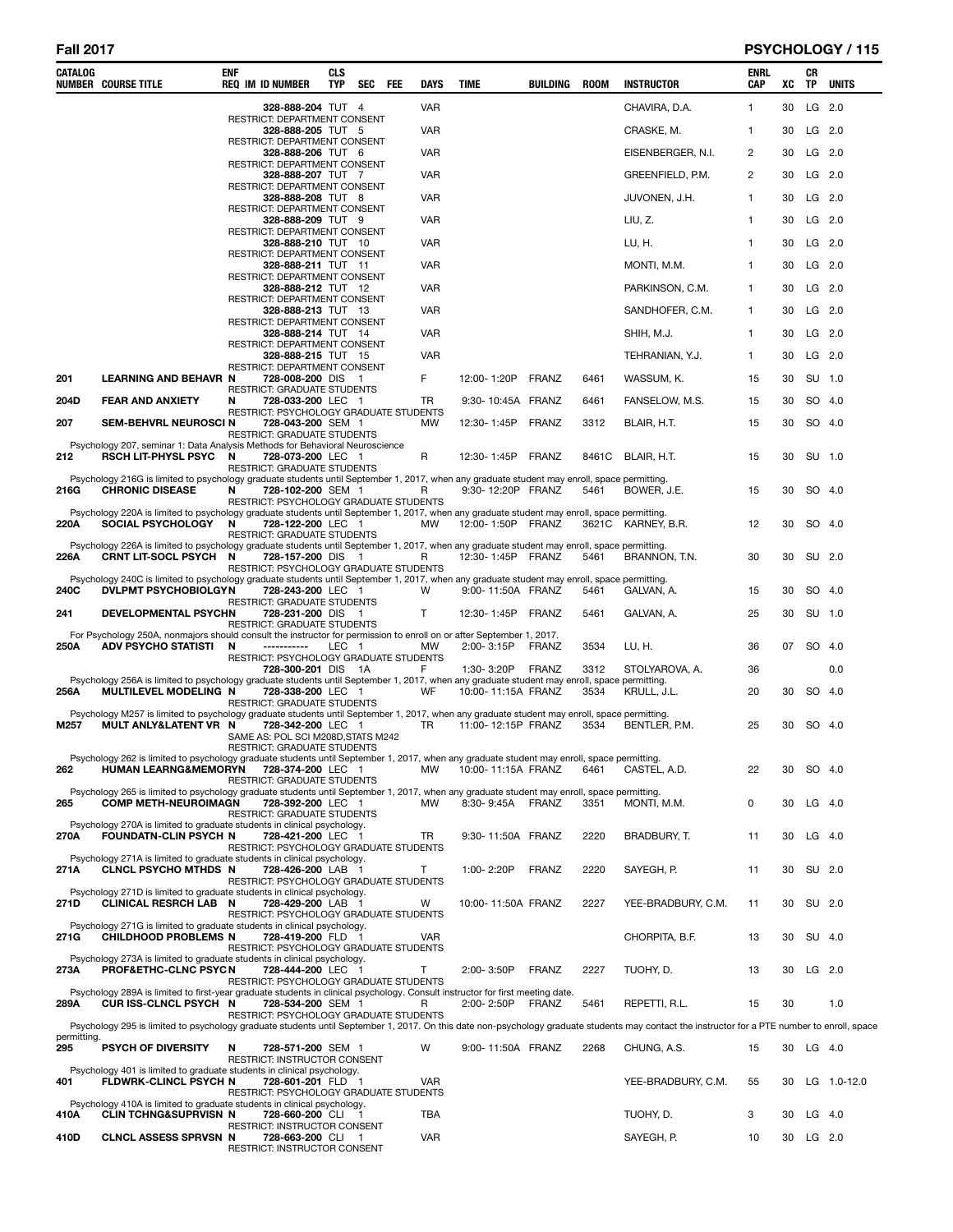# **Fall 2017 PSYCHOLOGY / 115**

| <b>VAR</b><br>LG 2.0<br>CHAVIRA, D.A.<br>$\mathbf{1}$<br>30<br>328-888-204 TUT 4<br>RESTRICT: DEPARTMENT CONSENT<br><b>VAR</b><br>CRASKE, M.<br>$LG$ 2.0<br>328-888-205 TUT 5<br>1<br>30<br>RESTRICT: DEPARTMENT CONSENT<br><b>VAR</b><br>$LG$ 2.0<br>328-888-206 TUT 6<br>EISENBERGER, N.I.<br>2<br>30<br>RESTRICT: DEPARTMENT CONSENT<br><b>VAR</b><br>$LG$ 2.0<br>328-888-207 TUT 7<br>GREENFIELD, P.M.<br>2<br>30<br>RESTRICT: DEPARTMENT CONSENT<br><b>VAR</b><br>30<br>$LG$ 2.0<br>328-888-208 TUT 8<br>JUVONEN, J.H.<br>1<br>RESTRICT: DEPARTMENT CONSENT<br><b>VAR</b><br>LIU, Z.<br>30<br>$LG$ 2.0<br>328-888-209 TUT 9<br>1<br>RESTRICT: DEPARTMENT CONSENT<br>LU, H.<br>$LG$ 2.0<br>328-888-210 TUT 10<br>VAR<br>1<br>30<br><b>RESTRICT: DEPARTMENT CONSENT</b><br><b>VAR</b><br>MONTI, M.M.<br>$LG$ 2.0<br>328-888-211 TUT 11<br>1<br>30<br>RESTRICT: DEPARTMENT CONSENT<br><b>VAR</b><br>30<br>$LG$ 2.0<br>328-888-212 TUT 12<br>PARKINSON, C.M.<br>1<br>RESTRICT: DEPARTMENT CONSENT<br>$LG$ 2.0<br>328-888-213 TUT 13<br>VAR<br>SANDHOFER, C.M.<br>1<br>30<br>RESTRICT: DEPARTMENT CONSENT<br><b>VAR</b><br>$LG$ 2.0<br>328-888-214 TUT 14<br>SHIH, M.J.<br>1<br>30<br>RESTRICT: DEPARTMENT CONSENT<br><b>VAR</b><br>30<br>$LG$ 2.0<br>328-888-215 TUT 15<br>TEHRANIAN, Y.J.<br>1<br>RESTRICT: DEPARTMENT CONSENT<br>F<br>SU 1.0<br><b>LEARNING AND BEHAVR N</b><br>12:00-1:20P<br><b>FRANZ</b><br>201<br>728-008-200 DIS 1<br>6461<br>WASSUM, K.<br>15<br>30<br>RESTRICT: GRADUATE STUDENTS<br><b>FEAR AND ANXIETY</b><br>TR<br>30<br>SO 4.0<br>204D<br>N<br>728-033-200 LEC 1<br>9:30-10:45A FRANZ<br>6461<br>FANSELOW, M.S.<br>15<br>RESTRICT: PSYCHOLOGY GRADUATE STUDENTS<br>SEM-BEHVRL NEUROSCI N<br><b>MW</b><br>12:30-1:45P<br>FRANZ<br>3312<br>BLAIR, H.T.<br>15<br>30<br>SO 4.0<br>207<br>728-043-200 SEM 1<br><b>RESTRICT: GRADUATE STUDENTS</b><br>Psychology 207, seminar 1: Data Analysis Methods for Behavioral Neuroscience<br>R<br>212<br><b>RSCH LIT-PHYSL PSYC</b><br>$\mathbf N$<br>728-073-200 LEC 1<br>12:30-1:45P<br><b>FRANZ</b><br>30<br>SU 1.0<br>8461C<br>BLAIR, H.T.<br>15<br>RESTRICT: GRADUATE STUDENTS<br>Psychology 216G is limited to psychology graduate students until September 1, 2017, when any graduate student may enroll, space permitting.<br><b>CHRONIC DISEASE</b><br>N<br>9:30-12:20P FRANZ<br>SO 4.0<br><b>216G</b><br>728-102-200 SEM 1<br>R<br>5461<br>BOWER, J.E.<br>15<br>30<br>RESTRICT: PSYCHOLOGY GRADUATE STUDENTS<br>Psychology 220A is limited to psychology graduate students until September 1, 2017, when any graduate student may enroll, space permitting.<br><b>SOCIAL PSYCHOLOGY</b><br>N<br>728-122-200 LEC 1<br>12:00-1:50P FRANZ<br>12<br>30<br>SO 4.0<br>220A<br><b>MW</b><br>3621C KARNEY, B.R.<br>RESTRICT: GRADUATE STUDENTS<br>Psychology 226A is limited to psychology graduate students until September 1, 2017, when any graduate student may enroll, space permitting.<br>226A<br>CRNT LIT-SOCL PSYCH N<br>12:30-1:45P FRANZ<br>5461<br>BRANNON, T.N.<br>30<br>SU 2.0<br>728-157-200 DIS 1<br>R<br>30<br>RESTRICT: PSYCHOLOGY GRADUATE STUDENTS<br>Psychology 240C is limited to psychology graduate students until September 1, 2017, when any graduate student may enroll, space permitting.<br><b>DVLPMT PSYCHOBIOLGYN</b><br>9:00-11:50A FRANZ<br>GALVAN, A.<br>SO 4.0<br>240C<br>728-243-200 LEC 1<br>W<br>5461<br>15<br>30<br>RESTRICT: GRADUATE STUDENTS<br><b>DEVELOPMENTAL PSYCHN</b><br>728-231-200 DIS 1<br>Т<br>12:30-1:45P<br>GALVAN, A.<br>25<br>30<br>SU 1.0<br>241<br>FRANZ<br>5461<br>RESTRICT: GRADUATE STUDENTS<br>For Psychology 250A, nonmajors should consult the instructor for permission to enroll on or after September 1, 2017.<br>ADV PSYCHO STATISTI<br>LEC 1<br>2:00-3:15P<br>FRANZ<br>250A<br>N<br>-----------<br><b>MW</b><br>3534<br>LU, H.<br>36<br>07<br>SO 4.0<br>RESTRICT: PSYCHOLOGY GRADUATE STUDENTS<br>728-300-201 DIS 1A<br>F<br>1:30-3:20P<br>FRANZ<br>3312<br>STOLYAROVA, A.<br>0.0<br>36<br>Psychology 256A is limited to psychology graduate students until September 1, 2017, when any graduate student may enroll, space permitting.<br>MULTILEVEL MODELING N<br>728-338-200 LEC 1<br>WF<br>10:00-11:15A FRANZ<br>3534<br>30<br>SO 4.0<br>256A<br>KRULL, J.L.<br>20<br>RESTRICT: GRADUATE STUDENTS<br>Psychology M257 is limited to psychology graduate students until September 1, 2017, when any graduate student may enroll, space permitting.<br>728-342-200 LEC 1<br>11:00-12:15P FRANZ<br>3534<br>BENTLER, P.M.<br>SO 4.0<br>MULT ANLY&LATENT VR N<br>TR<br>25<br>30<br>M257<br>SAME AS: POL SCI M208D, STATS M242<br><b>RESTRICT: GRADUATE STUDENTS</b><br>Psychology 262 is limited to psychology graduate students until September 1, 2017, when any graduate student may enroll, space permitting.<br>262<br><b>MW</b><br>22<br>30<br>SO 4.0<br><b>HUMAN LEARNG&amp;MEMORYN</b><br>728-374-200 LEC 1<br>10:00-11:15A FRANZ<br>6461<br>CASTEL, A.D.<br>RESTRICT: GRADUATE STUDENTS<br>Psychology 265 is limited to psychology graduate students until September 1, 2017, when any graduate student may enroll, space permitting.<br><b>COMP METH-NEUROIMAGN</b><br>$LG$ 4.0<br>265<br>728-392-200 LEC 1<br><b>MW</b><br>8:30-9:45A FRANZ<br>3351<br>MONTI. M.M.<br>0<br>30<br>RESTRICT: GRADUATE STUDENTS<br>Psychology 270A is limited to graduate students in clinical psychology.<br>FOUNDATN-CLIN PSYCH N<br>TR<br>2220<br>BRADBURY, T.<br>$LG$ 4.0<br>270A<br>728-421-200 LEC 1<br>9:30-11:50A FRANZ<br>11<br>30<br>RESTRICT: PSYCHOLOGY GRADUATE STUDENTS<br>Psychology 271A is limited to graduate students in clinical psychology.<br>271A<br><b>CLNCL PSYCHO MTHDS N</b><br>т<br>FRANZ<br>2220<br>SAYEGH, P.<br>SU 2.0<br>728-426-200 LAB 1<br>1:00-2:20P<br>11<br>30<br>RESTRICT: PSYCHOLOGY GRADUATE STUDENTS<br>Psychology 271D is limited to graduate students in clinical psychology.<br>W<br>271D<br>CLINICAL RESRCH LAB N<br>728-429-200 LAB 1<br>10:00-11:50A FRANZ<br>2227<br>YEE-BRADBURY, C.M.<br>11<br>30<br>SU 2.0<br>RESTRICT: PSYCHOLOGY GRADUATE STUDENTS<br>Psychology 271G is limited to graduate students in clinical psychology.<br><b>CHILDHOOD PROBLEMS N</b><br>CHORPITA, B.F.<br>13<br>SU 4.0<br>271G<br>728-419-200 FLD 1<br>VAR<br>30<br>RESTRICT: PSYCHOLOGY GRADUATE STUDENTS<br>Psychology 273A is limited to graduate students in clinical psychology.<br><b>PROF&amp;ETHC-CLNC PSYCN</b><br>2:00-3:50P<br>FRANZ<br>2227<br>TUOHY, D.<br>$LG$ 2.0<br>273A<br>728-444-200 LEC 1<br>13<br>30<br>Τ<br>RESTRICT: PSYCHOLOGY GRADUATE STUDENTS<br>Psychology 289A is limited to first-year graduate students in clinical psychology. Consult instructor for first meeting date.<br>CUR ISS-CLNCL PSYCH N<br>REPETTI, R.L.<br>30<br>289A<br>728-534-200 SEM 1<br>R<br>2:00-2:50P<br>FRANZ<br>5461<br>15<br>1.0<br>RESTRICT: PSYCHOLOGY GRADUATE STUDENTS<br>Psychology 295 is limited to psychology graduate students until September 1, 2017. On this date non-psychology graduate students may contact the instructor for a PTE number to enroll, space<br>permitting.<br>295<br><b>PSYCH OF DIVERSITY</b><br>W<br>N<br>728-571-200 SEM 1<br>9:00-11:50A FRANZ<br>2268<br>CHUNG, A.S.<br>15<br>30 LG 4.0<br>RESTRICT: INSTRUCTOR CONSENT<br>Psychology 401 is limited to graduate students in clinical psychology.<br>401<br>FLDWRK-CLINCL PSYCH N<br>728-601-201 FLD 1<br><b>VAR</b><br>YEE-BRADBURY, C.M.<br>55<br>30<br>LG 1.0-12.0<br>RESTRICT: PSYCHOLOGY GRADUATE STUDENTS<br>Psychology 410A is limited to graduate students in clinical psychology.<br><b>CLIN TCHNG&amp;SUPRVISN N</b><br>TUOHY, D.<br>728-660-200 CLI 1<br>TBA<br>3<br>30<br>$LG$ 4.0<br>410A<br>RESTRICT: INSTRUCTOR CONSENT<br><b>CLNCL ASSESS SPRVSN N</b><br><b>VAR</b><br>SAYEGH, P.<br>LG 2.0<br>410D<br>728-663-200 CLI 1<br>10<br>30<br>RESTRICT: INSTRUCTOR CONSENT | CATALOG | <b>NUMBER COURSE TITLE</b> | <b>ENF</b> | <b>REQ IM ID NUMBER</b> | <b>CLS</b><br>TYP | SEC FEE | <b>DAYS</b> | <b>TIME</b> | BUILDING | ROOM | <b>INSTRUCTOR</b> | <b>ENRL</b><br><b>CAP</b> | XC | ${\tt CR}$<br><b>TP</b> | <b>UNITS</b> |
|----------------------------------------------------------------------------------------------------------------------------------------------------------------------------------------------------------------------------------------------------------------------------------------------------------------------------------------------------------------------------------------------------------------------------------------------------------------------------------------------------------------------------------------------------------------------------------------------------------------------------------------------------------------------------------------------------------------------------------------------------------------------------------------------------------------------------------------------------------------------------------------------------------------------------------------------------------------------------------------------------------------------------------------------------------------------------------------------------------------------------------------------------------------------------------------------------------------------------------------------------------------------------------------------------------------------------------------------------------------------------------------------------------------------------------------------------------------------------------------------------------------------------------------------------------------------------------------------------------------------------------------------------------------------------------------------------------------------------------------------------------------------------------------------------------------------------------------------------------------------------------------------------------------------------------------------------------------------------------------------------------------------------------------------------------------------------------------------------------------------------------------------------------------------------------------------------------------------------------------------------------------------------------------------------------------------------------------------------------------------------------------------------------------------------------------------------------------------------------------------------------------------------------------------------------------------------------------------------------------------------------------------------------------------------------------------------------------------------------------------------------------------------------------------------------------------------------------------------------------------------------------------------------------------------------------------------------------------------------------------------------------------------------------------------------------------------------------------------------------------------------------------------------------------------------------------------------------------------------------------------------------------------------------------------------------------------------------------------------------------------------------------------------------------------------------------------------------------------------------------------------------------------------------------------------------------------------------------------------------------------------------------------------------------------------------------------------------------------------------------------------------------------------------------------------------------------------------------------------------------------------------------------------------------------------------------------------------------------------------------------------------------------------------------------------------------------------------------------------------------------------------------------------------------------------------------------------------------------------------------------------------------------------------------------------------------------------------------------------------------------------------------------------------------------------------------------------------------------------------------------------------------------------------------------------------------------------------------------------------------------------------------------------------------------------------------------------------------------------------------------------------------------------------------------------------------------------------------------------------------------------------------------------------------------------------------------------------------------------------------------------------------------------------------------------------------------------------------------------------------------------------------------------------------------------------------------------------------------------------------------------------------------------------------------------------------------------------------------------------------------------------------------------------------------------------------------------------------------------------------------------------------------------------------------------------------------------------------------------------------------------------------------------------------------------------------------------------------------------------------------------------------------------------------------------------------------------------------------------------------------------------------------------------------------------------------------------------------------------------------------------------------------------------------------------------------------------------------------------------------------------------------------------------------------------------------------------------------------------------------------------------------------------------------------------------------------------------------------------------------------------------------------------------------------------------------------------------------------------------------------------------------------------------------------------------------------------------------------------------------------------------------------------------------------------------------------------------------------------------------------------------------------------------------------------------------------------------------------------------------------------------------------------------------------------------------------------------------------------------------------------------------------------------------------------------------------------------------------------------------------------------------------------------------------------------------------------------------------------------------------------------------------------------------------------------------------------------------------------------------------------------------------------------------------------------------------------------------------------------------------------------------------------------------------------------------------------------------------------------------------------------------------------------------------------------------------------------------------------------------------------------------------------------------------------------------------------------------------------------------------------------------------------------------------------------------|---------|----------------------------|------------|-------------------------|-------------------|---------|-------------|-------------|----------|------|-------------------|---------------------------|----|-------------------------|--------------|
|                                                                                                                                                                                                                                                                                                                                                                                                                                                                                                                                                                                                                                                                                                                                                                                                                                                                                                                                                                                                                                                                                                                                                                                                                                                                                                                                                                                                                                                                                                                                                                                                                                                                                                                                                                                                                                                                                                                                                                                                                                                                                                                                                                                                                                                                                                                                                                                                                                                                                                                                                                                                                                                                                                                                                                                                                                                                                                                                                                                                                                                                                                                                                                                                                                                                                                                                                                                                                                                                                                                                                                                                                                                                                                                                                                                                                                                                                                                                                                                                                                                                                                                                                                                                                                                                                                                                                                                                                                                                                                                                                                                                                                                                                                                                                                                                                                                                                                                                                                                                                                                                                                                                                                                                                                                                                                                                                                                                                                                                                                                                                                                                                                                                                                                                                                                                                                                                                                                                                                                                                                                                                                                                                                                                                                                                                                                                                                                                                                                                                                                                                                                                                                                                                                                                                                                                                                                                                                                                                                                                                                                                                                                                                                                                                                                                                                                                                                                                                                                                                                                                                                                                                                                                                                                                                                                                                                                                                                                                              |         |                            |            |                         |                   |         |             |             |          |      |                   |                           |    |                         |              |
|                                                                                                                                                                                                                                                                                                                                                                                                                                                                                                                                                                                                                                                                                                                                                                                                                                                                                                                                                                                                                                                                                                                                                                                                                                                                                                                                                                                                                                                                                                                                                                                                                                                                                                                                                                                                                                                                                                                                                                                                                                                                                                                                                                                                                                                                                                                                                                                                                                                                                                                                                                                                                                                                                                                                                                                                                                                                                                                                                                                                                                                                                                                                                                                                                                                                                                                                                                                                                                                                                                                                                                                                                                                                                                                                                                                                                                                                                                                                                                                                                                                                                                                                                                                                                                                                                                                                                                                                                                                                                                                                                                                                                                                                                                                                                                                                                                                                                                                                                                                                                                                                                                                                                                                                                                                                                                                                                                                                                                                                                                                                                                                                                                                                                                                                                                                                                                                                                                                                                                                                                                                                                                                                                                                                                                                                                                                                                                                                                                                                                                                                                                                                                                                                                                                                                                                                                                                                                                                                                                                                                                                                                                                                                                                                                                                                                                                                                                                                                                                                                                                                                                                                                                                                                                                                                                                                                                                                                                                                              |         |                            |            |                         |                   |         |             |             |          |      |                   |                           |    |                         |              |
|                                                                                                                                                                                                                                                                                                                                                                                                                                                                                                                                                                                                                                                                                                                                                                                                                                                                                                                                                                                                                                                                                                                                                                                                                                                                                                                                                                                                                                                                                                                                                                                                                                                                                                                                                                                                                                                                                                                                                                                                                                                                                                                                                                                                                                                                                                                                                                                                                                                                                                                                                                                                                                                                                                                                                                                                                                                                                                                                                                                                                                                                                                                                                                                                                                                                                                                                                                                                                                                                                                                                                                                                                                                                                                                                                                                                                                                                                                                                                                                                                                                                                                                                                                                                                                                                                                                                                                                                                                                                                                                                                                                                                                                                                                                                                                                                                                                                                                                                                                                                                                                                                                                                                                                                                                                                                                                                                                                                                                                                                                                                                                                                                                                                                                                                                                                                                                                                                                                                                                                                                                                                                                                                                                                                                                                                                                                                                                                                                                                                                                                                                                                                                                                                                                                                                                                                                                                                                                                                                                                                                                                                                                                                                                                                                                                                                                                                                                                                                                                                                                                                                                                                                                                                                                                                                                                                                                                                                                                                              |         |                            |            |                         |                   |         |             |             |          |      |                   |                           |    |                         |              |
|                                                                                                                                                                                                                                                                                                                                                                                                                                                                                                                                                                                                                                                                                                                                                                                                                                                                                                                                                                                                                                                                                                                                                                                                                                                                                                                                                                                                                                                                                                                                                                                                                                                                                                                                                                                                                                                                                                                                                                                                                                                                                                                                                                                                                                                                                                                                                                                                                                                                                                                                                                                                                                                                                                                                                                                                                                                                                                                                                                                                                                                                                                                                                                                                                                                                                                                                                                                                                                                                                                                                                                                                                                                                                                                                                                                                                                                                                                                                                                                                                                                                                                                                                                                                                                                                                                                                                                                                                                                                                                                                                                                                                                                                                                                                                                                                                                                                                                                                                                                                                                                                                                                                                                                                                                                                                                                                                                                                                                                                                                                                                                                                                                                                                                                                                                                                                                                                                                                                                                                                                                                                                                                                                                                                                                                                                                                                                                                                                                                                                                                                                                                                                                                                                                                                                                                                                                                                                                                                                                                                                                                                                                                                                                                                                                                                                                                                                                                                                                                                                                                                                                                                                                                                                                                                                                                                                                                                                                                                              |         |                            |            |                         |                   |         |             |             |          |      |                   |                           |    |                         |              |
|                                                                                                                                                                                                                                                                                                                                                                                                                                                                                                                                                                                                                                                                                                                                                                                                                                                                                                                                                                                                                                                                                                                                                                                                                                                                                                                                                                                                                                                                                                                                                                                                                                                                                                                                                                                                                                                                                                                                                                                                                                                                                                                                                                                                                                                                                                                                                                                                                                                                                                                                                                                                                                                                                                                                                                                                                                                                                                                                                                                                                                                                                                                                                                                                                                                                                                                                                                                                                                                                                                                                                                                                                                                                                                                                                                                                                                                                                                                                                                                                                                                                                                                                                                                                                                                                                                                                                                                                                                                                                                                                                                                                                                                                                                                                                                                                                                                                                                                                                                                                                                                                                                                                                                                                                                                                                                                                                                                                                                                                                                                                                                                                                                                                                                                                                                                                                                                                                                                                                                                                                                                                                                                                                                                                                                                                                                                                                                                                                                                                                                                                                                                                                                                                                                                                                                                                                                                                                                                                                                                                                                                                                                                                                                                                                                                                                                                                                                                                                                                                                                                                                                                                                                                                                                                                                                                                                                                                                                                                              |         |                            |            |                         |                   |         |             |             |          |      |                   |                           |    |                         |              |
|                                                                                                                                                                                                                                                                                                                                                                                                                                                                                                                                                                                                                                                                                                                                                                                                                                                                                                                                                                                                                                                                                                                                                                                                                                                                                                                                                                                                                                                                                                                                                                                                                                                                                                                                                                                                                                                                                                                                                                                                                                                                                                                                                                                                                                                                                                                                                                                                                                                                                                                                                                                                                                                                                                                                                                                                                                                                                                                                                                                                                                                                                                                                                                                                                                                                                                                                                                                                                                                                                                                                                                                                                                                                                                                                                                                                                                                                                                                                                                                                                                                                                                                                                                                                                                                                                                                                                                                                                                                                                                                                                                                                                                                                                                                                                                                                                                                                                                                                                                                                                                                                                                                                                                                                                                                                                                                                                                                                                                                                                                                                                                                                                                                                                                                                                                                                                                                                                                                                                                                                                                                                                                                                                                                                                                                                                                                                                                                                                                                                                                                                                                                                                                                                                                                                                                                                                                                                                                                                                                                                                                                                                                                                                                                                                                                                                                                                                                                                                                                                                                                                                                                                                                                                                                                                                                                                                                                                                                                                              |         |                            |            |                         |                   |         |             |             |          |      |                   |                           |    |                         |              |
|                                                                                                                                                                                                                                                                                                                                                                                                                                                                                                                                                                                                                                                                                                                                                                                                                                                                                                                                                                                                                                                                                                                                                                                                                                                                                                                                                                                                                                                                                                                                                                                                                                                                                                                                                                                                                                                                                                                                                                                                                                                                                                                                                                                                                                                                                                                                                                                                                                                                                                                                                                                                                                                                                                                                                                                                                                                                                                                                                                                                                                                                                                                                                                                                                                                                                                                                                                                                                                                                                                                                                                                                                                                                                                                                                                                                                                                                                                                                                                                                                                                                                                                                                                                                                                                                                                                                                                                                                                                                                                                                                                                                                                                                                                                                                                                                                                                                                                                                                                                                                                                                                                                                                                                                                                                                                                                                                                                                                                                                                                                                                                                                                                                                                                                                                                                                                                                                                                                                                                                                                                                                                                                                                                                                                                                                                                                                                                                                                                                                                                                                                                                                                                                                                                                                                                                                                                                                                                                                                                                                                                                                                                                                                                                                                                                                                                                                                                                                                                                                                                                                                                                                                                                                                                                                                                                                                                                                                                                                              |         |                            |            |                         |                   |         |             |             |          |      |                   |                           |    |                         |              |
|                                                                                                                                                                                                                                                                                                                                                                                                                                                                                                                                                                                                                                                                                                                                                                                                                                                                                                                                                                                                                                                                                                                                                                                                                                                                                                                                                                                                                                                                                                                                                                                                                                                                                                                                                                                                                                                                                                                                                                                                                                                                                                                                                                                                                                                                                                                                                                                                                                                                                                                                                                                                                                                                                                                                                                                                                                                                                                                                                                                                                                                                                                                                                                                                                                                                                                                                                                                                                                                                                                                                                                                                                                                                                                                                                                                                                                                                                                                                                                                                                                                                                                                                                                                                                                                                                                                                                                                                                                                                                                                                                                                                                                                                                                                                                                                                                                                                                                                                                                                                                                                                                                                                                                                                                                                                                                                                                                                                                                                                                                                                                                                                                                                                                                                                                                                                                                                                                                                                                                                                                                                                                                                                                                                                                                                                                                                                                                                                                                                                                                                                                                                                                                                                                                                                                                                                                                                                                                                                                                                                                                                                                                                                                                                                                                                                                                                                                                                                                                                                                                                                                                                                                                                                                                                                                                                                                                                                                                                                              |         |                            |            |                         |                   |         |             |             |          |      |                   |                           |    |                         |              |
|                                                                                                                                                                                                                                                                                                                                                                                                                                                                                                                                                                                                                                                                                                                                                                                                                                                                                                                                                                                                                                                                                                                                                                                                                                                                                                                                                                                                                                                                                                                                                                                                                                                                                                                                                                                                                                                                                                                                                                                                                                                                                                                                                                                                                                                                                                                                                                                                                                                                                                                                                                                                                                                                                                                                                                                                                                                                                                                                                                                                                                                                                                                                                                                                                                                                                                                                                                                                                                                                                                                                                                                                                                                                                                                                                                                                                                                                                                                                                                                                                                                                                                                                                                                                                                                                                                                                                                                                                                                                                                                                                                                                                                                                                                                                                                                                                                                                                                                                                                                                                                                                                                                                                                                                                                                                                                                                                                                                                                                                                                                                                                                                                                                                                                                                                                                                                                                                                                                                                                                                                                                                                                                                                                                                                                                                                                                                                                                                                                                                                                                                                                                                                                                                                                                                                                                                                                                                                                                                                                                                                                                                                                                                                                                                                                                                                                                                                                                                                                                                                                                                                                                                                                                                                                                                                                                                                                                                                                                                              |         |                            |            |                         |                   |         |             |             |          |      |                   |                           |    |                         |              |
|                                                                                                                                                                                                                                                                                                                                                                                                                                                                                                                                                                                                                                                                                                                                                                                                                                                                                                                                                                                                                                                                                                                                                                                                                                                                                                                                                                                                                                                                                                                                                                                                                                                                                                                                                                                                                                                                                                                                                                                                                                                                                                                                                                                                                                                                                                                                                                                                                                                                                                                                                                                                                                                                                                                                                                                                                                                                                                                                                                                                                                                                                                                                                                                                                                                                                                                                                                                                                                                                                                                                                                                                                                                                                                                                                                                                                                                                                                                                                                                                                                                                                                                                                                                                                                                                                                                                                                                                                                                                                                                                                                                                                                                                                                                                                                                                                                                                                                                                                                                                                                                                                                                                                                                                                                                                                                                                                                                                                                                                                                                                                                                                                                                                                                                                                                                                                                                                                                                                                                                                                                                                                                                                                                                                                                                                                                                                                                                                                                                                                                                                                                                                                                                                                                                                                                                                                                                                                                                                                                                                                                                                                                                                                                                                                                                                                                                                                                                                                                                                                                                                                                                                                                                                                                                                                                                                                                                                                                                                              |         |                            |            |                         |                   |         |             |             |          |      |                   |                           |    |                         |              |
|                                                                                                                                                                                                                                                                                                                                                                                                                                                                                                                                                                                                                                                                                                                                                                                                                                                                                                                                                                                                                                                                                                                                                                                                                                                                                                                                                                                                                                                                                                                                                                                                                                                                                                                                                                                                                                                                                                                                                                                                                                                                                                                                                                                                                                                                                                                                                                                                                                                                                                                                                                                                                                                                                                                                                                                                                                                                                                                                                                                                                                                                                                                                                                                                                                                                                                                                                                                                                                                                                                                                                                                                                                                                                                                                                                                                                                                                                                                                                                                                                                                                                                                                                                                                                                                                                                                                                                                                                                                                                                                                                                                                                                                                                                                                                                                                                                                                                                                                                                                                                                                                                                                                                                                                                                                                                                                                                                                                                                                                                                                                                                                                                                                                                                                                                                                                                                                                                                                                                                                                                                                                                                                                                                                                                                                                                                                                                                                                                                                                                                                                                                                                                                                                                                                                                                                                                                                                                                                                                                                                                                                                                                                                                                                                                                                                                                                                                                                                                                                                                                                                                                                                                                                                                                                                                                                                                                                                                                                                              |         |                            |            |                         |                   |         |             |             |          |      |                   |                           |    |                         |              |
|                                                                                                                                                                                                                                                                                                                                                                                                                                                                                                                                                                                                                                                                                                                                                                                                                                                                                                                                                                                                                                                                                                                                                                                                                                                                                                                                                                                                                                                                                                                                                                                                                                                                                                                                                                                                                                                                                                                                                                                                                                                                                                                                                                                                                                                                                                                                                                                                                                                                                                                                                                                                                                                                                                                                                                                                                                                                                                                                                                                                                                                                                                                                                                                                                                                                                                                                                                                                                                                                                                                                                                                                                                                                                                                                                                                                                                                                                                                                                                                                                                                                                                                                                                                                                                                                                                                                                                                                                                                                                                                                                                                                                                                                                                                                                                                                                                                                                                                                                                                                                                                                                                                                                                                                                                                                                                                                                                                                                                                                                                                                                                                                                                                                                                                                                                                                                                                                                                                                                                                                                                                                                                                                                                                                                                                                                                                                                                                                                                                                                                                                                                                                                                                                                                                                                                                                                                                                                                                                                                                                                                                                                                                                                                                                                                                                                                                                                                                                                                                                                                                                                                                                                                                                                                                                                                                                                                                                                                                                              |         |                            |            |                         |                   |         |             |             |          |      |                   |                           |    |                         |              |
|                                                                                                                                                                                                                                                                                                                                                                                                                                                                                                                                                                                                                                                                                                                                                                                                                                                                                                                                                                                                                                                                                                                                                                                                                                                                                                                                                                                                                                                                                                                                                                                                                                                                                                                                                                                                                                                                                                                                                                                                                                                                                                                                                                                                                                                                                                                                                                                                                                                                                                                                                                                                                                                                                                                                                                                                                                                                                                                                                                                                                                                                                                                                                                                                                                                                                                                                                                                                                                                                                                                                                                                                                                                                                                                                                                                                                                                                                                                                                                                                                                                                                                                                                                                                                                                                                                                                                                                                                                                                                                                                                                                                                                                                                                                                                                                                                                                                                                                                                                                                                                                                                                                                                                                                                                                                                                                                                                                                                                                                                                                                                                                                                                                                                                                                                                                                                                                                                                                                                                                                                                                                                                                                                                                                                                                                                                                                                                                                                                                                                                                                                                                                                                                                                                                                                                                                                                                                                                                                                                                                                                                                                                                                                                                                                                                                                                                                                                                                                                                                                                                                                                                                                                                                                                                                                                                                                                                                                                                                              |         |                            |            |                         |                   |         |             |             |          |      |                   |                           |    |                         |              |
|                                                                                                                                                                                                                                                                                                                                                                                                                                                                                                                                                                                                                                                                                                                                                                                                                                                                                                                                                                                                                                                                                                                                                                                                                                                                                                                                                                                                                                                                                                                                                                                                                                                                                                                                                                                                                                                                                                                                                                                                                                                                                                                                                                                                                                                                                                                                                                                                                                                                                                                                                                                                                                                                                                                                                                                                                                                                                                                                                                                                                                                                                                                                                                                                                                                                                                                                                                                                                                                                                                                                                                                                                                                                                                                                                                                                                                                                                                                                                                                                                                                                                                                                                                                                                                                                                                                                                                                                                                                                                                                                                                                                                                                                                                                                                                                                                                                                                                                                                                                                                                                                                                                                                                                                                                                                                                                                                                                                                                                                                                                                                                                                                                                                                                                                                                                                                                                                                                                                                                                                                                                                                                                                                                                                                                                                                                                                                                                                                                                                                                                                                                                                                                                                                                                                                                                                                                                                                                                                                                                                                                                                                                                                                                                                                                                                                                                                                                                                                                                                                                                                                                                                                                                                                                                                                                                                                                                                                                                                              |         |                            |            |                         |                   |         |             |             |          |      |                   |                           |    |                         |              |
|                                                                                                                                                                                                                                                                                                                                                                                                                                                                                                                                                                                                                                                                                                                                                                                                                                                                                                                                                                                                                                                                                                                                                                                                                                                                                                                                                                                                                                                                                                                                                                                                                                                                                                                                                                                                                                                                                                                                                                                                                                                                                                                                                                                                                                                                                                                                                                                                                                                                                                                                                                                                                                                                                                                                                                                                                                                                                                                                                                                                                                                                                                                                                                                                                                                                                                                                                                                                                                                                                                                                                                                                                                                                                                                                                                                                                                                                                                                                                                                                                                                                                                                                                                                                                                                                                                                                                                                                                                                                                                                                                                                                                                                                                                                                                                                                                                                                                                                                                                                                                                                                                                                                                                                                                                                                                                                                                                                                                                                                                                                                                                                                                                                                                                                                                                                                                                                                                                                                                                                                                                                                                                                                                                                                                                                                                                                                                                                                                                                                                                                                                                                                                                                                                                                                                                                                                                                                                                                                                                                                                                                                                                                                                                                                                                                                                                                                                                                                                                                                                                                                                                                                                                                                                                                                                                                                                                                                                                                                              |         |                            |            |                         |                   |         |             |             |          |      |                   |                           |    |                         |              |
|                                                                                                                                                                                                                                                                                                                                                                                                                                                                                                                                                                                                                                                                                                                                                                                                                                                                                                                                                                                                                                                                                                                                                                                                                                                                                                                                                                                                                                                                                                                                                                                                                                                                                                                                                                                                                                                                                                                                                                                                                                                                                                                                                                                                                                                                                                                                                                                                                                                                                                                                                                                                                                                                                                                                                                                                                                                                                                                                                                                                                                                                                                                                                                                                                                                                                                                                                                                                                                                                                                                                                                                                                                                                                                                                                                                                                                                                                                                                                                                                                                                                                                                                                                                                                                                                                                                                                                                                                                                                                                                                                                                                                                                                                                                                                                                                                                                                                                                                                                                                                                                                                                                                                                                                                                                                                                                                                                                                                                                                                                                                                                                                                                                                                                                                                                                                                                                                                                                                                                                                                                                                                                                                                                                                                                                                                                                                                                                                                                                                                                                                                                                                                                                                                                                                                                                                                                                                                                                                                                                                                                                                                                                                                                                                                                                                                                                                                                                                                                                                                                                                                                                                                                                                                                                                                                                                                                                                                                                                              |         |                            |            |                         |                   |         |             |             |          |      |                   |                           |    |                         |              |
|                                                                                                                                                                                                                                                                                                                                                                                                                                                                                                                                                                                                                                                                                                                                                                                                                                                                                                                                                                                                                                                                                                                                                                                                                                                                                                                                                                                                                                                                                                                                                                                                                                                                                                                                                                                                                                                                                                                                                                                                                                                                                                                                                                                                                                                                                                                                                                                                                                                                                                                                                                                                                                                                                                                                                                                                                                                                                                                                                                                                                                                                                                                                                                                                                                                                                                                                                                                                                                                                                                                                                                                                                                                                                                                                                                                                                                                                                                                                                                                                                                                                                                                                                                                                                                                                                                                                                                                                                                                                                                                                                                                                                                                                                                                                                                                                                                                                                                                                                                                                                                                                                                                                                                                                                                                                                                                                                                                                                                                                                                                                                                                                                                                                                                                                                                                                                                                                                                                                                                                                                                                                                                                                                                                                                                                                                                                                                                                                                                                                                                                                                                                                                                                                                                                                                                                                                                                                                                                                                                                                                                                                                                                                                                                                                                                                                                                                                                                                                                                                                                                                                                                                                                                                                                                                                                                                                                                                                                                                              |         |                            |            |                         |                   |         |             |             |          |      |                   |                           |    |                         |              |
|                                                                                                                                                                                                                                                                                                                                                                                                                                                                                                                                                                                                                                                                                                                                                                                                                                                                                                                                                                                                                                                                                                                                                                                                                                                                                                                                                                                                                                                                                                                                                                                                                                                                                                                                                                                                                                                                                                                                                                                                                                                                                                                                                                                                                                                                                                                                                                                                                                                                                                                                                                                                                                                                                                                                                                                                                                                                                                                                                                                                                                                                                                                                                                                                                                                                                                                                                                                                                                                                                                                                                                                                                                                                                                                                                                                                                                                                                                                                                                                                                                                                                                                                                                                                                                                                                                                                                                                                                                                                                                                                                                                                                                                                                                                                                                                                                                                                                                                                                                                                                                                                                                                                                                                                                                                                                                                                                                                                                                                                                                                                                                                                                                                                                                                                                                                                                                                                                                                                                                                                                                                                                                                                                                                                                                                                                                                                                                                                                                                                                                                                                                                                                                                                                                                                                                                                                                                                                                                                                                                                                                                                                                                                                                                                                                                                                                                                                                                                                                                                                                                                                                                                                                                                                                                                                                                                                                                                                                                                              |         |                            |            |                         |                   |         |             |             |          |      |                   |                           |    |                         |              |
|                                                                                                                                                                                                                                                                                                                                                                                                                                                                                                                                                                                                                                                                                                                                                                                                                                                                                                                                                                                                                                                                                                                                                                                                                                                                                                                                                                                                                                                                                                                                                                                                                                                                                                                                                                                                                                                                                                                                                                                                                                                                                                                                                                                                                                                                                                                                                                                                                                                                                                                                                                                                                                                                                                                                                                                                                                                                                                                                                                                                                                                                                                                                                                                                                                                                                                                                                                                                                                                                                                                                                                                                                                                                                                                                                                                                                                                                                                                                                                                                                                                                                                                                                                                                                                                                                                                                                                                                                                                                                                                                                                                                                                                                                                                                                                                                                                                                                                                                                                                                                                                                                                                                                                                                                                                                                                                                                                                                                                                                                                                                                                                                                                                                                                                                                                                                                                                                                                                                                                                                                                                                                                                                                                                                                                                                                                                                                                                                                                                                                                                                                                                                                                                                                                                                                                                                                                                                                                                                                                                                                                                                                                                                                                                                                                                                                                                                                                                                                                                                                                                                                                                                                                                                                                                                                                                                                                                                                                                                              |         |                            |            |                         |                   |         |             |             |          |      |                   |                           |    |                         |              |
|                                                                                                                                                                                                                                                                                                                                                                                                                                                                                                                                                                                                                                                                                                                                                                                                                                                                                                                                                                                                                                                                                                                                                                                                                                                                                                                                                                                                                                                                                                                                                                                                                                                                                                                                                                                                                                                                                                                                                                                                                                                                                                                                                                                                                                                                                                                                                                                                                                                                                                                                                                                                                                                                                                                                                                                                                                                                                                                                                                                                                                                                                                                                                                                                                                                                                                                                                                                                                                                                                                                                                                                                                                                                                                                                                                                                                                                                                                                                                                                                                                                                                                                                                                                                                                                                                                                                                                                                                                                                                                                                                                                                                                                                                                                                                                                                                                                                                                                                                                                                                                                                                                                                                                                                                                                                                                                                                                                                                                                                                                                                                                                                                                                                                                                                                                                                                                                                                                                                                                                                                                                                                                                                                                                                                                                                                                                                                                                                                                                                                                                                                                                                                                                                                                                                                                                                                                                                                                                                                                                                                                                                                                                                                                                                                                                                                                                                                                                                                                                                                                                                                                                                                                                                                                                                                                                                                                                                                                                                              |         |                            |            |                         |                   |         |             |             |          |      |                   |                           |    |                         |              |
|                                                                                                                                                                                                                                                                                                                                                                                                                                                                                                                                                                                                                                                                                                                                                                                                                                                                                                                                                                                                                                                                                                                                                                                                                                                                                                                                                                                                                                                                                                                                                                                                                                                                                                                                                                                                                                                                                                                                                                                                                                                                                                                                                                                                                                                                                                                                                                                                                                                                                                                                                                                                                                                                                                                                                                                                                                                                                                                                                                                                                                                                                                                                                                                                                                                                                                                                                                                                                                                                                                                                                                                                                                                                                                                                                                                                                                                                                                                                                                                                                                                                                                                                                                                                                                                                                                                                                                                                                                                                                                                                                                                                                                                                                                                                                                                                                                                                                                                                                                                                                                                                                                                                                                                                                                                                                                                                                                                                                                                                                                                                                                                                                                                                                                                                                                                                                                                                                                                                                                                                                                                                                                                                                                                                                                                                                                                                                                                                                                                                                                                                                                                                                                                                                                                                                                                                                                                                                                                                                                                                                                                                                                                                                                                                                                                                                                                                                                                                                                                                                                                                                                                                                                                                                                                                                                                                                                                                                                                                              |         |                            |            |                         |                   |         |             |             |          |      |                   |                           |    |                         |              |
|                                                                                                                                                                                                                                                                                                                                                                                                                                                                                                                                                                                                                                                                                                                                                                                                                                                                                                                                                                                                                                                                                                                                                                                                                                                                                                                                                                                                                                                                                                                                                                                                                                                                                                                                                                                                                                                                                                                                                                                                                                                                                                                                                                                                                                                                                                                                                                                                                                                                                                                                                                                                                                                                                                                                                                                                                                                                                                                                                                                                                                                                                                                                                                                                                                                                                                                                                                                                                                                                                                                                                                                                                                                                                                                                                                                                                                                                                                                                                                                                                                                                                                                                                                                                                                                                                                                                                                                                                                                                                                                                                                                                                                                                                                                                                                                                                                                                                                                                                                                                                                                                                                                                                                                                                                                                                                                                                                                                                                                                                                                                                                                                                                                                                                                                                                                                                                                                                                                                                                                                                                                                                                                                                                                                                                                                                                                                                                                                                                                                                                                                                                                                                                                                                                                                                                                                                                                                                                                                                                                                                                                                                                                                                                                                                                                                                                                                                                                                                                                                                                                                                                                                                                                                                                                                                                                                                                                                                                                                              |         |                            |            |                         |                   |         |             |             |          |      |                   |                           |    |                         |              |
|                                                                                                                                                                                                                                                                                                                                                                                                                                                                                                                                                                                                                                                                                                                                                                                                                                                                                                                                                                                                                                                                                                                                                                                                                                                                                                                                                                                                                                                                                                                                                                                                                                                                                                                                                                                                                                                                                                                                                                                                                                                                                                                                                                                                                                                                                                                                                                                                                                                                                                                                                                                                                                                                                                                                                                                                                                                                                                                                                                                                                                                                                                                                                                                                                                                                                                                                                                                                                                                                                                                                                                                                                                                                                                                                                                                                                                                                                                                                                                                                                                                                                                                                                                                                                                                                                                                                                                                                                                                                                                                                                                                                                                                                                                                                                                                                                                                                                                                                                                                                                                                                                                                                                                                                                                                                                                                                                                                                                                                                                                                                                                                                                                                                                                                                                                                                                                                                                                                                                                                                                                                                                                                                                                                                                                                                                                                                                                                                                                                                                                                                                                                                                                                                                                                                                                                                                                                                                                                                                                                                                                                                                                                                                                                                                                                                                                                                                                                                                                                                                                                                                                                                                                                                                                                                                                                                                                                                                                                                              |         |                            |            |                         |                   |         |             |             |          |      |                   |                           |    |                         |              |
|                                                                                                                                                                                                                                                                                                                                                                                                                                                                                                                                                                                                                                                                                                                                                                                                                                                                                                                                                                                                                                                                                                                                                                                                                                                                                                                                                                                                                                                                                                                                                                                                                                                                                                                                                                                                                                                                                                                                                                                                                                                                                                                                                                                                                                                                                                                                                                                                                                                                                                                                                                                                                                                                                                                                                                                                                                                                                                                                                                                                                                                                                                                                                                                                                                                                                                                                                                                                                                                                                                                                                                                                                                                                                                                                                                                                                                                                                                                                                                                                                                                                                                                                                                                                                                                                                                                                                                                                                                                                                                                                                                                                                                                                                                                                                                                                                                                                                                                                                                                                                                                                                                                                                                                                                                                                                                                                                                                                                                                                                                                                                                                                                                                                                                                                                                                                                                                                                                                                                                                                                                                                                                                                                                                                                                                                                                                                                                                                                                                                                                                                                                                                                                                                                                                                                                                                                                                                                                                                                                                                                                                                                                                                                                                                                                                                                                                                                                                                                                                                                                                                                                                                                                                                                                                                                                                                                                                                                                                                              |         |                            |            |                         |                   |         |             |             |          |      |                   |                           |    |                         |              |
|                                                                                                                                                                                                                                                                                                                                                                                                                                                                                                                                                                                                                                                                                                                                                                                                                                                                                                                                                                                                                                                                                                                                                                                                                                                                                                                                                                                                                                                                                                                                                                                                                                                                                                                                                                                                                                                                                                                                                                                                                                                                                                                                                                                                                                                                                                                                                                                                                                                                                                                                                                                                                                                                                                                                                                                                                                                                                                                                                                                                                                                                                                                                                                                                                                                                                                                                                                                                                                                                                                                                                                                                                                                                                                                                                                                                                                                                                                                                                                                                                                                                                                                                                                                                                                                                                                                                                                                                                                                                                                                                                                                                                                                                                                                                                                                                                                                                                                                                                                                                                                                                                                                                                                                                                                                                                                                                                                                                                                                                                                                                                                                                                                                                                                                                                                                                                                                                                                                                                                                                                                                                                                                                                                                                                                                                                                                                                                                                                                                                                                                                                                                                                                                                                                                                                                                                                                                                                                                                                                                                                                                                                                                                                                                                                                                                                                                                                                                                                                                                                                                                                                                                                                                                                                                                                                                                                                                                                                                                              |         |                            |            |                         |                   |         |             |             |          |      |                   |                           |    |                         |              |
|                                                                                                                                                                                                                                                                                                                                                                                                                                                                                                                                                                                                                                                                                                                                                                                                                                                                                                                                                                                                                                                                                                                                                                                                                                                                                                                                                                                                                                                                                                                                                                                                                                                                                                                                                                                                                                                                                                                                                                                                                                                                                                                                                                                                                                                                                                                                                                                                                                                                                                                                                                                                                                                                                                                                                                                                                                                                                                                                                                                                                                                                                                                                                                                                                                                                                                                                                                                                                                                                                                                                                                                                                                                                                                                                                                                                                                                                                                                                                                                                                                                                                                                                                                                                                                                                                                                                                                                                                                                                                                                                                                                                                                                                                                                                                                                                                                                                                                                                                                                                                                                                                                                                                                                                                                                                                                                                                                                                                                                                                                                                                                                                                                                                                                                                                                                                                                                                                                                                                                                                                                                                                                                                                                                                                                                                                                                                                                                                                                                                                                                                                                                                                                                                                                                                                                                                                                                                                                                                                                                                                                                                                                                                                                                                                                                                                                                                                                                                                                                                                                                                                                                                                                                                                                                                                                                                                                                                                                                                              |         |                            |            |                         |                   |         |             |             |          |      |                   |                           |    |                         |              |
|                                                                                                                                                                                                                                                                                                                                                                                                                                                                                                                                                                                                                                                                                                                                                                                                                                                                                                                                                                                                                                                                                                                                                                                                                                                                                                                                                                                                                                                                                                                                                                                                                                                                                                                                                                                                                                                                                                                                                                                                                                                                                                                                                                                                                                                                                                                                                                                                                                                                                                                                                                                                                                                                                                                                                                                                                                                                                                                                                                                                                                                                                                                                                                                                                                                                                                                                                                                                                                                                                                                                                                                                                                                                                                                                                                                                                                                                                                                                                                                                                                                                                                                                                                                                                                                                                                                                                                                                                                                                                                                                                                                                                                                                                                                                                                                                                                                                                                                                                                                                                                                                                                                                                                                                                                                                                                                                                                                                                                                                                                                                                                                                                                                                                                                                                                                                                                                                                                                                                                                                                                                                                                                                                                                                                                                                                                                                                                                                                                                                                                                                                                                                                                                                                                                                                                                                                                                                                                                                                                                                                                                                                                                                                                                                                                                                                                                                                                                                                                                                                                                                                                                                                                                                                                                                                                                                                                                                                                                                              |         |                            |            |                         |                   |         |             |             |          |      |                   |                           |    |                         |              |
|                                                                                                                                                                                                                                                                                                                                                                                                                                                                                                                                                                                                                                                                                                                                                                                                                                                                                                                                                                                                                                                                                                                                                                                                                                                                                                                                                                                                                                                                                                                                                                                                                                                                                                                                                                                                                                                                                                                                                                                                                                                                                                                                                                                                                                                                                                                                                                                                                                                                                                                                                                                                                                                                                                                                                                                                                                                                                                                                                                                                                                                                                                                                                                                                                                                                                                                                                                                                                                                                                                                                                                                                                                                                                                                                                                                                                                                                                                                                                                                                                                                                                                                                                                                                                                                                                                                                                                                                                                                                                                                                                                                                                                                                                                                                                                                                                                                                                                                                                                                                                                                                                                                                                                                                                                                                                                                                                                                                                                                                                                                                                                                                                                                                                                                                                                                                                                                                                                                                                                                                                                                                                                                                                                                                                                                                                                                                                                                                                                                                                                                                                                                                                                                                                                                                                                                                                                                                                                                                                                                                                                                                                                                                                                                                                                                                                                                                                                                                                                                                                                                                                                                                                                                                                                                                                                                                                                                                                                                                              |         |                            |            |                         |                   |         |             |             |          |      |                   |                           |    |                         |              |
|                                                                                                                                                                                                                                                                                                                                                                                                                                                                                                                                                                                                                                                                                                                                                                                                                                                                                                                                                                                                                                                                                                                                                                                                                                                                                                                                                                                                                                                                                                                                                                                                                                                                                                                                                                                                                                                                                                                                                                                                                                                                                                                                                                                                                                                                                                                                                                                                                                                                                                                                                                                                                                                                                                                                                                                                                                                                                                                                                                                                                                                                                                                                                                                                                                                                                                                                                                                                                                                                                                                                                                                                                                                                                                                                                                                                                                                                                                                                                                                                                                                                                                                                                                                                                                                                                                                                                                                                                                                                                                                                                                                                                                                                                                                                                                                                                                                                                                                                                                                                                                                                                                                                                                                                                                                                                                                                                                                                                                                                                                                                                                                                                                                                                                                                                                                                                                                                                                                                                                                                                                                                                                                                                                                                                                                                                                                                                                                                                                                                                                                                                                                                                                                                                                                                                                                                                                                                                                                                                                                                                                                                                                                                                                                                                                                                                                                                                                                                                                                                                                                                                                                                                                                                                                                                                                                                                                                                                                                                              |         |                            |            |                         |                   |         |             |             |          |      |                   |                           |    |                         |              |
|                                                                                                                                                                                                                                                                                                                                                                                                                                                                                                                                                                                                                                                                                                                                                                                                                                                                                                                                                                                                                                                                                                                                                                                                                                                                                                                                                                                                                                                                                                                                                                                                                                                                                                                                                                                                                                                                                                                                                                                                                                                                                                                                                                                                                                                                                                                                                                                                                                                                                                                                                                                                                                                                                                                                                                                                                                                                                                                                                                                                                                                                                                                                                                                                                                                                                                                                                                                                                                                                                                                                                                                                                                                                                                                                                                                                                                                                                                                                                                                                                                                                                                                                                                                                                                                                                                                                                                                                                                                                                                                                                                                                                                                                                                                                                                                                                                                                                                                                                                                                                                                                                                                                                                                                                                                                                                                                                                                                                                                                                                                                                                                                                                                                                                                                                                                                                                                                                                                                                                                                                                                                                                                                                                                                                                                                                                                                                                                                                                                                                                                                                                                                                                                                                                                                                                                                                                                                                                                                                                                                                                                                                                                                                                                                                                                                                                                                                                                                                                                                                                                                                                                                                                                                                                                                                                                                                                                                                                                                              |         |                            |            |                         |                   |         |             |             |          |      |                   |                           |    |                         |              |
|                                                                                                                                                                                                                                                                                                                                                                                                                                                                                                                                                                                                                                                                                                                                                                                                                                                                                                                                                                                                                                                                                                                                                                                                                                                                                                                                                                                                                                                                                                                                                                                                                                                                                                                                                                                                                                                                                                                                                                                                                                                                                                                                                                                                                                                                                                                                                                                                                                                                                                                                                                                                                                                                                                                                                                                                                                                                                                                                                                                                                                                                                                                                                                                                                                                                                                                                                                                                                                                                                                                                                                                                                                                                                                                                                                                                                                                                                                                                                                                                                                                                                                                                                                                                                                                                                                                                                                                                                                                                                                                                                                                                                                                                                                                                                                                                                                                                                                                                                                                                                                                                                                                                                                                                                                                                                                                                                                                                                                                                                                                                                                                                                                                                                                                                                                                                                                                                                                                                                                                                                                                                                                                                                                                                                                                                                                                                                                                                                                                                                                                                                                                                                                                                                                                                                                                                                                                                                                                                                                                                                                                                                                                                                                                                                                                                                                                                                                                                                                                                                                                                                                                                                                                                                                                                                                                                                                                                                                                                              |         |                            |            |                         |                   |         |             |             |          |      |                   |                           |    |                         |              |
|                                                                                                                                                                                                                                                                                                                                                                                                                                                                                                                                                                                                                                                                                                                                                                                                                                                                                                                                                                                                                                                                                                                                                                                                                                                                                                                                                                                                                                                                                                                                                                                                                                                                                                                                                                                                                                                                                                                                                                                                                                                                                                                                                                                                                                                                                                                                                                                                                                                                                                                                                                                                                                                                                                                                                                                                                                                                                                                                                                                                                                                                                                                                                                                                                                                                                                                                                                                                                                                                                                                                                                                                                                                                                                                                                                                                                                                                                                                                                                                                                                                                                                                                                                                                                                                                                                                                                                                                                                                                                                                                                                                                                                                                                                                                                                                                                                                                                                                                                                                                                                                                                                                                                                                                                                                                                                                                                                                                                                                                                                                                                                                                                                                                                                                                                                                                                                                                                                                                                                                                                                                                                                                                                                                                                                                                                                                                                                                                                                                                                                                                                                                                                                                                                                                                                                                                                                                                                                                                                                                                                                                                                                                                                                                                                                                                                                                                                                                                                                                                                                                                                                                                                                                                                                                                                                                                                                                                                                                                              |         |                            |            |                         |                   |         |             |             |          |      |                   |                           |    |                         |              |
|                                                                                                                                                                                                                                                                                                                                                                                                                                                                                                                                                                                                                                                                                                                                                                                                                                                                                                                                                                                                                                                                                                                                                                                                                                                                                                                                                                                                                                                                                                                                                                                                                                                                                                                                                                                                                                                                                                                                                                                                                                                                                                                                                                                                                                                                                                                                                                                                                                                                                                                                                                                                                                                                                                                                                                                                                                                                                                                                                                                                                                                                                                                                                                                                                                                                                                                                                                                                                                                                                                                                                                                                                                                                                                                                                                                                                                                                                                                                                                                                                                                                                                                                                                                                                                                                                                                                                                                                                                                                                                                                                                                                                                                                                                                                                                                                                                                                                                                                                                                                                                                                                                                                                                                                                                                                                                                                                                                                                                                                                                                                                                                                                                                                                                                                                                                                                                                                                                                                                                                                                                                                                                                                                                                                                                                                                                                                                                                                                                                                                                                                                                                                                                                                                                                                                                                                                                                                                                                                                                                                                                                                                                                                                                                                                                                                                                                                                                                                                                                                                                                                                                                                                                                                                                                                                                                                                                                                                                                                              |         |                            |            |                         |                   |         |             |             |          |      |                   |                           |    |                         |              |
|                                                                                                                                                                                                                                                                                                                                                                                                                                                                                                                                                                                                                                                                                                                                                                                                                                                                                                                                                                                                                                                                                                                                                                                                                                                                                                                                                                                                                                                                                                                                                                                                                                                                                                                                                                                                                                                                                                                                                                                                                                                                                                                                                                                                                                                                                                                                                                                                                                                                                                                                                                                                                                                                                                                                                                                                                                                                                                                                                                                                                                                                                                                                                                                                                                                                                                                                                                                                                                                                                                                                                                                                                                                                                                                                                                                                                                                                                                                                                                                                                                                                                                                                                                                                                                                                                                                                                                                                                                                                                                                                                                                                                                                                                                                                                                                                                                                                                                                                                                                                                                                                                                                                                                                                                                                                                                                                                                                                                                                                                                                                                                                                                                                                                                                                                                                                                                                                                                                                                                                                                                                                                                                                                                                                                                                                                                                                                                                                                                                                                                                                                                                                                                                                                                                                                                                                                                                                                                                                                                                                                                                                                                                                                                                                                                                                                                                                                                                                                                                                                                                                                                                                                                                                                                                                                                                                                                                                                                                                              |         |                            |            |                         |                   |         |             |             |          |      |                   |                           |    |                         |              |
|                                                                                                                                                                                                                                                                                                                                                                                                                                                                                                                                                                                                                                                                                                                                                                                                                                                                                                                                                                                                                                                                                                                                                                                                                                                                                                                                                                                                                                                                                                                                                                                                                                                                                                                                                                                                                                                                                                                                                                                                                                                                                                                                                                                                                                                                                                                                                                                                                                                                                                                                                                                                                                                                                                                                                                                                                                                                                                                                                                                                                                                                                                                                                                                                                                                                                                                                                                                                                                                                                                                                                                                                                                                                                                                                                                                                                                                                                                                                                                                                                                                                                                                                                                                                                                                                                                                                                                                                                                                                                                                                                                                                                                                                                                                                                                                                                                                                                                                                                                                                                                                                                                                                                                                                                                                                                                                                                                                                                                                                                                                                                                                                                                                                                                                                                                                                                                                                                                                                                                                                                                                                                                                                                                                                                                                                                                                                                                                                                                                                                                                                                                                                                                                                                                                                                                                                                                                                                                                                                                                                                                                                                                                                                                                                                                                                                                                                                                                                                                                                                                                                                                                                                                                                                                                                                                                                                                                                                                                                              |         |                            |            |                         |                   |         |             |             |          |      |                   |                           |    |                         |              |
|                                                                                                                                                                                                                                                                                                                                                                                                                                                                                                                                                                                                                                                                                                                                                                                                                                                                                                                                                                                                                                                                                                                                                                                                                                                                                                                                                                                                                                                                                                                                                                                                                                                                                                                                                                                                                                                                                                                                                                                                                                                                                                                                                                                                                                                                                                                                                                                                                                                                                                                                                                                                                                                                                                                                                                                                                                                                                                                                                                                                                                                                                                                                                                                                                                                                                                                                                                                                                                                                                                                                                                                                                                                                                                                                                                                                                                                                                                                                                                                                                                                                                                                                                                                                                                                                                                                                                                                                                                                                                                                                                                                                                                                                                                                                                                                                                                                                                                                                                                                                                                                                                                                                                                                                                                                                                                                                                                                                                                                                                                                                                                                                                                                                                                                                                                                                                                                                                                                                                                                                                                                                                                                                                                                                                                                                                                                                                                                                                                                                                                                                                                                                                                                                                                                                                                                                                                                                                                                                                                                                                                                                                                                                                                                                                                                                                                                                                                                                                                                                                                                                                                                                                                                                                                                                                                                                                                                                                                                                              |         |                            |            |                         |                   |         |             |             |          |      |                   |                           |    |                         |              |
|                                                                                                                                                                                                                                                                                                                                                                                                                                                                                                                                                                                                                                                                                                                                                                                                                                                                                                                                                                                                                                                                                                                                                                                                                                                                                                                                                                                                                                                                                                                                                                                                                                                                                                                                                                                                                                                                                                                                                                                                                                                                                                                                                                                                                                                                                                                                                                                                                                                                                                                                                                                                                                                                                                                                                                                                                                                                                                                                                                                                                                                                                                                                                                                                                                                                                                                                                                                                                                                                                                                                                                                                                                                                                                                                                                                                                                                                                                                                                                                                                                                                                                                                                                                                                                                                                                                                                                                                                                                                                                                                                                                                                                                                                                                                                                                                                                                                                                                                                                                                                                                                                                                                                                                                                                                                                                                                                                                                                                                                                                                                                                                                                                                                                                                                                                                                                                                                                                                                                                                                                                                                                                                                                                                                                                                                                                                                                                                                                                                                                                                                                                                                                                                                                                                                                                                                                                                                                                                                                                                                                                                                                                                                                                                                                                                                                                                                                                                                                                                                                                                                                                                                                                                                                                                                                                                                                                                                                                                                              |         |                            |            |                         |                   |         |             |             |          |      |                   |                           |    |                         |              |
|                                                                                                                                                                                                                                                                                                                                                                                                                                                                                                                                                                                                                                                                                                                                                                                                                                                                                                                                                                                                                                                                                                                                                                                                                                                                                                                                                                                                                                                                                                                                                                                                                                                                                                                                                                                                                                                                                                                                                                                                                                                                                                                                                                                                                                                                                                                                                                                                                                                                                                                                                                                                                                                                                                                                                                                                                                                                                                                                                                                                                                                                                                                                                                                                                                                                                                                                                                                                                                                                                                                                                                                                                                                                                                                                                                                                                                                                                                                                                                                                                                                                                                                                                                                                                                                                                                                                                                                                                                                                                                                                                                                                                                                                                                                                                                                                                                                                                                                                                                                                                                                                                                                                                                                                                                                                                                                                                                                                                                                                                                                                                                                                                                                                                                                                                                                                                                                                                                                                                                                                                                                                                                                                                                                                                                                                                                                                                                                                                                                                                                                                                                                                                                                                                                                                                                                                                                                                                                                                                                                                                                                                                                                                                                                                                                                                                                                                                                                                                                                                                                                                                                                                                                                                                                                                                                                                                                                                                                                                              |         |                            |            |                         |                   |         |             |             |          |      |                   |                           |    |                         |              |
|                                                                                                                                                                                                                                                                                                                                                                                                                                                                                                                                                                                                                                                                                                                                                                                                                                                                                                                                                                                                                                                                                                                                                                                                                                                                                                                                                                                                                                                                                                                                                                                                                                                                                                                                                                                                                                                                                                                                                                                                                                                                                                                                                                                                                                                                                                                                                                                                                                                                                                                                                                                                                                                                                                                                                                                                                                                                                                                                                                                                                                                                                                                                                                                                                                                                                                                                                                                                                                                                                                                                                                                                                                                                                                                                                                                                                                                                                                                                                                                                                                                                                                                                                                                                                                                                                                                                                                                                                                                                                                                                                                                                                                                                                                                                                                                                                                                                                                                                                                                                                                                                                                                                                                                                                                                                                                                                                                                                                                                                                                                                                                                                                                                                                                                                                                                                                                                                                                                                                                                                                                                                                                                                                                                                                                                                                                                                                                                                                                                                                                                                                                                                                                                                                                                                                                                                                                                                                                                                                                                                                                                                                                                                                                                                                                                                                                                                                                                                                                                                                                                                                                                                                                                                                                                                                                                                                                                                                                                                              |         |                            |            |                         |                   |         |             |             |          |      |                   |                           |    |                         |              |
|                                                                                                                                                                                                                                                                                                                                                                                                                                                                                                                                                                                                                                                                                                                                                                                                                                                                                                                                                                                                                                                                                                                                                                                                                                                                                                                                                                                                                                                                                                                                                                                                                                                                                                                                                                                                                                                                                                                                                                                                                                                                                                                                                                                                                                                                                                                                                                                                                                                                                                                                                                                                                                                                                                                                                                                                                                                                                                                                                                                                                                                                                                                                                                                                                                                                                                                                                                                                                                                                                                                                                                                                                                                                                                                                                                                                                                                                                                                                                                                                                                                                                                                                                                                                                                                                                                                                                                                                                                                                                                                                                                                                                                                                                                                                                                                                                                                                                                                                                                                                                                                                                                                                                                                                                                                                                                                                                                                                                                                                                                                                                                                                                                                                                                                                                                                                                                                                                                                                                                                                                                                                                                                                                                                                                                                                                                                                                                                                                                                                                                                                                                                                                                                                                                                                                                                                                                                                                                                                                                                                                                                                                                                                                                                                                                                                                                                                                                                                                                                                                                                                                                                                                                                                                                                                                                                                                                                                                                                                              |         |                            |            |                         |                   |         |             |             |          |      |                   |                           |    |                         |              |
|                                                                                                                                                                                                                                                                                                                                                                                                                                                                                                                                                                                                                                                                                                                                                                                                                                                                                                                                                                                                                                                                                                                                                                                                                                                                                                                                                                                                                                                                                                                                                                                                                                                                                                                                                                                                                                                                                                                                                                                                                                                                                                                                                                                                                                                                                                                                                                                                                                                                                                                                                                                                                                                                                                                                                                                                                                                                                                                                                                                                                                                                                                                                                                                                                                                                                                                                                                                                                                                                                                                                                                                                                                                                                                                                                                                                                                                                                                                                                                                                                                                                                                                                                                                                                                                                                                                                                                                                                                                                                                                                                                                                                                                                                                                                                                                                                                                                                                                                                                                                                                                                                                                                                                                                                                                                                                                                                                                                                                                                                                                                                                                                                                                                                                                                                                                                                                                                                                                                                                                                                                                                                                                                                                                                                                                                                                                                                                                                                                                                                                                                                                                                                                                                                                                                                                                                                                                                                                                                                                                                                                                                                                                                                                                                                                                                                                                                                                                                                                                                                                                                                                                                                                                                                                                                                                                                                                                                                                                                              |         |                            |            |                         |                   |         |             |             |          |      |                   |                           |    |                         |              |
|                                                                                                                                                                                                                                                                                                                                                                                                                                                                                                                                                                                                                                                                                                                                                                                                                                                                                                                                                                                                                                                                                                                                                                                                                                                                                                                                                                                                                                                                                                                                                                                                                                                                                                                                                                                                                                                                                                                                                                                                                                                                                                                                                                                                                                                                                                                                                                                                                                                                                                                                                                                                                                                                                                                                                                                                                                                                                                                                                                                                                                                                                                                                                                                                                                                                                                                                                                                                                                                                                                                                                                                                                                                                                                                                                                                                                                                                                                                                                                                                                                                                                                                                                                                                                                                                                                                                                                                                                                                                                                                                                                                                                                                                                                                                                                                                                                                                                                                                                                                                                                                                                                                                                                                                                                                                                                                                                                                                                                                                                                                                                                                                                                                                                                                                                                                                                                                                                                                                                                                                                                                                                                                                                                                                                                                                                                                                                                                                                                                                                                                                                                                                                                                                                                                                                                                                                                                                                                                                                                                                                                                                                                                                                                                                                                                                                                                                                                                                                                                                                                                                                                                                                                                                                                                                                                                                                                                                                                                                              |         |                            |            |                         |                   |         |             |             |          |      |                   |                           |    |                         |              |
|                                                                                                                                                                                                                                                                                                                                                                                                                                                                                                                                                                                                                                                                                                                                                                                                                                                                                                                                                                                                                                                                                                                                                                                                                                                                                                                                                                                                                                                                                                                                                                                                                                                                                                                                                                                                                                                                                                                                                                                                                                                                                                                                                                                                                                                                                                                                                                                                                                                                                                                                                                                                                                                                                                                                                                                                                                                                                                                                                                                                                                                                                                                                                                                                                                                                                                                                                                                                                                                                                                                                                                                                                                                                                                                                                                                                                                                                                                                                                                                                                                                                                                                                                                                                                                                                                                                                                                                                                                                                                                                                                                                                                                                                                                                                                                                                                                                                                                                                                                                                                                                                                                                                                                                                                                                                                                                                                                                                                                                                                                                                                                                                                                                                                                                                                                                                                                                                                                                                                                                                                                                                                                                                                                                                                                                                                                                                                                                                                                                                                                                                                                                                                                                                                                                                                                                                                                                                                                                                                                                                                                                                                                                                                                                                                                                                                                                                                                                                                                                                                                                                                                                                                                                                                                                                                                                                                                                                                                                                              |         |                            |            |                         |                   |         |             |             |          |      |                   |                           |    |                         |              |
|                                                                                                                                                                                                                                                                                                                                                                                                                                                                                                                                                                                                                                                                                                                                                                                                                                                                                                                                                                                                                                                                                                                                                                                                                                                                                                                                                                                                                                                                                                                                                                                                                                                                                                                                                                                                                                                                                                                                                                                                                                                                                                                                                                                                                                                                                                                                                                                                                                                                                                                                                                                                                                                                                                                                                                                                                                                                                                                                                                                                                                                                                                                                                                                                                                                                                                                                                                                                                                                                                                                                                                                                                                                                                                                                                                                                                                                                                                                                                                                                                                                                                                                                                                                                                                                                                                                                                                                                                                                                                                                                                                                                                                                                                                                                                                                                                                                                                                                                                                                                                                                                                                                                                                                                                                                                                                                                                                                                                                                                                                                                                                                                                                                                                                                                                                                                                                                                                                                                                                                                                                                                                                                                                                                                                                                                                                                                                                                                                                                                                                                                                                                                                                                                                                                                                                                                                                                                                                                                                                                                                                                                                                                                                                                                                                                                                                                                                                                                                                                                                                                                                                                                                                                                                                                                                                                                                                                                                                                                              |         |                            |            |                         |                   |         |             |             |          |      |                   |                           |    |                         |              |
|                                                                                                                                                                                                                                                                                                                                                                                                                                                                                                                                                                                                                                                                                                                                                                                                                                                                                                                                                                                                                                                                                                                                                                                                                                                                                                                                                                                                                                                                                                                                                                                                                                                                                                                                                                                                                                                                                                                                                                                                                                                                                                                                                                                                                                                                                                                                                                                                                                                                                                                                                                                                                                                                                                                                                                                                                                                                                                                                                                                                                                                                                                                                                                                                                                                                                                                                                                                                                                                                                                                                                                                                                                                                                                                                                                                                                                                                                                                                                                                                                                                                                                                                                                                                                                                                                                                                                                                                                                                                                                                                                                                                                                                                                                                                                                                                                                                                                                                                                                                                                                                                                                                                                                                                                                                                                                                                                                                                                                                                                                                                                                                                                                                                                                                                                                                                                                                                                                                                                                                                                                                                                                                                                                                                                                                                                                                                                                                                                                                                                                                                                                                                                                                                                                                                                                                                                                                                                                                                                                                                                                                                                                                                                                                                                                                                                                                                                                                                                                                                                                                                                                                                                                                                                                                                                                                                                                                                                                                                              |         |                            |            |                         |                   |         |             |             |          |      |                   |                           |    |                         |              |
|                                                                                                                                                                                                                                                                                                                                                                                                                                                                                                                                                                                                                                                                                                                                                                                                                                                                                                                                                                                                                                                                                                                                                                                                                                                                                                                                                                                                                                                                                                                                                                                                                                                                                                                                                                                                                                                                                                                                                                                                                                                                                                                                                                                                                                                                                                                                                                                                                                                                                                                                                                                                                                                                                                                                                                                                                                                                                                                                                                                                                                                                                                                                                                                                                                                                                                                                                                                                                                                                                                                                                                                                                                                                                                                                                                                                                                                                                                                                                                                                                                                                                                                                                                                                                                                                                                                                                                                                                                                                                                                                                                                                                                                                                                                                                                                                                                                                                                                                                                                                                                                                                                                                                                                                                                                                                                                                                                                                                                                                                                                                                                                                                                                                                                                                                                                                                                                                                                                                                                                                                                                                                                                                                                                                                                                                                                                                                                                                                                                                                                                                                                                                                                                                                                                                                                                                                                                                                                                                                                                                                                                                                                                                                                                                                                                                                                                                                                                                                                                                                                                                                                                                                                                                                                                                                                                                                                                                                                                                              |         |                            |            |                         |                   |         |             |             |          |      |                   |                           |    |                         |              |
|                                                                                                                                                                                                                                                                                                                                                                                                                                                                                                                                                                                                                                                                                                                                                                                                                                                                                                                                                                                                                                                                                                                                                                                                                                                                                                                                                                                                                                                                                                                                                                                                                                                                                                                                                                                                                                                                                                                                                                                                                                                                                                                                                                                                                                                                                                                                                                                                                                                                                                                                                                                                                                                                                                                                                                                                                                                                                                                                                                                                                                                                                                                                                                                                                                                                                                                                                                                                                                                                                                                                                                                                                                                                                                                                                                                                                                                                                                                                                                                                                                                                                                                                                                                                                                                                                                                                                                                                                                                                                                                                                                                                                                                                                                                                                                                                                                                                                                                                                                                                                                                                                                                                                                                                                                                                                                                                                                                                                                                                                                                                                                                                                                                                                                                                                                                                                                                                                                                                                                                                                                                                                                                                                                                                                                                                                                                                                                                                                                                                                                                                                                                                                                                                                                                                                                                                                                                                                                                                                                                                                                                                                                                                                                                                                                                                                                                                                                                                                                                                                                                                                                                                                                                                                                                                                                                                                                                                                                                                              |         |                            |            |                         |                   |         |             |             |          |      |                   |                           |    |                         |              |
|                                                                                                                                                                                                                                                                                                                                                                                                                                                                                                                                                                                                                                                                                                                                                                                                                                                                                                                                                                                                                                                                                                                                                                                                                                                                                                                                                                                                                                                                                                                                                                                                                                                                                                                                                                                                                                                                                                                                                                                                                                                                                                                                                                                                                                                                                                                                                                                                                                                                                                                                                                                                                                                                                                                                                                                                                                                                                                                                                                                                                                                                                                                                                                                                                                                                                                                                                                                                                                                                                                                                                                                                                                                                                                                                                                                                                                                                                                                                                                                                                                                                                                                                                                                                                                                                                                                                                                                                                                                                                                                                                                                                                                                                                                                                                                                                                                                                                                                                                                                                                                                                                                                                                                                                                                                                                                                                                                                                                                                                                                                                                                                                                                                                                                                                                                                                                                                                                                                                                                                                                                                                                                                                                                                                                                                                                                                                                                                                                                                                                                                                                                                                                                                                                                                                                                                                                                                                                                                                                                                                                                                                                                                                                                                                                                                                                                                                                                                                                                                                                                                                                                                                                                                                                                                                                                                                                                                                                                                                              |         |                            |            |                         |                   |         |             |             |          |      |                   |                           |    |                         |              |
|                                                                                                                                                                                                                                                                                                                                                                                                                                                                                                                                                                                                                                                                                                                                                                                                                                                                                                                                                                                                                                                                                                                                                                                                                                                                                                                                                                                                                                                                                                                                                                                                                                                                                                                                                                                                                                                                                                                                                                                                                                                                                                                                                                                                                                                                                                                                                                                                                                                                                                                                                                                                                                                                                                                                                                                                                                                                                                                                                                                                                                                                                                                                                                                                                                                                                                                                                                                                                                                                                                                                                                                                                                                                                                                                                                                                                                                                                                                                                                                                                                                                                                                                                                                                                                                                                                                                                                                                                                                                                                                                                                                                                                                                                                                                                                                                                                                                                                                                                                                                                                                                                                                                                                                                                                                                                                                                                                                                                                                                                                                                                                                                                                                                                                                                                                                                                                                                                                                                                                                                                                                                                                                                                                                                                                                                                                                                                                                                                                                                                                                                                                                                                                                                                                                                                                                                                                                                                                                                                                                                                                                                                                                                                                                                                                                                                                                                                                                                                                                                                                                                                                                                                                                                                                                                                                                                                                                                                                                                              |         |                            |            |                         |                   |         |             |             |          |      |                   |                           |    |                         |              |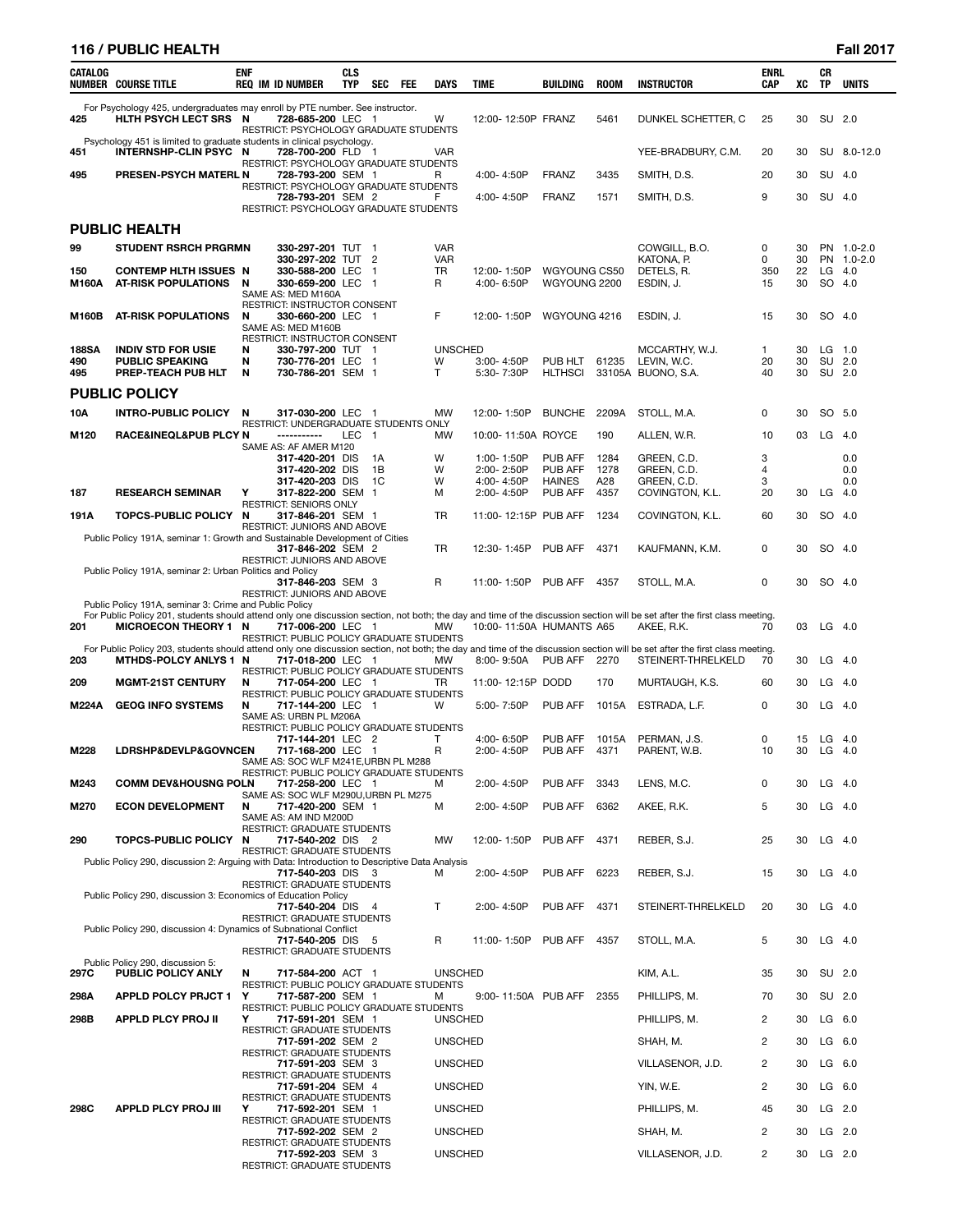# **116 / PUBLIC HEALTH Fall 2017**

| <b>CATALOG</b> | <b>NUMBER COURSE TITLE</b>                                                                            | <b>ENF</b> | <b>REQ IM ID NUMBER</b>                                                           | <b>CLS</b><br><b>TYP</b> | <b>SEC</b> | FEE | <b>DAYS</b>             | <b>TIME</b>                  | <b>BUILDING</b>          | <b>ROOM</b>   | <b>INSTRUCTOR</b>                                                                                                                                                                                | <b>ENRL</b><br><b>CAP</b> | XC       | CR<br><b>TP</b> | <b>UNITS</b>      |
|----------------|-------------------------------------------------------------------------------------------------------|------------|-----------------------------------------------------------------------------------|--------------------------|------------|-----|-------------------------|------------------------------|--------------------------|---------------|--------------------------------------------------------------------------------------------------------------------------------------------------------------------------------------------------|---------------------------|----------|-----------------|-------------------|
| 425            | For Psychology 425, undergraduates may enroll by PTE number. See instructor.<br>HLTH PSYCH LECT SRS N |            | 728-685-200 LEC 1<br>RESTRICT: PSYCHOLOGY GRADUATE STUDENTS                       |                          |            |     | W                       | 12:00-12:50P FRANZ           |                          | 5461          | DUNKEL SCHETTER, C                                                                                                                                                                               | 25                        | 30       | SU 2.0          |                   |
| 451            | Psychology 451 is limited to graduate students in clinical psychology.<br>INTERNSHP-CLIN PSYC N       |            | 728-700-200 FLD 1                                                                 |                          |            |     | VAR.                    |                              |                          |               | YEE-BRADBURY, C.M.                                                                                                                                                                               | 20                        | 30       |                 | SU 8.0-12.0       |
| 495            | PRESEN-PSYCH MATERL N                                                                                 |            | RESTRICT: PSYCHOLOGY GRADUATE STUDENTS<br>728-793-200 SEM 1                       |                          |            |     | R                       | 4:00-4:50P                   | FRANZ                    | 3435          | SMITH, D.S.                                                                                                                                                                                      | 20                        | 30       | SU 4.0          |                   |
|                |                                                                                                       |            | RESTRICT: PSYCHOLOGY GRADUATE STUDENTS<br>728-793-201 SEM 2                       |                          |            |     | F                       | 4:00-4:50P                   | FRANZ                    | 1571          | SMITH, D.S.                                                                                                                                                                                      | 9                         | 30       | SU 4.0          |                   |
|                | <b>PUBLIC HEALTH</b>                                                                                  |            | RESTRICT: PSYCHOLOGY GRADUATE STUDENTS                                            |                          |            |     |                         |                              |                          |               |                                                                                                                                                                                                  |                           |          |                 |                   |
| 99             | <b>STUDENT RSRCH PRGRMN</b>                                                                           |            | 330-297-201 TUT 1                                                                 |                          |            |     | <b>VAR</b>              |                              |                          |               | COWGILL, B.O.                                                                                                                                                                                    | 0                         | 30       |                 | PN 1.0-2.0        |
| 150            | <b>CONTEMP HLTH ISSUES N</b>                                                                          |            | 330-297-202 TUT 2<br>330-588-200 LEC 1                                            |                          |            |     | <b>VAR</b><br><b>TR</b> | 12:00-1:50P                  | WGYOUNG CS50             |               | KATONA, P.<br>DETELS, R.                                                                                                                                                                         | 0<br>350                  | 30<br>22 | LG              | PN 1.0-2.0<br>4.0 |
| M160A          | AT-RISK POPULATIONS                                                                                   | N          | 330-659-200 LEC 1<br>SAME AS: MED M160A                                           |                          |            |     | R                       | 4:00-6:50P                   | WGYOUNG 2200             |               | ESDIN, J.                                                                                                                                                                                        | 15                        | 30       | SO 4.0          |                   |
| M160B          | <b>AT-RISK POPULATIONS</b>                                                                            | N          | RESTRICT: INSTRUCTOR CONSENT<br>330-660-200 LEC 1<br>SAME AS: MED M160B           |                          |            |     | F                       | 12:00-1:50P                  | WGYOUNG 4216             |               | ESDIN, J.                                                                                                                                                                                        | 15                        | 30       | SO 4.0          |                   |
| 188SA          | <b>INDIV STD FOR USIE</b>                                                                             | N          | RESTRICT: INSTRUCTOR CONSENT<br>330-797-200 TUT 1                                 |                          |            |     | <b>UNSCHED</b>          |                              |                          |               | MCCARTHY, W.J.                                                                                                                                                                                   | 1                         | 30       | LG              | 1.0               |
| 490<br>495     | <b>PUBLIC SPEAKING</b><br>PREP-TEACH PUB HLT                                                          | N<br>N     | 730-776-201 LEC 1<br>730-786-201 SEM 1                                            |                          |            |     | W<br>т                  | $3:00 - 4:50P$<br>5:30-7:30P | PUB HLT<br>HLTHSCI       | 61235         | LEVIN, W.C.<br>33105A BUONO, S.A.                                                                                                                                                                | 20<br>40                  | 30<br>30 | SU 2.0          | SU 2.0            |
|                | <b>PUBLIC POLICY</b>                                                                                  |            |                                                                                   |                          |            |     |                         |                              |                          |               |                                                                                                                                                                                                  |                           |          |                 |                   |
| 10A            | <b>INTRO-PUBLIC POLICY</b>                                                                            | N          | 317-030-200 LEC 1                                                                 |                          |            |     | <b>MW</b>               | 12:00-1:50P                  | <b>BUNCHE</b>            | 2209A         | STOLL, M.A.                                                                                                                                                                                      | 0                         | 30       | SO 5.0          |                   |
| M120           | RACE&INEQL&PUB PLCY N                                                                                 |            | RESTRICT: UNDERGRADUATE STUDENTS ONLY<br>-----------                              | LEC 1                    |            |     | <b>MW</b>               | 10:00-11:50A ROYCE           |                          | 190           | ALLEN, W.R.                                                                                                                                                                                      | 10                        | 03       | LG              | 4.0               |
|                |                                                                                                       |            | SAME AS: AF AMER M120<br>317-420-201 DIS                                          |                          | 1A         |     | W                       | 1:00-1:50P                   | PUB AFF                  | 1284          | GREEN, C.D.                                                                                                                                                                                      | 3                         |          |                 | 0.0               |
|                |                                                                                                       |            | 317-420-202 DIS                                                                   |                          | 1В<br>1C   |     | W<br>W                  | 2:00-2:50P                   | PUB AFF                  | 1278          | GREEN, C.D.                                                                                                                                                                                      | 4<br>3                    |          |                 | 0.0<br>0.0        |
| 187            | <b>RESEARCH SEMINAR</b>                                                                               | Υ          | 317-420-203 DIS<br>317-822-200 SEM 1                                              |                          |            |     | м                       | 4:00-4:50P<br>2:00-4:50P     | <b>HAINES</b><br>PUB AFF | A28<br>4357   | GREEN, C.D.<br>COVINGTON, K.L.                                                                                                                                                                   | 20                        | 30       | LG              | 4.0               |
| 191A           | TOPCS-PUBLIC POLICY N                                                                                 |            | <b>RESTRICT: SENIORS ONLY</b><br>317-846-201 SEM 1                                |                          |            |     | TR                      | 11:00-12:15P PUB AFF         |                          | 1234          | COVINGTON, K.L.                                                                                                                                                                                  | 60                        | 30       | SO 4.0          |                   |
|                | Public Policy 191A, seminar 1: Growth and Sustainable Development of Cities                           |            | RESTRICT: JUNIORS AND ABOVE                                                       |                          |            |     |                         |                              |                          |               |                                                                                                                                                                                                  |                           |          |                 |                   |
|                | Public Policy 191A, seminar 2: Urban Politics and Policy                                              |            | 317-846-202 SEM 2<br><b>RESTRICT: JUNIORS AND ABOVE</b>                           |                          |            |     | TR                      | 12:30-1:45P                  | PUB AFF                  | 4371          | KAUFMANN, K.M.                                                                                                                                                                                   | 0                         | 30       | SO.             | - 4.0             |
|                |                                                                                                       |            | 317-846-203 SEM 3                                                                 |                          |            |     | R                       | 11:00-1:50P                  | PUB AFF                  | 4357          | STOLL, M.A.                                                                                                                                                                                      | 0                         | 30       | SO 4.0          |                   |
|                | Public Policy 191A, seminar 3: Crime and Public Policy                                                |            | <b>RESTRICT: JUNIORS AND ABOVE</b>                                                |                          |            |     |                         |                              |                          |               |                                                                                                                                                                                                  |                           |          |                 |                   |
| 201            | <b>MICROECON THEORY 1 N</b>                                                                           |            | 717-006-200 LEC 1<br>RESTRICT: PUBLIC POLICY GRADUATE STUDENTS                    |                          |            |     | <b>MW</b>               | 10:00-11:50A HUMANTS A65     |                          |               | For Public Policy 201, students should attend only one discussion section, not both; the day and time of the discussion section will be set after the first class meeting.<br>AKEE, R.K.         | 70                        | 03       | $LG$ 4.0        |                   |
| 203            | <b>MTHDS-POLCY ANLYS 1 N</b>                                                                          |            | 717-018-200 LEC 1                                                                 |                          |            |     | МW                      | 8:00-9:50A                   | PUB AFF                  | 2270          | For Public Policy 203, students should attend only one discussion section, not both; the day and time of the discussion section will be set after the first class meeting.<br>STEINERT-THRELKELD | 70                        | 30       | LG              | -4.0              |
| 209            | <b>MGMT-21ST CENTURY</b>                                                                              | N          | RESTRICT: PUBLIC POLICY GRADUATE STUDENTS<br>717-054-200 LEC 1                    |                          |            |     | TR                      | 11:00-12:15P DODD            |                          | 170           | MURTAUGH, K.S.                                                                                                                                                                                   | 60                        | 30       | LG              | 4.0               |
| M224A          | <b>GEOG INFO SYSTEMS</b>                                                                              | N          | RESTRICT: PUBLIC POLICY GRADUATE STUDENTS<br>717-144-200 LEC 1                    |                          |            |     | W                       | 5:00-7:50P                   | PUB AFF                  | 1015A         | ESTRADA, L.F.                                                                                                                                                                                    | 0                         | 30       | LG              | - 4.0             |
|                |                                                                                                       |            | SAME AS: URBN PL M206A<br>RESTRICT: PUBLIC POLICY GRADUATE STUDENTS               |                          |            |     |                         |                              |                          |               |                                                                                                                                                                                                  |                           |          |                 |                   |
| M228           | LDRSHP&DEVLP&GOVNCEN                                                                                  |            | 717-144-201 LEC 2<br>717-168-200 LEC 1                                            |                          |            |     | Т<br>R                  | 4:00-6:50P<br>2:00-4:50P     | PUB AFF<br>PUB AFF       | 1015A<br>4371 | PERMAN, J.S.<br>PARENT, W.B.                                                                                                                                                                     | 0<br>10                   | 15<br>30 | LG<br>$LG$ 4.0  | - 4.0             |
|                |                                                                                                       |            | SAME AS: SOC WLF M241E, URBN PL M288<br>RESTRICT: PUBLIC POLICY GRADUATE STUDENTS |                          |            |     |                         |                              |                          |               |                                                                                                                                                                                                  |                           |          |                 |                   |
| M243           | <b>COMM DEV&amp;HOUSNG POLN</b>                                                                       |            | 717-258-200 LEC 1<br>SAME AS: SOC WLF M290U, URBN PL M275                         |                          |            |     | M                       | 2:00-4:50P                   | PUB AFF                  | 3343          | LENS, M.C.                                                                                                                                                                                       | 0                         | 30       | LG              | -4.0              |
| M270           | <b>ECON DEVELOPMENT</b>                                                                               | N          | 717-420-200 SEM 1<br>SAME AS: AM IND M200D                                        |                          |            |     | м                       | 2:00-4:50P                   | PUB AFF                  | 6362          | AKEE, R.K.                                                                                                                                                                                       | 5                         | 30       | $LG$ 4.0        |                   |
| 290            | <b>TOPCS-PUBLIC POLICY</b>                                                                            | N          | RESTRICT: GRADUATE STUDENTS<br>717-540-202 DIS 2                                  |                          |            |     | <b>MW</b>               | 12:00-1:50P                  | PUB AFF                  | 4371          | REBER, S.J.                                                                                                                                                                                      | 25                        | 30       | $LG$ 4.0        |                   |
|                | Public Policy 290, discussion 2: Arguing with Data: Introduction to Descriptive Data Analysis         |            | RESTRICT: GRADUATE STUDENTS                                                       |                          |            |     |                         |                              |                          |               |                                                                                                                                                                                                  |                           |          |                 |                   |
|                |                                                                                                       |            | 717-540-203 DIS 3<br>RESTRICT: GRADUATE STUDENTS                                  |                          |            |     | м                       | 2:00-4:50P                   | PUB AFF                  | 6223          | REBER, S.J.                                                                                                                                                                                      | 15                        | 30       | $LG$ 4.0        |                   |
|                | Public Policy 290, discussion 3: Economics of Education Policy                                        |            | 717-540-204 DIS 4                                                                 |                          |            |     | T                       | 2:00-4:50P                   | PUB AFF                  | 4371          | STEINERT-THRELKELD                                                                                                                                                                               | 20                        | 30       | $LG$ 4.0        |                   |
|                | Public Policy 290, discussion 4: Dynamics of Subnational Conflict                                     |            | RESTRICT: GRADUATE STUDENTS                                                       |                          |            |     |                         |                              |                          |               |                                                                                                                                                                                                  |                           |          |                 |                   |
|                |                                                                                                       |            | 717-540-205 DIS 5<br>RESTRICT: GRADUATE STUDENTS                                  |                          |            |     | R                       | 11:00-1:50P PUB AFF          |                          | 4357          | STOLL, M.A.                                                                                                                                                                                      | 5                         | 30       | $LG$ 4.0        |                   |
|                | Public Policy 290, discussion 5:                                                                      |            |                                                                                   |                          |            |     |                         |                              |                          |               |                                                                                                                                                                                                  |                           |          |                 |                   |
| 297C           | PUBLIC POLICY ANLY                                                                                    | N          | 717-584-200 ACT 1<br>RESTRICT: PUBLIC POLICY GRADUATE STUDENTS                    |                          |            |     | <b>UNSCHED</b>          |                              |                          |               | KIM, A.L.                                                                                                                                                                                        | 35                        | 30       | SU 2.0          |                   |
| 298A           | <b>APPLD POLCY PRJCT 1</b>                                                                            | Υ          | 717-587-200 SEM 1<br>RESTRICT: PUBLIC POLICY GRADUATE STUDENTS                    |                          |            |     | м                       | 9:00-11:50A PUB AFF          |                          | 2355          | PHILLIPS, M.                                                                                                                                                                                     | 70                        | 30       |                 | SU 2.0            |
| 298B           | <b>APPLD PLCY PROJ II</b>                                                                             | Υ          | 717-591-201 SEM 1<br>RESTRICT: GRADUATE STUDENTS                                  |                          |            |     | <b>UNSCHED</b>          |                              |                          |               | PHILLIPS, M.                                                                                                                                                                                     | 2                         | 30       |                 | $LG$ 6.0          |
|                |                                                                                                       |            | 717-591-202 SEM 2<br><b>RESTRICT: GRADUATE STUDENTS</b>                           |                          |            |     | <b>UNSCHED</b>          |                              |                          |               | SHAH, M.                                                                                                                                                                                         | $\overline{c}$            | 30       | LG              | 6.0               |
|                |                                                                                                       |            | 717-591-203 SEM 3<br>RESTRICT: GRADUATE STUDENTS                                  |                          |            |     | <b>UNSCHED</b>          |                              |                          |               | VILLASENOR, J.D.                                                                                                                                                                                 | 2                         | 30       | LG              | 6.0               |
|                |                                                                                                       |            | 717-591-204 SEM 4                                                                 |                          |            |     | <b>UNSCHED</b>          |                              |                          |               | YIN, W.E.                                                                                                                                                                                        | 2                         | 30       | $LG$ 6.0        |                   |
| 298C           | <b>APPLD PLCY PROJ III</b>                                                                            | Υ          | RESTRICT: GRADUATE STUDENTS<br>717-592-201 SEM 1                                  |                          |            |     | <b>UNSCHED</b>          |                              |                          |               | PHILLIPS, M.                                                                                                                                                                                     | 45                        | 30       |                 | $LG$ 2.0          |
|                |                                                                                                       |            | RESTRICT: GRADUATE STUDENTS<br>717-592-202 SEM 2                                  |                          |            |     | <b>UNSCHED</b>          |                              |                          |               | SHAH, M.                                                                                                                                                                                         | 2                         | 30       |                 | $LG$ 2.0          |
|                |                                                                                                       |            | RESTRICT: GRADUATE STUDENTS<br>717-592-203 SEM 3                                  |                          |            |     | <b>UNSCHED</b>          |                              |                          |               | VILLASENOR, J.D.                                                                                                                                                                                 | 2                         | 30       | $LG$ 2.0        |                   |
|                |                                                                                                       |            | RESTRICT: GRADUATE STUDENTS                                                       |                          |            |     |                         |                              |                          |               |                                                                                                                                                                                                  |                           |          |                 |                   |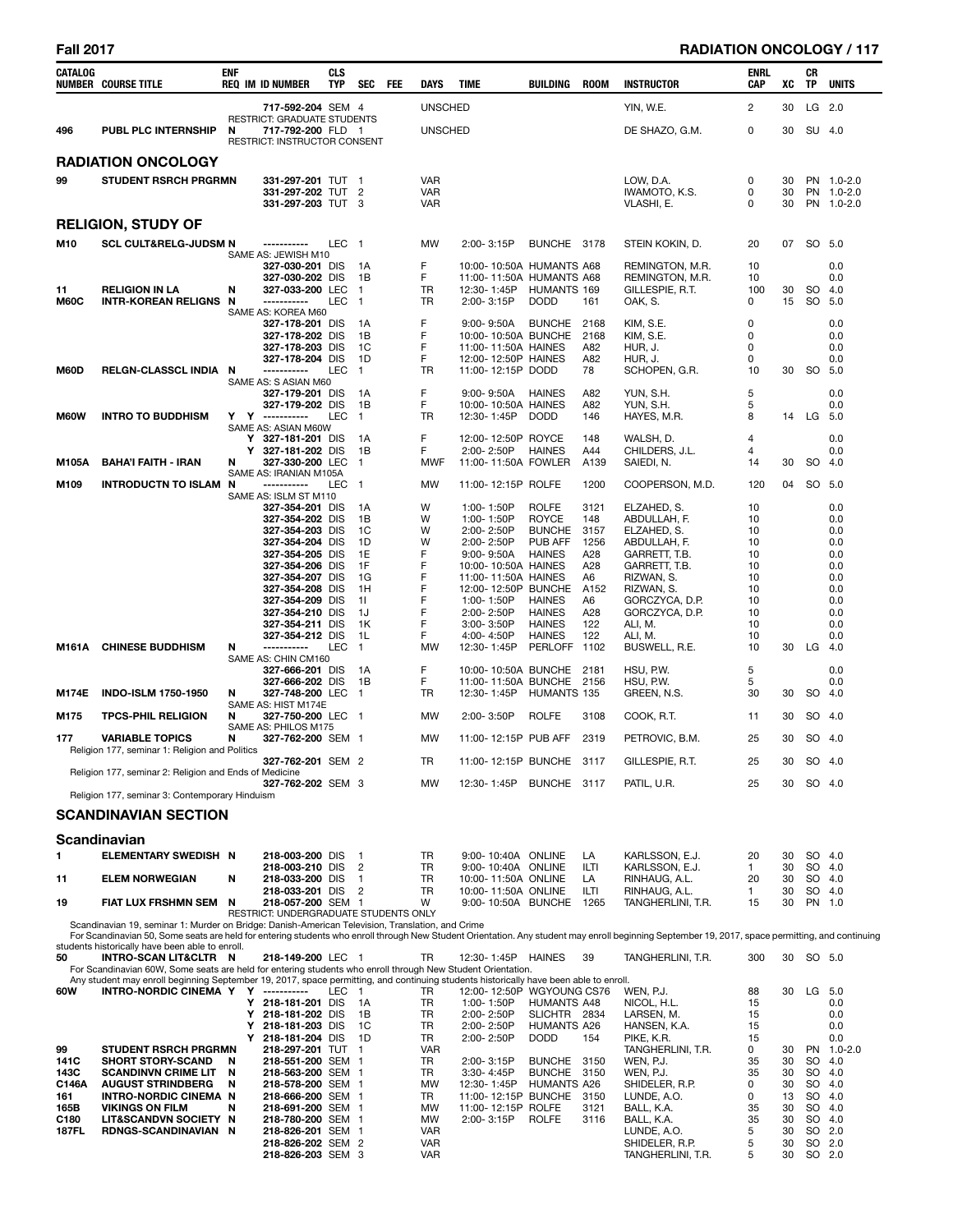| <b>Fall 2017</b>                                            |                                                                                                                                                                                                                                                                                                                                                         |                  |                                                                                                                                                                                                                                                                          |                   |                                                                                         |     |                                                                       |                                                                                                                                                                                                                           |                                                                                                                                               |                                                                                            |                                                                                                                                                                                                       |                                                                             |                                              |           | <b>RADIATION ONCOLOGY / 117</b>                                                            |
|-------------------------------------------------------------|---------------------------------------------------------------------------------------------------------------------------------------------------------------------------------------------------------------------------------------------------------------------------------------------------------------------------------------------------------|------------------|--------------------------------------------------------------------------------------------------------------------------------------------------------------------------------------------------------------------------------------------------------------------------|-------------------|-----------------------------------------------------------------------------------------|-----|-----------------------------------------------------------------------|---------------------------------------------------------------------------------------------------------------------------------------------------------------------------------------------------------------------------|-----------------------------------------------------------------------------------------------------------------------------------------------|--------------------------------------------------------------------------------------------|-------------------------------------------------------------------------------------------------------------------------------------------------------------------------------------------------------|-----------------------------------------------------------------------------|----------------------------------------------|-----------|--------------------------------------------------------------------------------------------|
| CATALOG                                                     | <b>NUMBER COURSE TITLE</b>                                                                                                                                                                                                                                                                                                                              | <b>ENF</b>       | <b>REQ IM ID NUMBER</b>                                                                                                                                                                                                                                                  | <b>CLS</b><br>TYP | <b>SEC</b>                                                                              | FEE | DAYS                                                                  | <b>TIME</b>                                                                                                                                                                                                               | BUILDING                                                                                                                                      | <b>ROOM</b>                                                                                | <b>INSTRUCTOR</b>                                                                                                                                                                                     | <b>ENRL</b><br>CAP                                                          | XC                                           | CR<br>TP  | <b>UNITS</b>                                                                               |
|                                                             |                                                                                                                                                                                                                                                                                                                                                         |                  | 717-592-204 SEM 4                                                                                                                                                                                                                                                        |                   |                                                                                         |     | <b>UNSCHED</b>                                                        |                                                                                                                                                                                                                           |                                                                                                                                               |                                                                                            | YIN, W.E.                                                                                                                                                                                             | 2                                                                           | 30                                           |           | LG 2.0                                                                                     |
| 496                                                         | <b>PUBL PLC INTERNSHIP</b>                                                                                                                                                                                                                                                                                                                              | N                | RESTRICT: GRADUATE STUDENTS<br>717-792-200 FLD 1<br>RESTRICT: INSTRUCTOR CONSENT                                                                                                                                                                                         |                   |                                                                                         |     | <b>UNSCHED</b>                                                        |                                                                                                                                                                                                                           |                                                                                                                                               |                                                                                            | DE SHAZO, G.M.                                                                                                                                                                                        | 0                                                                           | 30                                           |           | SU 4.0                                                                                     |
|                                                             | <b>RADIATION ONCOLOGY</b>                                                                                                                                                                                                                                                                                                                               |                  |                                                                                                                                                                                                                                                                          |                   |                                                                                         |     |                                                                       |                                                                                                                                                                                                                           |                                                                                                                                               |                                                                                            |                                                                                                                                                                                                       |                                                                             |                                              |           |                                                                                            |
| 99                                                          | <b>STUDENT RSRCH PRGRMN</b>                                                                                                                                                                                                                                                                                                                             |                  | 331-297-201 TUT 1<br>331-297-202 TUT 2<br>331-297-203 TUT 3                                                                                                                                                                                                              |                   |                                                                                         |     | <b>VAR</b><br><b>VAR</b><br><b>VAR</b>                                |                                                                                                                                                                                                                           |                                                                                                                                               |                                                                                            | LOW, D.A.<br>IWAMOTO, K.S.<br>VLASHI, E.                                                                                                                                                              | 0<br>0<br>0                                                                 | 30<br>30<br>30                               |           | PN 1.0-2.0<br>PN 1.0-2.0<br>PN 1.0-2.0                                                     |
|                                                             | <b>RELIGION, STUDY OF</b>                                                                                                                                                                                                                                                                                                                               |                  |                                                                                                                                                                                                                                                                          |                   |                                                                                         |     |                                                                       |                                                                                                                                                                                                                           |                                                                                                                                               |                                                                                            |                                                                                                                                                                                                       |                                                                             |                                              |           |                                                                                            |
| M10                                                         | <b>SCL CULT&amp;RELG-JUDSM N</b>                                                                                                                                                                                                                                                                                                                        |                  | -----------                                                                                                                                                                                                                                                              | LEC 1             |                                                                                         |     | <b>MW</b>                                                             | 2:00-3:15P                                                                                                                                                                                                                | BUNCHE 3178                                                                                                                                   |                                                                                            | STEIN KOKIN, D.                                                                                                                                                                                       | 20                                                                          | 07                                           |           | SO 5.0                                                                                     |
| 11<br><b>M60C</b>                                           | <b>RELIGION IN LA</b><br>INTR-KOREAN RELIGNS N                                                                                                                                                                                                                                                                                                          | N                | SAME AS: JEWISH M10<br>327-030-201 DIS<br>327-030-202 DIS<br>327-033-200 LEC<br>-----------                                                                                                                                                                              | <b>LEC</b>        | 1A<br>- 1B<br>$\overline{1}$<br>- 1                                                     |     | F<br>F<br>TR<br><b>TR</b>                                             | 10:00-10:50A HUMANTS A68<br>11:00-11:50A HUMANTS A68<br>12:30-1:45P<br>2:00-3:15P                                                                                                                                         | HUMANTS 169<br><b>DODD</b>                                                                                                                    | 161                                                                                        | REMINGTON, M.R.<br>REMINGTON, M.R.<br>GILLESPIE, R.T.<br>OAK, S.                                                                                                                                      | 10<br>10<br>100<br>$\Omega$                                                 | 30<br>15                                     | SO        | 0.0<br>0.0<br>4.0<br>SO 5.0                                                                |
| M60D                                                        | RELGN-CLASSCL INDIA N                                                                                                                                                                                                                                                                                                                                   |                  | SAME AS: KOREA M60<br>327-178-201 DIS<br>327-178-202 DIS<br>327-178-203 DIS<br>327-178-204 DIS<br>-----------                                                                                                                                                            | LEC <sub>1</sub>  | 1A<br>1B<br>1C<br>1D                                                                    |     | F<br>F<br>F<br>F<br><b>TR</b>                                         | 9:00-9:50A<br>10:00-10:50A BUNCHE<br>11:00-11:50A HAINES<br>12:00-12:50P HAINES<br>11:00-12:15P DODD                                                                                                                      | <b>BUNCHE</b>                                                                                                                                 | 2168<br>2168<br>A82<br>A82<br>78                                                           | KIM, S.E.<br>KIM, S.E.<br>HUR, J.<br>HUR, J.<br>SCHOPEN, G.R.                                                                                                                                         | 0<br>0<br>0<br>0<br>10                                                      |                                              | 30 SO 5.0 | 0.0<br>0.0<br>0.0<br>0.0                                                                   |
| M60W                                                        |                                                                                                                                                                                                                                                                                                                                                         |                  | SAME AS: S ASIAN M60<br>327-179-201 DIS<br>327-179-202 DIS<br>Y Y ----------                                                                                                                                                                                             | LEC <sub>1</sub>  | 1A<br>1B                                                                                |     | F<br>F<br>TR                                                          | $9:00 - 9:50A$<br>10:00-10:50A HAINES<br>12:30-1:45P DODD                                                                                                                                                                 | HAINES                                                                                                                                        | A82<br>A82<br>146                                                                          | YUN, S.H.<br>YUN, S.H.                                                                                                                                                                                | 5<br>5<br>8                                                                 |                                              | 14 LG 5.0 | 0.0<br>0.0                                                                                 |
| M105A                                                       | <b>INTRO TO BUDDHISM</b><br><b>BAHA'I FAITH - IRAN</b>                                                                                                                                                                                                                                                                                                  | Y<br>N           | SAME AS: ASIAN M60W<br>Y 327-181-201 DIS<br>327-181-202 DIS<br>327-330-200 LEC 1                                                                                                                                                                                         |                   | 1A<br>1B                                                                                |     | F<br>F<br><b>MWF</b>                                                  | 12:00-12:50P ROYCE<br>2:00-2:50P<br>11:00-11:50A FOWLER                                                                                                                                                                   | <b>HAINES</b>                                                                                                                                 | 148<br>A44<br>A139                                                                         | HAYES, M.R.<br>WALSH, D.<br>CHILDERS, J.L.<br>SAIEDI, N.                                                                                                                                              | 4<br>4<br>14                                                                | 30                                           |           | 0.0<br>0.0<br>SO 4.0                                                                       |
|                                                             |                                                                                                                                                                                                                                                                                                                                                         |                  | SAME AS: IRANIAN M105A                                                                                                                                                                                                                                                   |                   |                                                                                         |     |                                                                       |                                                                                                                                                                                                                           |                                                                                                                                               |                                                                                            |                                                                                                                                                                                                       |                                                                             |                                              |           |                                                                                            |
| M109                                                        | <b>INTRODUCTN TO ISLAM N</b>                                                                                                                                                                                                                                                                                                                            |                  | -----------<br>SAME AS: ISLM ST M110<br>327-354-201 DIS<br>327-354-202 DIS<br>327-354-203 DIS<br>327-354-204 DIS<br>327-354-205 DIS<br>327-354-206 DIS<br>327-354-207 DIS<br>327-354-208 DIS<br>327-354-209 DIS<br>327-354-210 DIS<br>327-354-211 DIS<br>327-354-212 DIS | LEC               | $\overline{1}$<br>1A<br>1B<br>1C<br>1D<br>1E<br>1F<br>1G<br>1H<br>-11<br>1J<br>1K<br>1L |     | <b>MW</b><br>W<br>W<br>W<br>W<br>F<br>F<br>F<br>F<br>F<br>F<br>F<br>F | 11:00-12:15P ROLFE<br>1:00-1:50P<br>1:00-1:50P<br>2:00-2:50P<br>2:00-2:50P<br>$9:00 - 9:50A$<br>10:00-10:50A HAINES<br>11:00-11:50A HAINES<br>12:00-12:50P BUNCHE<br>1:00-1:50P<br>2:00-2:50P<br>3:00-3:50P<br>4:00-4:50P | <b>ROLFE</b><br><b>ROYCE</b><br><b>BUNCHE</b><br>PUB AFF<br><b>HAINES</b><br><b>HAINES</b><br><b>HAINES</b><br><b>HAINES</b><br><b>HAINES</b> | 1200<br>3121<br>148<br>3157<br>1256<br>A28<br>A28<br>A6<br>A152<br>A6<br>A28<br>122<br>122 | COOPERSON, M.D.<br>ELZAHED, S.<br>ABDULLAH, F.<br>ELZAHED, S.<br>ABDULLAH, F.<br>GARRETT, T.B.<br>GARRETT, T.B.<br>RIZWAN, S.<br>RIZWAN, S.<br>GORCZYCA, D.P.<br>GORCZYCA, D.P.<br>ALI, M.<br>ALI, M. | 120<br>10<br>10<br>10<br>10<br>10<br>10<br>10<br>10<br>10<br>10<br>10<br>10 | 04                                           |           | SO 5.0<br>0.0<br>0.0<br>0.0<br>0.0<br>0.0<br>0.0<br>0.0<br>0.0<br>0.0<br>0.0<br>0.0<br>0.0 |
| M161A                                                       | <b>CHINESE BUDDHISM</b>                                                                                                                                                                                                                                                                                                                                 | N                | -----------<br>SAME AS: CHIN CM160<br>327-666-201 DIS<br>327-666-202 DIS                                                                                                                                                                                                 | <b>LEC</b>        | $\overline{1}$<br>- 1A<br>1B                                                            |     | <b>MW</b><br>F<br>F                                                   | 12:30-1:45P<br>10:00-10:50A BUNCHE 2181<br>11:00-11:50A BUNCHE                                                                                                                                                            | <b>PERLOFF</b>                                                                                                                                | 1102<br>2156                                                                               | BUSWELL, R.E.<br>HSU, P.W.<br>HSU, P.W.                                                                                                                                                               | 10<br>5<br>5                                                                | 30                                           | $LG$ 4.0  | 0.0<br>0.0                                                                                 |
| M174E                                                       | <b>INDO-ISLM 1750-1950</b>                                                                                                                                                                                                                                                                                                                              | N                | 327-748-200 LEC<br>SAME AS: HIST M174E                                                                                                                                                                                                                                   |                   | $\overline{1}$                                                                          |     | TR                                                                    | 12:30-1:45P                                                                                                                                                                                                               | <b>HUMANTS 135</b>                                                                                                                            |                                                                                            | GREEN, N.S.                                                                                                                                                                                           | 30                                                                          | 30                                           |           | SO 4.0                                                                                     |
| M175                                                        | <b>TPCS-PHIL RELIGION</b>                                                                                                                                                                                                                                                                                                                               | N                | 327-750-200 LEC 1                                                                                                                                                                                                                                                        |                   |                                                                                         |     | <b>MW</b>                                                             | 2:00-3:50P                                                                                                                                                                                                                | <b>ROLFE</b>                                                                                                                                  | 3108                                                                                       | COOK, R.T.                                                                                                                                                                                            | 11                                                                          | 30                                           | SO 4.0    |                                                                                            |
| 177                                                         | <b>VARIABLE TOPICS</b>                                                                                                                                                                                                                                                                                                                                  |                  | SAME AS: PHILOS M175<br>327-762-200 SEM 1                                                                                                                                                                                                                                |                   |                                                                                         |     | MW                                                                    | 11:00-12:15P PUB AFF 2319                                                                                                                                                                                                 |                                                                                                                                               |                                                                                            | PETROVIC, B.M.                                                                                                                                                                                        | 25                                                                          |                                              | 30 SO 4.0 |                                                                                            |
|                                                             | Religion 177, seminar 1: Religion and Politics                                                                                                                                                                                                                                                                                                          |                  | 327-762-201 SEM 2                                                                                                                                                                                                                                                        |                   |                                                                                         |     | TR                                                                    | 11:00-12:15P BUNCHE 3117                                                                                                                                                                                                  |                                                                                                                                               |                                                                                            | GILLESPIE, R.T.                                                                                                                                                                                       | 25                                                                          | 30                                           |           | SO 4.0                                                                                     |
|                                                             | Religion 177, seminar 2: Religion and Ends of Medicine                                                                                                                                                                                                                                                                                                  |                  | 327-762-202 SEM 3                                                                                                                                                                                                                                                        |                   |                                                                                         |     | <b>MW</b>                                                             | 12:30-1:45P                                                                                                                                                                                                               | BUNCHE 3117                                                                                                                                   |                                                                                            | PATIL, U.R.                                                                                                                                                                                           | 25                                                                          | 30                                           |           | SO 4.0                                                                                     |
|                                                             | Religion 177, seminar 3: Contemporary Hinduism                                                                                                                                                                                                                                                                                                          |                  |                                                                                                                                                                                                                                                                          |                   |                                                                                         |     |                                                                       |                                                                                                                                                                                                                           |                                                                                                                                               |                                                                                            |                                                                                                                                                                                                       |                                                                             |                                              |           |                                                                                            |
|                                                             | <b>SCANDINAVIAN SECTION</b>                                                                                                                                                                                                                                                                                                                             |                  |                                                                                                                                                                                                                                                                          |                   |                                                                                         |     |                                                                       |                                                                                                                                                                                                                           |                                                                                                                                               |                                                                                            |                                                                                                                                                                                                       |                                                                             |                                              |           |                                                                                            |
|                                                             | Scandinavian                                                                                                                                                                                                                                                                                                                                            |                  |                                                                                                                                                                                                                                                                          |                   |                                                                                         |     |                                                                       |                                                                                                                                                                                                                           |                                                                                                                                               |                                                                                            |                                                                                                                                                                                                       |                                                                             |                                              |           |                                                                                            |
| 1                                                           | <b>ELEMENTARY SWEDISH N</b>                                                                                                                                                                                                                                                                                                                             |                  | 218-003-200 DIS                                                                                                                                                                                                                                                          |                   | $\overline{1}$                                                                          |     | TR                                                                    | 9:00-10:40A ONLINE                                                                                                                                                                                                        |                                                                                                                                               | LA                                                                                         | KARLSSON, E.J.                                                                                                                                                                                        | 20                                                                          | 30                                           |           | SO 4.0                                                                                     |
| 11                                                          | <b>ELEM NORWEGIAN</b>                                                                                                                                                                                                                                                                                                                                   | N                | 218-003-210 DIS<br>218-033-200 DIS                                                                                                                                                                                                                                       |                   | $\overline{2}$<br>$\mathbf{1}$                                                          |     | TR<br><b>TR</b>                                                       | 9:00-10:40A ONLINE<br>10:00-11:50A ONLINE                                                                                                                                                                                 |                                                                                                                                               | ILTI<br>LA                                                                                 | KARLSSON, E.J.<br>RINHAUG, A.L.                                                                                                                                                                       | $\mathbf{1}$<br>20                                                          | 30<br>30                                     |           | SO 4.0<br>SO 4.0                                                                           |
| 19                                                          | FIAT LUX FRSHMN SEM                                                                                                                                                                                                                                                                                                                                     | N                | 218-033-201 DIS 2<br>218-057-200 SEM 1                                                                                                                                                                                                                                   |                   |                                                                                         |     | <b>TR</b><br>W                                                        | 10:00-11:50A ONLINE<br>9:00-10:50A BUNCHE 1265                                                                                                                                                                            |                                                                                                                                               | ILTI                                                                                       | RINHAUG, A.L.<br>TANGHERLINI, T.R.                                                                                                                                                                    | $\mathbf{1}$<br>15                                                          | 30<br>30                                     |           | SO 4.0<br>PN 1.0                                                                           |
|                                                             | Scandinavian 19, seminar 1: Murder on Bridge: Danish-American Television, Translation, and Crime<br>For Scandinavian 50, Some seats are held for entering students who enroll through New Student Orientation. Any student may enroll beginning September 19, 2017, space permitting, and continuing<br>students historically have been able to enroll. |                  | RESTRICT: UNDERGRADUATE STUDENTS ONLY                                                                                                                                                                                                                                    |                   |                                                                                         |     |                                                                       |                                                                                                                                                                                                                           |                                                                                                                                               |                                                                                            |                                                                                                                                                                                                       |                                                                             |                                              |           |                                                                                            |
| 50                                                          | INTRO-SCAN LIT&CLTR N<br>For Scandinavian 60W, Some seats are held for entering students who enroll through New Student Orientation.                                                                                                                                                                                                                    |                  | 218-149-200 LEC 1                                                                                                                                                                                                                                                        |                   |                                                                                         |     | TR                                                                    | 12:30-1:45P HAINES                                                                                                                                                                                                        |                                                                                                                                               | 39                                                                                         | TANGHERLINI, T.R.                                                                                                                                                                                     | 300                                                                         |                                              | 30 SO 5.0 |                                                                                            |
| 60W                                                         | Any student may enroll beginning September 19, 2017, space permitting, and continuing students historically have been able to enroll.<br>INTRO-NORDIC CINEMA Y Y -----------                                                                                                                                                                            | Y                | Y 218-181-201 DIS<br>Y 218-181-202 DIS<br>218-181-203 DIS<br>Y 218-181-204 DIS                                                                                                                                                                                           | LEC 1             | - 1A<br>- 1B<br>- 1C<br>- 1D                                                            |     | TR<br>TR<br>TR<br>TR<br>TR                                            | 12:00-12:50P WGYOUNG CS76<br>1:00-1:50P<br>2:00-2:50P<br>2:00-2:50P<br>2:00-2:50P                                                                                                                                         | <b>HUMANTS A48</b><br>SLICHTR 2834<br>HUMANTS A26<br><b>DODD</b>                                                                              | 154                                                                                        | WEN, P.J.<br>NICOL, H.L.<br>LARSEN, M.<br>HANSEN, K.A.<br>PIKE, K.R.                                                                                                                                  | 88<br>15<br>15<br>15<br>15                                                  | 30                                           |           | LG 5.0<br>0.0<br>0.0<br>0.0<br>0.0                                                         |
| 99<br>141C<br>143C<br>C146A<br>161<br>165B<br>C180<br>187FL | <b>STUDENT RSRCH PRGRMN</b><br><b>SHORT STORY-SCAND</b><br><b>SCANDINVN CRIME LIT</b><br><b>AUGUST STRINDBERG</b><br>INTRO-NORDIC CINEMA N<br><b>VIKINGS ON FILM</b><br>LIT&SCANDVN SOCIETY N<br>RDNGS-SCANDINAVIAN N                                                                                                                                   | N<br>N<br>N<br>N | 218-297-201 TUT 1<br>218-551-200 SEM 1<br>218-563-200 SEM 1<br>218-578-200 SEM 1<br>218-666-200 SEM 1<br>218-691-200 SEM 1<br>218-780-200 SEM 1<br>218-826-201 SEM 1                                                                                                     |                   |                                                                                         |     | <b>VAR</b><br>TR<br>TR<br>MW<br>TR<br>MW<br>MW<br>VAR                 | 2:00-3:15P<br>3:30-4:45P<br>12:30-1:45P<br>11:00-12:15P BUNCHE<br>11:00-12:15P ROLFE<br>2:00-3:15P                                                                                                                        | <b>BUNCHE</b><br><b>BUNCHE</b><br><b>HUMANTS A26</b><br>ROLFE                                                                                 | 3150<br>3150<br>3150<br>3121<br>3116                                                       | TANGHERLINI, T.R.<br>WEN, P.J.<br>WEN, P.J.<br>SHIDELER, R.P.<br>LUNDE, A.O.<br>BALL, K.A.<br>BALL, K.A.<br>LUNDE, A.O.                                                                               | 0<br>35<br>35<br>0<br>0<br>35<br>35<br>5                                    | 30<br>30<br>30<br>30<br>13<br>30<br>30<br>30 |           | PN 1.0-2.0<br>SO 4.0<br>SO 4.0<br>SO 4.0<br>SO 4.0<br>SO 4.0<br>SO 4.0<br>SO 2.0           |

**218-826-202** SEM 2 VAR SHIDELER, R.P. 5 30 SO 2.0<br>**218-826-203** SEM 3 VAR TANGHERLINI, T.R. 5 30 SO 2.0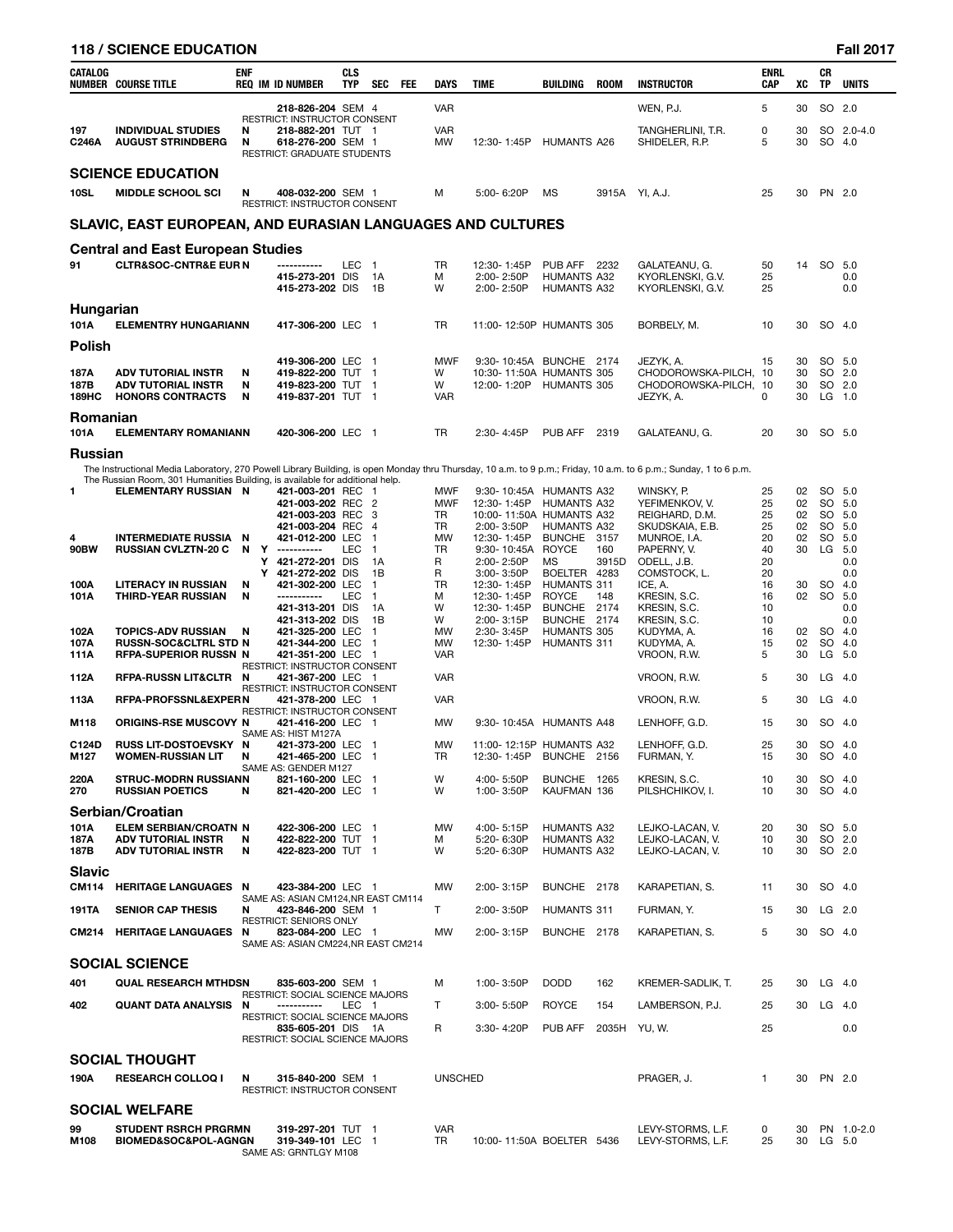|                              | <b>118 / SCIENCE EDUCATION</b>                                                                |             |   |                                                                                                                      |                          |                                  |                                                                              |                                                                                                                      |                                                                 |             |                                                                                                                                                                  |                                  |                                  |                 | <b>Fall 2017</b>                                         |
|------------------------------|-----------------------------------------------------------------------------------------------|-------------|---|----------------------------------------------------------------------------------------------------------------------|--------------------------|----------------------------------|------------------------------------------------------------------------------|----------------------------------------------------------------------------------------------------------------------|-----------------------------------------------------------------|-------------|------------------------------------------------------------------------------------------------------------------------------------------------------------------|----------------------------------|----------------------------------|-----------------|----------------------------------------------------------|
| <b>CATALOG</b>               | <b>NUMBER COURSE TITLE</b>                                                                    | <b>ENF</b>  |   | <b>REQ IM ID NUMBER</b>                                                                                              | <b>CLS</b><br><b>TYP</b> | SEC FEE                          | <b>DAYS</b>                                                                  | <b>TIME</b>                                                                                                          | BUILDING                                                        | <b>ROOM</b> | <b>INSTRUCTOR</b>                                                                                                                                                | <b>ENRL</b><br><b>CAP</b>        | XC                               | CR<br><b>TP</b> | <b>UNITS</b>                                             |
|                              |                                                                                               |             |   | 218-826-204 SEM 4                                                                                                    |                          |                                  | <b>VAR</b>                                                                   |                                                                                                                      |                                                                 |             | WEN, P.J.                                                                                                                                                        | 5                                | 30                               |                 | SO 2.0                                                   |
| 197<br><b>C246A</b>          | <b>INDIVIDUAL STUDIES</b><br><b>AUGUST STRINDBERG</b>                                         | N<br>N      |   | <b>RESTRICT: INSTRUCTOR CONSENT</b><br>218-882-201 TUT 1<br>618-276-200 SEM 1<br><b>RESTRICT: GRADUATE STUDENTS</b>  |                          |                                  | <b>VAR</b><br><b>MW</b>                                                      | 12:30-1:45P                                                                                                          | <b>HUMANTS A26</b>                                              |             | TANGHERLINI, T.R.<br>SHIDELER, R.P.                                                                                                                              | 0<br>5                           | 30<br>30                         |                 | SO 2.0-4.0<br>SO 4.0                                     |
|                              | <b>SCIENCE EDUCATION</b>                                                                      |             |   |                                                                                                                      |                          |                                  |                                                                              |                                                                                                                      |                                                                 |             |                                                                                                                                                                  |                                  |                                  |                 |                                                          |
| <b>10SL</b>                  | <b>MIDDLE SCHOOL SCI</b>                                                                      | N           |   | 408-032-200 SEM 1<br>RESTRICT: INSTRUCTOR CONSENT                                                                    |                          |                                  | м                                                                            | 5:00-6:20P                                                                                                           | <b>MS</b>                                                       |             | 3915A YI, A.J.                                                                                                                                                   | 25                               | 30                               |                 | PN 2.0                                                   |
|                              | SLAVIC, EAST EUROPEAN, AND EURASIAN LANGUAGES AND CULTURES                                    |             |   |                                                                                                                      |                          |                                  |                                                                              |                                                                                                                      |                                                                 |             |                                                                                                                                                                  |                                  |                                  |                 |                                                          |
|                              | <b>Central and East European Studies</b>                                                      |             |   |                                                                                                                      |                          |                                  |                                                                              |                                                                                                                      |                                                                 |             |                                                                                                                                                                  |                                  |                                  |                 |                                                          |
| 91                           | <b>CLTR&amp;SOC-CNTR&amp;E EUR N</b>                                                          |             |   | -------<br>415-273-201 DIS<br>415-273-202 DIS                                                                        | <b>LEC</b>               | $\overline{1}$<br>1A<br>1B       | TR<br>м<br>W                                                                 | 12:30-1:45P<br>2:00-2:50P<br>2:00-2:50P                                                                              | <b>PUB AFF 2232</b><br><b>HUMANTS A32</b><br><b>HUMANTS A32</b> |             | GALATEANU, G.<br>KYORLENSKI, G.V.<br>KYORLENSKI, G.V.                                                                                                            | 50<br>25<br>25                   | 14                               |                 | SO 5.0<br>0.0<br>0.0                                     |
| Hungarian<br>101A            | <b>ELEMENTRY HUNGARIANN</b>                                                                   |             |   | 417-306-200 LEC 1                                                                                                    |                          |                                  | <b>TR</b>                                                                    | 11:00-12:50P HUMANTS 305                                                                                             |                                                                 |             | BORBELY, M.                                                                                                                                                      | 10                               | 30                               |                 | SO 4.0                                                   |
| <b>Polish</b>                |                                                                                               |             |   |                                                                                                                      |                          |                                  |                                                                              |                                                                                                                      |                                                                 |             |                                                                                                                                                                  |                                  |                                  |                 |                                                          |
| 187A<br>187B<br><b>189HC</b> | <b>ADV TUTORIAL INSTR</b><br><b>ADV TUTORIAL INSTR</b><br><b>HONORS CONTRACTS</b>             | N<br>N<br>N |   | 419-306-200 LEC 1<br>419-822-200 TUT 1<br>419-823-200 TUT 1<br>419-837-201 TUT 1                                     |                          |                                  | <b>MWF</b><br>W<br>W<br><b>VAR</b>                                           | 9:30-10:45A BUNCHE 2174<br>10:30-11:50A HUMANTS 305<br>12:00-1:20P                                                   | <b>HUMANTS 305</b>                                              |             | JEZYK, A.<br>CHODOROWSKA-PILCH, 10<br>CHODOROWSKA-PILCH, 10<br>JEZYK, A.                                                                                         | 15<br>$\Omega$                   | 30<br>30<br>30<br>30             |                 | SO 5.0<br>SO 2.0<br>SO 2.0<br>LG 1.0                     |
| Romanian                     |                                                                                               |             |   |                                                                                                                      |                          |                                  |                                                                              |                                                                                                                      |                                                                 |             |                                                                                                                                                                  |                                  |                                  |                 |                                                          |
| 101A                         | <b>ELEMENTARY ROMANIANN</b>                                                                   |             |   | 420-306-200 LEC 1                                                                                                    |                          |                                  | <b>TR</b>                                                                    | 2:30-4:45P                                                                                                           | PUB AFF 2319                                                    |             | GALATEANU, G.                                                                                                                                                    | 20                               | 30                               |                 | SO 5.0                                                   |
| <b>Russian</b><br>1          | The Russian Room, 301 Humanities Building, is available for additional help.                  |             |   |                                                                                                                      |                          |                                  |                                                                              |                                                                                                                      |                                                                 |             | The Instructional Media Laboratory, 270 Powell Library Building, is open Monday thru Thursday, 10 a.m. to 9 p.m.; Friday, 10 a.m. to 6 p.m.; Sunday, 1 to 6 p.m. |                                  |                                  |                 |                                                          |
| 4<br>90BW                    | <b>ELEMENTARY RUSSIAN N</b><br><b>INTERMEDIATE RUSSIA N</b><br><b>RUSSIAN CVLZTN-20 C</b>     | N           |   | 421-003-201 REC 1<br>421-003-202 REC 2<br>421-003-203 REC 3<br>421-003-204 REC 4<br>421-012-200 LEC<br>Y ----------- | <b>LEC</b>               | $\overline{1}$<br>$\overline{1}$ | <b>MWF</b><br><b>MWF</b><br><b>TR</b><br><b>TR</b><br><b>MW</b><br><b>TR</b> | 9:30-10:45A HUMANTS A32<br>12:30-1:45P<br>10:00-11:50A HUMANTS A32<br>2:00-3:50P<br>12:30-1:45P<br>9:30-10:45A ROYCE | <b>HUMANTS A32</b><br><b>HUMANTS A32</b><br>BUNCHE 3157         | 160         | Winsky, P.<br>YEFIMENKOV, V.<br>REIGHARD, D.M.<br>SKUDSKAIA, E.B.<br>MUNROE, I.A.<br>PAPERNY, V.                                                                 | 25<br>25<br>25<br>25<br>20<br>40 | 02<br>02<br>02<br>02<br>02<br>30 |                 | SO 5.0<br>SO 5.0<br>SO 5.0<br>SO 5.0<br>SO 5.0<br>LG 5.0 |
| 100A                         | <b>LITERACY IN RUSSIAN</b>                                                                    | N           | Υ | 421-272-201 DIS<br>Y 421-272-202 DIS<br>421-302-200 LEC                                                              |                          | 1A<br>1B<br>$\overline{1}$       | R<br>R<br>TR                                                                 | 2:00-2:50P<br>3:00-3:50P<br>12:30-1:45P                                                                              | <b>MS</b><br>BOELTER 4283<br>HUMANTS 311                        | 3915D       | ODELL, J.B.<br>COMSTOCK. L.<br>ICE, A.                                                                                                                           | 20<br>20<br>16                   | 30                               |                 | 0.0<br>0.0<br>SO 4.0                                     |
| 101A                         | <b>THIRD-YEAR RUSSIAN</b>                                                                     | N           |   | -----------<br>421-313-201 DIS<br>421-313-202 DIS                                                                    | <b>LEC</b>               | $\overline{1}$<br>1A<br>1B       | м<br>W<br>W                                                                  | 12:30-1:45P<br>12:30-1:45P<br>2:00-3:15P                                                                             | <b>ROYCE</b><br>BUNCHE 2174<br>BUNCHE 2174                      | 148         | KRESIN, S.C.<br>KRESIN, S.C.<br>KRESIN, S.C.                                                                                                                     | 16<br>10<br>10                   | 02                               | <b>SO</b>       | 5.0<br>0.0<br>0.0                                        |
| 102A<br>107A<br>111A         | <b>TOPICS-ADV RUSSIAN</b><br><b>RUSSN-SOC&amp;CLTRL STD N</b><br><b>RFPA-SUPERIOR RUSSN N</b> | N           |   | 421-325-200 LEC<br>421-344-200 LEC 1<br>421-351-200 LEC 1<br>RESTRICT: INSTRUCTOR CONSENT                            |                          | $\overline{1}$                   | <b>MW</b><br><b>MW</b><br><b>VAR</b>                                         | 2:30-3:45P<br>12:30-1:45P                                                                                            | HUMANTS 305<br><b>HUMANTS 311</b>                               |             | KUDYMA, A.<br>KUDYMA, A.<br>VROON, R.W.                                                                                                                          | 16<br>15<br>5                    | 02<br>02<br>30                   | <b>SO</b>       | SO 4.0<br>4.0<br>$LG$ 5.0                                |
| 112A                         | RFPA-RUSSN LIT&CLTR N                                                                         |             |   | 421-367-200 LEC 1<br><b>RESTRICT: INSTRUCTOR CONSENT</b>                                                             |                          |                                  | <b>VAR</b>                                                                   |                                                                                                                      |                                                                 |             | VROON, R.W.                                                                                                                                                      | 5                                | 30                               |                 | $LG$ 4.0                                                 |
| <b>112A</b>                  | <b>DEDA DDAECCNI 9 EVDED NI</b>                                                               |             |   | $101.270.000 \pm C$                                                                                                  |                          |                                  | $1/\Lambda D$                                                                |                                                                                                                      |                                                                 |             | VDOONID                                                                                                                                                          | $\mathbf{E}$                     |                                  |                 | $20 \quad 10 \quad 40$                                   |

| 102A          | <b>TOPICS-ADV RUSSIAN</b>           | 421-325-200 LEC 1<br>N                                   | MW             | 2:30-3:45P                | <b>HUMANTS 305</b> |             | KUDYMA, A.        | 16           | 02 | SO 4.0   |            |
|---------------|-------------------------------------|----------------------------------------------------------|----------------|---------------------------|--------------------|-------------|-------------------|--------------|----|----------|------------|
| 107A          | <b>RUSSN-SOC&amp;CLTRL STD N</b>    | 421-344-200 LEC 1                                        | MW             | 12:30-1:45P               | <b>HUMANTS 311</b> |             | KUDYMA, A.        | 15           | 02 | SO 4.0   |            |
| 111A          | <b>RFPA-SUPERIOR RUSSN N</b>        | 421-351-200 LEC 1                                        | <b>VAR</b>     |                           |                    |             | VROON, R.W.       | 5            | 30 | LG 5.0   |            |
| 112A          | <b>RFPA-RUSSN LIT&amp;CLTR N</b>    | <b>RESTRICT: INSTRUCTOR CONSENT</b><br>421-367-200 LEC 1 | <b>VAR</b>     |                           |                    |             | VROON, R.W.       | 5            | 30 | $LG$ 4.0 |            |
|               |                                     | <b>RESTRICT: INSTRUCTOR CONSENT</b>                      |                |                           |                    |             |                   |              |    |          |            |
| 113A          | <b>RFPA-PROFSSNL&amp;EXPERN</b>     | 421-378-200 LEC 1                                        | <b>VAR</b>     |                           |                    |             | VROON, R.W.       | 5            | 30 | $LG$ 4.0 |            |
|               |                                     | RESTRICT: INSTRUCTOR CONSENT                             |                |                           |                    |             |                   |              |    |          |            |
| M118          | <b>ORIGINS-RSE MUSCOVY N</b>        | 421-416-200 LEC 1                                        | <b>MW</b>      | 9:30-10:45A HUMANTS A48   |                    |             | LENHOFF, G.D.     | 15           | 30 | SO 4.0   |            |
|               |                                     | SAME AS: HIST M127A                                      |                |                           |                    |             |                   |              |    |          |            |
| C124D         | RUSS LIT-DOSTOEVSKY N               | 421-373-200 LEC 1                                        | <b>MW</b>      | 11:00-12:15P HUMANTS A32  |                    |             | LENHOFF, G.D.     | 25           | 30 | SO 4.0   |            |
| M127          | <b>WOMEN-RUSSIAN LIT</b>            | 421-465-200 LEC 1<br>N                                   | TR.            | 12:30-1:45P               | BUNCHE 2156        |             | FURMAN, Y.        | 15           | 30 | SO 4.0   |            |
|               |                                     | SAME AS: GENDER M127                                     |                |                           |                    |             |                   |              |    |          |            |
| 220A          | <b>STRUC-MODRN RUSSIANN</b>         | 821-160-200 LEC 1                                        | W              | 4:00-5:50P                | BUNCHE 1265        |             | KRESIN, S.C.      | 10           | 30 | SO 4.0   |            |
| 270           | <b>RUSSIAN POETICS</b>              | N<br>821-420-200 LEC 1                                   | W              | 1:00-3:50P                | KAUFMAN 136        |             | PILSHCHIKOV. I.   | 10           | 30 | SO 4.0   |            |
|               | Serbian/Croatian                    |                                                          |                |                           |                    |             |                   |              |    |          |            |
| 101A          | <b>ELEM SERBIAN/CROATN N</b>        | 422-306-200 LEC 1                                        | MW             | 4:00-5:15P                | <b>HUMANTS A32</b> |             | LEJKO-LACAN, V.   | 20           | 30 | SO 5.0   |            |
| 187A          | <b>ADV TUTORIAL INSTR</b>           | 422-822-200 TUT 1<br>N                                   | м              | 5:20-6:30P                | <b>HUMANTS A32</b> |             | LEJKO-LACAN, V.   | 10           | 30 | SO 2.0   |            |
| 187B          | <b>ADV TUTORIAL INSTR</b>           | 422-823-200 TUT 1<br>N                                   | W              | 5:20-6:30P                | <b>HUMANTS A32</b> |             | LEJKO-LACAN, V.   | 10           | 30 | SO 2.0   |            |
|               |                                     |                                                          |                |                           |                    |             |                   |              |    |          |            |
| <b>Slavic</b> |                                     |                                                          |                |                           |                    |             |                   |              |    |          |            |
| <b>CM114</b>  | <b>HERITAGE LANGUAGES N</b>         | 423-384-200 LEC 1                                        | MW             | 2:00-3:15P                | BUNCHE 2178        |             | KARAPETIAN, S.    | 11           | 30 | SO 4.0   |            |
|               |                                     | SAME AS: ASIAN CM124, NR EAST CM114                      |                |                           |                    |             |                   |              |    |          |            |
| <b>191TA</b>  | <b>SENIOR CAP THESIS</b>            | 423-846-200 SEM 1<br>N                                   | T.             | 2:00-3:50P                | HUMANTS 311        |             | FURMAN, Y.        | 15           | 30 | LG 2.0   |            |
|               |                                     | <b>RESTRICT: SENIORS ONLY</b>                            |                |                           |                    |             |                   |              |    |          |            |
| CM214         | <b>HERITAGE LANGUAGES</b>           | 823-084-200 LEC 1<br>N                                   | <b>MW</b>      | 2:00-3:15P                | BUNCHE 2178        |             | KARAPETIAN, S.    | 5            | 30 | SO 4.0   |            |
|               |                                     | SAME AS: ASIAN CM224, NR EAST CM214                      |                |                           |                    |             |                   |              |    |          |            |
|               | <b>SOCIAL SCIENCE</b>               |                                                          |                |                           |                    |             |                   |              |    |          |            |
| 401           | <b>QUAL RESEARCH MTHDSN</b>         | 835-603-200 SEM 1                                        | м              | 1:00-3:50P                | <b>DODD</b>        | 162         | KREMER-SADLIK, T. | 25           | 30 | $LG$ 4.0 |            |
|               |                                     | <b>RESTRICT: SOCIAL SCIENCE MAJORS</b>                   |                |                           |                    |             |                   |              |    |          |            |
| 402           | <b>QUANT DATA ANALYSIS N</b>        | LEC 1<br>-----------                                     | T.             | 3:00-5:50P                | <b>ROYCE</b>       | 154         | LAMBERSON, P.J.   | 25           | 30 | $LG$ 4.0 |            |
|               |                                     | RESTRICT: SOCIAL SCIENCE MAJORS                          |                |                           |                    |             |                   |              |    |          |            |
|               |                                     | 835-605-201 DIS 1A                                       | R              | 3:30-4:20P                | PUB AFF            | 2035H YU.W. |                   | 25           |    |          | 0.0        |
|               |                                     | RESTRICT: SOCIAL SCIENCE MAJORS                          |                |                           |                    |             |                   |              |    |          |            |
|               | <b>SOCIAL THOUGHT</b>               |                                                          |                |                           |                    |             |                   |              |    |          |            |
| 190A          | <b>RESEARCH COLLOQ I</b>            | N<br>315-840-200 SEM 1                                   | <b>UNSCHED</b> |                           |                    |             | PRAGER, J.        | $\mathbf{1}$ | 30 | PN 2.0   |            |
|               |                                     | RESTRICT: INSTRUCTOR CONSENT                             |                |                           |                    |             |                   |              |    |          |            |
|               |                                     |                                                          |                |                           |                    |             |                   |              |    |          |            |
|               | <b>SOCIAL WELFARE</b>               |                                                          |                |                           |                    |             |                   |              |    |          |            |
| 99            | <b>STUDENT RSRCH PRGRMN</b>         | 319-297-201 TUT 1                                        | <b>VAR</b>     |                           |                    |             | LEVY-STORMS, L.F. | 0            | 30 |          | PN 1.0-2.0 |
| M108          | <b>BIOMED&amp;SOC&amp;POL-AGNGN</b> | 319-349-101 LEC 1                                        | TR             | 10:00-11:50A BOELTER 5436 |                    |             | LEVY-STORMS, L.F. | 25           | 30 | $LG$ 5.0 |            |
|               |                                     | SAME AS: GRNTLGY M108                                    |                |                           |                    |             |                   |              |    |          |            |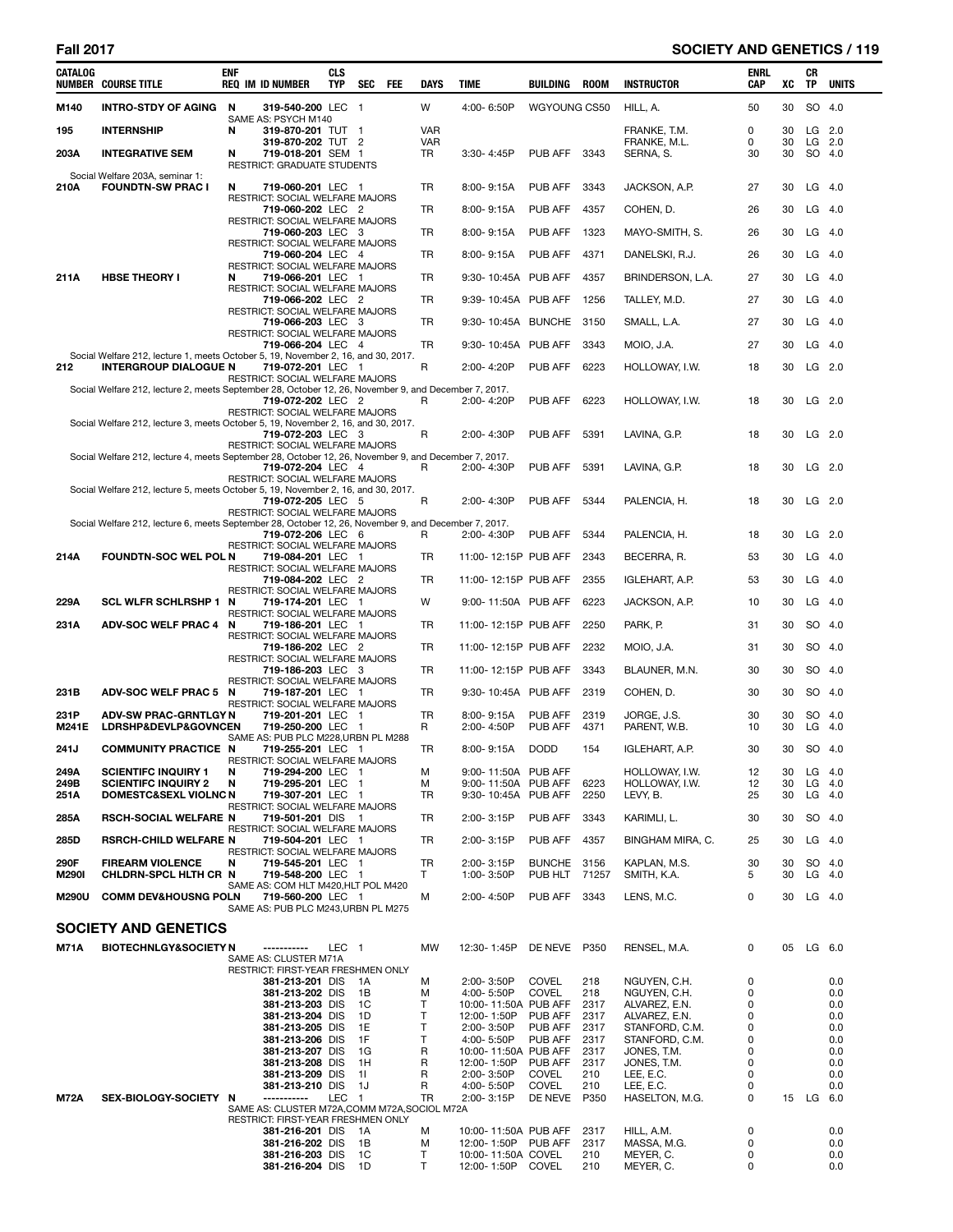# **Fall 2017 SOCIETY AND GENETICS / 119**

| CATALOG      | <b>NUMBER COURSE TITLE</b>                                                                           | <b>ENF</b><br><b>REQ IM ID NUMBER</b>                                               | CLS<br><b>TYP</b> | SEC<br>FEE         | DAYS             | TIME                                      | BUILDING                | <b>ROOM</b>  | <b>INSTRUCTOR</b>               | <b>ENRL</b><br>CAP | XC       | CR<br><b>TP</b>    | <b>UNITS</b> |
|--------------|------------------------------------------------------------------------------------------------------|-------------------------------------------------------------------------------------|-------------------|--------------------|------------------|-------------------------------------------|-------------------------|--------------|---------------------------------|--------------------|----------|--------------------|--------------|
| M140         | INTRO-STDY OF AGING N                                                                                | 319-540-200 LEC 1                                                                   |                   |                    | W                | 4:00-6:50P                                | WGYOUNG CS50            |              | HILL, A.                        | 50                 | 30       | SO 4.0             |              |
| 195          | <b>INTERNSHIP</b>                                                                                    | SAME AS: PSYCH M140<br>N<br>319-870-201 TUT 1                                       |                   |                    | <b>VAR</b>       |                                           |                         |              | FRANKE, T.M.                    | 0                  | 30       | $LG$ 2.0           |              |
| 203A         | <b>INTEGRATIVE SEM</b>                                                                               | 319-870-202 TUT 2<br>N<br>719-018-201 SEM 1<br>RESTRICT: GRADUATE STUDENTS          |                   |                    | <b>VAR</b><br>TR | 3:30-4:45P                                | PUB AFF                 | 3343         | FRANKE, M.L.<br>SERNA, S.       | 0<br>30            | 30<br>30 | $LG$ 2.0<br>SO 4.0 |              |
| 210A         | Social Welfare 203A, seminar 1:<br><b>FOUNDTN-SW PRAC I</b>                                          | 719-060-201 LEC 1<br>N<br>RESTRICT: SOCIAL WELFARE MAJORS                           |                   |                    | TR               | 8:00-9:15A                                | PUB AFF                 | 3343         | JACKSON, A.P.                   | 27                 | 30       | $LG$ 4.0           |              |
|              |                                                                                                      | 719-060-202 LEC 2                                                                   |                   |                    | TR               | 8:00-9:15A                                | PUB AFF                 | 4357         | COHEN, D.                       | 26                 | 30       | $LG$ 4.0           |              |
|              |                                                                                                      | RESTRICT: SOCIAL WELFARE MAJORS<br>719-060-203 LEC 3                                |                   |                    | TR               | 8:00-9:15A                                | PUB AFF                 | 1323         | MAYO-SMITH, S.                  | 26                 | 30       | $LG$ 4.0           |              |
|              |                                                                                                      | RESTRICT: SOCIAL WELFARE MAJORS<br>719-060-204 LEC 4                                |                   |                    | TR               | 8:00-9:15A                                | PUB AFF                 | 4371         | DANELSKI, R.J.                  | 26                 | 30       | $LG$ 4.0           |              |
| 211A         | <b>HBSE THEORY I</b>                                                                                 | RESTRICT: SOCIAL WELFARE MAJORS<br>N<br>719-066-201 LEC 1                           |                   |                    | TR               | 9:30-10:45A PUB AFF                       |                         | 4357         | BRINDERSON, L.A.                | 27                 | 30       | $LG$ 4.0           |              |
|              |                                                                                                      | <b>RESTRICT: SOCIAL WELFARE MAJORS</b>                                              |                   |                    |                  |                                           |                         |              |                                 |                    |          |                    |              |
|              |                                                                                                      | 719-066-202 LEC 2<br>RESTRICT: SOCIAL WELFARE MAJORS                                |                   |                    | TR               | 9:39-10:45A PUB AFF                       |                         | 1256         | TALLEY, M.D.                    | 27                 | 30       | $LG$ 4.0           |              |
|              |                                                                                                      | 719-066-203 LEC 3<br>RESTRICT: SOCIAL WELFARE MAJORS                                |                   |                    | TR               | 9:30-10:45A BUNCHE                        |                         | 3150         | SMALL, L.A.                     | 27                 | 30       | $LG$ 4.0           |              |
|              | Social Welfare 212, lecture 1, meets October 5, 19, November 2, 16, and 30, 2017.                    | 719-066-204 LEC 4                                                                   |                   |                    | TR               | 9:30-10:45A PUB AFF                       |                         | 3343         | MOIO, J.A.                      | 27                 | 30       | $LG$ 4.0           |              |
| 212          | <b>INTERGROUP DIALOGUE N</b>                                                                         | 719-072-201 LEC 1                                                                   |                   |                    | R                | 2:00-4:20P                                | PUB AFF                 | 6223         | HOLLOWAY, I.W.                  | 18                 | 30       | $LG$ 2.0           |              |
|              | Social Welfare 212, lecture 2, meets September 28, October 12, 26, November 9, and December 7, 2017. | RESTRICT: SOCIAL WELFARE MAJORS                                                     |                   |                    |                  |                                           |                         |              |                                 |                    |          |                    |              |
|              |                                                                                                      | 719-072-202 LEC 2<br>RESTRICT: SOCIAL WELFARE MAJORS                                |                   |                    | R                | 2:00-4:20P                                | PUB AFF                 | 6223         | HOLLOWAY, I.W.                  | 18                 | 30       | $LG$ 2.0           |              |
|              | Social Welfare 212, lecture 3, meets October 5, 19, November 2, 16, and 30, 2017.                    | 719-072-203 LEC 3                                                                   |                   |                    | R                | 2:00-4:30P                                | PUB AFF                 | 5391         | LAVINA, G.P.                    | 18                 | 30       | $LG$ 2.0           |              |
|              |                                                                                                      | RESTRICT: SOCIAL WELFARE MAJORS                                                     |                   |                    |                  |                                           |                         |              |                                 |                    |          |                    |              |
|              | Social Welfare 212, lecture 4, meets September 28, October 12, 26, November 9, and December 7, 2017. | 719-072-204 LEC 4                                                                   |                   |                    | R                | 2:00-4:30P                                | PUB AFF                 | 5391         | LAVINA, G.P.                    | 18                 | 30       | $LG$ 2.0           |              |
|              | Social Welfare 212, lecture 5, meets October 5, 19, November 2, 16, and 30, 2017.                    | RESTRICT: SOCIAL WELFARE MAJORS                                                     |                   |                    |                  |                                           |                         |              |                                 |                    |          |                    |              |
|              |                                                                                                      | 719-072-205 LEC 5<br>RESTRICT: SOCIAL WELFARE MAJORS                                |                   |                    | R                | 2:00-4:30P                                | PUB AFF                 | 5344         | PALENCIA, H.                    | 18                 | 30       | $LG$ 2.0           |              |
|              | Social Welfare 212, lecture 6, meets September 28, October 12, 26, November 9, and December 7, 2017. | 719-072-206 LEC 6                                                                   |                   |                    | R                | 2:00-4:30P                                | PUB AFF                 | 5344         |                                 | 18                 | 30       | $LG$ 2.0           |              |
|              |                                                                                                      | RESTRICT: SOCIAL WELFARE MAJORS                                                     |                   |                    |                  |                                           |                         |              | PALENCIA, H.                    |                    |          |                    |              |
| 214A         | FOUNDTN-SOC WEL POL N                                                                                | 719-084-201 LEC 1<br>RESTRICT: SOCIAL WELFARE MAJORS                                |                   |                    | TR               | 11:00-12:15P PUB AFF                      |                         | 2343         | BECERRA, R.                     | 53                 | 30       | $LG$ 4.0           |              |
|              |                                                                                                      | 719-084-202 LEC 2<br>RESTRICT: SOCIAL WELFARE MAJORS                                |                   |                    | TR               | 11:00-12:15P PUB AFF                      |                         | 2355         | IGLEHART, A.P.                  | 53                 | 30       | $LG$ 4.0           |              |
| 229A         | <b>SCL WLFR SCHLRSHP 1</b>                                                                           | 719-174-201 LEC 1<br>N<br>RESTRICT: SOCIAL WELFARE MAJORS                           |                   |                    | W                | 9:00-11:50A PUB AFF                       |                         | 6223         | JACKSON, A.P.                   | 10                 | 30       | $LG$ 4.0           |              |
| 231A         | ADV-SOC WELF PRAC 4 N                                                                                | 719-186-201 LEC 1                                                                   |                   |                    | TR               | 11:00-12:15P PUB AFF                      |                         | 2250         | PARK, P.                        | 31                 | 30       | SO 4.0             |              |
|              |                                                                                                      | RESTRICT: SOCIAL WELFARE MAJORS<br>719-186-202 LEC 2                                |                   |                    | TR               | 11:00-12:15P PUB AFF                      |                         | 2232         | MOIO, J.A.                      | 31                 | 30       | SO 4.0             |              |
|              |                                                                                                      | RESTRICT: SOCIAL WELFARE MAJORS<br>719-186-203 LEC 3                                |                   |                    | TR               | 11:00-12:15P PUB AFF                      |                         | 3343         | BLAUNER, M.N.                   | 30                 | 30       | SO 4.0             |              |
| 231B         | ADV-SOC WELF PRAC 5 N                                                                                | RESTRICT: SOCIAL WELFARE MAJORS<br>719-187-201 LEC 1                                |                   |                    | TR               | 9:30-10:45A PUB AFF                       |                         | 2319         | COHEN, D.                       | 30                 | 30       | SO 4.0             |              |
| 231P         | <b>ADV-SW PRAC-GRNTLGY N</b>                                                                         | RESTRICT: SOCIAL WELFARE MAJORS<br>719-201-201 LEC 1                                |                   |                    | TR               | 8:00-9:15A                                | PUB AFF                 | 2319         |                                 | 30                 | 30       | SO 4.0             |              |
| M241E        | LDRSHP&DEVLP&GOVNCEN                                                                                 | 719-250-200 LEC 1                                                                   |                   |                    | R                | 2:00-4:50P                                | <b>PUB AFF</b>          | 4371         | JORGE, J.S.<br>PARENT, W.B.     | 10                 | 30       | $LG$ 4.0           |              |
| 241J         | <b>COMMUNITY PRACTICE N</b>                                                                          | SAME AS: PUB PLC M228, URBN PL M288<br>719-255-201 LEC 1                            |                   |                    | TR               | 8:00-9:15A                                | <b>DODD</b>             | 154          | IGLEHART, A.P.                  | 30                 | 30       | SO 4.0             |              |
| 249A         | <b>SCIENTIFC INQUIRY 1</b>                                                                           | RESTRICT: SOCIAL WELFARE MAJORS<br>719-294-200 LEC 1<br>N                           |                   |                    | M                | 9:00-11:50A PUB AFF                       |                         |              | HOLLOWAY, I.W.                  | 12                 | 30       | $LG$ 4.0           |              |
| 249B         | <b>SCIENTIFC INQUIRY 2</b>                                                                           | N<br>719-295-201 LEC 1                                                              |                   |                    | м                | 9:00-11:50A PUB AFF                       |                         | 6223         | HOLLOWAY, I.W.                  | 12                 | 30       | $LG$ 4.0           |              |
| 251A         | DOMESTC&SEXL VIOLNC N                                                                                | 719-307-201 LEC 1<br>RESTRICT: SOCIAL WELFARE MAJORS                                |                   |                    | TR               | 9:30- 10:45A PUB AFF                      |                         | 2250         | LEVY, B.                        | 25                 | 30       | $LG$ 4.0           |              |
| 285A         | <b>RSCH-SOCIAL WELFARE N</b>                                                                         | 719-501-201 DIS 1<br>RESTRICT: SOCIAL WELFARE MAJORS                                |                   |                    | TR               | 2:00-3:15P                                | PUB AFF                 | 3343         | KARIMLI, L.                     | 30                 | 30       | SO 4.0             |              |
| 285D         | <b>RSRCH-CHILD WELFARE N</b>                                                                         | 719-504-201 LEC 1<br>RESTRICT: SOCIAL WELFARE MAJORS                                |                   |                    | TR               | 2:00-3:15P                                | PUB AFF                 | 4357         | BINGHAM MIRA, C.                | 25                 | 30       | $LG$ 4.0           |              |
| 290F         | <b>FIREARM VIOLENCE</b>                                                                              | 719-545-201 LEC 1<br>N<br>719-548-200 LEC 1                                         |                   |                    | TR               | 2:00-3:15P<br>1:00-3:50P                  | <b>BUNCHE</b>           | 3156         | KAPLAN, M.S.                    | 30                 | 30<br>30 | SO 4.0<br>$LG$ 4.0 |              |
| <b>M290I</b> | CHLDRN-SPCL HLTH CR N                                                                                | SAME AS: COM HLT M420, HLT POL M420                                                 |                   |                    | Τ                |                                           | PUB HLT                 | 71257        | SMITH, K.A.                     | 5                  |          |                    |              |
| <b>M290U</b> | <b>COMM DEV&amp;HOUSNG POLN</b>                                                                      | 719-560-200 LEC 1<br>SAME AS: PUB PLC M243, URBN PL M275                            |                   |                    | M                | 2:00-4:50P                                | PUB AFF 3343            |              | LENS, M.C.                      | 0                  | 30       | $LG$ 4.0           |              |
|              | <b>SOCIETY AND GENETICS</b>                                                                          |                                                                                     |                   |                    |                  |                                           |                         |              |                                 |                    |          |                    |              |
| <b>M71A</b>  | <b>BIOTECHNLGY&amp;SOCIETY N</b>                                                                     | -----------                                                                         | LEC 1             |                    | <b>MW</b>        | 12:30-1:45P                               | DE NEVE P350            |              | RENSEL, M.A.                    | 0                  | 05       | $LG$ 6.0           |              |
|              |                                                                                                      | SAME AS: CLUSTER M71A<br>RESTRICT: FIRST-YEAR FRESHMEN ONLY                         |                   |                    |                  |                                           |                         |              |                                 |                    |          |                    |              |
|              |                                                                                                      | 381-213-201 DIS<br>381-213-202 DIS                                                  |                   | 1A<br>1B           | м<br>M           | 2:00-3:50P<br>4:00-5:50P                  | COVEL<br><b>COVEL</b>   | 218<br>218   | NGUYEN, C.H.<br>NGUYEN, C.H.    | 0<br>0             |          |                    | 0.0<br>0.0   |
|              |                                                                                                      | 381-213-203 DIS                                                                     |                   | 1C                 | Т                | 10:00-11:50A PUB AFF                      |                         | 2317         | ALVAREZ, E.N.                   | 0                  |          |                    | 0.0          |
|              |                                                                                                      | 381-213-204 DIS<br>381-213-205 DIS                                                  |                   | 1D<br>1E           | т<br>т           | 12:00-1:50P<br>2:00-3:50P                 | PUB AFF<br>PUB AFF      | 2317<br>2317 | ALVAREZ, E.N.<br>STANFORD, C.M. | 0<br>0             |          |                    | 0.0<br>0.0   |
|              |                                                                                                      | 381-213-206 DIS                                                                     |                   | 1F                 | $\mathsf{T}$     | 4:00- 5:50P<br>10:00-11:50A PUB AFF       | PUB AFF                 | 2317         | STANFORD, C.M.                  | 0<br>0             |          |                    | 0.0<br>0.0   |
|              |                                                                                                      | 381-213-207 DIS<br>381-213-208 DIS                                                  |                   | 1G<br>1H           | R<br>R           | 12:00-1:50P                               | PUB AFF                 | 2317<br>2317 | JONES, T.M.<br>JONES, T.M.      | 0                  |          |                    | 0.0          |
|              |                                                                                                      | 381-213-209 DIS                                                                     |                   | 11                 | R                | 2:00-3:50P                                | <b>COVEL</b>            | 210          | LEE, E.C.                       | 0                  |          |                    | 0.0          |
| M72A         | SEX-BIOLOGY-SOCIETY N                                                                                | 381-213-210 DIS<br>-----------                                                      | LEC               | 1J<br>$\mathbf{1}$ | R<br>TR          | 4:00-5:50P<br>2:00-3:15P                  | <b>COVEL</b><br>DE NEVE | 210<br>P350  | LEE, E.C.<br>HASELTON, M.G.     | 0<br>0             |          | 15 LG 6.0          | 0.0          |
|              |                                                                                                      | SAME AS: CLUSTER M72A, COMM M72A, SOCIOL M72A<br>RESTRICT: FIRST-YEAR FRESHMEN ONLY |                   |                    |                  |                                           |                         |              |                                 |                    |          |                    |              |
|              |                                                                                                      | 381-216-201 DIS                                                                     |                   | - 1A               | M                | 10:00-11:50A PUB AFF                      |                         | 2317         | HILL, A.M.                      | 0                  |          |                    | 0.0          |
|              |                                                                                                      | 381-216-202 DIS<br>381-216-203 DIS                                                  |                   | 1B<br>1C           | M<br>т           | 12:00-1:50P PUB AFF<br>10:00-11:50A COVEL |                         | 2317<br>210  | MASSA, M.G.<br>MEYER, C.        | 0<br>0             |          |                    | 0.0<br>0.0   |
|              |                                                                                                      | 381-216-204 DIS                                                                     |                   | 1D                 | $\mathsf{T}$     | 12:00-1:50P COVEL                         |                         | 210          | MEYER, C.                       | 0                  |          |                    | 0.0          |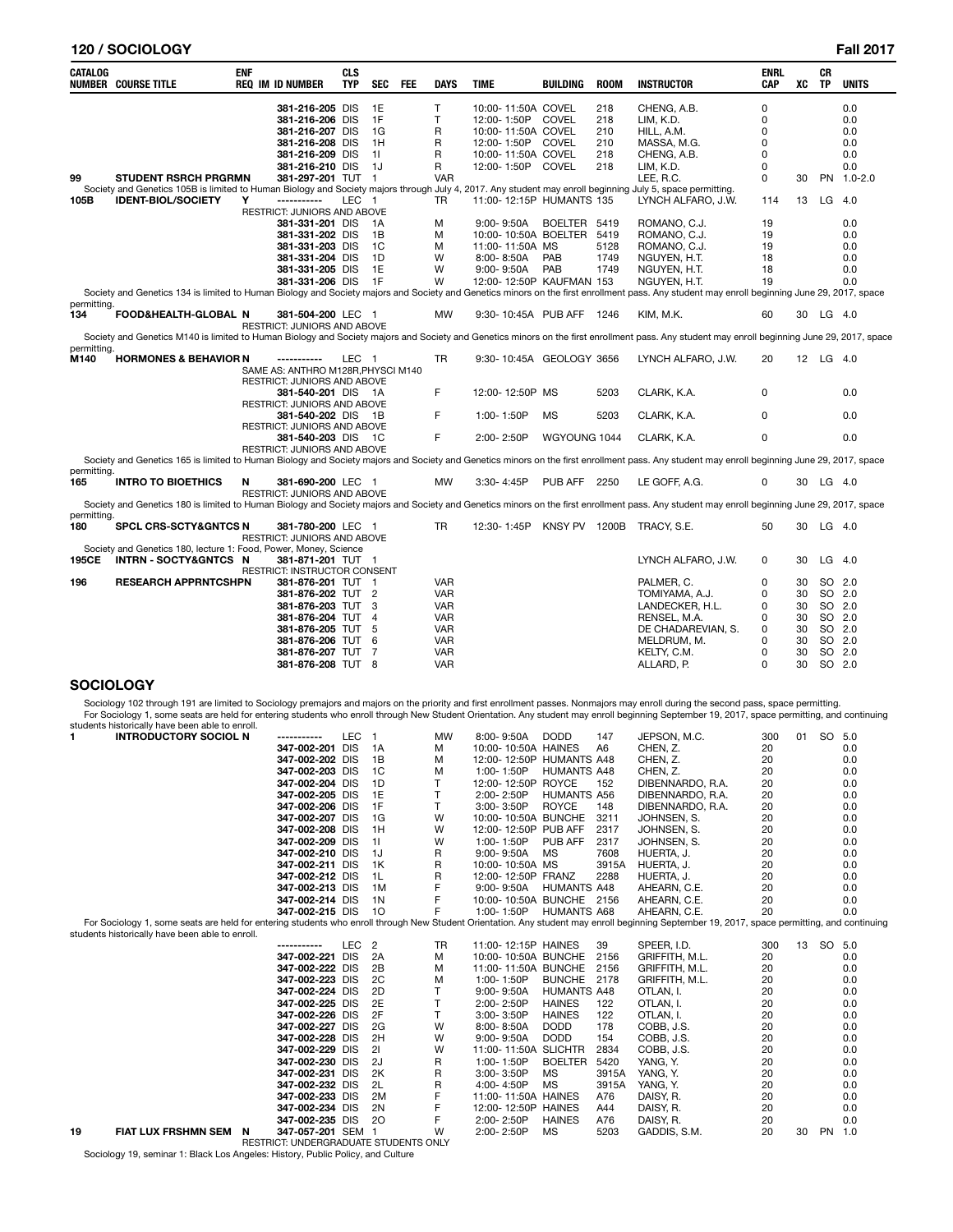# **120 / SOCIOLOGY Fall 2017**

| CATALOG     | <b>NUMBER COURSE TITLE</b>                                                                                                                                                             | <b>ENF</b> | <b>REQ IM ID NUMBER</b>                                 | <b>CLS</b><br><b>TYP</b> | <b>SEC</b>     | <b>FEE</b> | <b>DAYS</b>       | <b>TIME</b>                       | <b>BUILDING</b>     | <b>ROOM</b>  | <b>INSTRUCTOR</b>                                                                                                                                                                            | <b>ENRL</b><br>CAP   | xс | CR<br>TP  | <b>UNITS</b> |
|-------------|----------------------------------------------------------------------------------------------------------------------------------------------------------------------------------------|------------|---------------------------------------------------------|--------------------------|----------------|------------|-------------------|-----------------------------------|---------------------|--------------|----------------------------------------------------------------------------------------------------------------------------------------------------------------------------------------------|----------------------|----|-----------|--------------|
|             |                                                                                                                                                                                        |            | 381-216-205 DIS<br>381-216-206 DIS                      |                          | 1E<br>1F       |            | $\mathsf{T}$<br>T | 10:00-11:50A COVEL<br>12:00-1:50P | <b>COVEL</b>        | 218<br>218   | CHENG, A.B.<br>LIM, K.D.                                                                                                                                                                     | $\Omega$<br>$\Omega$ |    |           | 0.0<br>0.0   |
|             |                                                                                                                                                                                        |            | 381-216-207 DIS                                         |                          | 1G             |            | R                 | 10:00-11:50A COVEL                |                     | 210          | HILL, A.M.                                                                                                                                                                                   | $\Omega$             |    |           | 0.0          |
|             |                                                                                                                                                                                        |            | 381-216-208 DIS                                         |                          | 1H             |            | R                 | 12:00-1:50P                       | COVEL               | 210          | MASSA, M.G.                                                                                                                                                                                  | 0                    |    |           | 0.0          |
|             |                                                                                                                                                                                        |            | 381-216-209 DIS                                         |                          | 11             |            | R                 | 10:00-11:50A COVEL                |                     | 218          |                                                                                                                                                                                              | 0                    |    |           | 0.0          |
|             |                                                                                                                                                                                        |            |                                                         |                          | 1J             |            |                   | 12:00-1:50P COVEL                 |                     | 218          | CHENG, A.B.                                                                                                                                                                                  | $\Omega$             |    |           | 0.0          |
| 99          | <b>STUDENT RSRCH PRGRMN</b>                                                                                                                                                            |            | 381-216-210 DIS<br>381-297-201 TUT 1                    |                          |                |            | R<br><b>VAR</b>   |                                   |                     |              | LIM, K.D.<br>LEE. R.C.                                                                                                                                                                       | $\Omega$             | 30 |           | PN 1.0-2.0   |
|             |                                                                                                                                                                                        |            |                                                         |                          |                |            |                   |                                   |                     |              |                                                                                                                                                                                              |                      |    |           |              |
| 105B        | Society and Genetics 105B is limited to Human Biology and Society majors through July 4, 2017. Any student may enroll beginning July 5, space permitting.<br><b>IDENT-BIOL/SOCIETY</b> | Υ          | -----------                                             | LEC <sub>1</sub>         |                |            | <b>TR</b>         | 11:00-12:15P HUMANTS 135          |                     |              | LYNCH ALFARO, J.W.                                                                                                                                                                           | 114                  | 13 | LG        | - 4.0        |
|             |                                                                                                                                                                                        |            | RESTRICT: JUNIORS AND ABOVE                             |                          |                |            |                   |                                   |                     |              |                                                                                                                                                                                              |                      |    |           |              |
|             |                                                                                                                                                                                        |            | 381-331-201 DIS                                         |                          | - 1A           |            | M                 | $9:00 - 9:50A$                    | BOELTER 5419        |              | ROMANO, C.J.                                                                                                                                                                                 | 19                   |    |           | 0.0          |
|             |                                                                                                                                                                                        |            | 381-331-202 DIS                                         |                          | 1B             |            | M                 | 10:00-10:50A BOELTER              |                     | 5419         | ROMANO, C.J.                                                                                                                                                                                 | 19                   |    |           | 0.0          |
|             |                                                                                                                                                                                        |            | 381-331-203 DIS                                         |                          | 1C             |            | M                 |                                   |                     |              | ROMANO, C.J.                                                                                                                                                                                 | 19                   |    |           | 0.0          |
|             |                                                                                                                                                                                        |            |                                                         |                          | 1D             |            | W                 | 11:00-11:50A MS                   |                     | 5128<br>1749 |                                                                                                                                                                                              |                      |    |           |              |
|             |                                                                                                                                                                                        |            | 381-331-204 DIS                                         |                          |                |            |                   | $8:00 - 8:50A$                    | PAB<br>PAB          |              | NGUYEN, H.T.                                                                                                                                                                                 | 18                   |    |           | 0.0          |
|             |                                                                                                                                                                                        |            | 381-331-205 DIS                                         |                          | 1E             |            | W                 | $9:00 - 9:50A$                    |                     | 1749         | NGUYEN, H.T.                                                                                                                                                                                 | 18                   |    |           | 0.0          |
|             |                                                                                                                                                                                        |            | 381-331-206 DIS                                         |                          | 1F             |            | W                 | 12:00-12:50P KAUFMAN 153          |                     |              | NGUYEN, H.T.                                                                                                                                                                                 | 19                   |    |           | 0.0          |
| permitting. |                                                                                                                                                                                        |            |                                                         |                          |                |            |                   |                                   |                     |              | Society and Genetics 134 is limited to Human Biology and Society majors and Society and Genetics minors on the first enrollment pass. Any student may enroll beginning June 29, 2017, space  |                      |    |           |              |
| 134         | FOOD&HEALTH-GLOBAL N                                                                                                                                                                   |            | 381-504-200 LEC 1                                       |                          |                |            | <b>MW</b>         | 9:30-10:45A PUB AFF               |                     | 1246         | KIM, M.K.                                                                                                                                                                                    | 60                   | 30 | LG 4.0    |              |
|             |                                                                                                                                                                                        |            | RESTRICT: JUNIORS AND ABOVE                             |                          |                |            |                   |                                   |                     |              | Society and Genetics M140 is limited to Human Biology and Society majors and Society and Genetics minors on the first enrollment pass. Any student may enroll beginning June 29, 2017, space |                      |    |           |              |
| permitting. |                                                                                                                                                                                        |            |                                                         |                          |                |            |                   |                                   |                     |              |                                                                                                                                                                                              |                      |    |           |              |
| M140        | <b>HORMONES &amp; BEHAVIOR N</b>                                                                                                                                                       |            | -----------                                             | LEC <sub>1</sub>         |                |            | TR                | 9:30-10:45A GEOLOGY 3656          |                     |              | LYNCH ALFARO, J.W.                                                                                                                                                                           | 20                   |    | 12 LG 4.0 |              |
|             |                                                                                                                                                                                        |            | SAME AS: ANTHRO M128R, PHYSCI M140                      |                          |                |            |                   |                                   |                     |              |                                                                                                                                                                                              |                      |    |           |              |
|             |                                                                                                                                                                                        |            | RESTRICT: JUNIORS AND ABOVE                             |                          |                |            |                   |                                   |                     |              |                                                                                                                                                                                              |                      |    |           |              |
|             |                                                                                                                                                                                        |            | 381-540-201 DIS 1A                                      |                          |                |            | F                 | 12:00-12:50P MS                   |                     | 5203         | CLARK, K.A.                                                                                                                                                                                  | 0                    |    |           | 0.0          |
|             |                                                                                                                                                                                        |            | <b>RESTRICT: JUNIORS AND ABOVE</b>                      |                          |                |            |                   |                                   |                     |              |                                                                                                                                                                                              |                      |    |           |              |
|             |                                                                                                                                                                                        |            | 381-540-202 DIS                                         |                          | - 1B           |            | F                 | 1:00-1:50P                        | <b>MS</b>           | 5203         | CLARK, K.A.                                                                                                                                                                                  | 0                    |    |           | 0.0          |
|             |                                                                                                                                                                                        |            | RESTRICT: JUNIORS AND ABOVE                             |                          |                |            |                   |                                   |                     |              |                                                                                                                                                                                              |                      |    |           |              |
|             |                                                                                                                                                                                        |            | 381-540-203 DIS 1C                                      |                          |                |            | F                 | 2:00-2:50P                        | WGYOUNG 1044        |              | CLARK. K.A.                                                                                                                                                                                  | $\Omega$             |    |           | 0.0          |
|             |                                                                                                                                                                                        |            | <b>RESTRICT: JUNIORS AND ABOVE</b>                      |                          |                |            |                   |                                   |                     |              |                                                                                                                                                                                              |                      |    |           |              |
|             |                                                                                                                                                                                        |            |                                                         |                          |                |            |                   |                                   |                     |              | Society and Genetics 165 is limited to Human Biology and Society majors and Society and Genetics minors on the first enrollment pass. Any student may enroll beginning June 29, 2017, space  |                      |    |           |              |
| permitting. |                                                                                                                                                                                        |            |                                                         |                          |                |            |                   |                                   |                     |              |                                                                                                                                                                                              |                      |    |           |              |
| 165         | <b>INTRO TO BIOETHICS</b>                                                                                                                                                              | N          | 381-690-200 LEC 1<br><b>RESTRICT: JUNIORS AND ABOVE</b> |                          |                |            | <b>MW</b>         | 3:30-4:45P                        | <b>PUB AFF 2250</b> |              | LE GOFF, A.G.                                                                                                                                                                                | 0                    |    | 30 LG 4.0 |              |
|             |                                                                                                                                                                                        |            |                                                         |                          |                |            |                   |                                   |                     |              | Society and Genetics 180 is limited to Human Biology and Society majors and Society and Genetics minors on the first enrollment pass. Any student may enroll beginning June 29, 2017, space  |                      |    |           |              |
| permitting. |                                                                                                                                                                                        |            |                                                         |                          |                |            |                   |                                   |                     |              |                                                                                                                                                                                              |                      |    |           |              |
| 180         | <b>SPCL CRS-SCTY&amp;GNTCS N</b>                                                                                                                                                       |            | 381-780-200 LEC 1                                       |                          |                |            | <b>TR</b>         | 12:30-1:45P                       | KNSY PV 1200B       |              | TRACY. S.E.                                                                                                                                                                                  | 50                   | 30 | $LG$ 4.0  |              |
|             |                                                                                                                                                                                        |            | RESTRICT: JUNIORS AND ABOVE                             |                          |                |            |                   |                                   |                     |              |                                                                                                                                                                                              |                      |    |           |              |
|             | Society and Genetics 180, lecture 1: Food, Power, Money, Science                                                                                                                       |            |                                                         |                          |                |            |                   |                                   |                     |              |                                                                                                                                                                                              |                      |    |           |              |
| 195CE       | INTRN-SOCTY&GNTCS N                                                                                                                                                                    |            | 381-871-201 TUT 1                                       |                          |                |            |                   |                                   |                     |              | LYNCH ALFARO, J.W.                                                                                                                                                                           | 0                    | 30 | $LG$ 4.0  |              |
|             |                                                                                                                                                                                        |            | RESTRICT: INSTRUCTOR CONSENT                            |                          |                |            |                   |                                   |                     |              |                                                                                                                                                                                              |                      |    |           |              |
| 196         | <b>RESEARCH APPRNTCSHPN</b>                                                                                                                                                            |            | 381-876-201 TUT 1                                       |                          |                |            | VAR               |                                   |                     |              | PALMER, C.                                                                                                                                                                                   | 0                    | 30 | SO 2.0    |              |
|             |                                                                                                                                                                                        |            | 381-876-202 TUT 2                                       |                          |                |            | <b>VAR</b>        |                                   |                     |              | TOMIYAMA, A.J.                                                                                                                                                                               | 0                    | 30 | SO 2.0    |              |
|             |                                                                                                                                                                                        |            | 381-876-203 TUT 3                                       |                          |                |            | <b>VAR</b>        |                                   |                     |              | LANDECKER, H.L.                                                                                                                                                                              | 0                    | 30 | SO 2.0    |              |
|             |                                                                                                                                                                                        |            | 381-876-204 TUT                                         |                          | $\overline{4}$ |            | <b>VAR</b>        |                                   |                     |              | RENSEL, M.A.                                                                                                                                                                                 | 0                    | 30 | SO 2.0    |              |
|             |                                                                                                                                                                                        |            | 381-876-205 TUT 5                                       |                          |                |            | VAR               |                                   |                     |              | DE CHADAREVIAN, S.                                                                                                                                                                           | 0                    | 30 | SO 2.0    |              |
|             |                                                                                                                                                                                        |            | 381-876-206 TUT                                         |                          | - 6            |            | <b>VAR</b>        |                                   |                     |              | MELDRUM, M.                                                                                                                                                                                  | 0                    | 30 | SO 2.0    |              |
|             |                                                                                                                                                                                        |            | 381-876-207 TUT 7                                       |                          |                |            | <b>VAR</b>        |                                   |                     |              | KELTY, C.M.                                                                                                                                                                                  | 0                    | 30 | SO 2.0    |              |
|             |                                                                                                                                                                                        |            |                                                         |                          |                |            |                   |                                   |                     |              |                                                                                                                                                                                              |                      |    |           |              |
|             |                                                                                                                                                                                        |            | 381-876-208 TUT 8                                       |                          |                |            | VAR               |                                   |                     |              | ALLARD, P.                                                                                                                                                                                   | 0                    | 30 | SO 2.0    |              |

# **SOCIOLOGY**

Sociology 102 through 191 are limited to Sociology premajors and majors on the priority and first enrollment passes. Nonmajors may enroll during the second pass, space permitting.<br>For Sociology 1, some seats are held for e

|    | students instortcally have been able to emon.                                                                                                                                                |                   |                  |                |           |                          |                    |       |                  |     |    |     |     |
|----|----------------------------------------------------------------------------------------------------------------------------------------------------------------------------------------------|-------------------|------------------|----------------|-----------|--------------------------|--------------------|-------|------------------|-----|----|-----|-----|
| 1. | <b>INTRODUCTORY SOCIOL N</b>                                                                                                                                                                 | -----------       | LEC <sub>1</sub> |                | <b>MW</b> | 8:00-9:50A               | <b>DODD</b>        | 147   | JEPSON, M.C.     | 300 | 01 | SO. | 5.0 |
|    |                                                                                                                                                                                              | 347-002-201 DIS   |                  | 1A             | M         | 10:00-10:50A HAINES      |                    | A6    | CHEN. Z.         | 20  |    |     | 0.0 |
|    |                                                                                                                                                                                              | 347-002-202 DIS   |                  | 1B             | M         | 12:00-12:50P HUMANTS A48 |                    |       | CHEN, Z.         | 20  |    |     | 0.0 |
|    |                                                                                                                                                                                              | 347-002-203 DIS   |                  | 1 <sup>C</sup> | M         | 1:00-1:50P               | <b>HUMANTS A48</b> |       | CHEN, Z.         | 20  |    |     | 0.0 |
|    |                                                                                                                                                                                              | 347-002-204 DIS   |                  | 1D             | T         | 12:00-12:50P ROYCE       |                    | 152   | DIBENNARDO, R.A. | 20  |    |     | 0.0 |
|    |                                                                                                                                                                                              | 347-002-205 DIS   |                  | 1E             | T         | 2:00-2:50P               | <b>HUMANTS A56</b> |       | DIBENNARDO, R.A. | 20  |    |     | 0.0 |
|    |                                                                                                                                                                                              | 347-002-206 DIS   |                  | 1F             | T.        | 3:00-3:50P               | <b>ROYCE</b>       | 148   | DIBENNARDO, R.A. | 20  |    |     | 0.0 |
|    |                                                                                                                                                                                              | 347-002-207 DIS   |                  | 1G             | W         | 10:00-10:50A BUNCHE      |                    | 3211  | JOHNSEN, S.      | 20  |    |     | 0.0 |
|    |                                                                                                                                                                                              | 347-002-208 DIS   |                  | 1H             | W         | 12:00-12:50P PUB AFF     |                    | 2317  | JOHNSEN, S.      | 20  |    |     | 0.0 |
|    |                                                                                                                                                                                              | 347-002-209 DIS   |                  | 11             | W         | 1:00-1:50P               | PUB AFF            | 2317  | JOHNSEN, S.      | 20  |    |     | 0.0 |
|    |                                                                                                                                                                                              | 347-002-210 DIS   |                  | 1J             | R         | $9:00 - 9:50A$           | <b>MS</b>          | 7608  | HUERTA, J.       | 20  |    |     | 0.0 |
|    |                                                                                                                                                                                              | 347-002-211 DIS   |                  | 1K             | R         | 10:00-10:50A MS          |                    | 3915A | HUERTA, J.       | 20  |    |     | 0.0 |
|    |                                                                                                                                                                                              | 347-002-212 DIS   |                  | 1L             | R         | 12:00-12:50P FRANZ       |                    | 2288  | HUERTA, J.       | 20  |    |     | 0.0 |
|    |                                                                                                                                                                                              | 347-002-213 DIS   |                  | 1M             | F         | $9:00 - 9:50A$           | <b>HUMANTS A48</b> |       | AHEARN, C.E.     | 20  |    |     | 0.0 |
|    |                                                                                                                                                                                              | 347-002-214 DIS   |                  | 1 <sub>N</sub> | F         | 10:00-10:50A BUNCHE 2156 |                    |       | AHEARN, C.E.     | 20  |    |     | 0.0 |
|    |                                                                                                                                                                                              | 347-002-215 DIS   |                  | 10             | F         | 1:00-1:50P               | <b>HUMANTS A68</b> |       | AHEARN, C.E.     | 20  |    |     | 0.0 |
|    | For Sociology 1, some seats are held for entering students who enroll through New Student Orientation. Any student may enroll beginning September 19, 2017, space permitting, and continuing |                   |                  |                |           |                          |                    |       |                  |     |    |     |     |
|    | students historically have been able to enroll.                                                                                                                                              |                   |                  |                |           |                          |                    |       |                  |     |    |     |     |
|    |                                                                                                                                                                                              | -----------       | LEC <sub>2</sub> |                | <b>TR</b> | 11:00-12:15P HAINES      |                    | 39    | SPEER, I.D.      | 300 | 13 | SO  | 5.0 |
|    |                                                                                                                                                                                              | 347-002-221       | <b>DIS</b>       | 2A             | M         | 10:00-10:50A BUNCHE      |                    | 2156  | GRIFFITH, M.L.   | 20  |    |     | 0.0 |
|    |                                                                                                                                                                                              | 347-002-222 DIS   |                  | 2B             | M         | 11:00-11:50A BUNCHE      |                    | 2156  | GRIFFITH, M.L.   | 20  |    |     | 0.0 |
|    |                                                                                                                                                                                              | 347-002-223 DIS   |                  | 2C             | M         | 1:00-1:50P               | <b>BUNCHE</b>      | 2178  | GRIFFITH, M.L.   | 20  |    |     | 0.0 |
|    |                                                                                                                                                                                              | 347-002-224 DIS   |                  | 2D             | T.        | $9:00 - 9:50A$           | <b>HUMANTS A48</b> |       | OTLAN, I.        | 20  |    |     | 0.0 |
|    |                                                                                                                                                                                              | 347-002-225 DIS   |                  | 2E             | T         | 2:00-2:50P               | <b>HAINES</b>      | 122   | OTLAN, I.        | 20  |    |     | 0.0 |
|    |                                                                                                                                                                                              | 347-002-226 DIS   |                  | 2F             | T.        | 3:00-3:50P               | <b>HAINES</b>      | 122   | OTLAN. I.        | 20  |    |     | 0.0 |
|    |                                                                                                                                                                                              | 347-002-227 DIS   |                  | 2G             | W         | 8:00-8:50A               | <b>DODD</b>        | 178   | COBB, J.S.       | 20  |    |     | 0.0 |
|    |                                                                                                                                                                                              | 347-002-228 DIS   |                  | 2H             | W         | $9:00 - 9:50A$           | <b>DODD</b>        | 154   | COBB, J.S.       | 20  |    |     | 0.0 |
|    |                                                                                                                                                                                              | 347-002-229 DIS   |                  | 21             | W         | 11:00-11:50A SLICHTR     |                    | 2834  | COBB. J.S.       | 20  |    |     | 0.0 |
|    |                                                                                                                                                                                              | 347-002-230 DIS   |                  | 2J             | R         | 1:00-1:50P               | <b>BOELTER</b>     | 5420  | YANG, Y.         | 20  |    |     | 0.0 |
|    |                                                                                                                                                                                              | 347-002-231 DIS   |                  | 2K             | R         | 3:00-3:50P               | MS                 | 3915A | YANG, Y.         | 20  |    |     | 0.0 |
|    |                                                                                                                                                                                              | 347-002-232 DIS   |                  | 2L             | R         | 4:00-4:50P               | <b>MS</b>          | 3915A | YANG. Y.         | 20  |    |     | 0.0 |
|    |                                                                                                                                                                                              | 347-002-233 DIS   |                  | 2M             | F         | 11:00-11:50A HAINES      |                    | A76   | DAISY, R.        | 20  |    |     | 0.0 |
|    |                                                                                                                                                                                              | 347-002-234 DIS   |                  | 2N             | F         | 12:00-12:50P HAINES      |                    | A44   | DAISY, R.        | 20  |    |     | 0.0 |
|    |                                                                                                                                                                                              | 347-002-235 DIS   |                  | 20             | F         | 2:00-2:50P               | <b>HAINES</b>      | A76   | DAISY, R.        | 20  |    |     | 0.0 |
| 19 | FIAT LUX FRSHMN SEM<br>N                                                                                                                                                                     | 347-057-201 SEM 1 |                  |                | W         | 2:00-2:50P               | <b>MS</b>          | 5203  | GADDIS, S.M.     | 20  | 30 | PN  | 1.0 |

RESTRICT: UNDERGRADUATE STUDENTS ONLY<br>Sociology 19, seminar 1: Black Los Angeles: History, Public Policy, and Culture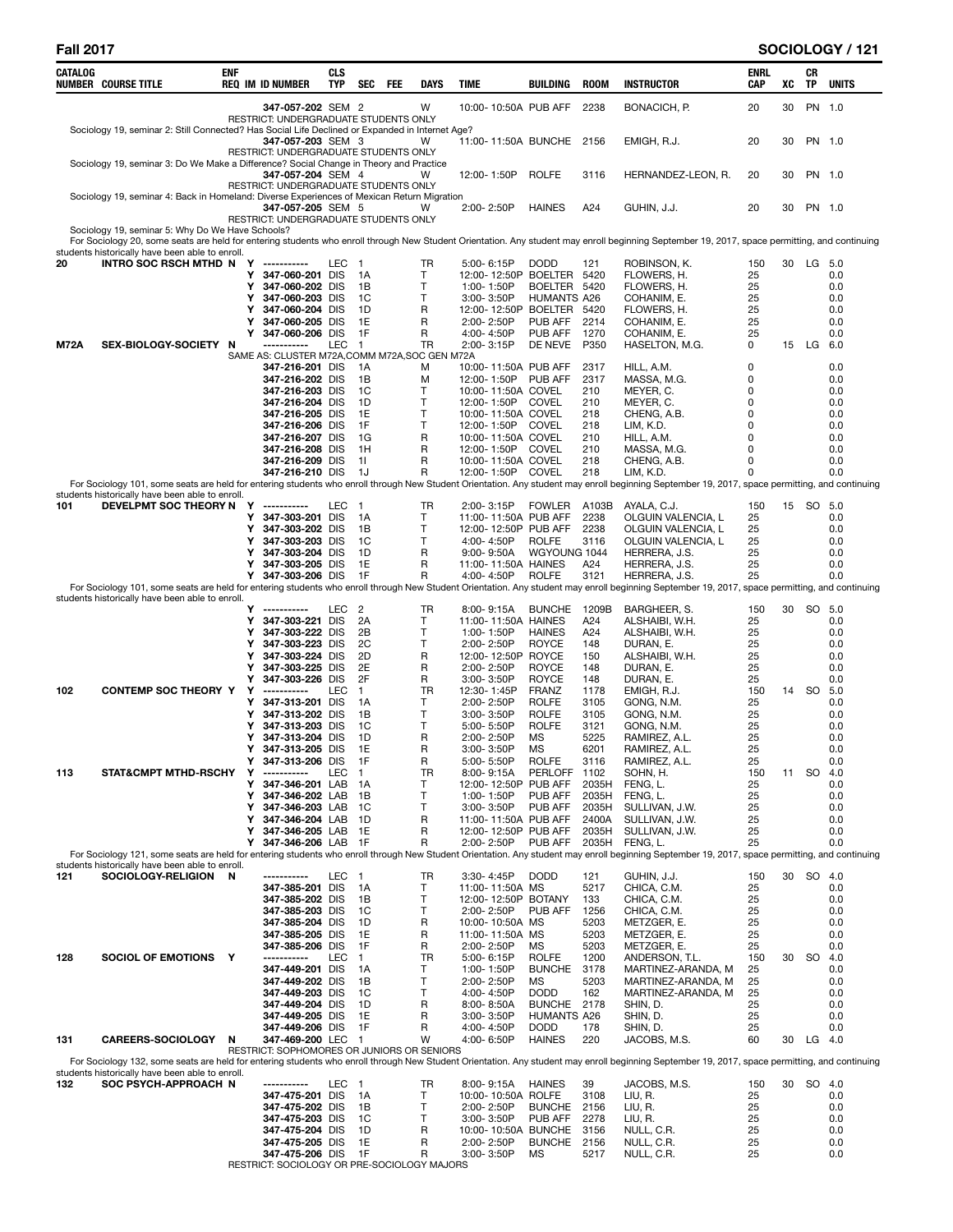# **Fall 2017 SOCIOLOGY / 121**

| CATALOG<br><b>NUMBER COURSE TITLE</b>                                                                                                                                                                                                             | ENF | REQ IM ID NUMBER                                                | CLS<br>TYP       | SEC<br>FEE           | DAYS      | TIME                                         | BUILDING                            | <b>ROOM</b>    | <b>INSTRUCTOR</b>                        | ENRL<br>CAP   | XC | CR<br>ΤP  | <b>UNITS</b> |
|---------------------------------------------------------------------------------------------------------------------------------------------------------------------------------------------------------------------------------------------------|-----|-----------------------------------------------------------------|------------------|----------------------|-----------|----------------------------------------------|-------------------------------------|----------------|------------------------------------------|---------------|----|-----------|--------------|
|                                                                                                                                                                                                                                                   |     | 347-057-202 SEM 2<br>RESTRICT: UNDERGRADUATE STUDENTS ONLY      |                  |                      | W         | 10:00-10:50A PUB AFF                         |                                     | 2238           | BONACICH, P.                             | 20            | 30 |           | PN 1.0       |
| Sociology 19, seminar 2: Still Connected? Has Social Life Declined or Expanded in Internet Age?                                                                                                                                                   |     |                                                                 |                  |                      |           |                                              |                                     |                |                                          | 20            |    |           | PN 1.0       |
|                                                                                                                                                                                                                                                   |     | 347-057-203 SEM 3<br>RESTRICT: UNDERGRADUATE STUDENTS ONLY      |                  |                      | W         | 11:00-11:50A BUNCHE 2156                     |                                     |                | EMIGH, R.J.                              |               | 30 |           |              |
| Sociology 19, seminar 3: Do We Make a Difference? Social Change in Theory and Practice                                                                                                                                                            |     | 347-057-204 SEM 4                                               |                  |                      | W         | 12:00-1:50P                                  | <b>ROLFE</b>                        | 3116           | HERNANDEZ-LEON, R.                       | 20            | 30 |           | PN 1.0       |
|                                                                                                                                                                                                                                                   |     | RESTRICT: UNDERGRADUATE STUDENTS ONLY                           |                  |                      |           |                                              |                                     |                |                                          |               |    |           |              |
| Sociology 19, seminar 4: Back in Homeland: Diverse Experiences of Mexican Return Migration                                                                                                                                                        |     | 347-057-205 SEM 5                                               |                  |                      | W         | 2:00-2:50P                                   | <b>HAINES</b>                       | A24            | GUHIN, J.J.                              | 20            | 30 |           | PN 1.0       |
| Sociology 19, seminar 5: Why Do We Have Schools?                                                                                                                                                                                                  |     | RESTRICT: UNDERGRADUATE STUDENTS ONLY                           |                  |                      |           |                                              |                                     |                |                                          |               |    |           |              |
| For Sociology 20, some seats are held for entering students who enroll through New Student Orientation. Any student may enroll beginning September 19, 2017, space permitting, and continuing                                                     |     |                                                                 |                  |                      |           |                                              |                                     |                |                                          |               |    |           |              |
| students historically have been able to enroll.<br>20<br>INTRO SOC RSCH MTHD N Y -----------                                                                                                                                                      |     |                                                                 | LEC 1            |                      | TR        | 5:00-6:15P                                   | <b>DODD</b>                         | 121            | ROBINSON, K.                             | 150           |    | 30 LG 5.0 |              |
|                                                                                                                                                                                                                                                   |     | 347-060-201 DIS<br>Y                                            |                  | -1A                  | T         | 12:00-12:50P BOELTER 5420                    |                                     |                | FLOWERS, H.                              | 25            |    |           | 0.0          |
|                                                                                                                                                                                                                                                   |     | Υ<br>347-060-202 DIS<br>347-060-203 DIS<br>Y                    |                  | - 1 B<br>-1C         | T<br>T    | 1:00-1:50P<br>$3:00 - 3:50P$                 | BOELTER 5420<br>HUMANTS A26         |                | FLOWERS, H.<br>COHANIM, E.               | 25<br>25      |    |           | 0.0<br>0.0   |
|                                                                                                                                                                                                                                                   |     | 347-060-204 DIS<br>Υ                                            |                  | - 1 D                | R         | 12:00-12:50P BOELTER 5420                    |                                     |                | FLOWERS, H.                              | 25            |    |           | 0.0          |
|                                                                                                                                                                                                                                                   |     | 347-060-205 DIS<br>Y<br>347-060-206 DIS<br>Y                    |                  | 1E<br>-1F            | R<br>R    | 2:00-2:50P<br>4:00-4:50P                     | PUB AFF<br>PUB AFF                  | 2214<br>1270   | COHANIM, E.<br>COHANIM, E.               | 25<br>25      |    |           | 0.0<br>0.0   |
| SEX-BIOLOGY-SOCIETY N<br><b>M72A</b>                                                                                                                                                                                                              |     | SAME AS: CLUSTER M72A, COMM M72A, SOC GEN M72A                  | <b>LEC</b>       | $\overline{1}$       | <b>TR</b> | 2:00-3:15P                                   | DE NEVE                             | P350           | HASELTON, M.G.                           | 0             |    | 15 LG     | 6.0          |
|                                                                                                                                                                                                                                                   |     | 347-216-201 DIS                                                 |                  | - 1A                 | M         | 10:00-11:50A PUB AFF                         |                                     | 2317           | HILL, A.M.                               | 0             |    |           | 0.0          |
|                                                                                                                                                                                                                                                   |     | 347-216-202 DIS<br>347-216-203 DIS                              |                  | 1B<br>1C             | M<br>т    | 12:00-1:50P PUB AFF<br>10:00-11:50A COVEL    |                                     | 2317<br>210    | MASSA, M.G.<br>MEYER, C.                 | 0<br>0        |    |           | 0.0<br>0.0   |
|                                                                                                                                                                                                                                                   |     | 347-216-204 DIS                                                 |                  | 1D                   | Т         | 12:00-1:50P COVEL                            |                                     | 210            | MEYER, C.                                | 0             |    |           | 0.0          |
|                                                                                                                                                                                                                                                   |     | 347-216-205 DIS<br>347-216-206 DIS                              |                  | 1E<br>1F             | т<br>т    | 10:00-11:50A COVEL<br>12:00-1:50P COVEL      |                                     | 218<br>218     | CHENG, A.B.<br>LIM, K.D.                 | 0<br>0        |    |           | 0.0<br>0.0   |
|                                                                                                                                                                                                                                                   |     | 347-216-207 DIS                                                 |                  | 1G                   | R         | 10:00-11:50A COVEL                           |                                     | 210            | HILL, A.M.                               | 0             |    |           | 0.0          |
|                                                                                                                                                                                                                                                   |     | 347-216-208 DIS<br>347-216-209 DIS                              |                  | 1H<br>-11            | R<br>R    | 12:00-1:50P COVEL<br>10:00-11:50A COVEL      |                                     | 210<br>218     | MASSA, M.G.<br>CHENG, A.B.               | 0<br>$\Omega$ |    |           | 0.0<br>0.0   |
|                                                                                                                                                                                                                                                   |     | 347-216-210 DIS                                                 |                  | 1J                   | R         | 12:00-1:50P COVEL                            |                                     | 218            | LIM, K.D.                                | 0             |    |           | 0.0          |
| For Sociology 101, some seats are held for entering students who enroll through New Student Orientation. Any student may enroll beginning September 19, 2017, space permitting, and continuing<br>students historically have been able to enroll. |     |                                                                 |                  |                      |           |                                              |                                     |                |                                          |               |    |           |              |
| DEVELPMT SOC THEORY N Y -----------<br>101                                                                                                                                                                                                        |     | Y<br>347-303-201 DIS                                            | LEC 1            | 1A                   | TR<br>T   | $2:00 - 3:15P$<br>11:00-11:50A PUB AFF       | <b>FOWLER</b>                       | A103B<br>2238  | AYALA, C.J.<br>OLGUIN VALENCIA, L        | 150<br>25     |    | 15 SO 5.0 | 0.0          |
|                                                                                                                                                                                                                                                   |     | Υ<br>347-303-202 DIS                                            |                  | - 1 B                | T         | 12:00-12:50P PUB AFF                         |                                     | 2238           | OLGUIN VALENCIA, L                       | 25            |    |           | 0.0          |
|                                                                                                                                                                                                                                                   |     | 347-303-203 DIS<br>Y<br>347-303-204 DIS<br>Υ                    |                  | - 1 C<br>- 1 D       | T<br>R    | 4:00-4:50P<br>$9:00 - 9:50A$                 | <b>ROLFE</b><br>WGYOUNG 1044        | 3116           | OLGUIN VALENCIA, L<br>HERRERA, J.S.      | 25<br>25      |    |           | 0.0<br>0.0   |
|                                                                                                                                                                                                                                                   |     | 347-303-205 DIS<br>Y                                            |                  | 1E                   | R         | 11:00-11:50A HAINES                          |                                     | A24            | HERRERA, J.S.                            | 25            |    |           | 0.0          |
| For Sociology 101, some seats are held for entering students who enroll through New Student Orientation. Any student may enroll beginning September 19, 2017, space permitting, and continuing                                                    |     | 347-303-206 DIS<br>Υ                                            |                  | -1F                  | R         | 4:00-4:50P                                   | <b>ROLFE</b>                        | 3121           | HERRERA, J.S.                            | 25            |    |           | 0.0          |
| students historically have been able to enroll.                                                                                                                                                                                                   |     | Y<br>------------                                               | LEC <sub>2</sub> |                      | TR        | 8:00-9:15A                                   | BUNCHE 1209B                        |                | BARGHEER, S.                             | 150           |    | 30 SO 5.0 |              |
|                                                                                                                                                                                                                                                   |     | 347-303-221 DIS<br>Υ                                            |                  | 2A                   | т         | 11:00-11:50A HAINES                          |                                     | A24            | ALSHAIBI, W.H.                           | 25            |    |           | 0.0          |
|                                                                                                                                                                                                                                                   |     | 347-303-222 DIS<br>Υ<br>347-303-223 DIS<br>Y                    |                  | 2B<br>2C             | т<br>т    | 1:00-1:50P<br>2:00-2:50P                     | <b>HAINES</b><br><b>ROYCE</b>       | A24<br>148     | ALSHAIBI, W.H.<br>DURAN, E.              | 25<br>25      |    |           | 0.0<br>0.0   |
|                                                                                                                                                                                                                                                   |     | 347-303-224 DIS<br>Y                                            |                  | 2D                   | R         | 12:00-12:50P ROYCE                           |                                     | 150            | ALSHAIBI, W.H.                           | 25            |    |           | 0.0          |
|                                                                                                                                                                                                                                                   |     | 347-303-225 DIS<br>Υ<br>347-303-226 DIS<br>Y                    |                  | 2E<br>2F             | R<br>R    | 2:00-2:50P<br>$3:00 - 3:50P$                 | <b>ROYCE</b><br><b>ROYCE</b>        | 148<br>148     | DURAN, E.<br>DURAN, E.                   | 25<br>25      |    |           | 0.0<br>0.0   |
| <b>CONTEMP SOC THEORY Y</b><br>102                                                                                                                                                                                                                |     | Y<br>------------<br>347-313-201 DIS<br>Y                       | LEC              | $\mathbf{1}$<br>1A   | TR<br>т   | 12:30-1:45P<br>2:00-2:50P                    | <b>FRANZ</b><br><b>ROLFE</b>        | 1178<br>3105   | EMIGH, R.J.<br>GONG, N.M.                | 150<br>25     |    | 14 SO     | 5.0<br>0.0   |
|                                                                                                                                                                                                                                                   |     | 347-313-202 DIS<br>Y                                            |                  | 1B                   | Τ         | 3:00-3:50P                                   | <b>ROLFE</b>                        | 3105           | GONG, N.M.                               | 25            |    |           | 0.0          |
|                                                                                                                                                                                                                                                   |     | 347-313-203 DIS<br>Y<br>Y<br>347-313-204 DIS                    |                  | <sub>1</sub> C<br>1D | т<br>R    | 5:00- 5:50P<br>2:00-2:50P                    | <b>ROLFE</b><br>MS                  | 3121<br>5225   | GONG, N.M.<br>RAMIREZ, A.L.              | 25<br>25      |    |           | 0.0<br>0.0   |
|                                                                                                                                                                                                                                                   |     | 347-313-205 DIS<br>Y                                            |                  | 1E                   | R         | 3:00-3:50P                                   | ΜS                                  | 6201           | RAMIREZ, A.L.                            | 25            |    |           | 0.0          |
| 113<br><b>STAT&amp;CMPT MTHD-RSCHY</b>                                                                                                                                                                                                            |     | 347-313-206 DIS 1F<br>Y.<br>Y<br>-----------                    | LEC              | $\overline{1}$       | R<br>TR   | 5:00-5:50P<br>$8:00 - 9:15A$                 | <b>ROLFE</b><br>PERLOFF 1102        | 3116           | RAMIREZ, A.L.<br>SOHN, H.                | 25<br>150     | 11 | SO        | 0.0<br>4.0   |
|                                                                                                                                                                                                                                                   |     | 347-346-201 LAB<br>Y<br>347-346-202 LAB<br>Υ                    |                  | - 1 A                | т<br>т    | 12:00-12:50P PUB AFF                         |                                     | 2035H          | FENG, L.                                 | 25<br>25      |    |           | 0.0<br>0.0   |
|                                                                                                                                                                                                                                                   |     | 347-346-203 LAB<br>Y                                            |                  | 1B<br>1C             | Τ         | 1:00-1:50P<br>3:00-3:50P                     | PUB AFF<br>PUB AFF                  | 2035H<br>2035H | FENG, L.<br>SULLIVAN, J.W.               | 25            |    |           | 0.0          |
|                                                                                                                                                                                                                                                   |     | 347-346-204 LAB<br>Υ<br>347-346-205 LAB<br>Υ                    |                  | 1D<br>- 1E           | R<br>R    | 11:00-11:50A PUB AFF<br>12:00-12:50P PUB AFF |                                     | 2400A<br>2035H | SULLIVAN, J.W.<br>SULLIVAN, J.W.         | 25<br>25      |    |           | 0.0<br>0.0   |
|                                                                                                                                                                                                                                                   |     | 347-346-206 LAB 1F<br>Y                                         |                  |                      | R         | 2:00-2:50P                                   | PUB AFF                             | 2035H          | FENG, L.                                 | 25            |    |           | 0.0          |
| For Sociology 121, some seats are held for entering students who enroll through New Student Orientation. Any student may enroll beginning September 19, 2017, space permitting, and continuing<br>students historically have been able to enroll. |     |                                                                 |                  |                      |           |                                              |                                     |                |                                          |               |    |           |              |
| SOCIOLOGY-RELIGION N<br>121                                                                                                                                                                                                                       |     | -----------<br>347-385-201 DIS                                  | LEC 1            | 1A                   | TR<br>т   | 3:30-4:45P<br>11:00-11:50A MS                | <b>DODD</b>                         | 121<br>5217    | GUHIN, J.J.<br>CHICA, C.M.               | 150<br>25     |    | 30 SO 4.0 | 0.0          |
|                                                                                                                                                                                                                                                   |     | 347-385-202 DIS                                                 |                  | 1B                   | т         | 12:00-12:50P BOTANY                          |                                     | 133            | CHICA, C.M.                              | 25            |    |           | 0.0          |
|                                                                                                                                                                                                                                                   |     | 347-385-203 DIS<br>347-385-204 DIS                              |                  | 1C<br>1D             | т<br>R    | 2:00-2:50P<br>10:00-10:50A MS                | PUB AFF                             | 1256<br>5203   | CHICA, C.M.<br>METZGER, E.               | 25<br>25      |    |           | 0.0<br>0.0   |
|                                                                                                                                                                                                                                                   |     | 347-385-205 DIS                                                 |                  | 1E                   | R         | 11:00-11:50A MS                              |                                     | 5203           | METZGER, E.                              | 25            |    |           | 0.0          |
| 128<br>SOCIOL OF EMOTIONS Y                                                                                                                                                                                                                       |     | 347-385-206 DIS<br>-----------                                  | LEC              | 1F<br>$\mathbf{1}$   | R<br>TR   | 2:00-2:50P<br>5:00-6:15P                     | MS<br><b>ROLFE</b>                  | 5203<br>1200   | METZGER, E.<br>ANDERSON, T.L.            | 25<br>150     | 30 | -SO       | 0.0<br>4.0   |
|                                                                                                                                                                                                                                                   |     | 347-449-201 DIS                                                 |                  | 1A                   | т         | 1:00-1:50P                                   | <b>BUNCHE</b>                       | 3178           | MARTINEZ-ARANDA, M                       | 25            |    |           | 0.0          |
|                                                                                                                                                                                                                                                   |     | 347-449-202 DIS<br>347-449-203 DIS                              |                  | 1B<br>1C             | т<br>т    | 2:00-2:50P<br>4:00-4:50P                     | ΜS<br><b>DODD</b>                   | 5203<br>162    | MARTINEZ-ARANDA, M<br>MARTINEZ-ARANDA, M | 25<br>25      |    |           | 0.0<br>0.0   |
|                                                                                                                                                                                                                                                   |     | 347-449-204 DIS<br>347-449-205 DIS                              |                  | 1D<br>1E             | R<br>R    | $8:00 - 8:50A$<br>3:00-3:50P                 | <b>BUNCHE</b><br><b>HUMANTS A26</b> | 2178           | SHIN, D.<br>SHIN, D.                     | 25<br>25      |    |           | 0.0<br>0.0   |
|                                                                                                                                                                                                                                                   |     | 347-449-206 DIS                                                 |                  | 1F                   | R         | 4:00-4:50P                                   | <b>DODD</b>                         | 178            | SHIN, D.                                 | 25            |    |           | 0.0          |
| 131<br><b>CAREERS-SOCIOLOGY</b>                                                                                                                                                                                                                   | N   | 347-469-200 LEC 1<br>RESTRICT: SOPHOMORES OR JUNIORS OR SENIORS |                  |                      | W         | 4:00-6:50P                                   | <b>HAINES</b>                       | 220            | JACOBS, M.S.                             | 60            | 30 |           | $LG$ 4.0     |
| For Sociology 132, some seats are held for entering students who enroll through New Student Orientation. Any student may enroll beginning September 19, 2017, space permitting, and continuing                                                    |     |                                                                 |                  |                      |           |                                              |                                     |                |                                          |               |    |           |              |
| students historically have been able to enroll.<br>132<br>SOC PSYCH-APPROACH N                                                                                                                                                                    |     | -----------                                                     | LEC 1            |                      | TR        | 8:00-9:15A                                   | <b>HAINES</b>                       | 39             | JACOBS, M.S.                             | 150           |    | 30 SO 4.0 |              |
|                                                                                                                                                                                                                                                   |     | 347-475-201 DIS<br>347-475-202 DIS                              |                  | 1A<br>1B             | т<br>т    | 10:00-10:50A ROLFE<br>2:00-2:50P             | <b>BUNCHE</b>                       | 3108<br>2156   | LIU, R.<br>LIU, R.                       | 25<br>25      |    |           | 0.0<br>0.0   |
|                                                                                                                                                                                                                                                   |     | 347-475-203 DIS                                                 |                  | 1C                   | т         | 3:00-3:50P                                   | PUB AFF                             | 2278           | LIU, R.                                  | 25            |    |           | 0.0          |
|                                                                                                                                                                                                                                                   |     | 347-475-204 DIS<br>347-475-205 DIS                              |                  | 1D<br>1E             | R<br>R    | 10:00-10:50A BUNCHE<br>2:00-2:50P            | <b>BUNCHE</b>                       | 3156<br>2156   | NULL, C.R.<br>NULL, C.R.                 | 25<br>25      |    |           | 0.0<br>0.0   |
|                                                                                                                                                                                                                                                   |     | 347-475-206 DIS                                                 |                  | 1F                   | R         | 3:00-3:50P                                   | MS                                  | 5217           | NULL, C.R.                               | 25            |    |           | 0.0          |
|                                                                                                                                                                                                                                                   |     | RESTRICT: SOCIOLOGY OR PRE-SOCIOLOGY MAJORS                     |                  |                      |           |                                              |                                     |                |                                          |               |    |           |              |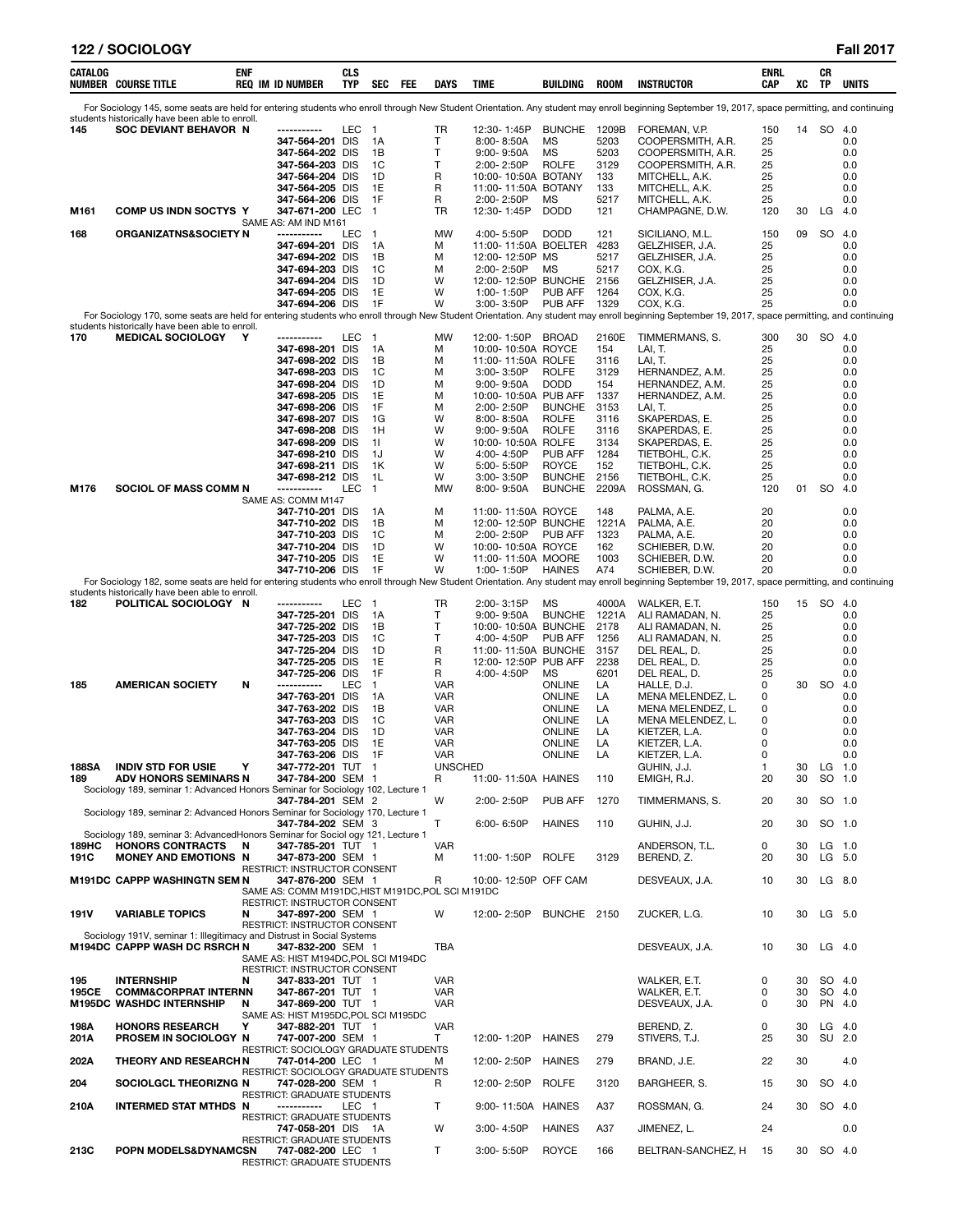| CATALOG       | <b>NUMBER COURSE TITLE</b>                                                                                                               | ENF    | <b>REQ IM ID NUMBER</b>                                                                                                                                                                                                                       | CLS<br>TYP   | <b>SEC</b>                                                                     | FEE | DAYS                                                                                                   | <b>TIME</b>                                                                                                                                                                                                    | BUILDING                                                                                                                                   | <b>ROOM</b>                                                                                | <b>INSTRUCTOR</b>                                                                                                                                                                                                                                                                                 | ENRL<br>CAP                                                           | XC             | CR<br>TP               | <b>UNITS</b>                                                                     |
|---------------|------------------------------------------------------------------------------------------------------------------------------------------|--------|-----------------------------------------------------------------------------------------------------------------------------------------------------------------------------------------------------------------------------------------------|--------------|--------------------------------------------------------------------------------|-----|--------------------------------------------------------------------------------------------------------|----------------------------------------------------------------------------------------------------------------------------------------------------------------------------------------------------------------|--------------------------------------------------------------------------------------------------------------------------------------------|--------------------------------------------------------------------------------------------|---------------------------------------------------------------------------------------------------------------------------------------------------------------------------------------------------------------------------------------------------------------------------------------------------|-----------------------------------------------------------------------|----------------|------------------------|----------------------------------------------------------------------------------|
|               | students historically have been able to enroll.                                                                                          |        |                                                                                                                                                                                                                                               |              |                                                                                |     |                                                                                                        |                                                                                                                                                                                                                |                                                                                                                                            |                                                                                            | For Sociology 145, some seats are held for entering students who enroll through New Student Orientation. Any student may enroll beginning September 19, 2017, space permitting, and continuing                                                                                                    |                                                                       |                |                        |                                                                                  |
| 145<br>M161   | SOC DEVIANT BEHAVOR N<br>COMP US INDN SOCTYS Y                                                                                           |        | -----------<br>347-564-201 DIS<br>347-564-202 DIS<br>347-564-203 DIS<br>347-564-204 DIS<br>347-564-205 DIS<br>347-564-206 DIS<br>347-671-200 LEC                                                                                              | LEC          | $\overline{\phantom{0}}$<br>1A<br>1B<br>1C<br>1D<br>1E<br>1F<br>$\overline{1}$ |     | TR<br>т<br>T<br>т<br>R<br>R<br>R<br>TR                                                                 | 12:30-1:45P<br>$8:00 - 8:50A$<br>$9:00 - 9:50A$<br>2:00-2:50P<br>10:00-10:50A BOTANY<br>11:00-11:50A BOTANY<br>2:00-2:50P<br>12:30-1:45P                                                                       | <b>BUNCHE</b><br>MS<br><b>MS</b><br><b>ROLFE</b><br><b>MS</b><br><b>DODD</b>                                                               | 1209B<br>5203<br>5203<br>3129<br>133<br>133<br>5217<br>121                                 | FOREMAN, V.P.<br>COOPERSMITH, A.R.<br>COOPERSMITH, A.R.<br>COOPERSMITH, A.R.<br>MITCHELL, A.K.<br>MITCHELL, A.K.<br>MITCHELL, A.K.<br>CHAMPAGNE, D.W.                                                                                                                                             | 150<br>25<br>25<br>25<br>25<br>25<br>25<br>120                        | 14<br>30       | SO<br>LG               | - 4.0<br>0.0<br>0.0<br>0.0<br>0.0<br>0.0<br>0.0<br>-4.0                          |
| 168           | ORGANIZATNS&SOCIETY N                                                                                                                    |        | SAME AS: AM IND M161<br>------------                                                                                                                                                                                                          | LEC          | $\overline{1}$                                                                 |     | MW                                                                                                     | 4:00-5:50P                                                                                                                                                                                                     | <b>DODD</b>                                                                                                                                | 121                                                                                        | SICILIANO, M.L.                                                                                                                                                                                                                                                                                   | 150                                                                   | 09             | <b>SO</b>              | 4.0                                                                              |
|               |                                                                                                                                          |        | 347-694-201 DIS<br>347-694-202 DIS<br>347-694-203 DIS<br>347-694-204 DIS<br>347-694-205 DIS<br>347-694-206 DIS                                                                                                                                |              | 1A<br>1В<br>1C<br>1D<br>1E<br>1F                                               |     | М<br>М<br>М<br>W<br>W<br>W                                                                             | 11:00-11:50A BOELTER<br>12:00-12:50P MS<br>2:00-2:50P<br>12:00-12:50P BUNCHE<br>1:00-1:50P<br>3:00-3:50P                                                                                                       | ΜS<br><b>PUB AFF</b><br><b>PUB AFF</b>                                                                                                     | 4283<br>5217<br>5217<br>2156<br>1264<br>1329                                               | GELZHISER, J.A.<br>GELZHISER, J.A.<br>COX, K.G.<br>GELZHISER, J.A.<br>COX, K.G.<br>COX, K.G.<br>For Sociology 170, some seats are held for entering students who enroll through New Student Orientation. Any student may enroll beginning September 19, 2017, space permitting, and continuing    | 25<br>25<br>25<br>25<br>25<br>25                                      |                |                        | 0.0<br>0.0<br>0.0<br>0.0<br>0.0<br>0.0                                           |
| 170           | students historically have been able to enroll.<br><b>MEDICAL SOCIOLOGY</b>                                                              | Y      | ------------                                                                                                                                                                                                                                  | LEC          | $\overline{\phantom{0}}$                                                       |     | <b>MW</b>                                                                                              | 12:00-1:50P                                                                                                                                                                                                    | <b>BROAD</b>                                                                                                                               | 2160E                                                                                      | TIMMERMANS, S.                                                                                                                                                                                                                                                                                    | 300                                                                   | 30             | SO 4.0                 |                                                                                  |
|               |                                                                                                                                          |        | 347-698-201 DIS<br>347-698-202 DIS<br>347-698-203 DIS<br>347-698-204 DIS<br>347-698-205 DIS<br>347-698-206 DIS<br>347-698-207 DIS<br>347-698-208 DIS<br>347-698-209 DIS<br>347-698-210 DIS<br>347-698-211 DIS<br>347-698-212 DIS              |              | 1A<br>1B<br>1C<br>1D<br>1E<br>1F<br>1G<br>1H<br>11<br>1J<br>1K<br>1L           |     | М<br>M<br>М<br>M<br>M<br>M<br>W<br>W<br>W<br>W<br>W<br>W                                               | 10:00-10:50A ROYCE<br>11:00-11:50A ROLFE<br>3:00-3:50P<br>$9:00 - 9:50A$<br>10:00-10:50A PUB AFF<br>2:00-2:50P<br>8:00-8:50A<br>$9:00 - 9:50A$<br>10:00-10:50A ROLFE<br>4:00-4:50P<br>5:00-5:50P<br>3:00-3:50P | <b>ROLFE</b><br><b>DODD</b><br><b>BUNCHE</b><br><b>ROLFE</b><br><b>ROLFE</b><br><b>PUB AFF</b><br><b>ROYCE</b><br><b>BUNCHE</b>            | 154<br>3116<br>3129<br>154<br>1337<br>3153<br>3116<br>3116<br>3134<br>1284<br>152<br>2156  | LAI, T.<br>LAI, T.<br>HERNANDEZ, A.M.<br>HERNANDEZ, A.M.<br>HERNANDEZ, A.M.<br>LAI, T.<br>SKAPERDAS, E.<br>SKAPERDAS, E.<br>SKAPERDAS, E.<br>TIETBOHL, C.K.<br>TIETBOHL, C.K.                                                                                                                     | 25<br>25<br>25<br>25<br>25<br>25<br>25<br>25<br>25<br>25<br>25<br>25  |                |                        | 0.0<br>0.0<br>0.0<br>0.0<br>0.0<br>0.0<br>0.0<br>0.0<br>0.0<br>0.0<br>0.0<br>0.0 |
| M176          | SOCIOL OF MASS COMM N                                                                                                                    |        | -----------                                                                                                                                                                                                                                   | LEC          | $\overline{1}$                                                                 |     | MW                                                                                                     | 8:00-9:50A                                                                                                                                                                                                     | <b>BUNCHE</b>                                                                                                                              | 2209A                                                                                      | TIETBOHL, C.K.<br>ROSSMAN, G.                                                                                                                                                                                                                                                                     | 120                                                                   | 01             | SO 4.0                 |                                                                                  |
|               |                                                                                                                                          |        | SAME AS: COMM M147<br>347-710-201 DIS<br>347-710-202 DIS<br>347-710-203 DIS<br>347-710-204 DIS<br>347-710-205 DIS<br>347-710-206 DIS                                                                                                          |              | 1A<br>1В<br>1C<br>1D<br>1E<br>1F                                               |     | M<br>м<br>М<br>W<br>W<br>W                                                                             | 11:00-11:50A ROYCE<br>12:00-12:50P BUNCHE<br>2:00-2:50P<br>10:00-10:50A ROYCE<br>11:00-11:50A MOORE<br>1:00-1:50P                                                                                              | <b>PUB AFF</b><br><b>HAINES</b>                                                                                                            | 148<br>1221A<br>1323<br>162<br>1003<br>A74                                                 | PALMA, A.E.<br>PALMA, A.E.<br>PALMA, A.E.<br>SCHIEBER, D.W.<br>SCHIEBER, D.W.<br>SCHIEBER, D.W.<br>For Sociology 182, some seats are held for entering students who enroll through New Student Orientation. Any student may enroll beginning September 19, 2017, space permitting, and continuing | 20<br>20<br>20<br>20<br>20<br>20                                      |                |                        | 0.0<br>0.0<br>0.0<br>0.0<br>0.0<br>0.0                                           |
|               | students historically have been able to enroll.                                                                                          |        |                                                                                                                                                                                                                                               |              |                                                                                |     |                                                                                                        |                                                                                                                                                                                                                |                                                                                                                                            |                                                                                            |                                                                                                                                                                                                                                                                                                   |                                                                       |                |                        |                                                                                  |
| 182<br>185    | POLITICAL SOCIOLOGY N<br><b>AMERICAN SOCIETY</b>                                                                                         | N      | ------------<br>347-725-201 DIS<br>347-725-202 DIS<br>347-725-203 DIS<br>347-725-204 DIS<br>347-725-205 DIS<br>347-725-206 DIS<br>------------<br>347-763-201 DIS<br>347-763-202 DIS<br>347-763-203 DIS<br>347-763-204 DIS<br>347-763-205 DIS | LEC 1<br>LEC | 1A<br>1B<br>1C<br>1D<br>1E<br>1F<br>$\mathbf{1}$<br>1A<br>1В<br>1C<br>1D<br>1E |     | TR<br>т<br>т<br>т<br>R<br>R<br>R<br><b>VAR</b><br><b>VAR</b><br>VAR<br><b>VAR</b><br>VAR<br><b>VAR</b> | 2:00-3:15P<br>9:00-9:50A<br>10:00-10:50A BUNCHE<br>4:00-4:50P<br>11:00-11:50A BUNCHE<br>12:00-12:50P PUB AFF<br>4:00-4:50P                                                                                     | ΜS<br><b>BUNCHE</b><br><b>PUB AFF</b><br>ΜS<br><b>ONLINE</b><br><b>ONLINE</b><br><b>ONLINE</b><br>ONLINE<br><b>ONLINE</b><br><b>ONLINE</b> | 4000A<br>1221A<br>2178<br>1256<br>3157<br>2238<br>6201<br>LA<br>LA<br>LA<br>LA<br>LA<br>LA | WALKER, E.T.<br>ALI RAMADAN, N.<br>ALI RAMADAN, N.<br>ALI RAMADAN, N.<br>DEL REAL, D.<br>DEL REAL, D.<br>DEL REAL, D.<br>HALLE, D.J.<br>MENA MELENDEZ, L.<br>MENA MELENDEZ, L.<br>MENA MELENDEZ, L.<br>KIETZER, L.A.<br>KIETZER, L.A.                                                             | 150<br>25<br>25<br>25<br>25<br>25<br>25<br>0<br>0<br>0<br>0<br>0<br>0 | 30             | 15 SO 4.0<br><b>SO</b> | 0.0<br>0.0<br>0.0<br>0.0<br>0.0<br>0.0<br>4.0<br>0.0<br>0.0<br>0.0<br>0.0<br>0.0 |
| 188SA<br>189  | <b>INDIV STD FOR USIE</b><br><b>ADV HONORS SEMINARS N</b>                                                                                |        | 347-763-206 DIS<br>347-772-201 TUT 1<br>347-784-200 SEM 1                                                                                                                                                                                     |              | 1F                                                                             |     | VAR<br><b>UNSCHED</b><br>R                                                                             | 11:00-11:50A HAINES                                                                                                                                                                                            | ONLINE                                                                                                                                     | LA<br>110                                                                                  | KIETZER, L.A.<br>GUHIN, J.J.<br>EMIGH, R.J.                                                                                                                                                                                                                                                       | 0<br>20                                                               | 30             | 30 LG 1.0<br>SO 1.0    | 0.0                                                                              |
|               | Sociology 189, seminar 1: Advanced Honors Seminar for Sociology 102, Lecture 1                                                           |        | 347-784-201 SEM 2                                                                                                                                                                                                                             |              |                                                                                |     | W                                                                                                      | 2:00-2:50P                                                                                                                                                                                                     | <b>PUB AFF</b>                                                                                                                             | 1270                                                                                       | TIMMERMANS, S.                                                                                                                                                                                                                                                                                    | 20                                                                    | 30             |                        | SO 1.0                                                                           |
|               | Sociology 189, seminar 2: Advanced Honors Seminar for Sociology 170, Lecture 1                                                           |        | 347-784-202 SEM 3                                                                                                                                                                                                                             |              |                                                                                |     | т                                                                                                      | $6:00 - 6:50P$                                                                                                                                                                                                 | <b>HAINES</b>                                                                                                                              | 110                                                                                        | GUHIN, J.J.                                                                                                                                                                                                                                                                                       | 20                                                                    | 30             |                        | SO 1.0                                                                           |
| 189HC<br>191C | Sociology 189, seminar 3: AdvancedHonors Seminar for Sociol ogy 121, Lecture 1<br><b>HONORS CONTRACTS</b><br><b>MONEY AND EMOTIONS N</b> | N      | 347-785-201 TUT 1<br>347-873-200 SEM 1                                                                                                                                                                                                        |              |                                                                                |     | <b>VAR</b><br>М                                                                                        | 11:00-1:50P                                                                                                                                                                                                    | <b>ROLFE</b>                                                                                                                               | 3129                                                                                       | ANDERSON, T.L.<br>BEREND, Z.                                                                                                                                                                                                                                                                      | 0<br>20                                                               | 30<br>30       | LG 1.0<br>LG 5.0       |                                                                                  |
|               | M191DC CAPPP WASHINGTN SEM N                                                                                                             |        | RESTRICT: INSTRUCTOR CONSENT<br>347-876-200 SEM 1                                                                                                                                                                                             |              |                                                                                |     | R                                                                                                      | 10:00-12:50P OFF CAM                                                                                                                                                                                           |                                                                                                                                            |                                                                                            | DESVEAUX, J.A.                                                                                                                                                                                                                                                                                    | 10                                                                    | 30             |                        | LG 8.0                                                                           |
| 191V          | <b>VARIABLE TOPICS</b>                                                                                                                   | N      | SAME AS: COMM M191DC, HIST M191DC, POL SCI M191DC<br>RESTRICT: INSTRUCTOR CONSENT<br>347-897-200 SEM 1                                                                                                                                        |              |                                                                                |     | W                                                                                                      | 12:00-2:50P                                                                                                                                                                                                    | BUNCHE 2150                                                                                                                                |                                                                                            | ZUCKER, L.G.                                                                                                                                                                                                                                                                                      | 10                                                                    | 30             |                        | LG 5.0                                                                           |
|               | Sociology 191V, seminar 1: Illegitimacy and Distrust in Social Systems<br>M194DC CAPPP WASH DC RSRCH N                                   |        | RESTRICT: INSTRUCTOR CONSENT<br>347-832-200 SEM 1<br>SAME AS: HIST M194DC, POL SCI M194DC                                                                                                                                                     |              |                                                                                |     | TBA                                                                                                    |                                                                                                                                                                                                                |                                                                                                                                            |                                                                                            | DESVEAUX, J.A.                                                                                                                                                                                                                                                                                    | 10                                                                    | 30             | $LG$ 4.0               |                                                                                  |
| 195<br>195CE  | <b>INTERNSHIP</b><br><b>COMM&amp;CORPRAT INTERNN</b><br>M195DC WASHDC INTERNSHIP                                                         | N<br>N | RESTRICT: INSTRUCTOR CONSENT<br>347-833-201 TUT 1<br>347-867-201 TUT 1<br>347-869-200 TUT 1<br>SAME AS: HIST M195DC, POL SCI M195DC                                                                                                           |              |                                                                                |     | VAR<br>VAR<br>VAR                                                                                      |                                                                                                                                                                                                                |                                                                                                                                            |                                                                                            | WALKER, E.T.<br>WALKER, E.T.<br>DESVEAUX, J.A.                                                                                                                                                                                                                                                    | 0<br>0<br>0                                                           | 30<br>30<br>30 | PN 4.0                 | SO 4.0<br>SO 4.0                                                                 |
| 198A<br>201A  | <b>HONORS RESEARCH</b><br>PROSEM IN SOCIOLOGY N                                                                                          | Υ      | 347-882-201 TUT 1<br>747-007-200 SEM 1                                                                                                                                                                                                        |              |                                                                                |     | <b>VAR</b><br>Τ                                                                                        | 12:00-1:20P                                                                                                                                                                                                    | <b>HAINES</b>                                                                                                                              | 279                                                                                        | BEREND, Z.<br>STIVERS, T.J.                                                                                                                                                                                                                                                                       | 0<br>25                                                               | 30<br>30       | LG                     | - 4.0<br>SU 2.0                                                                  |
| 202A          | <b>THEORY AND RESEARCHN</b>                                                                                                              |        | RESTRICT: SOCIOLOGY GRADUATE STUDENTS<br>747-014-200 LEC 1                                                                                                                                                                                    |              |                                                                                |     | М                                                                                                      | 12:00-2:50P                                                                                                                                                                                                    | <b>HAINES</b>                                                                                                                              | 279                                                                                        | BRAND, J.E.                                                                                                                                                                                                                                                                                       | 22                                                                    | 30             |                        | 4.0                                                                              |
| 204           | SOCIOLGCL THEORIZNG N                                                                                                                    |        | RESTRICT: SOCIOLOGY GRADUATE STUDENTS<br>747-028-200 SEM 1                                                                                                                                                                                    |              |                                                                                |     | R                                                                                                      | 12:00-2:50P                                                                                                                                                                                                    | <b>ROLFE</b>                                                                                                                               | 3120                                                                                       | BARGHEER, S.                                                                                                                                                                                                                                                                                      | 15                                                                    | 30             |                        | SO 4.0                                                                           |
| 210A          | <b>INTERMED STAT MTHDS N</b>                                                                                                             |        | <b>RESTRICT: GRADUATE STUDENTS</b><br>-----------                                                                                                                                                                                             | LEC 1        |                                                                                |     | т                                                                                                      | 9:00-11:50A HAINES                                                                                                                                                                                             |                                                                                                                                            | A37                                                                                        | ROSSMAN, G.                                                                                                                                                                                                                                                                                       | 24                                                                    | 30             | SO 4.0                 |                                                                                  |
|               |                                                                                                                                          |        | RESTRICT: GRADUATE STUDENTS<br>747-058-201 DIS 1A                                                                                                                                                                                             |              |                                                                                |     | W                                                                                                      | 3:00-4:50P                                                                                                                                                                                                     | <b>HAINES</b>                                                                                                                              | A37                                                                                        | JIMENEZ, L.                                                                                                                                                                                                                                                                                       | 24                                                                    |                |                        | 0.0                                                                              |
| 213C          | POPN MODELS&DYNAMCSN                                                                                                                     |        | RESTRICT: GRADUATE STUDENTS<br>747-082-200 LEC 1<br>RESTRICT: GRADUATE STUDENTS                                                                                                                                                               |              |                                                                                |     | Τ                                                                                                      | 3:00-5:50P                                                                                                                                                                                                     | ROYCE                                                                                                                                      | 166                                                                                        | BELTRAN-SANCHEZ, H                                                                                                                                                                                                                                                                                | 15                                                                    |                | 30 SO 4.0              |                                                                                  |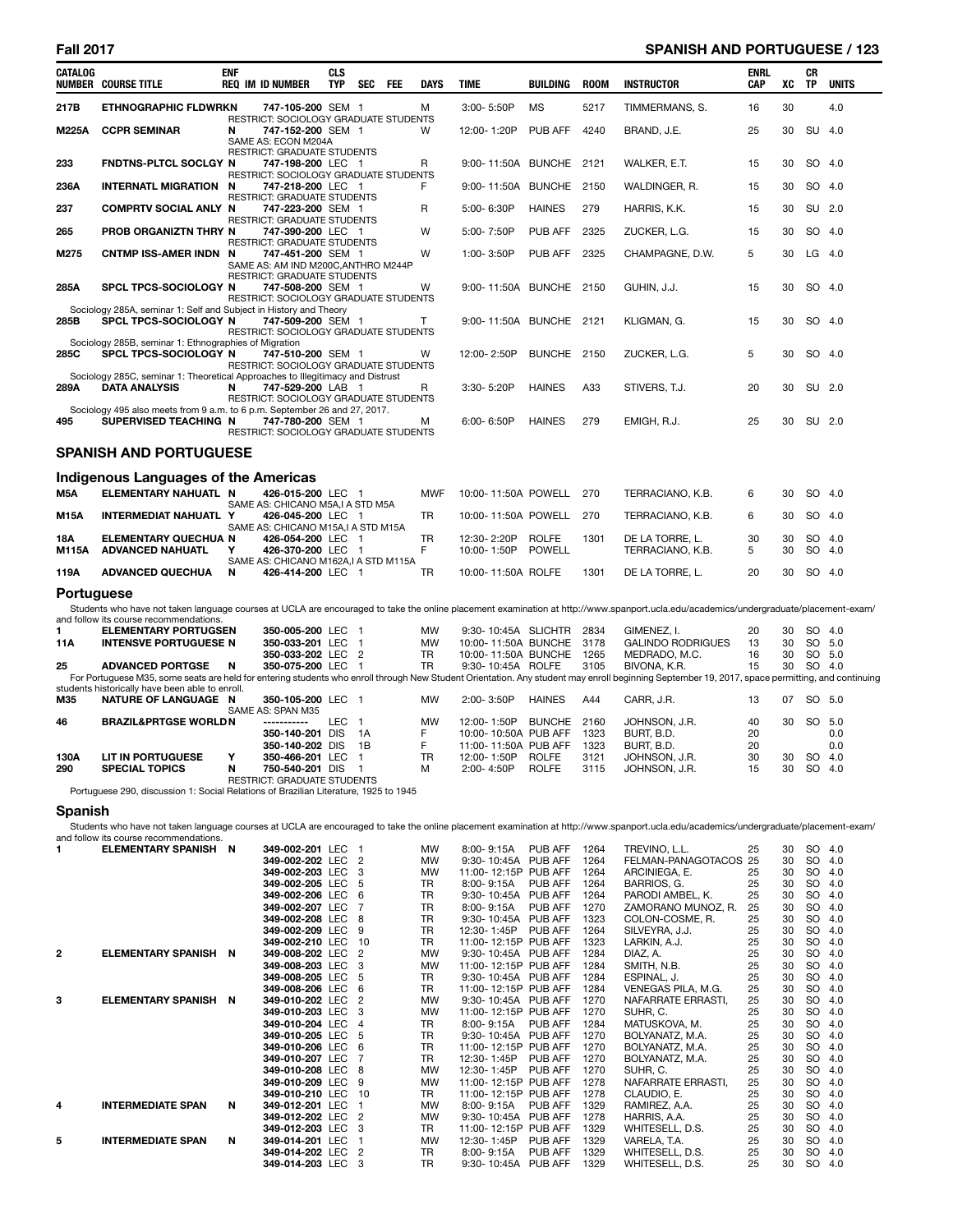# **Fall 2017 SPANISH AND PORTUGUESE / 123**

| CATALOG           | <b>NUMBER COURSE TITLE</b>                                                                             | <b>ENF</b> | <b>REQ IM ID NUMBER</b>                                                                 | <b>CLS</b><br><b>TYP</b> | <b>SEC</b> | FEE | <b>DAYS</b>           | <b>TIME</b>                                                       | <b>BUILDING</b>               | <b>ROOM</b>          | <b>INSTRUCTOR</b>                                                                                                                                                                                               | <b>ENRL</b><br><b>CAP</b> | xс             | СR<br><b>TP</b> | <b>UNITS</b>            |
|-------------------|--------------------------------------------------------------------------------------------------------|------------|-----------------------------------------------------------------------------------------|--------------------------|------------|-----|-----------------------|-------------------------------------------------------------------|-------------------------------|----------------------|-----------------------------------------------------------------------------------------------------------------------------------------------------------------------------------------------------------------|---------------------------|----------------|-----------------|-------------------------|
| 217B              | <b>ETHNOGRAPHIC FLDWRKN</b>                                                                            |            | 747-105-200 SEM 1<br>RESTRICT: SOCIOLOGY GRADUATE STUDENTS                              |                          |            |     | м                     | 3:00-5:50P                                                        | <b>MS</b>                     | 5217                 | TIMMERMANS, S.                                                                                                                                                                                                  | 16                        | 30             |                 | 4.0                     |
| <b>M225A</b>      | <b>CCPR SEMINAR</b>                                                                                    | N          | 747-152-200 SEM 1<br>SAME AS: ECON M204A<br>RESTRICT: GRADUATE STUDENTS                 |                          |            |     | W                     | 12:00-1:20P                                                       | PUB AFF                       | 4240                 | BRAND, J.E.                                                                                                                                                                                                     | 25                        | 30             |                 | SU 4.0                  |
| 233               | FNDTNS-PLTCL SOCLGY N                                                                                  |            | 747-198-200 LEC 1<br>RESTRICT: SOCIOLOGY GRADUATE STUDENTS                              |                          |            |     | R                     | 9:00-11:50A BUNCHE 2121                                           |                               |                      | WALKER, E.T.                                                                                                                                                                                                    | 15                        | 30             |                 | SO 4.0                  |
| 236A              | <b>INTERNATL MIGRATION N</b>                                                                           |            | 747-218-200 LEC 1<br>RESTRICT: GRADUATE STUDENTS                                        |                          |            |     | F                     | 9:00-11:50A BUNCHE 2150                                           |                               |                      | WALDINGER, R.                                                                                                                                                                                                   | 15                        | 30             | SO 4.0          |                         |
| 237               | <b>COMPRTV SOCIAL ANLY N</b>                                                                           |            | 747-223-200 SEM 1<br>RESTRICT: GRADUATE STUDENTS                                        |                          |            |     | R                     | 5:00-6:30P                                                        | <b>HAINES</b>                 | 279                  | HARRIS, K.K.                                                                                                                                                                                                    | 15                        | 30             |                 | SU 2.0                  |
| 265               | <b>PROB ORGANIZTN THRY N</b>                                                                           |            | 747-390-200 LEC 1<br><b>RESTRICT: GRADUATE STUDENTS</b>                                 |                          |            |     | W                     | 5:00-7:50P                                                        | PUB AFF                       | 2325                 | ZUCKER, L.G.                                                                                                                                                                                                    | 15                        | 30             |                 | SO 4.0                  |
| M275              | <b>CNTMP ISS-AMER INDN N</b>                                                                           |            | 747-451-200 SEM 1<br>SAME AS: AM IND M200C, ANTHRO M244P<br>RESTRICT: GRADUATE STUDENTS |                          |            |     | W                     | 1:00-3:50P                                                        | PUB AFF                       | 2325                 | CHAMPAGNE, D.W.                                                                                                                                                                                                 | 5                         | 30             |                 | $LG$ 4.0                |
| 285A              | <b>SPCL TPCS-SOCIOLOGY N</b>                                                                           |            | 747-508-200 SEM 1<br>RESTRICT: SOCIOLOGY GRADUATE STUDENTS                              |                          |            |     | w                     | 9:00-11:50A BUNCHE 2150                                           |                               |                      | GUHIN, J.J.                                                                                                                                                                                                     | 15                        | 30             | SO 4.0          |                         |
| 285B              | Sociology 285A, seminar 1: Self and Subject in History and Theory<br>SPCL TPCS-SOCIOLOGY N             |            | 747-509-200 SEM 1<br>RESTRICT: SOCIOLOGY GRADUATE STUDENTS                              |                          |            |     | т                     | 9:00-11:50A BUNCHE 2121                                           |                               |                      | KLIGMAN, G.                                                                                                                                                                                                     | 15                        | 30             | SO 4.0          |                         |
| 285C              | Sociology 285B, seminar 1: Ethnographies of Migration<br><b>SPCL TPCS-SOCIOLOGY N</b>                  |            | 747-510-200 SEM 1<br>RESTRICT: SOCIOLOGY GRADUATE STUDENTS                              |                          |            |     | W                     | 12:00-2:50P                                                       | BUNCHE 2150                   |                      | ZUCKER, L.G.                                                                                                                                                                                                    | 5                         | 30             | SO 4.0          |                         |
| 289A              | Sociology 285C, seminar 1: Theoretical Approaches to Illegitimacy and Distrust<br><b>DATA ANALYSIS</b> | N          | 747-529-200 LAB 1<br>RESTRICT: SOCIOLOGY GRADUATE STUDENTS                              |                          |            |     | R                     | 3:30-5:20P                                                        | <b>HAINES</b>                 | A33                  | STIVERS, T.J.                                                                                                                                                                                                   | 20                        | 30             |                 | SU 2.0                  |
| 495               | Sociology 495 also meets from 9 a.m. to 6 p.m. September 26 and 27, 2017.<br>SUPERVISED TEACHING N     |            | 747-780-200 SEM 1<br>RESTRICT: SOCIOLOGY GRADUATE STUDENTS                              |                          |            |     | м                     | 6:00-6:50P                                                        | <b>HAINES</b>                 | 279                  | EMIGH, R.J.                                                                                                                                                                                                     | 25                        | 30             |                 | SU 2.0                  |
|                   | <b>SPANISH AND PORTUGUESE</b>                                                                          |            |                                                                                         |                          |            |     |                       |                                                                   |                               |                      |                                                                                                                                                                                                                 |                           |                |                 |                         |
|                   | Indigenous Languages of the Americas                                                                   |            |                                                                                         |                          |            |     |                       |                                                                   |                               |                      |                                                                                                                                                                                                                 |                           |                |                 |                         |
| M5A               | ELEMENTARY NAHUATL N                                                                                   |            | 426-015-200 LEC 1<br>SAME AS: CHICANO M5A,I A STD M5A                                   |                          |            |     | <b>MWF</b>            | 10:00-11:50A POWELL 270                                           |                               |                      | TERRACIANO, K.B.                                                                                                                                                                                                | 6                         | 30             |                 | SO 4.0                  |
| <b>M15A</b>       | INTERMEDIAT NAHUATL Y                                                                                  |            | 426-045-200 LEC 1<br>SAME AS: CHICANO M15A, I A STD M15A                                |                          |            |     | <b>TR</b>             | 10:00-11:50A POWELL                                               |                               | 270                  | TERRACIANO, K.B.                                                                                                                                                                                                | 6                         | 30             |                 | SO 4.0                  |
| 18A               | <b>ELEMENTARY QUECHUA N</b><br>M115A ADVANCED NAHUATL                                                  | Y          | 426-054-200 LEC 1<br>426-370-200 LEC 1                                                  |                          |            |     | <b>TR</b><br>F        | 12:30-2:20P<br>10:00-1:50P                                        | <b>ROLFE</b><br><b>POWELL</b> | 1301                 | DE LA TORRE, L.<br>TERRACIANO, K.B.                                                                                                                                                                             | 30<br>5                   | 30<br>30       |                 | SO 4.0<br>SO 4.0        |
| 119A              | <b>ADVANCED QUECHUA</b>                                                                                | N          | SAME AS: CHICANO M162A, I A STD M115A<br>426-414-200 LEC 1                              |                          |            |     | <b>TR</b>             | 10:00-11:50A ROLFE                                                |                               | 1301                 | DE LA TORRE. L.                                                                                                                                                                                                 | 20                        | 30             | SO 4.0          |                         |
| <b>Portuguese</b> |                                                                                                        |            |                                                                                         |                          |            |     |                       |                                                                   |                               |                      | Students who have not taken language courses at UCLA are encouraged to take the online placement examination at http://www.spanport.ucla.edu/academics/undergraduate/placement-exam/                            |                           |                |                 |                         |
|                   | and follow its course recommendations.                                                                 |            |                                                                                         |                          |            |     |                       |                                                                   |                               |                      |                                                                                                                                                                                                                 |                           |                |                 |                         |
| 1<br>11A          | <b>ELEMENTARY PORTUGSEN</b><br><b>INTENSVE PORTUGUESE N</b>                                            |            | 350-005-200 LEC 1<br>350-033-201 LEC 1<br>350-033-202 LEC 2                             |                          |            |     | MW<br>MW<br><b>TR</b> | 9:30-10:45A SLICHTR<br>10:00-11:50A BUNCHE<br>10:00-11:50A BUNCHE |                               | 2834<br>3178<br>1265 | GIMENEZ, I.<br><b>GALINDO RODRIGUES</b><br>MEDRADO, M.C.                                                                                                                                                        | 20<br>13<br>16            | 30<br>30<br>30 | SO              | SO 4.0<br>SO 5.0<br>5.0 |
| 25                | <b>ADVANCED PORTGSE</b><br>students historically have been able to enroll.                             | N          | 350-075-200 LEC 1                                                                       |                          |            |     | <b>TR</b>             | 9:30-10:45A ROLFE                                                 |                               | 3105                 | BIVONA, K.R.<br>For Portuguese M35, some seats are held for entering students who enroll through New Student Orientation. Any student may enroll beginning September 19, 2017, space permitting, and continuing | 15                        | 30             |                 | SO 4.0                  |

| M35  | NATURE OF LANGUAGE N            | 350-105-200 LEC 1                  |      |           | <b>MW</b> | $2:00 - 3:50P$       | <b>HAINES</b> | A44  | CARR. J.R.    | 13 | 07        | SO 5.0 |     |
|------|---------------------------------|------------------------------------|------|-----------|-----------|----------------------|---------------|------|---------------|----|-----------|--------|-----|
|      |                                 | SAME AS: SPAN M35                  |      |           |           |                      |               |      |               |    |           |        |     |
| 46   | <b>BRAZIL&amp;PRTGSE WORLDN</b> | ------------                       | LEC. |           | MW        | 12:00-1:50P          | BUNCHE 2160   |      | JOHNSON, J.R. | 40 | 30 SO 5.0 |        |     |
|      |                                 | 350-140-201 DIS                    |      | <b>1A</b> |           | 10:00-10:50A PUB AFF |               | 1323 | BURT. B.D.    | 20 |           |        | 0.0 |
|      |                                 | 350-140-202 DIS 1B                 |      |           |           | 11:00-11:50A PUB AFF |               | 1323 | BURT. B.D.    | 20 |           |        | 0.0 |
| 130A | LIT IN PORTUGUESE               | Y<br>350-466-201 LEC 1             |      |           | TR        | 12:00-1:50P          | ROLFE         | 3121 | JOHNSON, J.R. | 30 | 30        | SO 4.0 |     |
| 290  | <b>SPECIAL TOPICS</b>           | 750-540-201 DIS                    |      |           | м         | $2:00 - 4:50P$       | ROLFE         | 3115 | JOHNSON, J.R. | 15 | 30        | SO 4.0 |     |
|      |                                 | <b>RESTRICT: GRADUATE STUDENTS</b> |      |           |           |                      |               |      |               |    |           |        |     |

RESTRICT: GRADUATE STUDENTS<br>Portuguese 290, discussion 1: Social Relations of Brazilian Literature, 1925 to 1945

### **Spanish**

Students who have not taken language courses at UCLA are encouraged to take the online placement examination at http://www.spanport.ucla.edu/academics/undergraduate/placement-exam/ and follow its course recommendations.

| 1              | ELEMENTARY SPANISH N        |   | 349-002-201 LEC 1  |  | <b>MW</b> | 8:00-9:15A           | PUB AFF | 1264 | TREVINO, L.L.         | 25 | 30 | SO.       | 4.0 |
|----------------|-----------------------------|---|--------------------|--|-----------|----------------------|---------|------|-----------------------|----|----|-----------|-----|
|                |                             |   | 349-002-202 LEC 2  |  | <b>MW</b> | 9:30-10:45A PUB AFF  |         | 1264 | FELMAN-PANAGOTACOS 25 |    | 30 | <b>SO</b> | 4.0 |
|                |                             |   | 349-002-203 LEC 3  |  | <b>MW</b> | 11:00-12:15P PUB AFF |         | 1264 | ARCINIEGA, E.         | 25 | 30 | SO        | 4.0 |
|                |                             |   | 349-002-205 LEC 5  |  | TR.       | $8:00 - 9:15A$       | PUB AFF | 1264 | BARRIOS, G.           | 25 | 30 | <b>SO</b> | 4.0 |
|                |                             |   | 349-002-206 LEC 6  |  | TR        | 9:30-10:45A PUB AFF  |         | 1264 | PARODI AMBEL, K.      | 25 | 30 | <b>SO</b> | 4.0 |
|                |                             |   | 349-002-207 LEC    |  | <b>TR</b> | $8:00 - 9:15A$       | PUB AFF | 1270 | ZAMORANO MUNOZ, R.    | 25 | 30 | <b>SO</b> | 4.0 |
|                |                             |   | 349-002-208 LEC 8  |  | <b>TR</b> | 9:30-10:45A PUB AFF  |         | 1323 | COLON-COSME, R.       | 25 | 30 | <b>SO</b> | 4.0 |
|                |                             |   | 349-002-209 LEC 9  |  | <b>TR</b> | 12:30-1:45P          | PUB AFF | 1264 | SILVEYRA, J.J.        | 25 | 30 | <b>SO</b> | 4.0 |
|                |                             |   | 349-002-210 LEC 10 |  | <b>TR</b> | 11:00-12:15P PUB AFF |         | 1323 | LARKIN, A.J.          | 25 | 30 | <b>SO</b> | 4.0 |
| $\overline{2}$ | ELEMENTARY SPANISH N        |   | 349-008-202 LEC 2  |  | MW        | 9:30-10:45A PUB AFF  |         | 1284 | DIAZ, A.              | 25 | 30 | <b>SO</b> | 4.0 |
|                |                             |   | 349-008-203 LEC 3  |  | <b>MW</b> | 11:00-12:15P PUB AFF |         | 1284 | SMITH, N.B.           | 25 | 30 | <b>SO</b> | 4.0 |
|                |                             |   | 349-008-205 LEC 5  |  | TR.       | 9:30-10:45A PUB AFF  |         | 1284 | ESPINAL, J.           | 25 | 30 | SO        | 4.0 |
|                |                             |   | 349-008-206 LEC 6  |  | TR.       | 11:00-12:15P PUB AFF |         | 1284 | VENEGAS PILA, M.G.    | 25 | 30 | <b>SO</b> | 4.0 |
| 3              | <b>ELEMENTARY SPANISH N</b> |   | 349-010-202 LEC 2  |  | <b>MW</b> | 9:30-10:45A PUB AFF  |         | 1270 | NAFARRATE ERRASTI,    | 25 | 30 | <b>SO</b> | 4.0 |
|                |                             |   | 349-010-203 LEC 3  |  | <b>MW</b> | 11:00-12:15P PUB AFF |         | 1270 | SUHR, C.              | 25 | 30 | SO        | 4.0 |
|                |                             |   | 349-010-204 LEC 4  |  | TR.       | 8:00-9:15A           | PUB AFF | 1284 | MATUSKOVA, M.         | 25 | 30 | <b>SO</b> | 4.0 |
|                |                             |   | 349-010-205 LEC 5  |  | <b>TR</b> | 9:30-10:45A PUB AFF  |         | 1270 | BOLYANATZ, M.A.       | 25 | 30 | <b>SO</b> | 4.0 |
|                |                             |   | 349-010-206 LEC 6  |  | <b>TR</b> | 11:00-12:15P PUB AFF |         | 1270 | BOLYANATZ, M.A.       | 25 | 30 | <b>SO</b> | 4.0 |
|                |                             |   | 349-010-207 LEC 7  |  | TR.       | 12:30-1:45P          | PUB AFF | 1270 | BOLYANATZ, M.A.       | 25 | 30 | <b>SO</b> | 4.0 |
|                |                             |   | 349-010-208 LEC 8  |  | <b>MW</b> | 12:30-1:45P          | PUB AFF | 1270 | SUHR. C.              | 25 | 30 | <b>SO</b> | 4.0 |
|                |                             |   | 349-010-209 LEC 9  |  | <b>MW</b> | 11:00-12:15P PUB AFF |         | 1278 | NAFARRATE ERRASTI.    | 25 | 30 | <b>SO</b> | 4.0 |
|                |                             |   | 349-010-210 LEC 10 |  | TR.       | 11:00-12:15P PUB AFF |         | 1278 | CLAUDIO. E.           | 25 | 30 | <b>SO</b> | 4.0 |
| 4              | <b>INTERMEDIATE SPAN</b>    | N | 349-012-201 LEC    |  | <b>MW</b> | 8:00-9:15A           | PUB AFF | 1329 | RAMIREZ, A.A.         | 25 | 30 | <b>SO</b> | 4.0 |
|                |                             |   | 349-012-202 LEC 2  |  | MW        | 9:30-10:45A PUB AFF  |         | 1278 | HARRIS, A.A.          | 25 | 30 | <b>SO</b> | 4.0 |
|                |                             |   | 349-012-203 LEC 3  |  | TR.       | 11:00-12:15P PUB AFF |         | 1329 | WHITESELL, D.S.       | 25 | 30 | <b>SO</b> | 4.0 |
| 5              | <b>INTERMEDIATE SPAN</b>    | N | 349-014-201 LEC    |  | MW        | 12:30-1:45P          | PUB AFF | 1329 | VARELA, T.A.          | 25 | 30 | <b>SO</b> | 4.0 |
|                |                             |   | 349-014-202 LEC 2  |  | TR.       | 8:00-9:15A           | PUB AFF | 1329 | WHITESELL, D.S.       | 25 | 30 | <b>SO</b> | 4.0 |
|                |                             |   | 349-014-203 LEC 3  |  | TR        | 9:30-10:45A PUB AFF  |         | 1329 | WHITESELL, D.S.       | 25 | 30 | <b>SO</b> | 4.0 |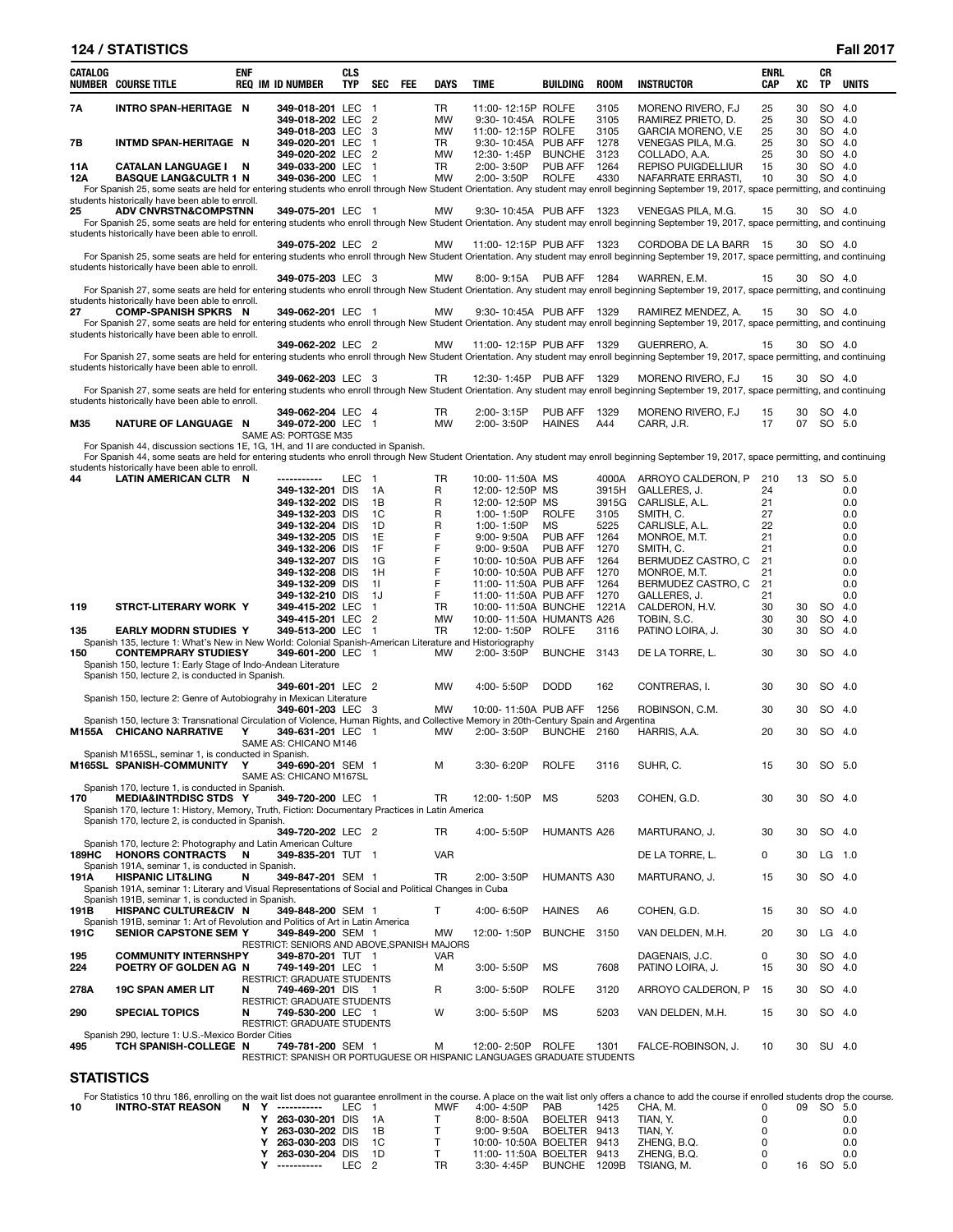|            | <b>124 / STATISTICS</b>                                                                                                                                                                                                                                                         |     |                                                                         |                          |                      |     |                        |                                              |                    |               |                                           |             |          |                  | <b>Fall 2017</b> |
|------------|---------------------------------------------------------------------------------------------------------------------------------------------------------------------------------------------------------------------------------------------------------------------------------|-----|-------------------------------------------------------------------------|--------------------------|----------------------|-----|------------------------|----------------------------------------------|--------------------|---------------|-------------------------------------------|-------------|----------|------------------|------------------|
| CATALOG    | NUMBER COURSE TITLE                                                                                                                                                                                                                                                             | ENF | <b>REQ IM ID NUMBER</b>                                                 | <b>CLS</b><br><b>TYP</b> | SEC                  | FEE | <b>DAYS</b>            | <b>TIME</b>                                  | BUILDING           | <b>ROOM</b>   | <b>INSTRUCTOR</b>                         | ENRL<br>CAP | XC       | CR<br>TP         | UNITS            |
| 7Α         | INTRO SPAN-HERITAGE N                                                                                                                                                                                                                                                           |     | 349-018-201 LEC                                                         |                          | $\overline{1}$       |     | TR                     | 11:00-12:15P ROLFE                           |                    | 3105          | MORENO RIVERO, F.J.                       | 25          | 30       | SO               | 4.0              |
|            |                                                                                                                                                                                                                                                                                 |     | 349-018-202 LEC<br>349-018-203 LEC                                      |                          | $\overline{2}$<br>-3 |     | <b>MW</b><br><b>MW</b> | 9:30-10:45A ROLFE<br>11:00-12:15P ROLFE      |                    | 3105<br>3105  | RAMIREZ PRIETO, D.<br>GARCIA MORENO, V.E. | 25<br>25    | 30<br>30 | SO<br>SO         | 4.0<br>4.0       |
| 7В         | INTMD SPAN-HERITAGE N                                                                                                                                                                                                                                                           |     | 349-020-201 LEC                                                         |                          | $\overline{1}$       |     | TR                     | 9:30-10:45A PUB AFF                          |                    | 1278          | VENEGAS PILA, M.G.                        | 25          | 30       | SO               | 4.0              |
|            |                                                                                                                                                                                                                                                                                 |     | 349-020-202 LEC                                                         |                          | $\overline{2}$       |     | MW                     | 12:30-1:45P                                  | <b>BUNCHE</b>      | 3123          | COLLADO, A.A.                             | 25          | 30       | SO               | 4.0              |
| 11A        | CATALAN LANGUAGE I N                                                                                                                                                                                                                                                            |     | 349-033-200 LEC                                                         |                          | $\overline{1}$       |     | TR                     | 2:00-3:50P                                   | PUB AFF            | 1264          | REPISO PUIGDELLIUR                        | 15          | 30       | SO               | 4.0              |
| 12A        | <b>BASQUE LANG&amp;CULTR 1 N</b>                                                                                                                                                                                                                                                |     | 349-036-200 LEC 1                                                       |                          |                      |     | <b>MW</b>              | 2:00-3:50P                                   | <b>ROLFE</b>       | 4330          | NAFARRATE ERRASTI,                        | 10          | 30       | SO 4.0           |                  |
|            | For Spanish 25, some seats are held for entering students who enroll through New Student Orientation. Any student may enroll beginning September 19, 2017, space permitting, and continuing<br>students historically have been able to enroll.                                  |     |                                                                         |                          |                      |     |                        |                                              |                    |               |                                           |             |          |                  |                  |
| 25         | <b>ADV CNVRSTN&amp;COMPSTNN</b>                                                                                                                                                                                                                                                 |     | 349-075-201 LEC 1                                                       |                          |                      |     | MW                     | 9:30-10:45A PUB AFF                          |                    | 1323          | VENEGAS PILA, M.G.                        | 15          |          | 30 SO 4.0        |                  |
|            | For Spanish 25, some seats are held for entering students who enroll through New Student Orientation. Any student may enroll beginning September 19, 2017, space permitting, and continuing                                                                                     |     |                                                                         |                          |                      |     |                        |                                              |                    |               |                                           |             |          |                  |                  |
|            | students historically have been able to enroll.                                                                                                                                                                                                                                 |     | 349-075-202 LEC 2                                                       |                          |                      |     | <b>MW</b>              | 11:00-12:15P PUB AFF 1323                    |                    |               | CORDOBA DE LA BARR 15                     |             |          | 30 SO 4.0        |                  |
|            | For Spanish 25, some seats are held for entering students who enroll through New Student Orientation. Any student may enroll beginning September 19, 2017, space permitting, and continuing<br>students historically have been able to enroll.                                  |     |                                                                         |                          |                      |     |                        |                                              |                    |               |                                           |             |          |                  |                  |
|            |                                                                                                                                                                                                                                                                                 |     | 349-075-203 LEC 3                                                       |                          |                      |     | МW                     | 8:00-9:15A PUB AFF 1284                      |                    |               | WARREN, E.M.                              | 15          |          | 30 SO 4.0        |                  |
|            | For Spanish 27, some seats are held for entering students who enroll through New Student Orientation. Any student may enroll beginning September 19, 2017, space permitting, and continuing<br>students historically have been able to enroll.                                  |     |                                                                         |                          |                      |     |                        |                                              |                    |               |                                           |             |          |                  |                  |
| 27         | <b>COMP-SPANISH SPKRS N</b>                                                                                                                                                                                                                                                     |     | 349-062-201 LEC 1                                                       |                          |                      |     | MW                     | 9:30-10:45A PUB AFF 1329                     |                    |               | RAMIREZ MENDEZ, A.                        | 15          |          | 30 SO 4.0        |                  |
|            | For Spanish 27, some seats are held for entering students who enroll through New Student Orientation. Any student may enroll beginning September 19, 2017, space permitting, and continuing                                                                                     |     |                                                                         |                          |                      |     |                        |                                              |                    |               |                                           |             |          |                  |                  |
|            | students historically have been able to enroll.                                                                                                                                                                                                                                 |     | 349-062-202 LEC 2                                                       |                          |                      |     | MW                     | 11:00-12:15P PUB AFF 1329                    |                    |               | GUERRERO, A.                              | 15          |          | 30 SO 4.0        |                  |
|            | For Spanish 27, some seats are held for entering students who enroll through New Student Orientation. Any student may enroll beginning September 19, 2017, space permitting, and continuing                                                                                     |     |                                                                         |                          |                      |     |                        |                                              |                    |               |                                           |             |          |                  |                  |
|            | students historically have been able to enroll.                                                                                                                                                                                                                                 |     |                                                                         |                          |                      |     |                        |                                              |                    |               |                                           |             |          |                  |                  |
|            |                                                                                                                                                                                                                                                                                 |     | 349-062-203 LEC 3                                                       |                          |                      |     | TR                     | 12:30-1:45P PUB AFF 1329                     |                    |               | MORENO RIVERO, F.J.                       | 15          | 30       | SO 4.0           |                  |
|            | For Spanish 27, some seats are held for entering students who enroll through New Student Orientation. Any student may enroll beginning September 19, 2017, space permitting, and continuing<br>students historically have been able to enroll.                                  |     |                                                                         |                          |                      |     |                        |                                              |                    |               |                                           |             |          |                  |                  |
|            |                                                                                                                                                                                                                                                                                 |     | 349-062-204 LEC 4                                                       |                          |                      |     | TR                     | 2:00-3:15P                                   | PUB AFF            | 1329          | MORENO RIVERO, F.J.                       | 15          | 30       | SO 4.0           |                  |
| M35        | NATURE OF LANGUAGE N                                                                                                                                                                                                                                                            |     | 349-072-200 LEC                                                         |                          | $\overline{1}$       |     | MW                     | $2:00 - 3:50P$                               | <b>HAINES</b>      | A44           | CARR, J.R.                                | 17          | 07       | SO 5.0           |                  |
|            |                                                                                                                                                                                                                                                                                 |     | SAME AS: PORTGSE M35                                                    |                          |                      |     |                        |                                              |                    |               |                                           |             |          |                  |                  |
|            | For Spanish 44, discussion sections 1E, 1G, 1H, and 1I are conducted in Spanish.<br>For Spanish 44, some seats are held for entering students who enroll through New Student Orientation. Any student may enroll beginning September 19, 2017, space permitting, and continuing |     |                                                                         |                          |                      |     |                        |                                              |                    |               |                                           |             |          |                  |                  |
|            | students historically have been able to enroll.                                                                                                                                                                                                                                 |     |                                                                         |                          |                      |     |                        |                                              |                    |               |                                           |             |          |                  |                  |
| 44         | LATIN AMERICAN CLTR N                                                                                                                                                                                                                                                           |     | -----------                                                             | LEC 1                    |                      |     | TR                     | 10:00-11:50A MS                              |                    | 4000A         | ARROYO CALDERON, P                        | 210         |          | 13 SO 5.0        |                  |
|            |                                                                                                                                                                                                                                                                                 |     | 349-132-201 DIS                                                         |                          | 1A                   |     | R                      | 12:00-12:50P MS                              |                    | 3915H         | GALLERES, J.                              | 24          |          |                  | 0.0              |
|            |                                                                                                                                                                                                                                                                                 |     | 349-132-202 DIS<br>349-132-203 DIS                                      |                          | 1B<br>1C             |     | R<br>R                 | 12:00-12:50P MS<br>1:00-1:50P                | <b>ROLFE</b>       | 3915G<br>3105 | CARLISLE, A.L.<br>SMITH, C.               | 21<br>27    |          |                  | 0.0<br>0.0       |
|            |                                                                                                                                                                                                                                                                                 |     | 349-132-204 DIS                                                         |                          | 1D                   |     | R                      | 1:00-1:50P                                   | MS                 | 5225          | CARLISLE, A.L.                            | 22          |          |                  | 0.0              |
|            |                                                                                                                                                                                                                                                                                 |     | 349-132-205 DIS                                                         |                          | 1E                   |     | F                      | $9:00 - 9:50A$                               | <b>PUB AFF</b>     | 1264          | MONROE, M.T.                              | 21          |          |                  | 0.0              |
|            |                                                                                                                                                                                                                                                                                 |     | 349-132-206 DIS                                                         |                          | 1F                   |     | F                      | $9:00 - 9:50A$                               | PUB AFF            | 1270          | SMITH, C.                                 | 21          |          |                  | 0.0              |
|            |                                                                                                                                                                                                                                                                                 |     | 349-132-207 DIS                                                         |                          | 1G                   |     | F<br>F                 | 10:00-10:50A PUB AFF                         |                    | 1264          | BERMUDEZ CASTRO, C                        | 21          |          |                  | 0.0              |
|            |                                                                                                                                                                                                                                                                                 |     | 349-132-208 DIS<br>349-132-209 DIS                                      |                          | 1H<br>11             |     | F                      | 10:00-10:50A PUB AFF<br>11:00-11:50A PUB AFF |                    | 1270<br>1264  | MONROE, M.T.<br>BERMUDEZ CASTRO, C        | 21<br>21    |          |                  | 0.0<br>0.0       |
|            |                                                                                                                                                                                                                                                                                 |     | 349-132-210 DIS                                                         |                          | 1J                   |     | F                      | 11:00-11:50A PUB AFF                         |                    | 1270          | GALLERES, J.                              | 21          |          |                  | 0.0              |
| 119        | STRCT-LITERARY WORK Y                                                                                                                                                                                                                                                           |     | 349-415-202 LEC                                                         |                          | $\overline{1}$       |     | TR                     | 10:00-11:50A BUNCHE                          |                    | 1221A         | CALDERON, H.V.                            | 30          | 30       | SO               | 4.0              |
|            |                                                                                                                                                                                                                                                                                 |     | 349-415-201 LEC                                                         |                          | $\overline{2}$       |     | <b>MW</b>              | 10:00-11:50A HUMANTS A26                     |                    |               | TOBIN, S.C.                               | 30          | 30       | SO               | 4.0              |
| 135        | <b>EARLY MODRN STUDIES Y</b><br>Spanish 135, lecture 1: What's New in New World: Colonial Spanish-American Literature and Historiography                                                                                                                                        |     | 349-513-200 LEC                                                         |                          | $\overline{1}$       |     | <b>TR</b>              | 12:00-1:50P                                  | <b>ROLFE</b>       | 3116          | PATINO LOIRA, J.                          | 30          | 30       | SO               | 4.0              |
| 150        | <b>CONTEMPRARY STUDIESY</b>                                                                                                                                                                                                                                                     |     | 349-601-200 LEC 1                                                       |                          |                      |     | <b>MW</b>              | 2:00-3:50P                                   | <b>BUNCHE</b>      | - 3143        | DE LA TORRE. L.                           | 30          | 30       | SO 4.0           |                  |
|            | Spanish 150, lecture 1: Early Stage of Indo-Andean Literature                                                                                                                                                                                                                   |     |                                                                         |                          |                      |     |                        |                                              |                    |               |                                           |             |          |                  |                  |
|            | Spanish 150, lecture 2, is conducted in Spanish.                                                                                                                                                                                                                                |     |                                                                         |                          |                      |     |                        |                                              |                    |               |                                           |             |          |                  |                  |
|            | Spanish 150, lecture 2: Genre of Autobiograhy in Mexican Literature                                                                                                                                                                                                             |     | 349-601-201 LEC 2                                                       |                          |                      |     | MW                     | 4:00-5:50P                                   | <b>DODD</b>        | 162           | CONTRERAS, I.                             | 30          | 30       | SO               | -4.0             |
|            |                                                                                                                                                                                                                                                                                 |     | 349-601-203 LEC 3                                                       |                          |                      |     | MW                     | 10:00-11:50A PUB AFF 1256                    |                    |               | ROBINSON, C.M.                            | 30          | 30       | SO 4.0           |                  |
|            | Spanish 150, lecture 3: Transnational Circulation of Violence, Human Rights, and Collective Memory in 20th-Century Spain and Argentina                                                                                                                                          |     |                                                                         |                          |                      |     |                        |                                              |                    |               |                                           |             |          |                  |                  |
|            | M155A CHICANO NARRATIVE Y                                                                                                                                                                                                                                                       |     | 349-631-201 LEC 1                                                       |                          |                      |     | MW                     | 2:00-3:50P BUNCHE 2160 HARRIS, A.A.          |                    |               |                                           | 20          | 30       | SO 4.0           |                  |
|            | Spanish M165SL, seminar 1, is conducted in Spanish.                                                                                                                                                                                                                             |     | SAME AS: CHICANO M146                                                   |                          |                      |     |                        |                                              |                    |               |                                           |             |          |                  |                  |
|            | M165SL SPANISH-COMMUNITY                                                                                                                                                                                                                                                        | Υ   | 349-690-201 SEM 1                                                       |                          |                      |     | м                      | 3:30-6:20P                                   | <b>ROLFE</b>       | 3116          | SUHR, C.                                  | 15          | 30       | SO 5.0           |                  |
|            |                                                                                                                                                                                                                                                                                 |     | SAME AS: CHICANO M167SL                                                 |                          |                      |     |                        |                                              |                    |               |                                           |             |          |                  |                  |
| 170        | Spanish 170, lecture 1, is conducted in Spanish.<br><b>MEDIA&amp;INTRDISC STDS Y</b>                                                                                                                                                                                            |     |                                                                         |                          |                      |     | TR                     |                                              | MS                 | 5203          | COHEN, G.D.                               | 30          | 30       |                  |                  |
|            | Spanish 170, lecture 1: History, Memory, Truth, Fiction: Documentary Practices in Latin America                                                                                                                                                                                 |     | 349-720-200 LEC 1                                                       |                          |                      |     |                        | 12:00-1:50P                                  |                    |               |                                           |             |          | SO 4.0           |                  |
|            | Spanish 170, lecture 2, is conducted in Spanish.                                                                                                                                                                                                                                |     |                                                                         |                          |                      |     |                        |                                              |                    |               |                                           |             |          |                  |                  |
|            |                                                                                                                                                                                                                                                                                 |     | 349-720-202 LEC 2                                                       |                          |                      |     | TR                     | 4:00-5:50P                                   | <b>HUMANTS A26</b> |               | MARTURANO, J.                             | 30          | 30       | SO 4.0           |                  |
|            | Spanish 170, lecture 2: Photography and Latin American Culture<br>189HC HONORS CONTRACTS N                                                                                                                                                                                      |     | 349-835-201 TUT 1                                                       |                          |                      |     | <b>VAR</b>             |                                              |                    |               | DE LA TORRE, L.                           | 0           | 30       | $LG$ 1.0         |                  |
|            | Spanish 191A, seminar 1, is conducted in Spanish.                                                                                                                                                                                                                               |     |                                                                         |                          |                      |     |                        |                                              |                    |               |                                           |             |          |                  |                  |
| 191A       | <b>HISPANIC LIT&amp;LING</b>                                                                                                                                                                                                                                                    | N   | 349-847-201 SEM 1                                                       |                          |                      |     | <b>TR</b>              | $2:00 - 3:50P$                               | <b>HUMANTS A30</b> |               | MARTURANO, J.                             | 15          | 30       | SO 4.0           |                  |
|            | Spanish 191A, seminar 1: Literary and Visual Representations of Social and Political Changes in Cuba                                                                                                                                                                            |     |                                                                         |                          |                      |     |                        |                                              |                    |               |                                           |             |          |                  |                  |
| 191B       | Spanish 191B, seminar 1, is conducted in Spanish.<br><b>HISPANC CULTURE&amp;CIV N</b>                                                                                                                                                                                           |     | 349-848-200 SEM 1                                                       |                          |                      |     | T.                     | 4:00-6:50P                                   | <b>HAINES</b>      | A6            | COHEN, G.D.                               | 15          | 30       | SO 4.0           |                  |
|            | Spanish 191B, seminar 1: Art of Revolution and Politics of Art in Latin America                                                                                                                                                                                                 |     |                                                                         |                          |                      |     |                        |                                              |                    |               |                                           |             |          |                  |                  |
| 191C       | <b>SENIOR CAPSTONE SEM Y</b>                                                                                                                                                                                                                                                    |     | 349-849-200 SEM 1                                                       |                          |                      |     | <b>MW</b>              | 12:00-1:50P                                  | <b>BUNCHE</b>      | 3150          | VAN DELDEN, M.H.                          | 20          | 30       | $LG$ 4.0         |                  |
|            |                                                                                                                                                                                                                                                                                 |     | RESTRICT: SENIORS AND ABOVE, SPANISH MAJORS                             |                          |                      |     |                        |                                              |                    |               |                                           |             |          |                  |                  |
| 195<br>224 | <b>COMMUNITY INTERNSHPY</b><br>POETRY OF GOLDEN AG N                                                                                                                                                                                                                            |     | 349-870-201 TUT 1<br>749-149-201 LEC 1                                  |                          |                      |     | <b>VAR</b><br>м        | $3:00 - 5:50P$                               | MS                 | 7608          | DAGENAIS, J.C.<br>PATINO LOIRA, J.        | 0<br>15     | 30<br>30 | SO 4.0<br>SO 4.0 |                  |
|            |                                                                                                                                                                                                                                                                                 |     | RESTRICT: GRADUATE STUDENTS                                             |                          |                      |     |                        |                                              |                    |               |                                           |             |          |                  |                  |
| 278A       | <b>19C SPAN AMER LIT</b>                                                                                                                                                                                                                                                        | N   | 749-469-201 DIS 1                                                       |                          |                      |     | R                      | $3:00 - 5:50P$                               | <b>ROLFE</b>       | 3120          | ARROYO CALDERON, P                        | 15          | 30       | SO 4.0           |                  |
|            |                                                                                                                                                                                                                                                                                 |     | RESTRICT: GRADUATE STUDENTS                                             |                          |                      |     |                        |                                              |                    |               |                                           |             |          |                  |                  |
| 290        | <b>SPECIAL TOPICS</b>                                                                                                                                                                                                                                                           | N   | 749-530-200 LEC 1<br><b>RESTRICT: GRADUATE STUDENTS</b>                 |                          |                      |     | W                      | $3:00 - 5:50P$                               | MS                 | 5203          | VAN DELDEN, M.H.                          | 15          | 30       | SO 4.0           |                  |
|            | Spanish 290, lecture 1: U.S.-Mexico Border Cities                                                                                                                                                                                                                               |     |                                                                         |                          |                      |     |                        |                                              |                    |               |                                           |             |          |                  |                  |
| 495        | TCH SPANISH-COLLEGE N                                                                                                                                                                                                                                                           |     | 749-781-200 SEM 1                                                       |                          |                      |     | М                      | 12:00-2:50P                                  | <b>ROLFE</b>       | 1301          | FALCE-ROBINSON, J.                        | 10          | 30       | SU 4.0           |                  |
|            |                                                                                                                                                                                                                                                                                 |     | RESTRICT: SPANISH OR PORTUGUESE OR HISPANIC LANGUAGES GRADUATE STUDENTS |                          |                      |     |                        |                                              |                    |               |                                           |             |          |                  |                  |

# **STATISTICS**

|    | For Statistics 10 thru 186, enrolling on the wait list does not quarantee enrollment in the course. A place on the wait list only offers a chance to add the course if enrolled students drop the course. |  |                    |       |     |                           |               |       |             |    |        |      |  |
|----|-----------------------------------------------------------------------------------------------------------------------------------------------------------------------------------------------------------|--|--------------------|-------|-----|---------------------------|---------------|-------|-------------|----|--------|------|--|
| 10 | INTRO-STAT REASON                                                                                                                                                                                         |  | N Y ----------     | IFC 1 | MWF | 4:00-4:50P                | <b>PAB</b>    | 1425  | CHA. M.     | 09 | SO 5.0 |      |  |
|    |                                                                                                                                                                                                           |  | 263-030-201 DIS 1A |       |     | 8:00-8:50A                | BOELTER 9413  |       | TIAN. Y.    |    |        | 0.0  |  |
|    |                                                                                                                                                                                                           |  | 263-030-202 DIS 1B |       |     | 9:00-9:50A                | BOELTER 9413  |       | TIAN. Y.    |    |        | 0.0  |  |
|    |                                                                                                                                                                                                           |  | 263-030-203 DIS 1C |       |     | 10:00-10:50A BOELTER 9413 |               |       | ZHENG. B.Q. |    |        | 0.0  |  |
|    |                                                                                                                                                                                                           |  | 263-030-204 DIS 1D |       |     | 11:00-11:50A BOELTER 9413 |               |       | ZHENG. B.Q. |    |        | 0.0  |  |
|    |                                                                                                                                                                                                           |  | ------------       | IFC 2 | TR  | 3:30- 4:45P               | <b>BUNCHE</b> | 1209B | TSIANG. M.  | 16 | SO.    | -5.0 |  |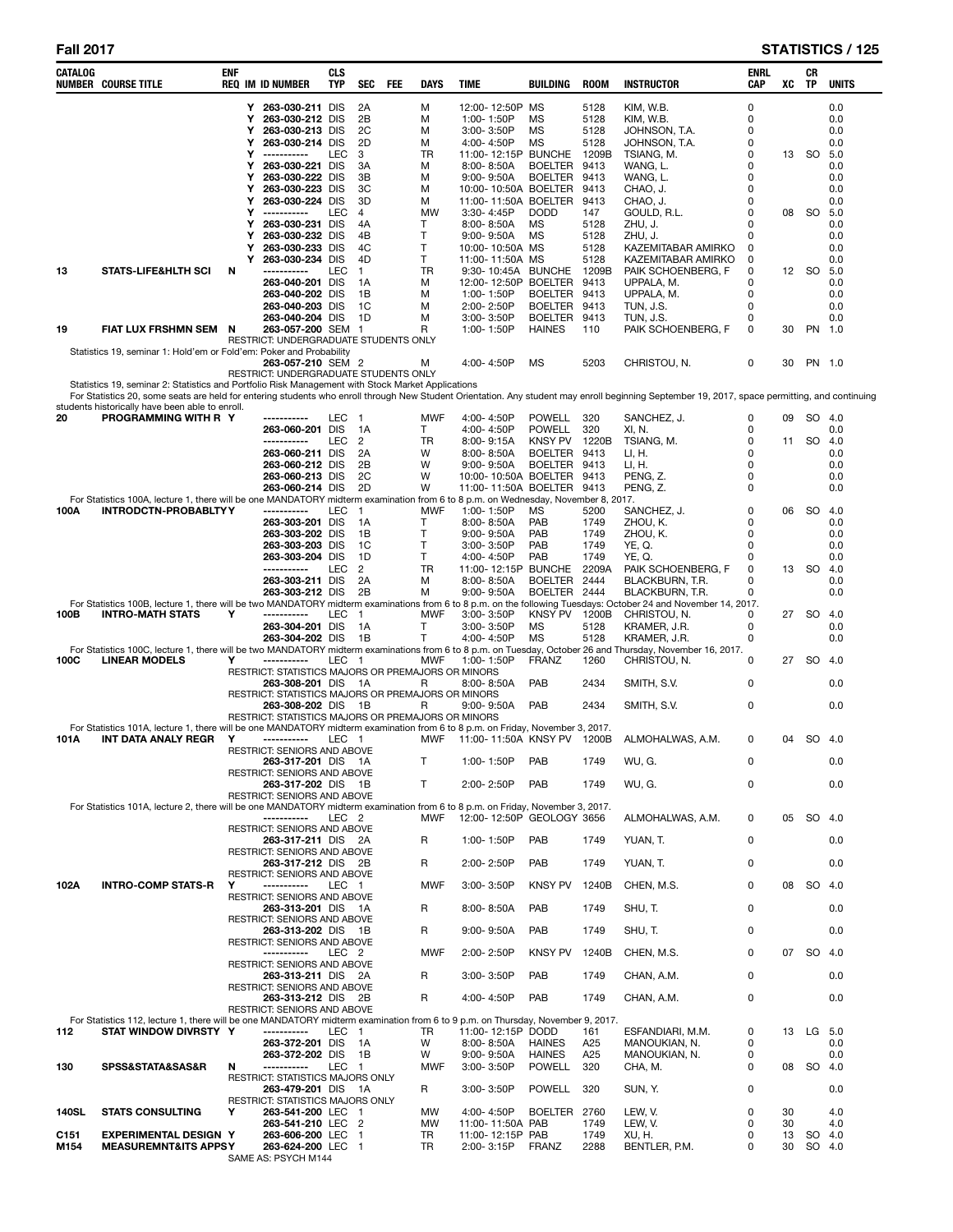| CATALOG                  | <b>NUMBER COURSE TITLE</b>                                                                                                                                                                                                                        | ENF |        | <b>REQ IM ID NUMBER</b>                                                  | <b>CLS</b><br><b>TYP</b> | <b>SEC</b>             | FEE | <b>DAYS</b>     | <b>TIME</b> |                                    | <b>BUILDING</b>                        | <b>ROOM</b>  | <b>INSTRUCTOR</b>                        | ENRL<br><b>CAP</b> | xс       | CR<br>TP         | <b>UNITS</b> |
|--------------------------|---------------------------------------------------------------------------------------------------------------------------------------------------------------------------------------------------------------------------------------------------|-----|--------|--------------------------------------------------------------------------|--------------------------|------------------------|-----|-----------------|-------------|------------------------------------|----------------------------------------|--------------|------------------------------------------|--------------------|----------|------------------|--------------|
|                          |                                                                                                                                                                                                                                                   |     |        | Y 263-030-211 DIS                                                        |                          | 2A                     |     | м               |             | 12:00-12:50P MS                    |                                        | 5128         | KIM, W.B.                                | 0                  |          |                  | 0.0          |
|                          |                                                                                                                                                                                                                                                   |     | Υ      | 263-030-212 DIS                                                          |                          | 2B                     |     | M               |             | 1:00-1:50P                         | <b>MS</b>                              | 5128         | KIM, W.B.                                | 0<br>$\mathbf 0$   |          |                  | 0.0          |
|                          |                                                                                                                                                                                                                                                   |     | Υ<br>Υ | 263-030-213 DIS<br>263-030-214 DIS                                       |                          | 2C<br>2D               |     | M<br>M          |             | $3:00 - 3:50P$<br>4:00-4:50P       | <b>MS</b><br><b>MS</b>                 | 5128<br>5128 | JOHNSON, T.A.<br>JOHNSON, T.A.           | $\mathbf 0$        |          |                  | 0.0<br>0.0   |
|                          |                                                                                                                                                                                                                                                   |     | Y      | -----------                                                              | LEC                      | 3                      |     | <b>TR</b>       |             |                                    | 11:00-12:15P BUNCHE                    | 1209B        | TSIANG, M.                               | 0                  |          | 13 SO 5.0        |              |
|                          |                                                                                                                                                                                                                                                   |     | Υ<br>Υ | 263-030-221 DIS<br>263-030-222 DIS                                       |                          | 3A<br>3B               |     | M<br>M          |             | $8:00 - 8:50A$<br>$9:00 - 9:50A$   | <b>BOELTER</b><br><b>BOELTER</b>       | 9413<br>9413 | WANG, L.<br>WANG, L.                     | 0<br>0             |          |                  | 0.0<br>0.0   |
|                          |                                                                                                                                                                                                                                                   |     | Υ      | 263-030-223 DIS                                                          |                          | 3C                     |     | M               |             |                                    | 10:00-10:50A BOELTER                   | 9413         | CHAO, J.                                 | 0                  |          |                  | 0.0          |
|                          |                                                                                                                                                                                                                                                   |     | Υ<br>Υ | 263-030-224 DIS<br>-----------                                           | LEC                      | 3D                     |     | M<br><b>MW</b>  |             |                                    | 11:00-11:50A BOELTER<br><b>DODD</b>    | 9413<br>147  | CHAO, J.                                 | 0<br>$\mathbf 0$   |          | SO.              | 0.0<br>5.0   |
|                          |                                                                                                                                                                                                                                                   |     | Υ      | 263-030-231 DIS                                                          |                          | 4<br>4A                |     | Τ               |             | $3:30 - 4:45P$<br>$8:00 - 8:50A$   | <b>MS</b>                              | 5128         | GOULD, R.L.<br>ZHU, J.                   | 0                  | 08       |                  | 0.0          |
|                          |                                                                                                                                                                                                                                                   |     | Υ      | 263-030-232 DIS                                                          |                          | 4B                     |     | T               |             | $9:00 - 9:50A$                     | <b>MS</b>                              | 5128         | ZHU, J.                                  | 0                  |          |                  | 0.0          |
|                          |                                                                                                                                                                                                                                                   |     | Υ<br>Υ | 263-030-233 DIS<br>263-030-234 DIS                                       |                          | 4C<br>4D               |     | T.<br>T.        |             | 10:00-10:50A MS<br>11:00-11:50A MS |                                        | 5128<br>5128 | KAZEMITABAR AMIRKO<br>KAZEMITABAR AMIRKO | 0<br>0             |          |                  | 0.0<br>0.0   |
| 13                       | <b>STATS-LIFE&amp;HLTH SCI</b>                                                                                                                                                                                                                    | N   |        |                                                                          | LEC                      | $\mathbf{1}$           |     | <b>TR</b>       |             |                                    | 9:30-10:45A BUNCHE                     | 1209B        | PAIK SCHOENBERG, F                       | 0                  |          | 12 SO 5.0        |              |
|                          |                                                                                                                                                                                                                                                   |     |        | 263-040-201 DIS<br>263-040-202 DIS                                       |                          | 1A<br>1B               |     | M<br>M          |             | 1:00-1:50P                         | 12:00-12:50P BOELTER<br><b>BOELTER</b> | 9413<br>9413 | UPPALA. M.<br>UPPALA, M.                 | 0<br>$\mathbf 0$   |          |                  | 0.0<br>0.0   |
|                          |                                                                                                                                                                                                                                                   |     |        | 263-040-203 DIS                                                          |                          | 1C                     |     | M               |             | 2:00-2:50P                         | <b>BOELTER</b>                         | 9413         | <b>TUN, J.S.</b>                         | $\mathbf 0$        |          |                  | 0.0          |
|                          |                                                                                                                                                                                                                                                   |     |        | 263-040-204 DIS                                                          |                          | 1D                     |     | M               |             | $3:00 - 3:50P$                     | <b>BOELTER</b>                         | 9413         | TUN, J.S.                                | 0                  |          |                  | 0.0          |
| 19                       | FIAT LUX FRSHMN SEM N                                                                                                                                                                                                                             |     |        | 263-057-200 SEM 1<br>RESTRICT: UNDERGRADUATE STUDENTS ONLY               |                          |                        |     | R               |             | 1:00-1:50P                         | <b>HAINES</b>                          | 110          | PAIK SCHOENBERG, F                       | 0                  | 30       | PN 1.0           |              |
|                          | Statistics 19, seminar 1: Hold'em or Fold'em: Poker and Probability                                                                                                                                                                               |     |        |                                                                          |                          |                        |     |                 |             |                                    |                                        |              |                                          |                    |          |                  |              |
|                          |                                                                                                                                                                                                                                                   |     |        | 263-057-210 SEM 2<br>RESTRICT: UNDERGRADUATE STUDENTS ONLY               |                          |                        |     | М               |             | 4:00-4:50P                         | MS                                     | 5203         | CHRISTOU, N.                             | 0                  | 30       | PN 1.0           |              |
|                          | Statistics 19, seminar 2: Statistics and Portfolio Risk Management with Stock Market Applications                                                                                                                                                 |     |        |                                                                          |                          |                        |     |                 |             |                                    |                                        |              |                                          |                    |          |                  |              |
|                          | For Statistics 20, some seats are held for entering students who enroll through New Student Orientation. Any student may enroll beginning September 19, 2017, space permitting, and continuing<br>students historically have been able to enroll. |     |        |                                                                          |                          |                        |     |                 |             |                                    |                                        |              |                                          |                    |          |                  |              |
| 20                       | PROGRAMMING WITH R Y                                                                                                                                                                                                                              |     |        |                                                                          | <b>LEC</b>               | $\overline{1}$         |     | <b>MWF</b>      |             | 4:00-4:50P                         | POWELL                                 | 320          | SANCHEZ, J.                              | 0                  | 09       | SO 4.0           |              |
|                          |                                                                                                                                                                                                                                                   |     |        | 263-060-201 DIS<br>-----------                                           | <b>LEC</b>               | 1A<br>$\overline{2}$   |     | T.<br><b>TR</b> |             | 4:00-4:50P<br>$8:00 - 9:15A$       | <b>POWELL</b><br><b>KNSY PV</b>        | 320<br>1220B | XI, N.<br>TSIANG, M.                     | 0<br>0             | 11       | SO               | 0.0<br>4.0   |
|                          |                                                                                                                                                                                                                                                   |     |        | 263-060-211 DIS                                                          |                          | 2A                     |     | W               |             | 8:00-8:50A                         | <b>BOELTER</b>                         | 9413         | LI, H.                                   | 0                  |          |                  | 0.0          |
|                          |                                                                                                                                                                                                                                                   |     |        | 263-060-212 DIS                                                          |                          | 2B                     |     | W               |             | $9:00 - 9:50A$                     | <b>BOELTER</b><br>10:00-10:50A BOELTER | 9413         | LI, H.                                   | 0                  |          |                  | 0.0          |
|                          |                                                                                                                                                                                                                                                   |     |        | 263-060-213 DIS<br>263-060-214 DIS                                       |                          | 2C<br>2D               |     | W<br>W          |             |                                    | 11:00-11:50A BOELTER 9413              | 9413         | PENG, Z.<br>PENG, Z.                     | 0<br>0             |          |                  | 0.0<br>0.0   |
|                          | For Statistics 100A, lecture 1, there will be one MANDATORY midterm examination from 6 to 8 p.m. on Wednesday, November 8, 2017.                                                                                                                  |     |        |                                                                          |                          |                        |     |                 |             |                                    |                                        |              |                                          |                    |          |                  |              |
| 100A                     | <b>INTRODCTN-PROBABLTYY</b>                                                                                                                                                                                                                       |     |        | -----------<br>263-303-201 DIS                                           | LEC                      | $\overline{1}$<br>1A   |     | <b>MWF</b><br>т |             | 1:00-1:50P<br>$8:00 - 8:50A$       | ΜS<br>PAB                              | 5200<br>1749 | SANCHEZ, J.<br>ZHOU, K.                  | 0<br>0             | 06       | <b>SO</b>        | 4.0<br>0.0   |
|                          |                                                                                                                                                                                                                                                   |     |        | 263-303-202 DIS                                                          |                          | 1B                     |     | т               |             | $9:00 - 9:50A$                     | PAB                                    | 1749         | ZHOU, K.                                 | 0                  |          |                  | 0.0          |
|                          |                                                                                                                                                                                                                                                   |     |        | 263-303-203 DIS<br>263-303-204 DIS                                       |                          | <sub>1</sub> C<br>1D   |     | Т<br>T          |             | $3:00 - 3:50P$<br>4:00-4:50P       | PAB<br>PAB                             | 1749<br>1749 | YE, Q.<br>YE, Q.                         | 0<br>0             |          |                  | 0.0<br>0.0   |
|                          |                                                                                                                                                                                                                                                   |     |        | -----------                                                              | LEC                      | $\overline{2}$         |     | <b>TR</b>       |             |                                    | 11:00-12:15P BUNCHE                    | 2209A        | PAIK SCHOENBERG, F                       | 0                  | 13       | SO               | 4.0          |
|                          |                                                                                                                                                                                                                                                   |     |        | 263-303-211 DIS                                                          |                          | 2A                     |     | M               |             | $8:00 - 8:50A$                     | <b>BOELTER</b>                         | 2444         | BLACKBURN, T.R.                          | 0                  |          |                  | 0.0          |
|                          | For Statistics 100B, lecture 1, there will be two MANDATORY midterm examinations from 6 to 8 p.m. on the following Tuesdays: October 24 and November 14, 2017.                                                                                    |     |        | 263-303-212 DIS                                                          |                          | 2B                     |     | M               |             | $9:00 - 9:50A$                     | BOELTER 2444                           |              | BLACKBURN, T.R.                          | 0                  |          |                  | 0.0          |
| 100B                     | <b>INTRO-MATH STATS</b>                                                                                                                                                                                                                           | Y   |        | -----------                                                              | LEC                      | $\overline{1}$         |     | <b>MWF</b>      |             | 3:00-3:50P                         | KNSY PV                                | 1200B        | CHRISTOU, N.                             | 0                  | 27       | SO               | 4.0          |
|                          |                                                                                                                                                                                                                                                   |     |        | 263-304-201 DIS<br>263-304-202 DIS                                       |                          | - 1 A<br>- 1B          |     | т<br>Τ          |             | 3:00-3:50P<br>4:00-4:50P           | MS<br>MS                               | 5128<br>5128 | KRAMER, J.R.<br>KRAMER, J.R.             | 0<br>0             |          |                  | 0.0<br>0.0   |
|                          | For Statistics 100C, lecture 1, there will be two MANDATORY midterm examinations from 6 to 8 p.m. on Tuesday, October 26 and Thursday, November 16, 2017.                                                                                         |     |        |                                                                          |                          |                        |     |                 |             |                                    |                                        |              |                                          |                    |          |                  |              |
| <b>100C</b>              | <b>LINEAR MODELS</b>                                                                                                                                                                                                                              | Y   |        | -----------<br>RESTRICT: STATISTICS MAJORS OR PREMAJORS OR MINORS        | LEC 1                    |                        |     | <b>MWF</b>      |             | 1:00-1:50P                         | <b>FRANZ</b>                           | 1260         | CHRISTOU, N.                             | 0                  | 27       | SO               | -4.0         |
|                          |                                                                                                                                                                                                                                                   |     |        | 263-308-201 DIS                                                          |                          | - 1A                   |     | R               |             | $8:00 - 8:50A$                     | <b>PAB</b>                             | 2434         | SMITH, S.V.                              | 0                  |          |                  | 0.0          |
|                          |                                                                                                                                                                                                                                                   |     |        | RESTRICT: STATISTICS MAJORS OR PREMAJORS OR MINORS<br>263-308-202 DIS 1B |                          |                        |     | R               |             | 9:00- 9:50A                        | PAB                                    | 2434         | SMITH, S.V.                              | 0                  |          |                  | 0.0          |
|                          |                                                                                                                                                                                                                                                   |     |        | RESTRICT: STATISTICS MAJORS OR PREMAJORS OR MINORS                       |                          |                        |     |                 |             |                                    |                                        |              |                                          |                    |          |                  |              |
|                          | For Statistics 101A, lecture 1, there will be one MANDATORY midterm examination from 6 to 8 p.m. on Friday, November 3, 2017.                                                                                                                     |     |        | -----------                                                              | LEC <sub>1</sub>         |                        |     | MWF             |             |                                    |                                        |              |                                          |                    |          |                  |              |
| 101A                     | INT DATA ANALY REGR                                                                                                                                                                                                                               | Y   |        | RESTRICT: SENIORS AND ABOVE                                              |                          |                        |     |                 |             |                                    | 11:00-11:50A KNSY PV 1200B             |              | ALMOHALWAS, A.M.                         | 0                  | 04       | SO               | -4.0         |
|                          |                                                                                                                                                                                                                                                   |     |        | 263-317-201 DIS 1A                                                       |                          |                        |     | т               |             | 1:00-1:50P                         | PAB                                    | 1749         | WU, G.                                   | 0                  |          |                  | 0.0          |
|                          |                                                                                                                                                                                                                                                   |     |        | RESTRICT: SENIORS AND ABOVE<br>263-317-202 DIS 1B                        |                          |                        |     | T               |             | 2:00-2:50P                         | <b>PAB</b>                             | 1749         | WU, G.                                   | 0                  |          |                  | 0.0          |
|                          |                                                                                                                                                                                                                                                   |     |        | <b>RESTRICT: SENIORS AND ABOVE</b>                                       |                          |                        |     |                 |             |                                    |                                        |              |                                          |                    |          |                  |              |
|                          | For Statistics 101A, lecture 2, there will be one MANDATORY midterm examination from 6 to 8 p.m. on Friday, November 3, 2017.                                                                                                                     |     |        | -----------                                                              | LEC <sub>2</sub>         |                        |     | <b>MWF</b>      |             |                                    | 12:00-12:50P GEOLOGY 3656              |              | ALMOHALWAS, A.M.                         | 0                  |          | 05 SO 4.0        |              |
|                          |                                                                                                                                                                                                                                                   |     |        | RESTRICT: SENIORS AND ABOVE                                              |                          |                        |     |                 |             |                                    |                                        |              |                                          |                    |          |                  |              |
|                          |                                                                                                                                                                                                                                                   |     |        | 263-317-211 DIS 2A<br><b>RESTRICT: SENIORS AND ABOVE</b>                 |                          |                        |     | R               |             | 1:00-1:50P                         | PAB                                    | 1749         | YUAN, T.                                 | 0                  |          |                  | 0.0          |
|                          |                                                                                                                                                                                                                                                   |     |        | 263-317-212 DIS 2B                                                       |                          |                        |     | R               |             | 2:00-2:50P                         | PAB                                    | 1749         | YUAN, T.                                 | 0                  |          |                  | 0.0          |
| 102A                     | <b>INTRO-COMP STATS-R</b>                                                                                                                                                                                                                         | Υ   |        | <b>RESTRICT: SENIORS AND ABOVE</b><br>-----------  LEC 1                 |                          |                        |     | <b>MWF</b>      |             | 3:00-3:50P                         | KNSY PV                                | 1240B        | CHEN, M.S.                               | 0                  |          | 08 SO 4.0        |              |
|                          |                                                                                                                                                                                                                                                   |     |        | RESTRICT: SENIORS AND ABOVE                                              |                          |                        |     |                 |             |                                    |                                        |              |                                          |                    |          |                  |              |
|                          |                                                                                                                                                                                                                                                   |     |        | 263-313-201 DIS 1A<br>RESTRICT: SENIORS AND ABOVE                        |                          |                        |     | R               |             | $8:00 - 8:50A$                     | PAB                                    | 1749         | SHU.T.                                   | 0                  |          |                  | 0.0          |
|                          |                                                                                                                                                                                                                                                   |     |        | 263-313-202 DIS 1B                                                       |                          |                        |     | R               |             | $9:00 - 9:50A$                     | PAB                                    | 1749         | SHU, T.                                  | 0                  |          |                  | 0.0          |
|                          |                                                                                                                                                                                                                                                   |     |        | RESTRICT: SENIORS AND ABOVE<br>-----------                               | LEC <sub>2</sub>         |                        |     | <b>MWF</b>      |             | 2:00-2:50P                         | <b>KNSY PV</b>                         | 1240B        | CHEN, M.S.                               | 0                  |          | 07 SO 4.0        |              |
|                          |                                                                                                                                                                                                                                                   |     |        | RESTRICT: SENIORS AND ABOVE                                              |                          |                        |     |                 |             |                                    |                                        |              |                                          |                    |          |                  |              |
|                          |                                                                                                                                                                                                                                                   |     |        | 263-313-211 DIS 2A                                                       |                          |                        |     | R               |             | $3:00 - 3:50P$                     | <b>PAB</b>                             | 1749         | CHAN, A.M.                               | 0                  |          |                  | 0.0          |
|                          |                                                                                                                                                                                                                                                   |     |        | RESTRICT: SENIORS AND ABOVE<br>263-313-212 DIS 2B                        |                          |                        |     | R               |             | 4:00-4:50P                         | PAB                                    | 1749         | CHAN, A.M.                               | 0                  |          |                  | 0.0          |
|                          |                                                                                                                                                                                                                                                   |     |        | RESTRICT: SENIORS AND ABOVE                                              |                          |                        |     |                 |             |                                    |                                        |              |                                          |                    |          |                  |              |
| 112                      | For Statistics 112, lecture 1, there will be one MANDATORY midterm examination from 6 to 9 p.m. on Thursday, November 9, 2017.<br>STAT WINDOW DIVRSTY Y                                                                                           |     |        | -----------                                                              | LEC 1                    |                        |     | TR              |             | 11:00-12:15P DODD                  |                                        | 161          | ESFANDIARI, M.M.                         | 0                  |          | 13 LG 5.0        |              |
|                          |                                                                                                                                                                                                                                                   |     |        | 263-372-201 DIS                                                          |                          | - 1A                   |     | W               |             | 8:00-8:50A                         | <b>HAINES</b>                          | A25          | MANOUKIAN, N.                            | 0                  |          |                  | 0.0          |
| 130                      | SPSS&STATA&SAS&R                                                                                                                                                                                                                                  | N   |        | 263-372-202 DIS<br>-----------                                           | LEC                      | - 1B<br>$\overline{1}$ |     | W<br><b>MWF</b> |             | $9:00 - 9:50A$<br>3:00-3:50P       | <b>HAINES</b><br>POWELL                | A25<br>320   | MANOUKIAN, N.<br>CHA, M.                 | 0<br>0             |          | 08 SO 4.0        | 0.0          |
|                          |                                                                                                                                                                                                                                                   |     |        | RESTRICT: STATISTICS MAJORS ONLY                                         |                          |                        |     |                 |             |                                    |                                        |              |                                          |                    |          |                  |              |
|                          |                                                                                                                                                                                                                                                   |     |        | 263-479-201 DIS 1A<br>RESTRICT: STATISTICS MAJORS ONLY                   |                          |                        |     | R               |             | $3:00 - 3:50P$                     | <b>POWELL</b>                          | 320          | SUN, Y.                                  | 0                  |          |                  | 0.0          |
| <b>140SL</b>             | <b>STATS CONSULTING</b>                                                                                                                                                                                                                           | Υ   |        | 263-541-200 LEC 1                                                        |                          |                        |     | <b>MW</b>       |             | 4:00-4:50P                         | BOELTER 2760                           |              | LEW, V.                                  | 0                  | 30       |                  | 4.0          |
|                          |                                                                                                                                                                                                                                                   |     |        | 263-541-210 LEC 2                                                        |                          |                        |     | MW              |             | 11:00-11:50A PAB                   |                                        | 1749         | LEW, V.                                  | 0                  | 30       |                  | 4.0          |
| C <sub>151</sub><br>M154 | <b>EXPERIMENTAL DESIGN Y</b><br><b>MEASUREMNT&amp;ITS APPSY</b>                                                                                                                                                                                   |     |        | 263-606-200 LEC 1<br>263-624-200 LEC 1                                   |                          |                        |     | TR<br><b>TR</b> |             | 11:00-12:15P PAB<br>2:00-3:15P     | FRANZ                                  | 1749<br>2288 | XU, H.<br>BENTLER, P.M.                  | $\Omega$<br>0      | 13<br>30 | SO 4.0<br>SO 4.0 |              |
|                          |                                                                                                                                                                                                                                                   |     |        | SAME AS: PSYCH M144                                                      |                          |                        |     |                 |             |                                    |                                        |              |                                          |                    |          |                  |              |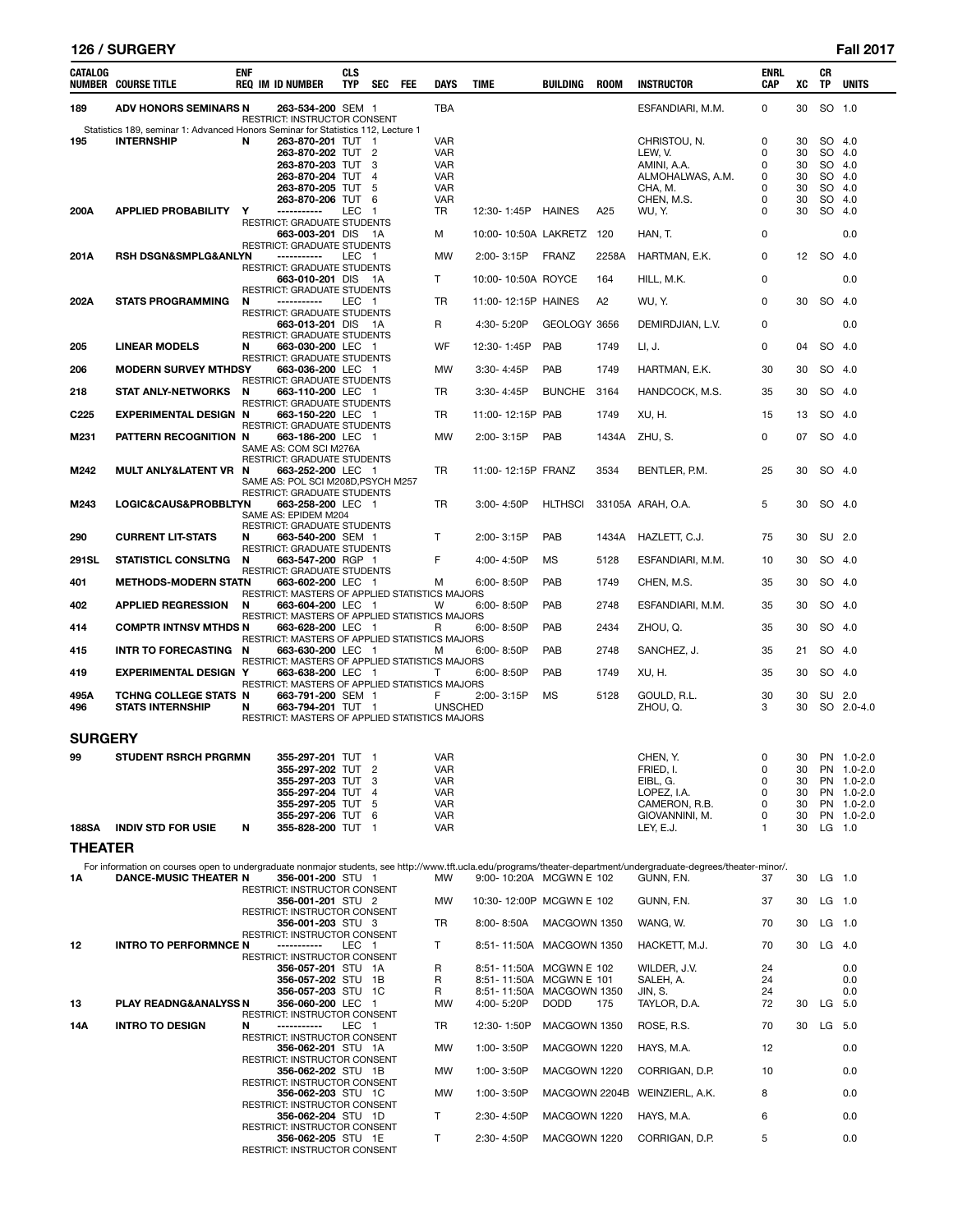# **126 / SURGERY Fall 2017**

| CATALOG          | <b>NUMBER COURSE TITLE</b>                                                                            | ENF | <b>REQ IM ID NUMBER</b>                                                                   | <b>CLS</b><br><b>TYP</b> | <b>SEC</b>                  | FEE | <b>DAYS</b>                            | <b>TIME</b>                             | <b>BUILDING</b>             | <b>ROOM</b>    | <b>INSTRUCTOR</b>                                                                                                                                                               | <b>ENRL</b><br>CAP | хc                   | CR<br>TP                   | <b>UNITS</b>                                         |
|------------------|-------------------------------------------------------------------------------------------------------|-----|-------------------------------------------------------------------------------------------|--------------------------|-----------------------------|-----|----------------------------------------|-----------------------------------------|-----------------------------|----------------|---------------------------------------------------------------------------------------------------------------------------------------------------------------------------------|--------------------|----------------------|----------------------------|------------------------------------------------------|
| 189              | <b>ADV HONORS SEMINARS N</b>                                                                          |     | 263-534-200 SEM 1<br><b>RESTRICT: INSTRUCTOR CONSENT</b>                                  |                          |                             |     | <b>TBA</b>                             |                                         |                             |                | ESFANDIARI, M.M.                                                                                                                                                                | 0                  | 30                   | SO 1.0                     |                                                      |
| 195              | Statistics 189, seminar 1: Advanced Honors Seminar for Statistics 112, Lecture 1<br><b>INTERNSHIP</b> | N   | 263-870-201 TUT 1<br>263-870-202 TUT 2<br>263-870-203 TUT<br>263-870-204 TUT              |                          | -3                          |     | VAR<br><b>VAR</b><br>VAR               |                                         |                             |                | CHRISTOU, N.<br>LEW, V.<br>AMINI, A.A.                                                                                                                                          | 0<br>0<br>0        | 30<br>30<br>30       | SO 4.0<br>SO 4.0<br>SO     | 4.0                                                  |
|                  |                                                                                                       |     | 263-870-205 TUT<br>263-870-206 TUT                                                        |                          | $\overline{4}$<br>-5<br>- 6 |     | <b>VAR</b><br>VAR<br><b>VAR</b>        |                                         |                             |                | ALMOHALWAS, A.M.<br>CHA, M.<br>CHEN, M.S.                                                                                                                                       | 0<br>0<br>0        | 30<br>30<br>30       | SO 4.0<br>SO 4.0<br>SO 4.0 |                                                      |
| 200A             | <b>APPLIED PROBABILITY</b>                                                                            | Y   | -----------<br>RESTRICT: GRADUATE STUDENTS<br>663-003-201 DIS 1A                          | LEC                      | $\overline{1}$              |     | TR<br>м                                | 12:30-1:45P<br>10:00-10:50A LAKRETZ 120 | <b>HAINES</b>               | A25            | WU, Y.<br>HAN, T.                                                                                                                                                               | 0<br>0             | 30                   | SO 4.0                     | 0.0                                                  |
| 201A             | <b>RSH DSGN&amp;SMPLG&amp;ANLYN</b>                                                                   |     | <b>RESTRICT: GRADUATE STUDENTS</b><br>-----------                                         | LEC 1                    |                             |     | <b>MW</b>                              | 2:00-3:15P                              | <b>FRANZ</b>                | 2258A          | HARTMAN, E.K.                                                                                                                                                                   | 0                  |                      | 12 SO 4.0                  |                                                      |
|                  |                                                                                                       |     | RESTRICT: GRADUATE STUDENTS<br>663-010-201 DIS 1A                                         |                          |                             |     | T.                                     | 10:00-10:50A ROYCE                      |                             | 164            | HILL, M.K.                                                                                                                                                                      | 0                  |                      |                            | 0.0                                                  |
| 202A             | <b>STATS PROGRAMMING</b>                                                                              | N   | RESTRICT: GRADUATE STUDENTS<br>-----------                                                | LEC 1                    |                             |     | <b>TR</b>                              | 11:00-12:15P HAINES                     |                             | A <sub>2</sub> | WU, Y.                                                                                                                                                                          | 0                  | 30                   | SO 4.0                     |                                                      |
|                  |                                                                                                       |     | <b>RESTRICT: GRADUATE STUDENTS</b><br>663-013-201 DIS 1A                                  |                          |                             |     | R                                      | 4:30-5:20P                              | GEOLOGY 3656                |                | DEMIRDJIAN, L.V.                                                                                                                                                                | 0                  |                      |                            | 0.0                                                  |
| 205              | <b>LINEAR MODELS</b>                                                                                  | N   | RESTRICT: GRADUATE STUDENTS<br>663-030-200 LEC 1                                          |                          |                             |     | WF                                     | 12:30-1:45P                             | PAB                         | 1749           | LI, J.                                                                                                                                                                          | 0                  | 04                   | SO 4.0                     |                                                      |
| 206              | <b>MODERN SURVEY MTHDSY</b>                                                                           |     | RESTRICT: GRADUATE STUDENTS<br>663-036-200 LEC 1                                          |                          |                             |     | MW                                     | 3:30-4:45P                              | PAB                         | 1749           | HARTMAN, E.K.                                                                                                                                                                   | 30                 | 30                   | SO 4.0                     |                                                      |
| 218              |                                                                                                       | N   | <b>RESTRICT: GRADUATE STUDENTS</b>                                                        |                          |                             |     | <b>TR</b>                              |                                         | <b>BUNCHE</b>               | 3164           |                                                                                                                                                                                 | 35                 | 30                   | SO 4.0                     |                                                      |
|                  | <b>STAT ANLY-NETWORKS</b>                                                                             |     | 663-110-200 LEC 1<br>RESTRICT: GRADUATE STUDENTS                                          |                          |                             |     |                                        | $3:30 - 4:45P$                          |                             |                | HANDCOCK, M.S.                                                                                                                                                                  |                    |                      |                            |                                                      |
| C <sub>225</sub> | <b>EXPERIMENTAL DESIGN N</b>                                                                          |     | 663-150-220 LEC 1<br>RESTRICT: GRADUATE STUDENTS                                          |                          |                             |     | TR                                     | 11:00-12:15P PAB                        |                             | 1749           | XU, H.                                                                                                                                                                          | 15                 | 13                   | SO 4.0                     |                                                      |
| M231             | PATTERN RECOGNITION N                                                                                 |     | 663-186-200 LEC 1<br>SAME AS: COM SCI M276A<br>RESTRICT: GRADUATE STUDENTS                |                          |                             |     | <b>MW</b>                              | 2:00-3:15P                              | PAB                         | 1434A          | ZHU, S.                                                                                                                                                                         | 0                  | 07                   | SO 4.0                     |                                                      |
| M242             | MULT ANLY&LATENT VR N                                                                                 |     | 663-252-200 LEC 1<br>SAME AS: POL SCI M208D, PSYCH M257<br>RESTRICT: GRADUATE STUDENTS    |                          |                             |     | TR                                     | 11:00-12:15P FRANZ                      |                             | 3534           | BENTLER, P.M.                                                                                                                                                                   | 25                 | 30                   | SO 4.0                     |                                                      |
| M243             | LOGIC&CAUS&PROBBLTYN                                                                                  |     | 663-258-200 LEC 1<br>SAME AS: EPIDEM M204<br>RESTRICT: GRADUATE STUDENTS                  |                          |                             |     | TR                                     | $3:00 - 4:50P$                          | <b>HLTHSCI</b>              |                | 33105A ARAH, O.A.                                                                                                                                                               | 5                  | 30                   | SO 4.0                     |                                                      |
| 290              | <b>CURRENT LIT-STATS</b>                                                                              | N   | 663-540-200 SEM 1<br><b>RESTRICT: GRADUATE STUDENTS</b>                                   |                          |                             |     | T                                      | $2:00 - 3:15P$                          | PAB                         | 1434A          | HAZLETT, C.J.                                                                                                                                                                   | 75                 | 30                   | SU 2.0                     |                                                      |
| 291SL            | <b>STATISTICL CONSLTNG</b>                                                                            | N   | 663-547-200 RGP 1<br>RESTRICT: GRADUATE STUDENTS                                          |                          |                             |     | F                                      | 4:00-4:50P                              | MS                          | 5128           | ESFANDIARI, M.M.                                                                                                                                                                | 10                 | 30                   | SO 4.0                     |                                                      |
| 401              | <b>METHODS-MODERN STATN</b>                                                                           |     | 663-602-200 LEC 1                                                                         |                          |                             |     | М                                      | 6:00-8:50P                              | PAB                         | 1749           | CHEN, M.S.                                                                                                                                                                      | 35                 | 30                   | SO 4.0                     |                                                      |
| 402              | <b>APPLIED REGRESSION</b>                                                                             | N   | RESTRICT: MASTERS OF APPLIED STATISTICS MAJORS<br>663-604-200 LEC 1                       |                          |                             |     | W                                      | $6.00 - 8.50P$                          | PAB                         | 2748           | ESFANDIARI, M.M.                                                                                                                                                                | 35                 | 30                   | SO 4.0                     |                                                      |
| 414              | <b>COMPTR INTNSV MTHDS N</b>                                                                          |     | RESTRICT: MASTERS OF APPLIED STATISTICS MAJORS<br>663-628-200 LEC 1                       |                          |                             |     | R                                      | $6.00 - 8.50P$                          | <b>PAB</b>                  | 2434           | ZHOU, Q.                                                                                                                                                                        | 35                 | 30                   | SO 4.0                     |                                                      |
| 415              | INTR TO FORECASTING N                                                                                 |     | RESTRICT: MASTERS OF APPLIED STATISTICS MAJORS<br>663-630-200 LEC 1                       |                          |                             |     | м                                      | 6:00-8:50P                              | PAB                         | 2748           | SANCHEZ, J.                                                                                                                                                                     | 35                 | 21                   | SO 4.0                     |                                                      |
| 419              | <b>EXPERIMENTAL DESIGN Y</b>                                                                          |     | RESTRICT: MASTERS OF APPLIED STATISTICS MAJORS<br>663-638-200 LEC 1                       |                          |                             |     | т                                      | $6:00 - 8:50P$                          | PAB                         | 1749           | XU. H.                                                                                                                                                                          | 35                 | 30                   | SO 4.0                     |                                                      |
| 495A             | TCHNG COLLEGE STATS N                                                                                 |     | RESTRICT: MASTERS OF APPLIED STATISTICS MAJORS<br>663-791-200 SEM 1                       |                          |                             |     | F                                      | 2:00-3:15P                              | MS                          | 5128           | GOULD, R.L.                                                                                                                                                                     | 30                 | 30                   | SU 2.0                     |                                                      |
| 496              | <b>STATS INTERNSHIP</b>                                                                               | N   | 663-794-201 TUT 1<br>RESTRICT: MASTERS OF APPLIED STATISTICS MAJORS                       |                          |                             |     | <b>UNSCHED</b>                         |                                         |                             |                | ZHOU, Q.                                                                                                                                                                        | 3                  | 30                   |                            | SO 2.0-4.0                                           |
| <b>SURGERY</b>   |                                                                                                       |     |                                                                                           |                          |                             |     |                                        |                                         |                             |                |                                                                                                                                                                                 |                    |                      |                            |                                                      |
| 99               | <b>STUDENT RSRCH PRGRMN</b>                                                                           |     | 355-297-201 TUT 1<br>355-297-202 TUT<br>355-297-203 TUT 3<br>355-297-204 TUT              |                          | 2<br>$\overline{4}$         |     | <b>VAR</b><br>VAR<br>VAR<br><b>VAR</b> |                                         |                             |                | CHEN, Y.<br>FRIED, I.<br>EIBL, G.<br>LOPEZ, I.A.                                                                                                                                | 0<br>0<br>0<br>0   | 30<br>30<br>30<br>30 |                            | PN 1.0-2.0<br>PN 1.0-2.0<br>PN 1.0-2.0<br>PN 1.0-2.0 |
|                  |                                                                                                       |     | 355-297-205 TUT<br>355-297-206 TUT 6                                                      |                          | - 5                         |     | VAR<br>VAR                             |                                         |                             |                | CAMERON, R.B.<br>GIOVANNINI, M.                                                                                                                                                 | 0<br>0             | 30<br>30             |                            | PN 1.0-2.0<br>PN 1.0-2.0                             |
| <b>188SA</b>     | <b>INDIV STD FOR USIE</b>                                                                             | N   | 355-828-200 TUT 1                                                                         |                          |                             |     | VAR                                    |                                         |                             |                | LEY, E.J.                                                                                                                                                                       | 1                  | 30                   | $LG$ 1.0                   |                                                      |
| <b>THEATER</b>   |                                                                                                       |     |                                                                                           |                          |                             |     |                                        |                                         |                             |                |                                                                                                                                                                                 |                    |                      |                            |                                                      |
| 1Α               | <b>DANCE-MUSIC THEATER N</b>                                                                          |     | 356-001-200 STU 1                                                                         |                          |                             |     | MW                                     | 9:00-10:20A MCGWN E 102                 |                             |                | For information on courses open to undergraduate nonmajor students, see http://www.tft.ucla.edu/programs/theater-department/undergraduate-degrees/theater-minor/.<br>GUNN, F.N. | 37                 | 30                   | $LG$ 1.0                   |                                                      |
|                  |                                                                                                       |     | <b>RESTRICT: INSTRUCTOR CONSENT</b><br>356-001-201 STU 2                                  |                          |                             |     | MW                                     | 10:30-12:00P MCGWN E 102                |                             |                | GUNN, F.N.                                                                                                                                                                      | 37                 | 30                   | LG 1.0                     |                                                      |
|                  |                                                                                                       |     | RESTRICT: INSTRUCTOR CONSENT<br>356-001-203 STU 3                                         |                          |                             |     | TR                                     | 8:00-8:50A                              | MACGOWN 1350                |                | WANG, W.                                                                                                                                                                        | 70                 | 30                   | $LG$ 1.0                   |                                                      |
| 12               | <b>INTRO TO PERFORMNCE N</b>                                                                          |     | RESTRICT: INSTRUCTOR CONSENT<br>-----------                                               | LEC <sub>1</sub>         |                             |     | T.                                     | 8:51-11:50A MACGOWN 1350                |                             |                | HACKETT, M.J.                                                                                                                                                                   | 70                 | 30                   | LG 4.0                     |                                                      |
|                  |                                                                                                       |     | RESTRICT: INSTRUCTOR CONSENT<br>356-057-201 STU 1A                                        |                          |                             |     | R                                      | 8:51-11:50A MCGWN E 102                 |                             |                | WILDER, J.V.                                                                                                                                                                    | 24                 |                      |                            | 0.0                                                  |
|                  |                                                                                                       |     | 356-057-202 STU 1B<br>356-057-203 STU 1C                                                  |                          |                             |     | R<br>R                                 | 8:51-11:50A<br>8:51-11:50A              | MCGWN E 101<br>MACGOWN 1350 |                | SALEH, A.<br>JIN, S.                                                                                                                                                            | 24<br>24           |                      |                            | 0.0<br>0.0                                           |
| 13               | PLAY READNG&ANALYSS N                                                                                 |     | 356-060-200 LEC 1<br>RESTRICT: INSTRUCTOR CONSENT                                         |                          |                             |     | MW                                     | 4:00-5:20P                              | <b>DODD</b>                 | 175            | TAYLOR, D.A.                                                                                                                                                                    | 72                 | 30                   | LG 5.0                     |                                                      |
| 14A              | <b>INTRO TO DESIGN</b>                                                                                | N   | -----------<br>RESTRICT: INSTRUCTOR CONSENT                                               | LEC 1                    |                             |     | TR                                     | 12:30-1:50P                             | MACGOWN 1350                |                | ROSE, R.S.                                                                                                                                                                      | 70                 | 30                   | LG 5.0                     |                                                      |
|                  |                                                                                                       |     | 356-062-201 STU 1A                                                                        |                          |                             |     | MW                                     | 1:00-3:50P                              | MACGOWN 1220                |                | HAYS, M.A.                                                                                                                                                                      | $12 \overline{ }$  |                      |                            | 0.0                                                  |
|                  |                                                                                                       |     | RESTRICT: INSTRUCTOR CONSENT<br>356-062-202 STU 1B                                        |                          |                             |     | MW                                     | 1:00-3:50P                              | MACGOWN 1220                |                | CORRIGAN, D.P.                                                                                                                                                                  | 10                 |                      |                            | 0.0                                                  |
|                  |                                                                                                       |     | RESTRICT: INSTRUCTOR CONSENT<br>356-062-203 STU 1C                                        |                          |                             |     | MW                                     | 1:00-3:50P                              |                             |                | MACGOWN 2204B WEINZIERL, A.K.                                                                                                                                                   | 8                  |                      |                            | 0.0                                                  |
|                  |                                                                                                       |     | RESTRICT: INSTRUCTOR CONSENT<br>356-062-204 STU 1D                                        |                          |                             |     | T.                                     | 2:30-4:50P                              | MACGOWN 1220                |                | HAYS, M.A.                                                                                                                                                                      | 6                  |                      |                            | 0.0                                                  |
|                  |                                                                                                       |     | <b>RESTRICT: INSTRUCTOR CONSENT</b><br>356-062-205 STU 1E<br>RESTRICT: INSTRUCTOR CONSENT |                          |                             |     | T.                                     | 2:30-4:50P                              | MACGOWN 1220                |                | CORRIGAN, D.P.                                                                                                                                                                  | 5                  |                      |                            | 0.0                                                  |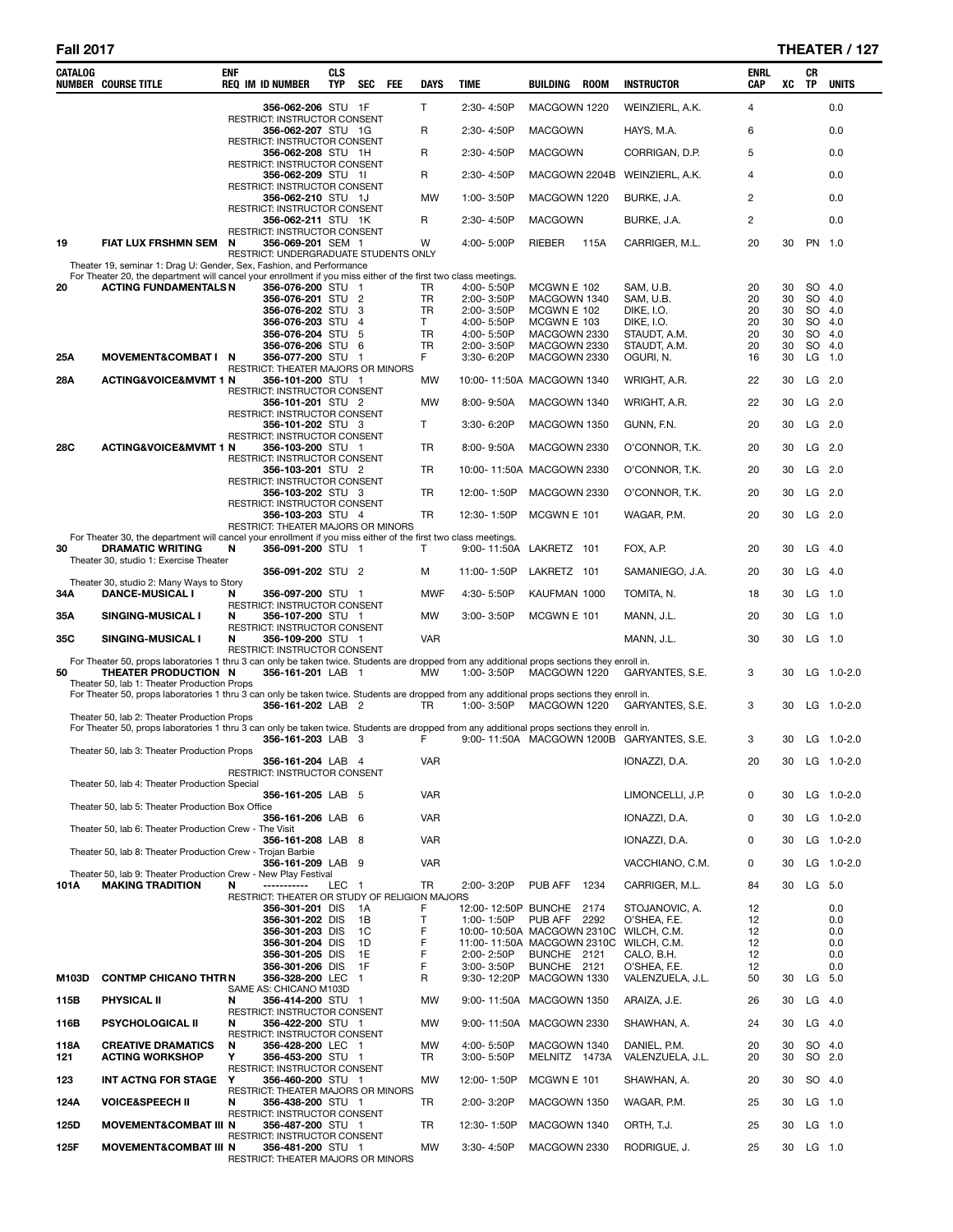÷

| CATALOG     | <b>NUMBER COURSE TITLE</b>                                                                                                                                                                  | <b>ENF</b> | <b>REQ IM ID NUMBER</b>                                    | <b>CLS</b><br><b>TYP</b> | SEC                   | FEE | DAYS            | <b>TIME</b>                                          | BUILDING                      | <b>ROOM</b> | <b>INSTRUCTOR</b>                         | ENRL<br>CAP    | XC       | CR<br><b>TP</b>  | <b>UNITS</b>     |
|-------------|---------------------------------------------------------------------------------------------------------------------------------------------------------------------------------------------|------------|------------------------------------------------------------|--------------------------|-----------------------|-----|-----------------|------------------------------------------------------|-------------------------------|-------------|-------------------------------------------|----------------|----------|------------------|------------------|
|             |                                                                                                                                                                                             |            | 356-062-206 STU 1F                                         |                          |                       |     | T               | 2:30-4:50P                                           | MACGOWN 1220                  |             | WEINZIERL, A.K.                           | 4              |          |                  | 0.0              |
|             |                                                                                                                                                                                             |            | RESTRICT: INSTRUCTOR CONSENT<br>356-062-207 STU 1G         |                          |                       |     | R               | 2:30-4:50P                                           | <b>MACGOWN</b>                |             | HAYS, M.A.                                | 6              |          |                  | 0.0              |
|             |                                                                                                                                                                                             |            | RESTRICT: INSTRUCTOR CONSENT<br>356-062-208 STU 1H         |                          |                       |     | R               | 2:30-4:50P                                           | <b>MACGOWN</b>                |             | CORRIGAN, D.P.                            | 5              |          |                  | 0.0              |
|             |                                                                                                                                                                                             |            | RESTRICT: INSTRUCTOR CONSENT<br>356-062-209 STU 1I         |                          |                       |     | R               | 2:30-4:50P                                           |                               |             | MACGOWN 2204B WEINZIERL, A.K.             | $\overline{4}$ |          |                  | 0.0              |
|             |                                                                                                                                                                                             |            | RESTRICT: INSTRUCTOR CONSENT<br>356-062-210 STU 1J         |                          |                       |     | MW              | 1:00-3:50P                                           | MACGOWN 1220                  |             | BURKE, J.A.                               | 2              |          |                  | 0.0              |
|             |                                                                                                                                                                                             |            | <b>RESTRICT: INSTRUCTOR CONSENT</b>                        |                          |                       |     |                 |                                                      |                               |             |                                           |                |          |                  |                  |
|             |                                                                                                                                                                                             |            | 356-062-211 STU 1K<br>RESTRICT: INSTRUCTOR CONSENT         |                          |                       |     | R               | 2:30-4:50P                                           | <b>MACGOWN</b>                |             | BURKE, J.A.                               | $\overline{c}$ |          |                  | 0.0              |
| 19          | <b>FIAT LUX FRSHMN SEM</b>                                                                                                                                                                  | N          | 356-069-201 SEM 1<br>RESTRICT: UNDERGRADUATE STUDENTS ONLY |                          |                       |     | W               | 4:00-5:00P                                           | RIEBER                        | 115A        | CARRIGER, M.L.                            | 20             | 30       | PN 1.0           |                  |
|             | Theater 19, seminar 1: Drag U: Gender, Sex, Fashion, and Performance<br>For Theater 20, the department will cancel your enrollment if you miss either of the first two class meetings.      |            |                                                            |                          |                       |     |                 |                                                      |                               |             |                                           |                |          |                  |                  |
| 20          | <b>ACTING FUNDAMENTALS N</b>                                                                                                                                                                |            | 356-076-200 STU 1<br>356-076-201 STU 2                     |                          |                       |     | TR<br><b>TR</b> | 4:00-5:50P<br>2:00-3:50P                             | MCGWN E 102<br>MACGOWN 1340   |             | SAM, U.B.<br>SAM, U.B.                    | 20<br>20       | 30<br>30 | SO 4.0<br>SO 4.0 |                  |
|             |                                                                                                                                                                                             |            | 356-076-202 STU 3                                          |                          |                       |     | TR              | 2:00-3:50P                                           | MCGWN E 102                   |             | DIKE, I.O.                                | 20             | 30       |                  | SO 4.0           |
|             |                                                                                                                                                                                             |            | 356-076-203 STU<br>356-076-204 STU                         |                          | $\overline{4}$<br>- 5 |     | T.<br>TR        | 4:00-5:50P<br>4:00-5:50P                             | MCGWN E 103<br>MACGOWN 2330   |             | <b>DIKE, I.O.</b><br>STAUDT, A.M.         | 20<br>20       | 30<br>30 |                  | SO 4.0<br>SO 4.0 |
|             |                                                                                                                                                                                             |            | 356-076-206 STU 6                                          |                          |                       |     | <b>TR</b>       | 2:00-3:50P                                           | MACGOWN 2330                  |             | STAUDT, A.M.                              | 20             | 30       | SO 4.0           |                  |
| 25A         | MOVEMENT&COMBAT I N                                                                                                                                                                         |            | 356-077-200 STU 1                                          |                          |                       |     | F.              | 3:30-6:20P                                           | MACGOWN 2330                  |             | OGURI, N.                                 | 16             | 30       |                  | LG 1.0           |
| 28A         | <b>ACTING&amp;VOICE&amp;MVMT 1 N</b>                                                                                                                                                        |            | RESTRICT: THEATER MAJORS OR MINORS<br>356-101-200 STU 1    |                          |                       |     | MW              | 10:00-11:50A MACGOWN 1340                            |                               |             | WRIGHT, A.R.                              | 22             | 30       | LG               | 2.0              |
|             |                                                                                                                                                                                             |            | <b>RESTRICT: INSTRUCTOR CONSENT</b><br>356-101-201 STU 2   |                          |                       |     | MW              | 8:00-9:50A                                           | MACGOWN 1340                  |             |                                           | 22             | 30       | LG               | 2.0              |
|             |                                                                                                                                                                                             |            | RESTRICT: INSTRUCTOR CONSENT                               |                          |                       |     |                 |                                                      |                               |             | WRIGHT, A.R.                              |                |          |                  |                  |
|             |                                                                                                                                                                                             |            | 356-101-202 STU 3<br>RESTRICT: INSTRUCTOR CONSENT          |                          |                       |     | T               | 3:30-6:20P                                           | MACGOWN 1350                  |             | GUNN, F.N.                                | 20             | 30       | LG 2.0           |                  |
| 28C         | <b>ACTING&amp;VOICE&amp;MVMT 1 N</b>                                                                                                                                                        |            | 356-103-200 STU 1<br>RESTRICT: INSTRUCTOR CONSENT          |                          |                       |     | <b>TR</b>       | 8:00-9:50A                                           | MACGOWN 2330                  |             | O'CONNOR, T.K.                            | 20             | 30       | LG               | 2.0              |
|             |                                                                                                                                                                                             |            | 356-103-201 STU 2                                          |                          |                       |     | TR              | 10:00-11:50A MACGOWN 2330                            |                               |             | O'CONNOR, T.K.                            | 20             | 30       | LG 2.0           |                  |
|             |                                                                                                                                                                                             |            | RESTRICT: INSTRUCTOR CONSENT<br>356-103-202 STU 3          |                          |                       |     | TR              | 12:00-1:50P                                          | MACGOWN 2330                  |             | O'CONNOR, T.K.                            | 20             | 30       | LG               | 2.0              |
|             |                                                                                                                                                                                             |            | RESTRICT: INSTRUCTOR CONSENT<br>356-103-203 STU 4          |                          |                       |     | TR              | 12:30-1:50P                                          | MCGWN E 101                   |             | WAGAR, P.M.                               | 20             | 30       | LG 2.0           |                  |
|             | For Theater 30, the department will cancel your enrollment if you miss either of the first two class meetings.                                                                              |            | RESTRICT: THEATER MAJORS OR MINORS                         |                          |                       |     |                 |                                                      |                               |             |                                           |                |          |                  |                  |
| 30          | <b>DRAMATIC WRITING</b>                                                                                                                                                                     | N          | 356-091-200 STU 1                                          |                          |                       |     | T               | 9:00-11:50A LAKRETZ 101                              |                               |             | FOX, A.P.                                 | 20             | 30       | LG               | 4.0              |
|             | Theater 30, studio 1: Exercise Theater                                                                                                                                                      |            | 356-091-202 STU 2                                          |                          |                       |     | M               | 11:00-1:50P                                          | LAKRETZ 101                   |             | SAMANIEGO, J.A.                           | 20             | 30       | LG               | 4.0              |
| 34A         | Theater 30, studio 2: Many Ways to Story<br><b>DANCE-MUSICAL I</b>                                                                                                                          | N          | 356-097-200 STU 1                                          |                          |                       |     | <b>MWF</b>      | 4:30-5:50P                                           | KAUFMAN 1000                  |             | TOMITA, N.                                | 18             | 30       | LG               | 1.0              |
| 35A         |                                                                                                                                                                                             | N          | RESTRICT: INSTRUCTOR CONSENT<br>356-107-200 STU 1          |                          |                       |     | MW              | 3:00-3:50P                                           |                               |             |                                           | 20             | 30       | LG               | 1.0              |
|             | SINGING-MUSICAL I                                                                                                                                                                           |            | RESTRICT: INSTRUCTOR CONSENT                               |                          |                       |     |                 |                                                      | MCGWN E 101                   |             | MANN, J.L.                                |                |          |                  |                  |
| 35C         | SINGING-MUSICAL I                                                                                                                                                                           | N          | 356-109-200 STU 1<br><b>RESTRICT: INSTRUCTOR CONSENT</b>   |                          |                       |     | <b>VAR</b>      |                                                      |                               |             | MANN, J.L.                                | 30             | 30       | LG 1.0           |                  |
| 50          | For Theater 50, props laboratories 1 thru 3 can only be taken twice. Students are dropped from any additional props sections they enroll in.<br>THEATER PRODUCTION N                        |            | 356-161-201 LAB 1                                          |                          |                       |     | <b>MW</b>       | 1:00-3:50P                                           | MACGOWN 1220                  |             | GARYANTES, S.E.                           | 3              | 30       |                  | $LG$ 1.0-2.0     |
|             | Theater 50, lab 1: Theater Production Props<br>For Theater 50, props laboratories 1 thru 3 can only be taken twice. Students are dropped from any additional props sections they enroll in. |            |                                                            |                          |                       |     |                 |                                                      |                               |             |                                           |                |          |                  |                  |
|             |                                                                                                                                                                                             |            | 356-161-202 LAB 2                                          |                          |                       |     | TR.             | 1:00-3:50P                                           | MACGOWN 1220                  |             | GARYANTES, S.E.                           | 3              | 30       |                  | LG 1.0-2.0       |
|             | Theater 50, lab 2: Theater Production Props<br>For Theater 50, props laboratories 1 thru 3 can only be taken twice. Students are dropped from any additional props sections they enroll in. |            |                                                            |                          |                       |     |                 |                                                      |                               |             |                                           |                |          |                  |                  |
|             | Theater 50, lab 3: Theater Production Props                                                                                                                                                 |            | 356-161-203 LAB 3                                          |                          |                       |     | F               |                                                      |                               |             | 9:00-11:50A MACGOWN 1200B GARYANTES, S.E. | 3              | 30       |                  | LG 1.0-2.0       |
|             |                                                                                                                                                                                             |            | 356-161-204 LAB 4                                          |                          |                       |     | VAR             |                                                      |                               |             | IONAZZI, D.A.                             | 20             |          |                  | 30 LG 1.0-2.0    |
|             | Theater 50, lab 4: Theater Production Special                                                                                                                                               |            | RESTRICT: INSTRUCTOR CONSENT                               |                          |                       |     |                 |                                                      |                               |             |                                           |                |          |                  |                  |
|             | Theater 50, lab 5: Theater Production Box Office                                                                                                                                            |            | 356-161-205 LAB 5                                          |                          |                       |     | <b>VAR</b>      |                                                      |                               |             | LIMONCELLI, J.P.                          | 0              | 30       |                  | LG $1.0 - 2.0$   |
|             | Theater 50, lab 6: Theater Production Crew - The Visit                                                                                                                                      |            | 356-161-206 LAB 6                                          |                          |                       |     | <b>VAR</b>      |                                                      |                               |             | IONAZZI, D.A.                             | 0              | 30       |                  | LG 1.0-2.0       |
|             | Theater 50, lab 8: Theater Production Crew - Trojan Barbie                                                                                                                                  |            | 356-161-208 LAB 8                                          |                          |                       |     | <b>VAR</b>      |                                                      |                               |             | IONAZZI, D.A.                             | 0              | 30       |                  | LG $1.0 - 2.0$   |
|             |                                                                                                                                                                                             |            | 356-161-209 LAB 9                                          |                          |                       |     | <b>VAR</b>      |                                                      |                               |             | VACCHIANO, C.M.                           | 0              | 30       |                  | LG $1.0 - 2.0$   |
| 101A        | Theater 50, lab 9: Theater Production Crew - New Play Festival<br><b>MAKING TRADITION</b>                                                                                                   | N          | -----------                                                | LEC 1                    |                       |     | TR              | 2:00-3:20P                                           | PUB AFF                       | 1234        | CARRIGER, M.L.                            | 84             | 30       |                  | LG 5.0           |
|             |                                                                                                                                                                                             |            | RESTRICT: THEATER OR STUDY OF RELIGION MAJORS              |                          |                       |     |                 |                                                      |                               |             |                                           |                |          |                  |                  |
|             |                                                                                                                                                                                             |            | 356-301-201 DIS<br>356-301-202 DIS                         |                          | 1A<br>1B              |     | F<br>т          | 12:00-12:50P BUNCHE<br>1:00-1:50P                    | <b>PUB AFF 2292</b>           | 2174        | STOJANOVIC, A.<br>O'SHEA, F.E.            | 12<br>12       |          |                  | 0.0<br>0.0       |
|             |                                                                                                                                                                                             |            | 356-301-203 DIS                                            |                          | 1C                    |     | F               | 10:00-10:50A MACGOWN 2310C                           |                               |             | WILCH, C.M.                               | 12             |          |                  | 0.0              |
|             |                                                                                                                                                                                             |            | 356-301-204 DIS<br>356-301-205 DIS                         |                          | 1D<br>1E              |     | F<br>F          | 11:00-11:50A MACGOWN 2310C WILCH, C.M.<br>2:00-2:50P | BUNCHE 2121                   |             | CALO, B.H.                                | 12<br>12       |          |                  | 0.0<br>0.0       |
|             |                                                                                                                                                                                             |            | 356-301-206 DIS                                            |                          | 1F                    |     | F               | 3:00-3:50P                                           | BUNCHE 2121                   |             | O'SHEA, F.E.                              | 12             |          |                  | 0.0              |
| M103D       | <b>CONTMP CHICANO THTRN</b>                                                                                                                                                                 |            | 356-328-200 LEC                                            |                          | 1                     |     | R               | 9:30-12:20P                                          | MACGOWN 1330                  |             | VALENZUELA, J.L.                          | 50             | 30       |                  | LG 5.0           |
| 115B        | <b>PHYSICAL II</b>                                                                                                                                                                          | N          | SAME AS: CHICANO M103D<br>356-414-200 STU 1                |                          |                       |     | MW              | 9:00-11:50A MACGOWN 1350                             |                               |             | ARAIZA, J.E.                              | 26             | 30       | LG               | 4.0              |
| 116B        | <b>PSYCHOLOGICAL II</b>                                                                                                                                                                     | N          | RESTRICT: INSTRUCTOR CONSENT<br>356-422-200 STU 1          |                          |                       |     | MW              | 9:00-11:50A MACGOWN 2330                             |                               |             | SHAWHAN, A.                               | 24             | 30       | $LG$ 4.0         |                  |
|             |                                                                                                                                                                                             |            | RESTRICT: INSTRUCTOR CONSENT                               |                          |                       |     |                 |                                                      |                               |             |                                           |                |          |                  |                  |
| 118A<br>121 | <b>CREATIVE DRAMATICS</b><br><b>ACTING WORKSHOP</b>                                                                                                                                         | N<br>Υ     | 356-428-200 LEC 1<br>356-453-200 STU 1                     |                          |                       |     | MW<br>TR        | 4:00-5:50P<br>3:00-5:50P                             | MACGOWN 1340<br>MELNITZ 1473A |             | DANIEL, P.M.<br>VALENZUELA, J.L.          | 20<br>20       | 30<br>30 |                  | SO 4.0<br>SO 2.0 |
| 123         | INT ACTNG FOR STAGE                                                                                                                                                                         | Y          | RESTRICT: INSTRUCTOR CONSENT<br>356-460-200 STU 1          |                          |                       |     | MW              | 12:00-1:50P                                          | MCGWN E 101                   |             | SHAWHAN, A.                               | 20             | 30       |                  | SO 4.0           |
| 124A        | <b>VOICE&amp;SPEECH II</b>                                                                                                                                                                  | N          | RESTRICT: THEATER MAJORS OR MINORS<br>356-438-200 STU 1    |                          |                       |     | TR              | 2:00-3:20P                                           | MACGOWN 1350                  |             | WAGAR, P.M.                               | 25             | 30       |                  | LG 1.0           |
|             |                                                                                                                                                                                             |            | RESTRICT: INSTRUCTOR CONSENT                               |                          |                       |     |                 |                                                      |                               |             |                                           |                |          |                  |                  |
| 125D        | <b>MOVEMENT&amp;COMBAT III N</b>                                                                                                                                                            |            | 356-487-200 STU 1<br>RESTRICT: INSTRUCTOR CONSENT          |                          |                       |     | TR              | 12:30-1:50P                                          | MACGOWN 1340                  |             | ORTH, T.J.                                | 25             | 30       |                  | $LG$ 1.0         |
| 125F        | <b>MOVEMENT&amp;COMBAT III N</b>                                                                                                                                                            |            | 356-481-200 STU 1<br>RESTRICT: THEATER MAJORS OR MINORS    |                          |                       |     | MW              | 3:30-4:50P                                           | MACGOWN 2330                  |             | RODRIGUE, J.                              | 25             | 30       | LG 1.0           |                  |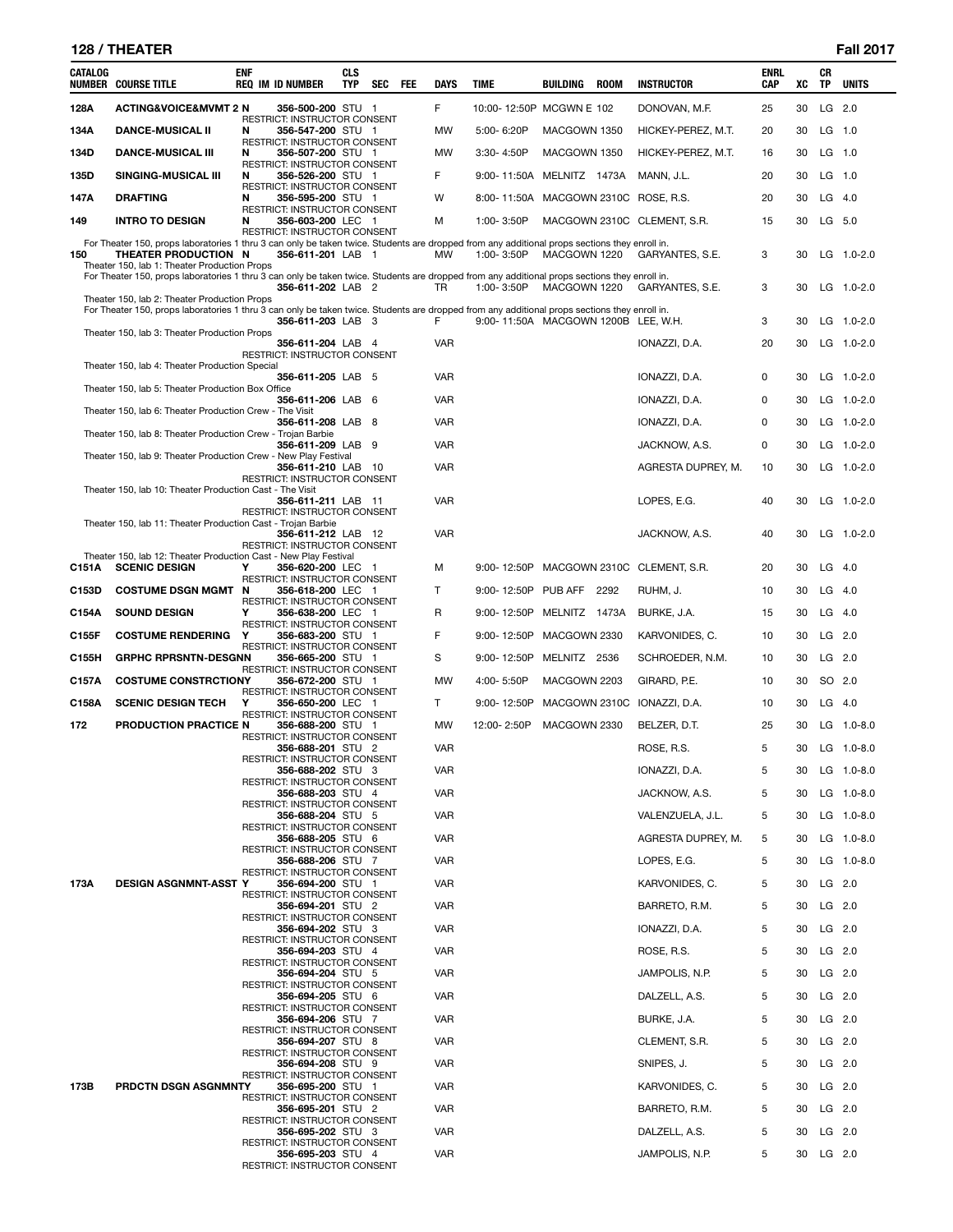# **128 / THEATER Fall 2017**

| CATALOG | <b>NUMBER COURSE TITLE</b>                                                                                                                                                                                            | <b>ENF</b> | <b>REQ IM ID NUMBER</b>                                  | <b>CLS</b><br>TYP | SEC | FEE | DAYS       | TIME |                | BUILDING                            | <b>ROOM</b> | <b>INSTRUCTOR</b>           | <b>ENRL</b><br>CAP | XC | CR<br>TP | <b>UNITS</b>   |
|---------|-----------------------------------------------------------------------------------------------------------------------------------------------------------------------------------------------------------------------|------------|----------------------------------------------------------|-------------------|-----|-----|------------|------|----------------|-------------------------------------|-------------|-----------------------------|--------------------|----|----------|----------------|
| 128A    | <b>ACTING&amp;VOICE&amp;MVMT 2 N</b>                                                                                                                                                                                  |            | 356-500-200 STU 1                                        |                   |     |     | F          |      |                | 10:00-12:50P MCGWN E 102            |             | DONOVAN, M.F.               | 25                 | 30 |          | LG 2.0         |
| 134A    | <b>DANCE-MUSICAL II</b>                                                                                                                                                                                               | N          | RESTRICT: INSTRUCTOR CONSENT<br>356-547-200 STU 1        |                   |     |     | MW         |      | 5:00-6:20P     | MACGOWN 1350                        |             | HICKEY-PEREZ, M.T.          | 20                 | 30 | $LG$ 1.0 |                |
| 134D    | <b>DANCE-MUSICAL III</b>                                                                                                                                                                                              | N          | RESTRICT: INSTRUCTOR CONSENT<br>356-507-200 STU 1        |                   |     |     | MW         |      | $3:30 - 4:50P$ | MACGOWN 1350                        |             | HICKEY-PEREZ, M.T.          | 16                 | 30 |          | $LG$ 1.0       |
| 135D    | SINGING-MUSICAL III                                                                                                                                                                                                   | N          | RESTRICT: INSTRUCTOR CONSENT<br>356-526-200 STU 1        |                   |     |     | F          |      | 9:00-11:50A    | MELNITZ 1473A                       |             | MANN, J.L.                  | 20                 | 30 | $LG$ 1.0 |                |
|         |                                                                                                                                                                                                                       |            | RESTRICT: INSTRUCTOR CONSENT                             |                   |     |     |            |      |                |                                     |             |                             |                    |    |          |                |
| 147A    | <b>DRAFTING</b>                                                                                                                                                                                                       | N          | 356-595-200 STU 1<br>RESTRICT: INSTRUCTOR CONSENT        |                   |     |     | W          |      | 8:00-11:50A    |                                     |             | MACGOWN 2310C ROSE, R.S.    | 20                 | 30 |          | $LG$ 4.0       |
| 149     | <b>INTRO TO DESIGN</b>                                                                                                                                                                                                | N          | 356-603-200 LEC 1<br>RESTRICT: INSTRUCTOR CONSENT        |                   |     |     | М          |      | 1:00-3:50P     |                                     |             | MACGOWN 2310C CLEMENT, S.R. | 15                 | 30 |          | LG 5.0         |
| 150     | For Theater 150, props laboratories 1 thru 3 can only be taken twice. Students are dropped from any additional props sections they enroll in.<br>THEATER PRODUCTION N<br>Theater 150, lab 1: Theater Production Props |            | 356-611-201 LAB 1                                        |                   |     |     | MW         |      | 1:00-3:50P     | MACGOWN 1220                        |             | GARYANTES, S.E.             | 3                  | 30 |          | LG 1.0-2.0     |
|         | For Theater 150, props laboratories 1 thru 3 can only be taken twice. Students are dropped from any additional props sections they enroll in.<br>Theater 150, lab 2: Theater Production Props                         |            | 356-611-202 LAB 2                                        |                   |     |     | TR         |      | 1:00-3:50P     | MACGOWN 1220                        |             | GARYANTES, S.E.             | 3                  | 30 |          | LG 1.0-2.0     |
|         | For Theater 150, props laboratories 1 thru 3 can only be taken twice. Students are dropped from any additional props sections they enroll in.<br>Theater 150, lab 3: Theater Production Props                         |            | 356-611-203 LAB 3                                        |                   |     |     | F          |      |                | 9:00-11:50A MACGOWN 1200B LEE, W.H. |             |                             | 3                  | 30 |          | $LG$ 1.0-2.0   |
|         |                                                                                                                                                                                                                       |            | 356-611-204 LAB 4<br>RESTRICT: INSTRUCTOR CONSENT        |                   |     |     | <b>VAR</b> |      |                |                                     |             | IONAZZI, D.A.               | 20                 | 30 |          | LG 1.0-2.0     |
|         | Theater 150, lab 4: Theater Production Special                                                                                                                                                                        |            | 356-611-205 LAB 5                                        |                   |     |     | <b>VAR</b> |      |                |                                     |             | IONAZZI, D.A.               | 0                  | 30 |          | $LG$ 1.0-2.0   |
|         | Theater 150, lab 5: Theater Production Box Office                                                                                                                                                                     |            | 356-611-206 LAB 6                                        |                   |     |     | VAR        |      |                |                                     |             | IONAZZI, D.A.               | 0                  | 30 |          | LG 1.0-2.0     |
|         | Theater 150, lab 6: Theater Production Crew - The Visit                                                                                                                                                               |            | 356-611-208 LAB 8                                        |                   |     |     | <b>VAR</b> |      |                |                                     |             | IONAZZI, D.A.               | 0                  | 30 |          | $LG$ 1.0-2.0   |
|         | Theater 150, lab 8: Theater Production Crew - Trojan Barbie                                                                                                                                                           |            | 356-611-209 LAB 9                                        |                   |     |     | <b>VAR</b> |      |                |                                     |             | JACKNOW, A.S.               | 0                  | 30 |          | LG 1.0-2.0     |
|         | Theater 150, lab 9: Theater Production Crew - New Play Festival                                                                                                                                                       |            | 356-611-210 LAB 10                                       |                   |     |     | VAR        |      |                |                                     |             | AGRESTA DUPREY, M.          | 10                 | 30 |          | LG 1.0-2.0     |
|         | Theater 150, lab 10: Theater Production Cast - The Visit                                                                                                                                                              |            | RESTRICT: INSTRUCTOR CONSENT                             |                   |     |     | <b>VAR</b> |      |                |                                     |             |                             | 40                 | 30 |          | LG 1.0-2.0     |
|         |                                                                                                                                                                                                                       |            | 356-611-211 LAB 11<br>RESTRICT: INSTRUCTOR CONSENT       |                   |     |     |            |      |                |                                     |             | LOPES, E.G.                 |                    |    |          |                |
|         | Theater 150, lab 11: Theater Production Cast - Trojan Barbie                                                                                                                                                          |            | 356-611-212 LAB 12<br>RESTRICT: INSTRUCTOR CONSENT       |                   |     |     | <b>VAR</b> |      |                |                                     |             | JACKNOW, A.S.               | 40                 | 30 |          | $LG$ 1.0-2.0   |
| C151A   | Theater 150, lab 12: Theater Production Cast - New Play Festival<br><b>SCENIC DESIGN</b>                                                                                                                              | Υ          | 356-620-200 LEC 1                                        |                   |     |     | М          |      | 9:00-12:50P    |                                     |             | MACGOWN 2310C CLEMENT, S.R. | 20                 | 30 | $LG$ 4.0 |                |
| C153D   | <b>COSTUME DSGN MGMT</b>                                                                                                                                                                                              | N          | RESTRICT: INSTRUCTOR CONSENT<br>356-618-200 LEC 1        |                   |     |     | т          |      | 9:00-12:50P    | PUB AFF 2292                        |             | RUHM, J.                    | 10                 | 30 | $LG$ 4.0 |                |
| C154A   | <b>SOUND DESIGN</b>                                                                                                                                                                                                   | Y          | RESTRICT: INSTRUCTOR CONSENT<br>356-638-200 LEC 1        |                   |     |     | R          |      | 9:00-12:50P    | MELNITZ 1473A                       |             | BURKE, J.A.                 | 15                 | 30 |          | $LG$ 4.0       |
| C155F   | <b>COSTUME RENDERING</b>                                                                                                                                                                                              | Y          | RESTRICT: INSTRUCTOR CONSENT<br>356-683-200 STU 1        |                   |     |     | F          |      | 9:00-12:50P    | MACGOWN 2330                        |             | KARVONIDES, C.              | 10                 | 30 |          | LG 2.0         |
| C155H   | <b>GRPHC RPRSNTN-DESGNN</b>                                                                                                                                                                                           |            | RESTRICT: INSTRUCTOR CONSENT<br>356-665-200 STU 1        |                   |     |     | S          |      | 9:00-12:50P    | MELNITZ 2536                        |             | SCHROEDER, N.M.             | 10                 | 30 |          | LG 2.0         |
| C157A   | <b>COSTUME CONSTRCTIONY</b>                                                                                                                                                                                           |            | RESTRICT: INSTRUCTOR CONSENT<br>356-672-200 STU 1        |                   |     |     | MW         |      | 4:00-5:50P     | MACGOWN 2203                        |             | GIRARD, P.E.                | 10                 | 30 |          | SO 2.0         |
|         |                                                                                                                                                                                                                       |            | RESTRICT: INSTRUCTOR CONSENT                             |                   |     |     |            |      |                |                                     |             |                             |                    |    |          |                |
| C158A   | <b>SCENIC DESIGN TECH</b>                                                                                                                                                                                             | Y          | 356-650-200 LEC 1<br>RESTRICT: INSTRUCTOR CONSENT        |                   |     |     | Τ          |      | 9:00-12:50P    |                                     |             | MACGOWN 2310C IONAZZI, D.A. | 10                 | 30 |          | $LG$ 4.0       |
| 172     | PRODUCTION PRACTICE N                                                                                                                                                                                                 |            | 356-688-200 STU 1<br><b>RESTRICT: INSTRUCTOR CONSENT</b> |                   |     |     | MW         |      | 12:00-2:50P    | MACGOWN 2330                        |             | BELZER, D.T.                | 25                 | 30 |          | $LG$ 1.0-8.0   |
|         |                                                                                                                                                                                                                       |            | 356-688-201 STU 2<br>RESTRICT: INSTRUCTOR CONSENT        |                   |     |     | <b>VAR</b> |      |                |                                     |             | ROSE, R.S.                  | 5                  | 30 |          | $LG$ 1.0-8.0   |
|         |                                                                                                                                                                                                                       |            | 356-688-202 STU 3<br>RESTRICT: INSTRUCTOR CONSENT        |                   |     |     | <b>VAR</b> |      |                |                                     |             | IONAZZI, D.A.               | 5                  | 30 |          | $LG$ 1.0-8.0   |
|         |                                                                                                                                                                                                                       |            | 356-688-203 STU 4<br>RESTRICT: INSTRUCTOR CONSENT        |                   |     |     | <b>VAR</b> |      |                |                                     |             | JACKNOW, A.S.               | 5                  | 30 |          | LG 1.0-8.0     |
|         |                                                                                                                                                                                                                       |            | 356-688-204 STU 5<br>RESTRICT: INSTRUCTOR CONSENT        |                   |     |     | <b>VAR</b> |      |                |                                     |             | VALENZUELA, J.L.            | 5                  | 30 |          | LG 1.0-8.0     |
|         |                                                                                                                                                                                                                       |            | 356-688-205 STU 6<br>RESTRICT: INSTRUCTOR CONSENT        |                   |     |     | <b>VAR</b> |      |                |                                     |             | AGRESTA DUPREY, M.          | 5                  | 30 |          | LG 1.0-8.0     |
|         |                                                                                                                                                                                                                       |            | 356-688-206 STU 7<br>RESTRICT: INSTRUCTOR CONSENT        |                   |     |     | <b>VAR</b> |      |                |                                     |             | LOPES, E.G.                 | 5                  | 30 |          | LG $1.0 - 8.0$ |
| 173A    | <b>DESIGN ASGNMNT-ASST Y</b>                                                                                                                                                                                          |            | 356-694-200 STU 1                                        |                   |     |     | <b>VAR</b> |      |                |                                     |             | KARVONIDES, C.              | 5                  | 30 | LG 2.0   |                |
|         |                                                                                                                                                                                                                       |            | RESTRICT: INSTRUCTOR CONSENT<br>356-694-201 STU 2        |                   |     |     | <b>VAR</b> |      |                |                                     |             | BARRETO, R.M.               | 5                  | 30 | LG 2.0   |                |
|         |                                                                                                                                                                                                                       |            | <b>RESTRICT: INSTRUCTOR CONSENT</b><br>356-694-202 STU 3 |                   |     |     | <b>VAR</b> |      |                |                                     |             | IONAZZI, D.A.               | 5                  | 30 |          | $LG$ 2.0       |
|         |                                                                                                                                                                                                                       |            | RESTRICT: INSTRUCTOR CONSENT<br>356-694-203 STU 4        |                   |     |     | <b>VAR</b> |      |                |                                     |             | ROSE, R.S.                  | 5                  | 30 | LG 2.0   |                |
|         |                                                                                                                                                                                                                       |            | RESTRICT: INSTRUCTOR CONSENT<br>356-694-204 STU 5        |                   |     |     | <b>VAR</b> |      |                |                                     |             | JAMPOLIS, N.P.              | 5                  | 30 | $LG$ 2.0 |                |
|         |                                                                                                                                                                                                                       |            | RESTRICT: INSTRUCTOR CONSENT<br>356-694-205 STU 6        |                   |     |     | <b>VAR</b> |      |                |                                     |             | DALZELL, A.S.               | 5                  | 30 | LG 2.0   |                |
|         |                                                                                                                                                                                                                       |            | RESTRICT: INSTRUCTOR CONSENT<br>356-694-206 STU 7        |                   |     |     | <b>VAR</b> |      |                |                                     |             | BURKE, J.A.                 | 5                  | 30 | $LG$ 2.0 |                |
|         |                                                                                                                                                                                                                       |            | RESTRICT: INSTRUCTOR CONSENT<br>356-694-207 STU 8        |                   |     |     | <b>VAR</b> |      |                |                                     |             | CLEMENT, S.R.               | 5                  | 30 | $LG$ 2.0 |                |
|         |                                                                                                                                                                                                                       |            | RESTRICT: INSTRUCTOR CONSENT<br>356-694-208 STU 9        |                   |     |     | <b>VAR</b> |      |                |                                     |             | SNIPES, J.                  | 5                  | 30 | $LG$ 2.0 |                |
| 173B    | PRDCTN DSGN ASGNMNTY                                                                                                                                                                                                  |            | RESTRICT: INSTRUCTOR CONSENT<br>356-695-200 STU 1        |                   |     |     | <b>VAR</b> |      |                |                                     |             | KARVONIDES, C.              | 5                  | 30 | $LG$ 2.0 |                |
|         |                                                                                                                                                                                                                       |            | RESTRICT: INSTRUCTOR CONSENT                             |                   |     |     |            |      |                |                                     |             |                             |                    |    |          |                |
|         |                                                                                                                                                                                                                       |            | 356-695-201 STU 2<br>RESTRICT: INSTRUCTOR CONSENT        |                   |     |     | <b>VAR</b> |      |                |                                     |             | BARRETO, R.M.               | 5                  | 30 | $LG$ 2.0 |                |
|         |                                                                                                                                                                                                                       |            | 356-695-202 STU 3<br>RESTRICT: INSTRUCTOR CONSENT        |                   |     |     | <b>VAR</b> |      |                |                                     |             | DALZELL, A.S.               | 5                  | 30 |          | $LG$ 2.0       |
|         |                                                                                                                                                                                                                       |            | 356-695-203 STU 4<br>RESTRICT: INSTRUCTOR CONSENT        |                   |     |     | <b>VAR</b> |      |                |                                     |             | JAMPOLIS, N.P.              | 5                  | 30 | $LG$ 2.0 |                |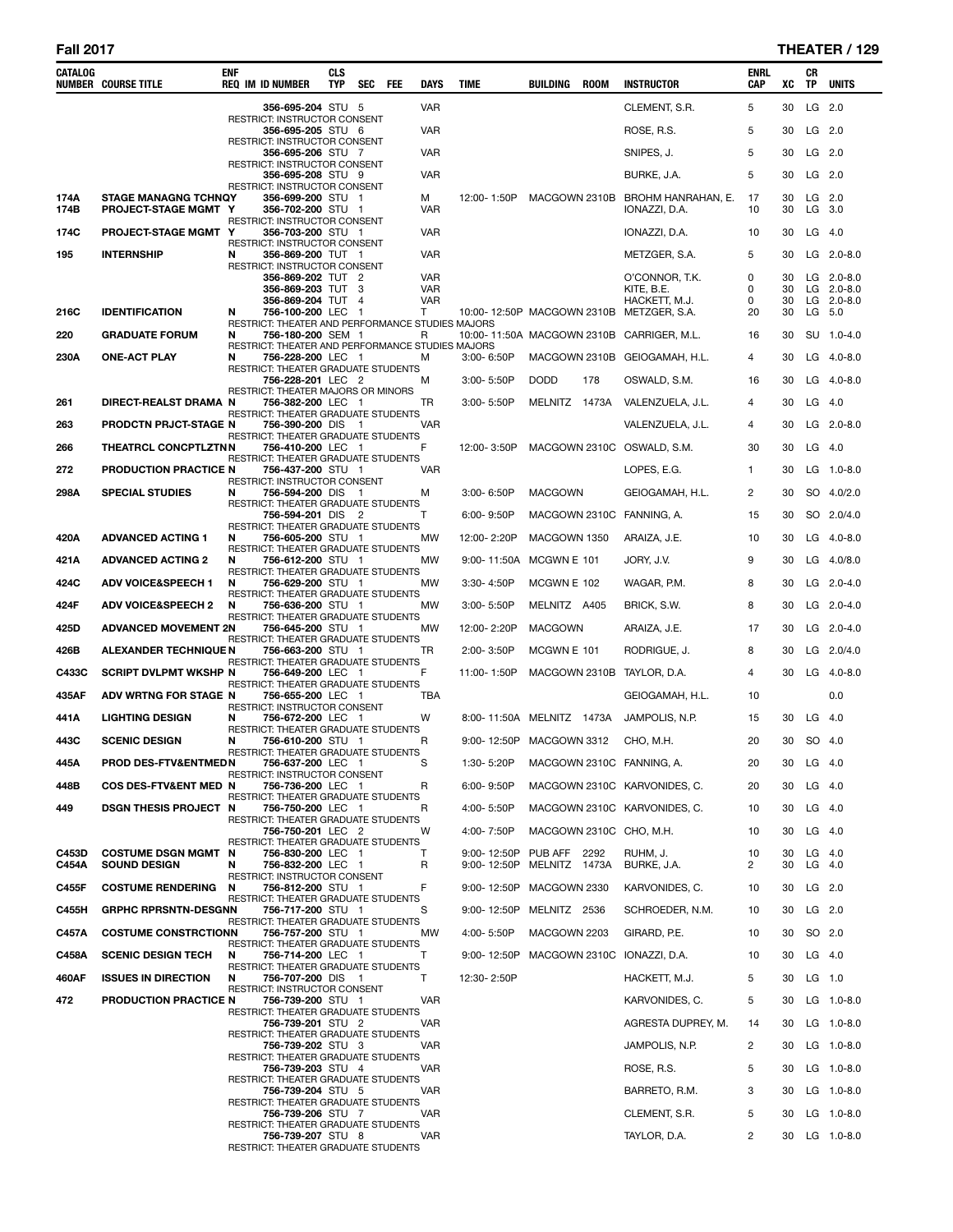| CATALOG | <b>NUMBER COURSE TITLE</b>       | enf | <b>REQ IM ID NUMBER</b>                                               | <b>CLS</b><br><b>TYP</b> | <b>SEC</b>            | FEE | <b>DAYS</b>              | <b>TIME</b>                          | BUILDING            | <b>ROOM</b> | <b>INSTRUCTOR</b>                                         | ENRL<br><b>CAP</b> | XC       | CR<br>TP  | <b>UNITS</b>                 |
|---------|----------------------------------|-----|-----------------------------------------------------------------------|--------------------------|-----------------------|-----|--------------------------|--------------------------------------|---------------------|-------------|-----------------------------------------------------------|--------------------|----------|-----------|------------------------------|
|         |                                  |     | 356-695-204 STU 5                                                     |                          |                       |     | <b>VAR</b>               |                                      |                     |             | CLEMENT, S.R.                                             | 5                  | 30       |           | LG 2.0                       |
|         |                                  |     | <b>RESTRICT: INSTRUCTOR CONSENT</b><br>356-695-205 STU 6              |                          |                       |     | <b>VAR</b>               |                                      |                     |             | ROSE, R.S.                                                | 5                  | 30       |           | LG 2.0                       |
|         |                                  |     | <b>RESTRICT: INSTRUCTOR CONSENT</b><br>356-695-206 STU 7              |                          |                       |     | VAR                      |                                      |                     |             | SNIPES, J.                                                | 5                  | 30       |           | $LG$ 2.0                     |
|         |                                  |     | RESTRICT: INSTRUCTOR CONSENT<br>356-695-208 STU 9                     |                          |                       |     | VAR                      |                                      |                     |             | BURKE, J.A.                                               | 5                  | 30       |           | LG 2.0                       |
| 174A    | <b>STAGE MANAGNG TCHNQY</b>      |     | RESTRICT: INSTRUCTOR CONSENT<br>356-699-200 STU 1                     |                          |                       |     | м                        | 12:00-1:50P                          | MACGOWN 2310B       |             | BROHM HANRAHAN, E.                                        | 17                 | 30       |           | LG 2.0                       |
| 174B    | PROJECT-STAGE MGMT Y             |     | 356-702-200 STU 1<br>RESTRICT: INSTRUCTOR CONSENT                     |                          |                       |     | <b>VAR</b>               |                                      |                     |             | IONAZZI, D.A.                                             | 10                 | 30       |           | $LG$ 3.0                     |
| 174C    | PROJECT-STAGE MGMT Y             |     | 356-703-200 STU 1<br>RESTRICT: INSTRUCTOR CONSENT                     |                          |                       |     | <b>VAR</b>               |                                      |                     |             | IONAZZI, D.A.                                             | 10                 | 30       |           | $LG$ 4.0                     |
| 195     | <b>INTERNSHIP</b>                | N   | 356-869-200 TUT 1<br>RESTRICT: INSTRUCTOR CONSENT                     |                          |                       |     | VAR                      |                                      |                     |             | METZGER, S.A.                                             | 5                  | 30       |           | LG 2.0-8.0                   |
|         |                                  |     | 356-869-202 TUT 2<br>356-869-203 TUT 3                                |                          |                       |     | <b>VAR</b><br><b>VAR</b> |                                      |                     |             | O'CONNOR, T.K.<br>KITE, B.E.                              | 0<br>0             | 30<br>30 |           | $LG$ 2.0-8.0<br>$LG$ 2.0-8.0 |
| 216C    | <b>IDENTIFICATION</b>            | N   | 356-869-204 TUT<br>756-100-200 LEC                                    |                          | $\overline{4}$<br>- 1 |     | <b>VAR</b><br>т          |                                      |                     |             | HACKETT, M.J.<br>10:00-12:50P MACGOWN 2310B METZGER, S.A. | 0<br>20            | 30<br>30 |           | $LG$ 2.0-8.0<br>LG 5.0       |
| 220     | <b>GRADUATE FORUM</b>            | N   | RESTRICT: THEATER AND PERFORMANCE STUDIES MAJORS<br>756-180-200 SEM 1 |                          |                       |     | R                        |                                      |                     |             | 10:00-11:50A MACGOWN 2310B CARRIGER, M.L.                 | 16                 | 30       |           | SU 1.0-4.0                   |
|         |                                  |     | RESTRICT: THEATER AND PERFORMANCE STUDIES MAJORS                      |                          |                       |     |                          |                                      |                     |             |                                                           |                    |          |           |                              |
| 230A    | <b>ONE-ACT PLAY</b>              | N   | 756-228-200 LEC 1<br>RESTRICT: THEATER GRADUATE STUDENTS              |                          |                       |     | M                        | $3:00 - 6:50P$                       |                     |             | MACGOWN 2310B GEIOGAMAH, H.L.                             | 4                  | 30       |           | LG 4.0-8.0                   |
|         |                                  |     | 756-228-201 LEC 2<br>RESTRICT: THEATER MAJORS OR MINORS               |                          |                       |     | м                        | 3:00-5:50P                           | <b>DODD</b>         | 178         | OSWALD, S.M.                                              | 16                 | 30       |           | LG 4.0-8.0                   |
| 261     | DIRECT-REALST DRAMA N            |     | 756-382-200 LEC 1<br>RESTRICT: THEATER GRADUATE STUDENTS              |                          |                       |     | TR                       | 3:00-5:50P                           | MELNITZ 1473A       |             | VALENZUELA, J.L.                                          | 4                  | 30       |           | $LG$ 4.0                     |
| 263     | <b>PRODCTN PRJCT-STAGE N</b>     |     | 756-390-200 DIS 1<br>RESTRICT: THEATER GRADUATE STUDENTS              |                          |                       |     | VAR                      |                                      |                     |             | VALENZUELA, J.L.                                          | 4                  | 30       |           | $LG$ 2.0-8.0                 |
| 266     | <b>THEATRCL CONCPTLZTNN</b>      |     | 756-410-200 LEC 1<br>RESTRICT: THEATER GRADUATE STUDENTS              |                          |                       |     | F                        | 12:00-3:50P                          |                     |             | MACGOWN 2310C OSWALD, S.M.                                | 30                 | 30       |           | $LG$ 4.0                     |
| 272     | PRODUCTION PRACTICE N            |     | 756-437-200 STU 1<br>RESTRICT: INSTRUCTOR CONSENT                     |                          |                       |     | <b>VAR</b>               |                                      |                     |             | LOPES, E.G.                                               | $\mathbf{1}$       | 30       |           | LG 1.0-8.0                   |
| 298A    | <b>SPECIAL STUDIES</b>           | N   | 756-594-200 DIS<br>RESTRICT: THEATER GRADUATE STUDENTS                |                          | - 1                   |     | M                        | $3:00 - 6:50P$                       | <b>MACGOWN</b>      |             | GEIOGAMAH, H.L.                                           | $\overline{2}$     | 30       |           | SO 4.0/2.0                   |
|         |                                  |     | 756-594-201 DIS 2<br>RESTRICT: THEATER GRADUATE STUDENTS              |                          |                       |     | т                        | 6:00-9:50P                           |                     |             | MACGOWN 2310C FANNING, A.                                 | 15                 | 30       |           | SO 2.0/4.0                   |
| 420A    | <b>ADVANCED ACTING 1</b>         | N   | 756-605-200 STU 1<br>RESTRICT: THEATER GRADUATE STUDENTS              |                          |                       |     | MW                       | 12:00-2:20P                          | MACGOWN 1350        |             | ARAIZA, J.E.                                              | 10                 | 30       |           | LG 4.0-8.0                   |
| 421A    | <b>ADVANCED ACTING 2</b>         | N   | 756-612-200 STU 1<br>RESTRICT: THEATER GRADUATE STUDENTS              |                          |                       |     | MW                       | $9:00 - 11:50A$                      | MCGWN E 101         |             | JORY, J.V.                                                | 9                  | 30       |           | LG 4.0/8.0                   |
| 424C    | <b>ADV VOICE&amp;SPEECH 1</b>    | N   | 756-629-200 STU 1<br>RESTRICT: THEATER GRADUATE STUDENTS              |                          |                       |     | МW                       | 3:30-4:50P                           | MCGWN E 102         |             | WAGAR, P.M.                                               | 8                  | 30       |           | $LG$ 2.0-4.0                 |
| 424F    | <b>ADV VOICE&amp;SPEECH 2</b>    | N   | 756-636-200 STU 1<br>RESTRICT: THEATER GRADUATE STUDENTS              |                          |                       |     | MW                       | 3:00-5:50P                           | MELNITZ A405        |             | BRICK, S.W.                                               | 8                  | 30       |           | LG 2.0-4.0                   |
| 425D    | <b>ADVANCED MOVEMENT 2N</b>      |     | 756-645-200 STU 1<br>RESTRICT: THEATER GRADUATE STUDENTS              |                          |                       |     | MW                       | 12:00-2:20P                          | <b>MACGOWN</b>      |             | ARAIZA, J.E.                                              | 17                 | 30       |           | $LG$ 2.0-4.0                 |
| 426B    | <b>ALEXANDER TECHNIQUE N</b>     |     | 756-663-200 STU 1<br>RESTRICT: THEATER GRADUATE STUDENTS              |                          |                       |     | TR                       | 2:00-3:50P                           | MCGWN E 101         |             | rodrigue, J.                                              | 8                  | 30       |           | LG 2.0/4.0                   |
| C433C   | <b>SCRIPT DVLPMT WKSHP N</b>     |     | 756-649-200 LEC 1<br>RESTRICT: THEATER GRADUATE STUDENTS              |                          |                       |     | F                        | 11:00-1:50P                          |                     |             | MACGOWN 2310B TAYLOR, D.A.                                | 4                  | 30       |           | LG 4.0-8.0                   |
| 435AF   | ADV WRTNG FOR STAGE N            |     | 756-655-200 LEC 1                                                     |                          |                       |     | TBA                      |                                      |                     |             | GEIOGAMAH, H.L.                                           | 10                 |          |           | 0.0                          |
| 441A    | <b>LIGHTING DESIGN</b>           | N   | RESTRICT: INSTRUCTOR CONSENT<br>756-672-200 LEC 1                     |                          |                       |     | W                        | 8:00-11:50A MELNITZ 1473A            |                     |             | JAMPOLIS, N.P.                                            | 15                 | 30       |           | $LG$ 4.0                     |
| 443C    | <b>SCENIC DESIGN</b>             | N   | RESTRICT: THEATER GRADUATE STUDENTS<br>756-610-200 STU 1              |                          |                       |     | R                        | 9:00-12:50P MACGOWN 3312             |                     |             | CHO, M.H.                                                 | 20                 | 30       |           | SO 4.0                       |
| 445A    | PROD DES-FTV&ENTMEDN             |     | RESTRICT: THEATER GRADUATE STUDENTS<br>756-637-200 LEC 1              |                          |                       |     |                          | 1:30-5:20P MACGOWN 2310C FANNING, A. |                     |             |                                                           | 20                 |          | 30 LG 4.0 |                              |
| 448B    | <b>COS DES-FTV&amp;ENT MED N</b> |     | RESTRICT: INSTRUCTOR CONSENT<br>756-736-200 LEC 1                     |                          |                       |     | R                        | $6.00 - 9.50P$                       |                     |             | MACGOWN 2310C KARVONIDES, C.                              | 20                 | 30       |           | $LG$ 4.0                     |
| 449     | <b>DSGN THESIS PROJECT N</b>     |     | RESTRICT: THEATER GRADUATE STUDENTS<br>756-750-200 LEC 1              |                          |                       |     | R                        | 4:00-5:50P                           |                     |             | MACGOWN 2310C KARVONIDES, C.                              | 10                 | 30       |           | $LG$ 4.0                     |
|         |                                  |     | RESTRICT: THEATER GRADUATE STUDENTS<br>756-750-201 LEC 2              |                          |                       |     | W                        | 4:00-7:50P                           |                     |             | MACGOWN 2310C CHO, M.H.                                   | 10                 | 30       |           | $LG$ 4.0                     |
| C453D   | <b>COSTUME DSGN MGMT N</b>       |     | RESTRICT: THEATER GRADUATE STUDENTS<br>756-830-200 LEC 1              |                          |                       |     | т                        | 9:00-12:50P                          | <b>PUB AFF 2292</b> |             | RUHM, J.                                                  | 10                 | 30       |           | $LG$ 4.0                     |
| C454A   | <b>SOUND DESIGN</b>              | N   | 756-832-200 LEC 1<br>RESTRICT: INSTRUCTOR CONSENT                     |                          |                       |     | R                        | 9:00-12:50P                          | MELNITZ 1473A       |             | BURKE, J.A.                                               | 2                  | 30       |           | $LG$ 4.0                     |
| C455F   | <b>COSTUME RENDERING</b>         | N   | 756-812-200 STU 1<br>RESTRICT: THEATER GRADUATE STUDENTS              |                          |                       |     | F                        | 9:00-12:50P                          | MACGOWN 2330        |             | KARVONIDES, C.                                            | 10                 | 30       |           | LG 2.0                       |
| C455H   | <b>GRPHC RPRSNTN-DESGNN</b>      |     | 756-717-200 STU 1<br>RESTRICT: THEATER GRADUATE STUDENTS              |                          |                       |     | S                        | 9:00-12:50P                          | MELNITZ 2536        |             | SCHROEDER, N.M.                                           | 10                 | 30       | $LG$ 2.0  |                              |
| C457A   | <b>COSTUME CONSTRCTIONN</b>      |     | 756-757-200 STU 1<br>RESTRICT: THEATER GRADUATE STUDENTS              |                          |                       |     | МW                       | 4:00-5:50P                           | MACGOWN 2203        |             | GIRARD, P.E.                                              | 10                 | 30       |           | SO 2.0                       |
| C458A   | <b>SCENIC DESIGN TECH</b>        | N   | 756-714-200 LEC 1<br>RESTRICT: THEATER GRADUATE STUDENTS              |                          |                       |     | т                        | 9:00-12:50P                          |                     |             | MACGOWN 2310C IONAZZI, D.A.                               | 10                 | 30       |           | $LG$ 4.0                     |
| 460AF   | <b>ISSUES IN DIRECTION</b>       | N   | 756-707-200 DIS 1<br>RESTRICT: INSTRUCTOR CONSENT                     |                          |                       |     | Т                        | 12:30-2:50P                          |                     |             | HACKETT, M.J.                                             | 5                  | 30       |           | $LG$ 1.0                     |
| 472     | PRODUCTION PRACTICE N            |     | 756-739-200 STU 1                                                     |                          |                       |     | <b>VAR</b>               |                                      |                     |             | KARVONIDES, C.                                            | 5                  | 30       |           | $LG$ 1.0-8.0                 |
|         |                                  |     | RESTRICT: THEATER GRADUATE STUDENTS<br>756-739-201 STU 2              |                          |                       |     | VAR                      |                                      |                     |             | AGRESTA DUPREY, M.                                        | 14                 | 30       |           | LG $1.0 - 8.0$               |
|         |                                  |     | RESTRICT: THEATER GRADUATE STUDENTS<br>756-739-202 STU 3              |                          |                       |     | VAR                      |                                      |                     |             | JAMPOLIS, N.P.                                            | 2                  | 30       |           | LG 1.0-8.0                   |
|         |                                  |     | RESTRICT: THEATER GRADUATE STUDENTS<br>756-739-203 STU 4              |                          |                       |     | <b>VAR</b>               |                                      |                     |             | ROSE, R.S.                                                | 5                  | 30       |           | LG $1.0 - 8.0$               |
|         |                                  |     | RESTRICT: THEATER GRADUATE STUDENTS<br>756-739-204 STU 5              |                          |                       |     | VAR                      |                                      |                     |             | BARRETO, R.M.                                             | 3                  | 30       |           | LG $1.0 - 8.0$               |
|         |                                  |     | RESTRICT: THEATER GRADUATE STUDENTS<br>756-739-206 STU 7              |                          |                       |     | VAR                      |                                      |                     |             | CLEMENT, S.R.                                             | 5                  | 30       |           | $LG$ 1.0-8.0                 |
|         |                                  |     | RESTRICT: THEATER GRADUATE STUDENTS<br>756-739-207 STU 8              |                          |                       |     | VAR                      |                                      |                     |             | TAYLOR, D.A.                                              | 2                  | 30       |           | $LG$ 1.0-8.0                 |
|         |                                  |     | RESTRICT: THEATER GRADUATE STUDENTS                                   |                          |                       |     |                          |                                      |                     |             |                                                           |                    |          |           |                              |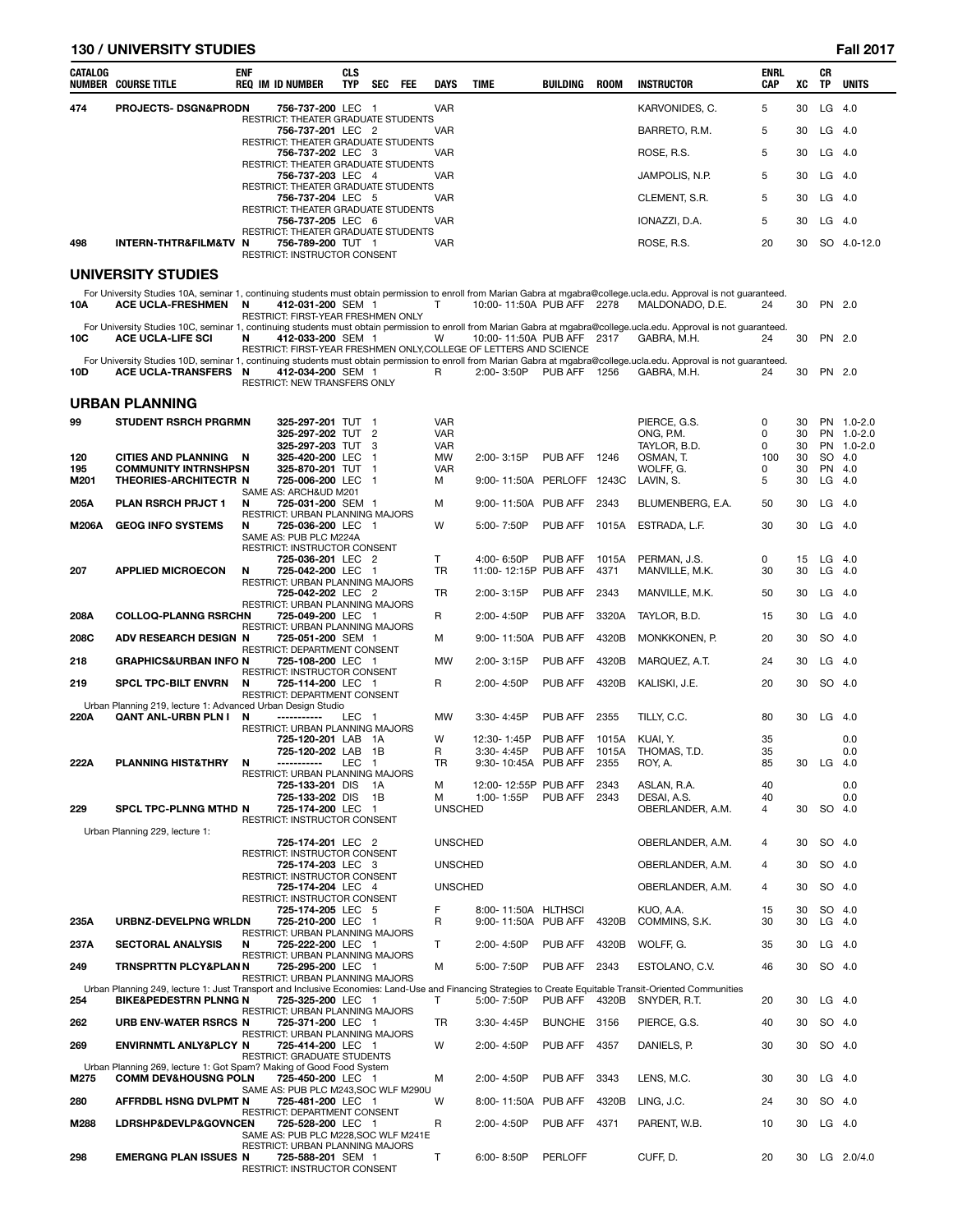# **130 / UNIVERSITY STUDIES**

| 01<br>ī |
|---------|
|         |

| CATALOG     | <b>NUMBER COURSE TITLE</b>                                                                                                                                | <b>ENF</b> | <b>REQ IM ID NUMBER</b>                                                                  | <b>CLS</b><br><b>TYP</b> | <b>SEC</b> | <b>FEE</b> | <b>DAYS</b>              | <b>TIME</b>                       | BUILDING     | <b>ROOM</b>   | <b>INSTRUCTOR</b>                                                                                                                                                                        | <b>ENRL</b><br>CAP | XC       | CR<br>TP              | <b>UNITS</b>              |
|-------------|-----------------------------------------------------------------------------------------------------------------------------------------------------------|------------|------------------------------------------------------------------------------------------|--------------------------|------------|------------|--------------------------|-----------------------------------|--------------|---------------|------------------------------------------------------------------------------------------------------------------------------------------------------------------------------------------|--------------------|----------|-----------------------|---------------------------|
| 474         | <b>PROJECTS- DSGN&amp;PRODN</b>                                                                                                                           |            | 756-737-200 LEC 1                                                                        |                          |            |            | <b>VAR</b>               |                                   |              |               | KARVONIDES, C.                                                                                                                                                                           | 5                  | 30       | LG                    | - 4.0                     |
|             |                                                                                                                                                           |            | RESTRICT: THEATER GRADUATE STUDENTS<br>756-737-201 LEC 2                                 |                          |            |            | <b>VAR</b>               |                                   |              |               | BARRETO, R.M.                                                                                                                                                                            | 5                  | 30       | LG                    | 4.0                       |
|             |                                                                                                                                                           |            | RESTRICT: THEATER GRADUATE STUDENTS<br>756-737-202 LEC 3                                 |                          |            |            | <b>VAR</b>               |                                   |              |               | ROSE, R.S.                                                                                                                                                                               | 5                  | 30       | $LG$ 4.0              |                           |
|             |                                                                                                                                                           |            | RESTRICT: THEATER GRADUATE STUDENTS                                                      |                          |            |            |                          |                                   |              |               |                                                                                                                                                                                          |                    |          |                       |                           |
|             |                                                                                                                                                           |            | 756-737-203 LEC 4<br>RESTRICT: THEATER GRADUATE STUDENTS                                 |                          |            |            | <b>VAR</b>               |                                   |              |               | JAMPOLIS, N.P.                                                                                                                                                                           | 5                  | 30       | LG.                   | 4.0                       |
|             |                                                                                                                                                           |            | 756-737-204 LEC 5<br>RESTRICT: THEATER GRADUATE STUDENTS                                 |                          |            |            | <b>VAR</b>               |                                   |              |               | CLEMENT, S.R.                                                                                                                                                                            | 5                  | 30       | LG                    | -4.0                      |
|             |                                                                                                                                                           |            | 756-737-205 LEC 6<br>RESTRICT: THEATER GRADUATE STUDENTS                                 |                          |            |            | VAR                      |                                   |              |               | IONAZZI, D.A.                                                                                                                                                                            | 5                  | 30       | LG 4.0                |                           |
| 498         | <b>INTERN-THTR&amp;FILM&amp;TV</b>                                                                                                                        | N          | 756-789-200 TUT 1<br>RESTRICT: INSTRUCTOR CONSENT                                        |                          |            |            | <b>VAR</b>               |                                   |              |               | ROSE, R.S.                                                                                                                                                                               | 20                 | 30       |                       | SO 4.0-12.0               |
|             | <b>UNIVERSITY STUDIES</b>                                                                                                                                 |            |                                                                                          |                          |            |            |                          |                                   |              |               |                                                                                                                                                                                          |                    |          |                       |                           |
| 10A         | <b>ACE UCLA-FRESHMEN</b>                                                                                                                                  | N          | 412-031-200 SEM 1<br>RESTRICT: FIRST-YEAR FRESHMEN ONLY                                  |                          |            |            | T                        | 10:00-11:50A PUB AFF 2278         |              |               | For University Studies 10A, seminar 1, continuing students must obtain permission to enroll from Marian Gabra at mgabra@college.ucla.edu. Approval is not guaranteed.<br>MALDONADO, D.E. | 24                 | 30       | PN 2.0                |                           |
| 10C         | <b>ACE UCLA-LIFE SCI</b>                                                                                                                                  | N          | 412-033-200 SEM 1<br>RESTRICT: FIRST-YEAR FRESHMEN ONLY, COLLEGE OF LETTERS AND SCIENCE  |                          |            |            | W                        | 10:00-11:50A PUB AFF 2317         |              |               | For University Studies 10C, seminar 1, continuing students must obtain permission to enroll from Marian Gabra at mgabra@college.ucla.edu. Approval is not guaranteed.<br>GABRA, M.H.     | 24                 | 30       | PN 2.0                |                           |
| 10D         | ACE UCLA-TRANSFERS N                                                                                                                                      |            | 412-034-200 SEM 1<br><b>RESTRICT: NEW TRANSFERS ONLY</b>                                 |                          |            |            | R                        | 2:00-3:50P                        | PUB AFF 1256 |               | For University Studies 10D, seminar 1, continuing students must obtain permission to enroll from Marian Gabra at mgabra@college.ucla.edu. Approval is not guaranteed.<br>GABRA, M.H.     | 24                 | 30       | PN 2.0                |                           |
|             | <b>URBAN PLANNING</b>                                                                                                                                     |            |                                                                                          |                          |            |            |                          |                                   |              |               |                                                                                                                                                                                          |                    |          |                       |                           |
| 99          | <b>STUDENT RSRCH PRGRMN</b>                                                                                                                               |            | 325-297-201 TUT 1                                                                        |                          |            |            | <b>VAR</b>               |                                   |              |               | PIERCE, G.S.                                                                                                                                                                             | 0                  | 30       |                       | PN 1.0-2.0                |
|             |                                                                                                                                                           |            | 325-297-202 TUT 2<br>325-297-203 TUT                                                     |                          | 3          |            | <b>VAR</b><br><b>VAR</b> |                                   |              |               | ONG, P.M.<br>TAYLOR, B.D.                                                                                                                                                                | 0<br>0             | 30<br>30 | <b>PN</b>             | PN 1.0-2.0<br>$1.0 - 2.0$ |
| 120         | CITIES AND PLANNING N                                                                                                                                     |            | 325-420-200 LEC                                                                          |                          | -1         |            | MW                       | 2:00-3:15P                        | PUB AFF      | 1246          | OSMAN, T.                                                                                                                                                                                | 100                | 30       | <b>SO</b>             | 4.0                       |
| 195<br>M201 | <b>COMMUNITY INTRNSHPSN</b><br>THEORIES-ARCHITECTR N                                                                                                      |            | 325-870-201 TUT 1<br>725-006-200 LEC 1                                                   |                          |            |            | <b>VAR</b><br>м          | 9:00-11:50A PERLOFF               |              | 1243C         | WOLFF, G.<br>LAVIN, S.                                                                                                                                                                   | 0<br>5             | 30<br>30 | <b>PN</b><br>$LG$ 4.0 | -4.0                      |
| 205A        | PLAN RSRCH PRJCT 1                                                                                                                                        | N          | SAME AS: ARCH&UD M201<br>725-031-200 SEM 1                                               |                          |            |            | м                        | 9:00-11:50A PUB AFF               |              | 2343          | BLUMENBERG, E.A.                                                                                                                                                                         | 50                 | 30       | LG                    | 4.0                       |
| M206A       | <b>GEOG INFO SYSTEMS</b>                                                                                                                                  | N          | RESTRICT: URBAN PLANNING MAJORS<br>725-036-200 LEC 1                                     |                          |            |            | W                        | 5:00-7:50P                        | PUB AFF      | 1015A         | ESTRADA, L.F.                                                                                                                                                                            | 30                 | 30       | LG 4.0                |                           |
|             |                                                                                                                                                           |            | SAME AS: PUB PLC M224A<br>RESTRICT: INSTRUCTOR CONSENT                                   |                          |            |            |                          |                                   |              |               |                                                                                                                                                                                          |                    |          |                       |                           |
|             |                                                                                                                                                           |            | 725-036-201 LEC 2                                                                        |                          |            |            | T.                       | 4:00-6:50P                        | PUB AFF      | 1015A         | PERMAN, J.S.                                                                                                                                                                             | 0                  | 15       | LG                    | - 4.0                     |
| 207         | <b>APPLIED MICROECON</b>                                                                                                                                  | N          | 725-042-200 LEC 1<br>RESTRICT: URBAN PLANNING MAJORS                                     |                          |            |            | TR                       | 11:00-12:15P PUB AFF              |              | 4371          | MANVILLE, M.K.                                                                                                                                                                           | 30                 | 30       | LG                    | -4.0                      |
|             |                                                                                                                                                           |            | 725-042-202 LEC 2<br>RESTRICT: URBAN PLANNING MAJORS                                     |                          |            |            | TR                       | 2:00-3:15P                        | PUB AFF      | 2343          | MANVILLE, M.K.                                                                                                                                                                           | 50                 | 30       | LG                    | -4.0                      |
| 208A        | <b>COLLOQ-PLANNG RSRCHN</b>                                                                                                                               |            | 725-049-200 LEC 1<br>RESTRICT: URBAN PLANNING MAJORS                                     |                          |            |            | R                        | 2:00-4:50P                        | PUB AFF      | 3320A         | TAYLOR, B.D.                                                                                                                                                                             | 15                 | 30       | LG                    | -4.0                      |
| 208C        | ADV RESEARCH DESIGN N                                                                                                                                     |            | 725-051-200 SEM 1<br>RESTRICT: DEPARTMENT CONSENT                                        |                          |            |            | м                        | 9:00-11:50A PUB AFF               |              | 4320B         | MONKKONEN, P.                                                                                                                                                                            | 20                 | 30       | SO 4.0                |                           |
| 218         | <b>GRAPHICS&amp;URBAN INFO N</b>                                                                                                                          |            | 725-108-200 LEC 1                                                                        |                          |            |            | MW                       | 2:00-3:15P                        | PUB AFF      | 4320B         | MARQUEZ, A.T.                                                                                                                                                                            | 24                 | 30       | LG                    | 4.0                       |
| 219         | <b>SPCL TPC-BILT ENVRN</b><br>Urban Planning 219, lecture 1: Advanced Urban Design Studio                                                                 | N          | <b>RESTRICT: INSTRUCTOR CONSENT</b><br>725-114-200 LEC 1<br>RESTRICT: DEPARTMENT CONSENT |                          |            |            | R                        | 2:00-4:50P                        | PUB AFF      | 4320B         | KALISKI, J.E.                                                                                                                                                                            | 20                 | 30       | SO 4.0                |                           |
| 220A        | <b>QANT ANL-URBN PLN I</b>                                                                                                                                | N          | -----------                                                                              | LEC 1                    |            |            | <b>MW</b>                | 3:30-4:45P                        | PUB AFF      | 2355          | TILLY, C.C.                                                                                                                                                                              | 80                 | 30       | LG                    | 4.0                       |
|             |                                                                                                                                                           |            | RESTRICT: URBAN PLANNING MAJORS<br>725-120-201 LAB 1A                                    |                          |            |            | W                        | 12:30-1:45P                       | PUB AFF      | 1015A         | KUAI, Y.                                                                                                                                                                                 | 35                 |          |                       | 0.0                       |
| 222A        | <b>PLANNING HIST&amp;THRY</b>                                                                                                                             | N          | 725-120-202 LAB 1B<br>-----------                                                        | LEC 1                    |            |            | R<br>TR                  | 3:30-4:45P<br>9:30-10:45A PUB AFF | PUB AFF      | 1015A<br>2355 | THOMAS, T.D.<br>ROY, A.                                                                                                                                                                  | 35<br>85           | 30       | $LG$ 4.0              | 0.0                       |
|             |                                                                                                                                                           |            | RESTRICT: URBAN PLANNING MAJORS<br>725-133-201 DIS                                       |                          | - 1A       |            | M                        | 12:00-12:55P PUB AFF              |              | 2343          | ASLAN, R.A.                                                                                                                                                                              | 40                 |          |                       | 0.0                       |
|             |                                                                                                                                                           |            | 725-133-202 DIS                                                                          |                          | - 1B       |            | М                        | 1:00-1:55P                        | PUB AFF      | 2343          | DESAI, A.S.                                                                                                                                                                              | 40                 |          |                       | 0.0                       |
| 229         | <b>SPCL TPC-PLNNG MTHD N</b>                                                                                                                              |            | 725-174-200 LEC 1<br>RESTRICT: INSTRUCTOR CONSENT                                        |                          |            |            | <b>UNSCHED</b>           |                                   |              |               | OBERLANDER, A.M.                                                                                                                                                                         | 4                  | 30       | SO 4.0                |                           |
|             | Urban Planning 229, lecture 1:                                                                                                                            |            | 725-174-201 LEC 2                                                                        |                          |            |            | <b>UNSCHED</b>           |                                   |              |               | OBERLANDER, A.M.                                                                                                                                                                         | 4                  | 30       | SO 4.0                |                           |
|             |                                                                                                                                                           |            | RESTRICT: INSTRUCTOR CONSENT<br>725-174-203 LEC 3                                        |                          |            |            | <b>UNSCHED</b>           |                                   |              |               | OBERLANDER, A.M.                                                                                                                                                                         | 4                  | 30       | SO 4.0                |                           |
|             |                                                                                                                                                           |            | RESTRICT: INSTRUCTOR CONSENT<br>725-174-204 LEC 4                                        |                          |            |            | <b>UNSCHED</b>           |                                   |              |               | OBERLANDER, A.M.                                                                                                                                                                         | 4                  | 30       | SO                    | -4.0                      |
|             |                                                                                                                                                           |            | RESTRICT: INSTRUCTOR CONSENT<br>725-174-205 LEC 5                                        |                          |            |            | F                        | 8:00-11:50A HLTHSCI               |              |               | KUO, A.A.                                                                                                                                                                                | 15                 | 30       | SO 4.0                |                           |
| 235A        | URBNZ-DEVELPNG WRLDN                                                                                                                                      |            | 725-210-200 LEC 1<br>RESTRICT: URBAN PLANNING MAJORS                                     |                          |            |            | R                        | 9:00-11:50A PUB AFF               |              | 4320B         | COMMINS, S.K.                                                                                                                                                                            | 30                 | 30       | $LG$ 4.0              |                           |
| 237A        | <b>SECTORAL ANALYSIS</b>                                                                                                                                  | N          | 725-222-200 LEC 1                                                                        |                          |            |            | Т                        | 2:00-4:50P                        | PUB AFF      | 4320B         | WOLFF, G.                                                                                                                                                                                | 35                 | 30       | $LG$ 4.0              |                           |
| 249         | TRNSPRTTN PLCY&PLAN N                                                                                                                                     |            | RESTRICT: URBAN PLANNING MAJORS<br>725-295-200 LEC 1                                     |                          |            |            | M                        | 5:00-7:50P                        | PUB AFF      | 2343          | ESTOLANO, C.V.                                                                                                                                                                           | 46                 | 30       | SO 4.0                |                           |
|             | Urban Planning 249, lecture 1: Just Transport and Inclusive Economies: Land-Use and Financing Strategies to Create Equitable Transit-Oriented Communities |            | RESTRICT: URBAN PLANNING MAJORS                                                          |                          |            |            |                          |                                   |              |               |                                                                                                                                                                                          |                    |          |                       |                           |
| 254         | <b>BIKE&amp;PEDESTRN PLNNG N</b>                                                                                                                          |            | 725-325-200 LEC 1<br>RESTRICT: URBAN PLANNING MAJORS                                     |                          |            |            | Т                        | 5:00-7:50P                        | PUB AFF      | 4320B         | SNYDER, R.T.                                                                                                                                                                             | 20                 | 30       | $LG$ 4.0              |                           |
| 262         | URB ENV-WATER RSRCS N                                                                                                                                     |            | 725-371-200 LEC 1<br>RESTRICT: URBAN PLANNING MAJORS                                     |                          |            |            | TR                       | 3:30-4:45P                        | BUNCHE 3156  |               | PIERCE, G.S.                                                                                                                                                                             | 40                 | 30       | SO 4.0                |                           |
| 269         | <b>ENVIRNMTL ANLY&amp;PLCY N</b>                                                                                                                          |            | 725-414-200 LEC 1                                                                        |                          |            |            | W                        | 2:00-4:50P                        | PUB AFF      | 4357          | DANIELS, P.                                                                                                                                                                              | 30                 | 30       | SO 4.0                |                           |
|             | Urban Planning 269, lecture 1: Got Spam? Making of Good Food System                                                                                       |            | RESTRICT: GRADUATE STUDENTS                                                              |                          |            |            |                          |                                   |              |               |                                                                                                                                                                                          |                    |          |                       |                           |
| M275        | <b>COMM DEV&amp;HOUSNG POLN</b>                                                                                                                           |            | 725-450-200 LEC 1<br>SAME AS: PUB PLC M243, SOC WLF M290U                                |                          |            |            | М                        | 2:00-4:50P                        | PUB AFF      | 3343          | LENS, M.C.                                                                                                                                                                               | 30                 | 30       | $LG$ 4.0              |                           |
| 280         | AFFRDBL HSNG DVLPMT N                                                                                                                                     |            | 725-481-200 LEC 1<br>RESTRICT: DEPARTMENT CONSENT                                        |                          |            |            | W                        | 8:00-11:50A PUB AFF               |              | 4320B         | LING, J.C.                                                                                                                                                                               | 24                 | 30       | SO 4.0                |                           |
| M288        | <b>LDRSHP&amp;DEVLP&amp;GOVNCEN</b>                                                                                                                       |            | 725-528-200 LEC 1<br>SAME AS: PUB PLC M228, SOC WLF M241E                                |                          |            |            | R                        | 2:00-4:50P                        | PUB AFF      | 4371          | PARENT, W.B.                                                                                                                                                                             | 10                 | 30       | $LG$ 4.0              |                           |
| 298         | <b>EMERGNG PLAN ISSUES N</b>                                                                                                                              |            | RESTRICT: URBAN PLANNING MAJORS<br>725-588-201 SEM 1<br>RESTRICT: INSTRUCTOR CONSENT     |                          |            |            | т                        | $6:00 - 8:50P$                    | PERLOFF      |               | CUFF, D.                                                                                                                                                                                 | 20                 | 30       |                       | LG 2.0/4.0                |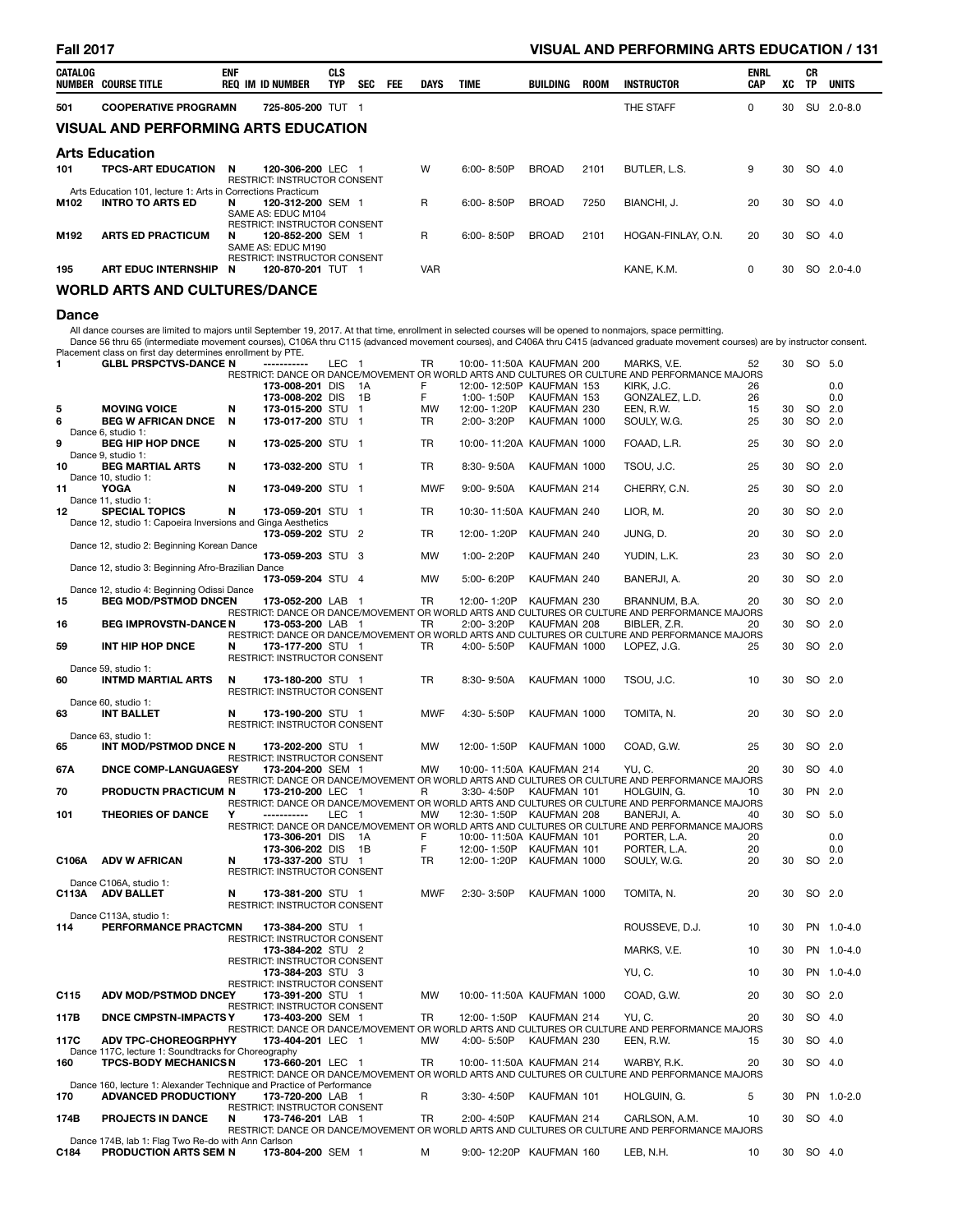# **Fall 2017 VISUAL AND PERFORMING ARTS EDUCATION / 131**

| CATALOG | NUMBER COURSE TITLE                                                                                                                                              | <b>ENF</b> | <b>REQ IM ID NUMBER</b>                                                        | <b>CLS</b><br>TYP | <b>SEC</b> | FEE. | DAYS       | <b>TIME</b>    | BUILDING     | <b>ROOM</b> | <b>INSTRUCTOR</b>  | <b>ENRL</b><br><b>CAP</b> | ХC | СR<br>TP | <b>UNITS</b> |
|---------|------------------------------------------------------------------------------------------------------------------------------------------------------------------|------------|--------------------------------------------------------------------------------|-------------------|------------|------|------------|----------------|--------------|-------------|--------------------|---------------------------|----|----------|--------------|
| 501     | <b>COOPERATIVE PROGRAMN</b>                                                                                                                                      |            | 725-805-200 TUT 1                                                              |                   |            |      |            |                |              |             | THE STAFF          | 0                         | 30 | SU       | $2.0 - 8.0$  |
|         | <b>VISUAL AND PERFORMING ARTS EDUCATION</b>                                                                                                                      |            |                                                                                |                   |            |      |            |                |              |             |                    |                           |    |          |              |
|         | <b>Arts Education</b><br>9<br>W<br>BUTLER, L.S.<br>SO 4.0<br><b>TPCS-ART EDUCATION</b><br>$6:00 - 8:50P$<br><b>BROAD</b><br>2101<br>120-306-200 LEC 1<br>30<br>N |            |                                                                                |                   |            |      |            |                |              |             |                    |                           |    |          |              |
| 101     |                                                                                                                                                                  |            | <b>RESTRICT: INSTRUCTOR CONSENT</b>                                            |                   |            |      |            |                |              |             |                    |                           |    |          |              |
|         | Arts Education 101. lecture 1: Arts in Corrections Practicum                                                                                                     |            |                                                                                |                   |            |      |            |                |              |             |                    |                           |    |          |              |
| M102    | <b>INTRO TO ARTS ED</b>                                                                                                                                          | N          | 120-312-200 SEM 1<br>SAME AS: EDUC M104<br><b>RESTRICT: INSTRUCTOR CONSENT</b> |                   |            |      | R          | $6:00 - 8:50P$ | <b>BROAD</b> | 7250        | BIANCHI, J.        | 20                        | 30 | SO       | 4.0          |
| M192    | <b>ARTS ED PRACTICUM</b>                                                                                                                                         | N.         | 120-852-200 SEM 1<br>SAME AS: EDUC M190<br><b>RESTRICT: INSTRUCTOR CONSENT</b> |                   |            |      | R          | 6:00-8:50P     | <b>BROAD</b> | 2101        | HOGAN-FINLAY, O.N. | 20                        | 30 | SO 4.0   |              |
| 195     | <b>ART EDUC INTERNSHIP</b>                                                                                                                                       | N          | 120-870-201 TUT 1                                                              |                   |            |      | <b>VAR</b> |                |              |             | KANE, K.M.         | 0                         | 30 |          | SO 2.0-4.0   |
|         | <b>WORLD ARTS AND CULTURES/DANCE</b>                                                                                                                             |            |                                                                                |                   |            |      |            |                |              |             |                    |                           |    |          |              |

### **Dance**

All dance courses are limited to majors until September 19, 2017. At that time, enrollment in selected courses will be opened to nonmajors, space permitting.<br>Dance 56 thru 65 (intermediate movement courses), C106A thru C11

| 1     | <b>GLBL PRSPCTVS-DANCE N</b>                                          |   | $\sim$ , .<br>-----------                         | LEC 1 |                | TR         | 10:00-11:50A KAUFMAN 200  |              | MARKS, V.E.                                                                                                     | 52 | 30 | SO 5.0 |            |
|-------|-----------------------------------------------------------------------|---|---------------------------------------------------|-------|----------------|------------|---------------------------|--------------|-----------------------------------------------------------------------------------------------------------------|----|----|--------|------------|
|       |                                                                       |   | 173-008-201 DIS                                   |       | 1A             | F          | 12:00-12:50P KAUFMAN 153  |              | RESTRICT: DANCE OR DANCE/MOVEMENT OR WORLD ARTS AND CULTURES OR CULTURE AND PERFORMANCE MAJORS<br>KIRK, J.C.    | 26 |    |        | 0.0        |
|       |                                                                       |   | 173-008-202 DIS                                   |       | 1B             | F          | 1:00-1:50P                | KAUFMAN 153  | GONZALEZ, L.D.                                                                                                  | 26 |    |        | 0.0        |
| 5     | <b>MOVING VOICE</b>                                                   | N | 173-015-200 STU                                   |       | $\overline{1}$ | MW         | 12:00-1:20P               | KAUFMAN 230  | EEN, R.W.                                                                                                       | 15 | 30 | SO 2.0 |            |
| 6     | <b>BEG W AFRICAN DNCE</b><br>Dance 6, studio 1:                       | N | 173-017-200 STU 1                                 |       |                | TR         | 2:00-3:20P                | KAUFMAN 1000 | SOULY, W.G.                                                                                                     | 25 | 30 | SO 2.0 |            |
| 9     | <b>BEG HIP HOP DNCE</b><br>Dance 9, studio 1:                         | N | 173-025-200 STU 1                                 |       |                | <b>TR</b>  | 10:00-11:20A KAUFMAN 1000 |              | FOAAD, L.R.                                                                                                     | 25 | 30 | SO 2.0 |            |
| 10    | <b>BEG MARTIAL ARTS</b>                                               | N | 173-032-200 STU 1                                 |       |                | <b>TR</b>  | 8:30-9:50A                | KAUFMAN 1000 | TSOU, J.C.                                                                                                      | 25 | 30 | SO 2.0 |            |
| 11    | Dance 10, studio 1:<br><b>YOGA</b>                                    | N | 173-049-200 STU 1                                 |       |                | <b>MWF</b> | $9:00 - 9:50A$            | KAUFMAN 214  | CHERRY, C.N.                                                                                                    | 25 | 30 | SO 2.0 |            |
| 12    | Dance 11, studio 1:<br><b>SPECIAL TOPICS</b>                          | N | 173-059-201 STU 1                                 |       |                | TR         | 10:30-11:50A KAUFMAN 240  |              | LIOR, M.                                                                                                        | 20 | 30 | SO 2.0 |            |
|       | Dance 12, studio 1: Capoeira Inversions and Ginga Aesthetics          |   | 173-059-202 STU 2                                 |       |                | TR         | 12:00-1:20P               | KAUFMAN 240  | JUNG, D.                                                                                                        | 20 | 30 | SO 2.0 |            |
|       | Dance 12, studio 2: Beginning Korean Dance                            |   | 173-059-203 STU 3                                 |       |                | MW         | 1:00-2:20P                | KAUFMAN 240  | YUDIN, L.K.                                                                                                     | 23 | 30 | SO 2.0 |            |
|       | Dance 12, studio 3: Beginning Afro-Brazilian Dance                    |   | 173-059-204 STU 4                                 |       |                | <b>MW</b>  | 5:00-6:20P                | KAUFMAN 240  | BANERJI, A.                                                                                                     | 20 | 30 | SO 2.0 |            |
|       | Dance 12, studio 4: Beginning Odissi Dance                            |   |                                                   |       |                |            |                           |              |                                                                                                                 |    |    |        |            |
| 15    | <b>BEG MOD/PSTMOD DNCEN</b>                                           |   | 173-052-200 LAB 1                                 |       |                | <b>TR</b>  | 12:00-1:20P               | KAUFMAN 230  | BRANNUM, B.A.<br>RESTRICT: DANCE OR DANCE/MOVEMENT OR WORLD ARTS AND CULTURES OR CULTURE AND PERFORMANCE MAJORS | 20 | 30 | SO 2.0 |            |
| 16    | <b>BEG IMPROVSTN-DANCE N</b>                                          |   | 173-053-200 LAB 1                                 |       |                | TR         | 2:00-3:20P                | KAUFMAN 208  | BIBLER, Z.R.<br>RESTRICT: DANCE OR DANCE/MOVEMENT OR WORLD ARTS AND CULTURES OR CULTURE AND PERFORMANCE MAJORS  | 20 | 30 | SO 2.0 |            |
| 59    | INT HIP HOP DNCE                                                      | N | 173-177-200 STU 1<br>RESTRICT: INSTRUCTOR CONSENT |       |                | TR         | 4:00-5:50P                | KAUFMAN 1000 | LOPEZ, J.G.                                                                                                     | 25 | 30 | SO 2.0 |            |
| 60    | Dance 59, studio 1:                                                   | N | 173-180-200 STU 1                                 |       |                | <b>TR</b>  | 8:30-9:50A                | KAUFMAN 1000 | TSOU, J.C.                                                                                                      | 10 | 30 | SO 2.0 |            |
|       | <b>INTMD MARTIAL ARTS</b>                                             |   | RESTRICT: INSTRUCTOR CONSENT                      |       |                |            |                           |              |                                                                                                                 |    |    |        |            |
|       | Dance 60, studio 1:                                                   |   |                                                   |       |                |            |                           |              |                                                                                                                 |    |    |        |            |
| 63    | <b>INT BALLET</b>                                                     | N | 173-190-200 STU 1<br>RESTRICT: INSTRUCTOR CONSENT |       |                | <b>MWF</b> | 4:30-5:50P                | KAUFMAN 1000 | TOMITA, N.                                                                                                      | 20 | 30 | SO 2.0 |            |
|       | Dance 63, studio 1:                                                   |   |                                                   |       |                |            |                           |              |                                                                                                                 |    |    |        |            |
| 65    | INT MOD/PSTMOD DNCE N                                                 |   | 173-202-200 STU 1<br>RESTRICT: INSTRUCTOR CONSENT |       |                | <b>MW</b>  | 12:00-1:50P               | KAUFMAN 1000 | COAD, G.W.                                                                                                      | 25 | 30 | SO 2.0 |            |
| 67A   | <b>DNCE COMP-LANGUAGESY</b>                                           |   | 173-204-200 SEM 1                                 |       |                | <b>MW</b>  | 10:00-11:50A KAUFMAN 214  |              | YU.C.                                                                                                           | 20 | 30 | SO 4.0 |            |
| 70    | <b>PRODUCTN PRACTICUM N</b>                                           |   | 173-210-200 LEC 1                                 |       |                | R          | 3:30-4:50P                | KAUFMAN 101  | RESTRICT: DANCE OR DANCE/MOVEMENT OR WORLD ARTS AND CULTURES OR CULTURE AND PERFORMANCE MAJORS<br>HOLGUIN, G.   | 10 | 30 | PN 2.0 |            |
| 101   | <b>THEORIES OF DANCE</b>                                              | Y | -----------                                       |       |                | MW         | 12:30-1:50P KAUFMAN 208   |              | RESTRICT: DANCE OR DANCE/MOVEMENT OR WORLD ARTS AND CULTURES OR CULTURE AND PERFORMANCE MAJORS                  | 40 | 30 | SO 5.0 |            |
|       |                                                                       |   |                                                   | LEC 1 |                |            |                           |              | BANERJI, A.<br>RESTRICT: DANCE OR DANCE/MOVEMENT OR WORLD ARTS AND CULTURES OR CULTURE AND PERFORMANCE MAJORS   |    |    |        |            |
|       |                                                                       |   | 173-306-201 DIS                                   |       | - 1A           | F          | 10:00-11:50A KAUFMAN 101  |              | PORTER, L.A.                                                                                                    | 20 |    |        | 0.0        |
|       |                                                                       |   | 173-306-202 DIS                                   |       | 1B             | F          | 12:00-1:50P               | KAUFMAN 101  | PORTER, L.A.                                                                                                    | 20 |    |        | 0.0        |
| C106A | <b>ADV W AFRICAN</b>                                                  | N | 173-337-200 STU 1<br>RESTRICT: INSTRUCTOR CONSENT |       |                | TR         | 12:00-1:20P               | KAUFMAN 1000 | SOULY, W.G.                                                                                                     | 20 | 30 | SO 2.0 |            |
|       | Dance C106A, studio 1:                                                |   |                                                   |       |                |            |                           |              |                                                                                                                 |    |    |        |            |
| C113A | <b>ADV BALLET</b>                                                     | N | 173-381-200 STU 1<br>RESTRICT: INSTRUCTOR CONSENT |       |                | <b>MWF</b> | 2:30-3:50P                | KAUFMAN 1000 | TOMITA, N.                                                                                                      | 20 | 30 | SO 2.0 |            |
|       | Dance C113A, studio 1:                                                |   |                                                   |       |                |            |                           |              |                                                                                                                 |    |    |        |            |
| 114   | PERFORMANCE PRACTCMN                                                  |   | 173-384-200 STU 1<br>RESTRICT: INSTRUCTOR CONSENT |       |                |            |                           |              | ROUSSEVE, D.J.                                                                                                  | 10 | 30 |        | PN 1.0-4.0 |
|       |                                                                       |   | 173-384-202 STU 2                                 |       |                |            |                           |              | MARKS, V.E.                                                                                                     | 10 | 30 |        | PN 1.0-4.0 |
|       |                                                                       |   | RESTRICT: INSTRUCTOR CONSENT                      |       |                |            |                           |              |                                                                                                                 |    |    |        |            |
|       |                                                                       |   | 173-384-203 STU 3<br>RESTRICT: INSTRUCTOR CONSENT |       |                |            |                           |              | YU, C.                                                                                                          | 10 | 30 |        | PN 1.0-4.0 |
| C115  | ADV MOD/PSTMOD DNCEY                                                  |   | 173-391-200 STU 1<br>RESTRICT: INSTRUCTOR CONSENT |       |                | <b>MW</b>  | 10:00-11:50A KAUFMAN 1000 |              | COAD, G.W.                                                                                                      | 20 | 30 | SO 2.0 |            |
| 117B  | <b>DNCE CMPSTN-IMPACTS Y</b>                                          |   | 173-403-200 SEM 1                                 |       |                | TR         | 12:00-1:50P               | KAUFMAN 214  | YU.C.                                                                                                           | 20 | 30 | SO 4.0 |            |
| 117C  | <b>ADV TPC-CHOREOGRPHYY</b>                                           |   | 173-404-201 LEC 1                                 |       |                | MW         | 4:00-5:50P                | KAUFMAN 230  | RESTRICT: DANCE OR DANCE/MOVEMENT OR WORLD ARTS AND CULTURES OR CULTURE AND PERFORMANCE MAJORS<br>EEN, R.W.     | 15 | 30 | SO 4.0 |            |
|       | Dance 117C, lecture 1: Soundtracks for Choreography                   |   |                                                   |       |                |            |                           |              |                                                                                                                 |    |    |        |            |
| 160   | <b>TPCS-BODY MECHANICS N</b>                                          |   | 173-660-201 LEC 1                                 |       |                | TR         | 10:00-11:50A KAUFMAN 214  |              | WARBY, R.K.<br>RESTRICT: DANCE OR DANCE/MOVEMENT OR WORLD ARTS AND CULTURES OR CULTURE AND PERFORMANCE MAJORS   | 20 | 30 | SO 4.0 |            |
|       | Dance 160, lecture 1: Alexander Technique and Practice of Performance |   |                                                   |       |                |            |                           |              |                                                                                                                 |    |    |        |            |
| 170   | <b>ADVANCED PRODUCTIONY</b>                                           |   | 173-720-200 LAB 1<br>RESTRICT: INSTRUCTOR CONSENT |       |                | R          | 3:30-4:50P                | KAUFMAN 101  | HOLGUIN, G.                                                                                                     | 5  | 30 |        | PN 1.0-2.0 |
| 174B  | PROJECTS IN DANCE                                                     | N | 173-746-201 LAB 1                                 |       |                | <b>TR</b>  | 2:00-4:50P                | KAUFMAN 214  | CARLSON, A.M.<br>RESTRICT: DANCE OR DANCE/MOVEMENT OR WORLD ARTS AND CULTURES OR CULTURE AND PERFORMANCE MAJORS | 10 | 30 | SO 4.0 |            |
|       | Dance 174B, lab 1: Flag Two Re-do with Ann Carlson                    |   |                                                   |       |                |            |                           |              |                                                                                                                 |    |    |        |            |
| C184  | PRODUCTION ARTS SEM N                                                 |   | 173-804-200 SEM 1                                 |       |                | м          | 9:00-12:20P KAUFMAN 160   |              | LEB, N.H.                                                                                                       | 10 | 30 | SO 4.0 |            |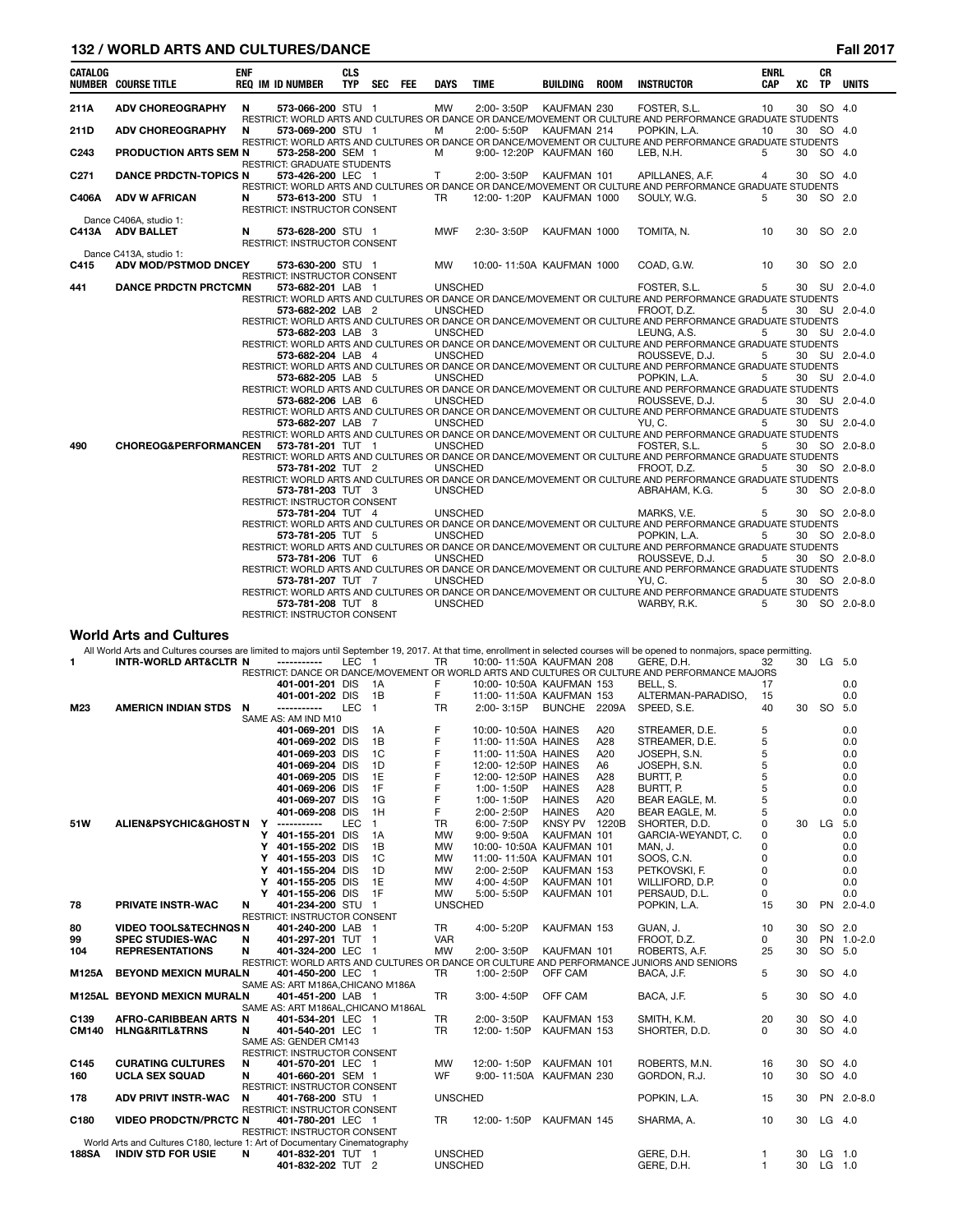# **132 / WORLD ARTS AND CULTURES/DANCE Fall 2017**

| <b>ENF</b><br><b>CLS</b><br><b>CR</b><br><b>ENRL</b><br>SEC FEE<br><b>UNITS</b><br><b>NUMBER COURSE TITLE</b><br><b>REQ IM ID NUMBER</b><br><b>TYP</b><br><b>TIME</b><br><b>INSTRUCTOR</b><br>XC<br><b>DAYS</b><br>BUILDING<br><b>ROOM</b><br><b>CAP</b><br><b>TP</b><br>30 SO 4.0<br><b>ADV CHOREOGRAPHY</b><br>N<br>573-066-200 STU 1<br>MW<br>2:00-3:50P KAUFMAN 230<br>FOSTER, S.L.<br>10<br>RESTRICT: WORLD ARTS AND CULTURES OR DANCE OR DANCE/MOVEMENT OR CULTURE AND PERFORMANCE GRADUATE STUDENTS<br>30 SO 4.0<br><b>ADV CHOREOGRAPHY</b><br>573-069-200 STU 1<br>2:00-5:50P KAUFMAN 214<br>POPKIN, L.A.<br>N<br>м<br>10<br>RESTRICT: WORLD ARTS AND CULTURES OR DANCE OR DANCE/MOVEMENT OR CULTURE AND PERFORMANCE GRADUATE STUDENTS<br>м<br>9:00-12:20P KAUFMAN 160<br>LEB. N.H.<br>30 SO 4.0<br><b>PRODUCTION ARTS SEM N</b><br>573-258-200 SEM 1<br>5<br><b>RESTRICT: GRADUATE STUDENTS</b><br>573-426-200 LEC 1<br>2:00-3:50P<br>SO 4.0<br><b>DANCE PRDCTN-TOPICS N</b><br>T.<br>KAUFMAN 101<br>APILLANES, A.F.<br>30<br>4<br>RESTRICT: WORLD ARTS AND CULTURES OR DANCE OR DANCE/MOVEMENT OR CULTURE AND PERFORMANCE GRADUATE STUDENTS<br><b>ADV W AFRICAN</b><br><b>TR</b><br>12:00-1:20P KAUFMAN 1000<br>SOULY, W.G.<br>30 SO 2.0<br>N<br>573-613-200 STU 1<br>5<br>RESTRICT: INSTRUCTOR CONSENT<br>Dance C406A, studio 1:<br>N<br><b>MWF</b><br>2:30-3:50P<br>10<br>30<br>SO 2.0<br>C413A ADV BALLET<br>573-628-200 STU 1<br>KAUFMAN 1000<br>TOMITA, N.<br>RESTRICT: INSTRUCTOR CONSENT<br>Dance C413A, studio 1:<br><b>ADV MOD/PSTMOD DNCEY</b><br>MW<br>10:00-11:50A KAUFMAN 1000<br>COAD, G.W.<br>10<br>SO 2.0<br>573-630-200 STU 1<br>30<br>RESTRICT: INSTRUCTOR CONSENT<br><b>UNSCHED</b><br>FOSTER, S.L.<br><b>DANCE PRDCTN PRCTCMN</b><br>573-682-201 LAB 1<br>5<br>30 SU 2.0-4.0<br>RESTRICT: WORLD ARTS AND CULTURES OR DANCE OR DANCE/MOVEMENT OR CULTURE AND PERFORMANCE GRADUATE STUDENTS<br>FROOT. D.Z.<br>30 SU 2.0-4.0<br>573-682-202 LAB 2<br><b>UNSCHED</b><br>5<br>RESTRICT: WORLD ARTS AND CULTURES OR DANCE OR DANCE/MOVEMENT OR CULTURE AND PERFORMANCE GRADUATE STUDENTS<br><b>UNSCHED</b><br>LEUNG, A.S.<br>30 SU 2.0-4.0<br>573-682-203 LAB 3<br>5<br>RESTRICT: WORLD ARTS AND CULTURES OR DANCE OR DANCE/MOVEMENT OR CULTURE AND PERFORMANCE GRADUATE STUDENTS<br>ROUSSEVE, D.J.<br>30 SU 2.0-4.0<br><b>UNSCHED</b><br>5<br>573-682-204 LAB 4<br>RESTRICT: WORLD ARTS AND CULTURES OR DANCE OR DANCE/MOVEMENT OR CULTURE AND PERFORMANCE GRADUATE STUDENTS<br><b>UNSCHED</b><br>POPKIN, L.A.<br>30 SU 2.0-4.0<br>573-682-205 LAB 5<br>5<br>RESTRICT: WORLD ARTS AND CULTURES OR DANCE OR DANCE/MOVEMENT OR CULTURE AND PERFORMANCE GRADUATE STUDENTS<br><b>UNSCHED</b><br>ROUSSEVE, D.J.<br>30 SU 2.0-4.0<br>5<br>573-682-206 LAB 6<br>RESTRICT: WORLD ARTS AND CULTURES OR DANCE OR DANCE/MOVEMENT OR CULTURE AND PERFORMANCE GRADUATE STUDENTS<br><b>UNSCHED</b><br>YU.C.<br>30 SU 2.0-4.0<br>573-682-207 LAB 7<br>5<br>RESTRICT: WORLD ARTS AND CULTURES OR DANCE OR DANCE/MOVEMENT OR CULTURE AND PERFORMANCE GRADUATE STUDENTS<br><b>CHOREOG&amp;PERFORMANCEN</b><br>573-781-201 TUT 1<br><b>UNSCHED</b><br>FOSTER, S.L.<br>5<br>30 SO 2.0-8.0<br>RESTRICT: WORLD ARTS AND CULTURES OR DANCE OR DANCE/MOVEMENT OR CULTURE AND PERFORMANCE GRADUATE STUDENTS<br><b>UNSCHED</b><br>FROOT. D.Z.<br>573-781-202 TUT 2<br>5<br>30 SO 2.0-8.0<br>RESTRICT: WORLD ARTS AND CULTURES OR DANCE OR DANCE/MOVEMENT OR CULTURE AND PERFORMANCE GRADUATE STUDENTS<br>573-781-203 TUT 3<br><b>UNSCHED</b><br>ABRAHAM, K.G.<br>5<br>30 SO 2.0-8.0<br><b>RESTRICT: INSTRUCTOR CONSENT</b><br><b>UNSCHED</b><br>MARKS, V.E.<br>30 SO 2.0-8.0<br>573-781-204 TUT 4<br>5<br>RESTRICT: WORLD ARTS AND CULTURES OR DANCE OR DANCE/MOVEMENT OR CULTURE AND PERFORMANCE GRADUATE STUDENTS<br>POPKIN, L.A.<br><b>UNSCHED</b><br>5<br>30 SO 2.0-8.0<br>573-781-205 TUT 5<br>RESTRICT: WORLD ARTS AND CULTURES OR DANCE OR DANCE/MOVEMENT OR CULTURE AND PERFORMANCE GRADUATE STUDENTS<br><b>UNSCHED</b><br>ROUSSEVE, D.J.<br>30 SO 2.0-8.0<br>573-781-206 TUT 6<br>5<br>RESTRICT: WORLD ARTS AND CULTURES OR DANCE OR DANCE/MOVEMENT OR CULTURE AND PERFORMANCE GRADUATE STUDENTS<br><b>UNSCHED</b><br>YU.C.<br>573-781-207 TUT 7<br>5<br>30 SO 2.0-8.0<br>RESTRICT: WORLD ARTS AND CULTURES OR DANCE OR DANCE/MOVEMENT OR CULTURE AND PERFORMANCE GRADUATE STUDENTS<br>573-781-208 TUT 8<br>30 SO 2.0-8.0 |                  |  |  |  |                |  |             |   |  |  |
|-----------------------------------------------------------------------------------------------------------------------------------------------------------------------------------------------------------------------------------------------------------------------------------------------------------------------------------------------------------------------------------------------------------------------------------------------------------------------------------------------------------------------------------------------------------------------------------------------------------------------------------------------------------------------------------------------------------------------------------------------------------------------------------------------------------------------------------------------------------------------------------------------------------------------------------------------------------------------------------------------------------------------------------------------------------------------------------------------------------------------------------------------------------------------------------------------------------------------------------------------------------------------------------------------------------------------------------------------------------------------------------------------------------------------------------------------------------------------------------------------------------------------------------------------------------------------------------------------------------------------------------------------------------------------------------------------------------------------------------------------------------------------------------------------------------------------------------------------------------------------------------------------------------------------------------------------------------------------------------------------------------------------------------------------------------------------------------------------------------------------------------------------------------------------------------------------------------------------------------------------------------------------------------------------------------------------------------------------------------------------------------------------------------------------------------------------------------------------------------------------------------------------------------------------------------------------------------------------------------------------------------------------------------------------------------------------------------------------------------------------------------------------------------------------------------------------------------------------------------------------------------------------------------------------------------------------------------------------------------------------------------------------------------------------------------------------------------------------------------------------------------------------------------------------------------------------------------------------------------------------------------------------------------------------------------------------------------------------------------------------------------------------------------------------------------------------------------------------------------------------------------------------------------------------------------------------------------------------------------------------------------------------------------------------------------------------------------------------------------------------------------------------------------------------------------------------------------------------------------------------------------------------------------------------------------------------------------------------------------------------------------------------------------------------------------------------------------------------------------------------------------------------------------------------------------------------------------------------------------------------------------------------------------------------------------------------------------------------------------------------------------------------------------------------------------|------------------|--|--|--|----------------|--|-------------|---|--|--|
|                                                                                                                                                                                                                                                                                                                                                                                                                                                                                                                                                                                                                                                                                                                                                                                                                                                                                                                                                                                                                                                                                                                                                                                                                                                                                                                                                                                                                                                                                                                                                                                                                                                                                                                                                                                                                                                                                                                                                                                                                                                                                                                                                                                                                                                                                                                                                                                                                                                                                                                                                                                                                                                                                                                                                                                                                                                                                                                                                                                                                                                                                                                                                                                                                                                                                                                                                                                                                                                                                                                                                                                                                                                                                                                                                                                                                                                                                                                                                                                                                                                                                                                                                                                                                                                                                                                                                                                                                                   | <b>CATALOG</b>   |  |  |  |                |  |             |   |  |  |
|                                                                                                                                                                                                                                                                                                                                                                                                                                                                                                                                                                                                                                                                                                                                                                                                                                                                                                                                                                                                                                                                                                                                                                                                                                                                                                                                                                                                                                                                                                                                                                                                                                                                                                                                                                                                                                                                                                                                                                                                                                                                                                                                                                                                                                                                                                                                                                                                                                                                                                                                                                                                                                                                                                                                                                                                                                                                                                                                                                                                                                                                                                                                                                                                                                                                                                                                                                                                                                                                                                                                                                                                                                                                                                                                                                                                                                                                                                                                                                                                                                                                                                                                                                                                                                                                                                                                                                                                                                   | 211A             |  |  |  |                |  |             |   |  |  |
|                                                                                                                                                                                                                                                                                                                                                                                                                                                                                                                                                                                                                                                                                                                                                                                                                                                                                                                                                                                                                                                                                                                                                                                                                                                                                                                                                                                                                                                                                                                                                                                                                                                                                                                                                                                                                                                                                                                                                                                                                                                                                                                                                                                                                                                                                                                                                                                                                                                                                                                                                                                                                                                                                                                                                                                                                                                                                                                                                                                                                                                                                                                                                                                                                                                                                                                                                                                                                                                                                                                                                                                                                                                                                                                                                                                                                                                                                                                                                                                                                                                                                                                                                                                                                                                                                                                                                                                                                                   |                  |  |  |  |                |  |             |   |  |  |
|                                                                                                                                                                                                                                                                                                                                                                                                                                                                                                                                                                                                                                                                                                                                                                                                                                                                                                                                                                                                                                                                                                                                                                                                                                                                                                                                                                                                                                                                                                                                                                                                                                                                                                                                                                                                                                                                                                                                                                                                                                                                                                                                                                                                                                                                                                                                                                                                                                                                                                                                                                                                                                                                                                                                                                                                                                                                                                                                                                                                                                                                                                                                                                                                                                                                                                                                                                                                                                                                                                                                                                                                                                                                                                                                                                                                                                                                                                                                                                                                                                                                                                                                                                                                                                                                                                                                                                                                                                   | 211D             |  |  |  |                |  |             |   |  |  |
|                                                                                                                                                                                                                                                                                                                                                                                                                                                                                                                                                                                                                                                                                                                                                                                                                                                                                                                                                                                                                                                                                                                                                                                                                                                                                                                                                                                                                                                                                                                                                                                                                                                                                                                                                                                                                                                                                                                                                                                                                                                                                                                                                                                                                                                                                                                                                                                                                                                                                                                                                                                                                                                                                                                                                                                                                                                                                                                                                                                                                                                                                                                                                                                                                                                                                                                                                                                                                                                                                                                                                                                                                                                                                                                                                                                                                                                                                                                                                                                                                                                                                                                                                                                                                                                                                                                                                                                                                                   |                  |  |  |  |                |  |             |   |  |  |
|                                                                                                                                                                                                                                                                                                                                                                                                                                                                                                                                                                                                                                                                                                                                                                                                                                                                                                                                                                                                                                                                                                                                                                                                                                                                                                                                                                                                                                                                                                                                                                                                                                                                                                                                                                                                                                                                                                                                                                                                                                                                                                                                                                                                                                                                                                                                                                                                                                                                                                                                                                                                                                                                                                                                                                                                                                                                                                                                                                                                                                                                                                                                                                                                                                                                                                                                                                                                                                                                                                                                                                                                                                                                                                                                                                                                                                                                                                                                                                                                                                                                                                                                                                                                                                                                                                                                                                                                                                   | C <sub>243</sub> |  |  |  |                |  |             |   |  |  |
|                                                                                                                                                                                                                                                                                                                                                                                                                                                                                                                                                                                                                                                                                                                                                                                                                                                                                                                                                                                                                                                                                                                                                                                                                                                                                                                                                                                                                                                                                                                                                                                                                                                                                                                                                                                                                                                                                                                                                                                                                                                                                                                                                                                                                                                                                                                                                                                                                                                                                                                                                                                                                                                                                                                                                                                                                                                                                                                                                                                                                                                                                                                                                                                                                                                                                                                                                                                                                                                                                                                                                                                                                                                                                                                                                                                                                                                                                                                                                                                                                                                                                                                                                                                                                                                                                                                                                                                                                                   |                  |  |  |  |                |  |             |   |  |  |
|                                                                                                                                                                                                                                                                                                                                                                                                                                                                                                                                                                                                                                                                                                                                                                                                                                                                                                                                                                                                                                                                                                                                                                                                                                                                                                                                                                                                                                                                                                                                                                                                                                                                                                                                                                                                                                                                                                                                                                                                                                                                                                                                                                                                                                                                                                                                                                                                                                                                                                                                                                                                                                                                                                                                                                                                                                                                                                                                                                                                                                                                                                                                                                                                                                                                                                                                                                                                                                                                                                                                                                                                                                                                                                                                                                                                                                                                                                                                                                                                                                                                                                                                                                                                                                                                                                                                                                                                                                   | C <sub>271</sub> |  |  |  |                |  |             |   |  |  |
|                                                                                                                                                                                                                                                                                                                                                                                                                                                                                                                                                                                                                                                                                                                                                                                                                                                                                                                                                                                                                                                                                                                                                                                                                                                                                                                                                                                                                                                                                                                                                                                                                                                                                                                                                                                                                                                                                                                                                                                                                                                                                                                                                                                                                                                                                                                                                                                                                                                                                                                                                                                                                                                                                                                                                                                                                                                                                                                                                                                                                                                                                                                                                                                                                                                                                                                                                                                                                                                                                                                                                                                                                                                                                                                                                                                                                                                                                                                                                                                                                                                                                                                                                                                                                                                                                                                                                                                                                                   |                  |  |  |  |                |  |             |   |  |  |
|                                                                                                                                                                                                                                                                                                                                                                                                                                                                                                                                                                                                                                                                                                                                                                                                                                                                                                                                                                                                                                                                                                                                                                                                                                                                                                                                                                                                                                                                                                                                                                                                                                                                                                                                                                                                                                                                                                                                                                                                                                                                                                                                                                                                                                                                                                                                                                                                                                                                                                                                                                                                                                                                                                                                                                                                                                                                                                                                                                                                                                                                                                                                                                                                                                                                                                                                                                                                                                                                                                                                                                                                                                                                                                                                                                                                                                                                                                                                                                                                                                                                                                                                                                                                                                                                                                                                                                                                                                   | C406A            |  |  |  |                |  |             |   |  |  |
|                                                                                                                                                                                                                                                                                                                                                                                                                                                                                                                                                                                                                                                                                                                                                                                                                                                                                                                                                                                                                                                                                                                                                                                                                                                                                                                                                                                                                                                                                                                                                                                                                                                                                                                                                                                                                                                                                                                                                                                                                                                                                                                                                                                                                                                                                                                                                                                                                                                                                                                                                                                                                                                                                                                                                                                                                                                                                                                                                                                                                                                                                                                                                                                                                                                                                                                                                                                                                                                                                                                                                                                                                                                                                                                                                                                                                                                                                                                                                                                                                                                                                                                                                                                                                                                                                                                                                                                                                                   |                  |  |  |  |                |  |             |   |  |  |
|                                                                                                                                                                                                                                                                                                                                                                                                                                                                                                                                                                                                                                                                                                                                                                                                                                                                                                                                                                                                                                                                                                                                                                                                                                                                                                                                                                                                                                                                                                                                                                                                                                                                                                                                                                                                                                                                                                                                                                                                                                                                                                                                                                                                                                                                                                                                                                                                                                                                                                                                                                                                                                                                                                                                                                                                                                                                                                                                                                                                                                                                                                                                                                                                                                                                                                                                                                                                                                                                                                                                                                                                                                                                                                                                                                                                                                                                                                                                                                                                                                                                                                                                                                                                                                                                                                                                                                                                                                   |                  |  |  |  |                |  |             |   |  |  |
|                                                                                                                                                                                                                                                                                                                                                                                                                                                                                                                                                                                                                                                                                                                                                                                                                                                                                                                                                                                                                                                                                                                                                                                                                                                                                                                                                                                                                                                                                                                                                                                                                                                                                                                                                                                                                                                                                                                                                                                                                                                                                                                                                                                                                                                                                                                                                                                                                                                                                                                                                                                                                                                                                                                                                                                                                                                                                                                                                                                                                                                                                                                                                                                                                                                                                                                                                                                                                                                                                                                                                                                                                                                                                                                                                                                                                                                                                                                                                                                                                                                                                                                                                                                                                                                                                                                                                                                                                                   |                  |  |  |  |                |  |             |   |  |  |
|                                                                                                                                                                                                                                                                                                                                                                                                                                                                                                                                                                                                                                                                                                                                                                                                                                                                                                                                                                                                                                                                                                                                                                                                                                                                                                                                                                                                                                                                                                                                                                                                                                                                                                                                                                                                                                                                                                                                                                                                                                                                                                                                                                                                                                                                                                                                                                                                                                                                                                                                                                                                                                                                                                                                                                                                                                                                                                                                                                                                                                                                                                                                                                                                                                                                                                                                                                                                                                                                                                                                                                                                                                                                                                                                                                                                                                                                                                                                                                                                                                                                                                                                                                                                                                                                                                                                                                                                                                   |                  |  |  |  |                |  |             |   |  |  |
|                                                                                                                                                                                                                                                                                                                                                                                                                                                                                                                                                                                                                                                                                                                                                                                                                                                                                                                                                                                                                                                                                                                                                                                                                                                                                                                                                                                                                                                                                                                                                                                                                                                                                                                                                                                                                                                                                                                                                                                                                                                                                                                                                                                                                                                                                                                                                                                                                                                                                                                                                                                                                                                                                                                                                                                                                                                                                                                                                                                                                                                                                                                                                                                                                                                                                                                                                                                                                                                                                                                                                                                                                                                                                                                                                                                                                                                                                                                                                                                                                                                                                                                                                                                                                                                                                                                                                                                                                                   |                  |  |  |  |                |  |             |   |  |  |
|                                                                                                                                                                                                                                                                                                                                                                                                                                                                                                                                                                                                                                                                                                                                                                                                                                                                                                                                                                                                                                                                                                                                                                                                                                                                                                                                                                                                                                                                                                                                                                                                                                                                                                                                                                                                                                                                                                                                                                                                                                                                                                                                                                                                                                                                                                                                                                                                                                                                                                                                                                                                                                                                                                                                                                                                                                                                                                                                                                                                                                                                                                                                                                                                                                                                                                                                                                                                                                                                                                                                                                                                                                                                                                                                                                                                                                                                                                                                                                                                                                                                                                                                                                                                                                                                                                                                                                                                                                   | C415             |  |  |  |                |  |             |   |  |  |
|                                                                                                                                                                                                                                                                                                                                                                                                                                                                                                                                                                                                                                                                                                                                                                                                                                                                                                                                                                                                                                                                                                                                                                                                                                                                                                                                                                                                                                                                                                                                                                                                                                                                                                                                                                                                                                                                                                                                                                                                                                                                                                                                                                                                                                                                                                                                                                                                                                                                                                                                                                                                                                                                                                                                                                                                                                                                                                                                                                                                                                                                                                                                                                                                                                                                                                                                                                                                                                                                                                                                                                                                                                                                                                                                                                                                                                                                                                                                                                                                                                                                                                                                                                                                                                                                                                                                                                                                                                   |                  |  |  |  |                |  |             |   |  |  |
|                                                                                                                                                                                                                                                                                                                                                                                                                                                                                                                                                                                                                                                                                                                                                                                                                                                                                                                                                                                                                                                                                                                                                                                                                                                                                                                                                                                                                                                                                                                                                                                                                                                                                                                                                                                                                                                                                                                                                                                                                                                                                                                                                                                                                                                                                                                                                                                                                                                                                                                                                                                                                                                                                                                                                                                                                                                                                                                                                                                                                                                                                                                                                                                                                                                                                                                                                                                                                                                                                                                                                                                                                                                                                                                                                                                                                                                                                                                                                                                                                                                                                                                                                                                                                                                                                                                                                                                                                                   | 441              |  |  |  |                |  |             |   |  |  |
|                                                                                                                                                                                                                                                                                                                                                                                                                                                                                                                                                                                                                                                                                                                                                                                                                                                                                                                                                                                                                                                                                                                                                                                                                                                                                                                                                                                                                                                                                                                                                                                                                                                                                                                                                                                                                                                                                                                                                                                                                                                                                                                                                                                                                                                                                                                                                                                                                                                                                                                                                                                                                                                                                                                                                                                                                                                                                                                                                                                                                                                                                                                                                                                                                                                                                                                                                                                                                                                                                                                                                                                                                                                                                                                                                                                                                                                                                                                                                                                                                                                                                                                                                                                                                                                                                                                                                                                                                                   |                  |  |  |  |                |  |             |   |  |  |
|                                                                                                                                                                                                                                                                                                                                                                                                                                                                                                                                                                                                                                                                                                                                                                                                                                                                                                                                                                                                                                                                                                                                                                                                                                                                                                                                                                                                                                                                                                                                                                                                                                                                                                                                                                                                                                                                                                                                                                                                                                                                                                                                                                                                                                                                                                                                                                                                                                                                                                                                                                                                                                                                                                                                                                                                                                                                                                                                                                                                                                                                                                                                                                                                                                                                                                                                                                                                                                                                                                                                                                                                                                                                                                                                                                                                                                                                                                                                                                                                                                                                                                                                                                                                                                                                                                                                                                                                                                   |                  |  |  |  |                |  |             |   |  |  |
|                                                                                                                                                                                                                                                                                                                                                                                                                                                                                                                                                                                                                                                                                                                                                                                                                                                                                                                                                                                                                                                                                                                                                                                                                                                                                                                                                                                                                                                                                                                                                                                                                                                                                                                                                                                                                                                                                                                                                                                                                                                                                                                                                                                                                                                                                                                                                                                                                                                                                                                                                                                                                                                                                                                                                                                                                                                                                                                                                                                                                                                                                                                                                                                                                                                                                                                                                                                                                                                                                                                                                                                                                                                                                                                                                                                                                                                                                                                                                                                                                                                                                                                                                                                                                                                                                                                                                                                                                                   |                  |  |  |  |                |  |             |   |  |  |
|                                                                                                                                                                                                                                                                                                                                                                                                                                                                                                                                                                                                                                                                                                                                                                                                                                                                                                                                                                                                                                                                                                                                                                                                                                                                                                                                                                                                                                                                                                                                                                                                                                                                                                                                                                                                                                                                                                                                                                                                                                                                                                                                                                                                                                                                                                                                                                                                                                                                                                                                                                                                                                                                                                                                                                                                                                                                                                                                                                                                                                                                                                                                                                                                                                                                                                                                                                                                                                                                                                                                                                                                                                                                                                                                                                                                                                                                                                                                                                                                                                                                                                                                                                                                                                                                                                                                                                                                                                   |                  |  |  |  |                |  |             |   |  |  |
|                                                                                                                                                                                                                                                                                                                                                                                                                                                                                                                                                                                                                                                                                                                                                                                                                                                                                                                                                                                                                                                                                                                                                                                                                                                                                                                                                                                                                                                                                                                                                                                                                                                                                                                                                                                                                                                                                                                                                                                                                                                                                                                                                                                                                                                                                                                                                                                                                                                                                                                                                                                                                                                                                                                                                                                                                                                                                                                                                                                                                                                                                                                                                                                                                                                                                                                                                                                                                                                                                                                                                                                                                                                                                                                                                                                                                                                                                                                                                                                                                                                                                                                                                                                                                                                                                                                                                                                                                                   |                  |  |  |  |                |  |             |   |  |  |
|                                                                                                                                                                                                                                                                                                                                                                                                                                                                                                                                                                                                                                                                                                                                                                                                                                                                                                                                                                                                                                                                                                                                                                                                                                                                                                                                                                                                                                                                                                                                                                                                                                                                                                                                                                                                                                                                                                                                                                                                                                                                                                                                                                                                                                                                                                                                                                                                                                                                                                                                                                                                                                                                                                                                                                                                                                                                                                                                                                                                                                                                                                                                                                                                                                                                                                                                                                                                                                                                                                                                                                                                                                                                                                                                                                                                                                                                                                                                                                                                                                                                                                                                                                                                                                                                                                                                                                                                                                   |                  |  |  |  |                |  |             |   |  |  |
|                                                                                                                                                                                                                                                                                                                                                                                                                                                                                                                                                                                                                                                                                                                                                                                                                                                                                                                                                                                                                                                                                                                                                                                                                                                                                                                                                                                                                                                                                                                                                                                                                                                                                                                                                                                                                                                                                                                                                                                                                                                                                                                                                                                                                                                                                                                                                                                                                                                                                                                                                                                                                                                                                                                                                                                                                                                                                                                                                                                                                                                                                                                                                                                                                                                                                                                                                                                                                                                                                                                                                                                                                                                                                                                                                                                                                                                                                                                                                                                                                                                                                                                                                                                                                                                                                                                                                                                                                                   |                  |  |  |  |                |  |             |   |  |  |
|                                                                                                                                                                                                                                                                                                                                                                                                                                                                                                                                                                                                                                                                                                                                                                                                                                                                                                                                                                                                                                                                                                                                                                                                                                                                                                                                                                                                                                                                                                                                                                                                                                                                                                                                                                                                                                                                                                                                                                                                                                                                                                                                                                                                                                                                                                                                                                                                                                                                                                                                                                                                                                                                                                                                                                                                                                                                                                                                                                                                                                                                                                                                                                                                                                                                                                                                                                                                                                                                                                                                                                                                                                                                                                                                                                                                                                                                                                                                                                                                                                                                                                                                                                                                                                                                                                                                                                                                                                   |                  |  |  |  |                |  |             |   |  |  |
|                                                                                                                                                                                                                                                                                                                                                                                                                                                                                                                                                                                                                                                                                                                                                                                                                                                                                                                                                                                                                                                                                                                                                                                                                                                                                                                                                                                                                                                                                                                                                                                                                                                                                                                                                                                                                                                                                                                                                                                                                                                                                                                                                                                                                                                                                                                                                                                                                                                                                                                                                                                                                                                                                                                                                                                                                                                                                                                                                                                                                                                                                                                                                                                                                                                                                                                                                                                                                                                                                                                                                                                                                                                                                                                                                                                                                                                                                                                                                                                                                                                                                                                                                                                                                                                                                                                                                                                                                                   |                  |  |  |  |                |  |             |   |  |  |
|                                                                                                                                                                                                                                                                                                                                                                                                                                                                                                                                                                                                                                                                                                                                                                                                                                                                                                                                                                                                                                                                                                                                                                                                                                                                                                                                                                                                                                                                                                                                                                                                                                                                                                                                                                                                                                                                                                                                                                                                                                                                                                                                                                                                                                                                                                                                                                                                                                                                                                                                                                                                                                                                                                                                                                                                                                                                                                                                                                                                                                                                                                                                                                                                                                                                                                                                                                                                                                                                                                                                                                                                                                                                                                                                                                                                                                                                                                                                                                                                                                                                                                                                                                                                                                                                                                                                                                                                                                   |                  |  |  |  |                |  |             |   |  |  |
|                                                                                                                                                                                                                                                                                                                                                                                                                                                                                                                                                                                                                                                                                                                                                                                                                                                                                                                                                                                                                                                                                                                                                                                                                                                                                                                                                                                                                                                                                                                                                                                                                                                                                                                                                                                                                                                                                                                                                                                                                                                                                                                                                                                                                                                                                                                                                                                                                                                                                                                                                                                                                                                                                                                                                                                                                                                                                                                                                                                                                                                                                                                                                                                                                                                                                                                                                                                                                                                                                                                                                                                                                                                                                                                                                                                                                                                                                                                                                                                                                                                                                                                                                                                                                                                                                                                                                                                                                                   |                  |  |  |  |                |  |             |   |  |  |
|                                                                                                                                                                                                                                                                                                                                                                                                                                                                                                                                                                                                                                                                                                                                                                                                                                                                                                                                                                                                                                                                                                                                                                                                                                                                                                                                                                                                                                                                                                                                                                                                                                                                                                                                                                                                                                                                                                                                                                                                                                                                                                                                                                                                                                                                                                                                                                                                                                                                                                                                                                                                                                                                                                                                                                                                                                                                                                                                                                                                                                                                                                                                                                                                                                                                                                                                                                                                                                                                                                                                                                                                                                                                                                                                                                                                                                                                                                                                                                                                                                                                                                                                                                                                                                                                                                                                                                                                                                   |                  |  |  |  |                |  |             |   |  |  |
|                                                                                                                                                                                                                                                                                                                                                                                                                                                                                                                                                                                                                                                                                                                                                                                                                                                                                                                                                                                                                                                                                                                                                                                                                                                                                                                                                                                                                                                                                                                                                                                                                                                                                                                                                                                                                                                                                                                                                                                                                                                                                                                                                                                                                                                                                                                                                                                                                                                                                                                                                                                                                                                                                                                                                                                                                                                                                                                                                                                                                                                                                                                                                                                                                                                                                                                                                                                                                                                                                                                                                                                                                                                                                                                                                                                                                                                                                                                                                                                                                                                                                                                                                                                                                                                                                                                                                                                                                                   |                  |  |  |  |                |  |             |   |  |  |
|                                                                                                                                                                                                                                                                                                                                                                                                                                                                                                                                                                                                                                                                                                                                                                                                                                                                                                                                                                                                                                                                                                                                                                                                                                                                                                                                                                                                                                                                                                                                                                                                                                                                                                                                                                                                                                                                                                                                                                                                                                                                                                                                                                                                                                                                                                                                                                                                                                                                                                                                                                                                                                                                                                                                                                                                                                                                                                                                                                                                                                                                                                                                                                                                                                                                                                                                                                                                                                                                                                                                                                                                                                                                                                                                                                                                                                                                                                                                                                                                                                                                                                                                                                                                                                                                                                                                                                                                                                   | 490              |  |  |  |                |  |             |   |  |  |
|                                                                                                                                                                                                                                                                                                                                                                                                                                                                                                                                                                                                                                                                                                                                                                                                                                                                                                                                                                                                                                                                                                                                                                                                                                                                                                                                                                                                                                                                                                                                                                                                                                                                                                                                                                                                                                                                                                                                                                                                                                                                                                                                                                                                                                                                                                                                                                                                                                                                                                                                                                                                                                                                                                                                                                                                                                                                                                                                                                                                                                                                                                                                                                                                                                                                                                                                                                                                                                                                                                                                                                                                                                                                                                                                                                                                                                                                                                                                                                                                                                                                                                                                                                                                                                                                                                                                                                                                                                   |                  |  |  |  |                |  |             |   |  |  |
|                                                                                                                                                                                                                                                                                                                                                                                                                                                                                                                                                                                                                                                                                                                                                                                                                                                                                                                                                                                                                                                                                                                                                                                                                                                                                                                                                                                                                                                                                                                                                                                                                                                                                                                                                                                                                                                                                                                                                                                                                                                                                                                                                                                                                                                                                                                                                                                                                                                                                                                                                                                                                                                                                                                                                                                                                                                                                                                                                                                                                                                                                                                                                                                                                                                                                                                                                                                                                                                                                                                                                                                                                                                                                                                                                                                                                                                                                                                                                                                                                                                                                                                                                                                                                                                                                                                                                                                                                                   |                  |  |  |  |                |  |             |   |  |  |
|                                                                                                                                                                                                                                                                                                                                                                                                                                                                                                                                                                                                                                                                                                                                                                                                                                                                                                                                                                                                                                                                                                                                                                                                                                                                                                                                                                                                                                                                                                                                                                                                                                                                                                                                                                                                                                                                                                                                                                                                                                                                                                                                                                                                                                                                                                                                                                                                                                                                                                                                                                                                                                                                                                                                                                                                                                                                                                                                                                                                                                                                                                                                                                                                                                                                                                                                                                                                                                                                                                                                                                                                                                                                                                                                                                                                                                                                                                                                                                                                                                                                                                                                                                                                                                                                                                                                                                                                                                   |                  |  |  |  |                |  |             |   |  |  |
|                                                                                                                                                                                                                                                                                                                                                                                                                                                                                                                                                                                                                                                                                                                                                                                                                                                                                                                                                                                                                                                                                                                                                                                                                                                                                                                                                                                                                                                                                                                                                                                                                                                                                                                                                                                                                                                                                                                                                                                                                                                                                                                                                                                                                                                                                                                                                                                                                                                                                                                                                                                                                                                                                                                                                                                                                                                                                                                                                                                                                                                                                                                                                                                                                                                                                                                                                                                                                                                                                                                                                                                                                                                                                                                                                                                                                                                                                                                                                                                                                                                                                                                                                                                                                                                                                                                                                                                                                                   |                  |  |  |  |                |  |             |   |  |  |
|                                                                                                                                                                                                                                                                                                                                                                                                                                                                                                                                                                                                                                                                                                                                                                                                                                                                                                                                                                                                                                                                                                                                                                                                                                                                                                                                                                                                                                                                                                                                                                                                                                                                                                                                                                                                                                                                                                                                                                                                                                                                                                                                                                                                                                                                                                                                                                                                                                                                                                                                                                                                                                                                                                                                                                                                                                                                                                                                                                                                                                                                                                                                                                                                                                                                                                                                                                                                                                                                                                                                                                                                                                                                                                                                                                                                                                                                                                                                                                                                                                                                                                                                                                                                                                                                                                                                                                                                                                   |                  |  |  |  |                |  |             |   |  |  |
|                                                                                                                                                                                                                                                                                                                                                                                                                                                                                                                                                                                                                                                                                                                                                                                                                                                                                                                                                                                                                                                                                                                                                                                                                                                                                                                                                                                                                                                                                                                                                                                                                                                                                                                                                                                                                                                                                                                                                                                                                                                                                                                                                                                                                                                                                                                                                                                                                                                                                                                                                                                                                                                                                                                                                                                                                                                                                                                                                                                                                                                                                                                                                                                                                                                                                                                                                                                                                                                                                                                                                                                                                                                                                                                                                                                                                                                                                                                                                                                                                                                                                                                                                                                                                                                                                                                                                                                                                                   |                  |  |  |  |                |  |             |   |  |  |
|                                                                                                                                                                                                                                                                                                                                                                                                                                                                                                                                                                                                                                                                                                                                                                                                                                                                                                                                                                                                                                                                                                                                                                                                                                                                                                                                                                                                                                                                                                                                                                                                                                                                                                                                                                                                                                                                                                                                                                                                                                                                                                                                                                                                                                                                                                                                                                                                                                                                                                                                                                                                                                                                                                                                                                                                                                                                                                                                                                                                                                                                                                                                                                                                                                                                                                                                                                                                                                                                                                                                                                                                                                                                                                                                                                                                                                                                                                                                                                                                                                                                                                                                                                                                                                                                                                                                                                                                                                   |                  |  |  |  |                |  |             |   |  |  |
|                                                                                                                                                                                                                                                                                                                                                                                                                                                                                                                                                                                                                                                                                                                                                                                                                                                                                                                                                                                                                                                                                                                                                                                                                                                                                                                                                                                                                                                                                                                                                                                                                                                                                                                                                                                                                                                                                                                                                                                                                                                                                                                                                                                                                                                                                                                                                                                                                                                                                                                                                                                                                                                                                                                                                                                                                                                                                                                                                                                                                                                                                                                                                                                                                                                                                                                                                                                                                                                                                                                                                                                                                                                                                                                                                                                                                                                                                                                                                                                                                                                                                                                                                                                                                                                                                                                                                                                                                                   |                  |  |  |  |                |  |             |   |  |  |
|                                                                                                                                                                                                                                                                                                                                                                                                                                                                                                                                                                                                                                                                                                                                                                                                                                                                                                                                                                                                                                                                                                                                                                                                                                                                                                                                                                                                                                                                                                                                                                                                                                                                                                                                                                                                                                                                                                                                                                                                                                                                                                                                                                                                                                                                                                                                                                                                                                                                                                                                                                                                                                                                                                                                                                                                                                                                                                                                                                                                                                                                                                                                                                                                                                                                                                                                                                                                                                                                                                                                                                                                                                                                                                                                                                                                                                                                                                                                                                                                                                                                                                                                                                                                                                                                                                                                                                                                                                   |                  |  |  |  |                |  |             |   |  |  |
|                                                                                                                                                                                                                                                                                                                                                                                                                                                                                                                                                                                                                                                                                                                                                                                                                                                                                                                                                                                                                                                                                                                                                                                                                                                                                                                                                                                                                                                                                                                                                                                                                                                                                                                                                                                                                                                                                                                                                                                                                                                                                                                                                                                                                                                                                                                                                                                                                                                                                                                                                                                                                                                                                                                                                                                                                                                                                                                                                                                                                                                                                                                                                                                                                                                                                                                                                                                                                                                                                                                                                                                                                                                                                                                                                                                                                                                                                                                                                                                                                                                                                                                                                                                                                                                                                                                                                                                                                                   |                  |  |  |  |                |  |             |   |  |  |
|                                                                                                                                                                                                                                                                                                                                                                                                                                                                                                                                                                                                                                                                                                                                                                                                                                                                                                                                                                                                                                                                                                                                                                                                                                                                                                                                                                                                                                                                                                                                                                                                                                                                                                                                                                                                                                                                                                                                                                                                                                                                                                                                                                                                                                                                                                                                                                                                                                                                                                                                                                                                                                                                                                                                                                                                                                                                                                                                                                                                                                                                                                                                                                                                                                                                                                                                                                                                                                                                                                                                                                                                                                                                                                                                                                                                                                                                                                                                                                                                                                                                                                                                                                                                                                                                                                                                                                                                                                   |                  |  |  |  |                |  |             |   |  |  |
|                                                                                                                                                                                                                                                                                                                                                                                                                                                                                                                                                                                                                                                                                                                                                                                                                                                                                                                                                                                                                                                                                                                                                                                                                                                                                                                                                                                                                                                                                                                                                                                                                                                                                                                                                                                                                                                                                                                                                                                                                                                                                                                                                                                                                                                                                                                                                                                                                                                                                                                                                                                                                                                                                                                                                                                                                                                                                                                                                                                                                                                                                                                                                                                                                                                                                                                                                                                                                                                                                                                                                                                                                                                                                                                                                                                                                                                                                                                                                                                                                                                                                                                                                                                                                                                                                                                                                                                                                                   |                  |  |  |  |                |  |             |   |  |  |
|                                                                                                                                                                                                                                                                                                                                                                                                                                                                                                                                                                                                                                                                                                                                                                                                                                                                                                                                                                                                                                                                                                                                                                                                                                                                                                                                                                                                                                                                                                                                                                                                                                                                                                                                                                                                                                                                                                                                                                                                                                                                                                                                                                                                                                                                                                                                                                                                                                                                                                                                                                                                                                                                                                                                                                                                                                                                                                                                                                                                                                                                                                                                                                                                                                                                                                                                                                                                                                                                                                                                                                                                                                                                                                                                                                                                                                                                                                                                                                                                                                                                                                                                                                                                                                                                                                                                                                                                                                   |                  |  |  |  |                |  |             |   |  |  |
|                                                                                                                                                                                                                                                                                                                                                                                                                                                                                                                                                                                                                                                                                                                                                                                                                                                                                                                                                                                                                                                                                                                                                                                                                                                                                                                                                                                                                                                                                                                                                                                                                                                                                                                                                                                                                                                                                                                                                                                                                                                                                                                                                                                                                                                                                                                                                                                                                                                                                                                                                                                                                                                                                                                                                                                                                                                                                                                                                                                                                                                                                                                                                                                                                                                                                                                                                                                                                                                                                                                                                                                                                                                                                                                                                                                                                                                                                                                                                                                                                                                                                                                                                                                                                                                                                                                                                                                                                                   |                  |  |  |  | <b>UNSCHED</b> |  | WARBY, R.K. | 5 |  |  |
| RESTRICT: INSTRUCTOR CONSENT                                                                                                                                                                                                                                                                                                                                                                                                                                                                                                                                                                                                                                                                                                                                                                                                                                                                                                                                                                                                                                                                                                                                                                                                                                                                                                                                                                                                                                                                                                                                                                                                                                                                                                                                                                                                                                                                                                                                                                                                                                                                                                                                                                                                                                                                                                                                                                                                                                                                                                                                                                                                                                                                                                                                                                                                                                                                                                                                                                                                                                                                                                                                                                                                                                                                                                                                                                                                                                                                                                                                                                                                                                                                                                                                                                                                                                                                                                                                                                                                                                                                                                                                                                                                                                                                                                                                                                                                      |                  |  |  |  |                |  |             |   |  |  |

# **World Arts and Cultures**

|                  | All World Arts and Cultures courses are limited to majors until September 19, 2017. At that time, enrollment in selected courses will be opened to nonmajors, space permitting. |   |                                                        |                  |              |                |                          |               |     |                                                                                                |              |    |           |             |
|------------------|---------------------------------------------------------------------------------------------------------------------------------------------------------------------------------|---|--------------------------------------------------------|------------------|--------------|----------------|--------------------------|---------------|-----|------------------------------------------------------------------------------------------------|--------------|----|-----------|-------------|
| 1                | <b>INTR-WORLD ART&amp;CLTR N</b>                                                                                                                                                |   | -----------                                            | LEC <sub>1</sub> |              | <b>TR</b>      | 10:00-11:50A KAUFMAN 208 |               |     | GERE. D.H.                                                                                     | 32           | 30 | LG 5.0    |             |
|                  |                                                                                                                                                                                 |   |                                                        |                  |              |                |                          |               |     | RESTRICT: DANCE OR DANCE/MOVEMENT OR WORLD ARTS AND CULTURES OR CULTURE AND PERFORMANCE MAJORS |              |    |           |             |
|                  |                                                                                                                                                                                 |   | 401-001-201 DIS                                        |                  | - 1A         | F.             | 10:00-10:50A KAUFMAN 153 |               |     | BELL, S.                                                                                       | 17           |    |           | 0.0         |
|                  |                                                                                                                                                                                 |   | 401-001-202 DIS                                        |                  | 1B           | F.             | 11:00-11:50A KAUFMAN 153 |               |     | ALTERMAN-PARADISO,                                                                             | 15           |    |           | 0.0         |
| M23              | <b>AMERICN INDIAN STDS</b>                                                                                                                                                      | N | -----------                                            | LEC <sub>1</sub> |              | <b>TR</b>      | 2:00-3:15P               | BUNCHE 2209A  |     | SPEED, S.E.                                                                                    | 40           | 30 | SO 5.0    |             |
|                  |                                                                                                                                                                                 |   | SAME AS: AM IND M10                                    |                  |              |                |                          |               |     |                                                                                                |              |    |           |             |
|                  |                                                                                                                                                                                 |   | 401-069-201 DIS                                        |                  | 1A           | F              | 10:00-10:50A HAINES      |               | A20 | STREAMER, D.E.                                                                                 | 5            |    |           | 0.0         |
|                  |                                                                                                                                                                                 |   | 401-069-202 DIS                                        |                  | 1B           | F              | 11:00-11:50A HAINES      |               | A28 | STREAMER, D.E.                                                                                 | 5            |    |           | 0.0         |
|                  |                                                                                                                                                                                 |   | 401-069-203 DIS                                        |                  | 1C           | F              | 11:00-11:50A HAINES      |               | A20 | JOSEPH, S.N.                                                                                   | 5            |    |           | 0.0         |
|                  |                                                                                                                                                                                 |   | 401-069-204 DIS                                        |                  | 1D           | F              | 12:00-12:50P HAINES      |               | A6  | JOSEPH, S.N.                                                                                   | 5            |    |           | 0.0         |
|                  |                                                                                                                                                                                 |   | 401-069-205 DIS                                        |                  | 1E           | F              | 12:00-12:50P HAINES      |               | A28 | BURTT, P.                                                                                      | 5            |    |           | 0.0         |
|                  |                                                                                                                                                                                 |   | 401-069-206 DIS                                        |                  | 1F           | F              | 1:00-1:50P               | <b>HAINES</b> | A28 | BURTT. P.                                                                                      | 5            |    |           | 0.0         |
|                  |                                                                                                                                                                                 |   | 401-069-207 DIS                                        |                  | 1G           | F              | 1:00-1:50P               | <b>HAINES</b> | A20 | BEAR EAGLE, M.                                                                                 | 5            |    |           | 0.0         |
|                  |                                                                                                                                                                                 |   | 401-069-208 DIS                                        |                  | 1H           | F.             | 2:00-2:50P               | <b>HAINES</b> | A20 | BEAR EAGLE, M.                                                                                 | 5            |    |           | 0.0         |
| 51W              | ALIEN&PSYCHIC&GHOSTN Y -----------                                                                                                                                              |   |                                                        | <b>LEC</b>       | $\mathbf{1}$ | <b>TR</b>      | 6:00-7:50P               | KNSY PV 1220B |     | SHORTER, D.D.                                                                                  | 0            | 30 | LG        | 5.0         |
|                  |                                                                                                                                                                                 |   | Y 401-155-201 DIS                                      |                  | 1A           | <b>MW</b>      | 9:00-9:50A               | KAUFMAN 101   |     | GARCIA-WEYANDT, C.                                                                             | 0            |    |           | 0.0         |
|                  |                                                                                                                                                                                 |   | Y 401-155-202 DIS                                      |                  | 1B           | <b>MW</b>      | 10:00-10:50A KAUFMAN 101 |               |     | MAN. J.                                                                                        | 0            |    |           | 0.0         |
|                  |                                                                                                                                                                                 |   | Y 401-155-203 DIS                                      |                  | 1C           | <b>MW</b>      | 11:00-11:50A KAUFMAN 101 |               |     | SOOS, C.N.                                                                                     | 0            |    |           | 0.0         |
|                  |                                                                                                                                                                                 | Y | 401-155-204 DIS                                        |                  | 1D           | <b>MW</b>      | 2:00-2:50P               | KAUFMAN 153   |     | PETKOVSKI, F.                                                                                  | 0            |    |           | 0.0         |
|                  |                                                                                                                                                                                 |   | Y 401-155-205 DIS                                      |                  | 1E           | <b>MW</b>      | 4:00-4:50P               | KAUFMAN 101   |     | WILLIFORD, D.P.                                                                                | 0            |    |           | 0.0         |
|                  |                                                                                                                                                                                 |   | Y 401-155-206 DIS                                      |                  | 1F           | <b>MW</b>      | 5:00-5:50P               | KAUFMAN 101   |     | PERSAUD, D.L.                                                                                  | 0            |    |           | 0.0         |
| 78               | <b>PRIVATE INSTR-WAC</b>                                                                                                                                                        | N | 401-234-200 STU 1                                      |                  |              | <b>UNSCHED</b> |                          |               |     | POPKIN, L.A.                                                                                   | 15           | 30 |           | PN 2.0-4.0  |
|                  |                                                                                                                                                                                 |   | RESTRICT: INSTRUCTOR CONSENT                           |                  |              |                |                          |               |     |                                                                                                |              |    |           |             |
| 80               | <b>VIDEO TOOLS&amp;TECHNQS N</b>                                                                                                                                                |   | 401-240-200 LAB 1                                      |                  |              | TR             | 4:00-5:20P               | KAUFMAN 153   |     | GUAN, J.                                                                                       | 10           | 30 | SO 2.0    |             |
| 99               | <b>SPEC STUDIES-WAC</b>                                                                                                                                                         | N | 401-297-201 TUT 1                                      |                  |              | <b>VAR</b>     |                          |               |     | FROOT. D.Z.                                                                                    | 0            | 30 |           | PN 1.0-2.0  |
| 104              | <b>REPRESENTATIONS</b>                                                                                                                                                          | N | 401-324-200 LEC 1                                      |                  |              | <b>MW</b>      | 2:00-3:50P               | KAUFMAN 101   |     | ROBERTS, A.F.                                                                                  | 25           | 30 | SO 5.0    |             |
|                  |                                                                                                                                                                                 |   |                                                        |                  |              |                |                          |               |     | RESTRICT: WORLD ARTS AND CULTURES OR DANCE OR CULTURE AND PERFORMANCE JUNIORS AND SENIORS      |              |    |           |             |
| M125A            | <b>BEYOND MEXICN MURALN</b>                                                                                                                                                     |   | 401-450-200 LEC 1                                      |                  |              | <b>TR</b>      | 1:00-2:50P               | OFF CAM       |     | BACA, J.F.                                                                                     | 5            | 30 | SO 4.0    |             |
|                  | <b>M125AL BEYOND MEXICN MURALN</b>                                                                                                                                              |   | SAME AS: ART M186A, CHICANO M186A<br>401-451-200 LAB 1 |                  |              | <b>TR</b>      | 3:00-4:50P               | OFF CAM       |     | BACA, J.F.                                                                                     | 5            | 30 | SO 4.0    |             |
|                  |                                                                                                                                                                                 |   | SAME AS: ART M186AL, CHICANO M186AL                    |                  |              |                |                          |               |     |                                                                                                |              |    |           |             |
| C139             | AFRO-CARIBBEAN ARTS N                                                                                                                                                           |   | 401-534-201 LEC 1                                      |                  |              | <b>TR</b>      | 2:00-3:50P               | KAUFMAN 153   |     | SMITH, K.M.                                                                                    | 20           | 30 | SO 4.0    |             |
| <b>CM140</b>     | <b>HLNG&amp;RITL&amp;TRNS</b>                                                                                                                                                   | N | 401-540-201 LEC 1                                      |                  |              | <b>TR</b>      | 12:00-1:50P              | KAUFMAN 153   |     | SHORTER, D.D.                                                                                  | 0            | 30 | SO 4.0    |             |
|                  |                                                                                                                                                                                 |   | SAME AS: GENDER CM143                                  |                  |              |                |                          |               |     |                                                                                                |              |    |           |             |
|                  |                                                                                                                                                                                 |   | <b>RESTRICT: INSTRUCTOR CONSENT</b>                    |                  |              |                |                          |               |     |                                                                                                |              |    |           |             |
| C145             | <b>CURATING CULTURES</b>                                                                                                                                                        | Ν | 401-570-201 LEC 1                                      |                  |              | <b>MW</b>      | 12:00-1:50P              | KAUFMAN 101   |     | ROBERTS, M.N.                                                                                  | 16           | 30 | SO 4.0    |             |
| 160              | <b>UCLA SEX SQUAD</b>                                                                                                                                                           | N | 401-660-201 SEM 1                                      |                  |              | WF             | 9:00-11:50A KAUFMAN 230  |               |     | GORDON, R.J.                                                                                   | 10           | 30 | SO 4.0    |             |
|                  |                                                                                                                                                                                 |   | <b>RESTRICT: INSTRUCTOR CONSENT</b>                    |                  |              |                |                          |               |     |                                                                                                |              |    |           |             |
| 178              | <b>ADV PRIVT INSTR-WAC</b>                                                                                                                                                      | N | 401-768-200 STU 1                                      |                  |              | <b>UNSCHED</b> |                          |               |     | POPKIN, L.A.                                                                                   | 15           | 30 | <b>PN</b> | $2.0 - 8.0$ |
|                  |                                                                                                                                                                                 |   | <b>RESTRICT: INSTRUCTOR CONSENT</b>                    |                  |              |                |                          |               |     |                                                                                                |              |    |           |             |
| C <sub>180</sub> | <b>VIDEO PRODCTN/PRCTC N</b>                                                                                                                                                    |   | 401-780-201 LEC 1                                      |                  |              | <b>TR</b>      | 12:00-1:50P              | KAUFMAN 145   |     | SHARMA, A.                                                                                     | 10           | 30 | $LG$ 4.0  |             |
|                  |                                                                                                                                                                                 |   | <b>RESTRICT: INSTRUCTOR CONSENT</b>                    |                  |              |                |                          |               |     |                                                                                                |              |    |           |             |
|                  | World Arts and Cultures C180, lecture 1: Art of Documentary Cinematography                                                                                                      |   |                                                        |                  |              |                |                          |               |     |                                                                                                |              |    |           |             |
| <b>188SA</b>     | <b>INDIV STD FOR USIE</b>                                                                                                                                                       | N | 401-832-201 TUT 1                                      |                  |              | <b>UNSCHED</b> |                          |               |     | GERE. D.H.                                                                                     | $\mathbf{1}$ | 30 | $LG$ 1.0  |             |
|                  |                                                                                                                                                                                 |   | 401-832-202 TUT 2                                      |                  |              | <b>UNSCHED</b> |                          |               |     | GERE, D.H.                                                                                     | $\mathbf{1}$ | 30 | LG 1.0    |             |
|                  |                                                                                                                                                                                 |   |                                                        |                  |              |                |                          |               |     |                                                                                                |              |    |           |             |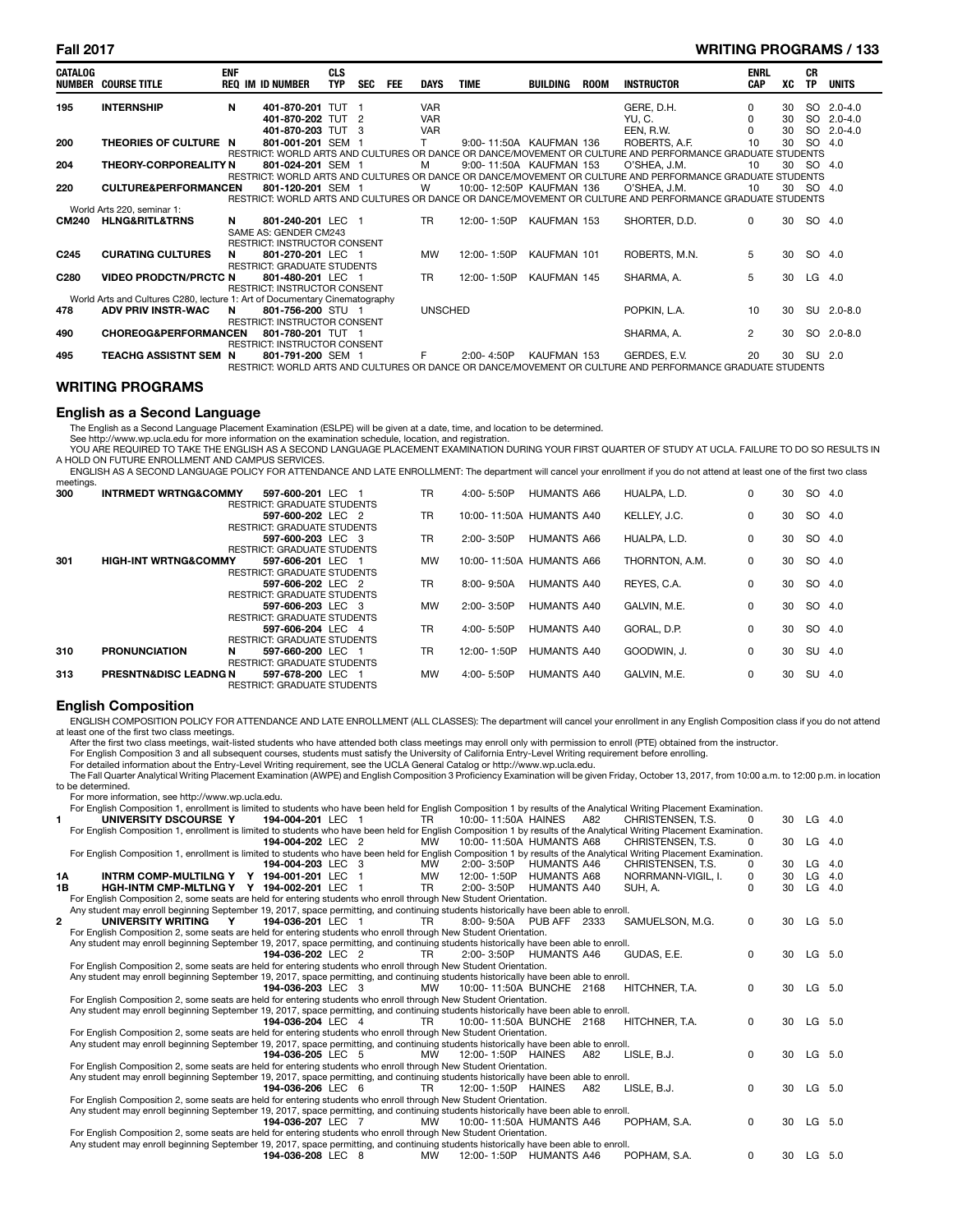### **Fall 2017 WRITING PROGRAMS / 133**

| <b>CATALOG</b>   | NUMBER COURSE TITLE                                                        | <b>ENF</b> | <b>REQ IM ID NUMBER</b>                                  | <b>CLS</b><br><b>TYP</b> | <b>SEC</b> | <b>FEE</b> | <b>DAYS</b>    | <b>TIME</b>              | BUILDING    | <b>ROOM</b> | <b>INSTRUCTOR</b>                                                                                         | <b>ENRL</b><br>CAP | xс | <b>CR</b><br><b>TP</b> | <b>UNITS</b> |
|------------------|----------------------------------------------------------------------------|------------|----------------------------------------------------------|--------------------------|------------|------------|----------------|--------------------------|-------------|-------------|-----------------------------------------------------------------------------------------------------------|--------------------|----|------------------------|--------------|
| 195              | <b>INTERNSHIP</b>                                                          | N          | 401-870-201 TUT 1                                        |                          |            |            | <b>VAR</b>     |                          |             |             | GERE, D.H.                                                                                                | 0                  | 30 | SO.                    | $2.0 - 4.0$  |
|                  |                                                                            |            | 401-870-202 TUT 2                                        |                          |            |            | <b>VAR</b>     |                          |             |             | YU, C.                                                                                                    | 0                  | 30 | <b>SO</b>              | $2.0 - 4.0$  |
|                  |                                                                            |            | 401-870-203 TUT 3                                        |                          |            |            | <b>VAR</b>     |                          |             |             | EEN, R.W.                                                                                                 |                    | 30 | <b>SO</b>              | $2.0 - 4.0$  |
| 200              | THEORIES OF CULTURE N                                                      |            | 801-001-201 SEM 1                                        |                          |            |            |                | 9:00-11:50A KAUFMAN 136  |             |             | ROBERTS, A.F.                                                                                             | 10                 | 30 | SO 4.0                 |              |
|                  |                                                                            |            |                                                          |                          |            |            |                |                          |             |             | RESTRICT: WORLD ARTS AND CULTURES OR DANCE OR DANCE/MOVEMENT OR CULTURE AND PERFORMANCE GRADUATE STUDENTS |                    |    |                        |              |
| 204              | <b>THEORY-CORPOREALITY N</b>                                               |            | 801-024-201 SEM 1                                        |                          |            |            | м              | 9:00-11:50A KAUFMAN 153  |             |             | O'SHEA. J.M.                                                                                              | 10                 | 30 | SO.                    | -4.0         |
|                  |                                                                            |            |                                                          |                          |            |            |                |                          |             |             | RESTRICT: WORLD ARTS AND CULTURES OR DANCE OR DANCE/MOVEMENT OR CULTURE AND PERFORMANCE GRADUATE STUDENTS |                    |    |                        |              |
| 220              | <b>CULTURE&amp;PERFORMANCEN</b>                                            |            | 801-120-201 SEM 1                                        |                          |            |            | W              | 10:00-12:50P KAUFMAN 136 |             |             | O'SHEA, J.M.                                                                                              | 10                 | 30 | SO 4.0                 |              |
|                  |                                                                            |            |                                                          |                          |            |            |                |                          |             |             | RESTRICT: WORLD ARTS AND CULTURES OR DANCE OR DANCE/MOVEMENT OR CULTURE AND PERFORMANCE GRADUATE STUDENTS |                    |    |                        |              |
|                  | World Arts 220, seminar 1:                                                 |            |                                                          |                          |            |            |                |                          |             |             |                                                                                                           |                    |    |                        |              |
| <b>CM240</b>     | <b>HLNG&amp;RITL&amp;TRNS</b>                                              | N          | 801-240-201 LEC 1                                        |                          |            |            | TR.            | 12:00-1:50P              | KAUFMAN 153 |             | SHORTER, D.D.                                                                                             | $\Omega$           | 30 | SO 4.0                 |              |
|                  |                                                                            |            | SAME AS: GENDER CM243                                    |                          |            |            |                |                          |             |             |                                                                                                           |                    |    |                        |              |
|                  |                                                                            |            | <b>RESTRICT: INSTRUCTOR CONSENT</b>                      |                          |            |            |                |                          |             |             |                                                                                                           |                    |    |                        |              |
| C <sub>245</sub> | <b>CURATING CULTURES</b>                                                   | N          | 801-270-201 LEC 1                                        |                          |            |            | <b>MW</b>      | 12:00-1:50P              | KAUFMAN 101 |             | ROBERTS, M.N.                                                                                             | 5                  | 30 | SO 4.0                 |              |
|                  |                                                                            |            | <b>RESTRICT: GRADUATE STUDENTS</b>                       |                          |            |            |                |                          |             |             |                                                                                                           |                    |    |                        |              |
| C <sub>280</sub> | <b>VIDEO PRODCTN/PRCTC N</b>                                               |            | 801-480-201 LEC 1                                        |                          |            |            | <b>TR</b>      | 12:00-1:50P              | KAUFMAN 145 |             | SHARMA, A.                                                                                                | 5                  | 30 | $LG$ 4.0               |              |
|                  |                                                                            |            | <b>RESTRICT: INSTRUCTOR CONSENT</b>                      |                          |            |            |                |                          |             |             |                                                                                                           |                    |    |                        |              |
|                  | World Arts and Cultures C280, lecture 1: Art of Documentary Cinematography |            |                                                          |                          |            |            |                |                          |             |             |                                                                                                           |                    |    |                        |              |
| 478              | <b>ADV PRIV INSTR-WAC</b>                                                  | N          | 801-756-200 STU 1                                        |                          |            |            | <b>UNSCHED</b> |                          |             |             | POPKIN, L.A.                                                                                              | 10                 | 30 | <b>SU</b>              | $2.0 - 8.0$  |
|                  |                                                                            |            | <b>RESTRICT: INSTRUCTOR CONSENT</b>                      |                          |            |            |                |                          |             |             |                                                                                                           |                    |    |                        |              |
| 490              | <b>CHOREOG&amp;PERFORMANCEN</b>                                            |            | 801-780-201 TUT 1                                        |                          |            |            |                |                          |             |             | SHARMA, A.                                                                                                | $\overline{2}$     | 30 |                        | SO 2.0-8.0   |
| 495              |                                                                            |            | <b>RESTRICT: INSTRUCTOR CONSENT</b><br>801-791-200 SEM 1 |                          |            |            |                | $2:00 - 4:50P$           | KAUFMAN 153 |             |                                                                                                           | 20                 | 30 | SU 2.0                 |              |
|                  | TEACHG ASSISTNT SEM N                                                      |            |                                                          |                          |            |            |                |                          |             |             | GERDES, E.V.                                                                                              |                    |    |                        |              |
|                  |                                                                            |            |                                                          |                          |            |            |                |                          |             |             | RESTRICT: WORLD ARTS AND CULTURES OR DANCE OR DANCE/MOVEMENT OR CULTURE AND PERFORMANCE GRADUATE STUDENTS |                    |    |                        |              |

### **WRITING PROGRAMS**

# **English as a Second Language**

The English as a Second Language Placement Examination (ESLPE) will be given at a date, time, and location to be determined.

See http://www.wp.ucla.edu for more information on the examination schedule, location, and registration.<br>YOU ARE REQUIRED TO TAKE THE ENGLISH AS A SECOND LANGUAGE PLACEMENT EXAMINATION DURING YOUR FIRST QUARTER OF STUDY AT A HOLD ON FUTURE ENROLLMENT AND CAMPUS SERVICES.

ENGLISH AS A SECOND LANGUAGE POLICY FOR ATTENDANCE AND LATE ENROLLMENT: The department will cancel your enrollment if you do not attend at least one of the first two class meetings.

| 300 | <b>INTRMEDT WRTNG&amp;COMMY</b>  |   | 597-600-201 LEC 1                  | TR.       | 4:00-5:50P     | HUMANTS A66              | HUALPA, L.D.   | 0 | 30 | SO 4.0 |     |
|-----|----------------------------------|---|------------------------------------|-----------|----------------|--------------------------|----------------|---|----|--------|-----|
|     |                                  |   | <b>RESTRICT: GRADUATE STUDENTS</b> |           |                |                          |                |   |    |        |     |
|     |                                  |   | 597-600-202 LEC 2                  | <b>TR</b> |                | 10:00-11:50A HUMANTS A40 | KELLEY, J.C.   | 0 | 30 | SO 4.0 |     |
|     |                                  |   | <b>RESTRICT: GRADUATE STUDENTS</b> |           |                |                          |                |   |    |        |     |
|     |                                  |   | 597-600-203 LEC 3                  | TR.       | 2:00-3:50P     | HUMANTS A66              | HUALPA. L.D.   | 0 | 30 | SO 4.0 |     |
|     |                                  |   | RESTRICT: GRADUATE STUDENTS        |           |                |                          |                |   |    |        |     |
| 301 | <b>HIGH-INT WRTNG&amp;COMMY</b>  |   | 597-606-201 LEC 1                  | MW        |                | 10:00-11:50A HUMANTS A66 | THORNTON, A.M. | 0 | 30 | SO 4.0 |     |
|     |                                  |   | <b>RESTRICT: GRADUATE STUDENTS</b> |           |                |                          |                |   |    |        |     |
|     |                                  |   | 597-606-202 LEC 2                  | <b>TR</b> | 8:00-9:50A     | HUMANTS A40              | REYES, C.A.    | 0 | 30 | SO 4.0 |     |
|     |                                  |   | RESTRICT: GRADUATE STUDENTS        |           |                |                          |                |   |    |        |     |
|     |                                  |   | 597-606-203 LEC 3                  | MW        | 2:00-3:50P     | HUMANTS A40              | GALVIN, M.E.   | 0 | 30 | SO 4.0 |     |
|     |                                  |   | RESTRICT: GRADUATE STUDENTS        |           |                |                          |                |   |    |        |     |
|     |                                  |   | 597-606-204 LEC 4                  | TR.       | $4:00 - 5:50P$ | HUMANTS A40              | GORAL, D.P.    | 0 | 30 | SO 4.0 |     |
|     |                                  |   | <b>RESTRICT: GRADUATE STUDENTS</b> |           |                |                          |                |   |    |        |     |
| 310 | <b>PRONUNCIATION</b>             | N | 597-660-200 LEC 1                  | TR.       | 12:00-1:50P    | HUMANTS A40              | GOODWIN, J.    | 0 | 30 | SU 4.0 |     |
|     |                                  |   | RESTRICT: GRADUATE STUDENTS        |           |                |                          |                |   |    |        |     |
| 313 | <b>PRESNTN&amp;DISC LEADNG N</b> |   | 597-678-200 LEC 1                  | MW        | $4:00 - 5:50P$ | HUMANTS A40              | GALVIN, M.E.   | 0 | 30 | SU     | 4.0 |
|     |                                  |   | <b>RESTRICT: GRADUATE STUDENTS</b> |           |                |                          |                |   |    |        |     |

### **English Composition**

ENGLISH COMPOSITION POLICY FOR ATTENDANCE AND LATE ENROLLMENT (ALL CLASSES): The department will cancel your enrollment in any English Composition class if you do not attend at least one of the first two class meetings.

After the first two class meetings, wait-listed students who have attended both class meetings may enroll only with permission to enroll (PTE) obtained from the instructor.<br>For English Composition 3 and all subsequent cour

The Fall Quarter Analytical Writing Placement Examination (AWPE) and English Composition 3 Proficiency Examination will be given Friday, October 13, 2017, from 10:00 a.m. to 12:00 p.m. in location to be determined.

For more information, see http://www.wp.ucla.edu.

For English Composition 1, enrollment is limited to students who have been held for English Composition 1 by results of the Analytical Writing Placement Examination.

|    | CHRISTENSEN, T.S.<br>UNIVERSITY DSCOURSE Y<br>194-004-201 LEC<br>10:00-11:50A HAINES<br>A82<br>TR                                                                                                                                                         | ŋ | 30 | $LG$ 4.0 |     |
|----|-----------------------------------------------------------------------------------------------------------------------------------------------------------------------------------------------------------------------------------------------------------|---|----|----------|-----|
|    | For English Composition 1, enrollment is limited to students who have been held for English Composition 1 by results of the Analytical Writing Placement Examination.                                                                                     |   |    |          |     |
|    | 10:00-11:50A HUMANTS A68<br>CHRISTENSEN, T.S.<br>194-004-202 LEC 2<br>MW                                                                                                                                                                                  | 0 | 30 | $LG$ 4.0 |     |
|    | For English Composition 1, enrollment is limited to students who have been held for English Composition 1 by results of the Analytical Writing Placement Examination.                                                                                     |   |    |          |     |
|    | 194-004-203 LEC 3<br>2:00-3:50P<br><b>HUMANTS A46</b><br>CHRISTENSEN, T.S.<br><b>MW</b>                                                                                                                                                                   | 0 | 30 | LG       | 4.0 |
| 1Α | INTRM COMP-MULTILNG Y Y 194-001-201 LEC<br>NORRMANN-VIGIL, I.<br><b>MW</b><br>12:00-1:50P<br>HUMANTS A68                                                                                                                                                  | 0 | 30 | $LG$ 4.0 |     |
| 1В | HGH-INTM CMP-MLTLNG Y Y 194-002-201 LEC<br>TR.<br>$2:00 - 3:50P$<br>HUMANTS A40<br>SUH. A.<br>-1                                                                                                                                                          | ŋ | 30 | LG       | 4.0 |
|    | For English Composition 2, some seats are held for entering students who enroll through New Student Orientation.                                                                                                                                          |   |    |          |     |
|    | Any student may enroll beginning September 19, 2017, space permitting, and continuing students historically have been able to enroll.                                                                                                                     |   |    |          |     |
|    | UNIVERSITY WRITING<br>194-036-201 LEC 1<br>SAMUELSON, M.G.<br>TR.<br>8:00-9:50A PUB AFF 2333<br>Y                                                                                                                                                         | 0 | 30 | LG 5.0   |     |
|    | For English Composition 2, some seats are held for entering students who enroll through New Student Orientation.                                                                                                                                          |   |    |          |     |
|    | Any student may enroll beginning September 19, 2017, space permitting, and continuing students historically have been able to enroll.                                                                                                                     |   |    |          |     |
|    | GUDAS, E.E.<br>194-036-202 LEC 2<br>TR.<br>$2:00 - 3:50P$<br>HUMANTS A46                                                                                                                                                                                  | 0 | 30 | LG 5.0   |     |
|    | For English Composition 2, some seats are held for entering students who enroll through New Student Orientation.                                                                                                                                          |   |    |          |     |
|    | Any student may enroll beginning September 19, 2017, space permitting, and continuing students historically have been able to enroll.                                                                                                                     |   |    |          |     |
|    | HITCHNER, T.A.<br>194-036-203 LEC 3<br><b>MW</b><br>10:00-11:50A BUNCHE 2168                                                                                                                                                                              | 0 | 30 | LG 5.0   |     |
|    | For English Composition 2, some seats are held for entering students who enroll through New Student Orientation.                                                                                                                                          |   |    |          |     |
|    | Any student may enroll beginning September 19, 2017, space permitting, and continuing students historically have been able to enroll.                                                                                                                     |   |    |          |     |
|    | 194-036-204 LEC 4<br>TR.<br>10:00-11:50A BUNCHE 2168<br>HITCHNER, T.A.                                                                                                                                                                                    | 0 | 30 | LG 5.0   |     |
|    | For English Composition 2, some seats are held for entering students who enroll through New Student Orientation.<br>Any student may enroll beginning September 19, 2017, space permitting, and continuing students historically have been able to enroll. |   |    |          |     |
|    | LISLE, B.J.<br>194-036-205 LEC 5<br><b>MW</b><br>12:00-1:50P HAINES<br>A82                                                                                                                                                                                | 0 | 30 | LG 5.0   |     |
|    | For English Composition 2, some seats are held for entering students who enroll through New Student Orientation.                                                                                                                                          |   |    |          |     |
|    | Any student may enroll beginning September 19, 2017, space permitting, and continuing students historically have been able to enroll.                                                                                                                     |   |    |          |     |
|    | LISLE, B.J.<br>194-036-206 LEC 6<br><b>TR</b><br>12:00-1:50P HAINES<br>A82                                                                                                                                                                                | 0 | 30 | LG 5.0   |     |
|    | For English Composition 2, some seats are held for entering students who enroll through New Student Orientation.                                                                                                                                          |   |    |          |     |
|    | Any student may enroll beginning September 19, 2017, space permitting, and continuing students historically have been able to enroll.                                                                                                                     |   |    |          |     |
|    | POPHAM, S.A.<br>194-036-207 LEC 7<br><b>MW</b><br>10:00-11:50A HUMANTS A46                                                                                                                                                                                | 0 | 30 | LG       | 5.0 |
|    | For English Composition 2, some seats are held for entering students who enroll through New Student Orientation.                                                                                                                                          |   |    |          |     |
|    | Any student may enroll beginning September 19, 2017, space permitting, and continuing students historically have been able to enroll.                                                                                                                     |   |    |          |     |
|    | POPHAM, S.A.<br>194-036-208 LEC 8<br>12:00-1:50P HUMANTS A46<br><b>MW</b>                                                                                                                                                                                 | 0 | 30 | LG.      | 5.0 |
|    |                                                                                                                                                                                                                                                           |   |    |          |     |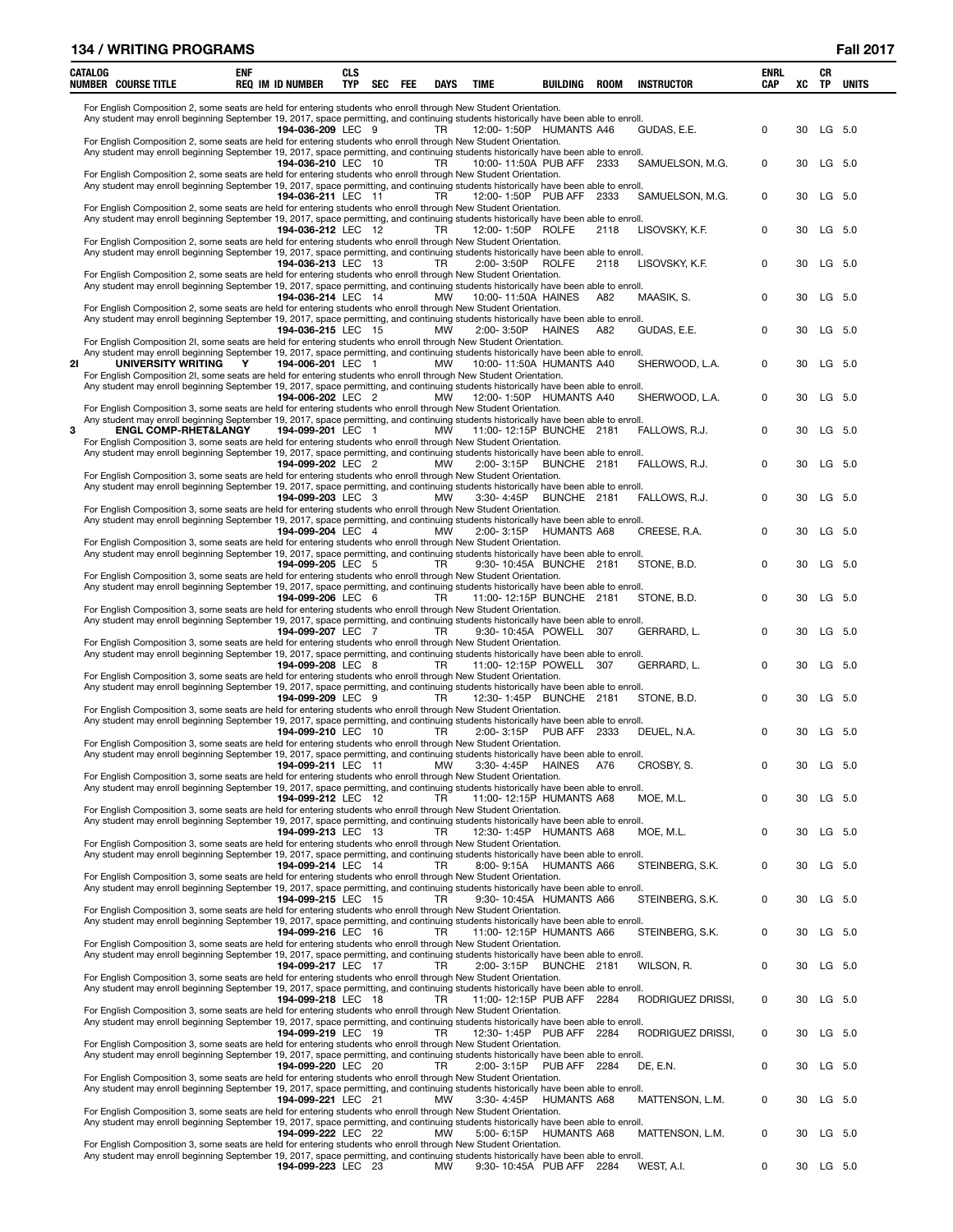|    | <b>134 / WRITING PROGRAMS</b>                                                                                                                                                                                                                                                                |     |                         |                          |     |           |             |                   |                           |             |                   |                           |    |                 | <b>Fall 2017</b> |
|----|----------------------------------------------------------------------------------------------------------------------------------------------------------------------------------------------------------------------------------------------------------------------------------------------|-----|-------------------------|--------------------------|-----|-----------|-------------|-------------------|---------------------------|-------------|-------------------|---------------------------|----|-----------------|------------------|
|    | CATALOG<br><b>NUMBER COURSE TITLE</b>                                                                                                                                                                                                                                                        | enf | <b>REQ IM ID NUMBER</b> | <b>CLS</b><br><b>TYP</b> | SEC | FEE       | <b>DAYS</b> | <b>TIME</b>       | BUILDING                  | <b>ROOM</b> | <b>INSTRUCTOR</b> | <b>ENRL</b><br><b>CAP</b> | XC | CR<br><b>TP</b> | <b>UNITS</b>     |
|    | For English Composition 2, some seats are held for entering students who enroll through New Student Orientation.<br>Any student may enroll beginning September 19, 2017, space permitting, and continuing students historically have been able to enroll.                                    |     | 194-036-209 LEC 9       |                          |     |           | <b>TR</b>   |                   | 12:00-1:50P HUMANTS A46   |             | GUDAS, E.E.       | 0                         | 30 |                 | LG 5.0           |
|    | For English Composition 2, some seats are held for entering students who enroll through New Student Orientation.<br>Any student may enroll beginning September 19, 2017, space permitting, and continuing students historically have been able to enroll.                                    |     | 194-036-210 LEC 10      |                          |     |           | <b>TR</b>   |                   | 10:00-11:50A PUB AFF 2333 |             | SAMUELSON, M.G.   | 0                         | 30 |                 | LG 5.0           |
|    | For English Composition 2, some seats are held for entering students who enroll through New Student Orientation.<br>Any student may enroll beginning September 19, 2017, space permitting, and continuing students historically have been able to enroll.                                    |     | 194-036-211 LEC 11      |                          |     |           | TR.         |                   | 12:00-1:50P PUB AFF 2333  |             | SAMUELSON, M.G.   | 0                         | 30 |                 | $LG$ 5.0         |
|    | For English Composition 2, some seats are held for entering students who enroll through New Student Orientation.<br>Any student may enroll beginning September 19, 2017, space permitting, and continuing students historically have been able to enroll.                                    |     | 194-036-212 LEC 12      |                          |     |           | TR          | 12:00-1:50P ROLFE |                           | 2118        | LISOVSKY, K.F.    | 0                         | 30 |                 | LG 5.0           |
|    | For English Composition 2, some seats are held for entering students who enroll through New Student Orientation.<br>Any student may enroll beginning September 19, 2017, space permitting, and continuing students historically have been able to enroll.                                    |     | 194-036-213 LEC 13      |                          |     |           | TR          | 2:00-3:50P        | <b>ROLFE</b>              | 2118        | LISOVSKY, K.F.    | $\pmb{0}$                 | 30 |                 | LG 5.0           |
|    | For English Composition 2, some seats are held for entering students who enroll through New Student Orientation.<br>Any student may enroll beginning September 19, 2017, space permitting, and continuing students historically have been able to enroll.                                    |     | 194-036-214 LEC 14      |                          |     |           | MW          |                   | 10:00-11:50A HAINES       | A82         | MAASIK, S.        | 0                         | 30 |                 | LG 5.0           |
|    | For English Composition 2, some seats are held for entering students who enroll through New Student Orientation.<br>Any student may enroll beginning September 19, 2017, space permitting, and continuing students historically have been able to enroll.                                    |     | 194-036-215 LEC 15      |                          |     |           | MW          | 2:00-3:50P        | HAINES                    | A82         | GUDAS, E.E.       | $\mathbf 0$               | 30 |                 | $LG$ 5.0         |
| 21 | For English Composition 2I, some seats are held for entering students who enroll through New Student Orientation.<br>Any student may enroll beginning September 19, 2017, space permitting, and continuing students historically have been able to enroll.<br>UNIVERSITY WRITING             | Y   | 194-006-201 LEC 1       |                          |     |           | MW          |                   | 10:00-11:50A HUMANTS A40  |             | SHERWOOD, L.A.    | 0                         | 30 |                 | $LG$ 5.0         |
|    | For English Composition 2I, some seats are held for entering students who enroll through New Student Orientation.<br>Any student may enroll beginning September 19, 2017, space permitting, and continuing students historically have been able to enroll.                                   |     | 194-006-202 LEC 2       |                          |     |           | <b>MW</b>   |                   | 12:00-1:50P HUMANTS A40   |             | SHERWOOD, L.A.    | 0                         | 30 |                 | LG 5.0           |
| 3  | For English Composition 3, some seats are held for entering students who enroll through New Student Orientation.<br>Any student may enroll beginning September 19, 2017, space permitting, and continuing students historically have been able to enroll.<br><b>ENGL COMP-RHET&amp;LANGY</b> |     | 194-099-201 LEC 1       |                          |     |           | MW          |                   | 11:00-12:15P BUNCHE 2181  |             | FALLOWS, R.J.     | 0                         | 30 |                 | LG 5.0           |
|    | For English Composition 3, some seats are held for entering students who enroll through New Student Orientation.<br>Any student may enroll beginning September 19, 2017, space permitting, and continuing students historically have been able to enroll.                                    |     | 194-099-202 LEC 2       |                          |     |           | MW          | 2:00-3:15P        | BUNCHE 2181               |             | FALLOWS, R.J.     | 0                         | 30 |                 | LG 5.0           |
|    | For English Composition 3, some seats are held for entering students who enroll through New Student Orientation.<br>Any student may enroll beginning September 19, 2017, space permitting, and continuing students historically have been able to enroll.                                    |     | 194-099-203 LEC 3       |                          |     |           | <b>MW</b>   | 3:30-4:45P        | BUNCHE 2181               |             | FALLOWS, R.J.     | 0                         | 30 |                 | LG 5.0           |
|    | For English Composition 3, some seats are held for entering students who enroll through New Student Orientation.<br>Any student may enroll beginning September 19, 2017, space permitting, and continuing students historically have been able to enroll.                                    |     | 194-099-204 LEC 4       |                          |     |           | <b>MW</b>   |                   | 2:00-3:15P HUMANTS A68    |             | CREESE, R.A.      | 0                         | 30 |                 | LG 5.0           |
|    | For English Composition 3, some seats are held for entering students who enroll through New Student Orientation.<br>Any student may enroll beginning September 19, 2017, space permitting, and continuing students historically have been able to enroll.                                    |     | 194-099-205 LEC 5       |                          |     |           | TR          |                   | 9:30-10:45A BUNCHE 2181   |             | STONE, B.D.       | 0                         | 30 |                 | $LG$ 5.0         |
|    | For English Composition 3, some seats are held for entering students who enroll through New Student Orientation.<br>Any student may enroll beginning September 19, 2017, space permitting, and continuing students historically have been able to enroll.                                    |     | 194-099-206 LEC 6       |                          |     |           | TR          |                   | 11:00-12:15P BUNCHE 2181  |             | STONE, B.D.       | 0                         | 30 |                 | LG 5.0           |
|    | For English Composition 3, some seats are held for entering students who enroll through New Student Orientation.<br>Any student may enroll beginning September 19, 2017, space permitting, and continuing students historically have been able to enroll.                                    |     | 194-099-207 LEC 7       |                          |     |           | TR          |                   | 9:30-10:45A POWELL 307    |             | GERRARD, L.       | 0                         | 30 |                 | LG 5.0           |
|    | For English Composition 3, some seats are held for entering students who enroll through New Student Orientation.<br>Any student may enroll beginning September 19, 2017, space permitting, and continuing students historically have been able to enroll.                                    |     | 194-099-208 LEC 8       |                          |     |           | TR          |                   | 11:00-12:15P POWELL 307   |             | GERRARD, L.       | 0                         | 30 |                 | LG 5.0           |
|    | For English Composition 3, some seats are held for entering students who enroll through New Student Orientation.<br>Any student may enroll beginning September 19, 2017, space permitting, and continuing students historically have been able to enroll.                                    |     | 194-099-209 LEC 9       |                          |     |           | TR          |                   | 12:30-1:45P BUNCHE 2181   |             | STONE, B.D.       | 0                         | 30 |                 | $LG$ 5.0         |
|    | For English Composition 3, some seats are held for entering students who enroll through New Student Orientation.<br>Any student may enroll beginning September 19, 2017, space permitting, and continuing students historically have been able to enroll.                                    |     | 194-099-210 LEC 10      |                          |     | <b>TR</b> |             |                   | 2:00-3:15P PUB AFF 2333   |             | DEUEL, N.A.       | 0                         |    | 30 LG 5.0       |                  |
|    | For English Composition 3, some seats are held for entering students who enroll through New Student Orientation.<br>Any student may enroll beginning September 19, 2017, space permitting, and continuing students historically have been able to enroll.                                    |     | 194-099-211 LEC 11      |                          |     |           | <b>MW</b>   |                   | 3:30-4:45P HAINES         | A76         | CROSBY, S.        | 0                         | 30 |                 | LG 5.0           |
|    | For English Composition 3, some seats are held for entering students who enroll through New Student Orientation.<br>Any student may enroll beginning September 19, 2017, space permitting, and continuing students historically have been able to enroll.                                    |     | 194-099-212 LEC 12      |                          |     |           | TR          |                   | 11:00-12:15P HUMANTS A68  |             | MOE. M.L.         | 0                         | 30 |                 | LG 5.0           |
|    | For English Composition 3, some seats are held for entering students who enroll through New Student Orientation.<br>Any student may enroll beginning September 19, 2017, space permitting, and continuing students historically have been able to enroll.                                    |     | 194-099-213 LEC 13      |                          |     |           | TR          |                   | 12:30-1:45P HUMANTS A68   |             | MOE, M.L.         | 0                         | 30 |                 | LG 5.0           |
|    | For English Composition 3, some seats are held for entering students who enroll through New Student Orientation.<br>Any student may enroll beginning September 19, 2017, space permitting, and continuing students historically have been able to enroll.                                    |     | 194-099-214 LEC 14      |                          |     |           | TR          |                   | 8:00-9:15A HUMANTS A66    |             | STEINBERG, S.K.   | 0                         | 30 |                 | LG 5.0           |
|    | For English Composition 3, some seats are held for entering students who enroll through New Student Orientation.<br>Any student may enroll beginning September 19, 2017, space permitting, and continuing students historically have been able to enroll.                                    |     | 194-099-215 LEC 15      |                          |     |           | TR          |                   | 9:30-10:45A HUMANTS A66   |             | STEINBERG, S.K.   | $\pmb{0}$                 | 30 |                 | LG 5.0           |
|    | For English Composition 3, some seats are held for entering students who enroll through New Student Orientation.<br>Any student may enroll beginning September 19, 2017, space permitting, and continuing students historically have been able to enroll.                                    |     | 194-099-216 LEC 16      |                          |     |           | <b>TR</b>   |                   | 11:00-12:15P HUMANTS A66  |             | STEINBERG, S.K.   | 0                         | 30 |                 | LG 5.0           |
|    | For English Composition 3, some seats are held for entering students who enroll through New Student Orientation.<br>Any student may enroll beginning September 19, 2017, space permitting, and continuing students historically have been able to enroll.                                    |     | 194-099-217 LEC 17      |                          |     |           | TR          | 2:00-3:15P        | BUNCHE 2181               |             | WILSON, R.        | $\pmb{0}$                 | 30 |                 | LG 5.0           |
|    | For English Composition 3, some seats are held for entering students who enroll through New Student Orientation.<br>Any student may enroll beginning September 19, 2017, space permitting, and continuing students historically have been able to enroll.                                    |     | 194-099-218 LEC 18      |                          |     |           | TR          |                   | 11:00-12:15P PUB AFF 2284 |             | RODRIGUEZ DRISSI, | 0                         | 30 |                 | LG 5.0           |
|    | For English Composition 3, some seats are held for entering students who enroll through New Student Orientation.<br>Any student may enroll beginning September 19, 2017, space permitting, and continuing students historically have been able to enroll.                                    |     | 194-099-219 LEC 19      |                          |     |           | TR          |                   | 12:30-1:45P PUB AFF 2284  |             | RODRIGUEZ DRISSI, | 0                         | 30 |                 | LG 5.0           |
|    | For English Composition 3, some seats are held for entering students who enroll through New Student Orientation.<br>Any student may enroll beginning September 19, 2017, space permitting, and continuing students historically have been able to enroll.                                    |     | 194-099-220 LEC 20      |                          |     |           | TR          |                   | 2:00-3:15P PUB AFF 2284   |             | DE, E.N.          | $\pmb{0}$                 | 30 |                 | LG 5.0           |
|    | For English Composition 3, some seats are held for entering students who enroll through New Student Orientation.<br>Any student may enroll beginning September 19, 2017, space permitting, and continuing students historically have been able to enroll.                                    |     | 194-099-221 LEC 21      |                          |     |           | <b>MW</b>   |                   | 3:30-4:45P HUMANTS A68    |             | MATTENSON, L.M.   | 0                         | 30 |                 | LG 5.0           |
|    | For English Composition 3, some seats are held for entering students who enroll through New Student Orientation.<br>Any student may enroll beginning September 19, 2017, space permitting, and continuing students historically have been able to enroll.                                    |     | 194-099-222 LEC 22      |                          |     |           | <b>MW</b>   | 5:00-6:15P        | HUMANTS A68               |             | MATTENSON, L.M.   | 0                         | 30 |                 | $LG$ 5.0         |
|    | For English Composition 3, some seats are held for entering students who enroll through New Student Orientation.<br>Any student may enroll beginning September 19, 2017, space permitting, and continuing students historically have been able to enroll.                                    |     | 194-099-223 LEC 23      |                          |     |           | MW          |                   | 9:30-10:45A PUB AFF 2284  |             | WEST, A.I.        | 0                         |    | 30 LG 5.0       |                  |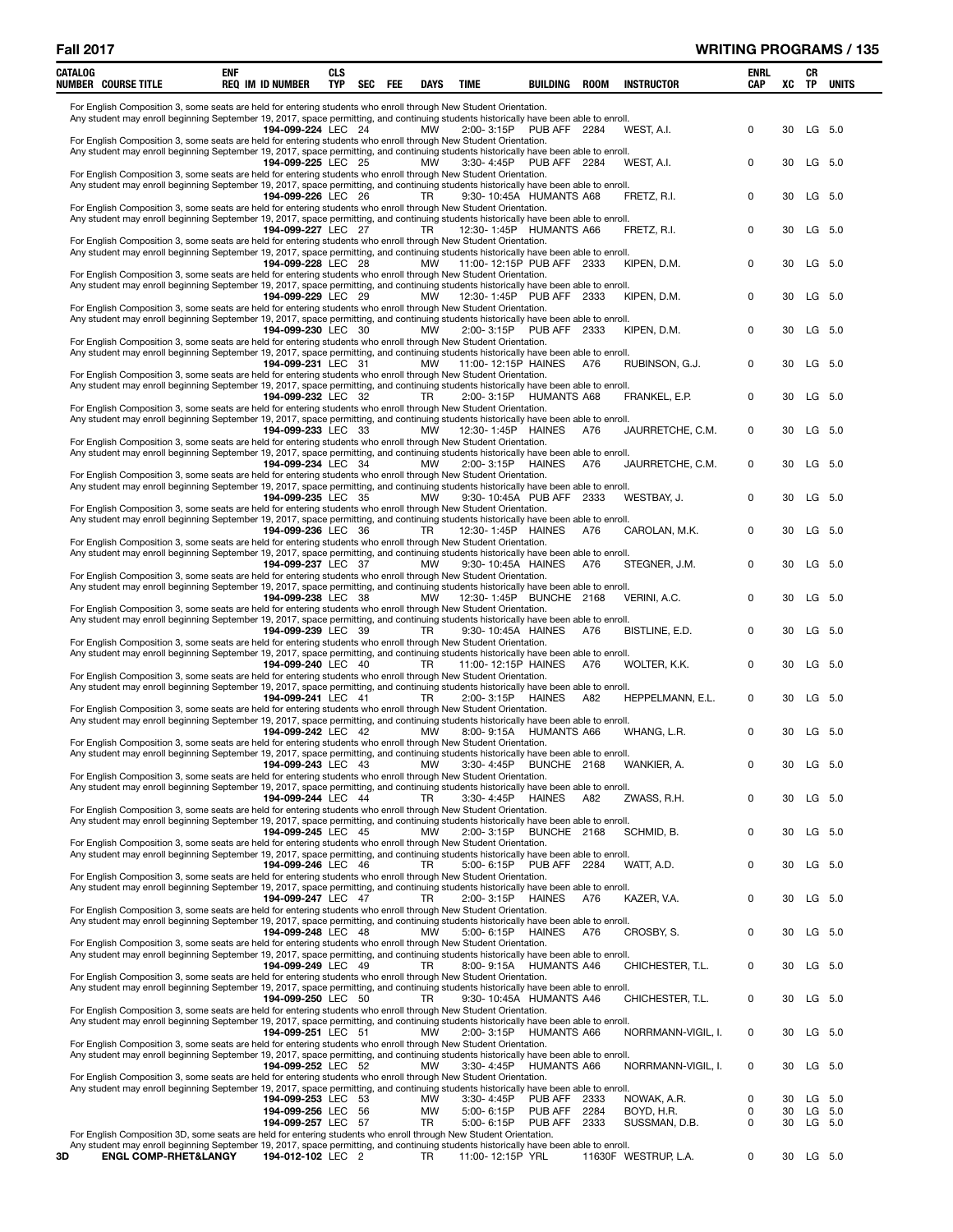|    | CATALOG | NUMBER COURSE TITLE                                                                                                                                                                                                                                       | <b>ENF</b> | <b>REQ IM ID NUMBER</b> | CLS<br>TYP | <b>SEC</b> | FEE | DAYS      | TIME                      | BUILDING           | ROOM | <b>INSTRUCTOR</b>    | <b>ENRL</b><br>CAP | XC | CR<br>TP  | <b>UNITS</b> |
|----|---------|-----------------------------------------------------------------------------------------------------------------------------------------------------------------------------------------------------------------------------------------------------------|------------|-------------------------|------------|------------|-----|-----------|---------------------------|--------------------|------|----------------------|--------------------|----|-----------|--------------|
|    |         | For English Composition 3, some seats are held for entering students who enroll through New Student Orientation.                                                                                                                                          |            |                         |            |            |     |           |                           |                    |      |                      |                    |    |           |              |
|    |         | Any student may enroll beginning September 19, 2017, space permitting, and continuing students historically have been able to enroll.                                                                                                                     |            |                         |            |            |     |           |                           |                    |      |                      |                    |    |           |              |
|    |         | For English Composition 3, some seats are held for entering students who enroll through New Student Orientation.                                                                                                                                          |            | 194-099-224 LEC 24      |            |            |     | MW        | 2:00-3:15P PUB AFF 2284   |                    |      | WEST, A.I.           | 0                  | 30 | LG 5.0    |              |
|    |         | Any student may enroll beginning September 19, 2017, space permitting, and continuing students historically have been able to enroll.                                                                                                                     |            |                         |            |            |     |           |                           |                    |      |                      |                    |    |           |              |
|    |         | For English Composition 3, some seats are held for entering students who enroll through New Student Orientation.                                                                                                                                          |            | 194-099-225 LEC 25      |            |            |     | <b>MW</b> | 3:30-4:45P                | PUB AFF 2284       |      | WEST, A.I.           | 0                  | 30 | LG 5.0    |              |
|    |         | Any student may enroll beginning September 19, 2017, space permitting, and continuing students historically have been able to enroll.                                                                                                                     |            |                         |            |            |     |           |                           |                    |      |                      |                    |    |           |              |
|    |         | For English Composition 3, some seats are held for entering students who enroll through New Student Orientation.                                                                                                                                          |            | 194-099-226 LEC 26      |            |            |     | TR.       | 9:30-10:45A HUMANTS A68   |                    |      | FRETZ, R.I.          | 0                  | 30 |           | LG 5.0       |
|    |         | Any student may enroll beginning September 19, 2017, space permitting, and continuing students historically have been able to enroll.                                                                                                                     |            |                         |            |            |     |           |                           |                    |      |                      |                    |    |           |              |
|    |         | For English Composition 3, some seats are held for entering students who enroll through New Student Orientation.                                                                                                                                          |            | 194-099-227 LEC 27      |            |            |     | TR.       | 12:30-1:45P HUMANTS A66   |                    |      | FRETZ, R.I.          | 0                  | 30 |           | LG 5.0       |
|    |         | Any student may enroll beginning September 19, 2017, space permitting, and continuing students historically have been able to enroll.                                                                                                                     |            |                         |            |            |     |           |                           |                    |      |                      |                    |    |           |              |
|    |         | For English Composition 3, some seats are held for entering students who enroll through New Student Orientation.                                                                                                                                          |            | 194-099-228 LEC 28      |            |            |     | <b>MW</b> | 11:00-12:15P PUB AFF 2333 |                    |      | KIPEN, D.M.          | 0                  | 30 | LG 5.0    |              |
|    |         | Any student may enroll beginning September 19, 2017, space permitting, and continuing students historically have been able to enroll.                                                                                                                     |            |                         |            |            |     |           |                           |                    |      |                      |                    |    |           |              |
|    |         |                                                                                                                                                                                                                                                           |            | 194-099-229 LEC 29      |            |            |     | MW        | 12:30-1:45P PUB AFF 2333  |                    |      | KIPEN, D.M.          | 0                  | 30 |           | LG 5.0       |
|    |         | For English Composition 3, some seats are held for entering students who enroll through New Student Orientation.<br>Any student may enroll beginning September 19, 2017, space permitting, and continuing students historically have been able to enroll. |            |                         |            |            |     |           |                           |                    |      |                      |                    |    |           |              |
|    |         |                                                                                                                                                                                                                                                           |            | 194-099-230 LEC 30      |            |            |     | MW        | $2:00 - 3:15P$            | PUB AFF 2333       |      | KIPEN, D.M.          | $\mathbf 0$        | 30 |           | LG 5.0       |
|    |         | For English Composition 3, some seats are held for entering students who enroll through New Student Orientation.<br>Any student may enroll beginning September 19, 2017, space permitting, and continuing students historically have been able to enroll. |            |                         |            |            |     |           |                           |                    |      |                      |                    |    |           |              |
|    |         |                                                                                                                                                                                                                                                           |            | 194-099-231 LEC 31      |            |            |     | <b>MW</b> | 11:00-12:15P HAINES       |                    | A76  | RUBINSON, G.J.       | 0                  | 30 |           | LG 5.0       |
|    |         | For English Composition 3, some seats are held for entering students who enroll through New Student Orientation.<br>Any student may enroll beginning September 19, 2017, space permitting, and continuing students historically have been able to enroll. |            |                         |            |            |     |           |                           |                    |      |                      |                    |    |           |              |
|    |         |                                                                                                                                                                                                                                                           |            | 194-099-232 LEC 32      |            |            |     | TR.       | 2:00-3:15P HUMANTS A68    |                    |      | FRANKEL, E.P.        | 0                  | 30 | LG 5.0    |              |
|    |         | For English Composition 3, some seats are held for entering students who enroll through New Student Orientation.<br>Any student may enroll beginning September 19, 2017, space permitting, and continuing students historically have been able to enroll. |            |                         |            |            |     |           |                           |                    |      |                      |                    |    |           |              |
|    |         |                                                                                                                                                                                                                                                           |            | 194-099-233 LEC 33      |            |            |     | MW        | 12:30-1:45P HAINES        |                    | A76  | JAURRETCHE, C.M.     | 0                  | 30 | LG 5.0    |              |
|    |         | For English Composition 3, some seats are held for entering students who enroll through New Student Orientation.                                                                                                                                          |            |                         |            |            |     |           |                           |                    |      |                      |                    |    |           |              |
|    |         | Any student may enroll beginning September 19, 2017, space permitting, and continuing students historically have been able to enroll.                                                                                                                     |            | 194-099-234 LEC 34      |            |            |     | MW        | 2:00-3:15P HAINES         |                    | A76  | JAURRETCHE, C.M.     | 0                  | 30 |           | LG 5.0       |
|    |         | For English Composition 3, some seats are held for entering students who enroll through New Student Orientation.                                                                                                                                          |            |                         |            |            |     |           |                           |                    |      |                      |                    |    |           |              |
|    |         | Any student may enroll beginning September 19, 2017, space permitting, and continuing students historically have been able to enroll.                                                                                                                     |            | 194-099-235 LEC 35      |            |            |     | <b>MW</b> | 9:30-10:45A PUB AFF 2333  |                    |      | WESTBAY, J.          | 0                  | 30 |           | LG 5.0       |
|    |         | For English Composition 3, some seats are held for entering students who enroll through New Student Orientation.                                                                                                                                          |            |                         |            |            |     |           |                           |                    |      |                      |                    |    |           |              |
|    |         | Any student may enroll beginning September 19, 2017, space permitting, and continuing students historically have been able to enroll.                                                                                                                     |            | 194-099-236 LEC 36      |            |            |     | TR        | 12:30-1:45P HAINES        |                    | A76  | CAROLAN, M.K.        | 0                  | 30 |           | LG 5.0       |
|    |         | For English Composition 3, some seats are held for entering students who enroll through New Student Orientation.                                                                                                                                          |            |                         |            |            |     |           |                           |                    |      |                      |                    |    |           |              |
|    |         | Any student may enroll beginning September 19, 2017, space permitting, and continuing students historically have been able to enroll.                                                                                                                     |            |                         |            |            |     |           |                           |                    |      |                      |                    |    |           |              |
|    |         | For English Composition 3, some seats are held for entering students who enroll through New Student Orientation.                                                                                                                                          |            | 194-099-237 LEC 37      |            |            |     | <b>MW</b> | 9:30-10:45A HAINES        |                    | A76  | STEGNER, J.M.        | 0                  | 30 | LG 5.0    |              |
|    |         | Any student may enroll beginning September 19, 2017, space permitting, and continuing students historically have been able to enroll.                                                                                                                     |            |                         |            |            |     |           |                           |                    |      |                      |                    |    |           |              |
|    |         | For English Composition 3, some seats are held for entering students who enroll through New Student Orientation.                                                                                                                                          |            | 194-099-238 LEC 38      |            |            |     | MW        | 12:30-1:45P BUNCHE 2168   |                    |      | VERINI, A.C.         | 0                  | 30 |           | LG 5.0       |
|    |         | Any student may enroll beginning September 19, 2017, space permitting, and continuing students historically have been able to enroll.                                                                                                                     |            |                         |            |            |     |           |                           |                    |      |                      |                    |    |           |              |
|    |         | For English Composition 3, some seats are held for entering students who enroll through New Student Orientation.                                                                                                                                          |            | 194-099-239 LEC 39      |            |            |     | TR        | 9:30-10:45A HAINES        |                    | A76  | BISTLINE, E.D.       | 0                  | 30 |           | LG 5.0       |
|    |         | Any student may enroll beginning September 19, 2017, space permitting, and continuing students historically have been able to enroll.                                                                                                                     |            |                         |            |            |     |           |                           |                    |      |                      |                    |    |           |              |
|    |         |                                                                                                                                                                                                                                                           |            | 194-099-240 LEC 40      |            |            |     | <b>TR</b> | 11:00-12:15P HAINES       |                    | A76  | WOLTER, K.K.         | 0                  | 30 |           | LG 5.0       |
|    |         | For English Composition 3, some seats are held for entering students who enroll through New Student Orientation.<br>Any student may enroll beginning September 19, 2017, space permitting, and continuing students historically have been able to enroll. |            |                         |            |            |     |           |                           |                    |      |                      |                    |    |           |              |
|    |         |                                                                                                                                                                                                                                                           |            | 194-099-241 LEC 41      |            |            |     | TR        | 2:00-3:15P                | HAINES             | A82  | HEPPELMANN, E.L.     | 0                  | 30 |           | LG 5.0       |
|    |         | For English Composition 3, some seats are held for entering students who enroll through New Student Orientation.<br>Any student may enroll beginning September 19, 2017, space permitting, and continuing students historically have been able to enroll. |            |                         |            |            |     |           |                           |                    |      |                      |                    |    |           |              |
|    |         |                                                                                                                                                                                                                                                           |            | 194-099-242 LEC 42      |            |            |     | MW        | 8:00-9:15A HUMANTS A66    |                    |      | WHANG, L.R.          | 0                  | 30 | LG 5.0    |              |
|    |         | For English Composition 3, some seats are held for entering students who enroll through New Student Orientation.<br>Any student may enroll beginning September 19, 2017, space permitting, and continuing students historically have been able to enroll. |            |                         |            |            |     |           |                           |                    |      |                      |                    |    |           |              |
|    |         |                                                                                                                                                                                                                                                           |            | 194-099-243 LEC 43      |            |            |     | MW        | 3:30-4:45P BUNCHE 2168    |                    |      | WANKIER, A.          |                    | 30 | LG        | 5.0          |
|    |         | For English Composition 3, some seats are held for entering students who enroll through New Student Orientation.<br>Any student may enroll beginning September 19, 2017, space permitting, and continuing students historically have been able to enroll. |            |                         |            |            |     |           |                           |                    |      |                      |                    |    |           |              |
|    |         |                                                                                                                                                                                                                                                           |            | 194-099-244 LEC 44      |            |            |     | TR.       | 3:30-4:45P                | HAINES             | A82  | ZWASS, R.H.          | 0                  | 30 | $LG$ 5.0  |              |
|    |         | For English Composition 3, some seats are held for entering students who enroll through New Student Orientation.<br>Any student may enroll beginning September 19, 2017, space permitting, and continuing students historically have been able to enroll. |            |                         |            |            |     |           |                           |                    |      |                      |                    |    |           |              |
|    |         |                                                                                                                                                                                                                                                           |            | 194-099-245 LEC 45      |            |            |     | MW        | 2:00-3:15P BUNCHE 2168    |                    |      | SCHMID, B.           | 0                  | 30 | LG 5.0    |              |
|    |         | For English Composition 3, some seats are held for entering students who enroll through New Student Orientation.                                                                                                                                          |            |                         |            |            |     |           |                           |                    |      |                      |                    |    |           |              |
|    |         | Any student may enroll beginning September 19, 2017, space permitting, and continuing students historically have been able to enroll.                                                                                                                     |            | 194-099-246 LEC 46      |            |            |     | TR        | 5:00-6:15P PUB AFF 2284   |                    |      | WATT, A.D.           | 0                  | 30 |           | LG 5.0       |
|    |         | For English Composition 3, some seats are held for entering students who enroll through New Student Orientation.                                                                                                                                          |            |                         |            |            |     |           |                           |                    |      |                      |                    |    |           |              |
|    |         | Any student may enroll beginning September 19, 2017, space permitting, and continuing students historically have been able to enroll.                                                                                                                     |            | 194-099-247 LEC 47      |            |            |     | TR        | $2:00 - 3:15P$            | <b>HAINES</b>      | A76  | KAZER, V.A.          | 0                  | 30 | LG 5.0    |              |
|    |         | For English Composition 3, some seats are held for entering students who enroll through New Student Orientation.                                                                                                                                          |            |                         |            |            |     |           |                           |                    |      |                      |                    |    |           |              |
|    |         | Any student may enroll beginning September 19, 2017, space permitting, and continuing students historically have been able to enroll.                                                                                                                     |            |                         |            |            |     |           |                           |                    |      |                      |                    |    |           |              |
|    |         | For English Composition 3, some seats are held for entering students who enroll through New Student Orientation.                                                                                                                                          |            | 194-099-248 LEC 48      |            |            |     | <b>MW</b> | $5:00 - 6:15P$            | HAINES             | A76  | CROSBY, S.           | 0                  | 30 |           | LG 5.0       |
|    |         | Any student may enroll beginning September 19, 2017, space permitting, and continuing students historically have been able to enroll.                                                                                                                     |            |                         |            |            |     |           |                           |                    |      |                      |                    |    |           |              |
|    |         | For English Composition 3, some seats are held for entering students who enroll through New Student Orientation.                                                                                                                                          |            | 194-099-249 LEC 49      |            |            |     | <b>TR</b> | 8:00-9:15A HUMANTS A46    |                    |      | CHICHESTER, T.L.     | 0                  | 30 | LG 5.0    |              |
|    |         | Any student may enroll beginning September 19, 2017, space permitting, and continuing students historically have been able to enroll.                                                                                                                     |            |                         |            |            |     |           |                           |                    |      |                      |                    |    |           |              |
|    |         | For English Composition 3, some seats are held for entering students who enroll through New Student Orientation.                                                                                                                                          |            | 194-099-250 LEC 50      |            |            |     | TR.       | 9:30-10:45A HUMANTS A46   |                    |      | CHICHESTER, T.L.     | 0                  | 30 | LG 5.0    |              |
|    |         | Any student may enroll beginning September 19, 2017, space permitting, and continuing students historically have been able to enroll.                                                                                                                     |            |                         |            |            |     |           |                           |                    |      |                      |                    |    |           |              |
|    |         |                                                                                                                                                                                                                                                           |            | 194-099-251 LEC 51      |            |            |     | MW        | 2:00-3:15P HUMANTS A66    |                    |      | NORRMANN-VIGIL, I.   | 0                  | 30 | LG 5.0    |              |
|    |         | For English Composition 3, some seats are held for entering students who enroll through New Student Orientation.<br>Any student may enroll beginning September 19, 2017, space permitting, and continuing students historically have been able to enroll. |            |                         |            |            |     |           |                           |                    |      |                      |                    |    |           |              |
|    |         |                                                                                                                                                                                                                                                           |            | 194-099-252 LEC 52      |            |            |     | <b>MW</b> | 3:30-4:45P                | <b>HUMANTS A66</b> |      | NORRMANN-VIGIL, I.   | 0                  | 30 |           | LG 5.0       |
|    |         | For English Composition 3, some seats are held for entering students who enroll through New Student Orientation.<br>Any student may enroll beginning September 19, 2017, space permitting, and continuing students historically have been able to enroll. |            |                         |            |            |     |           |                           |                    |      |                      |                    |    |           |              |
|    |         |                                                                                                                                                                                                                                                           |            | 194-099-253 LEC 53      |            |            |     | <b>MW</b> | $3:30 - 4:45P$            | PUB AFF            | 2333 | NOWAK, A.R.          | 0                  | 30 |           | LG 5.0       |
|    |         |                                                                                                                                                                                                                                                           |            | 194-099-256 LEC 56      |            |            |     | <b>MW</b> | $5:00 - 6:15P$            | PUB AFF            | 2284 | BOYD, H.R.           | 0                  | 30 | LG 5.0    |              |
|    |         | For English Composition 3D, some seats are held for entering students who enroll through New Student Orientation.                                                                                                                                         |            | 194-099-257 LEC 57      |            |            |     | TR        | $5:00 - 6:15P$            | PUB AFF            | 2333 | SUSSMAN, D.B.        | 0                  | 30 | LG 5.0    |              |
|    |         | Any student may enroll beginning September 19, 2017, space permitting, and continuing students historically have been able to enroll.                                                                                                                     |            |                         |            |            |     |           |                           |                    |      |                      |                    |    |           |              |
| 3D |         | <b>ENGL COMP-RHET&amp;LANGY</b>                                                                                                                                                                                                                           |            | 194-012-102 LEC 2       |            |            |     | TR        | 11:00-12:15P YRL          |                    |      | 11630F WESTRUP, L.A. | 0                  |    | 30 LG 5.0 |              |